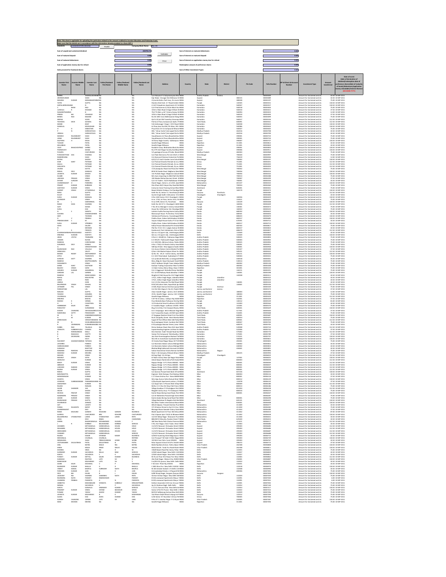|                                                   |                                                 |                                                     |                                         |                            | ote: This sheet is applicable for uploading the particulars related to the amount credited to investor Education and Protection Fund |                                                                                                                                                                                                                                                                                                                                                                                                                                                             |                                 |                                                                                 |            |                                   |                                              |              |                                                                                                                                                                        |                                                                                                          |
|---------------------------------------------------|-------------------------------------------------|-----------------------------------------------------|-----------------------------------------|----------------------------|--------------------------------------------------------------------------------------------------------------------------------------|-------------------------------------------------------------------------------------------------------------------------------------------------------------------------------------------------------------------------------------------------------------------------------------------------------------------------------------------------------------------------------------------------------------------------------------------------------------|---------------------------------|---------------------------------------------------------------------------------|------------|-----------------------------------|----------------------------------------------|--------------|------------------------------------------------------------------------------------------------------------------------------------------------------------------------|----------------------------------------------------------------------------------------------------------|
| Make sure that the                                | fetails are in acco                             | ce with the i                                       | Prefill                                 | ed in e-form IEPF-1        | Company/Bank Name                                                                                                                    |                                                                                                                                                                                                                                                                                                                                                                                                                                                             |                                 |                                                                                 |            |                                   |                                              |              |                                                                                                                                                                        |                                                                                                          |
|                                                   |                                                 |                                                     |                                         |                            | 459793.75                                                                                                                            | Validate                                                                                                                                                                                                                                                                                                                                                                                                                                                    | Sum of interest on matured deba |                                                                                 |            |                                   |                                              | 0.00         |                                                                                                                                                                        |                                                                                                          |
| um of matured deposit<br>Sum of matured debenture |                                                 |                                                     |                                         |                            | 0.00<br>0.00                                                                                                                         | Clear 1                                                                                                                                                                                                                                                                                                                                                                                                                                                     |                                 | erest on matured deposit<br>Sum of interest on application money due for refund |            |                                   |                                              | 0.00<br>0.00 |                                                                                                                                                                        |                                                                                                          |
|                                                   | dication money due for refun                    |                                                     |                                         |                            | 0,00                                                                                                                                 |                                                                                                                                                                                                                                                                                                                                                                                                                                                             |                                 | amount of preference share                                                      |            |                                   |                                              | 0.00         |                                                                                                                                                                        |                                                                                                          |
|                                                   | <b>Sales proceed for fractional share:</b>      |                                                     |                                         |                            | 0.00                                                                                                                                 |                                                                                                                                                                                                                                                                                                                                                                                                                                                             | n of Other Investment Types     |                                                                                 |            |                                   |                                              | 0.00         |                                                                                                                                                                        |                                                                                                          |
|                                                   |                                                 |                                                     | <b>First Name</b>                       |                            |                                                                                                                                      | Address                                                                                                                                                                                                                                                                                                                                                                                                                                                     | Country                         | State                                                                           |            | Pin Code                          |                                              |              | nt Type                                                                                                                                                                | Date of event<br>date of declaratio<br>contra compositions<br>ce shares/date of mat<br>refundable/intere |
| MAHESE                                            | KUMAI                                           | SHAH<br>MANA                                        | uw                                      |                            | $\begin{array}{c}\nN\\ N\\ N\\ N\\ N\\ A\n\end{array}$                                                                               | C/o Polauara P V Satyanarayana ModNDIA<br>Kaji Wado Visnagar Dist Mehsana VisNDIA<br>21,kamla Nehru Park Socy, Nr.municiNDIA                                                                                                                                                                                                                                                                                                                                |                                 | Gujarat<br>Gujarat                                                              |            | 384315<br>380021                  | 00003081<br>00003197                         |              | Amount for Unclaimed and Un<br>Amount for Unclaimed and Un<br>Amount for Unclaimed and Un                                                                              | 43.50 10-SEP-2011<br>75.00 10-SEP-2011                                                                   |
| YATIN<br>GOPALAKIN                                | <b>NANM</b>                                     | <b>GUPTA</b>                                        | NA<br>NA<br>NA                          |                            | NA<br>NA                                                                                                                             | Shankra Steel Inds G T Road Simble BNDIA<br>A 14/2 Vijayakiran Apartments 32 VidNDIA<br>C/o R Honnamma Q 19/vii Block NurlNDIA                                                                                                                                                                                                                                                                                                                              |                                 | Punjab<br>Kamataka                                                              |            | 143505<br>560047                  | 00003331<br>00003357                         |              | Amount for Unclaimed and Un<br>.<br>Amount for Unclaimed and Un<br>Amount for Unclaimed and Un                                                                         | 118.50 10-SEP-2011<br>11850-105F0-2011                                                                   |
| UJJWALA<br>N <i>AGAR</i> AT                       | <b>REIMA</b>                                    | <b>NAO</b><br>DHAGGE                                | NA<br>NA<br>NA                          |                            | NA<br>NA<br>NA                                                                                                                       | 1016 Iv Main Road II Stage D Block RaWDIA<br>70,4 Th Main .p & T Colony Sanjay NaWDIA<br>1016 Iv Main Road II Stage D Block RaWDIA                                                                                                                                                                                                                                                                                                                          |                                 | Kamataka<br>Kamataka<br>Kamataka                                                |            | 560018<br>560010<br>560094        | 00003404<br>00003421<br>00003453             |              | Amount for Unclaimed and Ui<br>Amount for Unclaimed and Ui                                                                                                             | 75.00 10-SEP-2011<br>37.50 10-SEP-2011<br>12.00 10-SEP-2011<br>37.50 10-SEP-2011                         |
| PREMA<br><b>BHIMA</b><br>MEENA                    | <b>NAO</b>                                      | VDHAGG<br>BADAMI<br>5000                            | NA<br>NA                                |                            | $\frac{NA}{NA}$                                                                                                                      | No 46 18th Cross Malleswaram BanzaNDM<br>Qtr.fc-25,hal Old Township VimanapuNDM                                                                                                                                                                                                                                                                                                                                                                             |                                 | Kamataka<br>Kamataka<br>Kamataka                                                |            | 560010<br>560055<br>560017        | 00003494<br>00003499<br>00003536             |              | Amount for Unclaimed and Un<br>Amount for Unclaimed and Un<br>Amount for Unclaimed and Un                                                                              | 75.00 10-SEP-2011<br>112.50 10-SEP-2011                                                                  |
| <b>YESHODA</b><br>MANIK<br>VANDLAI                | peye                                            | GOWDA<br>.<br>MURLIDHAR                             | NA                                      |                            | NA                                                                                                                                   | Flat-6.ist Floor.manasarovar Aptts, PleNDM                                                                                                                                                                                                                                                                                                                                                                                                                  |                                 | Tamil Nadu                                                                      |            | 600091<br>560038                  | 00003561<br>nnnnssa                          |              | Amount for Unclaimed and Un                                                                                                                                            | 112.50 10-SEP-2011<br>1185010-97-201                                                                     |
|                                                   | b<br>$\mathbf{N}$                               | SEBASTIAN<br>SHRIVASTAVA                            | NA<br>NA<br>NA                          |                            | NA<br>NA<br>NA<br>NA<br>NA                                                                                                           | Financial Floor, No. 1518<br>1976 - Michael McDiA<br>1976 - Maria 25 Cal Compound Mission<br>1979 - Michael 25 Cal Compound Mission<br>1979<br>002. "chinar Sarita" lala Laipat Rai SorNDV                                                                                                                                                                                                                                                                  |                                 | Kamataka<br>Kamataka<br>Kamataka<br>Madhya Pradesi                              |            | 5008<br>56002<br>462016           | 0003642<br>00003645<br>00003708              |              | Amount for Unclaimed and University<br>Amount for Unclaimed and University<br>Amount for Unclaimed and University<br>Amount for Unclaimed and Un                       | 118.50 10-SEP-2011<br>75.00 10-SEP-2011<br>43.50 10-SEP-2011                                             |
| <b>URMEA</b><br>MANISH<br>IIGNA                   | <b>BAJANIKANT</b><br><b>BAJANIKANT</b>          | SHRIVASTAVA<br>SHAH<br>SHAH                         | NA<br>NA<br>NA<br>NA                    |                            |                                                                                                                                      | 002, "chinar Sarita", lala Lajpat Rai SorNDM<br>Vayubhavani, 1st Floor,dhwarkeshkuntNDM<br>Vavubhavani ist Floor.dhwsarkeshkurlNDV                                                                                                                                                                                                                                                                                                                          |                                 | Madhya Pradesh<br>.<br>Gujarat<br>Gujarat                                       |            | 462016<br>390001<br>390001        | 00003709<br>00003723<br>00003724             |              | Amount for Unclaimed and Un<br>Amount for Unclaimed and Un<br>Amount for Unclaimed and Un                                                                              | 43.50 10-SEP-2011<br>75.00 10-SEP-2011<br>75.00 10 SEP-2011                                              |
| <b>KALPANA</b>                                    |                                                 | DESA<br>PATEL<br>PATEL                              | NA<br>NA<br>NA                          |                            | NA<br>NA<br>NA<br>NA<br>NA                                                                                                           | 34 Shrey Nagar Society Subharpura INDIA<br>Gandhi Nagar Bhilwara<br>Gandhi Nagar Bhilwara                                                                                                                                                                                                                                                                                                                                                                   | INDV                            | Gujarat<br>Rajasthar                                                            |            | 390007<br>31100                   | 00003727<br>00003812                         |              | Amount for Unclaimed and Un<br>Amount for Unclaimed and Un<br>Amount for Unclaimed and Un                                                                              | 118.50 10-SEP-2011<br>43.50 10-SEP-2011<br>43.50 10-SEP-2011                                             |
| TUSHAR<br>MULJIBHA<br>VUAY<br>PADMAVATI           | BHAGVANTRAD                                     | SHIRKE<br>cocci                                     | NA                                      |                            | NA                                                                                                                                   | Navlakhi Comp Bhikhubhai Block No INDIA                                                                                                                                                                                                                                                                                                                                                                                                                     |                                 | Rajasthan<br>Gujarat                                                            |            | 311001<br>390001<br>390006        | 00003820<br>00003850<br>00003911             |              | Amount for Unclaimed and Un<br>Amount for Unclaimed and Un                                                                                                             | 118.50 10-SEP-2011<br>118.50 10-SEP-2011                                                                 |
| PUSHPA<br>PURUSHOTTAM                             | DAS                                             | CHATURVED<br>KHANNA                                 | NA<br>NA                                |                            | NA<br>NA<br>NA<br>NA<br>NA<br>NA                                                                                                     | Navastru comp internuenta isoce No IVIDA<br>Via geological Sarvey Of India, ResidelNDIA<br>Via geological Sarvey Of India, ResidelNDIA<br>C/o Peak Electronics Pvt. Ital 233/5 A JNDIA<br>G/4/3/3/3 Seal S Garden Lane CalcutIINDIA<br>G/4/3/                                                                                                                                                                                                               |                                 | .<br>Gujarat<br>Madhya Pradesi<br>West Bengal                                   |            | 482003<br>700020                  | 00003968<br>nnoosse:                         |              | Amount for Unclaimed and Un                                                                                                                                            | 75.00 10 SEP-2011<br>75.00 10-SEP-2011                                                                   |
| RAMKRISHIN<br>RATNA<br>SISIR                      | KANT                                            | SHAH<br>GHOSH<br>PATNAIO                            | NA<br>NA<br>NA<br>NA                    |                            |                                                                                                                                      | C/o Pramod Chandra Patnaik Or.no.viNDIA                                                                                                                                                                                                                                                                                                                                                                                                                     |                                 | Orissa<br>West Bengal<br>Orissa                                                 |            | 75601<br>700002<br>751001         | 00004046<br>00004197<br>00004201             |              | Amount for Unclaimed and University<br>Amount for Unclaimed and University<br>Amount for Unclaimed and University<br>Amount for Unclaimed and Un                       | 12.00 10-SEP-2011<br>118.50 10-SEP-2011<br>112.50 10-SEP-2011                                            |
| SALILA<br>SANJUKTA                                |                                                 | PATNAIS<br>PATNAIS                                  | NA<br>NA                                |                            |                                                                                                                                      | C/o Pramod Chandra Patnaik, Or.no.vINDM<br>C/o Pramod Chandra Patnaik, Or.no.vINDM                                                                                                                                                                                                                                                                                                                                                                          |                                 | Orissa<br>Orissa                                                                |            | 751001<br>751001                  | 00004202<br>00004203                         |              | .<br>Amount for Unclaimed and Un<br>Amount for Unclaimed and Un                                                                                                        | 112.50 10-SEP-2011<br>112.50 10-SEP-2011                                                                 |
| JHUMA<br>REKHA<br>JAYANTA                         | peys<br>KUMAR                                   | DATTA<br>GHOSH                                      | NA<br>NA<br>NA                          |                            | NA<br>NA<br>NA<br>NA<br>NA                                                                                                           | Lyo Pramou Creation Patriary, 1977.<br>17/5, bosepakar Road: 2nd Floor, flat NNDIA<br>89 M M Feeder Road: Belghoria WestINDIA<br>141 Prafulla Nagar Belghoria CalcuttiNDV                                                                                                                                                                                                                                                                                   |                                 | West Bengal<br>West Bengal<br>West Bengal                                       |            | 700042<br>700056<br>70005         | 00004215<br>00004216<br>00004242             |              | Amount for Unclaimed and Ur<br>Amount for Unclaimed and Ur<br>Amount for Unclaimed and Un                                                                              | 75.00 10-SEP-2011<br>118.50 10-SEP-2011<br>118.50 10-SEP-2011                                            |
| KULBIR<br><b>JAMUNA</b><br>SHYAM                  | PRASAD<br>SUNDAR                                | SINGH<br>SINGH<br>KEDIA                             | NA<br>NA<br>NA                          |                            | $\frac{NA}{NA}$<br>NA                                                                                                                | M/s Auto Importing Co 88/2 Rafi AhmNDIA<br>104 Madan Mohan Burman Street 49NDIA<br>Cin S.O.Traders 23/24 Badhaharar StNDM                                                                                                                                                                                                                                                                                                                                   |                                 | West Bengal<br>West Bengal<br>West Benita                                       |            | 700013<br>700003<br>700001        | 00004288<br>00004299<br>00004330             |              | Amount for Unclaimed and Un<br>Amount for Unclaimed and Un<br>Amount for Unclaimed and Un                                                                              | 75.00 10-SEP-2011<br>37.50 10-SEP-2011<br>435010592011                                                   |
| CHANDE<br><b>BADE</b>                             | <b>KLIMAR</b>                                   | ARCER<br><b>SURMAN</b>                              | NA<br>NA<br>NA                          |                            |                                                                                                                                      | Sharti Nagar, Sector-x, b-1/103, (eastNDIA<br>Sharti Nagar, Sector-x, b-1/103, (eastNDIA<br>Shiv Dham 84/3 Satyen Roy Road BeltNDIA<br>Instructor Zonal Training School BhuliNDIA                                                                                                                                                                                                                                                                           |                                 | Maharashtr<br>West Benga<br>Jharkhand                                           |            | 401107                            | 00004332<br>00004360                         |              | Amount for Unclaimed and Un<br>Amount for Unclaimed and Un<br>Amount for Unclaimed and Un                                                                              | 118.50 10:56P-2011<br>75.00 10:56P-2011<br>75.00 10:56P-2011                                             |
| SANTOSH<br>GURDIF<br>RENU                         | KUMAR<br>SINGH                                  | SINHA<br>ATTARIWALA<br><b>GUPTA</b>                 | NA<br>NA                                |                            | NA<br>NA<br>NA<br>NA<br>NA                                                                                                           | Basant Market Zirakour Via ChandigatNDM<br>Kothi No 42, Sector-17, Panchkula (haNDIA                                                                                                                                                                                                                                                                                                                                                                        |                                 | Punjab<br>Haryana                                                               | Panchkula  | 826001<br>160170                  | 00004361<br>00004373<br>00004383             |              | Amount for Unclaimed and Un<br>Amount for Unclaimed and Un                                                                                                             | 118.50 10-SEP-2011<br>112.50 10-SEP-2011                                                                 |
| KULIT<br>SUNI                                     | KUMAR                                           | SODHI<br>MANGAL                                     | NA<br>NA                                |                            |                                                                                                                                      | Gurmit Singh Sodhi 1160,sector 15-b INDIA<br>H No 1430 Sector 35 B Chandigarh 10NDIA                                                                                                                                                                                                                                                                                                                                                                        |                                 | Chandieart<br>Puniab                                                            | Chandisart | 160036                            | 00004406<br>00004429<br>1004437              |              | Amount for Unclaimed and Un<br>Amount for Unclaimed and Un                                                                                                             | 43.50 10-SEP-2011<br>11850 105FP-2011                                                                    |
| LOVINDE<br><b>RAMJ</b>                            | DASS                                            | SINGH<br>SABHA<br>SHARMA                            | NA<br>NA<br>NA                          |                            | NA<br>NA<br>NA<br>NA<br>NA                                                                                                           | Hino 1744, ht Floor, Sector 34-d, ChiNDIA<br>Hino 1599, Sector-15, Panchkula MDIA<br>Kothi No 422 37 A Chandigarh 16003NDIA                                                                                                                                                                                                                                                                                                                                 |                                 | Delhi<br>Haryana<br>Punjab                                                      |            | 110011<br>134101<br>16003         | 00004449<br>00004449                         |              | Amount for Unclaimed and Un<br>Amount for Unclaimed and Un<br>Amount for Unclaimed and Un                                                                              | 75.00 10-SEP-2011<br>118.50 10-SEP-2011<br>112.50 10-SEP-2011                                            |
| AJAY<br><b>SUNIL</b>                              | ś                                               | GOGIA<br>DAS<br>SARATH                              | NA<br>NA<br>NA                          |                            | NA                                                                                                                                   | F No 20 Icc Manager S Colony IndustriNDIA<br>House No. 1705 (sertor 34: Chandies-INDN<br>Lakshmi Sudha Nursing Home Urakay/NDM                                                                                                                                                                                                                                                                                                                              |                                 | Punjab<br>Punjab<br>Kerala                                                      |            | 140401<br>160022<br>680592        | 00004472<br>00004525<br>00004622             |              | Amount for Unclaimed and Un<br>Amount for Unclaimed and Un<br>Amount for Unclaimed and Un                                                                              | 75.00 10-SEP-2011<br>75.00 10-SEP-2011<br>118.50 10-SEP-2011                                             |
| <b>SUHAN</b><br>GIGY                              |                                                 | <b>CAMARI</b><br><b>HOMA:</b>                       | $\omega$                                |                            | NA<br>NA<br>NA<br>NA<br>NA<br>NA                                                                                                     | Mannarayil House Po Kechery TrichulNDIA<br>Vattakunnel Ponkunnu Kuravilangad INDIA<br>Prabhu Nivas Kaloor Kathrikadavu RoINDIA                                                                                                                                                                                                                                                                                                                              |                                 | Kerala                                                                          |            | 68050<br>686633                   | nnnnassa<br>00004670<br>00004685             |              | Amount for Unclaimed and Un<br>Amount for Unclaimed and Un<br>Amount for Unclaimed and Un<br>Amount for Unclaimed and Un                                               | 43.50 10-SEP-2011                                                                                        |
| PREMAKUMAR<br><b>SUNIL</b>                        | KUMAR                                           | PRABHU<br>M<br>VPRABHU                              | NA<br>NA<br>NA                          |                            |                                                                                                                                      | Vayara Valapil House Eachur P O CaniNDIA<br>Prabhu Nivas Kaloor Kathrikadavu RdNDM                                                                                                                                                                                                                                                                                                                                                                          |                                 | Kerala<br>Kerala<br>Kerala                                                      |            | 68201<br>670591<br>682017         | 00004712<br>00004713                         |              | Amount for Unclaimed and Un                                                                                                                                            | 118.50 10-SEP-2011<br>118.50 10-SEP-2011<br>43.50 10-SEP-2011<br>118.50 10-SEP-2011                      |
| <b>ASHA</b>                                       |                                                 | SALAM<br>MONIAN                                     | NA<br>NA                                |                            | NA<br>NA                                                                                                                             | Kellivil Heuse Edwardrad Po EmakultNDM                                                                                                                                                                                                                                                                                                                                                                                                                      |                                 | Kerala<br>Kerala                                                                |            | 682502<br>682017<br>686670        | 00004817<br>nnnnassu                         |              | .<br>Amount for Unclaimed and Un<br>Amount for Unclaimed and Un<br>Amount for Unclaimed and University<br>For Unclaimed and University<br>For Unclaimed and University | 75.00 10 SEP-2011                                                                                        |
| <b>SIVARA</b><br>KRISHNA                          | KUMARI                                          | BANCI<br>KANTETI<br>KANTETI                         | NA<br>NA<br>NA                          |                            | NA<br>NA<br>NA                                                                                                                       | Komyn modae coavanaksio Po Emakumusus<br>Plot No 72 G C D A Judges Avenue RdNDIA<br>Karakunnel, Post Vaihakulam, Dist.erriNDIA<br>Qtr.no.c-15,type Iv Spl., Andrewsganj INDIA<br>Otr.no.c-15.type ty Sol., Andrewsgani INDM                                                                                                                                                                                                                                 |                                 | Atlana<br>Kerala<br>Kerala<br>Delhi<br>Delhi                                    |            | 110045<br>110049                  | mones<br>00004847<br>00004848                |              | Amount for Unclaimed and Un<br>Amount for Unclaimed and Un                                                                                                             | 48.50 10-SEP-2011<br>112.50 10-SEP-2011<br>48.50 10-SEP-2011<br>118.50 10-SEP-2011                       |
| ARUN<br>VAMAN                                     | <b>JYOTHI</b>                                   | <b>TEMBURNI</b><br>NAYAK                            | NA<br>NA<br>NA                          |                            | $\frac{NA}{NA}$<br>NA                                                                                                                | H No 6 1 344/8/1/a Padmarao NagarNDV<br>6 3 595/55 Padmavathi Nagar HyderINDM                                                                                                                                                                                                                                                                                                                                                                               |                                 | Andhra Pradesh<br>Andhra Pradesh                                                |            | 500025<br>500004                  | 00004894<br>00004902                         |              | Amount for Unclaimed and Un<br>Amount for Unclaimed and Un                                                                                                             | 75.00 10-SEP-2011<br>75.00 10-SEP-2011                                                                   |
| <b>MARCH</b><br><b>UNAND</b>                      | DEVI                                            | -<br>CHINTAKINDI<br>KONDA<br>VENKATESHAM            | $\frac{N}{N}$<br>NA                     |                            | NA<br>NA<br>NA<br>NA<br>NA                                                                                                           | 6-1-103/104, Abhinav Colony, PadmalNDV<br>H No 1 705/a 25 Ekasila Colony HanalNDV<br>508 Spd B Qtrs New Agapura HyderaNDIA                                                                                                                                                                                                                                                                                                                                  |                                 | Andhra Pradesh<br>Andhra Pradesh<br>Andhra Pradesh                              |            | 500025<br>506001<br>500001        | nnnnann<br>00004932<br>00004938              |              | Amount for Unclaimed and University<br>Amount for Unclaimed and University<br>Amount for Unclaimed and University                                                      | 75.00 10-SEP-2011<br>75.00 10-SEP-2011<br>118.50 10-SEP-2011                                             |
| RAJESHWAR<br>SRINIVASU                            | RAO                                             | VALLALA<br>VELETI                                   | NA<br>NA                                |                            |                                                                                                                                      | C/o Aruna Chicken Centre Market PosMDM<br>Q No.1-136 Market Kalyani Khani Po.JNDIA                                                                                                                                                                                                                                                                                                                                                                          |                                 | Andhra Pradesh<br>Andhra Pradesh                                                |            | 505327<br>509231                  | 00005008<br>00005022                         |              | Amount for Unclaimed and Un<br>Amount for Unclaimed and Un                                                                                                             | 37.50 10-SEP-2011<br>112.50 10-SEP-2011                                                                  |
| BHEEM<br>ATIYA<br>SHWAF                           | <b>REDDY</b><br>DATT                            | ANITHAREDO®<br>THANIYATH<br>Geanna                  | NA<br>NA                                |                            | NA<br>NA<br>NA<br>NA<br>NA                                                                                                           | Qr No. Nc - 69, 8 - Incline Colony, GosNDIA<br>6-1-1017 Khairtabad Hyderabad A P INDIA                                                                                                                                                                                                                                                                                                                                                                      |                                 | Andhra Pradesh<br>Andhra Pradesh<br>Maharashtra                                 |            | 505211<br>500004<br>440018        | 00005028<br>00005041<br>nnnnsns              |              | Amount for Unclaimed and Un<br>Amount for Unclaimed and Un<br>Amount for Unclaimed and Un                                                                              | 118.50 10-SEP-2011<br>75.00 10 SEP-2011<br>43.50 10-SEP-2011                                             |
| RAMÉSH<br>DASHARATI<br>SHREE                      | KANT                                            | MUPPAVARAPL<br>KASTWAR                              | NA<br>NA<br>NA                          |                            | NA                                                                                                                                   | Conservation of the Marian Conservation<br>Mass, Bidg 42, Naval Dockyard VisakhNDIA<br>634/1 Golbazar Wright Town JabalpulNDIA<br>Kastwar Trading Corporation Near SulNDIA                                                                                                                                                                                                                                                                                  |                                 | Andhra Pradesh<br>Madhya Pradesi<br>Madhya Pradesh                              |            | 53001<br>482002<br>482002         | 00005092<br>00005158<br>00005208             |              | Amount for Unclaimed and Un<br>Amount for Unclaimed and Un<br>Amount for Unclaimed and Un                                                                              | 75.00 10-SEP-2011<br>75.00 10-SEP-2011<br>75.00 10-SEP-2011                                              |
| <b>BALDEY</b><br>SANJEEV                          | SINGH<br>KUMAR                                  | SAINI<br><b>AGGARWAL</b>                            | NA<br>NA                                |                            |                                                                                                                                      | 11 Kabir Colony Manu Marg Alwar 38NDIA<br>C/o I K Aggarwal Mohalla Ohrian MulNDIA                                                                                                                                                                                                                                                                                                                                                                           |                                 | Raiastha<br>Puniab                                                              |            | 301001<br>144211                  | 00005234<br>00005291                         |              | Amount for Unclaimed and Un<br>Amount for Unclaimed and Un                                                                                                             | 75.00 10-SEP-2011<br>75.00 10 SEP-2011                                                                   |
| SARDAS<br><b>MMESH</b><br>RAHUL                   | LAL                                             | SAREEN<br>MANCHANDA<br>MALHOTRA                     | NA<br>NA<br>NA                          |                            | NA<br>NA<br>NA<br>NA<br>NA<br>NA                                                                                                     | N C 32 Old Railway Road Jalandhar CINDIA<br>Mughla Ki Patti House No 1517 BaghINDIA<br>173/1, Udhan Singh Nagar, JalandhariNDIA                                                                                                                                                                                                                                                                                                                             |                                 | runjab<br>Punjab<br>Punjab                                                      |            | 14400<br>142038                   | nnoos 298<br>00005311<br>00005322            |              | Amount for Unclaimed and University<br>Amount for Unclaimed and University<br>Amount for Unclaimed and University                                                      | 118.50 10-SEP-2011<br>43.50 10-SEP-2011<br>43.50 10-SEP-2011                                             |
| SAROI<br><b>UMESE</b>                             |                                                 | RANI<br>OHN                                         | NA<br>NA<br>NA                          |                            |                                                                                                                                      | 173/1, Udhan Singh Nagar Jalandhar (NDIA<br>C/o S K Ohri Advocate The Mail Road INDV                                                                                                                                                                                                                                                                                                                                                                        |                                 | Punjab<br>.<br>Punjab<br>Punjab                                                 | Jalandha   | 146001                            | 00005323<br>00005334                         |              | Amount for Unclaimed and Un<br>.<br>Amount for Unclaimed and Un<br>Amount for Unclaimed and Un                                                                         | 43.50 10-SEP-2011<br>43.50 10-SEP-2011                                                                   |
| BHUPINDER<br><b>IATINDER</b><br>PARSHOTAM         | SINGH<br>PAL                                    | SEHGAL<br>SINGH<br>LAL<br>GUPTA                     | NA<br>NA<br>NA                          |                            | NA<br>NA<br>NA<br>NA<br>NA                                                                                                           | 8-29/103.lahori Gate, Kepurthala (pulNDM                                                                                                                                                                                                                                                                                                                                                                                                                    |                                 | - 11912<br>Punjab<br>Jammu and Kashm                                            | Amritsa    | 144601                            | 00005336<br>00005349<br>00005374             |              | Amount for Unclaimed and Ur<br>Amount for Unclaimed and Ur                                                                                                             | 112.50 10-SEP-2011<br>75.00 10-SEP-2011<br>37.50 10-SEP-2011                                             |
| ranjan<br>YOGESH                                  |                                                 | KANORIA                                             | NA<br>NA                                |                            | $\frac{NA}{NA}$                                                                                                                      | 23a/c Gandhi Nagar Jammu J & K 18INDV                                                                                                                                                                                                                                                                                                                                                                                                                       |                                 | Jammu and Kashmi<br>Jammu and Kashmi                                            |            | 18000<br>180004                   | 00005383<br>00005384                         |              | Amount for Unclaimed and Un<br>Amount for Unclaimed and Un                                                                                                             | 12.00 10 SEP-2011<br>75.00 10-SEP-2011                                                                   |
| CHUNNEAL<br>KRISHNA<br>RAKESH                     |                                                 | MOHNOT<br>BHATIA<br><b>ERMA</b>                     | NA                                      |                            | NA                                                                                                                                   |                                                                                                                                                                                                                                                                                                                                                                                                                                                             |                                 | Rajasthan<br>Raiasthan                                                          |            | 311001<br>342001                  | 00005429<br>00005439<br>nnnssy               |              | Amount for Unclaimed and Un<br>Amount for Unclaimed and Un                                                                                                             | 112.50 10-SEP-2011<br>37.50 10-SEP-2011                                                                  |
| HARBINDER                                         | KALIR                                           | HHATWAL<br>VIRDI                                    | NA<br>NA<br>NA                          |                            | NA<br>NA<br>NA<br>NA<br>NA                                                                                                           | $\begin{array}{c} \texttt{S} \to \mathsf{P} \texttt{W} \texttt{D} \texttt{Coleny} \texttt{}{\small \texttt{Aodipur} \texttt{Raj} \texttt{34200NDM}} \\ \texttt{Pura Mohalla Bassi} \texttt{Pachanan Dist} \texttt{Jfg NDM} \\ \texttt{12} \texttt{R individual Area B Luchiana} \texttt{1410NDM} \\ \texttt{4} \texttt{1} \texttt{Sarabha Nagpr} \texttt{Ludhiana} \texttt{141001} \texttt{1NDM} \end{array}$<br>85.e-3.h.b.flats, First Seaward Road w/NDM |                                 | Punjab<br>Punjab<br>Punjab                                                      |            | 140412<br>141003<br>141001        | 000556<br>00005576                           |              | Amount for Unclaimed and Un<br>Amount for Unclaimed and Un<br>Amount for Unclaimed and Un                                                                              | 81.00 10-SEP-2011<br>43.50 10-SEP-2011<br>75.00 10-SEP-2011                                              |
| PARVATHY<br><b>ESWAR</b><br>NARAYANA              | CHANDRA<br>serry                                | SUNDARAM<br><b>VIDYASAGARDUVVNA</b><br>PENDEKANTI   | NA<br>NA                                |                            |                                                                                                                                      | D E C Vidyasagar 664 A Bhavani NagaNDIA<br>.<br>C/o P.viswantha Gupta ,10/569 UpstalNDIA<br>27 Angappa Naicken Street First FloolNDIA                                                                                                                                                                                                                                                                                                                       |                                 | <b>Tamil Nadu</b><br>Andhra Pradesh<br>Andhra Pradesh                           |            | 600041<br>517501<br>516001        | 00005629<br>00005640<br>00005668             |              | Amount for Unclaimed and Un<br>Amount for Unclaimed and Un<br>Amount for Horlaimed and Un                                                                              | 118.50 10-SEP-2011<br>37.50 10-SEP-2011<br>75.00 10-SEP-2011                                             |
| M                                                 |                                                 | HARFFRANCHAMFINA<br><b>KIMAR</b><br>VENKATABAMAN NA |                                         |                            | NA<br>NA<br>NA<br>NA<br>NA                                                                                                           | No 8 Umapathy Street West MambalNDIA<br>Suppt Of Post Offices Red 168 PattarNDIA<br>No.4,evalappan Street, Sundram Bal NNDIA                                                                                                                                                                                                                                                                                                                                |                                 | Tamil Nadu<br>Tamil Nadu<br>Tamil Nadu<br>Tamil Nadu                            |            | 600001<br>600033                  | 00005687<br>00005693                         |              | Amount for Unclaimed and Un<br>Amount for Unclaimed and Un                                                                                                             | 118.50 10-SEP-2011<br>75.00 10-SEP-2011<br>75.00 10-SEP-2011<br>112.50 10-SEP-2011<br>75.00 10-SEP-2011  |
|                                                   | VEERENDRA                                       | SIVASUBRAMANIANA<br>KUMARKANKARIA NA                |                                         |                            | NA                                                                                                                                   | # 79.audiacoa Naicken Street, Inear VINDIA                                                                                                                                                                                                                                                                                                                                                                                                                  |                                 | <b>Tamil Nadu</b>                                                               |            | 60900<br>60004<br>600079          | 00005694<br>00005704<br>00005705             |              | .<br>Amount for Unclaimed and Un<br>Amount for Unclaimed and Un<br>Amount for Unclaimed and Un                                                                         | 43.50 10-SEP-2011                                                                                        |
| <b>SUBBA</b><br><b>VENKATA</b>                    | <b>NAO</b><br><b>SUBBARAYUDU</b><br>NIRANJANDAS | TALASILA<br>CHAKKA<br>MALLI                         | N<br>NA                                 |                            | NA<br>NA                                                                                                                             | Nirma Godown Road, Near Kirti ApartNDM<br>Superintending Engineer Ltd Near KrisNDM<br>.<br>Devi Darshan Kadri Temple Road KadNDM                                                                                                                                                                                                                                                                                                                            |                                 | Andhra Prades<br>Andhra Pradesh                                                 |            | 520000<br>522006<br>575002        | 00005724<br>00005742<br>00005770             |              | Amount for Unclaimed and Un<br>Amount for Unclaimed and Un                                                                                                             | 112.50.10.5FR.2011<br>375010-99-2011<br>112.50 10-SEP-2011                                               |
|                                                   | <b>BAGHAVA</b>                                  | SHETTI<br>INDRA                                     | NA<br>NA                                |                            | NA<br>NA<br>NA<br>NA                                                                                                                 | Vaman Pai Compound Nireshwaliya INDIA<br>Jain Pate Panemangalore Bantwal TalINDIA                                                                                                                                                                                                                                                                                                                                                                           |                                 | Kamataka<br>Kamataka<br>Kamataka                                                |            | 575001<br>574231                  | 00005781<br>00005797                         |              | Amount for Unclaimed and University<br>Amount for Unclaimed and University<br>Amount for Unclaimed and University                                                      | 37.50 10-SEP-2011<br>118.50 10-SEP-2011                                                                  |
| NACHIKET<br>JAYSHREE                              | <b>GHANSHYAME</b>                               | SELVI<br>TAPADIA<br>PAREION                         | NA<br>NA<br>NA                          |                            | NA<br>NA                                                                                                                             | W/o Mr.m.mancharan Syndicate BanINDM<br>35 Viveka Nand Nagar Raipur M P 493NDIA<br>C/o Narendra Sedari Lohana MahajasNDIA                                                                                                                                                                                                                                                                                                                                   |                                 | Kamataka<br>Chhattisgarh<br>Maharashtra                                         |            | 560009<br>492001<br>440002        | 00005821<br>00005845<br>00005852             |              | Amount for Unclaimed and Un<br>Amount for Unclaimed and Un<br>Amount for Unclaimed and Un                                                                              | 118.50 10-SEP-2011<br>75.00 10-SEP-2011<br>43.50 10-SEP-2011                                             |
| Harishkur<br>Subhash<br>Ramabai                   | <b>BAMDAS</b>                                   | <b>PARFIXE</b><br>HATTAD<br>WAHANE                  | NA<br>NA<br>NA                          |                            | NA<br>NA<br>NA                                                                                                                       | C/o Nanendra Sedari Lonana MahajashiDIA<br>C/o Nanendra Sedari Lohana MahajashiDIA<br>Bhattad Bldg Sakkariath Amravati 444NDIA<br>Sarkari Karamchari Gruha Nirman SarINDIA                                                                                                                                                                                                                                                                                  |                                 | Maharashtr<br>Maharasht<br>Maharashtra                                          | Nagpur     | 440002<br>444601                  | nnnssk<br>000589<br>00005896                 |              | Amount for Unclaimed and Ur<br>Amount for Unclaimed and Ur<br>Amount for Unclaimed and Un                                                                              | 48.50 10-SEP-2011<br>48.50 10-SEP-2011<br>75.00 10-SEP-2011                                              |
| MAHAN                                             |                                                 | <b>ARHSHM</b><br>SINGH                              | NA                                      |                            | NA                                                                                                                                   | lear CJ & Company Khitaula Sihora #NDM<br>64 Ener Reet C/o 56 App                                                                                                                                                                                                                                                                                                                                                                                           | INDIA                           | Madhya Pra<br>Chandigarh                                                        | Chandisart |                                   | 5394<br>00006023                             |              | Amount for Unclaimed and Un<br>Amount for Unclaimed and Un                                                                                                             | 37.50 10-SEP-201<br>112.50 10-SEP-2011                                                                   |
| INDERIT<br>AKHILESH<br>BINOY<br>ABINASH           | SINGH<br>KUMA                                   | SETHI<br>KUMA<br>SINHA<br>KUMA                      | NA<br>NA<br>NA<br>NA                    |                            | NA                                                                                                                                   | 67 Bank Colony Near Ailt Nasar PatialNDIA<br>Ashok Bawan Rambris<br>Ashok Bawan Kamkrishna Path KadariNDIA<br>Kajapur Bridge G P O Patna 800001 - INDIA<br>Kajapur Bridge G P O Patna 800001 - INDIA                                                                                                                                                                                                                                                        |                                 | Puniab                                                                          |            | 147001<br>800003<br>800003        | 00006025<br>00006034                         |              | Amount for Unclaimed and Un<br>Amount for Unclaimed and University<br>Amount for Unclaimed and University<br>Amount for Unclaimed and University                       | 118.50 10-SEP-2011<br>112.50.10.5FP-201<br>112.50 10-SEP-2011<br>112.50 10-SEP-2011                      |
| LAKSHM<br>RAJESH                                  | NARAIN<br>KUMAR                                 | SINGH<br>SINGH                                      | NA<br>NA                                |                            | NA<br>NA<br>NA<br>NA<br>NA                                                                                                           | Rajapur Bridge G P O Patna 800001 INDIA<br>Rajapur Bridge G P O Patna 800001 INDIA                                                                                                                                                                                                                                                                                                                                                                          |                                 | šiha:<br>Bihar<br>Bihar                                                         |            | 800001<br>800001<br>800001        | 00006047<br>00006048<br>00006049             |              | Amount for Unclaimed and Un<br>Amount for Unclaimed and Un                                                                                                             | 112.50 10-SEP-2011<br>112.50 10-SEP-2011                                                                 |
| REKHA<br>BARUNADITYA                              |                                                 | <b>GUPTA</b><br>SAHAY                               | NA<br>NA                                |                            |                                                                                                                                      | C/o Gannoo Prasad State Bank Of IndINDM<br>sineer Moh Dariaour Post BankipulNDM                                                                                                                                                                                                                                                                                                                                                                             |                                 | <b>Jharkhand</b><br>bihar                                                       |            | 847226<br>sonna                   | 00006051<br>00006116                         |              | Amount for Hocksinger and the<br>Amount for Unclaimed and Un                                                                                                           | 118.50 10-SEP-2011<br>435010-99-2011                                                                     |
| MANORAZ<br>SHANTA<br>AYAKKAD                      |                                                 | KUMA<br>SINHA<br>PARAM                              | NA<br>NA<br>NA                          |                            | NA<br>NA<br>NA<br>NA<br>NA                                                                                                           | C 17 Shree Krishna Puri Patria 80000INDM<br>W/o Ajay Kumar Siriha Nariyal Ghat PINDM<br>Ci/8,sahyadri Apertments,sector-i, PloNDI                                                                                                                                                                                                                                                                                                                           |                                 | sihar<br>Bihar<br>Delhi                                                         |            | 800001<br>800012<br>110078        | uwww<br>0006118<br>00006129<br>00006132      |              | Amount for Unclaimed and Un<br>Amount for Unclaimed and Un<br>Amount for Unclaimed and Un                                                                              | 37.50 10-SEP-201<br>118.50 10-SEP-2011<br>37.50 10-SEP-2013                                              |
| AWADHESH<br>RAIANI                                |                                                 | KUMAR<br><b>BANJAN</b>                              | NA<br>NA<br>NA                          |                            | NA<br>NA<br>NA                                                                                                                       | C/o Gopal Sah J E Phones Moh Chhipi NDV<br>Rd No 3 C H No 252 New Patli Putra 0NDM                                                                                                                                                                                                                                                                                                                                                                          |                                 | <b>Bihan</b><br><b>Siban</b>                                                    |            | 800009<br>800013                  | 00006180<br>00006186                         |              | Amount for Unclaimed and Un<br>Amount for Unclaimed and Un                                                                                                             | 112.50 10-SEP-2011<br>75.00 10-SEP-2011                                                                  |
| GAURI<br>HELEN                                    | SHANKER                                         | <b>JHA</b><br>GHOSE                                 | NA<br>NA<br>NA                          |                            | NA<br>NA<br>NA                                                                                                                       | Village Anadipur P.O Kahalinaon Dist BNDM<br>Magadh Colony Kurji P O Sadaquat AINDIA                                                                                                                                                                                                                                                                                                                                                                        |                                 | <b>Silver</b><br>sihar                                                          |            | 813203<br>soons<br>800001         | 00006228<br>10006233<br>00006267             |              | Amount for Unclaimed and Un<br>Amount for Unclaimed and Un                                                                                                             | 112.50.10.5FR-2011<br>75.00 10-SEP-2011                                                                  |
| DEVESH<br>NAGENDRA<br><b>ASHOK</b>                | PRATAP<br>PRASAD<br>KUMAR                       | SINGH<br>SINGH<br>SINGH                             | NA                                      |                            | NA                                                                                                                                   | Kamla Niwas Boring Canal Road, PatriNDIA<br>C/o Dr Mahendra Prasad Singh KarmaNDIA<br>Kamta Sadan Boring Canal Road PatruNDIA                                                                                                                                                                                                                                                                                                                               |                                 | Bihar<br>Bihar<br>Bihar                                                         | Patna      | 800001                            | 00006287<br>00006298                         |              | Amount for Unclaimed and Uni<br>Amount for Unclaimed and Uni<br>Amount for Unclaimed and Un<br>Amount for Horlaimed and Un                                             | 118.50 10-SEP-2011<br>75.00 10-SEP-2011<br>75.00 10-SEP-2011                                             |
| RAJESHWAR<br>KHURSHEED<br>AJIT<br>PARAG           | PRASAD                                          | <b>GUPTA</b><br>AHMAD<br>LAHOTI<br>BAPAT            | NA<br>NA<br>NA<br>NA                    |                            | NA<br>NA<br>NA<br>NA                                                                                                                 | .<br>Village Bankatwa Po Bagaha Distt BetINDIA<br>M/s Bihar Traders International BazarINDIA                                                                                                                                                                                                                                                                                                                                                                |                                 | <b>Jharkhand</b><br><b>Bihar</b>                                                |            | 845101<br>834001                  | 00006307<br>00006308<br>00006377<br>00006382 |              | Amount for Unclaimed and Un<br>Amount for Unclaimed and Us<br>Amount for Unclaimed and Us                                                                              | 118.50 10-SEP-2011<br>118.50 10-SEP-2011<br>43.50 10-SEP-2011<br>75.00 10-SEP-2011                       |
| CHAND                                             | NILKANTH<br>MUKUND                              | DEO                                                 | NA                                      |                            | NA                                                                                                                                   | -<br>481/b Kalpana Parwati Darshan PuneNDIA<br>371 B Kasturi Shree Co Op H S G Soc 3NDIA<br>Bhanage Niwas Gawade Colony StaticNDM<br>Bhakti Apartment Gr Floor 402 GhordNDIA                                                                                                                                                                                                                                                                                |                                 | umu<br>Maharashtra<br>Maharashtra<br>Maharashtra                                |            | $\frac{41100!}{41103!}$<br>411033 | 00006389                                     |              | Amount for Unclaimed and Un                                                                                                                                            | 37.50 10-SEP-2011                                                                                        |
| RAMA<br>SUPRIYA<br>BALAKRISH                      | VYANKATESH                                      | GANDH<br>CHATURVEDI<br>LANKE                        | MUKUND<br><b>BRU</b><br>VYANKATESH      | GANDH<br>KISHORS<br>LANKE  | <b>BUSINESS</b><br>CHATURVEDI<br>RETO                                                                                                | Flat 4 Ajwani Apts 710/b 16 Bhawani INDIA                                                                                                                                                                                                                                                                                                                                                                                                                   |                                 | Maharashtra<br>Maharashtra<br>Maharashtra                                       |            | 411042<br>411002<br>411040        | 00006410<br>00006438<br>00006441             |              | Amount for Unclaimed and Un<br>Amount for Unclaimed and Un<br>Amount for Unclaimed and Un                                                                              | 87.00 10-SEP-2011<br>118.50 10-SEP-2011<br>43.50 10-SEP-2011                                             |
| UŠMA<br>SMRIN                                     |                                                 | DEVI<br>BHANPU<br><b>KHRBAT</b>                     | uma<br><sup>Mohammed</sup><br>BALMUKAND | HUSAIN<br>KHINBAT          | CHANDRAN<br>SERVICE                                                                                                                  | 12/135 Netaji Nagar Wanowrie PunelNDIA<br>884/407/2 Maruthu Pandiar Street TINDIA<br>884/407/2 Maruthu Pandiar Street TINDIA<br>C-92, Hari Nagar, Clock Tower, New DNDIA                                                                                                                                                                                                                                                                                    |                                 | Tamil Nadu<br>Maharashtri<br>Delhi                                              |            | 625020<br>411011<br>110064        | monses<br>0000651<br>00006680                |              | Amount for Unclaimed and Uni<br>Amount for Unclaimed and Uni<br>Amount for Unclaimed and Uni                                                                           | 4350 10/99-201<br>43.50 10-SEP-2011<br>43.50 10-SEP-2011                                                 |
| ASHABEN<br>NISHABEN                               |                                                 | MITHAIWALA<br>MITHAWALA                             | SANMUKHLAI<br>SANMUKHLAI                | HOUSE<br>HOUSE             | HOLD<br>HOLD                                                                                                                         | 11/1472 Nanavat Chiriwalas Street SINDIA<br>11/1472 Nanavat Chiriwalas Street SINDIA                                                                                                                                                                                                                                                                                                                                                                        |                                 | Gujarat<br>Gujarat                                                              |            | 395003<br>395003                  | 00006685<br>00006686                         |              | Amount for Unclaimed and Un<br>Amount for Unclaimed and Un                                                                                                             | 112.50 10-SEP-2011<br>112.50 10-SEP-2011                                                                 |
| MEDHABEN<br>CHINMEY<br>.<br>RAJESH                |                                                 | MITHAWALA<br>MITHAIWALA                             | SANMUKHLAI<br>SANMUKHLAI                | HOUSE<br>KAKAR             | HOLD<br>SERVICE<br><b>BUSINESS</b>                                                                                                   | 11/1477 Nanavar, Chiriwalas Street SINDIA<br>11/1472 Nanavar, Chiriwalas Street SINDIA                                                                                                                                                                                                                                                                                                                                                                      |                                 | Gujarat<br>Gujarat<br>Sujarat                                                   |            | 395003<br>395003<br>395003        | 00006687<br>00006688<br>00006715             |              | Amount for Horlaimed and Un<br>Amount for Unclaimed and Un<br>Amount for Unclaimed and Un                                                                              | 11250-10590-0011<br>112.50 10-SEP-2011<br>43.50 10-SEP-2013                                              |
| MOHANLA<br>NIRANJANA                              |                                                 | KAKAR<br>CHUNILAL<br>SHAH                           | SITARAM<br>TRIBHUVAN                    | HOME                       | RETIRED<br>WORK                                                                                                                      | 4/4502 Kuwesing Street Begumpura 5NDIA<br>C/o Principal T M Vakil 7/3363 NagoriNDIA<br>10/1813 Soni Falia Surat 395003 MDIA                                                                                                                                                                                                                                                                                                                                 |                                 | Gujarat<br>Gujarat                                                              |            | 395003<br>395003                  | 00006739<br>00006767                         |              | Amount for Unclaimed and Un<br>Amount for Unclaimed and Un                                                                                                             | 118.50 10-SEP-2011<br>43.50 10-SEP-2013                                                                  |
| <b>JYOTSANABEN</b><br>ANIL<br>KIMAN               | DAULATBHA                                       | PATEL<br>BATRA<br>MALIK                             | DAULATEHAI<br><b>MALIK</b><br>PREM      | <b>RAJ</b><br><b>MALIK</b> | PATEL<br>BATRA<br>HOUSE                                                                                                              | Near Gujarati School At & Po Vedchh/NDM<br>Malik Rai Ratra & Sons, Nahm Razar KNDM<br>Malik Diesels Tanak Pur Road KhatimINDM                                                                                                                                                                                                                                                                                                                               |                                 | Gujarat<br>Utter Prades<br>Utter Pradest                                        |            | 396472<br>262308<br>262300        | 00006772<br>00006808<br>00006811             |              | Amount for Unclaimed and Un<br>Amount for Unclaimed and Un<br>Amount for Unclaimed and Un                                                                              | 37.50 10-SEP-2011<br>118.50 10-SEP-2011<br>118.50 10-SEP-2011                                            |
| SHOBH<br>SURINDER<br>KANTA                        | KUMAR                                           | SROA<br>SACHDEVA                                    | RALLA                                   | <b>RAM</b>                 | SERVICE                                                                                                                              | The Secret Road Ry Colory Pahar INDIA<br>2/428 Subash Nagar New Delhi 1100NDIA<br>2/428 Subash Nagar New Delhi 1100NDIA                                                                                                                                                                                                                                                                                                                                     |                                 | Delhi<br>Delhi<br>Delhi                                                         |            | 11005<br>11002                    | 00006832<br>00006850                         |              | Amount for Unclaimed and Un<br>.<br>Amount for Unclaimed and Un<br>Amount for Unclaimed and Un                                                                         | 75.00 10-SEP-2011<br>43.50 10-SEP-2011<br>43.50 10-SEP-2011                                              |
| PUNEET<br>SUBHASH                                 | KUMAR                                           | SACHDEVA<br>MITTAL<br><b>NASTOGE</b>                | GAURI<br>LATE                           | KUMAI<br>SH<br>SH          | SACHDEVA<br>BUSINESS                                                                                                                 | M-25,1st Floor Shri Niwas Puri New DNDM<br>.<br>20a Patel Nagar Meerut City 250001INDIA<br>5-iv/924 R.k.puram, New Delhi Delhi INDIA                                                                                                                                                                                                                                                                                                                        |                                 | Delhi<br>Utter Prades                                                           |            | 11002<br>110065<br>250001         | 00006851<br>00006862<br>00006887             |              | Amount for Unclaimed and Un<br>Amount for Unclaimed and Un                                                                                                             | 112.50 10-SEP-2011<br>118.50 10-SEP-2011                                                                 |
| <b>RAMESWAI</b><br>SAHIB<br>RAJENDER              | KALIR<br>KUMAR                                  | MUKHERJEE<br>DESHWAL<br>BHALLA<br>BHOPLA            | LATE                                    |                            | DESHWAL<br>BHALLA<br>BHOPLA                                                                                                          | F 36 Ceeri Pilani Raj 333031<br>C 380 Vikas Puri New Delhi 110018 INDIA<br>M 265 Greater Kailash II N Delhi 1100NDIA                                                                                                                                                                                                                                                                                                                                        |                                 | Delhi<br>Dem<br>Rajastha<br>Delhi<br>Delhi                                      |            | 110022<br>333031<br>110018        | 00006925<br>00006958<br>1000697              |              | Amount for Unclaimed and Un<br>Amount for Unclaimed and Us<br>Amount for Unclaimed and Us                                                                              | 43.50 10-SEP-2011<br>4350.10592201                                                                       |
| VINEET<br>PARVEEN                                 | KAMAL<br>KUMAR                                  | <b>JAIN</b>                                         | SURINDER                                | NATH                       | <b>JAIN</b>                                                                                                                          | G-6, hyderabad Estate, L D Ruparel MJ/NDM                                                                                                                                                                                                                                                                                                                                                                                                                   |                                 | Maharashtra                                                                     |            | 11004<br>400006                   | 00006996<br>00007005                         |              | Amount for Unclaimed and Un<br>Amount for Unclaimed and Un                                                                                                             | 43.50 10-SEP-2011<br>43.50 10-SEP-2011<br>75.00 10-SEP-2011                                              |
| pevr<br>JASWANT                                   | BAI<br><b>BAI</b>                               | KALRA<br>SHARMA                                     | SHAMBHU<br><b>BAMESHWAI</b>             | NATH                       | KALRA<br>RETO                                                                                                                        | 6/68 Shivaji Nagar, Gurgaon (haryanalNDM<br>56 Hari Krishan Nasar, New Delhi Dell/NDM                                                                                                                                                                                                                                                                                                                                                                       |                                 | Haryana<br>Delhi                                                                | Gunsaon    | 110055                            | 00007009<br>00007039<br>nnnnna               |              | Amount for Unclaimed and Un<br>Amount for Unclaimed and Un                                                                                                             | 118.50 10-SEP-2011<br>75.00 10-SEP-2011<br>600.099.201                                                   |
| KAVINDRA<br>CHANDRA<br>AMBAYYA                    | NATH<br>PRABHA                                  | .<br>PANDEY<br>PANDEYA<br>MADABALIM                 | VENKATA                                 | SUBBIALV                   | PANDEY<br>PANDEYA<br>DRAUGHTMAN                                                                                                      | B-102, rosewood Apartments Mayur VIVDIA<br>B-102, rosewood Apartments Mayur VIVDIA<br>Kothari Associates G-65 Con Circuas NIVDIA                                                                                                                                                                                                                                                                                                                            |                                 | Delhi<br>Delhi<br>Delhi                                                         |            | 110091<br>110001                  | 0007043<br>00007045                          |              | Amount for Unclaimed and Uni<br>Amount for Unclaimed and Uni<br>Amount for Unclaimed and Uni                                                                           | 6.00 10-SEP-2011<br>75.00 10-SEP-2011                                                                    |
| NIRMAL<br>KANTA<br>PRADEER                        | KUMAR                                           | SACHDEVA<br>KANJHLIA<br>SINHA                       | VIRENDER<br>SHYAM                       | KUMAR<br>BAHADUR           | SACHDEVA<br>SERVICE<br>SINHA                                                                                                         | Ap 55 Shalimar Bagh Delhi Delhi MDIA<br>C 7/111 Yamuna Vihar New Delhi DelNDIA<br>Sector 1/732 R K Puram New Delhi 11NDM                                                                                                                                                                                                                                                                                                                                    |                                 | Delhi<br>Delhi<br>Delhi                                                         |            | 110052<br>110053<br>110022        | 00007140<br>00007217<br>00007252             |              | Amount for Unclaimed and Un<br>Amount for Unclaimed and Un<br>Amount for Unclaimed and Un                                                                              | 75.00 10-SEP-2011<br>118.50 10-SEP-2011<br>75.00 10 SEP-2011                                             |
| PUNAM<br><b>JAYANTA</b>                           | KUMAI                                           | YADAV<br>MUKHERJEE                                  | <b>ASHOK</b>                            | KUMAR                      | <b>YADAV</b><br>MUKHERJE                                                                                                             | State of Safariang Endawe New Dehinides<br>Tool Room Deptt Maruti Udyog Ltd PJNDIA<br>C/18 Sector 19 Rouriola 5 Orissa 769NDIA<br>H No 47 C.Jawahar Nagar P O ShyamNDIA                                                                                                                                                                                                                                                                                     |                                 | Delhi<br>Haryan                                                                 |            | 110025<br>122012                  | 00007296<br>00007291                         |              | Amount for Unclaimed and Un<br>Amount for Unclaimed and U                                                                                                              | 75.00 10 SEP-2011<br>75.00 10-SEP-201                                                                    |
| ALAKA<br>SURESH<br>MAN                            | CHANDRA<br>MOHAN                                | DAS<br>VERMA<br><b>MEHRA</b>                        | ASHIS<br>LATE<br>NA                     | KUMAI<br><b>SH</b>         | DAS<br>UMA<br>NA                                                                                                                     | Gandhi Nasar Bhilwara                                                                                                                                                                                                                                                                                                                                                                                                                                       | INDM                            | Orissa<br>Uttar Pradesl<br>Raiasthan                                            |            | 769005<br>243005<br>311001        | 00007306<br>00007387<br>00007394             |              | Amount for Unclaimed and Un<br>Amount for Unclaimed and Un<br>Amount for Unclaimed and Un                                                                              | 75.00 10-SEP-201<br>118.50 10-SEP-2011<br>75.00 10-SEP-2011                                              |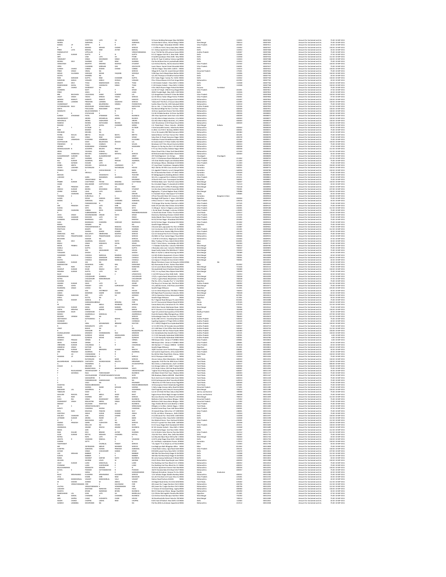| HARIDAS<br>NEERAJ<br>KARAN                                                                       |                       | CHATTERII<br>AGRAWA                               | LATE                         | <b>SH</b>                                   | MOHINI                                                  | 53 Saran Building Ramnagar New DellNDIA<br>14 State Bank Colony Munsif Marg CINDIA<br>KI 65 Kavi Nagar  Ghaziabad 201002  INDIA<br>L I C Officers Flat 8, Darya Ganj New DNDIA                                                  | Delhi<br>West Benga<br>Uttar Prade                                             |                        | 110055                               | 00007404                                     | Amount for Unclaimed and Uni                                                                                                                               | 75.00 10-SEP-2011                                                                                    |
|--------------------------------------------------------------------------------------------------|-----------------------|---------------------------------------------------|------------------------------|---------------------------------------------|---------------------------------------------------------|---------------------------------------------------------------------------------------------------------------------------------------------------------------------------------------------------------------------------------|--------------------------------------------------------------------------------|------------------------|--------------------------------------|----------------------------------------------|------------------------------------------------------------------------------------------------------------------------------------------------------------|------------------------------------------------------------------------------------------------------|
|                                                                                                  | m                     | <b>SETHI</b><br>MAHNA                             | MEHAI                        | CHAND                                       | AGRAWAL<br>SETHI<br>SERVICE                             |                                                                                                                                                                                                                                 | Delhi                                                                          |                        | 110003                               | 00007405<br>00007405<br>00007447             | Amount for Unclaimed and University<br>Amount for Unclaimed and University<br>Amount for Unclaimed and University                                          | 75.00 10-SEP-2011<br>48.50 10-SEP-2011<br>118.50 10-SEP-2011                                         |
| PREM<br>PADMAVATHY                                                                               | LATA                  | BANSAL<br>UPPULUR                                 | RAM                          | <b>AVTAB</b>                                | BANSAL<br>VENKATARAMANA                                 | G-1 Vishwa Apartment 3 Shankra ChaNDIA<br>H.no.7-93.flat No.105.vamuna Sarasy(NDIA                                                                                                                                              | Delhi<br>Andhra Pradesh                                                        |                        | 110054<br>520007                     | 00007468<br>00007484                         | Amount for Unclaimed and Un<br>Amount for Unclaimed and Uni                                                                                                | 43.50 10-SEP-2011<br>75.00 10-SEP-2011                                                               |
| SHIV                                                                                             | KUMA                  | <b>GUPTA</b>                                      |                              | $\mathbf{N}$                                | <b>GUPTA</b>                                            |                                                                                                                                                                                                                                 | Delhi                                                                          |                        | 110046                               | 00007500                                     | Amount for Unclaimed and Un                                                                                                                                | 37.50 10-SEP-2011                                                                                    |
| .<br>ARTI<br>TARANJEET                                                                           | DEVI                  | VAID<br>SINGH                                     | LATÉ<br>MOHINDEI<br>CHET     | SINGH                                       | PYARE<br>SERVICE                                        |                                                                                                                                                                                                                                 | Delhi<br>Delhi                                                                 |                        | 110058<br>110024                     | 00007556<br>00007588<br>00007589             | Amount for Unclaimed and Un<br>Amount for Unclaimed and Un                                                                                                 | 112.50 10-SEP-2011<br>118.50 10-SEP-2011                                                             |
| MUNNI<br>VÉNKATÉSE<br>VIPIN                                                                      |                       | SHARMA<br>MURTHY<br>CHANDRA                       | KRISHNA<br>GIRDHAR           | RAM<br>MURTAY<br>DAS                        | SHARMA<br>STUDENT<br>ADVOCATE                           | Laxmi Niwas Gujrati Street MoradabaNDIA                                                                                                                                                                                         | Delhi<br>Uttar Pradesh<br>Uttar Pradesh                                        |                        | 110022<br>253502<br>244001           | 00007610<br>00007627                         | Amount for Unclaimed and Un<br>Amount for Unclaimed and Un<br>Amount for Unclaimed and Un                                                                  | 75.00 10-SEP-2011<br>118.50 10-SEP-2011<br>75.00 10-SEP-2011                                         |
| sunes-<br>PREM                                                                                   | CHAND<br>Churley      | VARMA<br>VIMAL                                    | <b>DIWAN</b><br>NA.          | CHAND                                       | VARMA<br>SERVICE                                        | 190 Kirti Nagar New Delhi 110015 0NDIA<br>Village & Po-bijni Dt.-mandi [himachJNDIA                                                                                                                                             | Delhi<br><b>Himachal Pradest</b>                                               |                        | 110015<br>175001                     | 00007641<br>00007664                         | Amount for Unclaimed and Un<br>Amount for Unclaimed and Un                                                                                                 | 11850 105FR2011<br>75.00 10-SEP-2011                                                                 |
| MOHD<br>SAVITA                                                                                   | <b>SULEMAN</b>        | snovni                                            | MOHD                         | YAQOOE                                      | siporqu                                                 | .<br>5196 Opp Unchi Masjid Bazar BallimatNDIA                                                                                                                                                                                   | Delhi                                                                          |                        | 1000                                 | nnnnn <sub>684</sub><br>00007745             | Amount for Unclaimed and University<br>Amount for Unclaimed and University<br>Amount for Unclaimed and University                                          | 118.50 10-SEP-2011                                                                                   |
| RAM<br>NARAYAN                                                                                   | KANWAR<br>KARLIN      | SHARMA<br>GUPTA<br>VANJAR                         | na<br>Ram<br>KARLII          | CHANDER<br>DONUH                            | NA<br>GUPTA<br>VANJARI                                  | U/u 201 Pitampura Vishakha Enclave INDIA<br>8 S.1 Yadav Nagar  Samey Pur  Delhi 1INDIA<br>Pitru Chhava Bhavan At & Post AmgarNDIA                                                                                               | Delhi<br>Delhi<br>Maharashtra                                                  |                        | 110034<br>110042<br>441902           | 00007760<br>00007765                         | Amount for Unclaimed and Un                                                                                                                                | 43.50 10-SEP-2011<br>118.50 10-SEP-2011<br>43.50 10-SEP-2011                                         |
| KRANTI<br><b>RAMESHWAI</b>                                                                       | DEVI<br>DAYAL         | TYAGE<br>TYAGE                                    | <b>BAMESHWAI</b><br>SHEONATH | DAYAL<br>SINGH                              | TYAGI<br>TYAGI                                          | E 130 Greater Kailash I New Delhi 11/NDIA<br>E 130 Greater Kailash I New Delhi 11/NDIA                                                                                                                                          | Delhi<br>Delhi                                                                 |                        | 110048<br>110048                     | 00007766<br>00007768                         | Amount for Unclaimed and Un<br>Amount for Unclaimed and Un                                                                                                 | 118.50 10-SEP-2011<br>118.50 10-SEP-2011                                                             |
| san<br>CHANDR                                                                                    | CHAND                 | SEHRAWAT<br>WATI                                  | NA                           |                                             | XA.                                                     | H No 166/b Shyam Nagar Palwal DistINDIA<br>C/o Mr G P Singh 206/10 Arya NagariNDIA<br>20/62 Punjabi Bagh New Delhi 11000NDIA                                                                                                    | Haryana<br><b>Uttar Pradesh</b>                                                | Faridaba               | 201001                               | 00007813<br>00007821                         | Amount for Unclaimed and Un                                                                                                                                | 75.00 10 SEP-2011                                                                                    |
| PREM<br>BRU                                                                                      | BHUSHAN               | <b>JAWA</b><br>LALDUGGAL                          | SHAM                         | SUNDER                                      | SINGH<br>JAWA<br>LAL                                    | C/o Gangeshwar Limited P O Deo BanNDIA                                                                                                                                                                                          | <b>Uttar Pradesh</b>                                                           |                        | 110026<br>247554                     | 00007832<br>00007838                         | Amount for Unclaimed and Un<br>Amount for Unclaimed and Un<br>Amount for Unclaimed and Un                                                                  | 37.50 10-SEP-2011<br>43.50 10-SEP-2011<br>118.50 10-SEP-2011                                         |
| <b>JAGAT</b><br>MANDA                                                                            | SINGH<br>MARUTI       | YADAV<br>KAMATE                                   | MNOC<br>MARUTI               | YADAV<br>ABA                                | SERVICE<br>KAMATE                                       | S/o Sh Minno Yaday Village Puthar PoNDIA<br>A 5/02 H O C Colony Rasayani Dist RaINDIA                                                                                                                                           | Uttar Pradesh<br>Maharashtra                                                   |                        | 250001<br>410207                     | 00007846<br>00007850                         | Amount for Unclaimed and Un<br>Amount for Unclaimed and Un                                                                                                 | 37.50 10-SEP-2011<br>118.50 10-SEP-2011                                                              |
| .<br>CHANDRAKAT                                                                                  | LAXMAN                | -<br>Ingili                                       | AXMAN<br>ALKRISH             | SADASHIV                                    | SERVICE<br>FEDERATION                                   | - Sylut II of Columny Malayant Dist Karl Down<br>Sarkha Nivas Post No 1203 GokulpettNDIA<br>Qtr.no. Lidc - 2, Paul Colony, MacherliNDIA                                                                                         | Maharashtı                                                                     |                        | 422005<br>440010                     | 00007926                                     | Amount for Unclaimed and Uni<br>Amount for Unclaimed and Uni<br>Amount for Unclaimed and Uni                                                               | 118.50 10:58P-2011<br>75.00 10:58P-2011<br>112.50 10:58P-2011                                        |
| SATYANARAYAN<br>SMITA                                                                            | RAJU                  | MUDUNURI<br>PAHLAJANI                             | VENKATARAJL<br>RAIKUMAR      | HOUSE                                       | EMPLOYER<br>WIFE                                        | Nav Ratna B Bldg Flat No 4 1st Floor 3NDIA                                                                                                                                                                                      | manarasnus<br>Maharashtra<br>Andhra Pradesh<br>Maharashtra                     |                        | 522426<br>400049                     | 00007950<br>00007951                         | Amount for Unclaimed and Un                                                                                                                                | 118.50 10-SEP-2011                                                                                   |
| MANNATH                                                                                          |                       | BALACHANDRAN<br><b>STATACHAR</b>                  |                              |                                             |                                                         | 16 Drion Apartment Domer Park WarlNDIA<br>C/o Mr M Balachandran 16 Drion ApaINDIA                                                                                                                                               | Maharashtra<br>Maharashtra                                                     |                        | 400026<br>400026                     | 00008000<br>00008001                         | Amount for Unclaimed and Un<br>Amount for Unclaimed and Un                                                                                                 | 118.50 10-SEP-2011<br>11850 105FR2011                                                                |
| SURESH<br>MAHESHWATI                                                                             | ATMARAM               | PATEL<br>ARORA                                    | <b>STMARAM</b><br>MOHANLA    | PATEL                                       | BUSINESS<br>BUSIESS                                     | 205 Wikis Apartment Janki Kutir JuhulNDIA<br>C/o M/s Montis Bajaj Industries, A-5,isNDIA<br>C/o M/s Montis Bajaj Industries, A-5,isNDIA                                                                                         | Maharashtr<br>Maharashtr                                                       |                        | 400049                               | 00008071                                     | Amount for Unclaimed and Un<br>Amount for Unclaimed and Un                                                                                                 | 225.00 10-SEP-2011<br>118.50 10-SEP-2011                                                             |
| MOHANLAL<br><b>RAMESH</b>                                                                        |                       | ARORA<br>ROHINA                                   | SADHURAM<br>HOTCHAND         | KOHINA                                      | ARORA<br>BUSINESS                                       | O/o M/s Monts Bajaj Industries, A-5, INDIA<br>14/3 Shivniketan 14 M K Road ChurchNDIA                                                                                                                                           | Maharashtri<br>Maharashtri                                                     |                        | 400003<br>400020                     | 00008078<br>00008157                         | Amount for Unclaimed and Un<br>Amount for Unclaimed and Un                                                                                                 | 118.50 10-SEP-2011<br>118.50 10-SEP-2011                                                             |
| RASHMI                                                                                           |                       | <b>GUPTA</b><br>OLTIKAR                           | GOPAL                        | CHANDER                                     | GRISH<br>OLTIKAR                                        | 4 A. Tiliala Road 1 Floor, Calcutta - 46/NDIA                                                                                                                                                                                   | West Bengal<br>Maharash                                                        | Kolkata                | 400603                               | 00008241<br>00008249                         | Amount for Unclaimed and Un<br>Amount for Unclaimed and Un                                                                                                 | 118.50 10-SEP-2011<br>43.50 10-SEP-2011                                                              |
| RAM<br>DIWAKA                                                                                    |                       | BHARAT<br>MISHIN                                  | <b>NA</b>                    |                                             | .<br>NA<br>.<br>KA                                      | .<br>4 Samnarauddhi Society Adarsha NayNDIA<br>Ins Bela C/o R M O Bombay 400001 INDIA                                                                                                                                           | Maharashtr<br>Maharashtri                                                      |                        | 400001<br>400083                     | 00008251<br>00008252                         | America for Hockinsed and Un                                                                                                                               | 75.00 10-SEP-2011<br>43.50 10-SEP-2011                                                               |
| PATRIC<br>VIMALA                                                                                 | NICLAS<br>DAVI        | ERITTO<br>SINGH                                   | NILLAS<br>RAM                | BASTU<br>SANEH                              | витто<br>SINGH                                          | Co.sri Sb Jawaie, 198/7862<br>KamamutNDIA<br>Gabrial Manor 1st Floor Tarrace Flat 1NDIA<br>Satya Ram Ki Chawl Hanuman Nagar INDIA                                                                                               | Maharashtra<br>Maharashtra                                                     |                        | 401201<br>400078                     | 00008276<br>00008290                         | Amount for Unclaimed and Un<br>Amount for Unclaimed and Un<br>Amount for Unclaimed and Un                                                                  | 75.00 10-SEP-2011<br>75.00 10-SEP-2011                                                               |
| SUDHIR<br>SAVITAGAURI                                                                            | <b>JANARDA?</b>       | KULKARN                                           | <b>JANARDAN</b><br>BALDEVOAS | KESHAV                                      | KULKARNI                                                | Prabhakar Prasad Shraddhanand RoadNDIA<br>61 Savita Sadan Ii Fl Near Vaibly HoteNDIA                                                                                                                                            | Maharashtra<br>Maharashtra                                                     |                        | 421201<br>400059                     | 00008317<br>00008343                         | Amount for Unclaimed and Un<br>Amount for Unclaimed and Un                                                                                                 | 75.00 10-SEP-2011<br>118.50 10-SEP-2011                                                              |
| FREDERICK                                                                                        | $\circ$               | SHAH<br>SOUZA<br>NADKAR                           | CHARLES<br>ATMARAN           |                                             | LAL<br>SOUZA                                            | Brindavan A/17 Shiv Shrusti Kurla EasiNDM                                                                                                                                                                                       | Maharashtr                                                                     |                        | 400024<br>400028                     | 00008380<br>00008426                         | Amount for Unclaimed and Un                                                                                                                                | 75.00 10-SEP-2011                                                                                    |
| MANGAL                                                                                           |                       | ACHARYA<br>YAVAGAL                                | BALDEV<br>KUSHAL             | PRASAD                                      | <b>NADKARD</b>                                          | Mayoor Co Op Hig Soc,flat C-19 Collettible<br>E-72 Jay View Society Sahakar Nagar JNDIA<br>Khare Chawl R No 2 Near Dutt MandilNDIA                                                                                              | Maharashtr<br>Maharashtra<br>Maharashtra                                       |                        | 400058<br>421503                     | 00008444                                     | Amount for Unclaimed and Un<br>Amount for Unclaimed and Un<br>Amount for Unclaimed and Un                                                                  | 37.50 10-SEP-2011<br>112.50 10-SEP-2011<br>112.50 10-SEP-2011                                        |
| ARUN<br>MOIZ                                                                                     | SHARAFAL              | MITHIYA                                           | <b>SHARAFALI</b>             | RAO<br>MITHIYA                              | SERVICE                                                 | 60 Mohammedali Road Akber ChambINDIA                                                                                                                                                                                            | Maharashtra                                                                    |                        | 400003                               | 00008501<br>00008528                         | Amount for Unclaimed and Un                                                                                                                                | 43.50 10-SEP-2011                                                                                    |
| ALAGA<br>WAM<br>RAMA                                                                             | SUNDER<br>DATE        | RAJAN<br>SHARMA                                   | <b>ALAGARSWAM</b><br>DEVI    | DATT                                        | ARMY<br>SHARMA                                          | 297 Field Regiment C/o 56 Apo<br>INDM<br>25/2 C Y Chintamani Road Allahabad INDIA                                                                                                                                               | Chandigarh<br>Uttar Pradesh                                                    | Chandigart             | 211002                               | 00008690<br>00008703                         | Amount for Unclaimed and Un<br>Amount for Unclaimed and Un                                                                                                 | 37.50 10-SEP-2011<br>112.50 10-SEP-2011                                                              |
|                                                                                                  | KUMAR<br>IQTIDAF      | AGARWA<br>HUSAIN<br>DSOUZA                        | BANI<br>LATE                 | PRASAD<br>SH                                | <b>GARWA</b><br>WEY                                     | 1972 - Lomanum Hans Pinnisha Hano<br>195 Chak Madho Singh Lane AllahabaNDIA<br>18 Sultanpur Bhava Allahabad 21100NDIA<br>37 Lloyd Road Cooketown BangaloreNDIA                                                                  | Uttar Pradesh<br>Uttar Pradesh                                                 |                        | -------<br>211003<br>211003          | 00008712                                     | Amount for Unclaimed and Uni<br>Amount for Unclaimed and Uni<br>Amount for Unclaimed and Uni                                                               | 75.00 10-SEP-2011<br>75.00 10-SEP-2011<br>150.00 10-SEP-2011                                         |
| MABE<br>VUAYA                                                                                    | GRETA<br>LAKSHMI      | NATARAJAN                                         | NICHOLAS                     | LAWRANCE<br>NATARAJAN                       | HOUSE                                                   | 90/1 Old No 39 Fifth Cross Srirama PrNDIA                                                                                                                                                                                       | Kamataka<br>Kamataka                                                           |                        | 560005<br>560021                     | 00008745<br>00008774                         | Amount for Unclaimed and Un                                                                                                                                | 118.50 10-SEP-2011                                                                                   |
| PRABHL                                                                                           | SWAMY                 | SRIVALLI                                          | SHIVALINGAIAH                |                                             | <b>BANK</b><br>RADHA                                    | C/o Janadish Prakash r.g.no.9, BanzaliNDIA<br>No.19 Govines Ban Street, K.P. West RNDIA                                                                                                                                         | Kamataka<br>Kamataka                                                           |                        | 560056<br>560020                     | 00008786<br>00008797                         | Amount for Unclaimed and Un<br>Amount for Unclaimed and Un                                                                                                 | 118.50 10-SEP-2011<br>75.00 10-SEP-2011                                                              |
| MOHAN<br>LAKSHM                                                                                  |                       | CARO                                              | VIŠWANATH<br>RAINARAIN       | <b>AGARWAL</b>                              | TEACHER<br>HOUSE                                        | Middagangamma Building Behind LINDIA<br>W/o Sh.r.n.agarwal R/o A-266,brij ViHNDIA<br>W/o Sh.r.n.agarwal R/o A-266,brij ViHNDIA                                                                                                  | Kamataka<br>Uttar Prades                                                       |                        | 572201<br>201011                     | 00008819<br>00008831                         | Amount for Unclaimed and Un<br>Amount for Unclaimed and Un                                                                                                 | 75.00 10-SEP-2011<br>43.50 10-SEP-2011                                                               |
| PRABI                                                                                            | KUMAI                 | <b>VÉNKATARAC</b><br>CHATTERUEE                   | PATAK                        | KRISHNA                                     | ENGINEER<br>CHATTERJES                                  | 24 North Park Cross  Kumarapark EastNDIA<br>59 Khelat Babu Lane  Tala Park CalcutINDIA                                                                                                                                          | Kamataka<br>West Bengal                                                        |                        | 56000<br>70003                       | 00008837<br>00008852                         | Amount for Unclaimed and Un<br>Amount for Unclaimed and Un                                                                                                 | 75.00 10-SEP-2011<br>118.50 10-SEP-2011                                                              |
| CHABI<br>OM                                                                                      | PRAKASE               | MAJUMDER                                          | CHITOTOSH                    | MAJUMDER                                    | kam                                                     | No.12 kailash Nazar, P.o.bandel.dt.hdNDIA<br>Birla Jute & Ind T U Office Po Birlagur INDV                                                                                                                                       | West Bengal<br>West Bengal                                                     |                        | 712123<br>743318                     | 00008903<br>00008905                         | Amount for Unclaimed and Un<br>Amount for Unclaimed and Un                                                                                                 | 43.50 10-SEP-2011<br>11850 105FR2011                                                                 |
| <b>DIMFS</b>                                                                                     | KUMAR<br><b>KUMA</b>  | JOSHI<br>BOHRA                                    | LATE<br>DEVKARAN             | <b>SH</b><br><b>BOHRA</b>                   | STUDENT                                                 | C/o Dev Karan Bohra Hotel Anand BldINDM                                                                                                                                                                                         | Maninez                                                                        |                        | roson<br>700081                      | 00008908<br>0000894                          | Amount for Unclaimed and Un                                                                                                                                | 237.00 10-SEP-2011                                                                                   |
| ASHIM                                                                                            | CHANDRA               | LAHA<br>SEKARAN                                   | LATE<br>NA                   | UMAPATI                                     | LAHA<br>DRIVER<br>KURUVILLA                             | Superintendent International September<br>1999 - Sandath House, Mannapra P.O. PalNDIA<br>1999 - All Floor, 6th Main Sth Cross, Jr. M. INDIA<br>1999 - All Floor, 6th Main Sth Cross, Jr. M. INDIA                               | West Bengal<br>Kerala<br>Kamataka                                              |                        | 678685                               | 00008963<br>00000018                         | Amount for Unclaimed and University<br>Amount for Unclaimed and University<br>Amount for Unclaimed and University                                          | 118.50 10-SEP-2011<br>43.50 10-SEP-2011                                                              |
| THOMAS<br>ALWIN                                                                                  |                       | KURUVILLA<br>DESSA                                | SAMUEL                       | DESSA                                       | SERVICE                                                 | Rambagh Staff Quarter 2 Jaipur 3020NDIA                                                                                                                                                                                         | Rajasthan                                                                      | <b>Bangalore Urbar</b> | 302004                               | 00000059                                     | Amount for Unclaimed and Un                                                                                                                                | 150.00 10-SEP-2011<br>75.00 10-SEP-2011                                                              |
| SEEMA                                                                                            |                       | AGRAWA<br>PARAMASIVAM                             | VIKAS                        | CHANDRA<br><b>SUBBIAH</b>                   | AGRAWAL<br>KONAR                                        | .<br>A 961/2 Sector 4 Indira Nagar LuckneNDIA<br>75 B Ganga Vihar Society Chainhat LuNDIA                                                                                                                                       | Uttar Pradesh<br>Uttar Pradesh                                                 |                        | 226016<br>227105                     | 00009134<br>00009142                         | Amount for Unclaimed and Un<br>Amount for Unclaimed and Un                                                                                                 | 43.50 10-SEP-2011<br>75.00 10-SEP-2011                                                               |
| OM<br>SUDHA                                                                                      | PRAKASE               | SAHL<br>SETH                                      | LATE                         | SHRI<br>KRISHNA                             | SAHU<br>SAHU<br>SETH                                    | cothi Of Late Sahu Ram Kishan 26 SatNDIA                                                                                                                                                                                        | Uttar Pradesh<br><b>Uttar Pradesi</b>                                          |                        | 262001                               | 00009147<br>00009188                         | Amount for Unclaimed and Un                                                                                                                                | 75.00 10-SEP-2011<br>112.50 10-SEP-2011<br>75.00 10-SEP-2011                                         |
| <b>GIRISH</b>                                                                                    | <b>CHANDR</b>         | VARMA<br>SUBRAMANIAN                              | BAL<br>DAYA<br>$_{\rm N}$    | SHANKAR                                     | VARMA<br>RAMAKRISHNANIAN                                | 11 Alkapuri: Sector C Aliganj LucknowNDIA<br>L 9a Jail Road: Charbagh: Lucknow 22INDIA<br>11 North Eda Street Puthur Tiruchira/NDIA                                                                                             | <b>Uttar Pradesi</b><br><b>Tamil Nadu</b>                                      |                        | 226001<br>226005<br>620017           | 00009224<br>00009353                         | Amount for Unclaimed and Un<br>Amount for Unclaimed and Un<br>Amount for Unclaimed and Un                                                                  | 118.50 10-SEP-2011                                                                                   |
| USHA<br><b>DURGA</b>                                                                             | SINGH<br>SHANKER      | WOONSINGHEE<br><b>DWIVED</b>                      | ONKAI<br>LATE                | NATH<br>\$H                                 | SINGH<br>RAMA                                           | Electricity Workshop Division D.60/63NDIA<br>Geeta Mandir Near Police Lane Road INDIA                                                                                                                                           | <b>Uttar Pradesh</b><br>Uttar Pradesh                                          |                        | 221010<br>231001                     | 00009406<br>00009416                         | Amount for Unclaimed and Un<br>Amount for Unclaimed and Un                                                                                                 | 43.50 10-SEP-2011<br>75.00 10-SEP-2011                                                               |
| CHANDI<br>ALKA<br>REENA                                                                          |                       | RHARDAVA<br>HARGAVA                               | LATE<br>CHANDRI              | SHEKHAI                                     | :<br>Ramesh<br>Bhargay/                                 |                                                                                                                                                                                                                                 | Uttar Pradesi<br>Uttar Pradesi                                                 |                        | 201002<br>20100                      | nnnnas!<br>mmes                              | Amount for Unclaimed and Uni<br>Amount for Unclaimed and Uni<br>Amount for Unclaimed and Uni                                                               | 75.00 10-SEP-2011<br>75.00 10-SEP-2011<br>75.00 10-SEP-2011                                          |
|                                                                                                  |                       | SAINANI<br>PANCHAPAKESAN R                        | NA                           |                                             | NΑ<br>PAKESAN                                           |                                                                                                                                                                                                                                 | Rajasthan                                                                      |                        | 311001                               | 00009449                                     |                                                                                                                                                            | 75.00 10-SEP-2011                                                                                    |
| BASKARAN<br>PRATYLISH<br><b>USHA</b>                                                             |                       | BHARTI<br>SAXENA                                  | OM<br><b>ASHOK</b>           | RANCHA<br>PRAKASH<br>KUMAR                  | SHARMA<br>SAXENA                                        | .<br>210, virat Aptt., opp: wala Puri No. 5 NINDIA<br>C/o S.b.sharma, B-221, Sector-19, NoINDIA<br>C/o Ashok Kumar Saxena Mfg Chemis/NDIA                                                                                       | Delhi<br>Uttar Pradesh<br>Uttar Pradesh                                        |                        | 110087<br>201301<br>244245           | 00009461<br>00009468<br>00009489             | Amount for Unclaimed and Un<br>Amount for Unclaimed and Un<br>Amount for Unclaimed and Un                                                                  | 112.50 10-SEP-2011<br>43.50 10-SEP-2011                                                              |
| SRINIVASA<br>KALPANA                                                                             | -<br>HADIM            | .<br>NALLAPATI<br>GAVALE                          | .<br>PRADIPIOJ               | MURTHY                                      | SERVICE<br>SERVICE<br>SERVICE                           | C/o Ashok Kumar Saxema Mig ChemisiNOM<br>C/o G E Karanja Post N A D K Aranja DNDIA<br>45/1801 Ist Floor Vartak Nagar ThaneNDIA                                                                                                  | Maharashtri<br>Maharashtri                                                     |                        | 00704<br>00606                       | 00009535                                     | Amount for Unclaimed and Un<br>Amount for Unclaimed and Un                                                                                                 | 75.00 10-SEP-2011<br>43.50 10-SEP-2011                                                               |
| BHUSHAN                                                                                          |                       | KAKADE                                            |                              |                                             | SERVICE<br>AGARWAI                                      | 1 4 69 M S E B Colony  Begampura AuNDIA<br>Bihar Trading,i St Floor, Adarsh MarkeNDIA                                                                                                                                           | Maharashtra                                                                    |                        | 431004<br>834001                     | 00009591                                     | Amount for Unclaimed and Un<br>Amount for Unclaimed and Un                                                                                                 | 37.50 10-SEP-2011<br>43.50 10-SEP-2011                                                               |
| <b>BINA</b><br><b>BINDU</b>                                                                      | DEVI                  | AGARWA<br>SINHA                                   | KAILASH<br>KANHAIYA          | NATH<br>DAYAL                               | SINHA                                                   | N 65/1 Telco Colony Jamshedpur 831NDIA                                                                                                                                                                                          | Bihar                                                                          |                        | 831004                               | 00009731<br>00009747                         | Amount for Unclaimed and Un                                                                                                                                | 75.00 10-SEP-2011                                                                                    |
| MAHA<br>KAMLA                                                                                    | PRABHU                | DHAR<br><b>GUPTA</b>                              | LATE<br>KALI                 | <b>SH</b><br>CHARAN                         | ASHUTOSH<br><b>GUPTA</b>                                | 7 C Natabar Dutta Row Calcutta 7008NDIA<br>4 Ramiidas Jatia Lane Calcutta 70000NDM                                                                                                                                              | West Bengal<br>West Bengal                                                     |                        | 700012<br>700007                     | 00009785<br>00009893                         | Amount for Unclaimed and Un<br>Amount for Unclaimed and Un                                                                                                 | 43.50 10-SEP-2011<br>75.00 10-SEP-2011                                                               |
| PROVA                                                                                            |                       | SEN                                               | UMASANK                      | sew                                         | HOUSE                                                   | -<br>Copal Sudha Sadan Plot 846 Block P INDIA<br>Block A-16,flat 5, Kalindi Housing EstaNDIA<br>C/o M/s Elektro Equipments 32,ezra SNDIA                                                                                        | West Benga<br>West Benga                                                       |                        | zoooss                               | nnnnoss:                                     | Amount for Unclaimed and Un<br>Amount for Unclaimed and Un<br>Amount for Unclaimed and Un                                                                  | 75.00 10-SEP-2011                                                                                    |
| TUNGASRI<br>DAMODER<br>JITEN                                                                     | NANDLAI               | GHOSH<br>CHAWLA<br><b>CHAWLA</b>                  | NANDLAL<br>DAMODAR           | RAMDAS<br>NANDLAL                           | GHOSH<br>CHAWLA<br>CHAWLA                               | C/o M/s Elektro Equipments 32,ezra SNDIA                                                                                                                                                                                        | West Benga<br>West Bengal                                                      |                        | 700089<br>700001<br>700001           | 00009384<br>00010008<br>00010009             | Amount for Unclaimed and Un                                                                                                                                | 43.50 10-SEP-2011<br>43.50 10-SEP-2011<br>118.50 10-SEP-2011                                         |
| KAVITA<br>SHAMBHU                                                                                | KUMAR                 | CHAWLA<br>.<br>HA                                 | DAMODAR<br>NA                | <b>NANDLAL</b>                              | CHAWLA<br>SERVICE                                       | C/o Kapoor S Chawla 54 Eira Street CINDIA<br>Bharat Petroleum Corpn Ltd Hong KoHONG KONG<br>M/s Ramawatar & Sons Station RoadNDIA                                                                                               | West Bengal<br>NA                                                              | NA                     | 700001                               | 00010013<br>00010048                         | Amount for Unclaimed and Un<br>Amount for Unclaimed and Un                                                                                                 | 43.50 10-SEP-2011<br>43.50 10-SEP-2011                                                               |
| BAMAWATA                                                                                         |                       | <b>DIDWANI</b>                                    | nn<br>Surai<br>Late<br>Raghu | MAL                                         | DIDWANI<br>DIDWANIA<br>NARAYAN                          |                                                                                                                                                                                                                                 |                                                                                |                        | 812003                               | 00010093                                     | Amount for Unclaimed and Un                                                                                                                                | 43.50 10-SEP-2011                                                                                    |
| <b>SITA</b><br>SWARU                                                                             | ram<br>Kumar          | FALOR<br>DHAR                                     |                              | SH<br>NATH                                  | DHAR                                                    | C/o Sri Laxmi Bastra Bhandar ParbatipNDIA<br>50,new 63old  Sarat Chatterjee Road INDIA                                                                                                                                          | West Bengal<br>West Benga                                                      |                        | 721636<br>700089                     | 00010110<br>00010170                         | Amount for Unclaimed and Un<br>Amount for Unclaimed and Un                                                                                                 | 75.00 10-SEP-2011<br>118.50 10-SEP-2011                                                              |
| MAHESH<br>RAJIV                                                                                  | KUMAR                 | <b>GUPTA</b><br>KUMAR                             | LATE                         | <b>SH</b><br>c                              | <b>JAGDISH</b><br>UPADHYAYA                             | P-42, S.n.roy Road, New Alipore ExterINDIA<br>C12/378 Yamuna Vihar Delhi Delhi INDIA                                                                                                                                            | West Bengal<br>Delhi                                                           |                        | 700039<br>110053                     | 00010179<br>00010226                         | Amount for Unclaimed and Un<br>Amount for Unclaimed and Un                                                                                                 | 75.00 10-SEP-2011<br>43.50 10-SEP-2011                                                               |
| MANORANJAN<br>RATNA<br>SUSHMA                                                                    |                       | CHOUDHUR<br>CHOUDHUR                              | GOBINDA<br>MANORAN           |                                             | CHOUDHUR<br>CHOUDHUR<br>MALLICK                         | 173/5,r.n.guha Road, Masjid Gate, KolNDIA                                                                                                                                                                                       | West Benea                                                                     |                        | 700028<br>700028<br>302012           | 00010299<br>0001030                          | Amount for Unclaimed and Un                                                                                                                                | 37.50 10-SEP-2011                                                                                    |
| ASHOKE                                                                                           | KUMAR                 | MALLIO<br>SAHA                                    | LATE                         | \$H                                         | ADHR                                                    | 173/5,cn.guita Road, Masjid Gate, KolNDIA<br>Plot No. 225-a, Vasuder Puri "a", Jho1NDIA<br>Flat No.g-2,sri Srinivas Apt. Plot No.63NDIA                                                                                         | West Bengal<br>Rajasthan<br>Andhra Pradesi                                     |                        | 500092                               | 00010300<br>00010301<br>00010310             | Amount for Unclaimed and Uni<br>Amount for Unclaimed and Uni<br>Amount for Unclaimed and Uni                                                               | 37.50 10:56P-2011<br>75.00 10:56P-2011<br>112.50 10:56P-2011                                         |
| GANGA<br>RAJENDRA                                                                                | SAHAI<br>SINGH        | PANDEY<br>LODHA                                   | LATE<br>NA                   | SURYAKAN                                    | PANDEY<br>NA                                            | 311, rabindra Sarani, li Nd Floor, roomINDIA<br>Gandhi Nagar Bhilwara<br>INDM                                                                                                                                                   | West Bengal<br>Rajasthan                                                       |                        | 700006<br>311001                     | 00010371<br>00010378                         | Amount for Unclaimed and Un<br>Amount for Unclaimed and Un                                                                                                 | 75.00 10-SEP-2011<br>225.00 10-SEP-2011                                                              |
| HARNA<br>-rimitaa<br>Asima<br>Prabhu                                                             |                       | DAS<br><b>BANERIEI</b>                            | <b>JYOTIRMO'</b>             | DAS                                         | HOUSE                                                   | Co Sri Chitta Ranjan Das 736 Block PINDIA<br>8/9 Digla Road Po.dumdum Calcutta INDIA<br>159 Co Operative Colony BokarosteelINDIA                                                                                                | West Benea<br>West Bengi<br>Jharkhand                                          |                        | 700053                               | 00010401<br>00010403<br>00010413             | Amount for Unclaimed and Un                                                                                                                                | 43.50 10-SEP-2011                                                                                    |
| SIMUL                                                                                            | NARAYAN               | BANER<br>ROY<br>DUTTA                             | SAMIR<br>LATE<br>NA          | KUMAJ<br>SH                                 | BANERJES<br>GORAKH<br>NΑ                                |                                                                                                                                                                                                                                 | Rajasthar                                                                      |                        |                                      |                                              | Amount for Unclaimed and Un<br>Amount for Unclaimed and Un                                                                                                 | 43.50 10-SEP-2011<br>118.50 10-SEP-2011                                                              |
| KAMAL                                                                                            | KISHOF                | <b>AGIWAL</b><br><b>HARIHARAS</b>                 | AK.                          | KRISHNA                                     | AGIWAL<br><b>IYER</b>                                   | Gandhi Nagar Bhilwara<br>No 7 Digonal Road Bistupur Po Ja<br>Xvi 157 Kunnummel Manjeri Road MJNDIA                                                                                                                              | <b>Bihar</b><br>Kerala                                                         |                        | 311001<br>831001<br>676505           | 00010430<br>00010488<br>00010508             | Amount for Unclaimed and Un<br>Amount for Unclaimed and Un<br>Amount for Unclaimed and Un                                                                  | 43.50 10-SEP-2011<br>75.00 10-SEP-2011<br>118.50 10-SEP-2011                                         |
| M<br>SANTOSI                                                                                     | KUMAR                 | AHMED<br>KEDIA                                    | ABDUL<br>LAXMI               | RAHIMAN<br>NANAIN                           | SERVICE<br>KEDIA                                        | Canara Bank, irithy Cannanore Dt. Pin (NDIA<br>10413 Ram Narain Mulcheriee Road, INDIA                                                                                                                                          | Kerala<br>West Bengal                                                          |                        | 670703<br>700051                     | 00010534<br>00010542                         | Amount for Unclaimed and Un<br>Amount for Unclaimed and Un                                                                                                 | 112.50 10-SEP-2011<br>75.00 10-SEP-2011                                                              |
| GOPAL                                                                                            | OUSHNA                | .<br>Najeriya                                     | MAND                         | CHANDR                                      | BARUA<br>CHANDHOKE<br>AGARWALLA                         | M R T Division A S E B Rehabari GuwalNDIA                                                                                                                                                                                       | Assam<br>Madhya Pradesi                                                        |                        | 781001                               | 00010551                                     | Amount for Unclaimed and University<br>Amount for Unclaimed and University<br>Amount for Unclaimed and University                                          | 75.00 10-56P-2011<br>118.50 10-56P-2011<br>43.50 10-56P-2011<br>237.00 10-56P-2011                   |
| GAIINDER<br>MANOJ<br>BALRAM                                                                      | KALIR<br>VIKBAM       | CHANDHOKI<br>AGARWALLA<br>SINGH                   | MANGILAI                     |                                             | SERVICE                                                 | Type V/1,central Govt.quaters,e-8 ShaNDIA<br>Overnite Express Bldg. Bhangarah,g.s.INDIA<br>Schlumbenter Seaco Inc Post Box 1 DINDIA                                                                                             | Assan<br>Assam                                                                 |                        | 462016<br>781005<br>786602           | 00010563<br>00010597<br>00010619             | Amount for Unclaimed and Un                                                                                                                                | 112.50 10-SEP-2011                                                                                   |
| GEETHADEVI<br>SHANKAR                                                                            |                       | KOTHAMASU                                         | NA                           | RADHA                                       | KRISHNA<br>CHINNIAH                                     | Or No. 208 C B H F L Treambin Bamari NDM                                                                                                                                                                                        | Andhra Pradesh<br><b>Andhra Dradesh</b>                                        |                        | 500032<br>533105                     | 00010624<br>00010666                         | Amount for Unclaimed and Un<br>America for Unclaimed and Un                                                                                                | 75.00 10-SEP-2011<br>43.50 10-SEP-2011                                                               |
| MOHAMMED                                                                                         |                       | SIRAJ                                             |                              |                                             | DOCTOR                                                  | Superbing Engineer A P Paper Mills LtdNDIA<br>23 1 1030/5 Moghal Pura HyderabadINDIA<br>12 13 205 St No 18 Taranaka SecundiNDIA<br>23 5 460 Near O Post Office Shali BariNDIA                                                   | Andhra Pradest                                                                 |                        |                                      | 00010672                                     | Amount for Unclaimed and Un                                                                                                                                | 118.50 10-SEP-2011                                                                                   |
| VINAY                                                                                            |                       | RANGANATH<br>BHAVE                                | LATE                         | \$H                                         |                                                         |                                                                                                                                                                                                                                 | Andhra Pradesh<br>Andhra Pradesh                                               |                        | 50000                                |                                              |                                                                                                                                                            |                                                                                                      |
| DHANALAKSHM                                                                                      |                       | SESHADR<br>GRANDHI                                | M<br>VEERABHADRA             | RAD                                         | RAIAGOPALAN<br>GRANDH                                   | C/o Ritz Hotel Hill Fort Palace HyderaNDIA                                                                                                                                                                                      |                                                                                |                        | 50001<br>500265                      | 00010719<br>00010736                         | Amount for Unclaimed and Un<br>Amount for Unclaimed and Un                                                                                                 | 75.00 10-SEP-2011<br>112.50 10-SEP-2011                                                              |
|                                                                                                  |                       | QURASHI                                           |                              |                                             |                                                         | C/o Veerabhadra Rao Grandhi Door NINDIA                                                                                                                                                                                         | Andhra Pradesh<br>Andhra Pradesh                                               |                        | 500483<br>533101                     | 00010741<br>00010763                         | Amount for Unclaimed and Un<br>Amount for Unclaimed and Un                                                                                                 | 150.00 10-SEP-2011<br>118.50 10-SEP-2011                                                             |
| MOHD                                                                                             | VIKARUDDE             |                                                   | MOHD<br>MOHD                 | <b>ANFESIDOR</b><br><b>MKUDD</b>            | QURASHI                                                 | 11 2 225 Nampally Hyderabad 50000NDIA                                                                                                                                                                                           | Andhra Pradesh                                                                 |                        | 500001                               | 00010783<br>0001078                          | Amount for Unclaimed and Un                                                                                                                                | 6.00 10-SEP-2011                                                                                     |
| MIZEENA<br>SANESH<br>ARUN                                                                        | PRASAD<br>KUMAR       |                                                   |                              |                                             |                                                         |                                                                                                                                                                                                                                 |                                                                                |                        | 500001<br>209801<br>209801           | 0010834                                      |                                                                                                                                                            |                                                                                                      |
| VIRENDRA<br>ANIMESH                                                                              | KUMAR<br>SINGH        | QURASHI<br>VERMA<br>VERMA<br>CHAURASIA<br>KATIYAR | NA                           |                                             | QURASHI<br>QURASHI<br>VERMA<br>VERMA<br>CHAURASIA<br>NA | 11 2 225 Nampally Hyderabad 5000000004<br>908 Kalyani Devi Unnao U P 209801 INDIA<br>908 Kalyani Devi Unnao U P 209801 INDIA<br>363 Nankari II T Kanpur 208016 KaINDIA<br>Gandhi Nagar Bhilwara<br>INDIA                        | Andhra Pradesh<br>Uttar Pradesh<br>Uttar Pradesh<br>Uttar Pradesh<br>Rajasthan |                        | 208016<br>311001                     | 00010835<br>00010841<br>00010853             | Amount for Unclaimed and Uni<br>Amount for Unclaimed and Uni<br>Amount for Unclaimed and Uni<br>Amount for Unclaimed and Un<br>Amount for Unclaimed and Un | 6.00 10-SEP-2011<br>6.00 10-SEP-2011<br>43.50 10-SEP-2011<br>43.50 10-SEP-2011<br>118.50 10-SEP-2011 |
| <b>SWAPAN</b>                                                                                    | KUMAR                 | BAGCHI                                            | <b>BIRENDRA</b>              | KUMAF                                       | BAGOHI                                                  | 18/87 Kurswan Lane The Mall Kanpur NDIA                                                                                                                                                                                         | Uttar Pradesh                                                                  |                        | 208001                               | 00010905                                     | Amount for Unclaimed and Un                                                                                                                                | 43.50 10-SEP-2011                                                                                    |
| oм                                                                                               |                       |                                                   |                              |                                             |                                                         | .<br>3/2-b,shristi Apartments, 10-b,madarINDM<br>No.18.first Main Road West. Shenov INDM                                                                                                                                        |                                                                                |                        |                                      | 00010991<br>00011009                         | .<br>Amount for Unclaimed and Un<br>Amount for Unclaimed and Un                                                                                            | 43.50 10-SEP-2011<br>118.50 10-SEP-2011                                                              |
|                                                                                                  |                       | SINGHNARULA<br>NATARAJAN                          |                              | <b>BANK</b>                                 | NARLILA<br>SERVICE                                      | Sd-12 Pitampura Delhi Delhi<br>any West Mambal<br>20,ram Col                                                                                                                                                                    | Delhi<br>Tamil Nadu                                                            |                        | 110034<br>600033                     | 00011026<br>00011053                         | Amount for Unclaimed and Un<br>Amount for Unclaimed and Un<br>Amount for Unclaimed and Uni                                                                 | 75.00 10-SEP-2011<br>118.50 10-SEP-2011                                                              |
| BALAKRISHNAN                                                                                     | CHENAYAPRATH          | CHATHOTH<br>YEGAMMAI                              | MUNDAYADAN                   | KELOTH                                      | KRISHNAN<br>AVUDAYAPPAN                                 | Jayapraba R 60 Plot No 3850 Anna NINDIA<br>W/o Seenu.c.chidambaram. 4a/4-i ArlNDIA<br>Cin Omera Cables Itd. 16817 IndustrialNIN                                                                                                 | <b>Tamil Nadu</b><br><b>Tamil Nadu</b>                                         |                        | 600040<br>620017                     | 00011072<br>00011089                         | Amount for Unclaimed and Un                                                                                                                                | 118.50 10-SEP-2011<br>300.00 10-SEP-2011                                                             |
| KHAUD                                                                                            |                       | KBUHARI<br>HARATHMAI                              |                              |                                             | <b>SALES</b>                                            | A 52 Hi<br>u Colony 100 Feet Road NatNDIA                                                                                                                                                                                       | Tamil Nadu                                                                     |                        | 600058<br>500061                     | 00011091<br>00011094                         | Amount for Unclaimed and Un                                                                                                                                | 150.00 10-SEP-2011<br>75.00 10-SEP-2011                                                              |
|                                                                                                  | RAJALAKSHMI           | VEDANTACHARY<br>RAJU                              | <b>FONN'SWAM</b>             |                                             | VEDANTACHAR!<br>BUSINESS                                | "raghav"24,ist Road,jaya Nagar TambiNDIA<br>256 Maint Street Park Town Madras INDIA                                                                                                                                             | Tamil Nadu<br>Tamil Nadu<br>Tamil Nadu                                         |                        | 600047<br>600003                     | 00011156<br>00011157                         | Amount for Unclaimed and University<br>Amount for Unclaimed and University<br>Amount for Unclaimed and University                                          | 43.50 10-SEP-2011<br>75.00 10-SEP-2011                                                               |
|                                                                                                  |                       | SADAGOPAN                                         | VIJAYALAKSHMI ITTAPARTHASAR  | <b><i><u>AHOUSE</u></i></b><br>SELVAPERUMAL | wife<br>SERVICE                                         | 94b Roadway Madras 600108 MadriNDIA<br>No. 6 2nd Cross St United India ColomBUDIA                                                                                                                                               | <b>Tamil Nadu</b><br><b>Tamil Nadu</b>                                         |                        | 600108                               | 00011167<br>00011228                         | Amount for Unclaimed and Uni<br>Amount for Unclaimed and Un                                                                                                | 43.50 10-SEP-2011<br>75.00 10-SEP-2011                                                               |
|                                                                                                  |                       | PARAMESWARI<br>VASU                               | SHANNUGAM                    |                                             | .<br>NA<br>ENGINEER                                     | 8-222 kallasapuram bhel Township BENDM                                                                                                                                                                                          | <b>Tamil Nadu</b><br><b>Tamil Nadu</b>                                         |                        | 600024<br>620014<br>50004            | 00011232<br>00011270                         | Amount for Unclaimed and Un<br>Amount for Unclaimed and Un                                                                                                 | 75.00 10-SEP-2011<br>75.00 10-SEP-2011                                                               |
| SHANTH<br>RAJAN                                                                                  |                       | RAMAS<br>SAXENA                                   | INDER                        | MOHAZ                                       | RAMASUI<br>SAXENA                                       |                                                                                                                                                                                                                                 | Tamil Nadu<br>Himachal Pradesh                                                 |                        | 603001<br>171001                     | 00011337<br>00011385                         | Amount for Unclaimed and Un<br>Amount for Unclaimed and Un                                                                                                 | 75.00 10-SEP-2011<br>75.00 10-SEP-2011                                                               |
| BANWAR<br>TABASUM                                                                                | LAL                   | <b>AGGARWAL</b><br>SHAH                           | $_{\mathrm{N}}$              | D                                           | AGGARWAI<br>SHAH                                        | Chief Engineer (retd.) Heq-55 HousingNDIA<br>C/o Dr G N Shah Nrl Barc Zakura NaseNDIA                                                                                                                                           | West Bengal<br>Jammu and Kashmi                                                |                        | 700013<br>190006                     | 00011386<br>00011393                         | Amount for Unclaimed and Un<br>Amount for Unclaimed and Un                                                                                                 | 118.50 10-SEP-2011<br>75.00 10-SEP-2011                                                              |
| GHULAM                                                                                           | <b>RASOOL</b>         | <b>BHAT</b><br>GHABMA                             | ABDUL                        | AHAD                                        | BHAT                                                    | Sagina House Wazir Bagh Srinagar KatNDIA                                                                                                                                                                                        | Jammu and Kashmi                                                               |                        | 190008                               | 00011400                                     | Amount for Unclaimed and Un                                                                                                                                | 75.00 10-SEP-2011                                                                                    |
| SITA<br>SUKH                                                                                     | uu<br>W               | <b>UNGH</b>                                       | JEET<br>DHAMMANT             |                                             |                                                         |                                                                                                                                                                                                                                 |                                                                                |                        |                                      |                                              |                                                                                                                                                            |                                                                                                      |
| DHANWAN<br>MIDHAT                                                                                | singe                 | MALHOTRA<br>KALISHAR                              | KIRPAL<br>MAHFOOZ            | RAM<br>SINGH<br>SINGH<br>ALI                | SERVICE<br>BUSINESS<br>MALHOTRA<br><b>BUSINESS</b>      | - Winter Theme Wall Lage Stranger Karriston<br>Malhotra Cloth House Bazar Bhojpur SNDIA<br>Malhotra Cloth House Bazar Bhojpur SNDIA<br>Malhotra Cloth House Bazar Bhojpur SNDIA<br>Vega Textiles 88 Civil Lines Barelly U INDIA | West Bengal<br>Himachal Pradesh<br>Himachal Pradesh<br>Uttar Pradesh           |                        | 700013<br>700013<br>175002<br>243001 | 00011409<br>00011409<br>00011412<br>00011436 | Amount for Unclaimed and Uni<br>Amount for Unclaimed and Uni<br>Amount for Unclaimed and Uni<br>Amount for Unclaimed and Un                                | 112.50 10-SEP-2011<br>75.00 10-SEP-2011<br>75.00 10-SEP-2011<br>75.00 10-SEP-2011                    |
| M<br>SHRVTI                                                                                      | s                     | VENKATACHALAM V<br>CHADDHA                        | NIVESH                       |                                             | SRINIVASAN<br>CHADDHA                                   | H96/g4,t.n.h.b.flats, Valmiki Nagar, I SNDIA<br><b>Anarkoli Sarea Shon Town Hall MorariNDIA</b>                                                                                                                                 | <b>Tamil Nadu</b><br>Uttar Pradesh                                             |                        | 600041<br>244001                     | 00011483<br>00011521                         | Amount for Unclaimed and Un<br>Amount for Unclaimed and Uni                                                                                                | 43.50 10-SEP-2011<br>375010-99-2011                                                                  |
| RITA<br>SANTOSH                                                                                  | <b>BANI</b>           | MUKHIJA<br>ANEJA                                  | PAWAN<br>SUSHIL              | KUMAI                                       | .<br>SELF<br>ANEJA                                      |                                                                                                                                                                                                                                 | Uttar Pradesh<br>Delhi                                                         |                        | 248001<br>110034                     | 00011546<br>00011563                         |                                                                                                                                                            | 75.00 10-SEP-2011<br>75.00 10-SEP-2011                                                               |
| KAILASH<br>JATINDER                                                                              | CHANDER<br>KUMAR      | jain<br>Arora                                     | GOKAL<br>INDER               | KUMAR<br>CHAND                              | JAIN<br>BANK                                            | Pressure and the Daniel School of Subside May Debra Dan U P 2480NDIA<br>8-178, Lok Nihar, Pitampura , Delhi DINDIA<br>8-178, Lok Nihar, Pitampura , Delhi 1100SNDIA<br>6-172 Naraina Vihar . New Delhi 1100SNDIA                | Delhi<br>Delhi                                                                 |                        | 110058<br>110028                     | 00011597<br>00011598                         | Amount for Unclaimed and University<br>Amount for Unclaimed and University<br>Amount for Unclaimed and University<br>Amount for Unclaimed and University   | 118.50 10-SEP-2011<br>112.50 10-SEP-2011                                                             |
| D<br>ANAND                                                                                       | PRAKASH               | <b>BAHUGUNA</b><br>SARIN                          | LATE<br><b>YUDHISTER</b>     | \$H<br><b>MA</b>                            | SHRI<br>SERVICE                                         | Dev Medical Stores Pauri Garfrwal DisNDIA<br>8.3.6/17.a janak Puri New Delhi Delitarita                                                                                                                                         | <b>Uttar Pradesh</b><br>Delhi                                                  |                        | 246001<br>110058                     | 00011618<br>00011673                         | Amount for Unclaimed and Uni<br>Amount for Unclaimed and Un                                                                                                | 112.50 10-SEP-2011<br>118.50 10-SEP-2011                                                             |
| MADHU<br>ANURADHA                                                                                |                       | MULLICK                                           | NÄ<br>RAVISH                 | HOUSE<br>ANAND                              | wife<br><b>BUSINESS</b>                                 |                                                                                                                                                                                                                                 | Uttar Pradesh                                                                  |                        | 201011<br>110048                     | 00011683                                     | Amount for Unclaimed and Un                                                                                                                                | 118.50 10-SEP-2011<br>118.50 10-SEP-2011                                                             |
|                                                                                                  | DULARI                |                                                   | .<br>BRAHM                   | .<br>AUTAR                                  |                                                         | 8115 Surya Nagar Distt Gaziabad 201NDIA<br>M 101 Greater Kailash I New Delhi 11NDIA<br>M 101 Greater Kailash I New Delhi 11NDIA                                                                                                 | Delhi<br><b>Uttar Pradesi</b>                                                  |                        |                                      | 00011689                                     |                                                                                                                                                            |                                                                                                      |
| nisha<br>Kam<br>ALOK<br>RATNA                                                                    | KUMAR                 | JAIN<br>DEVI<br>MITTAL<br>ROYE                    | KRISHAN<br>LATE              | CHANDRA                                     | JAIN<br>SHARMA<br>MITTAL                                | D 148 Kamla Nagar lind Floor Delhi 3NDIA<br>C/o Sri Brahm Avtar Sharma Para BazıNDIA<br>J-8,iii Rd Floor, Saket, New Delhi NewNDIA                                                                                              | Delhi<br>West Bengal                                                           |                        | 110007<br>202412<br>110007<br>700040 | 00011699<br>00011715<br>00011735<br>00011744 | Amount for Unclaimed and Un<br>Amount for Unclaimed and Un<br>Amount for Unclaimed and Un<br>Amount for Unclaimed and Uni<br>Amount for Unclaimed and Un   | 112.50 10-SEP-2011<br>112.50 10-SEP-2011<br>75.00 10-SEP-2011<br>43.50 10-SEP-2011                   |
| <b>JASOTA</b><br><b>SUMAN</b>                                                                    | $\mathbf{R}$          | VASWAN                                            | <b>RAMLAL</b>                | SH<br>N                                     | VASWANI                                                 |                                                                                                                                                                                                                                 | Delhi                                                                          |                        | 110023                               | 00011750                                     | Amount for Unclaimed and Un                                                                                                                                | 11850 10-550-2011                                                                                    |
|                                                                                                  |                       | semy                                              | CHUNILA                      | PANDIT                                      | service                                                 |                                                                                                                                                                                                                                 | Kamataka<br>Delhi                                                              |                        | 570012                               | 00011765<br>00011790                         | Amount for Unclaimed and Un                                                                                                                                | 118.50 10-SEP-2011<br>43.50 10-SEP-2011                                                              |
|                                                                                                  |                       | ZAFIRLIDDIN<br>AGRAWAL                            | ABDUR<br>SOHAN               | RAHMAN<br>PRAKASH                           | SERVICE<br>AGRAWA)                                      | J-sur mor racts, savet, new "and "and" College Affice Start Start Start Start Start Start Start Start Start Start Start Start Start Start Start Start Start Start Start Start Start Start Start Start Start Start Start Start   | Bihar<br><b>Uttar Pradesh</b>                                                  |                        | 110063<br>812002<br>204101           | 00011808<br>00011825                         | Amount for Unclaimed and Un<br>Amount for Unclaimed and Un<br>Amount for Unclaimed and Un                                                                  | 75.00 10-SEP-2011<br>118.50 10-SEP-2011                                                              |
|                                                                                                  | KRISHAN               | SINGH<br><b>BABBAR</b>                            | CHOUDHAR                     | KARAN                                       | SINGH<br>BABIBAR                                        | 2 State Bank Colony Agra Road HatheNDIA<br>B-9/6281, vasant Kunj, New Delhi 110/NDIA<br>360 Dda Flat New Raniit Nasar N DellINDIA                                                                                               | Delhi<br>Delhi                                                                 |                        | 110070<br>110008                     | 00011842<br>00011848                         | Amount for Unclaimed and Un<br>Amount for Unclaimed and Un                                                                                                 | 237.00 10-SEP-2011<br>112.50 10-SEP-2011                                                             |
|                                                                                                  |                       | <b>BARRAS</b><br>WARL                             | .<br>KARTAR                  | .<br>NATH                                   |                                                         |                                                                                                                                                                                                                                 |                                                                                |                        |                                      |                                              |                                                                                                                                                            |                                                                                                      |
|                                                                                                  |                       | GEORGE                                            | LOUIS                        | M                                           | BABBAR<br>BUSINESS<br>GEORGE                            | 360 Dda Flat New Renjt Nager N DellNDIA<br>Mr.rama Swarup Sabherwal, D-83,delNDIA<br>414/2 Oleria West Opp Masjid Lane NNDIA                                                                                                    | Delhi<br>Delhi<br>Maharashtra                                                  |                        | 110008<br>110024<br>400059           | 00011849<br>00011854<br>00011988             | Amount for Unclaimed and Uni<br>Amount for Unclaimed and Uni<br>Amount for Unclaimed and Uni                                                               | 112.50 10:58P-2011<br>48.50 10:58P-2011<br>118.50 10:58P-2011                                        |
| YASHPANDI<br>MD<br><b>SUMITRA</b><br>SHYAM<br>LAD<br>SUNITA<br>RAMA<br>WILSON<br>VIJAY<br>POONAM | KUMAR                 | LUND<br>LUND                                      | KANAYALAL<br>VUAYKUMAR       |                                             | LUND<br>LUND                                            | Puri Building 2nd Floor Block N 15 14INDIA<br>Puri Building 2nd Floor Block No 15 1INDIA                                                                                                                                        | Maharashtra<br>Maharashtra                                                     |                        | 400052<br>400052                     | 00012010<br>00012021                         | Amount for Unclaimed and Un<br>Amount for Unclaimed and Un                                                                                                 | 75.00 10-SEP-2011<br>75.00 10-SEP-2011                                                               |
|                                                                                                  |                       | MANNATH                                           | MENON<br>SATYANARAYA         |                                             |                                                         | 16 Orion Apartment Oomer Park WarNDIA                                                                                                                                                                                           | Maharashtra                                                                    |                        | 400026<br>400057                     | 00012035                                     | Amount for Unclaimed and Un                                                                                                                                | 118.50 10-SEP-2011                                                                                   |
| BALACHANDRAN<br>SUSHIL                                                                           | KRISHNARAO            | PODDAR<br>SANAL<br>KULKARN                        | KRISHNARAG                   | KULKARN                                     | ODDAR<br>SANGAD<br>SERVICE                              |                                                                                                                                                                                                                                 | Maharashtr<br>Kerala<br>Maharashtra                                            | Fenabulan              | 100031                               | 00012037<br>00012182                         | Amount for Unclaimed and Un<br>Amount for Unclaimed and Un                                                                                                 | 75.00 10-SEP-2011<br>43.50 10-SEP-2011<br>75.00 10-SEP-2011                                          |
| RAIN<br>ATUL<br>JIGNESH                                                                          | <b>MANOHERLAL</b>     | KHARE<br>VASANT                                   | SHRI<br>MANOHERLAI           | RAM<br>VALE                                 | BAHADUE<br>VASANT                                       | 20 Senata Bala M G Road Vile PINDIA<br>Palekudy Nirmakam Kanjoor Po Via ANDIA<br>7/14 Sahakar Nagar Wadala Bombay INDIA<br>5/0.shri R.b.khare 2/17,avas Vikas ColNDIA<br>Station Road Pachora 424201<br>INDIA                   | <b>Uttar Pradesh</b><br>Maharashtra                                            |                        | 225001<br>424201                     | 00012192<br>00012197                         | Amount for Unclaimed and Un<br>Amount for Unclaimed and Un<br>Amount for Unclaimed and Un                                                                  | 43.50 10-SEP-2011<br>43.50 10-SEP-2011                                                               |
| ${\mathsf M}$                                                                                    | SHAHD<br>VENKATANAMAN | AHMED<br>mER                                      | M                            | <b>ABDUL</b><br>KALYANAM                    | <b>WAHD</b><br>mer                                      | 23 Eideah Road Ambur N A Dist 6356(NDM<br>er No.7 sagar Darshan Chil SeNDIA                                                                                                                                                     | <b>Tamil Nadu</b><br>Maharashtra                                               |                        | 635602<br>400706                     | 00012200<br>00012204                         | Amount for Unclaimed and Un<br>Amount for Unclaimed and Un                                                                                                 | 112.50 10-SEP-2011<br>112.50 10-SEP-2011                                                             |
|                                                                                                  |                       | VENKATA                                           | NARAYAN                      | www.asaman.<br>VENKARAMAN<br>HOUSE          | YÉR<br>HOLD                                             | 401, tower No.7, sagar Darshan Chal SeNDIA                                                                                                                                                                                      | Maharashtri                                                                    |                        | 400701                               | 00012205<br>00012218                         |                                                                                                                                                            | 112.50 10-SEP-2011                                                                                   |
| n<br>Lalitha<br>Shanta<br><b>RAMESHWAR</b>                                                       | LAL                   | GHOTAGE<br>BIYANI<br>SONI                         | NARSINGI<br>LATE             | BIYANI<br><b>SH</b>                         | <b>BUSINESS</b><br>BHERULALII                           | 17 Visawa 10 Saraswati Baug JogeswINDIA<br>M1/13 Heeramani Ratan Bangur NagNDIA<br>C/o Chhiter Mal Jagdish Chandra Bho/NDIA                                                                                                     | Maharashtra<br>Maharashtra<br>Rajasthan                                        |                        | 400060<br>400090<br>311001           | 00012268<br>00012301                         | Amount for Unclaimed and Un<br>Amount for Unclaimed and Un<br>Amount for Unclaimed and Un<br>Amount for Unclaimed and Un                                   | 118.50 10-SEP-2011<br>43.50 10-SEP-2011<br>37.50 10-SEP-2011                                         |
| MR<br>MIS                                                                                        | KAMAI<br>SHIPRA       | CHANDRA<br>CHAKI                                  | SUSHANTA                     | CHANDRA<br>CHAKI                            | <b>BUSINESS</b><br>HOUSE                                | C/o Krishna Stores Baruiour Kachhari INDIA<br>36 Shankharitolla Street Calcutta 700/NDM                                                                                                                                         |                                                                                |                        | 743302<br>700014                     | 00012334<br>00012389                         | Amount for Unclaimed and Uni<br>Amount for Unclaimed and Un                                                                                                | 75.00 10-SEP-2011<br>75.00 10-SEP-2011                                                               |
| WAŻIE<br>GANESI                                                                                  | CHAND<br>LIMBAR       | CHOPRA<br>DESHPAN                                 | LADHA<br>NA                  | <b>BAM</b>                                  | CHOPRA<br>NA.                                           | 8 201 East Of Kailash New Delhi 1108NDIA<br>Flat No.(204) A, vrindavan AppartmentNDM                                                                                                                                            | West Bengal<br>West Bengal<br>Dchi<br>Maharas                                  |                        | 10065<br>413512                      | 00012461<br>00012508                         | Amount for Unclaimed and Un<br>Amount for Unclaimed and Un                                                                                                 | 43.50 10-SEP-2011<br>75.00 10-SEP-2011                                                               |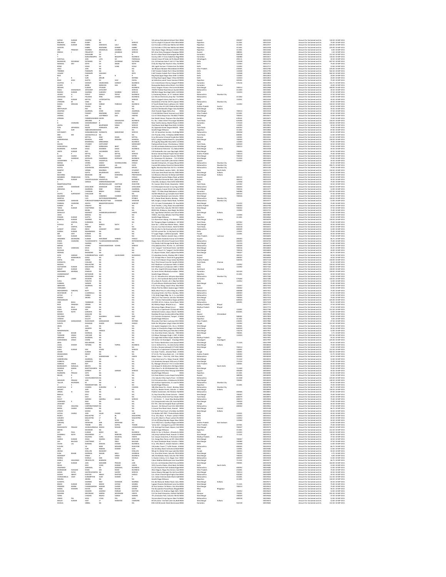| SATISH<br>KUMAR                                          | CHOPRA                                          | M                                   | $\mathbf{M}$                        |                                           | 101.ashrya Park behind Arihant Park INDIA                                                                                                                                                                                  | Guiarat                                             |                            | 395007                                                    | 00012539                                     | Amount for Unclaimed and Uni                                                                                                | 118.50 10-SEP-2011                                                                 |
|----------------------------------------------------------|-------------------------------------------------|-------------------------------------|-------------------------------------|-------------------------------------------|----------------------------------------------------------------------------------------------------------------------------------------------------------------------------------------------------------------------------|-----------------------------------------------------|----------------------------|-----------------------------------------------------------|----------------------------------------------|-----------------------------------------------------------------------------------------------------------------------------|------------------------------------------------------------------------------------|
| KRISHNA<br>RAJENDI<br>DHAR<br>KUMAR                      | DUBEY<br>KABRA                                  | <b>NA<br/>KANHAMA</b><br>RAJÉNDRA   |                                     | SERVICE<br>KABRA<br>KABRA                 | Co., Jam ya Pangamma Amani ya Katoliki<br>Co Rickabra 17/03, near Mahila AsheNDIA<br>Co Rickabra 17/03, near Mahila AsheNDIA                                                                                               | i<br>Rajasthan<br>Rajasthan<br>Rajasthan            |                            | $\begin{array}{c} 311001 \\ 311001 \\ 311001 \end{array}$ | 00012545<br>00012557<br>00012558             | Amount for Unclaimed and University<br>Amount for Unclaimed and University<br>Amount for Unclaimed and University           | 75.00 10-SEP-2011<br>225.00 10-SEP-2011<br>225.00 10-SEP-2011                      |
| GAYATRI<br>OM<br><b>PRAKASE</b>                          | KABRA<br>SHARMA                                 | ANANDEAL                            | LALI<br>KUMAR<br>SHARMA             | SERVICE                                   |                                                                                                                                                                                                                            | Rajasthar                                           |                            | 311001                                                    | 00012566                                     | Amount for Unclaimed and Un                                                                                                 | 6.00 10-SEP-2011                                                                   |
| DINESH                                                   | PRAJAPATI<br>SESHAGIR                           | ŚH<br><b>SH</b>                     | <b>JASHBHAI</b>                     | SERVICE                                   | 10/a Shastri Nagar Bhilwara 311001 INDIA<br>B/h Amul Dairy Roopapura Roopapur/INDIA<br>No 63 ly Main Road Chamaraipet BarrNDIA                                                                                             | Gujarat<br>Kamataka                                 |                            | 388001<br>560018                                          | 00012602<br>00012613                         | Amount for Unclaimed and Un<br>Amount for Unclaimed and Uni                                                                 | 1.50 10-SEP-2011<br>112.50 10-SEP-2011                                             |
| KANTILAI                                                 | NANJUNDA<br>JAIN                                | SH<br>LATE                          | <b>BOGAPPA</b>                      | BUSINESS<br>PANNALA                       | Soumya 284 17 Cross Sadashiwa NagaNDIA<br>Cement Corpn Of India Ltd Po MandhINDIA                                                                                                                                          | Kamataka<br>Chhatting                               |                            | 560080<br>493111                                          | 00012617<br>00012676                         | Amount for Unclaimed and Un<br>Amount for Unclaimed and Un                                                                  | 11650 10-SEP-2011<br>43.50 10-SEP-2011                                             |
| BHAGWAN<br>MANGAL<br>DAYARAM                             | DATWAN<br>SETHI                                 | SH<br>SH                            | DAYARAM<br>AMAR                     | PANNALAI<br>DATWANI<br>NATH               | C/o J B Overseas Sales P Ltd A 17 NarJNDIA<br>A-2b,33c Mig Flats Paschim Vihar, NeINDIA                                                                                                                                    | Delhi<br>Delhi                                      |                            | 110028<br>110063                                          | 00012706<br>00012711                         | Amount for Unclaimed and Un<br>Amount for Unclaimed and Un                                                                  | 607.50 10-SEP-2011<br>75.00 10-SEP-2011                                            |
| ROMI<br>ANJU                                             | KOHLI<br><b>JAIN</b>                            | \$H<br>NA<br>NA                     | SUNIL                               | конц                                      | 181 Jagriti Enclave I P Estate Extr ParINDIA<br>lain Rhawan Baradari Moradahad 24/N/NA                                                                                                                                     | Delhi<br>Uttar Pradesh                              |                            | 110092<br>244001                                          | 00012717<br>00012784                         | Amount for Unclaimed and Uni<br>Amount for Unclaimed and Un                                                                 | 12.00 10-SEP-2011<br>225.00.10/99.2011                                             |
| TRIMBAL<br>VASANT                                        | PARANJPE<br>PARANJP                             | VASUDEC                             |                                     | NA<br>NA<br>RETD                          | E 607 Greater Kailash Part Ii New DelBNDIA<br>E 607 Greater Kallash Part II New DellINDIA                                                                                                                                  | Delhi                                               |                            | 110048<br>110048                                          | 00012795<br>00012803                         | Amount for Unclaimed and Un                                                                                                 | 562.50 10-SEP-2011<br>562.50 10-SEP-2011                                           |
| RAVI                                                     | SUR<br>SURI                                     | SH<br>ARSURI                        | b                                   | n<br>RETIRED                              | <b>Ring Road, Jajpat Nagar New Delhi 110NDIA<br/>53 Ring Road Lajpat Nagar 3 New DelINDIA</b>                                                                                                                              | Delhi<br>Delhi<br>Delhi                             |                            | 110002<br>110024                                          | 00012810<br>00012812                         | Amount for Unclaimed and University<br>Amount for Unclaimed and University<br>Amount for Unclaimed and University           | 24.00 10-SEP-2011<br>24.00 10-SEP-2011                                             |
| RISHI<br>KESH<br>SAVITHA                                 | GUPTA<br>SHENOY                                 | \$H<br><b>VNAISHIM</b>              | SHIV<br>SHENOY                      | DAYAL<br><b>BUSINESS</b>                  | Jai Sellection, nanak Tower Sanatan DINDIA<br>C/o V.shantharam Shenoy Gangulli PilNDIA<br>Narayandas Boob,cotton Merch- EntsINDIA                                                                                          | Rajasthar<br>Kamataka                               |                            | 305901<br>576216                                          | 00012840<br>00012003                         | Amount for Unclaimed and Un<br>Amount for Unclaimed and Un<br>Amount for Unclaimed and Un                                   | 75.00 10-SEP-2011<br>141.75 10-SEP-2011                                            |
| KAVERI<br>MICHAE                                         | <b>BOOS</b><br>KUMA                             | NARAYAN                             | DAS                                 | soos<br><b>BEKINFOR</b>                   |                                                                                                                                                                                                                            | Kamataka<br>West Bengi                              | Raichur                    | 700013                                                    | 00012904<br>00012968                         | Amount for Unclaimed and Un                                                                                                 | 24.00 10-SEP-2011                                                                  |
| DHANAI<br>KUMAIR<br>ogali<br>Rakesp                      | JAYAVAN<br>SHARMA                               | TPVNAIR<br>JAYAVANT<br>SUKHDEV      | SHARMA                              | SERVICE<br>SERVICE                        | Learyanum Bookscotter meetir Linderbook<br>1997 - Tangam Finance 19e Cormel BINDIA<br>190 Rishi Nagar Rani Bagh Delhi 1100NDIA<br>190 Rishi Nagar Rani Bagh Delhi 1100NDIA                                                 | Maharashtra<br>Delhi                                |                            | 411004<br>110034                                          | 00013065<br>0001309                          | Amount for Unclaimed and Un<br>Amount for Unclaimed and Un                                                                  | 300.00 10-SEP-2011<br>43.50 10-SEP-2011<br>37.50 10-SEP-2011                       |
| JAYANT<br>ACHALDAS                                       | POPAT<br>PALESHA                                | GANGJI<br>HIRA                      | POPAT<br>CHAND                      | <b>BUSINESS</b><br><b>BUSINESS</b>        | 3, Pandurang Niwas , Gr. Fl. Subhash INDIA<br>C/o Vikram Electronics, shop No.7 AshINDIA                                                                                                                                   | Maharashtra<br>Maharashtra                          | Mumbai City                | 411002                                                    | 00013191<br>00013204                         | Amount for Unclaimed and Un<br>Amount for Unclaimed and Un                                                                  | 37.50 10-SEP-2011<br>12.00 10-SEP-2011                                             |
| VINOD<br>KUMAR<br><b>ITFNDRA</b>                         | MITTAL<br>VAKIL<br>TALWAR                       | LATEPCMITTAL<br>NA<br>SHRAM         |                                     | SERVICE<br>NA<br>BUSINESS                 | 331/c-2,rajgarh Colony Gali No.2 P.o.(NDM                                                                                                                                                                                  | Delhi<br>Maharashtra                                | Mumbai City                | 110031                                                    | 00013240                                     | Amount for Unclaimed and Un                                                                                                 | 4350.105922011                                                                     |
| A<br>20SHAN<br>KEWAL<br>NINU                             | DSHAH                                           | NA                                  | PARKASE                             | NA.                                       | Saapooragen County Centre Formula<br>27 South Model Gram Ludhiana-141 INDIA<br>Kold Kunj Pino 55-124/2 Behind RailwiNDIA                                                                                                   | nnanarasntra<br>Punjab<br>Andhra Pradesh            |                            | 141002                                                    | 00013257<br>00013295<br>00013308             | Amount for Unclaimed and Uni<br>Amount for Unclaimed and Uni<br>Amount for Unclaimed and Uni                                | 48.50 10:56P-2011<br>118.50 10:56P-2011<br>48.50 10:56P-2011                       |
| MRITYUNJAY<br>ANUPAM                                     | RAY<br>AGARWAL                                  | NA<br>GYAN                          | CHAND                               | NA<br>AGARWAL                             | A.b.9/12 Deshbandhu Nasar Calcutta INDIA<br>45/d Chander Nagar Dehra Dun<br>INDIA                                                                                                                                          | West Bengal<br>West Bengal                          | Kolkata                    | 700013                                                    | 00013518<br>00013544                         | Amount for Unclaimed and Un<br>Amount for Unclaimed and Un                                                                  | 43.50 10-SEP-2011<br>37.50 10-SEP-2011                                             |
| <b>MADHU</b><br>IHARNA<br>KPREMA                         | PANDEY<br>DAS<br>PARMÉSHWA                      | <b>BAJENDRA</b><br><b>JUOTINMO</b>  | NATH<br>DAS                         | PANDEY<br>HWIFEE<br>NA                    | C.k 65/348 Bari Peaari Varanasi (u.p) INDIA                                                                                                                                                                                | Uttar Pradesh                                       |                            | 221001<br>700053<br>678101                                | 00013548<br>00013617<br>00013675             | Amount for Unclaimed and Uni<br><b>Amount for Unclaimed and Un</b><br>Amount for Unclaimed and Un                           | 43.50 10-SEP-2011                                                                  |
|                                                          | aravind<br>Shekarshenot                         |                                     | SESHASAYEE<br>VASUDEO               | BUSINES                                   | Co Sri Chitta Ranjan Das 736 Block PINDIA<br>Kan Nalath House, Thamara Chira RoaNDIA<br>R.c. No. 1 Marii Street Thirunagar MalNDIA<br>Near Vanitha Samaj, Market Road, KatNDIA<br>Near Vanitha Samaj, Market Road, KatNDIA | West Bengal<br>Kerala<br>Tarril Nadu                |                            | 625006<br>574104                                          | 00013696                                     | Amount for Unclaimed and Un<br>Amount for Unclaimed and Un                                                                  | 12.00 10-SEP-2011<br>75.00 10-SEP-2011<br>118.50 10-SEP-2011<br>150.00 10-SEP-2011 |
| CHANDRA<br>JASPAL                                        | KALIR                                           | EHUPINDER                           | SINGH                               | SHENOY<br>SERVICE                         | 15a/56wea Karol Bash New Delhi 110NDIA                                                                                                                                                                                     | Kamataka<br>Delhi                                   |                            | 110005                                                    | 00013748<br>00013822                         | Amount for Unclaimed and Uni                                                                                                | 43.50 10-SEP-2011                                                                  |
| PON<br><b>APPANDA</b><br>còu<br>duit<br>клеш             | RAJAN<br><b>IOBALSINGHDHODNA</b>                | PONNANA                             | <b>JAIN</b><br>MANICYAN             | SERVICE<br>.<br>NA                        | 20, Appandai Street Gingee 604202 INDIA<br>Gandhi Nagar Bhihwara INDIA                                                                                                                                                     | <b>Tamil Nadu</b><br>talasthan<br>Maharashtra       |                            | 604202<br>311001<br>400058                                | 00013835<br>00013866                         | Amount for Unclaimed and Un<br>Amount for Unclaimed and Un                                                                  | 75.00 10-SEP-2011<br>87.00 10-SEP-2011                                             |
| MD<br>MM<br>SAROJ                                        | GANGABHAVANI KVENKATA<br>SADAKATHULLA<br>MITTAL | na<br>Ram                           |                                     | service<br>NA<br>MITTAL                   | 1/6 42 Sarvottam Society Ha BridgeNDIA<br>215 Thambu Chity St Madras 600001NDIA<br>H.no.262,sector-6 Karnal Punjab KarnINDIA                                                                                               | <b>Tamil Nadu</b>                                   |                            | 600001<br>132001                                          | 00013984<br>00014006<br>00014041             | Amount for Unclaimed and University<br>Amount for Unclaimed and University<br>Amount for Unclaimed and University           | 43.50 10-SEP-2011<br>12.00 10-SEP-2011<br>112.50 10-SEP-2011                       |
| HAREKRISHNA                                              | MUNDAL<br>BHARDWAI                              | HARE<br>MRSHARMA                    | DHAN<br>KRISHNA                     | MUNDAL<br><b>BUSINESS</b>                 | G/9/1 Jyangra Hatiara Road Po. JyangINDIA                                                                                                                                                                                  | Haryana<br>West Bengal<br>Delhi                     |                            | 700059<br>110003                                          | 00014166<br>00014179                         | Amount for Unclaimed and Un                                                                                                 | 118.50 10-SEP-2011                                                                 |
| DAVIES<br>SHAKUNTALA                                     | muNNY                                           | comunno<br><b>KXRISHAN</b>          |                                     | <b>MERCHANT</b><br>HOUSE                  | .<br>20 Tyag Raj Marg Mkt New Delhi 110INDIA<br>Padinjarathala House Chembukauu TINDIA                                                                                                                                     | <b>Tamil Nadu</b><br>West Benga                     |                            | 600020<br>700013                                          | 00014201<br>00014312                         | Amount for Unclaimed and Un<br>Amount for Unclaimed and Un<br>Amount for Unclaimed and Un                                   | 75.00 10-SEP-2011<br>43.50 10-SEP-2011<br>75.00 10-SEP-2011                        |
| RAJENDRA<br>KUMAR<br>KUMAR<br>AMITE                      | KBHAT<br>DAGA<br>ROY                            | ASKARAN<br>SACHINDR                 | BHAT<br>DAGA<br>NATH                | BUSINESS<br>ROY                           | -<br>C/o M/s.ambadas Ratansao,kirana MNDIA<br>C/o Multarenal Kishanlal 7/2, BabulaiNDIA<br>3 B Dinabandhu Sen Lane Opp.bagh BNDIA                                                                                          | West Bengal<br>West Bengal                          | Kolkata                    | 700003                                                    | 00014348<br>00014478                         | Amount for Unclaimed and Un<br>Amount for Unclaimed and Un                                                                  | 43.50 10-SEP-2011<br>43.50 10-SEP-2011                                             |
| ALOKE<br>CHAND                                           | MITTAL<br>MITRA                                 | KL.<br>TILAK                        | MITTAL<br>CHAND                     | SERVICE<br>MITRA                          | Director General Naval Project Naval INDIA<br>6a Abinash Ch. Banerjee Calcutta 700INDIA                                                                                                                                    | Andhra Pradesh<br>West Bengal                       |                            | 530014<br>700010                                          | 00014504<br>00014615                         | Amount for Unclaimed and Un<br>Amount for Unclaimed and Un                                                                  | 75.00 10-SEP-2011<br>237.00 10-SEP-2011                                            |
| <b>UMA</b><br>SHANKAF                                    | GOPALK/                                         | SAGARMAI                            | <b>GOPALKA</b>                      | <b>BUSINESS</b>                           | Po. Sitarampur Dt. Burdwan - 713 SSINDIA                                                                                                                                                                                   | West Bengal                                         |                            | 713559<br>382007                                          | 00015024<br>00015044                         | Amount for Unclaimed and Un                                                                                                 | 75.00 10-SEP-2011                                                                  |
| <b>UNAN</b><br>MINNA<br>NANDINI<br>NANDINI               | RAVAL<br>VOMRA<br><b>GUPTA</b>                  | VASANTLAL<br>SANJIV<br>MADAN        | VOHRASVO<br>LAL                     | <b>BROKER</b><br>DAYA                     | For animality at Maxwell 1723 Santon<br>Shri Vinad V.raval,328-1, dee Ashish SINDIA<br>Saurabh Enterprises, 22-vijaya BhuvarNDIA<br>4-ararat-89,medow Street,fort BombaNDIA                                                | .<br>Gujarat<br>Maharashtra<br>Maharashtra          | Mumbai City<br>Mumbai City |                                                           | 00015097<br>00015097<br>00015122             | Amount for Unclaimed and Uni<br>Amount for Unclaimed and Uni<br>Amount for Unclaimed and Uni                                | 48.50 10-SEP-2011<br>48.50 10-SEP-2011<br>990.75 10-SEP-2011                       |
| KAVITA<br>RAMPAT                                         | SODHWANI<br>VERMA                               | KRISHNAPPA<br>RAVERMA               | MAIDAN                              | ERVICE<br>STUDENT                         | Bg/9a, Munirka Dda Flats 327 D.n. RdNDIA<br>2-54 Loha Mandi ,naraina Delhi - 28 INDIA                                                                                                                                      | Maharashtra<br>Delhi                                | Mumbai City<br>North Delhi |                                                           | 00015160<br>00015173                         | Amount for Unclaimed and Un<br>Amount for Unclaimed and Un                                                                  | 75.00 10-SEP-2011<br>118.50 10-SEP-2011                                            |
| UDAY<br>BACHHRAI<br>MANIBEN                              | <b>KAPTA</b><br>EGWAN                           | BALKRISHAM<br>SRI<br>PRABHU         | KAPTA<br>KHIWWRA<br>DAS             | <b>BUSINESS</b><br>PROFESSION<br>HHOLD    | 37/h town Send Road Calcutta 2000/2000/8                                                                                                                                                                                   | West Beneal                                         | Kolkata<br>Kolkata         |                                                           | 00015203<br>00015213<br>00015222             | Amount for Unclaimed and Uni<br>Amount for Unclaimed and Un<br>Amount for Unclaimed and Un                                  | 43.50 10-SEP-2011                                                                  |
| PRAFFILIDA<br>KUMAR<br>MITESH                            | BEWH.<br>PATEL<br>VASANT                        | VASANTLAL<br>EDKREHNA               |                                     | BUSINESS<br>SERVICE                       |                                                                                                                                                                                                                            | West Benga<br>Gujarat<br>Gujarat<br>Delhi           |                            | 383315<br>383315                                          | 00015223                                     | Amount for Unclaimed and Un<br>Amount for Unclaimed and Un                                                                  | 43.50 10-SEP-2011<br>43.50 10-SEP-2011<br>43.50 10-SEP-2011                        |
| <b>RMARTHENAPPAN</b>                                     | SAROJA                                          | ARUNACHALLAM                        | CHETTIAR                            | <b>INVESTOR</b>                           | 35, Voorani West Street, Devakottai -INDIA                                                                                                                                                                                 | <b>Tamil Nadu</b>                                   |                            | 110058<br>623302                                          | 00015229<br>00015243                         | Amount for Unclaimed and Un                                                                                                 | 75.00 10-SEP-2011<br>43.50 10-SEP-2011                                             |
| DAMODAE<br>SUDHIN<br>ARDHANA                             | GHOLAKAR<br><b>AGARWAL</b>                      | DAMODAR<br><b>BAM</b>               | SUDHIR<br>PRASAD                    | GHOLAKAR<br>AGARWAL                       | D-2/106.kalpita Enclave Co-op Hse.so(NDIA<br>C-11 Sangam 2-wood Street Calcutta INDIA                                                                                                                                      | Maharashtra<br>West Beneal                          |                            | 400694<br>700016<br><b>SEOCRA</b>                         | 00015267<br>00015377                         | Amount for Unclaimed and Un<br>America for Hockinsed and Un                                                                 | 11850-105F0-2011<br>12.00 10 SEP-2011                                              |
| SAVITA<br>SURYAKAN!                                      | CHANDAL<br>CHAULKAR                             | <b>SRIDHI</b><br>NA<br>SHAMBHU      | CHAND<br>CHARAN                     | CHANDA<br>NA<br>SERVICE                   |                                                                                                                                                                                                                            | Kamataka<br>Maharashtra<br>West Bengal              |                            | 400103<br>700026                                          | 00015381<br>00015406<br>00015464             | Amount for Unclaimed and University<br>Amount for Unclaimed and University<br>Amount for Unclaimed and University           | 237.00 10-SEP-2011<br>37.50 10-SEP-2011<br>43.50 10-SEP-2011                       |
| BALARAM<br>MARTHA                                        | NAG<br>LUIS                                     | NATIVIDADEPEREGRINO                 |                                     | <b>RTDBUS</b>                             |                                                                                                                                                                                                                            | Maharashtra                                         | Mumbai City                |                                                           | 00015554                                     | Amount for Unclaimed and Un                                                                                                 | 118.50 10-SEP-2011                                                                 |
| CHANDER<br>SHEKHAR<br>PARIMAL<br>CHANDRA<br>sunes        | PURUSHOTT<br>ADHYA<br>SINGHV                    | MATTOHZURUSA<br>BNADHYAPCADHYA      | CHANDER                             | SHEKHAR<br>SERSTDT                        | B/B, Anagha, Sarojini Naidu Road, TarINDIA<br>271, G.t.road, Po.baidyabati Dt. HoopNDIA                                                                                                                                    | Maharashtra<br>West Beneal                          | Mumbai City                | 712222                                                    | 00015577<br>00015648<br>00015706             | Amount for Unclaimed and Un<br>Amount for Unclaimed and Un                                                                  | 12.00 10-SEP-2011<br>75.00.10.9E0.2011                                             |
| KUMAR<br>TAPAS<br>NEELAN                                 | CHATTERIEE                                      | NA                                  |                                     | .<br>NA<br>NA<br>NA                       | 271, Guitani, Putamayaani Dr. Hoopnoor<br>Amil Textiles, 2, M.g. Road, SecunderNDIA<br>8939/14b, Shidipura, Karol Bagh, NewNDIA                                                                                            | Andhra Prades<br>West Bengal                        |                            | 500003                                                    | 00015730                                     | Amount for Unclaimed and Un<br>Amount for Unclaimed and Un<br>Amount for Unclaimed and Un                                   | 43.50 10-SEP-2011<br>37.50 10-SEP-2011<br>75.00 10-SEP-2011                        |
| MANJULA<br><b>USHA</b>                                   | MISRA<br>MAHNOT<br>BANSAL                       | NA<br><b>JHANWARLAUMAHNOT</b><br>NA |                                     | HWIFE<br>NA                               | 8/2. Jana Mohan Mullick Lane CalcuttINDIA<br>1500/1, Aziz Ganj, Bahadur Garh RoadNDIA                                                                                                                                      | West Bengal<br>Delhi                                | Kolkata                    | 110005<br>110006                                          | 00015731<br>00015832<br>00015867             | Amount for Unclaimed and Un<br>Amount for Unclaimed and Un                                                                  | 12.00 10-SEP-2011<br>12.00 10-SEP-2011                                             |
| PAWAN<br>KUMAR<br><b>MMESH</b>                           | <b>GUPTA</b>                                    | NA                                  |                                     | <b>NA</b>                                 |                                                                                                                                                                                                                            | Rajasthar                                           | Kelkuta                    | 311001                                                    | 00016064<br>00016020                         | Amount for Unclaimed and Un                                                                                                 | 4350.105922011                                                                     |
| KUMAR<br>SENTHIL<br><b>SUSHILA</b>                       | -<br>KUMARAN<br>KUMARAN<br><b>RAO</b>           | NA<br>NA<br>MANJU                   | NATH                                | NA<br>NA                                  | Gandhi Nagar Bhihwara<br>C/o Aluminium Lidyog, 174, MahatmiNDIA<br>94, Thangaraj Nagar Cuddalpore - 603NDIA<br>Deor No. 1, 1029, near Master Mosic, 1NDIA                                                                  | West Bengal<br>Tamil Nadu<br>West Bengal            |                            | 607002<br>700013                                          | 00016180<br>00016180<br>00016303             | Amount for Unclaimed and Uni<br>Amount for Unclaimed and Uni<br>Amount for Unclaimed and Uni                                | 18.50 10:56P-2011<br>75.00 10:56P-2011<br>43.50 10:56P-2011                        |
| <b>SENTHIL</b><br>SURJEET<br>SINGH                       | KUMAR<br>REKHI                                  | NA<br><b>JASWANT</b>                | SINGH                               | H<br>NA<br>REKHI                          | C/o.m/s. Sun Share & Stock, Hotel SkiNDIA<br>Plot 41 devi Co Oo Housing Socity LtdNDIA                                                                                                                                     | <b>Tamil Nadu</b><br>Maharashtra                    |                            | 641018<br>400049                                          | 00016421<br>00016430                         | Amount for Unclaimed and Un<br>Amount for Unclaimed and Un                                                                  | 43.50 10-SEP-2011<br>12.00 10-SEP-2011                                             |
| SURESH<br>KUMAR                                          | MAHINDROO                                       | NA                                  |                                     | NA                                        | X/1745-a street No. 10, Bai Garb Colemnia                                                                                                                                                                                  | Delhi                                               |                            | 110031<br>141001                                          | 00016516<br>00016532<br>00016605             | Amount for Unclaimed and Uni                                                                                                | 75.00 10-SEP-2011                                                                  |
| MR<br>VUAY<br>ihiv<br>Cumar<br>DEVENDR<br>HEMABER        | KUMAR<br>BANSAL                                 | HDKUMA                              | HHBHA                               | NA<br>NA                                  | Azi 245-a,Women mer aus mei seine sonnen<br>57-a,Jagar Nagar, Ludhiana (punjab) – INDIA<br>93/23, Grain Market, Ganesh Ganj, LuNDIA                                                                                        | Punjab<br>Uttar Pradesh                             | Lucknow                    | 395003                                                    | 00016658                                     | <b>Amount for Unclaimed and Un</b><br>Amount for Unclaimed and Un                                                           | 43.50 10-SEP-2011<br>75.00 10-SEP-2011<br>66.75 10-SEP-2011                        |
| CHANDRA<br>KIRAN<br>PUSPA                                | KUMAR<br>Tulsida<br>SHARDA                      | TULSIDASIORA<br>NA                  |                                     | HHOLD<br>RETOHWI!<br>NA                   | C/o.hemaben Davendra Kumar 6/157/NDIA<br>Happy Home 265, shere Punjab SocietNDIA<br>C/o Sharda Cold Storage Kandi Road, INDIA                                                                                              | Gujarat<br>Maharashtra<br>West Bengal               |                            | 400093<br>731234                                          | 00016745<br>00016771                         | Amount for Unclaimed and Un<br>Amount for Unclaimed and Un<br>Amount for Unclaimed and Un                                   | 75.00 10-SEP-2011<br>12.00 10-SEP-2011                                             |
| MINNA<br>RAIYA<br>VARDHAN                                | VOHRA<br>DEVA                                   | SANJIVJAGMOHAN                      | VOHRA                               | SERVICE<br>.<br>Na                        | A-42,dakshina Park, Plot No. 15, 10th/NDIA<br>C-11,"sangam" 2nd Wood Street, CaldNDIA                                                                                                                                      | Maharashtra<br>West Beneal                          |                            | 400045<br>700016                                          | 00016828<br>00016843                         | Amount for Unclaimed and Un<br>Amount for Unclaimed and Un                                                                  | 12.00 10-SEP-2011<br>35.25 10-SEP-2011                                             |
| KAUSHIN<br>MONIKA                                        | DEVA<br>BHANDARI<br>KUMARKANTILAL               |                                     |                                     |                                           | C-12, surger and victor areas, castronomy<br>C/o. R.v. Deva C-11,"sangam",2nd WolNDIA<br>37,ratandeep Society, Modasa 383 33NDIA<br>57,ratandeep Society, Modasa 383 33NDIA                                                | West Benga<br>West Bengal                           |                            | 700016                                                    | 00016844<br>00016856<br>00016865             | Amount for Unclaimed and University<br>Amount for Unclaimed and University<br>Amount for Unclaimed and University           | 24.00 10-SEP-2011<br>66.75 10-SEP-2011<br>43.50 10-SEP-2011                        |
| HARSAD<br>SONI<br><b>ATUL</b><br>MANHARLAL               | DAGLI                                           | KANT<br>NA                          | LALHKUMAI                           | NA<br>BUSHHOLD<br>NA                      | C/o. Sh.bipin Bhai A. Doshi B-75 gang/NDIA                                                                                                                                                                                 | Gujarat<br>Gujarat                                  |                            | 700027<br>383315<br>390007                                | 00016949                                     | Amount for Unclaimed and Un                                                                                                 | 43.50 10-SEP-2011                                                                  |
| GOPAL<br>DAS<br>KVENKATA                                 | SARDA<br><b>CHALAM</b>                          | NA<br>NA                            |                                     | NA<br>NA<br>NA<br>NA<br>NA                | H.no.4-5272 Basant Chaya Sultan BazINDIA<br>No.2 Third Cansal Cross Rd. Gandhi NINDIA                                                                                                                                      | Andhra Pradesh<br><b>Tamil Nadu</b>                 | Chermai                    | 500195                                                    | 00017118<br>00017142                         | Amount for Unclaimed and Un<br>Amount for Unclaimed and Un                                                                  | 150.00 10-SEP-2011<br>55.50 10-SEP-2011                                            |
| <br>MODHU<br>SAVTANTER<br>KUMAR<br>KUMAR                 | MALHOTIM<br>MALHOTRA                            | NA<br>NA<br>NA                      |                                     |                                           | 1422 Time Carian Cross Az: Camari Nivision<br>1847 Madhuxan I-p Extansion Delhi 111NDIA<br>170. M.p. Singh B-201 Josyla Nagar, BJNDIA                                                                                      | Delhi<br>Delhi<br>Jharkhand                         |                            | 110092<br>110092                                          | 00017160<br>00017162<br>00017211             | Amount for Unclaimed and Un<br>Amount for Unclaimed and Un<br>Amount for Unclaimed and Un                                   | 118.50 10:5EP-2011<br>118.50 10:5EP-2011<br>150.00 10:5EP-2011                     |
| ranjit<br>MOHAMED<br>MEERAN<br>CHANDRAKANT               | SINGH<br>DAMUDI<br>BOTADKAR                     | NA<br>NA                            |                                     |                                           | 16, Jamia Street, Bhatkal, kamataka NNDIA<br>Gandhi Nagar Bhilwara<br>INDIA                                                                                                                                                | Kamataka<br>Rajasthan                               |                            | 581320<br>311001                                          | 00017254<br>00017267                         | Amount for Unclaimed and Un<br>Amount for Unclaimed and Un                                                                  | 150.00 10-SEP-2011<br>43.50 10-SEP-2011                                            |
| MANISHA<br>LAXM                                          | MUNDHRA                                         | NA                                  |                                     |                                           | C/o. G.I. Mundhra B-6, Ashiyana ApartNDIA                                                                                                                                                                                  | Maharashtra                                         | Mumbai City                |                                                           | 00017282                                     | Amount for Unclaimed and Un                                                                                                 | 12.00 10-SEP-2011                                                                  |
| n<br>Suniil<br>Subimal                                   | DEVIKINI<br>PARLITHI<br>SARKAR                  | NA<br>NA<br>NA                      |                                     |                                           | Cro. K.s. Kini Syndicate Bank, ashsk NINDIA<br>81-a, Block B, Pocket-u & V. Mig FlatsINDIA<br>27, sashi Bhusan Mukherjee Road, CaliNDIA                                                                                    | Kamataka<br>Delhi<br>West Bengal                    | Kolkata                    | 575006<br>110052                                          | 00017285<br>00017316<br>00017329             | Amount for Unclaimed and Uni<br>Amount for Unclaimed and Uni<br>Amount for Unclaimed and Uni                                | 18.50 10:56P-2011<br>12.00 10:56P-2011<br>75.00 10:56P-2011                        |
| <b>ABHISHEK</b><br>VEENABEN                              | <b>AGARWAL</b><br>LAD                           | NA<br>NA                            |                                     |                                           | E-22, Poorvi Marg, Vasant Vihar, NewINDIA<br>Shham Plot No.308/2, Kadomnagar NNDIA                                                                                                                                         | Delhi<br>Gujarat                                    |                            | 110057<br>390002                                          | 00017352<br>00017393                         | Amount for Unclaimed and Un<br>Amount for Unclaimed and Un                                                                  | 43.50 10-SEP-2011<br>12.00 10-SEP-2011                                             |
| MOHAMMAD<br>FAROOG                                       | BUTT                                            | NA                                  |                                     |                                           | 80/b,chikal Para, R.s.nikar Marg, R.nolNDIA                                                                                                                                                                                | Maharashtra                                         |                            | 400008                                                    | 00017451                                     | Amount for Unclaimed and Uni                                                                                                | 75.00 10-SEP-2011                                                                  |
| MUSTANSIR<br>SATISH<br>RAKES                             | <br>PARIKH<br>ARORA                             | NA<br>NA<br>NA<br>NA                |                                     |                                           | unyataran Perak Jawa Manusia yang berakhir Alasang Street, 2nd Hoor, Bombay ANDIA<br>C-10, Mulji Nagar Bidg. No. 3, S.v.roadNDIA<br>104/1,b.k. Paul Avenue, Calcutta 700 INDIA<br>89 - V Street, Padmanabhav Nagar,adINDIA | Maharashtra<br>Maharashtra                          |                            | 400003<br>400092                                          | 00017452<br>00017511<br>00017554             | Amount for Unclaimed and Un<br>Amount for Unclaimed and Un                                                                  | 37.50 10-SEP-2011<br>12.00 10-SEP-2011<br>75.00 10-SEP-2011                        |
| HNAGA<br>HARI<br>BHAU                                    | TAMBEKAR                                        | NA                                  |                                     |                                           | 25/1930, M.h.b. Colony, Gorai Road, INDIA                                                                                                                                                                                  | West Bengal<br>Tamil Nadu<br>Maharashtra            |                            | 700005<br>600020<br>400091                                | 00017575<br>00017628                         | Amount for Unclaimed and Un<br>Amount for Unclaimed and Un<br>Amount for Unclaimed and Un                                   | 225.00 10-SEP-2011<br>59.25 10-SEP-2011                                            |
| <b>RAVI</b><br>PRAKASE<br>SHAIL<br><b>BALA</b>           | VERMA<br>VERMA                                  | NA<br>NA                            |                                     |                                           | 48, Malviya Nagar, Bhopal (m.p.)<br>48, malviya Nagar, Bhopal (m.p.)<br>INDM<br>INDIA                                                                                                                                      | Madhya Prader<br>Madhya Pradesh                     | <b>Shopa</b>               |                                                           | 00017771<br>00017772                         | Amount for Unclaimed and Un<br>Amount for Unclaimed and Un                                                                  | 37.50 10-SEP-2011<br>37.50 10-SEP-2011                                             |
| SUNIL<br>KEDAR<br>MANISH<br>KUMAR<br>NATH                | SEN<br>GARODU                                   | NA<br>NA                            |                                     | NA<br>NA<br>NA<br>NA<br>NA<br>NA          | Fiat No.71, a fragment 22, basundhi NDIA<br>3d Kallash Enclave, Lalpur, Ranchi RaiNDIA<br>Nandeep Shreyas Sociaty, bellind RaceNDIA                                                                                        | Delhi<br>Bihar                                      |                            | 110091<br>834001                                          | 00017783<br>00017785<br>00017842             | Amount for Unclaimed and University<br>Amount for Unclaimed and University<br>Amount for Unclaimed and University           | 112.50 10-SEP-2011                                                                 |
| VELLANKI                                                 | GAGLAN<br><b>ARPITA</b>                         | NAGABHU                             | SHANA                               |                                           | C/o Cosmetic Enterprises, Taraget . VINDIA                                                                                                                                                                                 | Gujarat<br>Kamataka                                 |                            | 580001                                                    | 00017859                                     | Amount for Unclaimed and Un                                                                                                 | 12.00 10-SEP-2011<br>75.00 10-SEP-2011<br>24.00 10-SEP-2011                        |
| VANESH<br>SUDHAKAR<br>GANGADHAR                          | GULATI<br>NIGHOSKAR                             | NA<br>GANGADHA                      |                                     | NA<br>RETIRED                             | .<br>Gandhi Nagar Bhilwara (NDIA)<br>99,society Park Nami Lucknow-226 OINDIA                                                                                                                                               | Rajasthan<br>Uttar Pradesh                          |                            | 311001<br>226001                                          | 00017863<br>00017882                         | Amount for Unclaimed and Un<br>Amount for Unclaimed and Un                                                                  | 6.00 10-SEP-2011<br>37.50 10-SEP-2011                                              |
| SUNITA<br>ARLIN<br>TN                                    | DHAWAN<br>JAIN<br>ANANTH                        | ASHOR<br>NA<br>NA                   | <b>DHAWAN</b>                       | HHOLD<br>HHOLD<br>NA<br>NA                | Cothi No 582 phase Ldugri Urban EstaNDIA<br>C/o Jupiter Cargo(pvt.) Ltd., 16,n.s. RdNDIA<br>9,/rear ht Floor/nehru Nagar lind MailNDIA                                                                                     | Punjab<br>West Bengal<br>Tamil Nadu                 |                            | 141002<br>700001<br>600020                                | 00017884<br>00017940                         | Amount for Unclaimed and Un<br>Amount for Unclaimed and Un<br>Amount for Unclaimed and Un                                   | 112.50 10-SEP-2011<br>75.00 10-SEP-2011<br>43.50 10-SEP-2011                       |
| MANORANJAN                                               | SEN                                             | SERVICE                             |                                     | NA<br>NA                                  | 171 Main Road West post New Barras/NDIA                                                                                                                                                                                    | West Bengal                                         |                            | 743276                                                    | 00017949<br>00017957                         | Amount for Unclaimed and Uni                                                                                                | 12.00 10-SEP-2011                                                                  |
| KUNJ<br><b>BIHAR</b><br>TEINDER<br>SINGH                 | KEJRIWAI<br>LASCHAR                             | NA<br>NA                            |                                     | <b>NA</b>                                 | 5-b. Clive Ghat Street, Calcutta - 700GNDIA                                                                                                                                                                                | West Bengal<br>Delhi                                |                            | 700001<br>110024                                          | 00017960<br>00017969                         | Amount for Unclaimed and Un<br>Amount for Unclaimed and Un                                                                  | 3.75 10-SEP-2011<br>237.00 10-SEP-2011                                             |
| SOPAL<br>INGH                                            | AGARWAL<br>CHONI<br>MAJUMDAR                    | NA<br>NA<br>NA                      |                                     | NA<br>NA<br>NA                            | Super Marangan Singh, C-287, DANDIA<br>C/o Sagar Mal Girdhar Gopal, BoddardNDIA<br>225 Sector 16 Chandigarh - ChandigarNDIA<br>617 Thakur Ramkrishan Lane,hawrah1NDIA                                                      | Madhya Prade<br>Chandigarh<br>West Bengal           |                            | 711104                                                    | 00017991<br>00017997<br>00017999             | Amount for Unclaimed and University<br>Amount for Unclaimed and University<br>Amount for Unclaimed and University           | 55.50 10.5EP-2011<br>225.00 10.5EP-2011<br>43.50 10.5EP-2011                       |
| ARYA<br><b>JUGAL</b><br>KISHOR<br>SURAI                  | TAPARIA                                         | RN<br>NA                            | TAPRIA                              | <b>BUSINESS</b><br>NA.                    | C/o G. Kothari & Co., 12.india ExchandNDIA<br>C/o M.p. Devaraj Lakkavalli 577128 DINDIA                                                                                                                                    | West Bengal<br>West Bengal                          | Kolkata                    | 700013                                                    | 00018032<br>00018097                         | Amount for Unclaimed and Un<br>Amount for Unclaimed and Un                                                                  | 75.00 10-SEP-2011<br>12.00 10-SEP-2011                                             |
| <b>SUNIL</b><br>KUMAR                                    | SEN                                             | SCSEN                               |                                     | SERVICE                                   | Flat No.71 a Fanartment 22 hasrnell-INDIA                                                                                                                                                                                  | Delhi                                               |                            | 110091                                                    | 00018140                                     | Amount for Unclaimed and Uni                                                                                                | 112.50 10-SEP-2011                                                                 |
| KUSUM                                                    | KUMAR<br>REDDY<br>VIJ                           | MANI                                | w                                   | NA<br>NA<br>HWIFE<br>NA                   | C/o Asian Traders , Jalandar Road , HdNDV<br>27-12-45, The Vysya Bank Ltd., 1 St RNDV<br>27-12-45, The Vysya Bank Ltd., 1 St RNDV                                                                                          |                                                     |                            | 146001<br>520002                                          | 00018155<br>00018240<br>00018249             | .<br>Amount for Unclaimed and Un<br>Amount for Unclaimed and Un                                                             | 562.50 10-SEP-2011                                                                 |
| HARIKRISHN<br>SUBRATA                                    | <b>GANAPATI</b>                                 | NA<br>NA                            |                                     | NA                                        | Maker Tower J., Flat-134, 13th Floor, INDIA<br>1 Isan Bose Lane P.o. Sibpur Howrah (INDIA<br>C/o Amalendu Ganapati 549,meny PJNDIA                                                                                         | Maharashtra<br>West Bengal<br>West Bengal           |                            | 400005<br>711102<br>712103                                | 00018253<br>00018296                         | Amount for Unclaimed and Un<br>Amount for Unclaimed and Un<br>Amount for Unclaimed and Un                                   | 43.50 10-SEP-2011<br>12.00 10-SEP-2011<br>75.00 10-SEP-2011                        |
| HARIDAS<br>SINHA<br>BHANUMATI<br>NANALAI                 | ROY<br>MEHTA                                    | NA<br>NA                            |                                     | NA<br>NA<br>NA                            | .<br>Dy. Manager (finance) T H D C Ltd.bh/NDIA<br>C/o Deepak N. Mehta 8/3. Old RaiendNDIA                                                                                                                                  | Uttar Pradesh<br><b>Dally</b>                       | North Delhi                | 249001                                                    | 00018302<br>00018304                         | Amount for Unclaimed and Un<br>Amount for Unclaimed and Un                                                                  | 43.50 10-SEP-2011<br>\$5.50.10.5FP.2011                                            |
| <b>SWARHA</b><br><b>CAMAL</b>                            | BHATTACHAI<br>GANDHI                            | NA                                  | GANDH                               |                                           | .<br>Patra Para P.o. & Vill Makardah Dist. INDV<br>S2, sangna Society Near Navyog Colleptible<br>Gandhi Nagar Bhilwara<br>INDIA                                                                                            | West Bengal<br>Gujarat                              |                            | 711409                                                    | 00018352<br>00018361                         | <b>Imount for Unclaimed and Un</b><br>Amount for Unclaimed and University<br>Amount for Unclaimed and University            | 75.00 10-SEP-2011<br>43.50 10-SEP-2011                                             |
| PRAVIN<br>RAJENDRA<br>PRASAD<br>MEAN                     | SETH<br><b>VORA</b>                             | VJ<br>NA<br>NA                      |                                     | SERVICE<br>NA<br>NA                       | C/o Zinaz Motors 5 yenu Gogal CompINDIA                                                                                                                                                                                    | Rajasthan<br>Gujarat                                |                            | 395009<br>311001<br>380006                                | 00018385<br>00018393                         | Amount for Unclaimed and Un                                                                                                 | 55.50 10-SEP-2011<br>12.00 10-SEP-2011                                             |
| MAHAVIR<br>PRASAD                                        | VUAYAVAR<br>JAIN                                | SINA<br>N <sub>0</sub>              |                                     | NA<br>NA                                  | J-23, Salunke Vihar Awchs Pune - 411INDIA<br>C/o R.k.kankaria &co3 Braboume RolNDM                                                                                                                                         | Maharashtra<br>West Bengal<br>Maharashtra           |                            | 411048<br>700001                                          | 00018435<br>00018450                         | Amount for Unclaimed and Un<br>America for Unclaimed and Un                                                                 | 225.00.10/99-2011<br>130.50.10.5FR.2011                                            |
| TALLUR                                                   | $\overline{M}$<br>RAMAN<br>CHHEDA               | NA<br>KUNVERI                       |                                     | INA<br>NA<br>CHHEDA                       | 507, mahavir Apartments, S.t.road SioINDIA<br>.<br>Sandhi Nagar Bhilwara (1904-188, Bhat Bazar N.n. Street, Bombay INDIA                                                                                                   | Rajasthan<br>Maharashtra                            | Mumbai City                | 311001                                                    | 00018552<br>00018696<br>00018758             | Amount for Unclaimed and Un<br>Amount for Unclaimed and Un<br>Amount for Unclaimed and Un                                   | 43.50 10-SEP-2011<br>75.00 10-SEP-2011                                             |
| AYANTLA<br>BASANT                                        | JAIN                                            | NA                                  |                                     | NA<br>NA                                  | 62/5/1a, Beadon Street, Calcutta - 6 INDIA                                                                                                                                                                                 | West Bengal                                         | Aumbai City<br>Kolkata     |                                                           | 00018839                                     | Amount for Unclaimed and Un<br>Amount for Unclaimed and Uni                                                                 | 66.75 10-SEP-2011<br>118.50 10-SEP-2011<br>87.00 10-SEP-2011                       |
| <b>URMAL</b><br>$\boldsymbol{N}$<br><b>BIMALA</b>        | SHAH<br>pevi                                    | NA<br>NA                            |                                     | NA                                        | Prabhat Investment, Shri Niketan FlatINDIA<br>15. Rup Chand Roy Street Calcutta - 7INDIA                                                                                                                                   | Maharashtra<br>West Beneal                          |                            | 400006<br>700007                                          | 00018841<br>00018967<br>00018974             | Amount for Unclaimed and Un                                                                                                 | 75.00 10-SEP-2011                                                                  |
| KAJU<br>IUWAT<br>VANDANA<br>$\kappa$                     | BAXI                                            |                                     | HASAN                               | NA<br>NA<br>SERVICE<br>NA                 | 2., kg Chetty Street 3rd Floor Madri INDIA<br>7. Kasi Chetty Street 3rd Floor Madri INDIA<br>6. C/o Computeraids India 2/8, Sarat BoINDIA                                                                                  | Tamil Nadu<br>Maharashtra<br>West Bengal            |                            | 600079<br>400073<br>700020                                | 00018974<br>00019004<br>00019016             | Amount for Unclaimed and Uni<br>Amount for Unclaimed and Uni<br>Amount for Unclaimed and Uni                                | 43.50 10-SEP-2011<br>75.00 10-SEP-2011<br>75.00 10-SEP-2011                        |
| <b>JASWANT</b><br>STOCK<br>HOLDING                       | SINGH<br>CORPORATIONOFINA                       | NA<br>NA                            |                                     | NA<br>NA                                  | B X 759, Old Civil Hospital Road LudhINDIA<br>Account : Sbi Mutual Fund 224, MittaNDIA                                                                                                                                     | Punjab<br>Maharashtra                               |                            | 141008<br>400002                                          | 00019022<br>00019061                         | Amount for Unclaimed and Un<br>Amount for Unclaimed and Un                                                                  | 43.50 10-SEP-2011<br>37.50 10-SEP-2011                                             |
| <b>INDRA</b><br>CHAND<br>ATRAYE                          | <b>AGARWAL</b>                                  | NA                                  |                                     | <b>NA</b>                                 | 2. Kumar Dara Boart Librah, Howrah, INDIA                                                                                                                                                                                  | West Bengal                                         | Kolkata                    |                                                           | 00019148                                     | Amount for Unclaimed and Uni                                                                                                | 66.75 10-SEP-2011                                                                  |
| SATISH<br>CHAND<br>RAJEEV                                | GHOSH<br>JAIN                                   | NA<br>SALEK                         | CHAND                               | NA<br>NA<br>JAIN<br>MALHOTRA              | lat No.90 Tivoli Court 1/1a Bally GauNDIA"<br>المركز Golden Gift 7007, Thukral MarketNDIA"<br>C/o Golden Gift 7007, Thukral MarketNDIA"                                                                                    | West Bengal<br>Delhi<br>Delhi<br>Delhi              |                            | 110031                                                    | 00019160<br>00019194<br>00019241             | Amount for Unclaimed and Un<br>Amount for Unclaimed and Un                                                                  | 43.50 10-SEP-2011<br>43.50 10-SEP-2011<br>43.50 10-SEP-2011                        |
| SANJEEV<br>GAURAV                                        | MALHOTRA<br>MALHOTRA<br>SETHI                   | tr<br>tr<br>D                       | SETHE                               | NA                                        | Lio Government Perry<br>H.no. 255, Block - H, Phase-Lashok VINDIA<br>H.no.255, Block-h, Phase-Lashok VihamDIA<br>371-ds (ff) New Rajinder Nagar New DNDIA                                                                  | Delhi                                               |                            | 110052<br>110052<br>110060                                | 00019242<br>00019255                         | Amount for Unclaimed and Un<br>Amount for Unclaimed and Un<br>Amount for Unclaimed and Un                                   | 43.50 10-SEP-2011<br>43.50 10-SEP-2011                                             |
| FAROOQ<br>AMIT                                           | <b>INTEKHAB</b><br>TIWARI                       | MR<br>totu                          | INTEKHAB<br>GOPAL                   | ALI<br>TIWARI                             | 12-2-190/153/1. Avodhya Nasar metiNDIA                                                                                                                                                                                     | Andhra Pradesh<br>Uttar Pradesh                     | East Godaya                | 267001                                                    | 00019260<br>00019273                         | Amount for Unclaimed and Un<br>Amount for Unclaimed and Un                                                                  | 12.00 10-SEP-2011<br>75.00.10.9E0.2011                                             |
| RAGHUNATE<br>PRASAD<br>MEERA                             | HUNHUNWA                                        | RADHA                               | KISHAN                              | <b>JHUNJHUNWAL</b>                        | "achut Ank", Azamgarh (u.p) 267 001 INDIA<br>2 B, Hastings Park Road, Alipore, CalciNDIA                                                                                                                                   | West Bengal                                         |                            | 700027<br>311001                                          | 00019274<br>00019287                         | Amount for Unclaimed and Un                                                                                                 | 118.50 10-SEP-2011<br>112.50 10-SEP-2011                                           |
| PALIL<br>SAT<br>SHAMBHU<br>NATH                          | DEODHAR<br>KUMAR<br>MUKHERJEE                   | NA<br>BODH<br>tT.                   | <b>BAI</b><br>RARISON               | NA<br>BUSINESS<br>MUKHERJEE               | 142, netaji Subhash Road, Howrah 71/NDIA                                                                                                                                                                                   | Rajasthan<br>Delhi<br>West Bengal                   |                            | 110055<br>711101                                          | 00019310<br>00019313                         | Amount for Unclaimed and University<br>Amount for Unclaimed and University<br>Amount for Unclaimed and Uni                  | 118.50 10-SEP-2011<br>43.50 10-SEP-2011                                            |
|                                                          | KAUSHAL<br>DAGA                                 | <b>SUNIL</b><br>NAGRAJ              | KAUSHAL<br>DAGA                     | HWIFE<br><b>INVESTOR</b>                  | C/o. Satyam Industries, E-39, industriaNDIA<br>C/o. Ganga Ram Panna Lal 207, MaheNDIA                                                                                                                                      | Madhya Pradesi<br>West Bengal                       | Rhona                      | 700007                                                    | 00019318<br>00019319                         | Amount for Unclaimed and Un<br>Amount for Unclaimed and Un                                                                  | 37.50 10-SEP-2011<br>43.50 10-SEP-2011                                             |
| INDU<br>HARISH<br>KUMAR                                  | CHATTERIEE<br>NARANG                            | <b>LT</b><br>DEWAN                  | NDU                                 | BHUSAN                                    | 21. Sarat Chatterjee Road, Calcutta. CINDIA<br>H.no. 294, Block 5, Greater Kallash II, INDIA<br>134,maker Tower "J" Cuffe Parade , BINDIA                                                                                  | West Bengal                                         |                            | 700089<br>110048                                          | 00019323<br>00019330                         | Amount for Unclaimed and Un                                                                                                 | 37.50 10-SEP-2011<br>12.00 10-SEP-2011                                             |
| AHI<br>BHUSAN<br>LAL                                     |                                                 | MAN<br>RAMAN                        | CHAND<br>MOHAN<br>KUMAR             | BUSINESS<br>INVESTOR<br>SURI              | Anz Grindlays Bank Institutional BankINDIA                                                                                                                                                                                 | Delhi<br>Maharashtra<br>Delhi                       |                            | 400005<br>110001                                          | 00019354<br>00019385                         | Amount for Unclaimed and Un<br>Amount for Unclaimed and Un<br>Amount for Unclaimed and Un                                   | 66.75 10-SEP-2011<br>12.00 10-SEP-2011                                             |
| CHUNI<br>KUSUM<br>RAVI                                   | SURI                                            | <b>BAJWANT</b>                      | MALL                                | DHILLON<br><b>KEIRIWAL</b>                | 965,ph Xi, Mohali Dist-ropar (pb) MolNDIA<br>5-b. Clive Ghat Street, Calcutta 700 00NDIA                                                                                                                                   | Punjab<br>West Bengal                               |                            | 160055<br>700001                                          | 00019404<br>00019411                         | Amount for Unclaimed and Un<br>Amount for Unclaimed and Un                                                                  | 43.50 10-SEP-2011<br>3.75 10-SEP-2011                                              |
| ARUNA<br>KUNJ<br>BIHARI                                  | DHILLON<br>KEJRIWAL                             | NAGAR                               |                                     |                                           |                                                                                                                                                                                                                            | West Bengal<br>Maharashtra<br>West Bengal           |                            | 700034<br>400037                                          | 00019434<br>00019458<br>00019477             |                                                                                                                             |                                                                                    |
| MANDEEP<br>NEERAJ                                        | CHOSLA                                          | .<br>DAR                            | SINGH<br>SHAN                       | BUSINESS<br>KHOSLA                        |                                                                                                                                                                                                                            |                                                     |                            | 711101                                                    |                                              |                                                                                                                             |                                                                                    |
| KAMLA<br>HOLDING<br>DILIP<br>KUMAR                       | PRIVATELTO<br><b>JAIN</b>                       | BUSINESS<br>MAHABIR                 | PRASAD                              | NA.<br><b>JAIN</b>                        | Sec, Live State Josef, Calcutta 700 INDIA<br>3, Paris Schory, G.I. b. Nagar, Sion INDIA<br>2, Joen Madhav Mukherjee Lane HowsNDIA<br>C/o.m/s. Jai Kishandass Mall 216, mahNDIA                                             | West Bengal                                         |                            | 700001                                                    | 00019478                                     | Amount for Unclaimed and Uni<br>Amount for Unclaimed and Uni<br>Amount for Unclaimed and Uni<br>Amount for Unclaimed and Un | 6.00 10-SEP-2011<br>12.00 10-SEP-2011<br>66.75 10-SEP-2011<br>162.00 10-SEP-2011   |
| <b>NISHA</b><br>ANUPAMA                                  | DEVI<br><b>AGRAWAL</b>                          | VMEK<br>\$D                         | KUMAR<br><b>AGRAWAL</b>             | HWIFE<br><b>BUSINESS</b>                  | 1974, Kuncha Chelan, Khari Baoli, DelINDIA<br>D-1/32 Dwarkesh Park Salbaba NagariNDIA                                                                                                                                      | Delhi<br>Maharashtra                                | North Delhi                | 400092                                                    | 00019481<br>00019485                         | Amount for Unclaimed and Un<br>Amount for Unclaimed and Uni                                                                 | 12.00 10-SEP-2011<br>12.00 10-SEP-2011                                             |
| SHARAEDAI<br>GOURI<br>HUSSAIN<br>PATHI                   | KHAN<br>SASTRYJAYAP                             | MH<br>JM                            | KHAN<br>SASTRY                      | <b>BUSINESS</b><br>SERVICE                |                                                                                                                                                                                                                            | Uttar Pradesi<br>West Bengal                        |                            |                                                           | 00019487<br>00019497                         | Amount for Unclaimed and Un<br>Amount for Unclaimed and Un                                                                  | 75.00 10-SEP-2011<br>43.50 10-SEP-2011                                             |
| SHASHI<br>CHARUSHEELA<br>ABHAY<br>VUAY                   | KHATOD<br>KUMARPITHE                            | ABHAY<br>VUAY                       | KHATOD<br>KUMAR                     | HHOLD                                     | C/o. Uttam Chand Puglia Puglia ChamINDIA<br>C/o. Indian Oweseas Bank Mochi GallINDIA                                                                                                                                       | Maharashtra<br>Maharashtra                          |                            | 210001<br>700013<br>442402<br>414001                      | 00019499<br>00019502                         | Amount for Unclaimed and Un<br>Amount for Unclaimed and Un                                                                  | 43.50 10-SEP-2011<br>112.50 10-SEP-2011                                            |
| RANJNA<br>SUSMITA                                        | <b>ARORA</b><br>SHARMA                          | NA<br><b>BAVI</b><br><b>BADHE</b>   | SHANKAR                             | NA<br>SHARMA                              | Gandhi Nagar Bhilwara<br>INDIA<br>8 A. Bal Mukund, Malkar Road, CalcutNDIA                                                                                                                                                 | Rajasthan<br>West Bengal                            | Kolkata                    | 311001                                                    | 00019554<br>00019571                         | Amount for Unclaimed and Un<br>Amount for Unclaimed and Un                                                                  | 118.50 10-SEP-2011<br>43.50 10-SEP-2011                                            |
| BINOD<br>KUMAR<br>PRAMOC<br>MANIH                        | SIKARIA<br>CHANDO                               | MANA                                | SHYAM                               | SIKARIA                                   | coal Chandra Mukherjee Lane HowNDIA<br>4 Post Vambori Tal Rahuri, Dist AhmiNDIA                                                                                                                                            | West Benza<br>West Benga                            |                            | 711101<br>700013                                          | 00019581<br>00019614                         | Amount for Unclaimed and Un<br>Amount for Unclaimed and Un                                                                  | 75.00 10-SEP-2011<br>75.00 10-SEP-2011                                             |
| KAMAL<br>KAUSHAL<br>KISHON                               | KAYAN<br>KISHORS                                | RAM<br><b>IAGDISH</b>               | CHAND<br>KISHAN<br>PARSAD           | GANDHI<br>KAYAN<br>DOCTOR                 | Flat 4b,rajendra Prasad Road, BhagaigNDIA<br>81-b, Block A D, Shalimar Bagh Delhi INDIA                                                                                                                                    | Bihar<br>Delhi                                      | Bhagalpu                   | 110052                                                    | 00019621<br>00019623                         | Amount for Unclaimed and Un<br>Amount for Unclaimed and Un                                                                  | 59.25 10-SEP-2011<br>12.00 10-SEP-2011                                             |
| RASHMA<br><b>TORAL</b><br>VINOD<br>PAL<br>KUMAR<br>MALAY | MOORJANI<br>CHADHA<br><b>GOEL</b><br>HAIT       | HARISH<br>RAGHU<br>LTIAG<br>ιī      | MOORJANI<br>VANSH<br>PAL<br>NABAYAN | HWIFE<br>NARAIN<br><b>GOEL</b><br>CHANDRA | C/o Fair Deal Enterprises, Oakhall OakNDIA<br>70-c.hindustan Park, Calcutta 700 021NDIA<br>34, merryland Co-op-hag-soc Near FlorINDIA<br>Bl-225, sector -2nd Salt Lake City BidhINDIA                                      | Manipur<br>West Bengal<br>Maharashtra<br>West Benga | Kolkata                    | 793001<br>700029<br>400018                                | 00019643<br>00019646<br>00019661<br>00019674 | Amount for Unclaimed and Un<br>Amount for Unclaimed and Uni<br>Amount for Unclaimed and Un<br>Amount for Unclaimed and Un   | 355.50 10-SEP-2011<br>37.50 10-SEP-2011<br>12.00 10-SEP-2011<br>12.00 10-SEP-2011  |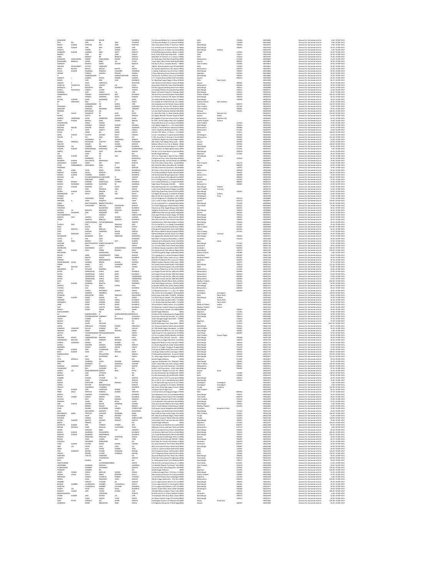| SHANTA<br>SURINDER<br><b>MADHU</b><br>.<br>Kajendr<br>ROEPALBEN<br><b>DURGESH</b><br>HISCOPE<br>GEETA<br>SUSHI<br>ARVING                                                                                                                                                                                                                                                                                                                                                                                                                                | $\ddot{\rm cm}$<br>KUMA  | KUMARIAIN<br>JAIN<br>KHAITAN<br>JAIN<br>TIWARI | <b>BSIAN</b><br>AK<br>SITA<br>MAL<br>rc | iain<br>Ram<br>CHAND<br>TIWARI  | BUSINESS<br>STUDENT<br>KHAITAN<br>JAIN<br>HWIFE | C/o Diamand Rubber Co. 2 rehmat MINDIA<br>Co Diamand Rubber Co. 2, rehmat MINDIA<br>Club Town, block-10, flat-if 2nd Floor, INDIA<br>Club Town, block-10, flat-if 2nd Floor, INDIA<br>Club Jinendra Kumar Chandra Kumar 2NDIA<br>Century Enka Ltd. 9, Water Loo StreetNDIA | Delhi<br>Delhi<br>West Bengal<br>West Bengal<br>West Bengal             | Kolkata                   | 110006<br>10006<br>700003  | 00019684<br>00019685<br>00019702<br>00019720<br>00019762 | Amount for Unclaimed and Un<br>Amount for Unclaimed and University<br>Amount for Unclaimed and University<br>Amount for Unclaimed and University<br>Amount for Unclaimed and Un | 6.00 10-SEP-2011<br>6.00 10-SEP-2011<br>6.00 10-SEP-2011<br>43.50 10-SEP-2011<br>6.00 10-SEP-2011                                                                                                                                                                                                                                                                                                                                                                                                                                                                                                                                                           |
|---------------------------------------------------------------------------------------------------------------------------------------------------------------------------------------------------------------------------------------------------------------------------------------------------------------------------------------------------------------------------------------------------------------------------------------------------------------------------------------------------------------------------------------------------------|--------------------------|------------------------------------------------|-----------------------------------------|---------------------------------|-------------------------------------------------|----------------------------------------------------------------------------------------------------------------------------------------------------------------------------------------------------------------------------------------------------------------------------|-------------------------------------------------------------------------|---------------------------|----------------------------|----------------------------------------------------------|---------------------------------------------------------------------------------------------------------------------------------------------------------------------------------|-------------------------------------------------------------------------------------------------------------------------------------------------------------------------------------------------------------------------------------------------------------------------------------------------------------------------------------------------------------------------------------------------------------------------------------------------------------------------------------------------------------------------------------------------------------------------------------------------------------------------------------------------------------|
|                                                                                                                                                                                                                                                                                                                                                                                                                                                                                                                                                         | KUMAR                    | SHARMA<br>SONI                                 | RAM<br>MK                               | NATH<br>sow                     | SERVICE<br>HHOLD                                | lii/104,dharampura Colony, Batala -diINDIA<br>N-36, Panch Shila Park New Delhi - 13NDM                                                                                                                                                                                     | Punjab<br>Delhi                                                         |                           | 143505<br>110017           | 00019768<br>00019783                                     | Amount for Unclaimed and Un<br>Amount for Unclaimed and Un                                                                                                                      | 43.50 10-SEP-2011<br>43.50 10-SEP-2011                                                                                                                                                                                                                                                                                                                                                                                                                                                                                                                                                                                                                      |
|                                                                                                                                                                                                                                                                                                                                                                                                                                                                                                                                                         | <b>PANDI BANK</b>        | BAWEJA<br>KONDE                                | BR<br>PANDL                             | BAWEJA<br>KONDE                 |                                                 |                                                                                                                                                                                                                                                                            | .<br>Delhi<br>Maharashtri                                               |                           | 110016<br>411002           | 00019795<br>00019802                                     | Amount for Unclaimed and Un<br>Amount for Unclaimed and Un                                                                                                                      | 75.00 10-SEP-2011<br>12.00 10-SEP-2011                                                                                                                                                                                                                                                                                                                                                                                                                                                                                                                                                                                                                      |
|                                                                                                                                                                                                                                                                                                                                                                                                                                                                                                                                                         | BABISLAL                 | ADAN                                           | BABU<br>NAND                            | LAL<br>KISHOR                   | SERVICE<br>SERVICE<br>STUDY                     | State Bank Of India N.c.ez.t.campus NNDIA<br>63, Shukrawar Path New Phule MarkeNDIA<br>"senal" Near Calico Dome Relife Road INDIA<br>Flat No.10, B.d.a. Complex Barelly - 2NDIA                                                                                            | Gujarat<br>Uttar Pradesi                                                |                           | 380001<br>243005           | 00019803                                                 | Amount for Unclaimed and Un<br>Amount for Unclaimed and Un                                                                                                                      | 43.50 10-SEP-2011<br>43.50 10-SEP-2011                                                                                                                                                                                                                                                                                                                                                                                                                                                                                                                                                                                                                      |
|                                                                                                                                                                                                                                                                                                                                                                                                                                                                                                                                                         | <b>INVESTMENT</b>        | BAWEU<br>PVTLTD                                | COMPANY                                 |                                 | BAWEN<br>NA.                                    | 198/15, Ramesh Market East Of Kaila/NDIA                                                                                                                                                                                                                                   | Delhi                                                                   |                           | 110065                     | 00019813<br>00019821                                     | Amount for Unclaimed and Un                                                                                                                                                     | 43.50 10-SEP-2011                                                                                                                                                                                                                                                                                                                                                                                                                                                                                                                                                                                                                                           |
|                                                                                                                                                                                                                                                                                                                                                                                                                                                                                                                                                         | BALDEV<br>KUMAR          | MEHTA<br><b>AGAINMAI</b>                       | BALDEV<br>PRAKASE                       | MEHTA<br>CHANDRA                | HWIFE<br>AGARWA                                 | 32. Gautam Apartments Juhu Road, SINDIA<br>5. Madan Chatteriee Lane 3rd Floor CINDIA                                                                                                                                                                                       | Maharashtra<br>West Bengal                                              |                           | 400054<br>700007           | 00019831<br>00019840                                     | Amount for Unclaimed and Un<br>Amount for Unclaimed and Un                                                                                                                      | 12.00 10-SEP-2011<br>43.50 10-SEP-2011                                                                                                                                                                                                                                                                                                                                                                                                                                                                                                                                                                                                                      |
|                                                                                                                                                                                                                                                                                                                                                                                                                                                                                                                                                         |                          | PAREICH                                        | <b>IAGDISK</b>                          | PRASAD<br>GAMAST                | PAREEK<br>SERVICE                               | 3, Wear Mandawa House Jalupura CoriNDIA<br>Fiat No.411, ib Officers Ors.no.14 SeliNDIA<br>E-77, Utkarsh Reserve Bank Staff ColoINDIA                                                                                                                                       | Rajastha<br>West Bengal                                                 |                           | 302001<br>700031           | 00019860                                                 | Amount for Unclaimed and Un                                                                                                                                                     | 43.50 10-SEP-2011                                                                                                                                                                                                                                                                                                                                                                                                                                                                                                                                                                                                                                           |
| SANGITA<br>RAJEEV                                                                                                                                                                                                                                                                                                                                                                                                                                                                                                                                       |                          | PADMANA<br>GANDHI<br>SURI                      | <b>JAYESH</b><br>RAVI                   | KUMAJ<br>SURI                   | GANDHI<br><b>BUSINESS</b>                       | 53, Ring Road Lajpat Nagar Iii New DeNDIA                                                                                                                                                                                                                                  | Gujarat<br>Delhi                                                        | North Delhi               | 380027                     | 00019882<br>00019909<br>00019390                         | Amount for Unclaimed and Un<br>Amount for Unclaimed and Un<br>Amount for Unclaimed and Un                                                                                       | 37.50 10-SEP-2011<br>43.50 10-SEP-2011<br>66.75 10-SEP-2011                                                                                                                                                                                                                                                                                                                                                                                                                                                                                                                                                                                                 |
| JAGOISH<br>SHAILESH                                                                                                                                                                                                                                                                                                                                                                                                                                                                                                                                     | VASANTLAI                | SHAH<br>DALA                                   | SHANTILAI<br>VASANT                     | LAL.                            | <b>INVESTOR</b><br>DALAL                        | 134, Ghanchis Pole Manek Chowk AhINDIA<br>Gyan Deep 405/b 5th Carter Road BoINDIA                                                                                                                                                                                          | Guianat<br>Maharashtra                                                  |                           | 380001<br>400066           | 00020044<br>00020059                                     | Amount for Unclaimed and Un<br>Amount for Unclaimed and Un                                                                                                                      | 43.50 10-SEP-2011<br>43.50 10-SEP-2011                                                                                                                                                                                                                                                                                                                                                                                                                                                                                                                                                                                                                      |
| MANGALI                                                                                                                                                                                                                                                                                                                                                                                                                                                                                                                                                 |                          | MOORTHY                                        |                                         | MOORTH                          | SERVICE                                         | Flat No.2, gayatri Building KarumarianINDIA                                                                                                                                                                                                                                | West Bengal                                                             |                           | 700013                     | 00020080                                                 | Amount for Unclaimed and Un                                                                                                                                                     | 43.50 10-SEP-2011                                                                                                                                                                                                                                                                                                                                                                                                                                                                                                                                                                                                                                           |
| <b>RAJÉEV</b><br>NAINMAL                                                                                                                                                                                                                                                                                                                                                                                                                                                                                                                                | KASHINAT                 | VAIDYA<br>AIN                                  | LATERS<br>SHANTI                        |                                 | VAIDYA<br>JAIN                                  | C/o.bengal Peerless Housing DevelopsNDIA<br>Shanti Lal Punam Chand P.o ShorapusNDIA                                                                                                                                                                                        | West Bengal<br>West Bengal                                              |                           | 70001<br>700013            | 00020151<br>00020161                                     | Amount for Unclaimed and Un<br>Amount for Unclaimed and Un                                                                                                                      | 12.00 10-SEP-2011<br>43.50 10-SEP-2011                                                                                                                                                                                                                                                                                                                                                                                                                                                                                                                                                                                                                      |
| DANKINEEDU<br>NISHI                                                                                                                                                                                                                                                                                                                                                                                                                                                                                                                                     |                          | PRASAD<br>PANDEY                               | DHANUNJAYA<br>UPENDRA                   | RAD<br>NATH                     | <b>BUSINESS</b><br>PANDEY                       | 202 lind Floor, amrutha Estates HimayNDIA<br>C/o Premier Industrial 116, Ripon StreNDIA                                                                                                                                                                                    | Andhra Pradesi<br>West Bengal                                           |                           | 500029<br>700016           | 00020164<br>00020174                                     | Amount for Unclaimed and Un<br>Amount for Unclaimed and Un                                                                                                                      | 118.50 10-SEP-2011<br>43.50 10-SEP-2011                                                                                                                                                                                                                                                                                                                                                                                                                                                                                                                                                                                                                     |
| SHYAM                                                                                                                                                                                                                                                                                                                                                                                                                                                                                                                                                   | SUNDER<br>PRASAADA       | DAGA                                           | HANUMAN                                 | DAS                             | DAGA                                            | 19. Jadulal Mullick Road 4th Floor CalNDIA                                                                                                                                                                                                                                 | West Beneal                                                             | East Goda                 | 700006                     | 00020185<br>ernsnnn                                      | Amount for Unclaimed and Un                                                                                                                                                     | 435010592011                                                                                                                                                                                                                                                                                                                                                                                                                                                                                                                                                                                                                                                |
| ANUPAMA                                                                                                                                                                                                                                                                                                                                                                                                                                                                                                                                                 |                          | NAO<br>SUBRAMAN<br>AGARWAL                     | SR                                      | nnear<br>RAJEEV                 | <b>BAMA</b><br>RAMA<br>AGARWAL                  | Co V. ballah 8-2-293/174/1/6c, B.n.relNDIA<br>10,chintjalamman Koll Street, PammaNDIA<br>A-247,2nd Floor, Sector-19, Noida (u.JNDIA                                                                                                                                        | Andhra Prades<br>Tamil Nadu<br><b>Uttar Pradesh</b>                     |                           | 600075<br>201301           | 00020212                                                 | Amount for Unclaimed and University<br>Amount for Unclaimed and University<br>Amount for Unclaimed and University                                                               | 48.50 10:56P-2011<br>112.50 10:56P-2011<br>75.00 10:56P-2011                                                                                                                                                                                                                                                                                                                                                                                                                                                                                                                                                                                                |
| MADHUR                                                                                                                                                                                                                                                                                                                                                                                                                                                                                                                                                  |                          | <b>TANDON</b>                                  | <b><i>RAJENDRA</i></b>                  | KUMAI                           | TANDON                                          | Room No.110, Top Floor Moti Buildin/NDIA<br>C/o Fair Deal Enterprises Oakhall OakINDIA                                                                                                                                                                                     | <b>Uttar Pradesh</b>                                                    |                           | 208001                     | 00020243                                                 | Amount for Unclaimed and Un                                                                                                                                                     | 43.50 10-SEP-2011                                                                                                                                                                                                                                                                                                                                                                                                                                                                                                                                                                                                                                           |
| RASHMA                                                                                                                                                                                                                                                                                                                                                                                                                                                                                                                                                  | VIJAYA                   | MOORJANI<br><b>SWARDOP</b>                     | NA<br>w                                 | COPI                            | NA.<br>NATH                                     | 21. Vikas Plot 566, S.t. Road ChemburNDIA                                                                                                                                                                                                                                  | Manipur<br>Maharashtra                                                  | Mumbai City               | 793001                     | 00020248<br>00020257                                     | Amount for Unclaimed and Un<br>Amount for Unclaimed and Un                                                                                                                      | 118.50 10-SEP-2011<br>112.50 10-SEP-2011                                                                                                                                                                                                                                                                                                                                                                                                                                                                                                                                                                                                                    |
| RAJÉÉV<br>AMRISH                                                                                                                                                                                                                                                                                                                                                                                                                                                                                                                                        | <b>MARMADA</b>           | SHANG<br>GUPTA<br>BANSAI<br>GUIDI              | RC<br>JAMNADAS                          | <b>GUPTA</b><br>JIWABH          | SERVICE<br>GOHIL<br>BANSAL                      | 21, visas PIDS 500, S.C. ROMO LINIFIDUMINA<br>C/O Rajeev Ramesh Chandra Gupta PMRDIA<br>84, Nagdewi Cross Lane Ground Floor INDIA<br>Xx-1187, Krishna Nagar Near Arti LudINDIA<br>93,prasad Vihar, Ja.w.h.o.colony) VillaJNDIA                                             | Gujarat<br>Maharashtra                                                  | Kheda<br>Mumbai City      |                            | 00020268<br>00020305                                     | Amount for Unclaimed and Un<br>Amount for Unclaimed and Un                                                                                                                      | 12.00 10-SEP-2011<br>43.50 10-SEP-2011                                                                                                                                                                                                                                                                                                                                                                                                                                                                                                                                                                                                                      |
| AMKIGH<br>SURJIT<br>SUDERSI                                                                                                                                                                                                                                                                                                                                                                                                                                                                                                                             | KUMAR                    | SINGH                                          | GIAN<br>TSINGH                          | CHAND                           | NA.                                             |                                                                                                                                                                                                                                                                            | Andhra Prades<br>Uttar Pradesh                                          | Krishna                   | 247664                     | 0002031<br>00020352                                      | Amount for Unclaimed and Un<br>Amount for Unclaimed and Un                                                                                                                      | 12.00 10-SEP-2011<br>75.00 10-SEP-2011                                                                                                                                                                                                                                                                                                                                                                                                                                                                                                                                                                                                                      |
| SAURABH<br>BHAVNA                                                                                                                                                                                                                                                                                                                                                                                                                                                                                                                                       | NIKUNJ                   | KHEMKA<br>SHASTRI                              | PAWAN<br>NIKUNJ                         | KUMAI                           | KHEMKA<br>SHANKAR                               | 1/af, Bidhan Nasar B.a.r.c. Vec CenterINDIA                                                                                                                                                                                                                                | West Bengal<br>Maharashtr                                               |                           | 700064<br>400086           | 00020395<br>00020396                                     | Amount for Unclaimed and Un<br>Amount for Unclaimed and Un                                                                                                                      | 12.00 10-SEP-2011<br>435010-99-2011                                                                                                                                                                                                                                                                                                                                                                                                                                                                                                                                                                                                                         |
| NEELAN<br>POOJA                                                                                                                                                                                                                                                                                                                                                                                                                                                                                                                                         |                          | SHAH<br>.<br>SINGE                             | <b>SUKETU</b>                           | PREM<br>SHAH                    | HHOLD<br>einnin                                 | .<br>Flat No.7, Paresh Bhavan Saainam NaINDIA<br>14/15. Shobhana Bulidine 2nd Floor. INDIA                                                                                                                                                                                 | Maharashtra<br>Delhi                                                    |                           | 421301<br>110017           | 00020397<br>00020446                                     | Amount for Unclaimed and Un                                                                                                                                                     | 12.00 10-SEP-2011<br>118.50 10-SEP-2011                                                                                                                                                                                                                                                                                                                                                                                                                                                                                                                                                                                                                     |
| ARUN<br>PRADIP                                                                                                                                                                                                                                                                                                                                                                                                                                                                                                                                          | KUMAR                    | VGLPTA                                         | VISHWA<br>RAM                           | SINGH<br>NATH<br>NATH           | PRASAD                                          | Fig. No.1707, Block-17 Sector - 3, PulNDIA<br>C/o Dr.r.chandrakar 5-2, janta QuarterNDIA<br>E-120, House No.11 Srirang H. SocietyNDIA                                                                                                                                      | Chhattisgarh<br>Maharashtra                                             |                           | 491001                     | 00020456<br>00020464                                     | Amount for Unclaimed and Un<br>Amount for Unclaimed and University<br>Amount for Unclaimed and University                                                                       | 55.50 10-SEP-2011<br>112.50 10-SEP-2011                                                                                                                                                                                                                                                                                                                                                                                                                                                                                                                                                                                                                     |
|                                                                                                                                                                                                                                                                                                                                                                                                                                                                                                                                                         |                          | PAI<br>AGGARWAL                                | ĠК                                      | <b>AGGARWA</b>                  | PАI<br>SERVICE                                  | 76/5605/6, Reghar Pura Karol Bagh NINDIA                                                                                                                                                                                                                                   | Delhi                                                                   |                           | 400601<br>110005           | 00020465                                                 | Amount for Unclaimed and Un                                                                                                                                                     | 12.00 10-SEP-2011                                                                                                                                                                                                                                                                                                                                                                                                                                                                                                                                                                                                                                           |
| PREAM<br><b>WALTER</b>                                                                                                                                                                                                                                                                                                                                                                                                                                                                                                                                  | PRAKASH                  | PATAWARI<br>HEGAN                              | CHATTER<br>jа.                          | SINGH<br>HEGAN                  | PATAWARI<br>SERVICE                             | .<br>905, Ratan Park Adajan Patia Surat - 3NDIA<br>Medical Officer S.r.p.f. Gr.vii Nadiad- 1NDIA                                                                                                                                                                           | Guiarat<br>Guiarat                                                      |                           | 395009<br>387001           | 00020491<br>00020519                                     | .<br>Amount for Unclaimed and Un<br>Amount for Unclaimed and Un                                                                                                                 | 43.50 10-SEP-2011<br>118.50 10-SEP-2011                                                                                                                                                                                                                                                                                                                                                                                                                                                                                                                                                                                                                     |
| BAJRANO                                                                                                                                                                                                                                                                                                                                                                                                                                                                                                                                                 | KUMA                     | SHARMA                                         | MAI IRAM                                | SHARM                           | <b>BUSINESS</b>                                 | Ge-8, Janata Market Gole Bazar P.o. XINDIA                                                                                                                                                                                                                                 | West Bengal                                                             |                           | 721301<br>311001           | 00020540<br>00020551                                     | Amount for Unclaimed and Un                                                                                                                                                     | 43.50 10-SEP-2011                                                                                                                                                                                                                                                                                                                                                                                                                                                                                                                                                                                                                                           |
| P <i>awa</i> n<br>Sabita<br>TM                                                                                                                                                                                                                                                                                                                                                                                                                                                                                                                          |                          | MANSINGHI<br>BISWAS<br><b>USHA</b>             | MANOHA!<br>GOPI<br>NA                   | LAL<br>BALLABE                  | MANSINGHK/<br>BISWAS                            | C/o.-manohar Lal Mansinghka Dayan/NDIA<br>Flat No.c/11/3 Ectp Phase-iv CalcuttaINDIA                                                                                                                                                                                       | Rajasthan<br>West Bengal<br>Rajasthar                                   |                           | 700078<br>311001           | 00020555<br>00020589                                     | Amount for Unclaimed and Un<br>Amount for Unclaimed and Un<br>Amount for Unclaimed and Un                                                                                       | 4.50 10-SEP-2011<br>43.50 10-SEP-2011<br>43.50 10-SEP-2011                                                                                                                                                                                                                                                                                                                                                                                                                                                                                                                                                                                                  |
| SUBIR                                                                                                                                                                                                                                                                                                                                                                                                                                                                                                                                                   | KUMAR                    | DAS                                            | $_{\alpha}$                             | DAS                             | NA<br>SERVICE                                   | Gandhi Nagar Bhilwara (NDIA)<br>107, U.m. Road Ligh-1, Block-4 Flat-34NDIA                                                                                                                                                                                                 | West Bengal                                                             | Kolkata                   |                            | 00020615                                                 | Amount for Unclaimed and Un                                                                                                                                                     | 37.50 10-SEP-2011                                                                                                                                                                                                                                                                                                                                                                                                                                                                                                                                                                                                                                           |
| REKHA<br>WINDE                                                                                                                                                                                                                                                                                                                                                                                                                                                                                                                                          |                          | BHARGAVA                                       | AK                                      |                                 | BHARGAVA<br>SINGH<br>SERVICE                    | 2-30 around Floor. Hauz Khas New DeNDIA                                                                                                                                                                                                                                    | Delhi<br>NA<br>Uttar Pradesh                                            | NA.                       | 110016                     | 00020630<br>reansner                                     | Amount for Unclaimed and Un                                                                                                                                                     | 43.50 10-SEP-2011                                                                                                                                                                                                                                                                                                                                                                                                                                                                                                                                                                                                                                           |
| WADH<br>PATEL                                                                                                                                                                                                                                                                                                                                                                                                                                                                                                                                           | <b>UMA</b><br>HARMAN     | AHLUWALIA<br>SINGH<br>MAHUBHAI                 | AN<br>MANPHOOL<br>MAN<br>MANE           | SINGH                           | BHAI                                            | 25. Lugarda Society, Gurukul Road, med Gentillo<br>25. Lugarda Society, Gurukul Road, med GANDA<br>3-ae t-44, Obra Colony Obra - SonebhINDIA<br>M/s Patel Hira Bhai Ichha Bhai 36, AnINDIA                                                                                 | Gujarat                                                                 |                           | 231219<br>388540           | 002054<br>00020656                                       | Amount for Unclaimed and University<br>Amount for Unclaimed and University<br>Amount for Unclaimed and University                                                               | 75.00 10-SEP-2011<br>12.00 10-SEP-2011<br>43.50 10-SEP-2011                                                                                                                                                                                                                                                                                                                                                                                                                                                                                                                                                                                                 |
| KNANAND<br>ZERIN                                                                                                                                                                                                                                                                                                                                                                                                                                                                                                                                        | HOM                      | PATEL                                          | LATE<br>HOM                             | LAXMI<br>DPATEL                 | NARYAN<br><b>BUSNINESS</b>                      | 232 Dpa Comercial Complex-1 JhandeNDIA<br>Hill View Is Floor Flat No.6,4th GoothINDIA                                                                                                                                                                                      | Delhi<br>Maharashtra                                                    |                           | 110055<br>400058           | 00020661<br>00020668                                     | Amount for Unclaimed and Un<br>Amount for Unclaimed and Un                                                                                                                      | 75.00 10-SEP-2011<br>43.50 10-SEP-2011                                                                                                                                                                                                                                                                                                                                                                                                                                                                                                                                                                                                                      |
| RAMESH                                                                                                                                                                                                                                                                                                                                                                                                                                                                                                                                                  | KUMAR                    | GOYAL                                          | RPGOYAL                                 |                                 | <b>BUSINESS</b>                                 | 4-113 Ninmal Market Dower House ReNTHA                                                                                                                                                                                                                                     | Orissa                                                                  |                           | 769001<br>sonone           | 00020681                                                 | Amount for Unclaimed and Un                                                                                                                                                     | 11850-105F0-2011                                                                                                                                                                                                                                                                                                                                                                                                                                                                                                                                                                                                                                            |
| <b>MAKESH</b><br>MOHAN                                                                                                                                                                                                                                                                                                                                                                                                                                                                                                                                  | KUMAR<br>LAL             | .<br>Gularma<br>Gularch                        | NARESH<br>GULABO                        | ò                               | BUSINESS<br>JHAVERI                             | Piaz No.8, central Renwer Apartment 2NDIA<br>C/o.ntin M.Jhaveri, 235, aadinath SociNDIA<br>B-7/1 Sunflag Colory P.o Bhandara RdNDIA<br>C/o K.vrijlal Parkikh &.co., Vrajesh GatNDIA                                                                                        | Maharashtra<br>Gujarat                                                  |                           | 390022                     | 00020700<br>00020704                                     | Amount for Unclaimed and Un<br>Amount for Unclaimed and Un                                                                                                                      | 75.00 10-SEP-2011<br>118.50 10-SEP-2011                                                                                                                                                                                                                                                                                                                                                                                                                                                                                                                                                                                                                     |
| MANJU<br>PARIKH                                                                                                                                                                                                                                                                                                                                                                                                                                                                                                                                         | BHARAT                   | MAITHANI<br>KUMARK                             | KAMAL<br>KANAIYALA                      | NAND<br>VPARKE                  | HWIFE<br>BUSINESS                               |                                                                                                                                                                                                                                                                            | Maharashtra<br>Gujarat                                                  |                           | 441905<br>388001           | 00020724<br>00020742                                     | Amount for Unclaimed and Un<br>Amount for Unclaimed and Un                                                                                                                      | 37.50 10-SEP-2011<br>12.00 10-SEP-2011                                                                                                                                                                                                                                                                                                                                                                                                                                                                                                                                                                                                                      |
| RAKESH<br><b>SUSHIL</b>                                                                                                                                                                                                                                                                                                                                                                                                                                                                                                                                 | <b>BAVINDRA</b><br>KUMAR | AGARWAL<br><b>MAHIPAL</b>                      | RAVINDRA<br>LATE                        | M<br>DEOKI                      | <b>AGA/IWA)</b><br>NANAN                        | Sadar Bazar Paratwada-444 805 INDIA<br>Asha Manhinal 66/1 N s rand Rehala INDIA                                                                                                                                                                                            | Maharashtra                                                             | Kolkata                   | 444805                     | 00020743<br>00020751                                     | Amount for Unclaimed and Un<br>Amount for Unclaimed and Un                                                                                                                      | 12.00 10-SEP-2011<br>12.00 10-SEP-2011                                                                                                                                                                                                                                                                                                                                                                                                                                                                                                                                                                                                                      |
| DIVYA<br><b>RAJESH</b>                                                                                                                                                                                                                                                                                                                                                                                                                                                                                                                                  | KUMA                     | SING<br><b>CHATA</b>                           | PRAVEEN<br>KISHOR                       | SING                            | HWIFE<br><br>KHAITAN                            | 1-163 Viram Khand Gomti Nanar LucriNDIA                                                                                                                                                                                                                                    | West Bengal<br>Uttar Pradesh                                            | Viranas                   | 700003                     | 00020755<br>00020770                                     | Amount for Unclaimed and Un<br>Amount for Unclaimed and Un                                                                                                                      | 12.00.10.5ER.2011<br>43.50 10-SEP-2011                                                                                                                                                                                                                                                                                                                                                                                                                                                                                                                                                                                                                      |
| MANMOHA<br>SCSINHA                                                                                                                                                                                                                                                                                                                                                                                                                                                                                                                                      | LAL                      | RATHI                                          | BADRI<br>BPSINHA                        | LAL<br>DAS                      | RATHI<br>SERIVCE                                | 24/25 Rup Chand Roy Street 3rd FlootNDIA<br>C/o Rajesh & Compray 2 maharshi DeNDIA<br>Block 6 Flat No.2 Anard Vihar L.I Rai INDIA                                                                                                                                          | West Bengal<br>West Bengal<br>Chhattisgarh                              | Kolkata                   |                            | 00020771<br>00020798                                     | Amount for Unclaimed and University<br>Amount for Unclaimed and University<br>Amount for Unclaimed and University                                                               | 12.00 10-SEP-2011<br>12.00 10-SEP-2011                                                                                                                                                                                                                                                                                                                                                                                                                                                                                                                                                                                                                      |
| RASHMI                                                                                                                                                                                                                                                                                                                                                                                                                                                                                                                                                  |                          | SINGHANIA                                      | VINOD                                   | SINGHANIA                       | HWIFE                                           | C/o G.d Singhania P.o Akaltara Dist.bitNDIA                                                                                                                                                                                                                                | Chhattisgarh                                                            | Durg                      | 495552                     | 00020805                                                 | Amount for Unclaimed and Un                                                                                                                                                     | 75.00 10-SEP-2011                                                                                                                                                                                                                                                                                                                                                                                                                                                                                                                                                                                                                                           |
| PRATIMA<br>A<br>SOMA                                                                                                                                                                                                                                                                                                                                                                                                                                                                                                                                    |                          | <b>JOSHI</b><br>BHATTACHARYA                   | NADHUT<br><b>BKBHATTACHARY</b>          |                                 | <b>JOSHI</b><br>Hwife                           | C/o.a.s.joshi Sr.engr.o & M D6-7,gipcIINDIA<br>C/o.sh.r.g.devnath P.o.-chawhati,blocINDIA                                                                                                                                                                                  | Gujarat<br>West Bengal                                                  |                           | 394110<br>743358           | 00020813<br>00020818                                     | .<br>Amount for Unclaimed and Un<br>Amount for Unclaimed and Un                                                                                                                 | 118.50 10-SEP-2011<br>112.50 10-SEP-2011                                                                                                                                                                                                                                                                                                                                                                                                                                                                                                                                                                                                                    |
| PRAMOC                                                                                                                                                                                                                                                                                                                                                                                                                                                                                                                                                  |                          |                                                | SIDNIVAS                                | CHOWDHR                         | sexvice                                         | 15 C Shan Mugarayan Street Washer INDIA<br>F4/c2,muri Vihar Gogol Margao Goa INDIA<br>16/2g/1a Doverterrace Calcutta 7000INDIA                                                                                                                                             | <b>Tamil Nady</b>                                                       |                           | 600021<br>403601           | 0002082                                                  | Amount for Unclaimed and Un                                                                                                                                                     | 75.00 10 SEP-2011                                                                                                                                                                                                                                                                                                                                                                                                                                                                                                                                                                                                                                           |
| <b>JRTHAPAI</b><br>KARTICK<br><b>URVASHI</b>                                                                                                                                                                                                                                                                                                                                                                                                                                                                                                            | <b>BAJENDRA</b>          | MAHATO<br><b>JANI</b>                          | NAUBATRA<br>MAHADEV<br><b>RAJENDRA</b>  | THAPAR<br>MAHATO<br><b>JANI</b> | BUSINESS<br>BUSINESS<br>CLOHH                   | 1688-b Near Dhenukrupa Sardar NagiNDIA                                                                                                                                                                                                                                     | Goa<br>West Bengal<br>Gujarat                                           |                           | 700019<br>364001           | 00020859<br>00020864<br>00020914                         | Amount for Unclaimed and Un<br>Amount for Unclaimed and Un<br>Amount for Unclaimed and Un                                                                                       | 59.25 10-SEP-2011<br>43.50 10-SEP-2011<br>43.50 10-SEP-2011                                                                                                                                                                                                                                                                                                                                                                                                                                                                                                                                                                                                 |
| SEETHARA                                                                                                                                                                                                                                                                                                                                                                                                                                                                                                                                                |                          |                                                | SURAIAH                                 |                                 | AGRICULTUR                                      | Paras Agro Products, shardi Nagar M.HNDIA                                                                                                                                                                                                                                  | West Bengal                                                             |                           | 700013                     | 00020923                                                 | Amount for Unclaimed and Un                                                                                                                                                     | 43.50 10-SEP-2011                                                                                                                                                                                                                                                                                                                                                                                                                                                                                                                                                                                                                                           |
| MAMTA<br>ASHOR                                                                                                                                                                                                                                                                                                                                                                                                                                                                                                                                          | peys                     | <b>AIODIA</b><br>SARAOGI<br>VAIDYALIN          | SAJAN<br>BABULA<br>CVCHIDJ              | KUMAR<br>SARADG                 | <b>JAJODIA</b><br><b>BUSINESS</b>               | 137 Bangaur Aveneu,c-block 2nd FlochUDIA                                                                                                                                                                                                                                   | West Bengal<br>.<br>Nest Bengal<br>Nest Bengal                          |                           | 700055<br>mm               | 00020923<br>nonzosa                                      | Amount for Unclaimed and Un                                                                                                                                                     | 43.50 10-SEP-2011                                                                                                                                                                                                                                                                                                                                                                                                                                                                                                                                                                                                                                           |
| <b>SUSHILA</b>                                                                                                                                                                                                                                                                                                                                                                                                                                                                                                                                          | DEVI                     | DAD                                            | OM                                      | PRAKASE                         | SERVICE<br>DAD                                  | 18/1 M.d.road 5th Floor Rno.83 CalcuNDIA<br>Southend Store 190-b Rash Behari AvINDIA<br>C/o O.p Dad & Co. (c.a.) Balaji CompleNDIA                                                                                                                                         | Rajasthar                                                               |                           | mme<br>311001              | 002015<br>00020967                                       | Amount for Unclaimed and University<br>Amount for Unclaimed and University<br>Amount for Unclaimed and University                                                               | 43.50 10-SEP-2011<br>43.50 10-SEP-2011<br>37.50 10-SEP-2011                                                                                                                                                                                                                                                                                                                                                                                                                                                                                                                                                                                                 |
| RAJIV<br>LALIT                                                                                                                                                                                                                                                                                                                                                                                                                                                                                                                                          | BABULAI                  | <b>GUPTA</b><br>SHAH                           | OM<br><b>BABULAL</b>                    | PRAKASH                         | <b>GUPTA</b><br>SHAH                            | H.no.21, behind Sumerchand & Sons RNDIA<br>K/10,ganesh Appartment, Near SutherNDIA                                                                                                                                                                                         | <b>Uttar Pradesh</b><br>Gujarat                                         |                           | 247667<br>382352           | 00020968<br>00021014                                     | Amount for Unclaimed and Un<br>Amount for Unclaimed and Un                                                                                                                      | 237.00 10-SEP-2011<br>43.50 10-SEP-2011                                                                                                                                                                                                                                                                                                                                                                                                                                                                                                                                                                                                                     |
| VINTI                                                                                                                                                                                                                                                                                                                                                                                                                                                                                                                                                   | NANDAR                   | KAPOOR                                         | VIRENDRA                                | KAPOR                           | SERVICE                                         | M/s Keroor Medical Stores.hospital RINDIA                                                                                                                                                                                                                                  | Uttar Pradesh                                                           |                           | 262701                     | 00021043                                                 | Amount for Unclaimed and Un                                                                                                                                                     | 37.50 10-SEP-2011                                                                                                                                                                                                                                                                                                                                                                                                                                                                                                                                                                                                                                           |
| SIVA<br>MAHÉNDIK                                                                                                                                                                                                                                                                                                                                                                                                                                                                                                                                        |                          | <mark>gupta</mark><br>Bagrodia                 | ip<br>Ram                               | GUPTA<br>NIBANIA                | HHOLD<br>BAGRODU                                | mps names and material Hall 40, South Civil INDIA<br>6/b Jagabandhu Medak Road CalcuttINDIA<br>Ram Bhat's Compound Kunji Bettu, LHNDIA<br>Sallasree,14 Vivekananda Sarari SodeNDIA<br>Sallasree,14 Vivekananda Sarari SodeNDIA                                             | Uttar Pradesh<br>West Bengal                                            |                           | zonos                      | 00021057<br>00021071                                     | Amount for Unclaimed and Un<br>Amount for Unclaimed and Un                                                                                                                      | 43.50 10-SEP-2011<br>37.50 10-SEP-2011                                                                                                                                                                                                                                                                                                                                                                                                                                                                                                                                                                                                                      |
| LATHA<br>LAXMI                                                                                                                                                                                                                                                                                                                                                                                                                                                                                                                                          | RAN                      | KONI<br>BISVIVAS                               | UMA<br>LATE                             | ASIT                            | SHANKAR<br>KUMAR                                |                                                                                                                                                                                                                                                                            | Kamataka<br><b>Bihar</b>                                                |                           | 576102                     | 0002108<br>00021126                                      | Amount for Unclaimed and Un<br>Amount for Unclaimed and Un                                                                                                                      | 43.50 10-SEP-2011<br>37.50 10-SEP-2011                                                                                                                                                                                                                                                                                                                                                                                                                                                                                                                                                                                                                      |
| GAUTAM<br>SHOBHA                                                                                                                                                                                                                                                                                                                                                                                                                                                                                                                                        |                          | <b>BHATTACHA</b><br>TANTI                      | JOBHATTACHARYY/<br>DTANTI               |                                 | SERVICE<br>HWIFE                                | Assistant Manager (fnd) Foundry MetINDIA<br>C/o J.k.sinha West Church Road GovaINDIA                                                                                                                                                                                       | West Bengal<br><b>Jharkhand</b>                                         |                           | 713343<br>823001           | 00021146<br>00021156                                     | Amount for Unclaimed and Un<br>Amount for Unclaimed and Un                                                                                                                      | 75.00 10-SEP-2011<br>43.50 10-SEP-2011                                                                                                                                                                                                                                                                                                                                                                                                                                                                                                                                                                                                                      |
| <b>ANUROOPA</b><br>SAROJ                                                                                                                                                                                                                                                                                                                                                                                                                                                                                                                                | KUMA                     | MUKHERJEE<br>SAHU                              | LATE                                    | AKMUKHERJER<br>PRASAD           | SOCWORKER                                       | C/o Bharati Navak.corporation Bank RNDIA                                                                                                                                                                                                                                   | Kamataka                                                                |                           | 560001<br>700013           | 00021176<br>00021187                                     | Amount for Unclaimed and Un<br>Amount for Unclaimed and Un                                                                                                                      | 118.50 10-SEP-2011<br>118.50 10-SEP-2011                                                                                                                                                                                                                                                                                                                                                                                                                                                                                                                                                                                                                    |
| <b>RAFILIDDI</b>                                                                                                                                                                                                                                                                                                                                                                                                                                                                                                                                        |                          |                                                | NAZIRUDDIN<br>CHANDRAGUP!               |                                 | SAHU<br>RETIRED<br>SERVICE                      | C/o Mihiya Kumar Sahu Bikram NagariNDIA<br>14-879/53,gandhi Nagar Hyderabad INDIA<br>C/o C.g.garg.dy.m.s.central Hospital PINDIA                                                                                                                                           | Andhra Prades<br>Jharkhand                                              |                           | 500380<br>826003           | 00021188<br>00021192                                     | Amount for Unclaimed and University<br>Amount for Unclaimed and University                                                                                                      | 6.00 10-SEP-2011<br>43.50 10-SEP-2011                                                                                                                                                                                                                                                                                                                                                                                                                                                                                                                                                                                                                       |
| INDIRA<br>NISHA                                                                                                                                                                                                                                                                                                                                                                                                                                                                                                                                         |                          | GARG<br>BHATIA                                 | ASHOK                                   | GARG<br>KREHATIA                | <b>BUSINESS</b>                                 | 48/1 B.k.sindhi Colony Indore (m.p.) -INDIA                                                                                                                                                                                                                                | Madhya Pradesi                                                          |                           | 452001                     | 00021208                                                 | Amount for Unclaimed and Un                                                                                                                                                     | 43.50 10-SEP-2011                                                                                                                                                                                                                                                                                                                                                                                                                                                                                                                                                                                                                                           |
| KPREMA<br>VISHWAM<br>HAR                                                                                                                                                                                                                                                                                                                                                                                                                                                                                                                                | DAYAL                    | VATHI<br>SHARMA                                | MKRISHNAPPA<br>RADHA                    | KISHAN                          | HWIFE<br>SHARMA                                 | No.872.6 Th Main B E M L Layout Iii SNDIA<br>8306/5 multani Dhanda, Pahar Gani, INDIA                                                                                                                                                                                      | Kamataka<br>Delhi                                                       |                           | 560039<br>110055           | 00021212<br>00021218                                     | .<br>Amount for Unclaimed and Un<br>Amount for Unclaimed and Un                                                                                                                 | 43.50 10-SEP-2011<br>37.50 10-SEP-2011                                                                                                                                                                                                                                                                                                                                                                                                                                                                                                                                                                                                                      |
| ANIMA                                                                                                                                                                                                                                                                                                                                                                                                                                                                                                                                                   |                          | SHAW<br>GLIPTA<br>KOTHARI                      | LATE<br>LATE                            | <b>SUKUMAR</b><br>KISHAN        | SHAW<br>CHAND                                   | 8304 Juneal Bankar Road Entaily Calcus NDIA<br>C/o Liut Colonel B.b.gupta J-42,south INDIA<br>201,kumar Padma,f.p.no.550, Cts No.INDIA                                                                                                                                     | West Benga                                                              |                           | 700014                     | 00021253<br>00021265                                     | Amount for Unclaimed and Un                                                                                                                                                     | 112.50 10-SEP-2011                                                                                                                                                                                                                                                                                                                                                                                                                                                                                                                                                                                                                                          |
| BRU<br>MAHINE<br>KETAN                                                                                                                                                                                                                                                                                                                                                                                                                                                                                                                                  | ehusan<br>M              | SMANDAVIA                                      | MANMA<br>SURYA                          | KANT                            | NA<br><b>BUSINESS</b>                           | C/o Pragati Finvest Pvt.ltd. 4/89,nityalNDIA                                                                                                                                                                                                                               | Delhi<br>Maharashtra<br>Maharashtra                                     |                           | 110049<br>411005<br>400069 | 00021270<br>00021290                                     | Amount for Unclaimed and Un<br>Amount for Unclaimed and Un<br>Amount for Unclaimed and Un                                                                                       | 12.00 10-SEP-2011<br>24.00 10-SEP-2011<br>12.00 10-SEP-2011                                                                                                                                                                                                                                                                                                                                                                                                                                                                                                                                                                                                 |
| KETAN<br>GIRISH                                                                                                                                                                                                                                                                                                                                                                                                                                                                                                                                         |                          | SMANDAVIA<br><b>SMANDAVIA</b>                  | SURYA<br>SURVA                          | KANT<br>KANT                    | <b>BUSINESS</b><br>VMANDAVM                     | C/o Pragati Finvest Pvt.ltd. 4/89 Nity/INDIA<br>C/o Pragati Finvest Pvt.ltd. 4/89,nityalNDIA                                                                                                                                                                               | Maharashtra<br>Maharashtra                                              |                           | 400059<br>400069           | 00021294<br>00021295                                     | Amount for Unclaimed and Un<br>Amount for Unclaimed and Un                                                                                                                      | 12.00 10-SEP-2011<br>12.00 10-SEP-2011                                                                                                                                                                                                                                                                                                                                                                                                                                                                                                                                                                                                                      |
| GIRAH<br>KETAN<br>ASHA<br>RAJ                                                                                                                                                                                                                                                                                                                                                                                                                                                                                                                           |                          | .<br>SMANDAVIA<br>PARIHAR                      | SURYA<br>AMAR                           | KANT<br>SINGH                   | <b>VMANDAVM</b><br>ARIHAI                       |                                                                                                                                                                                                                                                                            | Maharashtra<br>Madhya Prad                                              |                           | annoss                     |                                                          |                                                                                                                                                                                 |                                                                                                                                                                                                                                                                                                                                                                                                                                                                                                                                                                                                                                                             |
|                                                                                                                                                                                                                                                                                                                                                                                                                                                                                                                                                         | KUMA                     | <b>AGARWAL</b>                                 | BLMITAL                                 |                                 | ENGINEER                                        | Co Pragati Finvest Petite, 4/89 NityaNDIA<br>14 Kalipahen Mandir Mhow Disti, indiNDIA<br>9/24 Indira Nagar Lucknow -226 016 INDIA                                                                                                                                          | <b>Uttar Pradesh</b>                                                    |                           | 453441<br>226016           | 00021296<br>00021301<br>00021303                         | Amount for Unclaimed and University<br>Amount for Unclaimed and University<br>Amount for Unclaimed and University                                                               | 12.00 10:5EP-2011<br>225.00 10:5EP-2011<br>87.00 10:5EP-2011                                                                                                                                                                                                                                                                                                                                                                                                                                                                                                                                                                                                |
| SHANTA<br>CHETNA                                                                                                                                                                                                                                                                                                                                                                                                                                                                                                                                        |                          | PALIL<br>KAJI                                  | NANI<br>DINESH                          | <b>GOPAL</b>                    | PAUL<br><b>BUSINESS</b>                         | 8,raja Ram Mohan Roy Road, HakimpINDIA<br>Flat 2,4th Floor, Mitra Kuni 16, peddalNDIA                                                                                                                                                                                      | West Bengal<br>Maharashtra                                              |                           | 734001<br>400026           | 00021327<br>00021342                                     | Amount for Unclaimed and Un<br>Amount for Unclaimed and Un                                                                                                                      | 66.75 10-SEP-2011<br>59.25 10-SEP-2011                                                                                                                                                                                                                                                                                                                                                                                                                                                                                                                                                                                                                      |
| PUSPITA                                                                                                                                                                                                                                                                                                                                                                                                                                                                                                                                                 |                          | KUNDU                                          | MAYAMO'                                 | KUNDU                           | HWIFE<br><b>BUSINESS</b>                        | C/o Mayamov Kundu T.s.c.i.d.v.c Po INDIA                                                                                                                                                                                                                                   | <b>Jhankhand</b>                                                        |                           | 828206                     | 00021356                                                 | Amount for Unclaimed and Un                                                                                                                                                     | 43.50 10-SEP-2011                                                                                                                                                                                                                                                                                                                                                                                                                                                                                                                                                                                                                                           |
| PUSPITA<br>DEEPAK<br>POONAM                                                                                                                                                                                                                                                                                                                                                                                                                                                                                                                             |                          | MARRIYA<br>MALHOTRI                            | SMARRIYN<br>PREM                        | PRAKASI                         | MALHOTRA                                        | Live way a sector 16-a Chandigarh ChandigNDIA<br>B-250, yojna Vihar Delhi -110092. DelNDIA<br>C/o Shree Shyam Taxtiles, 176, MahalNDIA<br>F-15, Nizamuddin,(w) New Delhi -110NDIA<br>F-15, Nizamuddin,(w) New Delhi -110NDIA                                               | Chandigari<br>Delhi                                                     | Chandigarh<br>North Delhi |                            | 00021378<br>00021391                                     | Amount for Unclaimed and Un<br>Amount for Unclaimed and Un                                                                                                                      | 118.50 10-SEP-2011<br>43.50 10-SEP-2011                                                                                                                                                                                                                                                                                                                                                                                                                                                                                                                                                                                                                     |
| VINOD<br>TAIINDER                                                                                                                                                                                                                                                                                                                                                                                                                                                                                                                                       | KUMAI                    | GADIA<br>SINGE                                 | MANGI<br>SUKHIIT                        | LAL<br>SINGH                    | GADIA<br>BUSINESS                               |                                                                                                                                                                                                                                                                            | West Bengal<br>Delhi                                                    | Kolkata<br>North Dell     |                            | 00021403<br>00021406                                     | Amount for Unclaimed and Un<br>Amount for Unclaimed and Un                                                                                                                      | 12.00 10-SEP-2011<br>43.50 10-SEP-2011                                                                                                                                                                                                                                                                                                                                                                                                                                                                                                                                                                                                                      |
| PARAMJEET<br>AMIR                                                                                                                                                                                                                                                                                                                                                                                                                                                                                                                                       |                          | SINGH<br>KHAN                                  | SARDAR<br>CHOTTE                        | SINGH<br>KHAN                   | <b>BUSINESS</b><br><b>BUSINESS</b>              | F-15, Nizamuddin,(w) New Delhi -110NDIA<br>59, manishpuri (saket) Indone -(m.p.) 41NDIA                                                                                                                                                                                    | Delhi<br>Madhya Pradesi                                                 | North Delhi<br>Indone     |                            | 00021407<br>00021401                                     | Amount for Unclaimed and Un<br>Amount for Unclaimed and Un                                                                                                                      | 43.50 10-SEP-2011<br>43.50 10-SEP-2011                                                                                                                                                                                                                                                                                                                                                                                                                                                                                                                                                                                                                      |
| AZIZ<br>MANJU                                                                                                                                                                                                                                                                                                                                                                                                                                                                                                                                           |                          | KHAN<br>GADU                                   | CHOTTE<br>vince                         | KHAN<br>KUMAI                   | BUSINESS<br><b>AIGAD</b>                        | S9, Manishpuri (saket) Indone-Imp./HINDIA<br>C/o Shree Shyam Textiles 176, MahatINDIA<br>Gandhi Nagar Bhilwara<br>33,deep Street Vadiveeswaram NagarINDIA<br>33,deep Street Vadiveeswaram NagarINDIA                                                                       | Madhya Pradesh<br>West Bengal                                           | Indone                    | 200003                     | 00021410<br>00021437                                     | Amount for Unclaimed and Un<br>Amount for Unclaimed and Un                                                                                                                      | 43.50 10-SEP-2011<br>43.50 10-SEP-2011                                                                                                                                                                                                                                                                                                                                                                                                                                                                                                                                                                                                                      |
| KJAYALAKSHM                                                                                                                                                                                                                                                                                                                                                                                                                                                                                                                                             |                          | NAMOLISHNAN                                    | NA                                      | SHANKAR                         | NA<br>ASERVICE                                  |                                                                                                                                                                                                                                                                            | Rajasthan<br>West Bengal                                                |                           | 311001<br>700013           | 00021446<br>00021481                                     | Amount for Unclaimed and Un<br>Amount for Unclaimed and Un                                                                                                                      | 75.00 10-SEP-2011<br>43.50 10-SEP-2011                                                                                                                                                                                                                                                                                                                                                                                                                                                                                                                                                                                                                      |
| SAHERABEN<br>TARUN                                                                                                                                                                                                                                                                                                                                                                                                                                                                                                                                      |                          | NOORBHAIMUSA SABBIRALI                         | TC.                                     | KATHPALM                        | KUGASHIA<br><b>BUSINESS</b>                     | Nr.primary School A/p Kanodar, Ta. -dNDIA                                                                                                                                                                                                                                  | West Bengal<br>Delhi                                                    |                           | 700013<br>110024           | 00021487<br>00021492                                     | Amount for Unclaimed and Un                                                                                                                                                     | 43.50 10-SEP-2011<br>37.50 10-SEP-2011                                                                                                                                                                                                                                                                                                                                                                                                                                                                                                                                                                                                                      |
| BALDEV                                                                                                                                                                                                                                                                                                                                                                                                                                                                                                                                                  |                          | KUMAR<br>SINGH                                 | мà                                      |                                 | NA.                                             | 2nd/e-18,Jajpat Nager New Delhi - 11INDIA<br>Gandhi Nager Bhikwara<br>8-378,chittaranjan Park, New Delhi - NNDIA                                                                                                                                                           | Raiasthan                                                               |                           | 311001                     | 00021507                                                 | .<br>Amount for Unclaimed and Un<br>Amount for Unclaimed and Un                                                                                                                 | 37.50 10-SEP-2011                                                                                                                                                                                                                                                                                                                                                                                                                                                                                                                                                                                                                                           |
| MANJU                                                                                                                                                                                                                                                                                                                                                                                                                                                                                                                                                   |                          | JALAN<br>IALAN<br>HARLALKA                     | NOTAL AN                                | CHAND                           | NA<br>HARLAUG                                   |                                                                                                                                                                                                                                                                            | Delhi                                                                   |                           | 110019<br>700023           | 00021566<br>00021570                                     | Amount for Unclaimed and Un                                                                                                                                                     | 1657.50 10-SEP-2011                                                                                                                                                                                                                                                                                                                                                                                                                                                                                                                                                                                                                                         |
| GOPAL<br>SUBHASH<br>PRAMOD                                                                                                                                                                                                                                                                                                                                                                                                                                                                                                                              | CHANDER<br>KUMAR         | SALUJA<br>SARAF                                | LTMANIK<br>CHARAN<br>GOBIND             | DAS<br>PRASAD                   | SALUJA<br>SARAF                                 | 3/1, Diamond Harbour Road Calcutta INDIA<br>93, Old Gandhi Nagar Ghaziabad - (u.¢NDIA<br>New Central June Mills Co. Ltd. 18 A HINDIA                                                                                                                                       | West Bengal<br>Uttar Prades<br>West Bengal                              |                           | 201801<br>700001           | 00021599<br>00021621                                     | Amount for Unclaimed and Un<br>Amount for Unclaimed and Un<br>Amount for Unclaimed and Un                                                                                       | 66.75 10-SEP-2011<br>55.50 10-SEP-2011<br>6.00 10-SEP-2011                                                                                                                                                                                                                                                                                                                                                                                                                                                                                                                                                                                                  |
| GEETHA<br>GEETA                                                                                                                                                                                                                                                                                                                                                                                                                                                                                                                                         |                          | PADAMA<br>YADAV                                | I VRPADAM<br>$\circ$                    |                                 | HWIFE<br>YADAV                                  | "kalki Krupa"b-1.shiv Apartments, PloINDIA<br>C/o Sri C.o.vaday 3a\46.mahidhar SadNDIA                                                                                                                                                                                     | <b>Tamil Nadu</b><br>Uttar Pradesh                                      | Kanpur Nasa               | 600083                     | 00021678<br>00021700                                     | Amount for Unclaimed and Un<br>Amount for Unclaimed and Un                                                                                                                      | 43.50 10-SEP-2011<br>43.50 10-SEP-2011                                                                                                                                                                                                                                                                                                                                                                                                                                                                                                                                                                                                                      |
| KRISHNA<br>HIMANO                                                                                                                                                                                                                                                                                                                                                                                                                                                                                                                                       | MURTI<br>BHUSAN          | <b>GIRBAMA</b>                                 | KRISHN                                  | MURTI<br>BHUSAN                 | RAJA<br>Lahir                                   | 26. Joshuar Park Calcutta Calcutta - INDIA<br>Postal Park,roy Nagar Bansdrori, CalciNDIA<br>18. gariahat Road 1st Floor Calcutta-7INDIA                                                                                                                                    | .<br>Nest Bengal<br>Nest Bengal                                         |                           | 700058<br>700070           | 00021708<br>00021718<br>00021721                         | Amount for Unclaimed and University<br>Amount for Unclaimed and University<br>Amount for Unclaimed and University                                                               | 43.50 10-SEP-2011<br>43.50 10-SEP-2011<br>43.50 10-SEP-2011                                                                                                                                                                                                                                                                                                                                                                                                                                                                                                                                                                                                 |
| sunese                                                                                                                                                                                                                                                                                                                                                                                                                                                                                                                                                  | CHANDRA                  | SUBRAN<br>LAHIRI<br>VERMA                      | RAJ                                     | KUMAR                           | LAL                                             |                                                                                                                                                                                                                                                                            | West Bengal                                                             |                           | 700019                     |                                                          |                                                                                                                                                                                 |                                                                                                                                                                                                                                                                                                                                                                                                                                                                                                                                                                                                                                                             |
| ASHISH<br>MANDIN                                                                                                                                                                                                                                                                                                                                                                                                                                                                                                                                        |                          | KANORIA<br>GHOSH                               | <b>JAGDISH</b><br>SASANKA               | KANORIA<br>SEKIAR               | SERVICE<br>HWIFE                                | C/o Anand Agrawal 19,sardar ShankatNDIA<br>Cd-41/3, V.k.nagar, Durgapur Durgap/NDIA                                                                                                                                                                                        | West Bengal<br>West Bengal                                              |                           | 700029<br>713210           | 00021730<br>00021759                                     | Amount for Unclaimed and Un<br>Amount for Unclaimed and Un                                                                                                                      | 75.00 10-SEP-2011<br>37.50 10-SEP-2011                                                                                                                                                                                                                                                                                                                                                                                                                                                                                                                                                                                                                      |
| SURESH<br><b>SUAY</b>                                                                                                                                                                                                                                                                                                                                                                                                                                                                                                                                   | KUMAR                    | <b>JAIN</b>                                    | LTJORAWAR<br>LATE<br>Spritad            | MAL                             | <b>JAIN</b><br>.<br>Service                     | P-25,raja Sir Radha Kanta Deo Lane C/NDIA<br>C/o Dunga Yadav G-295-a ramnagar LINDIA<br>P-554 panditya Road Extn., Ground FINDIA                                                                                                                                           | West Bengal<br>West Bengal<br>West Bengal                               |                           | 700005                     | 00021765<br>00021767<br>00021772                         | Amount for Unclaimed and Un<br><b>Imount for Unclaimed and Unit</b><br>Imposed for Unclaimed and Un                                                                             | 43.50 10-SEP-2011<br>118.50 10-SEP-2011<br>237.00 10-SEP-2011                                                                                                                                                                                                                                                                                                                                                                                                                                                                                                                                                                                               |
|                                                                                                                                                                                                                                                                                                                                                                                                                                                                                                                                                         |                          | ROY                                            | DIPTENDRA                               | <b>KOY</b>                      |                                                 |                                                                                                                                                                                                                                                                            | West Bengal                                                             |                           | 712246                     | 00021817                                                 |                                                                                                                                                                                 | 112.50 10-SEP-2011<br>43.50 10-SEP-2011                                                                                                                                                                                                                                                                                                                                                                                                                                                                                                                                                                                                                     |
| lily<br>Atul<br>MAHABIR                                                                                                                                                                                                                                                                                                                                                                                                                                                                                                                                 | MANILAL                  | SHAH<br>AGARWAL                                | NA<br>JUGAL                             | KISHOR                          | HWIFE<br>NA<br><b>AGA/IWA)</b>                  | Engineers & Moulders 751, Marshall INDIA                                                                                                                                                                                                                                   | Rajasthar<br>West Bengal                                                |                           | 311001<br>700001           | 00021827<br>00021831                                     | Amount for Unclaimed and Un<br>Amount for Unclaimed and Un<br>Amount for Unclaimed and Un                                                                                       | 43.50 10-SEP-2011                                                                                                                                                                                                                                                                                                                                                                                                                                                                                                                                                                                                                                           |
| PRITI<br>SHERNAZ                                                                                                                                                                                                                                                                                                                                                                                                                                                                                                                                        | JAMSHED                  | <b>AGARWAL</b><br>MISTRY                       | KC.<br>JAMSHED                          | AGARWAI<br>EDULJEE              | LAWYER<br>MISTRY                                | 15/63. Silver Oaks Civil Lines, Kanpur INDIA<br>re Union Park Road No. 5, KhiNDIA                                                                                                                                                                                          | Uttar Pradesh<br>Maharashtra                                            |                           | 208001<br>400051           | 00021852<br>00021912                                     | Amount for Unclaimed and Un<br>Amount for Unclaimed and Un                                                                                                                      | 118.50 10-SEP-2011<br>11850 10-550-2011                                                                                                                                                                                                                                                                                                                                                                                                                                                                                                                                                                                                                     |
| CHANDAN                                                                                                                                                                                                                                                                                                                                                                                                                                                                                                                                                 |                          |                                                | <b>SUCHART</b>                          |                                 | ROY                                             | Fe/267, 2nd Floor,sector -3 Salt Lake, INDIA                                                                                                                                                                                                                               | West Benga                                                              |                           | 700091                     | 00021921                                                 | <b>Imount for Unclaimed and Un</b>                                                                                                                                              | 37.50 10-SEP-2011                                                                                                                                                                                                                                                                                                                                                                                                                                                                                                                                                                                                                                           |
|                                                                                                                                                                                                                                                                                                                                                                                                                                                                                                                                                         | LAL                      | NAMLABI<br>JAIN                                | LNAMLA<br>LTVPJAIN                      | BHAI                            | PATEL<br>NA.                                    | Atsarsana Po. Khajad, H.no.131 Tel. ONDIA<br>C/o Ace Datamatics (p) Ltd,402-405 IsINDIA                                                                                                                                                                                    | Gujarat<br>Delhi                                                        | Surat                     | 110006                     | 00021937<br>00021969                                     | Amount for Unclaimed and Un<br>Amount for Unclaimed and Un                                                                                                                      | 43.50 10-SEP-2011<br>130.50 10-SEP-2011                                                                                                                                                                                                                                                                                                                                                                                                                                                                                                                                                                                                                     |
|                                                                                                                                                                                                                                                                                                                                                                                                                                                                                                                                                         |                          | JAIN<br>HUSAIN                                 | DKIAIN<br>LTTAHIR                       | ALI.                            | NA<br>SERVICE                                   | C/o Ace Datamatics (p) Ltd.402-405 HNDIA<br>2nd Floor, block C-211 71, canning StriNDIA                                                                                                                                                                                    | Delhi                                                                   |                           | 110006<br>700017           | 00021973<br>00022006                                     | Amount for Unclaimed and Un<br>Amount for Unclaimed and Un                                                                                                                      | 87.00 10-SEP-2011<br>55.50 10-SEP-2011                                                                                                                                                                                                                                                                                                                                                                                                                                                                                                                                                                                                                      |
|                                                                                                                                                                                                                                                                                                                                                                                                                                                                                                                                                         |                          | SINHA<br>UKPATHA                               | <b>I TNINSINHA</b><br><b>RAM</b>        | PRASAD                          | SERVICE<br>PATHAI                               | Otr no 3/k-3 Link-1 Old Settler<br>er erarnia                                                                                                                                                                                                                              | West Bengal<br>West Bengal<br>Chandigarh                                | Chandig                   | 721301                     | 00022011<br>00022013                                     | Amount for Unclaimed and Un<br>Amount for Unclaimed and U                                                                                                                       | 75.00 10-SEP-2011<br>6.00 10 SEP-2011                                                                                                                                                                                                                                                                                                                                                                                                                                                                                                                                                                                                                       |
|                                                                                                                                                                                                                                                                                                                                                                                                                                                                                                                                                         |                          | PATHAK<br>PATHAK<br>AGGARWA                    | MAJUKPA<br>LTHEMRA                      |                                 | SERVICE<br>BUSINESS                             | Qr.ns.s/k-s, unt-1 utd settement, pivulo.<br>0.c.97 (jarty.bde.sig.coy C/o 56 A.p.dNDIA<br>C/o Maj.u.k.pathak 0.c.97 (j)arty. BdeNDIA<br>Rani Jhansi Road Opp.saagar House,ciNDIA                                                                                          | Chandigarh<br>Punjab                                                    | Chandigart                |                            | 00022014<br>00022021                                     | Amount for Unclaimed and Un<br>Amount for Unclaimed and Un                                                                                                                      | 6.00 10-SEP-2011<br>162.00 10-SEP-2011                                                                                                                                                                                                                                                                                                                                                                                                                                                                                                                                                                                                                      |
|                                                                                                                                                                                                                                                                                                                                                                                                                                                                                                                                                         | KUMAI                    | MIAL                                           | LSANTOSH                                | CHAND<br>KUMAR                  | <b>JAIN</b>                                     | 118 jaipur House Agra (u.p.)<br>INDIA                                                                                                                                                                                                                                      | <b>Uttar Pradesh</b>                                                    | Agra                      |                            | 00022028                                                 | Amount for Unclaimed and Un                                                                                                                                                     | 66.75 10-SEP-2011                                                                                                                                                                                                                                                                                                                                                                                                                                                                                                                                                                                                                                           |
|                                                                                                                                                                                                                                                                                                                                                                                                                                                                                                                                                         |                          | TRIPATHI<br><b>CNAGPAL</b>                     | PARIMAL<br>LTCDNAGPAL                   |                                 | TRIPATH<br><b>BUSINESS</b>                      | ue Colony Chitragupta Nagar KINDIA<br>9a.shakespeare Court 21/a.shakepearNDIA                                                                                                                                                                                              | Bihar<br>West Bengal                                                    |                           | 800020<br>700017           | 00022036<br>00022040                                     | Amount for Unclaimed and Un<br>Amount for Unclaimed and Un                                                                                                                      | 37.50 10-SEP-2011<br>43.50 10-SEP-2011                                                                                                                                                                                                                                                                                                                                                                                                                                                                                                                                                                                                                      |
|                                                                                                                                                                                                                                                                                                                                                                                                                                                                                                                                                         | SHILA                    |                                                | <b>BAJMAL</b>                           | LODHA<br>NARAIN                 | <b>BUSINESS</b>                                 | 36, eruliappan Street Sowcar Pet, madINDIA<br>C/o.manish Fabricators B-37/165-a-5, INDIA<br>C/o.manish Fabricators B-37/165-a-5, INDIA<br>C/o. Priadarshini 124, mahatma GandHNDIA                                                                                         | Tamil Nadu<br>Uttar Pradesh                                             |                           | 600021<br>221010           | 00022061<br>00022078<br>00022078<br>00022089             | Amount for Unclaimed and Uni<br>Amount for Unclaimed and Uni<br>Amount for Unclaimed and Uni                                                                                    | 43.50 10-SEP-2011<br>43.50 10-SEP-2011<br>75.00 10-SEP-2011<br>37.50 10-SEP-2011                                                                                                                                                                                                                                                                                                                                                                                                                                                                                                                                                                            |
|                                                                                                                                                                                                                                                                                                                                                                                                                                                                                                                                                         | CHAND                    |                                                |                                         |                                 | <b>JALAN</b>                                    | 12/a.ram Chandra Moltra Lane CalcutNDIA                                                                                                                                                                                                                                    | West Bengal<br>West Bengal                                              |                           | 700007<br>700005           | 00022091                                                 | Amount for Unclaimed and Un                                                                                                                                                     | 6.00 10-SEP-2011                                                                                                                                                                                                                                                                                                                                                                                                                                                                                                                                                                                                                                            |
|                                                                                                                                                                                                                                                                                                                                                                                                                                                                                                                                                         |                          | LISPANY<br>LODHA<br>JALAN                      | RAM                                     | <b>BILAS</b>                    |                                                 |                                                                                                                                                                                                                                                                            |                                                                         | Banzalore Urbar           | 452002                     | 00022092                                                 | Amount for Unclaimed and Un<br>Amount for Unclaimed and Un                                                                                                                      | 12.00 10-SEP-2011<br>75.00 10-SEP-2011                                                                                                                                                                                                                                                                                                                                                                                                                                                                                                                                                                                                                      |
|                                                                                                                                                                                                                                                                                                                                                                                                                                                                                                                                                         | KUMAR                    | <b>JAJODIA</b><br>NEEMA                        | GOURI<br>NAVNIT                         | SHANKAR<br>LAL                  | <b>JAJODIA</b><br>NEEMA                         | 4/5,m.t.cloth Market (vitthaleshwar RNDIA                                                                                                                                                                                                                                  | Madhya Pradesi                                                          |                           |                            |                                                          |                                                                                                                                                                                 |                                                                                                                                                                                                                                                                                                                                                                                                                                                                                                                                                                                                                                                             |
|                                                                                                                                                                                                                                                                                                                                                                                                                                                                                                                                                         |                          | SOARES                                         | <b>ALEXANDER</b>                        | SOARES                          | CONSULTANT                                      |                                                                                                                                                                                                                                                                            | Kamataka                                                                |                           |                            | 00022113                                                 |                                                                                                                                                                                 |                                                                                                                                                                                                                                                                                                                                                                                                                                                                                                                                                                                                                                                             |
|                                                                                                                                                                                                                                                                                                                                                                                                                                                                                                                                                         | MANI                     | MUKHERJEE<br>TRIPATHI                          | ANANGO<br>SHAILESH                      | JYDTI<br>CHANDRA                | MUKHERJEE<br>MANI                               | 31/6,loyola Layout Bangalore-600 00/NDIA<br>C/o Anango Iyoti Mukherjee Hotal RoINDIA<br>Karori Mal Ka Hata Sumer Sagar, GoralNDIA                                                                                                                                          | West Benga<br>Uttar Prade                                               |                           | 713343<br>273001           | 00022126<br>00022128<br>00022138                         | Amount for Unclaimed and Us<br>Amount for Unclaimed and Us                                                                                                                      |                                                                                                                                                                                                                                                                                                                                                                                                                                                                                                                                                                                                                                                             |
|                                                                                                                                                                                                                                                                                                                                                                                                                                                                                                                                                         | SUNDER                   | KALIR<br>KUMAR<br><b>MOHTA</b>                 | SHAR<br>RAM<br>JAGDISH                  | MOHAN<br>CHAND<br>PRASAD        | SINGH<br>AGRICULTURE<br>MOHTA                   | #15, New Punjab Mata Nagar, PakhorNDIA<br>8-19/699, "anupam" Maler Kotla HousNDIA<br>14 shivtolla Street Calcutta Calcutta ONDIA                                                                                                                                           | Punjab<br>Punjab<br>West Bengal                                         |                           | 141002<br>141001<br>700007 | 00022140<br>00022160                                     | Amount for Unclaimed and Un<br>Amount for Unclaimed and Un<br>Amount for Unclaimed and Un                                                                                       |                                                                                                                                                                                                                                                                                                                                                                                                                                                                                                                                                                                                                                                             |
|                                                                                                                                                                                                                                                                                                                                                                                                                                                                                                                                                         |                          | PRASAD                                         | NA                                      |                                 | NA                                              |                                                                                                                                                                                                                                                                            | Rajastha                                                                |                           | 311001<br>828207           | 00022167                                                 | Amount for Unclaimed and Un                                                                                                                                                     |                                                                                                                                                                                                                                                                                                                                                                                                                                                                                                                                                                                                                                                             |
|                                                                                                                                                                                                                                                                                                                                                                                                                                                                                                                                                         | KUMAR<br><b>NASIKLAL</b> | SEN<br>SHAH                                    | LTRANUT<br>RASIKLAL                     | KUMAR<br>LILADHAND              | SEN                                             | .<br>Gandhi Nagar Bhilwara<br>Critm Division,dvc Maithon Po.maithdNDIA                                                                                                                                                                                                     | <b>Jharkhand</b><br>Maharashtı                                          |                           | 415110                     | 00022168<br>00022218                                     | Amount for Unclaimed and Un<br><b>Imount for Unclaimed and Un</b>                                                                                                               |                                                                                                                                                                                                                                                                                                                                                                                                                                                                                                                                                                                                                                                             |
|                                                                                                                                                                                                                                                                                                                                                                                                                                                                                                                                                         | KUMAR                    | SARAOGI<br>AGARWAL                             |                                         | LAL                             | SHAH<br>SARADGI<br><b>BUSINESS</b>              |                                                                                                                                                                                                                                                                            |                                                                         |                           |                            |                                                          |                                                                                                                                                                                 |                                                                                                                                                                                                                                                                                                                                                                                                                                                                                                                                                                                                                                                             |
|                                                                                                                                                                                                                                                                                                                                                                                                                                                                                                                                                         | KUMAR                    | AGARWAL                                        | BABU<br>NSAGARWAI<br>KMAGARWAL          |                                 | <b>BUSINESS</b>                                 | Chim Divisory.org<br>568,patan Colony,shaniwar Peth, (neuNDIA<br>18/1,m.d.road,5th Floor Noom No.83INDIA<br>C/o Daluram Nathmull 15,b.m.chattelNDIA<br>C/o Suraimall Manoharlal Namchi BadNDIA                                                                             | West Bengal<br>West Bengal<br>West Bengal                               |                           | 700007<br>734101<br>700013 | 00022242<br>00022248<br>00022249                         | Amount for Unclaimed and Un<br>Amount for Unclaimed and Un<br>Amount for Unclaimed and Un                                                                                       |                                                                                                                                                                                                                                                                                                                                                                                                                                                                                                                                                                                                                                                             |
|                                                                                                                                                                                                                                                                                                                                                                                                                                                                                                                                                         |                          | PPANCHAL<br>TANK                               | PRAHLAD<br>CHAND                        | VPANCHAL<br>MAL.                | <b>CLOHH</b><br>TANK                            | At & Po.pural,ta.himatnagar Distt.s.k.INDIA<br>33,burtolla Street Calcutta-700 007 ONDIA                                                                                                                                                                                   | <b>Gujarat</b><br>West Bengal                                           |                           | 383001<br>200003           | 00022250<br>00022254                                     | Amount for Unclaimed and Un<br>Amount for Unclaimed and Un                                                                                                                      |                                                                                                                                                                                                                                                                                                                                                                                                                                                                                                                                                                                                                                                             |
|                                                                                                                                                                                                                                                                                                                                                                                                                                                                                                                                                         |                          | <b>KRISHNAN</b>                                | <b>ISERGHALD</b>                        |                                 | NA<br>LOHANI                                    | 8-10 /506 / & T South City Arekere,miNDIA                                                                                                                                                                                                                                  | Kamatak<br>Jharkhand                                                    |                           | senny<br>823001            | 00022256<br>0002228                                      | Amount for Unclaimed and U                                                                                                                                                      |                                                                                                                                                                                                                                                                                                                                                                                                                                                                                                                                                                                                                                                             |
|                                                                                                                                                                                                                                                                                                                                                                                                                                                                                                                                                         | kumar<br>Lal             | LOHANI<br>PATNI                                | MANK<br>LATE                            | CHAND<br>LADU                   | LAL                                             | C/o Janta Hardware Store Tekari RoadNDIA<br>18/1,m.d.road,5th Floorr Room No.83NDIA                                                                                                                                                                                        | West Bengal                                                             |                           | 700003                     | 00022298                                                 | Amount for Unclaimed and Un<br>Amount for Unclaimed and Un                                                                                                                      |                                                                                                                                                                                                                                                                                                                                                                                                                                                                                                                                                                                                                                                             |
|                                                                                                                                                                                                                                                                                                                                                                                                                                                                                                                                                         | SHANKAR                  | GOEL<br>MEHRA                                  | VINOD<br>LTTARA                         | KUMAR<br>SHANKAR                | GOEL<br>MEHRA                                   | A-2/15 A, Lawrence Road Delhi Delhi INDIA<br>2377,chippiwara Kalan Gali Nal Wali, INDIA                                                                                                                                                                                    | Delhi<br>Delhi                                                          |                           | 110035<br>110006           | 00022304<br>00022319                                     | Amount for Unclaimed and Un<br>Amount for Unclaimed and Un                                                                                                                      |                                                                                                                                                                                                                                                                                                                                                                                                                                                                                                                                                                                                                                                             |
|                                                                                                                                                                                                                                                                                                                                                                                                                                                                                                                                                         |                          | MEHRA<br>COPLTD                                | LTTARA<br>COMPAN                        | SHANKER                         | MEHRA                                           | 2377 chippiwara Kalan Gali Nal Wali, INDIA                                                                                                                                                                                                                                 | Delhi                                                                   |                           | 110006<br>mm               | 00022320                                                 | Amount for Unclaimed and Un                                                                                                                                                     |                                                                                                                                                                                                                                                                                                                                                                                                                                                                                                                                                                                                                                                             |
|                                                                                                                                                                                                                                                                                                                                                                                                                                                                                                                                                         |                          | NAGPAL                                         | <b>YACKANINL</b>                        |                                 | NA<br>SERVICE                                   |                                                                                                                                                                                                                                                                            | West Bengal<br>Tamil Nadu                                               |                           | 639131<br>700017           |                                                          |                                                                                                                                                                                 |                                                                                                                                                                                                                                                                                                                                                                                                                                                                                                                                                                                                                                                             |
|                                                                                                                                                                                                                                                                                                                                                                                                                                                                                                                                                         |                          |                                                | LCHANDRASEKARAN                         |                                 | NA<br>HWIFE                                     | 2.17 Amplement Seatt Cast Washington<br>The Strip Colony (post) Po.kagitnapudNDIA<br>The Shakespeare Court 21/a ShakespelNDIA<br>Plot No.b-25, municipal Colony, m.c.rc/NDIA                                                                                               | West Bengal<br><b>Tamil Nadu</b>                                        |                           | 613007                     | 00022323<br>00022345<br>00022374<br>00022396             | Amount for Unclaimed and Uni<br>Amount for Unclaimed and Uni<br>Amount for Unclaimed and Uni<br>Amount for Unclaimed and Un                                                     |                                                                                                                                                                                                                                                                                                                                                                                                                                                                                                                                                                                                                                                             |
|                                                                                                                                                                                                                                                                                                                                                                                                                                                                                                                                                         |                          | AGARWAL<br>SHARMA                              | MAHESH<br>SIGHARMA                      |                                 | <b>AGARWAL</b><br>SERVICE                       | C/o Mahesh Meetal "brij Niwas" 342, INDIA<br>C-6, an and Vihar Vikas Marg Extr. DeltNDIA                                                                                                                                                                                   | <b>Uttar Pradesh</b><br>Delhi                                           |                           | 226018<br>110092           | 00022409<br>00022410                                     | Amount for Unclaimed and Un<br>Amount for Unclaimed and Un                                                                                                                      |                                                                                                                                                                                                                                                                                                                                                                                                                                                                                                                                                                                                                                                             |
|                                                                                                                                                                                                                                                                                                                                                                                                                                                                                                                                                         | CHANT                    |                                                | NA<br>AMOLAK                            | CHAND                           | NA<br>SINGHI                                    |                                                                                                                                                                                                                                                                            |                                                                         |                           | 311001<br>20001            | 00022411<br>00022422                                     |                                                                                                                                                                                 |                                                                                                                                                                                                                                                                                                                                                                                                                                                                                                                                                                                                                                                             |
|                                                                                                                                                                                                                                                                                                                                                                                                                                                                                                                                                         | LATHA                    | SHARMA<br>SINGHI<br>KOLLA                      | RAMA                                    |                                 |                                                 | Gandhi Nagar Bhiwara<br>9 Judia Exchange Place, 7th Floor, r.nolNDV                                                                                                                                                                                                        | itajasthan<br>West Bengal<br>Andhra Prades                              |                           |                            | 00022466                                                 | Amount for Unclaimed and Ui<br>Amount for Unclaimed and Ui<br>Amount for Unclaimed and Un                                                                                       |                                                                                                                                                                                                                                                                                                                                                                                                                                                                                                                                                                                                                                                             |
| SHANTI<br>NEERAJ<br>BABLOO<br>SHABBIT<br><b>SAMIR</b><br>MAIOR<br>SAPNA<br>AKSHAY<br><b>SUNIL</b><br>PREM<br><b>DINESE</b><br><b>RATAN<br/>SUSHILA<br/>PRAMOD</b><br>ANIL<br>VITTHAL<br>JOHN<br>KÉKA<br>BHUPÉNDEI<br>DAVINDER<br>ASHWIN<br>SHYAM<br><b>BADAL</b><br><b>ACHINTY</b><br><b>BAKHEE</b><br>ASHOK<br>DINÉSH<br>RAMESH<br>MADHU<br>RAJESH<br>KODPALA<br>sunii.<br>Hira<br>NICHE<br>SHIV<br>SANJAY<br>SKRISHNA<br>UOSEPH<br>RAJU<br>CMUTHUMARI<br><b>JAGOAMBA</b><br>KULBHUSHAN<br><b><i>POONAM</i></b><br>HEERA<br>PADMA<br>NIRANJAN<br>MANJU |                          | KARWA<br>SHAH                                  | CHUNILA<br><b>PRASHAN</b>               | KRISHNA<br>KARWA<br>SHAH        | KOLLA<br>STUDEN<br>SERVICE                      | Kolva Financial Services 10-1-20/a,asiNDIA<br>C/o Chunilal Karwa, Post JaswantgarhNDIA<br>205, him Sagar Apartment, Plot No.38NDIA                                                                                                                                         | Rajasthan<br>Maharashtra                                                |                           | 530003<br>341304<br>440010 | 00022500<br>00022513                                     | Amount for Unclaimed and Ur<br>Amount for Unclaimed and Un                                                                                                                      | 43.50 10-SEP-2011<br>118.50 10-SEP-2011<br>75.00 10-SEP-2011<br>150.00 10-SEP-2011<br>75.00 10-SEP-2011<br>118.50 10-SEP-2011<br>43.50 10-SEP-2011<br>6.00 10 SEP-2011<br>43.50 10-SEP-2011<br>162.00 10-SEP-2011<br>134.25 10-SEP-2011<br>43.50 10-SEP-2011<br>66.75 10-SEP-2011<br>43.50 10-SEP-2011<br>12.00 10-SEP-2011<br>43.50 10-SEP-2013<br>43.50 10-SEP-2011<br>118.50 10-SEP-2011<br>118.50 10-SEP-2011<br>59.25 10-SEP-2011<br>118.50 10-SEP-2011<br>43.50 10-SEP-2011<br>12.00 10-SEP-2011<br>43.50 10-SEP-2011<br>225.00 10-SEP-2011<br>225.00 10-SEP-2011<br>12.00 10-SEP-2011<br>37.50 10-SEP-2011<br>6.00 10-SEP-2011<br>225.00 10-SEP-2011 |
| SHABBIR<br>BLOUS                                                                                                                                                                                                                                                                                                                                                                                                                                                                                                                                        | SHABBIR                  | PARVAZ<br><b>UJA/NWALA</b>                     | LTTAHER<br>SHARRIS                      | ALI.<br><b>UTAINWALL</b>        | SERVICE<br><b>HWIFE</b>                         | C/o Avagenceis(cal), Block C-211 2ndNDIA<br>C/o Avagenceis(cal) 71 Canning StreeNDIA                                                                                                                                                                                       | West Bengal<br>West Bengal                                              |                           | 700001<br>700001           | 00022515<br>00022516                                     | Amount for Unclaimed and Un<br>Amount for Unclaimed and Un                                                                                                                      | 43.50 10-SEP-2011<br>43.50 10-SEP-2011                                                                                                                                                                                                                                                                                                                                                                                                                                                                                                                                                                                                                      |
| HUZEFA                                                                                                                                                                                                                                                                                                                                                                                                                                                                                                                                                  |                          | <b>HAIWAU</b>                                  | SHABBI                                  | HUSSAIN                         | <b>BEKINFSS</b>                                 |                                                                                                                                                                                                                                                                            | West Bengal                                                             |                           | 700001                     | 00022517                                                 | <b>Imount for Unclaimed and Un</b>                                                                                                                                              |                                                                                                                                                                                                                                                                                                                                                                                                                                                                                                                                                                                                                                                             |
| SHANTI<br>N <i>ARE</i> SH<br>BNANJUND                                                                                                                                                                                                                                                                                                                                                                                                                                                                                                                   | lal<br>Chand             | PATEL<br><b>JAIN</b>                           | IASRAJ<br>LTHEM<br>LTBYANNA             | PATEL<br>CHAND                  | BUSINESS<br><b>JAIN</b><br>SERVICE              | No.552,near N.t.m.school, Hebbal,baNDIA                                                                                                                                                                                                                                    | Chhattisgarh<br>Delhi<br>Kamataka<br>News<br>West Bengal<br>West Bengal |                           | 492009<br>110055<br>560024 | 00022519<br>00022534<br>00022536                         | Amount for Unclaimed and Un<br>Amount for Unclaimed and Un<br>Amount for Unclaimed and Un                                                                                       | 43.50 10-SEP-2011<br>43.50 10-SEP-2011<br>162.00 10-SEP-2011<br>6.00 10-SEP-2011                                                                                                                                                                                                                                                                                                                                                                                                                                                                                                                                                                            |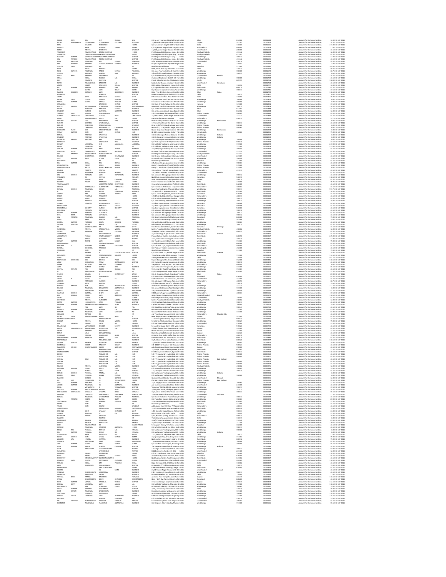| MEHTA<br><b>BNMEHTA</b><br>MAHESHWARI<br><b>OPMAHESHWAR</b><br>HHOLD<br>Post Segaon Dist.khargone (m.p.)-45 2NDM<br>Madhya Pradesh<br>451442<br>00022633<br>Amount for Unclaimed and Un<br>CHANDRAWANSHINKCHANDRAWANSH<br>HHOLD<br>Post Seghaon Dist.khargone (m.p.) -43NDIA<br>Post Segaon Dist.khargone (m.p.) - 1NDIA<br>Post Segaon Dist.khargone (m.p.) -45 2NDIA<br>Madhya Pradesh<br>451442<br>00022634<br>Amount for Unclaimed and Uni<br>43.50 10-SEP-2011<br>KUMAR<br>PARKESH<br>.<br>CHANDRAWAHSHIPCCHANDRAWANSH<br>MAHESHWARI NCMAHESHWARI<br>SERVICE<br>SERVICE<br>West Bengal<br>Madhya Pradesi<br>700013<br>451442<br>00022635<br>00022636<br>Amount for Unclaimed and Un<br>Amount for Unclaimed and Un<br>12.00 10-SEP-2011<br>43.50 10-SEP-2011<br>AGARWAL<br>SHARMA<br>AGRAWAI<br>BUSINESS<br>9/24 Indira Nagar Lucknow -226 016 INDIA<br>B.r.packing Industries Wp-553 Vilage INDIA<br>00022638<br>Amount for Unclaimed and Un<br>Amount for Unclaimed and Un<br>55.50 10-SEP-2011<br>3.00 10-SEP-2011<br>KINSHNA<br>KISHORE<br><b>Uttar Pradesh</b><br>226016<br>LTRAGHL<br>SHARM<br>Delhi<br>110052<br>00022661<br>DEVI<br>MUSADDI<br>NA<br>NA.<br>Gandhi Nagar Bhilwara<br>Rajasthan<br>311001<br>00022667<br>Amount for Unclaimed and Un<br>INDIA<br>RICKEDIA<br>HWIFE<br>G-66,nizamuddin (w) New Delhi 110 BNDIA<br>C/o Avon Poly Tex Ind.ltd. 2 Hare StreINDIA<br>00022674<br>Amount for Unclaimed and Un<br>59.25.10.5FR.2011<br>KEDIA<br>Delhi<br>110013<br>SUNDER<br>PALRIWAL<br>RADHE<br>SHYAM<br>PALRIWAL<br>West Benea<br>70000<br>00022679<br>Amount for Unclaimed and Un<br>HARRAF<br><b>JAIRAM</b><br>SHARRA<br>Cro Avon Pory Tex Institute 200 033 INDIA<br>36b.golf Club Road Calcutta-700 033 INDIA<br>C/o.d.s.sharma E-16.priyadarshni NagNDIA<br>25.strand Road,room No.669 6th FlosNDIA<br>West Bengal<br>00022716<br>Amount for Unclaimed and Un<br>6.00 10-SEP-2011<br>DAS<br>700033<br>DSSHARMA<br>MADAN<br>Amount for Unclaimed and University<br>Amount for Unclaimed and University<br>RANI<br>SHARMA<br>Uttar Pradesi<br>West Bengal<br>Barelly<br>00022736<br>00022742<br>118.50 10-SEP-2011<br>43.50 10-SEP-2011<br>NA<br>KEDIA<br>u.<br>700001<br>KEDIA<br>MATHEW<br>MATHEW<br>SERVICE<br>Penat, Udumbannor P.o. ThodupuzhalNDIA<br>Kerala<br>685595<br>00022751<br>Amount for Unclaimed and Un<br>MATANHELIA<br><b>BANWAR</b><br>LAL<br><b>BUSINESS</b><br>Matanhelia Bhawan Ismailour, GorakitNDM<br>Uttar Pradesh<br>Goralchour<br>00022763<br>Amount for Unclaimed and Un<br>Amount for Unclaimed and Un<br>43.50 10-SEP-2011<br>mesementi brawan ismanpur, dorakiNDIA<br>D-11,takshashila Apts. 67 I.p.ext. DelfINDIA<br>C/o Raj India Electronics 427,mint StxINDIA<br>KALRA<br><b>BAVINDER</b><br>KALBA<br>SERVICE<br>110092<br>00022777<br>mana<br>Banarsi<br>BANSA<br><b>Tamil Nadu</b><br>00022784<br>Amount for Unclaimed and Un<br>43.50 10-SEP-2011<br>KUMA<br>BANSAL<br>DAS<br>RAJAT<br>50007<br>DUTTA<br>LATE<br>LATE<br>KANTI<br>700013<br>84,rahara, Co-operative Colony Po.ra%NDM<br>Bihar Print & Pakers Concern Park RoJNDM<br>West Bengal<br>Bihar<br>00022786<br>Amount for Unclaimed and Un<br>Amount for Unclaimed and Un<br>37.50 10-SEP-2011<br>118.50 10-SEP-2011<br>KISHON<br><b>BUSINES</b><br>BANGUR<br>Patna<br>00022791<br>JRBHATIA<br>SERVICE<br>8-2851 Netaji Nagar N.delhi-110 023 INDM<br>Delhi<br>110023<br>00022810<br>Amount for Unclaimed and Un<br>SETHI<br><b>RAJENDER</b><br>KUMAR<br>SETHI<br>P-7 Sriniwaspuri Extr. New Delhi-110INDIA<br>Delhi<br>110065<br>00022815<br>Amount for Unclaimed and Un<br>75.00 10-SEP-2011<br><b>GUPTA</b><br>GANGA<br>PRASAD<br><b>GUPTA</b><br>58 vivekanand Road Calcutta-700 006NDM<br>West Bengal<br>700006<br>00022819<br>Amount for Unclaimed and Un<br>pevi<br>KUMA<br><b>GUPTA</b><br>.<br>SANGA<br>BAHADU<br>PRASAD<br>CHAND<br>GUPTA<br>SERVICE<br>VISHWAKARMA<br>Sa, www.amamo.noad Calcutta-700 000NDM<br>S8-wwekamand Road Calcutta-700 000NDM<br>C/o Bank Of India Po.box 50, N.i.t. FarNDM<br>Ansa No.iii Qno.b/6 Maithon Po.maitINDM<br>vres berga<br>West Bengal<br>Haryana<br>mmzaw<br>Amount for Unclaimed and University<br>Amount for Unclaimed and University<br>Amount for Unclaimed and University<br>6.00 10-SEP-2011<br>37.50 10-SEP-2011<br>118.50 10-SEP-2011<br>mm<br>121001<br>0002283<br>PRASAD<br>00022878<br>LTSHANKAI<br>VISHWAKRM<br>PRASAD<br>West Bengal<br>700013<br>AGRAWAL<br>PRADEEP<br>KUMAR<br><b>BUSINESS</b><br>C/o Amba International Naya Bazar,blNDM<br>Bihar<br>812002<br>00022883<br>Amount for Unclaimed and Un<br>KUMAR<br><b>JATINDRA</b><br>NARAYAN<br><b>BUSINESS</b><br>C/o Amiba Inernational, Naya Bazar, LINDIA<br>Bihar<br>812002<br>00022884<br>Amount for Unclaimed and Un<br>12.00 10 SEP-2011<br>VIJAY<br>KUMAR<br>SHANKARAIAN<br><b>BUSINESS</b><br>2-2-24 pan Bazar, Secundrabad (ap) SINDM<br>Andhra Pradesh<br>500003<br>00022889<br>Amount for Unclaimed and Uni<br>CHANDTR<br>.<br>175ALIG<br>NAND<br>CHALDHAR<br>HWIFE<br>.<br>Chaudhari<br>Kéwalikama<br>RAM<br>LAL<br>DAS<br>Uttar Pradesh<br>Maharashtra<br>231222<br>440014<br>00022892<br>00022912<br>Amount for Unclaimed and University<br>Amount for Unclaimed and University<br>43.50 10-SEP-2011<br>15.75 10-SEP-2011<br>SUDAN<br>SERVICE<br>West Bengal<br>West Bengal<br>Bardhamar<br>Amount for Unclaimed and Un<br>Amount for Unclaimed and Un<br>das<br>Sharma<br>RAKHAHARI<br>LTGRSHARMA<br>00022915<br>700013<br>SERVICE<br>00022918<br>CHENNUR<br>RAGHURAMULU<br>STUDENT<br>H.no.12/11/1278 Boudha Nagar, wariiNDIA<br>Andhra Pradesh<br>500361<br>00022926<br>Amount for Unclaimed and Uni<br>6.00 10-SEP-2011<br>CHENNUR<br><b>RAGURAMULU</b><br>CHENNUR<br>SERVICE<br>Hno.12/11/1278 Boudha Nagar, WariNDIA<br>Hno.12/11/1278 boudha Nagar, WariNDIA<br>Nutan Ganj,[iswaritala], Burdwan -71JNDIA<br>Qr-10[er_wasian Complex, Sector -7_biNDIA<br>318 Chittaranjan Avenue Calcutta CalNDIA<br>318 Chittaranjan Aven<br>Andhra Pradesh<br>500361<br>00022927<br>Amount for Unclaimed and Un<br>NATH<br>DAS<br>SRISHIBPROSAD<br>DAS<br><b>BUSINESS</b><br>West Bengal<br>Bardhaman<br>00022934<br>Amount for Unclaimed and Un<br>6.00.10.5ER.2011<br>00022935<br>Amount for Unclaimed and University<br>Amount for Unclaimed and University<br>Amount for Unclaimed and University<br>KUMA<br>GYAN<br>CHAND<br>uw<br>Chhattisgart<br>West Bengal<br>490001<br>SPMOTANI<br>SPMOTANI<br>BUSINESS<br>BUSINESS<br>MOTANI<br>00022957<br>00022958<br>Kolkata<br>Kolkata<br>MOTANI<br>West Benga<br>PRASAD<br>MOTANI<br>tau<br>MOHAN<br>MOTANI<br>318, chittaranjan Avenue Calcutta-700NDM<br>West Bengal<br>700006<br>00022959<br>Amount for Unclaimed and Un<br>6.00 10-SEP-2011<br>SAMBASIVA<br>STUDENT<br>C/o V.v.k.rajamohan D-103,krishivihatNDIA<br>C/o Lakhotia Trading Co M.g.marg GaINDIA<br>Andhra Pradest<br>00022968<br>Amount for Unclaimed and Un<br>Amount for Unclaimed and Un<br><b>BAO</b><br>500016<br>LAKHOTIA<br><b>SHRI</b><br><b>JAGANLALI</b><br><b>LAKHOTIA</b><br>West Bengal<br>73710<br>00022972<br>237.00 10-SEP-2011<br>LAKHOTIA<br>AGARWAL<br>CHAKAVORTY<br>C/o Lakhotia Trading Co. M.g. Marg, ONDV<br>West Bengal<br>West Bengal<br>Uttar Pradesi<br>737101<br>0002297<br>Amount for Unclaimed and Un<br>NA<br>AGARWAL<br>CHAKRARTY<br>KUMAR<br>NATH<br>RAM<br>AVTAR<br>BHUSHAN<br>0002297<br>293/294,bangur Avenue, Block-b,4th INDIA<br>Qr.no.ae-7(pt) Po.turra Dt.sonebhadraNDIA<br>700055<br>231221<br>Amount for Unclaimed and Un<br><b>BHUJANGA</b><br>00022092<br>Amount for Unclaimed and Un<br><b>PRAKASE</b><br>MAHESHWAR<br>HOMAHESHWAR<br>SERVICE<br>Post Segaon Dist.khargone (m.p.)-45 2NDIA<br>C/o Dr.jalan 15 Gurudham Colony,durNDIA<br>Madhya Pradesi<br>451442<br>00022997<br>Amount for Unclaimed and Un<br>CHURIWALA<br>SITARAM<br>CHURIWALA<br><b>BUSINESS</b><br>Uttar Pradesh<br>221005<br>00023004<br>Amount for Unclaimed and Un<br>KUMAR<br>SAHA<br>LTHARI<br>PADA<br>SAHA<br>80,s.k.deb Road Calcutta 700 048 CalNDM<br>West Bengal<br>700048<br>00023005<br>Amount for Unclaimed and Un<br>75.00 10-SEP-2011<br>Gandhi Nagar Bhiwara<br>2/1,chitpur Bridge Approach, Near BalNDIA<br>Reddy's Consultents D/no.16/108-FuJNDIA<br>nnoven:<br>48.50 10-SEP-2011<br>48.50 10-SEP-2011<br>6.00 10-SEP-2011<br>NA<br>DAGA<br>Rajasthan<br>West Bengal<br>311001<br>700003<br>Amount for Unclaimed and Uni<br>Amount for Unclaimed and Uni<br>Amount for Unclaimed and Uni<br>NA<br>NAV<br>00023034<br>00023034<br>00023036<br>DAGA<br>REDDY<br>RATAN<br>515801<br>KRANI<br>REDDY<br><b>BUSINESS</b><br>Andhra Prades<br>REDDY<br>MMALLIKARJUNA<br>REDDY<br><b>BUSINESS</b><br>Reddy's Consultants D/no.16/108-F-u(NDM<br>Andhra Pradesh<br>515801<br>00023037<br>Amount for Unclaimed and Un<br><b>PGUPTA</b><br>PAWAN<br>KGUPTA<br>305, shalimar Triumph, Viman Nagar, INDV<br>Maharashtra<br>411014<br>00023038<br>Amount for Unclaimed and Un<br>MAZGHAR<br>MALHAR<br>HUSAIN<br><b>BUSINESS</b><br>104 valdura Standard School Randburg/NDA<br>Uttar Pradesh<br>Barelly<br>00023056<br>Amount for Unclaimed and Uni<br>LATE<br>SEETHA<br><b>BUSINESS</b><br>RAMAJAH<br>C/o Abhishek 3,5.b ganguli Street CaliNDIA<br>No.36,bda Shopping Complex, BanasiNDIA<br>A-19, Subhlasmi Park, Opp.govind RaINDIA<br>Finwiz Financial Services Pvt.ltd. 312,JNDIA<br>West Benga<br>Kamataka<br>CHAND<br>PERIWAL<br>TS<br>700012<br>560070<br>00023057<br>00023061<br>Amount for Unclaimed and Un<br>Amount for Unclaimed and Un<br>43.50 10-SEP-2011<br>VSHA<br>GSHAH<br>HWIFE<br>390019<br>110001<br>0002307<br>Amount for Unclaimed and Un<br>Amount for Unclaimed and Un<br>43.50 10-SEP-2011<br>78.75 10-SEP-2011<br>vipin<br>Paramat<br>CHANDRA<br>Gujarat<br>MANN<br>MANN<br>00023082<br>VENKATACHALAR<br>CHETTUAD<br><b>BUSINESS</b><br>31, vekataramapuram Street Polichi 6/NDIA<br><b>Tamil Nadu</b><br>642001<br>00023101<br>Amount for Unclaimed and Un<br>STIBREWALA<br>SUDARSHAN<br>TIBREWALK<br><b>BUSINESS</b><br>C/o Sudarshan R.tibrewala 164,sitararNDIA<br>Laxmi Tea Trading Co. Mahabir Sthan/NDIA<br>400002<br>00023140<br>Amount for Unclaimed and Un<br>Maharashtra<br>CHAND<br><b>AGARWAL</b><br>SOHAN<br>i M<br><b>AGARWA</b><br>West Benea<br>700013<br>00023150<br>Amount for Unclaimed and Un<br>SEKAR<br><b>BUSINESS</b><br><b>Tamil Nadu</b><br>625001<br>00023156<br>Amount for Unclaimed and University<br>Amount for Unclaimed and University<br>Amount for Unclaimed and University<br><b>RATNA<br/>GHEYAS<br/>PRASHANT</b><br>KISHANAA<br>AHMED<br>KHAN<br>HWIFE<br>43.50 10-SEP-2011<br>43.50 10-SEP-2011<br>ara<br>Phamlai<br>Jharkhand<br>Maharashtra<br>826001<br>400077<br>00023161<br>00023163<br>KHAN<br>GAKHAN<br>HWIFE<br>C/o M.a.khan Naya Bazar,dhanbad INDIA<br>West Bengal<br>700013<br>00023164<br>Amount for Unclaimed and Un<br>KHANNA<br><b>JNKHANNA</b><br>SERVICE<br>.<br>C/o Janta Tailoring 32,kali Krishna TepNDIA<br>34.udani Lavout second Cross CambriNDIA<br>West Bengal<br>Kamataka<br>700070<br>00023170<br>Amount for Unclaimed and Un<br>Amount for Unclaimed and Un<br>DSHETTY<br>DHARMARAYA<br>SHETTY<br>SERVICE<br>560008<br>00023188<br>PRAJEEVA<br>SHETTY<br>STUDEN<br>34,udani Layout,second Cross CambriNDM<br>Kamataka<br>00023189<br>Amount for Unclaimed and Un<br>560001<br>SSHETTY<br>PERIWAL<br>SERVICE<br>BUSINESS<br>34,udani Layout,second Cross CambriNDIA<br>C/o Abhishek 3.b.b.ganguli Street CaliNDIA<br>560008<br>700012<br>SURESH<br>DSHETTI<br>Kamataka<br>West Bengal<br>00023190<br>Amount for Unclaimed and Un<br>Amount for Unclaimed and Un<br>SIPERIWA<br>00023201<br>KUMAR<br>PERIWAL<br>LCPERIWAL<br><b>BUSINESS</b><br>C/o Abhishek 3.b.b.ganguli Street CalifNDM<br>West Bengal<br>700012<br>00023202<br>Amount for Unclaimed and Uni<br>43.50 10-SEP-2011<br><b>BAM</b><br>PERIWAL<br>LCPERIWAL<br><b>BUSINESS</b><br>C/o Abhishek 3.b.b.ganguli Street CalifNDM<br>West Benga<br>700012<br>00023203<br>Amount for Unclaimed and Un<br>PRAKASE<br><b>AGARWAL</b><br>MADAN<br>LAL.<br>AGARWAL<br>C/o Great Collections & Market vinatights<br><b>Jharkhand</b><br>826001<br>00023215<br>Amount for Unclaimed and Un<br>75.00 10-SEP-2011<br>KUMAR<br>KISHORE<br>Co Arvind Kumar Roongta E-301, kant NDIA<br>Co Mohta Stores 170, mg road, Calci NDIA<br>Boltola Bazar, P.o.bishnpur -722 122 INDIA<br>00023223<br>00023239<br>00023252<br>75.00 10-SEP-2011<br>43.50 10-SEP-2011<br>43.50 10-SEP-2011<br>SHAH<br>PATODIA<br>PAWAN<br>JUGAL<br>BIHARI<br>SHAH<br>PATODIA<br>Rajasthan<br>West Bengal<br>West Bengal<br>302006<br>700007<br>Amount for Unclaimed and Uni<br>Amount for Unclaimed and Uni<br>Amount for Unclaimed and Uni<br>KUMA<br>SUNDAR<br>700013<br><b>JALAN</b><br><b>JALAN</b><br>щ<br>CHANDRALEXHA<br>xx<br>SRINIVASIAAH<br>SETTY<br>Shri Ambika Genral Store, Gandhi BazINDM<br>Kamataka<br>Shimoga<br>00023261<br>Amount for Unclaimed and Un<br>43.50 10-SEP-2011<br>MEHTA<br>KANHAIYALAL<br>MEHTA<br><b>BUSINESS</b><br>Mehta Pvarchand Kishan Lal Sarafa BINDM<br>Madhya Pradesh<br>458002<br>00023278<br>Amount for Unclaimed and Un<br>HAR<br>KALAMBE<br>HAN<br>LAXMAN<br>KALAMBE<br>Viswaiveri Sadan r no 44 4th FL, S.h. (NDM<br>Maharashtra<br>400033<br>00023289<br>Amount for Unclaimed and Uni<br>43.50 10-SEP-2011<br>AJPRAKASH<br>ASOMANATI<br>.<br>AKJAGADISHAR<br>ARIJIMUGASAM<br>26, first Street, pudupet Madras - 600 INDM<br>Punnai Sathan Kurichi, Mela Outer, poNDM<br>Punnai Sathan Kurichi, Mela Outer, poNDM<br><b>Tamil Nadu</b><br>Tamil Nadu<br>BUSINESS<br>SERVICE<br>RETIRED<br>00023346<br>00023367<br>Amount for Unclaimed and University<br>Amount for Unclaimed and University<br>43.50 10-SEP-2011<br>NAOAR<br>NADAR<br>628151<br>SJASWANT<br>LATE<br>SINGH<br>SAGAR<br>2231,sector-15-c Chandigarh-160 019NDM<br>C/o Thard House 21/1,kalu Para LaneINDM<br>Amount for Unclaimed and Un<br>Amount for Unclaimed and Un<br>12.00 10-SEP-2011<br>75.00 10-SEP-2011<br>SINGH<br>Thard<br>Punjab<br>West Bengal<br>160015<br>713106<br>00023376<br>KUMAI<br>MAL<br>00023385<br>LVVENKATARAMA<br>SERVICE<br>31, valluvar Street Arumbakkam MadrINDIA<br><b>Tamil Nadu</b><br>600106<br>00023388<br>Amount for Unclaimed and Un<br>POOJART<br>THURSA<br>KPOQIAR*<br>SERVICE<br>C/o K.b.amin 16/5,hayyad Mohd ChaiNDIA<br>C/o Prashant Traders Amantran CompNDIA<br>Maharashtra<br>400086<br>Amount for Unclaimed and Un<br>43.50 10-SEP-2011<br>00023392<br>GOLCHHA<br>PRAKASH<br>GOLDHHA<br>Chhattisearl<br>49200<br>00023408<br>Amount for Unclaimed and Un<br>Gerhini Nagar Bhiwara<br>Co Priya Video 103,aschok Nagar MINDIA<br>Tikorehat,p.o.lakurddi Dt.burdwan 73NDIA<br>00023424<br>Amount for Unclaimed and University<br>Amount for Unclaimed and University<br>Amount for Unclaimed and University<br>75.00 10-SEP-2011<br>tajasth<br>31100<br>Tamil Nadu<br>SERVICE<br>00023425<br>00023436<br>75.00 10-SEP-2011<br>112.50 10-SEP-2011<br>MOHAN<br>HALDAR<br>KUVCHITHABATHAM<br>Chenna<br>713102<br>PARTHASARATH<br>HALDAR<br>HWIFE<br>West Bengal<br>BATRA<br>LTHRBATRA<br>HWIFE<br>S-397 greater Kallash-i, New Delhi 13NDIA<br>Delhi<br>110048<br>00023478<br>Amount for Unclaimed and Un<br>CHANDRA<br>BISHNU<br>PADA<br><b>Shyam Babusghat Po.chinsurah DistLINDIA</b><br>C/o Canbank Financial Services Ltd. 2/NDIA<br>West Bengal<br>712101<br>00023485<br>Amount for Unclaimed and Un<br>Amount for Unclaimed and Un<br>DEY<br>Dajiyanani<br>DEY<br>PREM<br>ROARYANANI<br>SERVICE<br>West Bengal<br>Maharashtra<br>West Bengal<br>West Bengal<br>70007<br>00023492<br>KOTHAR<br>00023504<br>Amount for Unclaimed and Un<br>6.00 10-SEP-2011<br>KOTHAR<br>PRADFFO<br>l-a <sub>s</sub> gokarna Co Op Hig.soc., Justice MNDV<br>sonna<br>BUSINESS<br>RAY<br>72310<br>KUMAR<br>SHYAM<br>ASOKE<br>DAS<br>KUMAJ<br>C/o Mahalaxrri Transport Co., PuruliaNDIA<br>92, B.g.nandey Road Shyambazar, BusNDIA<br>00023516<br>Amount for Unclaimed and Un<br>Amount for Unclaimed and Un<br>55.50 10-SEP-2011<br>43.50 10-SEP-2011<br>RANJAN<br>RAY<br>71310<br>00023523<br>RAJAKUMAR<br>AGURUMOORTH<br>NA.<br>43/30 Mengles Road, Nagal Nagar DirNDM<br><b>Tamil Nadu</b><br>624003<br>00023526<br>Amount for Unclaimed and Un<br>SALUJA<br>CHARANJEET<br>SINGH<br>C/o, S. Charanjeet Singh Anandpuri, VINDIA<br>Patna<br>00023548<br>Amount for Unclaimed and Un<br>87.00 10-SEP-2011<br>Bihar<br>KUMAR<br>SHANKARLA<br><b>BUSINESS</b><br>C/o Maruti Care Shavitree AppartmentNDM<br><b>Jhankhand</b><br>826001<br>00023570<br>Amount for Unclaimed and Un<br>GOYAL<br>BUSINESS<br>Sushil Chambers, 27- Cher Khatti, NetNDIA<br>C/o A.b.rayari 8-34 Yuwan Apts, mouNDIA<br>C/o.decent Estates Mg-1/19 VikaspurINDIA<br>Amount for Unclaimed and University<br>Amount for Unclaimed and University<br>Amount for Unclaimed and University<br>GOYAL<br>MIMDAN<br>LT<br>HUSSEIN<br>sc<br>Uttar Pradesh<br>Maharashtra<br>Delhi<br>251001<br>400050<br>00023571<br>48.50 10-SEP-2011<br>66.75 10-SEP-2011<br>75.00 10-SEP-2011<br>00023576<br>00023576<br>00023611<br>HHOLD<br>110018<br>SETH<br>KKSETH<br>PRATIM<br>sua<br>SATYA<br>BANMANDAI<br><b>BUSINESS</b><br>'mayerbari" Nischantapur Po. RampulNDM<br>West Bengal<br>731224<br>00023641<br>Amount for Unclaimed and Un<br>AGARWAL<br><b>BISWANATH</b><br>AGARWALLA<br><b>BUSINESS</b><br>C/o Anand Distributors Taxi Stand.poJNDIA<br>West Bengal<br>723101<br>00023647<br>Amount for Unclaimed and Un<br>BIDAWATKA<br>MAHENDRA<br>KUMAR<br><b>BIDAWATKA</b><br>336.canal Street flat No.3a. Block-c.3rNDM<br>West Beneal<br>700048<br>00023664<br>Amount for Unclaimed and Uni<br>SURANA<br>SURANA<br>MODI<br>SURANA<br>BUSINESS<br>Sources and Maland Maland (MDIA)<br>Lanta Tubaco Company Cur Mand (MDIA)<br>P-4/2,imigation Colony, Singh Dwar,pINDIA<br>Mehta Pyarchand Kishanlal Sarafa BaJNDIA<br>Mehta Pyarchand Kishanlal Sarafa BaJNDIA<br>Maharashtra<br>Himachal Pra<br>CHAND<br>KISHAN<br>CHOTH<br>LATE<br>MAL<br>GDMOOI<br>10005<br>00023666<br>00023679<br>Amount for Unclaimed and Un<br>Amount for Unclaimed and Un<br>$\begin{array}{c} 37.50 \ 10\, \text{SEP-}2011 \\ 118.50 \ 10\, \text{SEP-}2011 \end{array}$<br>GUPTA<br>BUSINESS<br>249404<br>458002<br>GUPTA<br>MÉHTA<br>00023681<br>Amount for Unclaimed and Un<br>Amount for Unclaimed and Un<br>VUAY<br>SURENDRA<br>Uttar Pradesh<br>MEHT/<br>Madhya Pradesi<br>00023692<br>KUMAR<br><b>HUPADHYAYA</b><br>HARI<br>PRASAD<br>SERVICE<br>292/3 Mahavir Apts. Ground Floor, SilNDIA<br>West Bengal<br>700013<br>00023699<br>Amount for Unclaimed and Un<br>KUMAR<br>PRABHUDASVORA PRABHUDA<br><b>VORA</b><br><b>BUSINESS</b><br>p.brothers 46, eara Street Calcutta-7NDM<br>West Bengal<br>West Bengal<br>70000<br>00023709<br>Amount for Unclaimed and Un<br>PAL<br>LATE<br>PAL<br>C/o Raja Bhowmick 23/a/6 d.p.p.roadNDM<br>700043<br>00023719<br>Amount for Unclaimed and Un<br>AGARWA<br>Crowing and Mishra Street Amlapar/NDIA<br>Gokaran Nath Mishra Street Amlapar/NDIA<br>4-gr Floor Dadarkar Apartments Liber/NDIA<br>4-gr Floor Dadarkar Apartments Liber/NDIA<br>west Bengal<br>West Bengal<br>West Bengal<br>00023733<br>Amount for Unclaimed and Un<br>81.00 10-SEP-2011<br>KUMA<br>AGARWA<br>MADAN<br>72310<br>Amount for Unclaimed and University<br>Amount for Unclaimed and University<br>Amount for Unclaimed and University<br>AGARWAL<br>TRIVEDI<br>MANGA<br>LAL<br>LATE<br>00023734<br>00023740<br>81.00 10-SEP-2011<br>43.50 10-SEP-2011<br>RAI<br>NA<br>723101<br>Maharashtra<br>Mumbai City<br>387001<br>DILIP<br>BHAINAVAIL<br><b>BAVAII</b><br>BHAI<br>Near Bhojva Kuvani Vadi Kansara BazaNDIA<br>Gujarat<br>00023748<br>Amount for Unclaimed and Un<br>HINAAGOPALAN<br>SERVICE<br>11 Granaraj Salai Samraj Nagar SembNDIA<br>50-a Girish Mukherjee Road Bhowani(NDIA<br>C/o B.g Tiwari Achyut Ank 521 SidhariNDIA<br><b>Tamil Nadu</b><br>00023765<br>Amount for Unclaimed and Un<br>Amount for Unclaimed and Un<br>37.50 10-SEP-2011<br>VRSRINIVAS<br>DRTHY<br>600073<br>MEHTA<br>NAVIN<br>MEHTA<br>HWIFE<br>West Benea<br>700025<br>00023771<br>nkne<br>PANDEY<br>Uttar Prad<br>00023775<br>Amount for Unclaimed and Un<br>37.50 10-SEP-2011<br>PRAKASE<br>PANDEY<br>27600<br>SHETTI<br>VENKATESHA<br>MUDDA<br>Sri Lakshmi Nivasa No.73 12th Main INDIA<br>2/2981 Chouan Sheri, Sagram Pura, SINDIA<br>570020<br>BUSINESS<br>KSHAREDALA<br>Kamataka<br>Gujarat<br>00023798<br>Amount for Unclaimed and Un<br>Amount for Unclaimed and Un<br>43.50 10-SEP-2011<br>43.50 10-SEP-2011<br>DHAN<br>KHLAL<br>SHAREDALAL<br>DHANSUKH<br>LAL<br>395002<br>00023823<br>SHARMA<br>PICSHARMA<br>House No.142-a, Raman Enclave, rishi INDM<br>Punjab<br>141001<br>00023845<br>Amount for Unclaimed and Un<br>NA.<br>LALA<br>LALA<br>GOPALKRISHNA<br>Block No.6/1(g-1) Sector-20 Gandhi NNDIA<br>Gujarat<br>382020<br>00023868<br>Amount for Unclaimed and Uni<br>43.50 10-SEP-2011<br>MBHIDE<br><b>MADHUKAR</b><br>terpe<br>SERVICE<br>63 guilta Khan Abdul Gaffar Khan RoalNDV<br>Maharashtra<br>400018<br>00023880<br>Amount for Unclaimed and Un<br>MUNOTH<br>Ravindra Plastic Ind. 77, narayana MulNDIA<br>36/9, "akshaya" 2nd Main Road, r.a.pulNDIA<br>14, shivitolla Street Calcutta Calcutta ONDIA<br>Amount for Unclaimed and University<br>Amount for Unclaimed and University<br>Amount for Unclaimed and University<br>48.50 10-SEP-2011<br>118.50 10-SEP-2011<br>75.00 10-SEP-2011<br>KUMAI<br>MUNOTH<br>PARAS<br>PRSUBRAMAN<br>MA.<br>Tamil Nadu<br>Tamil Nadu<br>sono?<br>nnn reas:<br>sonozi<br>0023897<br>MOHTA<br>00023916<br>MOHTA<br><b>JAGADISH</b><br>70000<br>SUNDER<br>PRASHAD<br>West Benga<br>KASAT<br>RAMDEV<br>KASAT<br><b>BUSINESS</b><br>3-4-1013/17, h.colony 1st floor, barlNDM<br>Andhra Pradesi<br>500027<br>00023921<br>Amount for Unclaimed and Un<br><b>ASHOK</b><br><b>CHANDWASKAR</b><br>ASHOK<br>NARHANI<br>CHANWASKAR<br>A-1,chanakyapuri Sama Road,baroda-INDIA<br>Gujarat<br>390008<br>00023938<br>Amount for Unclaimed and Un<br><b>BSHANMUGAM</b><br>STUDENT<br>10 sarolini Street Mahalingapuram.pdNDIA<br><b>Tamil Nadu</b><br>642002<br>00023955<br>Amount for Unclaimed and Uni<br><b>TSSUNDARAJAN</b><br>PMANOHAR<br>First Floor,"malles Manor", 8,periar NINDI.<br>5-9-777,gunfoundry Hyderabad-500 0NDI.<br>.<br>Tamil Nadu<br>Andhra Prades<br>00023961<br>00023961<br>Amount for Unclaimed and Un<br>Amount for Unclaimed and Un<br>.<br>JAIN<br>JAIN<br>LAL<br>LAL<br>5-8-777 gunfoundry Hyderabad-500 0NDIA<br>5-8-777 gunfoundry Hyderabad-500-0NDIA<br>Andhra Pradesh<br>Andhra Pradesh<br>PMANOHAE<br>PMANOHAE<br>50000<br>00023970<br>Amount for Unclaimed and Un<br>Amount for Unclaimed and Un<br>DEV<br>0002397<br>PMANOHAE<br>LAL<br><b>JAIN</b><br>5-9-777 gunfoundry Hyderabad-500 0NDIA<br>Andhra Pradesh<br>500001<br>00023972<br>Amount for Unclaimed and Un<br>PMANOHAR<br>LAL<br><b>JAIN</b><br>5-9-777 gunfoundry Hyderabad 500 0NDM<br>Andhra Pradesh<br>500001<br>00023973<br>Amount for Horlaimed and Un<br>MEHTA<br>VUENDRAJ<br>MEHTA<br><b>BUSINESS</b><br>Mehta Pvarchand Kishanlal Sarafa BalNDIA<br>Madhya Pradesi<br>458002<br>00023976<br><b>Ammunt for Horlaimed and Un</b><br>ruu<br>Naand<br>HEIH<br>MHR<br>LAL<br>Co Rs.steel Corporation 38/11 mahariNDIA<br>173, santospur Awenue Calcutta-700 ONDIA<br>C/o Mahalasmi Trading Agency 147, riNDIA<br>00023988<br>Imount for Unclaimed and Un<br>KUMAI<br>DAGA<br>DAGA<br>KUMAR<br>West Bengal<br>West Bengal<br>West Bengal<br>70000<br>LATE<br>PANNA<br>00023990<br>00024011<br>Amount for Unclaimed and Un<br>Amount for Unclaimed and Un<br>KUMDL<br>700075<br>Kolkata<br>CHAND<br>NOLKHA<br>NOLKHA<br>CHAND<br>DEVI<br>NOLKHA<br>MANIX<br>NOLKHA<br>C/o Mahalaxmi Trading Agency 147 HNDIA<br>West Bengal<br>700001<br>00024012<br>Amount for Unclaimed and Uni<br>GANDH<br>$\frac{SN}{CH}$<br>GANDH<br>BUSSINESS<br>Goldhian Khari Bharelar Khandak BaziMDM<br>Uttar Pradesh<br>00024036<br>Amount for Heriaimed and He<br>ws<br><b>NAGAMAN</b><br>VEERASWAM<br>HWIFE<br>Flat No.1. Karan Apartments BenumpINDM<br>Andhra Pradest<br>East Godayar<br>00024039<br>Amount for Unclaimed and Un<br>KUMA<br><b>EASURAY</b><br>GOUR<br>GOUR<br>VISHWANATH<br>HARI<br>25/c, Jaigirghat Road Kshudirams<br>West Bengal<br>Uttar Pradesh<br>West Bengal<br>00024045<br>Amount for Unclaimed and Un<br>37.50 10-SEP-2011<br>zonosy<br>KUMA<br>AGARWAL<br>VISWANATH<br>243001<br>00024062<br>00024065<br>A.k. Investment (stock & Share BrokesNDIA<br>"debahaya" Flat No 24 460 Jessore RoINDIA<br>.<br>Amount for Unclaimed and Un<br>Amount for Unclaimed and Un<br>SS<br><b>BUSINESS</b><br>SERVICE<br>70007<br>KUMAR<br>MOOLCHAND<br>NI ANAND<br>RAM<br>STUDENT<br>3/543,pulki Mandi, Shahganj,agra -28NDIA<br><b>Uttar Pradesh</b><br>282010<br>00024078<br>Amount for Unclaimed and Un<br>GOPALDASS<br>CHAWLA<br>LTGOPAL<br>DASS<br>CHAWLA<br>39/1, prince Bakhtiar Shah Road (swistNDM<br>West Bengal<br>700033<br>00024081<br>Amount for Unclaimed and Uni<br>UPADHYAY<br>SHAILENDE<br>UPADHYAY<br><b>AGRICULTURE</b><br>29-a avas Evam Vilkas Colony, Mail AINDIA<br>Uttar Pradesh<br>00024085<br>Amount for Unclaimed and Un<br>Lucknow<br>PRASAD<br>DUTT<br>SELVAM<br>nnoanoz<br>43.50 10-SEP-2011<br>87.00 10-SEP-2011<br>37.50 10-SEP-2011<br>AGARWA<br>LTHANUMA<br>DURGA<br>AGARWA<br>Co Bharti Vastralaya Purana Bazar,dHNDIA<br>Co Paras Ram Somani 163,mukta RaINDIA<br>37-n Saru Mension Durgalaya Road TINDIA<br>West Bengal<br>West Bengal<br>Tamil Nadu<br>700013<br>700007<br>Amount for Unclaimed and Uni<br>Amount for Unclaimed and Uni<br>Amount for Unclaimed and Uni<br><br>mason<br>PRAKASI<br><b>YASOTHARA</b><br>HWIFE<br>610002<br>00024113<br>PANNER<br>DEVI<br><b>JAIN</b><br>Gandhi Nagar Bhilwara<br>Rajasthan<br>311001<br>00024117<br>Amount for Unclaimed and Un<br>NA<br>NA<br>INDM<br>- Landri Nagar Brizwara<br>A-11 Arvind Kunj Sth Floor 77 TaardelNDIA<br>JUGRAJ<br>STUDENT<br>JAIN<br>Maharashtra<br>400034<br>00024118<br>Amount for Unclaimed and Un<br>43.50 10-SEP-2011<br>PSSRINIVASA<br>DESIKAN<br>PROFESSION<br>10.5th Main Road Raupuram Madras INDM<br><b>Tamil Nadu</b><br>600028<br>00024119<br>Amount for Unclaimed and Uni<br>LTSARAT<br>SAHA<br>SINGHAL<br>1/13 Rajendra Prasad Colony, TollyguRIDI<br>D-210,anand Vihar, Delhi Delhi - IRDI<br><br>00024133<br>00024152<br>SAHA<br>CHANDRA<br>CM<br>West Bengal<br>Delhi<br>Maharashtra<br>700033<br>110092<br>Amount for Unclaimed and Un<br>Amount for Unclaimed and Un<br>24.00 10-SEP-2011<br><b>SATYAPA</b><br>4/12, Borla Co.op. Hig. Society Dr. C. INDV<br><b>BHATIA</b><br>ABUSINES:<br>40007<br>00024167<br>00024188<br>Amount for Unclaimed and Un<br>RCHAND<br>bandhu Appartments Kalkaji,dNDL<br>110019<br>Amount for Unclaimed and Un<br>SIKARIA<br>SITARAMN<br>SIXARIA<br>30/a/57 dr.p.t.laha Street, 2nd Floor INDIA<br>West Bengal<br>712248<br>00024200<br>Amount for Unclaimed and Un<br>87.00 10-SEP-2011<br>SIKARIA<br><b>BAMAKANT</b><br>SIKARIA<br>30/a/57 dr.n 1 laba Street, 2nd Floor INDN<br>West Bengal<br>Rajasthan<br>712248<br>00024201<br>Amount for Unclaimed and Un<br>MAHESHWAR<br>MAHESHWAR<br>53-sanaram Colony 'c' Scheme JaipurINDM<br>30200<br>00024213<br>Amount for Unclaimed and Un<br>xx<br>C/o M/s M.p Kedia & Co., 29-r.n MukiNDIA<br>West Bengal<br>700013<br>00024222<br>Imount for Unclaimed and Un<br>AGARWAL<br><b>SITARAM</b><br>ecessive<br>HHOLD<br>NAHATA<br>NAHATA<br>NANNA<br>MÉGH<br>NAHATA<br>NAHATA<br>C/o Mahalaxmi Trading Agency 147 NNDIA<br>C/o Mahalaxmi Trading Agency 147-nNDIA<br>West Bengal<br>West Bengal<br>700001<br>00024239<br>00024240<br>Amount for Unclaimed and Un<br>Amount for Unclaimed and Un<br>썳<br>raj<br>Kumaj<br>Kolkata<br>110022<br>KALIR<br>JOSINDER<br>PAL<br>SINGH<br>1232,sector-12, R.k.puram New DelhitNDIA<br>Delhi<br>00024247<br>Amount for Unclaimed and Un<br>CHAND<br>LTMAL<br>CHAND<br>BORAR<br>2224/2001-24, P. P. Popular Maria Maria Maria Maria<br>14. April - Antonio Maria Maria Maria Maria Maria Maria Maria<br>17. Judinalis Maria Maria Maria Maria Maria Maria Maria Co<br>17. Co Shei Ram Karan Gupta, The GangaNDIA<br>The Pe<br>West Bengal<br>Tamil Nadu<br>711102<br>00024252<br>Amount for Unclaimed and Un<br><b>JAIN</b><br>LAL<br><b>HPATEL</b><br><b>HIOPATEL</b><br>BUSINESS<br>600112<br>00024262<br>Amount for Unclaimed and Un<br><br>SANT<br>MOOSADE<br>.<br>West Benga<br>00024272<br>Amount for Unclaimed and Un<br>MOOSADEE<br>KIMAR<br>700001<br>KUMAR<br>KUMAR<br>RAM<br>KARAN<br>GUPTA<br>SERVICE<br>West Bengal<br>West Bengal<br>00024277<br>00024286<br>GUPTA<br>BAJPAI<br>Amount for Unclaimed and Un<br>Amount for Unclaimed and Un<br>SURESH<br>Kolkata<br>MUKHERJEE<br>LTDNMUKHERJEE<br>RETIRED<br>1-a Judges Court Road falt No.7, CalcuNDM<br>West Bengal<br>700023<br>00024293<br>Amount for Unclaimed and Un<br>LTTCKUKREJA<br>RETIRED<br>8-124, sector 14, Noida -201 301<br>INDV<br><b>Uttar Pradesh</b><br>201301<br>00024295<br>Amount for Unclaimed and Un<br>12.00 10-SEP-2011<br><b>ARORA</b><br><b>DRIGARORA</b><br>HWIFE<br>C/o Dr.r.c.mahenda, Near Dr.mr.sa<br>324001<br>00024298<br>Amount for Unclaimed and Un<br>enrous<br>Rajasthan<br>MORE<br>HWIFE<br>GUPTA<br>Anuradha 16, rathore Marsion, Bank INDIA<br>No.29, ramachandra Road, R.s. puram, INDIA<br>66, sector-9 Avas Vikas Colony, sikandeNDIA<br>826001<br>641002<br>282007<br>00024315<br>00024317<br>55.50 10.5EP-2011<br>43.50 10.5EP-2011<br>118.50 10.5EP-2011<br>118.50 10.5EP-2011<br>MORE<br>KRISHNAMIL<br>SANJAY<br>CSKRISHNAN<br>KUMAF<br><b>harbhann</b><br>Amount for Unclaimed and Un<br>Amount for Unclaimed and Un<br>Amount for Unclaimed and Un<br>Tamil Nadu<br>00024329<br>VATI<br><b>GUPTA</b><br>SATYENDRA<br>CHANDIS<br><b>Uttar Pradesi</b><br>KEDIA<br>OM<br>PRAKASH<br>KEDIA<br>Bajaj Electricals Ltd., 1/10 Asaf Ali RoJNDM<br>Delhi<br>110002<br>00024337<br>Amount for Unclaimed and Un<br><b>SKISHARADWAI</b><br>BHARDWAJ<br>SERVICE<br>65-a pocket-"c" Siddhartha Extention INDM<br>Delhi<br>110014<br>00024345<br>Amount for Unclaimed and Un<br>SBALACHANDRAN<br>HWIFE<br>C-38 Second Main Ramalinga Nagar TINDIA<br><b>Tamil Nadu</b><br>620003<br>00024349<br>Amount for Unclaimed and Uni<br>BUSINESS<br>BUSINESS<br>21/11 Shastri Nagar Meenst -250 002NDM<br>Indra Investment Consultancy H.no.3 (NDM<br>00024369<br>00024403<br>SAIN<br>Uttar Pradesi<br>West Bengal<br>Amount for Unclaimed and Un<br>Amount for Unclaimed and Un<br><br>VFNKANNA<br>OKNIDARAS<br>700013<br><b>Bhansail Jewellers 163 Municipal MarNDIA</b><br>Ap <i>lasmi</i> Pura Kampa Po <i>lasmi</i> Pura <i>JNDIA</i><br>00024432<br>00024445<br>BHANSALI<br>RPATEL<br>BUSINESS<br>FARMING<br>Amount for Unclaimed and Un<br>DKIAN<br>110005<br>383275<br>BHA<br>Gujarat<br>RAVJIBHAI<br>Amount for Unclaimed and Un<br>CHAKRABORTY<br>GOUR<br>CHANDIU<br>CHAXILABORTY<br>Qno. F 11/a Dvc Panchet Dam P.o ParNDIA<br>Jharkhand<br>828206<br>00024449<br>Amount for Unclaimed and Un<br>VERMA<br>ARJUNLAL<br>VERMA<br>SERVICE<br>390019<br>00024457<br>Amount for Unclaimed and Un<br>112.50 10-SEP-2011<br>KUMAF<br>217, chandranager .opp Vrindavan BulNDIA<br>C/o Lakhotia Trading Co. M.g.marg GJNDIA<br>Guiarat<br><b>DUTT</b><br>LAKHOTIA<br>LATE<br><b>JAGAN</b><br>ia<br>West Beneal<br>737101<br>00024458<br>Amount for Unclaimed and Un<br>SUNINMAL<br>HOUSE<br>Elo sakibola masing Co. In guing davidors<br>A/49,s.h.m.colony New Delhi-110 015NDIA<br>Kousalya,Jchanagpur Midnapur (w.b.) INDIA<br>West Bengal<br>00024460<br>75.00 10-SEP-2011<br>KRRAY<br>10006<br>Imount for Unclaimed and Un<br>SNSHARMA<br>GRAGARMA<br>SHARIMA<br>AGARWAL<br>00024502<br>00024506<br>SERVICE<br>110015<br>721301<br>Amount for Unclaimed and Un<br>Amount for Unclaimed and Un<br>75.00 10-SEP-2011<br>12.00 10-SEP-2011<br>kumar<br>Karan<br>Delhi<br>West Bengal<br><b>BUSINESS</b> | NISHA<br>RANI<br>PATEL<br>MRS<br>MANJEET<br>HARESHBHA | SEN<br>GOVINDEHA<br>KALIR | AIT<br>GOVINDBHA<br><b>JASWANT</b> | KUMAR<br><b>FULABIA</b><br>SINGH | SEN<br>STUDENT<br>HWIFE<br>HWIFE | C/o M.sen T.e.group Rdcis Sail RanchiRDIA<br>10,adhunik Society Po.chhari Dist.baIRDIA<br>C/o Mrs.neelam Singh B-64 Friends CIRDIA<br>C/o Lt.jaowant Singh Alo Ins Kunjak,cdRDIA | <b>Bihas</b><br>Gujarat<br>Delhi<br>Maharashtra | 834002<br>391740<br>110065<br>400005 | 00022588<br>00022607<br>00022607<br>00022616<br>00022623 | Amount for Unclaimed and Uni<br>Amount for Unclaimed and University<br>Amount for Unclaimed and University<br>Amount for Unclaimed and University | 12.00 10-SEP-2011<br>118.50 10-SEP-2011<br>474.00 10-SEP-2011<br>12.00 10-SEP-2011 |
|----------------------------------------------------------------------------------------------------------------------------------------------------------------------------------------------------------------------------------------------------------------------------------------------------------------------------------------------------------------------------------------------------------------------------------------------------------------------------------------------------------------------------------------------------------------------------------------------------------------------------------------------------------------------------------------------------------------------------------------------------------------------------------------------------------------------------------------------------------------------------------------------------------------------------------------------------------------------------------------------------------------------------------------------------------------------------------------------------------------------------------------------------------------------------------------------------------------------------------------------------------------------------------------------------------------------------------------------------------------------------------------------------------------------------------------------------------------------------------------------------------------------------------------------------------------------------------------------------------------------------------------------------------------------------------------------------------------------------------------------------------------------------------------------------------------------------------------------------------------------------------------------------------------------------------------------------------------------------------------------------------------------------------------------------------------------------------------------------------------------------------------------------------------------------------------------------------------------------------------------------------------------------------------------------------------------------------------------------------------------------------------------------------------------------------------------------------------------------------------------------------------------------------------------------------------------------------------------------------------------------------------------------------------------------------------------------------------------------------------------------------------------------------------------------------------------------------------------------------------------------------------------------------------------------------------------------------------------------------------------------------------------------------------------------------------------------------------------------------------------------------------------------------------------------------------------------------------------------------------------------------------------------------------------------------------------------------------------------------------------------------------------------------------------------------------------------------------------------------------------------------------------------------------------------------------------------------------------------------------------------------------------------------------------------------------------------------------------------------------------------------------------------------------------------------------------------------------------------------------------------------------------------------------------------------------------------------------------------------------------------------------------------------------------------------------------------------------------------------------------------------------------------------------------------------------------------------------------------------------------------------------------------------------------------------------------------------------------------------------------------------------------------------------------------------------------------------------------------------------------------------------------------------------------------------------------------------------------------------------------------------------------------------------------------------------------------------------------------------------------------------------------------------------------------------------------------------------------------------------------------------------------------------------------------------------------------------------------------------------------------------------------------------------------------------------------------------------------------------------------------------------------------------------------------------------------------------------------------------------------------------------------------------------------------------------------------------------------------------------------------------------------------------------------------------------------------------------------------------------------------------------------------------------------------------------------------------------------------------------------------------------------------------------------------------------------------------------------------------------------------------------------------------------------------------------------------------------------------------------------------------------------------------------------------------------------------------------------------------------------------------------------------------------------------------------------------------------------------------------------------------------------------------------------------------------------------------------------------------------------------------------------------------------------------------------------------------------------------------------------------------------------------------------------------------------------------------------------------------------------------------------------------------------------------------------------------------------------------------------------------------------------------------------------------------------------------------------------------------------------------------------------------------------------------------------------------------------------------------------------------------------------------------------------------------------------------------------------------------------------------------------------------------------------------------------------------------------------------------------------------------------------------------------------------------------------------------------------------------------------------------------------------------------------------------------------------------------------------------------------------------------------------------------------------------------------------------------------------------------------------------------------------------------------------------------------------------------------------------------------------------------------------------------------------------------------------------------------------------------------------------------------------------------------------------------------------------------------------------------------------------------------------------------------------------------------------------------------------------------------------------------------------------------------------------------------------------------------------------------------------------------------------------------------------------------------------------------------------------------------------------------------------------------------------------------------------------------------------------------------------------------------------------------------------------------------------------------------------------------------------------------------------------------------------------------------------------------------------------------------------------------------------------------------------------------------------------------------------------------------------------------------------------------------------------------------------------------------------------------------------------------------------------------------------------------------------------------------------------------------------------------------------------------------------------------------------------------------------------------------------------------------------------------------------------------------------------------------------------------------------------------------------------------------------------------------------------------------------------------------------------------------------------------------------------------------------------------------------------------------------------------------------------------------------------------------------------------------------------------------------------------------------------------------------------------------------------------------------------------------------------------------------------------------------------------------------------------------------------------------------------------------------------------------------------------------------------------------------------------------------------------------------------------------------------------------------------------------------------------------------------------------------------------------------------------------------------------------------------------------------------------------------------------------------------------------------------------------------------------------------------------------------------------------------------------------------------------------------------------------------------------------------------------------------------------------------------------------------------------------------------------------------------------------------------------------------------------------------------------------------------------------------------------------------------------------------------------------------------------------------------------------------------------------------------------------------------------------------------------------------------------------------------------------------------------------------------------------------------------------------------------------------------------------------------------------------------------------------------------------------------------------------------------------------------------------------------------------------------------------------------------------------------------------------------------------------------------------------------------------------------------------------------------------------------------------------------------------------------------------------------------------------------------------------------------------------------------------------------------------------------------------------------------------------------------------------------------------------------------------------------------------------------------------------------------------------------------------------------------------------------------------------------------------------------------------------------------------------------------------------------------------------------------------------------------------------------------------------------------------------------------------------------------------------------------------------------------------------------------------------------------------------------------------------------------------------------------------------------------------------------------------------------------------------------------------------------------------------------------------------------------------------------------------------------------------------------------------------------------------------------------------------------------------------------------------------------------------------------------------------------------------------------------------------------------------------------------------------------------------------------------------------------------------------------------------------------------------------------------------------------------------------------------------------------------------------------------------------------------------------------------------------------------------------------------------------------------------------------------------------------------------------------------------------------------------------------------------------------------------------------------------------------------------------------------------------------------------------------------------------------------------------------------------------------------------------------------------------------------------------------------------------------------------------------------------------------------------------------------------------------------------------------------------------------------------------------------------------------------------------------------------------------------------------------------------------------------------------------------------------------------------------------------------------------------------------------------------------------------------------------------------------------------------------------------------------------------------------------------------------------------------------------------------------------------------------------------------------------------------------------------------------------------------------------------------------------------------------------------------------------------------------------------------------------------------------------------------------------------------------------------------------------------------------------------------------------------------------------------------------------------------------------------------------------------------------------------------------------------------------------------------------------------------------------------------------------------------------------------------------------------------------------------------------------------------------------------------------------------------------------------------------------------------------------------------------------------------------------------------------------------------------------------------------------------------------------------------------------------------------------------------------------------------------------------------------------------------------------------------------------------------------------------------------------------------------------------------------------------------------------------------------------------------------------------------------------------------------------------------------------------------------------------------------------------------------------------------------------------------------------------------------------------------------------------------------------------------------------------------------------------------------------------------------------------------------------------------------------------------------------------------------------------------------------------------------------------------------------------------------------------------------------------------------------------------------------------------------------------------------------------------------------------------------------------------------------------------------------------------------------------------------------------------------------------------------------------------------------------------------------------------------------------------------------------------------------------------------------------------------------------------------------------------------------------------------------------------------------------------------------------------------------------------------------------------------------------------------------------------------------------------------------------------------------------------------------------------------------------------------------------------------------------------------------------------------------------------------------------------------------------------------------------------------------------------------------------------------------------------------------------------------------------------------------------------------------------------------------------------------------------------------------------------------------------------------------------------------------------------------------------------------------------------------------------------------------------------------------------------------------------------------------------------------------------------------------------------------------------------------------------------------------------------------------------------------------------------------------------------------------------------------------------------------------------------------------------------------------------------------------------------------------------------------------------------------------------------------------------------------------------------------------------------------------------------------------------------------------------------------------------------------------------------------------------------------------------------------------------------------------------------------------------------------------------------------------------------------------------------------------------------------------------------------------------------------------------------------------------------------------------------------------------------------------------------------------------------------------------------------------------------------------------------------------------------------------------------------------------------------------------------------------------------------------------------------------------------------------------------------------------------------------------------------------------------------------------------------------------------------------------------------------------------------------------------------------------------------------------------------------------------------------------------------------------------------------------------------------------------------------------------------------------------------------------------------------------------------------------------------------------------------------------------------------------------------------------------------------------------------------------------------------------------------------------------------------------------------------------------------------------------------------------------------------------------------------------------------------------------------------------------------------------------------------------------------------------------------------------------------------------------------------------------------------------------------------------------------------------------------------------------------------------------------------------------------------------------------------------------------------------------------------------------------------------------------------------------------------------------------------------------------------------------------------------------------------------------------------------------------------------------------------------------------------------------------------------------------------------------------------------------------------------------------------------------------------------------------------------------------------------------------------------------------------------------------------------------------------------------------------------------------------------------------------------------------------------------------------------------------------------------------------------------------------------------------------------------------------------------------------------------------------------------------------------------------------------------------------------------------------------------------------------------------------------------------------------------------------------------------------------------------------------------------------------------------------------------------------------------------------------------------------------------------------------------------------------------------------------------------------------------------------------------------------------------------------------------------------------------------------------------------------------------------------------------------------------------------------------------------------------------------------------------------------------------------------------------------------------------------------------------------------------------------------------------------------------------------------------------------------------------------------------------------------------------------------------------------------------------------------------------------------------------------------------------------------------------------------------------------------------------------------------------------------------------------------------------------------------------------------------------------------------------------------------------------------------------------------------------------------------------------------------------------------------------------------------------------------------------------------------------------------------------------------------------------------------------------------------------------------------------------------------------------------------------------------------------------------------------------------------------------------------------------------------------------------------------------------------------------------------------------------------------------------------------------------------------------------------------------------------------------------------------------------------------------------------------------------------------------------------------------------------------------------------------------------------------------------------------------------------------------------------------------------------------------------------------------------------------------------------------------------------------------------------------------------------------------------------------------------------------------------------------------------------------------------------------------------------------------------------------------------------------------------------------------------------------------------------------------------------------------------------------------------------------------------------------------------------------------------------------------------------------------------------------------------------------------------------------------------------------------------------------------------------------------------------------------------------------------------------------------------------------------------------------------------------------------------------------------------------------------------------------------------------------------------------------------------------------------------------------------------------------------------------------------------------------------------------------------------------------------------------------------------------------------------------------------------------------------------------------------------------------------------------------------------------------------------------------------------------------------------------------------------------------------------------------------------------------------------------------------------------------------------------------------------------------------------------------------------------------------------------------------------------------------------------------------------------------------------------------------------------------------------------------------------------------------------------------------------------------------------------------------------------------------------------------------------------------------------------------------------------------------------------------------------------------------------------------------------------------------------------------------------------------------------------------------------------------------------------------------------------------------------------------------------------------------------------------------------------------------------------------------------------------------------------------------------------------------------------------------------------------------------------------------------------------------------------------------------------------------------------------------------------------------------------------------------------------------------------------------------------------------------------------------------------------------------------------------------------------------------------------------------------------------------------------------------------------------------------------------------------------------------------------------------------------------------------------------------------------------------------------------------------------------------------------------------------------------------------------------------------------------------------------------------------------------------------------------------------------------------------------------------------------------------------------------------------------------------------------------------------------------------------------------------------------------------------------------------------------------------------------------------------------------------------------------------------------------------------------------------------------------------------------------------------------------------------------------------------------------------------------------------------------------------------------------------------------------------------------------------------------------------------------------------------------------------------------------------------------------------------------------------------------------------------------------------------------------------------------------------------------------------------------------------------------------------------------------------------------------------------------------------------------------------------------------------------------------------------------------------------------------------------------------------------------------------------------------------------------------------------------------------------------------------------------------------------------------------------------------------------------------------------------------------------------------------------------------------------------------------------------------------------------------------------------------------------------------------------------------------------------------------------------------------------------------------------------------------------------------------------------------------------------------------------------------------------------------------------------------------------------------------------------------------------------------------------------------------------------------------------------------------------------------------------------------------------------------------------------------------------------------------------------------------------------------------------------------------------------------------------------------------------------------------------------------------------------------------------------------------------------------------------------------------------------------------------------------------------------------------------------------------------------------------------------------------------------------------------------------------------------------------------------------------------------------------------------------------------------------------------------------------------------------------------------------------------------------------------------------------------------------------------------------------------------------------------------------------------------------------------------------------------------------------------------------------------------------------------------------------------------------------------------------------------------------------------------------------------------------------------------------------------------------------------------------------------------------------------------------------------------------------------------------------------------------------------------------------------------------------------------------------------------------------------------------------------------------------------------------------------------------------------------------------------------------------------------------------------------------------------------------------------------------------------------------------------------------------------------------------------------------------------------------------------------------------------------------------------------------------------------------------------------------------------------------------------------------------------------------------------------------------------------------------------------------------------------------------------------------------------------------------------------------------------------------------------------------------------------------------------------------------------------------------------------------------------------------------------------------------------------------------------------------------------------------------------------------------------------------------------------------------------------------------------------------------------------------------------------------------------------------------------------------------------------------------------------|-------------------------------------------------------|---------------------------|------------------------------------|----------------------------------|----------------------------------|----------------------------------------------------------------------------------------------------------------------------------------------------------------------------------|-------------------------------------------------|--------------------------------------|----------------------------------------------------------|---------------------------------------------------------------------------------------------------------------------------------------------------|------------------------------------------------------------------------------------|
|                                                                                                                                                                                                                                                                                                                                                                                                                                                                                                                                                                                                                                                                                                                                                                                                                                                                                                                                                                                                                                                                                                                                                                                                                                                                                                                                                                                                                                                                                                                                                                                                                                                                                                                                                                                                                                                                                                                                                                                                                                                                                                                                                                                                                                                                                                                                                                                                                                                                                                                                                                                                                                                                                                                                                                                                                                                                                                                                                                                                                                                                                                                                                                                                                                                                                                                                                                                                                                                                                                                                                                                                                                                                                                                                                                                                                                                                                                                                                                                                                                                                                                                                                                                                                                                                                                                                                                                                                                                                                                                                                                                                                                                                                                                                                                                                                                                                                                                                                                                                                                                                                                                                                                                                                                                                                                                                                                                                                                                                                                                                                                                                                                                                                                                                                                                                                                                                                                                                                                                                                                                                                                                                                                                                                                                                                                                                                                                                                                                                                                                                                                                                                                                                                                                                                                                                                                                                                                                                                                                                                                                                                                                                                                                                                                                                                                                                                                                                                                                                                                                                                                                                                                                                                                                                                                                                                                                                                                                                                                                                                                                                                                                                                                                                                                                                                                                                                                                                                                                                                                                                                                                                                                                                                                                                                                                                                                                                                                                                                                                                                                                                                                                                                                                                                                                                                                                                                                                                                                                                                                                                                                                                                                                                                                                                                                                                                                                                                                                                                                                                                                                                                                                                                                                                                                                                                                                                                                                                                                                                                                                                                                                                                                                                                                                                                                                                                                                                                                                                                                                                                                                                                                                                                                                                                                                                                                                                                                                                                                                                                                                                                                                                                                                                                                                                                                                                                                                                                                                                                                                                                                                                                                                                                                                                                                                                                                                                                                                                                                                                                                                                                                                                                                                                                                                                                                                                                                                                                                                                                                                                                                                                                                                                                                                                                                                                                                                                                                                                                                                                                                                                                                                                                                                                                                                                                                                                                                                                                                                                                                                                                                                                                                                                                                                                                                                                                                                                                                                                                                                                                                                                                                                                                                                                                                                                                                                                                                                                                                                                                                                                                                                                                                                                                                                                                                                                                                                                                                                                                                                                                                                                                                                                                                                                                                                                                                                                                                                                                                                                                                                                                                                                                                                                                                                                                                                                                                                                                                                                                                                                                                                                                                                                                                                                                                                                                                                                                                                                                                                                                                                                                                                                                                                                                                                                                                                                                                                                                                                                                                                                                                                                                                                                                                                                                                                                                                                                                                                                                                                                                                                                                                                                                                                                                                                                                                                                                                                                                                                                                                                                                                                                                                                                                                                                                                                                                                                                                                                                                                                                                                                                                                                                                                                                                                                                                                                                                                                                                                                                                                                                                                                                                                                                                                                                                                                                                                                                                                                                                                                                                                                                                                                                                                                                                                                                                                                                                                                                                                                                                                                                                                                                                                                                                                                                                                                                                                                                                                                                                                                                                                                                                                                                                                                                                                                                                                                                                                                                                                                                                                                                                                                                                                                                                                                                                                                                                                                                                                                                                                                                                                                                                                                                                                                                                                                                                                                                                                                                                                                                                                                                                                                                                                                                                                                                                                                                                                                                                                                                                                                                                                                                                                                                                                                                                                                                                                                                                                                                                                                                                                                                                                                                                                                                                                                                                                                                                                                                                                                                                                                                                                                                                                                                                                                                                                                                                                                                                                                                                                                                                                                                                                                                                                                                                                                                                                                                                                                                                                                                                                                                                                                                                                                                                                                                                                                                                                                                                                                                                                                                                                                                                                                                                                                                                                                                                                                                                                                                                                                                                                                                                                                                                                                                                                                                                                                                                                                                                                                                                                                                                                                                                                                                                                                                                                                                                                                                                                                                                                                                                                                                                                                                                                                                                                                                                                                                                                                                                                                                                                                                                                                                                                                                                                                                                                                                                                                                                                                                                                                                                                                                                                                                                                                                                                                                                                                                                                                                                                                                                                                                                                                                                                                                                                                                                                                                                                                                                                                                                                                                                                                                                                                                                                                                                                                                                                                                                                                                                                                                                                                                                                                                                                                                                                                                                                                                                                                                                                                                                                                                                                                                                                                                                                                                                                                                                                                                                                                                                                                                                                                                                                                                                                                                                                                                                                                                                                                                                                                                                                                                                                                                                                                                                                                                                                                                                                                                                                                                                                                                                                                                                                                                                                                                                                                                                                                                                                                                                                                                                                                                                                                                                                                                                                                                                                                      | RENU<br>VISHAKHA                                      |                           |                                    |                                  | STUDENT                          | 13/370 govind Nagar Kanpur 208 001NDM                                                                                                                                            | Uttar Pradesh                                   | 208001                               | 00022629                                                 | Amount for Unclaimed and Un                                                                                                                       | 43.50 10-SEP-2011<br>12.00 10-SEP-2011                                             |
|                                                                                                                                                                                                                                                                                                                                                                                                                                                                                                                                                                                                                                                                                                                                                                                                                                                                                                                                                                                                                                                                                                                                                                                                                                                                                                                                                                                                                                                                                                                                                                                                                                                                                                                                                                                                                                                                                                                                                                                                                                                                                                                                                                                                                                                                                                                                                                                                                                                                                                                                                                                                                                                                                                                                                                                                                                                                                                                                                                                                                                                                                                                                                                                                                                                                                                                                                                                                                                                                                                                                                                                                                                                                                                                                                                                                                                                                                                                                                                                                                                                                                                                                                                                                                                                                                                                                                                                                                                                                                                                                                                                                                                                                                                                                                                                                                                                                                                                                                                                                                                                                                                                                                                                                                                                                                                                                                                                                                                                                                                                                                                                                                                                                                                                                                                                                                                                                                                                                                                                                                                                                                                                                                                                                                                                                                                                                                                                                                                                                                                                                                                                                                                                                                                                                                                                                                                                                                                                                                                                                                                                                                                                                                                                                                                                                                                                                                                                                                                                                                                                                                                                                                                                                                                                                                                                                                                                                                                                                                                                                                                                                                                                                                                                                                                                                                                                                                                                                                                                                                                                                                                                                                                                                                                                                                                                                                                                                                                                                                                                                                                                                                                                                                                                                                                                                                                                                                                                                                                                                                                                                                                                                                                                                                                                                                                                                                                                                                                                                                                                                                                                                                                                                                                                                                                                                                                                                                                                                                                                                                                                                                                                                                                                                                                                                                                                                                                                                                                                                                                                                                                                                                                                                                                                                                                                                                                                                                                                                                                                                                                                                                                                                                                                                                                                                                                                                                                                                                                                                                                                                                                                                                                                                                                                                                                                                                                                                                                                                                                                                                                                                                                                                                                                                                                                                                                                                                                                                                                                                                                                                                                                                                                                                                                                                                                                                                                                                                                                                                                                                                                                                                                                                                                                                                                                                                                                                                                                                                                                                                                                                                                                                                                                                                                                                                                                                                                                                                                                                                                                                                                                                                                                                                                                                                                                                                                                                                                                                                                                                                                                                                                                                                                                                                                                                                                                                                                                                                                                                                                                                                                                                                                                                                                                                                                                                                                                                                                                                                                                                                                                                                                                                                                                                                                                                                                                                                                                                                                                                                                                                                                                                                                                                                                                                                                                                                                                                                                                                                                                                                                                                                                                                                                                                                                                                                                                                                                                                                                                                                                                                                                                                                                                                                                                                                                                                                                                                                                                                                                                                                                                                                                                                                                                                                                                                                                                                                                                                                                                                                                                                                                                                                                                                                                                                                                                                                                                                                                                                                                                                                                                                                                                                                                                                                                                                                                                                                                                                                                                                                                                                                                                                                                                                                                                                                                                                                                                                                                                                                                                                                                                                                                                                                                                                                                                                                                                                                                                                                                                                                                                                                                                                                                                                                                                                                                                                                                                                                                                                                                                                                                                                                                                                                                                                                                                                                                                                                                                                                                                                                                                                                                                                                                                                                                                                                                                                                                                                                                                                                                                                                                                                                                                                                                                                                                                                                                                                                                                                                                                                                                                                                                                                                                                                                                                                                                                                                                                                                                                                                                                                                                                                                                                                                                                                                                                                                                                                                                                                                                                                                                                                                                                                                                                                                                                                                                                                                                                                                                                                                                                                                                                                                                                                                                                                                                                                                                                                                                                                                                                                                                                                                                                                                                                                                                                                                                                                                                                                                                                                                                                                                                                                                                                                                                                                                                                                                                                                                                                                                                                                                                                                                                                                                                                                                                                                                                                                                                                                                                                                                                                                                                                                                                                                                                                                                                                                                                                                                                                                                                                                                                                                                                                                                                                                                                                                                                                                                                                                                                                                                                                                                                                                                                                                                                                                                                                                                                                                                                                                                                                                                                                                                                                                                                                                                                                                                                                                                                                                                                                                                                                                                                                                                                                                                                                                                                                                                                                                                                                                                                                                                                                                                                                                                                                                                                                                                                                                                                                                                                                                                                                                                                                                                                                                                                                                                                                                                                                                                                                                                                                                                                                                                                                                                                                                                                                                                                                                                                                                                                                                                                                                                                                                                                                                                                                                                                                                                                                                                                                                                                                                                                                                                                                                                                                                                                                                                                                                                                                                                                                                                                                                                                                                                                                                                                                                                                                                                                                                                                                                                                                                                                                                                                                                                                                                                                                                                                                                                                                                                                                                                                                                                                                                                                                                                                                      | SANGEETA<br>NARESH<br>OM                              |                           |                                    |                                  |                                  |                                                                                                                                                                                  |                                                 |                                      |                                                          |                                                                                                                                                   |                                                                                    |
|                                                                                                                                                                                                                                                                                                                                                                                                                                                                                                                                                                                                                                                                                                                                                                                                                                                                                                                                                                                                                                                                                                                                                                                                                                                                                                                                                                                                                                                                                                                                                                                                                                                                                                                                                                                                                                                                                                                                                                                                                                                                                                                                                                                                                                                                                                                                                                                                                                                                                                                                                                                                                                                                                                                                                                                                                                                                                                                                                                                                                                                                                                                                                                                                                                                                                                                                                                                                                                                                                                                                                                                                                                                                                                                                                                                                                                                                                                                                                                                                                                                                                                                                                                                                                                                                                                                                                                                                                                                                                                                                                                                                                                                                                                                                                                                                                                                                                                                                                                                                                                                                                                                                                                                                                                                                                                                                                                                                                                                                                                                                                                                                                                                                                                                                                                                                                                                                                                                                                                                                                                                                                                                                                                                                                                                                                                                                                                                                                                                                                                                                                                                                                                                                                                                                                                                                                                                                                                                                                                                                                                                                                                                                                                                                                                                                                                                                                                                                                                                                                                                                                                                                                                                                                                                                                                                                                                                                                                                                                                                                                                                                                                                                                                                                                                                                                                                                                                                                                                                                                                                                                                                                                                                                                                                                                                                                                                                                                                                                                                                                                                                                                                                                                                                                                                                                                                                                                                                                                                                                                                                                                                                                                                                                                                                                                                                                                                                                                                                                                                                                                                                                                                                                                                                                                                                                                                                                                                                                                                                                                                                                                                                                                                                                                                                                                                                                                                                                                                                                                                                                                                                                                                                                                                                                                                                                                                                                                                                                                                                                                                                                                                                                                                                                                                                                                                                                                                                                                                                                                                                                                                                                                                                                                                                                                                                                                                                                                                                                                                                                                                                                                                                                                                                                                                                                                                                                                                                                                                                                                                                                                                                                                                                                                                                                                                                                                                                                                                                                                                                                                                                                                                                                                                                                                                                                                                                                                                                                                                                                                                                                                                                                                                                                                                                                                                                                                                                                                                                                                                                                                                                                                                                                                                                                                                                                                                                                                                                                                                                                                                                                                                                                                                                                                                                                                                                                                                                                                                                                                                                                                                                                                                                                                                                                                                                                                                                                                                                                                                                                                                                                                                                                                                                                                                                                                                                                                                                                                                                                                                                                                                                                                                                                                                                                                                                                                                                                                                                                                                                                                                                                                                                                                                                                                                                                                                                                                                                                                                                                                                                                                                                                                                                                                                                                                                                                                                                                                                                                                                                                                                                                                                                                                                                                                                                                                                                                                                                                                                                                                                                                                                                                                                                                                                                                                                                                                                                                                                                                                                                                                                                                                                                                                                                                                                                                                                                                                                                                                                                                                                                                                                                                                                                                                                                                                                                                                                                                                                                                                                                                                                                                                                                                                                                                                                                                                                                                                                                                                                                                                                                                                                                                                                                                                                                                                                                                                                                                                                                                                                                                                                                                                                                                                                                                                                                                                                                                                                                                                                                                                                                                                                                                                                                                                                                                                                                                                                                                                                                                                                                                                                                                                                                                                                                                                                                                                                                                                                                                                                                                                                                                                                                                                                                                                                                                                                                                                                                                                                                                                                                                                                                                                                                                                                                                                                                                                                                                                                                                                                                                                                                                                                                                                                                                                                                                                                                                                                                                                                                                                                                                                                                                                                                                                                                                                                                                                                                                                                                                                                                                                                                                                                                                                                                                                                                                                                                                                                                                                                                                                                                                                                                                                                                                                                                                                                                                                                                                                                                                                                                                                                                                                                                                                                                                                                                                                                                                                                                                                                                                                                                                                                                                                                                                                                                                                                                                                                                                                                                                                                                                                                                                                                                                                                                                                                                                                                                                                                                                                                                                                                                                                                                                                                                                                                                                                                                                                                                                                                                                                                                                                                                                                                                                                                                                                                                                                                                                                                                                                                                                                                                                                                                                                                                                                                                                                                                                                                                                                                                                                                                                                                                                                                                                                                                                                                                                                                                                                                                                                                                                                                                                                                                                                                                                                                                                                                                                                                                                                                                                                                                                                                                                                                                                                                                                                                                                                                                                                                                                                                                                                                                                                                                                                                                                                                                                                                                                                                                                                                                                                                                                                                                                                                                                                                                                                                                                                                                                                                                                                                                                                                                                                                                                                                                                                                                                                                                                                                                                                                                                                                                                                                                                                                                                                                                                                                                                                                                                                                                                                                                                                                                                                                                                                                                                                                                      |                                                       |                           |                                    |                                  |                                  |                                                                                                                                                                                  |                                                 |                                      |                                                          |                                                                                                                                                   |                                                                                    |
|                                                                                                                                                                                                                                                                                                                                                                                                                                                                                                                                                                                                                                                                                                                                                                                                                                                                                                                                                                                                                                                                                                                                                                                                                                                                                                                                                                                                                                                                                                                                                                                                                                                                                                                                                                                                                                                                                                                                                                                                                                                                                                                                                                                                                                                                                                                                                                                                                                                                                                                                                                                                                                                                                                                                                                                                                                                                                                                                                                                                                                                                                                                                                                                                                                                                                                                                                                                                                                                                                                                                                                                                                                                                                                                                                                                                                                                                                                                                                                                                                                                                                                                                                                                                                                                                                                                                                                                                                                                                                                                                                                                                                                                                                                                                                                                                                                                                                                                                                                                                                                                                                                                                                                                                                                                                                                                                                                                                                                                                                                                                                                                                                                                                                                                                                                                                                                                                                                                                                                                                                                                                                                                                                                                                                                                                                                                                                                                                                                                                                                                                                                                                                                                                                                                                                                                                                                                                                                                                                                                                                                                                                                                                                                                                                                                                                                                                                                                                                                                                                                                                                                                                                                                                                                                                                                                                                                                                                                                                                                                                                                                                                                                                                                                                                                                                                                                                                                                                                                                                                                                                                                                                                                                                                                                                                                                                                                                                                                                                                                                                                                                                                                                                                                                                                                                                                                                                                                                                                                                                                                                                                                                                                                                                                                                                                                                                                                                                                                                                                                                                                                                                                                                                                                                                                                                                                                                                                                                                                                                                                                                                                                                                                                                                                                                                                                                                                                                                                                                                                                                                                                                                                                                                                                                                                                                                                                                                                                                                                                                                                                                                                                                                                                                                                                                                                                                                                                                                                                                                                                                                                                                                                                                                                                                                                                                                                                                                                                                                                                                                                                                                                                                                                                                                                                                                                                                                                                                                                                                                                                                                                                                                                                                                                                                                                                                                                                                                                                                                                                                                                                                                                                                                                                                                                                                                                                                                                                                                                                                                                                                                                                                                                                                                                                                                                                                                                                                                                                                                                                                                                                                                                                                                                                                                                                                                                                                                                                                                                                                                                                                                                                                                                                                                                                                                                                                                                                                                                                                                                                                                                                                                                                                                                                                                                                                                                                                                                                                                                                                                                                                                                                                                                                                                                                                                                                                                                                                                                                                                                                                                                                                                                                                                                                                                                                                                                                                                                                                                                                                                                                                                                                                                                                                                                                                                                                                                                                                                                                                                                                                                                                                                                                                                                                                                                                                                                                                                                                                                                                                                                                                                                                                                                                                                                                                                                                                                                                                                                                                                                                                                                                                                                                                                                                                                                                                                                                                                                                                                                                                                                                                                                                                                                                                                                                                                                                                                                                                                                                                                                                                                                                                                                                                                                                                                                                                                                                                                                                                                                                                                                                                                                                                                                                                                                                                                                                                                                                                                                                                                                                                                                                                                                                                                                                                                                                                                                                                                                                                                                                                                                                                                                                                                                                                                                                                                                                                                                                                                                                                                                                                                                                                                                                                                                                                                                                                                                                                                                                                                                                                                                                                                                                                                                                                                                                                                                                                                                                                                                                                                                                                                                                                                                                                                                                                                                                                                                                                                                                                                                                                                                                                                                                                                                                                                                                                                                                                                                                                                                                                                                                                                                                                                                                                                                                                                                                                                                                                                                                                                                                                                                                                                                                                                                                                                                                                                                                                                                                                                                                                                                                                                                                                                                                                                                                                                                                                                                                                                                                                                                                                                                                                                                                                                                                                                                                                                                                                                                                                                                                                                                                                                                                                                                                                                                                                                                                                                                                                                                                                                                                                                                                                                                                                                                                                                                                                                                                                                                                                                                                                                                                                                                                                                                                                                                                                                                                                                                                                                                                                                                                                                                                                                                                                                                                                                                                                                                                                                                                                                                                                                                                                                                                                                                                                                                                                                                                                                                                                                                                                                                                                                                                                                                                                                                                                                                                                                                                                                                                                                                                                                                                                                                                                                                                                                                                                                                                                                                                                                                                                                                                                                                                                                                                                                                                                                                                                                                                                                                                                                                                                                                                                                                                                                                                                                                                                                                                                                                                                                                                                                                                                                                                                                                                                                                                                                                                                                                                                                                                                                                                                                                                                                                                                                                                                                                                                                                                                                                                                                                                                                                                                                                                                                                                                                                                                                                                                                                                                                                                                                                                                                                                                                                                                                                                                                                                                                                                                                                                                                                                                                                                                                                                                                                                                                                                                      | SUNITA                                                |                           |                                    |                                  |                                  |                                                                                                                                                                                  |                                                 |                                      |                                                          |                                                                                                                                                   | 162.00 10-SEP-2011                                                                 |
|                                                                                                                                                                                                                                                                                                                                                                                                                                                                                                                                                                                                                                                                                                                                                                                                                                                                                                                                                                                                                                                                                                                                                                                                                                                                                                                                                                                                                                                                                                                                                                                                                                                                                                                                                                                                                                                                                                                                                                                                                                                                                                                                                                                                                                                                                                                                                                                                                                                                                                                                                                                                                                                                                                                                                                                                                                                                                                                                                                                                                                                                                                                                                                                                                                                                                                                                                                                                                                                                                                                                                                                                                                                                                                                                                                                                                                                                                                                                                                                                                                                                                                                                                                                                                                                                                                                                                                                                                                                                                                                                                                                                                                                                                                                                                                                                                                                                                                                                                                                                                                                                                                                                                                                                                                                                                                                                                                                                                                                                                                                                                                                                                                                                                                                                                                                                                                                                                                                                                                                                                                                                                                                                                                                                                                                                                                                                                                                                                                                                                                                                                                                                                                                                                                                                                                                                                                                                                                                                                                                                                                                                                                                                                                                                                                                                                                                                                                                                                                                                                                                                                                                                                                                                                                                                                                                                                                                                                                                                                                                                                                                                                                                                                                                                                                                                                                                                                                                                                                                                                                                                                                                                                                                                                                                                                                                                                                                                                                                                                                                                                                                                                                                                                                                                                                                                                                                                                                                                                                                                                                                                                                                                                                                                                                                                                                                                                                                                                                                                                                                                                                                                                                                                                                                                                                                                                                                                                                                                                                                                                                                                                                                                                                                                                                                                                                                                                                                                                                                                                                                                                                                                                                                                                                                                                                                                                                                                                                                                                                                                                                                                                                                                                                                                                                                                                                                                                                                                                                                                                                                                                                                                                                                                                                                                                                                                                                                                                                                                                                                                                                                                                                                                                                                                                                                                                                                                                                                                                                                                                                                                                                                                                                                                                                                                                                                                                                                                                                                                                                                                                                                                                                                                                                                                                                                                                                                                                                                                                                                                                                                                                                                                                                                                                                                                                                                                                                                                                                                                                                                                                                                                                                                                                                                                                                                                                                                                                                                                                                                                                                                                                                                                                                                                                                                                                                                                                                                                                                                                                                                                                                                                                                                                                                                                                                                                                                                                                                                                                                                                                                                                                                                                                                                                                                                                                                                                                                                                                                                                                                                                                                                                                                                                                                                                                                                                                                                                                                                                                                                                                                                                                                                                                                                                                                                                                                                                                                                                                                                                                                                                                                                                                                                                                                                                                                                                                                                                                                                                                                                                                                                                                                                                                                                                                                                                                                                                                                                                                                                                                                                                                                                                                                                                                                                                                                                                                                                                                                                                                                                                                                                                                                                                                                                                                                                                                                                                                                                                                                                                                                                                                                                                                                                                                                                                                                                                                                                                                                                                                                                                                                                                                                                                                                                                                                                                                                                                                                                                                                                                                                                                                                                                                                                                                                                                                                                                                                                                                                                                                                                                                                                                                                                                                                                                                                                                                                                                                                                                                                                                                                                                                                                                                                                                                                                                                                                                                                                                                                                                                                                                                                                                                                                                                                                                                                                                                                                                                                                                                                                                                                                                                                                                                                                                                                                                                                                                                                                                                                                                                                                                                                                                                                                                                                                                                                                                                                                                                                                                                                                                                                                                                                                                                                                                                                                                                                                                                                                                                                                                                                                                                                                                                                                                                                                                                                                                                                                                                                                                                                                                                                                                                                                                                                                                                                                                                                                                                                                                                                                                                                                                                                                                                                                                                                                                                                                                                                                                                                                                                                                                                                                                                                                                                                                                                                                                                                                                                                                                                                                                                                                                                                                                                                                                                                                                                                                                                                                                                                                                                                                                                                                                                                                                                                                                                                                                                                                                                                                                                                                                                                                                                                                                                                                                                                                                                                                                                                                                                                                                                                                                                                                                                                                                                                                                                                                                                                                                                                                                                                                                                                                                                                                                                                                                                                                                                                                                                                                                                                                                                                                                                                                                                                                                                                                                                                                                                                                                                                                                                                                                                                                                                                                                                                                                                                                                                                                                                                                                                                                                                                                                                                                                                                                                                                                                                                                                                                                                                                                                                                                                                                                                                                                                                                                                                                                                                                                                                                                                                                                                                                                                                                                                                                                                                                                                                                                                                                                                                                                                                                                                                                                                                                                                                                                                                                                                                                                                                                                                                                                                                                                                                                                                                                                                                                                                                                                                                                                                                                                                                                                                                                                                                                                                                                                                                                                      | <b>BINA</b><br>NEEL                                   |                           |                                    |                                  |                                  |                                                                                                                                                                                  |                                                 |                                      |                                                          |                                                                                                                                                   | 66.75 10-SEP-2011                                                                  |
|                                                                                                                                                                                                                                                                                                                                                                                                                                                                                                                                                                                                                                                                                                                                                                                                                                                                                                                                                                                                                                                                                                                                                                                                                                                                                                                                                                                                                                                                                                                                                                                                                                                                                                                                                                                                                                                                                                                                                                                                                                                                                                                                                                                                                                                                                                                                                                                                                                                                                                                                                                                                                                                                                                                                                                                                                                                                                                                                                                                                                                                                                                                                                                                                                                                                                                                                                                                                                                                                                                                                                                                                                                                                                                                                                                                                                                                                                                                                                                                                                                                                                                                                                                                                                                                                                                                                                                                                                                                                                                                                                                                                                                                                                                                                                                                                                                                                                                                                                                                                                                                                                                                                                                                                                                                                                                                                                                                                                                                                                                                                                                                                                                                                                                                                                                                                                                                                                                                                                                                                                                                                                                                                                                                                                                                                                                                                                                                                                                                                                                                                                                                                                                                                                                                                                                                                                                                                                                                                                                                                                                                                                                                                                                                                                                                                                                                                                                                                                                                                                                                                                                                                                                                                                                                                                                                                                                                                                                                                                                                                                                                                                                                                                                                                                                                                                                                                                                                                                                                                                                                                                                                                                                                                                                                                                                                                                                                                                                                                                                                                                                                                                                                                                                                                                                                                                                                                                                                                                                                                                                                                                                                                                                                                                                                                                                                                                                                                                                                                                                                                                                                                                                                                                                                                                                                                                                                                                                                                                                                                                                                                                                                                                                                                                                                                                                                                                                                                                                                                                                                                                                                                                                                                                                                                                                                                                                                                                                                                                                                                                                                                                                                                                                                                                                                                                                                                                                                                                                                                                                                                                                                                                                                                                                                                                                                                                                                                                                                                                                                                                                                                                                                                                                                                                                                                                                                                                                                                                                                                                                                                                                                                                                                                                                                                                                                                                                                                                                                                                                                                                                                                                                                                                                                                                                                                                                                                                                                                                                                                                                                                                                                                                                                                                                                                                                                                                                                                                                                                                                                                                                                                                                                                                                                                                                                                                                                                                                                                                                                                                                                                                                                                                                                                                                                                                                                                                                                                                                                                                                                                                                                                                                                                                                                                                                                                                                                                                                                                                                                                                                                                                                                                                                                                                                                                                                                                                                                                                                                                                                                                                                                                                                                                                                                                                                                                                                                                                                                                                                                                                                                                                                                                                                                                                                                                                                                                                                                                                                                                                                                                                                                                                                                                                                                                                                                                                                                                                                                                                                                                                                                                                                                                                                                                                                                                                                                                                                                                                                                                                                                                                                                                                                                                                                                                                                                                                                                                                                                                                                                                                                                                                                                                                                                                                                                                                                                                                                                                                                                                                                                                                                                                                                                                                                                                                                                                                                                                                                                                                                                                                                                                                                                                                                                                                                                                                                                                                                                                                                                                                                                                                                                                                                                                                                                                                                                                                                                                                                                                                                                                                                                                                                                                                                                                                                                                                                                                                                                                                                                                                                                                                                                                                                                                                                                                                                                                                                                                                                                                                                                                                                                                                                                                                                                                                                                                                                                                                                                                                                                                                                                                                                                                                                                                                                                                                                                                                                                                                                                                                                                                                                                                                                                                                                                                                                                                                                                                                                                                                                                                                                                                                                                                                                                                                                                                                                                                                                                                                                                                                                                                                                                                                                                                                                                                                                                                                                                                                                                                                                                                                                                                                                                                                                                                                                                                                                                                                                                                                                                                                                                                                                                                                                                                                                                                                                                                                                                                                                                                                                                                                                                                                                                                                                                                                                                                                                                                                                                                                                                                                                                                                                                                                                                                                                                                                                                                                                                                                                                                                                                                                                                                                                                                                                                                                                                                                                                                                                                                                                                                                                                                                                                                                                                                                                                                                                                                                                                                                                                                                                                                                                                                                                                                                                                                                                                                                                                                                                                                                                                                                                                                                                                                                                                                                                                                                                                                                                                                                                                                                                                                                                                                                                                                                                                                                                                                                                                                                                                                                                                                                                                                                                                                                                                                                                                                                                                                                                                                                                                                                                                                                                                                                                                                                                                                                                                                                                                                                                                                                                                                                                                                                                                                                                                                                                                                                                                                                                                                                                                                                                                                                                                                                                                                                                                                                                                                                                                                                                                                                                                                                                                                                                                                                                                                                                                                                                                                                                                                                                                                                                                                                                                                                                                                                                                                                                                                                                                                                                                                                                                                                                                                                                                                                                                                                                                      | SHASH<br>UŠMA<br>UŠMA                                 |                           |                                    |                                  |                                  |                                                                                                                                                                                  |                                                 |                                      |                                                          |                                                                                                                                                   |                                                                                    |
|                                                                                                                                                                                                                                                                                                                                                                                                                                                                                                                                                                                                                                                                                                                                                                                                                                                                                                                                                                                                                                                                                                                                                                                                                                                                                                                                                                                                                                                                                                                                                                                                                                                                                                                                                                                                                                                                                                                                                                                                                                                                                                                                                                                                                                                                                                                                                                                                                                                                                                                                                                                                                                                                                                                                                                                                                                                                                                                                                                                                                                                                                                                                                                                                                                                                                                                                                                                                                                                                                                                                                                                                                                                                                                                                                                                                                                                                                                                                                                                                                                                                                                                                                                                                                                                                                                                                                                                                                                                                                                                                                                                                                                                                                                                                                                                                                                                                                                                                                                                                                                                                                                                                                                                                                                                                                                                                                                                                                                                                                                                                                                                                                                                                                                                                                                                                                                                                                                                                                                                                                                                                                                                                                                                                                                                                                                                                                                                                                                                                                                                                                                                                                                                                                                                                                                                                                                                                                                                                                                                                                                                                                                                                                                                                                                                                                                                                                                                                                                                                                                                                                                                                                                                                                                                                                                                                                                                                                                                                                                                                                                                                                                                                                                                                                                                                                                                                                                                                                                                                                                                                                                                                                                                                                                                                                                                                                                                                                                                                                                                                                                                                                                                                                                                                                                                                                                                                                                                                                                                                                                                                                                                                                                                                                                                                                                                                                                                                                                                                                                                                                                                                                                                                                                                                                                                                                                                                                                                                                                                                                                                                                                                                                                                                                                                                                                                                                                                                                                                                                                                                                                                                                                                                                                                                                                                                                                                                                                                                                                                                                                                                                                                                                                                                                                                                                                                                                                                                                                                                                                                                                                                                                                                                                                                                                                                                                                                                                                                                                                                                                                                                                                                                                                                                                                                                                                                                                                                                                                                                                                                                                                                                                                                                                                                                                                                                                                                                                                                                                                                                                                                                                                                                                                                                                                                                                                                                                                                                                                                                                                                                                                                                                                                                                                                                                                                                                                                                                                                                                                                                                                                                                                                                                                                                                                                                                                                                                                                                                                                                                                                                                                                                                                                                                                                                                                                                                                                                                                                                                                                                                                                                                                                                                                                                                                                                                                                                                                                                                                                                                                                                                                                                                                                                                                                                                                                                                                                                                                                                                                                                                                                                                                                                                                                                                                                                                                                                                                                                                                                                                                                                                                                                                                                                                                                                                                                                                                                                                                                                                                                                                                                                                                                                                                                                                                                                                                                                                                                                                                                                                                                                                                                                                                                                                                                                                                                                                                                                                                                                                                                                                                                                                                                                                                                                                                                                                                                                                                                                                                                                                                                                                                                                                                                                                                                                                                                                                                                                                                                                                                                                                                                                                                                                                                                                                                                                                                                                                                                                                                                                                                                                                                                                                                                                                                                                                                                                                                                                                                                                                                                                                                                                                                                                                                                                                                                                                                                                                                                                                                                                                                                                                                                                                                                                                                                                                                                                                                                                                                                                                                                                                                                                                                                                                                                                                                                                                                                                                                                                                                                                                                                                                                                                                                                                                                                                                                                                                                                                                                                                                                                                                                                                                                                                                                                                                                                                                                                                                                                                                                                                                                                                                                                                                                                                                                                                                                                                                                                                                                                                                                                                                                                                                                                                                                                                                                                                                                                                                                                                                                                                                                                                                                                                                                                                                                                                                                                                                                                                                                                                                                                                                                                                                                                                                                                                                                                                                                                                                                                                                                                                                                                                                                                                                                                                                                                                                                                                                                                                                                                                                                                                                                                                                                                                                                                                                                                                                                                                                                                                                                                                                                                                                                                                                                                                                                                                                                                                                                                                                                                                                                                                                                                                                                                                                                                                                                                                                                                                                                                                                                                                                                                                                                                                                                                                                                                                                                                                                                                                                                                                                                                                                                                                                                                                                                                                                                                                                                                                                                                                                                                                                                                                                                                                                                                                                                                                                                                                                                                                                                                                                                                                                                                                                                                                                                                                                                                                                                                                                                                                                                                                                                                                                                                                                                                                                                                                                                                                                                                                                                                                                                                                                                                                                                                                                                                                                                                                                                                                                                                                                                                                                                                                                                                                                                                                                                                                                                                                                                                                                                                                                                                                                                                                                                                                                                                                                                                                                                                                                                                                                                                                                                                                                                                                                                                                                                                                                                                                                                                                                                                                                                                                                                                                                                                                                                                                                                                                                                                                                                                                                                                                                                                                                                                                                                                      |                                                       |                           |                                    |                                  |                                  |                                                                                                                                                                                  |                                                 |                                      |                                                          |                                                                                                                                                   | 150.00 10-SEP-2011                                                                 |
|                                                                                                                                                                                                                                                                                                                                                                                                                                                                                                                                                                                                                                                                                                                                                                                                                                                                                                                                                                                                                                                                                                                                                                                                                                                                                                                                                                                                                                                                                                                                                                                                                                                                                                                                                                                                                                                                                                                                                                                                                                                                                                                                                                                                                                                                                                                                                                                                                                                                                                                                                                                                                                                                                                                                                                                                                                                                                                                                                                                                                                                                                                                                                                                                                                                                                                                                                                                                                                                                                                                                                                                                                                                                                                                                                                                                                                                                                                                                                                                                                                                                                                                                                                                                                                                                                                                                                                                                                                                                                                                                                                                                                                                                                                                                                                                                                                                                                                                                                                                                                                                                                                                                                                                                                                                                                                                                                                                                                                                                                                                                                                                                                                                                                                                                                                                                                                                                                                                                                                                                                                                                                                                                                                                                                                                                                                                                                                                                                                                                                                                                                                                                                                                                                                                                                                                                                                                                                                                                                                                                                                                                                                                                                                                                                                                                                                                                                                                                                                                                                                                                                                                                                                                                                                                                                                                                                                                                                                                                                                                                                                                                                                                                                                                                                                                                                                                                                                                                                                                                                                                                                                                                                                                                                                                                                                                                                                                                                                                                                                                                                                                                                                                                                                                                                                                                                                                                                                                                                                                                                                                                                                                                                                                                                                                                                                                                                                                                                                                                                                                                                                                                                                                                                                                                                                                                                                                                                                                                                                                                                                                                                                                                                                                                                                                                                                                                                                                                                                                                                                                                                                                                                                                                                                                                                                                                                                                                                                                                                                                                                                                                                                                                                                                                                                                                                                                                                                                                                                                                                                                                                                                                                                                                                                                                                                                                                                                                                                                                                                                                                                                                                                                                                                                                                                                                                                                                                                                                                                                                                                                                                                                                                                                                                                                                                                                                                                                                                                                                                                                                                                                                                                                                                                                                                                                                                                                                                                                                                                                                                                                                                                                                                                                                                                                                                                                                                                                                                                                                                                                                                                                                                                                                                                                                                                                                                                                                                                                                                                                                                                                                                                                                                                                                                                                                                                                                                                                                                                                                                                                                                                                                                                                                                                                                                                                                                                                                                                                                                                                                                                                                                                                                                                                                                                                                                                                                                                                                                                                                                                                                                                                                                                                                                                                                                                                                                                                                                                                                                                                                                                                                                                                                                                                                                                                                                                                                                                                                                                                                                                                                                                                                                                                                                                                                                                                                                                                                                                                                                                                                                                                                                                                                                                                                                                                                                                                                                                                                                                                                                                                                                                                                                                                                                                                                                                                                                                                                                                                                                                                                                                                                                                                                                                                                                                                                                                                                                                                                                                                                                                                                                                                                                                                                                                                                                                                                                                                                                                                                                                                                                                                                                                                                                                                                                                                                                                                                                                                                                                                                                                                                                                                                                                                                                                                                                                                                                                                                                                                                                                                                                                                                                                                                                                                                                                                                                                                                                                                                                                                                                                                                                                                                                                                                                                                                                                                                                                                                                                                                                                                                                                                                                                                                                                                                                                                                                                                                                                                                                                                                                                                                                                                                                                                                                                                                                                                                                                                                                                                                                                                                                                                                                                                                                                                                                                                                                                                                                                                                                                                                                                                                                                                                                                                                                                                                                                                                                                                                                                                                                                                                                                                                                                                                                                                                                                                                                                                                                                                                                                                                                                                                                                                                                                                                                                                                                                                                                                                                                                                                                                                                                                                                                                                                                                                                                                                                                                                                                                                                                                                                                                                                                                                                                                                                                                                                                                                                                                                                                                                                                                                                                                                                                                                                                                                                                                                                                                                                                                                                                                                                                                                                                                                                                                                                                                                                                                                                                                                                                                                                                                                                                                                                                                                                                                                                                                                                                                                                                                                                                                                                                                                                                                                                                                                                                                                                                                                                                                                                                                                                                                                                                                                                                                                                                                                                                                                                                                                                                                                                                                                                                                                                                                                                                                                                                                                                                                                                                                                                                                                                                                                                                                                                                                                                                                                                                                                                                                                                                                                                                                                                                                                                                                                                                                                                                                                                                                                                                                                                                                                                                                                                                                                                                                                                                                                                                                                                                                                                                                                                                                                                                                                                                                                                                                                                                                                                                                                                                                                                                                                                                                                                                                                                                                                                                                                                                                                                                                                                                                                                                                                                                                                                                                                                                                                                                                                                                                                                                                                                                                                                                                                                                                                                                                                                                                                      | NIRAJ<br>ANITA                                        |                           |                                    |                                  |                                  |                                                                                                                                                                                  |                                                 |                                      |                                                          |                                                                                                                                                   | 12.00 10-SEP-2011                                                                  |
|                                                                                                                                                                                                                                                                                                                                                                                                                                                                                                                                                                                                                                                                                                                                                                                                                                                                                                                                                                                                                                                                                                                                                                                                                                                                                                                                                                                                                                                                                                                                                                                                                                                                                                                                                                                                                                                                                                                                                                                                                                                                                                                                                                                                                                                                                                                                                                                                                                                                                                                                                                                                                                                                                                                                                                                                                                                                                                                                                                                                                                                                                                                                                                                                                                                                                                                                                                                                                                                                                                                                                                                                                                                                                                                                                                                                                                                                                                                                                                                                                                                                                                                                                                                                                                                                                                                                                                                                                                                                                                                                                                                                                                                                                                                                                                                                                                                                                                                                                                                                                                                                                                                                                                                                                                                                                                                                                                                                                                                                                                                                                                                                                                                                                                                                                                                                                                                                                                                                                                                                                                                                                                                                                                                                                                                                                                                                                                                                                                                                                                                                                                                                                                                                                                                                                                                                                                                                                                                                                                                                                                                                                                                                                                                                                                                                                                                                                                                                                                                                                                                                                                                                                                                                                                                                                                                                                                                                                                                                                                                                                                                                                                                                                                                                                                                                                                                                                                                                                                                                                                                                                                                                                                                                                                                                                                                                                                                                                                                                                                                                                                                                                                                                                                                                                                                                                                                                                                                                                                                                                                                                                                                                                                                                                                                                                                                                                                                                                                                                                                                                                                                                                                                                                                                                                                                                                                                                                                                                                                                                                                                                                                                                                                                                                                                                                                                                                                                                                                                                                                                                                                                                                                                                                                                                                                                                                                                                                                                                                                                                                                                                                                                                                                                                                                                                                                                                                                                                                                                                                                                                                                                                                                                                                                                                                                                                                                                                                                                                                                                                                                                                                                                                                                                                                                                                                                                                                                                                                                                                                                                                                                                                                                                                                                                                                                                                                                                                                                                                                                                                                                                                                                                                                                                                                                                                                                                                                                                                                                                                                                                                                                                                                                                                                                                                                                                                                                                                                                                                                                                                                                                                                                                                                                                                                                                                                                                                                                                                                                                                                                                                                                                                                                                                                                                                                                                                                                                                                                                                                                                                                                                                                                                                                                                                                                                                                                                                                                                                                                                                                                                                                                                                                                                                                                                                                                                                                                                                                                                                                                                                                                                                                                                                                                                                                                                                                                                                                                                                                                                                                                                                                                                                                                                                                                                                                                                                                                                                                                                                                                                                                                                                                                                                                                                                                                                                                                                                                                                                                                                                                                                                                                                                                                                                                                                                                                                                                                                                                                                                                                                                                                                                                                                                                                                                                                                                                                                                                                                                                                                                                                                                                                                                                                                                                                                                                                                                                                                                                                                                                                                                                                                                                                                                                                                                                                                                                                                                                                                                                                                                                                                                                                                                                                                                                                                                                                                                                                                                                                                                                                                                                                                                                                                                                                                                                                                                                                                                                                                                                                                                                                                                                                                                                                                                                                                                                                                                                                                                                                                                                                                                                                                                                                                                                                                                                                                                                                                                                                                                                                                                                                                                                                                                                                                                                                                                                                                                                                                                                                                                                                                                                                                                                                                                                                                                                                                                                                                                                                                                                                                                                                                                                                                                                                                                                                                                                                                                                                                                                                                                                                                                                                                                                                                                                                                                                                                                                                                                                                                                                                                                                                                                                                                                                                                                                                                                                                                                                                                                                                                                                                                                                                                                                                                                                                                                                                                                                                                                                                                                                                                                                                                                                                                                                                                                                                                                                                                                                                                                                                                                                                                                                                                                                                                                                                                                                                                                                                                                                                                                                                                                                                                                                                                                                                                                                                                                                                                                                                                                                                                                                                                                                                                                                                                                                                                                                                                                                                                                                                                                                                                                                                                                                                                                                                                                                                                                                                                                                                                                                                                                                                                                                                                                                                                                                                                                                                                                                                                                                                                                                                                                                                                                                                                                                                                                                                                                                                                                                                                                                                                                                                                                                                                                                                                                                                                                                                                                                                                                                                                                                                                                                                                                                                                                                                                                                                                                                                                                                                                                                                                                                                                                                                                                                                                                                                                                                                                                                                                                                                                                                                                                                                                                                                                                                                                                                                                                                                                                                                                                                                                                                                                                                                                                                                                                                                                                                                                                                                                                                                                                                                                                                                                                                                                                                                                                                                                                                                                                                                                                                                                                                                                                                                                                                                                                                                                                                                                                                                                                                                                                                                                                                                                                                                                                                                                      | ANIIA<br>RAJ<br>RAJA<br>NAWAJ                         |                           |                                    |                                  |                                  |                                                                                                                                                                                  |                                                 |                                      |                                                          |                                                                                                                                                   |                                                                                    |
|                                                                                                                                                                                                                                                                                                                                                                                                                                                                                                                                                                                                                                                                                                                                                                                                                                                                                                                                                                                                                                                                                                                                                                                                                                                                                                                                                                                                                                                                                                                                                                                                                                                                                                                                                                                                                                                                                                                                                                                                                                                                                                                                                                                                                                                                                                                                                                                                                                                                                                                                                                                                                                                                                                                                                                                                                                                                                                                                                                                                                                                                                                                                                                                                                                                                                                                                                                                                                                                                                                                                                                                                                                                                                                                                                                                                                                                                                                                                                                                                                                                                                                                                                                                                                                                                                                                                                                                                                                                                                                                                                                                                                                                                                                                                                                                                                                                                                                                                                                                                                                                                                                                                                                                                                                                                                                                                                                                                                                                                                                                                                                                                                                                                                                                                                                                                                                                                                                                                                                                                                                                                                                                                                                                                                                                                                                                                                                                                                                                                                                                                                                                                                                                                                                                                                                                                                                                                                                                                                                                                                                                                                                                                                                                                                                                                                                                                                                                                                                                                                                                                                                                                                                                                                                                                                                                                                                                                                                                                                                                                                                                                                                                                                                                                                                                                                                                                                                                                                                                                                                                                                                                                                                                                                                                                                                                                                                                                                                                                                                                                                                                                                                                                                                                                                                                                                                                                                                                                                                                                                                                                                                                                                                                                                                                                                                                                                                                                                                                                                                                                                                                                                                                                                                                                                                                                                                                                                                                                                                                                                                                                                                                                                                                                                                                                                                                                                                                                                                                                                                                                                                                                                                                                                                                                                                                                                                                                                                                                                                                                                                                                                                                                                                                                                                                                                                                                                                                                                                                                                                                                                                                                                                                                                                                                                                                                                                                                                                                                                                                                                                                                                                                                                                                                                                                                                                                                                                                                                                                                                                                                                                                                                                                                                                                                                                                                                                                                                                                                                                                                                                                                                                                                                                                                                                                                                                                                                                                                                                                                                                                                                                                                                                                                                                                                                                                                                                                                                                                                                                                                                                                                                                                                                                                                                                                                                                                                                                                                                                                                                                                                                                                                                                                                                                                                                                                                                                                                                                                                                                                                                                                                                                                                                                                                                                                                                                                                                                                                                                                                                                                                                                                                                                                                                                                                                                                                                                                                                                                                                                                                                                                                                                                                                                                                                                                                                                                                                                                                                                                                                                                                                                                                                                                                                                                                                                                                                                                                                                                                                                                                                                                                                                                                                                                                                                                                                                                                                                                                                                                                                                                                                                                                                                                                                                                                                                                                                                                                                                                                                                                                                                                                                                                                                                                                                                                                                                                                                                                                                                                                                                                                                                                                                                                                                                                                                                                                                                                                                                                                                                                                                                                                                                                                                                                                                                                                                                                                                                                                                                                                                                                                                                                                                                                                                                                                                                                                                                                                                                                                                                                                                                                                                                                                                                                                                                                                                                                                                                                                                                                                                                                                                                                                                                                                                                                                                                                                                                                                                                                                                                                                                                                                                                                                                                                                                                                                                                                                                                                                                                                                                                                                                                                                                                                                                                                                                                                                                                                                                                                                                                                                                                                                                                                                                                                                                                                                                                                                                                                                                                                                                                                                                                                                                                                                                                                                                                                                                                                                                                                                                                                                                                                                                                                                                                                                                                                                                                                                                                                                                                                                                                                                                                                                                                                                                                                                                                                                                                                                                                                                                                                                                                                                                                                                                                                                                                                                                                                                                                                                                                                                                                                                                                                                                                                                                                                                                                                                                                                                                                                                                                                                                                                                                                                                                                                                                                                                                                                                                                                                                                                                                                                                                                                                                                                                                                                                                                                                                                                                                                                                                                                                                                                                                                                                                                                                                                                                                                                                                                                                                                                                                                                                                                                                                                                                                                                                                                                                                                                                                                                                                                                                                                                                                                                                                                                                                                                                                                                                                                                                                                                                                                                                                                                                                                                                                                                                                                                                                                                                                                                                                                                                                                                                                                                                                                                                                                                                                                                                                                                                                                                                                                                                                                                                                                                                                                                                                                                                                                                                                                                                                                                                                                                                                                                                                                                                                                                                                                                                                                                                                                                                                                                                                                                                                                                                                                                                                                                                                                                                                                                                                                                                                                                                                                                                                                                                                                                                                                                                                                                                                                                                                                                                                                                                                                                                                                                                                                                                                                                                                                                                                                                                                                                                                                                                                                                                                                                                                                                                                                                                                                                                                                                                                                                                                                                      | PDBHATIA                                              |                           |                                    |                                  |                                  |                                                                                                                                                                                  |                                                 |                                      |                                                          |                                                                                                                                                   | 6.00 10-SEP-2011                                                                   |
|                                                                                                                                                                                                                                                                                                                                                                                                                                                                                                                                                                                                                                                                                                                                                                                                                                                                                                                                                                                                                                                                                                                                                                                                                                                                                                                                                                                                                                                                                                                                                                                                                                                                                                                                                                                                                                                                                                                                                                                                                                                                                                                                                                                                                                                                                                                                                                                                                                                                                                                                                                                                                                                                                                                                                                                                                                                                                                                                                                                                                                                                                                                                                                                                                                                                                                                                                                                                                                                                                                                                                                                                                                                                                                                                                                                                                                                                                                                                                                                                                                                                                                                                                                                                                                                                                                                                                                                                                                                                                                                                                                                                                                                                                                                                                                                                                                                                                                                                                                                                                                                                                                                                                                                                                                                                                                                                                                                                                                                                                                                                                                                                                                                                                                                                                                                                                                                                                                                                                                                                                                                                                                                                                                                                                                                                                                                                                                                                                                                                                                                                                                                                                                                                                                                                                                                                                                                                                                                                                                                                                                                                                                                                                                                                                                                                                                                                                                                                                                                                                                                                                                                                                                                                                                                                                                                                                                                                                                                                                                                                                                                                                                                                                                                                                                                                                                                                                                                                                                                                                                                                                                                                                                                                                                                                                                                                                                                                                                                                                                                                                                                                                                                                                                                                                                                                                                                                                                                                                                                                                                                                                                                                                                                                                                                                                                                                                                                                                                                                                                                                                                                                                                                                                                                                                                                                                                                                                                                                                                                                                                                                                                                                                                                                                                                                                                                                                                                                                                                                                                                                                                                                                                                                                                                                                                                                                                                                                                                                                                                                                                                                                                                                                                                                                                                                                                                                                                                                                                                                                                                                                                                                                                                                                                                                                                                                                                                                                                                                                                                                                                                                                                                                                                                                                                                                                                                                                                                                                                                                                                                                                                                                                                                                                                                                                                                                                                                                                                                                                                                                                                                                                                                                                                                                                                                                                                                                                                                                                                                                                                                                                                                                                                                                                                                                                                                                                                                                                                                                                                                                                                                                                                                                                                                                                                                                                                                                                                                                                                                                                                                                                                                                                                                                                                                                                                                                                                                                                                                                                                                                                                                                                                                                                                                                                                                                                                                                                                                                                                                                                                                                                                                                                                                                                                                                                                                                                                                                                                                                                                                                                                                                                                                                                                                                                                                                                                                                                                                                                                                                                                                                                                                                                                                                                                                                                                                                                                                                                                                                                                                                                                                                                                                                                                                                                                                                                                                                                                                                                                                                                                                                                                                                                                                                                                                                                                                                                                                                                                                                                                                                                                                                                                                                                                                                                                                                                                                                                                                                                                                                                                                                                                                                                                                                                                                                                                                                                                                                                                                                                                                                                                                                                                                                                                                                                                                                                                                                                                                                                                                                                                                                                                                                                                                                                                                                                                                                                                                                                                                                                                                                                                                                                                                                                                                                                                                                                                                                                                                                                                                                                                                                                                                                                                                                                                                                                                                                                                                                                                                                                                                                                                                                                                                                                                                                                                                                                                                                                                                                                                                                                                                                                                                                                                                                                                                                                                                                                                                                                                                                                                                                                                                                                                                                                                                                                                                                                                                                                                                                                                                                                                                                                                                                                                                                                                                                                                                                                                                                                                                                                                                                                                                                                                                                                                                                                                                                                                                                                                                                                                                                                                                                                                                                                                                                                                                                                                                                                                                                                                                                                                                                                                                                                                                                                                                                                                                                                                                                                                                                                                                                                                                                                                                                                                                                                                                                                                                                                                                                                                                                                                                                                                                                                                                                                                                                                                                                                                                                                                                                                                                                                                                                                                                                                                                                                                                                                                                                                                                                                                                                                                                                                                                                                                                                                                                                                                                                                                                                                                                                                                                                                                                                                                                                                                                                                                                                                                                                                                                                                                                                                                                                                                                                                                                                                                                                                                                                                                                                                                                                                                                                                                                                                                                                                                                                                                                                                                                                                                                                                                                                                                                                                                                                                                                                                                                                                                                                                                                                                                                                                                                                                                                                                                                                                                                                                                                                                                                                                                                                                                                                                                                                                                                                                                                                                                                                                                                                                                                                                                                                                                                                                                                                                                                                                                                                                                                                                                                                                                                                                                                                                                                                                                                                                                                                                                                                                                                                                                                                                                                                                                                                                                                                                                                                                                                                                                                                                                                                                                                                                                                                                                                                                                                                                                                                                                                                                                                                                                                                                                                                                                                                                                                                                                                                                                                      | ANJNA<br><b>INDRA</b>                                 |                           |                                    |                                  |                                  |                                                                                                                                                                                  |                                                 |                                      |                                                          |                                                                                                                                                   | 6.00 10-SEP-2011                                                                   |
|                                                                                                                                                                                                                                                                                                                                                                                                                                                                                                                                                                                                                                                                                                                                                                                                                                                                                                                                                                                                                                                                                                                                                                                                                                                                                                                                                                                                                                                                                                                                                                                                                                                                                                                                                                                                                                                                                                                                                                                                                                                                                                                                                                                                                                                                                                                                                                                                                                                                                                                                                                                                                                                                                                                                                                                                                                                                                                                                                                                                                                                                                                                                                                                                                                                                                                                                                                                                                                                                                                                                                                                                                                                                                                                                                                                                                                                                                                                                                                                                                                                                                                                                                                                                                                                                                                                                                                                                                                                                                                                                                                                                                                                                                                                                                                                                                                                                                                                                                                                                                                                                                                                                                                                                                                                                                                                                                                                                                                                                                                                                                                                                                                                                                                                                                                                                                                                                                                                                                                                                                                                                                                                                                                                                                                                                                                                                                                                                                                                                                                                                                                                                                                                                                                                                                                                                                                                                                                                                                                                                                                                                                                                                                                                                                                                                                                                                                                                                                                                                                                                                                                                                                                                                                                                                                                                                                                                                                                                                                                                                                                                                                                                                                                                                                                                                                                                                                                                                                                                                                                                                                                                                                                                                                                                                                                                                                                                                                                                                                                                                                                                                                                                                                                                                                                                                                                                                                                                                                                                                                                                                                                                                                                                                                                                                                                                                                                                                                                                                                                                                                                                                                                                                                                                                                                                                                                                                                                                                                                                                                                                                                                                                                                                                                                                                                                                                                                                                                                                                                                                                                                                                                                                                                                                                                                                                                                                                                                                                                                                                                                                                                                                                                                                                                                                                                                                                                                                                                                                                                                                                                                                                                                                                                                                                                                                                                                                                                                                                                                                                                                                                                                                                                                                                                                                                                                                                                                                                                                                                                                                                                                                                                                                                                                                                                                                                                                                                                                                                                                                                                                                                                                                                                                                                                                                                                                                                                                                                                                                                                                                                                                                                                                                                                                                                                                                                                                                                                                                                                                                                                                                                                                                                                                                                                                                                                                                                                                                                                                                                                                                                                                                                                                                                                                                                                                                                                                                                                                                                                                                                                                                                                                                                                                                                                                                                                                                                                                                                                                                                                                                                                                                                                                                                                                                                                                                                                                                                                                                                                                                                                                                                                                                                                                                                                                                                                                                                                                                                                                                                                                                                                                                                                                                                                                                                                                                                                                                                                                                                                                                                                                                                                                                                                                                                                                                                                                                                                                                                                                                                                                                                                                                                                                                                                                                                                                                                                                                                                                                                                                                                                                                                                                                                                                                                                                                                                                                                                                                                                                                                                                                                                                                                                                                                                                                                                                                                                                                                                                                                                                                                                                                                                                                                                                                                                                                                                                                                                                                                                                                                                                                                                                                                                                                                                                                                                                                                                                                                                                                                                                                                                                                                                                                                                                                                                                                                                                                                                                                                                                                                                                                                                                                                                                                                                                                                                                                                                                                                                                                                                                                                                                                                                                                                                                                                                                                                                                                                                                                                                                                                                                                                                                                                                                                                                                                                                                                                                                                                                                                                                                                                                                                                                                                                                                                                                                                                                                                                                                                                                                                                                                                                                                                                                                                                                                                                                                                                                                                                                                                                                                                                                                                                                                                                                                                                                                                                                                                                                                                                                                                                                                                                                                                                                                                                                                                                                                                                                                                                                                                                                                                                                                                                                                                                                                                                                                                                                                                                                                                                                                                                                                                                                                                                                                                                                                                                                                                                                                                                                                                                                                                                                                                                                                                                                                                                                                                                                                                                                                                                                                                                                                                                                                                                                                                                                                                                                                                                                                                                                                                                                                                                                                                                                                                                                                                                                                                                                                                                                                                                                                                                                                                                                                                                                                                                                                                                                                                                                                                                                                                                                                                                                                                                                                                                                                                                                                                                                                                                                                                                                                                                                                                                                                                                                                                                                                                                                                                                                                                                                                                                                                                                                                                                                                                                                                                                                                                                                                                                                                                                                                                                                                                                                                                                                                                                                                                                                                                                                                                                                                                                                                                                                                                                                                                                                                                                                                                                                                                                                                                                                                                                                                                                                                                                                                                                                                                                                                                                                                                                                                                                                                                                                                                                                                                                                                                                                                                                                                                                                                                                                                                                                                                                                                                                                                                                                                                                                                                                                                                                                                                                                                                                                                                                                                                                                                                                                                                                                                                                                                                                                                                                                                                                                                                                                                                      | MANOJ<br>CPNARULA                                     |                           |                                    |                                  |                                  |                                                                                                                                                                                  |                                                 |                                      |                                                          |                                                                                                                                                   |                                                                                    |
|                                                                                                                                                                                                                                                                                                                                                                                                                                                                                                                                                                                                                                                                                                                                                                                                                                                                                                                                                                                                                                                                                                                                                                                                                                                                                                                                                                                                                                                                                                                                                                                                                                                                                                                                                                                                                                                                                                                                                                                                                                                                                                                                                                                                                                                                                                                                                                                                                                                                                                                                                                                                                                                                                                                                                                                                                                                                                                                                                                                                                                                                                                                                                                                                                                                                                                                                                                                                                                                                                                                                                                                                                                                                                                                                                                                                                                                                                                                                                                                                                                                                                                                                                                                                                                                                                                                                                                                                                                                                                                                                                                                                                                                                                                                                                                                                                                                                                                                                                                                                                                                                                                                                                                                                                                                                                                                                                                                                                                                                                                                                                                                                                                                                                                                                                                                                                                                                                                                                                                                                                                                                                                                                                                                                                                                                                                                                                                                                                                                                                                                                                                                                                                                                                                                                                                                                                                                                                                                                                                                                                                                                                                                                                                                                                                                                                                                                                                                                                                                                                                                                                                                                                                                                                                                                                                                                                                                                                                                                                                                                                                                                                                                                                                                                                                                                                                                                                                                                                                                                                                                                                                                                                                                                                                                                                                                                                                                                                                                                                                                                                                                                                                                                                                                                                                                                                                                                                                                                                                                                                                                                                                                                                                                                                                                                                                                                                                                                                                                                                                                                                                                                                                                                                                                                                                                                                                                                                                                                                                                                                                                                                                                                                                                                                                                                                                                                                                                                                                                                                                                                                                                                                                                                                                                                                                                                                                                                                                                                                                                                                                                                                                                                                                                                                                                                                                                                                                                                                                                                                                                                                                                                                                                                                                                                                                                                                                                                                                                                                                                                                                                                                                                                                                                                                                                                                                                                                                                                                                                                                                                                                                                                                                                                                                                                                                                                                                                                                                                                                                                                                                                                                                                                                                                                                                                                                                                                                                                                                                                                                                                                                                                                                                                                                                                                                                                                                                                                                                                                                                                                                                                                                                                                                                                                                                                                                                                                                                                                                                                                                                                                                                                                                                                                                                                                                                                                                                                                                                                                                                                                                                                                                                                                                                                                                                                                                                                                                                                                                                                                                                                                                                                                                                                                                                                                                                                                                                                                                                                                                                                                                                                                                                                                                                                                                                                                                                                                                                                                                                                                                                                                                                                                                                                                                                                                                                                                                                                                                                                                                                                                                                                                                                                                                                                                                                                                                                                                                                                                                                                                                                                                                                                                                                                                                                                                                                                                                                                                                                                                                                                                                                                                                                                                                                                                                                                                                                                                                                                                                                                                                                                                                                                                                                                                                                                                                                                                                                                                                                                                                                                                                                                                                                                                                                                                                                                                                                                                                                                                                                                                                                                                                                                                                                                                                                                                                                                                                                                                                                                                                                                                                                                                                                                                                                                                                                                                                                                                                                                                                                                                                                                                                                                                                                                                                                                                                                                                                                                                                                                                                                                                                                                                                                                                                                                                                                                                                                                                                                                                                                                                                                                                                                                                                                                                                                                                                                                                                                                                                                                                                                                                                                                                                                                                                                                                                                                                                                                                                                                                                                                                                                                                                                                                                                                                                                                                                                                                                                                                                                                                                                                                                                                                                                                                                                                                                                                                                                                                                                                                                                                                                                                                                                                                                                                                                                                                                                                                                                                                                                                                                                                                                                                                                                                                                                                                                                                                                                                                                                                                                                                                                                                                                                                                                                                                                                                                                                                                                                                                                                                                                                                                                                                                                                                                                                                                                                                                                                                                                                                                                                                                                                                                                                                                                                                                                                                                                                                                                                                                                                                                                                                                                                                                                                                                                                                                                                                                                                                                                                                                                                                                                                                                                                                                                                                                                                                                                                                                                                                                                                                                                                                                                                                                                                                                                                                                                                                                                                                                                                                                                                                                                                                                                                                                                                                                                                                                                                                                                                                                                                                                                                                                                                                                                                                                                                                                                                                                                                                                                                                                                                                                                                                                                                                                                                                                                                                                                                                                                                                                                                                                                                                                                                                                                                                                                                                                                                                                                                                                                                                                                                                                                                                                                                                                                                                                                                                                                                                                                                                                                                                                                                                                                                                                                                                                                                                                                                                                                                                                                                                                                                                                                                                                                                                                                                                                                                                                                                                                                                                                                                                                                                                                                                                                                                                                                                                                                                                                                                                                                                                                                                                                                                                                                                                                                                                      | KANTA<br>NEELA                                        |                           |                                    |                                  |                                  |                                                                                                                                                                                  |                                                 |                                      |                                                          |                                                                                                                                                   | 43.50 10-SEP-2011                                                                  |
|                                                                                                                                                                                                                                                                                                                                                                                                                                                                                                                                                                                                                                                                                                                                                                                                                                                                                                                                                                                                                                                                                                                                                                                                                                                                                                                                                                                                                                                                                                                                                                                                                                                                                                                                                                                                                                                                                                                                                                                                                                                                                                                                                                                                                                                                                                                                                                                                                                                                                                                                                                                                                                                                                                                                                                                                                                                                                                                                                                                                                                                                                                                                                                                                                                                                                                                                                                                                                                                                                                                                                                                                                                                                                                                                                                                                                                                                                                                                                                                                                                                                                                                                                                                                                                                                                                                                                                                                                                                                                                                                                                                                                                                                                                                                                                                                                                                                                                                                                                                                                                                                                                                                                                                                                                                                                                                                                                                                                                                                                                                                                                                                                                                                                                                                                                                                                                                                                                                                                                                                                                                                                                                                                                                                                                                                                                                                                                                                                                                                                                                                                                                                                                                                                                                                                                                                                                                                                                                                                                                                                                                                                                                                                                                                                                                                                                                                                                                                                                                                                                                                                                                                                                                                                                                                                                                                                                                                                                                                                                                                                                                                                                                                                                                                                                                                                                                                                                                                                                                                                                                                                                                                                                                                                                                                                                                                                                                                                                                                                                                                                                                                                                                                                                                                                                                                                                                                                                                                                                                                                                                                                                                                                                                                                                                                                                                                                                                                                                                                                                                                                                                                                                                                                                                                                                                                                                                                                                                                                                                                                                                                                                                                                                                                                                                                                                                                                                                                                                                                                                                                                                                                                                                                                                                                                                                                                                                                                                                                                                                                                                                                                                                                                                                                                                                                                                                                                                                                                                                                                                                                                                                                                                                                                                                                                                                                                                                                                                                                                                                                                                                                                                                                                                                                                                                                                                                                                                                                                                                                                                                                                                                                                                                                                                                                                                                                                                                                                                                                                                                                                                                                                                                                                                                                                                                                                                                                                                                                                                                                                                                                                                                                                                                                                                                                                                                                                                                                                                                                                                                                                                                                                                                                                                                                                                                                                                                                                                                                                                                                                                                                                                                                                                                                                                                                                                                                                                                                                                                                                                                                                                                                                                                                                                                                                                                                                                                                                                                                                                                                                                                                                                                                                                                                                                                                                                                                                                                                                                                                                                                                                                                                                                                                                                                                                                                                                                                                                                                                                                                                                                                                                                                                                                                                                                                                                                                                                                                                                                                                                                                                                                                                                                                                                                                                                                                                                                                                                                                                                                                                                                                                                                                                                                                                                                                                                                                                                                                                                                                                                                                                                                                                                                                                                                                                                                                                                                                                                                                                                                                                                                                                                                                                                                                                                                                                                                                                                                                                                                                                                                                                                                                                                                                                                                                                                                                                                                                                                                                                                                                                                                                                                                                                                                                                                                                                                                                                                                                                                                                                                                                                                                                                                                                                                                                                                                                                                                                                                                                                                                                                                                                                                                                                                                                                                                                                                                                                                                                                                                                                                                                                                                                                                                                                                                                                                                                                                                                                                                                                                                                                                                                                                                                                                                                                                                                                                                                                                                                                                                                                                                                                                                                                                                                                                                                                                                                                                                                                                                                                                                                                                                                                                                                                                                                                                                                                                                                                                                                                                                                                                                                                                                                                                                                                                                                                                                                                                                                                                                                                                                                                                                                                                                                                                                                                                                                                                                                                                                                                                                                                                                                                                                                                                                                                                                                                                                                                                                                                                                                                                                                                                                                                                                                                                                                                                                                                                                                                                                                                                                                                                                                                                                                                                                                                                                                                                                                                                                                                                                                                                                                                                                                                                                                                                                                                                                                                                                                                                                                                                                                                                                                                                                                                                                                                                                                                                                                                                                                                                                                                                                                                                                                                                                                                                                                                                                                                                                                                                                                                                                                                                                                                                                                                                                                                                                                                                                                                                                                                                                                                                                                                                                                                                                                                                                                                                                                                                                                                                                                                                                                                                                                                                                                                                                                                                                                                                                                                                                                                                                                                                                                                                                                                                                                                                                                                                                                                                                                                                                                                                                                                                                                                                                                                                                                                                                                                                                                                                                                                                                                                                                                                                                                                                                                                                                                                                                                                                                                                                                                                                                                                                                                                                                                                                                                                                                                                                                                                                                                                                                                                                                                                                                                                                                                                                                                                                                                                                                                                                                                                                                                                                                                                                                                                                                                                                                                                                                                                                                                                                                                                                                                                                                                                                                                                                                                      | PRADEER<br>YERRAM                                     |                           |                                    |                                  |                                  |                                                                                                                                                                                  |                                                 |                                      |                                                          |                                                                                                                                                   | 43.50 10-SEP-2011                                                                  |
|                                                                                                                                                                                                                                                                                                                                                                                                                                                                                                                                                                                                                                                                                                                                                                                                                                                                                                                                                                                                                                                                                                                                                                                                                                                                                                                                                                                                                                                                                                                                                                                                                                                                                                                                                                                                                                                                                                                                                                                                                                                                                                                                                                                                                                                                                                                                                                                                                                                                                                                                                                                                                                                                                                                                                                                                                                                                                                                                                                                                                                                                                                                                                                                                                                                                                                                                                                                                                                                                                                                                                                                                                                                                                                                                                                                                                                                                                                                                                                                                                                                                                                                                                                                                                                                                                                                                                                                                                                                                                                                                                                                                                                                                                                                                                                                                                                                                                                                                                                                                                                                                                                                                                                                                                                                                                                                                                                                                                                                                                                                                                                                                                                                                                                                                                                                                                                                                                                                                                                                                                                                                                                                                                                                                                                                                                                                                                                                                                                                                                                                                                                                                                                                                                                                                                                                                                                                                                                                                                                                                                                                                                                                                                                                                                                                                                                                                                                                                                                                                                                                                                                                                                                                                                                                                                                                                                                                                                                                                                                                                                                                                                                                                                                                                                                                                                                                                                                                                                                                                                                                                                                                                                                                                                                                                                                                                                                                                                                                                                                                                                                                                                                                                                                                                                                                                                                                                                                                                                                                                                                                                                                                                                                                                                                                                                                                                                                                                                                                                                                                                                                                                                                                                                                                                                                                                                                                                                                                                                                                                                                                                                                                                                                                                                                                                                                                                                                                                                                                                                                                                                                                                                                                                                                                                                                                                                                                                                                                                                                                                                                                                                                                                                                                                                                                                                                                                                                                                                                                                                                                                                                                                                                                                                                                                                                                                                                                                                                                                                                                                                                                                                                                                                                                                                                                                                                                                                                                                                                                                                                                                                                                                                                                                                                                                                                                                                                                                                                                                                                                                                                                                                                                                                                                                                                                                                                                                                                                                                                                                                                                                                                                                                                                                                                                                                                                                                                                                                                                                                                                                                                                                                                                                                                                                                                                                                                                                                                                                                                                                                                                                                                                                                                                                                                                                                                                                                                                                                                                                                                                                                                                                                                                                                                                                                                                                                                                                                                                                                                                                                                                                                                                                                                                                                                                                                                                                                                                                                                                                                                                                                                                                                                                                                                                                                                                                                                                                                                                                                                                                                                                                                                                                                                                                                                                                                                                                                                                                                                                                                                                                                                                                                                                                                                                                                                                                                                                                                                                                                                                                                                                                                                                                                                                                                                                                                                                                                                                                                                                                                                                                                                                                                                                                                                                                                                                                                                                                                                                                                                                                                                                                                                                                                                                                                                                                                                                                                                                                                                                                                                                                                                                                                                                                                                                                                                                                                                                                                                                                                                                                                                                                                                                                                                                                                                                                                                                                                                                                                                                                                                                                                                                                                                                                                                                                                                                                                                                                                                                                                                                                                                                                                                                                                                                                                                                                                                                                                                                                                                                                                                                                                                                                                                                                                                                                                                                                                                                                                                                                                                                                                                                                                                                                                                                                                                                                                                                                                                                                                                                                                                                                                                                                                                                                                                                                                                                                                                                                                                                                                                                                                                                                                                                                                                                                                                                                                                                                                                                                                                                                                                                                                                                                                                                                                                                                                                                                                                                                                                                                                                                                                                                                                                                                                                                                                                                                                                                                                                                                                                                                                                                                                                                                                                                                                                                                                                                                                                                                                                                                                                                                                                                                                                                                                                                                                                                                                                                                                                                                                                                                                                                                                                                                                                                                                                                                                                                                                                                                                                                                                                                                                                                                                                                                                                                                                                                                                                                                                                                                                                                                                                                                                                                                                                                                                                                                                                                                                                                                                                                                                                                                                                                                                                                                                                                                                                                                                                                                                                                                                                                                                                                                                                                                                                                                                                                                                                                                                                                                                                                                                                                                                                                                                                                                                                                                                                                                                                                                                                                                                                                                                                                                                                                                                                                                                                                                                                                                                                                                                                                                                                                                                                                                                                                                                                                                                                                                                                                                                                                                                                                                                                                                                                                                                                                                                                                                                                                                                                                                                                                                                                                                                                                                                                                                                                                                                                                                                                                                                                                                                                                                                                                                                                                                                                                                                                                                                                                                                                                                                                                                                                                                                                                                                                                                                                                                                                                                                                                                                                                                                                                                                                                                                                                                                                                                                                                                                                                                                                                                                                                                                                                                                                                                                                                                                                                      | SURESH<br>ASHA                                        |                           |                                    |                                  |                                  |                                                                                                                                                                                  |                                                 |                                      |                                                          |                                                                                                                                                   |                                                                                    |
|                                                                                                                                                                                                                                                                                                                                                                                                                                                                                                                                                                                                                                                                                                                                                                                                                                                                                                                                                                                                                                                                                                                                                                                                                                                                                                                                                                                                                                                                                                                                                                                                                                                                                                                                                                                                                                                                                                                                                                                                                                                                                                                                                                                                                                                                                                                                                                                                                                                                                                                                                                                                                                                                                                                                                                                                                                                                                                                                                                                                                                                                                                                                                                                                                                                                                                                                                                                                                                                                                                                                                                                                                                                                                                                                                                                                                                                                                                                                                                                                                                                                                                                                                                                                                                                                                                                                                                                                                                                                                                                                                                                                                                                                                                                                                                                                                                                                                                                                                                                                                                                                                                                                                                                                                                                                                                                                                                                                                                                                                                                                                                                                                                                                                                                                                                                                                                                                                                                                                                                                                                                                                                                                                                                                                                                                                                                                                                                                                                                                                                                                                                                                                                                                                                                                                                                                                                                                                                                                                                                                                                                                                                                                                                                                                                                                                                                                                                                                                                                                                                                                                                                                                                                                                                                                                                                                                                                                                                                                                                                                                                                                                                                                                                                                                                                                                                                                                                                                                                                                                                                                                                                                                                                                                                                                                                                                                                                                                                                                                                                                                                                                                                                                                                                                                                                                                                                                                                                                                                                                                                                                                                                                                                                                                                                                                                                                                                                                                                                                                                                                                                                                                                                                                                                                                                                                                                                                                                                                                                                                                                                                                                                                                                                                                                                                                                                                                                                                                                                                                                                                                                                                                                                                                                                                                                                                                                                                                                                                                                                                                                                                                                                                                                                                                                                                                                                                                                                                                                                                                                                                                                                                                                                                                                                                                                                                                                                                                                                                                                                                                                                                                                                                                                                                                                                                                                                                                                                                                                                                                                                                                                                                                                                                                                                                                                                                                                                                                                                                                                                                                                                                                                                                                                                                                                                                                                                                                                                                                                                                                                                                                                                                                                                                                                                                                                                                                                                                                                                                                                                                                                                                                                                                                                                                                                                                                                                                                                                                                                                                                                                                                                                                                                                                                                                                                                                                                                                                                                                                                                                                                                                                                                                                                                                                                                                                                                                                                                                                                                                                                                                                                                                                                                                                                                                                                                                                                                                                                                                                                                                                                                                                                                                                                                                                                                                                                                                                                                                                                                                                                                                                                                                                                                                                                                                                                                                                                                                                                                                                                                                                                                                                                                                                                                                                                                                                                                                                                                                                                                                                                                                                                                                                                                                                                                                                                                                                                                                                                                                                                                                                                                                                                                                                                                                                                                                                                                                                                                                                                                                                                                                                                                                                                                                                                                                                                                                                                                                                                                                                                                                                                                                                                                                                                                                                                                                                                                                                                                                                                                                                                                                                                                                                                                                                                                                                                                                                                                                                                                                                                                                                                                                                                                                                                                                                                                                                                                                                                                                                                                                                                                                                                                                                                                                                                                                                                                                                                                                                                                                                                                                                                                                                                                                                                                                                                                                                                                                                                                                                                                                                                                                                                                                                                                                                                                                                                                                                                                                                                                                                                                                                                                                                                                                                                                                                                                                                                                                                                                                                                                                                                                                                                                                                                                                                                                                                                                                                                                                                                                                                                                                                                                                                                                                                                                                                                                                                                                                                                                                                                                                                                                                                                                                                                                                                                                                                                                                                                                                                                                                                                                                                                                                                                                                                                                                                                                                                                                                                                                                                                                                                                                                                                                                                                                                                                                                                                                                                                                                                                                                                                                                                                                                                                                                                                                                                                                                                                                                                                                                                                                                                                                                                                                                                                                                                                                                                                                                                                                                                                                                                                                                                                                                                                                                                                                                                                                                                                                                                                                                                                                                                                                                                                                                                                                                                                                                                                                                                                                                                                                                                                                                                                                                                                                                                                                                                                                                                                                                                                                                                                                                                                                                                                                                                                                                                                                                                                                                                                                                                                                                                                                                                                                                                                                                                                                                                                                                                                                                                                                                                                                                                                                                                                                                                                                                                                                                                                                                                                                                                                                                                                                                                                                                                                                                                                                                                                                                                                                                                                                                                                                                                                                                                                                                                                                                                                                                                                                                                                                                                                                                                                                                                                                                                                                                                                                                                                                                                                                                                                                                                                                                                                                                                                                                                                                                                                                                                                                                                                                                                                                                                                                                                                                                                                                                                                                                                                                                                                                                                                                                                                                                                                                                                                                                                                                                      | <b>MADHL</b><br>SUNITA                                |                           |                                    |                                  |                                  |                                                                                                                                                                                  |                                                 |                                      |                                                          |                                                                                                                                                   | 6.00 10-SEP-2011<br>43.50 10-SEP-2011                                              |
|                                                                                                                                                                                                                                                                                                                                                                                                                                                                                                                                                                                                                                                                                                                                                                                                                                                                                                                                                                                                                                                                                                                                                                                                                                                                                                                                                                                                                                                                                                                                                                                                                                                                                                                                                                                                                                                                                                                                                                                                                                                                                                                                                                                                                                                                                                                                                                                                                                                                                                                                                                                                                                                                                                                                                                                                                                                                                                                                                                                                                                                                                                                                                                                                                                                                                                                                                                                                                                                                                                                                                                                                                                                                                                                                                                                                                                                                                                                                                                                                                                                                                                                                                                                                                                                                                                                                                                                                                                                                                                                                                                                                                                                                                                                                                                                                                                                                                                                                                                                                                                                                                                                                                                                                                                                                                                                                                                                                                                                                                                                                                                                                                                                                                                                                                                                                                                                                                                                                                                                                                                                                                                                                                                                                                                                                                                                                                                                                                                                                                                                                                                                                                                                                                                                                                                                                                                                                                                                                                                                                                                                                                                                                                                                                                                                                                                                                                                                                                                                                                                                                                                                                                                                                                                                                                                                                                                                                                                                                                                                                                                                                                                                                                                                                                                                                                                                                                                                                                                                                                                                                                                                                                                                                                                                                                                                                                                                                                                                                                                                                                                                                                                                                                                                                                                                                                                                                                                                                                                                                                                                                                                                                                                                                                                                                                                                                                                                                                                                                                                                                                                                                                                                                                                                                                                                                                                                                                                                                                                                                                                                                                                                                                                                                                                                                                                                                                                                                                                                                                                                                                                                                                                                                                                                                                                                                                                                                                                                                                                                                                                                                                                                                                                                                                                                                                                                                                                                                                                                                                                                                                                                                                                                                                                                                                                                                                                                                                                                                                                                                                                                                                                                                                                                                                                                                                                                                                                                                                                                                                                                                                                                                                                                                                                                                                                                                                                                                                                                                                                                                                                                                                                                                                                                                                                                                                                                                                                                                                                                                                                                                                                                                                                                                                                                                                                                                                                                                                                                                                                                                                                                                                                                                                                                                                                                                                                                                                                                                                                                                                                                                                                                                                                                                                                                                                                                                                                                                                                                                                                                                                                                                                                                                                                                                                                                                                                                                                                                                                                                                                                                                                                                                                                                                                                                                                                                                                                                                                                                                                                                                                                                                                                                                                                                                                                                                                                                                                                                                                                                                                                                                                                                                                                                                                                                                                                                                                                                                                                                                                                                                                                                                                                                                                                                                                                                                                                                                                                                                                                                                                                                                                                                                                                                                                                                                                                                                                                                                                                                                                                                                                                                                                                                                                                                                                                                                                                                                                                                                                                                                                                                                                                                                                                                                                                                                                                                                                                                                                                                                                                                                                                                                                                                                                                                                                                                                                                                                                                                                                                                                                                                                                                                                                                                                                                                                                                                                                                                                                                                                                                                                                                                                                                                                                                                                                                                                                                                                                                                                                                                                                                                                                                                                                                                                                                                                                                                                                                                                                                                                                                                                                                                                                                                                                                                                                                                                                                                                                                                                                                                                                                                                                                                                                                                                                                                                                                                                                                                                                                                                                                                                                                                                                                                                                                                                                                                                                                                                                                                                                                                                                                                                                                                                                                                                                                                                                                                                                                                                                                                                                                                                                                                                                                                                                                                                                                                                                                                                                                                                                                                                                                                                                                                                                                                                                                                                                                                                                                                                                                                                                                                                                                                                                                                                                                                                                                                                                                                                                                                                                                                                                                                                                                                                                                                                                                                                                                                                                                                                                                                                                                                                                                                                                                                                                                                                                                                                                                                                                                                                                                                                                                                                                                                                                                                                                                                                                                                                                                                                                                                                                                                                                                                                                                                                                                                                                                                                                                                                                                                                                                                                                                                                                                                                                                                                                                                                                                                                                                                                                                                                                                                                                                                                                                                                                                                                                                                                                                                                                                                                                                                                                                                                                                                                                                                                                                                                                                                                                                                                                                                                                                                                                                                                                                                                                                                                                                                                                                                                                                                                                                                                                                                                                                                                                                                                                                                                                                                                                                                                                                                                                                                                                                                                                                                                                                                                                                                                                                                                                                                                                                                                                                                                                                                                                                                                                                                                                                                                                                                                                                                                                                                                                                                                                                                                                                                                                                                                                                                                                                                                                                                                                                                                                                                                                                                                                                                                                                                                                                                                                                                                                                                                                                                                                                                                                                                                                                                                                                                                                                                                                                                                                                                                                                                                                                                      | RESHMI<br>ROHIN<br>RABINDRA                           |                           |                                    |                                  |                                  |                                                                                                                                                                                  |                                                 |                                      |                                                          |                                                                                                                                                   | 6.00 10-SEP-2011                                                                   |
|                                                                                                                                                                                                                                                                                                                                                                                                                                                                                                                                                                                                                                                                                                                                                                                                                                                                                                                                                                                                                                                                                                                                                                                                                                                                                                                                                                                                                                                                                                                                                                                                                                                                                                                                                                                                                                                                                                                                                                                                                                                                                                                                                                                                                                                                                                                                                                                                                                                                                                                                                                                                                                                                                                                                                                                                                                                                                                                                                                                                                                                                                                                                                                                                                                                                                                                                                                                                                                                                                                                                                                                                                                                                                                                                                                                                                                                                                                                                                                                                                                                                                                                                                                                                                                                                                                                                                                                                                                                                                                                                                                                                                                                                                                                                                                                                                                                                                                                                                                                                                                                                                                                                                                                                                                                                                                                                                                                                                                                                                                                                                                                                                                                                                                                                                                                                                                                                                                                                                                                                                                                                                                                                                                                                                                                                                                                                                                                                                                                                                                                                                                                                                                                                                                                                                                                                                                                                                                                                                                                                                                                                                                                                                                                                                                                                                                                                                                                                                                                                                                                                                                                                                                                                                                                                                                                                                                                                                                                                                                                                                                                                                                                                                                                                                                                                                                                                                                                                                                                                                                                                                                                                                                                                                                                                                                                                                                                                                                                                                                                                                                                                                                                                                                                                                                                                                                                                                                                                                                                                                                                                                                                                                                                                                                                                                                                                                                                                                                                                                                                                                                                                                                                                                                                                                                                                                                                                                                                                                                                                                                                                                                                                                                                                                                                                                                                                                                                                                                                                                                                                                                                                                                                                                                                                                                                                                                                                                                                                                                                                                                                                                                                                                                                                                                                                                                                                                                                                                                                                                                                                                                                                                                                                                                                                                                                                                                                                                                                                                                                                                                                                                                                                                                                                                                                                                                                                                                                                                                                                                                                                                                                                                                                                                                                                                                                                                                                                                                                                                                                                                                                                                                                                                                                                                                                                                                                                                                                                                                                                                                                                                                                                                                                                                                                                                                                                                                                                                                                                                                                                                                                                                                                                                                                                                                                                                                                                                                                                                                                                                                                                                                                                                                                                                                                                                                                                                                                                                                                                                                                                                                                                                                                                                                                                                                                                                                                                                                                                                                                                                                                                                                                                                                                                                                                                                                                                                                                                                                                                                                                                                                                                                                                                                                                                                                                                                                                                                                                                                                                                                                                                                                                                                                                                                                                                                                                                                                                                                                                                                                                                                                                                                                                                                                                                                                                                                                                                                                                                                                                                                                                                                                                                                                                                                                                                                                                                                                                                                                                                                                                                                                                                                                                                                                                                                                                                                                                                                                                                                                                                                                                                                                                                                                                                                                                                                                                                                                                                                                                                                                                                                                                                                                                                                                                                                                                                                                                                                                                                                                                                                                                                                                                                                                                                                                                                                                                                                                                                                                                                                                                                                                                                                                                                                                                                                                                                                                                                                                                                                                                                                                                                                                                                                                                                                                                                                                                                                                                                                                                                                                                                                                                                                                                                                                                                                                                                                                                                                                                                                                                                                                                                                                                                                                                                                                                                                                                                                                                                                                                                                                                                                                                                                                                                                                                                                                                                                                                                                                                                                                                                                                                                                                                                                                                                                                                                                                                                                                                                                                                                                                                                                                                                                                                                                                                                                                                                                                                                                                                                                                                                                                                                                                                                                                                                                                                                                                                                                                                                                                                                                                                                                                                                                                                                                                                                                                                                                                                                                                                                                                                                                                                                                                                                                                                                                                                                                                                                                                                                                                                                                                                                                                                                                                                                                                                                                                                                                                                                                                                                                                                                                                                                                                                                                                                                                                                                                                                                                                                                                                                                                                                                                                                                                                                                                                                                                                                                                                                                                                                                                                                                                                                                                                                                                                                                                                                                                                                                                                                                                                                                                                                                                                                                                                                                                                                                                                                                                                                                                                                                                                                                                                                                                                                                                                                                                                                                                                                                                                                                                                                                                                                                                                                                                                                                                                                                                                                                                                                                                                                                                                                                                                                                                                                                                                                                                                                                                                                                                                                                                                                                                                                                                                                                                                                                                                                                                                                                                                                                                                                                                                                                                                                                                                                                                                                                                                                                                                                                                                                                                                                                                                                                                                                                                                                                                                                                                                                                                                                                                                                                                                                                                                                                                                                                                                                                                                                                                                                                                                                                                                                                                                                                                                                                                                                                                                                                                                                                                                                                                                                                                                                                                                                                                                                                                                                      | SANAT                                                 |                           |                                    |                                  |                                  |                                                                                                                                                                                  |                                                 |                                      |                                                          |                                                                                                                                                   | 75.00 10-SEP-2011                                                                  |
|                                                                                                                                                                                                                                                                                                                                                                                                                                                                                                                                                                                                                                                                                                                                                                                                                                                                                                                                                                                                                                                                                                                                                                                                                                                                                                                                                                                                                                                                                                                                                                                                                                                                                                                                                                                                                                                                                                                                                                                                                                                                                                                                                                                                                                                                                                                                                                                                                                                                                                                                                                                                                                                                                                                                                                                                                                                                                                                                                                                                                                                                                                                                                                                                                                                                                                                                                                                                                                                                                                                                                                                                                                                                                                                                                                                                                                                                                                                                                                                                                                                                                                                                                                                                                                                                                                                                                                                                                                                                                                                                                                                                                                                                                                                                                                                                                                                                                                                                                                                                                                                                                                                                                                                                                                                                                                                                                                                                                                                                                                                                                                                                                                                                                                                                                                                                                                                                                                                                                                                                                                                                                                                                                                                                                                                                                                                                                                                                                                                                                                                                                                                                                                                                                                                                                                                                                                                                                                                                                                                                                                                                                                                                                                                                                                                                                                                                                                                                                                                                                                                                                                                                                                                                                                                                                                                                                                                                                                                                                                                                                                                                                                                                                                                                                                                                                                                                                                                                                                                                                                                                                                                                                                                                                                                                                                                                                                                                                                                                                                                                                                                                                                                                                                                                                                                                                                                                                                                                                                                                                                                                                                                                                                                                                                                                                                                                                                                                                                                                                                                                                                                                                                                                                                                                                                                                                                                                                                                                                                                                                                                                                                                                                                                                                                                                                                                                                                                                                                                                                                                                                                                                                                                                                                                                                                                                                                                                                                                                                                                                                                                                                                                                                                                                                                                                                                                                                                                                                                                                                                                                                                                                                                                                                                                                                                                                                                                                                                                                                                                                                                                                                                                                                                                                                                                                                                                                                                                                                                                                                                                                                                                                                                                                                                                                                                                                                                                                                                                                                                                                                                                                                                                                                                                                                                                                                                                                                                                                                                                                                                                                                                                                                                                                                                                                                                                                                                                                                                                                                                                                                                                                                                                                                                                                                                                                                                                                                                                                                                                                                                                                                                                                                                                                                                                                                                                                                                                                                                                                                                                                                                                                                                                                                                                                                                                                                                                                                                                                                                                                                                                                                                                                                                                                                                                                                                                                                                                                                                                                                                                                                                                                                                                                                                                                                                                                                                                                                                                                                                                                                                                                                                                                                                                                                                                                                                                                                                                                                                                                                                                                                                                                                                                                                                                                                                                                                                                                                                                                                                                                                                                                                                                                                                                                                                                                                                                                                                                                                                                                                                                                                                                                                                                                                                                                                                                                                                                                                                                                                                                                                                                                                                                                                                                                                                                                                                                                                                                                                                                                                                                                                                                                                                                                                                                                                                                                                                                                                                                                                                                                                                                                                                                                                                                                                                                                                                                                                                                                                                                                                                                                                                                                                                                                                                                                                                                                                                                                                                                                                                                                                                                                                                                                                                                                                                                                                                                                                                                                                                                                                                                                                                                                                                                                                                                                                                                                                                                                                                                                                                                                                                                                                                                                                                                                                                                                                                                                                                                                                                                                                                                                                                                                                                                                                                                                                                                                                                                                                                                                                                                                                                                                                                                                                                                                                                                                                                                                                                                                                                                                                                                                                                                                                                                                                                                                                                                                                                                                                                                                                                                                                                                                                                                                                                                                                                                                                                                                                                                                                                                                                                                                                                                                                                                                                                                                                                                                                                                                                                                                                                                                                                                                                                                                                                                                                                                                                                                                                                                                                                                                                                                                                                                                                                                                                                                                                                                                                                                                                                                                                                                                                                                                                                                                                                                                                                                                                                                                                                                                                                                                                                                                                                                                                                                                                                                                                                                                                                                                                                                                                                                                                                                                                                                                                                                                                                                                                                                                                                                                                                                                                                                                                                                                                                                                                                                                                                                                                                                                                                                                                                                                                                                                                                                                                                                                                                                                                                                                                                                                                                                                                                                                                                                                                                                                                                                                                                                                                                                                                                                                                                                                                                                                                                                                                                                                                                                                                                                                                                                                                                                                                                                                                                                                                                                                                                                                                                                                                                                                                                                                                                                                                                                                                                                                                                                                                                                                                                                                                                                                                                                                                                                                                                                                                                                                                                                                                                                                                                                                                                                                                                                                                                                                                                                                                                                                                                                                                                                                                                                                                                                                                                                                                                                                                                                                                                                                                                                                                                                                                                                                                                                                                                                                                                                                                                                      | MANOJ<br>PRADEEP                                      |                           |                                    |                                  |                                  |                                                                                                                                                                                  |                                                 |                                      |                                                          |                                                                                                                                                   | 6.00 10-SEP-2011<br>6.00 10-SEP-2011                                               |
|                                                                                                                                                                                                                                                                                                                                                                                                                                                                                                                                                                                                                                                                                                                                                                                                                                                                                                                                                                                                                                                                                                                                                                                                                                                                                                                                                                                                                                                                                                                                                                                                                                                                                                                                                                                                                                                                                                                                                                                                                                                                                                                                                                                                                                                                                                                                                                                                                                                                                                                                                                                                                                                                                                                                                                                                                                                                                                                                                                                                                                                                                                                                                                                                                                                                                                                                                                                                                                                                                                                                                                                                                                                                                                                                                                                                                                                                                                                                                                                                                                                                                                                                                                                                                                                                                                                                                                                                                                                                                                                                                                                                                                                                                                                                                                                                                                                                                                                                                                                                                                                                                                                                                                                                                                                                                                                                                                                                                                                                                                                                                                                                                                                                                                                                                                                                                                                                                                                                                                                                                                                                                                                                                                                                                                                                                                                                                                                                                                                                                                                                                                                                                                                                                                                                                                                                                                                                                                                                                                                                                                                                                                                                                                                                                                                                                                                                                                                                                                                                                                                                                                                                                                                                                                                                                                                                                                                                                                                                                                                                                                                                                                                                                                                                                                                                                                                                                                                                                                                                                                                                                                                                                                                                                                                                                                                                                                                                                                                                                                                                                                                                                                                                                                                                                                                                                                                                                                                                                                                                                                                                                                                                                                                                                                                                                                                                                                                                                                                                                                                                                                                                                                                                                                                                                                                                                                                                                                                                                                                                                                                                                                                                                                                                                                                                                                                                                                                                                                                                                                                                                                                                                                                                                                                                                                                                                                                                                                                                                                                                                                                                                                                                                                                                                                                                                                                                                                                                                                                                                                                                                                                                                                                                                                                                                                                                                                                                                                                                                                                                                                                                                                                                                                                                                                                                                                                                                                                                                                                                                                                                                                                                                                                                                                                                                                                                                                                                                                                                                                                                                                                                                                                                                                                                                                                                                                                                                                                                                                                                                                                                                                                                                                                                                                                                                                                                                                                                                                                                                                                                                                                                                                                                                                                                                                                                                                                                                                                                                                                                                                                                                                                                                                                                                                                                                                                                                                                                                                                                                                                                                                                                                                                                                                                                                                                                                                                                                                                                                                                                                                                                                                                                                                                                                                                                                                                                                                                                                                                                                                                                                                                                                                                                                                                                                                                                                                                                                                                                                                                                                                                                                                                                                                                                                                                                                                                                                                                                                                                                                                                                                                                                                                                                                                                                                                                                                                                                                                                                                                                                                                                                                                                                                                                                                                                                                                                                                                                                                                                                                                                                                                                                                                                                                                                                                                                                                                                                                                                                                                                                                                                                                                                                                                                                                                                                                                                                                                                                                                                                                                                                                                                                                                                                                                                                                                                                                                                                                                                                                                                                                                                                                                                                                                                                                                                                                                                                                                                                                                                                                                                                                                                                                                                                                                                                                                                                                                                                                                                                                                                                                                                                                                                                                                                                                                                                                                                                                                                                                                                                                                                                                                                                                                                                                                                                                                                                                                                                                                                                                                                                                                                                                                                                                                                                                                                                                                                                                                                                                                                                                                                                                                                                                                                                                                                                                                                                                                                                                                                                                                                                                                                                                                                                                                                                                                                                                                                                                                                                                                                                                                                                                                                                                                                                                                                                                                                                                                                                                                                                                                                                                                                                                                                                                                                                                                                                                                                                                                                                                                                                                                                                                                                                                                                                                                                                                                                                                                                                                                                                                                                                                                                                                                                                                                                                                                                                                                                                                                                                                                                                                                                                                                                                                                                                                                                                                                                                                                                                                                                                                                                                                                                                                                                                                                                                                                                                                                                                                                                                                                                                                                                                                                                                                                                                                                                                                                                                                                                                                                                                                                                                                                                                                                                                                                                                                                                                                                                                                                                                                                                                                                                                                                                                                                                                                                                                                                                                                                                                                                                                                                                                                                                                                                                                                                                                                                                                                                                                                                                                                                                                                                                                                                                                                                                                                                                                                                                                                                                                                                                                                                                                                                                                                                                                                                                                                                                                                                                                                                                                                                                                                                                                                                                                                                                                                                                                                                                                                                                                                                                                                                                                                                                                                                                                                                                                                                                                                                                                                                                                                                                                                                                                                                                                                                                                                                                                                                                                                                                                                                                                                                                                                                                                                                                                                                                                                                                                                                                                                                                                                                                                                                                                                                                                                                                                                                                                                                                                                                                                                                                                                                                                                                                                                                                                                                                      | SHANKAR<br>MPRASAD                                    |                           |                                    |                                  |                                  |                                                                                                                                                                                  |                                                 |                                      |                                                          |                                                                                                                                                   | 37.50 10-SEP-2011                                                                  |
|                                                                                                                                                                                                                                                                                                                                                                                                                                                                                                                                                                                                                                                                                                                                                                                                                                                                                                                                                                                                                                                                                                                                                                                                                                                                                                                                                                                                                                                                                                                                                                                                                                                                                                                                                                                                                                                                                                                                                                                                                                                                                                                                                                                                                                                                                                                                                                                                                                                                                                                                                                                                                                                                                                                                                                                                                                                                                                                                                                                                                                                                                                                                                                                                                                                                                                                                                                                                                                                                                                                                                                                                                                                                                                                                                                                                                                                                                                                                                                                                                                                                                                                                                                                                                                                                                                                                                                                                                                                                                                                                                                                                                                                                                                                                                                                                                                                                                                                                                                                                                                                                                                                                                                                                                                                                                                                                                                                                                                                                                                                                                                                                                                                                                                                                                                                                                                                                                                                                                                                                                                                                                                                                                                                                                                                                                                                                                                                                                                                                                                                                                                                                                                                                                                                                                                                                                                                                                                                                                                                                                                                                                                                                                                                                                                                                                                                                                                                                                                                                                                                                                                                                                                                                                                                                                                                                                                                                                                                                                                                                                                                                                                                                                                                                                                                                                                                                                                                                                                                                                                                                                                                                                                                                                                                                                                                                                                                                                                                                                                                                                                                                                                                                                                                                                                                                                                                                                                                                                                                                                                                                                                                                                                                                                                                                                                                                                                                                                                                                                                                                                                                                                                                                                                                                                                                                                                                                                                                                                                                                                                                                                                                                                                                                                                                                                                                                                                                                                                                                                                                                                                                                                                                                                                                                                                                                                                                                                                                                                                                                                                                                                                                                                                                                                                                                                                                                                                                                                                                                                                                                                                                                                                                                                                                                                                                                                                                                                                                                                                                                                                                                                                                                                                                                                                                                                                                                                                                                                                                                                                                                                                                                                                                                                                                                                                                                                                                                                                                                                                                                                                                                                                                                                                                                                                                                                                                                                                                                                                                                                                                                                                                                                                                                                                                                                                                                                                                                                                                                                                                                                                                                                                                                                                                                                                                                                                                                                                                                                                                                                                                                                                                                                                                                                                                                                                                                                                                                                                                                                                                                                                                                                                                                                                                                                                                                                                                                                                                                                                                                                                                                                                                                                                                                                                                                                                                                                                                                                                                                                                                                                                                                                                                                                                                                                                                                                                                                                                                                                                                                                                                                                                                                                                                                                                                                                                                                                                                                                                                                                                                                                                                                                                                                                                                                                                                                                                                                                                                                                                                                                                                                                                                                                                                                                                                                                                                                                                                                                                                                                                                                                                                                                                                                                                                                                                                                                                                                                                                                                                                                                                                                                                                                                                                                                                                                                                                                                                                                                                                                                                                                                                                                                                                                                                                                                                                                                                                                                                                                                                                                                                                                                                                                                                                                                                                                                                                                                                                                                                                                                                                                                                                                                                                                                                                                                                                                                                                                                                                                                                                                                                                                                                                                                                                                                                                                                                                                                                                                                                                                                                                                                                                                                                                                                                                                                                                                                                                                                                                                                                                                                                                                                                                                                                                                                                                                                                                                                                                                                                                                                                                                                                                                                                                                                                                                                                                                                                                                                                                                                                                                                                                                                                                                                                                                                                                                                                                                                                                                                                                                                                                                                                                                                                                                                                                                                                                                                                                                                                                                                                                                                                                                                                                                                                                                                                                                                                                                                                                                                                                                                                                                                                                                                                                                                                                                                                                                                                                                                                                                                                                                                                                                                                                                                                                                                                                                                                                                                                                                                                                                                                                                                                                                                                                                                                                                                                                                                                                                                                                                                                                                                                                                                                                                                                                                                                                                                                                                                                                                                                                                                                                                                                                                                                                                                                                                                                                                                                                                                                                                                                                                                                                                                                                                                                                                                                                                                                                                                                                                                                                                                                                                                                                                                                                                                                                                                                                                                                                                                                                                                                                                                                                                                                                                                                                                                                                                                                                                                                                                                                                                                                                                                                                                                                                                                                                                                                                                                                                                                                                                                                                                                                                                                                                                                                                                                                                                                                                                                                                                                                                                                                                                                                                                                                                                                                                                                                                                                                                                                                                                                                                                                                                                                                                                                                                                                                                                                                                                                                                                                                                                                                                                                                                                                                                                                                                                                                                                                                                                                                                                                                                                                                                                                                                                                                                                                                                                                                                                                                                                                                                                                                                                                                                                                                                                                                                                                                                                                                                                                                                                                                                                                                                                                                                                                                                      | PAWAN                                                 |                           |                                    |                                  |                                  |                                                                                                                                                                                  |                                                 |                                      |                                                          |                                                                                                                                                   | 237.00 10-SEP-2011                                                                 |
|                                                                                                                                                                                                                                                                                                                                                                                                                                                                                                                                                                                                                                                                                                                                                                                                                                                                                                                                                                                                                                                                                                                                                                                                                                                                                                                                                                                                                                                                                                                                                                                                                                                                                                                                                                                                                                                                                                                                                                                                                                                                                                                                                                                                                                                                                                                                                                                                                                                                                                                                                                                                                                                                                                                                                                                                                                                                                                                                                                                                                                                                                                                                                                                                                                                                                                                                                                                                                                                                                                                                                                                                                                                                                                                                                                                                                                                                                                                                                                                                                                                                                                                                                                                                                                                                                                                                                                                                                                                                                                                                                                                                                                                                                                                                                                                                                                                                                                                                                                                                                                                                                                                                                                                                                                                                                                                                                                                                                                                                                                                                                                                                                                                                                                                                                                                                                                                                                                                                                                                                                                                                                                                                                                                                                                                                                                                                                                                                                                                                                                                                                                                                                                                                                                                                                                                                                                                                                                                                                                                                                                                                                                                                                                                                                                                                                                                                                                                                                                                                                                                                                                                                                                                                                                                                                                                                                                                                                                                                                                                                                                                                                                                                                                                                                                                                                                                                                                                                                                                                                                                                                                                                                                                                                                                                                                                                                                                                                                                                                                                                                                                                                                                                                                                                                                                                                                                                                                                                                                                                                                                                                                                                                                                                                                                                                                                                                                                                                                                                                                                                                                                                                                                                                                                                                                                                                                                                                                                                                                                                                                                                                                                                                                                                                                                                                                                                                                                                                                                                                                                                                                                                                                                                                                                                                                                                                                                                                                                                                                                                                                                                                                                                                                                                                                                                                                                                                                                                                                                                                                                                                                                                                                                                                                                                                                                                                                                                                                                                                                                                                                                                                                                                                                                                                                                                                                                                                                                                                                                                                                                                                                                                                                                                                                                                                                                                                                                                                                                                                                                                                                                                                                                                                                                                                                                                                                                                                                                                                                                                                                                                                                                                                                                                                                                                                                                                                                                                                                                                                                                                                                                                                                                                                                                                                                                                                                                                                                                                                                                                                                                                                                                                                                                                                                                                                                                                                                                                                                                                                                                                                                                                                                                                                                                                                                                                                                                                                                                                                                                                                                                                                                                                                                                                                                                                                                                                                                                                                                                                                                                                                                                                                                                                                                                                                                                                                                                                                                                                                                                                                                                                                                                                                                                                                                                                                                                                                                                                                                                                                                                                                                                                                                                                                                                                                                                                                                                                                                                                                                                                                                                                                                                                                                                                                                                                                                                                                                                                                                                                                                                                                                                                                                                                                                                                                                                                                                                                                                                                                                                                                                                                                                                                                                                                                                                                                                                                                                                                                                                                                                                                                                                                                                                                                                                                                                                                                                                                                                                                                                                                                                                                                                                                                                                                                                                                                                                                                                                                                                                                                                                                                                                                                                                                                                                                                                                                                                                                                                                                                                                                                                                                                                                                                                                                                                                                                                                                                                                                                                                                                                                                                                                                                                                                                                                                                                                                                                                                                                                                                                                                                                                                                                                                                                                                                                                                                                                                                                                                                                                                                                                                                                                                                                                                                                                                                                                                                                                                                                                                                                                                                                                                                                                                                                                                                                                                                                                                                                                                                                                                                                                                                                                                                                                                                                                                                                                                                                                                                                                                                                                                                                                                                                                                                                                                                                                                                                                                                                                                                                                                                                                                                                                                                                                                                                                                                                                                                                                                                                                                                                                                                                                                                                                                                                                                                                                                                                                                                                                                                                                                                                                                                                                                                                                                                                                                                                                                                                                                                                                                                                                                                                                                                                                                                                                                                                                                                                                                                                                                                                                                                                                                                                                                                                                                                                                                                                                                                                                                                                                                                                                                                                                                                                                                                                                                                                                                                                                                                                                                                                                                                                                                                                                                                                                                                                                                                                                                                                                                                                                                                                                                                                                                                                                                                                                                                                                                                                                                                                                                                                                                                                                                                                                                                                                                                                                                                                                                                                                                                                                                                                                                                                                                                                                                                                                                                                                                                                                                                                                                                                                                                                                                                                                                                                                                                                                                                                                                                                                                                                                                                                                                                                                                                                                                                                                                                                                                                                                                                                                                                                                                                                                                                                                                                                                                                                                                                                                                                                                                                                                                                                                                                                                                                                                                                                                                                                                                                                                                                                                                                                                                                                                                                                                                                                                                                                                                                                                                                                                                                                                                                                                                                                                                                                                                                                                      | ARUN<br>SANJAY<br><b>JITENDRA</b>                     |                           |                                    |                                  |                                  |                                                                                                                                                                                  |                                                 |                                      |                                                          |                                                                                                                                                   | 43.50 10-SEP-2011<br>43.50 10-SEP-2011                                             |
|                                                                                                                                                                                                                                                                                                                                                                                                                                                                                                                                                                                                                                                                                                                                                                                                                                                                                                                                                                                                                                                                                                                                                                                                                                                                                                                                                                                                                                                                                                                                                                                                                                                                                                                                                                                                                                                                                                                                                                                                                                                                                                                                                                                                                                                                                                                                                                                                                                                                                                                                                                                                                                                                                                                                                                                                                                                                                                                                                                                                                                                                                                                                                                                                                                                                                                                                                                                                                                                                                                                                                                                                                                                                                                                                                                                                                                                                                                                                                                                                                                                                                                                                                                                                                                                                                                                                                                                                                                                                                                                                                                                                                                                                                                                                                                                                                                                                                                                                                                                                                                                                                                                                                                                                                                                                                                                                                                                                                                                                                                                                                                                                                                                                                                                                                                                                                                                                                                                                                                                                                                                                                                                                                                                                                                                                                                                                                                                                                                                                                                                                                                                                                                                                                                                                                                                                                                                                                                                                                                                                                                                                                                                                                                                                                                                                                                                                                                                                                                                                                                                                                                                                                                                                                                                                                                                                                                                                                                                                                                                                                                                                                                                                                                                                                                                                                                                                                                                                                                                                                                                                                                                                                                                                                                                                                                                                                                                                                                                                                                                                                                                                                                                                                                                                                                                                                                                                                                                                                                                                                                                                                                                                                                                                                                                                                                                                                                                                                                                                                                                                                                                                                                                                                                                                                                                                                                                                                                                                                                                                                                                                                                                                                                                                                                                                                                                                                                                                                                                                                                                                                                                                                                                                                                                                                                                                                                                                                                                                                                                                                                                                                                                                                                                                                                                                                                                                                                                                                                                                                                                                                                                                                                                                                                                                                                                                                                                                                                                                                                                                                                                                                                                                                                                                                                                                                                                                                                                                                                                                                                                                                                                                                                                                                                                                                                                                                                                                                                                                                                                                                                                                                                                                                                                                                                                                                                                                                                                                                                                                                                                                                                                                                                                                                                                                                                                                                                                                                                                                                                                                                                                                                                                                                                                                                                                                                                                                                                                                                                                                                                                                                                                                                                                                                                                                                                                                                                                                                                                                                                                                                                                                                                                                                                                                                                                                                                                                                                                                                                                                                                                                                                                                                                                                                                                                                                                                                                                                                                                                                                                                                                                                                                                                                                                                                                                                                                                                                                                                                                                                                                                                                                                                                                                                                                                                                                                                                                                                                                                                                                                                                                                                                                                                                                                                                                                                                                                                                                                                                                                                                                                                                                                                                                                                                                                                                                                                                                                                                                                                                                                                                                                                                                                                                                                                                                                                                                                                                                                                                                                                                                                                                                                                                                                                                                                                                                                                                                                                                                                                                                                                                                                                                                                                                                                                                                                                                                                                                                                                                                                                                                                                                                                                                                                                                                                                                                                                                                                                                                                                                                                                                                                                                                                                                                                                                                                                                                                                                                                                                                                                                                                                                                                                                                                                                                                                                                                                                                                                                                                                                                                                                                                                                                                                                                                                                                                                                                                                                                                                                                                                                                                                                                                                                                                                                                                                                                                                                                                                                                                                                                                                                                                                                                                                                                                                                                                                                                                                                                                                                                                                                                                                                                                                                                                                                                                                                                                                                                                                                                                                                                                                                                                                                                                                                                                                                                                                                                                                                                                                                                                                                                                                                                                                                                                                                                                                                                                                                                                                                                                                                                                                                                                                                                                                                                                                                                                                                                                                                                                                                                                                                                                                                                                                                                                                                                                                                                                                                                                                                                                                                                                                                                                                                                                                                                                                                                                                                                                                                                                                                                                                                                                                                                                                                                                                                                                                                                                                                                                                                                                                                                                                                                                                                                                                                                                                                                                                                                                                                                                                                                                                                                                                                                                                                                                                                                                                                                                                                                                                                                                                                                                                                                                                                                                                                                                                                                                                                                                                                                                                                                                                                                                                                                                                                                                                                                                                                                                                                                                                                                                                                                                                                                                                                                                                                                                                                                                                                                                                                                                                                                                                                                                                                                                                                                                                                                                                                                                                                                                                                                                                                                                                                                                                                                                                                                                                                                                                                                                                                                                                                                                                                                                                                                                                                                                                                                                                                                                                                                                                                                                                                                                                                                                                                                                                                                                                                                                                                                                                                                                                                                                                                                                                                                                                                                                                                                                                                                                                                                                                                                                                                                                                                                                                                                                                                                                                                                                                                                                                                                                                                                                                                                                                                                                                                                                      | RAJESH                                                |                           |                                    |                                  |                                  |                                                                                                                                                                                  |                                                 |                                      |                                                          |                                                                                                                                                   | 43.50 10-SEP-2011<br>43.50 10-SEP-2011                                             |
|                                                                                                                                                                                                                                                                                                                                                                                                                                                                                                                                                                                                                                                                                                                                                                                                                                                                                                                                                                                                                                                                                                                                                                                                                                                                                                                                                                                                                                                                                                                                                                                                                                                                                                                                                                                                                                                                                                                                                                                                                                                                                                                                                                                                                                                                                                                                                                                                                                                                                                                                                                                                                                                                                                                                                                                                                                                                                                                                                                                                                                                                                                                                                                                                                                                                                                                                                                                                                                                                                                                                                                                                                                                                                                                                                                                                                                                                                                                                                                                                                                                                                                                                                                                                                                                                                                                                                                                                                                                                                                                                                                                                                                                                                                                                                                                                                                                                                                                                                                                                                                                                                                                                                                                                                                                                                                                                                                                                                                                                                                                                                                                                                                                                                                                                                                                                                                                                                                                                                                                                                                                                                                                                                                                                                                                                                                                                                                                                                                                                                                                                                                                                                                                                                                                                                                                                                                                                                                                                                                                                                                                                                                                                                                                                                                                                                                                                                                                                                                                                                                                                                                                                                                                                                                                                                                                                                                                                                                                                                                                                                                                                                                                                                                                                                                                                                                                                                                                                                                                                                                                                                                                                                                                                                                                                                                                                                                                                                                                                                                                                                                                                                                                                                                                                                                                                                                                                                                                                                                                                                                                                                                                                                                                                                                                                                                                                                                                                                                                                                                                                                                                                                                                                                                                                                                                                                                                                                                                                                                                                                                                                                                                                                                                                                                                                                                                                                                                                                                                                                                                                                                                                                                                                                                                                                                                                                                                                                                                                                                                                                                                                                                                                                                                                                                                                                                                                                                                                                                                                                                                                                                                                                                                                                                                                                                                                                                                                                                                                                                                                                                                                                                                                                                                                                                                                                                                                                                                                                                                                                                                                                                                                                                                                                                                                                                                                                                                                                                                                                                                                                                                                                                                                                                                                                                                                                                                                                                                                                                                                                                                                                                                                                                                                                                                                                                                                                                                                                                                                                                                                                                                                                                                                                                                                                                                                                                                                                                                                                                                                                                                                                                                                                                                                                                                                                                                                                                                                                                                                                                                                                                                                                                                                                                                                                                                                                                                                                                                                                                                                                                                                                                                                                                                                                                                                                                                                                                                                                                                                                                                                                                                                                                                                                                                                                                                                                                                                                                                                                                                                                                                                                                                                                                                                                                                                                                                                                                                                                                                                                                                                                                                                                                                                                                                                                                                                                                                                                                                                                                                                                                                                                                                                                                                                                                                                                                                                                                                                                                                                                                                                                                                                                                                                                                                                                                                                                                                                                                                                                                                                                                                                                                                                                                                                                                                                                                                                                                                                                                                                                                                                                                                                                                                                                                                                                                                                                                                                                                                                                                                                                                                                                                                                                                                                                                                                                                                                                                                                                                                                                                                                                                                                                                                                                                                                                                                                                                                                                                                                                                                                                                                                                                                                                                                                                                                                                                                                                                                                                                                                                                                                                                                                                                                                                                                                                                                                                                                                                                                                                                                                                                                                                                                                                                                                                                                                                                                                                                                                                                                                                                                                                                                                                                                                                                                                                                                                                                                                                                                                                                                                                                                                                                                                                                                                                                                                                                                                                                                                                                                                                                                                                                                                                                                                                                                                                                                                                                                                                                                                                                                                                                                                                                                                                                                                                                                                                                                                                                                                                                                                                                                                                                                                                                                                                                                                                                                                                                                                                                                                                                                                                                                                                                                                                                                                                                                                                                                                                                                                                                                                                                                                                                                                                                                                                                                                                                                                                                                                                                                                                                                                                                                                                                                                                                                                                                                                                                                                                                                                                                                                                                                                                                                                                                                                                                                                                                                                                                                                                                                                                                                                                                                                                                                                                                                                                                                                                                                                                                                                                                                                                                                                                                                                                                                                                                                                                                                                                                                                                                                                                                                                                                                                                                                                                                                                                                                                                                                                                                                                                                                                                                                                                                                                                                                                                                                                                                                                                                                                                                                                                                                                                                                                                                                                                                                                                                                                                                                                                                                                                                                                                                                                                                                                                                                                                                                                                                                                                                                                                                                                                                                                                                                                                                                                                                                                                                                                                                                                                                                                                                                                                                                                                                                                                                                                                                                                                                                                                                                                                                                                                                                                                                                                                                                                                                                                                                                                                                                                                                                                                                                                                                                                                                                                                                                                                                                                                                                                                                                                                                                                                                                                                                                                                                                                                                                      | BAGANDHI                                              |                           |                                    |                                  |                                  |                                                                                                                                                                                  |                                                 |                                      |                                                          |                                                                                                                                                   |                                                                                    |
|                                                                                                                                                                                                                                                                                                                                                                                                                                                                                                                                                                                                                                                                                                                                                                                                                                                                                                                                                                                                                                                                                                                                                                                                                                                                                                                                                                                                                                                                                                                                                                                                                                                                                                                                                                                                                                                                                                                                                                                                                                                                                                                                                                                                                                                                                                                                                                                                                                                                                                                                                                                                                                                                                                                                                                                                                                                                                                                                                                                                                                                                                                                                                                                                                                                                                                                                                                                                                                                                                                                                                                                                                                                                                                                                                                                                                                                                                                                                                                                                                                                                                                                                                                                                                                                                                                                                                                                                                                                                                                                                                                                                                                                                                                                                                                                                                                                                                                                                                                                                                                                                                                                                                                                                                                                                                                                                                                                                                                                                                                                                                                                                                                                                                                                                                                                                                                                                                                                                                                                                                                                                                                                                                                                                                                                                                                                                                                                                                                                                                                                                                                                                                                                                                                                                                                                                                                                                                                                                                                                                                                                                                                                                                                                                                                                                                                                                                                                                                                                                                                                                                                                                                                                                                                                                                                                                                                                                                                                                                                                                                                                                                                                                                                                                                                                                                                                                                                                                                                                                                                                                                                                                                                                                                                                                                                                                                                                                                                                                                                                                                                                                                                                                                                                                                                                                                                                                                                                                                                                                                                                                                                                                                                                                                                                                                                                                                                                                                                                                                                                                                                                                                                                                                                                                                                                                                                                                                                                                                                                                                                                                                                                                                                                                                                                                                                                                                                                                                                                                                                                                                                                                                                                                                                                                                                                                                                                                                                                                                                                                                                                                                                                                                                                                                                                                                                                                                                                                                                                                                                                                                                                                                                                                                                                                                                                                                                                                                                                                                                                                                                                                                                                                                                                                                                                                                                                                                                                                                                                                                                                                                                                                                                                                                                                                                                                                                                                                                                                                                                                                                                                                                                                                                                                                                                                                                                                                                                                                                                                                                                                                                                                                                                                                                                                                                                                                                                                                                                                                                                                                                                                                                                                                                                                                                                                                                                                                                                                                                                                                                                                                                                                                                                                                                                                                                                                                                                                                                                                                                                                                                                                                                                                                                                                                                                                                                                                                                                                                                                                                                                                                                                                                                                                                                                                                                                                                                                                                                                                                                                                                                                                                                                                                                                                                                                                                                                                                                                                                                                                                                                                                                                                                                                                                                                                                                                                                                                                                                                                                                                                                                                                                                                                                                                                                                                                                                                                                                                                                                                                                                                                                                                                                                                                                                                                                                                                                                                                                                                                                                                                                                                                                                                                                                                                                                                                                                                                                                                                                                                                                                                                                                                                                                                                                                                                                                                                                                                                                                                                                                                                                                                                                                                                                                                                                                                                                                                                                                                                                                                                                                                                                                                                                                                                                                                                                                                                                                                                                                                                                                                                                                                                                                                                                                                                                                                                                                                                                                                                                                                                                                                                                                                                                                                                                                                                                                                                                                                                                                                                                                                                                                                                                                                                                                                                                                                                                                                                                                                                                                                                                                                                                                                                                                                                                                                                                                                                                                                                                                                                                                                                                                                                                                                                                                                                                                                                                                                                                                                                                                                                                                                                                                                                                                                                                                                                                                                                                                                                                                                                                                                                                                                                                                                                                                                                                                                                                                                                                                                                                                                                                                                                                                                                                                                                                                                                                                                                                                                                                                                                                                                                                                                                                                                                                                                                                                                                                                                                                                                                                                                                                                                                                                                                                                                                                                                                                                                                                                                                                                                                                                                                                                                                                                                                                                                                                                                                                                                                                                                                                                                                                                                                                                                                                                                                                                                                                                                                                                                                                                                                                                                                                                                                                                                                                                                                                                                                                                                                                                                                                                                                                                                                                                                                                                                                                                                                                                                                                                                                                                                                                                                                                                                                                                                                                                                                                                                                                                                                                                                                                                                                                                                                                                                                                                                                                                                                                                                                                                                                                                                                                                                                                                                                                                                                                                                                                                                                                                                                                                                                                                                                                                                                                                                                                                                                                                                                                                                                                                                                                                                                                                                                                                                                                                                                                                                                                                                                                                                                                                                                                                                                                                                                                                                                                                                                                                                                                                                                                                                                                                                                                                                                                                                                                                                                                                                                                                                                                                                                                                                                                                                                                                                                                                                                                                                                                                                                                                                                                                                                                                                                                                                                                                                                                                                                                                                                                                                                                                                                                                                                                                                                                                                                                                                                                                                                      | KNEELAKANTA                                           |                           |                                    |                                  |                                  |                                                                                                                                                                                  |                                                 |                                      |                                                          |                                                                                                                                                   |                                                                                    |
|                                                                                                                                                                                                                                                                                                                                                                                                                                                                                                                                                                                                                                                                                                                                                                                                                                                                                                                                                                                                                                                                                                                                                                                                                                                                                                                                                                                                                                                                                                                                                                                                                                                                                                                                                                                                                                                                                                                                                                                                                                                                                                                                                                                                                                                                                                                                                                                                                                                                                                                                                                                                                                                                                                                                                                                                                                                                                                                                                                                                                                                                                                                                                                                                                                                                                                                                                                                                                                                                                                                                                                                                                                                                                                                                                                                                                                                                                                                                                                                                                                                                                                                                                                                                                                                                                                                                                                                                                                                                                                                                                                                                                                                                                                                                                                                                                                                                                                                                                                                                                                                                                                                                                                                                                                                                                                                                                                                                                                                                                                                                                                                                                                                                                                                                                                                                                                                                                                                                                                                                                                                                                                                                                                                                                                                                                                                                                                                                                                                                                                                                                                                                                                                                                                                                                                                                                                                                                                                                                                                                                                                                                                                                                                                                                                                                                                                                                                                                                                                                                                                                                                                                                                                                                                                                                                                                                                                                                                                                                                                                                                                                                                                                                                                                                                                                                                                                                                                                                                                                                                                                                                                                                                                                                                                                                                                                                                                                                                                                                                                                                                                                                                                                                                                                                                                                                                                                                                                                                                                                                                                                                                                                                                                                                                                                                                                                                                                                                                                                                                                                                                                                                                                                                                                                                                                                                                                                                                                                                                                                                                                                                                                                                                                                                                                                                                                                                                                                                                                                                                                                                                                                                                                                                                                                                                                                                                                                                                                                                                                                                                                                                                                                                                                                                                                                                                                                                                                                                                                                                                                                                                                                                                                                                                                                                                                                                                                                                                                                                                                                                                                                                                                                                                                                                                                                                                                                                                                                                                                                                                                                                                                                                                                                                                                                                                                                                                                                                                                                                                                                                                                                                                                                                                                                                                                                                                                                                                                                                                                                                                                                                                                                                                                                                                                                                                                                                                                                                                                                                                                                                                                                                                                                                                                                                                                                                                                                                                                                                                                                                                                                                                                                                                                                                                                                                                                                                                                                                                                                                                                                                                                                                                                                                                                                                                                                                                                                                                                                                                                                                                                                                                                                                                                                                                                                                                                                                                                                                                                                                                                                                                                                                                                                                                                                                                                                                                                                                                                                                                                                                                                                                                                                                                                                                                                                                                                                                                                                                                                                                                                                                                                                                                                                                                                                                                                                                                                                                                                                                                                                                                                                                                                                                                                                                                                                                                                                                                                                                                                                                                                                                                                                                                                                                                                                                                                                                                                                                                                                                                                                                                                                                                                                                                                                                                                                                                                                                                                                                                                                                                                                                                                                                                                                                                                                                                                                                                                                                                                                                                                                                                                                                                                                                                                                                                                                                                                                                                                                                                                                                                                                                                                                                                                                                                                                                                                                                                                                                                                                                                                                                                                                                                                                                                                                                                                                                                                                                                                                                                                                                                                                                                                                                                                                                                                                                                                                                                                                                                                                                                                                                                                                                                                                                                                                                                                                                                                                                                                                                                                                                                                                                                                                                                                                                                                                                                                                                                                                                                                                                                                                                                                                                                                                                                                                                                                                                                                                                                                                                                                                                                                                                                                                                                                                                                                                                                                                                                                                                                                                                                                                                                                                                                                                                                                                                                                                                                                                                                                                                                                                                                                                                                                                                                                                                                                                                                                                                                                                                                                                                                                                                                                                                                                                                                                                                                                                                                                                                                                                                                                                                                                                                                                                                                                                                                                                                                                                                                                                                                                                                                                                                                                                                                                                                                                                                                                                                                                                                                                                                                                                                                                                                                                                                                                                                                                                                                                                                                                                                                                                                                                                                                                                                                                                                                                                                                                                                                                                                                                                                                                                                                                                                                                                                                                                                                                                                                                                                                                                                                                                                                                                                                                                                                                                                                                                                                                                                                                                                                                                                                                                                                                                                                                                                                                                                                                                                                                                                                                                                                                                                                                                                                                                                                                                                                                                                                                                                                                                                                                                                                                                                                                                                                                                                                                                                                                                                                                                                                                                                                                                                                                                                                                                                                                                                                                                                                                                                                                                                                                                                                                                                                                                                                                                                                                                                                                                                                                                                                                                                                                                                                                                                                                                                                                                                                                                                                                                                                                                                                                                                                                                                                                                                                                                                                                                                                                                                                                                                                                                                                                                                                                                                                                                                                                                                                                      | M BRAMANANDA<br><b>PRAFUL</b>                         |                           |                                    |                                  |                                  |                                                                                                                                                                                  |                                                 |                                      |                                                          |                                                                                                                                                   | 6.00 10-SEP-2011<br>43.50 10-SEP-2011                                              |
|                                                                                                                                                                                                                                                                                                                                                                                                                                                                                                                                                                                                                                                                                                                                                                                                                                                                                                                                                                                                                                                                                                                                                                                                                                                                                                                                                                                                                                                                                                                                                                                                                                                                                                                                                                                                                                                                                                                                                                                                                                                                                                                                                                                                                                                                                                                                                                                                                                                                                                                                                                                                                                                                                                                                                                                                                                                                                                                                                                                                                                                                                                                                                                                                                                                                                                                                                                                                                                                                                                                                                                                                                                                                                                                                                                                                                                                                                                                                                                                                                                                                                                                                                                                                                                                                                                                                                                                                                                                                                                                                                                                                                                                                                                                                                                                                                                                                                                                                                                                                                                                                                                                                                                                                                                                                                                                                                                                                                                                                                                                                                                                                                                                                                                                                                                                                                                                                                                                                                                                                                                                                                                                                                                                                                                                                                                                                                                                                                                                                                                                                                                                                                                                                                                                                                                                                                                                                                                                                                                                                                                                                                                                                                                                                                                                                                                                                                                                                                                                                                                                                                                                                                                                                                                                                                                                                                                                                                                                                                                                                                                                                                                                                                                                                                                                                                                                                                                                                                                                                                                                                                                                                                                                                                                                                                                                                                                                                                                                                                                                                                                                                                                                                                                                                                                                                                                                                                                                                                                                                                                                                                                                                                                                                                                                                                                                                                                                                                                                                                                                                                                                                                                                                                                                                                                                                                                                                                                                                                                                                                                                                                                                                                                                                                                                                                                                                                                                                                                                                                                                                                                                                                                                                                                                                                                                                                                                                                                                                                                                                                                                                                                                                                                                                                                                                                                                                                                                                                                                                                                                                                                                                                                                                                                                                                                                                                                                                                                                                                                                                                                                                                                                                                                                                                                                                                                                                                                                                                                                                                                                                                                                                                                                                                                                                                                                                                                                                                                                                                                                                                                                                                                                                                                                                                                                                                                                                                                                                                                                                                                                                                                                                                                                                                                                                                                                                                                                                                                                                                                                                                                                                                                                                                                                                                                                                                                                                                                                                                                                                                                                                                                                                                                                                                                                                                                                                                                                                                                                                                                                                                                                                                                                                                                                                                                                                                                                                                                                                                                                                                                                                                                                                                                                                                                                                                                                                                                                                                                                                                                                                                                                                                                                                                                                                                                                                                                                                                                                                                                                                                                                                                                                                                                                                                                                                                                                                                                                                                                                                                                                                                                                                                                                                                                                                                                                                                                                                                                                                                                                                                                                                                                                                                                                                                                                                                                                                                                                                                                                                                                                                                                                                                                                                                                                                                                                                                                                                                                                                                                                                                                                                                                                                                                                                                                                                                                                                                                                                                                                                                                                                                                                                                                                                                                                                                                                                                                                                                                                                                                                                                                                                                                                                                                                                                                                                                                                                                                                                                                                                                                                                                                                                                                                                                                                                                                                                                                                                                                                                                                                                                                                                                                                                                                                                                                                                                                                                                                                                                                                                                                                                                                                                                                                                                                                                                                                                                                                                                                                                                                                                                                                                                                                                                                                                                                                                                                                                                                                                                                                                                                                                                                                                                                                                                                                                                                                                                                                                                                                                                                                                                                                                                                                                                                                                                                                                                                                                                                                                                                                                                                                                                                                                                                                                                                                                                                                                                                                                                                                                                                                                                                                                                                                                                                                                                                                                                                                                                                                                                                                                                                                                                                                                                                                                                                                                                                                                                                                                                                                                                                                                                                                                                                                                                                                                                                                                                                                                                                                                                                                                                                                                                                                                                                                                                                                                                                                                                                                                                                                                                                                                                                                                                                                                                                                                                                                                                                                                                                                                                                                                                                                                                                                                                                                                                                                                                                                                                                                                                                                                                                                                                                                                                                                                                                                                                                                                                                                                                                                                                                                                                                                                                                                                                                                                                                                                                                                                                                                                                                                                                                                                                                                                                                                                                                                                                                                                                                                                                                                                                                                                                                                                                                                                                                                                                                                                                                                                                                                                                                                                                                                                                                                                                                                                                                                                                                                                                                                                                                                                                                                                                                                                                                                                                                                                                                                                                                                                                                                                                                                                                                                                                                                                                                                                                                                                                                                                                                                                                                                                                                                                                                                                                                                                                                                                                                                                                                                                                                                                                                                                                                                                                                                                                                                                                                                                                                                                                                                                                                                                                                                                                                                                                                                                                                                                                                                                                                                                                                                                                                                                                                                                                                                                                                                                                                                      | PRAVEEN<br>LAL<br>SRIKANTH                            |                           |                                    |                                  |                                  |                                                                                                                                                                                  |                                                 |                                      |                                                          |                                                                                                                                                   | 43.50 10-SEP-2011                                                                  |
|                                                                                                                                                                                                                                                                                                                                                                                                                                                                                                                                                                                                                                                                                                                                                                                                                                                                                                                                                                                                                                                                                                                                                                                                                                                                                                                                                                                                                                                                                                                                                                                                                                                                                                                                                                                                                                                                                                                                                                                                                                                                                                                                                                                                                                                                                                                                                                                                                                                                                                                                                                                                                                                                                                                                                                                                                                                                                                                                                                                                                                                                                                                                                                                                                                                                                                                                                                                                                                                                                                                                                                                                                                                                                                                                                                                                                                                                                                                                                                                                                                                                                                                                                                                                                                                                                                                                                                                                                                                                                                                                                                                                                                                                                                                                                                                                                                                                                                                                                                                                                                                                                                                                                                                                                                                                                                                                                                                                                                                                                                                                                                                                                                                                                                                                                                                                                                                                                                                                                                                                                                                                                                                                                                                                                                                                                                                                                                                                                                                                                                                                                                                                                                                                                                                                                                                                                                                                                                                                                                                                                                                                                                                                                                                                                                                                                                                                                                                                                                                                                                                                                                                                                                                                                                                                                                                                                                                                                                                                                                                                                                                                                                                                                                                                                                                                                                                                                                                                                                                                                                                                                                                                                                                                                                                                                                                                                                                                                                                                                                                                                                                                                                                                                                                                                                                                                                                                                                                                                                                                                                                                                                                                                                                                                                                                                                                                                                                                                                                                                                                                                                                                                                                                                                                                                                                                                                                                                                                                                                                                                                                                                                                                                                                                                                                                                                                                                                                                                                                                                                                                                                                                                                                                                                                                                                                                                                                                                                                                                                                                                                                                                                                                                                                                                                                                                                                                                                                                                                                                                                                                                                                                                                                                                                                                                                                                                                                                                                                                                                                                                                                                                                                                                                                                                                                                                                                                                                                                                                                                                                                                                                                                                                                                                                                                                                                                                                                                                                                                                                                                                                                                                                                                                                                                                                                                                                                                                                                                                                                                                                                                                                                                                                                                                                                                                                                                                                                                                                                                                                                                                                                                                                                                                                                                                                                                                                                                                                                                                                                                                                                                                                                                                                                                                                                                                                                                                                                                                                                                                                                                                                                                                                                                                                                                                                                                                                                                                                                                                                                                                                                                                                                                                                                                                                                                                                                                                                                                                                                                                                                                                                                                                                                                                                                                                                                                                                                                                                                                                                                                                                                                                                                                                                                                                                                                                                                                                                                                                                                                                                                                                                                                                                                                                                                                                                                                                                                                                                                                                                                                                                                                                                                                                                                                                                                                                                                                                                                                                                                                                                                                                                                                                                                                                                                                                                                                                                                                                                                                                                                                                                                                                                                                                                                                                                                                                                                                                                                                                                                                                                                                                                                                                                                                                                                                                                                                                                                                                                                                                                                                                                                                                                                                                                                                                                                                                                                                                                                                                                                                                                                                                                                                                                                                                                                                                                                                                                                                                                                                                                                                                                                                                                                                                                                                                                                                                                                                                                                                                                                                                                                                                                                                                                                                                                                                                                                                                                                                                                                                                                                                                                                                                                                                                                                                                                                                                                                                                                                                                                                                                                                                                                                                                                                                                                                                                                                                                                                                                                                                                                                                                                                                                                                                                                                                                                                                                                                                                                                                                                                                                                                                                                                                                                                                                                                                                                                                                                                                                                                                                                                                                                                                                                                                                                                                                                                                                                                                                                                                                                                                                                                                                                                                                                                                                                                                                                                                                                                                                                                                                                                                                                                                                                                                                                                                                                                                                                                                                                                                                                                                                                                                                                                                                                                                                                                                                                                                                                                                                                                                                                                                                                                                                                                                                                                                                                                                                                                                                                                                                                                                                                                                                                                                                                                                                                                                                                                                                                                                                                                                                                                                                                                                                                                                                                                                                                                                                                                                                                                                                                                                                                                                                                                                                                                                                                                                                                                                                                                                                                                                                                                                                                                                                                                                                                                                                                                                                                                                                                                                                                                                                                                                                                                                                                                                                                                                                                                                                                                                                                                                                                                                                                                                                                                                                                                                                                                                                                                                                                                                                                                                                                                                                                                                                                                                                                                                                                                                                                                                                                                                                                                                                                                                                                                                                                                                                                                                                                                                                                                                                                                                                                                                                                                                                                                                                                                                                                                                                                                                                                                                                                                                                                                                                                                                                                                                                                                                                                                                                                                                                                                                                                                                                                                                                                                                                                                                                                                                                                                                                                                                                                                                                                                                                                                                                                                      |                                                       |                           |                                    |                                  |                                  |                                                                                                                                                                                  |                                                 |                                      |                                                          |                                                                                                                                                   |                                                                                    |
|                                                                                                                                                                                                                                                                                                                                                                                                                                                                                                                                                                                                                                                                                                                                                                                                                                                                                                                                                                                                                                                                                                                                                                                                                                                                                                                                                                                                                                                                                                                                                                                                                                                                                                                                                                                                                                                                                                                                                                                                                                                                                                                                                                                                                                                                                                                                                                                                                                                                                                                                                                                                                                                                                                                                                                                                                                                                                                                                                                                                                                                                                                                                                                                                                                                                                                                                                                                                                                                                                                                                                                                                                                                                                                                                                                                                                                                                                                                                                                                                                                                                                                                                                                                                                                                                                                                                                                                                                                                                                                                                                                                                                                                                                                                                                                                                                                                                                                                                                                                                                                                                                                                                                                                                                                                                                                                                                                                                                                                                                                                                                                                                                                                                                                                                                                                                                                                                                                                                                                                                                                                                                                                                                                                                                                                                                                                                                                                                                                                                                                                                                                                                                                                                                                                                                                                                                                                                                                                                                                                                                                                                                                                                                                                                                                                                                                                                                                                                                                                                                                                                                                                                                                                                                                                                                                                                                                                                                                                                                                                                                                                                                                                                                                                                                                                                                                                                                                                                                                                                                                                                                                                                                                                                                                                                                                                                                                                                                                                                                                                                                                                                                                                                                                                                                                                                                                                                                                                                                                                                                                                                                                                                                                                                                                                                                                                                                                                                                                                                                                                                                                                                                                                                                                                                                                                                                                                                                                                                                                                                                                                                                                                                                                                                                                                                                                                                                                                                                                                                                                                                                                                                                                                                                                                                                                                                                                                                                                                                                                                                                                                                                                                                                                                                                                                                                                                                                                                                                                                                                                                                                                                                                                                                                                                                                                                                                                                                                                                                                                                                                                                                                                                                                                                                                                                                                                                                                                                                                                                                                                                                                                                                                                                                                                                                                                                                                                                                                                                                                                                                                                                                                                                                                                                                                                                                                                                                                                                                                                                                                                                                                                                                                                                                                                                                                                                                                                                                                                                                                                                                                                                                                                                                                                                                                                                                                                                                                                                                                                                                                                                                                                                                                                                                                                                                                                                                                                                                                                                                                                                                                                                                                                                                                                                                                                                                                                                                                                                                                                                                                                                                                                                                                                                                                                                                                                                                                                                                                                                                                                                                                                                                                                                                                                                                                                                                                                                                                                                                                                                                                                                                                                                                                                                                                                                                                                                                                                                                                                                                                                                                                                                                                                                                                                                                                                                                                                                                                                                                                                                                                                                                                                                                                                                                                                                                                                                                                                                                                                                                                                                                                                                                                                                                                                                                                                                                                                                                                                                                                                                                                                                                                                                                                                                                                                                                                                                                                                                                                                                                                                                                                                                                                                                                                                                                                                                                                                                                                                                                                                                                                                                                                                                                                                                                                                                                                                                                                                                                                                                                                                                                                                                                                                                                                                                                                                                                                                                                                                                                                                                                                                                                                                                                                                                                                                                                                                                                                                                                                                                                                                                                                                                                                                                                                                                                                                                                                                                                                                                                                                                                                                                                                                                                                                                                                                                                                                                                                                                                                                                                                                                                                                                                                                                                                                                                                                                                                                                                                                                                                                                                                                                                                                                                                                                                                                                                                                                                                                                                                                                                                                                                                                                                                                                                                                                                                                                                                                                                                                                                                                                                                                                                                                                                                                                                                                                                                                                                                                                                                                                                                                                                                                                                                                                                                                                                                                                                                                                                                                                                                                                                                                                                                                                                                                                                                                                                                                                                                                                                                                                                                                                                                                                                                                                                                                                                                                                                                                                                                                                                                                                                                                                                                                                                                                                                                                                                                                                                                                                                                                                                                                                                                                                                                                                                                                                                                                                                                                                                                                                                                                                                                                                                                                                                                                                                                                                                                                                                                                                                                                                                                                                                                                                                                                                                                                                                                                                                                                                                                                                                                                                                                                                                                                                                                                                                                                                                                                                                                                                                                                                                                                                                                                                                                                                                                                                                                                                                                                                                                                                                                                                                                                                                                                                                                                                                                                                                                                                                                                                                                                                                                                                                                                                                                                                                                                                                                                                                                                                                                                                                                                                                                                                                                                                                                                                                                                                                                                                                                                                                                                                                                                                                                                                                                                                                                                                                                                                                                                                                                                                                                                                                                                                                                                                                                                                                                                                                                                                                                                                                                                                                                                                                                                                                                                                                                                                                                                                                                                                                                                                                                                                                                                                                                                                                                                                      | SMITA<br>RACHINA<br>VGOPALASAMY                       |                           |                                    |                                  |                                  |                                                                                                                                                                                  |                                                 |                                      |                                                          |                                                                                                                                                   | 43.50 10-SEP-2011                                                                  |
|                                                                                                                                                                                                                                                                                                                                                                                                                                                                                                                                                                                                                                                                                                                                                                                                                                                                                                                                                                                                                                                                                                                                                                                                                                                                                                                                                                                                                                                                                                                                                                                                                                                                                                                                                                                                                                                                                                                                                                                                                                                                                                                                                                                                                                                                                                                                                                                                                                                                                                                                                                                                                                                                                                                                                                                                                                                                                                                                                                                                                                                                                                                                                                                                                                                                                                                                                                                                                                                                                                                                                                                                                                                                                                                                                                                                                                                                                                                                                                                                                                                                                                                                                                                                                                                                                                                                                                                                                                                                                                                                                                                                                                                                                                                                                                                                                                                                                                                                                                                                                                                                                                                                                                                                                                                                                                                                                                                                                                                                                                                                                                                                                                                                                                                                                                                                                                                                                                                                                                                                                                                                                                                                                                                                                                                                                                                                                                                                                                                                                                                                                                                                                                                                                                                                                                                                                                                                                                                                                                                                                                                                                                                                                                                                                                                                                                                                                                                                                                                                                                                                                                                                                                                                                                                                                                                                                                                                                                                                                                                                                                                                                                                                                                                                                                                                                                                                                                                                                                                                                                                                                                                                                                                                                                                                                                                                                                                                                                                                                                                                                                                                                                                                                                                                                                                                                                                                                                                                                                                                                                                                                                                                                                                                                                                                                                                                                                                                                                                                                                                                                                                                                                                                                                                                                                                                                                                                                                                                                                                                                                                                                                                                                                                                                                                                                                                                                                                                                                                                                                                                                                                                                                                                                                                                                                                                                                                                                                                                                                                                                                                                                                                                                                                                                                                                                                                                                                                                                                                                                                                                                                                                                                                                                                                                                                                                                                                                                                                                                                                                                                                                                                                                                                                                                                                                                                                                                                                                                                                                                                                                                                                                                                                                                                                                                                                                                                                                                                                                                                                                                                                                                                                                                                                                                                                                                                                                                                                                                                                                                                                                                                                                                                                                                                                                                                                                                                                                                                                                                                                                                                                                                                                                                                                                                                                                                                                                                                                                                                                                                                                                                                                                                                                                                                                                                                                                                                                                                                                                                                                                                                                                                                                                                                                                                                                                                                                                                                                                                                                                                                                                                                                                                                                                                                                                                                                                                                                                                                                                                                                                                                                                                                                                                                                                                                                                                                                                                                                                                                                                                                                                                                                                                                                                                                                                                                                                                                                                                                                                                                                                                                                                                                                                                                                                                                                                                                                                                                                                                                                                                                                                                                                                                                                                                                                                                                                                                                                                                                                                                                                                                                                                                                                                                                                                                                                                                                                                                                                                                                                                                                                                                                                                                                                                                                                                                                                                                                                                                                                                                                                                                                                                                                                                                                                                                                                                                                                                                                                                                                                                                                                                                                                                                                                                                                                                                                                                                                                                                                                                                                                                                                                                                                                                                                                                                                                                                                                                                                                                                                                                                                                                                                                                                                                                                                                                                                                                                                                                                                                                                                                                                                                                                                                                                                                                                                                                                                                                                                                                                                                                                                                                                                                                                                                                                                                                                                                                                                                                                                                                                                                                                                                                                                                                                                                                                                                                                                                                                                                                                                                                                                                                                                                                                                                                                                                                                                                                                                                                                                                                                                                                                                                                                                                                                                                                                                                                                                                                                                                                                                                                                                                                                                                                                                                                                                                                                                                                                                                                                                                                                                                                                                                                                                                                                                                                                                                                                                                                                                                                                                                                                                                                                                                                                                                                                                                                                                                                                                                                                                                                                                                                                                                                                                                                                                                                                                                                                                                                                                                                                                                                                                                                                                                                                                                                                                                                                                                                                                                                                                                                                                                                                                                                                                                                                                                                                                                                                                                                                                                                                                                                                                                                                                                                                                                                                                                                                                                                                                                                                                                                                                                                                                                                                                                                                                                                                                                                                                                                                                                                                                                                                                                                                                                                                                                                                                                                                                                                                                                                                                                                                                                                                                                                                                                                                                                                                                                                                                                                                                                                                                                                                                                                                                                                                                                                                                                                                                                                                                                                                                                                                                                                                                                                                                                                                                                                                                                                                                                                                                                                                                                                                                                                                                                                                                                                                                                                                                                                                                                                                                                                                                                                                                                                                                                                                                                                                                                                                                                                                                                                                                                                                                                                                                                                                                                                                                                                                                                                                                                                                                                                                                                                                                                                                                                                                                                                                                                                                                                                                                                                                                                                                                                                                                                                                                                      | <b>UMESE</b><br>PUNAM                                 |                           |                                    |                                  |                                  |                                                                                                                                                                                  |                                                 |                                      |                                                          |                                                                                                                                                   | 43.50 10-SEP-2011<br>591.75 10-SEP-2011                                            |
|                                                                                                                                                                                                                                                                                                                                                                                                                                                                                                                                                                                                                                                                                                                                                                                                                                                                                                                                                                                                                                                                                                                                                                                                                                                                                                                                                                                                                                                                                                                                                                                                                                                                                                                                                                                                                                                                                                                                                                                                                                                                                                                                                                                                                                                                                                                                                                                                                                                                                                                                                                                                                                                                                                                                                                                                                                                                                                                                                                                                                                                                                                                                                                                                                                                                                                                                                                                                                                                                                                                                                                                                                                                                                                                                                                                                                                                                                                                                                                                                                                                                                                                                                                                                                                                                                                                                                                                                                                                                                                                                                                                                                                                                                                                                                                                                                                                                                                                                                                                                                                                                                                                                                                                                                                                                                                                                                                                                                                                                                                                                                                                                                                                                                                                                                                                                                                                                                                                                                                                                                                                                                                                                                                                                                                                                                                                                                                                                                                                                                                                                                                                                                                                                                                                                                                                                                                                                                                                                                                                                                                                                                                                                                                                                                                                                                                                                                                                                                                                                                                                                                                                                                                                                                                                                                                                                                                                                                                                                                                                                                                                                                                                                                                                                                                                                                                                                                                                                                                                                                                                                                                                                                                                                                                                                                                                                                                                                                                                                                                                                                                                                                                                                                                                                                                                                                                                                                                                                                                                                                                                                                                                                                                                                                                                                                                                                                                                                                                                                                                                                                                                                                                                                                                                                                                                                                                                                                                                                                                                                                                                                                                                                                                                                                                                                                                                                                                                                                                                                                                                                                                                                                                                                                                                                                                                                                                                                                                                                                                                                                                                                                                                                                                                                                                                                                                                                                                                                                                                                                                                                                                                                                                                                                                                                                                                                                                                                                                                                                                                                                                                                                                                                                                                                                                                                                                                                                                                                                                                                                                                                                                                                                                                                                                                                                                                                                                                                                                                                                                                                                                                                                                                                                                                                                                                                                                                                                                                                                                                                                                                                                                                                                                                                                                                                                                                                                                                                                                                                                                                                                                                                                                                                                                                                                                                                                                                                                                                                                                                                                                                                                                                                                                                                                                                                                                                                                                                                                                                                                                                                                                                                                                                                                                                                                                                                                                                                                                                                                                                                                                                                                                                                                                                                                                                                                                                                                                                                                                                                                                                                                                                                                                                                                                                                                                                                                                                                                                                                                                                                                                                                                                                                                                                                                                                                                                                                                                                                                                                                                                                                                                                                                                                                                                                                                                                                                                                                                                                                                                                                                                                                                                                                                                                                                                                                                                                                                                                                                                                                                                                                                                                                                                                                                                                                                                                                                                                                                                                                                                                                                                                                                                                                                                                                                                                                                                                                                                                                                                                                                                                                                                                                                                                                                                                                                                                                                                                                                                                                                                                                                                                                                                                                                                                                                                                                                                                                                                                                                                                                                                                                                                                                                                                                                                                                                                                                                                                                                                                                                                                                                                                                                                                                                                                                                                                                                                                                                                                                                                                                                                                                                                                                                                                                                                                                                                                                                                                                                                                                                                                                                                                                                                                                                                                                                                                                                                                                                                                                                                                                                                                                                                                                                                                                                                                                                                                                                                                                                                                                                                                                                                                                                                                                                                                                                                                                                                                                                                                                                                                                                                                                                                                                                                                                                                                                                                                                                                                                                                                                                                                                                                                                                                                                                                                                                                                                                                                                                                                                                                                                                                                                                                                                                                                                                                                                                                                                                                                                                                                                                                                                                                                                                                                                                                                                                                                                                                                                                                                                                                                                                                                                                                                                                                                                                                                                                                                                                                                                                                                                                                                                                                                                                                                                                                                                                                                                                                                                                                                                                                                                                                                                                                                                                                                                                                                                                                                                                                                                                                                                                                                                                                                                                                                                                                                                                                                                                                                                                                                                                                                                                                                                                                                                                                                                                                                                                                                                                                                                                                                                                                                                                                                                                                                                                                                                                                                                                                                                                                                                                                                                                                                                                                                                                                                                                                                                                                                                                                                                                                                                                                                                                                                                                                                                                                                                                                                                                                                                                                                                                                                                                                                                                                                                                                                                                                                                                                                                                                                                                                                                                                                                                                                                                                                                                                                                                                                                                                                                                                                                                                                                                                                                                                                                                                                                                                                                                                                                                                                                                                                                                                                                                                                                                                                                                                                                                                                                                                                                                                                                                                                                                                                                                                                                                                                                                                                                                                                                                                                                                                                                                                                                                                                                                                                                                                                      | <b>ASMA</b>                                           |                           |                                    |                                  |                                  |                                                                                                                                                                                  |                                                 |                                      |                                                          |                                                                                                                                                   | 118.50 10-SEP-2011                                                                 |
|                                                                                                                                                                                                                                                                                                                                                                                                                                                                                                                                                                                                                                                                                                                                                                                                                                                                                                                                                                                                                                                                                                                                                                                                                                                                                                                                                                                                                                                                                                                                                                                                                                                                                                                                                                                                                                                                                                                                                                                                                                                                                                                                                                                                                                                                                                                                                                                                                                                                                                                                                                                                                                                                                                                                                                                                                                                                                                                                                                                                                                                                                                                                                                                                                                                                                                                                                                                                                                                                                                                                                                                                                                                                                                                                                                                                                                                                                                                                                                                                                                                                                                                                                                                                                                                                                                                                                                                                                                                                                                                                                                                                                                                                                                                                                                                                                                                                                                                                                                                                                                                                                                                                                                                                                                                                                                                                                                                                                                                                                                                                                                                                                                                                                                                                                                                                                                                                                                                                                                                                                                                                                                                                                                                                                                                                                                                                                                                                                                                                                                                                                                                                                                                                                                                                                                                                                                                                                                                                                                                                                                                                                                                                                                                                                                                                                                                                                                                                                                                                                                                                                                                                                                                                                                                                                                                                                                                                                                                                                                                                                                                                                                                                                                                                                                                                                                                                                                                                                                                                                                                                                                                                                                                                                                                                                                                                                                                                                                                                                                                                                                                                                                                                                                                                                                                                                                                                                                                                                                                                                                                                                                                                                                                                                                                                                                                                                                                                                                                                                                                                                                                                                                                                                                                                                                                                                                                                                                                                                                                                                                                                                                                                                                                                                                                                                                                                                                                                                                                                                                                                                                                                                                                                                                                                                                                                                                                                                                                                                                                                                                                                                                                                                                                                                                                                                                                                                                                                                                                                                                                                                                                                                                                                                                                                                                                                                                                                                                                                                                                                                                                                                                                                                                                                                                                                                                                                                                                                                                                                                                                                                                                                                                                                                                                                                                                                                                                                                                                                                                                                                                                                                                                                                                                                                                                                                                                                                                                                                                                                                                                                                                                                                                                                                                                                                                                                                                                                                                                                                                                                                                                                                                                                                                                                                                                                                                                                                                                                                                                                                                                                                                                                                                                                                                                                                                                                                                                                                                                                                                                                                                                                                                                                                                                                                                                                                                                                                                                                                                                                                                                                                                                                                                                                                                                                                                                                                                                                                                                                                                                                                                                                                                                                                                                                                                                                                                                                                                                                                                                                                                                                                                                                                                                                                                                                                                                                                                                                                                                                                                                                                                                                                                                                                                                                                                                                                                                                                                                                                                                                                                                                                                                                                                                                                                                                                                                                                                                                                                                                                                                                                                                                                                                                                                                                                                                                                                                                                                                                                                                                                                                                                                                                                                                                                                                                                                                                                                                                                                                                                                                                                                                                                                                                                                                                                                                                                                                                                                                                                                                                                                                                                                                                                                                                                                                                                                                                                                                                                                                                                                                                                                                                                                                                                                                                                                                                                                                                                                                                                                                                                                                                                                                                                                                                                                                                                                                                                                                                                                                                                                                                                                                                                                                                                                                                                                                                                                                                                                                                                                                                                                                                                                                                                                                                                                                                                                                                                                                                                                                                                                                                                                                                                                                                                                                                                                                                                                                                                                                                                                                                                                                                                                                                                                                                                                                                                                                                                                                                                                                                                                                                                                                                                                                                                                                                                                                                                                                                                                                                                                                                                                                                                                                                                                                                                                                                                                                                                                                                                                                                                                                                                                                                                                                                                                                                                                                                                                                                                                                                                                                                                                                                                                                                                                                                                                                                                                                                                                                                                                                                                                                                                                                                                                                                                                                                                                                                                                                                                                                                                                                                                                                                                                                                                                                                                                                                                                                                                                                                                                                                                                                                                                                                                                                                                                                                                                                                                                                                                                                                                                                                                                                                                                                                                                                                                                                                                                                                                                                                                                                                                                                                                                                                                                                                                                                                                                                                                                                                                                                                                                                                                                                                                                                                                                                                                                                                                                                                                                                                                                                                                                                                                                                                                                                                                                                                                                                                                                                                                                                                                                                                                                                                                                                                                                                                                                                                                                                                                                                                                                                                                                                                                                                                                                                                                                                                                                                                                                                                                                                                                                                                                                                                                                                                                                                                                                                                                                                                                                                                                                                                                                                                                                                                                                                                                                                                                                                                                                                                                                                                                                                                                                                                                                                                                                                                                                                                                                                                                                                                                                                                                                                                                                                                                                                                                                                                                                                                                                                                                                                                                                                                                                                                                                                                                                                      | PREETI<br>ASMAT                                       |                           |                                    |                                  |                                  |                                                                                                                                                                                  |                                                 |                                      |                                                          |                                                                                                                                                   | 43.50 10-SEP-2011                                                                  |
|                                                                                                                                                                                                                                                                                                                                                                                                                                                                                                                                                                                                                                                                                                                                                                                                                                                                                                                                                                                                                                                                                                                                                                                                                                                                                                                                                                                                                                                                                                                                                                                                                                                                                                                                                                                                                                                                                                                                                                                                                                                                                                                                                                                                                                                                                                                                                                                                                                                                                                                                                                                                                                                                                                                                                                                                                                                                                                                                                                                                                                                                                                                                                                                                                                                                                                                                                                                                                                                                                                                                                                                                                                                                                                                                                                                                                                                                                                                                                                                                                                                                                                                                                                                                                                                                                                                                                                                                                                                                                                                                                                                                                                                                                                                                                                                                                                                                                                                                                                                                                                                                                                                                                                                                                                                                                                                                                                                                                                                                                                                                                                                                                                                                                                                                                                                                                                                                                                                                                                                                                                                                                                                                                                                                                                                                                                                                                                                                                                                                                                                                                                                                                                                                                                                                                                                                                                                                                                                                                                                                                                                                                                                                                                                                                                                                                                                                                                                                                                                                                                                                                                                                                                                                                                                                                                                                                                                                                                                                                                                                                                                                                                                                                                                                                                                                                                                                                                                                                                                                                                                                                                                                                                                                                                                                                                                                                                                                                                                                                                                                                                                                                                                                                                                                                                                                                                                                                                                                                                                                                                                                                                                                                                                                                                                                                                                                                                                                                                                                                                                                                                                                                                                                                                                                                                                                                                                                                                                                                                                                                                                                                                                                                                                                                                                                                                                                                                                                                                                                                                                                                                                                                                                                                                                                                                                                                                                                                                                                                                                                                                                                                                                                                                                                                                                                                                                                                                                                                                                                                                                                                                                                                                                                                                                                                                                                                                                                                                                                                                                                                                                                                                                                                                                                                                                                                                                                                                                                                                                                                                                                                                                                                                                                                                                                                                                                                                                                                                                                                                                                                                                                                                                                                                                                                                                                                                                                                                                                                                                                                                                                                                                                                                                                                                                                                                                                                                                                                                                                                                                                                                                                                                                                                                                                                                                                                                                                                                                                                                                                                                                                                                                                                                                                                                                                                                                                                                                                                                                                                                                                                                                                                                                                                                                                                                                                                                                                                                                                                                                                                                                                                                                                                                                                                                                                                                                                                                                                                                                                                                                                                                                                                                                                                                                                                                                                                                                                                                                                                                                                                                                                                                                                                                                                                                                                                                                                                                                                                                                                                                                                                                                                                                                                                                                                                                                                                                                                                                                                                                                                                                                                                                                                                                                                                                                                                                                                                                                                                                                                                                                                                                                                                                                                                                                                                                                                                                                                                                                                                                                                                                                                                                                                                                                                                                                                                                                                                                                                                                                                                                                                                                                                                                                                                                                                                                                                                                                                                                                                                                                                                                                                                                                                                                                                                                                                                                                                                                                                                                                                                                                                                                                                                                                                                                                                                                                                                                                                                                                                                                                                                                                                                                                                                                                                                                                                                                                                                                                                                                                                                                                                                                                                                                                                                                                                                                                                                                                                                                                                                                                                                                                                                                                                                                                                                                                                                                                                                                                                                                                                                                                                                                                                                                                                                                                                                                                                                                                                                                                                                                                                                                                                                                                                                                                                                                                                                                                                                                                                                                                                                                                                                                                                                                                                                                                                                                                                                                                                                                                                                                                                                                                                                                                                                                                                                                                                                                                                                                                                                                                                                                                                                                                                                                                                                                                                                                                                                                                                                                                                                                                                                                                                                                                                                                                                                                                                                                                                                                                                                                                                                                                                                                                                                                                                                                                                                                                                                                                                                                                                                                                                                                                                                                                                                                                                                                                                                                                                                                                                                                                                                                                                                                                                                                                                                                                                                                                                                                                                                                                                                                                                                                                                                                                                                                                                                                                                                                                                                                                                                                                                                                                                                                                                                                                                                                                                                                                                                                                                                                                                                                                                                                                                                                                                                                                                                                                                                                                                                                                                                                                                                                                                                                                                                                                                                                                                                                                                                                                                                                                                                                                                                                                                                                                                                                                                                                                                                                                                                                                                                                                                                                                                                                                                                                                                                                                                                                                                                                                                                                                                                                                                                                                                                                                                                                                                                                                                                                                                                                                                                                                                                                                                                                                                                                                                                                                                                                                                                                                                                                                                                                                                                                                                                                                                                                                                                                                                                                                                                                                                                                                                                                                                                                                                                                                                                                                                                                                                                                                                                                                                                                                                                                                                                                                                                                                      | VINAY<br>SURESH                                       |                           |                                    |                                  |                                  |                                                                                                                                                                                  |                                                 |                                      |                                                          |                                                                                                                                                   | 75.00 10-SEP-2011<br>43.50 10-SEP-2011                                             |
|                                                                                                                                                                                                                                                                                                                                                                                                                                                                                                                                                                                                                                                                                                                                                                                                                                                                                                                                                                                                                                                                                                                                                                                                                                                                                                                                                                                                                                                                                                                                                                                                                                                                                                                                                                                                                                                                                                                                                                                                                                                                                                                                                                                                                                                                                                                                                                                                                                                                                                                                                                                                                                                                                                                                                                                                                                                                                                                                                                                                                                                                                                                                                                                                                                                                                                                                                                                                                                                                                                                                                                                                                                                                                                                                                                                                                                                                                                                                                                                                                                                                                                                                                                                                                                                                                                                                                                                                                                                                                                                                                                                                                                                                                                                                                                                                                                                                                                                                                                                                                                                                                                                                                                                                                                                                                                                                                                                                                                                                                                                                                                                                                                                                                                                                                                                                                                                                                                                                                                                                                                                                                                                                                                                                                                                                                                                                                                                                                                                                                                                                                                                                                                                                                                                                                                                                                                                                                                                                                                                                                                                                                                                                                                                                                                                                                                                                                                                                                                                                                                                                                                                                                                                                                                                                                                                                                                                                                                                                                                                                                                                                                                                                                                                                                                                                                                                                                                                                                                                                                                                                                                                                                                                                                                                                                                                                                                                                                                                                                                                                                                                                                                                                                                                                                                                                                                                                                                                                                                                                                                                                                                                                                                                                                                                                                                                                                                                                                                                                                                                                                                                                                                                                                                                                                                                                                                                                                                                                                                                                                                                                                                                                                                                                                                                                                                                                                                                                                                                                                                                                                                                                                                                                                                                                                                                                                                                                                                                                                                                                                                                                                                                                                                                                                                                                                                                                                                                                                                                                                                                                                                                                                                                                                                                                                                                                                                                                                                                                                                                                                                                                                                                                                                                                                                                                                                                                                                                                                                                                                                                                                                                                                                                                                                                                                                                                                                                                                                                                                                                                                                                                                                                                                                                                                                                                                                                                                                                                                                                                                                                                                                                                                                                                                                                                                                                                                                                                                                                                                                                                                                                                                                                                                                                                                                                                                                                                                                                                                                                                                                                                                                                                                                                                                                                                                                                                                                                                                                                                                                                                                                                                                                                                                                                                                                                                                                                                                                                                                                                                                                                                                                                                                                                                                                                                                                                                                                                                                                                                                                                                                                                                                                                                                                                                                                                                                                                                                                                                                                                                                                                                                                                                                                                                                                                                                                                                                                                                                                                                                                                                                                                                                                                                                                                                                                                                                                                                                                                                                                                                                                                                                                                                                                                                                                                                                                                                                                                                                                                                                                                                                                                                                                                                                                                                                                                                                                                                                                                                                                                                                                                                                                                                                                                                                                                                                                                                                                                                                                                                                                                                                                                                                                                                                                                                                                                                                                                                                                                                                                                                                                                                                                                                                                                                                                                                                                                                                                                                                                                                                                                                                                                                                                                                                                                                                                                                                                                                                                                                                                                                                                                                                                                                                                                                                                                                                                                                                                                                                                                                                                                                                                                                                                                                                                                                                                                                                                                                                                                                                                                                                                                                                                                                                                                                                                                                                                                                                                                                                                                                                                                                                                                                                                                                                                                                                                                                                                                                                                                                                                                                                                                                                                                                                                                                                                                                                                                                                                                                                                                                                                                                                                                                                                                                                                                                                                                                                                                                                                                                                                                                                                                                                                                                                                                                                                                                                                                                                                                                                                                                                                                                                                                                                                                                                                                                                                                                                                                                                                                                                                                                                                                                                                                                                                                                                                                                                                                                                                                                                                                                                                                                                                                                                                                                                                                                                                                                                                                                                                                                                                                                                                                                                                                                                                                                                                                                                                                                                                                                                                                                                                                                                                                                                                                                                                                                                                                                                                                                                                                                                                                                                                                                                                                                                                                                                                                                                                                                                                                                                                                                                                                                                                                                                                                                                                                                                                                                                                                                                                                                                                                                                                                                                                                                                                                                                                                                                                                                                                                                                                                                                                                                                                                                                                                                                                                                                                                                                                                                                                                                                                                                                                                                                                                                                                                                                                                                                                                                                                                                                                                                                                                                                                                                                                                                                                                                                                                                                                                                                                                                                                                                                                                                                                                                                                                                                                                                                                                                                                                                                                                                                                                                                                                                                                                                                                                                                                                                                                                                                                                                                                                                                                                                                                                                                                                                                                                                                                                                                                                                                                                                                                                                                                                                                                                                                                                                                                                                                                                                                                                                                                                                                                                                                                                                                                                      | PRAVIKANTH                                            |                           |                                    |                                  |                                  |                                                                                                                                                                                  |                                                 |                                      |                                                          |                                                                                                                                                   | 43.50 10-SEP-2011                                                                  |
|                                                                                                                                                                                                                                                                                                                                                                                                                                                                                                                                                                                                                                                                                                                                                                                                                                                                                                                                                                                                                                                                                                                                                                                                                                                                                                                                                                                                                                                                                                                                                                                                                                                                                                                                                                                                                                                                                                                                                                                                                                                                                                                                                                                                                                                                                                                                                                                                                                                                                                                                                                                                                                                                                                                                                                                                                                                                                                                                                                                                                                                                                                                                                                                                                                                                                                                                                                                                                                                                                                                                                                                                                                                                                                                                                                                                                                                                                                                                                                                                                                                                                                                                                                                                                                                                                                                                                                                                                                                                                                                                                                                                                                                                                                                                                                                                                                                                                                                                                                                                                                                                                                                                                                                                                                                                                                                                                                                                                                                                                                                                                                                                                                                                                                                                                                                                                                                                                                                                                                                                                                                                                                                                                                                                                                                                                                                                                                                                                                                                                                                                                                                                                                                                                                                                                                                                                                                                                                                                                                                                                                                                                                                                                                                                                                                                                                                                                                                                                                                                                                                                                                                                                                                                                                                                                                                                                                                                                                                                                                                                                                                                                                                                                                                                                                                                                                                                                                                                                                                                                                                                                                                                                                                                                                                                                                                                                                                                                                                                                                                                                                                                                                                                                                                                                                                                                                                                                                                                                                                                                                                                                                                                                                                                                                                                                                                                                                                                                                                                                                                                                                                                                                                                                                                                                                                                                                                                                                                                                                                                                                                                                                                                                                                                                                                                                                                                                                                                                                                                                                                                                                                                                                                                                                                                                                                                                                                                                                                                                                                                                                                                                                                                                                                                                                                                                                                                                                                                                                                                                                                                                                                                                                                                                                                                                                                                                                                                                                                                                                                                                                                                                                                                                                                                                                                                                                                                                                                                                                                                                                                                                                                                                                                                                                                                                                                                                                                                                                                                                                                                                                                                                                                                                                                                                                                                                                                                                                                                                                                                                                                                                                                                                                                                                                                                                                                                                                                                                                                                                                                                                                                                                                                                                                                                                                                                                                                                                                                                                                                                                                                                                                                                                                                                                                                                                                                                                                                                                                                                                                                                                                                                                                                                                                                                                                                                                                                                                                                                                                                                                                                                                                                                                                                                                                                                                                                                                                                                                                                                                                                                                                                                                                                                                                                                                                                                                                                                                                                                                                                                                                                                                                                                                                                                                                                                                                                                                                                                                                                                                                                                                                                                                                                                                                                                                                                                                                                                                                                                                                                                                                                                                                                                                                                                                                                                                                                                                                                                                                                                                                                                                                                                                                                                                                                                                                                                                                                                                                                                                                                                                                                                                                                                                                                                                                                                                                                                                                                                                                                                                                                                                                                                                                                                                                                                                                                                                                                                                                                                                                                                                                                                                                                                                                                                                                                                                                                                                                                                                                                                                                                                                                                                                                                                                                                                                                                                                                                                                                                                                                                                                                                                                                                                                                                                                                                                                                                                                                                                                                                                                                                                                                                                                                                                                                                                                                                                                                                                                                                                                                                                                                                                                                                                                                                                                                                                                                                                                                                                                                                                                                                                                                                                                                                                                                                                                                                                                                                                                                                                                                                                                                                                                                                                                                                                                                                                                                                                                                                                                                                                                                                                                                                                                                                                                                                                                                                                                                                                                                                                                                                                                                                                                                                                                                                                                                                                                                                                                                                                                                                                                                                                                                                                                                                                                                                                                                                                                                                                                                                                                                                                                                                                                                                                                                                                                                                                                                                                                                                                                                                                                                                                                                                                                                                                                                                                                                                                                                                                                                                                                                                                                                                                                                                                                                                                                                                                                                                                                                                                                                                                                                                                                                                                                                                                                                                                                                                                                                                                                                                                                                                                                                                                                                                                                                                                                                                                                                                                                                                                                                                                                                                                                                                                                                                                                                                                                                                                                                                                                                                                                                                                                                                                                                                                                                                                                                                                                                                                                                                                                                                                                                                                                                                                                                                                                                                                                                                                                                                                                                                                                                                                                                                                                                                                                                                                                                                                                                                                                                                                                                                                                                                                                                                                                                                                                                                                                                                                                                                                                                                                                                                                                                                                                                                                                                                                                                                                                                                                                                                                                                                                                                                                                                                                                                                                                                                                                                                                                                                                                                                                                                                                                                                                                                                                                                                                                                                                                                                                                                                                                                                                                                                                                                                                                                                                                                                                                                                                                                                                                                                                                                                                                                                                                                                                                                                      | PSHYAMALA<br>KANCHAN                                  |                           |                                    |                                  |                                  |                                                                                                                                                                                  |                                                 |                                      |                                                          |                                                                                                                                                   | 43.50 10-SEP-2011<br>43.50 10-SEP-2011                                             |
|                                                                                                                                                                                                                                                                                                                                                                                                                                                                                                                                                                                                                                                                                                                                                                                                                                                                                                                                                                                                                                                                                                                                                                                                                                                                                                                                                                                                                                                                                                                                                                                                                                                                                                                                                                                                                                                                                                                                                                                                                                                                                                                                                                                                                                                                                                                                                                                                                                                                                                                                                                                                                                                                                                                                                                                                                                                                                                                                                                                                                                                                                                                                                                                                                                                                                                                                                                                                                                                                                                                                                                                                                                                                                                                                                                                                                                                                                                                                                                                                                                                                                                                                                                                                                                                                                                                                                                                                                                                                                                                                                                                                                                                                                                                                                                                                                                                                                                                                                                                                                                                                                                                                                                                                                                                                                                                                                                                                                                                                                                                                                                                                                                                                                                                                                                                                                                                                                                                                                                                                                                                                                                                                                                                                                                                                                                                                                                                                                                                                                                                                                                                                                                                                                                                                                                                                                                                                                                                                                                                                                                                                                                                                                                                                                                                                                                                                                                                                                                                                                                                                                                                                                                                                                                                                                                                                                                                                                                                                                                                                                                                                                                                                                                                                                                                                                                                                                                                                                                                                                                                                                                                                                                                                                                                                                                                                                                                                                                                                                                                                                                                                                                                                                                                                                                                                                                                                                                                                                                                                                                                                                                                                                                                                                                                                                                                                                                                                                                                                                                                                                                                                                                                                                                                                                                                                                                                                                                                                                                                                                                                                                                                                                                                                                                                                                                                                                                                                                                                                                                                                                                                                                                                                                                                                                                                                                                                                                                                                                                                                                                                                                                                                                                                                                                                                                                                                                                                                                                                                                                                                                                                                                                                                                                                                                                                                                                                                                                                                                                                                                                                                                                                                                                                                                                                                                                                                                                                                                                                                                                                                                                                                                                                                                                                                                                                                                                                                                                                                                                                                                                                                                                                                                                                                                                                                                                                                                                                                                                                                                                                                                                                                                                                                                                                                                                                                                                                                                                                                                                                                                                                                                                                                                                                                                                                                                                                                                                                                                                                                                                                                                                                                                                                                                                                                                                                                                                                                                                                                                                                                                                                                                                                                                                                                                                                                                                                                                                                                                                                                                                                                                                                                                                                                                                                                                                                                                                                                                                                                                                                                                                                                                                                                                                                                                                                                                                                                                                                                                                                                                                                                                                                                                                                                                                                                                                                                                                                                                                                                                                                                                                                                                                                                                                                                                                                                                                                                                                                                                                                                                                                                                                                                                                                                                                                                                                                                                                                                                                                                                                                                                                                                                                                                                                                                                                                                                                                                                                                                                                                                                                                                                                                                                                                                                                                                                                                                                                                                                                                                                                                                                                                                                                                                                                                                                                                                                                                                                                                                                                                                                                                                                                                                                                                                                                                                                                                                                                                                                                                                                                                                                                                                                                                                                                                                                                                                                                                                                                                                                                                                                                                                                                                                                                                                                                                                                                                                                                                                                                                                                                                                                                                                                                                                                                                                                                                                                                                                                                                                                                                                                                                                                                                                                                                                                                                                                                                                                                                                                                                                                                                                                                                                                                                                                                                                                                                                                                                                                                                                                                                                                                                                                                                                                                                                                                                                                                                                                                                                                                                                                                                                                                                                                                                                                                                                                                                                                                                                                                                                                                                                                                                                                                                                                                                                                                                                                                                                                                                                                                                                                                                                                                                                                                                                                                                                                                                                                                                                                                                                                                                                                                                                                                                                                                                                                                                                                                                                                                                                                                                                                                                                                                                                                                                                                                                                                                                                                                                                                                                                                                                                                                                                                                                                                                                                                                                                                                                                                                                                                                                                                                                                                                                                                                                                                                                                                                                                                                                                                                                                                                                                                                                                                                                                                                                                                                                                                                                                                                                                                                                                                                                                                                                                                                                                                                                                                                                                                                                                                                                                                                                                                                                                                                                                                                                                                                                                                                                                                                                                                                                                                                                                                                                                                                                                                                                                                                                                                                                                                                                                                                                                                                                                                                                                                                                                                                                                                                                                                                                                                                                                                                                                                                                                                                                                                                                                                                                                                                                                                                                                                                                                                                                                                                                                                                                                                                                                                                                                                                                                                                                                                                                                                                                                                                                                                                                                                                                                                                                                                                                                                                                                                                                                                                                                                                                                                                                                                                                                                                                                                                                                                                                                                                                                                                                                                                                                                                                                                                                                                                                                                                                                                                                                                                                                                                                      | PAWAN                                                 |                           |                                    |                                  |                                  |                                                                                                                                                                                  |                                                 |                                      |                                                          |                                                                                                                                                   | 43.50 10-SEP-2011                                                                  |
|                                                                                                                                                                                                                                                                                                                                                                                                                                                                                                                                                                                                                                                                                                                                                                                                                                                                                                                                                                                                                                                                                                                                                                                                                                                                                                                                                                                                                                                                                                                                                                                                                                                                                                                                                                                                                                                                                                                                                                                                                                                                                                                                                                                                                                                                                                                                                                                                                                                                                                                                                                                                                                                                                                                                                                                                                                                                                                                                                                                                                                                                                                                                                                                                                                                                                                                                                                                                                                                                                                                                                                                                                                                                                                                                                                                                                                                                                                                                                                                                                                                                                                                                                                                                                                                                                                                                                                                                                                                                                                                                                                                                                                                                                                                                                                                                                                                                                                                                                                                                                                                                                                                                                                                                                                                                                                                                                                                                                                                                                                                                                                                                                                                                                                                                                                                                                                                                                                                                                                                                                                                                                                                                                                                                                                                                                                                                                                                                                                                                                                                                                                                                                                                                                                                                                                                                                                                                                                                                                                                                                                                                                                                                                                                                                                                                                                                                                                                                                                                                                                                                                                                                                                                                                                                                                                                                                                                                                                                                                                                                                                                                                                                                                                                                                                                                                                                                                                                                                                                                                                                                                                                                                                                                                                                                                                                                                                                                                                                                                                                                                                                                                                                                                                                                                                                                                                                                                                                                                                                                                                                                                                                                                                                                                                                                                                                                                                                                                                                                                                                                                                                                                                                                                                                                                                                                                                                                                                                                                                                                                                                                                                                                                                                                                                                                                                                                                                                                                                                                                                                                                                                                                                                                                                                                                                                                                                                                                                                                                                                                                                                                                                                                                                                                                                                                                                                                                                                                                                                                                                                                                                                                                                                                                                                                                                                                                                                                                                                                                                                                                                                                                                                                                                                                                                                                                                                                                                                                                                                                                                                                                                                                                                                                                                                                                                                                                                                                                                                                                                                                                                                                                                                                                                                                                                                                                                                                                                                                                                                                                                                                                                                                                                                                                                                                                                                                                                                                                                                                                                                                                                                                                                                                                                                                                                                                                                                                                                                                                                                                                                                                                                                                                                                                                                                                                                                                                                                                                                                                                                                                                                                                                                                                                                                                                                                                                                                                                                                                                                                                                                                                                                                                                                                                                                                                                                                                                                                                                                                                                                                                                                                                                                                                                                                                                                                                                                                                                                                                                                                                                                                                                                                                                                                                                                                                                                                                                                                                                                                                                                                                                                                                                                                                                                                                                                                                                                                                                                                                                                                                                                                                                                                                                                                                                                                                                                                                                                                                                                                                                                                                                                                                                                                                                                                                                                                                                                                                                                                                                                                                                                                                                                                                                                                                                                                                                                                                                                                                                                                                                                                                                                                                                                                                                                                                                                                                                                                                                                                                                                                                                                                                                                                                                                                                                                                                                                                                                                                                                                                                                                                                                                                                                                                                                                                                                                                                                                                                                                                                                                                                                                                                                                                                                                                                                                                                                                                                                                                                                                                                                                                                                                                                                                                                                                                                                                                                                                                                                                                                                                                                                                                                                                                                                                                                                                                                                                                                                                                                                                                                                                                                                                                                                                                                                                                                                                                                                                                                                                                                                                                                                                                                                                                                                                                                                                                                                                                                                                                                                                                                                                                                                                                                                                                                                                                                                                                                                                                                                                                                                                                                                                                                                                                                                                                                                                                                                                                                                                                                                                                                                                                                                                                                                                                                                                                                                                                                                                                                                                                                                                                                                                                                                                                                                                                                                                                                                                                                                                                                                                                                                                                                                                                                                                                                                                                                                                                                                                                                                                                                                                                                                                                                                                                                                                                                                                                                                                                                                                                                                                                                                                                                                                                                                                                                                                                                                                                                                                                                                                                                                                                                                                                                                                                                                                                                                                                                                                                                                                                                                                                                                                                                                                                                                                                                                                                                                                                                                                                                                                                                                                                                                                                                                                                                                                                                                                                                                                                                                                                                                                                                                                                                                                                                                                                                                                                                                                                                                                                                                                                                                                                                                                                                                                                                                                                                                                                                                                                                                                                                                                                                                                                                                                                                                                                                                                                                                                                                                                                                                                                                                                                                                                                                                                                                                                                                                                                                                                                                                                                                                                                                                                                                                                                                                                                                                                                                                                                                                                                                                                                                                                                                                                                                                                                                                                                                                                                                                                                                                                                                                                                                                                                                                                                                                                                                                                                                                                                                                                                                                                                                                                                                                                                                                                                                                                                      | ANJU<br>KAMAI                                         |                           |                                    |                                  |                                  |                                                                                                                                                                                  |                                                 |                                      |                                                          |                                                                                                                                                   |                                                                                    |
|                                                                                                                                                                                                                                                                                                                                                                                                                                                                                                                                                                                                                                                                                                                                                                                                                                                                                                                                                                                                                                                                                                                                                                                                                                                                                                                                                                                                                                                                                                                                                                                                                                                                                                                                                                                                                                                                                                                                                                                                                                                                                                                                                                                                                                                                                                                                                                                                                                                                                                                                                                                                                                                                                                                                                                                                                                                                                                                                                                                                                                                                                                                                                                                                                                                                                                                                                                                                                                                                                                                                                                                                                                                                                                                                                                                                                                                                                                                                                                                                                                                                                                                                                                                                                                                                                                                                                                                                                                                                                                                                                                                                                                                                                                                                                                                                                                                                                                                                                                                                                                                                                                                                                                                                                                                                                                                                                                                                                                                                                                                                                                                                                                                                                                                                                                                                                                                                                                                                                                                                                                                                                                                                                                                                                                                                                                                                                                                                                                                                                                                                                                                                                                                                                                                                                                                                                                                                                                                                                                                                                                                                                                                                                                                                                                                                                                                                                                                                                                                                                                                                                                                                                                                                                                                                                                                                                                                                                                                                                                                                                                                                                                                                                                                                                                                                                                                                                                                                                                                                                                                                                                                                                                                                                                                                                                                                                                                                                                                                                                                                                                                                                                                                                                                                                                                                                                                                                                                                                                                                                                                                                                                                                                                                                                                                                                                                                                                                                                                                                                                                                                                                                                                                                                                                                                                                                                                                                                                                                                                                                                                                                                                                                                                                                                                                                                                                                                                                                                                                                                                                                                                                                                                                                                                                                                                                                                                                                                                                                                                                                                                                                                                                                                                                                                                                                                                                                                                                                                                                                                                                                                                                                                                                                                                                                                                                                                                                                                                                                                                                                                                                                                                                                                                                                                                                                                                                                                                                                                                                                                                                                                                                                                                                                                                                                                                                                                                                                                                                                                                                                                                                                                                                                                                                                                                                                                                                                                                                                                                                                                                                                                                                                                                                                                                                                                                                                                                                                                                                                                                                                                                                                                                                                                                                                                                                                                                                                                                                                                                                                                                                                                                                                                                                                                                                                                                                                                                                                                                                                                                                                                                                                                                                                                                                                                                                                                                                                                                                                                                                                                                                                                                                                                                                                                                                                                                                                                                                                                                                                                                                                                                                                                                                                                                                                                                                                                                                                                                                                                                                                                                                                                                                                                                                                                                                                                                                                                                                                                                                                                                                                                                                                                                                                                                                                                                                                                                                                                                                                                                                                                                                                                                                                                                                                                                                                                                                                                                                                                                                                                                                                                                                                                                                                                                                                                                                                                                                                                                                                                                                                                                                                                                                                                                                                                                                                                                                                                                                                                                                                                                                                                                                                                                                                                                                                                                                                                                                                                                                                                                                                                                                                                                                                                                                                                                                                                                                                                                                                                                                                                                                                                                                                                                                                                                                                                                                                                                                                                                                                                                                                                                                                                                                                                                                                                                                                                                                                                                                                                                                                                                                                                                                                                                                                                                                                                                                                                                                                                                                                                                                                                                                                                                                                                                                                                                                                                                                                                                                                                                                                                                                                                                                                                                                                                                                                                                                                                                                                                                                                                                                                                                                                                                                                                                                                                                                                                                                                                                                                                                                                                                                                                                                                                                                                                                                                                                                                                                                                                                                                                                                                                                                                                                                                                                                                                                                                                                                                                                                                                                                                                                                                                                                                                                                                                                                                                                                                                                                                                                                                                                                                                                                                                                                                                                                                                                                                                                                                                                                                                                                                                                                                                                                                                                                                                                                                                                                                                                                                                                                                                                                                                                                                                                                                                                                                                                                                                                                                                                                                                                                                                                                                                                                                                                                                                                                                                                                                                                                                                                                                                                                                                                                                                                                                                                                                                                                                                                                                                                                                                                                                                                                                                                                                                                                                                                                                                                                                                                                                                                                                                                                                                                                                                                                                                                                                                                                                                                                                                                                                                                                                                                                                                                                                                                                                                                                                                                                                                                                                                                                                                                                                                                                                                                                                                                                                                                                                                                                                                                                                                                                                                                                                                                                                                                                                                                                                                                                                                                                                                                                                                                                                                                                                                                                                                                                                                                                                                                                                                                                                                                                                                                                                                                                                                                                                                                                                                                                                                                                                                                                                                                                                                                                                                                                                                                                                                                                                                                                                                                                                                                                                                                                                                                                                                                                                                                                                                                                                                                                                                                                                                                                                                                                                                                                                                                      | SHYAM                                                 |                           |                                    |                                  |                                  |                                                                                                                                                                                  |                                                 |                                      |                                                          |                                                                                                                                                   |                                                                                    |
|                                                                                                                                                                                                                                                                                                                                                                                                                                                                                                                                                                                                                                                                                                                                                                                                                                                                                                                                                                                                                                                                                                                                                                                                                                                                                                                                                                                                                                                                                                                                                                                                                                                                                                                                                                                                                                                                                                                                                                                                                                                                                                                                                                                                                                                                                                                                                                                                                                                                                                                                                                                                                                                                                                                                                                                                                                                                                                                                                                                                                                                                                                                                                                                                                                                                                                                                                                                                                                                                                                                                                                                                                                                                                                                                                                                                                                                                                                                                                                                                                                                                                                                                                                                                                                                                                                                                                                                                                                                                                                                                                                                                                                                                                                                                                                                                                                                                                                                                                                                                                                                                                                                                                                                                                                                                                                                                                                                                                                                                                                                                                                                                                                                                                                                                                                                                                                                                                                                                                                                                                                                                                                                                                                                                                                                                                                                                                                                                                                                                                                                                                                                                                                                                                                                                                                                                                                                                                                                                                                                                                                                                                                                                                                                                                                                                                                                                                                                                                                                                                                                                                                                                                                                                                                                                                                                                                                                                                                                                                                                                                                                                                                                                                                                                                                                                                                                                                                                                                                                                                                                                                                                                                                                                                                                                                                                                                                                                                                                                                                                                                                                                                                                                                                                                                                                                                                                                                                                                                                                                                                                                                                                                                                                                                                                                                                                                                                                                                                                                                                                                                                                                                                                                                                                                                                                                                                                                                                                                                                                                                                                                                                                                                                                                                                                                                                                                                                                                                                                                                                                                                                                                                                                                                                                                                                                                                                                                                                                                                                                                                                                                                                                                                                                                                                                                                                                                                                                                                                                                                                                                                                                                                                                                                                                                                                                                                                                                                                                                                                                                                                                                                                                                                                                                                                                                                                                                                                                                                                                                                                                                                                                                                                                                                                                                                                                                                                                                                                                                                                                                                                                                                                                                                                                                                                                                                                                                                                                                                                                                                                                                                                                                                                                                                                                                                                                                                                                                                                                                                                                                                                                                                                                                                                                                                                                                                                                                                                                                                                                                                                                                                                                                                                                                                                                                                                                                                                                                                                                                                                                                                                                                                                                                                                                                                                                                                                                                                                                                                                                                                                                                                                                                                                                                                                                                                                                                                                                                                                                                                                                                                                                                                                                                                                                                                                                                                                                                                                                                                                                                                                                                                                                                                                                                                                                                                                                                                                                                                                                                                                                                                                                                                                                                                                                                                                                                                                                                                                                                                                                                                                                                                                                                                                                                                                                                                                                                                                                                                                                                                                                                                                                                                                                                                                                                                                                                                                                                                                                                                                                                                                                                                                                                                                                                                                                                                                                                                                                                                                                                                                                                                                                                                                                                                                                                                                                                                                                                                                                                                                                                                                                                                                                                                                                                                                                                                                                                                                                                                                                                                                                                                                                                                                                                                                                                                                                                                                                                                                                                                                                                                                                                                                                                                                                                                                                                                                                                                                                                                                                                                                                                                                                                                                                                                                                                                                                                                                                                                                                                                                                                                                                                                                                                                                                                                                                                                                                                                                                                                                                                                                                                                                                                                                                                                                                                                                                                                                                                                                                                                                                                                                                                                                                                                                                                                                                                                                                                                                                                                                                                                                                                                                                                                                                                                                                                                                                                                                                                                                                                                                                                                                                                                                                                                                                                                                                                                                                                                                                                                                                                                                                                                                                                                                                                                                                                                                                                                                                                                                                                                                                                                                                                                                                                                                                                                                                                                                                                                                                                                                                                                                                                                                                                                                                                                                                                                                                                                                                                                                                                                                                                                                                                                                                                                                                                                                                                                                                                                                                                                                                                                                                                                                                                                                                                                                                                                                                                                                                                                                                                                                                                                                                                                                                                                                                                                                                                                                                                                                                                                                                                                                                                                                                                                                                                                                                                                                                                                                                                                                                                                                                                                                                                                                                                                                                                                                                                                                                                                                                                                                                                                                                                                                                                                                                                                                                                                                                                                                                                                                                                                                                                                                                                                                                                                                                                                                                                                                                                                                                                                                                                                                                                                                                                                                                                                                                                                                                                                                                                                                                                                                                                                                                                                                                                                                                                                                                                                                                                                                                                                                                                                                                                                                                                                                                                                                                                                                                                                                                                                                                                                                                                                                                                                                                                                                                                                                                                                                                                                                                                                                                                                                                                                                                                                                                                                                                                                                                                                                                                                                                                                                                                                                                                                                                                                                                      | SURENDRA                                              |                           |                                    |                                  |                                  |                                                                                                                                                                                  |                                                 |                                      |                                                          |                                                                                                                                                   | 12.00 10 SEP-2011                                                                  |
|                                                                                                                                                                                                                                                                                                                                                                                                                                                                                                                                                                                                                                                                                                                                                                                                                                                                                                                                                                                                                                                                                                                                                                                                                                                                                                                                                                                                                                                                                                                                                                                                                                                                                                                                                                                                                                                                                                                                                                                                                                                                                                                                                                                                                                                                                                                                                                                                                                                                                                                                                                                                                                                                                                                                                                                                                                                                                                                                                                                                                                                                                                                                                                                                                                                                                                                                                                                                                                                                                                                                                                                                                                                                                                                                                                                                                                                                                                                                                                                                                                                                                                                                                                                                                                                                                                                                                                                                                                                                                                                                                                                                                                                                                                                                                                                                                                                                                                                                                                                                                                                                                                                                                                                                                                                                                                                                                                                                                                                                                                                                                                                                                                                                                                                                                                                                                                                                                                                                                                                                                                                                                                                                                                                                                                                                                                                                                                                                                                                                                                                                                                                                                                                                                                                                                                                                                                                                                                                                                                                                                                                                                                                                                                                                                                                                                                                                                                                                                                                                                                                                                                                                                                                                                                                                                                                                                                                                                                                                                                                                                                                                                                                                                                                                                                                                                                                                                                                                                                                                                                                                                                                                                                                                                                                                                                                                                                                                                                                                                                                                                                                                                                                                                                                                                                                                                                                                                                                                                                                                                                                                                                                                                                                                                                                                                                                                                                                                                                                                                                                                                                                                                                                                                                                                                                                                                                                                                                                                                                                                                                                                                                                                                                                                                                                                                                                                                                                                                                                                                                                                                                                                                                                                                                                                                                                                                                                                                                                                                                                                                                                                                                                                                                                                                                                                                                                                                                                                                                                                                                                                                                                                                                                                                                                                                                                                                                                                                                                                                                                                                                                                                                                                                                                                                                                                                                                                                                                                                                                                                                                                                                                                                                                                                                                                                                                                                                                                                                                                                                                                                                                                                                                                                                                                                                                                                                                                                                                                                                                                                                                                                                                                                                                                                                                                                                                                                                                                                                                                                                                                                                                                                                                                                                                                                                                                                                                                                                                                                                                                                                                                                                                                                                                                                                                                                                                                                                                                                                                                                                                                                                                                                                                                                                                                                                                                                                                                                                                                                                                                                                                                                                                                                                                                                                                                                                                                                                                                                                                                                                                                                                                                                                                                                                                                                                                                                                                                                                                                                                                                                                                                                                                                                                                                                                                                                                                                                                                                                                                                                                                                                                                                                                                                                                                                                                                                                                                                                                                                                                                                                                                                                                                                                                                                                                                                                                                                                                                                                                                                                                                                                                                                                                                                                                                                                                                                                                                                                                                                                                                                                                                                                                                                                                                                                                                                                                                                                                                                                                                                                                                                                                                                                                                                                                                                                                                                                                                                                                                                                                                                                                                                                                                                                                                                                                                                                                                                                                                                                                                                                                                                                                                                                                                                                                                                                                                                                                                                                                                                                                                                                                                                                                                                                                                                                                                                                                                                                                                                                                                                                                                                                                                                                                                                                                                                                                                                                                                                                                                                                                                                                                                                                                                                                                                                                                                                                                                                                                                                                                                                                                                                                                                                                                                                                                                                                                                                                                                                                                                                                                                                                                                                                                                                                                                                                                                                                                                                                                                                                                                                                                                                                                                                                                                                                                                                                                                                                                                                                                                                                                                                                                                                                                                                                                                                                                                                                                                                                                                                                                                                                                                                                                                                                                                                                                                                                                                                                                                                                                                                                                                                                                                                                                                                                                                                                                                                                                                                                                                                                                                                                                                                                                                                                                                                                                                                                                                                                                                                                                                                                                                                                                                                                                                                                                                                                                                                                                                                                                                                                                                                                                                                                                                                                                                                                                                                                                                                                                                                                                                                                                                                                                                                                                                                                                                                                                                                                                                                                                                                                                                                                                                                                                                                                                                                                                                                                                                                                                                                                                                                                                                                                                                                                                                                                                                                                                                                                                                                                                                                                                                                                                                                                                                                                                                                                                                                                                                                                                                                                                                                                                                                                                                                                                                                                                                                                                                                                                                                                                                                                                                                                                                                                                                                                                                                                                                                                                                                                                                                                                                                                                                                                                                                                                                                                                                                                                                                                                                                                                                                                                                                                                                                                                                                                                                                                                                                                                                                                                                                                                                                                                                                                                                                                                                                                                                                                                                                                                                                                                                                                                                                                                                                                                                                                                                                                                                                                                                                                                                                                                                                                                                                                                                                                                                                                                                      | VITHAL                                                |                           |                                    |                                  |                                  |                                                                                                                                                                                  |                                                 |                                      |                                                          |                                                                                                                                                   |                                                                                    |
|                                                                                                                                                                                                                                                                                                                                                                                                                                                                                                                                                                                                                                                                                                                                                                                                                                                                                                                                                                                                                                                                                                                                                                                                                                                                                                                                                                                                                                                                                                                                                                                                                                                                                                                                                                                                                                                                                                                                                                                                                                                                                                                                                                                                                                                                                                                                                                                                                                                                                                                                                                                                                                                                                                                                                                                                                                                                                                                                                                                                                                                                                                                                                                                                                                                                                                                                                                                                                                                                                                                                                                                                                                                                                                                                                                                                                                                                                                                                                                                                                                                                                                                                                                                                                                                                                                                                                                                                                                                                                                                                                                                                                                                                                                                                                                                                                                                                                                                                                                                                                                                                                                                                                                                                                                                                                                                                                                                                                                                                                                                                                                                                                                                                                                                                                                                                                                                                                                                                                                                                                                                                                                                                                                                                                                                                                                                                                                                                                                                                                                                                                                                                                                                                                                                                                                                                                                                                                                                                                                                                                                                                                                                                                                                                                                                                                                                                                                                                                                                                                                                                                                                                                                                                                                                                                                                                                                                                                                                                                                                                                                                                                                                                                                                                                                                                                                                                                                                                                                                                                                                                                                                                                                                                                                                                                                                                                                                                                                                                                                                                                                                                                                                                                                                                                                                                                                                                                                                                                                                                                                                                                                                                                                                                                                                                                                                                                                                                                                                                                                                                                                                                                                                                                                                                                                                                                                                                                                                                                                                                                                                                                                                                                                                                                                                                                                                                                                                                                                                                                                                                                                                                                                                                                                                                                                                                                                                                                                                                                                                                                                                                                                                                                                                                                                                                                                                                                                                                                                                                                                                                                                                                                                                                                                                                                                                                                                                                                                                                                                                                                                                                                                                                                                                                                                                                                                                                                                                                                                                                                                                                                                                                                                                                                                                                                                                                                                                                                                                                                                                                                                                                                                                                                                                                                                                                                                                                                                                                                                                                                                                                                                                                                                                                                                                                                                                                                                                                                                                                                                                                                                                                                                                                                                                                                                                                                                                                                                                                                                                                                                                                                                                                                                                                                                                                                                                                                                                                                                                                                                                                                                                                                                                                                                                                                                                                                                                                                                                                                                                                                                                                                                                                                                                                                                                                                                                                                                                                                                                                                                                                                                                                                                                                                                                                                                                                                                                                                                                                                                                                                                                                                                                                                                                                                                                                                                                                                                                                                                                                                                                                                                                                                                                                                                                                                                                                                                                                                                                                                                                                                                                                                                                                                                                                                                                                                                                                                                                                                                                                                                                                                                                                                                                                                                                                                                                                                                                                                                                                                                                                                                                                                                                                                                                                                                                                                                                                                                                                                                                                                                                                                                                                                                                                                                                                                                                                                                                                                                                                                                                                                                                                                                                                                                                                                                                                                                                                                                                                                                                                                                                                                                                                                                                                                                                                                                                                                                                                                                                                                                                                                                                                                                                                                                                                                                                                                                                                                                                                                                                                                                                                                                                                                                                                                                                                                                                                                                                                                                                                                                                                                                                                                                                                                                                                                                                                                                                                                                                                                                                                                                                                                                                                                                                                                                                                                                                                                                                                                                                                                                                                                                                                                                                                                                                                                                                                                                                                                                                                                                                                                                                                                                                                                                                                                                                                                                                                                                                                                                                                                                                                                                                                                                                                                                                                                                                                                                                                                                                                                                                                                                                                                                                                                                                                                                                                                                                                                                                                                                                                                                                                                                                                                                                                                                                                                                                                                                                                                                                                                                                                                                                                                                                                                                                                                                                                                                                                                                                                                                                                                                                                                                                                                                                                                                                                                                                                                                                                                                                                                                                                                                                                                                                                                                                                                                                                                                                                                                                                                                                                                                                                                                                                                                                                                                                                                                                                                                                                                                                                                                                                                                                                                                                                                                                                                                                                                                                                                                                                                                                                                                                                                                                                                                                                                                                                                                                                                                                                                                                                                                                                                                                                                                                                                                                                                                                                                                                                                                                                                                                                                                                                                                                                                                                                                                                                                                                                                                                                                                                                                                                                                                                                                                                                                                                                                                                                                                                                                                                                                                                                                                                                                                                                                                                                                                                                                                                                                                                                                                                                                                                                                                                                                                                                                                                                                                                                                                                                                                                                                                                                                                                                                                                                                                                                                                                                                                                                                                                                                                                                                                                                                                                                                                                                                                                                                                                                                                                                                                                                                                                                                                                                                                                                                                                                                                                      | AMRIK<br>P <i>RIN P</i> A                             |                           |                                    |                                  |                                  |                                                                                                                                                                                  |                                                 |                                      |                                                          |                                                                                                                                                   |                                                                                    |
|                                                                                                                                                                                                                                                                                                                                                                                                                                                                                                                                                                                                                                                                                                                                                                                                                                                                                                                                                                                                                                                                                                                                                                                                                                                                                                                                                                                                                                                                                                                                                                                                                                                                                                                                                                                                                                                                                                                                                                                                                                                                                                                                                                                                                                                                                                                                                                                                                                                                                                                                                                                                                                                                                                                                                                                                                                                                                                                                                                                                                                                                                                                                                                                                                                                                                                                                                                                                                                                                                                                                                                                                                                                                                                                                                                                                                                                                                                                                                                                                                                                                                                                                                                                                                                                                                                                                                                                                                                                                                                                                                                                                                                                                                                                                                                                                                                                                                                                                                                                                                                                                                                                                                                                                                                                                                                                                                                                                                                                                                                                                                                                                                                                                                                                                                                                                                                                                                                                                                                                                                                                                                                                                                                                                                                                                                                                                                                                                                                                                                                                                                                                                                                                                                                                                                                                                                                                                                                                                                                                                                                                                                                                                                                                                                                                                                                                                                                                                                                                                                                                                                                                                                                                                                                                                                                                                                                                                                                                                                                                                                                                                                                                                                                                                                                                                                                                                                                                                                                                                                                                                                                                                                                                                                                                                                                                                                                                                                                                                                                                                                                                                                                                                                                                                                                                                                                                                                                                                                                                                                                                                                                                                                                                                                                                                                                                                                                                                                                                                                                                                                                                                                                                                                                                                                                                                                                                                                                                                                                                                                                                                                                                                                                                                                                                                                                                                                                                                                                                                                                                                                                                                                                                                                                                                                                                                                                                                                                                                                                                                                                                                                                                                                                                                                                                                                                                                                                                                                                                                                                                                                                                                                                                                                                                                                                                                                                                                                                                                                                                                                                                                                                                                                                                                                                                                                                                                                                                                                                                                                                                                                                                                                                                                                                                                                                                                                                                                                                                                                                                                                                                                                                                                                                                                                                                                                                                                                                                                                                                                                                                                                                                                                                                                                                                                                                                                                                                                                                                                                                                                                                                                                                                                                                                                                                                                                                                                                                                                                                                                                                                                                                                                                                                                                                                                                                                                                                                                                                                                                                                                                                                                                                                                                                                                                                                                                                                                                                                                                                                                                                                                                                                                                                                                                                                                                                                                                                                                                                                                                                                                                                                                                                                                                                                                                                                                                                                                                                                                                                                                                                                                                                                                                                                                                                                                                                                                                                                                                                                                                                                                                                                                                                                                                                                                                                                                                                                                                                                                                                                                                                                                                                                                                                                                                                                                                                                                                                                                                                                                                                                                                                                                                                                                                                                                                                                                                                                                                                                                                                                                                                                                                                                                                                                                                                                                                                                                                                                                                                                                                                                                                                                                                                                                                                                                                                                                                                                                                                                                                                                                                                                                                                                                                                                                                                                                                                                                                                                                                                                                                                                                                                                                                                                                                                                                                                                                                                                                                                                                                                                                                                                                                                                                                                                                                                                                                                                                                                                                                                                                                                                                                                                                                                                                                                                                                                                                                                                                                                                                                                                                                                                                                                                                                                                                                                                                                                                                                                                                                                                                                                                                                                                                                                                                                                                                                                                                                                                                                                                                                                                                                                                                                                                                                                                                                                                                                                                                                                                                                                                                                                                                                                                                                                                                                                                                                                                                                                                                                                                                                                                                                                                                                                                                                                                                                                                                                                                                                                                                                                                                                                                                                                                                                                                                                                                                                                                                                                                                                                                                                                                                                                                                                                                                                                                                                                                                                                                                                                                                                                                                                                                                                                                                                                                                                                                                                                                                                                                                                                                                                                                                                                                                                                                                                                                                                                                                                                                                                                                                                                                                                                                                                                                                                                                                                                                                                                                                                                                                                                                                                                                                                                                                                                                                                                                                                                                                                                                                                                                                                                                                                                                                                                                                                                                                                                                                                                                                                                                                                                                                                                                                                                                                                                                                                                                                                                                                                                                                                                                                                                                                                                                                                                                                                                                                                                                                                                                                                                                                                                                                                                                                                                                                                                                                                                                                                                                                                                                                                                                                                                                                                                                                                                                                                                                                                                                                                                                                                                                                                                                                                                                                                                                                                                                                                                                                                                                                                                                                                                                                                                                                                                                                                                                                                                                                                                                                                                                                                                                                                                                                                                                                                                                                                                                                                                                                                                                                                                                                                                                                                                                                                                                                                                                                                                                                                                                                                                                                                                                                                                                                                                                                                                                                                                                                                                                      | LVSRINIVASAN                                          |                           |                                    |                                  |                                  |                                                                                                                                                                                  |                                                 |                                      |                                                          |                                                                                                                                                   | 43.50 10-SEP-2011                                                                  |
|                                                                                                                                                                                                                                                                                                                                                                                                                                                                                                                                                                                                                                                                                                                                                                                                                                                                                                                                                                                                                                                                                                                                                                                                                                                                                                                                                                                                                                                                                                                                                                                                                                                                                                                                                                                                                                                                                                                                                                                                                                                                                                                                                                                                                                                                                                                                                                                                                                                                                                                                                                                                                                                                                                                                                                                                                                                                                                                                                                                                                                                                                                                                                                                                                                                                                                                                                                                                                                                                                                                                                                                                                                                                                                                                                                                                                                                                                                                                                                                                                                                                                                                                                                                                                                                                                                                                                                                                                                                                                                                                                                                                                                                                                                                                                                                                                                                                                                                                                                                                                                                                                                                                                                                                                                                                                                                                                                                                                                                                                                                                                                                                                                                                                                                                                                                                                                                                                                                                                                                                                                                                                                                                                                                                                                                                                                                                                                                                                                                                                                                                                                                                                                                                                                                                                                                                                                                                                                                                                                                                                                                                                                                                                                                                                                                                                                                                                                                                                                                                                                                                                                                                                                                                                                                                                                                                                                                                                                                                                                                                                                                                                                                                                                                                                                                                                                                                                                                                                                                                                                                                                                                                                                                                                                                                                                                                                                                                                                                                                                                                                                                                                                                                                                                                                                                                                                                                                                                                                                                                                                                                                                                                                                                                                                                                                                                                                                                                                                                                                                                                                                                                                                                                                                                                                                                                                                                                                                                                                                                                                                                                                                                                                                                                                                                                                                                                                                                                                                                                                                                                                                                                                                                                                                                                                                                                                                                                                                                                                                                                                                                                                                                                                                                                                                                                                                                                                                                                                                                                                                                                                                                                                                                                                                                                                                                                                                                                                                                                                                                                                                                                                                                                                                                                                                                                                                                                                                                                                                                                                                                                                                                                                                                                                                                                                                                                                                                                                                                                                                                                                                                                                                                                                                                                                                                                                                                                                                                                                                                                                                                                                                                                                                                                                                                                                                                                                                                                                                                                                                                                                                                                                                                                                                                                                                                                                                                                                                                                                                                                                                                                                                                                                                                                                                                                                                                                                                                                                                                                                                                                                                                                                                                                                                                                                                                                                                                                                                                                                                                                                                                                                                                                                                                                                                                                                                                                                                                                                                                                                                                                                                                                                                                                                                                                                                                                                                                                                                                                                                                                                                                                                                                                                                                                                                                                                                                                                                                                                                                                                                                                                                                                                                                                                                                                                                                                                                                                                                                                                                                                                                                                                                                                                                                                                                                                                                                                                                                                                                                                                                                                                                                                                                                                                                                                                                                                                                                                                                                                                                                                                                                                                                                                                                                                                                                                                                                                                                                                                                                                                                                                                                                                                                                                                                                                                                                                                                                                                                                                                                                                                                                                                                                                                                                                                                                                                                                                                                                                                                                                                                                                                                                                                                                                                                                                                                                                                                                                                                                                                                                                                                                                                                                                                                                                                                                                                                                                                                                                                                                                                                                                                                                                                                                                                                                                                                                                                                                                                                                                                                                                                                                                                                                                                                                                                                                                                                                                                                                                                                                                                                                                                                                                                                                                                                                                                                                                                                                                                                                                                                                                                                                                                                                                                                                                                                                                                                                                                                                                                                                                                                                                                                                                                                                                                                                                                                                                                                                                                                                                                                                                                                                                                                                                                                                                                                                                                                                                                                                                                                                                                                                                                                                                                                                                                                                                                                                                                                                                                                                                                                                                                                                                                                                                                                                                                                                                                                                                                                                                                                                                                                                                                                                                                                                                                                                                                                                                                                                                                                                                                                                                                                                                                                                                                                                                                                                                                                                                                                                                                                                                                                                                                                                                                                                                                                                                                                                                                                                                                                                                                                                                                                                                                                                                                                                                                                                                                                                                                                                                                                                                                                                                                                                                                                                                                                                                                                                                                                                                                                                                                                                                                                                                                                                                                                                                                                                                                                                                                                                                                                                                                                                                                                                                                                                                                                                                                                                                                                                                                                                                                                                                                                                                                                                                                                                                                                                                                                                                                                                                                                                                                                                                                                                                                                                                                                                                                                                                                                                                                                                                                                                                                                                                                                                                                                                                                                                                                                                                                                                                                                                                                                                                                                                                                                                                                                                                                                                                                                                                                                                                                                                                                                                                                                                                                                                                                                                                                                                                                                                                                                                                                                                                                                                                                                                                                                                                                                                                                                                                                                                                                                                                                                                                                                                                                                                      | KRISHNA<br>PUSHPA                                     |                           |                                    |                                  |                                  |                                                                                                                                                                                  |                                                 |                                      |                                                          |                                                                                                                                                   | 43.50 10-SEP-2011                                                                  |
|                                                                                                                                                                                                                                                                                                                                                                                                                                                                                                                                                                                                                                                                                                                                                                                                                                                                                                                                                                                                                                                                                                                                                                                                                                                                                                                                                                                                                                                                                                                                                                                                                                                                                                                                                                                                                                                                                                                                                                                                                                                                                                                                                                                                                                                                                                                                                                                                                                                                                                                                                                                                                                                                                                                                                                                                                                                                                                                                                                                                                                                                                                                                                                                                                                                                                                                                                                                                                                                                                                                                                                                                                                                                                                                                                                                                                                                                                                                                                                                                                                                                                                                                                                                                                                                                                                                                                                                                                                                                                                                                                                                                                                                                                                                                                                                                                                                                                                                                                                                                                                                                                                                                                                                                                                                                                                                                                                                                                                                                                                                                                                                                                                                                                                                                                                                                                                                                                                                                                                                                                                                                                                                                                                                                                                                                                                                                                                                                                                                                                                                                                                                                                                                                                                                                                                                                                                                                                                                                                                                                                                                                                                                                                                                                                                                                                                                                                                                                                                                                                                                                                                                                                                                                                                                                                                                                                                                                                                                                                                                                                                                                                                                                                                                                                                                                                                                                                                                                                                                                                                                                                                                                                                                                                                                                                                                                                                                                                                                                                                                                                                                                                                                                                                                                                                                                                                                                                                                                                                                                                                                                                                                                                                                                                                                                                                                                                                                                                                                                                                                                                                                                                                                                                                                                                                                                                                                                                                                                                                                                                                                                                                                                                                                                                                                                                                                                                                                                                                                                                                                                                                                                                                                                                                                                                                                                                                                                                                                                                                                                                                                                                                                                                                                                                                                                                                                                                                                                                                                                                                                                                                                                                                                                                                                                                                                                                                                                                                                                                                                                                                                                                                                                                                                                                                                                                                                                                                                                                                                                                                                                                                                                                                                                                                                                                                                                                                                                                                                                                                                                                                                                                                                                                                                                                                                                                                                                                                                                                                                                                                                                                                                                                                                                                                                                                                                                                                                                                                                                                                                                                                                                                                                                                                                                                                                                                                                                                                                                                                                                                                                                                                                                                                                                                                                                                                                                                                                                                                                                                                                                                                                                                                                                                                                                                                                                                                                                                                                                                                                                                                                                                                                                                                                                                                                                                                                                                                                                                                                                                                                                                                                                                                                                                                                                                                                                                                                                                                                                                                                                                                                                                                                                                                                                                                                                                                                                                                                                                                                                                                                                                                                                                                                                                                                                                                                                                                                                                                                                                                                                                                                                                                                                                                                                                                                                                                                                                                                                                                                                                                                                                                                                                                                                                                                                                                                                                                                                                                                                                                                                                                                                                                                                                                                                                                                                                                                                                                                                                                                                                                                                                                                                                                                                                                                                                                                                                                                                                                                                                                                                                                                                                                                                                                                                                                                                                                                                                                                                                                                                                                                                                                                                                                                                                                                                                                                                                                                                                                                                                                                                                                                                                                                                                                                                                                                                                                                                                                                                                                                                                                                                                                                                                                                                                                                                                                                                                                                                                                                                                                                                                                                                                                                                                                                                                                                                                                                                                                                                                                                                                                                                                                                                                                                                                                                                                                                                                                                                                                                                                                                                                                                                                                                                                                                                                                                                                                                                                                                                                                                                                                                                                                                                                                                                                                                                                                                                                                                                                                                                                                                                                                                                                                                                                                                                                                                                                                                                                                                                                                                                                                                                                                                                                                                                                                                                                                                                                                                                                                                                                                                                                                                                                                                                                                                                                                                                                                                                                                                                                                                                                                                                                                                                                                                                                                                                                                                                                                                                                                                                                                                                                                                                                                                                                                                                                                                                                                                                                                                                                                                                                                                                                                                                                                                                                                                                                                                                                                                                                                                                                                                                                                                                                                                                                                                                                                                                                                                                                                                                                                                                                                                                                                                                                                                                                                                                                                                                                                                                                                                                                                                                                                                                                                                                                                                                                                                                                                                                                                                                                                                                                                                                                                                                                                                                                                                                                                                                                                                                                                                                                                                                                                                                                                                                                                                                                                                                                                                                                                                                                                                                                                                                                                                                                                                                                                                                                                                                                                                                                                                                                                                                                                                                                                                                                                                                                                                                                                                                                                                                                                                                                                                                                                                                                                                                                                                                                                                                                                                                                                                                                                                                                                                                                                                                                                                                                                                                                                                                                                                                                                                                                                                                                                                                                                                                                                                                                                                                                                                                                                                                                                                                                                                                                                                                                                                      | SAURABI                                               |                           |                                    |                                  |                                  |                                                                                                                                                                                  |                                                 |                                      |                                                          |                                                                                                                                                   |                                                                                    |
|                                                                                                                                                                                                                                                                                                                                                                                                                                                                                                                                                                                                                                                                                                                                                                                                                                                                                                                                                                                                                                                                                                                                                                                                                                                                                                                                                                                                                                                                                                                                                                                                                                                                                                                                                                                                                                                                                                                                                                                                                                                                                                                                                                                                                                                                                                                                                                                                                                                                                                                                                                                                                                                                                                                                                                                                                                                                                                                                                                                                                                                                                                                                                                                                                                                                                                                                                                                                                                                                                                                                                                                                                                                                                                                                                                                                                                                                                                                                                                                                                                                                                                                                                                                                                                                                                                                                                                                                                                                                                                                                                                                                                                                                                                                                                                                                                                                                                                                                                                                                                                                                                                                                                                                                                                                                                                                                                                                                                                                                                                                                                                                                                                                                                                                                                                                                                                                                                                                                                                                                                                                                                                                                                                                                                                                                                                                                                                                                                                                                                                                                                                                                                                                                                                                                                                                                                                                                                                                                                                                                                                                                                                                                                                                                                                                                                                                                                                                                                                                                                                                                                                                                                                                                                                                                                                                                                                                                                                                                                                                                                                                                                                                                                                                                                                                                                                                                                                                                                                                                                                                                                                                                                                                                                                                                                                                                                                                                                                                                                                                                                                                                                                                                                                                                                                                                                                                                                                                                                                                                                                                                                                                                                                                                                                                                                                                                                                                                                                                                                                                                                                                                                                                                                                                                                                                                                                                                                                                                                                                                                                                                                                                                                                                                                                                                                                                                                                                                                                                                                                                                                                                                                                                                                                                                                                                                                                                                                                                                                                                                                                                                                                                                                                                                                                                                                                                                                                                                                                                                                                                                                                                                                                                                                                                                                                                                                                                                                                                                                                                                                                                                                                                                                                                                                                                                                                                                                                                                                                                                                                                                                                                                                                                                                                                                                                                                                                                                                                                                                                                                                                                                                                                                                                                                                                                                                                                                                                                                                                                                                                                                                                                                                                                                                                                                                                                                                                                                                                                                                                                                                                                                                                                                                                                                                                                                                                                                                                                                                                                                                                                                                                                                                                                                                                                                                                                                                                                                                                                                                                                                                                                                                                                                                                                                                                                                                                                                                                                                                                                                                                                                                                                                                                                                                                                                                                                                                                                                                                                                                                                                                                                                                                                                                                                                                                                                                                                                                                                                                                                                                                                                                                                                                                                                                                                                                                                                                                                                                                                                                                                                                                                                                                                                                                                                                                                                                                                                                                                                                                                                                                                                                                                                                                                                                                                                                                                                                                                                                                                                                                                                                                                                                                                                                                                                                                                                                                                                                                                                                                                                                                                                                                                                                                                                                                                                                                                                                                                                                                                                                                                                                                                                                                                                                                                                                                                                                                                                                                                                                                                                                                                                                                                                                                                                                                                                                                                                                                                                                                                                                                                                                                                                                                                                                                                                                                                                                                                                                                                                                                                                                                                                                                                                                                                                                                                                                                                                                                                                                                                                                                                                                                                                                                                                                                                                                                                                                                                                                                                                                                                                                                                                                                                                                                                                                                                                                                                                                                                                                                                                                                                                                                                                                                                                                                                                                                                                                                                                                                                                                                                                                                                                                                                                                                                                                                                                                                                                                                                                                                                                                                                                                                                                                                                                                                                                                                                                                                                                                                                                                                                                                                                                                                                                                                                                                                                                                                                                                                                                                                                                                                                                                                                                                                                                                                                                                                                                                                                                                                                                                                                                                                                                                                                                                                                                                                                                                                                                                                                                                                                                                                                                                                                                                                                                                                                                                                                                                                                                                                                                                                                                                                                                                                                                                                                                                                                                                                                                                                                                                                                                                                                                                                                                                                                                                                                                                                                                                                                                                                                                                                                                                                                                                                                                                                                                                                                                                                                                                                                                                                                                                                                                                                                                                                                                                                                                                                                                                                                                                                                                                                                                                                                                                                                                                                                                                                                                                                                                                                                                                                                                                                                                                                                                                                                                                                                                                                                                                                                                                                                                                                                                                                                                                                                                                                                                                                                                                                                                                                                                                                                                                                                                                                                                                                                                                                                                                                                                                                                                                                                                                                                                                                                                                                                                                                                                                                                                                                                                                                                                                                                                                                                                                                                                                                                                                                                                                                                                                                                                                                                                                                                                                                                                                                                                                                                                                                                                                                                                                                                                                                                                                                                                                                                                                                                                                                                                                                                                                                                                                                                                                                                                                                                                                                                                                                                      | .<br>MOUSUMI<br>ASHA                                  |                           |                                    |                                  |                                  |                                                                                                                                                                                  |                                                 |                                      |                                                          |                                                                                                                                                   | 591.75 10-SEP-2011                                                                 |
|                                                                                                                                                                                                                                                                                                                                                                                                                                                                                                                                                                                                                                                                                                                                                                                                                                                                                                                                                                                                                                                                                                                                                                                                                                                                                                                                                                                                                                                                                                                                                                                                                                                                                                                                                                                                                                                                                                                                                                                                                                                                                                                                                                                                                                                                                                                                                                                                                                                                                                                                                                                                                                                                                                                                                                                                                                                                                                                                                                                                                                                                                                                                                                                                                                                                                                                                                                                                                                                                                                                                                                                                                                                                                                                                                                                                                                                                                                                                                                                                                                                                                                                                                                                                                                                                                                                                                                                                                                                                                                                                                                                                                                                                                                                                                                                                                                                                                                                                                                                                                                                                                                                                                                                                                                                                                                                                                                                                                                                                                                                                                                                                                                                                                                                                                                                                                                                                                                                                                                                                                                                                                                                                                                                                                                                                                                                                                                                                                                                                                                                                                                                                                                                                                                                                                                                                                                                                                                                                                                                                                                                                                                                                                                                                                                                                                                                                                                                                                                                                                                                                                                                                                                                                                                                                                                                                                                                                                                                                                                                                                                                                                                                                                                                                                                                                                                                                                                                                                                                                                                                                                                                                                                                                                                                                                                                                                                                                                                                                                                                                                                                                                                                                                                                                                                                                                                                                                                                                                                                                                                                                                                                                                                                                                                                                                                                                                                                                                                                                                                                                                                                                                                                                                                                                                                                                                                                                                                                                                                                                                                                                                                                                                                                                                                                                                                                                                                                                                                                                                                                                                                                                                                                                                                                                                                                                                                                                                                                                                                                                                                                                                                                                                                                                                                                                                                                                                                                                                                                                                                                                                                                                                                                                                                                                                                                                                                                                                                                                                                                                                                                                                                                                                                                                                                                                                                                                                                                                                                                                                                                                                                                                                                                                                                                                                                                                                                                                                                                                                                                                                                                                                                                                                                                                                                                                                                                                                                                                                                                                                                                                                                                                                                                                                                                                                                                                                                                                                                                                                                                                                                                                                                                                                                                                                                                                                                                                                                                                                                                                                                                                                                                                                                                                                                                                                                                                                                                                                                                                                                                                                                                                                                                                                                                                                                                                                                                                                                                                                                                                                                                                                                                                                                                                                                                                                                                                                                                                                                                                                                                                                                                                                                                                                                                                                                                                                                                                                                                                                                                                                                                                                                                                                                                                                                                                                                                                                                                                                                                                                                                                                                                                                                                                                                                                                                                                                                                                                                                                                                                                                                                                                                                                                                                                                                                                                                                                                                                                                                                                                                                                                                                                                                                                                                                                                                                                                                                                                                                                                                                                                                                                                                                                                                                                                                                                                                                                                                                                                                                                                                                                                                                                                                                                                                                                                                                                                                                                                                                                                                                                                                                                                                                                                                                                                                                                                                                                                                                                                                                                                                                                                                                                                                                                                                                                                                                                                                                                                                                                                                                                                                                                                                                                                                                                                                                                                                                                                                                                                                                                                                                                                                                                                                                                                                                                                                                                                                                                                                                                                                                                                                                                                                                                                                                                                                                                                                                                                                                                                                                                                                                                                                                                                                                                                                                                                                                                                                                                                                                                                                                                                                                                                                                                                                                                                                                                                                                                                                                                                                                                                                                                                                                                                                                                                                                                                                                                                                                                                                                                                                                                                                                                                                                                                                                                                                                                                                                                                                                                                                                                                                                                                                                                                                                                                                                                                                                                                                                                                                                                                                                                                                                                                                                                                                                                                                                                                                                                                                                                                                                                                                                                                                                                                                                                                                                                                                                                                                                                                                                                                                                                                                                                                                                                                                                                                                                                                                                                                                                                                                                                                                                                                                                                                                                                                                                                                                                                                                                                                                                                                                                                                                                                                                                                                                                                                                                                                                                                                                                                                                                                                                                                                                                                                                                                                                                                                                                                                                                                                                                                                                                                                                                                                                                                                                                                                                                                                                                                                                                                                                                                                                                                                                                                                                                                                                                                                                                                                                                                                                                                                                                                                                                                                                                                                                                                                                                                                                                                                                                                                                                                                                                                                                                                                                                                                                                                                                                                                                                                                                                                                                                                                                                                                                                                                                                                                                                                                                                                                                                                                                                                                                                                                                                                                                                                                                                                                                                                                                                                                                                                                                                                                                                                                                                                                                                                                                                                                                                                                                                                                                                                                                                                                                                                                                                                                                                                                                                                                                                                                                                                                                                                                                                                                                                                                                                      | MONOHAR                                               |                           |                                    |                                  |                                  |                                                                                                                                                                                  |                                                 |                                      |                                                          |                                                                                                                                                   | 118.50 10-SEP-2011<br>43.50 10-SEP-2011                                            |
|                                                                                                                                                                                                                                                                                                                                                                                                                                                                                                                                                                                                                                                                                                                                                                                                                                                                                                                                                                                                                                                                                                                                                                                                                                                                                                                                                                                                                                                                                                                                                                                                                                                                                                                                                                                                                                                                                                                                                                                                                                                                                                                                                                                                                                                                                                                                                                                                                                                                                                                                                                                                                                                                                                                                                                                                                                                                                                                                                                                                                                                                                                                                                                                                                                                                                                                                                                                                                                                                                                                                                                                                                                                                                                                                                                                                                                                                                                                                                                                                                                                                                                                                                                                                                                                                                                                                                                                                                                                                                                                                                                                                                                                                                                                                                                                                                                                                                                                                                                                                                                                                                                                                                                                                                                                                                                                                                                                                                                                                                                                                                                                                                                                                                                                                                                                                                                                                                                                                                                                                                                                                                                                                                                                                                                                                                                                                                                                                                                                                                                                                                                                                                                                                                                                                                                                                                                                                                                                                                                                                                                                                                                                                                                                                                                                                                                                                                                                                                                                                                                                                                                                                                                                                                                                                                                                                                                                                                                                                                                                                                                                                                                                                                                                                                                                                                                                                                                                                                                                                                                                                                                                                                                                                                                                                                                                                                                                                                                                                                                                                                                                                                                                                                                                                                                                                                                                                                                                                                                                                                                                                                                                                                                                                                                                                                                                                                                                                                                                                                                                                                                                                                                                                                                                                                                                                                                                                                                                                                                                                                                                                                                                                                                                                                                                                                                                                                                                                                                                                                                                                                                                                                                                                                                                                                                                                                                                                                                                                                                                                                                                                                                                                                                                                                                                                                                                                                                                                                                                                                                                                                                                                                                                                                                                                                                                                                                                                                                                                                                                                                                                                                                                                                                                                                                                                                                                                                                                                                                                                                                                                                                                                                                                                                                                                                                                                                                                                                                                                                                                                                                                                                                                                                                                                                                                                                                                                                                                                                                                                                                                                                                                                                                                                                                                                                                                                                                                                                                                                                                                                                                                                                                                                                                                                                                                                                                                                                                                                                                                                                                                                                                                                                                                                                                                                                                                                                                                                                                                                                                                                                                                                                                                                                                                                                                                                                                                                                                                                                                                                                                                                                                                                                                                                                                                                                                                                                                                                                                                                                                                                                                                                                                                                                                                                                                                                                                                                                                                                                                                                                                                                                                                                                                                                                                                                                                                                                                                                                                                                                                                                                                                                                                                                                                                                                                                                                                                                                                                                                                                                                                                                                                                                                                                                                                                                                                                                                                                                                                                                                                                                                                                                                                                                                                                                                                                                                                                                                                                                                                                                                                                                                                                                                                                                                                                                                                                                                                                                                                                                                                                                                                                                                                                                                                                                                                                                                                                                                                                                                                                                                                                                                                                                                                                                                                                                                                                                                                                                                                                                                                                                                                                                                                                                                                                                                                                                                                                                                                                                                                                                                                                                                                                                                                                                                                                                                                                                                                                                                                                                                                                                                                                                                                                                                                                                                                                                                                                                                                                                                                                                                                                                                                                                                                                                                                                                                                                                                                                                                                                                                                                                                                                                                                                                                                                                                                                                                                                                                                                                                                                                                                                                                                                                                                                                                                                                                                                                                                                                                                                                                                                                                                                                                                                                                                                                                                                                                                                                                                                                                                                                                                                                                                                                                                                                                                                                                                                                                                                                                                                                                                                                                                                                                                                                                                                                                                                                                                                                                                                                                                                                                                                                                                                                                                                                                                                                                                                                                                                                                                                                                                                                                                                                                                                                                                                                                                                                                                                                                                                                                                                                                                                                                                                                                                                                                                                                                                                                                                                                                                                                                                                                                                                                                                                                                                                                                                                                                                                                                                                                                                                                                                                                                                                                                                                                                                                                                                                                                                                                                                                                                                                                                                                                                                                                                                                                                                                                                                                                                                                                                                                                                                                                                                                                                                                                                                                                                                                                                                                                                                                                                                                                                                                                                                                                                                                                                                                                                                                                                                                                                                                                                                                                                                                                                                                                                                                                                                                                                                                                                                                                                                                                                                                                                                                                                                                                                                                                                                                                                                                                                                                                                                                                                                                                                                                                                                                                                                                                                                                                                                                                                                                                                                                                                                                                                                                                                                                                                                                                                                                                                                                                                                                                                                                                                                                                                                                                                                                                                                                                                                                                                                                                                                                                                                                                                                                                                                                                                                                                                                                                                                                                                                                                                                                                                                                      |                                                       |                           |                                    |                                  |                                  |                                                                                                                                                                                  |                                                 |                                      |                                                          |                                                                                                                                                   |                                                                                    |
|                                                                                                                                                                                                                                                                                                                                                                                                                                                                                                                                                                                                                                                                                                                                                                                                                                                                                                                                                                                                                                                                                                                                                                                                                                                                                                                                                                                                                                                                                                                                                                                                                                                                                                                                                                                                                                                                                                                                                                                                                                                                                                                                                                                                                                                                                                                                                                                                                                                                                                                                                                                                                                                                                                                                                                                                                                                                                                                                                                                                                                                                                                                                                                                                                                                                                                                                                                                                                                                                                                                                                                                                                                                                                                                                                                                                                                                                                                                                                                                                                                                                                                                                                                                                                                                                                                                                                                                                                                                                                                                                                                                                                                                                                                                                                                                                                                                                                                                                                                                                                                                                                                                                                                                                                                                                                                                                                                                                                                                                                                                                                                                                                                                                                                                                                                                                                                                                                                                                                                                                                                                                                                                                                                                                                                                                                                                                                                                                                                                                                                                                                                                                                                                                                                                                                                                                                                                                                                                                                                                                                                                                                                                                                                                                                                                                                                                                                                                                                                                                                                                                                                                                                                                                                                                                                                                                                                                                                                                                                                                                                                                                                                                                                                                                                                                                                                                                                                                                                                                                                                                                                                                                                                                                                                                                                                                                                                                                                                                                                                                                                                                                                                                                                                                                                                                                                                                                                                                                                                                                                                                                                                                                                                                                                                                                                                                                                                                                                                                                                                                                                                                                                                                                                                                                                                                                                                                                                                                                                                                                                                                                                                                                                                                                                                                                                                                                                                                                                                                                                                                                                                                                                                                                                                                                                                                                                                                                                                                                                                                                                                                                                                                                                                                                                                                                                                                                                                                                                                                                                                                                                                                                                                                                                                                                                                                                                                                                                                                                                                                                                                                                                                                                                                                                                                                                                                                                                                                                                                                                                                                                                                                                                                                                                                                                                                                                                                                                                                                                                                                                                                                                                                                                                                                                                                                                                                                                                                                                                                                                                                                                                                                                                                                                                                                                                                                                                                                                                                                                                                                                                                                                                                                                                                                                                                                                                                                                                                                                                                                                                                                                                                                                                                                                                                                                                                                                                                                                                                                                                                                                                                                                                                                                                                                                                                                                                                                                                                                                                                                                                                                                                                                                                                                                                                                                                                                                                                                                                                                                                                                                                                                                                                                                                                                                                                                                                                                                                                                                                                                                                                                                                                                                                                                                                                                                                                                                                                                                                                                                                                                                                                                                                                                                                                                                                                                                                                                                                                                                                                                                                                                                                                                                                                                                                                                                                                                                                                                                                                                                                                                                                                                                                                                                                                                                                                                                                                                                                                                                                                                                                                                                                                                                                                                                                                                                                                                                                                                                                                                                                                                                                                                                                                                                                                                                                                                                                                                                                                                                                                                                                                                                                                                                                                                                                                                                                                                                                                                                                                                                                                                                                                                                                                                                                                                                                                                                                                                                                                                                                                                                                                                                                                                                                                                                                                                                                                                                                                                                                                                                                                                                                                                                                                                                                                                                                                                                                                                                                                                                                                                                                                                                                                                                                                                                                                                                                                                                                                                                                                                                                                                                                                                                                                                                                                                                                                                                                                                                                                                                                                                                                                                                                                                                                                                                                                                                                                                                                                                                                                                                                                                                                                                                                                                                                                                                                                                                                                                                                                                                                                                                                                                                                                                                                                                                                                                                                                                                                                                                                                                                                                                                                                                                                                                                                                                                                                                                                                                                                                                                                                                                                                                                                                                                                                                                                                                                                                                                                                                                                                                                                                                                                                                                                                                                                                                                                                                                                                                                                                                                                                                                                                                                                                                                                                                                                                                                                                                                                                                                                                                                                                                                                                                                                                                                                                                                                                                                                                                                                                                                                                                                                                                                                                                                                                                                                                                                                                                                                                                                                                                                                                                                                                                                                                                                                                                                                                                                                                                                                                                                                                                                                                                                                                                                                                                                                                                                                                                                                                                                                                                                                                                                                                                                                                                                                                                                                                                                                                                                                                                                                                                                                                                                                                                                                                                                                                                                                                                                                                                                                                                                                                                                                                                                                                                                                                                                                                                                                                                                                                                                                                                                                                                                                                                                                                                                                                                                                                                                                                                                                                                                                                                                                                                                                                                                                                                                                                                                                                                                                                                                                                                                                                                                                                                                                                                                                                                                                                                                                                                                                                                                                                                                                                                                                                                                                                                                                                                                                                                                                                                                                                                                                                                                                                                                                                                      | AJAY<br>CHITTA                                        |                           |                                    |                                  |                                  |                                                                                                                                                                                  |                                                 |                                      |                                                          |                                                                                                                                                   | 37.50 10-SEP-2011                                                                  |
|                                                                                                                                                                                                                                                                                                                                                                                                                                                                                                                                                                                                                                                                                                                                                                                                                                                                                                                                                                                                                                                                                                                                                                                                                                                                                                                                                                                                                                                                                                                                                                                                                                                                                                                                                                                                                                                                                                                                                                                                                                                                                                                                                                                                                                                                                                                                                                                                                                                                                                                                                                                                                                                                                                                                                                                                                                                                                                                                                                                                                                                                                                                                                                                                                                                                                                                                                                                                                                                                                                                                                                                                                                                                                                                                                                                                                                                                                                                                                                                                                                                                                                                                                                                                                                                                                                                                                                                                                                                                                                                                                                                                                                                                                                                                                                                                                                                                                                                                                                                                                                                                                                                                                                                                                                                                                                                                                                                                                                                                                                                                                                                                                                                                                                                                                                                                                                                                                                                                                                                                                                                                                                                                                                                                                                                                                                                                                                                                                                                                                                                                                                                                                                                                                                                                                                                                                                                                                                                                                                                                                                                                                                                                                                                                                                                                                                                                                                                                                                                                                                                                                                                                                                                                                                                                                                                                                                                                                                                                                                                                                                                                                                                                                                                                                                                                                                                                                                                                                                                                                                                                                                                                                                                                                                                                                                                                                                                                                                                                                                                                                                                                                                                                                                                                                                                                                                                                                                                                                                                                                                                                                                                                                                                                                                                                                                                                                                                                                                                                                                                                                                                                                                                                                                                                                                                                                                                                                                                                                                                                                                                                                                                                                                                                                                                                                                                                                                                                                                                                                                                                                                                                                                                                                                                                                                                                                                                                                                                                                                                                                                                                                                                                                                                                                                                                                                                                                                                                                                                                                                                                                                                                                                                                                                                                                                                                                                                                                                                                                                                                                                                                                                                                                                                                                                                                                                                                                                                                                                                                                                                                                                                                                                                                                                                                                                                                                                                                                                                                                                                                                                                                                                                                                                                                                                                                                                                                                                                                                                                                                                                                                                                                                                                                                                                                                                                                                                                                                                                                                                                                                                                                                                                                                                                                                                                                                                                                                                                                                                                                                                                                                                                                                                                                                                                                                                                                                                                                                                                                                                                                                                                                                                                                                                                                                                                                                                                                                                                                                                                                                                                                                                                                                                                                                                                                                                                                                                                                                                                                                                                                                                                                                                                                                                                                                                                                                                                                                                                                                                                                                                                                                                                                                                                                                                                                                                                                                                                                                                                                                                                                                                                                                                                                                                                                                                                                                                                                                                                                                                                                                                                                                                                                                                                                                                                                                                                                                                                                                                                                                                                                                                                                                                                                                                                                                                                                                                                                                                                                                                                                                                                                                                                                                                                                                                                                                                                                                                                                                                                                                                                                                                                                                                                                                                                                                                                                                                                                                                                                                                                                                                                                                                                                                                                                                                                                                                                                                                                                                                                                                                                                                                                                                                                                                                                                                                                                                                                                                                                                                                                                                                                                                                                                                                                                                                                                                                                                                                                                                                                                                                                                                                                                                                                                                                                                                                                                                                                                                                                                                                                                                                                                                                                                                                                                                                                                                                                                                                                                                                                                                                                                                                                                                                                                                                                                                                                                                                                                                                                                                                                                                                                                                                                                                                                                                                                                                                                                                                                                                                                                                                                                                                                                                                                                                                                                                                                                                                                                                                                                                                                                                                                                                                                                                                                                                                                                                                                                                                                                                                                                                                                                                                                                                                                                                                                                                                                                                                                                                                                                                                                                                                                                                                                                                                                                                                                                                                                                                                                                                                                                                                                                                                                                                                                                                                                                                                                                                                                                                                                                                                                                                                                                                                                                                                                                                                                                                                                                                                                                                                                                                                                                                                                                                                                                                                                                                                                                                                                                                                                                                                                                                                                                                                                                                                                                                                                                                                                                                                                                                                                                                                                                                                                                                                                                                                                                                                                                                                                                                                                                                                                                                                                                                                                                                                                                                                                                                                                                                                                                                                                                                                                                                                                                                                                                                                                                                                                                                                                                                                                                                                                                                                                                                                                                                                                                                                                                                                                                                                                                                                                                                                                                                                                                                                                                                                                                                                                                                                                                                                                                                                                                                                                                                                                                                                                                                                                                                                                                                                                                                                                                                                                                                                                                                                                                                                                                                                                                                                                                                                                                                                                                                                                                                                                                                                                                                                                                                                                                                                                                                                                                                                                                                                                                                                                                                                                                                                                                                                                                                                                                                                                                                                                                                                                                                                                      | SHASH<br>ARUN                                         |                           |                                    |                                  |                                  |                                                                                                                                                                                  |                                                 |                                      |                                                          |                                                                                                                                                   | 43.50 10-SEP-2011                                                                  |
|                                                                                                                                                                                                                                                                                                                                                                                                                                                                                                                                                                                                                                                                                                                                                                                                                                                                                                                                                                                                                                                                                                                                                                                                                                                                                                                                                                                                                                                                                                                                                                                                                                                                                                                                                                                                                                                                                                                                                                                                                                                                                                                                                                                                                                                                                                                                                                                                                                                                                                                                                                                                                                                                                                                                                                                                                                                                                                                                                                                                                                                                                                                                                                                                                                                                                                                                                                                                                                                                                                                                                                                                                                                                                                                                                                                                                                                                                                                                                                                                                                                                                                                                                                                                                                                                                                                                                                                                                                                                                                                                                                                                                                                                                                                                                                                                                                                                                                                                                                                                                                                                                                                                                                                                                                                                                                                                                                                                                                                                                                                                                                                                                                                                                                                                                                                                                                                                                                                                                                                                                                                                                                                                                                                                                                                                                                                                                                                                                                                                                                                                                                                                                                                                                                                                                                                                                                                                                                                                                                                                                                                                                                                                                                                                                                                                                                                                                                                                                                                                                                                                                                                                                                                                                                                                                                                                                                                                                                                                                                                                                                                                                                                                                                                                                                                                                                                                                                                                                                                                                                                                                                                                                                                                                                                                                                                                                                                                                                                                                                                                                                                                                                                                                                                                                                                                                                                                                                                                                                                                                                                                                                                                                                                                                                                                                                                                                                                                                                                                                                                                                                                                                                                                                                                                                                                                                                                                                                                                                                                                                                                                                                                                                                                                                                                                                                                                                                                                                                                                                                                                                                                                                                                                                                                                                                                                                                                                                                                                                                                                                                                                                                                                                                                                                                                                                                                                                                                                                                                                                                                                                                                                                                                                                                                                                                                                                                                                                                                                                                                                                                                                                                                                                                                                                                                                                                                                                                                                                                                                                                                                                                                                                                                                                                                                                                                                                                                                                                                                                                                                                                                                                                                                                                                                                                                                                                                                                                                                                                                                                                                                                                                                                                                                                                                                                                                                                                                                                                                                                                                                                                                                                                                                                                                                                                                                                                                                                                                                                                                                                                                                                                                                                                                                                                                                                                                                                                                                                                                                                                                                                                                                                                                                                                                                                                                                                                                                                                                                                                                                                                                                                                                                                                                                                                                                                                                                                                                                                                                                                                                                                                                                                                                                                                                                                                                                                                                                                                                                                                                                                                                                                                                                                                                                                                                                                                                                                                                                                                                                                                                                                                                                                                                                                                                                                                                                                                                                                                                                                                                                                                                                                                                                                                                                                                                                                                                                                                                                                                                                                                                                                                                                                                                                                                                                                                                                                                                                                                                                                                                                                                                                                                                                                                                                                                                                                                                                                                                                                                                                                                                                                                                                                                                                                                                                                                                                                                                                                                                                                                                                                                                                                                                                                                                                                                                                                                                                                                                                                                                                                                                                                                                                                                                                                                                                                                                                                                                                                                                                                                                                                                                                                                                                                                                                                                                                                                                                                                                                                                                                                                                                                                                                                                                                                                                                                                                                                                                                                                                                                                                                                                                                                                                                                                                                                                                                                                                                                                                                                                                                                                                                                                                                                                                                                                                                                                                                                                                                                                                                                                                                                                                                                                                                                                                                                                                                                                                                                                                                                                                                                                                                                                                                                                                                                                                                                                                                                                                                                                                                                                                                                                                                                                                                                                                                                                                                                                                                                                                                                                                                                                                                                                                                                                                                                                                                                                                                                                                                                                                                                                                                                                                                                                                                                                                                                                                                                                                                                                                                                                                                                                                                                                                                                                                                                                                                                                                                                                                                                                                                                                                                                                                                                                                                                                                                                                                                                                                                                                                                                                                                                                                                                                                                                                                                                                                                                                                                                                                                                                                                                                                                                                                                                                                                                                                                                                                                                                                                                                                                                                                                                                                                                                                                                                                                                                                                                                                                                                                                                                                                                                                                                                                                                                                                                                                                                                                                                                                                                                                                                                                                                                                                                                                                                                                                                                                                                                                                                                                                                                                                                                                                                                                                                                                                                                                                                                                                                                                                                                                                                                                                                                                                                                                                                                                                                                                                                                                                                                                                                                                                                                                                                                                                                                                                                                                                                                                                                                                                                                                                                                                                                                                                                                                                                                                                                                                                                                                                                                                                                                                                                                                                                                                                                                                                                                                                                                                                                                                                                                                                                                                                                                                                                                                                                                                                                                                                                                                                                                                                                                                                                                                                                                                                                                                                                                                      | ARUN<br>ANWAI                                         |                           |                                    |                                  |                                  |                                                                                                                                                                                  |                                                 |                                      |                                                          |                                                                                                                                                   |                                                                                    |
|                                                                                                                                                                                                                                                                                                                                                                                                                                                                                                                                                                                                                                                                                                                                                                                                                                                                                                                                                                                                                                                                                                                                                                                                                                                                                                                                                                                                                                                                                                                                                                                                                                                                                                                                                                                                                                                                                                                                                                                                                                                                                                                                                                                                                                                                                                                                                                                                                                                                                                                                                                                                                                                                                                                                                                                                                                                                                                                                                                                                                                                                                                                                                                                                                                                                                                                                                                                                                                                                                                                                                                                                                                                                                                                                                                                                                                                                                                                                                                                                                                                                                                                                                                                                                                                                                                                                                                                                                                                                                                                                                                                                                                                                                                                                                                                                                                                                                                                                                                                                                                                                                                                                                                                                                                                                                                                                                                                                                                                                                                                                                                                                                                                                                                                                                                                                                                                                                                                                                                                                                                                                                                                                                                                                                                                                                                                                                                                                                                                                                                                                                                                                                                                                                                                                                                                                                                                                                                                                                                                                                                                                                                                                                                                                                                                                                                                                                                                                                                                                                                                                                                                                                                                                                                                                                                                                                                                                                                                                                                                                                                                                                                                                                                                                                                                                                                                                                                                                                                                                                                                                                                                                                                                                                                                                                                                                                                                                                                                                                                                                                                                                                                                                                                                                                                                                                                                                                                                                                                                                                                                                                                                                                                                                                                                                                                                                                                                                                                                                                                                                                                                                                                                                                                                                                                                                                                                                                                                                                                                                                                                                                                                                                                                                                                                                                                                                                                                                                                                                                                                                                                                                                                                                                                                                                                                                                                                                                                                                                                                                                                                                                                                                                                                                                                                                                                                                                                                                                                                                                                                                                                                                                                                                                                                                                                                                                                                                                                                                                                                                                                                                                                                                                                                                                                                                                                                                                                                                                                                                                                                                                                                                                                                                                                                                                                                                                                                                                                                                                                                                                                                                                                                                                                                                                                                                                                                                                                                                                                                                                                                                                                                                                                                                                                                                                                                                                                                                                                                                                                                                                                                                                                                                                                                                                                                                                                                                                                                                                                                                                                                                                                                                                                                                                                                                                                                                                                                                                                                                                                                                                                                                                                                                                                                                                                                                                                                                                                                                                                                                                                                                                                                                                                                                                                                                                                                                                                                                                                                                                                                                                                                                                                                                                                                                                                                                                                                                                                                                                                                                                                                                                                                                                                                                                                                                                                                                                                                                                                                                                                                                                                                                                                                                                                                                                                                                                                                                                                                                                                                                                                                                                                                                                                                                                                                                                                                                                                                                                                                                                                                                                                                                                                                                                                                                                                                                                                                                                                                                                                                                                                                                                                                                                                                                                                                                                                                                                                                                                                                                                                                                                                                                                                                                                                                                                                                                                                                                                                                                                                                                                                                                                                                                                                                                                                                                                                                                                                                                                                                                                                                                                                                                                                                                                                                                                                                                                                                                                                                                                                                                                                                                                                                                                                                                                                                                                                                                                                                                                                                                                                                                                                                                                                                                                                                                                                                                                                                                                                                                                                                                                                                                                                                                                                                                                                                                                                                                                                                                                                                                                                                                                                                                                                                                                                                                                                                                                                                                                                                                                                                                                                                                                                                                                                                                                                                                                                                                                                                                                                                                                                                                                                                                                                                                                                                                                                                                                                                                                                                                                                                                                                                                                                                                                                                                                                                                                                                                                                                                                                                                                                                                                                                                                                                                                                                                                                                                                                                                                                                                                                                                                                                                                                                                                                                                                                                                                                                                                                                                                                                                                                                                                                                                                                                                                                                                                                                                                                                                                                                                                                                                                                                                                                                                                                                                                                                                                                                                                                                                                                                                                                                                                                                                                                                                                                                                                                                                                                                                                                                                                                                                                                                                                                                                                                                                                                                                                                                                                                                                                                                                                                                                                                                                                                                                                                                                                                                                                                                                                                                                                                                                                                                                                                                                                                                                                                                                                                                                                                                                                                                                                                                                                                                                                                                                                                                                                                                                                                                                                                                                                                                                                                                                                                                                                                                                                                                                                                                                                                                                                                                                                                                                                                                                                                                                                                                                                                                                                                                                                                                                                                                                                                                                                                                                                                                                                                                                                                                                                                                                                                                                                                                                                                                                                                                                                                                                                                                                                                                                                                                                                                                                                                                                                                                                                                                                                                                                                                                                                                                                                                                                                                                                                                                                                                                                                                                                                                                                                                                                                                                                                                                                                                                                                                                                                                                      | SUREICHA<br>PARTHA                                    |                           |                                    |                                  |                                  |                                                                                                                                                                                  |                                                 |                                      |                                                          |                                                                                                                                                   | 112.50 10-SEP-2011                                                                 |
|                                                                                                                                                                                                                                                                                                                                                                                                                                                                                                                                                                                                                                                                                                                                                                                                                                                                                                                                                                                                                                                                                                                                                                                                                                                                                                                                                                                                                                                                                                                                                                                                                                                                                                                                                                                                                                                                                                                                                                                                                                                                                                                                                                                                                                                                                                                                                                                                                                                                                                                                                                                                                                                                                                                                                                                                                                                                                                                                                                                                                                                                                                                                                                                                                                                                                                                                                                                                                                                                                                                                                                                                                                                                                                                                                                                                                                                                                                                                                                                                                                                                                                                                                                                                                                                                                                                                                                                                                                                                                                                                                                                                                                                                                                                                                                                                                                                                                                                                                                                                                                                                                                                                                                                                                                                                                                                                                                                                                                                                                                                                                                                                                                                                                                                                                                                                                                                                                                                                                                                                                                                                                                                                                                                                                                                                                                                                                                                                                                                                                                                                                                                                                                                                                                                                                                                                                                                                                                                                                                                                                                                                                                                                                                                                                                                                                                                                                                                                                                                                                                                                                                                                                                                                                                                                                                                                                                                                                                                                                                                                                                                                                                                                                                                                                                                                                                                                                                                                                                                                                                                                                                                                                                                                                                                                                                                                                                                                                                                                                                                                                                                                                                                                                                                                                                                                                                                                                                                                                                                                                                                                                                                                                                                                                                                                                                                                                                                                                                                                                                                                                                                                                                                                                                                                                                                                                                                                                                                                                                                                                                                                                                                                                                                                                                                                                                                                                                                                                                                                                                                                                                                                                                                                                                                                                                                                                                                                                                                                                                                                                                                                                                                                                                                                                                                                                                                                                                                                                                                                                                                                                                                                                                                                                                                                                                                                                                                                                                                                                                                                                                                                                                                                                                                                                                                                                                                                                                                                                                                                                                                                                                                                                                                                                                                                                                                                                                                                                                                                                                                                                                                                                                                                                                                                                                                                                                                                                                                                                                                                                                                                                                                                                                                                                                                                                                                                                                                                                                                                                                                                                                                                                                                                                                                                                                                                                                                                                                                                                                                                                                                                                                                                                                                                                                                                                                                                                                                                                                                                                                                                                                                                                                                                                                                                                                                                                                                                                                                                                                                                                                                                                                                                                                                                                                                                                                                                                                                                                                                                                                                                                                                                                                                                                                                                                                                                                                                                                                                                                                                                                                                                                                                                                                                                                                                                                                                                                                                                                                                                                                                                                                                                                                                                                                                                                                                                                                                                                                                                                                                                                                                                                                                                                                                                                                                                                                                                                                                                                                                                                                                                                                                                                                                                                                                                                                                                                                                                                                                                                                                                                                                                                                                                                                                                                                                                                                                                                                                                                                                                                                                                                                                                                                                                                                                                                                                                                                                                                                                                                                                                                                                                                                                                                                                                                                                                                                                                                                                                                                                                                                                                                                                                                                                                                                                                                                                                                                                                                                                                                                                                                                                                                                                                                                                                                                                                                                                                                                                                                                                                                                                                                                                                                                                                                                                                                                                                                                                                                                                                                                                                                                                                                                                                                                                                                                                                                                                                                                                                                                                                                                                                                                                                                                                                                                                                                                                                                                                                                                                                                                                                                                                                                                                                                                                                                                                                                                                                                                                                                                                                                                                                                                                                                                                                                                                                                                                                                                                                                                                                                                                                                                                                                                                                                                                                                                                                                                                                                                                                                                                                                                                                                                                                                                                                                                                                                                                                                                                                                                                                                                                                                                                                                                                                                                                                                                                                                                                                                                                                                                                                                                                                                                                                                                                                                                                                                                                                                                                                                                                                                                                                                                                                                                                                                                                                                                                                                                                                                                                                                                                                                                                                                                                                                                                                                                                                                                                                                                                                                                                                                                                                                                                                                                                                                                                                                                                                                                                                                                                                                                                                                                                                                                                                                                                                                                                                                                                                                                                                                                                                                                                                                                                                                                                                                                                                                                                                                                                                                                                                                                                                                                                                                                                                                                                                                                                                                                                                                                                                                                                                                                                                                                                                                                                                                                                                                                                                                                                                                                                                                                                                                                                                                                                                                                                                                                                                                                                                                                                                                                                                                                                                                                                                                                                                                                                                                                                                                                                                                                                                                                                                                                                                                                                                                                                                                                                                                                                                                                                                                                                                                                                                                                                                                                                                                                                                                                                                                                                                                                                                                                                                                                                                                                                                                                                                                                                                                                                                                                                                                                                                                                                                                                                                                                                                                                                      | RAJESH<br>SARITA                                      |                           |                                    |                                  |                                  |                                                                                                                                                                                  |                                                 |                                      |                                                          |                                                                                                                                                   | 6.00 10-SEP-2011<br>141.75 10-SEP-2011                                             |
|                                                                                                                                                                                                                                                                                                                                                                                                                                                                                                                                                                                                                                                                                                                                                                                                                                                                                                                                                                                                                                                                                                                                                                                                                                                                                                                                                                                                                                                                                                                                                                                                                                                                                                                                                                                                                                                                                                                                                                                                                                                                                                                                                                                                                                                                                                                                                                                                                                                                                                                                                                                                                                                                                                                                                                                                                                                                                                                                                                                                                                                                                                                                                                                                                                                                                                                                                                                                                                                                                                                                                                                                                                                                                                                                                                                                                                                                                                                                                                                                                                                                                                                                                                                                                                                                                                                                                                                                                                                                                                                                                                                                                                                                                                                                                                                                                                                                                                                                                                                                                                                                                                                                                                                                                                                                                                                                                                                                                                                                                                                                                                                                                                                                                                                                                                                                                                                                                                                                                                                                                                                                                                                                                                                                                                                                                                                                                                                                                                                                                                                                                                                                                                                                                                                                                                                                                                                                                                                                                                                                                                                                                                                                                                                                                                                                                                                                                                                                                                                                                                                                                                                                                                                                                                                                                                                                                                                                                                                                                                                                                                                                                                                                                                                                                                                                                                                                                                                                                                                                                                                                                                                                                                                                                                                                                                                                                                                                                                                                                                                                                                                                                                                                                                                                                                                                                                                                                                                                                                                                                                                                                                                                                                                                                                                                                                                                                                                                                                                                                                                                                                                                                                                                                                                                                                                                                                                                                                                                                                                                                                                                                                                                                                                                                                                                                                                                                                                                                                                                                                                                                                                                                                                                                                                                                                                                                                                                                                                                                                                                                                                                                                                                                                                                                                                                                                                                                                                                                                                                                                                                                                                                                                                                                                                                                                                                                                                                                                                                                                                                                                                                                                                                                                                                                                                                                                                                                                                                                                                                                                                                                                                                                                                                                                                                                                                                                                                                                                                                                                                                                                                                                                                                                                                                                                                                                                                                                                                                                                                                                                                                                                                                                                                                                                                                                                                                                                                                                                                                                                                                                                                                                                                                                                                                                                                                                                                                                                                                                                                                                                                                                                                                                                                                                                                                                                                                                                                                                                                                                                                                                                                                                                                                                                                                                                                                                                                                                                                                                                                                                                                                                                                                                                                                                                                                                                                                                                                                                                                                                                                                                                                                                                                                                                                                                                                                                                                                                                                                                                                                                                                                                                                                                                                                                                                                                                                                                                                                                                                                                                                                                                                                                                                                                                                                                                                                                                                                                                                                                                                                                                                                                                                                                                                                                                                                                                                                                                                                                                                                                                                                                                                                                                                                                                                                                                                                                                                                                                                                                                                                                                                                                                                                                                                                                                                                                                                                                                                                                                                                                                                                                                                                                                                                                                                                                                                                                                                                                                                                                                                                                                                                                                                                                                                                                                                                                                                                                                                                                                                                                                                                                                                                                                                                                                                                                                                                                                                                                                                                                                                                                                                                                                                                                                                                                                                                                                                                                                                                                                                                                                                                                                                                                                                                                                                                                                                                                                                                                                                                                                                                                                                                                                                                                                                                                                                                                                                                                                                                                                                                                                                                                                                                                                                                                                                                                                                                                                                                                                                                                                                                                                                                                                                                                                                                                                                                                                                                                                                                                                                                                                                                                                                                                                                                                                                                                                                                                                                                                                                                                                                                                                                                                                                                                                                                                                                                                                                                                                                                                                                                                                                                                                                                                                                                                                                                                                                                                                                                                                                                                                                                                                                                                                                                                                                                                                                                                                                                                                                                                                                                                                                                                                                                                                                                                                                                                                                                                                                                                                                                                                                                                                                                                                                                                                                                                                                                                                                                                                                                                                                                                                                                                                                                                                                                                                                                                                                                                                                                                                                                                                                                                                                                                                                                                                                                                                                                                                                                                                                                                                                                                                                                                                                                                                                                                                                                                                                                                                                                                                                                                                                                                                                                                                                                                                                                                                                                                                                                                                                                                                                                                                                                                                                                                                                                                                                                                                                                                                                                                                                                                                                                                                                                                                                                                                                                                                                                                                                                                                                                                                                                                                                                                                                                                                                                                                                                                                                                                                                                                                                                                                                                                                                                                                                                                                                                                                                                                                                                                                                                                                                                                                                                                                                                                                                                                                                                                                                                                                                                                                                                                                                                                                                                                                                                                                                                                                                                                                                                                                                                                                                                                                                                                                                                                                                                                                                                                                                                                                                                                                                                                                                                                                                                                                                                                                                      | GAUTAN<br>BAL                                         |                           |                                    |                                  |                                  |                                                                                                                                                                                  |                                                 |                                      |                                                          |                                                                                                                                                   |                                                                                    |
|                                                                                                                                                                                                                                                                                                                                                                                                                                                                                                                                                                                                                                                                                                                                                                                                                                                                                                                                                                                                                                                                                                                                                                                                                                                                                                                                                                                                                                                                                                                                                                                                                                                                                                                                                                                                                                                                                                                                                                                                                                                                                                                                                                                                                                                                                                                                                                                                                                                                                                                                                                                                                                                                                                                                                                                                                                                                                                                                                                                                                                                                                                                                                                                                                                                                                                                                                                                                                                                                                                                                                                                                                                                                                                                                                                                                                                                                                                                                                                                                                                                                                                                                                                                                                                                                                                                                                                                                                                                                                                                                                                                                                                                                                                                                                                                                                                                                                                                                                                                                                                                                                                                                                                                                                                                                                                                                                                                                                                                                                                                                                                                                                                                                                                                                                                                                                                                                                                                                                                                                                                                                                                                                                                                                                                                                                                                                                                                                                                                                                                                                                                                                                                                                                                                                                                                                                                                                                                                                                                                                                                                                                                                                                                                                                                                                                                                                                                                                                                                                                                                                                                                                                                                                                                                                                                                                                                                                                                                                                                                                                                                                                                                                                                                                                                                                                                                                                                                                                                                                                                                                                                                                                                                                                                                                                                                                                                                                                                                                                                                                                                                                                                                                                                                                                                                                                                                                                                                                                                                                                                                                                                                                                                                                                                                                                                                                                                                                                                                                                                                                                                                                                                                                                                                                                                                                                                                                                                                                                                                                                                                                                                                                                                                                                                                                                                                                                                                                                                                                                                                                                                                                                                                                                                                                                                                                                                                                                                                                                                                                                                                                                                                                                                                                                                                                                                                                                                                                                                                                                                                                                                                                                                                                                                                                                                                                                                                                                                                                                                                                                                                                                                                                                                                                                                                                                                                                                                                                                                                                                                                                                                                                                                                                                                                                                                                                                                                                                                                                                                                                                                                                                                                                                                                                                                                                                                                                                                                                                                                                                                                                                                                                                                                                                                                                                                                                                                                                                                                                                                                                                                                                                                                                                                                                                                                                                                                                                                                                                                                                                                                                                                                                                                                                                                                                                                                                                                                                                                                                                                                                                                                                                                                                                                                                                                                                                                                                                                                                                                                                                                                                                                                                                                                                                                                                                                                                                                                                                                                                                                                                                                                                                                                                                                                                                                                                                                                                                                                                                                                                                                                                                                                                                                                                                                                                                                                                                                                                                                                                                                                                                                                                                                                                                                                                                                                                                                                                                                                                                                                                                                                                                                                                                                                                                                                                                                                                                                                                                                                                                                                                                                                                                                                                                                                                                                                                                                                                                                                                                                                                                                                                                                                                                                                                                                                                                                                                                                                                                                                                                                                                                                                                                                                                                                                                                                                                                                                                                                                                                                                                                                                                                                                                                                                                                                                                                                                                                                                                                                                                                                                                                                                                                                                                                                                                                                                                                                                                                                                                                                                                                                                                                                                                                                                                                                                                                                                                                                                                                                                                                                                                                                                                                                                                                                                                                                                                                                                                                                                                                                                                                                                                                                                                                                                                                                                                                                                                                                                                                                                                                                                                                                                                                                                                                                                                                                                                                                                                                                                                                                                                                                                                                                                                                                                                                                                                                                                                                                                                                                                                                                                                                                                                                                                                                                                                                                                                                                                                                                                                                                                                                                                                                                                                                                                                                                                                                                                                                                                                                                                                                                                                                                                                                                                                                                                                                                                                                                                                                                                                                                                                                                                                                                                                                                                                                                                                                                                                                                                                                                                                                                                                                                                                                                                                                                                                                                                                                                                                                                                                                                                                                                                                                                                                                                                                                                                                                                                                                                                                                                                                                                                                                                                                                                                                                                                                                                                                                                                                                                                                                                                                                                                                                                                                                                                                                                                                                                                                                                                                                                                                                                                                                                                                                                                                                                                                                                                                                                                                                                                                                                                                                                                                                                                                                                                                                                                                                                                                                                                                                                                                                                                                                                                                                                                                                                                                                                                                                                                                                                                                                                                                                                                                                                                                                                                                                                                                                                                                                                                                                                                                                                                                                                                                                                                                                                                                                                                                                                                                                                                                                                                                                                                                                                                                                                                                                                                                                                                                                                                                                                                                                                                                                                                                                                                                                                                                                                                                                                                                                                                                                                                                                                                                                                                                                                                                                                                                                                                                                                                                                                                                                                                                                                                                                                                                                                                                                                                                                                                                                                                                                                                                                                                                                                                                                                                      | SNEH<br>CHITRESH                                      |                           |                                    |                                  |                                  |                                                                                                                                                                                  |                                                 |                                      |                                                          |                                                                                                                                                   | 43.50 10-SEP-2011<br>12.00 10-SEP-2011                                             |
|                                                                                                                                                                                                                                                                                                                                                                                                                                                                                                                                                                                                                                                                                                                                                                                                                                                                                                                                                                                                                                                                                                                                                                                                                                                                                                                                                                                                                                                                                                                                                                                                                                                                                                                                                                                                                                                                                                                                                                                                                                                                                                                                                                                                                                                                                                                                                                                                                                                                                                                                                                                                                                                                                                                                                                                                                                                                                                                                                                                                                                                                                                                                                                                                                                                                                                                                                                                                                                                                                                                                                                                                                                                                                                                                                                                                                                                                                                                                                                                                                                                                                                                                                                                                                                                                                                                                                                                                                                                                                                                                                                                                                                                                                                                                                                                                                                                                                                                                                                                                                                                                                                                                                                                                                                                                                                                                                                                                                                                                                                                                                                                                                                                                                                                                                                                                                                                                                                                                                                                                                                                                                                                                                                                                                                                                                                                                                                                                                                                                                                                                                                                                                                                                                                                                                                                                                                                                                                                                                                                                                                                                                                                                                                                                                                                                                                                                                                                                                                                                                                                                                                                                                                                                                                                                                                                                                                                                                                                                                                                                                                                                                                                                                                                                                                                                                                                                                                                                                                                                                                                                                                                                                                                                                                                                                                                                                                                                                                                                                                                                                                                                                                                                                                                                                                                                                                                                                                                                                                                                                                                                                                                                                                                                                                                                                                                                                                                                                                                                                                                                                                                                                                                                                                                                                                                                                                                                                                                                                                                                                                                                                                                                                                                                                                                                                                                                                                                                                                                                                                                                                                                                                                                                                                                                                                                                                                                                                                                                                                                                                                                                                                                                                                                                                                                                                                                                                                                                                                                                                                                                                                                                                                                                                                                                                                                                                                                                                                                                                                                                                                                                                                                                                                                                                                                                                                                                                                                                                                                                                                                                                                                                                                                                                                                                                                                                                                                                                                                                                                                                                                                                                                                                                                                                                                                                                                                                                                                                                                                                                                                                                                                                                                                                                                                                                                                                                                                                                                                                                                                                                                                                                                                                                                                                                                                                                                                                                                                                                                                                                                                                                                                                                                                                                                                                                                                                                                                                                                                                                                                                                                                                                                                                                                                                                                                                                                                                                                                                                                                                                                                                                                                                                                                                                                                                                                                                                                                                                                                                                                                                                                                                                                                                                                                                                                                                                                                                                                                                                                                                                                                                                                                                                                                                                                                                                                                                                                                                                                                                                                                                                                                                                                                                                                                                                                                                                                                                                                                                                                                                                                                                                                                                                                                                                                                                                                                                                                                                                                                                                                                                                                                                                                                                                                                                                                                                                                                                                                                                                                                                                                                                                                                                                                                                                                                                                                                                                                                                                                                                                                                                                                                                                                                                                                                                                                                                                                                                                                                                                                                                                                                                                                                                                                                                                                                                                                                                                                                                                                                                                                                                                                                                                                                                                                                                                                                                                                                                                                                                                                                                                                                                                                                                                                                                                                                                                                                                                                                                                                                                                                                                                                                                                                                                                                                                                                                                                                                                                                                                                                                                                                                                                                                                                                                                                                                                                                                                                                                                                                                                                                                                                                                                                                                                                                                                                                                                                                                                                                                                                                                                                                                                                                                                                                                                                                                                                                                                                                                                                                                                                                                                                                                                                                                                                                                                                                                                                                                                                                                                                                                                                                                                                                                                                                                                                                                                                                                                                                                                                                                                                                                                                                                                                                                                                                                                                                                                                                                                                                                                                                                                                                                                                                                                                                                                                                                                                                                                                                                                                                                                                                                                                                                                                                                                                                                                                                                                                                                                                                                                                                                                                                                                                                                                                                                                                                                                                                                                                                                                                                                                                                                                                                                                                                                                                                                                                                                                                                                                                                                                                                                                                                                                                                                                                                                                                                                                                                                                                                                                                                                                                                                                                                                                                                                                                                                                                                                                                                                                                                                                                                                                                                                                                                                                                                                                                                                                                                                                                                                                                                                                                                                                                                                                                                                                                                                                                                                                                                                                                                                                                                                                                                                                                                                                                                                                                                                                                                                                                                                                                                                                                                                                                                                                                                                                                                                                                                                                                                                                                                                                                                                                                                                                                                                                                                                                                                                                                                                                                                                                                                                                                                                                                                                                                                                                                                                                                                                                                                                                                                                                                                                                                                                                                                                                                                                                                                                                                                                                                                                                                                                                                                                                                                                                                                                                                                                                                                                                                                                                                                                                                                                                                                                                                                                                                                                      | KETAN<br>MAHESH                                       |                           |                                    |                                  |                                  |                                                                                                                                                                                  |                                                 |                                      |                                                          |                                                                                                                                                   | 43.50 10-SEP-2011<br>75.00 10-SEP-2011                                             |
|                                                                                                                                                                                                                                                                                                                                                                                                                                                                                                                                                                                                                                                                                                                                                                                                                                                                                                                                                                                                                                                                                                                                                                                                                                                                                                                                                                                                                                                                                                                                                                                                                                                                                                                                                                                                                                                                                                                                                                                                                                                                                                                                                                                                                                                                                                                                                                                                                                                                                                                                                                                                                                                                                                                                                                                                                                                                                                                                                                                                                                                                                                                                                                                                                                                                                                                                                                                                                                                                                                                                                                                                                                                                                                                                                                                                                                                                                                                                                                                                                                                                                                                                                                                                                                                                                                                                                                                                                                                                                                                                                                                                                                                                                                                                                                                                                                                                                                                                                                                                                                                                                                                                                                                                                                                                                                                                                                                                                                                                                                                                                                                                                                                                                                                                                                                                                                                                                                                                                                                                                                                                                                                                                                                                                                                                                                                                                                                                                                                                                                                                                                                                                                                                                                                                                                                                                                                                                                                                                                                                                                                                                                                                                                                                                                                                                                                                                                                                                                                                                                                                                                                                                                                                                                                                                                                                                                                                                                                                                                                                                                                                                                                                                                                                                                                                                                                                                                                                                                                                                                                                                                                                                                                                                                                                                                                                                                                                                                                                                                                                                                                                                                                                                                                                                                                                                                                                                                                                                                                                                                                                                                                                                                                                                                                                                                                                                                                                                                                                                                                                                                                                                                                                                                                                                                                                                                                                                                                                                                                                                                                                                                                                                                                                                                                                                                                                                                                                                                                                                                                                                                                                                                                                                                                                                                                                                                                                                                                                                                                                                                                                                                                                                                                                                                                                                                                                                                                                                                                                                                                                                                                                                                                                                                                                                                                                                                                                                                                                                                                                                                                                                                                                                                                                                                                                                                                                                                                                                                                                                                                                                                                                                                                                                                                                                                                                                                                                                                                                                                                                                                                                                                                                                                                                                                                                                                                                                                                                                                                                                                                                                                                                                                                                                                                                                                                                                                                                                                                                                                                                                                                                                                                                                                                                                                                                                                                                                                                                                                                                                                                                                                                                                                                                                                                                                                                                                                                                                                                                                                                                                                                                                                                                                                                                                                                                                                                                                                                                                                                                                                                                                                                                                                                                                                                                                                                                                                                                                                                                                                                                                                                                                                                                                                                                                                                                                                                                                                                                                                                                                                                                                                                                                                                                                                                                                                                                                                                                                                                                                                                                                                                                                                                                                                                                                                                                                                                                                                                                                                                                                                                                                                                                                                                                                                                                                                                                                                                                                                                                                                                                                                                                                                                                                                                                                                                                                                                                                                                                                                                                                                                                                                                                                                                                                                                                                                                                                                                                                                                                                                                                                                                                                                                                                                                                                                                                                                                                                                                                                                                                                                                                                                                                                                                                                                                                                                                                                                                                                                                                                                                                                                                                                                                                                                                                                                                                                                                                                                                                                                                                                                                                                                                                                                                                                                                                                                                                                                                                                                                                                                                                                                                                                                                                                                                                                                                                                                                                                                                                                                                                                                                                                                                                                                                                                                                                                                                                                                                                                                                                                                                                                                                                                                                                                                                                                                                                                                                                                                                                                                                                                                                                                                                                                                                                                                                                                                                                                                                                                                                                                                                                                                                                                                                                                                                                                                                                                                                                                                                                                                                                                                                                                                                                                                                                                                                                                                                                                                                                                                                                                                                                                                                                                                                                                                                                                                                                                                                                                                                                                                                                                                                                                                                                                                                                                                                                                                                                                                                                                                                                                                                                                                                                                                                                                                                                                                                                                                                                                                                                                                                                                                                                                                                                                                                                                                                                                                                                                                                                                                                                                                                                                                                                                                                                                                                                                                                                                                                                                                                                                                                                                                                                                                                                                                                                                                                                                                                                                                                                                                                                                                                                                                                                                                                                                                                                                                                                                                                                                                                                                                                                                                                                                                                                                                                                                                                                                                                                                                                                                                                                                                                                                                                                                                                                                                                                                                                                                                                                                                                                                                                                                                                                                                                                                                                                                                                                                                                                                                                                                                                                                                                                                                                                                                                                                                                                                                                                                                                                                                                                                                                                                                                                                                                                                                                                                                                                                                                                                                                                                                                                                                                                                                                                                                                                                                                                                                                                                                                                                                                                                                                                                                                                                                                                                                                                                                                                                                                                                                                                                                                                                                                                                                                                                                                                                                                                                                                                                                                                                                                                                                                                                                                                                                                                                                                      | MANISH                                                |                           |                                    |                                  |                                  |                                                                                                                                                                                  |                                                 |                                      |                                                          |                                                                                                                                                   | 43.50 10-SEP-2011                                                                  |
|                                                                                                                                                                                                                                                                                                                                                                                                                                                                                                                                                                                                                                                                                                                                                                                                                                                                                                                                                                                                                                                                                                                                                                                                                                                                                                                                                                                                                                                                                                                                                                                                                                                                                                                                                                                                                                                                                                                                                                                                                                                                                                                                                                                                                                                                                                                                                                                                                                                                                                                                                                                                                                                                                                                                                                                                                                                                                                                                                                                                                                                                                                                                                                                                                                                                                                                                                                                                                                                                                                                                                                                                                                                                                                                                                                                                                                                                                                                                                                                                                                                                                                                                                                                                                                                                                                                                                                                                                                                                                                                                                                                                                                                                                                                                                                                                                                                                                                                                                                                                                                                                                                                                                                                                                                                                                                                                                                                                                                                                                                                                                                                                                                                                                                                                                                                                                                                                                                                                                                                                                                                                                                                                                                                                                                                                                                                                                                                                                                                                                                                                                                                                                                                                                                                                                                                                                                                                                                                                                                                                                                                                                                                                                                                                                                                                                                                                                                                                                                                                                                                                                                                                                                                                                                                                                                                                                                                                                                                                                                                                                                                                                                                                                                                                                                                                                                                                                                                                                                                                                                                                                                                                                                                                                                                                                                                                                                                                                                                                                                                                                                                                                                                                                                                                                                                                                                                                                                                                                                                                                                                                                                                                                                                                                                                                                                                                                                                                                                                                                                                                                                                                                                                                                                                                                                                                                                                                                                                                                                                                                                                                                                                                                                                                                                                                                                                                                                                                                                                                                                                                                                                                                                                                                                                                                                                                                                                                                                                                                                                                                                                                                                                                                                                                                                                                                                                                                                                                                                                                                                                                                                                                                                                                                                                                                                                                                                                                                                                                                                                                                                                                                                                                                                                                                                                                                                                                                                                                                                                                                                                                                                                                                                                                                                                                                                                                                                                                                                                                                                                                                                                                                                                                                                                                                                                                                                                                                                                                                                                                                                                                                                                                                                                                                                                                                                                                                                                                                                                                                                                                                                                                                                                                                                                                                                                                                                                                                                                                                                                                                                                                                                                                                                                                                                                                                                                                                                                                                                                                                                                                                                                                                                                                                                                                                                                                                                                                                                                                                                                                                                                                                                                                                                                                                                                                                                                                                                                                                                                                                                                                                                                                                                                                                                                                                                                                                                                                                                                                                                                                                                                                                                                                                                                                                                                                                                                                                                                                                                                                                                                                                                                                                                                                                                                                                                                                                                                                                                                                                                                                                                                                                                                                                                                                                                                                                                                                                                                                                                                                                                                                                                                                                                                                                                                                                                                                                                                                                                                                                                                                                                                                                                                                                                                                                                                                                                                                                                                                                                                                                                                                                                                                                                                                                                                                                                                                                                                                                                                                                                                                                                                                                                                                                                                                                                                                                                                                                                                                                                                                                                                                                                                                                                                                                                                                                                                                                                                                                                                                                                                                                                                                                                                                                                                                                                                                                                                                                                                                                                                                                                                                                                                                                                                                                                                                                                                                                                                                                                                                                                                                                                                                                                                                                                                                                                                                                                                                                                                                                                                                                                                                                                                                                                                                                                                                                                                                                                                                                                                                                                                                                                                                                                                                                                                                                                                                                                                                                                                                                                                                                                                                                                                                                                                                                                                                                                                                                                                                                                                                                                                                                                                                                                                                                                                                                                                                                                                                                                                                                                                                                                                                                                                                                                                                                                                                                                                                                                                                                                                                                                                                                                                                                                                                                                                                                                                                                                                                                                                                                                                                                                                                                                                                                                                                                                                                                                                                                                                                                                                                                                                                                                                                                                                                                                                                                                                                                                                                                                                                                                                                                                                                                                                                                                                                                                                                                                                                                                                                                                                                                                                                                                                                                                                                                                                                                                                                                                                                                                                                                                                                                                                                                                                                                                                                                                                                                                                                                                                                                                                                                                                                                                                                                                                                                                                                                                                                                                                                                                                                                                                                                                                                                                                                                                                                                                                                                                                                                                                                                                                                                                                                                                                                                                                                                                                                                                                                                                                                                                                                                                                                                                                                                                                                                                                                                                                                                                                                                                                                                                                                                                                                                                                                                                                                                                                                                                                                                                                                                                                                                                                                                                                                                                                                                                                                                                                                                                                                                                                                                                                                                                                                                                                                                                                                                                                                                                                                                                                                                                                                                                                                                                                                                                                                                                                                                                                                                                                                                                                                                                                                                                                                                                                                                                                                                                                      | MADAN<br>URVASHI                                      |                           |                                    |                                  |                                  |                                                                                                                                                                                  |                                                 |                                      |                                                          |                                                                                                                                                   |                                                                                    |
|                                                                                                                                                                                                                                                                                                                                                                                                                                                                                                                                                                                                                                                                                                                                                                                                                                                                                                                                                                                                                                                                                                                                                                                                                                                                                                                                                                                                                                                                                                                                                                                                                                                                                                                                                                                                                                                                                                                                                                                                                                                                                                                                                                                                                                                                                                                                                                                                                                                                                                                                                                                                                                                                                                                                                                                                                                                                                                                                                                                                                                                                                                                                                                                                                                                                                                                                                                                                                                                                                                                                                                                                                                                                                                                                                                                                                                                                                                                                                                                                                                                                                                                                                                                                                                                                                                                                                                                                                                                                                                                                                                                                                                                                                                                                                                                                                                                                                                                                                                                                                                                                                                                                                                                                                                                                                                                                                                                                                                                                                                                                                                                                                                                                                                                                                                                                                                                                                                                                                                                                                                                                                                                                                                                                                                                                                                                                                                                                                                                                                                                                                                                                                                                                                                                                                                                                                                                                                                                                                                                                                                                                                                                                                                                                                                                                                                                                                                                                                                                                                                                                                                                                                                                                                                                                                                                                                                                                                                                                                                                                                                                                                                                                                                                                                                                                                                                                                                                                                                                                                                                                                                                                                                                                                                                                                                                                                                                                                                                                                                                                                                                                                                                                                                                                                                                                                                                                                                                                                                                                                                                                                                                                                                                                                                                                                                                                                                                                                                                                                                                                                                                                                                                                                                                                                                                                                                                                                                                                                                                                                                                                                                                                                                                                                                                                                                                                                                                                                                                                                                                                                                                                                                                                                                                                                                                                                                                                                                                                                                                                                                                                                                                                                                                                                                                                                                                                                                                                                                                                                                                                                                                                                                                                                                                                                                                                                                                                                                                                                                                                                                                                                                                                                                                                                                                                                                                                                                                                                                                                                                                                                                                                                                                                                                                                                                                                                                                                                                                                                                                                                                                                                                                                                                                                                                                                                                                                                                                                                                                                                                                                                                                                                                                                                                                                                                                                                                                                                                                                                                                                                                                                                                                                                                                                                                                                                                                                                                                                                                                                                                                                                                                                                                                                                                                                                                                                                                                                                                                                                                                                                                                                                                                                                                                                                                                                                                                                                                                                                                                                                                                                                                                                                                                                                                                                                                                                                                                                                                                                                                                                                                                                                                                                                                                                                                                                                                                                                                                                                                                                                                                                                                                                                                                                                                                                                                                                                                                                                                                                                                                                                                                                                                                                                                                                                                                                                                                                                                                                                                                                                                                                                                                                                                                                                                                                                                                                                                                                                                                                                                                                                                                                                                                                                                                                                                                                                                                                                                                                                                                                                                                                                                                                                                                                                                                                                                                                                                                                                                                                                                                                                                                                                                                                                                                                                                                                                                                                                                                                                                                                                                                                                                                                                                                                                                                                                                                                                                                                                                                                                                                                                                                                                                                                                                                                                                                                                                                                                                                                                                                                                                                                                                                                                                                                                                                                                                                                                                                                                                                                                                                                                                                                                                                                                                                                                                                                                                                                                                                                                                                                                                                                                                                                                                                                                                                                                                                                                                                                                                                                                                                                                                                                                                                                                                                                                                                                                                                                                                                                                                                                                                                                                                                                                                                                                                                                                                                                                                                                                                                                                                                                                                                                                                                                                                                                                                                                                                                                                                                                                                                                                                                                                                                                                                                                                                                                                                                                                                                                                                                                                                                                                                                                                                                                                                                                                                                                                                                                                                                                                                                                                                                                                                                                                                                                                                                                                                                                                                                                                                                                                                                                                                                                                                                                                                                                                                                                                                                                                                                                                                                                                                                                                                                                                                                                                                                                                                                                                                                                                                                                                                                                                                                                                                                                                                                                                                                                                                                                                                                                                                                                                                                                                                                                                                                                                                                                                                                                                                                                                                                                                                                                                                                                                                                                                                                                                                                                                                                                                                                                                                                                                                                                                                                                                                                                                                                                                                                                                                                                                                                                                                                                                                                                                                                                                                                                                                                                                                                                                                                                                                                                                                                                                                                                                                                                                                                                                                                                                                                                                                                                                                                                                                                                                                                                                                                                                                                                                                                                                                                                                                                                                                                                                                                                                                                                                                                                                                                                                                                                                                                                                                                                                                                                                                                                                                                                                                                                                                                                                                                                                                                                                                                                                                                                                                                                                                                                                                                                                                                                                                                                                                                                                                                                                                                                                                                                                                                                                                                                                                                                                                                                                                                                                                                                                                                      | PATEL                                                 |                           |                                    |                                  |                                  |                                                                                                                                                                                  |                                                 |                                      |                                                          |                                                                                                                                                   | 43.50 10-SEP-2011                                                                  |
|                                                                                                                                                                                                                                                                                                                                                                                                                                                                                                                                                                                                                                                                                                                                                                                                                                                                                                                                                                                                                                                                                                                                                                                                                                                                                                                                                                                                                                                                                                                                                                                                                                                                                                                                                                                                                                                                                                                                                                                                                                                                                                                                                                                                                                                                                                                                                                                                                                                                                                                                                                                                                                                                                                                                                                                                                                                                                                                                                                                                                                                                                                                                                                                                                                                                                                                                                                                                                                                                                                                                                                                                                                                                                                                                                                                                                                                                                                                                                                                                                                                                                                                                                                                                                                                                                                                                                                                                                                                                                                                                                                                                                                                                                                                                                                                                                                                                                                                                                                                                                                                                                                                                                                                                                                                                                                                                                                                                                                                                                                                                                                                                                                                                                                                                                                                                                                                                                                                                                                                                                                                                                                                                                                                                                                                                                                                                                                                                                                                                                                                                                                                                                                                                                                                                                                                                                                                                                                                                                                                                                                                                                                                                                                                                                                                                                                                                                                                                                                                                                                                                                                                                                                                                                                                                                                                                                                                                                                                                                                                                                                                                                                                                                                                                                                                                                                                                                                                                                                                                                                                                                                                                                                                                                                                                                                                                                                                                                                                                                                                                                                                                                                                                                                                                                                                                                                                                                                                                                                                                                                                                                                                                                                                                                                                                                                                                                                                                                                                                                                                                                                                                                                                                                                                                                                                                                                                                                                                                                                                                                                                                                                                                                                                                                                                                                                                                                                                                                                                                                                                                                                                                                                                                                                                                                                                                                                                                                                                                                                                                                                                                                                                                                                                                                                                                                                                                                                                                                                                                                                                                                                                                                                                                                                                                                                                                                                                                                                                                                                                                                                                                                                                                                                                                                                                                                                                                                                                                                                                                                                                                                                                                                                                                                                                                                                                                                                                                                                                                                                                                                                                                                                                                                                                                                                                                                                                                                                                                                                                                                                                                                                                                                                                                                                                                                                                                                                                                                                                                                                                                                                                                                                                                                                                                                                                                                                                                                                                                                                                                                                                                                                                                                                                                                                                                                                                                                                                                                                                                                                                                                                                                                                                                                                                                                                                                                                                                                                                                                                                                                                                                                                                                                                                                                                                                                                                                                                                                                                                                                                                                                                                                                                                                                                                                                                                                                                                                                                                                                                                                                                                                                                                                                                                                                                                                                                                                                                                                                                                                                                                                                                                                                                                                                                                                                                                                                                                                                                                                                                                                                                                                                                                                                                                                                                                                                                                                                                                                                                                                                                                                                                                                                                                                                                                                                                                                                                                                                                                                                                                                                                                                                                                                                                                                                                                                                                                                                                                                                                                                                                                                                                                                                                                                                                                                                                                                                                                                                                                                                                                                                                                                                                                                                                                                                                                                                                                                                                                                                                                                                                                                                                                                                                                                                                                                                                                                                                                                                                                                                                                                                                                                                                                                                                                                                                                                                                                                                                                                                                                                                                                                                                                                                                                                                                                                                                                                                                                                                                                                                                                                                                                                                                                                                                                                                                                                                                                                                                                                                                                                                                                                                                                                                                                                                                                                                                                                                                                                                                                                                                                                                                                                                                                                                                                                                                                                                                                                                                                                                                                                                                                                                                                                                                                                                                                                                                                                                                                                                                                                                                                                                                                                                                                                                                                                                                                                                                                                                                                                                                                                                                                                                                                                                                                                                                                                                                                                                                                                                                                                                                                                                                                                                                                                                                                                                                                                                                                                                                                                                                                                                                                                                                                                                                                                                                                                                                                                                                                                                                                                                                                                                                                                                                                                                                                                                                                                                                                                                                                                                                                                                                                                                                                                                                                                                                                                                                                                                                                                                                                                                                                                                                                                                                                                                                                                                                                                                                                                                                                                                                                                                                                                                                                                                                                                                                                                                                                                                                                                                                                                                                                                                                                                                                                                                                                                                                                                                                                                                                                                                                                                                                                                                                                                                                                                                                                                                                                                                                                                                                                                                                                                                                                                                                                                                                                                                                                                                                                                                                                                                                                                                                                                                                                                                                                                                                                                                                                                                                                                                                                                                                                                                                                                                                                                                                                                                                                                                                                                                                                                                                                                                                                                                                                                                                                                                                                                                                                                                                                                                                                                                                                                                                                                                                                                                                                                                                                                                                                                                                                                                                                                                                                                                                                                                                                                                                                                                                                                                                                                                                                                                                                                                                                                                                                                                                                      | PADMA                                                 |                           |                                    |                                  |                                  |                                                                                                                                                                                  |                                                 |                                      |                                                          |                                                                                                                                                   | 75.00 10-SEP-2011                                                                  |
|                                                                                                                                                                                                                                                                                                                                                                                                                                                                                                                                                                                                                                                                                                                                                                                                                                                                                                                                                                                                                                                                                                                                                                                                                                                                                                                                                                                                                                                                                                                                                                                                                                                                                                                                                                                                                                                                                                                                                                                                                                                                                                                                                                                                                                                                                                                                                                                                                                                                                                                                                                                                                                                                                                                                                                                                                                                                                                                                                                                                                                                                                                                                                                                                                                                                                                                                                                                                                                                                                                                                                                                                                                                                                                                                                                                                                                                                                                                                                                                                                                                                                                                                                                                                                                                                                                                                                                                                                                                                                                                                                                                                                                                                                                                                                                                                                                                                                                                                                                                                                                                                                                                                                                                                                                                                                                                                                                                                                                                                                                                                                                                                                                                                                                                                                                                                                                                                                                                                                                                                                                                                                                                                                                                                                                                                                                                                                                                                                                                                                                                                                                                                                                                                                                                                                                                                                                                                                                                                                                                                                                                                                                                                                                                                                                                                                                                                                                                                                                                                                                                                                                                                                                                                                                                                                                                                                                                                                                                                                                                                                                                                                                                                                                                                                                                                                                                                                                                                                                                                                                                                                                                                                                                                                                                                                                                                                                                                                                                                                                                                                                                                                                                                                                                                                                                                                                                                                                                                                                                                                                                                                                                                                                                                                                                                                                                                                                                                                                                                                                                                                                                                                                                                                                                                                                                                                                                                                                                                                                                                                                                                                                                                                                                                                                                                                                                                                                                                                                                                                                                                                                                                                                                                                                                                                                                                                                                                                                                                                                                                                                                                                                                                                                                                                                                                                                                                                                                                                                                                                                                                                                                                                                                                                                                                                                                                                                                                                                                                                                                                                                                                                                                                                                                                                                                                                                                                                                                                                                                                                                                                                                                                                                                                                                                                                                                                                                                                                                                                                                                                                                                                                                                                                                                                                                                                                                                                                                                                                                                                                                                                                                                                                                                                                                                                                                                                                                                                                                                                                                                                                                                                                                                                                                                                                                                                                                                                                                                                                                                                                                                                                                                                                                                                                                                                                                                                                                                                                                                                                                                                                                                                                                                                                                                                                                                                                                                                                                                                                                                                                                                                                                                                                                                                                                                                                                                                                                                                                                                                                                                                                                                                                                                                                                                                                                                                                                                                                                                                                                                                                                                                                                                                                                                                                                                                                                                                                                                                                                                                                                                                                                                                                                                                                                                                                                                                                                                                                                                                                                                                                                                                                                                                                                                                                                                                                                                                                                                                                                                                                                                                                                                                                                                                                                                                                                                                                                                                                                                                                                                                                                                                                                                                                                                                                                                                                                                                                                                                                                                                                                                                                                                                                                                                                                                                                                                                                                                                                                                                                                                                                                                                                                                                                                                                                                                                                                                                                                                                                                                                                                                                                                                                                                                                                                                                                                                                                                                                                                                                                                                                                                                                                                                                                                                                                                                                                                                                                                                                                                                                                                                                                                                                                                                                                                                                                                                                                                                                                                                                                                                                                                                                                                                                                                                                                                                                                                                                                                                                                                                                                                                                                                                                                                                                                                                                                                                                                                                                                                                                                                                                                                                                                                                                                                                                                                                                                                                                                                                                                                                                                                                                                                                                                                                                                                                                                                                                                                                                                                                                                                                                                                                                                                                                                                                                                                                                                                                                                                                                                                                                                                                                                                                                                                                                                                                                                                                                                                                                                                                                                                                                                                                                                                                                                                                                                                                                                                                                                                                                                                                                                                                                                                                                                                                                                                                                                                                                                                                                                                                                                                                                                                                                                                                                                                                                                                                                                                                                                                                                                                                                                                                                                                                                                                                                                                                                                                                                                                                                                                                                                                                                                                                                                                                                                                                                                                                                                                                                                                                                                                                                                                                                                                                                                                                                                                                                                                                                                                                                                                                                                                                                                                                                                                                                                                                                                                                                                                                                                                                                                                                                                                                                                                                                                                                                                                                                                                                                                                                                                                                                                                                                                                                                                                                                                                                                                                                                                                                                                                                                                                                                                                                                                                                                                                                                                                                                                                                                                                                                                                                                                                                                                                                                                                                                                                                                                                                                                                                                                                                                                                                                                                                                                                                                                                                                                                                                                                                                                                                                                                                                                                                                                                                                                                                                                                                                                                                                                                                                                                                                                                                                                                                                                                                                                                                                                                                                                                                                                                                                                                                                                                                                                                                                                                                                                                                      | MLAKSHM                                               |                           |                                    |                                  |                                  |                                                                                                                                                                                  |                                                 |                                      |                                                          |                                                                                                                                                   |                                                                                    |
|                                                                                                                                                                                                                                                                                                                                                                                                                                                                                                                                                                                                                                                                                                                                                                                                                                                                                                                                                                                                                                                                                                                                                                                                                                                                                                                                                                                                                                                                                                                                                                                                                                                                                                                                                                                                                                                                                                                                                                                                                                                                                                                                                                                                                                                                                                                                                                                                                                                                                                                                                                                                                                                                                                                                                                                                                                                                                                                                                                                                                                                                                                                                                                                                                                                                                                                                                                                                                                                                                                                                                                                                                                                                                                                                                                                                                                                                                                                                                                                                                                                                                                                                                                                                                                                                                                                                                                                                                                                                                                                                                                                                                                                                                                                                                                                                                                                                                                                                                                                                                                                                                                                                                                                                                                                                                                                                                                                                                                                                                                                                                                                                                                                                                                                                                                                                                                                                                                                                                                                                                                                                                                                                                                                                                                                                                                                                                                                                                                                                                                                                                                                                                                                                                                                                                                                                                                                                                                                                                                                                                                                                                                                                                                                                                                                                                                                                                                                                                                                                                                                                                                                                                                                                                                                                                                                                                                                                                                                                                                                                                                                                                                                                                                                                                                                                                                                                                                                                                                                                                                                                                                                                                                                                                                                                                                                                                                                                                                                                                                                                                                                                                                                                                                                                                                                                                                                                                                                                                                                                                                                                                                                                                                                                                                                                                                                                                                                                                                                                                                                                                                                                                                                                                                                                                                                                                                                                                                                                                                                                                                                                                                                                                                                                                                                                                                                                                                                                                                                                                                                                                                                                                                                                                                                                                                                                                                                                                                                                                                                                                                                                                                                                                                                                                                                                                                                                                                                                                                                                                                                                                                                                                                                                                                                                                                                                                                                                                                                                                                                                                                                                                                                                                                                                                                                                                                                                                                                                                                                                                                                                                                                                                                                                                                                                                                                                                                                                                                                                                                                                                                                                                                                                                                                                                                                                                                                                                                                                                                                                                                                                                                                                                                                                                                                                                                                                                                                                                                                                                                                                                                                                                                                                                                                                                                                                                                                                                                                                                                                                                                                                                                                                                                                                                                                                                                                                                                                                                                                                                                                                                                                                                                                                                                                                                                                                                                                                                                                                                                                                                                                                                                                                                                                                                                                                                                                                                                                                                                                                                                                                                                                                                                                                                                                                                                                                                                                                                                                                                                                                                                                                                                                                                                                                                                                                                                                                                                                                                                                                                                                                                                                                                                                                                                                                                                                                                                                                                                                                                                                                                                                                                                                                                                                                                                                                                                                                                                                                                                                                                                                                                                                                                                                                                                                                                                                                                                                                                                                                                                                                                                                                                                                                                                                                                                                                                                                                                                                                                                                                                                                                                                                                                                                                                                                                                                                                                                                                                                                                                                                                                                                                                                                                                                                                                                                                                                                                                                                                                                                                                                                                                                                                                                                                                                                                                                                                                                                                                                                                                                                                                                                                                                                                                                                                                                                                                                                                                                                                                                                                                                                                                                                                                                                                                                                                                                                                                                                                                                                                                                                                                                                                                                                                                                                                                                                                                                                                                                                                                                                                                                                                                                                                                                                                                                                                                                                                                                                                                                                                                                                                                                                                                                                                                                                                                                                                                                                                                                                                                                                                                                                                                                                                                                                                                                                                                                                                                                                                                                                                                                                                                                                                                                                                                                                                                                                                                                                                                                                                                                                                                                                                                                                                                                                                                                                                                                                                                                                                                                                                                                                                                                                                                                                                                                                                                                                                                                                                                                                                                                                                                                                                                                                                                                                                                                                                                                                                                                                                                                                                                                                                                                                                                                                                                                                                                                                                                                                                                                                                                                                                                                                                                                                                                                                                                                                                                                                                                                                                                                                                                                                                                                                                                                                                                                                                                                                                                                                                                                                                                                                                                                                                                                                                                                                                                                                                                                                                                                                                                                                                                                                                                                                                                                                                                                                                                                                                                                                                                                                                                                                                                                                                                                                                                                                                                                                                                                                                                                                                                                                                                                                                                                                                                                                                                                                                                                                                                                                                                                                                                                                                                                                                                                                                                                                                                                                                                                                                                                                                                                                                                                                                                                                                                                                                                                                                                                                                                                                                                                                                                                                                                                                                                                                                                                                                                                                                                                                                                                                                                                                                                                                                                                                                                                                                                                                                                                                                                                                                                                                                                                                                                                                                                                                                                                                                                                                                                                                                                                                                                                                                                                                                                                                                                                                                                                                      | <b>URME</b>                                           |                           |                                    |                                  |                                  |                                                                                                                                                                                  |                                                 |                                      |                                                          |                                                                                                                                                   | 37.50 10-SEP-2011                                                                  |
|                                                                                                                                                                                                                                                                                                                                                                                                                                                                                                                                                                                                                                                                                                                                                                                                                                                                                                                                                                                                                                                                                                                                                                                                                                                                                                                                                                                                                                                                                                                                                                                                                                                                                                                                                                                                                                                                                                                                                                                                                                                                                                                                                                                                                                                                                                                                                                                                                                                                                                                                                                                                                                                                                                                                                                                                                                                                                                                                                                                                                                                                                                                                                                                                                                                                                                                                                                                                                                                                                                                                                                                                                                                                                                                                                                                                                                                                                                                                                                                                                                                                                                                                                                                                                                                                                                                                                                                                                                                                                                                                                                                                                                                                                                                                                                                                                                                                                                                                                                                                                                                                                                                                                                                                                                                                                                                                                                                                                                                                                                                                                                                                                                                                                                                                                                                                                                                                                                                                                                                                                                                                                                                                                                                                                                                                                                                                                                                                                                                                                                                                                                                                                                                                                                                                                                                                                                                                                                                                                                                                                                                                                                                                                                                                                                                                                                                                                                                                                                                                                                                                                                                                                                                                                                                                                                                                                                                                                                                                                                                                                                                                                                                                                                                                                                                                                                                                                                                                                                                                                                                                                                                                                                                                                                                                                                                                                                                                                                                                                                                                                                                                                                                                                                                                                                                                                                                                                                                                                                                                                                                                                                                                                                                                                                                                                                                                                                                                                                                                                                                                                                                                                                                                                                                                                                                                                                                                                                                                                                                                                                                                                                                                                                                                                                                                                                                                                                                                                                                                                                                                                                                                                                                                                                                                                                                                                                                                                                                                                                                                                                                                                                                                                                                                                                                                                                                                                                                                                                                                                                                                                                                                                                                                                                                                                                                                                                                                                                                                                                                                                                                                                                                                                                                                                                                                                                                                                                                                                                                                                                                                                                                                                                                                                                                                                                                                                                                                                                                                                                                                                                                                                                                                                                                                                                                                                                                                                                                                                                                                                                                                                                                                                                                                                                                                                                                                                                                                                                                                                                                                                                                                                                                                                                                                                                                                                                                                                                                                                                                                                                                                                                                                                                                                                                                                                                                                                                                                                                                                                                                                                                                                                                                                                                                                                                                                                                                                                                                                                                                                                                                                                                                                                                                                                                                                                                                                                                                                                                                                                                                                                                                                                                                                                                                                                                                                                                                                                                                                                                                                                                                                                                                                                                                                                                                                                                                                                                                                                                                                                                                                                                                                                                                                                                                                                                                                                                                                                                                                                                                                                                                                                                                                                                                                                                                                                                                                                                                                                                                                                                                                                                                                                                                                                                                                                                                                                                                                                                                                                                                                                                                                                                                                                                                                                                                                                                                                                                                                                                                                                                                                                                                                                                                                                                                                                                                                                                                                                                                                                                                                                                                                                                                                                                                                                                                                                                                                                                                                                                                                                                                                                                                                                                                                                                                                                                                                                                                                                                                                                                                                                                                                                                                                                                                                                                                                                                                                                                                                                                                                                                                                                                                                                                                                                                                                                                                                                                                                                                                                                                                                                                                                                                                                                                                                                                                                                                                                                                                                                                                                                                                                                                                                                                                                                                                                                                                                                                                                                                                                                                                                                                                                                                                                                                                                                                                                                                                                                                                                                                                                                                                                                                                                                                                                                                                                                                                                                                                                                                                                                                                                                                                                                                                                                                                                                                                                                                                                                                                                                                                                                                                                                                                                                                                                                                                                                                                                                                                                                                                                                                                                                                                                                                                                                                                                                                                                                                                                                                                                                                                                                                                                                                                                                                                                                                                                                                                                                                                                                                                                                                                                                                                                                                                                                                                                                                                                                                                                                                                                                                                                                                                                                                                                                                                                                                                                                                                                                                                                                                                                                                                                                                                                                                                                                                                                                                                                                                                                                                                                                                                                                                                                                                                                                                                                                                                                                                                                                                                                                                                                                                                                                                                                                                                                                                                                                                                                                                                                                                                                                                                                                                                                                                                                                                                                                                                                                                                                                                                                                                                                                                                                                                                                                                                                                                                                                                                                                                                                                                                                                                                                                                                                                                                                                                                                                                                                                                                                                                                                                                                                                                                                                                                                                                                                                                                                                                                                                                                                                                                                                                                                                                                                                                                                                                                                                                                                                                                                                                                                                                                                                                                                                                                                                                                                                                                                                                                                                                                                                                                                                                                                                                                                                                                                                                                                                                                                                                                                                                                                                                                                                                                                                                                                                                                                                                                      | MALTI<br>SHRIKANT                                     |                           |                                    |                                  |                                  |                                                                                                                                                                                  |                                                 |                                      |                                                          |                                                                                                                                                   | 75.00 10-SEP-2011                                                                  |
|                                                                                                                                                                                                                                                                                                                                                                                                                                                                                                                                                                                                                                                                                                                                                                                                                                                                                                                                                                                                                                                                                                                                                                                                                                                                                                                                                                                                                                                                                                                                                                                                                                                                                                                                                                                                                                                                                                                                                                                                                                                                                                                                                                                                                                                                                                                                                                                                                                                                                                                                                                                                                                                                                                                                                                                                                                                                                                                                                                                                                                                                                                                                                                                                                                                                                                                                                                                                                                                                                                                                                                                                                                                                                                                                                                                                                                                                                                                                                                                                                                                                                                                                                                                                                                                                                                                                                                                                                                                                                                                                                                                                                                                                                                                                                                                                                                                                                                                                                                                                                                                                                                                                                                                                                                                                                                                                                                                                                                                                                                                                                                                                                                                                                                                                                                                                                                                                                                                                                                                                                                                                                                                                                                                                                                                                                                                                                                                                                                                                                                                                                                                                                                                                                                                                                                                                                                                                                                                                                                                                                                                                                                                                                                                                                                                                                                                                                                                                                                                                                                                                                                                                                                                                                                                                                                                                                                                                                                                                                                                                                                                                                                                                                                                                                                                                                                                                                                                                                                                                                                                                                                                                                                                                                                                                                                                                                                                                                                                                                                                                                                                                                                                                                                                                                                                                                                                                                                                                                                                                                                                                                                                                                                                                                                                                                                                                                                                                                                                                                                                                                                                                                                                                                                                                                                                                                                                                                                                                                                                                                                                                                                                                                                                                                                                                                                                                                                                                                                                                                                                                                                                                                                                                                                                                                                                                                                                                                                                                                                                                                                                                                                                                                                                                                                                                                                                                                                                                                                                                                                                                                                                                                                                                                                                                                                                                                                                                                                                                                                                                                                                                                                                                                                                                                                                                                                                                                                                                                                                                                                                                                                                                                                                                                                                                                                                                                                                                                                                                                                                                                                                                                                                                                                                                                                                                                                                                                                                                                                                                                                                                                                                                                                                                                                                                                                                                                                                                                                                                                                                                                                                                                                                                                                                                                                                                                                                                                                                                                                                                                                                                                                                                                                                                                                                                                                                                                                                                                                                                                                                                                                                                                                                                                                                                                                                                                                                                                                                                                                                                                                                                                                                                                                                                                                                                                                                                                                                                                                                                                                                                                                                                                                                                                                                                                                                                                                                                                                                                                                                                                                                                                                                                                                                                                                                                                                                                                                                                                                                                                                                                                                                                                                                                                                                                                                                                                                                                                                                                                                                                                                                                                                                                                                                                                                                                                                                                                                                                                                                                                                                                                                                                                                                                                                                                                                                                                                                                                                                                                                                                                                                                                                                                                                                                                                                                                                                                                                                                                                                                                                                                                                                                                                                                                                                                                                                                                                                                                                                                                                                                                                                                                                                                                                                                                                                                                                                                                                                                                                                                                                                                                                                                                                                                                                                                                                                                                                                                                                                                                                                                                                                                                                                                                                                                                                                                                                                                                                                                                                                                                                                                                                                                                                                                                                                                                                                                                                                                                                                                                                                                                                                                                                                                                                                                                                                                                                                                                                                                                                                                                                                                                                                                                                                                                                                                                                                                                                                                                                                                                                                                                                                                                                                                                                                                                                                                                                                                                                                                                                                                                                                                                                                                                                                                                                                                                                                                                                                                                                                                                                                                                                                                                                                                                                                                                                                                                                                                                                                                                                                                                                                                                                                                                                                                                                                                                                                                                                                                                                                                                                                                                                                                                                                                                                                                                                                                                                                                                                                                                                                                                                                                                                                                                                                                                                                                                                                                                                                                                                                                                                                                                                                                                                                                                                                                                                                                                                                                                                                                                                                                                                                                                                                                                                                                                                                                                                                                                                                                                                                                                                                                                                                                                                                                                                                                                                                                                                                                                                                                                                                                                                                                                                                                                                                                                                                                                                                                                                                                                                                                                                                                                                                                                                                                                                                                                                                                                                                                                                                                                                                                                                                                                                                                                                                                                                                                                                                                                                                                                                                                                                                                                                                                                                                                                                                                                                                                                                                                                                                                                                                                                                                                                                                                                                                                                                                                                                                                                                                                                                                                                                                                                                                                                                                                                                                                                                                                                                                                                                                                                                                                                                                                                                                                                                                                                                                                                                                                                                                                                                                                                                                                                                                                                                                                                                                                                                                                                                                                                                                                                                                                                                                                                                                                                                                                                                                                                                                                                                                                                                                                                                                                                                                                                                                                                                                      | DHABAFNE<br>PSKRISHNAP                                |                           |                                    |                                  |                                  |                                                                                                                                                                                  |                                                 |                                      |                                                          |                                                                                                                                                   |                                                                                    |
|                                                                                                                                                                                                                                                                                                                                                                                                                                                                                                                                                                                                                                                                                                                                                                                                                                                                                                                                                                                                                                                                                                                                                                                                                                                                                                                                                                                                                                                                                                                                                                                                                                                                                                                                                                                                                                                                                                                                                                                                                                                                                                                                                                                                                                                                                                                                                                                                                                                                                                                                                                                                                                                                                                                                                                                                                                                                                                                                                                                                                                                                                                                                                                                                                                                                                                                                                                                                                                                                                                                                                                                                                                                                                                                                                                                                                                                                                                                                                                                                                                                                                                                                                                                                                                                                                                                                                                                                                                                                                                                                                                                                                                                                                                                                                                                                                                                                                                                                                                                                                                                                                                                                                                                                                                                                                                                                                                                                                                                                                                                                                                                                                                                                                                                                                                                                                                                                                                                                                                                                                                                                                                                                                                                                                                                                                                                                                                                                                                                                                                                                                                                                                                                                                                                                                                                                                                                                                                                                                                                                                                                                                                                                                                                                                                                                                                                                                                                                                                                                                                                                                                                                                                                                                                                                                                                                                                                                                                                                                                                                                                                                                                                                                                                                                                                                                                                                                                                                                                                                                                                                                                                                                                                                                                                                                                                                                                                                                                                                                                                                                                                                                                                                                                                                                                                                                                                                                                                                                                                                                                                                                                                                                                                                                                                                                                                                                                                                                                                                                                                                                                                                                                                                                                                                                                                                                                                                                                                                                                                                                                                                                                                                                                                                                                                                                                                                                                                                                                                                                                                                                                                                                                                                                                                                                                                                                                                                                                                                                                                                                                                                                                                                                                                                                                                                                                                                                                                                                                                                                                                                                                                                                                                                                                                                                                                                                                                                                                                                                                                                                                                                                                                                                                                                                                                                                                                                                                                                                                                                                                                                                                                                                                                                                                                                                                                                                                                                                                                                                                                                                                                                                                                                                                                                                                                                                                                                                                                                                                                                                                                                                                                                                                                                                                                                                                                                                                                                                                                                                                                                                                                                                                                                                                                                                                                                                                                                                                                                                                                                                                                                                                                                                                                                                                                                                                                                                                                                                                                                                                                                                                                                                                                                                                                                                                                                                                                                                                                                                                                                                                                                                                                                                                                                                                                                                                                                                                                                                                                                                                                                                                                                                                                                                                                                                                                                                                                                                                                                                                                                                                                                                                                                                                                                                                                                                                                                                                                                                                                                                                                                                                                                                                                                                                                                                                                                                                                                                                                                                                                                                                                                                                                                                                                                                                                                                                                                                                                                                                                                                                                                                                                                                                                                                                                                                                                                                                                                                                                                                                                                                                                                                                                                                                                                                                                                                                                                                                                                                                                                                                                                                                                                                                                                                                                                                                                                                                                                                                                                                                                                                                                                                                                                                                                                                                                                                                                                                                                                                                                                                                                                                                                                                                                                                                                                                                                                                                                                                                                                                                                                                                                                                                                                                                                                                                                                                                                                                                                                                                                                                                                                                                                                                                                                                                                                                                                                                                                                                                                                                                                                                                                                                                                                                                                                                                                                                                                                                                                                                                                                                                                                                                                                                                                                                                                                                                                                                                                                                                                                                                                                                                                                                                                                                                                                                                                                                                                                                                                                                                                                                                                                                                                                                                                                                                                                                                                                                                                                                                                                                                                                                                                                                                                                                                                                                                                                                                                                                                                                                                                                                                                                                                                                                                                                                                                                                                                                                                                                                                                                                                                                                                                                                                                                                                                                                                                                                                                                                                                                                                                                                                                                                                                                                                                                                                                                                                                                                                                                                                                                                                                                                                                                                                                                                                                                                                                                                                                                                                                                                                                                                                                                                                                                                                                                                                                                                                                                                                                                                                                                                                                                                                                                                                                                                                                                                                                                                                                                                                                                                                                                                                                                                                                                                                                                                                                                                                                                                                                                                                                                                                                                                                                                                                                                                                                                                                                                                                                                                                                                                                                                                                                                                                                                                                                                                                                                                                                                                                                                                                                                                                                                                                                                                                                                                                                                                                                                                                                                                                                                                                                                                                                                                                                                                                                                                                                                                                                                                                                                                                                                                                                                                                                                                                                                                                                                                                                                                                                                                                                                                                                                                                                                                                                                                                                                                                                                                                                                                                                                                                                                                                                                                                                                                                                                                                                                                                                                                                                                                                                                                                                                                                                                                                                                                                                                                                                                                                                                                                                                                                                                                                                                                                                                                                                                                                                      | SHYAM<br>RAMNIVAS                                     |                           |                                    |                                  |                                  |                                                                                                                                                                                  |                                                 |                                      |                                                          |                                                                                                                                                   | 43.50 10-SEP-2011                                                                  |
|                                                                                                                                                                                                                                                                                                                                                                                                                                                                                                                                                                                                                                                                                                                                                                                                                                                                                                                                                                                                                                                                                                                                                                                                                                                                                                                                                                                                                                                                                                                                                                                                                                                                                                                                                                                                                                                                                                                                                                                                                                                                                                                                                                                                                                                                                                                                                                                                                                                                                                                                                                                                                                                                                                                                                                                                                                                                                                                                                                                                                                                                                                                                                                                                                                                                                                                                                                                                                                                                                                                                                                                                                                                                                                                                                                                                                                                                                                                                                                                                                                                                                                                                                                                                                                                                                                                                                                                                                                                                                                                                                                                                                                                                                                                                                                                                                                                                                                                                                                                                                                                                                                                                                                                                                                                                                                                                                                                                                                                                                                                                                                                                                                                                                                                                                                                                                                                                                                                                                                                                                                                                                                                                                                                                                                                                                                                                                                                                                                                                                                                                                                                                                                                                                                                                                                                                                                                                                                                                                                                                                                                                                                                                                                                                                                                                                                                                                                                                                                                                                                                                                                                                                                                                                                                                                                                                                                                                                                                                                                                                                                                                                                                                                                                                                                                                                                                                                                                                                                                                                                                                                                                                                                                                                                                                                                                                                                                                                                                                                                                                                                                                                                                                                                                                                                                                                                                                                                                                                                                                                                                                                                                                                                                                                                                                                                                                                                                                                                                                                                                                                                                                                                                                                                                                                                                                                                                                                                                                                                                                                                                                                                                                                                                                                                                                                                                                                                                                                                                                                                                                                                                                                                                                                                                                                                                                                                                                                                                                                                                                                                                                                                                                                                                                                                                                                                                                                                                                                                                                                                                                                                                                                                                                                                                                                                                                                                                                                                                                                                                                                                                                                                                                                                                                                                                                                                                                                                                                                                                                                                                                                                                                                                                                                                                                                                                                                                                                                                                                                                                                                                                                                                                                                                                                                                                                                                                                                                                                                                                                                                                                                                                                                                                                                                                                                                                                                                                                                                                                                                                                                                                                                                                                                                                                                                                                                                                                                                                                                                                                                                                                                                                                                                                                                                                                                                                                                                                                                                                                                                                                                                                                                                                                                                                                                                                                                                                                                                                                                                                                                                                                                                                                                                                                                                                                                                                                                                                                                                                                                                                                                                                                                                                                                                                                                                                                                                                                                                                                                                                                                                                                                                                                                                                                                                                                                                                                                                                                                                                                                                                                                                                                                                                                                                                                                                                                                                                                                                                                                                                                                                                                                                                                                                                                                                                                                                                                                                                                                                                                                                                                                                                                                                                                                                                                                                                                                                                                                                                                                                                                                                                                                                                                                                                                                                                                                                                                                                                                                                                                                                                                                                                                                                                                                                                                                                                                                                                                                                                                                                                                                                                                                                                                                                                                                                                                                                                                                                                                                                                                                                                                                                                                                                                                                                                                                                                                                                                                                                                                                                                                                                                                                                                                                                                                                                                                                                                                                                                                                                                                                                                                                                                                                                                                                                                                                                                                                                                                                                                                                                                                                                                                                                                                                                                                                                                                                                                                                                                                                                                                                                                                                                                                                                                                                                                                                                                                                                                                                                                                                                                                                                                                                                                                                                                                                                                                                                                                                                                                                                                                                                                                                                                                                                                                                                                                                                                                                                                                                                                                                                                                                                                                                                                                                                                                                                                                                                                                                                                                                                                                                                                                                                                                                                                                                                                                                                                                                                                                                                                                                                                                                                                                                                                                                                                                                                                                                                                                                                                                                                                                                                                                                                                                                                                                                                                                                                                                                                                                                                                                                                                                                                                                                                                                                                                                                                                                                                                                                                                                                                                                                                                                                                                                                                                                                                                                                                                                                                                                                                                                                                                                                                                                                                                                                                                                                                                                                                                                                                                                                                                                                                                                                                                                                                                                                                                                                                                                                                                                                                                                                                                                                                                                                                                                                                                                                                                                                                                                                                                                                                                                                                                                                                                                                                                                                                                                                                                                                                                                                                                                                                                                                                                                                                                                                                                                                                                                                                                                                                                                                                                                                                                                                                                                                                                                                                                                                                                                                                                                                                                                                                                                                                                                                                                                                                                                                                                                                                                                                                                                                                                                                                                                                                                                                                                                                                                                                                                                                                                                                                                                                                                                                                                                                                                                                                                                                                                                                                                                                                                                                                                                                                                                                                                                                                                                                                                                                                                                                                                                                                                                                                                                                                                                                                                                                                                      | NAMINATA<br>SPREETHI                                  |                           |                                    |                                  |                                  |                                                                                                                                                                                  |                                                 |                                      |                                                          |                                                                                                                                                   | 43.50 10-SEP-2011<br>37.50 10-SEP-2011                                             |
|                                                                                                                                                                                                                                                                                                                                                                                                                                                                                                                                                                                                                                                                                                                                                                                                                                                                                                                                                                                                                                                                                                                                                                                                                                                                                                                                                                                                                                                                                                                                                                                                                                                                                                                                                                                                                                                                                                                                                                                                                                                                                                                                                                                                                                                                                                                                                                                                                                                                                                                                                                                                                                                                                                                                                                                                                                                                                                                                                                                                                                                                                                                                                                                                                                                                                                                                                                                                                                                                                                                                                                                                                                                                                                                                                                                                                                                                                                                                                                                                                                                                                                                                                                                                                                                                                                                                                                                                                                                                                                                                                                                                                                                                                                                                                                                                                                                                                                                                                                                                                                                                                                                                                                                                                                                                                                                                                                                                                                                                                                                                                                                                                                                                                                                                                                                                                                                                                                                                                                                                                                                                                                                                                                                                                                                                                                                                                                                                                                                                                                                                                                                                                                                                                                                                                                                                                                                                                                                                                                                                                                                                                                                                                                                                                                                                                                                                                                                                                                                                                                                                                                                                                                                                                                                                                                                                                                                                                                                                                                                                                                                                                                                                                                                                                                                                                                                                                                                                                                                                                                                                                                                                                                                                                                                                                                                                                                                                                                                                                                                                                                                                                                                                                                                                                                                                                                                                                                                                                                                                                                                                                                                                                                                                                                                                                                                                                                                                                                                                                                                                                                                                                                                                                                                                                                                                                                                                                                                                                                                                                                                                                                                                                                                                                                                                                                                                                                                                                                                                                                                                                                                                                                                                                                                                                                                                                                                                                                                                                                                                                                                                                                                                                                                                                                                                                                                                                                                                                                                                                                                                                                                                                                                                                                                                                                                                                                                                                                                                                                                                                                                                                                                                                                                                                                                                                                                                                                                                                                                                                                                                                                                                                                                                                                                                                                                                                                                                                                                                                                                                                                                                                                                                                                                                                                                                                                                                                                                                                                                                                                                                                                                                                                                                                                                                                                                                                                                                                                                                                                                                                                                                                                                                                                                                                                                                                                                                                                                                                                                                                                                                                                                                                                                                                                                                                                                                                                                                                                                                                                                                                                                                                                                                                                                                                                                                                                                                                                                                                                                                                                                                                                                                                                                                                                                                                                                                                                                                                                                                                                                                                                                                                                                                                                                                                                                                                                                                                                                                                                                                                                                                                                                                                                                                                                                                                                                                                                                                                                                                                                                                                                                                                                                                                                                                                                                                                                                                                                                                                                                                                                                                                                                                                                                                                                                                                                                                                                                                                                                                                                                                                                                                                                                                                                                                                                                                                                                                                                                                                                                                                                                                                                                                                                                                                                                                                                                                                                                                                                                                                                                                                                                                                                                                                                                                                                                                                                                                                                                                                                                                                                                                                                                                                                                                                                                                                                                                                                                                                                                                                                                                                                                                                                                                                                                                                                                                                                                                                                                                                                                                                                                                                                                                                                                                                                                                                                                                                                                                                                                                                                                                                                                                                                                                                                                                                                                                                                                                                                                                                                                                                                                                                                                                                                                                                                                                                                                                                                                                                                                                                                                                                                                                                                                                                                                                                                                                                                                                                                                                                                                                                                                                                                                                                                                                                                                                                                                                                                                                                                                                                                                                                                                                                                                                                                                                                                                                                                                                                                                                                                                                                                                                                                                                                                                                                                                                                                                                                                                                                                                                                                                                                                                                                                                                                                                                                                                                                                                                                                                                                                                                                                                                                                                                                                                                                                                                                                                                                                                                                                                                                                                                                                                                                                                                                                                                                                                                                                                                                                                                                                                                                                                                                                                                                                                                                                                                                                                                                                                                                                                                                                                                                                                                                                                                                                                                                                                                                                                                                                                                                                                                                                                                                                                                                                                                                                                                                                                                                                                                                                                                                                                                                                                                                                                                                                                                                                                                                                                                                                                                                                                                                                                                                                                                                                                                                                                                                                                                                                                                                                                                                                                                                                                                                                                                                                                                                                                                                                                                                                                                                                                                                                                                                                                                                                                                                                                                                                                                                                                                                                                                                                                                                                                                                                                                                                                                                                                                                                                                                                                                                                                                                                                                                                                                                                                                                                                                                                                                                                                                                                                                                                                                                                                                                                                                                                                                                                                                                                                                                                                                                                                                                                                                                                                                                                                                                                                                                                                                                                                                                                                                                                                                                                                                                                                                                                                                                                                                                                                                                                                                                                                                                                                                                                                                                                                      |                                                       |                           |                                    |                                  |                                  |                                                                                                                                                                                  |                                                 |                                      |                                                          |                                                                                                                                                   | 118.50 10-SEP-2011<br>43.50 10-SEP-2011                                            |
|                                                                                                                                                                                                                                                                                                                                                                                                                                                                                                                                                                                                                                                                                                                                                                                                                                                                                                                                                                                                                                                                                                                                                                                                                                                                                                                                                                                                                                                                                                                                                                                                                                                                                                                                                                                                                                                                                                                                                                                                                                                                                                                                                                                                                                                                                                                                                                                                                                                                                                                                                                                                                                                                                                                                                                                                                                                                                                                                                                                                                                                                                                                                                                                                                                                                                                                                                                                                                                                                                                                                                                                                                                                                                                                                                                                                                                                                                                                                                                                                                                                                                                                                                                                                                                                                                                                                                                                                                                                                                                                                                                                                                                                                                                                                                                                                                                                                                                                                                                                                                                                                                                                                                                                                                                                                                                                                                                                                                                                                                                                                                                                                                                                                                                                                                                                                                                                                                                                                                                                                                                                                                                                                                                                                                                                                                                                                                                                                                                                                                                                                                                                                                                                                                                                                                                                                                                                                                                                                                                                                                                                                                                                                                                                                                                                                                                                                                                                                                                                                                                                                                                                                                                                                                                                                                                                                                                                                                                                                                                                                                                                                                                                                                                                                                                                                                                                                                                                                                                                                                                                                                                                                                                                                                                                                                                                                                                                                                                                                                                                                                                                                                                                                                                                                                                                                                                                                                                                                                                                                                                                                                                                                                                                                                                                                                                                                                                                                                                                                                                                                                                                                                                                                                                                                                                                                                                                                                                                                                                                                                                                                                                                                                                                                                                                                                                                                                                                                                                                                                                                                                                                                                                                                                                                                                                                                                                                                                                                                                                                                                                                                                                                                                                                                                                                                                                                                                                                                                                                                                                                                                                                                                                                                                                                                                                                                                                                                                                                                                                                                                                                                                                                                                                                                                                                                                                                                                                                                                                                                                                                                                                                                                                                                                                                                                                                                                                                                                                                                                                                                                                                                                                                                                                                                                                                                                                                                                                                                                                                                                                                                                                                                                                                                                                                                                                                                                                                                                                                                                                                                                                                                                                                                                                                                                                                                                                                                                                                                                                                                                                                                                                                                                                                                                                                                                                                                                                                                                                                                                                                                                                                                                                                                                                                                                                                                                                                                                                                                                                                                                                                                                                                                                                                                                                                                                                                                                                                                                                                                                                                                                                                                                                                                                                                                                                                                                                                                                                                                                                                                                                                                                                                                                                                                                                                                                                                                                                                                                                                                                                                                                                                                                                                                                                                                                                                                                                                                                                                                                                                                                                                                                                                                                                                                                                                                                                                                                                                                                                                                                                                                                                                                                                                                                                                                                                                                                                                                                                                                                                                                                                                                                                                                                                                                                                                                                                                                                                                                                                                                                                                                                                                                                                                                                                                                                                                                                                                                                                                                                                                                                                                                                                                                                                                                                                                                                                                                                                                                                                                                                                                                                                                                                                                                                                                                                                                                                                                                                                                                                                                                                                                                                                                                                                                                                                                                                                                                                                                                                                                                                                                                                                                                                                                                                                                                                                                                                                                                                                                                                                                                                                                                                                                                                                                                                                                                                                                                                                                                                                                                                                                                                                                                                                                                                                                                                                                                                                                                                                                                                                                                                                                                                                                                                                                                                                                                                                                                                                                                                                                                                                                                                                                                                                                                                                                                                                                                                                                                                                                                                                                                                                                                                                                                                                                                                                                                                                                                                                                                                                                                                                                                                                                                                                                                                                                                                                                                                                                                                                                                                                                                                                                                                                                                                                                                                                                                                                                                                                                                                                                                                                                                                                                                                                                                                                                                                                                                                                                                                                                                                                                                                                                                                                                                                                                                                                                                                                                                                                                                                                                                                                                                                                                                                                                                                                                                                                                                                                                                                                                                                                                                                                                                                                                                                                                                                                                                                                                                                                                                                                                                                                                                                                                                                                                                                                                                                                                                                                                                                                                                                                                                                                                                                                                                                                                                                                                                                                                                                                                                                                                                                                                                                                                                                                                                                                                                                                                                                                                                                                                                                                                                                                                                                                                                                                                                                                                                                                                                                                                                                                                                                                                                                                                                                                                                                                                                                                                                                                                                                                                                                                                                                                                                                                                                                                                                                                                                                                                                                                                                                                                                                                                                                                                                                                                                                                                                                                                                                                                                                                                                                                                                                                                                                                                                                                                                                                                                                                                                                                                                                                                                                                                                                                                                                                                                                                                                                                                                                                                                                                                                                                                                                                                                                                                                                                                      | SUNITA<br>CANDA                                       |                           |                                    |                                  |                                  |                                                                                                                                                                                  |                                                 |                                      |                                                          |                                                                                                                                                   | 43.50 10-SEP-2011<br>43.50 10-SEP-2011                                             |
|                                                                                                                                                                                                                                                                                                                                                                                                                                                                                                                                                                                                                                                                                                                                                                                                                                                                                                                                                                                                                                                                                                                                                                                                                                                                                                                                                                                                                                                                                                                                                                                                                                                                                                                                                                                                                                                                                                                                                                                                                                                                                                                                                                                                                                                                                                                                                                                                                                                                                                                                                                                                                                                                                                                                                                                                                                                                                                                                                                                                                                                                                                                                                                                                                                                                                                                                                                                                                                                                                                                                                                                                                                                                                                                                                                                                                                                                                                                                                                                                                                                                                                                                                                                                                                                                                                                                                                                                                                                                                                                                                                                                                                                                                                                                                                                                                                                                                                                                                                                                                                                                                                                                                                                                                                                                                                                                                                                                                                                                                                                                                                                                                                                                                                                                                                                                                                                                                                                                                                                                                                                                                                                                                                                                                                                                                                                                                                                                                                                                                                                                                                                                                                                                                                                                                                                                                                                                                                                                                                                                                                                                                                                                                                                                                                                                                                                                                                                                                                                                                                                                                                                                                                                                                                                                                                                                                                                                                                                                                                                                                                                                                                                                                                                                                                                                                                                                                                                                                                                                                                                                                                                                                                                                                                                                                                                                                                                                                                                                                                                                                                                                                                                                                                                                                                                                                                                                                                                                                                                                                                                                                                                                                                                                                                                                                                                                                                                                                                                                                                                                                                                                                                                                                                                                                                                                                                                                                                                                                                                                                                                                                                                                                                                                                                                                                                                                                                                                                                                                                                                                                                                                                                                                                                                                                                                                                                                                                                                                                                                                                                                                                                                                                                                                                                                                                                                                                                                                                                                                                                                                                                                                                                                                                                                                                                                                                                                                                                                                                                                                                                                                                                                                                                                                                                                                                                                                                                                                                                                                                                                                                                                                                                                                                                                                                                                                                                                                                                                                                                                                                                                                                                                                                                                                                                                                                                                                                                                                                                                                                                                                                                                                                                                                                                                                                                                                                                                                                                                                                                                                                                                                                                                                                                                                                                                                                                                                                                                                                                                                                                                                                                                                                                                                                                                                                                                                                                                                                                                                                                                                                                                                                                                                                                                                                                                                                                                                                                                                                                                                                                                                                                                                                                                                                                                                                                                                                                                                                                                                                                                                                                                                                                                                                                                                                                                                                                                                                                                                                                                                                                                                                                                                                                                                                                                                                                                                                                                                                                                                                                                                                                                                                                                                                                                                                                                                                                                                                                                                                                                                                                                                                                                                                                                                                                                                                                                                                                                                                                                                                                                                                                                                                                                                                                                                                                                                                                                                                                                                                                                                                                                                                                                                                                                                                                                                                                                                                                                                                                                                                                                                                                                                                                                                                                                                                                                                                                                                                                                                                                                                                                                                                                                                                                                                                                                                                                                                                                                                                                                                                                                                                                                                                                                                                                                                                                                                                                                                                                                                                                                                                                                                                                                                                                                                                                                                                                                                                                                                                                                                                                                                                                                                                                                                                                                                                                                                                                                                                                                                                                                                                                                                                                                                                                                                                                                                                                                                                                                                                                                                                                                                                                                                                                                                                                                                                                                                                                                                                                                                                                                                                                                                                                                                                                                                                                                                                                                                                                                                                                                                                                                                                                                                                                                                                                                                                                                                                                                                                                                                                                                                                                                                                                                                                                                                                                                                                                                                                                                                                                                                                                                                                                                                                                                                                                                                                                                                                                                                                                                                                                                                                                                                                                                                                                                                                                                                                                                                                                                                                                                                                                                                                                                                                                                                                                                                                                                                                                                                                                                                                                                                                                                                                                                                                                                                                                                                                                                                                                                                                                                                                                                                                                                                                                                                                                                                                                                                                                                                                                                                                                                                                                                                                                                                                                                                                                                                                                                                                                                                                                                                                                                                                                                                                                                                                                                                                                                                                                                                                                                                                                                                                                                                                                                                                                                                                                                                                                                                                                                                                                                                                                                                                                                                                                                                                                                                                                                                                                                                                                                                                                                                                                                                                                                                                                                                                                                                                                                                                                                                                                                                                                                                                                                                                                                                                                                                                                                                                                                                                                                                                                                                                                                                                                                                                                                                                                                                                                                                                                                                                                                                                                                                                                                                                                                                                                                                                                                                                                                                                                                                                                                                                                                                                                                                                                                                                                                                                                                                                                                                                                                                                                                                                                                                                                                                                                                                                                                                                                                                                                                                                                                                                                                                                                                                                                                      | SANJAY<br><b>DINESE</b>                               |                           |                                    |                                  |                                  |                                                                                                                                                                                  |                                                 |                                      |                                                          |                                                                                                                                                   | 43.50 10-SEP-2011<br>43.50 10-SEP-2011                                             |
|                                                                                                                                                                                                                                                                                                                                                                                                                                                                                                                                                                                                                                                                                                                                                                                                                                                                                                                                                                                                                                                                                                                                                                                                                                                                                                                                                                                                                                                                                                                                                                                                                                                                                                                                                                                                                                                                                                                                                                                                                                                                                                                                                                                                                                                                                                                                                                                                                                                                                                                                                                                                                                                                                                                                                                                                                                                                                                                                                                                                                                                                                                                                                                                                                                                                                                                                                                                                                                                                                                                                                                                                                                                                                                                                                                                                                                                                                                                                                                                                                                                                                                                                                                                                                                                                                                                                                                                                                                                                                                                                                                                                                                                                                                                                                                                                                                                                                                                                                                                                                                                                                                                                                                                                                                                                                                                                                                                                                                                                                                                                                                                                                                                                                                                                                                                                                                                                                                                                                                                                                                                                                                                                                                                                                                                                                                                                                                                                                                                                                                                                                                                                                                                                                                                                                                                                                                                                                                                                                                                                                                                                                                                                                                                                                                                                                                                                                                                                                                                                                                                                                                                                                                                                                                                                                                                                                                                                                                                                                                                                                                                                                                                                                                                                                                                                                                                                                                                                                                                                                                                                                                                                                                                                                                                                                                                                                                                                                                                                                                                                                                                                                                                                                                                                                                                                                                                                                                                                                                                                                                                                                                                                                                                                                                                                                                                                                                                                                                                                                                                                                                                                                                                                                                                                                                                                                                                                                                                                                                                                                                                                                                                                                                                                                                                                                                                                                                                                                                                                                                                                                                                                                                                                                                                                                                                                                                                                                                                                                                                                                                                                                                                                                                                                                                                                                                                                                                                                                                                                                                                                                                                                                                                                                                                                                                                                                                                                                                                                                                                                                                                                                                                                                                                                                                                                                                                                                                                                                                                                                                                                                                                                                                                                                                                                                                                                                                                                                                                                                                                                                                                                                                                                                                                                                                                                                                                                                                                                                                                                                                                                                                                                                                                                                                                                                                                                                                                                                                                                                                                                                                                                                                                                                                                                                                                                                                                                                                                                                                                                                                                                                                                                                                                                                                                                                                                                                                                                                                                                                                                                                                                                                                                                                                                                                                                                                                                                                                                                                                                                                                                                                                                                                                                                                                                                                                                                                                                                                                                                                                                                                                                                                                                                                                                                                                                                                                                                                                                                                                                                                                                                                                                                                                                                                                                                                                                                                                                                                                                                                                                                                                                                                                                                                                                                                                                                                                                                                                                                                                                                                                                                                                                                                                                                                                                                                                                                                                                                                                                                                                                                                                                                                                                                                                                                                                                                                                                                                                                                                                                                                                                                                                                                                                                                                                                                                                                                                                                                                                                                                                                                                                                                                                                                                                                                                                                                                                                                                                                                                                                                                                                                                                                                                                                                                                                                                                                                                                                                                                                                                                                                                                                                                                                                                                                                                                                                                                                                                                                                                                                                                                                                                                                                                                                                                                                                                                                                                                                                                                                                                                                                                                                                                                                                                                                                                                                                                                                                                                                                                                                                                                                                                                                                                                                                                                                                                                                                                                                                                                                                                                                                                                                                                                                                                                                                                                                                                                                                                                                                                                                                                                                                                                                                                                                                                                                                                                                                                                                                                                                                                                                                                                                                                                                                                                                                                                                                                                                                                                                                                                                                                                                                                                                                                                                                                                                                                                                                                                                                                                                                                                                                                                                                                                                                                                                                                                                                                                                                                                                                                                                                                                                                                                                                                                                                                                                                                                                                                                                                                                                                                                                                                                                                                                                                                                                                                                                                                                                                                                                                                                                                                                                                                                                                                                                                                                                                                                                                                                                                                                                                                                                                                                                                                                                                                                                                                                                                                                                                                                                                                                                                                                                                                                                                                                                                                                                                                                                                                                                                                                                                                                                                                                                                                                                                                                                                                                                                                                                                                                                                                                                                                                                                                                                                                                                                                                                                                                                                                                                                                                                                                                                                                                                                                                                                                                                                                                                                                                                                                                                                                                                                                                                                                                                                                                                                                                                                                                                                                                                                                                                                                                                                                                                                                                                                                                                                                                                                                                                                                                                                                                                                                                                                                                                                                                                                                                                                                                                                                                                                                                                                                                                                                                                                                                                                                                                                                                                                                                                                                                                                                                                                                                                                                                                                                                                                                                                                                                                                                                                                                                                                                                                                                                                                                                                                                                                                                                                                                                                                                                                                                                                                                                                                                                                                                                                      | NILESH<br>MAHESE                                      |                           |                                    |                                  |                                  |                                                                                                                                                                                  |                                                 |                                      |                                                          |                                                                                                                                                   | 12.00 10-SEP-2011<br>12.00 10-SEP-2011                                             |
|                                                                                                                                                                                                                                                                                                                                                                                                                                                                                                                                                                                                                                                                                                                                                                                                                                                                                                                                                                                                                                                                                                                                                                                                                                                                                                                                                                                                                                                                                                                                                                                                                                                                                                                                                                                                                                                                                                                                                                                                                                                                                                                                                                                                                                                                                                                                                                                                                                                                                                                                                                                                                                                                                                                                                                                                                                                                                                                                                                                                                                                                                                                                                                                                                                                                                                                                                                                                                                                                                                                                                                                                                                                                                                                                                                                                                                                                                                                                                                                                                                                                                                                                                                                                                                                                                                                                                                                                                                                                                                                                                                                                                                                                                                                                                                                                                                                                                                                                                                                                                                                                                                                                                                                                                                                                                                                                                                                                                                                                                                                                                                                                                                                                                                                                                                                                                                                                                                                                                                                                                                                                                                                                                                                                                                                                                                                                                                                                                                                                                                                                                                                                                                                                                                                                                                                                                                                                                                                                                                                                                                                                                                                                                                                                                                                                                                                                                                                                                                                                                                                                                                                                                                                                                                                                                                                                                                                                                                                                                                                                                                                                                                                                                                                                                                                                                                                                                                                                                                                                                                                                                                                                                                                                                                                                                                                                                                                                                                                                                                                                                                                                                                                                                                                                                                                                                                                                                                                                                                                                                                                                                                                                                                                                                                                                                                                                                                                                                                                                                                                                                                                                                                                                                                                                                                                                                                                                                                                                                                                                                                                                                                                                                                                                                                                                                                                                                                                                                                                                                                                                                                                                                                                                                                                                                                                                                                                                                                                                                                                                                                                                                                                                                                                                                                                                                                                                                                                                                                                                                                                                                                                                                                                                                                                                                                                                                                                                                                                                                                                                                                                                                                                                                                                                                                                                                                                                                                                                                                                                                                                                                                                                                                                                                                                                                                                                                                                                                                                                                                                                                                                                                                                                                                                                                                                                                                                                                                                                                                                                                                                                                                                                                                                                                                                                                                                                                                                                                                                                                                                                                                                                                                                                                                                                                                                                                                                                                                                                                                                                                                                                                                                                                                                                                                                                                                                                                                                                                                                                                                                                                                                                                                                                                                                                                                                                                                                                                                                                                                                                                                                                                                                                                                                                                                                                                                                                                                                                                                                                                                                                                                                                                                                                                                                                                                                                                                                                                                                                                                                                                                                                                                                                                                                                                                                                                                                                                                                                                                                                                                                                                                                                                                                                                                                                                                                                                                                                                                                                                                                                                                                                                                                                                                                                                                                                                                                                                                                                                                                                                                                                                                                                                                                                                                                                                                                                                                                                                                                                                                                                                                                                                                                                                                                                                                                                                                                                                                                                                                                                                                                                                                                                                                                                                                                                                                                                                                                                                                                                                                                                                                                                                                                                                                                                                                                                                                                                                                                                                                                                                                                                                                                                                                                                                                                                                                                                                                                                                                                                                                                                                                                                                                                                                                                                                                                                                                                                                                                                                                                                                                                                                                                                                                                                                                                                                                                                                                                                                                                                                                                                                                                                                                                                                                                                                                                                                                                                                                                                                                                                                                                                                                                                                                                                                                                                                                                                                                                                                                                                                                                                                                                                                                                                                                                                                                                                                                                                                                                                                                                                                                                                                                                                                                                                                                                                                                                                                                                                                                                                                                                                                                                                                                                                                                                                                                                                                                                                                                                                                                                                                                                                                                                                                                                                                                                                                                                                                                                                                                                                                                                                                                                                                                                                                                                                                                                                                                                                                                                                                                                                                                                                                                                                                                                                                                                                                                                                                                                                                                                                                                                                                                                                                                                                                                                                                                                                                                                                                                                                                                                                                                                                                                                                                                                                                                                                                                                                                                                                                                                                                                                                                                                                                                                                                                                                                                                                                                                                                                                                                                                                                                                                                                                                                                                                                                                                                                                                                                                                                                                                                                                                                                                                                                                                                                                                                                                                                                                                                                                                                                                                                                                                                                                                                                                                                                                                                                                                                                                                                                                                                                                                                                                                                                                                                                                                                                                                                                                                                                                                                                                                                                                                                                                                                                                                                                                                                                                                                                                                                                                                                                                                                                                                                                                                                                                                                                                                                                                                                                                                                                                                                                                                                                                                                                                                                                                                                                                                                                                                                                                                                                                                                                                                                                                                                                                                                                                                                                                                                                                                                                                                                                                                                                                                                                                                                                                                                                                                                                                                                                                                                                                                                                                                                                                                                                                      | SIMA<br>MANIK                                         |                           |                                    |                                  |                                  |                                                                                                                                                                                  |                                                 |                                      |                                                          |                                                                                                                                                   | 43.50 10-SEP-2011<br>6.00 10-SEP-2011                                              |
|                                                                                                                                                                                                                                                                                                                                                                                                                                                                                                                                                                                                                                                                                                                                                                                                                                                                                                                                                                                                                                                                                                                                                                                                                                                                                                                                                                                                                                                                                                                                                                                                                                                                                                                                                                                                                                                                                                                                                                                                                                                                                                                                                                                                                                                                                                                                                                                                                                                                                                                                                                                                                                                                                                                                                                                                                                                                                                                                                                                                                                                                                                                                                                                                                                                                                                                                                                                                                                                                                                                                                                                                                                                                                                                                                                                                                                                                                                                                                                                                                                                                                                                                                                                                                                                                                                                                                                                                                                                                                                                                                                                                                                                                                                                                                                                                                                                                                                                                                                                                                                                                                                                                                                                                                                                                                                                                                                                                                                                                                                                                                                                                                                                                                                                                                                                                                                                                                                                                                                                                                                                                                                                                                                                                                                                                                                                                                                                                                                                                                                                                                                                                                                                                                                                                                                                                                                                                                                                                                                                                                                                                                                                                                                                                                                                                                                                                                                                                                                                                                                                                                                                                                                                                                                                                                                                                                                                                                                                                                                                                                                                                                                                                                                                                                                                                                                                                                                                                                                                                                                                                                                                                                                                                                                                                                                                                                                                                                                                                                                                                                                                                                                                                                                                                                                                                                                                                                                                                                                                                                                                                                                                                                                                                                                                                                                                                                                                                                                                                                                                                                                                                                                                                                                                                                                                                                                                                                                                                                                                                                                                                                                                                                                                                                                                                                                                                                                                                                                                                                                                                                                                                                                                                                                                                                                                                                                                                                                                                                                                                                                                                                                                                                                                                                                                                                                                                                                                                                                                                                                                                                                                                                                                                                                                                                                                                                                                                                                                                                                                                                                                                                                                                                                                                                                                                                                                                                                                                                                                                                                                                                                                                                                                                                                                                                                                                                                                                                                                                                                                                                                                                                                                                                                                                                                                                                                                                                                                                                                                                                                                                                                                                                                                                                                                                                                                                                                                                                                                                                                                                                                                                                                                                                                                                                                                                                                                                                                                                                                                                                                                                                                                                                                                                                                                                                                                                                                                                                                                                                                                                                                                                                                                                                                                                                                                                                                                                                                                                                                                                                                                                                                                                                                                                                                                                                                                                                                                                                                                                                                                                                                                                                                                                                                                                                                                                                                                                                                                                                                                                                                                                                                                                                                                                                                                                                                                                                                                                                                                                                                                                                                                                                                                                                                                                                                                                                                                                                                                                                                                                                                                                                                                                                                                                                                                                                                                                                                                                                                                                                                                                                                                                                                                                                                                                                                                                                                                                                                                                                                                                                                                                                                                                                                                                                                                                                                                                                                                                                                                                                                                                                                                                                                                                                                                                                                                                                                                                                                                                                                                                                                                                                                                                                                                                                                                                                                                                                                                                                                                                                                                                                                                                                                                                                                                                                                                                                                                                                                                                                                                                                                                                                                                                                                                                                                                                                                                                                                                                                                                                                                                                                                                                                                                                                                                                                                                                                                                                                                                                                                                                                                                                                                                                                                                                                                                                                                                                                                                                                                                                                                                                                                                                                                                                                                                                                                                                                                                                                                                                                                                                                                                                                                                                                                                                                                                                                                                                                                                                                                                                                                                                                                                                                                                                                                                                                                                                                                                                                                                                                                                                                                                                                                                                                                                                                                                                                                                                                                                                                                                                                                                                                                                                                                                                                                                                                                                                                                                                                                                                                                                                                                                                                                                                                                                                                                                                                                                                                                                                                                                                                                                                                                                                                                                                                                                                                                                                                                                                                                                                                                                                                                                                                                                                                                                                                                                                                                                                                                                                                                                                                                                                                                                                                                                                                                                                                                                                                                                                                                                                                                                                                                                                                                                                                                                                                                                                                                                                                                                                                                                                                                                                                                                                                                                                                                                                                                                                                                                                                                                                                                                                                                                                                                                                                                                                                                                                                                                                                                                                                                                                                                                                                                                                                                                                                                                                                                                                                                                                                                                                                                                                                                                                                                                                                                                                                                                                                                                                                                                                                                                                                                                                                                                                                                                                                                                                                                                                                                                                                                                                                                                                                                                                                                                                                                                                                                                                                                                                                                                                                                                                                                                                                                                                                                                                                                                                                                                                                                                                                                                                                                                                                                                                                                                                                                                                                                                                                                                                                                                                                                                                                                                                                                                                                                                                                                                                                                                                                                                                                                                                                                                                                                                                                                                                                                                      | RAMAN<br>NARESH                                       |                           |                                    |                                  |                                  |                                                                                                                                                                                  |                                                 |                                      |                                                          |                                                                                                                                                   | 6.00 10-SEP-2011<br>12.00.10.99.2011                                               |
|                                                                                                                                                                                                                                                                                                                                                                                                                                                                                                                                                                                                                                                                                                                                                                                                                                                                                                                                                                                                                                                                                                                                                                                                                                                                                                                                                                                                                                                                                                                                                                                                                                                                                                                                                                                                                                                                                                                                                                                                                                                                                                                                                                                                                                                                                                                                                                                                                                                                                                                                                                                                                                                                                                                                                                                                                                                                                                                                                                                                                                                                                                                                                                                                                                                                                                                                                                                                                                                                                                                                                                                                                                                                                                                                                                                                                                                                                                                                                                                                                                                                                                                                                                                                                                                                                                                                                                                                                                                                                                                                                                                                                                                                                                                                                                                                                                                                                                                                                                                                                                                                                                                                                                                                                                                                                                                                                                                                                                                                                                                                                                                                                                                                                                                                                                                                                                                                                                                                                                                                                                                                                                                                                                                                                                                                                                                                                                                                                                                                                                                                                                                                                                                                                                                                                                                                                                                                                                                                                                                                                                                                                                                                                                                                                                                                                                                                                                                                                                                                                                                                                                                                                                                                                                                                                                                                                                                                                                                                                                                                                                                                                                                                                                                                                                                                                                                                                                                                                                                                                                                                                                                                                                                                                                                                                                                                                                                                                                                                                                                                                                                                                                                                                                                                                                                                                                                                                                                                                                                                                                                                                                                                                                                                                                                                                                                                                                                                                                                                                                                                                                                                                                                                                                                                                                                                                                                                                                                                                                                                                                                                                                                                                                                                                                                                                                                                                                                                                                                                                                                                                                                                                                                                                                                                                                                                                                                                                                                                                                                                                                                                                                                                                                                                                                                                                                                                                                                                                                                                                                                                                                                                                                                                                                                                                                                                                                                                                                                                                                                                                                                                                                                                                                                                                                                                                                                                                                                                                                                                                                                                                                                                                                                                                                                                                                                                                                                                                                                                                                                                                                                                                                                                                                                                                                                                                                                                                                                                                                                                                                                                                                                                                                                                                                                                                                                                                                                                                                                                                                                                                                                                                                                                                                                                                                                                                                                                                                                                                                                                                                                                                                                                                                                                                                                                                                                                                                                                                                                                                                                                                                                                                                                                                                                                                                                                                                                                                                                                                                                                                                                                                                                                                                                                                                                                                                                                                                                                                                                                                                                                                                                                                                                                                                                                                                                                                                                                                                                                                                                                                                                                                                                                                                                                                                                                                                                                                                                                                                                                                                                                                                                                                                                                                                                                                                                                                                                                                                                                                                                                                                                                                                                                                                                                                                                                                                                                                                                                                                                                                                                                                                                                                                                                                                                                                                                                                                                                                                                                                                                                                                                                                                                                                                                                                                                                                                                                                                                                                                                                                                                                                                                                                                                                                                                                                                                                                                                                                                                                                                                                                                                                                                                                                                                                                                                                                                                                                                                                                                                                                                                                                                                                                                                                                                                                                                                                                                                                                                                                                                                                                                                                                                                                                                                                                                                                                                                                                                                                                                                                                                                                                                                                                                                                                                                                                                                                                                                                                                                                                                                                                                                                                                                                                                                                                                                                                                                                                                                                                                                                                                                                                                                                                                                                                                                                                                                                                                                                                                                                                                                                                                                                                                                                                                                                                                                                                                                                                                                                                                                                                                                                                                                                                                                                                                                                                                                                                                                                                                                                                                                                                                                                                                                                                                                                                                                                                                                                                                                                                                                                                                                                                                                                                                                                                                                                                                                                                                                                                                                                                                                                                                                                                                                                                                                                                                                                                                                                                                                                                                                                                                                                                                                                                                                                                                                                                                                                                                                                                                                                                                                                                                                                                                                                                                                                                                                                                                                                                                                                                                                                                                                                                                                                                                                                                                                                                                                                                                                                                                                                                                                                                                                                                                                                                                                                                                                                                                                                                                                                                                                                                                                                                                                                                                                                                                                                                                                                                                                                                                                                                                                                                                                                                                                                                                                                                                                                                                                                                                                                                                                                                                                                                                                                                                                                                                                                                                                                                                                                                                                                                                                                                                                                                                                                                                                                                                                                                                                                                                                                                                                                                                                                                                                                                                                                                                                                                                                                                                                                                                                                                                                                                                                                                                                                                                                                                                                                                                                                                                                                                                                                                                                                                                                                                                                                                                                                                                                                                                                                                                                                                                                                                                                                                                                                                                                                                                                                                                                                                                                                                                                                                                                                                                                                                                                                                                                                                                                                                                                                                                                                                                                                                                                                                                                                                                                      |                                                       |                           |                                    |                                  |                                  |                                                                                                                                                                                  |                                                 |                                      |                                                          |                                                                                                                                                   | 55.50 10-SEP-2011                                                                  |
|                                                                                                                                                                                                                                                                                                                                                                                                                                                                                                                                                                                                                                                                                                                                                                                                                                                                                                                                                                                                                                                                                                                                                                                                                                                                                                                                                                                                                                                                                                                                                                                                                                                                                                                                                                                                                                                                                                                                                                                                                                                                                                                                                                                                                                                                                                                                                                                                                                                                                                                                                                                                                                                                                                                                                                                                                                                                                                                                                                                                                                                                                                                                                                                                                                                                                                                                                                                                                                                                                                                                                                                                                                                                                                                                                                                                                                                                                                                                                                                                                                                                                                                                                                                                                                                                                                                                                                                                                                                                                                                                                                                                                                                                                                                                                                                                                                                                                                                                                                                                                                                                                                                                                                                                                                                                                                                                                                                                                                                                                                                                                                                                                                                                                                                                                                                                                                                                                                                                                                                                                                                                                                                                                                                                                                                                                                                                                                                                                                                                                                                                                                                                                                                                                                                                                                                                                                                                                                                                                                                                                                                                                                                                                                                                                                                                                                                                                                                                                                                                                                                                                                                                                                                                                                                                                                                                                                                                                                                                                                                                                                                                                                                                                                                                                                                                                                                                                                                                                                                                                                                                                                                                                                                                                                                                                                                                                                                                                                                                                                                                                                                                                                                                                                                                                                                                                                                                                                                                                                                                                                                                                                                                                                                                                                                                                                                                                                                                                                                                                                                                                                                                                                                                                                                                                                                                                                                                                                                                                                                                                                                                                                                                                                                                                                                                                                                                                                                                                                                                                                                                                                                                                                                                                                                                                                                                                                                                                                                                                                                                                                                                                                                                                                                                                                                                                                                                                                                                                                                                                                                                                                                                                                                                                                                                                                                                                                                                                                                                                                                                                                                                                                                                                                                                                                                                                                                                                                                                                                                                                                                                                                                                                                                                                                                                                                                                                                                                                                                                                                                                                                                                                                                                                                                                                                                                                                                                                                                                                                                                                                                                                                                                                                                                                                                                                                                                                                                                                                                                                                                                                                                                                                                                                                                                                                                                                                                                                                                                                                                                                                                                                                                                                                                                                                                                                                                                                                                                                                                                                                                                                                                                                                                                                                                                                                                                                                                                                                                                                                                                                                                                                                                                                                                                                                                                                                                                                                                                                                                                                                                                                                                                                                                                                                                                                                                                                                                                                                                                                                                                                                                                                                                                                                                                                                                                                                                                                                                                                                                                                                                                                                                                                                                                                                                                                                                                                                                                                                                                                                                                                                                                                                                                                                                                                                                                                                                                                                                                                                                                                                                                                                                                                                                                                                                                                                                                                                                                                                                                                                                                                                                                                                                                                                                                                                                                                                                                                                                                                                                                                                                                                                                                                                                                                                                                                                                                                                                                                                                                                                                                                                                                                                                                                                                                                                                                                                                                                                                                                                                                                                                                                                                                                                                                                                                                                                                                                                                                                                                                                                                                                                                                                                                                                                                                                                                                                                                                                                                                                                                                                                                                                                                                                                                                                                                                                                                                                                                                                                                                                                                                                                                                                                                                                                                                                                                                                                                                                                                                                                                                                                                                                                                                                                                                                                                                                                                                                                                                                                                                                                                                                                                                                                                                                                                                                                                                                                                                                                                                                                                                                                                                                                                                                                                                                                                                                                                                                                                                                                                                                                                                                                                                                                                                                                                                                                                                                                                                                                                                                                                                                                                                                                                                                                                                                                                                                                                                                                                                                                                                                                                                                                                                                                                                                                                                                                                                                                                                                                                                                                                                                                                                                                                                                                                                                                                                                                                                                                                                                                                                                                                                                                                                                                                                                                                                                                                                                                                                                                                                                                                                                                                                                                                                                                                                                                                                                                                                                                                                                                                                                                                                                                                                                                                                                                                                                                                                                                                                                                                                                                                                                                                                                                                                                                                                                                                                                                                                                                                                                                                                                                                                                                                                                                                                                                                                                                                                                                                                                                                                                                                                                                                                                                                                                                                                                                                                                                                                                                                                                                                                                                                                                                                                                                                                                                                                                                                                                                                                                                                                                                                                                                                                                                                                                                                                                                                                                                                                                                                                                                                                                                                                                                                                                                                                                                                                                                                                                                                                                                                                                                                                                                                                                                                                                                                                                                                                                                                                                                                                                                                                                                                                                                                                                                                                                                                                                                                                                                                                                                                                                                                                                                                                                                                                                                                                                                                                                                                                                                                                                                                                                                                                                                                                                                                                                                                      | ASHOK<br>MIRA                                         |                           |                                    |                                  |                                  |                                                                                                                                                                                  |                                                 |                                      |                                                          |                                                                                                                                                   | 43.50 10-SEP-2011<br>37.50 10-SEP-2011                                             |
|                                                                                                                                                                                                                                                                                                                                                                                                                                                                                                                                                                                                                                                                                                                                                                                                                                                                                                                                                                                                                                                                                                                                                                                                                                                                                                                                                                                                                                                                                                                                                                                                                                                                                                                                                                                                                                                                                                                                                                                                                                                                                                                                                                                                                                                                                                                                                                                                                                                                                                                                                                                                                                                                                                                                                                                                                                                                                                                                                                                                                                                                                                                                                                                                                                                                                                                                                                                                                                                                                                                                                                                                                                                                                                                                                                                                                                                                                                                                                                                                                                                                                                                                                                                                                                                                                                                                                                                                                                                                                                                                                                                                                                                                                                                                                                                                                                                                                                                                                                                                                                                                                                                                                                                                                                                                                                                                                                                                                                                                                                                                                                                                                                                                                                                                                                                                                                                                                                                                                                                                                                                                                                                                                                                                                                                                                                                                                                                                                                                                                                                                                                                                                                                                                                                                                                                                                                                                                                                                                                                                                                                                                                                                                                                                                                                                                                                                                                                                                                                                                                                                                                                                                                                                                                                                                                                                                                                                                                                                                                                                                                                                                                                                                                                                                                                                                                                                                                                                                                                                                                                                                                                                                                                                                                                                                                                                                                                                                                                                                                                                                                                                                                                                                                                                                                                                                                                                                                                                                                                                                                                                                                                                                                                                                                                                                                                                                                                                                                                                                                                                                                                                                                                                                                                                                                                                                                                                                                                                                                                                                                                                                                                                                                                                                                                                                                                                                                                                                                                                                                                                                                                                                                                                                                                                                                                                                                                                                                                                                                                                                                                                                                                                                                                                                                                                                                                                                                                                                                                                                                                                                                                                                                                                                                                                                                                                                                                                                                                                                                                                                                                                                                                                                                                                                                                                                                                                                                                                                                                                                                                                                                                                                                                                                                                                                                                                                                                                                                                                                                                                                                                                                                                                                                                                                                                                                                                                                                                                                                                                                                                                                                                                                                                                                                                                                                                                                                                                                                                                                                                                                                                                                                                                                                                                                                                                                                                                                                                                                                                                                                                                                                                                                                                                                                                                                                                                                                                                                                                                                                                                                                                                                                                                                                                                                                                                                                                                                                                                                                                                                                                                                                                                                                                                                                                                                                                                                                                                                                                                                                                                                                                                                                                                                                                                                                                                                                                                                                                                                                                                                                                                                                                                                                                                                                                                                                                                                                                                                                                                                                                                                                                                                                                                                                                                                                                                                                                                                                                                                                                                                                                                                                                                                                                                                                                                                                                                                                                                                                                                                                                                                                                                                                                                                                                                                                                                                                                                                                                                                                                                                                                                                                                                                                                                                                                                                                                                                                                                                                                                                                                                                                                                                                                                                                                                                                                                                                                                                                                                                                                                                                                                                                                                                                                                                                                                                                                                                                                                                                                                                                                                                                                                                                                                                                                                                                                                                                                                                                                                                                                                                                                                                                                                                                                                                                                                                                                                                                                                                                                                                                                                                                                                                                                                                                                                                                                                                                                                                                                                                                                                                                                                                                                                                                                                                                                                                                                                                                                                                                                                                                                                                                                                                                                                                                                                                                                                                                                                                                                                                                                                                                                                                                                                                                                                                                                                                                                                                                                                                                                                                                                                                                                                                                                                                                                                                                                                                                                                                                                                                                                                                                                                                                                                                                                                                                                                                                                                                                                                                                                                                                                                                                                                                                                                                                                                                                                                                                                                                                                                                                                                                                                                                                                                                                                                                                                                                                                                                                                                                                                                                                                                                                                                                                                                                                                                                                                                                                                                                                                                                                                                                                                                                                                                                                                                                                                                                                                                                                                                                                                                                                                                                                                                                                                                                                                                                                                                                                                                                                                                                                                                                                                                                                                                                                                                                                                                                                                                                                                                                                                                                                                                                                                                                                                                                                                                                                                                                                                                                                                                                                                                                                                                                                                                                                                                                                                                                                                                                                                                                                                                                                                                                                                                                                                                                                                                                                                                                                                                                                                                                                                                                                                                                                                                                                                                                                                                                                                                                                                                                                                                                                                                                                                                                                                                                                                                                                                                                                                                                                                                                                                                                                                                                                                                                                                                                                                                                                                                                                                                                                                                                                                                                                                                                                                                                                                                                                                                                                                                                                                                                                                                                                                                                                                                                                                                                                                                                                                                                                                                                                                                                                                                                                                                                                                                                                                                                                                                                                                                                                                                                                                                                                                                                                                                                                                      | <b>JAGOISH</b><br>KRISHANDEV                          |                           |                                    |                                  |                                  |                                                                                                                                                                                  |                                                 |                                      |                                                          |                                                                                                                                                   | 118.50 10-SEP-2011<br>55.50 10-SEP-2011                                            |
|                                                                                                                                                                                                                                                                                                                                                                                                                                                                                                                                                                                                                                                                                                                                                                                                                                                                                                                                                                                                                                                                                                                                                                                                                                                                                                                                                                                                                                                                                                                                                                                                                                                                                                                                                                                                                                                                                                                                                                                                                                                                                                                                                                                                                                                                                                                                                                                                                                                                                                                                                                                                                                                                                                                                                                                                                                                                                                                                                                                                                                                                                                                                                                                                                                                                                                                                                                                                                                                                                                                                                                                                                                                                                                                                                                                                                                                                                                                                                                                                                                                                                                                                                                                                                                                                                                                                                                                                                                                                                                                                                                                                                                                                                                                                                                                                                                                                                                                                                                                                                                                                                                                                                                                                                                                                                                                                                                                                                                                                                                                                                                                                                                                                                                                                                                                                                                                                                                                                                                                                                                                                                                                                                                                                                                                                                                                                                                                                                                                                                                                                                                                                                                                                                                                                                                                                                                                                                                                                                                                                                                                                                                                                                                                                                                                                                                                                                                                                                                                                                                                                                                                                                                                                                                                                                                                                                                                                                                                                                                                                                                                                                                                                                                                                                                                                                                                                                                                                                                                                                                                                                                                                                                                                                                                                                                                                                                                                                                                                                                                                                                                                                                                                                                                                                                                                                                                                                                                                                                                                                                                                                                                                                                                                                                                                                                                                                                                                                                                                                                                                                                                                                                                                                                                                                                                                                                                                                                                                                                                                                                                                                                                                                                                                                                                                                                                                                                                                                                                                                                                                                                                                                                                                                                                                                                                                                                                                                                                                                                                                                                                                                                                                                                                                                                                                                                                                                                                                                                                                                                                                                                                                                                                                                                                                                                                                                                                                                                                                                                                                                                                                                                                                                                                                                                                                                                                                                                                                                                                                                                                                                                                                                                                                                                                                                                                                                                                                                                                                                                                                                                                                                                                                                                                                                                                                                                                                                                                                                                                                                                                                                                                                                                                                                                                                                                                                                                                                                                                                                                                                                                                                                                                                                                                                                                                                                                                                                                                                                                                                                                                                                                                                                                                                                                                                                                                                                                                                                                                                                                                                                                                                                                                                                                                                                                                                                                                                                                                                                                                                                                                                                                                                                                                                                                                                                                                                                                                                                                                                                                                                                                                                                                                                                                                                                                                                                                                                                                                                                                                                                                                                                                                                                                                                                                                                                                                                                                                                                                                                                                                                                                                                                                                                                                                                                                                                                                                                                                                                                                                                                                                                                                                                                                                                                                                                                                                                                                                                                                                                                                                                                                                                                                                                                                                                                                                                                                                                                                                                                                                                                                                                                                                                                                                                                                                                                                                                                                                                                                                                                                                                                                                                                                                                                                                                                                                                                                                                                                                                                                                                                                                                                                                                                                                                                                                                                                                                                                                                                                                                                                                                                                                                                                                                                                                                                                                                                                                                                                                                                                                                                                                                                                                                                                                                                                                                                                                                                                                                                                                                                                                                                                                                                                                                                                                                                                                                                                                                                                                                                                                                                                                                                                                                                                                                                                                                                                                                                                                                                                                                                                                                                                                                                                                                                                                                                                                                                                                                                                                                                                                                                                                                                                                                                                                                                                                                                                                                                                                                                                                                                                                                                                                                                                                                                                                                                                                                                                                                                                                                                                                                                                                                                                                                                                                                                                                                                                                                                                                                                                                                                                                                                                                                                                                                                                                                                                                                                                                                                                                                                                                                                                                                                                                                                                                                                                                                                                                                                                                                                                                                                                                                                                                                                                                                                                                                                                                                                                                                                                                                                                                                                                                                                                                                                                                                                                                                                                                                                                                                                                                                                                                                                                                                                                                                                                                                                                                                                                                                                                                                                                                                                                                                                                                                                                                                                                                                                                                                                                                                                                                                                                                                                                                                                                                                                                                                                                                                                                                                                                                                                                                                                                                                                                                                                                                                                                                                                                                                                                                                                                                                                                                                                                                                                                                                                                                                                                                                                                                                                                                                                                                                                                                                                                                                                                                                                                                                                                                                                                                                                                                                                                                                                                                                                                                                                                                                                                                                                                                                                                                                                                                                                                                                                                                                                                                                                                                                                                                                                                                                                                                                                                                                                                                                                                                                                                                                                                                                                                                                                                                                                                                                                                                                                                                                                                                                                                                                                                                                                                                                                                                                                                                                                                                                                                                                                                                                                                                                                                                                                                                                                                                                                                                                                                                                                                                      | <b>ABHISAR</b><br>Azə vu<br>NIRMAL                    |                           |                                    |                                  |                                  |                                                                                                                                                                                  |                                                 |                                      |                                                          |                                                                                                                                                   | 112.50.10.5FR.2011                                                                 |
|                                                                                                                                                                                                                                                                                                                                                                                                                                                                                                                                                                                                                                                                                                                                                                                                                                                                                                                                                                                                                                                                                                                                                                                                                                                                                                                                                                                                                                                                                                                                                                                                                                                                                                                                                                                                                                                                                                                                                                                                                                                                                                                                                                                                                                                                                                                                                                                                                                                                                                                                                                                                                                                                                                                                                                                                                                                                                                                                                                                                                                                                                                                                                                                                                                                                                                                                                                                                                                                                                                                                                                                                                                                                                                                                                                                                                                                                                                                                                                                                                                                                                                                                                                                                                                                                                                                                                                                                                                                                                                                                                                                                                                                                                                                                                                                                                                                                                                                                                                                                                                                                                                                                                                                                                                                                                                                                                                                                                                                                                                                                                                                                                                                                                                                                                                                                                                                                                                                                                                                                                                                                                                                                                                                                                                                                                                                                                                                                                                                                                                                                                                                                                                                                                                                                                                                                                                                                                                                                                                                                                                                                                                                                                                                                                                                                                                                                                                                                                                                                                                                                                                                                                                                                                                                                                                                                                                                                                                                                                                                                                                                                                                                                                                                                                                                                                                                                                                                                                                                                                                                                                                                                                                                                                                                                                                                                                                                                                                                                                                                                                                                                                                                                                                                                                                                                                                                                                                                                                                                                                                                                                                                                                                                                                                                                                                                                                                                                                                                                                                                                                                                                                                                                                                                                                                                                                                                                                                                                                                                                                                                                                                                                                                                                                                                                                                                                                                                                                                                                                                                                                                                                                                                                                                                                                                                                                                                                                                                                                                                                                                                                                                                                                                                                                                                                                                                                                                                                                                                                                                                                                                                                                                                                                                                                                                                                                                                                                                                                                                                                                                                                                                                                                                                                                                                                                                                                                                                                                                                                                                                                                                                                                                                                                                                                                                                                                                                                                                                                                                                                                                                                                                                                                                                                                                                                                                                                                                                                                                                                                                                                                                                                                                                                                                                                                                                                                                                                                                                                                                                                                                                                                                                                                                                                                                                                                                                                                                                                                                                                                                                                                                                                                                                                                                                                                                                                                                                                                                                                                                                                                                                                                                                                                                                                                                                                                                                                                                                                                                                                                                                                                                                                                                                                                                                                                                                                                                                                                                                                                                                                                                                                                                                                                                                                                                                                                                                                                                                                                                                                                                                                                                                                                                                                                                                                                                                                                                                                                                                                                                                                                                                                                                                                                                                                                                                                                                                                                                                                                                                                                                                                                                                                                                                                                                                                                                                                                                                                                                                                                                                                                                                                                                                                                                                                                                                                                                                                                                                                                                                                                                                                                                                                                                                                                                                                                                                                                                                                                                                                                                                                                                                                                                                                                                                                                                                                                                                                                                                                                                                                                                                                                                                                                                                                                                                                                                                                                                                                                                                                                                                                                                                                                                                                                                                                                                                                                                                                                                                                                                                                                                                                                                                                                                                                                                                                                                                                                                                                                                                                                                                                                                                                                                                                                                                                                                                                                                                                                                                                                                                                                                                                                                                                                                                                                                                                                                                                                                                                                                                                                                                                                                                                                                                                                                                                                                                                                                                                                                                                                                                                                                                                                                                                                                                                                                                                                                                                                                                                                                                                                                                                                                                                                                                                                                                                                                                                                                                                                                                                                                                                                                                                                                                                                                                                                                                                                                                                                                                                                                                                                                                                                                                                                                                                                                                                                                                                                                                                                                                                                                                                                                                                                                                                                                                                                                                                                                                                                                                                                                                                                                                                                                                                                                                                                                                                                                                                                                                                                                                                                                                                                                                                                                                                                                                                                                                                                                                                                                                                                                                                                                                                                                                                                                                                                                                                                                                                                                                                                                                                                                                                                                                                                                                                                                                                                                                                                                                                                                                                                                                                                                                                                                                                                                                                                                                                                                                                                                                                                                                                                                                                                                                                                                                                                                                                                                                                                                                                                                                                                                                                                                                                                                                                                                                                                                                                                                                                                                                                                                                                                                                                                                                                                                                                                                                                                                                                                                                                                                                                                                                                                                                                                                                                                                                                                                                                                                                                                                                                                                                                                                                                                                                                                                                                                                                                                                                                                                                                                                                                                                                                                                                                                                                                                                                                                                                                                                                                                                                                                                                                                                                                                                                                                                                                                                                                                                                                                                                                                                                                                                                                                                                                                                                                                                                                                                                                                                                                                                                                                                                                                                                                                                                                                                                                                                                      |                                                       |                           |                                    |                                  |                                  |                                                                                                                                                                                  |                                                 |                                      |                                                          |                                                                                                                                                   |                                                                                    |
|                                                                                                                                                                                                                                                                                                                                                                                                                                                                                                                                                                                                                                                                                                                                                                                                                                                                                                                                                                                                                                                                                                                                                                                                                                                                                                                                                                                                                                                                                                                                                                                                                                                                                                                                                                                                                                                                                                                                                                                                                                                                                                                                                                                                                                                                                                                                                                                                                                                                                                                                                                                                                                                                                                                                                                                                                                                                                                                                                                                                                                                                                                                                                                                                                                                                                                                                                                                                                                                                                                                                                                                                                                                                                                                                                                                                                                                                                                                                                                                                                                                                                                                                                                                                                                                                                                                                                                                                                                                                                                                                                                                                                                                                                                                                                                                                                                                                                                                                                                                                                                                                                                                                                                                                                                                                                                                                                                                                                                                                                                                                                                                                                                                                                                                                                                                                                                                                                                                                                                                                                                                                                                                                                                                                                                                                                                                                                                                                                                                                                                                                                                                                                                                                                                                                                                                                                                                                                                                                                                                                                                                                                                                                                                                                                                                                                                                                                                                                                                                                                                                                                                                                                                                                                                                                                                                                                                                                                                                                                                                                                                                                                                                                                                                                                                                                                                                                                                                                                                                                                                                                                                                                                                                                                                                                                                                                                                                                                                                                                                                                                                                                                                                                                                                                                                                                                                                                                                                                                                                                                                                                                                                                                                                                                                                                                                                                                                                                                                                                                                                                                                                                                                                                                                                                                                                                                                                                                                                                                                                                                                                                                                                                                                                                                                                                                                                                                                                                                                                                                                                                                                                                                                                                                                                                                                                                                                                                                                                                                                                                                                                                                                                                                                                                                                                                                                                                                                                                                                                                                                                                                                                                                                                                                                                                                                                                                                                                                                                                                                                                                                                                                                                                                                                                                                                                                                                                                                                                                                                                                                                                                                                                                                                                                                                                                                                                                                                                                                                                                                                                                                                                                                                                                                                                                                                                                                                                                                                                                                                                                                                                                                                                                                                                                                                                                                                                                                                                                                                                                                                                                                                                                                                                                                                                                                                                                                                                                                                                                                                                                                                                                                                                                                                                                                                                                                                                                                                                                                                                                                                                                                                                                                                                                                                                                                                                                                                                                                                                                                                                                                                                                                                                                                                                                                                                                                                                                                                                                                                                                                                                                                                                                                                                                                                                                                                                                                                                                                                                                                                                                                                                                                                                                                                                                                                                                                                                                                                                                                                                                                                                                                                                                                                                                                                                                                                                                                                                                                                                                                                                                                                                                                                                                                                                                                                                                                                                                                                                                                                                                                                                                                                                                                                                                                                                                                                                                                                                                                                                                                                                                                                                                                                                                                                                                                                                                                                                                                                                                                                                                                                                                                                                                                                                                                                                                                                                                                                                                                                                                                                                                                                                                                                                                                                                                                                                                                                                                                                                                                                                                                                                                                                                                                                                                                                                                                                                                                                                                                                                                                                                                                                                                                                                                                                                                                                                                                                                                                                                                                                                                                                                                                                                                                                                                                                                                                                                                                                                                                                                                                                                                                                                                                                                                                                                                                                                                                                                                                                                                                                                                                                                                                                                                                                                                                                                                                                                                                                                                                                                                                                                                                                                                                                                                                                                                                                                                                                                                                                                                                                                                                                                                                                                                                                                                                                                                                                                                                                                                                                                                                                                                                                                                                                                                                                                                                                                                                                                                                                                                                                                                                                                                                                                                                                                                                                                                                                                                                                                                                                                                                                                                                                                                                                                                                                                                                                                                                                                                                                                                                                                                                                                                                                                                                                                                                                                                                                                                                                                                                                                                                                                                                                                                                                                                                                                                                                                                                                                                                                                                                                                                                                                                                                                                                                                                                                                                                                                                                                                                                                                                                                                                                                                                                                                                                                                                                                                                                                                                                                                                                                                                                                                                                                                                                                                                                                                                                                                                                                                                                                                                                                                                                                                                                                                                                                                                                                                                                                                                                                                                                                                                                                                                                                                                                                                                                                                                                                                                                                                                                                                                                                                                                                                                                                                                                                                                                                                                                                                                                                                                                                                                                                                                                                                                                                                                                                                                                                                                                                                                                                                                                                                                                                                                                                                                                                                                                                                                                                                                                                                                                                                                                                                                                                                                                                                                                                                                                                                                                                                                                                                                                                                                                                                                                                                                                                                                                                                                                                                                                                                                                                                                                                                                                                                                                                                                                                                                                                                                                                                                                                                                                                                                                                                                                                                                                                      | DEEPTI<br>VINOD                                       |                           |                                    |                                  |                                  |                                                                                                                                                                                  |                                                 |                                      |                                                          |                                                                                                                                                   | 43.50 10-SEP-2011                                                                  |
|                                                                                                                                                                                                                                                                                                                                                                                                                                                                                                                                                                                                                                                                                                                                                                                                                                                                                                                                                                                                                                                                                                                                                                                                                                                                                                                                                                                                                                                                                                                                                                                                                                                                                                                                                                                                                                                                                                                                                                                                                                                                                                                                                                                                                                                                                                                                                                                                                                                                                                                                                                                                                                                                                                                                                                                                                                                                                                                                                                                                                                                                                                                                                                                                                                                                                                                                                                                                                                                                                                                                                                                                                                                                                                                                                                                                                                                                                                                                                                                                                                                                                                                                                                                                                                                                                                                                                                                                                                                                                                                                                                                                                                                                                                                                                                                                                                                                                                                                                                                                                                                                                                                                                                                                                                                                                                                                                                                                                                                                                                                                                                                                                                                                                                                                                                                                                                                                                                                                                                                                                                                                                                                                                                                                                                                                                                                                                                                                                                                                                                                                                                                                                                                                                                                                                                                                                                                                                                                                                                                                                                                                                                                                                                                                                                                                                                                                                                                                                                                                                                                                                                                                                                                                                                                                                                                                                                                                                                                                                                                                                                                                                                                                                                                                                                                                                                                                                                                                                                                                                                                                                                                                                                                                                                                                                                                                                                                                                                                                                                                                                                                                                                                                                                                                                                                                                                                                                                                                                                                                                                                                                                                                                                                                                                                                                                                                                                                                                                                                                                                                                                                                                                                                                                                                                                                                                                                                                                                                                                                                                                                                                                                                                                                                                                                                                                                                                                                                                                                                                                                                                                                                                                                                                                                                                                                                                                                                                                                                                                                                                                                                                                                                                                                                                                                                                                                                                                                                                                                                                                                                                                                                                                                                                                                                                                                                                                                                                                                                                                                                                                                                                                                                                                                                                                                                                                                                                                                                                                                                                                                                                                                                                                                                                                                                                                                                                                                                                                                                                                                                                                                                                                                                                                                                                                                                                                                                                                                                                                                                                                                                                                                                                                                                                                                                                                                                                                                                                                                                                                                                                                                                                                                                                                                                                                                                                                                                                                                                                                                                                                                                                                                                                                                                                                                                                                                                                                                                                                                                                                                                                                                                                                                                                                                                                                                                                                                                                                                                                                                                                                                                                                                                                                                                                                                                                                                                                                                                                                                                                                                                                                                                                                                                                                                                                                                                                                                                                                                                                                                                                                                                                                                                                                                                                                                                                                                                                                                                                                                                                                                                                                                                                                                                                                                                                                                                                                                                                                                                                                                                                                                                                                                                                                                                                                                                                                                                                                                                                                                                                                                                                                                                                                                                                                                                                                                                                                                                                                                                                                                                                                                                                                                                                                                                                                                                                                                                                                                                                                                                                                                                                                                                                                                                                                                                                                                                                                                                                                                                                                                                                                                                                                                                                                                                                                                                                                                                                                                                                                                                                                                                                                                                                                                                                                                                                                                                                                                                                                                                                                                                                                                                                                                                                                                                                                                                                                                                                                                                                                                                                                                                                                                                                                                                                                                                                                                                                                                                                                                                                                                                                                                                                                                                                                                                                                                                                                                                                                                                                                                                                                                                                                                                                                                                                                                                                                                                                                                                                                                                                                                                                                                                                                                                                                                                                                                                                                                                                                                                                                                                                                                                                                                                                                                                                                                                                                                                                                                                                                                                                                                                                                                                                                                                                                                                                                                                                                                                                                                                                                                                                                                                                                                                                                                                                                                                                                                                                                                                                                                                                                                                                                                                                                                                                                                                                                                                                                                                                                                                                                                                                                                                                                                                                                                                                                                                                                                                                                                                                                                                                                                                                                                                                                                                                                                                                                                                                                                                                                                                                                                                                                                                                                                                                                                                                                                                                                                                                                                                                                                                                                                                                                                                                                                                                                                                                                                                                                                                                                                                                                                                                                                                                                                                                                                                                                                                                                                                                                                                                                                                                                                                                                                                                                                                                                                                                                                                                                                                                                                                                                                                                                                                                                                                                                                                                                                                                                                                                                                                                                                                                                                                                                                                                                                                                                                                                                                                                                                                                                                                                                                                                                                                                                                                                                                                                                                                                                                                                                                                                                                                                                                                                                                                                                                                                                                                                                                                                                                                                                                                                                                                                                                                                                                                                                                                                                                                                                                                                                                                                                                                                                                                                                                                                                                                                                                                                                                                                                                                                                                                                                                                                                                                                                                                                                                                                                                                                                                                                                                                                                                                                                                                                                                                                                                                                                                      | SRAJAGOPALN                                           |                           |                                    |                                  |                                  |                                                                                                                                                                                  |                                                 |                                      |                                                          |                                                                                                                                                   | 75.00 10-SEP-2011                                                                  |
|                                                                                                                                                                                                                                                                                                                                                                                                                                                                                                                                                                                                                                                                                                                                                                                                                                                                                                                                                                                                                                                                                                                                                                                                                                                                                                                                                                                                                                                                                                                                                                                                                                                                                                                                                                                                                                                                                                                                                                                                                                                                                                                                                                                                                                                                                                                                                                                                                                                                                                                                                                                                                                                                                                                                                                                                                                                                                                                                                                                                                                                                                                                                                                                                                                                                                                                                                                                                                                                                                                                                                                                                                                                                                                                                                                                                                                                                                                                                                                                                                                                                                                                                                                                                                                                                                                                                                                                                                                                                                                                                                                                                                                                                                                                                                                                                                                                                                                                                                                                                                                                                                                                                                                                                                                                                                                                                                                                                                                                                                                                                                                                                                                                                                                                                                                                                                                                                                                                                                                                                                                                                                                                                                                                                                                                                                                                                                                                                                                                                                                                                                                                                                                                                                                                                                                                                                                                                                                                                                                                                                                                                                                                                                                                                                                                                                                                                                                                                                                                                                                                                                                                                                                                                                                                                                                                                                                                                                                                                                                                                                                                                                                                                                                                                                                                                                                                                                                                                                                                                                                                                                                                                                                                                                                                                                                                                                                                                                                                                                                                                                                                                                                                                                                                                                                                                                                                                                                                                                                                                                                                                                                                                                                                                                                                                                                                                                                                                                                                                                                                                                                                                                                                                                                                                                                                                                                                                                                                                                                                                                                                                                                                                                                                                                                                                                                                                                                                                                                                                                                                                                                                                                                                                                                                                                                                                                                                                                                                                                                                                                                                                                                                                                                                                                                                                                                                                                                                                                                                                                                                                                                                                                                                                                                                                                                                                                                                                                                                                                                                                                                                                                                                                                                                                                                                                                                                                                                                                                                                                                                                                                                                                                                                                                                                                                                                                                                                                                                                                                                                                                                                                                                                                                                                                                                                                                                                                                                                                                                                                                                                                                                                                                                                                                                                                                                                                                                                                                                                                                                                                                                                                                                                                                                                                                                                                                                                                                                                                                                                                                                                                                                                                                                                                                                                                                                                                                                                                                                                                                                                                                                                                                                                                                                                                                                                                                                                                                                                                                                                                                                                                                                                                                                                                                                                                                                                                                                                                                                                                                                                                                                                                                                                                                                                                                                                                                                                                                                                                                                                                                                                                                                                                                                                                                                                                                                                                                                                                                                                                                                                                                                                                                                                                                                                                                                                                                                                                                                                                                                                                                                                                                                                                                                                                                                                                                                                                                                                                                                                                                                                                                                                                                                                                                                                                                                                                                                                                                                                                                                                                                                                                                                                                                                                                                                                                                                                                                                                                                                                                                                                                                                                                                                                                                                                                                                                                                                                                                                                                                                                                                                                                                                                                                                                                                                                                                                                                                                                                                                                                                                                                                                                                                                                                                                                                                                                                                                                                                                                                                                                                                                                                                                                                                                                                                                                                                                                                                                                                                                                                                                                                                                                                                                                                                                                                                                                                                                                                                                                                                                                                                                                                                                                                                                                                                                                                                                                                                                                                                                                                                                                                                                                                                                                                                                                                                                                                                                                                                                                                                                                                                                                                                                                                                                                                                                                                                                                                                                                                                                                                                                                                                                                                                                                                                                                                                                                                                                                                                                                                                                                                                                                                                                                                                                                                                                                                                                                                                                                                                                                                                                                                                                                                                                                                                                                                                                                                                                                                                                                                                                                                                                                                                                                                                                                                                                                                                                                                                                                                                                                                                                                                                                                                                                                                                                                                                                                                                                                                                                                                                                                                                                                                                                                                                                                                                                                                                                                                                                                                                                                                                                                                                                                                                                                                                                                                                                                                                                                                                                                                                                                                                                                                                                                                                                                                                                                                                                                                                                                                                                                                                                                                                                                                                                                                                                                                                                                                                                                                                                                                                                                                                                                                                                                                                                                                                                                                                                                                                                                                                                                                                                                                                                                                                                                                                                                                                                                                                                                                                                                                                                                                                                                                                                                                                                                                                                                                                                                                                                                                                                                                                                                                                                                                                                                                                                                                                                                                                                                                                                                                                                                                                                                                                                                                                                                                                                                                                                                                                                                                                                                                                                                                                                                                                                                                                                                                                                                                                                                                                                                                                                                                                                                                                                                                                                                                                                                                                                                                                                                                                                                                                                                                                                                                                                                                                                                                                                                                                                                                                                                                                                                                                                                                                                                                                                                      | KRSHNA<br>SHEELA                                      |                           |                                    |                                  |                                  |                                                                                                                                                                                  |                                                 |                                      |                                                          |                                                                                                                                                   |                                                                                    |
|                                                                                                                                                                                                                                                                                                                                                                                                                                                                                                                                                                                                                                                                                                                                                                                                                                                                                                                                                                                                                                                                                                                                                                                                                                                                                                                                                                                                                                                                                                                                                                                                                                                                                                                                                                                                                                                                                                                                                                                                                                                                                                                                                                                                                                                                                                                                                                                                                                                                                                                                                                                                                                                                                                                                                                                                                                                                                                                                                                                                                                                                                                                                                                                                                                                                                                                                                                                                                                                                                                                                                                                                                                                                                                                                                                                                                                                                                                                                                                                                                                                                                                                                                                                                                                                                                                                                                                                                                                                                                                                                                                                                                                                                                                                                                                                                                                                                                                                                                                                                                                                                                                                                                                                                                                                                                                                                                                                                                                                                                                                                                                                                                                                                                                                                                                                                                                                                                                                                                                                                                                                                                                                                                                                                                                                                                                                                                                                                                                                                                                                                                                                                                                                                                                                                                                                                                                                                                                                                                                                                                                                                                                                                                                                                                                                                                                                                                                                                                                                                                                                                                                                                                                                                                                                                                                                                                                                                                                                                                                                                                                                                                                                                                                                                                                                                                                                                                                                                                                                                                                                                                                                                                                                                                                                                                                                                                                                                                                                                                                                                                                                                                                                                                                                                                                                                                                                                                                                                                                                                                                                                                                                                                                                                                                                                                                                                                                                                                                                                                                                                                                                                                                                                                                                                                                                                                                                                                                                                                                                                                                                                                                                                                                                                                                                                                                                                                                                                                                                                                                                                                                                                                                                                                                                                                                                                                                                                                                                                                                                                                                                                                                                                                                                                                                                                                                                                                                                                                                                                                                                                                                                                                                                                                                                                                                                                                                                                                                                                                                                                                                                                                                                                                                                                                                                                                                                                                                                                                                                                                                                                                                                                                                                                                                                                                                                                                                                                                                                                                                                                                                                                                                                                                                                                                                                                                                                                                                                                                                                                                                                                                                                                                                                                                                                                                                                                                                                                                                                                                                                                                                                                                                                                                                                                                                                                                                                                                                                                                                                                                                                                                                                                                                                                                                                                                                                                                                                                                                                                                                                                                                                                                                                                                                                                                                                                                                                                                                                                                                                                                                                                                                                                                                                                                                                                                                                                                                                                                                                                                                                                                                                                                                                                                                                                                                                                                                                                                                                                                                                                                                                                                                                                                                                                                                                                                                                                                                                                                                                                                                                                                                                                                                                                                                                                                                                                                                                                                                                                                                                                                                                                                                                                                                                                                                                                                                                                                                                                                                                                                                                                                                                                                                                                                                                                                                                                                                                                                                                                                                                                                                                                                                                                                                                                                                                                                                                                                                                                                                                                                                                                                                                                                                                                                                                                                                                                                                                                                                                                                                                                                                                                                                                                                                                                                                                                                                                                                                                                                                                                                                                                                                                                                                                                                                                                                                                                                                                                                                                                                                                                                                                                                                                                                                                                                                                                                                                                                                                                                                                                                                                                                                                                                                                                                                                                                                                                                                                                                                                                                                                                                                                                                                                                                                                                                                                                                                                                                                                                                                                                                                                                                                                                                                                                                                                                                                                                                                                                                                                                                                                                                                                                                                                                                                                                                                                                                                                                                                                                                                                                                                                                                                                                                                                                                                                                                                                                                                                                                                                                                                                                                                                                                                                                                                                                                                                                                                                                                                                                                                                                                                                                                                                                                                                                                                                                                                                                                                                                                                                                                                                                                                                                                                                                                                                                                                                                                                                                                                                                                                                                                                                                                                                                                                                                                                                                                                                                                                                                                                                                                                                                                                                                                                                                                                                                                                                                                                                                                                                                                                                                                                                                                                                                                                                                                                                                                                                                                                                                                                                                                                                                                                                                                                                                                                                                                                                                                                                                                                                                                                                                                                                                                                                                                                                                                                                                                                                                                                                                                                                                                                                                                                                                                                                                                                                                                                                                                                                                                                                                                                                                                                                                                                                                                                                                                                                                                                                                                                                                                                                                                                                                                                                                                                                                                                                                                                                                                                                                                                                                                                                                                                                                                                                                                                                                                                                                                                                                                                                                                                                                                                                                                                                                                                                                                                                                                                                                                                                                                                                                                                                                                                                                                                                                                                                                                                                                                                                                                                                                                                                                                                                                                                                                                                                                                                                                                                                                                                                                                                                                                                                                                                                                                                                                                                                                                                                                                                                                                                                                                                                                                                                                                                                                                                                                                                                      | ravinder<br>Swaraj                                    |                           |                                    |                                  |                                  |                                                                                                                                                                                  |                                                 |                                      |                                                          |                                                                                                                                                   | 24.00 10-SEP-2011<br>6.00 10-SEP-2011                                              |
|                                                                                                                                                                                                                                                                                                                                                                                                                                                                                                                                                                                                                                                                                                                                                                                                                                                                                                                                                                                                                                                                                                                                                                                                                                                                                                                                                                                                                                                                                                                                                                                                                                                                                                                                                                                                                                                                                                                                                                                                                                                                                                                                                                                                                                                                                                                                                                                                                                                                                                                                                                                                                                                                                                                                                                                                                                                                                                                                                                                                                                                                                                                                                                                                                                                                                                                                                                                                                                                                                                                                                                                                                                                                                                                                                                                                                                                                                                                                                                                                                                                                                                                                                                                                                                                                                                                                                                                                                                                                                                                                                                                                                                                                                                                                                                                                                                                                                                                                                                                                                                                                                                                                                                                                                                                                                                                                                                                                                                                                                                                                                                                                                                                                                                                                                                                                                                                                                                                                                                                                                                                                                                                                                                                                                                                                                                                                                                                                                                                                                                                                                                                                                                                                                                                                                                                                                                                                                                                                                                                                                                                                                                                                                                                                                                                                                                                                                                                                                                                                                                                                                                                                                                                                                                                                                                                                                                                                                                                                                                                                                                                                                                                                                                                                                                                                                                                                                                                                                                                                                                                                                                                                                                                                                                                                                                                                                                                                                                                                                                                                                                                                                                                                                                                                                                                                                                                                                                                                                                                                                                                                                                                                                                                                                                                                                                                                                                                                                                                                                                                                                                                                                                                                                                                                                                                                                                                                                                                                                                                                                                                                                                                                                                                                                                                                                                                                                                                                                                                                                                                                                                                                                                                                                                                                                                                                                                                                                                                                                                                                                                                                                                                                                                                                                                                                                                                                                                                                                                                                                                                                                                                                                                                                                                                                                                                                                                                                                                                                                                                                                                                                                                                                                                                                                                                                                                                                                                                                                                                                                                                                                                                                                                                                                                                                                                                                                                                                                                                                                                                                                                                                                                                                                                                                                                                                                                                                                                                                                                                                                                                                                                                                                                                                                                                                                                                                                                                                                                                                                                                                                                                                                                                                                                                                                                                                                                                                                                                                                                                                                                                                                                                                                                                                                                                                                                                                                                                                                                                                                                                                                                                                                                                                                                                                                                                                                                                                                                                                                                                                                                                                                                                                                                                                                                                                                                                                                                                                                                                                                                                                                                                                                                                                                                                                                                                                                                                                                                                                                                                                                                                                                                                                                                                                                                                                                                                                                                                                                                                                                                                                                                                                                                                                                                                                                                                                                                                                                                                                                                                                                                                                                                                                                                                                                                                                                                                                                                                                                                                                                                                                                                                                                                                                                                                                                                                                                                                                                                                                                                                                                                                                                                                                                                                                                                                                                                                                                                                                                                                                                                                                                                                                                                                                                                                                                                                                                                                                                                                                                                                                                                                                                                                                                                                                                                                                                                                                                                                                                                                                                                                                                                                                                                                                                                                                                                                                                                                                                                                                                                                                                                                                                                                                                                                                                                                                                                                                                                                                                                                                                                                                                                                                                                                                                                                                                                                                                                                                                                                                                                                                                                                                                                                                                                                                                                                                                                                                                                                                                                                                                                                                                                                                                                                                                                                                                                                                                                                                                                                                                                                                                                                                                                                                                                                                                                                                                                                                                                                                                                                                                                                                                                                                                                                                                                                                                                                                                                                                                                                                                                                                                                                                                                                                                                                                                                                                                                                                                                                                                                                                                                                                                                                                                                                                                                                                                                                                                                                                                                                                                                                                                                                                                                                                                                                                                                                                                                                                                                                                                                                                                                                                                                                                                                                                                                                                                                                                                                                                                                                                                                                                                                                                                                                                                                                                                                                                                                                                                                                                                                                                                                                                                                                                                                                                                                                                                                                                                                                                                                                                                                                                                                                                                                                                                                                                                                                                                                                                                                                                                                                                                                                                                                                                                                                                                                                                                                                                                                                                                                                                                                                                                                                                                                                                                                                                                                                                                                                                                                                                                                                                                                                                                                                                                                                                                                                                                                                                                                                                                                                                                                                                                                                                                                                                                                                                                                                                                                                                                                                                                                                                                                                                                                                                                                                                                                                                                                                                                                                                                                                                                                                                                                                                                                                                                                                                                                                                                                                                                                                                                                                                                                                                                                                                                                                                                                                                                                                                                                                                                                                                                                                                                                                                                                                                                                                                                                                                                                                                                                                                                                                                                                                                                                                                                                                                                                                                                                                                                                                                                                                                                                                                                                                                                                                                                                                      | RAMAKANT<br><b>MANJU</b>                              |                           |                                    |                                  |                                  |                                                                                                                                                                                  |                                                 |                                      |                                                          |                                                                                                                                                   | 130.50 10-SEP-2011                                                                 |
|                                                                                                                                                                                                                                                                                                                                                                                                                                                                                                                                                                                                                                                                                                                                                                                                                                                                                                                                                                                                                                                                                                                                                                                                                                                                                                                                                                                                                                                                                                                                                                                                                                                                                                                                                                                                                                                                                                                                                                                                                                                                                                                                                                                                                                                                                                                                                                                                                                                                                                                                                                                                                                                                                                                                                                                                                                                                                                                                                                                                                                                                                                                                                                                                                                                                                                                                                                                                                                                                                                                                                                                                                                                                                                                                                                                                                                                                                                                                                                                                                                                                                                                                                                                                                                                                                                                                                                                                                                                                                                                                                                                                                                                                                                                                                                                                                                                                                                                                                                                                                                                                                                                                                                                                                                                                                                                                                                                                                                                                                                                                                                                                                                                                                                                                                                                                                                                                                                                                                                                                                                                                                                                                                                                                                                                                                                                                                                                                                                                                                                                                                                                                                                                                                                                                                                                                                                                                                                                                                                                                                                                                                                                                                                                                                                                                                                                                                                                                                                                                                                                                                                                                                                                                                                                                                                                                                                                                                                                                                                                                                                                                                                                                                                                                                                                                                                                                                                                                                                                                                                                                                                                                                                                                                                                                                                                                                                                                                                                                                                                                                                                                                                                                                                                                                                                                                                                                                                                                                                                                                                                                                                                                                                                                                                                                                                                                                                                                                                                                                                                                                                                                                                                                                                                                                                                                                                                                                                                                                                                                                                                                                                                                                                                                                                                                                                                                                                                                                                                                                                                                                                                                                                                                                                                                                                                                                                                                                                                                                                                                                                                                                                                                                                                                                                                                                                                                                                                                                                                                                                                                                                                                                                                                                                                                                                                                                                                                                                                                                                                                                                                                                                                                                                                                                                                                                                                                                                                                                                                                                                                                                                                                                                                                                                                                                                                                                                                                                                                                                                                                                                                                                                                                                                                                                                                                                                                                                                                                                                                                                                                                                                                                                                                                                                                                                                                                                                                                                                                                                                                                                                                                                                                                                                                                                                                                                                                                                                                                                                                                                                                                                                                                                                                                                                                                                                                                                                                                                                                                                                                                                                                                                                                                                                                                                                                                                                                                                                                                                                                                                                                                                                                                                                                                                                                                                                                                                                                                                                                                                                                                                                                                                                                                                                                                                                                                                                                                                                                                                                                                                                                                                                                                                                                                                                                                                                                                                                                                                                                                                                                                                                                                                                                                                                                                                                                                                                                                                                                                                                                                                                                                                                                                                                                                                                                                                                                                                                                                                                                                                                                                                                                                                                                                                                                                                                                                                                                                                                                                                                                                                                                                                                                                                                                                                                                                                                                                                                                                                                                                                                                                                                                                                                                                                                                                                                                                                                                                                                                                                                                                                                                                                                                                                                                                                                                                                                                                                                                                                                                                                                                                                                                                                                                                                                                                                                                                                                                                                                                                                                                                                                                                                                                                                                                                                                                                                                                                                                                                                                                                                                                                                                                                                                                                                                                                                                                                                                                                                                                                                                                                                                                                                                                                                                                                                                                                                                                                                                                                                                                                                                                                                                                                                                                                                                                                                                                                                                                                                                                                                                                                                                                                                                                                                                                                                                                                                                                                                                                                                                                                                                                                                                                                                                                                                                                                                                                                                                                                                                                                                                                                                                                                                                                                                                                                                                                                                                                                                                                                                                                                                                                                                                                                                                                                                                                                                                                                                                                                                                                                                                                                                                                                                                                                                                                                                                                                                                                                                                                                                                                                                                                                                                                                                                                                                                                                                                                                                                                                                                                                                                                                                                                                                                                                                                                                                                                                                                                                                                                                                                                                                                                                                                                                                                                                                                                                                                                                                                                                                                                                                                                                                                                                                                                                                                                                                                                                                                                                                                                                                                                                                                                                                                                                                                                                                                                                                                                                                                                                                                                                                                                                                                                                                                                                                                                                                                                                                                                                                                                                                                                                                                                                                                                                                                                                                                                                                                                                                                                                                                                                                                                                                                                                                                                                                                                                                                                                                                                                                                                                                                                                                                                                                                                                                                                                                                                                                                                                                                                                                                                                                                                                                                                                                                                                                                                                                                                                                                                                                                                                                                                                                                                                                                                                                                                                                                                                                                                                                                                                                                                                                                                                                                                                                                                                                                                                                                                                                                                                                                                                                                                                                                                                                                                                                                                                                                                                                                                                                                                                                                                                                                                                                                                                                                                                                                                      | MADHU                                                 |                           |                                    |                                  |                                  |                                                                                                                                                                                  |                                                 |                                      |                                                          |                                                                                                                                                   | 43.50 10-SEP-2011<br>43.50 10-SEP-2011                                             |
|                                                                                                                                                                                                                                                                                                                                                                                                                                                                                                                                                                                                                                                                                                                                                                                                                                                                                                                                                                                                                                                                                                                                                                                                                                                                                                                                                                                                                                                                                                                                                                                                                                                                                                                                                                                                                                                                                                                                                                                                                                                                                                                                                                                                                                                                                                                                                                                                                                                                                                                                                                                                                                                                                                                                                                                                                                                                                                                                                                                                                                                                                                                                                                                                                                                                                                                                                                                                                                                                                                                                                                                                                                                                                                                                                                                                                                                                                                                                                                                                                                                                                                                                                                                                                                                                                                                                                                                                                                                                                                                                                                                                                                                                                                                                                                                                                                                                                                                                                                                                                                                                                                                                                                                                                                                                                                                                                                                                                                                                                                                                                                                                                                                                                                                                                                                                                                                                                                                                                                                                                                                                                                                                                                                                                                                                                                                                                                                                                                                                                                                                                                                                                                                                                                                                                                                                                                                                                                                                                                                                                                                                                                                                                                                                                                                                                                                                                                                                                                                                                                                                                                                                                                                                                                                                                                                                                                                                                                                                                                                                                                                                                                                                                                                                                                                                                                                                                                                                                                                                                                                                                                                                                                                                                                                                                                                                                                                                                                                                                                                                                                                                                                                                                                                                                                                                                                                                                                                                                                                                                                                                                                                                                                                                                                                                                                                                                                                                                                                                                                                                                                                                                                                                                                                                                                                                                                                                                                                                                                                                                                                                                                                                                                                                                                                                                                                                                                                                                                                                                                                                                                                                                                                                                                                                                                                                                                                                                                                                                                                                                                                                                                                                                                                                                                                                                                                                                                                                                                                                                                                                                                                                                                                                                                                                                                                                                                                                                                                                                                                                                                                                                                                                                                                                                                                                                                                                                                                                                                                                                                                                                                                                                                                                                                                                                                                                                                                                                                                                                                                                                                                                                                                                                                                                                                                                                                                                                                                                                                                                                                                                                                                                                                                                                                                                                                                                                                                                                                                                                                                                                                                                                                                                                                                                                                                                                                                                                                                                                                                                                                                                                                                                                                                                                                                                                                                                                                                                                                                                                                                                                                                                                                                                                                                                                                                                                                                                                                                                                                                                                                                                                                                                                                                                                                                                                                                                                                                                                                                                                                                                                                                                                                                                                                                                                                                                                                                                                                                                                                                                                                                                                                                                                                                                                                                                                                                                                                                                                                                                                                                                                                                                                                                                                                                                                                                                                                                                                                                                                                                                                                                                                                                                                                                                                                                                                                                                                                                                                                                                                                                                                                                                                                                                                                                                                                                                                                                                                                                                                                                                                                                                                                                                                                                                                                                                                                                                                                                                                                                                                                                                                                                                                                                                                                                                                                                                                                                                                                                                                                                                                                                                                                                                                                                                                                                                                                                                                                                                                                                                                                                                                                                                                                                                                                                                                                                                                                                                                                                                                                                                                                                                                                                                                                                                                                                                                                                                                                                                                                                                                                                                                                                                                                                                                                                                                                                                                                                                                                                                                                                                                                                                                                                                                                                                                                                                                                                                                                                                                                                                                                                                                                                                                                                                                                                                                                                                                                                                                                                                                                                                                                                                                                                                                                                                                                                                                                                                                                                                                                                                                                                                                                                                                                                                                                                                                                                                                                                                                                                                                                                                                                                                                                                                                                                                                                                                                                                                                                                                                                                                                                                                                                                                                                                                                                                                                                                                                                                                                                                                                                                                                                                                                                                                                                                                                                                                                                                                                                                                                                                                                                                                                                                                                                                                                                                                                                                                                                                                                                                                                                                                                                                                                                                                                                                                                                                                                                                                                                                                                                                                                                                                                                                                                                                                                                                                                                                                                                                                                                                                                                                                                                                                                                                                                                                                                                                                                                                                                                                                                                                                                                                                                                                                                                                                                                                                                                                                                                                                                                                                                                                                                                                                                                                                                                                                                                                                                                                                                                                                                                                                                                                                                                                                                                                                                                                                                                                                                                                                                                                                                                                                                                                                                                                                                                                                                                                                                                                                                                                                                                                                                                                                                                                                                                                                                                                                                                                                                                                                                                                                                                                                                                                                                                                                                                                                                                                                                                                                                                                                                                                                                                                                                                                                                                                                                                                                                                                                                                                                                                                                                                                                                                                                                                                                                                                                                                                                                                                                                                                                                                                                                                                                                                                                                                                                                                                                                                                                                                                                                                                                                                                                                                                                                                                                                                                      | MEGH                                                  |                           |                                    |                                  |                                  |                                                                                                                                                                                  |                                                 |                                      |                                                          |                                                                                                                                                   | 6.00 10-SEP-2011<br>6.00 10-SEP-2011                                               |
|                                                                                                                                                                                                                                                                                                                                                                                                                                                                                                                                                                                                                                                                                                                                                                                                                                                                                                                                                                                                                                                                                                                                                                                                                                                                                                                                                                                                                                                                                                                                                                                                                                                                                                                                                                                                                                                                                                                                                                                                                                                                                                                                                                                                                                                                                                                                                                                                                                                                                                                                                                                                                                                                                                                                                                                                                                                                                                                                                                                                                                                                                                                                                                                                                                                                                                                                                                                                                                                                                                                                                                                                                                                                                                                                                                                                                                                                                                                                                                                                                                                                                                                                                                                                                                                                                                                                                                                                                                                                                                                                                                                                                                                                                                                                                                                                                                                                                                                                                                                                                                                                                                                                                                                                                                                                                                                                                                                                                                                                                                                                                                                                                                                                                                                                                                                                                                                                                                                                                                                                                                                                                                                                                                                                                                                                                                                                                                                                                                                                                                                                                                                                                                                                                                                                                                                                                                                                                                                                                                                                                                                                                                                                                                                                                                                                                                                                                                                                                                                                                                                                                                                                                                                                                                                                                                                                                                                                                                                                                                                                                                                                                                                                                                                                                                                                                                                                                                                                                                                                                                                                                                                                                                                                                                                                                                                                                                                                                                                                                                                                                                                                                                                                                                                                                                                                                                                                                                                                                                                                                                                                                                                                                                                                                                                                                                                                                                                                                                                                                                                                                                                                                                                                                                                                                                                                                                                                                                                                                                                                                                                                                                                                                                                                                                                                                                                                                                                                                                                                                                                                                                                                                                                                                                                                                                                                                                                                                                                                                                                                                                                                                                                                                                                                                                                                                                                                                                                                                                                                                                                                                                                                                                                                                                                                                                                                                                                                                                                                                                                                                                                                                                                                                                                                                                                                                                                                                                                                                                                                                                                                                                                                                                                                                                                                                                                                                                                                                                                                                                                                                                                                                                                                                                                                                                                                                                                                                                                                                                                                                                                                                                                                                                                                                                                                                                                                                                                                                                                                                                                                                                                                                                                                                                                                                                                                                                                                                                                                                                                                                                                                                                                                                                                                                                                                                                                                                                                                                                                                                                                                                                                                                                                                                                                                                                                                                                                                                                                                                                                                                                                                                                                                                                                                                                                                                                                                                                                                                                                                                                                                                                                                                                                                                                                                                                                                                                                                                                                                                                                                                                                                                                                                                                                                                                                                                                                                                                                                                                                                                                                                                                                                                                                                                                                                                                                                                                                                                                                                                                                                                                                                                                                                                                                                                                                                                                                                                                                                                                                                                                                                                                                                                                                                                                                                                                                                                                                                                                                                                                                                                                                                                                                                                                                                                                                                                                                                                                                                                                                                                                                                                                                                                                                                                                                                                                                                                                                                                                                                                                                                                                                                                                                                                                                                                                                                                                                                                                                                                                                                                                                                                                                                                                                                                                                                                                                                                                                                                                                                                                                                                                                                                                                                                                                                                                                                                                                                                                                                                                                                                                                                                                                                                                                                                                                                                                                                                                                                                                                                                                                                                                                                                                                                                                                                                                                                                                                                                                                                                                                                                                                                                                                                                                                                                                                                                                                                                                                                                                                                                                                                                                                                                                                                                                                                                                                                                                                                                                                                                                                                                                                                                                                                                                                                                                                                                                                                                                                                                                                                                                                                                                                                                                                                                                                                                                                                                                                                                                                                                                                                                                                                                                                                                                                                                                                                                                                                                                                                                                                                                                                                                                                                                                                                                                                                                                                                                                                                                                                                                                                                                                                                                                                                                                                                                                                                                                                                                                                                                                                                                                                                                                                                                                                                                                                                                                                                                                                                                                                                                                                                                                                                                                                                                                                                                                                                                                                                                                                                                                                                                                                                                                                                                                                                                                                                                                                                                                                                                                                                                                                                                                                                                                                                                                                                                                                                                                                                                                                                                                                                                                                                                                                                                                                                                                                                                                                                                                                                                                                                                                                                                                                                                                                                                                                                                                                                                                                                                                                                                                                                                                                                                                                                                                                                                                                                                                                                                                                                                                                                                                                                                                                                                                                                                                                                                                                                                                                                                                                                                                                                                                                                                                                                                                                                                                                                                                                                                                                                                                                                                                                                                                                                                                                                                                                                                                                                                                                                                                                                                                                                                                                                                                                                                                                                                                                                                                                                                                                                                                                                                                                                                                                                                                                                                                                                                                                                                                                                                                                                                                                                                                                                                                                                                                                                                                                      | SUDERSHAN                                             |                           |                                    |                                  |                                  |                                                                                                                                                                                  |                                                 |                                      |                                                          |                                                                                                                                                   | 12.00 10-SEP-2011<br>75.00 10-SEP-2011                                             |
|                                                                                                                                                                                                                                                                                                                                                                                                                                                                                                                                                                                                                                                                                                                                                                                                                                                                                                                                                                                                                                                                                                                                                                                                                                                                                                                                                                                                                                                                                                                                                                                                                                                                                                                                                                                                                                                                                                                                                                                                                                                                                                                                                                                                                                                                                                                                                                                                                                                                                                                                                                                                                                                                                                                                                                                                                                                                                                                                                                                                                                                                                                                                                                                                                                                                                                                                                                                                                                                                                                                                                                                                                                                                                                                                                                                                                                                                                                                                                                                                                                                                                                                                                                                                                                                                                                                                                                                                                                                                                                                                                                                                                                                                                                                                                                                                                                                                                                                                                                                                                                                                                                                                                                                                                                                                                                                                                                                                                                                                                                                                                                                                                                                                                                                                                                                                                                                                                                                                                                                                                                                                                                                                                                                                                                                                                                                                                                                                                                                                                                                                                                                                                                                                                                                                                                                                                                                                                                                                                                                                                                                                                                                                                                                                                                                                                                                                                                                                                                                                                                                                                                                                                                                                                                                                                                                                                                                                                                                                                                                                                                                                                                                                                                                                                                                                                                                                                                                                                                                                                                                                                                                                                                                                                                                                                                                                                                                                                                                                                                                                                                                                                                                                                                                                                                                                                                                                                                                                                                                                                                                                                                                                                                                                                                                                                                                                                                                                                                                                                                                                                                                                                                                                                                                                                                                                                                                                                                                                                                                                                                                                                                                                                                                                                                                                                                                                                                                                                                                                                                                                                                                                                                                                                                                                                                                                                                                                                                                                                                                                                                                                                                                                                                                                                                                                                                                                                                                                                                                                                                                                                                                                                                                                                                                                                                                                                                                                                                                                                                                                                                                                                                                                                                                                                                                                                                                                                                                                                                                                                                                                                                                                                                                                                                                                                                                                                                                                                                                                                                                                                                                                                                                                                                                                                                                                                                                                                                                                                                                                                                                                                                                                                                                                                                                                                                                                                                                                                                                                                                                                                                                                                                                                                                                                                                                                                                                                                                                                                                                                                                                                                                                                                                                                                                                                                                                                                                                                                                                                                                                                                                                                                                                                                                                                                                                                                                                                                                                                                                                                                                                                                                                                                                                                                                                                                                                                                                                                                                                                                                                                                                                                                                                                                                                                                                                                                                                                                                                                                                                                                                                                                                                                                                                                                                                                                                                                                                                                                                                                                                                                                                                                                                                                                                                                                                                                                                                                                                                                                                                                                                                                                                                                                                                                                                                                                                                                                                                                                                                                                                                                                                                                                                                                                                                                                                                                                                                                                                                                                                                                                                                                                                                                                                                                                                                                                                                                                                                                                                                                                                                                                                                                                                                                                                                                                                                                                                                                                                                                                                                                                                                                                                                                                                                                                                                                                                                                                                                                                                                                                                                                                                                                                                                                                                                                                                                                                                                                                                                                                                                                                                                                                                                                                                                                                                                                                                                                                                                                                                                                                                                                                                                                                                                                                                                                                                                                                                                                                                                                                                                                                                                                                                                                                                                                                                                                                                                                                                                                                                                                                                                                                                                                                                                                                                                                                                                                                                                                                                                                                                                                                                                                                                                                                                                                                                                                                                                                                                                                                                                                                                                                                                                                                                                                                                                                                                                                                                                                                                                                                                                                                                                                                                                                                                                                                                                                                                                                                                                                                                                                                                                                                                                                                                                                                                                                                                                                                                                                                                                                                                                                                                                                                                                                                                                                                                                                                                                                                                                                                                                                                                                                                                                                                                                                                                                                                                                                                                                                                                                                                                                                                                                                                                                                                                                                                                                                                                                                                                                                                                                                                                                                                                                                                                                                                                                                                                                                                                                                                                                                                                                                                                                                                                                                                                                                                                                                                                                                                                                                                                                                                                                                                                                                                                                                                                                                                                                                                                                                                                                                                                                                                                                                                                                                                                                                                                                                                                                                                                                                                                                                                                                                                                                                                                                                                                                                                                                                                                                                                                                                                                                                                                                                                                                                                                                                                                                                                                                                                                                                                                                                                                                                                                                                                                                                                                                                                                                                                                                                                                                                                                                                                                                                                                                                                                                                                                                                                                                                                                                                                                                                                                                                                                                                                                                                                                                                                                                                                                                                                                                                                                                                                                                                                                                                                                                                                                                                                                                                                                                                                                                                                                                                                                                                                                                                                                                                                                                                                                                                                                                                                                                                                                                                                                                                                                                      | JAYANTI<br>SANDEEP                                    |                           |                                    |                                  |                                  |                                                                                                                                                                                  |                                                 |                                      |                                                          |                                                                                                                                                   | 75.00 10-SEP-2011<br>43.50 10-SEP-2011                                             |
|                                                                                                                                                                                                                                                                                                                                                                                                                                                                                                                                                                                                                                                                                                                                                                                                                                                                                                                                                                                                                                                                                                                                                                                                                                                                                                                                                                                                                                                                                                                                                                                                                                                                                                                                                                                                                                                                                                                                                                                                                                                                                                                                                                                                                                                                                                                                                                                                                                                                                                                                                                                                                                                                                                                                                                                                                                                                                                                                                                                                                                                                                                                                                                                                                                                                                                                                                                                                                                                                                                                                                                                                                                                                                                                                                                                                                                                                                                                                                                                                                                                                                                                                                                                                                                                                                                                                                                                                                                                                                                                                                                                                                                                                                                                                                                                                                                                                                                                                                                                                                                                                                                                                                                                                                                                                                                                                                                                                                                                                                                                                                                                                                                                                                                                                                                                                                                                                                                                                                                                                                                                                                                                                                                                                                                                                                                                                                                                                                                                                                                                                                                                                                                                                                                                                                                                                                                                                                                                                                                                                                                                                                                                                                                                                                                                                                                                                                                                                                                                                                                                                                                                                                                                                                                                                                                                                                                                                                                                                                                                                                                                                                                                                                                                                                                                                                                                                                                                                                                                                                                                                                                                                                                                                                                                                                                                                                                                                                                                                                                                                                                                                                                                                                                                                                                                                                                                                                                                                                                                                                                                                                                                                                                                                                                                                                                                                                                                                                                                                                                                                                                                                                                                                                                                                                                                                                                                                                                                                                                                                                                                                                                                                                                                                                                                                                                                                                                                                                                                                                                                                                                                                                                                                                                                                                                                                                                                                                                                                                                                                                                                                                                                                                                                                                                                                                                                                                                                                                                                                                                                                                                                                                                                                                                                                                                                                                                                                                                                                                                                                                                                                                                                                                                                                                                                                                                                                                                                                                                                                                                                                                                                                                                                                                                                                                                                                                                                                                                                                                                                                                                                                                                                                                                                                                                                                                                                                                                                                                                                                                                                                                                                                                                                                                                                                                                                                                                                                                                                                                                                                                                                                                                                                                                                                                                                                                                                                                                                                                                                                                                                                                                                                                                                                                                                                                                                                                                                                                                                                                                                                                                                                                                                                                                                                                                                                                                                                                                                                                                                                                                                                                                                                                                                                                                                                                                                                                                                                                                                                                                                                                                                                                                                                                                                                                                                                                                                                                                                                                                                                                                                                                                                                                                                                                                                                                                                                                                                                                                                                                                                                                                                                                                                                                                                                                                                                                                                                                                                                                                                                                                                                                                                                                                                                                                                                                                                                                                                                                                                                                                                                                                                                                                                                                                                                                                                                                                                                                                                                                                                                                                                                                                                                                                                                                                                                                                                                                                                                                                                                                                                                                                                                                                                                                                                                                                                                                                                                                                                                                                                                                                                                                                                                                                                                                                                                                                                                                                                                                                                                                                                                                                                                                                                                                                                                                                                                                                                                                                                                                                                                                                                                                                                                                                                                                                                                                                                                                                                                                                                                                                                                                                                                                                                                                                                                                                                                                                                                                                                                                                                                                                                                                                                                                                                                                                                                                                                                                                                                                                                                                                                                                                                                                                                                                                                                                                                                                                                                                                                                                                                                                                                                                                                                                                                                                                                                                                                                                                                                                                                                                                                                                                                                                                                                                                                                                                                                                                                                                                                                                                                                                                                                                                                                                                                                                                                                                                                                                                                                                                                                                                                                                                                                                                                                                                                                                                                                                                                                                                                                                                                                                                                                                                                                                                                                                                                                                                                                                                                                                                                                                                                                                                                                                                                                                                                                                                                                                                                                                                                                                                                                                                                                                                                                                                                                                                                                                                                                                                                                                                                                                                                                                                                                                                                                                                                                                                                                                                                                                                                                                                                                                                                                                                                                                                                                                                                                                                                                                                                                                                                                                                                                                                                                                                                                                                                                                                                                                                                                                                                                                                                                                                                                                                                                                                                                                                                                                                                                                                                                                                                                                                                                                                                                                                                                                                                                                                                                                                                                                                                                                                                                                                                                                                                                                                                                                                                                                                                                                                                                                                                                                                                                                                                                                                                                                                                                                                                                                                                                                                                                                                                                                                                                                                                                                                                                                                                                                                                                                                                                                                                                                                                                                                                                                                                                                                                                                                                                                                                                                                                                                                                                                                                                                                                                                                                                                                                                                                                                                                                                                                                                                                                                                                                                                                                                                                                                                                                                                                                                                                                                                                                                                                                                                                                                                                                      |                                                       |                           |                                    |                                  |                                  |                                                                                                                                                                                  |                                                 |                                      |                                                          |                                                                                                                                                   | 55.50 10-SEP-2011<br>55.50 10-SEP-2011                                             |
|                                                                                                                                                                                                                                                                                                                                                                                                                                                                                                                                                                                                                                                                                                                                                                                                                                                                                                                                                                                                                                                                                                                                                                                                                                                                                                                                                                                                                                                                                                                                                                                                                                                                                                                                                                                                                                                                                                                                                                                                                                                                                                                                                                                                                                                                                                                                                                                                                                                                                                                                                                                                                                                                                                                                                                                                                                                                                                                                                                                                                                                                                                                                                                                                                                                                                                                                                                                                                                                                                                                                                                                                                                                                                                                                                                                                                                                                                                                                                                                                                                                                                                                                                                                                                                                                                                                                                                                                                                                                                                                                                                                                                                                                                                                                                                                                                                                                                                                                                                                                                                                                                                                                                                                                                                                                                                                                                                                                                                                                                                                                                                                                                                                                                                                                                                                                                                                                                                                                                                                                                                                                                                                                                                                                                                                                                                                                                                                                                                                                                                                                                                                                                                                                                                                                                                                                                                                                                                                                                                                                                                                                                                                                                                                                                                                                                                                                                                                                                                                                                                                                                                                                                                                                                                                                                                                                                                                                                                                                                                                                                                                                                                                                                                                                                                                                                                                                                                                                                                                                                                                                                                                                                                                                                                                                                                                                                                                                                                                                                                                                                                                                                                                                                                                                                                                                                                                                                                                                                                                                                                                                                                                                                                                                                                                                                                                                                                                                                                                                                                                                                                                                                                                                                                                                                                                                                                                                                                                                                                                                                                                                                                                                                                                                                                                                                                                                                                                                                                                                                                                                                                                                                                                                                                                                                                                                                                                                                                                                                                                                                                                                                                                                                                                                                                                                                                                                                                                                                                                                                                                                                                                                                                                                                                                                                                                                                                                                                                                                                                                                                                                                                                                                                                                                                                                                                                                                                                                                                                                                                                                                                                                                                                                                                                                                                                                                                                                                                                                                                                                                                                                                                                                                                                                                                                                                                                                                                                                                                                                                                                                                                                                                                                                                                                                                                                                                                                                                                                                                                                                                                                                                                                                                                                                                                                                                                                                                                                                                                                                                                                                                                                                                                                                                                                                                                                                                                                                                                                                                                                                                                                                                                                                                                                                                                                                                                                                                                                                                                                                                                                                                                                                                                                                                                                                                                                                                                                                                                                                                                                                                                                                                                                                                                                                                                                                                                                                                                                                                                                                                                                                                                                                                                                                                                                                                                                                                                                                                                                                                                                                                                                                                                                                                                                                                                                                                                                                                                                                                                                                                                                                                                                                                                                                                                                                                                                                                                                                                                                                                                                                                                                                                                                                                                                                                                                                                                                                                                                                                                                                                                                                                                                                                                                                                                                                                                                                                                                                                                                                                                                                                                                                                                                                                                                                                                                                                                                                                                                                                                                                                                                                                                                                                                                                                                                                                                                                                                                                                                                                                                                                                                                                                                                                                                                                                                                                                                                                                                                                                                                                                                                                                                                                                                                                                                                                                                                                                                                                                                                                                                                                                                                                                                                                                                                                                                                                                                                                                                                                                                                                                                                                                                                                                                                                                                                                                                                                                                                                                                                                                                                                                                                                                                                                                                                                                                                                                                                                                                                                                                                                                                                                                                                                                                                                                                                                                                                                                                                                                                                                                                                                                                                                                                                                                                                                                                                                                                                                                                                                                                                                                                                                                                                                                                                                                                                                                                                                                                                                                                                                                                                                                                                                                                                                                                                                                                                                                                                                                                                                                                                                                                                                                                                                                                                                                                                                                                                                                                                                                                                                                                                                                                                                                                                                                                                                                                                                                                                                                                                                                                                                                                                                                                                                                                                                                                                                                                                                                                                                                                                                                                                                                                                                                                                                                                                                                                                                                                                                                                                                                                                                                                                                                                                                                                                                                                                                                                                                                                                                                                                                                                                                                                                                                                                                                                                                                                                                                                                                                                                                                                                                                                                                                                                                                                                                                                                                                                                                                                                                                                                                                                                                                                                                                                                                                                                                                                                                                                                                                                                                                                                                                                                                                                                                                                                                                                                                                                                                                                                                                                                                                                                                                                                                                                                                                                                                                                                                                                                                                                                                                                                                                                                                                                                                                                                                                                                                                                                                                                                                                                                                                                                                                                                                                                                                                                                                                                                                                                                                                                                                                                                                                                                                                                                                                                                                                                                                                                                                                                                                                                                                                                                                                                                                                                                                                                                                                                                                                                                                                                                                                                                                                                                                                                                                                                                                      | SLKUKHEJA                                             |                           |                                    |                                  |                                  |                                                                                                                                                                                  |                                                 |                                      |                                                          |                                                                                                                                                   | 87.00 10-SEP-2011                                                                  |
|                                                                                                                                                                                                                                                                                                                                                                                                                                                                                                                                                                                                                                                                                                                                                                                                                                                                                                                                                                                                                                                                                                                                                                                                                                                                                                                                                                                                                                                                                                                                                                                                                                                                                                                                                                                                                                                                                                                                                                                                                                                                                                                                                                                                                                                                                                                                                                                                                                                                                                                                                                                                                                                                                                                                                                                                                                                                                                                                                                                                                                                                                                                                                                                                                                                                                                                                                                                                                                                                                                                                                                                                                                                                                                                                                                                                                                                                                                                                                                                                                                                                                                                                                                                                                                                                                                                                                                                                                                                                                                                                                                                                                                                                                                                                                                                                                                                                                                                                                                                                                                                                                                                                                                                                                                                                                                                                                                                                                                                                                                                                                                                                                                                                                                                                                                                                                                                                                                                                                                                                                                                                                                                                                                                                                                                                                                                                                                                                                                                                                                                                                                                                                                                                                                                                                                                                                                                                                                                                                                                                                                                                                                                                                                                                                                                                                                                                                                                                                                                                                                                                                                                                                                                                                                                                                                                                                                                                                                                                                                                                                                                                                                                                                                                                                                                                                                                                                                                                                                                                                                                                                                                                                                                                                                                                                                                                                                                                                                                                                                                                                                                                                                                                                                                                                                                                                                                                                                                                                                                                                                                                                                                                                                                                                                                                                                                                                                                                                                                                                                                                                                                                                                                                                                                                                                                                                                                                                                                                                                                                                                                                                                                                                                                                                                                                                                                                                                                                                                                                                                                                                                                                                                                                                                                                                                                                                                                                                                                                                                                                                                                                                                                                                                                                                                                                                                                                                                                                                                                                                                                                                                                                                                                                                                                                                                                                                                                                                                                                                                                                                                                                                                                                                                                                                                                                                                                                                                                                                                                                                                                                                                                                                                                                                                                                                                                                                                                                                                                                                                                                                                                                                                                                                                                                                                                                                                                                                                                                                                                                                                                                                                                                                                                                                                                                                                                                                                                                                                                                                                                                                                                                                                                                                                                                                                                                                                                                                                                                                                                                                                                                                                                                                                                                                                                                                                                                                                                                                                                                                                                                                                                                                                                                                                                                                                                                                                                                                                                                                                                                                                                                                                                                                                                                                                                                                                                                                                                                                                                                                                                                                                                                                                                                                                                                                                                                                                                                                                                                                                                                                                                                                                                                                                                                                                                                                                                                                                                                                                                                                                                                                                                                                                                                                                                                                                                                                                                                                                                                                                                                                                                                                                                                                                                                                                                                                                                                                                                                                                                                                                                                                                                                                                                                                                                                                                                                                                                                                                                                                                                                                                                                                                                                                                                                                                                                                                                                                                                                                                                                                                                                                                                                                                                                                                                                                                                                                                                                                                                                                                                                                                                                                                                                                                                                                                                                                                                                                                                                                                                                                                                                                                                                                                                                                                                                                                                                                                                                                                                                                                                                                                                                                                                                                                                                                                                                                                                                                                                                                                                                                                                                                                                                                                                                                                                                                                                                                                                                                                                                                                                                                                                                                                                                                                                                                                                                                                                                                                                                                                                                                                                                                                                                                                                                                                                                                                                                                                                                                                                                                                                                                                                                                                                                                                                                                                                                                                                                                                                                                                                                                                                                                                                                                                                                                                                                                                                                                                                                                                                                                                                                                                                                                                                                                                                                                                                                                                                                                                                                                                                                                                                                                                                                                                                                                                                                                                                                                                                                                                                                                                                                                                                                                                                                                                                                                                                                                                                                                                                                                                                                                                                                                                                                                                                                                                                                                                                                                                                                                                                                                                                                                                                                                                                                                                                                                                                                                                                                                                                                                                                                                                                                                                                                                                                                                                                                                                                                                                                                                                                                                                                                                                                                                                                                                                                                                                                                                                                                                                                                                                                                                                                                                                                                                                                                                                                                                                                                                                                                                                                                                                                                                                                                                                                                                                                                                                                                                                                                                                                                                                                                                                                                                                                                                                                                                                                                                                                                                                                                                                                                                                                                                                                                                                                                                                                                                                                                                                                                                                                                                                                                                                                                                                                                                                                                                                                                                                                                                                                                                                                                                                                                                                                                                                                                                                                                                                                                                                                                                                                                                                                                                                                                                                                                                                                                                                                                                                                                                                                                                                                                                                                                                                                                                                                                                                                                                                                                                                                                                                                                                                                                                                                                                                                                                                                                                                                                                                                                                                                                                                                                                                                                                                                                                                                                                                                      | MRDULA                                                |                           |                                    |                                  |                                  |                                                                                                                                                                                  |                                                 |                                      |                                                          |                                                                                                                                                   | 118.50 10-SEP-2011                                                                 |
|                                                                                                                                                                                                                                                                                                                                                                                                                                                                                                                                                                                                                                                                                                                                                                                                                                                                                                                                                                                                                                                                                                                                                                                                                                                                                                                                                                                                                                                                                                                                                                                                                                                                                                                                                                                                                                                                                                                                                                                                                                                                                                                                                                                                                                                                                                                                                                                                                                                                                                                                                                                                                                                                                                                                                                                                                                                                                                                                                                                                                                                                                                                                                                                                                                                                                                                                                                                                                                                                                                                                                                                                                                                                                                                                                                                                                                                                                                                                                                                                                                                                                                                                                                                                                                                                                                                                                                                                                                                                                                                                                                                                                                                                                                                                                                                                                                                                                                                                                                                                                                                                                                                                                                                                                                                                                                                                                                                                                                                                                                                                                                                                                                                                                                                                                                                                                                                                                                                                                                                                                                                                                                                                                                                                                                                                                                                                                                                                                                                                                                                                                                                                                                                                                                                                                                                                                                                                                                                                                                                                                                                                                                                                                                                                                                                                                                                                                                                                                                                                                                                                                                                                                                                                                                                                                                                                                                                                                                                                                                                                                                                                                                                                                                                                                                                                                                                                                                                                                                                                                                                                                                                                                                                                                                                                                                                                                                                                                                                                                                                                                                                                                                                                                                                                                                                                                                                                                                                                                                                                                                                                                                                                                                                                                                                                                                                                                                                                                                                                                                                                                                                                                                                                                                                                                                                                                                                                                                                                                                                                                                                                                                                                                                                                                                                                                                                                                                                                                                                                                                                                                                                                                                                                                                                                                                                                                                                                                                                                                                                                                                                                                                                                                                                                                                                                                                                                                                                                                                                                                                                                                                                                                                                                                                                                                                                                                                                                                                                                                                                                                                                                                                                                                                                                                                                                                                                                                                                                                                                                                                                                                                                                                                                                                                                                                                                                                                                                                                                                                                                                                                                                                                                                                                                                                                                                                                                                                                                                                                                                                                                                                                                                                                                                                                                                                                                                                                                                                                                                                                                                                                                                                                                                                                                                                                                                                                                                                                                                                                                                                                                                                                                                                                                                                                                                                                                                                                                                                                                                                                                                                                                                                                                                                                                                                                                                                                                                                                                                                                                                                                                                                                                                                                                                                                                                                                                                                                                                                                                                                                                                                                                                                                                                                                                                                                                                                                                                                                                                                                                                                                                                                                                                                                                                                                                                                                                                                                                                                                                                                                                                                                                                                                                                                                                                                                                                                                                                                                                                                                                                                                                                                                                                                                                                                                                                                                                                                                                                                                                                                                                                                                                                                                                                                                                                                                                                                                                                                                                                                                                                                                                                                                                                                                                                                                                                                                                                                                                                                                                                                                                                                                                                                                                                                                                                                                                                                                                                                                                                                                                                                                                                                                                                                                                                                                                                                                                                                                                                                                                                                                                                                                                                                                                                                                                                                                                                                                                                                                                                                                                                                                                                                                                                                                                                                                                                                                                                                                                                                                                                                                                                                                                                                                                                                                                                                                                                                                                                                                                                                                                                                                                                                                                                                                                                                                                                                                                                                                                                                                                                                                                                                                                                                                                                                                                                                                                                                                                                                                                                                                                                                                                                                                                                                                                                                                                                                                                                                                                                                                                                                                                                                                                                                                                                                                                                                                                                                                                                                                                                                                                                                                                                                                                                                                                                                                                                                                                                                                                                                                                                                                                                                                                                                                                                                                                                                                                                                                                                                                                                                                                                                                                                                                                                                                                                                                                                                                                                                                                                                                                                                                                                                                                                                                                                                                                                                                                                                                                                                                                                                                                                                                                                                                                                                                                                                                                                                                                                                                                                                                                                                                                                                                                                                                                                                                                                                                                                                                                                                                                                                                                                                                                                                                                                                                                                                                                                                                                                                                                                                                                                                                                                                                                                                                                                                                                                                                                                                                                                                                                                                                                                                                                                                                                                                                                                                                                                                                                                                                                                                                                                                                                                                                                                                                                                                                                                                                                                                                                                                                                                                                                                                                                                                                                                                                                                                                                                                                                                                                                                                                                                                                                                                                                                                                                                                                                                                                                                                                                                                                                                                                                                                                                                                                                                                                                                                                                                                                                                                                                                                                                                                                                                                                                                                                                                                                                                                                                                                                                                                                                                                                                                                                                                                                                                                                                                                                                                                                                                                                                                                                                                                                                                                                                                                                                                                                                                                                                                                                                                                                                                                                                                                                                                                                                                                                                      | .<br>Parvathy                                         |                           |                                    |                                  |                                  |                                                                                                                                                                                  |                                                 |                                      |                                                          |                                                                                                                                                   |                                                                                    |
|                                                                                                                                                                                                                                                                                                                                                                                                                                                                                                                                                                                                                                                                                                                                                                                                                                                                                                                                                                                                                                                                                                                                                                                                                                                                                                                                                                                                                                                                                                                                                                                                                                                                                                                                                                                                                                                                                                                                                                                                                                                                                                                                                                                                                                                                                                                                                                                                                                                                                                                                                                                                                                                                                                                                                                                                                                                                                                                                                                                                                                                                                                                                                                                                                                                                                                                                                                                                                                                                                                                                                                                                                                                                                                                                                                                                                                                                                                                                                                                                                                                                                                                                                                                                                                                                                                                                                                                                                                                                                                                                                                                                                                                                                                                                                                                                                                                                                                                                                                                                                                                                                                                                                                                                                                                                                                                                                                                                                                                                                                                                                                                                                                                                                                                                                                                                                                                                                                                                                                                                                                                                                                                                                                                                                                                                                                                                                                                                                                                                                                                                                                                                                                                                                                                                                                                                                                                                                                                                                                                                                                                                                                                                                                                                                                                                                                                                                                                                                                                                                                                                                                                                                                                                                                                                                                                                                                                                                                                                                                                                                                                                                                                                                                                                                                                                                                                                                                                                                                                                                                                                                                                                                                                                                                                                                                                                                                                                                                                                                                                                                                                                                                                                                                                                                                                                                                                                                                                                                                                                                                                                                                                                                                                                                                                                                                                                                                                                                                                                                                                                                                                                                                                                                                                                                                                                                                                                                                                                                                                                                                                                                                                                                                                                                                                                                                                                                                                                                                                                                                                                                                                                                                                                                                                                                                                                                                                                                                                                                                                                                                                                                                                                                                                                                                                                                                                                                                                                                                                                                                                                                                                                                                                                                                                                                                                                                                                                                                                                                                                                                                                                                                                                                                                                                                                                                                                                                                                                                                                                                                                                                                                                                                                                                                                                                                                                                                                                                                                                                                                                                                                                                                                                                                                                                                                                                                                                                                                                                                                                                                                                                                                                                                                                                                                                                                                                                                                                                                                                                                                                                                                                                                                                                                                                                                                                                                                                                                                                                                                                                                                                                                                                                                                                                                                                                                                                                                                                                                                                                                                                                                                                                                                                                                                                                                                                                                                                                                                                                                                                                                                                                                                                                                                                                                                                                                                                                                                                                                                                                                                                                                                                                                                                                                                                                                                                                                                                                                                                                                                                                                                                                                                                                                                                                                                                                                                                                                                                                                                                                                                                                                                                                                                                                                                                                                                                                                                                                                                                                                                                                                                                                                                                                                                                                                                                                                                                                                                                                                                                                                                                                                                                                                                                                                                                                                                                                                                                                                                                                                                                                                                                                                                                                                                                                                                                                                                                                                                                                                                                                                                                                                                                                                                                                                                                                                                                                                                                                                                                                                                                                                                                                                                                                                                                                                                                                                                                                                                                                                                                                                                                                                                                                                                                                                                                                                                                                                                                                                                                                                                                                                                                                                                                                                                                                                                                                                                                                                                                                                                                                                                                                                                                                                                                                                                                                                                                                                                                                                                                                                                                                                                                                                                                                                                                                                                                                                                                                                                                                                                                                                                                                                                                                                                                                                                                                                                                                                                                                                                                                                                                                                                                                                                                                                                                                                                                                                                                                                                                                                                                                                                                                                                                                                                                                                                                                                                                                                                                                                                                                                                                                                                                                                                                                                                                                                                                                                                                                                                                                                                                                                                                                                                                                                                                                                                                                                                                                                                                                                                                                                                                                                                                                                                                                                                                                                                                                                                                                                                                                                                                                                                                                                                                                                                                                                                                                                                                                                                                                                                                                                                                                                                                                                                                                                                                                                                                                                                                                                                                                                                                                                                                                                                                                                                                                                                                                                                                                                                                                                                                                                                                                                                                                                                                                                                                                                                                                                                                                                                                                                                                                                                                                                                                                                                                                                                                                                                                                                                                                                                                                                                                                                                                                                                                                                                                                                                                                                                                                                                                                                                                                                                                                                                                                                                                                                                                                                                                                                                                                                                                                                                                                                                                                                                                                                                                                                                                                                                                                                                                                                                                                                                                                                                                                                                                                                                                                                                                                                                                                                                                                                                                                                                                                                                                                                                                                                                                                                                                                                                                                                                                                                                                                                                                                                                                                                                                                                                                                                                                                                                                                                                                                                                                                                                                                                                                                                                                                                                                                                                                                                                                                                                                                                                                                                                                                                                                                                                                                                                                                                                                                                                                                                                                                                                                                                                      | PRAKASH<br>SANJAY                                     |                           |                                    |                                  |                                  |                                                                                                                                                                                  |                                                 |                                      |                                                          |                                                                                                                                                   | 43.50 10-SEP-2011                                                                  |
|                                                                                                                                                                                                                                                                                                                                                                                                                                                                                                                                                                                                                                                                                                                                                                                                                                                                                                                                                                                                                                                                                                                                                                                                                                                                                                                                                                                                                                                                                                                                                                                                                                                                                                                                                                                                                                                                                                                                                                                                                                                                                                                                                                                                                                                                                                                                                                                                                                                                                                                                                                                                                                                                                                                                                                                                                                                                                                                                                                                                                                                                                                                                                                                                                                                                                                                                                                                                                                                                                                                                                                                                                                                                                                                                                                                                                                                                                                                                                                                                                                                                                                                                                                                                                                                                                                                                                                                                                                                                                                                                                                                                                                                                                                                                                                                                                                                                                                                                                                                                                                                                                                                                                                                                                                                                                                                                                                                                                                                                                                                                                                                                                                                                                                                                                                                                                                                                                                                                                                                                                                                                                                                                                                                                                                                                                                                                                                                                                                                                                                                                                                                                                                                                                                                                                                                                                                                                                                                                                                                                                                                                                                                                                                                                                                                                                                                                                                                                                                                                                                                                                                                                                                                                                                                                                                                                                                                                                                                                                                                                                                                                                                                                                                                                                                                                                                                                                                                                                                                                                                                                                                                                                                                                                                                                                                                                                                                                                                                                                                                                                                                                                                                                                                                                                                                                                                                                                                                                                                                                                                                                                                                                                                                                                                                                                                                                                                                                                                                                                                                                                                                                                                                                                                                                                                                                                                                                                                                                                                                                                                                                                                                                                                                                                                                                                                                                                                                                                                                                                                                                                                                                                                                                                                                                                                                                                                                                                                                                                                                                                                                                                                                                                                                                                                                                                                                                                                                                                                                                                                                                                                                                                                                                                                                                                                                                                                                                                                                                                                                                                                                                                                                                                                                                                                                                                                                                                                                                                                                                                                                                                                                                                                                                                                                                                                                                                                                                                                                                                                                                                                                                                                                                                                                                                                                                                                                                                                                                                                                                                                                                                                                                                                                                                                                                                                                                                                                                                                                                                                                                                                                                                                                                                                                                                                                                                                                                                                                                                                                                                                                                                                                                                                                                                                                                                                                                                                                                                                                                                                                                                                                                                                                                                                                                                                                                                                                                                                                                                                                                                                                                                                                                                                                                                                                                                                                                                                                                                                                                                                                                                                                                                                                                                                                                                                                                                                                                                                                                                                                                                                                                                                                                                                                                                                                                                                                                                                                                                                                                                                                                                                                                                                                                                                                                                                                                                                                                                                                                                                                                                                                                                                                                                                                                                                                                                                                                                                                                                                                                                                                                                                                                                                                                                                                                                                                                                                                                                                                                                                                                                                                                                                                                                                                                                                                                                                                                                                                                                                                                                                                                                                                                                                                                                                                                                                                                                                                                                                                                                                                                                                                                                                                                                                                                                                                                                                                                                                                                                                                                                                                                                                                                                                                                                                                                                                                                                                                                                                                                                                                                                                                                                                                                                                                                                                                                                                                                                                                                                                                                                                                                                                                                                                                                                                                                                                                                                                                                                                                                                                                                                                                                                                                                                                                                                                                                                                                                                                                                                                                                                                                                                                                                                                                                                                                                                                                                                                                                                                                                                                                                                                                                                                                                                                                                                                                                                                                                                                                                                                                                                                                                                                                                                                                                                                                                                                                                                                                                                                                                                                                                                                                                                                                                                                                                                                                                                                                                                                                                                                                                                                                                                                                                                                                                                                                                                                                                                                                                                                                                                                                                                                                                                                                                                                                                                                                                                                                                                                                                                                                                                                                                                                                                                                                                                                                                                                                                                                                                                                                                                                                                                                                                                                                                                                                                                                                                                                                                                                                                                                                                                                                                                                                                                                                                                                                                                                                                                                                                                                                                                                                                                                                                                                                                                                                                                                                                                                                                                                                                                                                                                                                                                                                                                                                                                                                                                                                                                                                                                                                                                                                                                                                                                                                                                                                                                                                                                                                                                                                                                                                                                                                                                                                                                                                                                                                                                                                                                                                                                                                                                                                                                                                                                                                                                                                                                                                                                                                                                                                                                                                                                                                                                                                                                                                                                                                                                                                                                                                                                                                                                                                                                                                                                                                                                                                                                                                                                                                                                                                                                                                                                                                                                                                                                                                                                                                                                                                                                                                                                                                                                                                                                                                                                                                                                                                                                                                                                                                                                                                                                                                                                                                                                                                                                                                                                                                                                                                                                                                                                                                                                                                                                                                                                                                                                                                      | HEMAVATHY                                             |                           |                                    |                                  |                                  |                                                                                                                                                                                  |                                                 |                                      |                                                          |                                                                                                                                                   | 75.00 10-SEP-2011<br>43.50 10-SEP-2011                                             |
|                                                                                                                                                                                                                                                                                                                                                                                                                                                                                                                                                                                                                                                                                                                                                                                                                                                                                                                                                                                                                                                                                                                                                                                                                                                                                                                                                                                                                                                                                                                                                                                                                                                                                                                                                                                                                                                                                                                                                                                                                                                                                                                                                                                                                                                                                                                                                                                                                                                                                                                                                                                                                                                                                                                                                                                                                                                                                                                                                                                                                                                                                                                                                                                                                                                                                                                                                                                                                                                                                                                                                                                                                                                                                                                                                                                                                                                                                                                                                                                                                                                                                                                                                                                                                                                                                                                                                                                                                                                                                                                                                                                                                                                                                                                                                                                                                                                                                                                                                                                                                                                                                                                                                                                                                                                                                                                                                                                                                                                                                                                                                                                                                                                                                                                                                                                                                                                                                                                                                                                                                                                                                                                                                                                                                                                                                                                                                                                                                                                                                                                                                                                                                                                                                                                                                                                                                                                                                                                                                                                                                                                                                                                                                                                                                                                                                                                                                                                                                                                                                                                                                                                                                                                                                                                                                                                                                                                                                                                                                                                                                                                                                                                                                                                                                                                                                                                                                                                                                                                                                                                                                                                                                                                                                                                                                                                                                                                                                                                                                                                                                                                                                                                                                                                                                                                                                                                                                                                                                                                                                                                                                                                                                                                                                                                                                                                                                                                                                                                                                                                                                                                                                                                                                                                                                                                                                                                                                                                                                                                                                                                                                                                                                                                                                                                                                                                                                                                                                                                                                                                                                                                                                                                                                                                                                                                                                                                                                                                                                                                                                                                                                                                                                                                                                                                                                                                                                                                                                                                                                                                                                                                                                                                                                                                                                                                                                                                                                                                                                                                                                                                                                                                                                                                                                                                                                                                                                                                                                                                                                                                                                                                                                                                                                                                                                                                                                                                                                                                                                                                                                                                                                                                                                                                                                                                                                                                                                                                                                                                                                                                                                                                                                                                                                                                                                                                                                                                                                                                                                                                                                                                                                                                                                                                                                                                                                                                                                                                                                                                                                                                                                                                                                                                                                                                                                                                                                                                                                                                                                                                                                                                                                                                                                                                                                                                                                                                                                                                                                                                                                                                                                                                                                                                                                                                                                                                                                                                                                                                                                                                                                                                                                                                                                                                                                                                                                                                                                                                                                                                                                                                                                                                                                                                                                                                                                                                                                                                                                                                                                                                                                                                                                                                                                                                                                                                                                                                                                                                                                                                                                                                                                                                                                                                                                                                                                                                                                                                                                                                                                                                                                                                                                                                                                                                                                                                                                                                                                                                                                                                                                                                                                                                                                                                                                                                                                                                                                                                                                                                                                                                                                                                                                                                                                                                                                                                                                                                                                                                                                                                                                                                                                                                                                                                                                                                                                                                                                                                                                                                                                                                                                                                                                                                                                                                                                                                                                                                                                                                                                                                                                                                                                                                                                                                                                                                                                                                                                                                                                                                                                                                                                                                                                                                                                                                                                                                                                                                                                                                                                                                                                                                                                                                                                                                                                                                                                                                                                                                                                                                                                                                                                                                                                                                                                                                                                                                                                                                                                                                                                                                                                                                                                                                                                                                                                                                                                                                                                                                                                                                                                                                                                                                                                                                                                                                                                                                                                                                                                                                                                                                                                                                                                                                                                                                                                                                                                                                                                                                                                                                                                                                                                                                                                                                                                                                                                                                                                                                                                                                                                                                                                                                                                                                                                                                                                                                                                                                                                                                                                                                                                                                                                                                                                                                                                                                                                                                                                                                                                                                                                                                                                                                                                                                                                                                                                                                                                                                                                                                                                                                                                                                                                                                                                                                                                                                                                                                                                                                                                                                                                                                                                                                                                                                                                                                                                                                                                                                                                                                                                                                                                                                                                                                                                                                                                                                                                                                                                                                                                                                                                                                                                                                                                                                                                                                                                                                                                                                                                                                                                                                                                                                                                                                                                                                                                                                                                                                                                                                                                                                                                                                                                                                                                                                                                                                                                                                                                                                                                                                                                                                                                                                                                                                                                                                                                                                                                                                                                                                                                                                                                                                                                                                                                                                                                                                                                                                                                                                                                                                                                                                                                                                                                                                                                                                                                                                                                                                                                                                                                                                                                                                                                                                                                                                                                                                                                                                                                                                                                                                                                                                                                                                                                                                                                                                                                                                                                                                                                                                                                                                                                                                                                                                                                                                                                                                      | SSSAINI<br>SRINIVAS                                   |                           |                                    |                                  |                                  |                                                                                                                                                                                  |                                                 |                                      |                                                          |                                                                                                                                                   | 43.50 10-SEP-2011<br>43.50 10-SEP-2011                                             |
|                                                                                                                                                                                                                                                                                                                                                                                                                                                                                                                                                                                                                                                                                                                                                                                                                                                                                                                                                                                                                                                                                                                                                                                                                                                                                                                                                                                                                                                                                                                                                                                                                                                                                                                                                                                                                                                                                                                                                                                                                                                                                                                                                                                                                                                                                                                                                                                                                                                                                                                                                                                                                                                                                                                                                                                                                                                                                                                                                                                                                                                                                                                                                                                                                                                                                                                                                                                                                                                                                                                                                                                                                                                                                                                                                                                                                                                                                                                                                                                                                                                                                                                                                                                                                                                                                                                                                                                                                                                                                                                                                                                                                                                                                                                                                                                                                                                                                                                                                                                                                                                                                                                                                                                                                                                                                                                                                                                                                                                                                                                                                                                                                                                                                                                                                                                                                                                                                                                                                                                                                                                                                                                                                                                                                                                                                                                                                                                                                                                                                                                                                                                                                                                                                                                                                                                                                                                                                                                                                                                                                                                                                                                                                                                                                                                                                                                                                                                                                                                                                                                                                                                                                                                                                                                                                                                                                                                                                                                                                                                                                                                                                                                                                                                                                                                                                                                                                                                                                                                                                                                                                                                                                                                                                                                                                                                                                                                                                                                                                                                                                                                                                                                                                                                                                                                                                                                                                                                                                                                                                                                                                                                                                                                                                                                                                                                                                                                                                                                                                                                                                                                                                                                                                                                                                                                                                                                                                                                                                                                                                                                                                                                                                                                                                                                                                                                                                                                                                                                                                                                                                                                                                                                                                                                                                                                                                                                                                                                                                                                                                                                                                                                                                                                                                                                                                                                                                                                                                                                                                                                                                                                                                                                                                                                                                                                                                                                                                                                                                                                                                                                                                                                                                                                                                                                                                                                                                                                                                                                                                                                                                                                                                                                                                                                                                                                                                                                                                                                                                                                                                                                                                                                                                                                                                                                                                                                                                                                                                                                                                                                                                                                                                                                                                                                                                                                                                                                                                                                                                                                                                                                                                                                                                                                                                                                                                                                                                                                                                                                                                                                                                                                                                                                                                                                                                                                                                                                                                                                                                                                                                                                                                                                                                                                                                                                                                                                                                                                                                                                                                                                                                                                                                                                                                                                                                                                                                                                                                                                                                                                                                                                                                                                                                                                                                                                                                                                                                                                                                                                                                                                                                                                                                                                                                                                                                                                                                                                                                                                                                                                                                                                                                                                                                                                                                                                                                                                                                                                                                                                                                                                                                                                                                                                                                                                                                                                                                                                                                                                                                                                                                                                                                                                                                                                                                                                                                                                                                                                                                                                                                                                                                                                                                                                                                                                                                                                                                                                                                                                                                                                                                                                                                                                                                                                                                                                                                                                                                                                                                                                                                                                                                                                                                                                                                                                                                                                                                                                                                                                                                                                                                                                                                                                                                                                                                                                                                                                                                                                                                                                                                                                                                                                                                                                                                                                                                                                                                                                                                                                                                                                                                                                                                                                                                                                                                                                                                                                                                                                                                                                                                                                                                                                                                                                                                                                                                                                                                                                                                                                                                                                                                                                                                                                                                                                                                                                                                                                                                                                                                                                                                                                                                                                                                                                                                                                                                                                                                                                                                                                                                                                                                                                                                                                                                                                                                                                                                                                                                                                                                                                                                                                                                                                                                                                                                                                                                                                                                                                                                                                                                                                                                                                                                                                                                                                                                                                                                                                                                                                                                                                                                                                                                                                                                                                                                                                                                                                                                                                                                                                                                                                                                                                                                                                                                                                                                                                                                                                                                                                                                                                                                                                                                                                                                                                                                                                                                                                                                                                                                                                                                                                                                                                                                                                                                                                                                                                                                                                                                                                                                                                                                                                                                                                                                                                                                                                                                                                                                                                                                                                                                                                                                                                                                                                                                                                                                                                                                                                                                                                                                                                                                                                                                                                                                                                                                                                                                                                                                                                                                                                                                                                                                                                                                                                                                                                                                                                                                                                                                                                                                                                                                                                                                                                                                                                                                                                                                                                                                                                                                                                                                                                                                                                                                                                                                                                                                                                                                                                                                                                                                                                                                                                                                                                                                                                                                                                                                                                                                                                                                                                                                                                                                                                                                                                                                                                                                                                                                                                                                                                                                                                                                                                                                                                                                                                                                                                                                                                                                                                                                                                                                                                                                                                                                                                                                                                                                                                                                                                                                                                                                                                                                                                                                                                                                                                      | ARCHANA<br>VITTHAL                                    |                           |                                    |                                  |                                  |                                                                                                                                                                                  |                                                 |                                      |                                                          |                                                                                                                                                   | 12.00 10-SEP-2011<br>118.50 10-SEP-2011                                            |
|                                                                                                                                                                                                                                                                                                                                                                                                                                                                                                                                                                                                                                                                                                                                                                                                                                                                                                                                                                                                                                                                                                                                                                                                                                                                                                                                                                                                                                                                                                                                                                                                                                                                                                                                                                                                                                                                                                                                                                                                                                                                                                                                                                                                                                                                                                                                                                                                                                                                                                                                                                                                                                                                                                                                                                                                                                                                                                                                                                                                                                                                                                                                                                                                                                                                                                                                                                                                                                                                                                                                                                                                                                                                                                                                                                                                                                                                                                                                                                                                                                                                                                                                                                                                                                                                                                                                                                                                                                                                                                                                                                                                                                                                                                                                                                                                                                                                                                                                                                                                                                                                                                                                                                                                                                                                                                                                                                                                                                                                                                                                                                                                                                                                                                                                                                                                                                                                                                                                                                                                                                                                                                                                                                                                                                                                                                                                                                                                                                                                                                                                                                                                                                                                                                                                                                                                                                                                                                                                                                                                                                                                                                                                                                                                                                                                                                                                                                                                                                                                                                                                                                                                                                                                                                                                                                                                                                                                                                                                                                                                                                                                                                                                                                                                                                                                                                                                                                                                                                                                                                                                                                                                                                                                                                                                                                                                                                                                                                                                                                                                                                                                                                                                                                                                                                                                                                                                                                                                                                                                                                                                                                                                                                                                                                                                                                                                                                                                                                                                                                                                                                                                                                                                                                                                                                                                                                                                                                                                                                                                                                                                                                                                                                                                                                                                                                                                                                                                                                                                                                                                                                                                                                                                                                                                                                                                                                                                                                                                                                                                                                                                                                                                                                                                                                                                                                                                                                                                                                                                                                                                                                                                                                                                                                                                                                                                                                                                                                                                                                                                                                                                                                                                                                                                                                                                                                                                                                                                                                                                                                                                                                                                                                                                                                                                                                                                                                                                                                                                                                                                                                                                                                                                                                                                                                                                                                                                                                                                                                                                                                                                                                                                                                                                                                                                                                                                                                                                                                                                                                                                                                                                                                                                                                                                                                                                                                                                                                                                                                                                                                                                                                                                                                                                                                                                                                                                                                                                                                                                                                                                                                                                                                                                                                                                                                                                                                                                                                                                                                                                                                                                                                                                                                                                                                                                                                                                                                                                                                                                                                                                                                                                                                                                                                                                                                                                                                                                                                                                                                                                                                                                                                                                                                                                                                                                                                                                                                                                                                                                                                                                                                                                                                                                                                                                                                                                                                                                                                                                                                                                                                                                                                                                                                                                                                                                                                                                                                                                                                                                                                                                                                                                                                                                                                                                                                                                                                                                                                                                                                                                                                                                                                                                                                                                                                                                                                                                                                                                                                                                                                                                                                                                                                                                                                                                                                                                                                                                                                                                                                                                                                                                                                                                                                                                                                                                                                                                                                                                                                                                                                                                                                                                                                                                                                                                                                                                                                                                                                                                                                                                                                                                                                                                                                                                                                                                                                                                                                                                                                                                                                                                                                                                                                                                                                                                                                                                                                                                                                                                                                                                                                                                                                                                                                                                                                                                                                                                                                                                                                                                                                                                                                                                                                                                                                                                                                                                                                                                                                                                                                                                                                                                                                                                                                                                                                                                                                                                                                                                                                                                                                                                                                                                                                                                                                                                                                                                                                                                                                                                                                                                                                                                                                                                                                                                                                                                                                                                                                                                                                                                                                                                                                                                                                                                                                                                                                                                                                                                                                                                                                                                                                                                                                                                                                                                                                                                                                                                                                                                                                                                                                                                                                                                                                                                                                                                                                                                                                                                                                                                                                                                                                                                                                                                                                                                                                                                                                                                                                                                                                                                                                                                                                                                                                                                                                                                                                                                                                                                                                                                                                                                                                                                                                                                                                                                                                                                                                                                                                                                                                                                                                                                                                                                                                                                                                                                                                                                                                                                                                                                                                                                                                                                                                                                                                                                                                                                                                                                                                                                                                                                                                                                                                                                                                                                                                                                                                                                                                                                                                                                                                                                                                                                                                                                                                                                                                                                                                                                                                                                                                                                                                                                                                                                                                                                                                                                                                                                                                                                                                                                                                                                                                                                                                                                                                                                                                                                                                                                                                                                                                                                                                                                                                                                                                                                                                                                                                                                                                                                                                                                                                                                                                                                                                                                                                                                                                                                                                                                                                                                                                                                                                                                                                                                                                                                                                                                                                                                                                                                                                                                                                                                                                                                                                                                                                                      | <b>UTPAL</b>                                          |                           |                                    |                                  |                                  |                                                                                                                                                                                  |                                                 |                                      |                                                          |                                                                                                                                                   | 43.50 10-SEP-2011                                                                  |
|                                                                                                                                                                                                                                                                                                                                                                                                                                                                                                                                                                                                                                                                                                                                                                                                                                                                                                                                                                                                                                                                                                                                                                                                                                                                                                                                                                                                                                                                                                                                                                                                                                                                                                                                                                                                                                                                                                                                                                                                                                                                                                                                                                                                                                                                                                                                                                                                                                                                                                                                                                                                                                                                                                                                                                                                                                                                                                                                                                                                                                                                                                                                                                                                                                                                                                                                                                                                                                                                                                                                                                                                                                                                                                                                                                                                                                                                                                                                                                                                                                                                                                                                                                                                                                                                                                                                                                                                                                                                                                                                                                                                                                                                                                                                                                                                                                                                                                                                                                                                                                                                                                                                                                                                                                                                                                                                                                                                                                                                                                                                                                                                                                                                                                                                                                                                                                                                                                                                                                                                                                                                                                                                                                                                                                                                                                                                                                                                                                                                                                                                                                                                                                                                                                                                                                                                                                                                                                                                                                                                                                                                                                                                                                                                                                                                                                                                                                                                                                                                                                                                                                                                                                                                                                                                                                                                                                                                                                                                                                                                                                                                                                                                                                                                                                                                                                                                                                                                                                                                                                                                                                                                                                                                                                                                                                                                                                                                                                                                                                                                                                                                                                                                                                                                                                                                                                                                                                                                                                                                                                                                                                                                                                                                                                                                                                                                                                                                                                                                                                                                                                                                                                                                                                                                                                                                                                                                                                                                                                                                                                                                                                                                                                                                                                                                                                                                                                                                                                                                                                                                                                                                                                                                                                                                                                                                                                                                                                                                                                                                                                                                                                                                                                                                                                                                                                                                                                                                                                                                                                                                                                                                                                                                                                                                                                                                                                                                                                                                                                                                                                                                                                                                                                                                                                                                                                                                                                                                                                                                                                                                                                                                                                                                                                                                                                                                                                                                                                                                                                                                                                                                                                                                                                                                                                                                                                                                                                                                                                                                                                                                                                                                                                                                                                                                                                                                                                                                                                                                                                                                                                                                                                                                                                                                                                                                                                                                                                                                                                                                                                                                                                                                                                                                                                                                                                                                                                                                                                                                                                                                                                                                                                                                                                                                                                                                                                                                                                                                                                                                                                                                                                                                                                                                                                                                                                                                                                                                                                                                                                                                                                                                                                                                                                                                                                                                                                                                                                                                                                                                                                                                                                                                                                                                                                                                                                                                                                                                                                                                                                                                                                                                                                                                                                                                                                                                                                                                                                                                                                                                                                                                                                                                                                                                                                                                                                                                                                                                                                                                                                                                                                                                                                                                                                                                                                                                                                                                                                                                                                                                                                                                                                                                                                                                                                                                                                                                                                                                                                                                                                                                                                                                                                                                                                                                                                                                                                                                                                                                                                                                                                                                                                                                                                                                                                                                                                                                                                                                                                                                                                                                                                                                                                                                                                                                                                                                                                                                                                                                                                                                                                                                                                                                                                                                                                                                                                                                                                                                                                                                                                                                                                                                                                                                                                                                                                                                                                                                                                                                                                                                                                                                                                                                                                                                                                                                                                                                                                                                                                                                                                                                                                                                                                                                                                                                                                                                                                                                                                                                                                                                                                                                                                                                                                                                                                                                                                                                                                                                                                                                                                                                                                                                                                                                                                                                                                                                                                                                                                                                                                                                                                                                                                                                                                                                                                                                                                                                                                                                                                                                                                                                                                                                                                                                                                                                                                                                                                                                                                                                                                                                                                                                                                                                                                                                                                                                                                                                                                                                                                                                                                                                                                                                                                                                                                                                                                                                                                                                                                                                                                                                                                                                                                                                                                                                                                                                                                                                                                                                                                                                                                                                                                                                                                                                                                                                                                                                                                                                                                                                                                                                                                                                                                                                                                                                                                                                                                                                                                                                                                                                                                                                                                                                                                                                                                                                                                                                                                                                                                                                                                                                                                                                                                                                                                                                                                                                                                                                                                                                                                                                                                                                                                                                                                                                                                                                                                                                                                                                                                                                                                                                                                                                                                                                                                                                                                                                                                                                                                                                                                                                                                                                                                                                                                                                                                                                                                                                                                                                                                                                                                                                                                                                                                                                                                                                                                                                                                                                                                                                                                                                                                                                                                                                                                                                                                                                                                                                                                                                                                                                                                                                                                                                                                                                                                                                                                                                                                                                                                                                                                                                                                                                                                                                                                                                                                                                                                                                                                                                                                                                                                                                                                                                                                                                                                                      | <b>DURGA</b><br>MADHUMITA                             |                           |                                    |                                  |                                  |                                                                                                                                                                                  |                                                 |                                      |                                                          |                                                                                                                                                   | 118.50 10-SEP-2011                                                                 |
|                                                                                                                                                                                                                                                                                                                                                                                                                                                                                                                                                                                                                                                                                                                                                                                                                                                                                                                                                                                                                                                                                                                                                                                                                                                                                                                                                                                                                                                                                                                                                                                                                                                                                                                                                                                                                                                                                                                                                                                                                                                                                                                                                                                                                                                                                                                                                                                                                                                                                                                                                                                                                                                                                                                                                                                                                                                                                                                                                                                                                                                                                                                                                                                                                                                                                                                                                                                                                                                                                                                                                                                                                                                                                                                                                                                                                                                                                                                                                                                                                                                                                                                                                                                                                                                                                                                                                                                                                                                                                                                                                                                                                                                                                                                                                                                                                                                                                                                                                                                                                                                                                                                                                                                                                                                                                                                                                                                                                                                                                                                                                                                                                                                                                                                                                                                                                                                                                                                                                                                                                                                                                                                                                                                                                                                                                                                                                                                                                                                                                                                                                                                                                                                                                                                                                                                                                                                                                                                                                                                                                                                                                                                                                                                                                                                                                                                                                                                                                                                                                                                                                                                                                                                                                                                                                                                                                                                                                                                                                                                                                                                                                                                                                                                                                                                                                                                                                                                                                                                                                                                                                                                                                                                                                                                                                                                                                                                                                                                                                                                                                                                                                                                                                                                                                                                                                                                                                                                                                                                                                                                                                                                                                                                                                                                                                                                                                                                                                                                                                                                                                                                                                                                                                                                                                                                                                                                                                                                                                                                                                                                                                                                                                                                                                                                                                                                                                                                                                                                                                                                                                                                                                                                                                                                                                                                                                                                                                                                                                                                                                                                                                                                                                                                                                                                                                                                                                                                                                                                                                                                                                                                                                                                                                                                                                                                                                                                                                                                                                                                                                                                                                                                                                                                                                                                                                                                                                                                                                                                                                                                                                                                                                                                                                                                                                                                                                                                                                                                                                                                                                                                                                                                                                                                                                                                                                                                                                                                                                                                                                                                                                                                                                                                                                                                                                                                                                                                                                                                                                                                                                                                                                                                                                                                                                                                                                                                                                                                                                                                                                                                                                                                                                                                                                                                                                                                                                                                                                                                                                                                                                                                                                                                                                                                                                                                                                                                                                                                                                                                                                                                                                                                                                                                                                                                                                                                                                                                                                                                                                                                                                                                                                                                                                                                                                                                                                                                                                                                                                                                                                                                                                                                                                                                                                                                                                                                                                                                                                                                                                                                                                                                                                                                                                                                                                                                                                                                                                                                                                                                                                                                                                                                                                                                                                                                                                                                                                                                                                                                                                                                                                                                                                                                                                                                                                                                                                                                                                                                                                                                                                                                                                                                                                                                                                                                                                                                                                                                                                                                                                                                                                                                                                                                                                                                                                                                                                                                                                                                                                                                                                                                                                                                                                                                                                                                                                                                                                                                                                                                                                                                                                                                                                                                                                                                                                                                                                                                                                                                                                                                                                                                                                                                                                                                                                                                                                                                                                                                                                                                                                                                                                                                                                                                                                                                                                                                                                                                                                                                                                                                                                                                                                                                                                                                                                                                                                                                                                                                                                                                                                                                                                                                                                                                                                                                                                                                                                                                                                                                                                                                                                                                                                                                                                                                                                                                                                                                                                                                                                                                                                                                                                                                                                                                                                                                                                                                                                                                                                                                                                                                                                                                                                                                                                                                                                                                                                                                                                                                                                                                                                                                                                                                                                                                                                                                                                                                                                                                                                                                                                                                                                                                                                                                                                                                                                                                                                                                                                                                                                                                                                                                                                                                                                                                                                                                                                                                                                                                                                                                                                                                                                                                                                                                                                                                                                                                                                                                                                                                                                                                                                                                                                                                                                                                                                                                                                                                                                                                                                                                                                                                                                                                                                                                                                                                                                                                                                                                                                                                                                                                                                                                                                                                                                                                                                                                                                                                                                                                                                                                                                                                                                                                                                                                                                                                                                                                                                                                                                                                                                                                                                                                                                                                                                                                                                                                                                                                                                                                                                                                                                                                                                                                                                                                                                                                                                                                                                                                                                                                                                                                                                                                                                                                                                                                                                                                                                                                                                                                                                                                                                                                                                                                                                                                                                                                                                                                                                                                                                                                                                                                                                                                                                                                                                                                                                                                                                                                                                                                                                                                                                                                                                                                                                                                                                                                                                                                                                                                                                                                                                                                                                                                                                                                                                                                                                                                                                                                                                                                                                                                                                                                                                                                                                                                                                                                      | VIVEK<br>RAM                                          |                           |                                    |                                  |                                  |                                                                                                                                                                                  |                                                 |                                      |                                                          |                                                                                                                                                   |                                                                                    |
| GADGALA<br>SSGADGALA<br>HWIFE<br>Ae 676, sector-i Salt Lake, Calcutta-70INDM<br>West Bengal<br>700054<br>00024524<br>Amount for Unclaimed and Un                                                                                                                                                                                                                                                                                                                                                                                                                                                                                                                                                                                                                                                                                                                                                                                                                                                                                                                                                                                                                                                                                                                                                                                                                                                                                                                                                                                                                                                                                                                                                                                                                                                                                                                                                                                                                                                                                                                                                                                                                                                                                                                                                                                                                                                                                                                                                                                                                                                                                                                                                                                                                                                                                                                                                                                                                                                                                                                                                                                                                                                                                                                                                                                                                                                                                                                                                                                                                                                                                                                                                                                                                                                                                                                                                                                                                                                                                                                                                                                                                                                                                                                                                                                                                                                                                                                                                                                                                                                                                                                                                                                                                                                                                                                                                                                                                                                                                                                                                                                                                                                                                                                                                                                                                                                                                                                                                                                                                                                                                                                                                                                                                                                                                                                                                                                                                                                                                                                                                                                                                                                                                                                                                                                                                                                                                                                                                                                                                                                                                                                                                                                                                                                                                                                                                                                                                                                                                                                                                                                                                                                                                                                                                                                                                                                                                                                                                                                                                                                                                                                                                                                                                                                                                                                                                                                                                                                                                                                                                                                                                                                                                                                                                                                                                                                                                                                                                                                                                                                                                                                                                                                                                                                                                                                                                                                                                                                                                                                                                                                                                                                                                                                                                                                                                                                                                                                                                                                                                                                                                                                                                                                                                                                                                                                                                                                                                                                                                                                                                                                                                                                                                                                                                                                                                                                                                                                                                                                                                                                                                                                                                                                                                                                                                                                                                                                                                                                                                                                                                                                                                                                                                                                                                                                                                                                                                                                                                                                                                                                                                                                                                                                                                                                                                                                                                                                                                                                                                                                                                                                                                                                                                                                                                                                                                                                                                                                                                                                                                                                                                                                                                                                                                                                                                                                                                                                                                                                                                                                                                                                                                                                                                                                                                                                                                                                                                                                                                                                                                                                                                                                                                                                                                                                                                                                                                                                                                                                                                                                                                                                                                                                                                                                                                                                                                                                                                                                                                                                                                                                                                                                                                                                                                                                                                                                                                                                                                                                                                                                                                                                                                                                                                                                                                                                                                                                                                                                                                                                                                                                                                                                                                                                                                                                                                                                                                                                                                                                                                                                                                                                                                                                                                                                                                                                                                                                                                                                                                                                                                                                                                                                                                                                                                                                                                                                                                                                                                                                                                                                                                                                                                                                                                                                                                                                                                                                                                                                                                                                                                                                                                                                                                                                                                                                                                                                                                                                                                                                                                                                                                                                                                                                                                                                                                                                                                                                                                                                                                                                                                                                                                                                                                                                                                                                                                                                                                                                                                                                                                                                                                                                                                                                                                                                                                                                                                                                                                                                                                                                                                                                                                                                                                                                                                                                                                                                                                                                                                                                                                                                                                                                                                                                                                                                                                                                                                                                                                                                                                                                                                                                                                                                                                                                                                                                                                                                                                                                                                                                                                                                                                                                                                                                                                                                                                                                                                                                                                                                                                                                                                                                                                                                                                                                                                                                                                                                                                                                                                                                                                                                                                                                                                                                                                                                                                                                                                                                                                                                                                                                                                                                                                                                                                                                                                                                                                                                                                                                                                                                                                                                                                                                                                                                                                                                                                                                                                                                                                                                                                                                                                                                                                                                                                                                                                                                                                                                                                                                                                                                                                                                                                                                                                                                                                                                                                                                                                                                                                                                                                                                                                                                                                                                                                                                                                                                                                                                                                                                                                                                                                                                                                                                                                                                                                                                                                                                                                                                                                                                                                                                                                                                                                                                                                                                                                                                                                                                                                                                                                                                                                                                                                                                                                                                                                                                                                                                                                                                                                                                                                                                                                                                                                                                                                                                                                                                                                                                                                                                                                                                                                                                                                                                                                                                                                                                                                                                                                                                                                                                                                                                                                                                                                                                                                                                                                                                                                                                                                                                                                                                                                                                                                                                                                                                                                                                                                                                                                                                                                                                                                                                                                                                                                                                                                                                                                                                                                                                                                                                                                                                                                                                                                                                                                                                                                                                                                                                                                                                                                                                                                                                                                                                                                                                                                                                                                                                                                                                                                                                                                                                                                                                                                                                                                                                                                                                                                                                                                                                                                                                                                                                                                                                                                                                                                                                                                                                                                                                                                                                                                                                                                                                                                                                                                                                                                                                                                                                                                                                                                                                                                                                                                                                                                                                                                                                                                                                                                                                                                                                                                                                                                                                                                                     |                                                       |                           |                                    |                                  |                                  |                                                                                                                                                                                  |                                                 |                                      |                                                          |                                                                                                                                                   | 118.50 10-SEP-2011                                                                 |
| DUTTA<br>LAKHOTIA<br>LATE<br><b>JLLAKHOTIA</b><br><b>BUSINESS</b><br>Lakhotia Trading Company M.g.margJNDIA<br>C/o R.r.dohare D-1185 Mig Indira NagNDIA<br>West Bengal<br>Uttar Pradesh<br>737101<br>00024536<br>Amount for Unclaimed and Uni<br>MDURGA<br>MRAMA<br>PRASADA<br><b>BAD</b><br>226016<br>00024539<br>Amount for Unclaimed and Un<br>MEDICAL<br>PRACTR<br>.<br>Chandra Lok 2/315-a Azad Nagar KaniNDIA<br>Uttar Pradesh<br>208012<br>00024550<br>Amount for Unclaimed and Un<br>43.50 10-SEP-2011<br><b>VIMLES-</b><br>KUMARISINGH<br>necessite                                                                                                                                                                                                                                                                                                                                                                                                                                                                                                                                                                                                                                                                                                                                                                                                                                                                                                                                                                                                                                                                                                                                                                                                                                                                                                                                                                                                                                                                                                                                                                                                                                                                                                                                                                                                                                                                                                                                                                                                                                                                                                                                                                                                                                                                                                                                                                                                                                                                                                                                                                                                                                                                                                                                                                                                                                                                                                                                                                                                                                                                                                                                                                                                                                                                                                                                                                                                                                                                                                                                                                                                                                                                                                                                                                                                                                                                                                                                                                                                                                                                                                                                                                                                                                                                                                                                                                                                                                                                                                                                                                                                                                                                                                                                                                                                                                                                                                                                                                                                                                                                                                                                                                                                                                                                                                                                                                                                                                                                                                                                                                                                                                                                                                                                                                                                                                                                                                                                                                                                                                                                                                                                                                                                                                                                                                                                                                                                                                                                                                                                                                                                                                                                                                                                                                                                                                                                                                                                                                                                                                                                                                                                                                                                                                                                                                                                                                                                                                                                                                                                                                                                                                                                                                                                                                                                                                                                                                                                                                                                                                                                                                                                                                                                                                                                                                                                                                                                                                                                                                                                                                                                                                                                                                                                                                                                                                                                                                                                                                                                                                                                                                                                                                                                                                                                                                                                                                                                                                                                                                                                                                                                                                                                                                                                                                                                                                                                                                                                                                                                                                                                                                                                                                                                                                                                                                                                                                                                                                                                                                                                                                                                                                                                                                                                                                                                                                                                                                                                                                                                                                                                                                                                                                                                                                                                                                                                                                                                                                                                                                                                                                                                                                                                                                                                                                                                                                                                                                                                                                                                                                                                                                                                                                                                                                                                                                                                                                                                                                                                                                                                                                                                                                                                                                                                                                                                                                                                                                                                                                                                                                                                                                                                                                                                                                                                                                                                                                                                                                                                                                                                                                                                                                                                                                                                                                                                                                                                                                                                                                                                                                                                                                                                                                                                                                                                                                                                                                                                                                                                                                                                                                                                                                                                                                                                                                                                                                                                                                                                                                                                                                                                                                                                                                                                                                                                                                                                                                                                                                                                                                                                                                                                                                                                                                                                                                                                                                                                                                                                                                                                                                                                                                                                                                                                                                                                                                                                                                                                                                                                                                                                                                                                                                                                                                                                                                                                                                                                                                                                                                                                                                                                                                                                                                                                                                                                                                                                                                                                                                                                                                                                                                                                                                                                                                                                                                                                                                                                                                                                                                                                                                                                                                                                                                                                                                                                                                                                                                                                                                                                                                                                                                                                                                                                                                                                                                                                                                                                                                                                                                                                                                                                                                                                                                                                                                                                                                                                                                                                                                                                                                                                                                                                                                                                                                                                                                                                                                                                                                                                                                                                                                                                                                                                                                                                                                                                                                                                                                                                                                                                                                                                                                                                                                                                                                                                                                                                                                                                                                                                                                                                                                                                                                                                                                                                                                                                                                                                                                                                                                                                                                                                                                                                                                                                                                                                                                                                                                                                                                                                                                                                                                                                                                                                                                                                                                                                                                                                                                                                                                                                                                                                                                                                                                                                                                                                                                                                                                                                                                                                                                                                                                                                                                                                                                                                                                                                                                                                                                                                                                                                                                                                                                                                                                                                                                                                                                                                                                                                                                                                                                                                                                                                                                                                                                                                                                                                                                                                                                                                                                                                                                                                                                                                                                                                                                                                                                                                                                                                                                                                                                                                                                                                                                                                                                                                                                                                                                                                                                                                                                                                                                                                                                                                                                                                                                                                                                                                                                                                                                                                                                                                                                                                                                                                                                                                                                                                                                                                                                                                                                                                                                                                                                                                                                                                                                                                                                                                                                                                                                                                                                                                                                                                                                                                                                                                                                                                                                                                                                                                                                                                                                                                                                                                                                                                                                                                                                                                                                                                                                                                                                                                                                                                                                                                                                                                                                                                                                                                                                                                                                                                                                                                                                                                                                                                                                                                                                                                                                                                                                                                                                                                                                                                                                                                                                                                                                                                                                                                                                                                                                                                                                                                                                                                                                                                                                                                                                                                                                                                                                                                                                                                                                                                                                                                                                                                                                                                                                                                                                                                                                                                                                                                                                                                                                                                                                                                                                                                                                                                                                                                                                                                                                                                                                                                                                                                                                                                                                                                                                                                                                                                                                                                                         | SANTOSH<br>DURGA                                      |                           |                                    |                                  |                                  |                                                                                                                                                                                  |                                                 |                                      |                                                          |                                                                                                                                                   | 118.50 10-SEP-2011<br>12.00 10 SEP-2011                                            |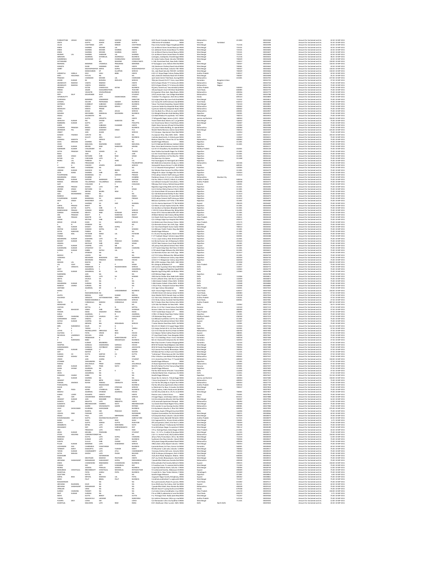|                                                                                                                                                                                                                                                                                                                                                                                                                                                                                                                                                                                    | UDHAV                         | SANYASI<br>GUPTA<br>CHATTERIEE       | UDHAV<br>ASHOK<br>LATE           | SANYASI<br>KUMAR<br>KUMAR        | <b>BUSINESS</b>                 | 42/5 Piyush Complex Erandwana,punINDIA                                                                                                                                                                                                            | Maharashtra<br>Haryana<br>West Bengal                        | Faridahar        | 411004                     | 00024568                                                 | Amount for Unclaimed and Uni                                                                                                                                 | 43.50 10-SEP-2011                                                                                                                                                                                                                                                                                                                                                                                                                                                                                                                                                                                                                                                                                                                                                                                                                                                                                                                                                                                                                                                                       |
|------------------------------------------------------------------------------------------------------------------------------------------------------------------------------------------------------------------------------------------------------------------------------------------------------------------------------------------------------------------------------------------------------------------------------------------------------------------------------------------------------------------------------------------------------------------------------------|-------------------------------|--------------------------------------|----------------------------------|----------------------------------|---------------------------------|---------------------------------------------------------------------------------------------------------------------------------------------------------------------------------------------------------------------------------------------------|--------------------------------------------------------------|------------------|----------------------------|----------------------------------------------------------|--------------------------------------------------------------------------------------------------------------------------------------------------------------|-----------------------------------------------------------------------------------------------------------------------------------------------------------------------------------------------------------------------------------------------------------------------------------------------------------------------------------------------------------------------------------------------------------------------------------------------------------------------------------------------------------------------------------------------------------------------------------------------------------------------------------------------------------------------------------------------------------------------------------------------------------------------------------------------------------------------------------------------------------------------------------------------------------------------------------------------------------------------------------------------------------------------------------------------------------------------------------------|
| ANITA<br>ULLAS<br>KIRAN                                                                                                                                                                                                                                                                                                                                                                                                                                                                                                                                                            |                               | SHARMA                               | MOHAN                            | щ                                | GUPTA<br>CHATTERJEE<br>SHARMA   | 1584 Sector-8 Faridabad<br>Pwca Sree,chandan Nagar Hooghiy(wiNDIA<br>C/o Jai Bharat Stores Anand Bazar,pudNDIA                                                                                                                                    | West Bengal                                                  |                  | 712136<br>723101           | 00024581<br>00024598<br>00024605                         | Amount for Unclaimed and University<br>Amount for Unclaimed and University<br>Amount for Unclaimed and University                                            | 12.50 10-SEP-2011<br>43.50 10-SEP-2011<br>43.50 10-SEP-2011                                                                                                                                                                                                                                                                                                                                                                                                                                                                                                                                                                                                                                                                                                                                                                                                                                                                                                                                                                                                                             |
| KIRAN<br>KIRAN                                                                                                                                                                                                                                                                                                                                                                                                                                                                                                                                                                     |                               | SHARMA<br>SHARMA                     | MOHAN<br>MOHAN                   | SHARMA<br>SHARMA                 | HWIFE<br>HWIFE                  | C/o Jaibharat Stores Anand Bazar P.o INDIA<br>C/o Jai Bharat Sharma Anand Bazar,prNDIA                                                                                                                                                            | West Bengal<br>West Bengal                                   |                  | 723101<br>723101           | 00024606<br>00024607                                     | Amount for Unclaimed and Un<br>Amount for Unclaimed and Un                                                                                                   | 43.50 10-SEP-2011<br>43.50 10-SEP-2011                                                                                                                                                                                                                                                                                                                                                                                                                                                                                                                                                                                                                                                                                                                                                                                                                                                                                                                                                                                                                                                  |
| MURARI                                                                                                                                                                                                                                                                                                                                                                                                                                                                                                                                                                             | LAL                           | SHARMA                               | SHANKAR<br>GIYARSILAL<br>LT      | LAL.<br><b>AGARWAL</b>           | SHARMA                          | C/o Jai Bharat Stores Anand Bazar PurINDIA                                                                                                                                                                                                        | West Beneal                                                  |                  | 723101                     | 00024608                                                 | Amount for Unclaimed and Un                                                                                                                                  | 43.50 10-SEP-2011                                                                                                                                                                                                                                                                                                                                                                                                                                                                                                                                                                                                                                                                                                                                                                                                                                                                                                                                                                                                                                                                       |
| GIRDHAR<br>SUBHREN<br>SATYANAND                                                                                                                                                                                                                                                                                                                                                                                                                                                                                                                                                    |                               | AGARWAL<br>GOSWAM                    |                                  | HARAIKN                          | .<br>BUSINESS<br>GOSWAM         | Laomiganj , maidapatty ChandemagorINDIA<br>43, Sardar Sankar Road, Calcutta-700INDIA                                                                                                                                                              | West Benga<br>West Benga                                     |                  | 712136<br>700029           | 00024632<br>00024638                                     | Amount for Unclaimed and Un<br>Amount for Unclaimed and Un                                                                                                   | 38.25 10-SEP-2011<br>43.50 10-SEP-2011                                                                                                                                                                                                                                                                                                                                                                                                                                                                                                                                                                                                                                                                                                                                                                                                                                                                                                                                                                                                                                                  |
| INDRANI                                                                                                                                                                                                                                                                                                                                                                                                                                                                                                                                                                            |                               | BANERJEE                             | BAL<br>LTKAMALA                  | MUKAND<br>PRASANNA               | <b>CONSULTANTS</b><br>BANERJEE  | S- 349, Panchsheel Park, New Delhi-1INDIA<br>47 B,durgapur Lane, Kolkata West BwINDIA                                                                                                                                                             | Delhi<br>West Bengal                                         |                  | 110017<br>700023           | 00024639<br>00024655                                     | Amount for Unclaimed and Un<br>Amount for Unclaimed and Un                                                                                                   | 150.00 10-SEP-2011<br>118.50 10-SEP-2011                                                                                                                                                                                                                                                                                                                                                                                                                                                                                                                                                                                                                                                                                                                                                                                                                                                                                                                                                                                                                                                |
| SANGITA<br>AMRIT                                                                                                                                                                                                                                                                                                                                                                                                                                                                                                                                                                   |                               | DHAR<br>MUKHOPADHYA'                 | SANJIBAN<br><b>AMIYA</b>         | DHAR<br>GOPAL                    | HWIFE<br>MUKHOPAL               | 150. Becharam Chatterii Road CalcuttINDIA<br>1/3, Shyam Bose Road, Calcutta-700 INDIA                                                                                                                                                             | West Bengal<br>West Beneal                                   |                  | 700051<br>700027           | 00024662<br>00024663                                     | Amount for Unclaimed and Un<br>Amount for Unclaimed and Un                                                                                                   | 43.50 10-SEP-2011<br>11850-105F0-2011                                                                                                                                                                                                                                                                                                                                                                                                                                                                                                                                                                                                                                                                                                                                                                                                                                                                                                                                                                                                                                                   |
| <b>CORANTLA</b>                                                                                                                                                                                                                                                                                                                                                                                                                                                                                                                                                                    | <b>SARALA</b>                 | MANOHARAN                            | k.<br>VASU                       | <b>ELLAPPAN</b>                  | SERVICE<br>rwire                | 32c, Lake Road Calcutta-700 029 CalifyDIA                                                                                                                                                                                                         | West Beneal<br>Andhra Pra                                    |                  | 700025<br>530017           | 00024666<br>00024679                                     | Amount for Unclaimed and Un<br>Amount for Unclaimed and Un                                                                                                   | 11850 10-550-2011<br>43.50 10 SEP-2011                                                                                                                                                                                                                                                                                                                                                                                                                                                                                                                                                                                                                                                                                                                                                                                                                                                                                                                                                                                                                                                  |
| KIRTI<br>PRAKASH                                                                                                                                                                                                                                                                                                                                                                                                                                                                                                                                                                   | HOLDING                       | DEVI<br>PVTLTD<br>CHANGEDE           | NA<br>MOHAN                      | LAL                              | NA<br>CHANGEDE                  | 12. Later King Calculatory PedawiNDIA<br>18/1, maharshi Devendra Road Sth FishDIA<br>18/1, maharshi Devendra Road Sth FishDIA<br>1901 Saree Centre Tilak Road, AurangINDIA                                                                        | West Bengal<br>Maharashtra                                   |                  | 700007<br>431001           | 00024698<br>00024705                                     | Amount for Unclaimed and Un<br>Amount for Unclaimed and Un                                                                                                   | 35.25 10-SEP-2011<br>237.00 10-SEP-2011                                                                                                                                                                                                                                                                                                                                                                                                                                                                                                                                                                                                                                                                                                                                                                                                                                                                                                                                                                                                                                                 |
| <b>ASHOK</b>                                                                                                                                                                                                                                                                                                                                                                                                                                                                                                                                                                       | KUMAR                         | <b>by</b>                            | <b>BVISHNU</b>                   | KEDLAYA                          | SERVICE                         | 78/a/out House) 31st <sup>*</sup> a" Cross, JayanNDIA                                                                                                                                                                                             | Kamataka                                                     | Bangalore Urban  |                            | 00024735                                                 | Amount for Unclaimed and Un                                                                                                                                  | 37.50 10-SEP-2011                                                                                                                                                                                                                                                                                                                                                                                                                                                                                                                                                                                                                                                                                                                                                                                                                                                                                                                                                                                                                                                                       |
| ARUNDHATI<br>ARUNDHAT                                                                                                                                                                                                                                                                                                                                                                                                                                                                                                                                                              | <b>BAMESH</b><br><b>NAMES</b> | VAIDYA<br>VAIDYA                     | <b>BAMESH</b><br><b>BAMESH</b>   |                                  | HWIFE<br><b>HWIFE</b>           | D/2/1,khapar Khoda T P S Colony,khaINDIA<br>D/2/1,khapar Khoda T P S Colony,khaINDIA                                                                                                                                                              | Maharashtra<br>Maharashtra                                   | Nagpur<br>Nagpur |                            | 00024744<br>00024745                                     | Amount for Unclaimed and Un<br>Amount for Unclaimed and Un                                                                                                   | 75.00 10-SEP-2011<br>75.00 10-SEP-2011                                                                                                                                                                                                                                                                                                                                                                                                                                                                                                                                                                                                                                                                                                                                                                                                                                                                                                                                                                                                                                                  |
| HEMANT                                                                                                                                                                                                                                                                                                                                                                                                                                                                                                                                                                             |                               | KOTAK<br><b>JAGAN</b>                | CHANDLE<br>SKIAGANNATHA          | KOTA                             | <b>UKINFO</b><br>TEACHER        | 92, Joseph Robal 17 Scoring, Markov<br>19. jeen, "kotak-kunj" Secundrabad (aINDIA<br>104, exchequers Court 4th Main RoadINDIA<br>8-12, gautam Dhan Apts. Bajaj Road, vINDIA                                                                       | Andhra Prade                                                 |                  | 500003                     | 00024766                                                 | Amount for Unclaimed and Un                                                                                                                                  | 75.00 10-SEP-2011                                                                                                                                                                                                                                                                                                                                                                                                                                                                                                                                                                                                                                                                                                                                                                                                                                                                                                                                                                                                                                                                       |
| PREMA<br>SATISH<br>PRITI                                                                                                                                                                                                                                                                                                                                                                                                                                                                                                                                                           | DILIP                         | VSHASTR<br>DESHPANDE                 | VISHNUPRASAD<br>DILIP            |                                  | <b>BUSINESS</b><br>STUDENT      | 123/2, renuka Apts. Law College RoadINDIA                                                                                                                                                                                                         | Tamil Nadu<br>Maharashtra<br>Maharashtra                     |                  | 600085<br>400056<br>411004 | 00024776<br>00024779<br>00024788                         | Amount for Unclaimed and Un<br>Amount for Unclaimed and Un<br>Amount for Unclaimed and Un                                                                    | 75.00 10-SEP-2011<br>75.00 10-SEP-2011<br>75.00 10-SEP-2011                                                                                                                                                                                                                                                                                                                                                                                                                                                                                                                                                                                                                                                                                                                                                                                                                                                                                                                                                                                                                             |
| VJPARUKUTTY<br>PUSPENDU                                                                                                                                                                                                                                                                                                                                                                                                                                                                                                                                                            |                               | <b>BANERJEE</b>                      | LATE<br>SCBANERJEE               | CNARAYANAN                       | GJOHN<br>DIRECTOR               | 'sreevilas" Po.venganoor, Distt.thiruv/NDIA<br>23, ranigari Bazar Bye Lane Po.& DistUNDIA                                                                                                                                                         | Kerala<br>West Beneal                                        |                  | 695523<br>713101           | 00024809<br>00024813                                     | Amount for Unclaimed and Un<br>Amount for Unclaimed and Un                                                                                                   | 75.00 10-SEP-2011<br>75.00 10-SEP-2011                                                                                                                                                                                                                                                                                                                                                                                                                                                                                                                                                                                                                                                                                                                                                                                                                                                                                                                                                                                                                                                  |
| SJHAMIL<br>ANTRIKSH                                                                                                                                                                                                                                                                                                                                                                                                                                                                                                                                                                |                               | SELVAN<br>KUMBHAT                    | PMTKANDA<br>SUBHASH              | SWAMY<br>KUMBHAT                 |                                 |                                                                                                                                                                                                                                                   |                                                              |                  | 42011                      | 00024838<br>00024867                                     |                                                                                                                                                              |                                                                                                                                                                                                                                                                                                                                                                                                                                                                                                                                                                                                                                                                                                                                                                                                                                                                                                                                                                                                                                                                                         |
| NEETA                                                                                                                                                                                                                                                                                                                                                                                                                                                                                                                                                                              |                               | KÉNTYA                               | MANSUKH                          | KENIYA                           | BUSINESS<br>BUSINESS<br>HWIFE   | Co. Yuvraj 255 A,9th Extension GandNNDIA<br>Tukvar Tea Estate Darjeeling DarjeelinNDIA<br>3.yamuna Sadan B.p.despande Road, INDIA                                                                                                                 | Tamil Nadu<br>West Bengal<br>Maharashtra                     |                  | 73410<br>400602            | 00024903                                                 | Amount for Unclaimed and Uni<br>Amount for Unclaimed and Uni<br>Amount for Unclaimed and Uni                                                                 | 75.00 10-SEP-2011<br>75.00 10-SEP-2011<br>75.00 10-SEP-2011                                                                                                                                                                                                                                                                                                                                                                                                                                                                                                                                                                                                                                                                                                                                                                                                                                                                                                                                                                                                                             |
| MANSURH<br>LATIKA                                                                                                                                                                                                                                                                                                                                                                                                                                                                                                                                                                  |                               | KENIYA<br>AHUJA                      | IUMBRE<br>ANIL                   | AHUJA                            | <b>BUSINESS</b><br>SERVICE      | 3,yamuna Sadan B.p.despande Road, INDIA<br>C/o City Bank N.a. 293,dr.d.n.road FolNDIA                                                                                                                                                             | Maharashtra<br>Maharashtra                                   |                  | 400602<br>400001           | 00024904<br>00024907                                     | Amount for Unclaimed and Un<br>Amount for Unclaimed and Un                                                                                                   | 75.00 10-SEP-2011<br>75.00 10-SEP-2011                                                                                                                                                                                                                                                                                                                                                                                                                                                                                                                                                                                                                                                                                                                                                                                                                                                                                                                                                                                                                                                  |
| MAHESH                                                                                                                                                                                                                                                                                                                                                                                                                                                                                                                                                                             |                               | MOONDRA                              | MANGILAL                         | <b>MOONDRA</b>                   | <b>BUSINESS</b>                 | $C/\alpha$ Margilal Moondra Gole Building, INDIA<br>$C/\alpha$ Rathi Medical Po.saykheda Tel.ndNDIA<br>77 B/b, gandhi Nagar Jammu (j. & K) JINDIA                                                                                                 | Rajasthan                                                    |                  | 342001                     | 00024919                                                 | Amount for Unclaimed and Un                                                                                                                                  | 75.00 10-SEP-2011                                                                                                                                                                                                                                                                                                                                                                                                                                                                                                                                                                                                                                                                                                                                                                                                                                                                                                                                                                                                                                                                       |
| ANJALI<br>ASHA                                                                                                                                                                                                                                                                                                                                                                                                                                                                                                                                                                     |                               | <b>JÖLUARATH</b><br>GUPTA            | NA<br>OPGUPTA                    |                                  | NA<br>HWIFE                     |                                                                                                                                                                                                                                                   | West Bengal<br>Jammu and                                     |                  | 700013<br>180004           | 00024923                                                 | Amount for Unclaimed and University<br>Amount for Unclaimed and University                                                                                   | 75.00 10-SEP-2011<br>150.00 10-SEP-2011                                                                                                                                                                                                                                                                                                                                                                                                                                                                                                                                                                                                                                                                                                                                                                                                                                                                                                                                                                                                                                                 |
| AKHILES<br>rasindra                                                                                                                                                                                                                                                                                                                                                                                                                                                                                                                                                                | KUMAR                         | RAI<br>GUPTA                         | SHYAM<br>LATE                    | NARAYAN                          | RAI<br>PDGLIPTA                 | eni Sheet Glass Works Ltd. 2,st.ge/NDM<br>C/o Vinod Kumar More 17,bal Mu                                                                                                                                                                          | West Bengal<br>West Bengal                                   |                  | 700022<br>700003           | 00024964<br>00024974                                     | Amount for Unclaimed and Un<br>Amount for Unclaimed and Un                                                                                                   | 75.00 10-SEP-2011<br>75.00 10-SEP-2011                                                                                                                                                                                                                                                                                                                                                                                                                                                                                                                                                                                                                                                                                                                                                                                                                                                                                                                                                                                                                                                  |
| SAROJ<br>CHANDRA                                                                                                                                                                                                                                                                                                                                                                                                                                                                                                                                                                   | PRAKASE                       | DEVI<br>BANKA                        | SUBHASH<br>GCBANKA               | CHANDER                          | HWIFE<br><b>BUSINESS</b>        | Shakti Share Services 4/9 asaf Ali RoalNDIA<br>.<br>2/3,nutan Prabha Building, Dr.rajendrNDIA<br>Wachel Molla Mansion. 8.lenin SaranINDIA                                                                                                         | Delhi<br>Maharashtra                                         |                  | 110002<br>400080           | 00024980<br>00025048                                     | Amount for Unclaimed and Un<br>Amount for Unclaimed and Un                                                                                                   | 75.00 10-SEP-2011<br>75.00 10-SEP-2011                                                                                                                                                                                                                                                                                                                                                                                                                                                                                                                                                                                                                                                                                                                                                                                                                                                                                                                                                                                                                                                  |
| ARVINDER<br>VINEET                                                                                                                                                                                                                                                                                                                                                                                                                                                                                                                                                                 | PAL                           | SINGH                                | <b>JASWAN</b><br><b>IKIAIN</b>   | SINGH                            | <b>FCA</b><br>service           |                                                                                                                                                                                                                                                   | West Bengal                                                  |                  | 700013<br>110054           | 00025059<br>00025087                                     | Amount for Unclaimed and Un<br>Amount for Unclaimed and Un                                                                                                   | 225.00 10-SEP-2011<br>75.00 10-SEP-2011                                                                                                                                                                                                                                                                                                                                                                                                                                                                                                                                                                                                                                                                                                                                                                                                                                                                                                                                                                                                                                                 |
| SONDHI<br>ANJU                                                                                                                                                                                                                                                                                                                                                                                                                                                                                                                                                                     | FINANCE                       | COPLTD<br>GULATI                     | NA<br>ANIL                       | GULATI                           | NA<br>BUSINESS                  | -<br>17. Jimarpur, Opp. banarsi Dass MarkNDIA<br>21. navjivan Vihar, New Delhi - Delhi - INDIA<br>2. jalhoka Apartments, A-2. block, paschNDIA                                                                                                    | Delhi<br>Delhi<br>Delhi                                      |                  | 110017<br>110063           | 00025117<br>00026021                                     | Amount for Unclaimed and Un<br>Amount for Unclaimed and Un                                                                                                   | 193.50 10-SEP-2011<br>75.00 10-SEP-2011                                                                                                                                                                                                                                                                                                                                                                                                                                                                                                                                                                                                                                                                                                                                                                                                                                                                                                                                                                                                                                                 |
| VAMANA<br>DAYA                                                                                                                                                                                                                                                                                                                                                                                                                                                                                                                                                                     | KAMATH<br>KRISHAN             | SHARMA                               | SERVICE<br>NA                    |                                  | NA                              | Madras Chawl No 1 Room No 14 TaniNDIA                                                                                                                                                                                                             | Maharashtra                                                  |                  | 400054                     | 00026034<br>00026070                                     | Amount for Unclaimed and Un                                                                                                                                  | 75.00 10-SEP-2011<br>75.00 10-SEP-2011                                                                                                                                                                                                                                                                                                                                                                                                                                                                                                                                                                                                                                                                                                                                                                                                                                                                                                                                                                                                                                                  |
| <b>VIVEK</b>                                                                                                                                                                                                                                                                                                                                                                                                                                                                                                                                                                       |                               | <b>BAKLIWAL</b>                      | <b>RAJENDRA</b>                  | KUMAR                            | BAKLIWAL                        | .<br>Gandhi Nagar Bhilwara<br>S/o R K Bakliwal 80 Abhinav Subhash INDIA                                                                                                                                                                           | Rajasthan<br>Rajasthan                                       |                  | 311001<br>311001           | 00026091                                                 | Amount for Unclaimed and Un<br>Amount for Unclaimed and Un                                                                                                   | 75.00 10-SEP-2011                                                                                                                                                                                                                                                                                                                                                                                                                                                                                                                                                                                                                                                                                                                                                                                                                                                                                                                                                                                                                                                                       |
| ASHO                                                                                                                                                                                                                                                                                                                                                                                                                                                                                                                                                                               | <b>KLIMAR</b>                 | <b>MFHRA</b><br>CHAUDHAR             | ram                              | GARAYA                           | MEHRA                           | Near Union Bank Extention Counter dWDIA<br>C/o Sh V K Chaudhary 54 chanderiok INDIA<br>Near Prabha Gas Gandhi Nagar Pur NANDIA                                                                                                                    | Rajasthan<br>Madhya Prac                                     | <b>Richards</b>  |                            | 00026117<br>00026128                                     | Amount for Unclaimed and Un                                                                                                                                  | 75.00 10-SEP-2011                                                                                                                                                                                                                                                                                                                                                                                                                                                                                                                                                                                                                                                                                                                                                                                                                                                                                                                                                                                                                                                                       |
| NARINDEI<br>SATYA<br>RENU                                                                                                                                                                                                                                                                                                                                                                                                                                                                                                                                                          | KUAMIR<br>PRAKASI:            | TRIVEDI<br><b>JAIN</b>               | SH<br>SOHAN                      | LА                               | -<br>TRIVEDI<br><b>JAIN</b>     | C/o Shri Vimal Chand Jain Advocate PINDIA                                                                                                                                                                                                         | Rajasthar<br>Rajasthan                                       |                  | 452001<br>311001<br>341001 | 00026129<br>00026139                                     | Amount for Unclaimed and Un<br>Amount for Unclaimed and Un<br>Amount for Unclaimed and Un                                                                    | 75.00 10-SEP-2011<br>75.00 10-SEP-2011<br>75.00 10-SEP-2011                                                                                                                                                                                                                                                                                                                                                                                                                                                                                                                                                                                                                                                                                                                                                                                                                                                                                                                                                                                                                             |
| <b>AMAR</b><br>RATAN                                                                                                                                                                                                                                                                                                                                                                                                                                                                                                                                                               | singe                         | <b>RATHORE</b>                       | SHRI                             | RAM                              | SINGH                           | Bhilwara Synthetics Ltd Post Box No 1NDIA                                                                                                                                                                                                         | Rajasthan                                                    |                  | 311001                     | 00026161                                                 | Amount for Unclaimed and Un                                                                                                                                  | 75.00 10-SEP-2011                                                                                                                                                                                                                                                                                                                                                                                                                                                                                                                                                                                                                                                                                                                                                                                                                                                                                                                                                                                                                                                                       |
| BHERL                                                                                                                                                                                                                                                                                                                                                                                                                                                                                                                                                                              | LAL<br>LAL<br>ARUL            | CHECHANI<br>.<br>PAREEKH<br>PRAGASAM | LATE<br>SH<br>K                  | HERA                             | .<br>Palanuapan                 | Post Bamniya Via Uprera<br>INDIA                                                                                                                                                                                                                  | Raiasthan                                                    |                  | 311408                     | 00026169<br>00026181                                     | Amount for Unclaimed and Un                                                                                                                                  | 75.00 10-SEP-2011                                                                                                                                                                                                                                                                                                                                                                                                                                                                                                                                                                                                                                                                                                                                                                                                                                                                                                                                                                                                                                                                       |
|                                                                                                                                                                                                                                                                                                                                                                                                                                                                                                                                                                                    |                               | CHACKO                               | <b>JOSEPH</b>                    | ANDREV                           | SERVICE                         | Post Swarupganj Via Hamirgarh,tah.htMDIA<br>M/s Balkrishna Industries Ltd.(dy.m.) INDIA<br>Variaveettii House,chimar P.o (4th MINDIA                                                                                                              | Rajasthan<br>Maharashtra<br>Kerala                           |                  | 401506<br>685501           | 00026191<br>00026194<br>00026200                         | Amount for Unclaimed and Uni<br>Amount for Unclaimed and Uni<br>Amount for Unclaimed and Uni                                                                 | 75.00 10-SEP-2011<br>75.00 10-SEP-2011<br>75.00 10-SEP-2011                                                                                                                                                                                                                                                                                                                                                                                                                                                                                                                                                                                                                                                                                                                                                                                                                                                                                                                                                                                                                             |
| VASUDEO<br>VIKRAM                                                                                                                                                                                                                                                                                                                                                                                                                                                                                                                                                                  | RAM<br>KUMAR                  | CHANDAN<br>DADHICH                   | NA<br>SH                         | BHERU                            | NA<br>LAL                       | 5 C 12 Talwandi Housing Board Col ONDIA<br>Shri Nikatan Near Income Tex Office BNDIA                                                                                                                                                              | Rajasthan<br>Rajasthan                                       |                  | 324005<br>311001           | 00026239<br>00026279                                     | Amount for Unclaimed and Un<br>Amount for Unclaimed and Un                                                                                                   | 75.00 10-SEP-2011<br>75.00 10-SEP-2011                                                                                                                                                                                                                                                                                                                                                                                                                                                                                                                                                                                                                                                                                                                                                                                                                                                                                                                                                                                                                                                  |
| SATA                                                                                                                                                                                                                                                                                                                                                                                                                                                                                                                                                                               | NAND                          | SHARMA                               | SHRI                             | DAL                              | MOHAN                           | Village & Po Lalour Via Baear Dist JhulNDIA                                                                                                                                                                                                       | Raiasthan                                                    |                  | 333023                     | 00026288                                                 | Amount for Unclaimed and Uni                                                                                                                                 | 75.00 10-SEP-2011                                                                                                                                                                                                                                                                                                                                                                                                                                                                                                                                                                                                                                                                                                                                                                                                                                                                                                                                                                                                                                                                       |
| .<br>PUSHPENDRA<br>MAHENDRA                                                                                                                                                                                                                                                                                                                                                                                                                                                                                                                                                        | Chicle                        | BHARDWA<br>DHABRIA                   | ŚH                               | GANESH                           | PRASAD<br>DHABRI                | 1999 a Po Layur Via Lagar Dist Anthony<br>2017 Danialoon House, G-11,m.i.d.c, MaroliNDIA<br>Flat No.708,6-3-1192/1/1 Block A, KuNDIA<br>Flat No.708,6-3-1192/1/1 Block A, KuNDIA                                                                  | najasinan<br>Maharashtra<br>Andhra Pradesh<br>Andhra Pradesh | Mumbai City      | 312613                     | 00026302<br>00026357                                     | Amount for Unclaimed and University<br>Amount for Unclaimed and University                                                                                   | 75.00 10-SEP-2011<br>75.00 10-SEP-2011                                                                                                                                                                                                                                                                                                                                                                                                                                                                                                                                                                                                                                                                                                                                                                                                                                                                                                                                                                                                                                                  |
| PRAMOD<br>RAMAA                                                                                                                                                                                                                                                                                                                                                                                                                                                                                                                                                                    | KUMAR<br>KILISHAN             | KAPOOR<br>TALLAMIRAJU                | TALLAMRAJL                       | <b>CLIMAS</b><br><b>JOSIRAJL</b> | KAPOOR<br>SERVICE               | C/o Software Computer Consultancy INDIA                                                                                                                                                                                                           |                                                              |                  | 500016<br>500038           | 00026362<br>00026373                                     | Amount for Unclaimed and Un<br>Amount for Unclaimed and Un                                                                                                   | 75.00 10-SEP-2011<br>75.00 10-SEP-2011                                                                                                                                                                                                                                                                                                                                                                                                                                                                                                                                                                                                                                                                                                                                                                                                                                                                                                                                                                                                                                                  |
| AJAY<br><b>DHRUBA</b>                                                                                                                                                                                                                                                                                                                                                                                                                                                                                                                                                              | PRASAD                        | CHAUHAN<br>GHOSH                     | LATE                             | SHRI                             | CHAUHAN                         | 938, vijay Park Colony, Rohtak (haryarNDIA                                                                                                                                                                                                        | Haryana<br>Raiastha                                          |                  | 124001<br>311021           | 00026379<br>00026383                                     | Amount for Unclaimed and Un<br>Amount for Unclaimed and Un                                                                                                   | 75.00 10-SEP-2011<br>75.00 10-SEP-2011                                                                                                                                                                                                                                                                                                                                                                                                                                                                                                                                                                                                                                                                                                                                                                                                                                                                                                                                                                                                                                                  |
| ARVINO                                                                                                                                                                                                                                                                                                                                                                                                                                                                                                                                                                             | SINGH<br>CHAND                | <b>BATHORE</b>                       | śH                               |                                  | SINGH                           | .<br>Rajasthan Spg & Wvg Mills Ltd Po GulNDIA<br>C/o Er Krishan Moha Sharma H No & INDIA                                                                                                                                                          | <b>Raiastha</b>                                              |                  | 311001<br>,,,,,,,          | 00026406                                                 | Amount for Unclaimed and Un                                                                                                                                  | 25.00.10.999.2011                                                                                                                                                                                                                                                                                                                                                                                                                                                                                                                                                                                                                                                                                                                                                                                                                                                                                                                                                                                                                                                                       |
| PREM                                                                                                                                                                                                                                                                                                                                                                                                                                                                                                                                                                               | MOHAM                         | MEENA                                | <b>BELIKA</b>                    | ιм                               |                                 | Co Criental Bank Of Commerce BhirdNDIA<br>S/o Vali Mohammed Sheikhj Po &vi SNDIA<br>C/o Maliwal Electrices 107,indra MarlNDIA                                                                                                                     | Rajastha                                                     |                  | 312613                     | 00026418                                                 | Amount for Unclaimed and Un                                                                                                                                  | 75.00 10-SEP-2011                                                                                                                                                                                                                                                                                                                                                                                                                                                                                                                                                                                                                                                                                                                                                                                                                                                                                                                                                                                                                                                                       |
| adil<br>Manesh<br>PUSHPENDRA                                                                                                                                                                                                                                                                                                                                                                                                                                                                                                                                                       | KUAMI                         | SHEIKH<br>Babu<br>BHARDWAJ           | NA<br>BALU<br>ŚH                 | GANESH                           | NA<br>RAMJI<br>PRASAD           | D-9/2,aditya Cement Staff Colony.po.INDIA                                                                                                                                                                                                         | Rajasthan<br>Rajasthan<br>Rajasthan                          |                  | 311001<br>312613           | 00026433<br>00026470<br>00026473                         | Amount for Unclaimed and Un<br>Amount for Unclaimed and Un<br>Amount for Unclaimed and Un                                                                    | 75.00 10-SEP-2011<br>75.00 10-SEP-2011<br>75.00 10-SEP-2011                                                                                                                                                                                                                                                                                                                                                                                                                                                                                                                                                                                                                                                                                                                                                                                                                                                                                                                                                                                                                             |
| <b>DILIP</b>                                                                                                                                                                                                                                                                                                                                                                                                                                                                                                                                                                       | SINGH                         | BHADORIAN<br>SHARMA                  | LATE<br>śH                       | HAR                              | SHAIMAL                         | Bhilwara Synthetics Ltd P B No 17 BhiNDIA<br>C/o D.k.sharma Apartment "b",flat NdNDIA                                                                                                                                                             |                                                              |                  | 311001<br>396195           | 00026480<br>00026487                                     | Amount for Unclaimed and Un<br>Amount for Unclaimed and Un                                                                                                   | 75.00 10-SEP-2011<br>75.00 10-SEP-2011                                                                                                                                                                                                                                                                                                                                                                                                                                                                                                                                                                                                                                                                                                                                                                                                                                                                                                                                                                                                                                                  |
| GOPAL                                                                                                                                                                                                                                                                                                                                                                                                                                                                                                                                                                              | <b>PRASAE</b>                 | BHATT                                | NA                               |                                  | NA                              | C/o Ratan Lal Vyas Sophia School Ro JNDIA                                                                                                                                                                                                         | Rajasthan<br>Gujarat<br>Rajasthan                            |                  | 311001                     | 00026498                                                 | Amount for Unclaimed and Un                                                                                                                                  | 75.00 10-SEP-2011                                                                                                                                                                                                                                                                                                                                                                                                                                                                                                                                                                                                                                                                                                                                                                                                                                                                                                                                                                                                                                                                       |
| KRISHNA<br><b>RAMES</b>                                                                                                                                                                                                                                                                                                                                                                                                                                                                                                                                                            | AVTAR<br>PRASAD               | <b>GUPTA</b><br>SOMAN                | SHRI<br>BANS                     | LЫ,                              | -<br>sexvici                    | C/o Gordhan Lal Samdani Bhadada MINDIA<br>C 193 R K Colony Bhilwara Raj  BhilwaNDIA                                                                                                                                                               | Rajasthar<br>Rajasthar                                       |                  | 311001<br>311001           | 00026502<br>00026516                                     | Amount for Unclaimed and Un<br>Amount for Unclaimed and Un                                                                                                   | 75.00 10-SEP-2011<br>75.00 10-SEP-2011                                                                                                                                                                                                                                                                                                                                                                                                                                                                                                                                                                                                                                                                                                                                                                                                                                                                                                                                                                                                                                                  |
| NARESH                                                                                                                                                                                                                                                                                                                                                                                                                                                                                                                                                                             | CHANDRA<br><b>PRAKASE</b>     | MEHTA<br>BHATT                       | RAM<br>R                         | KUNWAR<br>NARAYAN                | SERVICE<br><b>BHATT</b>         | House Of R C Sharma Behind Rfc Offi INDIA<br>29 Bhatt Niketan Vakil Colony BhilwalNDIA                                                                                                                                                            | Rajasthan<br>Rajasthan                                       |                  | 311001<br>311001           | 00026520<br>00026522                                     | Amount for Unclaimed and Un<br>Amount for Unclaimed and Un                                                                                                   | 75.00 10-SEP-2011<br>75.00 10-SEP-2011                                                                                                                                                                                                                                                                                                                                                                                                                                                                                                                                                                                                                                                                                                                                                                                                                                                                                                                                                                                                                                                  |
| HARI                                                                                                                                                                                                                                                                                                                                                                                                                                                                                                                                                                               | PRASAD                        | <b>MANTR</b>                         | ŚH                               | NARINDER                         | PRASAD                          | Côn Shashi Clyth Hous Emain Post offinitia                                                                                                                                                                                                        | Uttar Pradesh                                                |                  | 250611<br>soon:            | 00026528<br>mmassa                                       | Amount for Unclaimed and Un                                                                                                                                  | 75.00 10-SEP-2011                                                                                                                                                                                                                                                                                                                                                                                                                                                                                                                                                                                                                                                                                                                                                                                                                                                                                                                                                                                                                                                                       |
| ASHOI<br>MOHD                                                                                                                                                                                                                                                                                                                                                                                                                                                                                                                                                                      | AYAUB                         | MUTHAI<br>KHAN<br>SPARAKH            | --<br>SHRI<br>SH<br>NA           | MARTAL                           | -<br>SERVICE                    | $C/\mathrm{o}$ A 49opp Calgiri Eye Hospital Ma UNDIA<br>$C/\mathrm{o}$ Mohd.nasir Khan, famous Tailors INDIA<br>$C/\mathrm{o}$ Narendra Kumar Jain A-49, Opp. INDIA                                                                               | Rajasthan<br>Uttar Pradesł                                   |                  | 272175                     | 00026541<br>00026541<br>00026554                         | Amount for Unclaimed and Uni<br>Amount for Unclaimed and Uni<br>Amount for Unclaimed and Uni                                                                 | 75.00 10-SEP-2011<br>75.00 10-SEP-2011<br>75.00 10-SEP-2011                                                                                                                                                                                                                                                                                                                                                                                                                                                                                                                                                                                                                                                                                                                                                                                                                                                                                                                                                                                                                             |
| <b>ANIL</b>                                                                                                                                                                                                                                                                                                                                                                                                                                                                                                                                                                        | KUMAR                         | DHOOT                                | RAM                              | <b>GOPAL</b>                     | NA                              | C/o Tara Chand Rajesh Kumar Sadar BNDIA                                                                                                                                                                                                           | Rajasthan<br>West Bengal                                     |                  | 302017<br>700013           | 00026565                                                 | Amount for Unclaimed and Un                                                                                                                                  | 75.00 10-SEP-2011                                                                                                                                                                                                                                                                                                                                                                                                                                                                                                                                                                                                                                                                                                                                                                                                                                                                                                                                                                                                                                                                       |
| DEEPAN<br>SATYA                                                                                                                                                                                                                                                                                                                                                                                                                                                                                                                                                                    | KUMAR<br>NARAYAN              | SOMANI<br>PAREEK                     | GOPAL<br>NA.                     | LAL                              | SOMANI<br>NA                    | C/o Bhilwara Textile Traders Nava BazINDIA<br>Gandhi Nagar Bhilwara<br>INDIA                                                                                                                                                                      | Rajasthan<br>Raiasthan                                       |                  | 311001<br>311001           | 00026566<br>00026573                                     | Amount for Unclaimed and Un<br>Amount for Horlaimed and Ho                                                                                                   | 75.00 10-SEP-2011<br>75.00 10-SEP-2011                                                                                                                                                                                                                                                                                                                                                                                                                                                                                                                                                                                                                                                                                                                                                                                                                                                                                                                                                                                                                                                  |
| CHAND<br>PADMA                                                                                                                                                                                                                                                                                                                                                                                                                                                                                                                                                                     | MAL                           | PATWARI<br>RAMANI                    | NA<br>NA<br>NA<br>LATE<br>VED    | u                                | PATWAR<br>NA                    |                                                                                                                                                                                                                                                   |                                                              |                  | 311001<br>302001           | 00026585<br>00026588                                     | Amount for Unclaimed and University<br>Amount for Unclaimed and University                                                                                   | 75.00 10-SEP-2011<br>75.00 10-SEP-2011                                                                                                                                                                                                                                                                                                                                                                                                                                                                                                                                                                                                                                                                                                                                                                                                                                                                                                                                                                                                                                                  |
| MAHÉNDIN<br>BASANT                                                                                                                                                                                                                                                                                                                                                                                                                                                                                                                                                                 | KUMAR<br>KUMAR                | DASHORA                              |                                  | SH<br>PRAKASH                    | D<br>SHARMA                     | 7-c-2,r.c.vyas Colony, Near ShreenathINDIA<br>C/o Nirmal Kumar Jain 44 Bajrang ColNDIA                                                                                                                                                            | Rajasthar                                                    |                  | 311001                     | 00026591                                                 | Amount for Unclaimed and Un<br>Amount for Unclaimed and Un                                                                                                   | 75.00 10-SEP-2011<br>75.00 10-SEP-2011                                                                                                                                                                                                                                                                                                                                                                                                                                                                                                                                                                                                                                                                                                                                                                                                                                                                                                                                                                                                                                                  |
| ANUKUL                                                                                                                                                                                                                                                                                                                                                                                                                                                                                                                                                                             |                               | SHRMA<br>MATHUR                      | SHRI                             | <b>JODH</b>                      | SINGH                           | 12/197 Near Sessions Court Gujor MdNDIA                                                                                                                                                                                                           | Rajasthar<br>Rajasthan                                       |                  | 305624<br>311001           | 00026595<br>00026631                                     | Amount for Unclaimed and Un                                                                                                                                  | 75.00 10-SEP-2011                                                                                                                                                                                                                                                                                                                                                                                                                                                                                                                                                                                                                                                                                                                                                                                                                                                                                                                                                                                                                                                                       |
| SATISH<br><b>SUDHINDRA</b>                                                                                                                                                                                                                                                                                                                                                                                                                                                                                                                                                         | KUMAR<br>KUMAR                | CHOPRA<br><b>UPADHYAY</b>            | LATE<br>ŚH                       | śN<br><b>BAMESH</b>              | CHANDRA                         | 101, ashrya Park, behind Arihant Park INDIA<br>C 277 Saneh Deep Near Old Police CHNDIA                                                                                                                                                            | Guiarat<br><b>Raiastha</b>                                   |                  | 395007<br>311001           | 00026639<br>00026650                                     | Amount for Unclaimed and Un<br>Amount for Unclaimed and Un                                                                                                   | 75.00 10-SEP-2011<br>75.00 10-SEP-2011                                                                                                                                                                                                                                                                                                                                                                                                                                                                                                                                                                                                                                                                                                                                                                                                                                                                                                                                                                                                                                                  |
| SURESH                                                                                                                                                                                                                                                                                                                                                                                                                                                                                                                                                                             | KUMAR                         | KABRA                                | NATHU                            | щ                                |                                 |                                                                                                                                                                                                                                                   | Rajastha                                                     |                  | 311001                     | 00026651                                                 | Amount for Unclaimed and Un                                                                                                                                  | 75.00 10-SEP-2011                                                                                                                                                                                                                                                                                                                                                                                                                                                                                                                                                                                                                                                                                                                                                                                                                                                                                                                                                                                                                                                                       |
| MADHU                                                                                                                                                                                                                                                                                                                                                                                                                                                                                                                                                                              |                               | SPARAKH<br>LOHIYA                    | NA<br>NA                         |                                  | NA<br>NA                        | C277 Serbash Nagar Bhilwara Raj BhilwiDIA<br>C/o Narendra Kumar Jain A-49, Opp. INDIA<br>A 37 R K Colory Bhilwara Raj BhilwarNDIA                                                                                                                 | Rajasthan<br>Rajasthan                                       |                  | 302017<br>311001           | 00026699<br>00026724                                     | Amount for Unclaimed and Un<br>Amount for Unclaimed and Un                                                                                                   | 75.00 10-SEP-2011<br>75.00 10-SEP-2011                                                                                                                                                                                                                                                                                                                                                                                                                                                                                                                                                                                                                                                                                                                                                                                                                                                                                                                                                                                                                                                  |
| VANDANA<br><b>NITA</b>                                                                                                                                                                                                                                                                                                                                                                                                                                                                                                                                                             |                               | MOHNANI<br>MOHNANI                   | BHAGWAN<br>PRAKASH               | DAS<br>MOHNANI                   | MOHNAN<br>HOUSE                 | 2/134 S F S Mansarovar Colony JaipulNDIA                                                                                                                                                                                                          | Rajasthan                                                    |                  | 302020<br>302020           | 00026730<br>00026731                                     | Amount for Unclaimed and Un                                                                                                                                  | 75.00 10-SEP-2011<br>75.00 10-SEP-2011                                                                                                                                                                                                                                                                                                                                                                                                                                                                                                                                                                                                                                                                                                                                                                                                                                                                                                                                                                                                                                                  |
| MADAN                                                                                                                                                                                                                                                                                                                                                                                                                                                                                                                                                                              | LAL<br>VUAY                   | BHATIA<br>SINGH                      | NA.                              |                                  | NA.<br>swar                     | 2/134 S F S Mangarovar Colony JaipulNDIA<br>Mb 1/294 Janakpuri New Delhi DelhiNDIA<br>95 Lukergunj Allahabad U P                                                                                                                                  | Rajasthan<br>Delhi<br>Uttar Prade                            |                  | 110058<br>211001           | 00026751<br>00026752                                     | Amount for Unclaimed and Un<br>Amount for Unclaimed and Un<br>Amount for Unclaimed and Un                                                                    | 150.00 10-SEP-2011<br>75.00 10-SEP-2011                                                                                                                                                                                                                                                                                                                                                                                                                                                                                                                                                                                                                                                                                                                                                                                                                                                                                                                                                                                                                                                 |
| <br>AMN                                                                                                                                                                                                                                                                                                                                                                                                                                                                                                                                                                            | VENKATA                       | <b>NAMANAN</b><br>AGGARWAL           |                                  | RAJASEKI                         | service                         | 134-Lisector-4.pushpa Vihar New DelhNDIA<br>C/o Mr S K Aggarwal Rajasthan Spg &INDIA                                                                                                                                                              | Delhi<br>Delhi                                               |                  | 110017                     | 00026772                                                 | Amount for Unclaimed and Un<br>Amount for Unclaimed and Un                                                                                                   | 75.00 10-SEP-2011<br>75.00 10-SEP-2011                                                                                                                                                                                                                                                                                                                                                                                                                                                                                                                                                                                                                                                                                                                                                                                                                                                                                                                                                                                                                                                  |
| SATISH                                                                                                                                                                                                                                                                                                                                                                                                                                                                                                                                                                             | KUMAR                         | <b>AGGARWAL</b>                      |                                  | LAL                              | <b>AGGARWA</b><br>SERVICE       | Rajastha Spg & Wvg Mills Ltd Bhilwa INDIA                                                                                                                                                                                                         | Delhi                                                        |                  | 110065<br>110065           | 00026779<br>00026780                                     | Amount for Unclaimed and Un                                                                                                                                  | 75.00 10-SEP-2011                                                                                                                                                                                                                                                                                                                                                                                                                                                                                                                                                                                                                                                                                                                                                                                                                                                                                                                                                                                                                                                                       |
| NARENDRA<br>SURESH                                                                                                                                                                                                                                                                                                                                                                                                                                                                                                                                                                 |                               | <b>JAIN</b><br><b>BINDAL</b>         | NA<br>LATE                       | \$H                              | NA<br>MURARI                    | A 49 Malviya Nagar Jaipur<br>INDIA<br>1945 Kocha Challan Khari Babli Delhi INDIA                                                                                                                                                                  | Rajasthar<br>Delhi                                           | Jaipu            | 110006                     | 00026788<br>00026811                                     | Amount for Unclaimed and Un<br>Amount for Unclaimed and Un                                                                                                   | 75.00 10-SEP-2011<br>75.00 10-SEP-2011                                                                                                                                                                                                                                                                                                                                                                                                                                                                                                                                                                                                                                                                                                                                                                                                                                                                                                                                                                                                                                                  |
| GEETA<br>VIMLA<br>MAHENDRA                                                                                                                                                                                                                                                                                                                                                                                                                                                                                                                                                         |                               | SHUKLA<br>DEVI<br>SURANA             | SH<br>NA<br>NA                   |                                  |                                 | 1943 Kocke Countries Court Dead Dead (1957)<br>5 466 Greater Kallash II New Delhi DeNDIA<br>5 466 Greater Kallash II New Delhi DeNDIA                                                                                                             | Delhi<br>Delhi<br>Delhi                                      |                  | 110059<br>110048           | 10026874<br>0026881                                      | Amount for Unclaimed and University<br>Amount for Unclaimed and University<br>Amount for Unclaimed and University                                            | 75.00 10-SEP-2011<br>75.00 10-SEP-2011<br>75.00 10-SEP-2011                                                                                                                                                                                                                                                                                                                                                                                                                                                                                                                                                                                                                                                                                                                                                                                                                                                                                                                                                                                                                             |
| RAMESH                                                                                                                                                                                                                                                                                                                                                                                                                                                                                                                                                                             | KUMAR<br>CHAND                | SURANA                               |                                  |                                  | NA<br>NA                        | C-29 ist Floor, Pamposh Enclave New INDIA                                                                                                                                                                                                         | Delhi                                                        |                  | 110048<br>110048           | 00026884<br>00026885                                     | Amount for Unclaimed and Un                                                                                                                                  | 75.00 10-SEP-2011                                                                                                                                                                                                                                                                                                                                                                                                                                                                                                                                                                                                                                                                                                                                                                                                                                                                                                                                                                                                                                                                       |
| AMITABH                                                                                                                                                                                                                                                                                                                                                                                                                                                                                                                                                                            |                               | AGARWAL                              | NA<br>DR                         | CHDAMBARAM                       | BUSINESS                        | A 42 Jigar Colony Moradabad<br>INDIA                                                                                                                                                                                                              | <b>Uttar Pradesh</b><br><b>Tamil Nadu</b>                    |                  | 244001<br>620017           | 00027024<br>00027028                                     | Amount for Unclaimed and Un<br>Amount for Unclaimed and Un                                                                                                   | 75.00 10-SEP-2011<br>150.00 10-SEP-2011                                                                                                                                                                                                                                                                                                                                                                                                                                                                                                                                                                                                                                                                                                                                                                                                                                                                                                                                                                                                                                                 |
| SEENU                                                                                                                                                                                                                                                                                                                                                                                                                                                                                                                                                                              |                               |                                      |                                  |                                  | NA<br>BANSAL                    | 4a/41 Aruna Nagar Puthur Trichy MDIA<br>48 65th Street 1ith Awenue Ashok NaINDIA<br>Grain Market 93/23 Ganesh Ganj LucINDIA                                                                                                                       | Tamil Nadu<br>Uttar Prade                                    |                  | 600083                     | 00027031<br>00027034                                     | Amount for Unclaimed and University<br>Amount for Unclaimed and Un                                                                                           | 37.50 10-SEP-2011<br>37.50 10-SEP-2011                                                                                                                                                                                                                                                                                                                                                                                                                                                                                                                                                                                                                                                                                                                                                                                                                                                                                                                                                                                                                                                  |
| .<br>Savita<br>KALIDINDI                                                                                                                                                                                                                                                                                                                                                                                                                                                                                                                                                           |                               | MOHAKRS<br>BANSAL<br>VENKATA         | VUAY<br>SATYAN                   | CIBAAS<br>RAJU                   |                                 |                                                                                                                                                                                                                                                   |                                                              |                  | 534201                     | 00027064                                                 |                                                                                                                                                              |                                                                                                                                                                                                                                                                                                                                                                                                                                                                                                                                                                                                                                                                                                                                                                                                                                                                                                                                                                                                                                                                                         |
| VINITA<br>M                                                                                                                                                                                                                                                                                                                                                                                                                                                                                                                                                                        |                               | <b>BAMACHA</b><br>CHRAWALA           | MANISH                           | sova<br>CHRAWALA                 | BUSINESS<br>SERVICE<br>HOUSE    | C/o Tata Varty Venkanna Son BhimanNDIA<br>A 52 Hindu Colony Hundred Feet RoalNDIA<br>96 P D Sadan Near Ram Krishna AshraNDIA                                                                                                                      | Andhra Pradesh<br>Tamil Nadu<br>Andhra Pradesh               | Krishna          | 600061                     | 00027081<br>00027098                                     | Amount for Unclaimed and Un<br>Amount for Unclaimed and Un<br>Amount for Unclaimed and Un                                                                    | 37.50 10-SEP-2011<br>37.50 10-SEP-2011<br>187.50 10-SEP-2011                                                                                                                                                                                                                                                                                                                                                                                                                                                                                                                                                                                                                                                                                                                                                                                                                                                                                                                                                                                                                            |
| MANOHAR<br>CHETAN                                                                                                                                                                                                                                                                                                                                                                                                                                                                                                                                                                  |                               | LAL<br>MITTAL                        | NA                               |                                  | NA.<br>MITTAL                   | 1/23 Dda Flat Madan Gir New Delhi INDIA<br>40 Sec 11-12 Part I Huda Colony PanilNDM                                                                                                                                                               | Delhi<br>Harvana                                             |                  | 110062<br>132103           | 00027116<br>00027119                                     | Amount for Unclaimed and Un<br>Amount for Unclaimed and Un                                                                                                   | 18.75 10-SEP-2011<br>3750 10-559-2011                                                                                                                                                                                                                                                                                                                                                                                                                                                                                                                                                                                                                                                                                                                                                                                                                                                                                                                                                                                                                                                   |
| ANG                                                                                                                                                                                                                                                                                                                                                                                                                                                                                                                                                                                |                               | SINGH                                | sem                              | uw                               | SHANKA                          |                                                                                                                                                                                                                                                   | Gujarat                                                      |                  | 382005                     | 00027149                                                 | Amount for Unclaimed and Un                                                                                                                                  | 37.50 10-SEP-2011                                                                                                                                                                                                                                                                                                                                                                                                                                                                                                                                                                                                                                                                                                                                                                                                                                                                                                                                                                                                                                                                       |
| P <i>awa</i> n<br>Sarla                                                                                                                                                                                                                                                                                                                                                                                                                                                                                                                                                            |                               | KÉDIA<br>AGARWAL                     | 1004019                          | PRASAD                           | KEDIA<br>AGARWAL                | 40 Sec 11-12 Part I Huda Colony PanjiNDIA<br>Airmen S Mess Air Force Station SectifiCIA<br>77/37 Coolie Bazar Kanpur U P INDIA<br>17/82 L N Mandir Road Near Patilia ONDIA                                                                        | <b>Uttar Pradesh</b><br>Rajasthar                            |                  | 208001<br>311001           | 00027160<br>00027187                                     | Amount for Unclaimed and Un<br>Amount for Unclaimed and Un                                                                                                   | 37.50 10-SEP-2011<br>75.00 10-SEP-2011                                                                                                                                                                                                                                                                                                                                                                                                                                                                                                                                                                                                                                                                                                                                                                                                                                                                                                                                                                                                                                                  |
| SURESH<br>GURSHARAN                                                                                                                                                                                                                                                                                                                                                                                                                                                                                                                                                                | CHANDRA<br>SINGH              | CHELAWAT<br>SINDHU                   | SHUKILN<br>ŚH                    | LALE<br>HS.                      | CHELAWAT<br>SIDHU               | 176 Mukerjee Marg Jawad<br>INDIA                                                                                                                                                                                                                  | Madhya Pradesh<br>Rajastha                                   |                  | 458330<br>311001           | 00027219<br>00027275                                     | Amount for Unclaimed and Un                                                                                                                                  | 37.50 10-SEP-2011<br>75.00 10-SEP-2011                                                                                                                                                                                                                                                                                                                                                                                                                                                                                                                                                                                                                                                                                                                                                                                                                                                                                                                                                                                                                                                  |
| SATISH<br>REKHA                                                                                                                                                                                                                                                                                                                                                                                                                                                                                                                                                                    | KUMAR                         | CHOPRA<br>MENOR                      | šн<br>tм                         | ERISHANA                         | sexvice                         | C/o Bhilwara Synthetics Ltd P.b. No 11NDIA<br>101, ishrya Park, behind Arihant Park INDIA<br>7 Jantar Mantar Road New Delhi DellINDM                                                                                                              | Gujarat<br>Delhi                                             |                  | 395007<br>110001           | 00027296<br>00027333                                     | Amount for Unclaimed and Un<br>Amount for Unclaimed and Un<br>Amount for Unclaimed and Un                                                                    | 75.00 10-SEP-2011<br>75.00 10-SEP-2011                                                                                                                                                                                                                                                                                                                                                                                                                                                                                                                                                                                                                                                                                                                                                                                                                                                                                                                                                                                                                                                  |
| MIS                                                                                                                                                                                                                                                                                                                                                                                                                                                                                                                                                                                | NARAMES                       | KALIR                                | ŚH                               |                                  |                                 | r annan mannan masul NWW DRITE DRIINDIA<br>W/o Sh G S Malah G S3 Lajpat Nagar INDIA<br>C/o Sarjay Sacheti & Co 1st Floor BazINDIA                                                                                                                 | Delhi                                                        |                  |                            | 00027336                                                 | Amount for Unclaimed and Un<br>Amount for Unclaimed and Un                                                                                                   | 112.50 10-SEP-2011<br>37.50 10-SEP-2011                                                                                                                                                                                                                                                                                                                                                                                                                                                                                                                                                                                                                                                                                                                                                                                                                                                                                                                                                                                                                                                 |
| LATHA                                                                                                                                                                                                                                                                                                                                                                                                                                                                                                                                                                              |                               | TANNL<br><b>RAONALLAPATI</b>         | SRINIVASA                        | <b>RAO</b>                       | .<br>TANNU                      | C/o Sr N S Rao Otr No 671/4 Nad Col INDIA                                                                                                                                                                                                         | Rajastha<br>Maharashtra                                      |                  | 110024<br>301001<br>400704 | 00027389<br>00027400                                     | Amount for Unclaimed and Uni                                                                                                                                 | 37.50 10-SEP-2011                                                                                                                                                                                                                                                                                                                                                                                                                                                                                                                                                                                                                                                                                                                                                                                                                                                                                                                                                                                                                                                                       |
| <b>KALPANA</b><br>NICHOLAS                                                                                                                                                                                                                                                                                                                                                                                                                                                                                                                                                         | LAWRENC                       | PATEL<br>DSQUZA                      | VINOD<br>JOHN                    | BHAI                             | HOUSE<br>SOUZA                  | C/o Kalpana Talkies Subhas Road AnaINDIA<br>37 Lloyd Road Cooke Town Bannalon(NDIA                                                                                                                                                                | Gujarat<br>Kamataka                                          |                  | 388001<br>560005           | 00027456<br>00027467                                     | Amount for Unclaimed and Un<br>Amount for Unclaimed and Un                                                                                                   | 37.50 10-SEP-2011<br>75.00 10-SEP-2011                                                                                                                                                                                                                                                                                                                                                                                                                                                                                                                                                                                                                                                                                                                                                                                                                                                                                                                                                                                                                                                  |
|                                                                                                                                                                                                                                                                                                                                                                                                                                                                                                                                                                                    | VARENDI                       |                                      |                                  | ABAYANAIAN                       | SETTY<br>BUSINESS               | No 7 S S S Building I Floor I Cross I MilNDIA<br>M/s Sri Chamundi Enterprises No 34 INDIA<br>Blue Chip Counters Turnkar Shopping INDIA                                                                                                            | Kamataka<br>Kamataka<br>Kamataka                             |                  | sennis                     | 00027468                                                 |                                                                                                                                                              | 37.50 10-SEP-2011<br>37.50 10-SEP-2011<br>37.50 10-SEP-2011                                                                                                                                                                                                                                                                                                                                                                                                                                                                                                                                                                                                                                                                                                                                                                                                                                                                                                                                                                                                                             |
| SHIVA                                                                                                                                                                                                                                                                                                                                                                                                                                                                                                                                                                              |                               | PRABHAKAR<br>BABU<br>KUMAR           | BASABARA                         |                                  | <b>BUSINESS</b>                 |                                                                                                                                                                                                                                                   |                                                              |                  | 572102                     | 00027475                                                 | Amount for Unclaimed and Uni<br>Amount for Unclaimed and Uni<br>Amount for Unclaimed and Uni                                                                 |                                                                                                                                                                                                                                                                                                                                                                                                                                                                                                                                                                                                                                                                                                                                                                                                                                                                                                                                                                                                                                                                                         |
| SWAPNA                                                                                                                                                                                                                                                                                                                                                                                                                                                                                                                                                                             |                               | GANGULI<br>GANGULI                   | SADANANDA<br><b>IYOTIRMOY</b>    | GANGULI<br>GANGULI               | HOUSE<br>ADVOCATE               | 89 M M Feeeder Raod Belgharia CalcuNDIA<br>89 M M Feeder Road Belgharia CalcutNDIA                                                                                                                                                                | West Bengal<br>West Bengal                                   |                  | 700056<br>700056           | 00027488<br>00027489                                     | Amount for Unclaimed and Un<br>Amount for Unclaimed and Un                                                                                                   | 75.00 10-SEP-2011<br>75.00 10-SEP-2011                                                                                                                                                                                                                                                                                                                                                                                                                                                                                                                                                                                                                                                                                                                                                                                                                                                                                                                                                                                                                                                  |
| SANDANANDA                                                                                                                                                                                                                                                                                                                                                                                                                                                                                                                                                                         | KUMAR                         | OHABOUE<br>MAYOR<br>DUTTA            | υ                                | <b>BAM</b>                       | SARAN                           | 55/1 kansari Para Road, Bhowanipur INDIA                                                                                                                                                                                                          | West Beneal                                                  |                  | 700025<br>711101<br>710101 | 00027510<br>00027512<br>00027541                         | Amount for Horlaimed and Ho<br><b>Imount for Unclaimed and Unit</b><br>Immunt for Unclaimed and Uni                                                          | 37.50 10-SEP-2011<br>37.50 10-SEP-2011<br>37.50 10-SEP-2011                                                                                                                                                                                                                                                                                                                                                                                                                                                                                                                                                                                                                                                                                                                                                                                                                                                                                                                                                                                                                             |
|                                                                                                                                                                                                                                                                                                                                                                                                                                                                                                                                                                                    | KESHAV                        | OAK                                  | <b>CARTICO</b>                   |                                  | MAYOR<br>DUTTA                  | .<br>9/4 Baisnab Para 1st Bye Lane HowraiNDI.<br>"mahamaya" Dharampur.po.\$dt. HoolNDI.                                                                                                                                                           | West Bengal<br>West Bengal                                   |                  |                            | 00027547                                                 |                                                                                                                                                              |                                                                                                                                                                                                                                                                                                                                                                                                                                                                                                                                                                                                                                                                                                                                                                                                                                                                                                                                                                                                                                                                                         |
|                                                                                                                                                                                                                                                                                                                                                                                                                                                                                                                                                                                    |                               | JAIN                                 | KÉSHAV<br>JUGRAJ                 |                                  | OAK<br>STUDENT                  | .<br>It No 5 Kharkar Lane Behind Dak Bun/INDIA<br>A-11 Arvind Kunj 5th Floor 77 TaardelNDIA<br>INDM                                                                                                                                               | Maharashtra<br>Maharashtra                                   |                  | 400601<br>400034           | 00027553                                                 | Amount for Unclaimed and Un<br>Amount for Unclaimed and Un                                                                                                   | 75.00 10-SEP-2011<br>150.00 10-SEP-2011                                                                                                                                                                                                                                                                                                                                                                                                                                                                                                                                                                                                                                                                                                                                                                                                                                                                                                                                                                                                                                                 |
| SUDESH<br>VASANT<br>VINOD                                                                                                                                                                                                                                                                                                                                                                                                                                                                                                                                                          |                               | SANGANERIA<br>AHLUWALIA              | NA<br>PREM                       | CHAND                            | NA<br>AHLUWALI                  | Gandhi Nagar Bhilwara<br>25 Nand Agertment Pasch Pakhadi THNDIA                                                                                                                                                                                   | Rajasthan<br>Maharashtra                                     |                  | 311001<br>400602           | 00027555<br>00027571                                     | Amount for Unclaimed and Un<br>Amount for Horlaimed and Un                                                                                                   | 37.50 10-SEP-2011<br>37.50 10-SEP-2011                                                                                                                                                                                                                                                                                                                                                                                                                                                                                                                                                                                                                                                                                                                                                                                                                                                                                                                                                                                                                                                  |
|                                                                                                                                                                                                                                                                                                                                                                                                                                                                                                                                                                                    |                               |                                      | PRAN                             | NATH                             | MEHTA<br>NA                     | My & Po Nahar Pur Dist Yamuna NagiNDIA<br>Gandhi Nagar Bhilwara<br>Flat No 5023 Sector B Pocket 7 VasarINDIA                                                                                                                                      | Harvana                                                      |                  | 135001<br>311001           | 00027597                                                 | Amount for Unclaimed and Un<br><b>Imount for Unclaimed and Un</b>                                                                                            | 75.00 10-SEP-2011<br>37.50 10-SEP-2011                                                                                                                                                                                                                                                                                                                                                                                                                                                                                                                                                                                                                                                                                                                                                                                                                                                                                                                                                                                                                                                  |
|                                                                                                                                                                                                                                                                                                                                                                                                                                                                                                                                                                                    | KUMAR<br>SHYAM                | MEHTA<br><b>GARWAL</b>               | NA                               |                                  |                                 |                                                                                                                                                                                                                                                   |                                                              |                  |                            | 00027605                                                 |                                                                                                                                                              |                                                                                                                                                                                                                                                                                                                                                                                                                                                                                                                                                                                                                                                                                                                                                                                                                                                                                                                                                                                                                                                                                         |
|                                                                                                                                                                                                                                                                                                                                                                                                                                                                                                                                                                                    |                               |                                      |                                  |                                  |                                 |                                                                                                                                                                                                                                                   |                                                              |                  | 110030                     |                                                          |                                                                                                                                                              |                                                                                                                                                                                                                                                                                                                                                                                                                                                                                                                                                                                                                                                                                                                                                                                                                                                                                                                                                                                                                                                                                         |
|                                                                                                                                                                                                                                                                                                                                                                                                                                                                                                                                                                                    | CHAND                         | DUDANI<br>AGGARWAL<br>GARG           | SH<br>NA<br>NA                   |                                  | NA<br>NA                        | 6 Rashid Market Extn. Dispensary StreNDIA<br>Gandhi Nagar Bhilwara<br>INDIA                                                                                                                                                                       | Delhi<br>Delhi<br>Rajasthan                                  |                  | 110051<br>311001           | 00027606<br>00027615<br>00027647                         | Amount for Unclaimed and Un<br>Amount for Unclaimed and Un<br>Amount for Unclaimed and Uni                                                                   |                                                                                                                                                                                                                                                                                                                                                                                                                                                                                                                                                                                                                                                                                                                                                                                                                                                                                                                                                                                                                                                                                         |
|                                                                                                                                                                                                                                                                                                                                                                                                                                                                                                                                                                                    | KUMAR                         | SHARMA<br><b>BSHAH</b>               | NA.<br><b>BIPIN</b>              | CSHAH                            | NA<br><b>BUSINESS</b>           | House No. 14, Sector-4, Trikula Nagar INDIA<br>7 Amar Kuni hesant St. 1st Floor cantibility                                                                                                                                                       | Jammu and Kashmi<br>Maharashtra                              |                  | 180004<br>400054           | 00027680<br>00027722                                     | Amount for Unclaimed and Uni<br>Amount for Unclaimed and Un                                                                                                  |                                                                                                                                                                                                                                                                                                                                                                                                                                                                                                                                                                                                                                                                                                                                                                                                                                                                                                                                                                                                                                                                                         |
|                                                                                                                                                                                                                                                                                                                                                                                                                                                                                                                                                                                    | ANANDA                        | NAYAN                                | PANGAL                           | UMANATH                          | NAYAK                           | C/o Flat No.301, bidg.no.23, plot No.5INDIA                                                                                                                                                                                                       | Maharashtra                                                  |                  | 400053<br>500016           | 00027776<br>00027782                                     | Amount for Unclaimed and Un                                                                                                                                  |                                                                                                                                                                                                                                                                                                                                                                                                                                                                                                                                                                                                                                                                                                                                                                                                                                                                                                                                                                                                                                                                                         |
|                                                                                                                                                                                                                                                                                                                                                                                                                                                                                                                                                                                    |                               | ROYAN                                | raghavaiae<br>Late               | CTROYAN                          | BUSINESS<br>SERVICE             | Flat No.305,shiva Apartments Dharm INDIA<br>La Martiniere For Boys 11,loudon StreNDIA                                                                                                                                                             | Andhra Pradesi<br>West Bengal                                | Ranchi           | 700017                     | 00027818                                                 | Amount for Unclaimed and Un<br>Amount for Unclaimed and Un                                                                                                   |                                                                                                                                                                                                                                                                                                                                                                                                                                                                                                                                                                                                                                                                                                                                                                                                                                                                                                                                                                                                                                                                                         |
|                                                                                                                                                                                                                                                                                                                                                                                                                                                                                                                                                                                    | PADA                          | GORAL<br>AGARWAL                     | LTHABLILAI<br>SITARAM            | GORAL<br>AGARWAL                 | <b>BUSINESS</b><br>HOUSE        | 110,a.g.colony, Kadru Road,ranchi (bitNDIA<br>C/o M/s M.p.kedia & Co. 29, R.n.mukINDIA                                                                                                                                                            | Jharkhand<br>West Bengal                                     |                  | 700001                     | 00027823<br>00027847                                     | Amount for Unclaimed and Un<br>Amount for Unclaimed and Uni                                                                                                  |                                                                                                                                                                                                                                                                                                                                                                                                                                                                                                                                                                                                                                                                                                                                                                                                                                                                                                                                                                                                                                                                                         |
|                                                                                                                                                                                                                                                                                                                                                                                                                                                                                                                                                                                    | LAXMI                         | <b>ACHARYA</b><br>CMUKHERJEE         | CSRATH<br><b>MAINT BOYER IF</b>  |                                  | HWIFE<br>SERVICE                | Pension Lane, Cuttack Orissa<br>INDIA                                                                                                                                                                                                             | Orissa<br>kika                                               |                  | 753001                     | 00027854                                                 | Amount for Unclaimed and Un                                                                                                                                  |                                                                                                                                                                                                                                                                                                                                                                                                                                                                                                                                                                                                                                                                                                                                                                                                                                                                                                                                                                                                                                                                                         |
|                                                                                                                                                                                                                                                                                                                                                                                                                                                                                                                                                                                    | CDR<br>KUMAR<br>DEVI          | JAIN<br>MGUPTA                       | LATE                             | PRASAD<br>MBGUPTA                | JAIN<br>HWIFE                   |                                                                                                                                                                                                                                                   | arna.<br>West Bengal<br>Maharashtra                          |                  | 831011<br>70002<br>400092  |                                                          |                                                                                                                                                              |                                                                                                                                                                                                                                                                                                                                                                                                                                                                                                                                                                                                                                                                                                                                                                                                                                                                                                                                                                                                                                                                                         |
|                                                                                                                                                                                                                                                                                                                                                                                                                                                                                                                                                                                    |                               | <b>BRAHMACHARI</b><br>GADRE          | SAMBHU<br>VISHWANATH             | NATH<br>GADRE                    | BRAHMACHARY<br>RETIRED          | 27, kagal Nagar, Jamshedpur (bihar)<br>27, kagal Nagar, Jamshedpur (bihar)<br>27, kagal Nagar, Jamshedpur (bihar)<br>28, kamaning Apartment Shimpoli INDIA<br>12 chardi Ghosh Road Regent Park.catNDIA<br>8-21 mandar Co-op Housing Society BNDIA | West Bengal<br>Maharashtra                                   |                  | 700040<br>400081           | 00027888<br>00027926<br>00027930<br>00027973<br>00027980 | Amount for Unclaimed and Uni<br>Amount for Unclaimed and Uni<br>Amount for Unclaimed and Uni<br>Amount for Unclaimed and Uni<br>Amount for Unclaimed and Uni |                                                                                                                                                                                                                                                                                                                                                                                                                                                                                                                                                                                                                                                                                                                                                                                                                                                                                                                                                                                                                                                                                         |
|                                                                                                                                                                                                                                                                                                                                                                                                                                                                                                                                                                                    | SHIVKUMAR                     | KHURANA                              | SHIVKUMAR                        |                                  | <b>BUSINESS</b>                 | K.k drycleaners shop No. 2. Khar Pali BNDIA                                                                                                                                                                                                       | Maharashtra                                                  |                  | 400052                     | 00027993                                                 | Amount for Horlaimed and Ho                                                                                                                                  |                                                                                                                                                                                                                                                                                                                                                                                                                                                                                                                                                                                                                                                                                                                                                                                                                                                                                                                                                                                                                                                                                         |
|                                                                                                                                                                                                                                                                                                                                                                                                                                                                                                                                                                                    | DEBI                          | NAGPAL<br>PANSARI                    | OM<br>LATE                       | PRAKASE                          | .<br>Nagpal<br>Ngpansan         |                                                                                                                                                                                                                                                   | Mikromonuus<br>Delhi<br>West Bengal                          |                  | 110006<br>700071           | 00028046<br>00028066                                     | Amount for Unclaimed and Un<br>Amount for Unclaimed and Un                                                                                                   |                                                                                                                                                                                                                                                                                                                                                                                                                                                                                                                                                                                                                                                                                                                                                                                                                                                                                                                                                                                                                                                                                         |
|                                                                                                                                                                                                                                                                                                                                                                                                                                                                                                                                                                                    |                               | PAUL<br>GUPTA                        | LATE<br><b>KGVENK</b>            | ATHY                             | KISHORE<br>AGRICULTURI          | AAAs yawamma maa 2782,gali Arya SamiNDIA<br>Constriye Gupta 2782,gali Arya SamiNDIA<br>Combine Commodibis Pet.Itd.chatterNDIA<br>5/1f.joeyatala Road, Calcutta Calcutta/NDIA<br>6-7.jaazaar Street, Baireddi Palli,distt.rNDIA                    | West Bengal<br>Andhra Pradesi                                |                  | 700029<br>517415           | 00028074<br>00028079                                     | Amount for Unclaimed and Un<br>Amount for Unclaimed and Un                                                                                                   |                                                                                                                                                                                                                                                                                                                                                                                                                                                                                                                                                                                                                                                                                                                                                                                                                                                                                                                                                                                                                                                                                         |
|                                                                                                                                                                                                                                                                                                                                                                                                                                                                                                                                                                                    | LAL                           | SHAH<br><b>GUPTA</b>                 | SITA<br>HARISH                   | RAM<br><b>GUPTA</b>              | SHAH<br><b>INVESTOR</b>         | C/o K.agrawal & Co. 34,ezra Street,calNDIA<br>497.nanyantala ( West ) Flat No.b-5.(NDM                                                                                                                                                            | West Bengal<br>West Beneal                                   |                  | 700001<br>700059           | 00028103<br>00028141                                     | Amount for Unclaimed and Un<br>Amount for Unclaimed and Un                                                                                                   |                                                                                                                                                                                                                                                                                                                                                                                                                                                                                                                                                                                                                                                                                                                                                                                                                                                                                                                                                                                                                                                                                         |
|                                                                                                                                                                                                                                                                                                                                                                                                                                                                                                                                                                                    |                               | MITRA                                | LATE                             | MANINDRA                         | NATH                            | sindra Bhavan" Vivelu<br>nanda PalitNDM                                                                                                                                                                                                           | West Beneal                                                  |                  | 743248                     | 00028176                                                 | Amount for Unclaimed and Un                                                                                                                                  |                                                                                                                                                                                                                                                                                                                                                                                                                                                                                                                                                                                                                                                                                                                                                                                                                                                                                                                                                                                                                                                                                         |
|                                                                                                                                                                                                                                                                                                                                                                                                                                                                                                                                                                                    |                               | ROY<br>PRAKASSH                      | LATE<br>LATE                     | SURENDRANATH<br>TIRATH           | ROY                             | H.no.632,kalyan Nagar Co-oprative CrNDIA                                                                                                                                                                                                          | West Bengal                                                  |                  | 700112                     | 00028189<br>00028261                                     | Amount for Unclaimed and Un                                                                                                                                  |                                                                                                                                                                                                                                                                                                                                                                                                                                                                                                                                                                                                                                                                                                                                                                                                                                                                                                                                                                                                                                                                                         |
|                                                                                                                                                                                                                                                                                                                                                                                                                                                                                                                                                                                    | KUMAR<br>HOLDING              | MISHRA                               | PKMISHR                          |                                  | RAM<br>STUDENT                  | 172-a, Hastings Road, Ashok Nagar AINDIA<br>B.no. - D / 4 P.o. H.cables Dt.burdwardNDIA                                                                                                                                                           | Uttar Pradesh<br>West Bengal                                 |                  | 211001<br>713335           | 00028271                                                 | Amount for Unclaimed and Un<br>Amount for Unclaimed and Un                                                                                                   |                                                                                                                                                                                                                                                                                                                                                                                                                                                                                                                                                                                                                                                                                                                                                                                                                                                                                                                                                                                                                                                                                         |
|                                                                                                                                                                                                                                                                                                                                                                                                                                                                                                                                                                                    |                               | CORPORATIO<br>DUTTA                  | IOFINA<br>LATE                   | <b>GOPAL</b>                     | NA.<br>CHANDRA                  | ( A/c-Li.c.mutual f und ) 44/1,kalicharINDIA                                                                                                                                                                                                      | Maharashtra                                                  |                  | 400079<br>713104           | 00028323<br>00028339                                     | Amount for Unclaimed and Un<br>Amount for Unclaimed and Uni                                                                                                  |                                                                                                                                                                                                                                                                                                                                                                                                                                                                                                                                                                                                                                                                                                                                                                                                                                                                                                                                                                                                                                                                                         |
|                                                                                                                                                                                                                                                                                                                                                                                                                                                                                                                                                                                    |                               | KUMAR<br>SLULLA                      | LATE                             | LDAS<br>CHANN                    | <b>BUSINESS</b><br><b>IWIFE</b> | Johury Patty Po.burdwan (W.b.) BunNDIA<br>Sa,dharam Das Row Calcutta CalcuttiNDIA<br>18-b,akash Ganga 89,wandend Road BNDIA                                                                                                                       | West Bengal<br>West Bengal<br>Maharashtr                     |                  | 700026<br>400026           | 00028427<br>00028438                                     | Amount for Unclaimed and Un<br>Amount for Unclaimed and Un                                                                                                   |                                                                                                                                                                                                                                                                                                                                                                                                                                                                                                                                                                                                                                                                                                                                                                                                                                                                                                                                                                                                                                                                                         |
|                                                                                                                                                                                                                                                                                                                                                                                                                                                                                                                                                                                    |                               | BANERJEE                             |                                  | KCBANERJE                        | SERVICE<br><b>BUSINESS</b>      | .<br>198/1,block-j New Alipore Calcutta ONDIA<br>6,ananda Niwas,1st Floor, Kumar Cot INDIA                                                                                                                                                        |                                                              |                  | 700051                     | 00028468<br>00028500                                     |                                                                                                                                                              |                                                                                                                                                                                                                                                                                                                                                                                                                                                                                                                                                                                                                                                                                                                                                                                                                                                                                                                                                                                                                                                                                         |
|                                                                                                                                                                                                                                                                                                                                                                                                                                                                                                                                                                                    | KUMAR<br>DAS<br>KANTI         | CHHRAHEIA<br>DASGUPTA                | SHRI<br>LATE<br>CHHATANA<br>LATE | TUSHAR                           | KANTI                           | Cf-196,sector-1,slat Lake, Calcutta CaNDIA                                                                                                                                                                                                        | West Bengal<br>Kamataka<br>West Bengal                       |                  | 560001<br>700054           | 00028517                                                 | Amount for Unclaimed and Un<br>Amount for Unclaimed and Un<br>Amount for Unclaimed and Un                                                                    |                                                                                                                                                                                                                                                                                                                                                                                                                                                                                                                                                                                                                                                                                                                                                                                                                                                                                                                                                                                                                                                                                         |
|                                                                                                                                                                                                                                                                                                                                                                                                                                                                                                                                                                                    | KUMAR<br><b>BANJAN</b>        | CHAKRABORTY<br>GHOSH                 | LATE<br>LATE                     | ATUL<br>PHANI                    | CHAXILABORTY<br>BHUSAN          | 7/a,haray Krishna Sett Lane, Calcutta INDIA                                                                                                                                                                                                       | West Bengal<br>West Beneal                                   |                  | 700050<br>743235           | 00028529<br>00028536                                     | Amount for Unclaimed and Un<br>Amount for Unclaimed and Un                                                                                                   |                                                                                                                                                                                                                                                                                                                                                                                                                                                                                                                                                                                                                                                                                                                                                                                                                                                                                                                                                                                                                                                                                         |
|                                                                                                                                                                                                                                                                                                                                                                                                                                                                                                                                                                                    |                               | MKOTHAR                              | SSITARAMA                        | PKOTHAR                          |                                 |                                                                                                                                                                                                                                                   |                                                              |                  | 600004<br>700020           | 00028542                                                 |                                                                                                                                                              |                                                                                                                                                                                                                                                                                                                                                                                                                                                                                                                                                                                                                                                                                                                                                                                                                                                                                                                                                                                                                                                                                         |
|                                                                                                                                                                                                                                                                                                                                                                                                                                                                                                                                                                                    | SHASHIKANT                    | <b>NANGANKAR</b>                     | MAHESH<br>SHASHIKAN              | <b>GOPAL</b>                     | RETD<br>HWIFE<br>RANGANKAR      | VII.& Po.kalupur.tal.bongaon, Dist1.24NDIA<br>15/4,oliver Road, Mylapore, Madras INDIA<br>23/7,ray Street, Ifrawanipore, CalcutINDIA<br>7.jawale Bhat Wadi,near Kamdar BuiliNDIA                                                                  | <b>Tamil Nadu</b><br>West Bengal<br>Maharashtra              |                  | 400028                     | 00028553<br>00028553<br>00028559                         | Amount for Unclaimed and Uni<br>Amount for Unclaimed and Uni<br>Amount for Unclaimed and Uni                                                                 |                                                                                                                                                                                                                                                                                                                                                                                                                                                                                                                                                                                                                                                                                                                                                                                                                                                                                                                                                                                                                                                                                         |
|                                                                                                                                                                                                                                                                                                                                                                                                                                                                                                                                                                                    |                               | CHANDWANI<br><b>BAY</b>              | <b>BAMANANO</b><br>LATE          | CHANDWANI<br><b>SUNDARLAL</b>    | <b>BUSINESS</b><br>RAY          | 8-36,subhadra Park Society Behind UINDIA<br>S.f.road,bye Lane, P.o.asansol,distt.buNDIA                                                                                                                                                           | Gujarat<br>West Bengal                                       |                  | 390015<br>713303           | 00028569<br>00028674                                     | Amount for Unclaimed and Un<br>Amount for Unclaimed and Un                                                                                                   |                                                                                                                                                                                                                                                                                                                                                                                                                                                                                                                                                                                                                                                                                                                                                                                                                                                                                                                                                                                                                                                                                         |
|                                                                                                                                                                                                                                                                                                                                                                                                                                                                                                                                                                                    | CHHOTALAI                     | <b>JAISWAL</b>                       | PANALAL                          | <b>JAISWAL</b>                   | <b>BUSINESS</b>                 | 3 raia Gooi Mohan Street, Calcutta CINDIA                                                                                                                                                                                                         | West Bengal                                                  |                  | 700006                     | 00028749                                                 | Amount for Unclaimed and Uni                                                                                                                                 |                                                                                                                                                                                                                                                                                                                                                                                                                                                                                                                                                                                                                                                                                                                                                                                                                                                                                                                                                                                                                                                                                         |
|                                                                                                                                                                                                                                                                                                                                                                                                                                                                                                                                                                                    |                               | BRAHMBHATT<br>PATEL                  | CHHOTALA<br>IASRAI               | MÒHANLAI<br>PATÉL                | RETOGOVTSER<br>BUSINESS         |                                                                                                                                                                                                                                                   | .<br>Chhattisgarh                                            |                  | 390009                     | 00028754<br>00028762                                     | Amount for Unclaimed and Ur<br>Amount for Unclaimed and Ur                                                                                                   |                                                                                                                                                                                                                                                                                                                                                                                                                                                                                                                                                                                                                                                                                                                                                                                                                                                                                                                                                                                                                                                                                         |
|                                                                                                                                                                                                                                                                                                                                                                                                                                                                                                                                                                                    | BHA                           | DATTA<br><b>MPATEL</b>               | NA<br>MADHAI                     | u.                               | NA<br>PATEL                     | -<br>17 Stysveikanand Society, Makarpura MoNDIA<br>5.1 patel & Co. New Timber Market, FINDIA<br>Gandhi Nagar Shilwara<br>12,gayatri Nagar Society M,highway, JNDIA<br>12,gayatri Nagar Society M,highway, JNDIA                                   | Rajasthan<br>Gujarat                                         |                  | 311001<br>385002           | 00028852<br>00028861                                     | Amount for Unclaimed and Un<br>Amount for Unclaimed and Un                                                                                                   |                                                                                                                                                                                                                                                                                                                                                                                                                                                                                                                                                                                                                                                                                                                                                                                                                                                                                                                                                                                                                                                                                         |
| SITARAM<br>PANKAJ<br>ARUN<br>GHAN<br>RAJU<br>AJIUN<br>SUBHASH<br>HEMANT<br>PANGAL<br>PVENUGOPA<br>DAVID<br>HARI<br>MADHU<br>SUBHA<br>WG<br>HEMANT<br>SHANTA<br>SUMANTA<br>SHANKAR<br>VUAY<br>riant<br>Vijay<br>Vidhya<br>ANJALI<br>KVKARLINAKARA<br>NAND<br>MANJU<br><b>DEBABRATA</b><br><b>SNEHAMO</b><br>VED<br>ARUN<br>STOCK<br>DEBASISH<br>RAMESH<br><b>SUNITA</b><br>PULAK<br>LACHHMAN<br>TONMOY<br><b>TAPAN</b><br>SATYA<br>SAN IA<br>SSESHAGIRI<br>ARCHANA<br>ARCHANA<br>KIRAN<br>PANKAJ<br>NEERAJ<br>MANUBHI<br>SHANTILA<br>GAUTTAM<br>GOPAL<br>ARUN<br><b>RIAGADEESAN</b> |                               | PALIT                                | <b>BIMAL</b><br>NA               | PALIT                            | <b>BUSINESS</b>                 | 2,makhala,makhaltala P.o.raghunath/NDIA<br>No.1.ponnuswamy Road, R.s.puram.clNDIA                                                                                                                                                                 | West Bengal<br><b>Tamil Nadu</b>                             |                  | 712247<br>641002           | 00029005<br>00029117                                     | Amount for Unclaimed and Un<br>Amount for Unclaimed and Un                                                                                                   |                                                                                                                                                                                                                                                                                                                                                                                                                                                                                                                                                                                                                                                                                                                                                                                                                                                                                                                                                                                                                                                                                         |
|                                                                                                                                                                                                                                                                                                                                                                                                                                                                                                                                                                                    | <b>BAJENDRA</b><br>HASHIKANT  | DAVE<br>BANGANKAR                    | NA                               |                                  | NA<br>NA                        | Q.no.204/4.new Tos Colony, Geb Tos INDIA                                                                                                                                                                                                          | Guiarat<br>Maharashtra                                       |                  | 361141<br>400028           | 00029123<br>00029142                                     | Amount for Unclaimed and Un                                                                                                                                  |                                                                                                                                                                                                                                                                                                                                                                                                                                                                                                                                                                                                                                                                                                                                                                                                                                                                                                                                                                                                                                                                                         |
|                                                                                                                                                                                                                                                                                                                                                                                                                                                                                                                                                                                    |                               |                                      | NA                               |                                  | NA                              | ,<br>Jawale Bhat Wadi, Near Kamdar BuilNDIA                                                                                                                                                                                                       |                                                              |                  | 679338                     | 00029214                                                 | Amount for Unclaimed and Un                                                                                                                                  | 37.50 10-SEP-2011<br>37.50 10-SEP-2011<br>112.50 10-SEP-2011<br>150.00.10/99-2011<br>25.00.10.5ER.2011<br>75.00 10-SEP-2011<br>75.00 10-SEP-2011<br>75.00 10-SEP-2013<br>75.00 10-SEP-2011<br>75.00 10-SEP-2011<br>75.00 10-SEP-2011<br>75.00 10-SEP-2011<br>16.50 10-SEP-2011<br>12.00 10-SEP-2011<br>75.00 10-SEP-2011<br>75.00 10-SEP-2011<br>375.00.10/99-2011<br>75.00 10-SEP-2011<br>43.50 10-SEP-2011<br>75.00 10-SEP-2011<br>43.50 10-SEP-2011<br>6.75 10-SEP-2011<br>75.00 10-SEP-2011<br>75.00 10-SEP-2011<br>75.00 10-SEP-2011<br>43.50 10-SEP-2011<br>75.00 10-SEP-2011<br>150.00 10-SEP-2011<br>12.00 10-SEP-2011<br>75.00 10-SEP-2011<br>75.00 10-SEP-2011<br>75.00 10-SEP-2011<br>43.50 10-SEP-2013<br>75.00 10-SEP-2011<br>75.00 10-SEP-2011<br>75.00 10-SEP-2011<br>75.00 10-SEP-2011<br>75.00 10-SEP-2011<br>75.00 10-SEP-2011<br>150.00 10-SEP-2011<br>75.00 10-SEP-2011<br>12.00 10-SEP-2011<br>75.00 10-SEP-2011<br>75.00 10-SEP-2011<br>6.00 10-SEP-2013<br>75.00 10-SEP-2013<br>75.00 10-SEP-2011<br>75.00 10-SEP-2011<br>43.50 10-SEP-2011<br>75.00 10-SEP-2011 |
| ARCHANA<br>ARCHANA<br>VPBALAN<br>SURESH<br>DILIP                                                                                                                                                                                                                                                                                                                                                                                                                                                                                                                                   | CHANDRA<br>KUMAR              | UNNI<br>PANDEY<br>SURANA             | NA<br>NA<br>NA                   |                                  | NA<br>NA<br>NA                  | Marath House P.o. pang Souht, via-koliNDIA<br>2-a-6-obra Colony Sonebhadra (U.p.) INDIA<br>P.b.no.1980,3,vadamalai,ist Lane NealNDIA                                                                                                              | Kerala<br>Uttar Pradesh<br><b>Tamil Nadu</b>                 |                  | 231219<br>600079           | 00029230<br>00029231                                     | Amount for Unclaimed and Un<br>Amount for Unclaimed and Un<br>Amount for Unclaimed and Un                                                                    | 75.00 10-SEP-2011<br>150.00 10-SEP-2011<br>0.75 10-SEP-2011                                                                                                                                                                                                                                                                                                                                                                                                                                                                                                                                                                                                                                                                                                                                                                                                                                                                                                                                                                                                                             |
| MAYA<br>TYEEN                                                                                                                                                                                                                                                                                                                                                                                                                                                                                                                                                                      |                               | <b>DUTTA</b><br><b>BAGHAVULU</b>     | BENOY<br>LAKSHM                  | BHUSHAN                          | DUTTA<br>NARAYANA               |                                                                                                                                                                                                                                                   | West Bengal<br>Andhra Pradesi                                |                  | 741247<br>523156           | 00029260<br>00029263                                     | Amount for Unclaimed and Un<br>Amount for Unclaimed and Un                                                                                                   | 75.00 10-SEP-2011<br>75.00 10-SEP-2011                                                                                                                                                                                                                                                                                                                                                                                                                                                                                                                                                                                                                                                                                                                                                                                                                                                                                                                                                                                                                                                  |
| PUSHPA                                                                                                                                                                                                                                                                                                                                                                                                                                                                                                                                                                             | DEVI                          | LOHA                                 | .<br>Gu                          |                                  | LOHIA                           | P.o. Pritinagar Distt. Nadia (west BenjNDIA)<br>S/o Lakshmi Narayana 138,m.g.c.marINDIA<br>C/o Ramawatar Lohia 14,nityadhan MNDIA                                                                                                                 | West Bengal                                                  |                  | 711101                     | 00029292                                                 | Amount for Unclaimed and Un                                                                                                                                  | 12.00 10-SEP-2011                                                                                                                                                                                                                                                                                                                                                                                                                                                                                                                                                                                                                                                                                                                                                                                                                                                                                                                                                                                                                                                                       |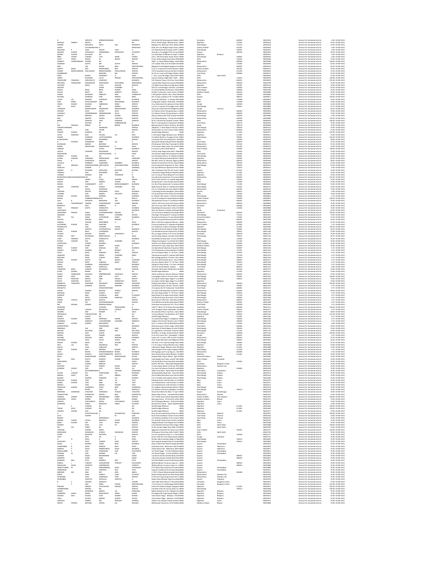| SATYANARA<br>NARAYANA<br>Andhra Prade<br>516361<br>VASA<br>RAJESH<br>VASA<br>C/o Rashmikant & Company 55/97, CINDIA<br>West Bengal<br>00029419<br>Amount for Unclaimed and Un<br>700001<br>KUMAR<br><b>ITA-ALAPATI</b><br>VASRAMBHAI<br><b>HPRAJAPATI</b><br>STUDENTE<br>At po.basu Ta.vadagam Dt.b.k.(n.g.) BINDIA<br>Gujarat<br>385526<br>00029442<br>Amount for Unclaimed and Un<br>KUMAR<br>NOLAKHA<br>Auponano I accelerato California (2012), preciso California<br>219-c, Old China Bazar Street, Room INDIA<br>219-c, Old China Bazar Street, Room INDIA<br>8-103/ Ligo: Nobel Nagie (east) New DelhiNDIA<br>137, Kaliash Hills, East Of Kali<br>Raiasthan<br><b>Bhiheara</b><br>00029447<br>Amount for Unclaimed and Uni<br>NA<br>NA<br>.<br>West Bengal<br>Delhi<br>00029456<br>00029460<br>CHAND<br>SINGH<br>SURANA<br>RAWAT<br>LATE<br>KS<br>CHAND<br>SERVICE<br>700001<br>110023<br>Amount for Unclaimed and Un<br>Amount for Unclaimed and Un<br><b>BAWAT</b><br>Maharashtra<br>00029480<br><b>JAGMI</b><br>DHANK<br>NA.<br>400058<br>110065<br>Amount for Unclaimed and Un<br>Amount for Unclaimed and Un<br><b>GUPTA</b><br>SERVICE<br><b>GUPTA</b><br>Delhi<br>00029490<br>VED<br>DEVIEE<br><b>BHAI</b><br>PROFESSIONA<br><b>Bhanwati Prasad Bazaria Bazaria Hou(NDIA</b><br>Maharashtra<br>400002<br>00029514<br>Amount for Unclaimed and Un<br><b>MO</b><br>SERVICE<br>O.no.m-17.kesoram Cement Basant NINDIA<br>Andhra Pradest<br>505181<br>00029521<br>Amount for Unclaimed and Un<br><b>BAMA</b><br>840<br>GNARASING<br>BAMACH<br>WALUNJKAR<br>RAMACHANDR<br><b>DWALUN/KAI</b><br>SERVICE<br>137/4 Swanthana Gunurai Soriatu Dauth/10<br>Maharashtra<br>411025<br>00029562<br>Amount for Unclaimed and Un<br><b>MOLIBA</b><br>137/4 Swartnera Gururaj Society Paulvision<br>No.14,s.b.i.colony Gill Nagar Madras INDIA<br>C - 621, Laxmi Bai Nagar, New Delhi INDIA<br>A-g-621,shalimar Bagh Delhi Delhi - INDIA<br>00029573<br><b>Imount for Unclaimed and Un</b><br>SERVICE<br>Tamil Nadu<br>600094<br><b>BAWAT</b><br>North Delh<br>00029625<br>00029630<br>Amount for Unclaimed and Un<br>Amount for Unclaimed and Un<br>SPSRAWAT<br>HOLD<br>PROFESSIONAL<br>Delhi<br>Delhi<br>PRASAD<br>110052<br>BHUSHAN<br>LALTA<br>FINANCIAL<br>SERVICESLTD<br>COMPANY<br><b>BUSINESS</b><br>510, Dalamal Tower, 5th Floor, NarimINDIA<br>Maharashtra<br>400021<br>00029670<br>Amount for Unclaimed and Un<br>375.00 10-SEP-2011<br>SHASHIKANT<br><b>BANGANKAR</b><br>SHASHIKANT<br>LTCOL<br>NATHURAM<br>RANGANKAR<br>.<br>7 jawale Bhat Wadi,near,kamdar BldgNDIA<br>C/o Malik House Raja-ji-ka Bag Alwar INDIA<br>Maharashtra<br>400028<br>00029738<br>.<br>Amount for Unclaimed and Un<br>Amount for Unclaimed and Un<br>MALIK<br>KLMALIK<br>SERVICE<br>Raiasthan<br>301001<br>00029742<br>LAXMI<br>CHANDRA<br>KUMAR<br>AKBHATT<br>Cro week moser regispon ang Awar moser<br>567/127, amand Nagar Jail Road, LuckINDIA<br>C/o Shree Radhika Enterprises, 206, aBNDIA<br>Hx-98,e-7, astension, Avera Colony, BHNDIA<br>Uttar Pradesh<br>226005<br>00029766<br>Amount for Unclaimed and Un<br>MODI<br>MODI<br>BHATT<br>BIPIN<br>Shiri<br>West Bengal<br>Madhya Prade<br>700069<br>462016<br>00029780<br>Amount for Unclaimed and Un<br>Amount for Unclaimed and Un<br>service<br>00029806<br>BHUSHAN<br>MRRUCH<br>RAM<br><b>JOURNALIST</b><br>E-297 greater Kailash, Part-i, New DelINDIA<br>Delhi<br>110048<br>00029863<br>Amount for Unclaimed and Un<br>AGARWAL<br>SHRI<br>RAKESH<br>BABU<br>Qtr.11,type-v;vejalpur P & T Complex/NDIA<br>House No.294,block - 5, Greater Kaila/NDIA<br>Gujarat<br>380015<br>00029871<br>Amount for Unclaimed and Un<br>NARANG<br>SHDEWAN<br>CHAND<br><b>BUSINESS</b><br>Delhi<br>110048<br>00029872<br>Amount for Unclaimed and Un<br>LAL<br>BADRI<br>KUMAF<br>NATHCHAN<br>KHANNA<br>ENCHANDAR<br>NAND<br>DEBESH<br>BUSINESS<br>SERVICE<br>ESEgreater Kallash-I New Delhi DelhiNDIA<br>H.no.1046,sector-63, (phase-ix) ChandNDIA<br>C/o Sri S.n.somari 16-h.judges Court INDIA<br>Delhi<br>Delhi<br>Punjab<br>00029874<br>75.00 10-SEP-2011<br>12.00 10-SEP-2011<br>27.75 10-SEP-2011<br>.<br>Shiri<br>Shi <u>rahim</u> a<br>110048<br>160053<br>Amount for Unclaimed and University<br>Amount for Unclaimed and University<br>Amount for Unclaimed and University<br>00029882<br>00029890<br>GHOSH<br>700023<br>NATH<br>GHOSH<br>West Bengal<br>SRI<br>MAHESHWARY<br>HARRISHAN<br>MAHESHWARY<br><b>BUSINESS</b><br>House No.2470 street No.8 BashramaNDIA<br>Punjab<br>00029897<br>Amount for Unclaimed and Un<br>Amritsa<br>400004<br>DAVE<br>SATISH<br>DAVE<br>SERVICE<br>C/o Pabrica Stores 522 gurukripa,s.v. JNDIA<br>Maharashtra<br>00029904<br>Amount for Unclaimed and Un<br>UNNIKRISHNAN<br>ONNIKRISHNAI<br>PILLAI<br>SERVICE<br>Co Pabrica Stores Szz, gurucinpa, v. 2010<br>The Colombia Stores Szz, gurucinpa S. 2. 2020<br>The Janil Abasan, Ath Floor, chaosail Patrix DIA<br>Co 2013, gunhpakurij, "a"road, charaer INDIA<br>M-70, Commercial Complex, Greater INDIA<br><br>Maharashtra<br>400004<br>00029905<br>Amount for Unclaimed and Uni<br>BERIWAL<br>00029984<br>00029989<br>BERIWAL<br>MARTIN<br>SANJAY<br>JOSEPH<br>CLIMAF<br>West Bengal<br>Maharashtri<br>700059<br>400020<br>Amount for Unclaimed and Un<br>Amount for Unclaimed and Un<br>THEOTOP<br>UMA<br>PA<br>SARADG<br>Amount for Unclaimed and Un<br>Amount for Unclaimed and Un<br>SARAOG<br>SHANKAR<br>SUBRAMAR<br>Delhi<br>Tamil Nadu<br>110048<br>0003003<br>KALYANI<br>636112<br>00030045<br>PRAKASH<br>BORAR<br>$\mathbf{K}$<br>BORAR<br><b>BUSINESS</b><br>Bearing House B.charali, Sprittpur (assINDIA<br>784176<br>00030069<br>Amount for Unclaimed and Un<br>Assam<br>GANANTHARAMAN<br>AGANESAN<br>SERVICE<br>186, block "j" New Alipore Calcutta CaNDIA<br>35c/9, indian Air Lines Colony Kalina, UNDIA<br>West Beneal<br>00030132<br>Amount for Unclaimed and Un<br>75.00 10-SEP-2011<br>700053<br>sum<br>VKSLIN<br>SERVICE<br>Maharashtra<br>400025<br>00030200<br>Amount for Unclaimed and Un<br>CEIRIWAI<br>Gandhi Nagar Bhilwara<br>C-135,shastri Nagar Bhilwara (raj.) BhNDIA<br>C/o Baheti Brothers 15,pagiya Putty SNDIA<br>00030217<br>Amount for Unclaimed and University<br>Amount for Unclaimed and University<br>Amount for Unclaimed and University<br><b>CIMA</b><br>NA<br>KAST<br>Rajasthan<br>31100<br>NARAYAN<br>SHLADU<br>LATETCAGARWA<br>щ<br>KAST<br>AGARWAL<br>75.00 10-SEP-2011<br>225.00 10-SEP-2011<br>Rajasthan<br>West Bengal<br>311001<br>00030221<br>00030265<br><b>BUSINESS</b><br>700003<br>SHARMA<br><b>SKSHARMA</b><br>SERVICE<br>C-6, an and Vihar Vikas Marg Extn. DeltNDIA<br>Delhi<br>110092<br>00030270<br>Amount for Unclaimed and Un<br>KISHORS<br><b>CUMARIAIN</b><br><b>BABU</b><br>LAL.<br>20, strotten Muthia Mudali Street MalNDIA<br>Tamil Nadu<br>00030290<br>.<br>Amount for Unclaimed and Un<br>Amount for Unclaimed and Un<br>600079<br><b>BMANE</b><br>BAPURAO<br>SERVICE<br>871.bhawani Peth Near Pudumiee PolNDIA<br>Maharashtra<br>411042<br>00030321<br>37.50 10-SEP-2011<br>HOLD<br>Maharashtri<br>425203<br>00030322<br>Amount for Unclaimed and Un<br>MADHAVAN<br>MADH<br>SATISH<br>CHANDR<br>BUSINESS<br>SERVICE<br><b>Uttar Pradesi</b><br>250002<br>110023<br>00030346<br>Amount for Unclaimed and Un<br>Amount for Unclaimed and Un<br>VASWAN<br><b>RSVASWAN</b><br>00030367<br><b>PSAKTHIVADIVEL</b><br>H<br>HOLD<br>19,rukhmani Nagar RamanathapuranINDIA<br><b>Tamil Nadu</b><br>641045<br>00030408<br>Amount for Unclaimed and Un<br>KUMAR<br><b>JAIN</b><br>NA.<br>C/o R.k.kankaria & Co. 33 Brabourne INDIA<br>West Bengal<br>700001<br>00030435<br>Amount for Unclaimed and Un<br>SUNDAR<br><b>JHIKNADIA</b><br><b>BAMESHWAI</b><br>DASS<br>JHIKNADIA<br>C/o Vitark Bharati 8.sheetal Market, FINDIA<br>Rajasthar<br>332001<br>00030450<br>Amount for Unclaimed and Un<br>.<br>CHANDRAN<br>601-602, Sarita "g" Narayan Nagar,sidNDIA<br>Namfin (i) Investment PvLltd. Shop NINDIA<br>C/o.smt.paramita Singh,6/1,ist Floor INDIA<br>Maharashtri<br>Maharashtri<br>00030496<br>00030509<br>00030525<br>28.50 10-SEP-2011<br>12.00 10-SEP-2011<br>12.00 10-SEP-2011<br>UPADHYAYA<br>NAMÉIAR<br>SERVICE<br>BUSINESS<br>400022<br>400705<br>Amount for Unclaimed and Un<br>Amount for Unclaimed and Un<br>Amount for Unclaimed and Un<br>NAMKA<br><b>BUSINESS</b><br>KRISHN<br>GHOSHDOS<br>MINITYUNJOʻ<br>West Bengal<br>700032<br>GHOSHDOSTIDA<br><b>CLIMARI</b><br><b>AGA/tWAL</b><br>671,new Millenium Apartment Plot NNDIA<br>Delhi<br>110075<br>00030537<br>Amount for Unclaimed and Un<br>G.<br><b>BATWANI</b><br><b>GOPALDAS</b><br><b>BATWANI</b><br>RETIRED<br>305, Vrindawan Park Plot-20, Sector-INDIA<br>Gujarat<br>370201<br>00030545<br>Amount for Unclaimed and Un<br>DEVENDRA<br>305, Vendamien Park Piot-20, Sedor-MIDIA<br>C-60,shaatsi Nagar Bhiheara RajashhariNDIA<br>C/o V.k.somani Shree Bhawan H.no.53NDIA<br>C/o Industrial Investment Trust CorporNDIA<br>9/721 Prem Gali No.1-d, Gandhi NagaNDIA<br>Pal Apartment 7<br>Raiasthan<br>311001<br>00030567<br>Amount for Horlaimed and Ho<br><b>JAIN</b><br><b>JAIN</b><br><b>VKSOMAN</b><br>.<br>Najasthan<br>Maharashti<br>Amount for Unclaimed and Uni<br>Amount for Unclaimed and Uni<br><b>SOMAN</b><br>311001<br>40001<br>00030593<br>00030595<br>KISHORE<br>CHAND<br>ARORA<br>JUGAL<br>ARORA<br>JAIN<br>Delhi<br>110031<br>00030614<br>Amount for Unclaimed and Un<br>Amount for Unclaimed and Un<br><b>JAJN</b><br>NARESH<br>Delh<br>110092<br>00030623<br>CHAKRABARTY<br>LATE<br>MMCHAKRABARTY<br><b>BUSINESS</b><br>C/o Dna Pharmaceuticals P.o.domjur.)NDIA<br>West Bengal<br>711405<br>00030626<br>Amount for Unclaimed and Un<br>CHANDRA<br>JOGESH<br>CHANDRA<br>Dighi Road rail Gate, P.o.bhabla.os.balNDIA<br>West Beneal<br>743422<br>00030772<br>Amount for Unclaimed and Un<br>ROY<br>RDY<br><b>GOPAL</b><br>AVMOHAM<br>nas<br>C/o A v.mohandas. 101 vikas Apa<br>Maharashtra<br>442401<br>00030781<br><b>Amount for Unclaimed and Un</b><br><b>THURSDAY</b><br>Lius Baug Society Manjalpur, BandNDIA<br>C/o Owal Paper Prints 922 Jucha RolNDIA<br>Ec-158 Juli Lake Sector-1 Calcutta CalNDIA<br>390011<br>00030790<br>Amount for Unclaimed and University<br>Amount for Unclaimed and University<br>Amount for Unclaimed and University<br>MPATEL<br>MANUFELD<br>PATE<br><b>BUSINESS</b><br>Gujarat<br>service<br>RAIMAL<br>GOLCHH<br>110003<br>Delhi<br>West Bengal<br>00030809<br>00030841<br>JAIN<br>MODI<br>KUMAR<br>MPMOD<br><b>BUSINESS</b><br>700064<br>SUBBARATNA<br>MALTE<br>SR1<br><b>BYELLA</b><br>C/o Sri G.narappa Sri Kanyakaparame/NDIA<br>Andhra Pradesh<br>518599<br>00030873<br>Amount for Unclaimed and Un<br>TAPADIYA<br>BHAGWAN<br>DAS<br><b>BUSINESS</b><br>303, elphistone House 17, markzban NINDIA<br>1207, b 12th Floor Stock Exch towers, INDIA<br>Maharashtra<br>00030876<br>.<br>Amount for Unclaimed and Un<br>Amount for Unclaimed and Un<br>400001<br>CHANDRAKANT<br>SAMANI<br>CHANDRAKANT<br>SHARE<br>BROKER<br>Maharashtra<br>400023<br>00030890<br><b>NDBRAJU</b><br>HOLD<br>W/o N.o.b.raju 183-5 Block 38th CrosINDIA<br>00030920<br>Amount for Unclaimed and Un<br><b>BAJU</b><br>Kamataka<br>SEODAL<br>PRAKASE<br>GUPTA<br>SHKNGLPT<br>Delhi<br>Kerala<br>110002<br>BUSINESS<br>BUSINESS<br>Khandelwal & Associates E-2/16,iii RdNDIA<br>304,c & E Brokers Complex KacheripaINDIA<br>00030986<br>Amount for Unclaimed and Un<br>Amount for Unclaimed and Un<br>VMJOSEPH<br>00030990<br>PRASAD<br>SINHA<br>LATEKAMESAWAR<br>PRASAD<br>EX.<br>C/o Anil Kumar Telephone Exchange 0NDIA<br>Jharkhand<br>828207<br>00031007<br>Amount for Unclaimed and Uni<br>GHOSH<br>NEMAI<br>CHANDIU<br>GHOSH<br>Post-begri Vill-baniarah P.s.domjur,hdNDIA<br>West Bengal<br>711411<br>00031015<br>Amount for Unclaimed and Un<br>SINGH<br>LATESTRILOR<br>SINGH<br><b>BUSINESS</b><br>Davindera Enterprises 12 new Market/NDIA<br><b>Himachal Pradest</b><br>175001<br>00031040<br>Amount for Unclaimed and Un<br>PAL<br>Commons completes a grow metalstrated<br>Sock 7,4th Floor, nagindas Mansion, SNDIA<br>S.k.jain,6/168, sector-2, Rajendra NagiNDIA<br>826001<br>400004<br>00031058<br>00031066<br>00031067<br>55.50 10-SEP-2011<br>37.50 10-SEP-2011<br>3.75 10-SEP-2011<br><b>BANIA</b><br>muv<br>Oshqrina<br>ANJAN<br><b>Build Name</b><br>Amount for Unclaimed and Un<br>Amount for Unclaimed and Un<br>Amount for Unclaimed and Un<br>SANJILA<br>ANJANA<br>SATYENDRA<br><b>LEVEL</b><br>HOLD<br>201005<br>KUMAI<br>SHACIAIN<br><b>BUSINESS</b><br><b>Uttar Pradesi</b><br>iain<br>LATESHRI<br>TCIAIN<br>C/o Vardhman Traders Choudhary MaNDIA<br>Rajasthan<br>311001<br>00031083<br>Amount for Unclaimed and Un<br>iain<br><b>BUSINESS</b><br>SMEHTA<br>LATESHANTILAL<br><b>MEHTA</b><br>Gsk StOcks & Shares, bikaner Buildg, 8/NDIA<br>West Bengal<br>700001<br>00031094<br>Amount for Unclaimed and Un<br>KUMAR<br>LIGAB<br>LATESKBASU<br>SERVICE<br>C/n Woodland Service Station 8/1 alien/his<br>West Bengal<br>Kamataka<br>West Bengal<br>700027<br>00031106<br>Amount for Unclaimed and Uni<br>Cro wecomena service Statisti ap 2,489/1004<br>451, j.p. nagar, il Phase, 9 Th Cruis, BarthDIA<br>Sa,new Road, Alipore, Calcutta CalcutNDIA<br>Khandelwal & Associates, E-2/16,iii ReNDIA<br>Village Gorminjapur P.o.mashila Dist.HNDIA<br>MOHAN<br>MOHAN<br>BNBHUWALKA<br>VISWANATH<br>560078<br>700023<br>00031107<br>00031118<br>Amount for Unclaimed and Un<br>Amount for Unclaimed and Un<br>n<br>HOLD<br>HIMAIK<br>bPvt<br>PRAKAS<br><b>GUPTA</b><br>SHKNGLIPTA<br>BUSINESS<br>DAS<br>Amount for Unclaimed and Un<br>Amount for Unclaimed and Un<br>110002<br>711302<br>00031142<br>Delhi<br>West Bengal<br>CHANDIS<br>SUNDAI<br>DAS<br>NEMAI<br>00031161<br>KUMAR<br>ROOMUE<br><b>BUSINESS</b><br>Janatha Tyre Works Godown Road, NINDIA<br>Andhra Pradesi<br>503001<br>00031192<br>Amount for Unclaimed and Un<br>KALRA<br>GIRISH<br>KALBA<br>Ashirwad A.b.road, Jiwaji Ganj, GwalirNDIA<br>C/o Banechand Sobachand 16.jamun/NDIA<br>Madhya Prade<br>474001<br>Amount for Unclaimed and Un<br>00031199<br>MNALAL<br><b>JAJN</b><br><b>JAIN</b><br><b>BUSINESS</b><br>West Beneal<br>zonos<br>00031250<br><b>Amount for Unclaimed and Un</b><br>KUMAR<br>KUMAR<br><b>SHARMA</b><br>BHARAT<br>217/10.golmohor Avenue Railway ColNDIA<br>457,new Alipore Block "k"i St Floor, CNDIA<br>Thanamakua (south) P.o.danesh SakhNDIA<br>West Benga<br>00031252<br><b>Imount for Unclaimed and Un</b><br>0.75 10-SEP-2011<br>0.75 10-SEP-2011<br>0.75 10-SEP-2011<br>LАL<br>711101<br>service<br>SUBHASH<br>MODI<br>CHANDRA<br>Amount for Unclaimed and Un<br>Amount for Unclaimed and Un<br>MODI<br>West Bengal<br>700053<br>711109<br>00031253<br>00031254<br>rana<br>NEMAI<br>RANA<br>West Bengal<br>MODI<br>SUDHIR<br>MODI<br>85/1,ballygung Place I St Floor, CalculNDIA<br>C/o Dina Nath Kanodia & Co. 133,cottNDIA<br>West Bengal<br>700019<br>00031256<br>Amount for Unclaimed and Un<br>0.75 10-SEP-2011<br>KUMAR<br><b>GUPTA</b><br><b>RAJESH</b><br>CHANDRA<br>West Bengal<br>West Bengal<br>700007<br>00031257<br>.<br>Amount for Unclaimed and Un<br>Amount for Unclaimed and Un<br>SN.<br>MODI<br>SUBHASH<br>MODE<br>SERVICE<br>457, new Alipore, Block "k" I St Floor, INDIA<br>100 girlsh Ghosh Road, 4 Th Floor, BelNDIA<br>700053<br>00031258<br>0.75 10-SEP-2011<br>AGARMA<br>BUSINESS<br>SERVICE<br>West Benga<br>711202<br>00031260<br>Amount for Unclaimed and Un<br>SHANTILAL<br>KUMAR<br>DAMUDI<br>152, mint Street Madras Madras INDIA<br>Alrizwaan Main Road, Bhatkal, karnata NDIA<br>Tamil Nadu<br>600079<br>581320<br>00031273<br>Amount for Unclaimed and Un<br>Amount for Unclaimed and Un<br>BANU<br>MEERAZ<br>MOHAMED<br>DAMUD<br>Kamataka<br>00031275<br>KUMAR<br>BANER<br>NA<br>NA<br>Gandhi Nagar Bhilwara (NDIA)<br>Ashok Leyland Ltd. Electric Mansion RNDIA<br>Rajasthan<br>311001<br>00031317<br>Amount for Unclaimed and Un<br>SERVICE<br>PRABHAKAR<br><b>GOKHALE</b><br>MRPRABHAKAR<br>VGOKHALI<br>Maharashtra<br>400025<br>00031321<br>Amount for Unclaimed and Un<br>KANT<br>DEBI<br>DUTT<br>LADIA<br>4.<br>Synagogue Street 4 Th Floor Room INDIA<br>C/o Sapna Traders Bapu Nagar P.o.rayNDIA<br>C/o Sapna Traders Bapu Nagar P.o.rayNDIA<br>B-28.jaymala Sadan Co Op Hig.socy. INDIA<br>West Bengal<br>700001<br>00031324<br>Amount for Unclaimed and Un<br>LADIA<br>MM<br>SO<br>BAHATI<br>BAHATI<br>KANVINDE<br>West Bengal<br>Rajasthan<br>Maharashtra<br>00031326<br>00031326<br>Amount for Unclaimed and University<br>Amount for Unclaimed and University<br>Amount for Unclaimed and University<br>SATYA<br>SATYA<br>RAMNATH<br>NARAYAN<br>BAHATI<br>BAHATI<br>NIVAŠJI<br>RAMNIVAŠJ<br>700013<br>75.00 10-5EP-2011<br>75.00 10-5EP-2011<br>150.00 10-5EP-2011<br>usesyan<br>NANABHA<br>400054<br>KANVIND<br><b>YESHWANT</b><br>00031380<br>YESHWAN<br>KANKANI<br>MOTILAL<br>KANKANI<br><b>BUSINESS</b><br>13, halwasia Road, Calcutta Calcutta INDIA<br>West Bengal<br>Tamil Nadu<br>700007<br>00031410<br>Amount for Unclaimed and Un<br>VENKATARATNAM<br>ADVOCATE<br>27,eswaran Koll St Tindivanam Tamil INDIA<br>604001<br>00031414<br>Amount for Unclaimed and Un<br>POMAJE<br>DADASO<br>POMAIL<br>SERVICE<br>C/o Satish Patil Real Deal Investment INDIA<br>Maharashtra<br>416002<br>00031425<br>Amount for Unclaimed and Uni<br>SUDHIR<br>CHUNILAI<br>457, new Alipore Block "k"   St Floor, 0NDIA<br>Roop Shree, 37, dr Abani Dutta Road, 0NDIA<br>Roop Shree, 37, dr Abani Dutta Road, 0NDIA<br>West Bengal<br>West Bengal<br>West Bengal<br>Maharashtra<br>00031487<br>Amount for Unclaimed and Uni<br>Amount for Unclaimed and Uni<br>MODI<br>BAID<br>MODI<br>BAID<br>700053<br>711106<br><b>STUDENTE</b><br>LATELAXMI<br>VADILAL<br>C/o Naresh Kumar Shree Kant 214/23NDIA<br>Room No.25,3 Rd Floor, Hem BhuwnINDIA<br>RATHI<br>MÉHTA<br>RATHI<br>SERVICE<br>70000<br>00031490<br>Amount for Unclaimed and Un<br>Amount for Unclaimed and Un<br>VADILAL<br>400019<br>00031497<br>HVISHWANADHAM<br>SERVICE<br>23-6-868 Sha-ali-banda Hyderabad HKNDIA<br>Andhra Pradesh<br>500265<br>00031498<br>Amount for Unclaimed and Un<br><b>IAN</b><br>KUMAR<br>MKMASILAWANI<br>Chartered Accountant,ah-151, Third SNDIA<br>1395, "h" Block 14 Th Street Anna NajNDIA<br><b>Tamil Nadu</b><br>600040<br>00031500<br>Amount for Unclaimed and Un<br>3.75 10-SEP-2011<br>MOHAN<br>CA.<br>LATESHR<br>PBHASKARAN<br>Tamil Nadu<br>600040<br>00031513<br><b>Amount for Unclaimed and Un</b><br>146-10 Begum Bazar Hyderabad HydNDIA<br>29, colootola Street, Top Floor, CalcutINDIA<br>"ansaya Nilayam", sai Residency 45-53NDIA<br>00031517<br>Amount for Unclaimed and University<br>Amount for Unclaimed and University<br>Amount for Unclaimed and University<br>LADDHA<br>MOHANLA<br>LADDHA<br><b>BUSINESS</b><br><b>Andhra Prade</b><br>500012<br>HOLD<br>NA<br>24.00 10-SEP-2011<br>112.50 10-SEP-2011<br>MUNIKA<br>PÉRUMALLA<br>MDARIF<br>NA<br>West Bengal<br>Andhra Prades<br>700073<br>00031520<br>00031546<br>ARIF<br>PURUSHOTTAM<br>530024<br>LAHOTI<br>NA<br>NA<br>Gandhi Nagar Bhilwara<br>Rajasthan<br>311001<br>00031585<br>Amount for Unclaimed and Un<br>INDIA<br>KUMAR<br>SIKDAR<br>HARIPADA<br>SIKDAR<br>SERVICE<br>12, vivekananda Nagar P.o.belgharia ONDIA<br>Udatpur Olai Chandi Tala, first Lane, PINDIA<br>West Bengal<br>West Bengal<br>Kamataka<br>Tamil Nadu<br>00031586<br>.<br>Amount for Unclaimed and Un<br>Amount for Unclaimed and Un<br>700056<br>DEBNATH<br>LATESURENDRA<br>CHANDRA<br>DEBNATH<br>700045<br>00031587<br>S/o.h.r.v.shenzy flat No.904,abhimarINDIA<br>00031595<br>Amount for Unclaimed and Un<br>SHENOY<br><b>INVOIFNOIR</b><br>NA<br>575003<br>KRAJENDRAI<br><b>BUSINESS</b><br>69,thammannan Street, Gugai, SalemINDIA<br>State Bank Of India Region-iii,zonal OINDIA<br>63600<br>00031600<br>Amount for Unclaimed and Un<br>Amount for Unclaimed and Un<br>DAS<br>HARI<br>PADA<br>West Bengal<br>700054<br>00031701<br>SHRI<br>BALLOOM<br>OMKAR<br>MAL.<br>BALLODU<br>C/o Jag Mohan Lohariwala 7,bechararNDIA<br>West Bengal<br>711101<br>00031747<br>Amount for Unclaimed and Un<br><b>ALEX</b><br><b>AIALEX</b><br>STUDENTE<br>No.692/1, lst Stage, Syndicate Bank RNDIA<br>Kamataka<br>560038<br>00031756<br>Amount for Unclaimed and Uni<br>AHUM<br>SHHARI<br>CHAND<br>SERVICE<br>H.no.3151.sector 46-c. Chandigarh CINDIA<br>Punjab<br>160047<br>00031801<br>Amount for Unclaimed and Un<br>Crown Intl. 11,tulsi 1 Off.jp.road 7 BaNDIA<br>25/3 Anath Nath Deb Lane Belgachia INDIA<br>4th Floor, P-35, India Exchange Place INDIA<br>runjas<br>Məhərəshtra<br>West Bengal<br>West Bengal<br>00031844<br>37.50 10-SEP-2011<br>43.50 10-SEP-2011<br>37.50 10-SEP-2011<br><b>MPHAE</b><br>JOHN<br>SATYA<br>MPHAEI<br>GOPAL<br>BUSINESS<br>SAMA<br>Amount for Unclaimed and Un<br>Amount for Unclaimed and Un<br>Amount for Unclaimed and Un<br>KISHOR<br>00031855<br>KUMAR<br>MODI<br>LATE<br>LAL<br>700001<br>LAL<br><b>BAO</b><br>MOHANLAL<br>RAD<br>SERVICE<br>5-1-19, Labour Colony Bhilwara (raj) INDIA<br>Rajasthan<br>311001<br>00031865<br>Amount for Unclaimed and Un<br><b>OJHA</b><br>SHBLOJHA<br>SERVICE<br>C-80, shastri Nagar, Bhilwara (raj) BhilNDIA<br>Rajasthan<br>311001<br>00031888<br>Amount for Unclaimed and Uni<br>KUMAR<br>PAN<br>ANANDA<br>KUMAR<br>PAN<br>Vill-nutangram Post-mogra Joogaly HINDIA<br>West Beneal<br>712148<br>00031948<br>Amount for Unclaimed and Uni<br>BUSINESS<br>BUSINESS<br>D/S-6,ganga Jyoti Co.op.hsg.soc., Ban/NDL<br>Near Kamala Niwas Nand Bhawan. GJ/NDL<br>00031965<br>00031988<br><b>Imount for Unclaimed and Unit</b><br>Imposed for Unclaimed and Uni<br>BIYANI<br>KOGATA<br><b>GATH</b><br>KOGATA<br>31100<br>HOUSE<br>BUSINESS<br>Himachal Pri<br>Mandi<br>Firozabad<br>Amount for Unclaimed and Un<br>Amount for Unclaimed and Un<br>MAHESHWAJ<br>GUPTA<br>SANDEER<br>Deepak Radio Hing Ki Mandi - Agra 28NDIA<br>Yukti Bangle Store Near Urvashi TalkieNDIA<br>00032006<br>00032007<br><b>Uttar Pradesh</b><br>RAN<br>MUKESH<br>KUMAR<br>SINGH<br>SAROOF<br>SINGH<br>Flat No.83./first Floor) Kamakshi ApttiNDIA<br>Delhi<br>110045<br>00032009<br>Amount for Unclaimed and Un<br>KUMAR<br><b>BABULAL</b><br>SERVICE<br>No 89 li Nd Floor Mamuloet BanealdNDIA<br>Kamataka<br>00032052<br>Amount for Unclaimed and Un<br>Bangalore Urbar<br>Mumbai City<br>GALA<br>MANOJ<br>NAVIN<br><b>GALA</b><br>11 Uma Sadan Revati Co Oo Soc M D INDIA<br>Maharashtra<br>00032159<br>mount for Unclaimed and Un<br>LATE<br>CHUNI<br>C/o.chuni Lal Dharam Chand Po.nokhiNDIA<br>00032206<br><b>Imount for Unclaimed and Un</b><br>CHAND<br>LAL<br>NARAYANA<br>Rajasthan<br>Tamil Nadu<br>334803<br>Amount for Unclaimed and University<br>Amount for Unclaimed and University<br>Amount for Unclaimed and University<br>LAKSHM<br>1669 Trichy Road - Ramanatha PurantNDIA<br>36 Deshbandhu Road East - Alam BaziNDIA<br>00032214<br>rathaki<br>Coimbatore<br>Kolkata<br>SUNDAR<br>PANCHANO<br>PAL<br>PAL<br><b>BUSINESS</b><br>West Bengal<br>00032251<br>KANTI<br>suit<br>LATE<br>NIRMAL<br>KUMAR<br>10/1a Itadha Nath Bose Lane CalcuttaINDIA<br>West Bengal<br>Kolkata<br>00032254<br>Amount for Unclaimed and Un<br><b>BAJORIA</b><br>SHANKAR<br>ue.<br><b>BAJORU</b><br>C/o S S Poddar 54/a Zakaria Street 2nNDIA<br>Prahalad Kumar Todi Post Box 21 PoslNDIA<br>West Bengal<br>Bihar<br>Kolkata<br>00032286<br>Amount for Horlaimed and Ho<br>KUMAR<br>TODI<br><b>BAM</b><br>LAL.<br>TOOL<br>Araria<br>00032310<br>Amount for Unclaimed and Un<br>TODI<br>$\mathsf{root}$<br>Co Prahlad Kumar Todi Post Box 21 RNDIA<br>Co Prahlad Kumar Todi Post Box 21 RNDIA<br>Co Saligram Rupchand Bara Bazar PolNDIA<br><b>Sihar</b><br>Araria<br>00032311<br>Amount for Unclaimed and Un<br>KUMA<br><b>RAM</b><br>LAL<br>KUMAR<br>RAM<br>KAMAL<br>KASHI<br>Amount for Unclaimed and Un<br>Amount for Unclaimed and Un<br>TODI<br>TODI<br>AGARWALA<br>Bihar<br>West Bengal<br>Araria<br>Kolkata<br>00032312<br>KUMA<br>AGARWALA<br>00032316<br>MITRA<br>LATE<br>DR<br>PRAFULLA<br>C/o Western Pharmacy Malisson ChalNDIA<br>West Bengal<br>700013<br>00032328<br>Amount for Unclaimed and Un<br>SHANKARI<br>CHAUHAN<br>SHANKARJI<br>PUNJAJI<br>CHAUHAN<br>Sector No 6 Block No 48/2 J-1 Type GINDIA<br>Gujarat<br>Gandhinaga<br>00032335<br>Amount for Unclaimed and Uni<br>GORANTYAL<br>KISHAN<br><b>BAO</b><br>GORANTYAL<br>Majoor Bidi Factory Vazirabad NandiNDIA<br>Maharashtra<br>Nanded<br>00032341<br>Amount for Unclaimed and Un<br>HAMEED<br>SARUNDER<br>MOHAMM<br>PRITAM<br>GOPAL<br>OMER<br>SINGH<br>The Paris of Paris (1999)<br>The Paris Hireconde Material State (1999)<br>Santunga Colony Po Chimini Collier/NDIA<br>1955 Chifangiya Bhawan MR Ka RastNDIA<br>remen<br>East Goda<br>Bhopal<br>00032350<br>00032374<br>00032429<br>AHMED<br>SUBHANI<br>NAGRA<br>CHITLANGIYA<br>SERVICE<br>Andhra Pradei<br>Madhya Prade<br>Amount for Unclaimed and Un<br>Amount for Unclaimed and Un<br>Amount for Unclaimed and Un<br>STUDENT<br>CHITLANGIY<br>Rajasthan<br>Jaipur<br>SINGH<br>BAHADUR<br>SINGH<br>STUDENT<br>Bichala Pana Jobner Jaipur RajastharNDIA<br>Rajasthan<br>Jaipur<br>00032441<br>Amount for Unclaimed and Un<br>CHADHA<br>NA<br>NA<br>Gandhi Nasar Bhilwara<br>INDIA<br>Rajasthan<br>311001<br>00032466<br>Amount for Unclaimed and Un<br>NATH<br>CHADHA<br>NA<br>NA<br>Gandhi Nagar Birlwara<br>Gandhi Nagar Birlwara<br>Gandhi Nagar Birlwara<br>Doco No, yaa Subramariya Shiwa St. MNDIA<br>No 8 Chinna Naikaran Street ist FloorINDIA<br>C/o Shazana Jewellery S2 N S C Bose INDIA<br>C/o Shazana Jewellery S2 N S C<br>Raiasthan<br>311001<br>00032469<br>Amount for Unclaimed and Uni<br>NA<br>PANDYAN<br>Rajasthan<br>Tarril Nadu<br>311001<br>00032477<br>00032497<br>KUMA<br>JAIN<br>SELVATHAYA<br>KULANDANEL<br>Madurai<br>JAIN<br>BUSINESS<br>Amount for Unclaimed and Un<br>Amount for Unclaimed and Un<br>KUMAR<br>M<br>Tamil Nadu<br>Tamil Nadu<br>Chennai<br>Chennai<br>00032520<br><b>BHOORMULI</b><br>00032544<br>CHAND<br>SETHIA<br><b>RAMLALJI</b><br>SETHIA<br><b>BUSINESS</b><br>C/o Amolak Chand Purohi At & Po Joj/NDIA<br>Bihar<br>Araria<br>00032567<br>Amount for Unclaimed and Un<br>KUMAR<br>LATE<br>RAMI<br>PRASAD<br>Village Kothwan Post Khagaul Dist PalNDIA<br><b>Sihan</b><br>Patria<br>00032568<br>Amount for Unclaimed and Un<br>ROY<br>DASS<br>LATE<br>ŚH<br>DAULAT<br>A 31a Ramdutt Enclave Uttam Nasar INDV<br>Delhi<br>North Delhi<br>00032686<br>mount for Unclaimed and Un<br>SINGH<br>KUMAR<br>NA<br>Gi 951 Sarojini Nagar New Delhi 1100NDIA<br>Delhi<br>00032694<br>Imount for Unclaimed and Un<br>PAL<br>SERVICE<br>KISHORI<br>SERVICE<br>North Delhi<br>NAND<br><b>Aggarwal Investment &amp; Finance ConstNDIA</b><br>35 Navjivan Vihar New Delhi 110017 INDIA<br>249407<br>00032737<br>Amount for Unclaimed and Un<br>Amount for Unclaimed and Un<br><b>Uttar Pradesh</b><br>North Delh<br>NIJHAWAN<br>SUDHR<br><b>NUHAWA?</b><br>Delh<br>00032743<br>MATHEW<br>MATHEW<br>SERVICE<br>C/o.mrs.anniamma.Johny L.r.s. InstitutNDIA<br>Delhi<br>110030<br>00032777<br>Amount for Unclaimed and Un<br>NA<br>WIFE<br>SHAH<br>Qr No 15/8 M E S Qrs Nahva Road JallNDIA<br>Nrl Barc Zakura Naseem Bagh Sri NagINDIA<br>Punjab<br>West Bergal<br>Jalandha<br>00032791<br>Amount for Unclaimed and Uni<br>SETH<br>н<br>SHAH<br>700013<br>00032801<br>Amount for Unclaimed and Un<br>$\overline{N}$<br>DAVE<br>SHARAC<br>service<br>Asha Svegical Hospital Maruti CompletNDIA<br>Shop 3 Abad Cloth Market Kapda BaziNDIA<br>Saraf Bazar Kadi - Mahesanar 3827151NDIA<br>West Bengi<br>00032805<br>Amount for Unclaimed and Un<br>DAVE<br>700013<br>JAMAL<br>RAMESH<br>BHAI<br>BHAI<br>BUSINESS<br>DESHI<br>Ahmedabad<br>Mahesana<br>MOMP<br>Gujarat<br>Gujarat<br>00032823<br>Amount for Unclaimed and Un<br>Amount for Unclaimed and Un<br>DESAL<br>00032836<br>DESA<br>PRABHATBHAI<br>DESA<br><b>BUSINESS</b><br>Chohsi Bazar Kadi Mahesanar 38271INDIA<br>Gujarat<br>Mahesana<br>00032837<br>Amount for Unclaimed and Un<br><b>JAIN</b><br>PUNKHARAJ<br>IAIN<br>HOUSEWIFE<br>147 Shatri Nagar N H No & Rakhaial INDIA<br>Gujarat<br>Ahmedabad<br>00032851<br>Amount for Unclaimed and Un<br>M<br><b>JAIN</b><br>MOHAN<br>ue.<br><b>JAIN</b><br>147 Shatri Nagar N H No 8 Rakhial INDIA<br>7 prachina Society Sarkhej Road, AhmNDIA<br>7 prachina Society Sarkhej Road AhmNDIA<br>Swi Park Madhu Vrund Society BungalNDIA<br>Guiarat<br>Ahmedabad<br>00032853<br>Amount for Unclaimed and Un<br>MOHAMMED<br>ASAD<br>NAMDEV<br>KAGDI<br>KAGDI<br>PATIL<br>00032866<br>00032867<br>00032875<br>KAGDI<br>KAGDI<br>.<br>Gujarat<br>Gujarat<br>380055<br>380055<br>Amount for Unclaimed and Un<br>Amount for Unclaimed and Un<br>Amount for Unclaimed and Un<br>75.00 10-SEP-2011<br>75.00 10-SEP-2011<br>75.00 10-SEP-2011<br>PATIL<br><b>BAO</b><br><b>RAO</b><br>Gujarat<br>PURDHIT<br>JUGALKSHOR<br>PURDHIT<br>HOUSEWIFE<br>@45/pravbhuvir Co.op.soc.opp.s.b.i. INDIA<br>Gujarat<br>380024<br>00032878<br>Amount for Unclaimed and Un<br>DAYAL<br>PUROHIT<br><b>JANKIPRASAD</b><br>PURDHIT<br>@45/prabhuvir Co.op.soc.opp.s.b.i. InNDIA<br>Gujarat<br>380024<br>00032880<br>Amount for Unclaimed and Un<br>$\overline{M}$<br>PATEL<br>MANGANBHA<br>PATEL<br>HOUSEWIFE<br>F/15 Manmohan Apartmert Pourshot/NDIA<br>Guiarat<br>Ahmedabad<br>00032886<br>Amount for Unclaimed and Uni<br>-<br>Swipark Cmadhuwu No Society BungiNDIA<br>2 Y M C A Road, Mohammadali ManziNDIA<br>8/105 Pushpa Apartment Eisar Road INDIA<br>A 28 Toma Coop Hing Society Plot S4NDIA<br>A 28 Toma Coop Hing Society Plot S4NDIA<br>Gujarat<br>Maharashtra<br>Maharashtra<br>Maharashtra<br>00032911<br>PRABHAKAR<br>EBRAHIM<br>PATIL<br>ANIS<br>SHANKAR<br>MD<br><b>RAD<br/>ANIS<br/>SHAH</b><br>SONI<br>PATIL<br>ABDUL<br><b>Liverantahan</b><br>Amount for Unclaimed and Un<br>Amount for Unclaimed and Un<br>75.00 10-SEP-2011<br>75.00 10-SEP-2011<br>MD<br>400008<br>SURESH<br>Mumbai City<br>Mumbai City<br>SHAH<br>SONI<br>STUDENT<br>Amount for Unclaimed and Un<br>00032926<br><b>JAMNADAS</b><br>SERVICE<br>00032930<br>Amount for Unclaimed and Un<br><b>JAGETIYA</b><br><b>GOPALLAL</b><br><b>JAGETIYA</b><br>Gopal Vasan Bhandar Opp Surya NagiNDIA<br>Gujarat<br>Vadodara<br>00032935<br>Amount for Unclaimed and Un<br>HALGERI<br>SIDDAFFA<br>OTHERS<br>1053 10th Main West O F Chard RoadNDIA<br>Kamataka<br>Bangalore Urban<br>Bangalore Urban<br>00032972<br>Amount for Unclaimed and Un<br>PREM<br>CHAND<br>PROFESSIONAL<br>J P Jain & Co Ca S Netkalappa MarketINDM<br>Kamataka<br>00032975<br>mount for Unclaimed and Un<br><b>JAJN</b><br>PRASAD<br>.<br>Prasad<br>00033047<br><b>SHIVLOCHA</b><br>SERVICE<br>311001<br>Imount for Unclaimed and Un | MANGAI<br>SUBHRA                  | PRABILI | SRIPATHY<br>MÉHTA<br>MAHANTA | GRRAMCHANDRAN<br>NA<br>GURU | DAS | <b>BUSINESS</b><br>NA<br>MAHANTA | Site No.82,5th Main,jayaram Reddy LINDIA<br>ane vecas, for Hangar, Bhiwara (raj.) BNDIA<br>Ballapara Po. Bishnupur Distt. BankurINDIA<br>8/96, 4th Line, Bhagat Singh Colony HNDIA | Kamataka<br>itajasthan<br>West Bengal | 560043<br>311001<br>722122 | 00029325<br>00029329<br>00029329<br>00029404 | Amount for Unclaimed and Uni<br>Amount for Unclaimed and University<br>Amount for Unclaimed and University<br>Amount for Unclaimed and University | 6.00 10-SEP-2011<br>16.50 10-SEP-2011<br>75.00 10-SEP-2011<br>6.00 10-SEP-2011 |
|-------------------------------------------------------------------------------------------------------------------------------------------------------------------------------------------------------------------------------------------------------------------------------------------------------------------------------------------------------------------------------------------------------------------------------------------------------------------------------------------------------------------------------------------------------------------------------------------------------------------------------------------------------------------------------------------------------------------------------------------------------------------------------------------------------------------------------------------------------------------------------------------------------------------------------------------------------------------------------------------------------------------------------------------------------------------------------------------------------------------------------------------------------------------------------------------------------------------------------------------------------------------------------------------------------------------------------------------------------------------------------------------------------------------------------------------------------------------------------------------------------------------------------------------------------------------------------------------------------------------------------------------------------------------------------------------------------------------------------------------------------------------------------------------------------------------------------------------------------------------------------------------------------------------------------------------------------------------------------------------------------------------------------------------------------------------------------------------------------------------------------------------------------------------------------------------------------------------------------------------------------------------------------------------------------------------------------------------------------------------------------------------------------------------------------------------------------------------------------------------------------------------------------------------------------------------------------------------------------------------------------------------------------------------------------------------------------------------------------------------------------------------------------------------------------------------------------------------------------------------------------------------------------------------------------------------------------------------------------------------------------------------------------------------------------------------------------------------------------------------------------------------------------------------------------------------------------------------------------------------------------------------------------------------------------------------------------------------------------------------------------------------------------------------------------------------------------------------------------------------------------------------------------------------------------------------------------------------------------------------------------------------------------------------------------------------------------------------------------------------------------------------------------------------------------------------------------------------------------------------------------------------------------------------------------------------------------------------------------------------------------------------------------------------------------------------------------------------------------------------------------------------------------------------------------------------------------------------------------------------------------------------------------------------------------------------------------------------------------------------------------------------------------------------------------------------------------------------------------------------------------------------------------------------------------------------------------------------------------------------------------------------------------------------------------------------------------------------------------------------------------------------------------------------------------------------------------------------------------------------------------------------------------------------------------------------------------------------------------------------------------------------------------------------------------------------------------------------------------------------------------------------------------------------------------------------------------------------------------------------------------------------------------------------------------------------------------------------------------------------------------------------------------------------------------------------------------------------------------------------------------------------------------------------------------------------------------------------------------------------------------------------------------------------------------------------------------------------------------------------------------------------------------------------------------------------------------------------------------------------------------------------------------------------------------------------------------------------------------------------------------------------------------------------------------------------------------------------------------------------------------------------------------------------------------------------------------------------------------------------------------------------------------------------------------------------------------------------------------------------------------------------------------------------------------------------------------------------------------------------------------------------------------------------------------------------------------------------------------------------------------------------------------------------------------------------------------------------------------------------------------------------------------------------------------------------------------------------------------------------------------------------------------------------------------------------------------------------------------------------------------------------------------------------------------------------------------------------------------------------------------------------------------------------------------------------------------------------------------------------------------------------------------------------------------------------------------------------------------------------------------------------------------------------------------------------------------------------------------------------------------------------------------------------------------------------------------------------------------------------------------------------------------------------------------------------------------------------------------------------------------------------------------------------------------------------------------------------------------------------------------------------------------------------------------------------------------------------------------------------------------------------------------------------------------------------------------------------------------------------------------------------------------------------------------------------------------------------------------------------------------------------------------------------------------------------------------------------------------------------------------------------------------------------------------------------------------------------------------------------------------------------------------------------------------------------------------------------------------------------------------------------------------------------------------------------------------------------------------------------------------------------------------------------------------------------------------------------------------------------------------------------------------------------------------------------------------------------------------------------------------------------------------------------------------------------------------------------------------------------------------------------------------------------------------------------------------------------------------------------------------------------------------------------------------------------------------------------------------------------------------------------------------------------------------------------------------------------------------------------------------------------------------------------------------------------------------------------------------------------------------------------------------------------------------------------------------------------------------------------------------------------------------------------------------------------------------------------------------------------------------------------------------------------------------------------------------------------------------------------------------------------------------------------------------------------------------------------------------------------------------------------------------------------------------------------------------------------------------------------------------------------------------------------------------------------------------------------------------------------------------------------------------------------------------------------------------------------------------------------------------------------------------------------------------------------------------------------------------------------------------------------------------------------------------------------------------------------------------------------------------------------------------------------------------------------------------------------------------------------------------------------------------------------------------------------------------------------------------------------------------------------------------------------------------------------------------------------------------------------------------------------------------------------------------------------------------------------------------------------------------------------------------------------------------------------------------------------------------------------------------------------------------------------------------------------------------------------------------------------------------------------------------------------------------------------------------------------------------------------------------------------------------------------------------------------------------------------------------------------------------------------------------------------------------------------------------------------------------------------------------------------------------------------------------------------------------------------------------------------------------------------------------------------------------------------------------------------------------------------------------------------------------------------------------------------------------------------------------------------------------------------------------------------------------------------------------------------------------------------------------------------------------------------------------------------------------------------------------------------------------------------------------------------------------------------------------------------------------------------------------------------------------------------------------------------------------------------------------------------------------------------------------------------------------------------------------------------------------------------------------------------------------------------------------------------------------------------------------------------------------------------------------------------------------------------------------------------------------------------------------------------------------------------------------------------------------------------------------------------------------------------------------------------------------------------------------------------------------------------------------------------------------------------------------------------------------------------------------------------------------------------------------------------------------------------------------------------------------------------------------------------------------------------------------------------------------------------------------------------------------------------------------------------------------------------------------------------------------------------------------------------------------------------------------------------------------------------------------------------------------------------------------------------------------------------------------------------------------------------------------------------------------------------------------------------------------------------------------------------------------------------------------------------------------------------------------------------------------------------------------------------------------------------------------------------------------------------------------------------------------------------------------------------------------------------------------------------------------------------------------------------------------------------------------------------------------------------------------------------------------------------------------------------------------------------------------------------------------------------------------------------------------------------------------------------------------------------------------------------------------------------------------------------------------------------------------------------------------------------------------------------------------------------------------------------------------------------------------------------------------------------------------------------------------------------------------------------------------------------------------------------------------------------------------------------------------------------------------------------------------------------------------------------------------------------------------------------------------------------------------------------------------------------------------------------------------------------------------------------------------------------------------------------------------------------------------------------------------------------------------------------------------------------------------------------------------------------------------------------------------------------------------------------------------------------------------------------------------------------------------------------------------------------------------------------------------------------------------------------------------------------------------------------------------------------------------------------------------------------------------------------------------------------------------------------------------------------------------------------------------------------------------------------------------------------------------------------------------------------------------------------------------------------------------------------------------------------------------------------------------------------------------------------------------------------------------------------------------------------------------------------------------------------------------------------------------------------------------------------------------------------------------------------------------------------------------------------------------------------------------------------------------------------------------------------------------------------------------------------------------------------------------------------------------------------------------------------------------------------------------------------------------------------------------------------------------------------------------------------------------------------------------------------------------------------------------------------------------------------------------------------------------------------------------------------------------------------------------------------------------------------------------------------------------------------------------------------------------------------------------------------------------------------------------------------------------------------------------------------------------------------------------------------------------------------------------------------------------------------------------------------------------------------------------------------------------------------------------------------------------------------------------------------------------------------------------------------------------------------------------------------------------------------------------------------------------------------------------------------------------------------------------------------------------------------------------------------------------------------------------------------------------------------------------------------------------------------------------------------------------------------------------------------------------------------------------------------------------------------------------------------------------------------------------------------------------------------------------------------------------------------------------------------------------------------------------------------------------------------------------------------------------------------------------------------------------------------------------------------------------------------------------------------------------------------------------------------------------------------------------------------------------------------------------------------------------------------------------------------------------------------------------------------------------------------------------------------------------------------------------------------------------------------------------------------------------------------------------------------------------------------------------------------------------------------------------------------------------------------------------------------------------------------------------------------------------------------------------------------------------------------------------------------------------------------------------------------------------------------------------------------------------------------------------------------------------------------------------------------------------------------------------------------------------------------------------------------------------------------------------------------------------------------------------------------------------------------------------------------------------------------------------------------------------------------------------------------------------------------------------------------------------------------------------------------------------------------------------------------------------------------------------------------------------------------------------------------------------------------------------------------------------------------------------------------------------------------------------------------------------------------------------------------------------------------------------------------------------------------------------------------------------------------------------------------------------------------------------------------------------------------------------------------------------------------------------------------------------------------------------------------------------------------------------------------------------------------------------------------------------------------------------------------------------------------------------------------------------------------------------------------------------------------------------------------------------------------------------------------------------------------------------------------------------------------------------------------------------------------------------------------------------------------------------------------------------------------------------------------------------------------------------------------------------------------------------------------------------------------------------------------------------------------------------------------------------------------------------------------------------------------------------------------------------------------------------------------------------------------------------------------------------------------------------------------------------------------------------------------------------------------------------------------------------------------------------------------------------------------------------------------------------------------------------------------------------------------------------------------------------------------------------------------------------------------------------------------------------------------------------------------------------------------------------------------------------------------------------------------------------------------------------------------------------------------------------------------------------------------------------------------------------------------------------------------------------------------------------------------------------------------------------------------------------------------------------------------------------------------------------------------------------------------------------------------------------------------------------------------------------------------------------------------------------------------------------------------------------------------------------------------------------------------------------------------------------------------------------------------------------------------------------------------------------------------------------------------------------------------------------------------------------------------------------------------------------------------------------------------------------------------------------------------------------------------------------------------------------------------------------------------------------------------------------------------------------------------------------------------------------------------------------------------------------------------------------------------------------------------------------------------------------------------------------------------------------------------------------------------------------------------------------------------------------------------------------------------------------------------------------------------------------------------------------------------------------------------------------------------------------------------------------------------------------------------------------------------------------------------------------------------------------------------------------------------------------------------------------------------------------------------------------------------------------------------------------------------------------------------------------------------------------------------------------------------------------------------------------------------------------------------------------------------------------------------------------------------------------------------------------------------------------------------------------------------------------------------------------------------------------------------------------------------------------------------------------------------------------------------------------------------------------------------------------------------------------------------------------------------------------------------------------------------------------------------------------------------------------------------------------------------------------------------------------------------------------------------------------------------------------------------------------------------------------------------------------------------------------------------------------------------------------------------------------------------------------------------------------------------------------------------------------------------------------------------------------------------------------------------------------------------------------------------------------------------------------------------------------------------------------------------------------------------------------------------------------------------------------------------------------------------------------------------------------------------------------------------------------------------------------------------------------------------------------------------------------------------------------------------------------------------------------------------------------------------------------------------------------------------------------------------------------------------------------------------------------------------------------------------------------------------------------------------------------------------------------------------------------------------------------------------------------------------------------------------------------------------------------------------------------------------------------------------------------------------------------------------------------------------------------------------------------------------------------------------------------------------------------------------------------------------------------------------------------------------------------------------------------------------------------------------------------------------------------------------------------------------------------------------------------------------------------------------------------------------------------------------------------------------------------------------------------------------------------------------------------------------------------------------------------------------------------------------------------------------------------------------------------------------------------------------------------------------------------------------------------------------------------------------------------------------------------------------------------------------------------------------------------------------------------------------------------------------------------------------------------------------------------------------------------------------------------------------------------------------------------------------------------------------------------------------------------------------------------------------------------------------------------------------------------------------------------------------------------------------------------------------------------------------------------------------------------------------------------------------------------------------------------------------------------------------------------------------------------------------------------------------------------------------------------------------------------------------------------------------------------------------------------------------------------------------------------------------------------------------------------------------------------------------------------------------------------------------------------------------------------------------------------------------------------------------------------------------------------------------------------------------------------------------------------------------------------------------------------------------------------------------------------------------------------------------------------------------------------------------------------------------------------------------------------------------------------------------------------------------------------------------------------------------------------------------------------------------------------------------------------------------------------------------------------------------------------------------------------------------------------------------------------------------------------------------------------------------------------------------------------------------------------------------------------------------------------------------------------------------------------------------------------------------------------------------------------------------------------------------------------------------------------------------------------------------------------------------------------------------------------------------------------------------------------------------------------------------------------------|-----------------------------------|---------|------------------------------|-----------------------------|-----|----------------------------------|------------------------------------------------------------------------------------------------------------------------------------------------------------------------------------|---------------------------------------|----------------------------|----------------------------------------------|---------------------------------------------------------------------------------------------------------------------------------------------------|--------------------------------------------------------------------------------|
|                                                                                                                                                                                                                                                                                                                                                                                                                                                                                                                                                                                                                                                                                                                                                                                                                                                                                                                                                                                                                                                                                                                                                                                                                                                                                                                                                                                                                                                                                                                                                                                                                                                                                                                                                                                                                                                                                                                                                                                                                                                                                                                                                                                                                                                                                                                                                                                                                                                                                                                                                                                                                                                                                                                                                                                                                                                                                                                                                                                                                                                                                                                                                                                                                                                                                                                                                                                                                                                                                                                                                                                                                                                                                                                                                                                                                                                                                                                                                                                                                                                                                                                                                                                                                                                                                                                                                                                                                                                                                                                                                                                                                                                                                                                                                                                                                                                                                                                                                                                                                                                                                                                                                                                                                                                                                                                                                                                                                                                                                                                                                                                                                                                                                                                                                                                                                                                                                                                                                                                                                                                                                                                                                                                                                                                                                                                                                                                                                                                                                                                                                                                                                                                                                                                                                                                                                                                                                                                                                                                                                                                                                                                                                                                                                                                                                                                                                                                                                                                                                                                                                                                                                                                                                                                                                                                                                                                                                                                                                                                                                                                                                                                                                                                                                                                                                                                                                                                                                                                                                                                                                                                                                                                                                                                                                                                                                                                                                                                                                                                                                                                                                                                                                                                                                                                                                                                                                                                                                                                                                                                                                                                                                                                                                                                                                                                                                                                                                                                                                                                                                                                                                                                                                                                                                                                                                                                                                                                                                                                                                                                                                                                                                                                                                                                                                                                                                                                                                                                                                                                                                                                                                                                                                                                                                                                                                                                                                                                                                                                                                                                                                                                                                                                                                                                                                                                                                                                                                                                                                                                                                                                                                                                                                                                                                                                                                                                                                                                                                                                                                                                                                                                                                                                                                                                                                                                                                                                                                                                                                                                                                                                                                                                                                                                                                                                                                                                                                                                                                                                                                                                                                                                                                                                                                                                                                                                                                                                                                                                                                                                                                                                                                                                                                                                                                                                                                                                                                                                                                                                                                                                                                                                                                                                                                                                                                                                                                                                                                                                                                                                                                                                                                                                                                                                                                                                                                                                                                                                                                                                                                                                                                                                                                                                                                                                                                                                                                                                                                                                                                                                                                                                                                                                                                                                                                                                                                                                                                                                                                                                                                                                                                                                                                                                                                                                                                                                                                                                                                                                                                                                                                                                                                                                                                                                                                                                                                                                                                                                                                                                                                                                                                                                                                                                                                                                                                                                                                                                                                                                                                                                                                                                                                                                                                                                                                                                                                                                                                                                                                                                                                                                                                                                                                                                                                                                                                                                                                                                                                                                                                                                                                                                                                                                                                                                                                                                                                                                                                                                                                                                                                                                                                                                                                                                                                                                                                                                                                                                                                                                                                                                                                                                                                                                                                                                                                                                                                                                                                                                                                                                                                                                                                                                                                                                                                                                                                                                                                                                                                                                                                                                                                                                                                                                                                                                                                                                                                                                                                                                                                                                                                                                                                                                                                                                                                                                                                                                                                                                                                                                                                                                                                                                                                                                                                                                                                                                                                                                                                                                                                                                                                                                                                                                                                                                                                                                                                                                                                                                                                                                                                                                                                                                                                                                                                                                                                                                                                                                                                                                                                                                                                                                                                                                                                                                                                                                                                                                                                                                                                                                                                                                                                                                                                                                                                                                                                                                                                                                                                                                                                                                                                                                                                                                                                                                                                                                                                                                                                                                                                                                                                                                                                                                                                                                                                                                                                                                                                                                                                                                                                                                                                                                                                                                                                                                                                                                                                                                                                                                                                                                                                                                                                                                                                                                                                                                                                                                                                                                                                                                                                                                                                                                                                                                                                                                                                                                                                                                                                                                                                                                                                                                                                                                                                                                                                                                                                                                                                                                                                                                                                                                                                                                                                                                                                                                                                                                                                                                                                                                                                                                                                                                                                                                                                                                                                                                                                                                                                                                                                                                                                                                                                                                                                                                                                                                                                                                                                                                                                                                                                                                                                                                                                                                                                                                                                                                                                                                                                                                                                                                                                                                                                                                                                                                                                                                                                                                                                                                                                                                                                                                                                                                                                                                                                                                                                                                                                                                                                                                                                                                                                                                                                                                                                                                                                                                                                                                                                                                                                                                                                                                                     | GANTA<br>RACHANA                  |         |                              |                             |     |                                  |                                                                                                                                                                                    |                                       |                            |                                              |                                                                                                                                                   | 6.00 10-SEP-2011                                                               |
|                                                                                                                                                                                                                                                                                                                                                                                                                                                                                                                                                                                                                                                                                                                                                                                                                                                                                                                                                                                                                                                                                                                                                                                                                                                                                                                                                                                                                                                                                                                                                                                                                                                                                                                                                                                                                                                                                                                                                                                                                                                                                                                                                                                                                                                                                                                                                                                                                                                                                                                                                                                                                                                                                                                                                                                                                                                                                                                                                                                                                                                                                                                                                                                                                                                                                                                                                                                                                                                                                                                                                                                                                                                                                                                                                                                                                                                                                                                                                                                                                                                                                                                                                                                                                                                                                                                                                                                                                                                                                                                                                                                                                                                                                                                                                                                                                                                                                                                                                                                                                                                                                                                                                                                                                                                                                                                                                                                                                                                                                                                                                                                                                                                                                                                                                                                                                                                                                                                                                                                                                                                                                                                                                                                                                                                                                                                                                                                                                                                                                                                                                                                                                                                                                                                                                                                                                                                                                                                                                                                                                                                                                                                                                                                                                                                                                                                                                                                                                                                                                                                                                                                                                                                                                                                                                                                                                                                                                                                                                                                                                                                                                                                                                                                                                                                                                                                                                                                                                                                                                                                                                                                                                                                                                                                                                                                                                                                                                                                                                                                                                                                                                                                                                                                                                                                                                                                                                                                                                                                                                                                                                                                                                                                                                                                                                                                                                                                                                                                                                                                                                                                                                                                                                                                                                                                                                                                                                                                                                                                                                                                                                                                                                                                                                                                                                                                                                                                                                                                                                                                                                                                                                                                                                                                                                                                                                                                                                                                                                                                                                                                                                                                                                                                                                                                                                                                                                                                                                                                                                                                                                                                                                                                                                                                                                                                                                                                                                                                                                                                                                                                                                                                                                                                                                                                                                                                                                                                                                                                                                                                                                                                                                                                                                                                                                                                                                                                                                                                                                                                                                                                                                                                                                                                                                                                                                                                                                                                                                                                                                                                                                                                                                                                                                                                                                                                                                                                                                                                                                                                                                                                                                                                                                                                                                                                                                                                                                                                                                                                                                                                                                                                                                                                                                                                                                                                                                                                                                                                                                                                                                                                                                                                                                                                                                                                                                                                                                                                                                                                                                                                                                                                                                                                                                                                                                                                                                                                                                                                                                                                                                                                                                                                                                                                                                                                                                                                                                                                                                                                                                                                                                                                                                                                                                                                                                                                                                                                                                                                                                                                                                                                                                                                                                                                                                                                                                                                                                                                                                                                                                                                                                                                                                                                                                                                                                                                                                                                                                                                                                                                                                                                                                                                                                                                                                                                                                                                                                                                                                                                                                                                                                                                                                                                                                                                                                                                                                                                                                                                                                                                                                                                                                                                                                                                                                                                                                                                                                                                                                                                                                                                                                                                                                                                                                                                                                                                                                                                                                                                                                                                                                                                                                                                                                                                                                                                                                                                                                                                                                                                                                                                                                                                                                                                                                                                                                                                                                                                                                                                                                                                                                                                                                                                                                                                                                                                                                                                                                                                                                                                                                                                                                                                                                                                                                                                                                                                                                                                                                                                                                                                                                                                                                                                                                                                                                                                                                                                                                                                                                                                                                                                                                                                                                                                                                                                                                                                                                                                                                                                                                                                                                                                                                                                                                                                                                                                                                                                                                                                                                                                                                                                                                                                                                                                                                                                                                                                                                                                                                                                                                                                                                                                                                                                                                                                                                                                                                                                                                                                                                                                                                                                                                                                                                                                                                                                                                                                                                                                                                                                                                                                                                                                                                                                                                                                                                                                                                                                                                                                                                                                                                                                                                                                                                                                                                                                                                                                                                                                                                                                                                                                                                                                                                                                                                                                                                                                                                                                                                                                                                                                                                                                                                                                                                                                                                                                                                                                                                                                                                                                                                                                                                                                                                                                                                                                                                                                                                                                                                                                                                                                                                                                                                                                                                                                                                                                                                                                                                                                                                                                                                                                                                                                                                                                                                                                                                                                                                                                                                                                                                                                                                                                                                                                                                                                                                                                                                                                                                                                                                                                                                                                                                                                                                                                                                                                                                                                                                                                                                                                                                                                                                                                                                                                                                                                                                                                                                                                                                                                                                                                                                                                                                                                                                                                                                                                                                                                                                                                                                                                                                                                                     | MAHESH<br>RAKESH                  |         |                              |                             |     |                                  |                                                                                                                                                                                    |                                       |                            |                                              |                                                                                                                                                   | 43.50 10-SEP-2011<br>6.00 10-SEP-2011                                          |
|                                                                                                                                                                                                                                                                                                                                                                                                                                                                                                                                                                                                                                                                                                                                                                                                                                                                                                                                                                                                                                                                                                                                                                                                                                                                                                                                                                                                                                                                                                                                                                                                                                                                                                                                                                                                                                                                                                                                                                                                                                                                                                                                                                                                                                                                                                                                                                                                                                                                                                                                                                                                                                                                                                                                                                                                                                                                                                                                                                                                                                                                                                                                                                                                                                                                                                                                                                                                                                                                                                                                                                                                                                                                                                                                                                                                                                                                                                                                                                                                                                                                                                                                                                                                                                                                                                                                                                                                                                                                                                                                                                                                                                                                                                                                                                                                                                                                                                                                                                                                                                                                                                                                                                                                                                                                                                                                                                                                                                                                                                                                                                                                                                                                                                                                                                                                                                                                                                                                                                                                                                                                                                                                                                                                                                                                                                                                                                                                                                                                                                                                                                                                                                                                                                                                                                                                                                                                                                                                                                                                                                                                                                                                                                                                                                                                                                                                                                                                                                                                                                                                                                                                                                                                                                                                                                                                                                                                                                                                                                                                                                                                                                                                                                                                                                                                                                                                                                                                                                                                                                                                                                                                                                                                                                                                                                                                                                                                                                                                                                                                                                                                                                                                                                                                                                                                                                                                                                                                                                                                                                                                                                                                                                                                                                                                                                                                                                                                                                                                                                                                                                                                                                                                                                                                                                                                                                                                                                                                                                                                                                                                                                                                                                                                                                                                                                                                                                                                                                                                                                                                                                                                                                                                                                                                                                                                                                                                                                                                                                                                                                                                                                                                                                                                                                                                                                                                                                                                                                                                                                                                                                                                                                                                                                                                                                                                                                                                                                                                                                                                                                                                                                                                                                                                                                                                                                                                                                                                                                                                                                                                                                                                                                                                                                                                                                                                                                                                                                                                                                                                                                                                                                                                                                                                                                                                                                                                                                                                                                                                                                                                                                                                                                                                                                                                                                                                                                                                                                                                                                                                                                                                                                                                                                                                                                                                                                                                                                                                                                                                                                                                                                                                                                                                                                                                                                                                                                                                                                                                                                                                                                                                                                                                                                                                                                                                                                                                                                                                                                                                                                                                                                                                                                                                                                                                                                                                                                                                                                                                                                                                                                                                                                                                                                                                                                                                                                                                                                                                                                                                                                                                                                                                                                                                                                                                                                                                                                                                                                                                                                                                                                                                                                                                                                                                                                                                                                                                                                                                                                                                                                                                                                                                                                                                                                                                                                                                                                                                                                                                                                                                                                                                                                                                                                                                                                                                                                                                                                                                                                                                                                                                                                                                                                                                                                                                                                                                                                                                                                                                                                                                                                                                                                                                                                                                                                                                                                                                                                                                                                                                                                                                                                                                                                                                                                                                                                                                                                                                                                                                                                                                                                                                                                                                                                                                                                                                                                                                                                                                                                                                                                                                                                                                                                                                                                                                                                                                                                                                                                                                                                                                                                                                                                                                                                                                                                                                                                                                                                                                                                                                                                                                                                                                                                                                                                                                                                                                                                                                                                                                                                                                                                                                                                                                                                                                                                                                                                                                                                                                                                                                                                                                                                                                                                                                                                                                                                                                                                                                                                                                                                                                                                                                                                                                                                                                                                                                                                                                                                                                                                                                                                                                                                                                                                                                                                                                                                                                                                                                                                                                                                                                                                                                                                                                                                                                                                                                                                                                                                                                                                                                                                                                                                                                                                                                                                                                                                                                                                                                                                                                                                                                                                                                                                                                                                                                                                                                                                                                                                                                                                                                                                                                                                                                                                                                                                                                                                                                                                                                                                                                                                                                                                                                                                                                                                                                                                                                                                                                                                                                                                                                                                                                                                                                                                                                                                                                                                                                                                                                                                                                                                                                                                                                                                                                                                                                                                                                                                                                                                                                                                                                                                                                                                                                                                                                                                                                                                                                                                                                                                                                                                                                                                                                                                                                                                                                                                                                                                                                                                                                                                                                                                                                                                                                                                                                                                                                                                                                                                                                                                                                                                                                                                                                                                                                                                                                                                                                                                                                                                                                                                                                                                                                                                                                                                                                                                                                                                                                                                                                                                                                                                                                                                                                                                                                                                                                                                                                                                                                                                                                                                                                     | BIRDI<br>DALIP                    |         |                              |                             |     |                                  |                                                                                                                                                                                    |                                       |                            |                                              |                                                                                                                                                   | 6.00 10-SEP-2011<br>75.00 10-SEP-2011                                          |
|                                                                                                                                                                                                                                                                                                                                                                                                                                                                                                                                                                                                                                                                                                                                                                                                                                                                                                                                                                                                                                                                                                                                                                                                                                                                                                                                                                                                                                                                                                                                                                                                                                                                                                                                                                                                                                                                                                                                                                                                                                                                                                                                                                                                                                                                                                                                                                                                                                                                                                                                                                                                                                                                                                                                                                                                                                                                                                                                                                                                                                                                                                                                                                                                                                                                                                                                                                                                                                                                                                                                                                                                                                                                                                                                                                                                                                                                                                                                                                                                                                                                                                                                                                                                                                                                                                                                                                                                                                                                                                                                                                                                                                                                                                                                                                                                                                                                                                                                                                                                                                                                                                                                                                                                                                                                                                                                                                                                                                                                                                                                                                                                                                                                                                                                                                                                                                                                                                                                                                                                                                                                                                                                                                                                                                                                                                                                                                                                                                                                                                                                                                                                                                                                                                                                                                                                                                                                                                                                                                                                                                                                                                                                                                                                                                                                                                                                                                                                                                                                                                                                                                                                                                                                                                                                                                                                                                                                                                                                                                                                                                                                                                                                                                                                                                                                                                                                                                                                                                                                                                                                                                                                                                                                                                                                                                                                                                                                                                                                                                                                                                                                                                                                                                                                                                                                                                                                                                                                                                                                                                                                                                                                                                                                                                                                                                                                                                                                                                                                                                                                                                                                                                                                                                                                                                                                                                                                                                                                                                                                                                                                                                                                                                                                                                                                                                                                                                                                                                                                                                                                                                                                                                                                                                                                                                                                                                                                                                                                                                                                                                                                                                                                                                                                                                                                                                                                                                                                                                                                                                                                                                                                                                                                                                                                                                                                                                                                                                                                                                                                                                                                                                                                                                                                                                                                                                                                                                                                                                                                                                                                                                                                                                                                                                                                                                                                                                                                                                                                                                                                                                                                                                                                                                                                                                                                                                                                                                                                                                                                                                                                                                                                                                                                                                                                                                                                                                                                                                                                                                                                                                                                                                                                                                                                                                                                                                                                                                                                                                                                                                                                                                                                                                                                                                                                                                                                                                                                                                                                                                                                                                                                                                                                                                                                                                                                                                                                                                                                                                                                                                                                                                                                                                                                                                                                                                                                                                                                                                                                                                                                                                                                                                                                                                                                                                                                                                                                                                                                                                                                                                                                                                                                                                                                                                                                                                                                                                                                                                                                                                                                                                                                                                                                                                                                                                                                                                                                                                                                                                                                                                                                                                                                                                                                                                                                                                                                                                                                                                                                                                                                                                                                                                                                                                                                                                                                                                                                                                                                                                                                                                                                                                                                                                                                                                                                                                                                                                                                                                                                                                                                                                                                                                                                                                                                                                                                                                                                                                                                                                                                                                                                                                                                                                                                                                                                                                                                                                                                                                                                                                                                                                                                                                                                                                                                                                                                                                                                                                                                                                                                                                                                                                                                                                                                                                                                                                                                                                                                                                                                                                                                                                                                                                                                                                                                                                                                                                                                                                                                                                                                                                                                                                                                                                                                                                                                                                                                                                                                                                                                                                                                                                                                                                                                                                                                                                                                                                                                                                                                                                                                                                                                                                                                                                                                                                                                                                                                                                                                                                                                                                                                                                                                                                                                                                                                                                                                                                                                                                                                                                                                                                                                                                                                                                                                                                                                                                                                                                                                                                                                                                                                                                                                                                                                                                                                                                                                                                                                                                                                                                                                                                                                                                                                                                                                                                                                                                                                                                                                                                                                                                                                                                                                                                                                                                                                                                                                                                                                                                                                                                                                                                                                                                                                                                                                                                                                                                                                                                                                                                                                                                                                                                                                                                                                                                                                                                                                                                                                                                                                                                                                                                                                                                                                                                                                                                                                                                                                                                                                                                                                                                                                                                                                                                                                                                                                                                                                                                                                                                                                                                                                                                                                                                                                                                                                                                                                                                                                                                                                                                                                                                                                                                                                                                                                                                                                                                                                                                                                                                                                                                                                                                                                                                                                                                                                                                                                                                                                                                                                                                                                                                                                                                                                                                                                                                                                                                                                                                                                                                                                                                                                                                                                                                                                                                                                                                                                                                                                                                                                                                                                                                                                                                                                                                                                                                                                                                                                                                                                                                                                                                                                     | HEMANT<br>GAGNESH                 |         |                              |                             |     |                                  |                                                                                                                                                                                    |                                       |                            |                                              |                                                                                                                                                   | 150.00 10-SEP-2011<br>43.50 10-SEP-2011                                        |
|                                                                                                                                                                                                                                                                                                                                                                                                                                                                                                                                                                                                                                                                                                                                                                                                                                                                                                                                                                                                                                                                                                                                                                                                                                                                                                                                                                                                                                                                                                                                                                                                                                                                                                                                                                                                                                                                                                                                                                                                                                                                                                                                                                                                                                                                                                                                                                                                                                                                                                                                                                                                                                                                                                                                                                                                                                                                                                                                                                                                                                                                                                                                                                                                                                                                                                                                                                                                                                                                                                                                                                                                                                                                                                                                                                                                                                                                                                                                                                                                                                                                                                                                                                                                                                                                                                                                                                                                                                                                                                                                                                                                                                                                                                                                                                                                                                                                                                                                                                                                                                                                                                                                                                                                                                                                                                                                                                                                                                                                                                                                                                                                                                                                                                                                                                                                                                                                                                                                                                                                                                                                                                                                                                                                                                                                                                                                                                                                                                                                                                                                                                                                                                                                                                                                                                                                                                                                                                                                                                                                                                                                                                                                                                                                                                                                                                                                                                                                                                                                                                                                                                                                                                                                                                                                                                                                                                                                                                                                                                                                                                                                                                                                                                                                                                                                                                                                                                                                                                                                                                                                                                                                                                                                                                                                                                                                                                                                                                                                                                                                                                                                                                                                                                                                                                                                                                                                                                                                                                                                                                                                                                                                                                                                                                                                                                                                                                                                                                                                                                                                                                                                                                                                                                                                                                                                                                                                                                                                                                                                                                                                                                                                                                                                                                                                                                                                                                                                                                                                                                                                                                                                                                                                                                                                                                                                                                                                                                                                                                                                                                                                                                                                                                                                                                                                                                                                                                                                                                                                                                                                                                                                                                                                                                                                                                                                                                                                                                                                                                                                                                                                                                                                                                                                                                                                                                                                                                                                                                                                                                                                                                                                                                                                                                                                                                                                                                                                                                                                                                                                                                                                                                                                                                                                                                                                                                                                                                                                                                                                                                                                                                                                                                                                                                                                                                                                                                                                                                                                                                                                                                                                                                                                                                                                                                                                                                                                                                                                                                                                                                                                                                                                                                                                                                                                                                                                                                                                                                                                                                                                                                                                                                                                                                                                                                                                                                                                                                                                                                                                                                                                                                                                                                                                                                                                                                                                                                                                                                                                                                                                                                                                                                                                                                                                                                                                                                                                                                                                                                                                                                                                                                                                                                                                                                                                                                                                                                                                                                                                                                                                                                                                                                                                                                                                                                                                                                                                                                                                                                                                                                                                                                                                                                                                                                                                                                                                                                                                                                                                                                                                                                                                                                                                                                                                                                                                                                                                                                                                                                                                                                                                                                                                                                                                                                                                                                                                                                                                                                                                                                                                                                                                                                                                                                                                                                                                                                                                                                                                                                                                                                                                                                                                                                                                                                                                                                                                                                                                                                                                                                                                                                                                                                                                                                                                                                                                                                                                                                                                                                                                                                                                                                                                                                                                                                                                                                                                                                                                                                                                                                                                                                                                                                                                                                                                                                                                                                                                                                                                                                                                                                                                                                                                                                                                                                                                                                                                                                                                                                                                                                                                                                                                                                                                                                                                                                                                                                                                                                                                                                                                                                                                                                                                                                                                                                                                                                                                                                                                                                                                                                                                                                                                                                                                                                                                                                                                                                                                                                                                                                                                                                                                                                                                                                                                                                                                                                                                                                                                                                                                                                                                                                                                                                                                                                                                                                                                                                                                                                                                                                                                                                                                                                                                                                                                                                                                                                                                                                                                                                                                                                                                                                                                                                                                                                                                                                                                                                                                                                                                                                                                                                                                                                                                                                                                                                                                                                                                                                                                                                                                                                                                                                                                                                                                                                                                                                                                                                                                                                                                                                                                                                                                                                                                                                                                                                                                                                                                                                                                                                                                                                                                                                                                                                                                                                                                                                                                                                                                                                                                                                                                                                                                                                                                                                                                                                                                                                                                                                                                                                                                                                                                                                                                                                                                                                                                                                                                                                                                                                                                                                                                                                                                                                                                                                                                                                                                                                                                                                                                                                                                                                                                                                                                                                                                                                                                                                                                                                                                                                                                                                                                                                                                                                                                                                                                                                                                                                                                                                                                                                                                                                                                                                                                                                                                                                                                                                                                                                                                                                                                                                                                     | INDU                              |         |                              |                             |     |                                  |                                                                                                                                                                                    |                                       |                            |                                              |                                                                                                                                                   | 43.50 10-SEP-2011                                                              |
|                                                                                                                                                                                                                                                                                                                                                                                                                                                                                                                                                                                                                                                                                                                                                                                                                                                                                                                                                                                                                                                                                                                                                                                                                                                                                                                                                                                                                                                                                                                                                                                                                                                                                                                                                                                                                                                                                                                                                                                                                                                                                                                                                                                                                                                                                                                                                                                                                                                                                                                                                                                                                                                                                                                                                                                                                                                                                                                                                                                                                                                                                                                                                                                                                                                                                                                                                                                                                                                                                                                                                                                                                                                                                                                                                                                                                                                                                                                                                                                                                                                                                                                                                                                                                                                                                                                                                                                                                                                                                                                                                                                                                                                                                                                                                                                                                                                                                                                                                                                                                                                                                                                                                                                                                                                                                                                                                                                                                                                                                                                                                                                                                                                                                                                                                                                                                                                                                                                                                                                                                                                                                                                                                                                                                                                                                                                                                                                                                                                                                                                                                                                                                                                                                                                                                                                                                                                                                                                                                                                                                                                                                                                                                                                                                                                                                                                                                                                                                                                                                                                                                                                                                                                                                                                                                                                                                                                                                                                                                                                                                                                                                                                                                                                                                                                                                                                                                                                                                                                                                                                                                                                                                                                                                                                                                                                                                                                                                                                                                                                                                                                                                                                                                                                                                                                                                                                                                                                                                                                                                                                                                                                                                                                                                                                                                                                                                                                                                                                                                                                                                                                                                                                                                                                                                                                                                                                                                                                                                                                                                                                                                                                                                                                                                                                                                                                                                                                                                                                                                                                                                                                                                                                                                                                                                                                                                                                                                                                                                                                                                                                                                                                                                                                                                                                                                                                                                                                                                                                                                                                                                                                                                                                                                                                                                                                                                                                                                                                                                                                                                                                                                                                                                                                                                                                                                                                                                                                                                                                                                                                                                                                                                                                                                                                                                                                                                                                                                                                                                                                                                                                                                                                                                                                                                                                                                                                                                                                                                                                                                                                                                                                                                                                                                                                                                                                                                                                                                                                                                                                                                                                                                                                                                                                                                                                                                                                                                                                                                                                                                                                                                                                                                                                                                                                                                                                                                                                                                                                                                                                                                                                                                                                                                                                                                                                                                                                                                                                                                                                                                                                                                                                                                                                                                                                                                                                                                                                                                                                                                                                                                                                                                                                                                                                                                                                                                                                                                                                                                                                                                                                                                                                                                                                                                                                                                                                                                                                                                                                                                                                                                                                                                                                                                                                                                                                                                                                                                                                                                                                                                                                                                                                                                                                                                                                                                                                                                                                                                                                                                                                                                                                                                                                                                                                                                                                                                                                                                                                                                                                                                                                                                                                                                                                                                                                                                                                                                                                                                                                                                                                                                                                                                                                                                                                                                                                                                                                                                                                                                                                                                                                                                                                                                                                                                                                                                                                                                                                                                                                                                                                                                                                                                                                                                                                                                                                                                                                                                                                                                                                                                                                                                                                                                                                                                                                                                                                                                                                                                                                                                                                                                                                                                                                                                                                                                                                                                                                                                                                                                                                                                                                                                                                                                                                                                                                                                                                                                                                                                                                                                                                                                                                                                                                                                                                                                                                                                                                                                                                                                                                                                                                                                                                                                                                                                                                                                                                                                                                                                                                                                                                                                                                                                                                                                                                                                                                                                                                                                                                                                                                                                                                                                                                                                                                                                                                                                                                                                                                                                                                                                                                                                                                                                                                                                                                                                                                                                                                                                                                                                                                                                                                                                                                                                                                                                                                                                                                                                                                                                                                                                                                                                                                                                                                                                                                                                                                                                                                                                                                                                                                                                                                                                                                                                                                                                                                                                                                                                                                                                                                                                                                                                                                                                                                                                                                                                                                                                                                                                                                                                                                                                                                                                                                                                                                                                                                                                                                                                                                                                                                                                                                                                                                                                                                                                                                                                                                                                                                                                                                                                                                                                                                                                                                                                                                                                                                                                                                                                                                                                                                                                                                                                                                                                                                                                                                                                                                                                                                                                                                                                                                                                                                                                                                                                                                                                                                                                                                                                                                                                                                                                                                                                                                                                                                                                                                                                                                                                                                                                                                                                                                                                                                                                                                                                                                                                                                                                                                                                                                                                                                                                                                                                                                                                                                                                                                                                                                                                                                                                                                                                                                                     | <b>GSEETA</b><br>SURESH           |         |                              |                             |     |                                  |                                                                                                                                                                                    |                                       |                            |                                              |                                                                                                                                                   | 75.00 10-SEP-2011<br>37.50 10-SEP-2011                                         |
|                                                                                                                                                                                                                                                                                                                                                                                                                                                                                                                                                                                                                                                                                                                                                                                                                                                                                                                                                                                                                                                                                                                                                                                                                                                                                                                                                                                                                                                                                                                                                                                                                                                                                                                                                                                                                                                                                                                                                                                                                                                                                                                                                                                                                                                                                                                                                                                                                                                                                                                                                                                                                                                                                                                                                                                                                                                                                                                                                                                                                                                                                                                                                                                                                                                                                                                                                                                                                                                                                                                                                                                                                                                                                                                                                                                                                                                                                                                                                                                                                                                                                                                                                                                                                                                                                                                                                                                                                                                                                                                                                                                                                                                                                                                                                                                                                                                                                                                                                                                                                                                                                                                                                                                                                                                                                                                                                                                                                                                                                                                                                                                                                                                                                                                                                                                                                                                                                                                                                                                                                                                                                                                                                                                                                                                                                                                                                                                                                                                                                                                                                                                                                                                                                                                                                                                                                                                                                                                                                                                                                                                                                                                                                                                                                                                                                                                                                                                                                                                                                                                                                                                                                                                                                                                                                                                                                                                                                                                                                                                                                                                                                                                                                                                                                                                                                                                                                                                                                                                                                                                                                                                                                                                                                                                                                                                                                                                                                                                                                                                                                                                                                                                                                                                                                                                                                                                                                                                                                                                                                                                                                                                                                                                                                                                                                                                                                                                                                                                                                                                                                                                                                                                                                                                                                                                                                                                                                                                                                                                                                                                                                                                                                                                                                                                                                                                                                                                                                                                                                                                                                                                                                                                                                                                                                                                                                                                                                                                                                                                                                                                                                                                                                                                                                                                                                                                                                                                                                                                                                                                                                                                                                                                                                                                                                                                                                                                                                                                                                                                                                                                                                                                                                                                                                                                                                                                                                                                                                                                                                                                                                                                                                                                                                                                                                                                                                                                                                                                                                                                                                                                                                                                                                                                                                                                                                                                                                                                                                                                                                                                                                                                                                                                                                                                                                                                                                                                                                                                                                                                                                                                                                                                                                                                                                                                                                                                                                                                                                                                                                                                                                                                                                                                                                                                                                                                                                                                                                                                                                                                                                                                                                                                                                                                                                                                                                                                                                                                                                                                                                                                                                                                                                                                                                                                                                                                                                                                                                                                                                                                                                                                                                                                                                                                                                                                                                                                                                                                                                                                                                                                                                                                                                                                                                                                                                                                                                                                                                                                                                                                                                                                                                                                                                                                                                                                                                                                                                                                                                                                                                                                                                                                                                                                                                                                                                                                                                                                                                                                                                                                                                                                                                                                                                                                                                                                                                                                                                                                                                                                                                                                                                                                                                                                                                                                                                                                                                                                                                                                                                                                                                                                                                                                                                                                                                                                                                                                                                                                                                                                                                                                                                                                                                                                                                                                                                                                                                                                                                                                                                                                                                                                                                                                                                                                                                                                                                                                                                                                                                                                                                                                                                                                                                                                                                                                                                                                                                                                                                                                                                                                                                                                                                                                                                                                                                                                                                                                                                                                                                                                                                                                                                                                                                                                                                                                                                                                                                                                                                                                                                                                                                                                                                                                                                                                                                                                                                                                                                                                                                                                                                                                                                                                                                                                                                                                                                                                                                                                                                                                                                                                                                                                                                                                                                                                                                                                                                                                                                                                                                                                                                                                                                                                                                                                                                                                                                                                                                                                                                                                                                                                                                                                                                                                                                                                                                                                                                                                                                                                                                                                                                                                                                                                                                                                                                                                                                                                                                                                                                                                                                                                                                                                                                                                                                                                                                                                                                                                                                                                                                                                                                                                                                                                                                                                                                                                                                                                                                                                                                                                                                                                                                                                                                                                                                                                                                                                                                                                                                                                                                                                                                                                                                                                                                                                                                                                                                                                                                                                                                                                                                                                                                                                                                                                                                                                                                                                                                                                                                                                                                                                                                                                                                                                                                                                                                                                                                                                                                                                                                                                                                                                                                                                                                                                                                                                                                                                                                                                                                                                                                                                                                                                                                                                                                                                                                                                                                                                                                                                                                                                                                                                                                                                                                                                                                                                                                                                                                                                                                                                                                                                                                                                                                                                                                                                                                                                                                                                                                                                                                                                                                                                                                                                                                                                                                                                                                                                                                                                                                                                                                                                                     | <b>DSUMURAN</b>                   |         |                              |                             |     |                                  |                                                                                                                                                                                    |                                       |                            |                                              |                                                                                                                                                   | 37.50 10-SEP-2011<br>75.00 10-SEP-2011                                         |
|                                                                                                                                                                                                                                                                                                                                                                                                                                                                                                                                                                                                                                                                                                                                                                                                                                                                                                                                                                                                                                                                                                                                                                                                                                                                                                                                                                                                                                                                                                                                                                                                                                                                                                                                                                                                                                                                                                                                                                                                                                                                                                                                                                                                                                                                                                                                                                                                                                                                                                                                                                                                                                                                                                                                                                                                                                                                                                                                                                                                                                                                                                                                                                                                                                                                                                                                                                                                                                                                                                                                                                                                                                                                                                                                                                                                                                                                                                                                                                                                                                                                                                                                                                                                                                                                                                                                                                                                                                                                                                                                                                                                                                                                                                                                                                                                                                                                                                                                                                                                                                                                                                                                                                                                                                                                                                                                                                                                                                                                                                                                                                                                                                                                                                                                                                                                                                                                                                                                                                                                                                                                                                                                                                                                                                                                                                                                                                                                                                                                                                                                                                                                                                                                                                                                                                                                                                                                                                                                                                                                                                                                                                                                                                                                                                                                                                                                                                                                                                                                                                                                                                                                                                                                                                                                                                                                                                                                                                                                                                                                                                                                                                                                                                                                                                                                                                                                                                                                                                                                                                                                                                                                                                                                                                                                                                                                                                                                                                                                                                                                                                                                                                                                                                                                                                                                                                                                                                                                                                                                                                                                                                                                                                                                                                                                                                                                                                                                                                                                                                                                                                                                                                                                                                                                                                                                                                                                                                                                                                                                                                                                                                                                                                                                                                                                                                                                                                                                                                                                                                                                                                                                                                                                                                                                                                                                                                                                                                                                                                                                                                                                                                                                                                                                                                                                                                                                                                                                                                                                                                                                                                                                                                                                                                                                                                                                                                                                                                                                                                                                                                                                                                                                                                                                                                                                                                                                                                                                                                                                                                                                                                                                                                                                                                                                                                                                                                                                                                                                                                                                                                                                                                                                                                                                                                                                                                                                                                                                                                                                                                                                                                                                                                                                                                                                                                                                                                                                                                                                                                                                                                                                                                                                                                                                                                                                                                                                                                                                                                                                                                                                                                                                                                                                                                                                                                                                                                                                                                                                                                                                                                                                                                                                                                                                                                                                                                                                                                                                                                                                                                                                                                                                                                                                                                                                                                                                                                                                                                                                                                                                                                                                                                                                                                                                                                                                                                                                                                                                                                                                                                                                                                                                                                                                                                                                                                                                                                                                                                                                                                                                                                                                                                                                                                                                                                                                                                                                                                                                                                                                                                                                                                                                                                                                                                                                                                                                                                                                                                                                                                                                                                                                                                                                                                                                                                                                                                                                                                                                                                                                                                                                                                                                                                                                                                                                                                                                                                                                                                                                                                                                                                                                                                                                                                                                                                                                                                                                                                                                                                                                                                                                                                                                                                                                                                                                                                                                                                                                                                                                                                                                                                                                                                                                                                                                                                                                                                                                                                                                                                                                                                                                                                                                                                                                                                                                                                                                                                                                                                                                                                                                                                                                                                                                                                                                                                                                                                                                                                                                                                                                                                                                                                                                                                                                                                                                                                                                                                                                                                                                                                                                                                                                                                                                                                                                                                                                                                                                                                                                                                                                                                                                                                                                                                                                                                                                                                                                                                                                                                                                                                                                                                                                                                                                                                                                                                                                                                                                                                                                                                                                                                                                                                                                                                                                                                                                                                                                                                                                                                                                                                                                                                                                                                                                                                                                                                                                                                                                                                                                                                                                                                                                                                                                                                                                                                                                                                                                                                                                                                                                                                                                                                                                                                                                                                                                                                                                                                                                                                                                                                                                                                                                                                                                                                                                                                                                                                                                                                                                                                                                                                                                                                                                                                                                                                                                                                                                                                                                                                                                                                                                                                                                                                                                                                                                                                                                                                                                                                                                                                                                                                                                                                                                                                                                                                                                                                                                                                                                                                                                                                                                                                                                                                                                                                                                                                                                                                                                                                                                                                                                                                                                                                                                                                                                                                                                                                                                                                                                                                                                                                                                                                                                                                                                                                                                                                                                                                                                                                                                                                                                                                                                                                                                                                                                                                                                                                                                                                                                                                                                                                                                                                                                                                                                                                                                                                                                                                                                                                                                                                                                                                                                                                                                                                                                                                                                                                                                                                                                                                                                                                                                     | KARTI<br>VINEET<br>TRANSCORE      |         |                              |                             |     |                                  |                                                                                                                                                                                    |                                       |                            |                                              |                                                                                                                                                   | 150.00 10-SEP-2011                                                             |
|                                                                                                                                                                                                                                                                                                                                                                                                                                                                                                                                                                                                                                                                                                                                                                                                                                                                                                                                                                                                                                                                                                                                                                                                                                                                                                                                                                                                                                                                                                                                                                                                                                                                                                                                                                                                                                                                                                                                                                                                                                                                                                                                                                                                                                                                                                                                                                                                                                                                                                                                                                                                                                                                                                                                                                                                                                                                                                                                                                                                                                                                                                                                                                                                                                                                                                                                                                                                                                                                                                                                                                                                                                                                                                                                                                                                                                                                                                                                                                                                                                                                                                                                                                                                                                                                                                                                                                                                                                                                                                                                                                                                                                                                                                                                                                                                                                                                                                                                                                                                                                                                                                                                                                                                                                                                                                                                                                                                                                                                                                                                                                                                                                                                                                                                                                                                                                                                                                                                                                                                                                                                                                                                                                                                                                                                                                                                                                                                                                                                                                                                                                                                                                                                                                                                                                                                                                                                                                                                                                                                                                                                                                                                                                                                                                                                                                                                                                                                                                                                                                                                                                                                                                                                                                                                                                                                                                                                                                                                                                                                                                                                                                                                                                                                                                                                                                                                                                                                                                                                                                                                                                                                                                                                                                                                                                                                                                                                                                                                                                                                                                                                                                                                                                                                                                                                                                                                                                                                                                                                                                                                                                                                                                                                                                                                                                                                                                                                                                                                                                                                                                                                                                                                                                                                                                                                                                                                                                                                                                                                                                                                                                                                                                                                                                                                                                                                                                                                                                                                                                                                                                                                                                                                                                                                                                                                                                                                                                                                                                                                                                                                                                                                                                                                                                                                                                                                                                                                                                                                                                                                                                                                                                                                                                                                                                                                                                                                                                                                                                                                                                                                                                                                                                                                                                                                                                                                                                                                                                                                                                                                                                                                                                                                                                                                                                                                                                                                                                                                                                                                                                                                                                                                                                                                                                                                                                                                                                                                                                                                                                                                                                                                                                                                                                                                                                                                                                                                                                                                                                                                                                                                                                                                                                                                                                                                                                                                                                                                                                                                                                                                                                                                                                                                                                                                                                                                                                                                                                                                                                                                                                                                                                                                                                                                                                                                                                                                                                                                                                                                                                                                                                                                                                                                                                                                                                                                                                                                                                                                                                                                                                                                                                                                                                                                                                                                                                                                                                                                                                                                                                                                                                                                                                                                                                                                                                                                                                                                                                                                                                                                                                                                                                                                                                                                                                                                                                                                                                                                                                                                                                                                                                                                                                                                                                                                                                                                                                                                                                                                                                                                                                                                                                                                                                                                                                                                                                                                                                                                                                                                                                                                                                                                                                                                                                                                                                                                                                                                                                                                                                                                                                                                                                                                                                                                                                                                                                                                                                                                                                                                                                                                                                                                                                                                                                                                                                                                                                                                                                                                                                                                                                                                                                                                                                                                                                                                                                                                                                                                                                                                                                                                                                                                                                                                                                                                                                                                                                                                                                                                                                                                                                                                                                                                                                                                                                                                                                                                                                                                                                                                                                                                                                                                                                                                                                                                                                                                                                                                                                                                                                                                                                                                                                                                                                                                                                                                                                                                                                                                                                                                                                                                                                                                                                                                                                                                                                                                                                                                                                                                                                                                                                                                                                                                                                                                                                                                                                                                                                                                                                                                                                                                                                                                                                                                                                                                                                                                                                                                                                                                                                                                                                                                                                                                                                                                                                                                                                                                                                                                                                                                                                                                                                                                                                                                                                                                                                                                                                                                                                                                                                                                                                                                                                                                                                                                                                                                                                                                                                                                                                                                                                                                                                                                                                                                                                                                                                                                                                                                                                                                                                                                                                                                                                                                                                                                                                                                                                                                                                                                                                                                                                                                                                                                                                                                                                                                                                                                                                                                                                                                                                                                                                                                                                                                                                                                                                                                                                                                                                                                                                                                                                                                                                                                                                                                                                                                                                                                                                                                                                                                                                                                                                                                                                                                                                                                                                                                                                                                                                                                                                                                                                                                                                                                                                                                                                                                                                                                                                                                                                                                                                                                                                                                                                                                                                                                                                                                                                                                                                                                                                                                                                                                                                                                                                                                                                                                                                                                                                                                                                                                                                                                                                                                                                                                                                                                                                                                                                                                                                                                                                                                     | ARCHANA<br>VUAYANT                |         |                              |                             |     |                                  |                                                                                                                                                                                    |                                       |                            |                                              |                                                                                                                                                   | 75.00 10-SEP-2011<br>75.00 10-SEP-2011                                         |
|                                                                                                                                                                                                                                                                                                                                                                                                                                                                                                                                                                                                                                                                                                                                                                                                                                                                                                                                                                                                                                                                                                                                                                                                                                                                                                                                                                                                                                                                                                                                                                                                                                                                                                                                                                                                                                                                                                                                                                                                                                                                                                                                                                                                                                                                                                                                                                                                                                                                                                                                                                                                                                                                                                                                                                                                                                                                                                                                                                                                                                                                                                                                                                                                                                                                                                                                                                                                                                                                                                                                                                                                                                                                                                                                                                                                                                                                                                                                                                                                                                                                                                                                                                                                                                                                                                                                                                                                                                                                                                                                                                                                                                                                                                                                                                                                                                                                                                                                                                                                                                                                                                                                                                                                                                                                                                                                                                                                                                                                                                                                                                                                                                                                                                                                                                                                                                                                                                                                                                                                                                                                                                                                                                                                                                                                                                                                                                                                                                                                                                                                                                                                                                                                                                                                                                                                                                                                                                                                                                                                                                                                                                                                                                                                                                                                                                                                                                                                                                                                                                                                                                                                                                                                                                                                                                                                                                                                                                                                                                                                                                                                                                                                                                                                                                                                                                                                                                                                                                                                                                                                                                                                                                                                                                                                                                                                                                                                                                                                                                                                                                                                                                                                                                                                                                                                                                                                                                                                                                                                                                                                                                                                                                                                                                                                                                                                                                                                                                                                                                                                                                                                                                                                                                                                                                                                                                                                                                                                                                                                                                                                                                                                                                                                                                                                                                                                                                                                                                                                                                                                                                                                                                                                                                                                                                                                                                                                                                                                                                                                                                                                                                                                                                                                                                                                                                                                                                                                                                                                                                                                                                                                                                                                                                                                                                                                                                                                                                                                                                                                                                                                                                                                                                                                                                                                                                                                                                                                                                                                                                                                                                                                                                                                                                                                                                                                                                                                                                                                                                                                                                                                                                                                                                                                                                                                                                                                                                                                                                                                                                                                                                                                                                                                                                                                                                                                                                                                                                                                                                                                                                                                                                                                                                                                                                                                                                                                                                                                                                                                                                                                                                                                                                                                                                                                                                                                                                                                                                                                                                                                                                                                                                                                                                                                                                                                                                                                                                                                                                                                                                                                                                                                                                                                                                                                                                                                                                                                                                                                                                                                                                                                                                                                                                                                                                                                                                                                                                                                                                                                                                                                                                                                                                                                                                                                                                                                                                                                                                                                                                                                                                                                                                                                                                                                                                                                                                                                                                                                                                                                                                                                                                                                                                                                                                                                                                                                                                                                                                                                                                                                                                                                                                                                                                                                                                                                                                                                                                                                                                                                                                                                                                                                                                                                                                                                                                                                                                                                                                                                                                                                                                                                                                                                                                                                                                                                                                                                                                                                                                                                                                                                                                                                                                                                                                                                                                                                                                                                                                                                                                                                                                                                                                                                                                                                                                                                                                                                                                                                                                                                                                                                                                                                                                                                                                                                                                                                                                                                                                                                                                                                                                                                                                                                                                                                                                                                                                                                                                                                                                                                                                                                                                                                                                                                                                                                                                                                                                                                                                                                                                                                                                                                                                                                                                                                                                                                                                                                                                                                                                                                                                                                                                                                                                                                                                                                                                                                                                                                                                                                                                                                                                                                                                                                                                                                                                                                                                                                                                                                                                                                                                                                                                                                                                                                                                                                                                                                                                                                                                                                                                                                                                                                                                                                                                                                                                                                                                                                                                                                                                                                                                                                                                                                                                                                                                                                                                                                                                                                                                                                                                                                                                                                                                                                                                                                                                                                                                                                                                                                                                                                                                                                                                                                                                                                                                                                                                                                                                                                                                                                                                                                                                                                                                                                                                                                                                                                                                                                                                                                                                                                                                                                                                                                                                                                                                                                                                                                                                                                                                                                                                                                                                                                                                                                                                                                                                                                                                                                                                                                                                                                                                                                                                                                                                                                                                                                                                                                                                                                                                                                                                                                                                                                                                                                                                                                                                                                                                                                                                                                                                                                                                                                                                                                                                                                                                                                                                                                                                                                                                                                                                                                                                                                                                                                                                                                                                                                                                                                                                                                                                                                                                                                                                                                                                                                                                                                                                                                                                                                                                                                                                                                                                                                                                                                                                                                                                                                                                                                                                                                                                                                     | NEELAM                            |         |                              |                             |     |                                  |                                                                                                                                                                                    |                                       |                            |                                              |                                                                                                                                                   | 43.50 10 SEP-2011                                                              |
|                                                                                                                                                                                                                                                                                                                                                                                                                                                                                                                                                                                                                                                                                                                                                                                                                                                                                                                                                                                                                                                                                                                                                                                                                                                                                                                                                                                                                                                                                                                                                                                                                                                                                                                                                                                                                                                                                                                                                                                                                                                                                                                                                                                                                                                                                                                                                                                                                                                                                                                                                                                                                                                                                                                                                                                                                                                                                                                                                                                                                                                                                                                                                                                                                                                                                                                                                                                                                                                                                                                                                                                                                                                                                                                                                                                                                                                                                                                                                                                                                                                                                                                                                                                                                                                                                                                                                                                                                                                                                                                                                                                                                                                                                                                                                                                                                                                                                                                                                                                                                                                                                                                                                                                                                                                                                                                                                                                                                                                                                                                                                                                                                                                                                                                                                                                                                                                                                                                                                                                                                                                                                                                                                                                                                                                                                                                                                                                                                                                                                                                                                                                                                                                                                                                                                                                                                                                                                                                                                                                                                                                                                                                                                                                                                                                                                                                                                                                                                                                                                                                                                                                                                                                                                                                                                                                                                                                                                                                                                                                                                                                                                                                                                                                                                                                                                                                                                                                                                                                                                                                                                                                                                                                                                                                                                                                                                                                                                                                                                                                                                                                                                                                                                                                                                                                                                                                                                                                                                                                                                                                                                                                                                                                                                                                                                                                                                                                                                                                                                                                                                                                                                                                                                                                                                                                                                                                                                                                                                                                                                                                                                                                                                                                                                                                                                                                                                                                                                                                                                                                                                                                                                                                                                                                                                                                                                                                                                                                                                                                                                                                                                                                                                                                                                                                                                                                                                                                                                                                                                                                                                                                                                                                                                                                                                                                                                                                                                                                                                                                                                                                                                                                                                                                                                                                                                                                                                                                                                                                                                                                                                                                                                                                                                                                                                                                                                                                                                                                                                                                                                                                                                                                                                                                                                                                                                                                                                                                                                                                                                                                                                                                                                                                                                                                                                                                                                                                                                                                                                                                                                                                                                                                                                                                                                                                                                                                                                                                                                                                                                                                                                                                                                                                                                                                                                                                                                                                                                                                                                                                                                                                                                                                                                                                                                                                                                                                                                                                                                                                                                                                                                                                                                                                                                                                                                                                                                                                                                                                                                                                                                                                                                                                                                                                                                                                                                                                                                                                                                                                                                                                                                                                                                                                                                                                                                                                                                                                                                                                                                                                                                                                                                                                                                                                                                                                                                                                                                                                                                                                                                                                                                                                                                                                                                                                                                                                                                                                                                                                                                                                                                                                                                                                                                                                                                                                                                                                                                                                                                                                                                                                                                                                                                                                                                                                                                                                                                                                                                                                                                                                                                                                                                                                                                                                                                                                                                                                                                                                                                                                                                                                                                                                                                                                                                                                                                                                                                                                                                                                                                                                                                                                                                                                                                                                                                                                                                                                                                                                                                                                                                                                                                                                                                                                                                                                                                                                                                                                                                                                                                                                                                                                                                                                                                                                                                                                                                                                                                                                                                                                                                                                                                                                                                                                                                                                                                                                                                                                                                                                                                                                                                                                                                                                                                                                                                                                                                                                                                                                                                                                                                                                                                                                                                                                                                                                                                                                                                                                                                                                                                                                                                                                                                                                                                                                                                                                                                                                                                                                                                                                                                                                                                                                                                                                                                                                                                                                                                                                                                                                                                                                                                                                                                                                                                                                                                                                                                                                                                                                                                                                                                                                                                                                                                                                                                                                                                                                                                                                                                                                                                                                                                                                                                                                                                                                                                                                                                                                                                                                                                                                                                                                                                                                                                                                                                                                                                                                                                                                                                                                                                                                                                                                                                                                                                                                                                                                                                                                                                                                                                                                                                                                                                                                                                                                                                                                                                                                                                                                                                                                                                                                                                                                                                                                                                                                                                                                                                                                                                                                                                                                                                                                                                                                                                                                                                                                                                                                                                                                                                                                                                                                                                                                                                                                                                                                                                                                                                                                                                                                                                                                                                                                                                                                                                                                                                                                                                                                                                                                                                                                                                                                                                                                                                                                                                                                                                                                                                                                                                                                                                                                                                                                                                                                                                                                                                                                                                                                                                                                                                                                                                                                                                                                                                                                                                                                                                                                                                                                                                                                                                                                                     | SMEELA<br>SUJATA                  |         |                              |                             |     |                                  |                                                                                                                                                                                    |                                       |                            |                                              |                                                                                                                                                   | 75.00 10-SEP-2011<br>43.50 10-SEP-2011                                         |
|                                                                                                                                                                                                                                                                                                                                                                                                                                                                                                                                                                                                                                                                                                                                                                                                                                                                                                                                                                                                                                                                                                                                                                                                                                                                                                                                                                                                                                                                                                                                                                                                                                                                                                                                                                                                                                                                                                                                                                                                                                                                                                                                                                                                                                                                                                                                                                                                                                                                                                                                                                                                                                                                                                                                                                                                                                                                                                                                                                                                                                                                                                                                                                                                                                                                                                                                                                                                                                                                                                                                                                                                                                                                                                                                                                                                                                                                                                                                                                                                                                                                                                                                                                                                                                                                                                                                                                                                                                                                                                                                                                                                                                                                                                                                                                                                                                                                                                                                                                                                                                                                                                                                                                                                                                                                                                                                                                                                                                                                                                                                                                                                                                                                                                                                                                                                                                                                                                                                                                                                                                                                                                                                                                                                                                                                                                                                                                                                                                                                                                                                                                                                                                                                                                                                                                                                                                                                                                                                                                                                                                                                                                                                                                                                                                                                                                                                                                                                                                                                                                                                                                                                                                                                                                                                                                                                                                                                                                                                                                                                                                                                                                                                                                                                                                                                                                                                                                                                                                                                                                                                                                                                                                                                                                                                                                                                                                                                                                                                                                                                                                                                                                                                                                                                                                                                                                                                                                                                                                                                                                                                                                                                                                                                                                                                                                                                                                                                                                                                                                                                                                                                                                                                                                                                                                                                                                                                                                                                                                                                                                                                                                                                                                                                                                                                                                                                                                                                                                                                                                                                                                                                                                                                                                                                                                                                                                                                                                                                                                                                                                                                                                                                                                                                                                                                                                                                                                                                                                                                                                                                                                                                                                                                                                                                                                                                                                                                                                                                                                                                                                                                                                                                                                                                                                                                                                                                                                                                                                                                                                                                                                                                                                                                                                                                                                                                                                                                                                                                                                                                                                                                                                                                                                                                                                                                                                                                                                                                                                                                                                                                                                                                                                                                                                                                                                                                                                                                                                                                                                                                                                                                                                                                                                                                                                                                                                                                                                                                                                                                                                                                                                                                                                                                                                                                                                                                                                                                                                                                                                                                                                                                                                                                                                                                                                                                                                                                                                                                                                                                                                                                                                                                                                                                                                                                                                                                                                                                                                                                                                                                                                                                                                                                                                                                                                                                                                                                                                                                                                                                                                                                                                                                                                                                                                                                                                                                                                                                                                                                                                                                                                                                                                                                                                                                                                                                                                                                                                                                                                                                                                                                                                                                                                                                                                                                                                                                                                                                                                                                                                                                                                                                                                                                                                                                                                                                                                                                                                                                                                                                                                                                                                                                                                                                                                                                                                                                                                                                                                                                                                                                                                                                                                                                                                                                                                                                                                                                                                                                                                                                                                                                                                                                                                                                                                                                                                                                                                                                                                                                                                                                                                                                                                                                                                                                                                                                                                                                                                                                                                                                                                                                                                                                                                                                                                                                                                                                                                                                                                                                                                                                                                                                                                                                                                                                                                                                                                                                                                                                                                                                                                                                                                                                                                                                                                                                                                                                                                                                                                                                                                                                                                                                                                                                                                                                                                                                                                                                                                                                                                                                                                                                                                                                                                                                                                                                                                                                                                                                                                                                                                                                                                                                                                                                                                                                                                                                                                                                                                                                                                                                                                                                                                                                                                                                                                                                                                                                                                                                                                                                                                                                                                                                                                                                                                                                                                                                                                                                                                                                                                                                                                                                                                                                                                                                                                                                                                                                                                                                                                                                                                                                                                                                                                                                                                                                                                                                                                                                                                                                                                                                                                                                                                                                                                                                                                                                                                                                                                                                                                                                                                                                                                                                                                                                                                                                                                                                                                                                                                                                                                                                                                                                                                                                                                                                                                                                                                                                                                                                                                                                                                                                                                                                                                                                                                                                                                                                                                                                                                                                                                                                                                                                                                                                                                                                                                                                                                                                                                                                                                                                                                                                                                                                                                                                                                                                                                                                                                                                                                                                                                                                                                                                                                                                                                                                                                                                                                                                                                                                                                                                                                                                                                                                                                                                                                                                                                                                                                                                                                                                                                                                                                                                                                                                                                                                                                                                                                                                                                                                                                                                                                                                                                                                                                                                                                                                                                                                                                                                                                                                                                                                     | SHASHI<br>RUCHKA                  |         |                              |                             |     |                                  |                                                                                                                                                                                    |                                       |                            |                                              |                                                                                                                                                   | 75.00 10-SEP-2011<br>150.00 10-SEP-2011                                        |
|                                                                                                                                                                                                                                                                                                                                                                                                                                                                                                                                                                                                                                                                                                                                                                                                                                                                                                                                                                                                                                                                                                                                                                                                                                                                                                                                                                                                                                                                                                                                                                                                                                                                                                                                                                                                                                                                                                                                                                                                                                                                                                                                                                                                                                                                                                                                                                                                                                                                                                                                                                                                                                                                                                                                                                                                                                                                                                                                                                                                                                                                                                                                                                                                                                                                                                                                                                                                                                                                                                                                                                                                                                                                                                                                                                                                                                                                                                                                                                                                                                                                                                                                                                                                                                                                                                                                                                                                                                                                                                                                                                                                                                                                                                                                                                                                                                                                                                                                                                                                                                                                                                                                                                                                                                                                                                                                                                                                                                                                                                                                                                                                                                                                                                                                                                                                                                                                                                                                                                                                                                                                                                                                                                                                                                                                                                                                                                                                                                                                                                                                                                                                                                                                                                                                                                                                                                                                                                                                                                                                                                                                                                                                                                                                                                                                                                                                                                                                                                                                                                                                                                                                                                                                                                                                                                                                                                                                                                                                                                                                                                                                                                                                                                                                                                                                                                                                                                                                                                                                                                                                                                                                                                                                                                                                                                                                                                                                                                                                                                                                                                                                                                                                                                                                                                                                                                                                                                                                                                                                                                                                                                                                                                                                                                                                                                                                                                                                                                                                                                                                                                                                                                                                                                                                                                                                                                                                                                                                                                                                                                                                                                                                                                                                                                                                                                                                                                                                                                                                                                                                                                                                                                                                                                                                                                                                                                                                                                                                                                                                                                                                                                                                                                                                                                                                                                                                                                                                                                                                                                                                                                                                                                                                                                                                                                                                                                                                                                                                                                                                                                                                                                                                                                                                                                                                                                                                                                                                                                                                                                                                                                                                                                                                                                                                                                                                                                                                                                                                                                                                                                                                                                                                                                                                                                                                                                                                                                                                                                                                                                                                                                                                                                                                                                                                                                                                                                                                                                                                                                                                                                                                                                                                                                                                                                                                                                                                                                                                                                                                                                                                                                                                                                                                                                                                                                                                                                                                                                                                                                                                                                                                                                                                                                                                                                                                                                                                                                                                                                                                                                                                                                                                                                                                                                                                                                                                                                                                                                                                                                                                                                                                                                                                                                                                                                                                                                                                                                                                                                                                                                                                                                                                                                                                                                                                                                                                                                                                                                                                                                                                                                                                                                                                                                                                                                                                                                                                                                                                                                                                                                                                                                                                                                                                                                                                                                                                                                                                                                                                                                                                                                                                                                                                                                                                                                                                                                                                                                                                                                                                                                                                                                                                                                                                                                                                                                                                                                                                                                                                                                                                                                                                                                                                                                                                                                                                                                                                                                                                                                                                                                                                                                                                                                                                                                                                                                                                                                                                                                                                                                                                                                                                                                                                                                                                                                                                                                                                                                                                                                                                                                                                                                                                                                                                                                                                                                                                                                                                                                                                                                                                                                                                                                                                                                                                                                                                                                                                                                                                                                                                                                                                                                                                                                                                                                                                                                                                                                                                                                                                                                                                                                                                                                                                                                                                                                                                                                                                                                                                                                                                                                                                                                                                                                                                                                                                                                                                                                                                                                                                                                                                                                                                                                                                                                                                                                                                                                                                                                                                                                                                                                                                                                                                                                                                                                                                                                                                                                                                                                                                                                                                                                                                                                                                                                                                                                                                                                                                                                                                                                                                                                                                                                                                                                                                                                                                                                                                                                                                                                                                                                                                                                                                                                                                                                                                                                                                                                                                                                                                                                                                                                                                                                                                                                                                                                                                                                                                                                                                                                                                                                                                                                                                                                                                                                                                                                                                                                                                                                                                                                                                                                                                                                                                                                                                                                                                                                                                                                                                                                                                                                                                                                                                                                                                                                                                                                                                                                                                                                                                                                                                                                                                                                                                                                                                                                                                                                                                                                                                                                                                                                                                                                                                                                                                                                                                                                                                                                                                                                                                                                                                                                                                                                                                                                                                                                                                                                                                                                                                                                                                                                                                                                                                                                                                                                                                                                                                                                                                                                                                                                                                                                                                                                                                                                                                                                                                                                                                                                                                                                                                                                                                                                                                                                                                                                                                                                                                                                                                                                                                                                                                     | CHUNI                             |         |                              |                             |     |                                  |                                                                                                                                                                                    |                                       |                            |                                              |                                                                                                                                                   | 75.00 10-SEP-2011                                                              |
|                                                                                                                                                                                                                                                                                                                                                                                                                                                                                                                                                                                                                                                                                                                                                                                                                                                                                                                                                                                                                                                                                                                                                                                                                                                                                                                                                                                                                                                                                                                                                                                                                                                                                                                                                                                                                                                                                                                                                                                                                                                                                                                                                                                                                                                                                                                                                                                                                                                                                                                                                                                                                                                                                                                                                                                                                                                                                                                                                                                                                                                                                                                                                                                                                                                                                                                                                                                                                                                                                                                                                                                                                                                                                                                                                                                                                                                                                                                                                                                                                                                                                                                                                                                                                                                                                                                                                                                                                                                                                                                                                                                                                                                                                                                                                                                                                                                                                                                                                                                                                                                                                                                                                                                                                                                                                                                                                                                                                                                                                                                                                                                                                                                                                                                                                                                                                                                                                                                                                                                                                                                                                                                                                                                                                                                                                                                                                                                                                                                                                                                                                                                                                                                                                                                                                                                                                                                                                                                                                                                                                                                                                                                                                                                                                                                                                                                                                                                                                                                                                                                                                                                                                                                                                                                                                                                                                                                                                                                                                                                                                                                                                                                                                                                                                                                                                                                                                                                                                                                                                                                                                                                                                                                                                                                                                                                                                                                                                                                                                                                                                                                                                                                                                                                                                                                                                                                                                                                                                                                                                                                                                                                                                                                                                                                                                                                                                                                                                                                                                                                                                                                                                                                                                                                                                                                                                                                                                                                                                                                                                                                                                                                                                                                                                                                                                                                                                                                                                                                                                                                                                                                                                                                                                                                                                                                                                                                                                                                                                                                                                                                                                                                                                                                                                                                                                                                                                                                                                                                                                                                                                                                                                                                                                                                                                                                                                                                                                                                                                                                                                                                                                                                                                                                                                                                                                                                                                                                                                                                                                                                                                                                                                                                                                                                                                                                                                                                                                                                                                                                                                                                                                                                                                                                                                                                                                                                                                                                                                                                                                                                                                                                                                                                                                                                                                                                                                                                                                                                                                                                                                                                                                                                                                                                                                                                                                                                                                                                                                                                                                                                                                                                                                                                                                                                                                                                                                                                                                                                                                                                                                                                                                                                                                                                                                                                                                                                                                                                                                                                                                                                                                                                                                                                                                                                                                                                                                                                                                                                                                                                                                                                                                                                                                                                                                                                                                                                                                                                                                                                                                                                                                                                                                                                                                                                                                                                                                                                                                                                                                                                                                                                                                                                                                                                                                                                                                                                                                                                                                                                                                                                                                                                                                                                                                                                                                                                                                                                                                                                                                                                                                                                                                                                                                                                                                                                                                                                                                                                                                                                                                                                                                                                                                                                                                                                                                                                                                                                                                                                                                                                                                                                                                                                                                                                                                                                                                                                                                                                                                                                                                                                                                                                                                                                                                                                                                                                                                                                                                                                                                                                                                                                                                                                                                                                                                                                                                                                                                                                                                                                                                                                                                                                                                                                                                                                                                                                                                                                                                                                                                                                                                                                                                                                                                                                                                                                                                                                                                                                                                                                                                                                                                                                                                                                                                                                                                                                                                                                                                                                                                                                                                                                                                                                                                                                                                                                                                                                                                                                                                                                                                                                                                                                                                                                                                                                                                                                                                                                                                                                                                                                                                                                                                                                                                                                                                                                                                                                                                                                                                                                                                                                                                                                                                                                                                                                                                                                                                                                                                                                                                                                                                                                                                                                                                                                                                                                                                                                                                                                                                                                                                                                                                                                                                                                                                                                                                                                                                                                                                                                                                                                                                                                                                                                                                                                                                                                                                                                                                                                                                                                                                                                                                                                                                                                                                                                                                                                                                                                                                                                                                                                                                                                                                                                                                                                                                                                                                                                                                                                                                                                                                                                                                                                                                                                                                                                                                                                                                                                                                                                                                                                                                                                                                                                                                                                                                                                                                                                                                                                                                                                                                                                                                                                                                                                                                                                                                                                                                                                                                                                                                                                                                                                                                                                                                                                                                                                                                                                                                                                                                                                                                                                                                                                                                                                                                                                                                                                                                                                                                                                                                                                                                                                                                                                                                                                                                                                                                                                                                                                                                                                                                                                                                                                                                                                                                                                                                                                                                                                                                                                                                                                                                                                                                                                                                                                                                                                                                                                                                                                                                                                                     | SHRI<br>VINOD                     |         |                              |                             |     |                                  |                                                                                                                                                                                    |                                       |                            |                                              |                                                                                                                                                   |                                                                                |
|                                                                                                                                                                                                                                                                                                                                                                                                                                                                                                                                                                                                                                                                                                                                                                                                                                                                                                                                                                                                                                                                                                                                                                                                                                                                                                                                                                                                                                                                                                                                                                                                                                                                                                                                                                                                                                                                                                                                                                                                                                                                                                                                                                                                                                                                                                                                                                                                                                                                                                                                                                                                                                                                                                                                                                                                                                                                                                                                                                                                                                                                                                                                                                                                                                                                                                                                                                                                                                                                                                                                                                                                                                                                                                                                                                                                                                                                                                                                                                                                                                                                                                                                                                                                                                                                                                                                                                                                                                                                                                                                                                                                                                                                                                                                                                                                                                                                                                                                                                                                                                                                                                                                                                                                                                                                                                                                                                                                                                                                                                                                                                                                                                                                                                                                                                                                                                                                                                                                                                                                                                                                                                                                                                                                                                                                                                                                                                                                                                                                                                                                                                                                                                                                                                                                                                                                                                                                                                                                                                                                                                                                                                                                                                                                                                                                                                                                                                                                                                                                                                                                                                                                                                                                                                                                                                                                                                                                                                                                                                                                                                                                                                                                                                                                                                                                                                                                                                                                                                                                                                                                                                                                                                                                                                                                                                                                                                                                                                                                                                                                                                                                                                                                                                                                                                                                                                                                                                                                                                                                                                                                                                                                                                                                                                                                                                                                                                                                                                                                                                                                                                                                                                                                                                                                                                                                                                                                                                                                                                                                                                                                                                                                                                                                                                                                                                                                                                                                                                                                                                                                                                                                                                                                                                                                                                                                                                                                                                                                                                                                                                                                                                                                                                                                                                                                                                                                                                                                                                                                                                                                                                                                                                                                                                                                                                                                                                                                                                                                                                                                                                                                                                                                                                                                                                                                                                                                                                                                                                                                                                                                                                                                                                                                                                                                                                                                                                                                                                                                                                                                                                                                                                                                                                                                                                                                                                                                                                                                                                                                                                                                                                                                                                                                                                                                                                                                                                                                                                                                                                                                                                                                                                                                                                                                                                                                                                                                                                                                                                                                                                                                                                                                                                                                                                                                                                                                                                                                                                                                                                                                                                                                                                                                                                                                                                                                                                                                                                                                                                                                                                                                                                                                                                                                                                                                                                                                                                                                                                                                                                                                                                                                                                                                                                                                                                                                                                                                                                                                                                                                                                                                                                                                                                                                                                                                                                                                                                                                                                                                                                                                                                                                                                                                                                                                                                                                                                                                                                                                                                                                                                                                                                                                                                                                                                                                                                                                                                                                                                                                                                                                                                                                                                                                                                                                                                                                                                                                                                                                                                                                                                                                                                                                                                                                                                                                                                                                                                                                                                                                                                                                                                                                                                                                                                                                                                                                                                                                                                                                                                                                                                                                                                                                                                                                                                                                                                                                                                                                                                                                                                                                                                                                                                                                                                                                                                                                                                                                                                                                                                                                                                                                                                                                                                                                                                                                                                                                                                                                                                                                                                                                                                                                                                                                                                                                                                                                                                                                                                                                                                                                                                                                                                                                                                                                                                                                                                                                                                                                                                                                                                                                                                                                                                                                                                                                                                                                                                                                                                                                                                                                                                                                                                                                                                                                                                                                                                                                                                                                                                                                                                                                                                                                                                                                                                                                                                                                                                                                                                                                                                                                                                                                                                                                                                                                                                                                                                                                                                                                                                                                                                                                                                                                                                                                                                                                                                                                                                                                                                                                                                                                                                                                                                                                                                                                                                                                                                                                                                                                                                                                                                                                                                                                                                                                                                                                                                                                                                                                                                                                                                                                                                                                                                                                                                                                                                                                                                                                                                                                                                                                                                                                                                                                                                                                                                                                                                                                                                                                                                                                                                                                                                                                                                                                                                                                                                                                                                                                                                                                                                                                                                                                                                                                                                                                                                                                                                                                                                                                                                                                                                                                                                                                                                                                                                                                                                                                                                                                                                                                                                                                                                                                                                                                                                                                                                                                                                                                                                                                                                                                                                                                                                                                                                                                                                                                                                                                                                                                                                                                                                                                                                                                                                                                                                                                                                                                                                                                                                                                                                                                                                                                                                                                                                                                                                                                                                                                                                                                                                                                                                                                                                                                                                                                                                                                                                                                                                                                                                                                                                                                                                                                     | CHANDAN                           |         |                              |                             |     |                                  |                                                                                                                                                                                    |                                       |                            |                                              |                                                                                                                                                   | 43.50 10-SEP-2011                                                              |
|                                                                                                                                                                                                                                                                                                                                                                                                                                                                                                                                                                                                                                                                                                                                                                                                                                                                                                                                                                                                                                                                                                                                                                                                                                                                                                                                                                                                                                                                                                                                                                                                                                                                                                                                                                                                                                                                                                                                                                                                                                                                                                                                                                                                                                                                                                                                                                                                                                                                                                                                                                                                                                                                                                                                                                                                                                                                                                                                                                                                                                                                                                                                                                                                                                                                                                                                                                                                                                                                                                                                                                                                                                                                                                                                                                                                                                                                                                                                                                                                                                                                                                                                                                                                                                                                                                                                                                                                                                                                                                                                                                                                                                                                                                                                                                                                                                                                                                                                                                                                                                                                                                                                                                                                                                                                                                                                                                                                                                                                                                                                                                                                                                                                                                                                                                                                                                                                                                                                                                                                                                                                                                                                                                                                                                                                                                                                                                                                                                                                                                                                                                                                                                                                                                                                                                                                                                                                                                                                                                                                                                                                                                                                                                                                                                                                                                                                                                                                                                                                                                                                                                                                                                                                                                                                                                                                                                                                                                                                                                                                                                                                                                                                                                                                                                                                                                                                                                                                                                                                                                                                                                                                                                                                                                                                                                                                                                                                                                                                                                                                                                                                                                                                                                                                                                                                                                                                                                                                                                                                                                                                                                                                                                                                                                                                                                                                                                                                                                                                                                                                                                                                                                                                                                                                                                                                                                                                                                                                                                                                                                                                                                                                                                                                                                                                                                                                                                                                                                                                                                                                                                                                                                                                                                                                                                                                                                                                                                                                                                                                                                                                                                                                                                                                                                                                                                                                                                                                                                                                                                                                                                                                                                                                                                                                                                                                                                                                                                                                                                                                                                                                                                                                                                                                                                                                                                                                                                                                                                                                                                                                                                                                                                                                                                                                                                                                                                                                                                                                                                                                                                                                                                                                                                                                                                                                                                                                                                                                                                                                                                                                                                                                                                                                                                                                                                                                                                                                                                                                                                                                                                                                                                                                                                                                                                                                                                                                                                                                                                                                                                                                                                                                                                                                                                                                                                                                                                                                                                                                                                                                                                                                                                                                                                                                                                                                                                                                                                                                                                                                                                                                                                                                                                                                                                                                                                                                                                                                                                                                                                                                                                                                                                                                                                                                                                                                                                                                                                                                                                                                                                                                                                                                                                                                                                                                                                                                                                                                                                                                                                                                                                                                                                                                                                                                                                                                                                                                                                                                                                                                                                                                                                                                                                                                                                                                                                                                                                                                                                                                                                                                                                                                                                                                                                                                                                                                                                                                                                                                                                                                                                                                                                                                                                                                                                                                                                                                                                                                                                                                                                                                                                                                                                                                                                                                                                                                                                                                                                                                                                                                                                                                                                                                                                                                                                                                                                                                                                                                                                                                                                                                                                                                                                                                                                                                                                                                                                                                                                                                                                                                                                                                                                                                                                                                                                                                                                                                                                                                                                                                                                                                                                                                                                                                                                                                                                                                                                                                                                                                                                                                                                                                                                                                                                                                                                                                                                                                                                                                                                                                                                                                                                                                                                                                                                                                                                                                                                                                                                                                                                                                                                                                                                                                                                                                                                                                                                                                                                                                                                                                                                                                                                                                                                                                                                                                                                                                                                                                                                                                                                                                                                                                                                                                                                                                                                                                                                                                                                                                                                                                                                                                                                                                                                                                                                                                                                                                                                                                                                                                                                                                                                                                                                                                                                                                                                                                                                                                                                                                                                                                                                                                                                                                                                                                                                                                                                                                                                                                                                                                                                                                                                                                                                                                                                                                                                                                                                                                                                                                                                                                                                                                                                                                                                                                                                                                                                                                                                                                                                                                                                                                                                                                                                                                                                                                                                                                                                                                                                                                                                                                                                                                                                                                                                                                                                                                                                                                                                                                                                                                                                                                                                                                                                                                                                                                                                                                                                                                                                                                                                                                                                                                                                                                                                                                                                                                                                                                                                                                                                                                                                                                                                                                                                                                                                                                                                                                                                                                                                                                                                                                                                                                                                                                                                                                                                                                                                                                                                                                                                                                                                                                                                                                                                                                                                                                                                                                                                                                                                                                                                                                                                                                                                                                                                                                                                                                                                                                                                                                                                                                                                                                     | <b>NAYANA</b><br>SUSHEELA         |         |                              |                             |     |                                  |                                                                                                                                                                                    |                                       |                            |                                              |                                                                                                                                                   | 75.00 10-SEP-2011<br>75.00 10-SEP-2011                                         |
|                                                                                                                                                                                                                                                                                                                                                                                                                                                                                                                                                                                                                                                                                                                                                                                                                                                                                                                                                                                                                                                                                                                                                                                                                                                                                                                                                                                                                                                                                                                                                                                                                                                                                                                                                                                                                                                                                                                                                                                                                                                                                                                                                                                                                                                                                                                                                                                                                                                                                                                                                                                                                                                                                                                                                                                                                                                                                                                                                                                                                                                                                                                                                                                                                                                                                                                                                                                                                                                                                                                                                                                                                                                                                                                                                                                                                                                                                                                                                                                                                                                                                                                                                                                                                                                                                                                                                                                                                                                                                                                                                                                                                                                                                                                                                                                                                                                                                                                                                                                                                                                                                                                                                                                                                                                                                                                                                                                                                                                                                                                                                                                                                                                                                                                                                                                                                                                                                                                                                                                                                                                                                                                                                                                                                                                                                                                                                                                                                                                                                                                                                                                                                                                                                                                                                                                                                                                                                                                                                                                                                                                                                                                                                                                                                                                                                                                                                                                                                                                                                                                                                                                                                                                                                                                                                                                                                                                                                                                                                                                                                                                                                                                                                                                                                                                                                                                                                                                                                                                                                                                                                                                                                                                                                                                                                                                                                                                                                                                                                                                                                                                                                                                                                                                                                                                                                                                                                                                                                                                                                                                                                                                                                                                                                                                                                                                                                                                                                                                                                                                                                                                                                                                                                                                                                                                                                                                                                                                                                                                                                                                                                                                                                                                                                                                                                                                                                                                                                                                                                                                                                                                                                                                                                                                                                                                                                                                                                                                                                                                                                                                                                                                                                                                                                                                                                                                                                                                                                                                                                                                                                                                                                                                                                                                                                                                                                                                                                                                                                                                                                                                                                                                                                                                                                                                                                                                                                                                                                                                                                                                                                                                                                                                                                                                                                                                                                                                                                                                                                                                                                                                                                                                                                                                                                                                                                                                                                                                                                                                                                                                                                                                                                                                                                                                                                                                                                                                                                                                                                                                                                                                                                                                                                                                                                                                                                                                                                                                                                                                                                                                                                                                                                                                                                                                                                                                                                                                                                                                                                                                                                                                                                                                                                                                                                                                                                                                                                                                                                                                                                                                                                                                                                                                                                                                                                                                                                                                                                                                                                                                                                                                                                                                                                                                                                                                                                                                                                                                                                                                                                                                                                                                                                                                                                                                                                                                                                                                                                                                                                                                                                                                                                                                                                                                                                                                                                                                                                                                                                                                                                                                                                                                                                                                                                                                                                                                                                                                                                                                                                                                                                                                                                                                                                                                                                                                                                                                                                                                                                                                                                                                                                                                                                                                                                                                                                                                                                                                                                                                                                                                                                                                                                                                                                                                                                                                                                                                                                                                                                                                                                                                                                                                                                                                                                                                                                                                                                                                                                                                                                                                                                                                                                                                                                                                                                                                                                                                                                                                                                                                                                                                                                                                                                                                                                                                                                                                                                                                                                                                                                                                                                                                                                                                                                                                                                                                                                                                                                                                                                                                                                                                                                                                                                                                                                                                                                                                                                                                                                                                                                                                                                                                                                                                                                                                                                                                                                                                                                                                                                                                                                                                                                                                                                                                                                                                                                                                                                                                                                                                                                                                                                                                                                                                                                                                                                                                                                                                                                                                                                                                                                                                                                                                                                                                                                                                                                                                                                                                                                                                                                                                                                                                                                                                                                                                                                                                                                                                                                                                                                                                                                                                                                                                                                                                                                                                                                                                                                                                                                                                                                                                                                                                                                                                                                                                                                                                                                                                                                                                                                                                                                                                                                                                                                                                                                                                                                                                                                                                                                                                                                                                                                                                                                                                                                                                                                                                                                                                                                                                                                                                                                                                                                                                                                                                                                                                                                                                                                                                                                                                                                                                                                                                                                                                                                                                                                                                                                                                                                                                                                                                                                                                                                                                                                                                                                                                                                                                                                                                                                                                                                                                                                                                                                                                                                                                                                                                                                                                                                                                                                                                                                                                                                                                                                                                                                                                                                                                                                                                                                                                                                                                                                                                                                                                                                                                                                                                                                                                                                                                                                                                                                                                                                                                                                                                                                                                                                                                                                                                                                                                                                                                                                                                                                                                                                                                                                                                                                                                                                                                                                                                                     | MADHU<br>ERIC                     |         |                              |                             |     |                                  |                                                                                                                                                                                    |                                       |                            |                                              |                                                                                                                                                   | $\begin{array}{c} 6.00\ 10\ 889\ 2011 \\ 375.00\ 10\ 889\ 2011 \end{array}$    |
|                                                                                                                                                                                                                                                                                                                                                                                                                                                                                                                                                                                                                                                                                                                                                                                                                                                                                                                                                                                                                                                                                                                                                                                                                                                                                                                                                                                                                                                                                                                                                                                                                                                                                                                                                                                                                                                                                                                                                                                                                                                                                                                                                                                                                                                                                                                                                                                                                                                                                                                                                                                                                                                                                                                                                                                                                                                                                                                                                                                                                                                                                                                                                                                                                                                                                                                                                                                                                                                                                                                                                                                                                                                                                                                                                                                                                                                                                                                                                                                                                                                                                                                                                                                                                                                                                                                                                                                                                                                                                                                                                                                                                                                                                                                                                                                                                                                                                                                                                                                                                                                                                                                                                                                                                                                                                                                                                                                                                                                                                                                                                                                                                                                                                                                                                                                                                                                                                                                                                                                                                                                                                                                                                                                                                                                                                                                                                                                                                                                                                                                                                                                                                                                                                                                                                                                                                                                                                                                                                                                                                                                                                                                                                                                                                                                                                                                                                                                                                                                                                                                                                                                                                                                                                                                                                                                                                                                                                                                                                                                                                                                                                                                                                                                                                                                                                                                                                                                                                                                                                                                                                                                                                                                                                                                                                                                                                                                                                                                                                                                                                                                                                                                                                                                                                                                                                                                                                                                                                                                                                                                                                                                                                                                                                                                                                                                                                                                                                                                                                                                                                                                                                                                                                                                                                                                                                                                                                                                                                                                                                                                                                                                                                                                                                                                                                                                                                                                                                                                                                                                                                                                                                                                                                                                                                                                                                                                                                                                                                                                                                                                                                                                                                                                                                                                                                                                                                                                                                                                                                                                                                                                                                                                                                                                                                                                                                                                                                                                                                                                                                                                                                                                                                                                                                                                                                                                                                                                                                                                                                                                                                                                                                                                                                                                                                                                                                                                                                                                                                                                                                                                                                                                                                                                                                                                                                                                                                                                                                                                                                                                                                                                                                                                                                                                                                                                                                                                                                                                                                                                                                                                                                                                                                                                                                                                                                                                                                                                                                                                                                                                                                                                                                                                                                                                                                                                                                                                                                                                                                                                                                                                                                                                                                                                                                                                                                                                                                                                                                                                                                                                                                                                                                                                                                                                                                                                                                                                                                                                                                                                                                                                                                                                                                                                                                                                                                                                                                                                                                                                                                                                                                                                                                                                                                                                                                                                                                                                                                                                                                                                                                                                                                                                                                                                                                                                                                                                                                                                                                                                                                                                                                                                                                                                                                                                                                                                                                                                                                                                                                                                                                                                                                                                                                                                                                                                                                                                                                                                                                                                                                                                                                                                                                                                                                                                                                                                                                                                                                                                                                                                                                                                                                                                                                                                                                                                                                                                                                                                                                                                                                                                                                                                                                                                                                                                                                                                                                                                                                                                                                                                                                                                                                                                                                                                                                                                                                                                                                                                                                                                                                                                                                                                                                                                                                                                                                                                                                                                                                                                                                                                                                                                                                                                                                                                                                                                                                                                                                                                                                                                                                                                                                                                                                                                                                                                                                                                                                                                                                                                                                                                                                                                                                                                                                                                                                                                                                                                                                                                                                                                                                                                                                                                                                                                                                                                                                                                                                                                                                                                                                                                                                                                                                                                                                                                                                                                                                                                                                                                                                                                                                                                                                                                                                                                                                                                                                                                                                                                                                                                                                                                                                                                                                                                                                                                                                                                                                                                                                                                                                                                                                                                                                                                                                                                                                                                                                                                                                                                                                                                                                                                                                                                                                                                                                                                                                                                                                                                                                                                                                                                                                                                                                                                                                                                                                                                                                                                                                                                                                                                                                                                                                                                                                                                                                                                                                                                                                                                                                                                                                                                                                                                                                                                                                                                                                                                                                                                                                                                                                                                                                                                                                                                                                                                                                                                                                                                                                                                                                                                                                                                                                                                                                                                                                                                                                                                                                                                                                                                                                                                                                                                                                                                                                                                                                                                                                                                                                                                                                                                                                                                                                                                                                                                                                                                                                                                                                                                                                                                                                                                                                                                                                                                                                                                                                                                                                                                                                                                                                                                                                                                                                                                                                                                                                                                                                                                                                                                                                                                                                                                                                                                                                                                                                                                                                                                                                                                                                                                                                                                                                                                                     | BINDU                             |         |                              |                             |     |                                  |                                                                                                                                                                                    |                                       |                            |                                              |                                                                                                                                                   | 150.00 10-SEP-2011<br>75.00 10-SEP-2011                                        |
|                                                                                                                                                                                                                                                                                                                                                                                                                                                                                                                                                                                                                                                                                                                                                                                                                                                                                                                                                                                                                                                                                                                                                                                                                                                                                                                                                                                                                                                                                                                                                                                                                                                                                                                                                                                                                                                                                                                                                                                                                                                                                                                                                                                                                                                                                                                                                                                                                                                                                                                                                                                                                                                                                                                                                                                                                                                                                                                                                                                                                                                                                                                                                                                                                                                                                                                                                                                                                                                                                                                                                                                                                                                                                                                                                                                                                                                                                                                                                                                                                                                                                                                                                                                                                                                                                                                                                                                                                                                                                                                                                                                                                                                                                                                                                                                                                                                                                                                                                                                                                                                                                                                                                                                                                                                                                                                                                                                                                                                                                                                                                                                                                                                                                                                                                                                                                                                                                                                                                                                                                                                                                                                                                                                                                                                                                                                                                                                                                                                                                                                                                                                                                                                                                                                                                                                                                                                                                                                                                                                                                                                                                                                                                                                                                                                                                                                                                                                                                                                                                                                                                                                                                                                                                                                                                                                                                                                                                                                                                                                                                                                                                                                                                                                                                                                                                                                                                                                                                                                                                                                                                                                                                                                                                                                                                                                                                                                                                                                                                                                                                                                                                                                                                                                                                                                                                                                                                                                                                                                                                                                                                                                                                                                                                                                                                                                                                                                                                                                                                                                                                                                                                                                                                                                                                                                                                                                                                                                                                                                                                                                                                                                                                                                                                                                                                                                                                                                                                                                                                                                                                                                                                                                                                                                                                                                                                                                                                                                                                                                                                                                                                                                                                                                                                                                                                                                                                                                                                                                                                                                                                                                                                                                                                                                                                                                                                                                                                                                                                                                                                                                                                                                                                                                                                                                                                                                                                                                                                                                                                                                                                                                                                                                                                                                                                                                                                                                                                                                                                                                                                                                                                                                                                                                                                                                                                                                                                                                                                                                                                                                                                                                                                                                                                                                                                                                                                                                                                                                                                                                                                                                                                                                                                                                                                                                                                                                                                                                                                                                                                                                                                                                                                                                                                                                                                                                                                                                                                                                                                                                                                                                                                                                                                                                                                                                                                                                                                                                                                                                                                                                                                                                                                                                                                                                                                                                                                                                                                                                                                                                                                                                                                                                                                                                                                                                                                                                                                                                                                                                                                                                                                                                                                                                                                                                                                                                                                                                                                                                                                                                                                                                                                                                                                                                                                                                                                                                                                                                                                                                                                                                                                                                                                                                                                                                                                                                                                                                                                                                                                                                                                                                                                                                                                                                                                                                                                                                                                                                                                                                                                                                                                                                                                                                                                                                                                                                                                                                                                                                                                                                                                                                                                                                                                                                                                                                                                                                                                                                                                                                                                                                                                                                                                                                                                                                                                                                                                                                                                                                                                                                                                                                                                                                                                                                                                                                                                                                                                                                                                                                                                                                                                                                                                                                                                                                                                                                                                                                                                                                                                                                                                                                                                                                                                                                                                                                                                                                                                                                                                                                                                                                                                                                                                                                                                                                                                                                                                                                                                                                                                                                                                                                                                                                                                                                                                                                                                                                                                                                                                                                                                                                                                                                                                                                                                                                                                                                                                                                                                                                                                                                                                                                                                                                                                                                                                                                                                                                                                                                                                                                                                                                                                                                                                                                                                                                                                                                                                                                                                                                                                                                                                                                                                                                                                                                                                                                                                                                                                                                                                                                                                                                                                                                                                                                                                                                                                                                                                                                                                                                                                                                                                                                                                                                                                                                                                                                                                                                                                                                                                                                                                                                                                                                                                                                                                                                                                                                                                                                                                                                                                                                                                                                                                                                                                                                                                                                                                                                                                                                                                                                                                                                                                                                                                                                                                                                                                                                                                                                                                                                                                                                                                                                                                                                                                                                                                                                                                                                                                                                                                                                                                                                                                                                                                                                                                                                                                                                                                                                                                                                                                                                                                                                                                                                                                                                                                                                                                                                                                                                                                                                                                                                                                                                                                                                                                                                                                                                                                                                                                                                                                                                                                                                                                                                                                                                                                                                                                                                                                                                                                                                                                                                                                                                                                                                                                                                                                                                                                                                                                                                                                                                                                                                                                                                                                                                                                                                                                                                                                                                                                                                                     |                                   |         |                              |                             |     |                                  |                                                                                                                                                                                    |                                       |                            |                                              |                                                                                                                                                   | 75.00 10-SEP-2011                                                              |
|                                                                                                                                                                                                                                                                                                                                                                                                                                                                                                                                                                                                                                                                                                                                                                                                                                                                                                                                                                                                                                                                                                                                                                                                                                                                                                                                                                                                                                                                                                                                                                                                                                                                                                                                                                                                                                                                                                                                                                                                                                                                                                                                                                                                                                                                                                                                                                                                                                                                                                                                                                                                                                                                                                                                                                                                                                                                                                                                                                                                                                                                                                                                                                                                                                                                                                                                                                                                                                                                                                                                                                                                                                                                                                                                                                                                                                                                                                                                                                                                                                                                                                                                                                                                                                                                                                                                                                                                                                                                                                                                                                                                                                                                                                                                                                                                                                                                                                                                                                                                                                                                                                                                                                                                                                                                                                                                                                                                                                                                                                                                                                                                                                                                                                                                                                                                                                                                                                                                                                                                                                                                                                                                                                                                                                                                                                                                                                                                                                                                                                                                                                                                                                                                                                                                                                                                                                                                                                                                                                                                                                                                                                                                                                                                                                                                                                                                                                                                                                                                                                                                                                                                                                                                                                                                                                                                                                                                                                                                                                                                                                                                                                                                                                                                                                                                                                                                                                                                                                                                                                                                                                                                                                                                                                                                                                                                                                                                                                                                                                                                                                                                                                                                                                                                                                                                                                                                                                                                                                                                                                                                                                                                                                                                                                                                                                                                                                                                                                                                                                                                                                                                                                                                                                                                                                                                                                                                                                                                                                                                                                                                                                                                                                                                                                                                                                                                                                                                                                                                                                                                                                                                                                                                                                                                                                                                                                                                                                                                                                                                                                                                                                                                                                                                                                                                                                                                                                                                                                                                                                                                                                                                                                                                                                                                                                                                                                                                                                                                                                                                                                                                                                                                                                                                                                                                                                                                                                                                                                                                                                                                                                                                                                                                                                                                                                                                                                                                                                                                                                                                                                                                                                                                                                                                                                                                                                                                                                                                                                                                                                                                                                                                                                                                                                                                                                                                                                                                                                                                                                                                                                                                                                                                                                                                                                                                                                                                                                                                                                                                                                                                                                                                                                                                                                                                                                                                                                                                                                                                                                                                                                                                                                                                                                                                                                                                                                                                                                                                                                                                                                                                                                                                                                                                                                                                                                                                                                                                                                                                                                                                                                                                                                                                                                                                                                                                                                                                                                                                                                                                                                                                                                                                                                                                                                                                                                                                                                                                                                                                                                                                                                                                                                                                                                                                                                                                                                                                                                                                                                                                                                                                                                                                                                                                                                                                                                                                                                                                                                                                                                                                                                                                                                                                                                                                                                                                                                                                                                                                                                                                                                                                                                                                                                                                                                                                                                                                                                                                                                                                                                                                                                                                                                                                                                                                                                                                                                                                                                                                                                                                                                                                                                                                                                                                                                                                                                                                                                                                                                                                                                                                                                                                                                                                                                                                                                                                                                                                                                                                                                                                                                                                                                                                                                                                                                                                                                                                                                                                                                                                                                                                                                                                                                                                                                                                                                                                                                                                                                                                                                                                                                                                                                                                                                                                                                                                                                                                                                                                                                                                                                                                                                                                                                                                                                                                                                                                                                                                                                                                                                                                                                                                                                                                                                                                                                                                                                                                                                                                                                                                                                                                                                                                                                                                                                                                                                                                                                                                                                                                                                                                                                                                                                                                                                                                                                                                                                                                                                                                                                                                                                                                                                                                                                                                                                                                                                                                                                                                                                                                                                                                                                                                                                                                                                                                                                                                                                                                                                                                                                                                                                                                                                                                                                                                                                                                                                                                                                                                                                                                                                                                                                                                                                                                                                                                                                                                                                                                                                                                                                                                                                                                                                                                                                                                                                                                                                                                                                                                                                                                                                                                                                                                                                                                                                                                                                                                                                                                                                                                                                                                                                                                                                                                                                                                                                                                                                                                                                                                                                                                                                                                                                                                                                                                                                                                                                                                                                                                                                                                                                                                                                                                                                                                                                                                                                                                                                                                                                                                                                                                                                                                                                                                                                                                                                                                                                                                                                                                                                                                                                                                                                                                                                                                                                                                                                                                                                                                                                                                                                                                                                                                                                                                                                                                                                                                                                                                                                                                                                                                                                                                                                                                                                                                                                                                                                                                                                                                                                                                                                                                                                                                     | NEERA                             |         |                              |                             |     |                                  |                                                                                                                                                                                    |                                       |                            |                                              |                                                                                                                                                   | 25.00.10.999.2011                                                              |
|                                                                                                                                                                                                                                                                                                                                                                                                                                                                                                                                                                                                                                                                                                                                                                                                                                                                                                                                                                                                                                                                                                                                                                                                                                                                                                                                                                                                                                                                                                                                                                                                                                                                                                                                                                                                                                                                                                                                                                                                                                                                                                                                                                                                                                                                                                                                                                                                                                                                                                                                                                                                                                                                                                                                                                                                                                                                                                                                                                                                                                                                                                                                                                                                                                                                                                                                                                                                                                                                                                                                                                                                                                                                                                                                                                                                                                                                                                                                                                                                                                                                                                                                                                                                                                                                                                                                                                                                                                                                                                                                                                                                                                                                                                                                                                                                                                                                                                                                                                                                                                                                                                                                                                                                                                                                                                                                                                                                                                                                                                                                                                                                                                                                                                                                                                                                                                                                                                                                                                                                                                                                                                                                                                                                                                                                                                                                                                                                                                                                                                                                                                                                                                                                                                                                                                                                                                                                                                                                                                                                                                                                                                                                                                                                                                                                                                                                                                                                                                                                                                                                                                                                                                                                                                                                                                                                                                                                                                                                                                                                                                                                                                                                                                                                                                                                                                                                                                                                                                                                                                                                                                                                                                                                                                                                                                                                                                                                                                                                                                                                                                                                                                                                                                                                                                                                                                                                                                                                                                                                                                                                                                                                                                                                                                                                                                                                                                                                                                                                                                                                                                                                                                                                                                                                                                                                                                                                                                                                                                                                                                                                                                                                                                                                                                                                                                                                                                                                                                                                                                                                                                                                                                                                                                                                                                                                                                                                                                                                                                                                                                                                                                                                                                                                                                                                                                                                                                                                                                                                                                                                                                                                                                                                                                                                                                                                                                                                                                                                                                                                                                                                                                                                                                                                                                                                                                                                                                                                                                                                                                                                                                                                                                                                                                                                                                                                                                                                                                                                                                                                                                                                                                                                                                                                                                                                                                                                                                                                                                                                                                                                                                                                                                                                                                                                                                                                                                                                                                                                                                                                                                                                                                                                                                                                                                                                                                                                                                                                                                                                                                                                                                                                                                                                                                                                                                                                                                                                                                                                                                                                                                                                                                                                                                                                                                                                                                                                                                                                                                                                                                                                                                                                                                                                                                                                                                                                                                                                                                                                                                                                                                                                                                                                                                                                                                                                                                                                                                                                                                                                                                                                                                                                                                                                                                                                                                                                                                                                                                                                                                                                                                                                                                                                                                                                                                                                                                                                                                                                                                                                                                                                                                                                                                                                                                                                                                                                                                                                                                                                                                                                                                                                                                                                                                                                                                                                                                                                                                                                                                                                                                                                                                                                                                                                                                                                                                                                                                                                                                                                                                                                                                                                                                                                                                                                                                                                                                                                                                                                                                                                                                                                                                                                                                                                                                                                                                                                                                                                                                                                                                                                                                                                                                                                                                                                                                                                                                                                                                                                                                                                                                                                                                                                                                                                                                                                                                                                                                                                                                                                                                                                                                                                                                                                                                                                                                                                                                                                                                                                                                                                                                                                                                                                                                                                                                                                                                                                                                                                                                                                                                                                                                                                                                                                                                                                                                                                                                                                                                                                                                                                                                                                                                                                                                                                                                                                                                                                                                                                                                                                                                                                                                                                                                                                                                                                                                                                                                                                                                                                                                                                                                                                                                                                                                                                                                                                                                                                                                                                                                                                                                                                                                                                                                                                                                                                                                                                                                                                                                                                                                                                                                                                                                                                                                                                                                                                                                                                                                                                                                                                                                                                                                                                                                                                                                                                                                                                                                                                                                                                                                                                                                                                                                                                                                                                                                                                                                                                                                                                                                                                                                                                                                                                                                                                                                                                                                                                                                                                                                                                                                                                                                                                                                                                                                                                                                                                                                                                                                                                                                                                                                                                                                                                                                                                                                                                                                                                                                                                                                                                                                                                                                                                                                                                                                                                                                                                                                                                                                                                                                                                                                                                                                                                                                                                                                                                                                                                                                                                                                                                                                                                                                                                                                                                                                                                                                                                                                                                                                                                                                                                                                                                                                                                                                                                                                                                                                                                                                                                                                                                                                                                                                                                                                                                                                                                                                                                                                                                                                                                                                                                                                                                                                                                                                                                                                                                                                                                                                                                                                                                                                                                     | PAWAN<br>SATYA                    |         |                              |                             |     |                                  |                                                                                                                                                                                    |                                       |                            |                                              |                                                                                                                                                   | 225.00 10-SEP-2011                                                             |
|                                                                                                                                                                                                                                                                                                                                                                                                                                                                                                                                                                                                                                                                                                                                                                                                                                                                                                                                                                                                                                                                                                                                                                                                                                                                                                                                                                                                                                                                                                                                                                                                                                                                                                                                                                                                                                                                                                                                                                                                                                                                                                                                                                                                                                                                                                                                                                                                                                                                                                                                                                                                                                                                                                                                                                                                                                                                                                                                                                                                                                                                                                                                                                                                                                                                                                                                                                                                                                                                                                                                                                                                                                                                                                                                                                                                                                                                                                                                                                                                                                                                                                                                                                                                                                                                                                                                                                                                                                                                                                                                                                                                                                                                                                                                                                                                                                                                                                                                                                                                                                                                                                                                                                                                                                                                                                                                                                                                                                                                                                                                                                                                                                                                                                                                                                                                                                                                                                                                                                                                                                                                                                                                                                                                                                                                                                                                                                                                                                                                                                                                                                                                                                                                                                                                                                                                                                                                                                                                                                                                                                                                                                                                                                                                                                                                                                                                                                                                                                                                                                                                                                                                                                                                                                                                                                                                                                                                                                                                                                                                                                                                                                                                                                                                                                                                                                                                                                                                                                                                                                                                                                                                                                                                                                                                                                                                                                                                                                                                                                                                                                                                                                                                                                                                                                                                                                                                                                                                                                                                                                                                                                                                                                                                                                                                                                                                                                                                                                                                                                                                                                                                                                                                                                                                                                                                                                                                                                                                                                                                                                                                                                                                                                                                                                                                                                                                                                                                                                                                                                                                                                                                                                                                                                                                                                                                                                                                                                                                                                                                                                                                                                                                                                                                                                                                                                                                                                                                                                                                                                                                                                                                                                                                                                                                                                                                                                                                                                                                                                                                                                                                                                                                                                                                                                                                                                                                                                                                                                                                                                                                                                                                                                                                                                                                                                                                                                                                                                                                                                                                                                                                                                                                                                                                                                                                                                                                                                                                                                                                                                                                                                                                                                                                                                                                                                                                                                                                                                                                                                                                                                                                                                                                                                                                                                                                                                                                                                                                                                                                                                                                                                                                                                                                                                                                                                                                                                                                                                                                                                                                                                                                                                                                                                                                                                                                                                                                                                                                                                                                                                                                                                                                                                                                                                                                                                                                                                                                                                                                                                                                                                                                                                                                                                                                                                                                                                                                                                                                                                                                                                                                                                                                                                                                                                                                                                                                                                                                                                                                                                                                                                                                                                                                                                                                                                                                                                                                                                                                                                                                                                                                                                                                                                                                                                                                                                                                                                                                                                                                                                                                                                                                                                                                                                                                                                                                                                                                                                                                                                                                                                                                                                                                                                                                                                                                                                                                                                                                                                                                                                                                                                                                                                                                                                                                                                                                                                                                                                                                                                                                                                                                                                                                                                                                                                                                                                                                                                                                                                                                                                                                                                                                                                                                                                                                                                                                                                                                                                                                                                                                                                                                                                                                                                                                                                                                                                                                                                                                                                                                                                                                                                                                                                                                                                                                                                                                                                                                                                                                                                                                                                                                                                                                                                                                                                                                                                                                                                                                                                                                                                                                                                                                                                                                                                                                                                                                                                                                                                                                                                                                                                                                                                                                                                                                                                                                                                                                                                                                                                                                                                                                                                                                                                                                                                                                                                                                                                                                                                                                                                                                                                                                                                                                                                                                                                                                                                                                                                                                                                                                                                                                                                                                                                                                                                                                                                                                                                                                                                                                                                                                                                                                                                                                                                                                                                                                                                                                                                                                                                                                                                                                                                                                                                                                                                                                                                                                                                                                                                                                                                                                                                                                                                                                                                                                                                                                                                                                                                                                                                                                                                                                                                                                                                                                                                                                                                                                                                                                                                                                                                                                                                                                                                                                                                                                                                                                                                                                                                                                                                                                                                                                                                                                                                                                                                                                                                                                                                                                                                                                                                                                                                                                                                                                                                                                                                                                                                                                                                                                                                                                                                                                                                                                                                                                                                                                                                                                                                                                                                                                                                                                                                                                                                                                                                                                                                                                                                                                                                                                                                                                                                                                                                                                                                                                                                                                                                                                                                                                                                                                                                                                                                                                                                                                                                                                                                                                                                                                                                                                                                                                                                                                                                                                                                                                                                                                                                                                                                                                                                                                                                                                     | KISHOI<br>KULBHUSHAN              |         |                              |                             |     |                                  |                                                                                                                                                                                    |                                       |                            |                                              |                                                                                                                                                   | 99.00 10-SEP-2011                                                              |
|                                                                                                                                                                                                                                                                                                                                                                                                                                                                                                                                                                                                                                                                                                                                                                                                                                                                                                                                                                                                                                                                                                                                                                                                                                                                                                                                                                                                                                                                                                                                                                                                                                                                                                                                                                                                                                                                                                                                                                                                                                                                                                                                                                                                                                                                                                                                                                                                                                                                                                                                                                                                                                                                                                                                                                                                                                                                                                                                                                                                                                                                                                                                                                                                                                                                                                                                                                                                                                                                                                                                                                                                                                                                                                                                                                                                                                                                                                                                                                                                                                                                                                                                                                                                                                                                                                                                                                                                                                                                                                                                                                                                                                                                                                                                                                                                                                                                                                                                                                                                                                                                                                                                                                                                                                                                                                                                                                                                                                                                                                                                                                                                                                                                                                                                                                                                                                                                                                                                                                                                                                                                                                                                                                                                                                                                                                                                                                                                                                                                                                                                                                                                                                                                                                                                                                                                                                                                                                                                                                                                                                                                                                                                                                                                                                                                                                                                                                                                                                                                                                                                                                                                                                                                                                                                                                                                                                                                                                                                                                                                                                                                                                                                                                                                                                                                                                                                                                                                                                                                                                                                                                                                                                                                                                                                                                                                                                                                                                                                                                                                                                                                                                                                                                                                                                                                                                                                                                                                                                                                                                                                                                                                                                                                                                                                                                                                                                                                                                                                                                                                                                                                                                                                                                                                                                                                                                                                                                                                                                                                                                                                                                                                                                                                                                                                                                                                                                                                                                                                                                                                                                                                                                                                                                                                                                                                                                                                                                                                                                                                                                                                                                                                                                                                                                                                                                                                                                                                                                                                                                                                                                                                                                                                                                                                                                                                                                                                                                                                                                                                                                                                                                                                                                                                                                                                                                                                                                                                                                                                                                                                                                                                                                                                                                                                                                                                                                                                                                                                                                                                                                                                                                                                                                                                                                                                                                                                                                                                                                                                                                                                                                                                                                                                                                                                                                                                                                                                                                                                                                                                                                                                                                                                                                                                                                                                                                                                                                                                                                                                                                                                                                                                                                                                                                                                                                                                                                                                                                                                                                                                                                                                                                                                                                                                                                                                                                                                                                                                                                                                                                                                                                                                                                                                                                                                                                                                                                                                                                                                                                                                                                                                                                                                                                                                                                                                                                                                                                                                                                                                                                                                                                                                                                                                                                                                                                                                                                                                                                                                                                                                                                                                                                                                                                                                                                                                                                                                                                                                                                                                                                                                                                                                                                                                                                                                                                                                                                                                                                                                                                                                                                                                                                                                                                                                                                                                                                                                                                                                                                                                                                                                                                                                                                                                                                                                                                                                                                                                                                                                                                                                                                                                                                                                                                                                                                                                                                                                                                                                                                                                                                                                                                                                                                                                                                                                                                                                                                                                                                                                                                                                                                                                                                                                                                                                                                                                                                                                                                                                                                                                                                                                                                                                                                                                                                                                                                                                                                                                                                                                                                                                                                                                                                                                                                                                                                                                                                                                                                                                                                                                                                                                                                                                                                                                                                                                                                                                                                                                                                                                                                                                                                                                                                                                                                                                                                                                                                                                                                                                                                                                                                                                                                                                                                                                                                                                                                                                                                                                                                                                                                                                                                                                                                                                                                                                                                                                                                                                                                                                                                                                                                                                                                                                                                                                                                                                                                                                                                                                                                                                                                                                                                                                                                                                                                                                                                                                                                                                                                                                                                                                                                                                                                                                                                                                                                                                                                                                                                                                                                                                                                                                                                                                                                                                                                                                                                                                                                                                                                                                                                                                                                                                                                                                                                                                                                                                                                                                                                                                                                                                                                                                                                                                                                                                                                                                                                                                                                                                                                                                                                                                                                                                                                                                                                                                                                                                                                                                                                                                                                                                                                                                                                                                                                                                                                                                                                                                                                                                                                                                                                                                                                                                                                                                                                                                                                                                                                                                                                                                                                                                                                                                                                                                                                                                                                                                                                                                                                                                                                                                                                                                                                                                                                                                                                                                                                                                                                                                                                                                                                                                                                                                                                                                                                                                                                                                                                                                                                                                                                                                                                                                                                                                                                                                                                                                                                                                                                                                                                                                                                                                                                                                                                                                                                                                                                                                                                                                                                                                                                                                                                                                     | SUDHAKAR                          |         |                              |                             |     |                                  |                                                                                                                                                                                    |                                       |                            |                                              |                                                                                                                                                   | 37.50 10-SEP-2011                                                              |
|                                                                                                                                                                                                                                                                                                                                                                                                                                                                                                                                                                                                                                                                                                                                                                                                                                                                                                                                                                                                                                                                                                                                                                                                                                                                                                                                                                                                                                                                                                                                                                                                                                                                                                                                                                                                                                                                                                                                                                                                                                                                                                                                                                                                                                                                                                                                                                                                                                                                                                                                                                                                                                                                                                                                                                                                                                                                                                                                                                                                                                                                                                                                                                                                                                                                                                                                                                                                                                                                                                                                                                                                                                                                                                                                                                                                                                                                                                                                                                                                                                                                                                                                                                                                                                                                                                                                                                                                                                                                                                                                                                                                                                                                                                                                                                                                                                                                                                                                                                                                                                                                                                                                                                                                                                                                                                                                                                                                                                                                                                                                                                                                                                                                                                                                                                                                                                                                                                                                                                                                                                                                                                                                                                                                                                                                                                                                                                                                                                                                                                                                                                                                                                                                                                                                                                                                                                                                                                                                                                                                                                                                                                                                                                                                                                                                                                                                                                                                                                                                                                                                                                                                                                                                                                                                                                                                                                                                                                                                                                                                                                                                                                                                                                                                                                                                                                                                                                                                                                                                                                                                                                                                                                                                                                                                                                                                                                                                                                                                                                                                                                                                                                                                                                                                                                                                                                                                                                                                                                                                                                                                                                                                                                                                                                                                                                                                                                                                                                                                                                                                                                                                                                                                                                                                                                                                                                                                                                                                                                                                                                                                                                                                                                                                                                                                                                                                                                                                                                                                                                                                                                                                                                                                                                                                                                                                                                                                                                                                                                                                                                                                                                                                                                                                                                                                                                                                                                                                                                                                                                                                                                                                                                                                                                                                                                                                                                                                                                                                                                                                                                                                                                                                                                                                                                                                                                                                                                                                                                                                                                                                                                                                                                                                                                                                                                                                                                                                                                                                                                                                                                                                                                                                                                                                                                                                                                                                                                                                                                                                                                                                                                                                                                                                                                                                                                                                                                                                                                                                                                                                                                                                                                                                                                                                                                                                                                                                                                                                                                                                                                                                                                                                                                                                                                                                                                                                                                                                                                                                                                                                                                                                                                                                                                                                                                                                                                                                                                                                                                                                                                                                                                                                                                                                                                                                                                                                                                                                                                                                                                                                                                                                                                                                                                                                                                                                                                                                                                                                                                                                                                                                                                                                                                                                                                                                                                                                                                                                                                                                                                                                                                                                                                                                                                                                                                                                                                                                                                                                                                                                                                                                                                                                                                                                                                                                                                                                                                                                                                                                                                                                                                                                                                                                                                                                                                                                                                                                                                                                                                                                                                                                                                                                                                                                                                                                                                                                                                                                                                                                                                                                                                                                                                                                                                                                                                                                                                                                                                                                                                                                                                                                                                                                                                                                                                                                                                                                                                                                                                                                                                                                                                                                                                                                                                                                                                                                                                                                                                                                                                                                                                                                                                                                                                                                                                                                                                                                                                                                                                                                                                                                                                                                                                                                                                                                                                                                                                                                                                                                                                                                                                                                                                                                                                                                                                                                                                                                                                                                                                                                                                                                                                                                                                                                                                                                                                                                                                                                                                                                                                                                                                                                                                                                                                                                                                                                                                                                                                                                                                                                                                                                                                                                                                                                                                                                                                                                                                                                                                                                                                                                                                                                                                                                                                                                                                                                                                                                                                                                                                                                                                                                                                                                                                                                                                                                                                                                                                                                                                                                                                                                                                                                                                                                                                                                                                                                                                                                                                                                                                                                                                                                                                                                                                                                                                                                                                                                                                                                                                                                                                                                                                                                                                                                                                                                                                                                                                                                                                                                                                                                                                                                                                                                                                                                                                                                                                                                                                                                                                                                                                                                                                                                                                                                                                                                                                                                                                                                                                                                                                                                                                                                                                                                                                                                                                                                                                                                                                                                                                                                                                                                                                                                                                                                                                                                                                                                                                                                                                                                                                                                                                                                                                                                                                                                                                                                                                                                                                                                                                                                                                                                                                                                                                                                                                                                                                                                                                                                                                                                                                                                                                                                                                                                                                                                                                                                                                                                                                                                                                                                                                                                                                                                                                                                                                                                                                                                                                                                                                                                                                                                                                                                                                                                                                                                                                                                                                                                                                                                                                                                                                                                     | INDINA<br>HARIOM                  |         |                              |                             |     |                                  |                                                                                                                                                                                    |                                       |                            |                                              |                                                                                                                                                   | 75.00 10-SEP-2011                                                              |
|                                                                                                                                                                                                                                                                                                                                                                                                                                                                                                                                                                                                                                                                                                                                                                                                                                                                                                                                                                                                                                                                                                                                                                                                                                                                                                                                                                                                                                                                                                                                                                                                                                                                                                                                                                                                                                                                                                                                                                                                                                                                                                                                                                                                                                                                                                                                                                                                                                                                                                                                                                                                                                                                                                                                                                                                                                                                                                                                                                                                                                                                                                                                                                                                                                                                                                                                                                                                                                                                                                                                                                                                                                                                                                                                                                                                                                                                                                                                                                                                                                                                                                                                                                                                                                                                                                                                                                                                                                                                                                                                                                                                                                                                                                                                                                                                                                                                                                                                                                                                                                                                                                                                                                                                                                                                                                                                                                                                                                                                                                                                                                                                                                                                                                                                                                                                                                                                                                                                                                                                                                                                                                                                                                                                                                                                                                                                                                                                                                                                                                                                                                                                                                                                                                                                                                                                                                                                                                                                                                                                                                                                                                                                                                                                                                                                                                                                                                                                                                                                                                                                                                                                                                                                                                                                                                                                                                                                                                                                                                                                                                                                                                                                                                                                                                                                                                                                                                                                                                                                                                                                                                                                                                                                                                                                                                                                                                                                                                                                                                                                                                                                                                                                                                                                                                                                                                                                                                                                                                                                                                                                                                                                                                                                                                                                                                                                                                                                                                                                                                                                                                                                                                                                                                                                                                                                                                                                                                                                                                                                                                                                                                                                                                                                                                                                                                                                                                                                                                                                                                                                                                                                                                                                                                                                                                                                                                                                                                                                                                                                                                                                                                                                                                                                                                                                                                                                                                                                                                                                                                                                                                                                                                                                                                                                                                                                                                                                                                                                                                                                                                                                                                                                                                                                                                                                                                                                                                                                                                                                                                                                                                                                                                                                                                                                                                                                                                                                                                                                                                                                                                                                                                                                                                                                                                                                                                                                                                                                                                                                                                                                                                                                                                                                                                                                                                                                                                                                                                                                                                                                                                                                                                                                                                                                                                                                                                                                                                                                                                                                                                                                                                                                                                                                                                                                                                                                                                                                                                                                                                                                                                                                                                                                                                                                                                                                                                                                                                                                                                                                                                                                                                                                                                                                                                                                                                                                                                                                                                                                                                                                                                                                                                                                                                                                                                                                                                                                                                                                                                                                                                                                                                                                                                                                                                                                                                                                                                                                                                                                                                                                                                                                                                                                                                                                                                                                                                                                                                                                                                                                                                                                                                                                                                                                                                                                                                                                                                                                                                                                                                                                                                                                                                                                                                                                                                                                                                                                                                                                                                                                                                                                                                                                                                                                                                                                                                                                                                                                                                                                                                                                                                                                                                                                                                                                                                                                                                                                                                                                                                                                                                                                                                                                                                                                                                                                                                                                                                                                                                                                                                                                                                                                                                                                                                                                                                                                                                                                                                                                                                                                                                                                                                                                                                                                                                                                                                                                                                                                                                                                                                                                                                                                                                                                                                                                                                                                                                                                                                                                                                                                                                                                                                                                                                                                                                                                                                                                                                                                                                                                                                                                                                                                                                                                                                                                                                                                                                                                                                                                                                                                                                                                                                                                                                                                                                                                                                                                                                                                                                                                                                                                                                                                                                                                                                                                                                                                                                                                                                                                                                                                                                                                                                                                                                                                                                                                                                                                                                                                                                                                                                                                                                                                                                                                                                                                                                                                                                                                                                                                                                                                                                                                                                                                                                                                                                                                                                                                                                                                                                                                                                                                                                                                                                                                                                                                                                                                                                                                                                                                                                                                                                                                                                                                                                                                                                                                                                                                                                                                                                                                                                                                                                                                                                                                                                                                                                                                                                                                                                                                                                                                                                                                                                                                                                                                                                                                                                                                                                                                                                                                                                                                                                                                                                                                                                                                                                                                                                                                                                                                                                                                                                                                                                                                                                                                                                                                                                                                                                                                                                                                                                                                                                                                                                                                                                                                                                                                                                                                                                                                                                                                                                                                                                                                                                                                                                                                                                                                                                                                                                                                                                                                                                                                                                                                                                                                                                                                                                                                                                                                                                                                                                                                                                                                                                                                                                                                                                                                                                                                                                                                                                                                                                                                                                                                                                                                                                                                                                                                                                                                                                                                     | <b>JASOTA</b>                     |         |                              |                             |     |                                  |                                                                                                                                                                                    |                                       |                            |                                              |                                                                                                                                                   | 150.00 10-SEP-2011<br>75.00 10-SEP-2011                                        |
|                                                                                                                                                                                                                                                                                                                                                                                                                                                                                                                                                                                                                                                                                                                                                                                                                                                                                                                                                                                                                                                                                                                                                                                                                                                                                                                                                                                                                                                                                                                                                                                                                                                                                                                                                                                                                                                                                                                                                                                                                                                                                                                                                                                                                                                                                                                                                                                                                                                                                                                                                                                                                                                                                                                                                                                                                                                                                                                                                                                                                                                                                                                                                                                                                                                                                                                                                                                                                                                                                                                                                                                                                                                                                                                                                                                                                                                                                                                                                                                                                                                                                                                                                                                                                                                                                                                                                                                                                                                                                                                                                                                                                                                                                                                                                                                                                                                                                                                                                                                                                                                                                                                                                                                                                                                                                                                                                                                                                                                                                                                                                                                                                                                                                                                                                                                                                                                                                                                                                                                                                                                                                                                                                                                                                                                                                                                                                                                                                                                                                                                                                                                                                                                                                                                                                                                                                                                                                                                                                                                                                                                                                                                                                                                                                                                                                                                                                                                                                                                                                                                                                                                                                                                                                                                                                                                                                                                                                                                                                                                                                                                                                                                                                                                                                                                                                                                                                                                                                                                                                                                                                                                                                                                                                                                                                                                                                                                                                                                                                                                                                                                                                                                                                                                                                                                                                                                                                                                                                                                                                                                                                                                                                                                                                                                                                                                                                                                                                                                                                                                                                                                                                                                                                                                                                                                                                                                                                                                                                                                                                                                                                                                                                                                                                                                                                                                                                                                                                                                                                                                                                                                                                                                                                                                                                                                                                                                                                                                                                                                                                                                                                                                                                                                                                                                                                                                                                                                                                                                                                                                                                                                                                                                                                                                                                                                                                                                                                                                                                                                                                                                                                                                                                                                                                                                                                                                                                                                                                                                                                                                                                                                                                                                                                                                                                                                                                                                                                                                                                                                                                                                                                                                                                                                                                                                                                                                                                                                                                                                                                                                                                                                                                                                                                                                                                                                                                                                                                                                                                                                                                                                                                                                                                                                                                                                                                                                                                                                                                                                                                                                                                                                                                                                                                                                                                                                                                                                                                                                                                                                                                                                                                                                                                                                                                                                                                                                                                                                                                                                                                                                                                                                                                                                                                                                                                                                                                                                                                                                                                                                                                                                                                                                                                                                                                                                                                                                                                                                                                                                                                                                                                                                                                                                                                                                                                                                                                                                                                                                                                                                                                                                                                                                                                                                                                                                                                                                                                                                                                                                                                                                                                                                                                                                                                                                                                                                                                                                                                                                                                                                                                                                                                                                                                                                                                                                                                                                                                                                                                                                                                                                                                                                                                                                                                                                                                                                                                                                                                                                                                                                                                                                                                                                                                                                                                                                                                                                                                                                                                                                                                                                                                                                                                                                                                                                                                                                                                                                                                                                                                                                                                                                                                                                                                                                                                                                                                                                                                                                                                                                                                                                                                                                                                                                                                                                                                                                                                                                                                                                                                                                                                                                                                                                                                                                                                                                                                                                                                                                                                                                                                                                                                                                                                                                                                                                                                                                                                                                                                                                                                                                                                                                                                                                                                                                                                                                                                                                                                                                                                                                                                                                                                                                                                                                                                                                                                                                                                                                                                                                                                                                                                                                                                                                                                                                                                                                                                                                                                                                                                                                                                                                                                                                                                                                                                                                                                                                                                                                                                                                                                                                                                                                                                                                                                                                                                                                                                                                                                                                                                                                                                                                                                                                                                                                                                                                                                                                                                                                                                                                                                                                                                                                                                                                                                                                                                                                                                                                                                                                                                                                                                                                                                                                                                                                                                                                                                                                                                                                                                                                                                                                                                                                                                                                                                                                                                                                                                                                                                                                                                                                                                                                                                                                                                                                                                                                                                                                                                                                                                                                                                                                                                                                                                                                                                                                                                                                                                                                                                                                                                                                                                                                                                                                                                                                                                                                                                                                                                                                                                                                                                                                                                                                                                                                                                                                                                                                                                                                                                                                                                                                                                                                                                                                                                                                                                                                                                                                                                                                                                                                                                                                                                                                                                                                                                                                                                                                                                                                                                                                                                                                                                                                                                                                                                                                                                                                                                                                                                                                                                                                                                                                                                                                                                                                                                                                                                                                                                                                                                                                                                                                                     | SRAJESWARI<br>NARESH              |         |                              |                             |     |                                  |                                                                                                                                                                                    |                                       |                            |                                              |                                                                                                                                                   | 75.00 10-SEP-2011<br>43.50 10-SEP-2011                                         |
|                                                                                                                                                                                                                                                                                                                                                                                                                                                                                                                                                                                                                                                                                                                                                                                                                                                                                                                                                                                                                                                                                                                                                                                                                                                                                                                                                                                                                                                                                                                                                                                                                                                                                                                                                                                                                                                                                                                                                                                                                                                                                                                                                                                                                                                                                                                                                                                                                                                                                                                                                                                                                                                                                                                                                                                                                                                                                                                                                                                                                                                                                                                                                                                                                                                                                                                                                                                                                                                                                                                                                                                                                                                                                                                                                                                                                                                                                                                                                                                                                                                                                                                                                                                                                                                                                                                                                                                                                                                                                                                                                                                                                                                                                                                                                                                                                                                                                                                                                                                                                                                                                                                                                                                                                                                                                                                                                                                                                                                                                                                                                                                                                                                                                                                                                                                                                                                                                                                                                                                                                                                                                                                                                                                                                                                                                                                                                                                                                                                                                                                                                                                                                                                                                                                                                                                                                                                                                                                                                                                                                                                                                                                                                                                                                                                                                                                                                                                                                                                                                                                                                                                                                                                                                                                                                                                                                                                                                                                                                                                                                                                                                                                                                                                                                                                                                                                                                                                                                                                                                                                                                                                                                                                                                                                                                                                                                                                                                                                                                                                                                                                                                                                                                                                                                                                                                                                                                                                                                                                                                                                                                                                                                                                                                                                                                                                                                                                                                                                                                                                                                                                                                                                                                                                                                                                                                                                                                                                                                                                                                                                                                                                                                                                                                                                                                                                                                                                                                                                                                                                                                                                                                                                                                                                                                                                                                                                                                                                                                                                                                                                                                                                                                                                                                                                                                                                                                                                                                                                                                                                                                                                                                                                                                                                                                                                                                                                                                                                                                                                                                                                                                                                                                                                                                                                                                                                                                                                                                                                                                                                                                                                                                                                                                                                                                                                                                                                                                                                                                                                                                                                                                                                                                                                                                                                                                                                                                                                                                                                                                                                                                                                                                                                                                                                                                                                                                                                                                                                                                                                                                                                                                                                                                                                                                                                                                                                                                                                                                                                                                                                                                                                                                                                                                                                                                                                                                                                                                                                                                                                                                                                                                                                                                                                                                                                                                                                                                                                                                                                                                                                                                                                                                                                                                                                                                                                                                                                                                                                                                                                                                                                                                                                                                                                                                                                                                                                                                                                                                                                                                                                                                                                                                                                                                                                                                                                                                                                                                                                                                                                                                                                                                                                                                                                                                                                                                                                                                                                                                                                                                                                                                                                                                                                                                                                                                                                                                                                                                                                                                                                                                                                                                                                                                                                                                                                                                                                                                                                                                                                                                                                                                                                                                                                                                                                                                                                                                                                                                                                                                                                                                                                                                                                                                                                                                                                                                                                                                                                                                                                                                                                                                                                                                                                                                                                                                                                                                                                                                                                                                                                                                                                                                                                                                                                                                                                                                                                                                                                                                                                                                                                                                                                                                                                                                                                                                                                                                                                                                                                                                                                                                                                                                                                                                                                                                                                                                                                                                                                                                                                                                                                                                                                                                                                                                                                                                                                                                                                                                                                                                                                                                                                                                                                                                                                                                                                                                                                                                                                                                                                                                                                                                                                                                                                                                                                                                                                                                                                                                                                                                                                                                                                                                                                                                                                                                                                                                                                                                                                                                                                                                                                                                                                                                                                                                                                                                                                                                                                                                                                                                                                                                                                                                                                                                                                                                                                                                                                                                                                                                                                                                                                                                                                                                                                                                                                                                                                                                                                                                                                                                                                                                                                                                                                                                                                                                                                                                                                                                                                                                                                                                                                                                                                                                                                                                                                                                                                                                                                                                                                                                                                                                                                                                                                                                                                                                                                                                                                                                                                                                                                                                                                                                                                                                                                                                                                                                                                                                                                                                                                                                                                                                                                                                                                                                                                                                                                                                                                                                                                                                                                                                                                                                                                                                                                                                                                                                                                                                                                                                                                                                                                                                                                                                                                                                                                                                                                                                                                                                                                                                                                                                                                                                                                                                                                                                                                                                                                                                                                                                                                                                                                                                                                                                                                                                                                                                                                                                                                                                                                                                                                                                                                                                                                                                                                                                                                                                                                                                                                                                                                                                                                                                                                                                                                                                                                                                                                                                                                                                                                                                                                                     | SHYAM<br>PARIS                    |         |                              |                             |     |                                  |                                                                                                                                                                                    |                                       |                            |                                              |                                                                                                                                                   | 87.00 10-SEP-2011                                                              |
|                                                                                                                                                                                                                                                                                                                                                                                                                                                                                                                                                                                                                                                                                                                                                                                                                                                                                                                                                                                                                                                                                                                                                                                                                                                                                                                                                                                                                                                                                                                                                                                                                                                                                                                                                                                                                                                                                                                                                                                                                                                                                                                                                                                                                                                                                                                                                                                                                                                                                                                                                                                                                                                                                                                                                                                                                                                                                                                                                                                                                                                                                                                                                                                                                                                                                                                                                                                                                                                                                                                                                                                                                                                                                                                                                                                                                                                                                                                                                                                                                                                                                                                                                                                                                                                                                                                                                                                                                                                                                                                                                                                                                                                                                                                                                                                                                                                                                                                                                                                                                                                                                                                                                                                                                                                                                                                                                                                                                                                                                                                                                                                                                                                                                                                                                                                                                                                                                                                                                                                                                                                                                                                                                                                                                                                                                                                                                                                                                                                                                                                                                                                                                                                                                                                                                                                                                                                                                                                                                                                                                                                                                                                                                                                                                                                                                                                                                                                                                                                                                                                                                                                                                                                                                                                                                                                                                                                                                                                                                                                                                                                                                                                                                                                                                                                                                                                                                                                                                                                                                                                                                                                                                                                                                                                                                                                                                                                                                                                                                                                                                                                                                                                                                                                                                                                                                                                                                                                                                                                                                                                                                                                                                                                                                                                                                                                                                                                                                                                                                                                                                                                                                                                                                                                                                                                                                                                                                                                                                                                                                                                                                                                                                                                                                                                                                                                                                                                                                                                                                                                                                                                                                                                                                                                                                                                                                                                                                                                                                                                                                                                                                                                                                                                                                                                                                                                                                                                                                                                                                                                                                                                                                                                                                                                                                                                                                                                                                                                                                                                                                                                                                                                                                                                                                                                                                                                                                                                                                                                                                                                                                                                                                                                                                                                                                                                                                                                                                                                                                                                                                                                                                                                                                                                                                                                                                                                                                                                                                                                                                                                                                                                                                                                                                                                                                                                                                                                                                                                                                                                                                                                                                                                                                                                                                                                                                                                                                                                                                                                                                                                                                                                                                                                                                                                                                                                                                                                                                                                                                                                                                                                                                                                                                                                                                                                                                                                                                                                                                                                                                                                                                                                                                                                                                                                                                                                                                                                                                                                                                                                                                                                                                                                                                                                                                                                                                                                                                                                                                                                                                                                                                                                                                                                                                                                                                                                                                                                                                                                                                                                                                                                                                                                                                                                                                                                                                                                                                                                                                                                                                                                                                                                                                                                                                                                                                                                                                                                                                                                                                                                                                                                                                                                                                                                                                                                                                                                                                                                                                                                                                                                                                                                                                                                                                                                                                                                                                                                                                                                                                                                                                                                                                                                                                                                                                                                                                                                                                                                                                                                                                                                                                                                                                                                                                                                                                                                                                                                                                                                                                                                                                                                                                                                                                                                                                                                                                                                                                                                                                                                                                                                                                                                                                                                                                                                                                                                                                                                                                                                                                                                                                                                                                                                                                                                                                                                                                                                                                                                                                                                                                                                                                                                                                                                                                                                                                                                                                                                                                                                                                                                                                                                                                                                                                                                                                                                                                                                                                                                                                                                                                                                                                                                                                                                                                                                                                                                                                                                                                                                                                                                                                                                                                                                                                                                                                                                                                                                                                                                                                                                                                                                                                                                                                                                                                                                                                                                                                                                                                                                                                                                                                                                                                                                                                                                                                                                                                                                                                                                                                                                                                                                                                                                                                                                                                                                                                                                                                                                                                                                                                                                                                                                                                                                                                                                                                                                                                                                                                                                                                                                                                                                                                                                                                                                                                                                                                                                                                                                                                                                                                                                                                                                                                                                                                                                                                                                                                                                                                                                                                                                                                                                                                                                                                                                                                                                                                                                                                                                                                                                                                                                                                                                                                                                                                                                                                                                                                                                                                                                                                                                                                                                                                                                                                                                                                                                                                                                                                                                                                                                                                                                                                                                                                                                                                                                                                                                                                                                                                                                                                                                                                                                                                                                                                                                                                                                                                                                                                                                                                                                                                                                                                                                                                                                                                                                                                                                                                                                                                                                                                                                                                                                                                                                                                                                                                                                                                                                                                                                                                                                                                                                                                                                                                                                                                                                                                                                                                                                                                                                                                                                                     | VALSALA<br>RAM                    |         |                              |                             |     |                                  |                                                                                                                                                                                    |                                       |                            |                                              |                                                                                                                                                   |                                                                                |
|                                                                                                                                                                                                                                                                                                                                                                                                                                                                                                                                                                                                                                                                                                                                                                                                                                                                                                                                                                                                                                                                                                                                                                                                                                                                                                                                                                                                                                                                                                                                                                                                                                                                                                                                                                                                                                                                                                                                                                                                                                                                                                                                                                                                                                                                                                                                                                                                                                                                                                                                                                                                                                                                                                                                                                                                                                                                                                                                                                                                                                                                                                                                                                                                                                                                                                                                                                                                                                                                                                                                                                                                                                                                                                                                                                                                                                                                                                                                                                                                                                                                                                                                                                                                                                                                                                                                                                                                                                                                                                                                                                                                                                                                                                                                                                                                                                                                                                                                                                                                                                                                                                                                                                                                                                                                                                                                                                                                                                                                                                                                                                                                                                                                                                                                                                                                                                                                                                                                                                                                                                                                                                                                                                                                                                                                                                                                                                                                                                                                                                                                                                                                                                                                                                                                                                                                                                                                                                                                                                                                                                                                                                                                                                                                                                                                                                                                                                                                                                                                                                                                                                                                                                                                                                                                                                                                                                                                                                                                                                                                                                                                                                                                                                                                                                                                                                                                                                                                                                                                                                                                                                                                                                                                                                                                                                                                                                                                                                                                                                                                                                                                                                                                                                                                                                                                                                                                                                                                                                                                                                                                                                                                                                                                                                                                                                                                                                                                                                                                                                                                                                                                                                                                                                                                                                                                                                                                                                                                                                                                                                                                                                                                                                                                                                                                                                                                                                                                                                                                                                                                                                                                                                                                                                                                                                                                                                                                                                                                                                                                                                                                                                                                                                                                                                                                                                                                                                                                                                                                                                                                                                                                                                                                                                                                                                                                                                                                                                                                                                                                                                                                                                                                                                                                                                                                                                                                                                                                                                                                                                                                                                                                                                                                                                                                                                                                                                                                                                                                                                                                                                                                                                                                                                                                                                                                                                                                                                                                                                                                                                                                                                                                                                                                                                                                                                                                                                                                                                                                                                                                                                                                                                                                                                                                                                                                                                                                                                                                                                                                                                                                                                                                                                                                                                                                                                                                                                                                                                                                                                                                                                                                                                                                                                                                                                                                                                                                                                                                                                                                                                                                                                                                                                                                                                                                                                                                                                                                                                                                                                                                                                                                                                                                                                                                                                                                                                                                                                                                                                                                                                                                                                                                                                                                                                                                                                                                                                                                                                                                                                                                                                                                                                                                                                                                                                                                                                                                                                                                                                                                                                                                                                                                                                                                                                                                                                                                                                                                                                                                                                                                                                                                                                                                                                                                                                                                                                                                                                                                                                                                                                                                                                                                                                                                                                                                                                                                                                                                                                                                                                                                                                                                                                                                                                                                                                                                                                                                                                                                                                                                                                                                                                                                                                                                                                                                                                                                                                                                                                                                                                                                                                                                                                                                                                                                                                                                                                                                                                                                                                                                                                                                                                                                                                                                                                                                                                                                                                                                                                                                                                                                                                                                                                                                                                                                                                                                                                                                                                                                                                                                                                                                                                                                                                                                                                                                                                                                                                                                                                                                                                                                                                                                                                                                                                                                                                                                                                                                                                                                                                                                                                                                                                                                                                                                                                                                                                                                                                                                                                                                                                                                                                                                                                                                                                                                                                                                                                                                                                                                                                                                                                                                                                                                                                                                                                                                                                                                                                                                                                                                                                                                                                                                                                                                                                                                                                                                                                                                                                                                                                                                                                                                                                                                                                                                                                                                                                                                                                                                                                                                                                                                                                                                                                                                                                                                                                                                                                                                                                                                                                                                                                                                                                                                                                                                                                                                                                                                                                                                                                                                                                                                                                                                                                                                                                                                                                                                                                                                                                                                                                                                                                                                                                                                                                                                                                                                                                                                                                                                                                                                                                                                                                                                                                                                                                                                                                                                                                                                                                                                                                                                                                                                                                                                                                                                                                                                                                                                                                                                                                                                                                                                                                                                                                                                                                                                                                                                                                                                                                                                                                                                                                                                                                                                                                                                                                                                                                                                                                                                                                                                                                                                                                                                                                                                                                                                                                                                                                                                                                                                                                                                                                                                                                                                                                                                                                                                                                                                                                                                                                                                                                                                                                                                                                                                                                                                                                                                                                                                                                                                                                                                     | KAMLESH                           |         |                              |                             |     |                                  |                                                                                                                                                                                    |                                       |                            |                                              |                                                                                                                                                   | 6.00 10-SEP-2011                                                               |
|                                                                                                                                                                                                                                                                                                                                                                                                                                                                                                                                                                                                                                                                                                                                                                                                                                                                                                                                                                                                                                                                                                                                                                                                                                                                                                                                                                                                                                                                                                                                                                                                                                                                                                                                                                                                                                                                                                                                                                                                                                                                                                                                                                                                                                                                                                                                                                                                                                                                                                                                                                                                                                                                                                                                                                                                                                                                                                                                                                                                                                                                                                                                                                                                                                                                                                                                                                                                                                                                                                                                                                                                                                                                                                                                                                                                                                                                                                                                                                                                                                                                                                                                                                                                                                                                                                                                                                                                                                                                                                                                                                                                                                                                                                                                                                                                                                                                                                                                                                                                                                                                                                                                                                                                                                                                                                                                                                                                                                                                                                                                                                                                                                                                                                                                                                                                                                                                                                                                                                                                                                                                                                                                                                                                                                                                                                                                                                                                                                                                                                                                                                                                                                                                                                                                                                                                                                                                                                                                                                                                                                                                                                                                                                                                                                                                                                                                                                                                                                                                                                                                                                                                                                                                                                                                                                                                                                                                                                                                                                                                                                                                                                                                                                                                                                                                                                                                                                                                                                                                                                                                                                                                                                                                                                                                                                                                                                                                                                                                                                                                                                                                                                                                                                                                                                                                                                                                                                                                                                                                                                                                                                                                                                                                                                                                                                                                                                                                                                                                                                                                                                                                                                                                                                                                                                                                                                                                                                                                                                                                                                                                                                                                                                                                                                                                                                                                                                                                                                                                                                                                                                                                                                                                                                                                                                                                                                                                                                                                                                                                                                                                                                                                                                                                                                                                                                                                                                                                                                                                                                                                                                                                                                                                                                                                                                                                                                                                                                                                                                                                                                                                                                                                                                                                                                                                                                                                                                                                                                                                                                                                                                                                                                                                                                                                                                                                                                                                                                                                                                                                                                                                                                                                                                                                                                                                                                                                                                                                                                                                                                                                                                                                                                                                                                                                                                                                                                                                                                                                                                                                                                                                                                                                                                                                                                                                                                                                                                                                                                                                                                                                                                                                                                                                                                                                                                                                                                                                                                                                                                                                                                                                                                                                                                                                                                                                                                                                                                                                                                                                                                                                                                                                                                                                                                                                                                                                                                                                                                                                                                                                                                                                                                                                                                                                                                                                                                                                                                                                                                                                                                                                                                                                                                                                                                                                                                                                                                                                                                                                                                                                                                                                                                                                                                                                                                                                                                                                                                                                                                                                                                                                                                                                                                                                                                                                                                                                                                                                                                                                                                                                                                                                                                                                                                                                                                                                                                                                                                                                                                                                                                                                                                                                                                                                                                                                                                                                                                                                                                                                                                                                                                                                                                                                                                                                                                                                                                                                                                                                                                                                                                                                                                                                                                                                                                                                                                                                                                                                                                                                                                                                                                                                                                                                                                                                                                                                                                                                                                                                                                                                                                                                                                                                                                                                                                                                                                                                                                                                                                                                                                                                                                                                                                                                                                                                                                                                                                                                                                                                                                                                                                                                                                                                                                                                                                                                                                                                                                                                                                                                                                                                                                                                                                                                                                                                                                                                                                                                                                                                                                                                                                                                                                                                                                                                                                                                                                                                                                                                                                                                                                                                                                                                                                                                                                                                                                                                                                                                                                                                                                                                                                                                                                                                                                                                                                                                                                                                                                                                                                                                                                                                                                                                                                                                                                                                                                                                                                                                                                                                                                                                                                                                                                                                                                                                                                                                                                                                                                                                                                                                                                                                                                                                                                                                                                                                                                                                                                                                                                                                                                                                                                                                                                                                                                                                                                                                                                                                                                                                                                                                                                                                                                                                                                                                                                                                                                                                                                                                                                                                                                                                                                                                                                                                                                                                                                                                                                                                                                                                                                                                                                                                                                                                                                                                                                                                                                                                                                                                                                                                                                                                                                                                                                                                                                                                                                                                                                                                                                                                                                                                                                                                                                                                                                                                                                                                                                                                                                                                                                                                                                                                                                                                                                                                                                                                                                                                                                                                                                                                                                                                                                                                                                                                                                                                                                                                                                                                                                                                                                                                                                                                                                                                                                                                                                                                                                                                                                                                                                                                                                                                                                                                                                                                                                                                                                                                                                                                                                                                                                                                                                                                     | GOBIND<br>PRAMILA                 |         |                              |                             |     |                                  |                                                                                                                                                                                    |                                       |                            |                                              |                                                                                                                                                   | 75.00 10-SEP-2011<br>75.00 10-SEP-2011                                         |
|                                                                                                                                                                                                                                                                                                                                                                                                                                                                                                                                                                                                                                                                                                                                                                                                                                                                                                                                                                                                                                                                                                                                                                                                                                                                                                                                                                                                                                                                                                                                                                                                                                                                                                                                                                                                                                                                                                                                                                                                                                                                                                                                                                                                                                                                                                                                                                                                                                                                                                                                                                                                                                                                                                                                                                                                                                                                                                                                                                                                                                                                                                                                                                                                                                                                                                                                                                                                                                                                                                                                                                                                                                                                                                                                                                                                                                                                                                                                                                                                                                                                                                                                                                                                                                                                                                                                                                                                                                                                                                                                                                                                                                                                                                                                                                                                                                                                                                                                                                                                                                                                                                                                                                                                                                                                                                                                                                                                                                                                                                                                                                                                                                                                                                                                                                                                                                                                                                                                                                                                                                                                                                                                                                                                                                                                                                                                                                                                                                                                                                                                                                                                                                                                                                                                                                                                                                                                                                                                                                                                                                                                                                                                                                                                                                                                                                                                                                                                                                                                                                                                                                                                                                                                                                                                                                                                                                                                                                                                                                                                                                                                                                                                                                                                                                                                                                                                                                                                                                                                                                                                                                                                                                                                                                                                                                                                                                                                                                                                                                                                                                                                                                                                                                                                                                                                                                                                                                                                                                                                                                                                                                                                                                                                                                                                                                                                                                                                                                                                                                                                                                                                                                                                                                                                                                                                                                                                                                                                                                                                                                                                                                                                                                                                                                                                                                                                                                                                                                                                                                                                                                                                                                                                                                                                                                                                                                                                                                                                                                                                                                                                                                                                                                                                                                                                                                                                                                                                                                                                                                                                                                                                                                                                                                                                                                                                                                                                                                                                                                                                                                                                                                                                                                                                                                                                                                                                                                                                                                                                                                                                                                                                                                                                                                                                                                                                                                                                                                                                                                                                                                                                                                                                                                                                                                                                                                                                                                                                                                                                                                                                                                                                                                                                                                                                                                                                                                                                                                                                                                                                                                                                                                                                                                                                                                                                                                                                                                                                                                                                                                                                                                                                                                                                                                                                                                                                                                                                                                                                                                                                                                                                                                                                                                                                                                                                                                                                                                                                                                                                                                                                                                                                                                                                                                                                                                                                                                                                                                                                                                                                                                                                                                                                                                                                                                                                                                                                                                                                                                                                                                                                                                                                                                                                                                                                                                                                                                                                                                                                                                                                                                                                                                                                                                                                                                                                                                                                                                                                                                                                                                                                                                                                                                                                                                                                                                                                                                                                                                                                                                                                                                                                                                                                                                                                                                                                                                                                                                                                                                                                                                                                                                                                                                                                                                                                                                                                                                                                                                                                                                                                                                                                                                                                                                                                                                                                                                                                                                                                                                                                                                                                                                                                                                                                                                                                                                                                                                                                                                                                                                                                                                                                                                                                                                                                                                                                                                                                                                                                                                                                                                                                                                                                                                                                                                                                                                                                                                                                                                                                                                                                                                                                                                                                                                                                                                                                                                                                                                                                                                                                                                                                                                                                                                                                                                                                                                                                                                                                                                                                                                                                                                                                                                                                                                                                                                                                                                                                                                                                                                                                                                                                                                                                                                                                                                                                                                                                                                                                                                                                                                                                                                                                                                                                                                                                                                                                                                                                                                                                                                                                                                                                                                                                                                                                                                                                                                                                                                                                                                                                                                                                                                                                                                                                                                                                                                                                                                                                                                                                                                                                                                                                                                                                                                                                                                                                                                                                                                                                                                                                                                                                                                                                                                                                                                                                                                                                                                                                                                                                                                                                                                                                                                                                                                                                                                                                                                                                                                                                                                                                                                                                                                                                                                                                                                                                                                                                                                                                                                                                                                                                                                                                                                                                                                                                                                                                                                                                                                                                                                                                                                                                                                                                                                                                                                                                                                                                                                                                                                                                                                                                                                                                                                                                                                                                                                                                                                                                                                                                                                                                                                                                                                                                                                                                                                                                                                                                                                                                                                                                                                                                                                                                                                                                                                                                                                                                                                                                                                                                                                                                                                                                                                                                                                                                                                                                                                                                                                                                                                                                                                                                                                                                                                                                                                                                                                                                                                                                                                                                                                                                                                                                                                                                                                                                                                                                                                                                                                                                                                                                                                                                     | CHANDA<br>INFRASTRI               |         |                              |                             |     |                                  |                                                                                                                                                                                    |                                       |                            |                                              |                                                                                                                                                   | 75.00 10-SEP-2011<br>375.00 10-SEP-2011                                        |
|                                                                                                                                                                                                                                                                                                                                                                                                                                                                                                                                                                                                                                                                                                                                                                                                                                                                                                                                                                                                                                                                                                                                                                                                                                                                                                                                                                                                                                                                                                                                                                                                                                                                                                                                                                                                                                                                                                                                                                                                                                                                                                                                                                                                                                                                                                                                                                                                                                                                                                                                                                                                                                                                                                                                                                                                                                                                                                                                                                                                                                                                                                                                                                                                                                                                                                                                                                                                                                                                                                                                                                                                                                                                                                                                                                                                                                                                                                                                                                                                                                                                                                                                                                                                                                                                                                                                                                                                                                                                                                                                                                                                                                                                                                                                                                                                                                                                                                                                                                                                                                                                                                                                                                                                                                                                                                                                                                                                                                                                                                                                                                                                                                                                                                                                                                                                                                                                                                                                                                                                                                                                                                                                                                                                                                                                                                                                                                                                                                                                                                                                                                                                                                                                                                                                                                                                                                                                                                                                                                                                                                                                                                                                                                                                                                                                                                                                                                                                                                                                                                                                                                                                                                                                                                                                                                                                                                                                                                                                                                                                                                                                                                                                                                                                                                                                                                                                                                                                                                                                                                                                                                                                                                                                                                                                                                                                                                                                                                                                                                                                                                                                                                                                                                                                                                                                                                                                                                                                                                                                                                                                                                                                                                                                                                                                                                                                                                                                                                                                                                                                                                                                                                                                                                                                                                                                                                                                                                                                                                                                                                                                                                                                                                                                                                                                                                                                                                                                                                                                                                                                                                                                                                                                                                                                                                                                                                                                                                                                                                                                                                                                                                                                                                                                                                                                                                                                                                                                                                                                                                                                                                                                                                                                                                                                                                                                                                                                                                                                                                                                                                                                                                                                                                                                                                                                                                                                                                                                                                                                                                                                                                                                                                                                                                                                                                                                                                                                                                                                                                                                                                                                                                                                                                                                                                                                                                                                                                                                                                                                                                                                                                                                                                                                                                                                                                                                                                                                                                                                                                                                                                                                                                                                                                                                                                                                                                                                                                                                                                                                                                                                                                                                                                                                                                                                                                                                                                                                                                                                                                                                                                                                                                                                                                                                                                                                                                                                                                                                                                                                                                                                                                                                                                                                                                                                                                                                                                                                                                                                                                                                                                                                                                                                                                                                                                                                                                                                                                                                                                                                                                                                                                                                                                                                                                                                                                                                                                                                                                                                                                                                                                                                                                                                                                                                                                                                                                                                                                                                                                                                                                                                                                                                                                                                                                                                                                                                                                                                                                                                                                                                                                                                                                                                                                                                                                                                                                                                                                                                                                                                                                                                                                                                                                                                                                                                                                                                                                                                                                                                                                                                                                                                                                                                                                                                                                                                                                                                                                                                                                                                                                                                                                                                                                                                                                                                                                                                                                                                                                                                                                                                                                                                                                                                                                                                                                                                                                                                                                                                                                                                                                                                                                                                                                                                                                                                                                                                                                                                                                                                                                                                                                                                                                                                                                                                                                                                                                                                                                                                                                                                                                                                                                                                                                                                                                                                                                                                                                                                                                                                                                                                                                                                                                                                                                                                                                                                                                                                                                                                                                                                                                                                                                                                                                                                                                                                                                                                                                                                                                                                                                                                                                                                                                                                                                                                                                                                                                                                                                                                                                                                                                                                                                                                                                                                                                                                                                                                                                                                                                                                                                                                                                                                                                                                                                                                                                                                                                                                                                                                                                                                                                                                                                                                                                                                                                                                                                                                                                                                                                                                                                                                                                                                                                                                                                                                                                                                                                                                                                                                                                                                                                                                                                                                                                                                                                                                                                                                                                                                                                                                                                                                                                                                                                                                                                                                                                                                                                                                                                                                                                                                                                                                                                                                                                                                                                                                                                                                                                                                                                                                                                                                                                                                                                                                                                                                                                                                                                                                                                                                                                                                                                                                                                                                                                                                                                                                                                                                                                                                                                                                                                                                                                                                                                                                                                                                                                                                                                                                                                                                                                                                                                                                                                                                                                                                                                                                                                                                                                                                                                                                                                                                                                                                                                                                                                                                                                                                                                                                                                                                                                                                                                                                                                                                                                                                                                                                                                                                                                                                                                                                                                                                                                                                                                                                                                                                                                                                                                                                                                                                                                                                     | SUDESH                            |         |                              |                             |     |                                  |                                                                                                                                                                                    |                                       |                            |                                              |                                                                                                                                                   | 75.00 10-SEP-2011<br>75.00 10-SEP-2011                                         |
|                                                                                                                                                                                                                                                                                                                                                                                                                                                                                                                                                                                                                                                                                                                                                                                                                                                                                                                                                                                                                                                                                                                                                                                                                                                                                                                                                                                                                                                                                                                                                                                                                                                                                                                                                                                                                                                                                                                                                                                                                                                                                                                                                                                                                                                                                                                                                                                                                                                                                                                                                                                                                                                                                                                                                                                                                                                                                                                                                                                                                                                                                                                                                                                                                                                                                                                                                                                                                                                                                                                                                                                                                                                                                                                                                                                                                                                                                                                                                                                                                                                                                                                                                                                                                                                                                                                                                                                                                                                                                                                                                                                                                                                                                                                                                                                                                                                                                                                                                                                                                                                                                                                                                                                                                                                                                                                                                                                                                                                                                                                                                                                                                                                                                                                                                                                                                                                                                                                                                                                                                                                                                                                                                                                                                                                                                                                                                                                                                                                                                                                                                                                                                                                                                                                                                                                                                                                                                                                                                                                                                                                                                                                                                                                                                                                                                                                                                                                                                                                                                                                                                                                                                                                                                                                                                                                                                                                                                                                                                                                                                                                                                                                                                                                                                                                                                                                                                                                                                                                                                                                                                                                                                                                                                                                                                                                                                                                                                                                                                                                                                                                                                                                                                                                                                                                                                                                                                                                                                                                                                                                                                                                                                                                                                                                                                                                                                                                                                                                                                                                                                                                                                                                                                                                                                                                                                                                                                                                                                                                                                                                                                                                                                                                                                                                                                                                                                                                                                                                                                                                                                                                                                                                                                                                                                                                                                                                                                                                                                                                                                                                                                                                                                                                                                                                                                                                                                                                                                                                                                                                                                                                                                                                                                                                                                                                                                                                                                                                                                                                                                                                                                                                                                                                                                                                                                                                                                                                                                                                                                                                                                                                                                                                                                                                                                                                                                                                                                                                                                                                                                                                                                                                                                                                                                                                                                                                                                                                                                                                                                                                                                                                                                                                                                                                                                                                                                                                                                                                                                                                                                                                                                                                                                                                                                                                                                                                                                                                                                                                                                                                                                                                                                                                                                                                                                                                                                                                                                                                                                                                                                                                                                                                                                                                                                                                                                                                                                                                                                                                                                                                                                                                                                                                                                                                                                                                                                                                                                                                                                                                                                                                                                                                                                                                                                                                                                                                                                                                                                                                                                                                                                                                                                                                                                                                                                                                                                                                                                                                                                                                                                                                                                                                                                                                                                                                                                                                                                                                                                                                                                                                                                                                                                                                                                                                                                                                                                                                                                                                                                                                                                                                                                                                                                                                                                                                                                                                                                                                                                                                                                                                                                                                                                                                                                                                                                                                                                                                                                                                                                                                                                                                                                                                                                                                                                                                                                                                                                                                                                                                                                                                                                                                                                                                                                                                                                                                                                                                                                                                                                                                                                                                                                                                                                                                                                                                                                                                                                                                                                                                                                                                                                                                                                                                                                                                                                                                                                                                                                                                                                                                                                                                                                                                                                                                                                                                                                                                                                                                                                                                                                                                                                                                                                                                                                                                                                                                                                                                                                                                                                                                                                                                                                                                                                                                                                                                                                                                                                                                                                                                                                                                                                                                                                                                                                                                                                                                                                                                                                                                                                                                                                                                                                                                                                                                                                                                                                                                                                                                                                                                                                                                                                                                                                                                                                                                                                                                                                                                                                                                                                                                                                                                                                                                                                                                                                                                                                                                                                                                                                                                                                                                                                                                                                                                                                                                                                                                                                                                                                                                                                                                                                                                                                                                                                                                                                                                                                                                                                                                                                                                                                                                                                                                                                                                                                                                                                                                                                                                                                                                                                                                                                                                                                                                                                                                                                                                                                                                                                                                                                                                                                                                                                                                                                                                                                                                                                                                                                                                                                                                                                                                                                                                                                                                                                                                                                                                                                                                                                                                                                                                                                                                                                                                                                                                                                                                                                                                                                                                                                                                                                                                                                                                                                                                                                                                                                                                                                                                                                                                                                                                                                                                                                                                                                                                                                                                                                                                                                                                                                                                                                                                                                                                                                                                                                                                                                                                                                                                                                                                                                                                                                                                                                                                                                                                                                                                                                                                                                                                                                                                                                                                                                                                                                                                                                                                                                                                                                                                                                                                                                                                                     | SANJAY<br>MANAS                   |         |                              |                             |     |                                  |                                                                                                                                                                                    |                                       |                            |                                              |                                                                                                                                                   | 75.00 10-SEP-2011                                                              |
|                                                                                                                                                                                                                                                                                                                                                                                                                                                                                                                                                                                                                                                                                                                                                                                                                                                                                                                                                                                                                                                                                                                                                                                                                                                                                                                                                                                                                                                                                                                                                                                                                                                                                                                                                                                                                                                                                                                                                                                                                                                                                                                                                                                                                                                                                                                                                                                                                                                                                                                                                                                                                                                                                                                                                                                                                                                                                                                                                                                                                                                                                                                                                                                                                                                                                                                                                                                                                                                                                                                                                                                                                                                                                                                                                                                                                                                                                                                                                                                                                                                                                                                                                                                                                                                                                                                                                                                                                                                                                                                                                                                                                                                                                                                                                                                                                                                                                                                                                                                                                                                                                                                                                                                                                                                                                                                                                                                                                                                                                                                                                                                                                                                                                                                                                                                                                                                                                                                                                                                                                                                                                                                                                                                                                                                                                                                                                                                                                                                                                                                                                                                                                                                                                                                                                                                                                                                                                                                                                                                                                                                                                                                                                                                                                                                                                                                                                                                                                                                                                                                                                                                                                                                                                                                                                                                                                                                                                                                                                                                                                                                                                                                                                                                                                                                                                                                                                                                                                                                                                                                                                                                                                                                                                                                                                                                                                                                                                                                                                                                                                                                                                                                                                                                                                                                                                                                                                                                                                                                                                                                                                                                                                                                                                                                                                                                                                                                                                                                                                                                                                                                                                                                                                                                                                                                                                                                                                                                                                                                                                                                                                                                                                                                                                                                                                                                                                                                                                                                                                                                                                                                                                                                                                                                                                                                                                                                                                                                                                                                                                                                                                                                                                                                                                                                                                                                                                                                                                                                                                                                                                                                                                                                                                                                                                                                                                                                                                                                                                                                                                                                                                                                                                                                                                                                                                                                                                                                                                                                                                                                                                                                                                                                                                                                                                                                                                                                                                                                                                                                                                                                                                                                                                                                                                                                                                                                                                                                                                                                                                                                                                                                                                                                                                                                                                                                                                                                                                                                                                                                                                                                                                                                                                                                                                                                                                                                                                                                                                                                                                                                                                                                                                                                                                                                                                                                                                                                                                                                                                                                                                                                                                                                                                                                                                                                                                                                                                                                                                                                                                                                                                                                                                                                                                                                                                                                                                                                                                                                                                                                                                                                                                                                                                                                                                                                                                                                                                                                                                                                                                                                                                                                                                                                                                                                                                                                                                                                                                                                                                                                                                                                                                                                                                                                                                                                                                                                                                                                                                                                                                                                                                                                                                                                                                                                                                                                                                                                                                                                                                                                                                                                                                                                                                                                                                                                                                                                                                                                                                                                                                                                                                                                                                                                                                                                                                                                                                                                                                                                                                                                                                                                                                                                                                                                                                                                                                                                                                                                                                                                                                                                                                                                                                                                                                                                                                                                                                                                                                                                                                                                                                                                                                                                                                                                                                                                                                                                                                                                                                                                                                                                                                                                                                                                                                                                                                                                                                                                                                                                                                                                                                                                                                                                                                                                                                                                                                                                                                                                                                                                                                                                                                                                                                                                                                                                                                                                                                                                                                                                                                                                                                                                                                                                                                                                                                                                                                                                                                                                                                                                                                                                                                                                                                                                                                                                                                                                                                                                                                                                                                                                                                                                                                                                                                                                                                                                                                                                                                                                                                                                                                                                                                                                                                                                                                                                                                                                                                                                                                                                                                                                                                                                                                                                                                                                                                                                                                                                                                                                                                                                                                                                                                                                                                                                                                                                                                                                                                                                                                                                                                                                                                                                                                                                                                                                                                                                                                                                                                                                                                                                                                                                                                                                                                                                                                                                                                                                                                                                                                                                                                                                                                                                                                                                                                                                                                                                                                                                                                                                                                                                                                                                                                                                                                                                                                                                                                                                                                                                                                                                                                                                                                                                                                                                                                                                                                                                                                                                                                                                                                                                                                                                                                                                                                                                                                                                                                                                                                                                                                                                                                                                                                                                                                                                                                                                                                                                                                                                                                                                                                                                                                                                                                                                                                                                                                                                                                                                                                                                                                                                                                                                                                                                                                                                                                                                                                                                                                                                                                                                                                                                                                                                                                                                                                                                                                                                                                                                                                                                                                                                                                                                                                                                                                                                                                                                                                                                                                                                                                                                                                                                                     | JAGOISH                           |         |                              |                             |     |                                  |                                                                                                                                                                                    |                                       |                            |                                              |                                                                                                                                                   | 75.00 10-SEP-2011<br>25.00.10.999.2011                                         |
|                                                                                                                                                                                                                                                                                                                                                                                                                                                                                                                                                                                                                                                                                                                                                                                                                                                                                                                                                                                                                                                                                                                                                                                                                                                                                                                                                                                                                                                                                                                                                                                                                                                                                                                                                                                                                                                                                                                                                                                                                                                                                                                                                                                                                                                                                                                                                                                                                                                                                                                                                                                                                                                                                                                                                                                                                                                                                                                                                                                                                                                                                                                                                                                                                                                                                                                                                                                                                                                                                                                                                                                                                                                                                                                                                                                                                                                                                                                                                                                                                                                                                                                                                                                                                                                                                                                                                                                                                                                                                                                                                                                                                                                                                                                                                                                                                                                                                                                                                                                                                                                                                                                                                                                                                                                                                                                                                                                                                                                                                                                                                                                                                                                                                                                                                                                                                                                                                                                                                                                                                                                                                                                                                                                                                                                                                                                                                                                                                                                                                                                                                                                                                                                                                                                                                                                                                                                                                                                                                                                                                                                                                                                                                                                                                                                                                                                                                                                                                                                                                                                                                                                                                                                                                                                                                                                                                                                                                                                                                                                                                                                                                                                                                                                                                                                                                                                                                                                                                                                                                                                                                                                                                                                                                                                                                                                                                                                                                                                                                                                                                                                                                                                                                                                                                                                                                                                                                                                                                                                                                                                                                                                                                                                                                                                                                                                                                                                                                                                                                                                                                                                                                                                                                                                                                                                                                                                                                                                                                                                                                                                                                                                                                                                                                                                                                                                                                                                                                                                                                                                                                                                                                                                                                                                                                                                                                                                                                                                                                                                                                                                                                                                                                                                                                                                                                                                                                                                                                                                                                                                                                                                                                                                                                                                                                                                                                                                                                                                                                                                                                                                                                                                                                                                                                                                                                                                                                                                                                                                                                                                                                                                                                                                                                                                                                                                                                                                                                                                                                                                                                                                                                                                                                                                                                                                                                                                                                                                                                                                                                                                                                                                                                                                                                                                                                                                                                                                                                                                                                                                                                                                                                                                                                                                                                                                                                                                                                                                                                                                                                                                                                                                                                                                                                                                                                                                                                                                                                                                                                                                                                                                                                                                                                                                                                                                                                                                                                                                                                                                                                                                                                                                                                                                                                                                                                                                                                                                                                                                                                                                                                                                                                                                                                                                                                                                                                                                                                                                                                                                                                                                                                                                                                                                                                                                                                                                                                                                                                                                                                                                                                                                                                                                                                                                                                                                                                                                                                                                                                                                                                                                                                                                                                                                                                                                                                                                                                                                                                                                                                                                                                                                                                                                                                                                                                                                                                                                                                                                                                                                                                                                                                                                                                                                                                                                                                                                                                                                                                                                                                                                                                                                                                                                                                                                                                                                                                                                                                                                                                                                                                                                                                                                                                                                                                                                                                                                                                                                                                                                                                                                                                                                                                                                                                                                                                                                                                                                                                                                                                                                                                                                                                                                                                                                                                                                                                                                                                                                                                                                                                                                                                                                                                                                                                                                                                                                                                                                                                                                                                                                                                                                                                                                                                                                                                                                                                                                                                                                                                                                                                                                                                                                                                                                                                                                                                                                                                                                                                                                                                                                                                                                                                                                                                                                                                                                                                                                                                                                                                                                                                                                                                                                                                                                                                                                                                                                                                                                                                                                                                                                                                                                                                                                                                                                                                                                                                                                                                                                                                                                                                                                                                                                                                                                                                                                                                                                                                                                                                                                                                                                                                                                                                                                                                                                                                                                                                                                                                                                                                                                                                                                                                                                                                                                                                                                                                                                                                                                                                                                                                                                                                                                                                                                                                                                                                                                                                                                                                                                                                                                                                                                                                                                                                                                                                                                                                                                                                                                                                                                                                                                                                                                                                                                                                                                                                                                                                                                                                                                                                                                                                                                                                                                                                                                                                                                                                                                                                                                                                                                                                                                                                                                                                                                                                                                                                                                                                                                                                                                                                                                                                                                                                                                                                                                                                                                                                                                                                                                                                                                                                                                                                                                                                                                                                                                                                                                                                                                                                                                                                                                                                                                                                                                                                                                                                                                                                                                                                                                                                                                                                                                                                                                                                                                                                                                                                                                                                                                                                                                                                                                                                                                                                                                                                                                                                                                                                                                                                                                                                                                                                                                                     | ANUPAN                            |         |                              |                             |     |                                  |                                                                                                                                                                                    |                                       |                            |                                              |                                                                                                                                                   | 6.00 10-SEP-2011                                                               |
|                                                                                                                                                                                                                                                                                                                                                                                                                                                                                                                                                                                                                                                                                                                                                                                                                                                                                                                                                                                                                                                                                                                                                                                                                                                                                                                                                                                                                                                                                                                                                                                                                                                                                                                                                                                                                                                                                                                                                                                                                                                                                                                                                                                                                                                                                                                                                                                                                                                                                                                                                                                                                                                                                                                                                                                                                                                                                                                                                                                                                                                                                                                                                                                                                                                                                                                                                                                                                                                                                                                                                                                                                                                                                                                                                                                                                                                                                                                                                                                                                                                                                                                                                                                                                                                                                                                                                                                                                                                                                                                                                                                                                                                                                                                                                                                                                                                                                                                                                                                                                                                                                                                                                                                                                                                                                                                                                                                                                                                                                                                                                                                                                                                                                                                                                                                                                                                                                                                                                                                                                                                                                                                                                                                                                                                                                                                                                                                                                                                                                                                                                                                                                                                                                                                                                                                                                                                                                                                                                                                                                                                                                                                                                                                                                                                                                                                                                                                                                                                                                                                                                                                                                                                                                                                                                                                                                                                                                                                                                                                                                                                                                                                                                                                                                                                                                                                                                                                                                                                                                                                                                                                                                                                                                                                                                                                                                                                                                                                                                                                                                                                                                                                                                                                                                                                                                                                                                                                                                                                                                                                                                                                                                                                                                                                                                                                                                                                                                                                                                                                                                                                                                                                                                                                                                                                                                                                                                                                                                                                                                                                                                                                                                                                                                                                                                                                                                                                                                                                                                                                                                                                                                                                                                                                                                                                                                                                                                                                                                                                                                                                                                                                                                                                                                                                                                                                                                                                                                                                                                                                                                                                                                                                                                                                                                                                                                                                                                                                                                                                                                                                                                                                                                                                                                                                                                                                                                                                                                                                                                                                                                                                                                                                                                                                                                                                                                                                                                                                                                                                                                                                                                                                                                                                                                                                                                                                                                                                                                                                                                                                                                                                                                                                                                                                                                                                                                                                                                                                                                                                                                                                                                                                                                                                                                                                                                                                                                                                                                                                                                                                                                                                                                                                                                                                                                                                                                                                                                                                                                                                                                                                                                                                                                                                                                                                                                                                                                                                                                                                                                                                                                                                                                                                                                                                                                                                                                                                                                                                                                                                                                                                                                                                                                                                                                                                                                                                                                                                                                                                                                                                                                                                                                                                                                                                                                                                                                                                                                                                                                                                                                                                                                                                                                                                                                                                                                                                                                                                                                                                                                                                                                                                                                                                                                                                                                                                                                                                                                                                                                                                                                                                                                                                                                                                                                                                                                                                                                                                                                                                                                                                                                                                                                                                                                                                                                                                                                                                                                                                                                                                                                                                                                                                                                                                                                                                                                                                                                                                                                                                                                                                                                                                                                                                                                                                                                                                                                                                                                                                                                                                                                                                                                                                                                                                                                                                                                                                                                                                                                                                                                                                                                                                                                                                                                                                                                                                                                                                                                                                                                                                                                                                                                                                                                                                                                                                                                                                                                                                                                                                                                                                                                                                                                                                                                                                                                                                                                                                                                                                                                                                                                                                                                                                                                                                                                                                                                                                                                                                                                                                                                                                                                                                                                                                                                                                                                                                                                                                                                                                                                                                                                                                                                                                                                                                                                                                                                                                                                                                                                                                                                                                                                                                                                                                                                                                                                                                                                                                                                                                                                                                                                                                                                                                                                                                                                                                                                                                                                                                                                                                                                                                                                                                                                                                                                                                                                                                                                                                                                                                                                                                                                                                                                                                                                                                                                                                                                                                                                                                                                                                                                                                                                                                                                                                                                                                                                                                                                                                                                                                                                                                                                                                                                                                                                                                                                                                                                                                                                                                                                                                                                                                                                                                                                                                                                                                                                                                                                                                                                                                                                                                                                                                                                                                                                                                                                                                                                                                                                                                                                                                                                                                                                                                                                                                                                                                                                                                                                                                                                                                                                                                                                                                                                                                                                                                                                                                                                                                                                                                                                                                                                                                                                                                                                                                                                                                                                                                                                                                                                                                                                                                                                                                                                                                                                                                                                                                                                                                                                                                                                                                                                                                                                                                                                                                                                                                                                                                                                                                                                                                                                                                                                                                                                                                                                                                                                                                                                                                                                                                                                                                                     | PUKHRAJ<br>PAWAN<br><b>BYSANI</b> |         |                              |                             |     |                                  |                                                                                                                                                                                    |                                       |                            |                                              |                                                                                                                                                   | 75.00 10-SEP-2011<br>0.75 10-SEP-2011<br>118.50 10-SEP-2011                    |
|                                                                                                                                                                                                                                                                                                                                                                                                                                                                                                                                                                                                                                                                                                                                                                                                                                                                                                                                                                                                                                                                                                                                                                                                                                                                                                                                                                                                                                                                                                                                                                                                                                                                                                                                                                                                                                                                                                                                                                                                                                                                                                                                                                                                                                                                                                                                                                                                                                                                                                                                                                                                                                                                                                                                                                                                                                                                                                                                                                                                                                                                                                                                                                                                                                                                                                                                                                                                                                                                                                                                                                                                                                                                                                                                                                                                                                                                                                                                                                                                                                                                                                                                                                                                                                                                                                                                                                                                                                                                                                                                                                                                                                                                                                                                                                                                                                                                                                                                                                                                                                                                                                                                                                                                                                                                                                                                                                                                                                                                                                                                                                                                                                                                                                                                                                                                                                                                                                                                                                                                                                                                                                                                                                                                                                                                                                                                                                                                                                                                                                                                                                                                                                                                                                                                                                                                                                                                                                                                                                                                                                                                                                                                                                                                                                                                                                                                                                                                                                                                                                                                                                                                                                                                                                                                                                                                                                                                                                                                                                                                                                                                                                                                                                                                                                                                                                                                                                                                                                                                                                                                                                                                                                                                                                                                                                                                                                                                                                                                                                                                                                                                                                                                                                                                                                                                                                                                                                                                                                                                                                                                                                                                                                                                                                                                                                                                                                                                                                                                                                                                                                                                                                                                                                                                                                                                                                                                                                                                                                                                                                                                                                                                                                                                                                                                                                                                                                                                                                                                                                                                                                                                                                                                                                                                                                                                                                                                                                                                                                                                                                                                                                                                                                                                                                                                                                                                                                                                                                                                                                                                                                                                                                                                                                                                                                                                                                                                                                                                                                                                                                                                                                                                                                                                                                                                                                                                                                                                                                                                                                                                                                                                                                                                                                                                                                                                                                                                                                                                                                                                                                                                                                                                                                                                                                                                                                                                                                                                                                                                                                                                                                                                                                                                                                                                                                                                                                                                                                                                                                                                                                                                                                                                                                                                                                                                                                                                                                                                                                                                                                                                                                                                                                                                                                                                                                                                                                                                                                                                                                                                                                                                                                                                                                                                                                                                                                                                                                                                                                                                                                                                                                                                                                                                                                                                                                                                                                                                                                                                                                                                                                                                                                                                                                                                                                                                                                                                                                                                                                                                                                                                                                                                                                                                                                                                                                                                                                                                                                                                                                                                                                                                                                                                                                                                                                                                                                                                                                                                                                                                                                                                                                                                                                                                                                                                                                                                                                                                                                                                                                                                                                                                                                                                                                                                                                                                                                                                                                                                                                                                                                                                                                                                                                                                                                                                                                                                                                                                                                                                                                                                                                                                                                                                                                                                                                                                                                                                                                                                                                                                                                                                                                                                                                                                                                                                                                                                                                                                                                                                                                                                                                                                                                                                                                                                                                                                                                                                                                                                                                                                                                                                                                                                                                                                                                                                                                                                                                                                                                                                                                                                                                                                                                                                                                                                                                                                                                                                                                                                                                                                                                                                                                                                                                                                                                                                                                                                                                                                                                                                                                                                                                                                                                                                                                                                                                                                                                                                                                                                                                                                                                                                                                                                                                                                                                                                                                                                                                                                                                                                                                                                                                                                                                                                                                                                                                                                                                                                                                                                                                                                                                                                                                                                                                                                                                                                                                                                                                                                                                                                                                                                                                                                                                                                                                                                                                                                                                                                                                                                                                                                                                                                                                                                                                                                                                                                                                                                                                                                                                                                                                                                                                                                                                                                                                                                                                                                                                                                                                                                                                                                                                                                                                                                                                                                                                                                                                                                                                                                                                                                                                                                                                                                                                                                                                                                                                                                                                                                                                                                                                                                                                                                                                                                                                                                                                                                                                                                                                                                                                                                                                                                                                                                                                                                                                                                                                                                                                                                                                                                                                                                                                                                                                                                                                                                                                                                                                                                                                                                                                                                                                                                                                                                                                                                                                                                                                                                                                                                                                                                                                                                                                                                                                                                                                                                                                                                                                                                                                                                                                                                                                                                                                                                                                                                                                                                                                                                                                                                                                                                                                                                                                                                                                                                                                                                                                                                                                                                                                                                                                                                                                                                                                                                                                                                                                                                                                                                                                                                                                                                                                                                     | <b>AIAY</b><br><b>ASHOR</b>       |         |                              |                             |     |                                  |                                                                                                                                                                                    |                                       |                            |                                              |                                                                                                                                                   | 75.00 10-SEP-2011<br>75.00 10-SEP-2011                                         |
|                                                                                                                                                                                                                                                                                                                                                                                                                                                                                                                                                                                                                                                                                                                                                                                                                                                                                                                                                                                                                                                                                                                                                                                                                                                                                                                                                                                                                                                                                                                                                                                                                                                                                                                                                                                                                                                                                                                                                                                                                                                                                                                                                                                                                                                                                                                                                                                                                                                                                                                                                                                                                                                                                                                                                                                                                                                                                                                                                                                                                                                                                                                                                                                                                                                                                                                                                                                                                                                                                                                                                                                                                                                                                                                                                                                                                                                                                                                                                                                                                                                                                                                                                                                                                                                                                                                                                                                                                                                                                                                                                                                                                                                                                                                                                                                                                                                                                                                                                                                                                                                                                                                                                                                                                                                                                                                                                                                                                                                                                                                                                                                                                                                                                                                                                                                                                                                                                                                                                                                                                                                                                                                                                                                                                                                                                                                                                                                                                                                                                                                                                                                                                                                                                                                                                                                                                                                                                                                                                                                                                                                                                                                                                                                                                                                                                                                                                                                                                                                                                                                                                                                                                                                                                                                                                                                                                                                                                                                                                                                                                                                                                                                                                                                                                                                                                                                                                                                                                                                                                                                                                                                                                                                                                                                                                                                                                                                                                                                                                                                                                                                                                                                                                                                                                                                                                                                                                                                                                                                                                                                                                                                                                                                                                                                                                                                                                                                                                                                                                                                                                                                                                                                                                                                                                                                                                                                                                                                                                                                                                                                                                                                                                                                                                                                                                                                                                                                                                                                                                                                                                                                                                                                                                                                                                                                                                                                                                                                                                                                                                                                                                                                                                                                                                                                                                                                                                                                                                                                                                                                                                                                                                                                                                                                                                                                                                                                                                                                                                                                                                                                                                                                                                                                                                                                                                                                                                                                                                                                                                                                                                                                                                                                                                                                                                                                                                                                                                                                                                                                                                                                                                                                                                                                                                                                                                                                                                                                                                                                                                                                                                                                                                                                                                                                                                                                                                                                                                                                                                                                                                                                                                                                                                                                                                                                                                                                                                                                                                                                                                                                                                                                                                                                                                                                                                                                                                                                                                                                                                                                                                                                                                                                                                                                                                                                                                                                                                                                                                                                                                                                                                                                                                                                                                                                                                                                                                                                                                                                                                                                                                                                                                                                                                                                                                                                                                                                                                                                                                                                                                                                                                                                                                                                                                                                                                                                                                                                                                                                                                                                                                                                                                                                                                                                                                                                                                                                                                                                                                                                                                                                                                                                                                                                                                                                                                                                                                                                                                                                                                                                                                                                                                                                                                                                                                                                                                                                                                                                                                                                                                                                                                                                                                                                                                                                                                                                                                                                                                                                                                                                                                                                                                                                                                                                                                                                                                                                                                                                                                                                                                                                                                                                                                                                                                                                                                                                                                                                                                                                                                                                                                                                                                                                                                                                                                                                                                                                                                                                                                                                                                                                                                                                                                                                                                                                                                                                                                                                                                                                                                                                                                                                                                                                                                                                                                                                                                                                                                                                                                                                                                                                                                                                                                                                                                                                                                                                                                                                                                                                                                                                                                                                                                                                                                                                                                                                                                                                                                                                                                                                                                                                                                                                                                                                                                                                                                                                                                                                                                                                                                                                                                                                                                                                                                                                                                                                                                                                                                                                                                                                                                                                                                                                                                                                                                                                                                                                                                                                                                                                                                                                                                                                                                                                                                                                                                                                                                                                                                                                                                                                                                                                                                                                                                                                                                                                                                                                                                                                                                                                                                                                                                                                                                                                                                                                                                                                                                                                                                                                                                                                                                                                                                                                                                                                                                                                                                                                                                                                                                                                                                                                                                                                                                                                                                                                                                                                                                                                                                                                                                                                                                                                                                                                                                                                                                                                                                                                                                                                                                                                                                                                                                                                                                                                                                                                                                                                                                                                                                                                                                                                                                                                                                                                                                                                                                                                                                                                                                                                                                                                                                                                                                                                                                                                                                                                                                                                                                                                                                                                                                                                                                                                                                                                                                                                                                                                                                                                                                                                                                                                                                                                                                                                                                                                                                                                                                                                                                                                                                                                                                                                                                                                                                                                                                                                                                                                                                                                                                                                                                                                                                                                                                                                                                                                                                                                                                                                                                                                                                                                                                                                                     | BHARATH                           |         |                              |                             |     |                                  |                                                                                                                                                                                    |                                       |                            |                                              |                                                                                                                                                   | 75.00 10-SEP-2011                                                              |
|                                                                                                                                                                                                                                                                                                                                                                                                                                                                                                                                                                                                                                                                                                                                                                                                                                                                                                                                                                                                                                                                                                                                                                                                                                                                                                                                                                                                                                                                                                                                                                                                                                                                                                                                                                                                                                                                                                                                                                                                                                                                                                                                                                                                                                                                                                                                                                                                                                                                                                                                                                                                                                                                                                                                                                                                                                                                                                                                                                                                                                                                                                                                                                                                                                                                                                                                                                                                                                                                                                                                                                                                                                                                                                                                                                                                                                                                                                                                                                                                                                                                                                                                                                                                                                                                                                                                                                                                                                                                                                                                                                                                                                                                                                                                                                                                                                                                                                                                                                                                                                                                                                                                                                                                                                                                                                                                                                                                                                                                                                                                                                                                                                                                                                                                                                                                                                                                                                                                                                                                                                                                                                                                                                                                                                                                                                                                                                                                                                                                                                                                                                                                                                                                                                                                                                                                                                                                                                                                                                                                                                                                                                                                                                                                                                                                                                                                                                                                                                                                                                                                                                                                                                                                                                                                                                                                                                                                                                                                                                                                                                                                                                                                                                                                                                                                                                                                                                                                                                                                                                                                                                                                                                                                                                                                                                                                                                                                                                                                                                                                                                                                                                                                                                                                                                                                                                                                                                                                                                                                                                                                                                                                                                                                                                                                                                                                                                                                                                                                                                                                                                                                                                                                                                                                                                                                                                                                                                                                                                                                                                                                                                                                                                                                                                                                                                                                                                                                                                                                                                                                                                                                                                                                                                                                                                                                                                                                                                                                                                                                                                                                                                                                                                                                                                                                                                                                                                                                                                                                                                                                                                                                                                                                                                                                                                                                                                                                                                                                                                                                                                                                                                                                                                                                                                                                                                                                                                                                                                                                                                                                                                                                                                                                                                                                                                                                                                                                                                                                                                                                                                                                                                                                                                                                                                                                                                                                                                                                                                                                                                                                                                                                                                                                                                                                                                                                                                                                                                                                                                                                                                                                                                                                                                                                                                                                                                                                                                                                                                                                                                                                                                                                                                                                                                                                                                                                                                                                                                                                                                                                                                                                                                                                                                                                                                                                                                                                                                                                                                                                                                                                                                                                                                                                                                                                                                                                                                                                                                                                                                                                                                                                                                                                                                                                                                                                                                                                                                                                                                                                                                                                                                                                                                                                                                                                                                                                                                                                                                                                                                                                                                                                                                                                                                                                                                                                                                                                                                                                                                                                                                                                                                                                                                                                                                                                                                                                                                                                                                                                                                                                                                                                                                                                                                                                                                                                                                                                                                                                                                                                                                                                                                                                                                                                                                                                                                                                                                                                                                                                                                                                                                                                                                                                                                                                                                                                                                                                                                                                                                                                                                                                                                                                                                                                                                                                                                                                                                                                                                                                                                                                                                                                                                                                                                                                                                                                                                                                                                                                                                                                                                                                                                                                                                                                                                                                                                                                                                                                                                                                                                                                                                                                                                                                                                                                                                                                                                                                                                                                                                                                                                                                                                                                                                                                                                                                                                                                                                                                                                                                                                                                                                                                                                                                                                                                                                                                                                                                                                                                                                                                                                                                                                                                                                                                                                                                                                                                                                                                                                                                                                                                                                                                                                                                                                                                                                                                                                                                                                                                                                                                                                                                                                                                                                                                                                                                                                                                                                                                                                                                                                                                                                                                                                                                                                                                                                                                                                                                                                                                                                                                                                                                                                                                                                                                                                                                                                                                                                                                                                                                                                                                                                                                                                                                                                                                                                                                                                                                                                                                                                                                                                                                                                                                                                                                                                                                                                                                                                                                                                                                                                                                                                                                                                                                                                                                                                                                                                                                                                                                                                                                                                                                                                                                                                                                                                                                                                                                                                                                                                                                                                                                                                                                                                                                                                                                                                                                                                                                                                                                                                                                                                                                                                                                                                                                                                                                                                                                                                                                                                                                                                                                                                                                                                                                                                                                                                                                                                                                                                                                                                                                                                                                                                                                                                                                                                                                                                                                                                                                                                                                                                                                                                                                                                                                                                                                                                                                                                                                                                                                                                                                                                                                                                                                                                                                                                                                                                                                                                                                                                                                                                                                                                                                                                                                                                                                                                                                                                                                                                                                                                                                     | VIVEK<br>VJMATHEW                 |         |                              |                             |     |                                  |                                                                                                                                                                                    |                                       |                            |                                              |                                                                                                                                                   | 75.00 10-SEP-2011<br>43.50 10-SEP-2011                                         |
|                                                                                                                                                                                                                                                                                                                                                                                                                                                                                                                                                                                                                                                                                                                                                                                                                                                                                                                                                                                                                                                                                                                                                                                                                                                                                                                                                                                                                                                                                                                                                                                                                                                                                                                                                                                                                                                                                                                                                                                                                                                                                                                                                                                                                                                                                                                                                                                                                                                                                                                                                                                                                                                                                                                                                                                                                                                                                                                                                                                                                                                                                                                                                                                                                                                                                                                                                                                                                                                                                                                                                                                                                                                                                                                                                                                                                                                                                                                                                                                                                                                                                                                                                                                                                                                                                                                                                                                                                                                                                                                                                                                                                                                                                                                                                                                                                                                                                                                                                                                                                                                                                                                                                                                                                                                                                                                                                                                                                                                                                                                                                                                                                                                                                                                                                                                                                                                                                                                                                                                                                                                                                                                                                                                                                                                                                                                                                                                                                                                                                                                                                                                                                                                                                                                                                                                                                                                                                                                                                                                                                                                                                                                                                                                                                                                                                                                                                                                                                                                                                                                                                                                                                                                                                                                                                                                                                                                                                                                                                                                                                                                                                                                                                                                                                                                                                                                                                                                                                                                                                                                                                                                                                                                                                                                                                                                                                                                                                                                                                                                                                                                                                                                                                                                                                                                                                                                                                                                                                                                                                                                                                                                                                                                                                                                                                                                                                                                                                                                                                                                                                                                                                                                                                                                                                                                                                                                                                                                                                                                                                                                                                                                                                                                                                                                                                                                                                                                                                                                                                                                                                                                                                                                                                                                                                                                                                                                                                                                                                                                                                                                                                                                                                                                                                                                                                                                                                                                                                                                                                                                                                                                                                                                                                                                                                                                                                                                                                                                                                                                                                                                                                                                                                                                                                                                                                                                                                                                                                                                                                                                                                                                                                                                                                                                                                                                                                                                                                                                                                                                                                                                                                                                                                                                                                                                                                                                                                                                                                                                                                                                                                                                                                                                                                                                                                                                                                                                                                                                                                                                                                                                                                                                                                                                                                                                                                                                                                                                                                                                                                                                                                                                                                                                                                                                                                                                                                                                                                                                                                                                                                                                                                                                                                                                                                                                                                                                                                                                                                                                                                                                                                                                                                                                                                                                                                                                                                                                                                                                                                                                                                                                                                                                                                                                                                                                                                                                                                                                                                                                                                                                                                                                                                                                                                                                                                                                                                                                                                                                                                                                                                                                                                                                                                                                                                                                                                                                                                                                                                                                                                                                                                                                                                                                                                                                                                                                                                                                                                                                                                                                                                                                                                                                                                                                                                                                                                                                                                                                                                                                                                                                                                                                                                                                                                                                                                                                                                                                                                                                                                                                                                                                                                                                                                                                                                                                                                                                                                                                                                                                                                                                                                                                                                                                                                                                                                                                                                                                                                                                                                                                                                                                                                                                                                                                                                                                                                                                                                                                                                                                                                                                                                                                                                                                                                                                                                                                                                                                                                                                                                                                                                                                                                                                                                                                                                                                                                                                                                                                                                                                                                                                                                                                                                                                                                                                                                                                                                                                                                                                                                                                                                                                                                                                                                                                                                                                                                                                                                                                                                                                                                                                                                                                                                                                                                                                                                                                                                                                                                                                                                                                                                                                                                                                                                                                                                                                                                                                                                                                                                                                                                                                                                                                                                                                                                                                                                                                                                                                                                                                                                                                                                                                                                                                                                                                                                                                                                                                                                                                                                                                                                                                                                                                                                                                                                                                                                                                                                                                                                                                                                                                                                                                                                                                                                                                                                                                                                                                                                                                                                                                                                                                                                                                                                                                                                                                                                                                                                                                                                                                                                                                                                                                                                                                                                                                                                                                                                                                                                                                                                                                                                                                                                                                                                                                                                                                                                                                                                                                                                                                                                                                                                                                                                                                                                                                                                                                                                                                                                                                                                                                                                                                                                                                                                                                                                                                                                                                                                                                                                                                                                                                                                                                                                                                                                                                                                                                                                                                                                                                                                                                                                                                                                                                                                                                                                                                                                                                                                                                                                                                                                                                                                                                                                                                                                                                                                                                                                                                                                                                                                                                                                                                                                                                                                                                                                                                                                                                                                                                                                                                                                                                                                                                                                                                                                                                                                                                                                                                                                                                                                                                                     | AWADHESH<br>DEBASISH              |         |                              |                             |     |                                  |                                                                                                                                                                                    |                                       |                            |                                              |                                                                                                                                                   | 150.00 10-SEP-2011<br>75.00 10-SEP-2011                                        |
|                                                                                                                                                                                                                                                                                                                                                                                                                                                                                                                                                                                                                                                                                                                                                                                                                                                                                                                                                                                                                                                                                                                                                                                                                                                                                                                                                                                                                                                                                                                                                                                                                                                                                                                                                                                                                                                                                                                                                                                                                                                                                                                                                                                                                                                                                                                                                                                                                                                                                                                                                                                                                                                                                                                                                                                                                                                                                                                                                                                                                                                                                                                                                                                                                                                                                                                                                                                                                                                                                                                                                                                                                                                                                                                                                                                                                                                                                                                                                                                                                                                                                                                                                                                                                                                                                                                                                                                                                                                                                                                                                                                                                                                                                                                                                                                                                                                                                                                                                                                                                                                                                                                                                                                                                                                                                                                                                                                                                                                                                                                                                                                                                                                                                                                                                                                                                                                                                                                                                                                                                                                                                                                                                                                                                                                                                                                                                                                                                                                                                                                                                                                                                                                                                                                                                                                                                                                                                                                                                                                                                                                                                                                                                                                                                                                                                                                                                                                                                                                                                                                                                                                                                                                                                                                                                                                                                                                                                                                                                                                                                                                                                                                                                                                                                                                                                                                                                                                                                                                                                                                                                                                                                                                                                                                                                                                                                                                                                                                                                                                                                                                                                                                                                                                                                                                                                                                                                                                                                                                                                                                                                                                                                                                                                                                                                                                                                                                                                                                                                                                                                                                                                                                                                                                                                                                                                                                                                                                                                                                                                                                                                                                                                                                                                                                                                                                                                                                                                                                                                                                                                                                                                                                                                                                                                                                                                                                                                                                                                                                                                                                                                                                                                                                                                                                                                                                                                                                                                                                                                                                                                                                                                                                                                                                                                                                                                                                                                                                                                                                                                                                                                                                                                                                                                                                                                                                                                                                                                                                                                                                                                                                                                                                                                                                                                                                                                                                                                                                                                                                                                                                                                                                                                                                                                                                                                                                                                                                                                                                                                                                                                                                                                                                                                                                                                                                                                                                                                                                                                                                                                                                                                                                                                                                                                                                                                                                                                                                                                                                                                                                                                                                                                                                                                                                                                                                                                                                                                                                                                                                                                                                                                                                                                                                                                                                                                                                                                                                                                                                                                                                                                                                                                                                                                                                                                                                                                                                                                                                                                                                                                                                                                                                                                                                                                                                                                                                                                                                                                                                                                                                                                                                                                                                                                                                                                                                                                                                                                                                                                                                                                                                                                                                                                                                                                                                                                                                                                                                                                                                                                                                                                                                                                                                                                                                                                                                                                                                                                                                                                                                                                                                                                                                                                                                                                                                                                                                                                                                                                                                                                                                                                                                                                                                                                                                                                                                                                                                                                                                                                                                                                                                                                                                                                                                                                                                                                                                                                                                                                                                                                                                                                                                                                                                                                                                                                                                                                                                                                                                                                                                                                                                                                                                                                                                                                                                                                                                                                                                                                                                                                                                                                                                                                                                                                                                                                                                                                                                                                                                                                                                                                                                                                                                                                                                                                                                                                                                                                                                                                                                                                                                                                                                                                                                                                                                                                                                                                                                                                                                                                                                                                                                                                                                                                                                                                                                                                                                                                                                                                                                                                                                                                                                                                                                                                                                                                                                                                                                                                                                                                                                                                                                                                                                                                                                                                                                                                                                                                                                                                                                                                                                                                                                                                                                                                                                                                                                                                                                                                                                                                                                                                                                                                                                                                                                                                                                                                                                                                                                                                                                                                                                                                                                                                                                                                                                                                                                                                                                                                                                                                                                                                                                                                                                                                                                                                                                                                                                                                                                                                                                                                                                                                                                                                                                                                                                                                                                                                                                                                                                                                                                                                                                                                                                                                                                                                                                                                                                                                                                                                                                                                                                                                                                                                                                                                                                                                                                                                                                                                                                                                                                                                                                                                                                                                                                                                                                                                                                                                                                                                                                                                                                                                                                                                                                                                                                                                                                                                                                                                                                                                                                                                                                                                                                                                                                                                                                                                                                                                                                                                                                                                                                                                                                                                                                                                                                                                                                                                                                                                                                                                                                                                                                                                                                                                                                                                                                                                                                                                                                                                                                                                                                                                                                                                                                                                                                                                                                                                                                                                                                                                                                                                                                                                                                                                                                                                                                                                                                                                                                                                                                                     | PRIT<br>SANITA                    |         |                              |                             |     |                                  |                                                                                                                                                                                    |                                       |                            |                                              |                                                                                                                                                   | 375010592011                                                                   |
|                                                                                                                                                                                                                                                                                                                                                                                                                                                                                                                                                                                                                                                                                                                                                                                                                                                                                                                                                                                                                                                                                                                                                                                                                                                                                                                                                                                                                                                                                                                                                                                                                                                                                                                                                                                                                                                                                                                                                                                                                                                                                                                                                                                                                                                                                                                                                                                                                                                                                                                                                                                                                                                                                                                                                                                                                                                                                                                                                                                                                                                                                                                                                                                                                                                                                                                                                                                                                                                                                                                                                                                                                                                                                                                                                                                                                                                                                                                                                                                                                                                                                                                                                                                                                                                                                                                                                                                                                                                                                                                                                                                                                                                                                                                                                                                                                                                                                                                                                                                                                                                                                                                                                                                                                                                                                                                                                                                                                                                                                                                                                                                                                                                                                                                                                                                                                                                                                                                                                                                                                                                                                                                                                                                                                                                                                                                                                                                                                                                                                                                                                                                                                                                                                                                                                                                                                                                                                                                                                                                                                                                                                                                                                                                                                                                                                                                                                                                                                                                                                                                                                                                                                                                                                                                                                                                                                                                                                                                                                                                                                                                                                                                                                                                                                                                                                                                                                                                                                                                                                                                                                                                                                                                                                                                                                                                                                                                                                                                                                                                                                                                                                                                                                                                                                                                                                                                                                                                                                                                                                                                                                                                                                                                                                                                                                                                                                                                                                                                                                                                                                                                                                                                                                                                                                                                                                                                                                                                                                                                                                                                                                                                                                                                                                                                                                                                                                                                                                                                                                                                                                                                                                                                                                                                                                                                                                                                                                                                                                                                                                                                                                                                                                                                                                                                                                                                                                                                                                                                                                                                                                                                                                                                                                                                                                                                                                                                                                                                                                                                                                                                                                                                                                                                                                                                                                                                                                                                                                                                                                                                                                                                                                                                                                                                                                                                                                                                                                                                                                                                                                                                                                                                                                                                                                                                                                                                                                                                                                                                                                                                                                                                                                                                                                                                                                                                                                                                                                                                                                                                                                                                                                                                                                                                                                                                                                                                                                                                                                                                                                                                                                                                                                                                                                                                                                                                                                                                                                                                                                                                                                                                                                                                                                                                                                                                                                                                                                                                                                                                                                                                                                                                                                                                                                                                                                                                                                                                                                                                                                                                                                                                                                                                                                                                                                                                                                                                                                                                                                                                                                                                                                                                                                                                                                                                                                                                                                                                                                                                                                                                                                                                                                                                                                                                                                                                                                                                                                                                                                                                                                                                                                                                                                                                                                                                                                                                                                                                                                                                                                                                                                                                                                                                                                                                                                                                                                                                                                                                                                                                                                                                                                                                                                                                                                                                                                                                                                                                                                                                                                                                                                                                                                                                                                                                                                                                                                                                                                                                                                                                                                                                                                                                                                                                                                                                                                                                                                                                                                                                                                                                                                                                                                                                                                                                                                                                                                                                                                                                                                                                                                                                                                                                                                                                                                                                                                                                                                                                                                                                                                                                                                                                                                                                                                                                                                                                                                                                                                                                                                                                                                                                                                                                                                                                                                                                                                                                                                                                                                                                                                                                                                                                                                                                                                                                                                                                                                                                                                                                                                                                                                                                                                                                                                                                                                                                                                                                                                                                                                                                                                                                                                                                                                                                                                                                                                                                                                                                                                                                                                                                                                                                                                                                                                                                                                                                                                                                                                                                                                                                                                                                                                                                                                                                                                                                                                                                                                                                                                                                                                                                                                                                                                                                                                                                                                                                                                                                                                                                                                                                                                                                                                                                                                                                                                                                                                                                                                                                                                                                                                                                                                                                                                                                                                                                                                                                                                                                                                                                                                                                                                                                                                                                                                                                                                                                                                                                                                                                                                                                                                                                                                                                                                                                                                                                                                                                                                                                                                                                                                                                                                                                                                                                                                                                                                                                                                                                                                                                                                                                                                                                                                                                                                                                                                                                                                                                                                                                                                                                                                                                                                                                                                                                                                                                                                                                                                                                                                                                                                                                                                                                                                                                                                                                                                                                                                                                                                                                                                                                                                                                                                                                                                                                                                                                                                                                                                                                                                                                                                                                                                                                                                                                                                                                                                                                                                                                                                                                                                                                                                                                                                                                                                                                                                                                                                                                                                                                                                                                                                                                                                                                                     |                                   |         |                              |                             |     |                                  |                                                                                                                                                                                    |                                       |                            |                                              |                                                                                                                                                   |                                                                                |
|                                                                                                                                                                                                                                                                                                                                                                                                                                                                                                                                                                                                                                                                                                                                                                                                                                                                                                                                                                                                                                                                                                                                                                                                                                                                                                                                                                                                                                                                                                                                                                                                                                                                                                                                                                                                                                                                                                                                                                                                                                                                                                                                                                                                                                                                                                                                                                                                                                                                                                                                                                                                                                                                                                                                                                                                                                                                                                                                                                                                                                                                                                                                                                                                                                                                                                                                                                                                                                                                                                                                                                                                                                                                                                                                                                                                                                                                                                                                                                                                                                                                                                                                                                                                                                                                                                                                                                                                                                                                                                                                                                                                                                                                                                                                                                                                                                                                                                                                                                                                                                                                                                                                                                                                                                                                                                                                                                                                                                                                                                                                                                                                                                                                                                                                                                                                                                                                                                                                                                                                                                                                                                                                                                                                                                                                                                                                                                                                                                                                                                                                                                                                                                                                                                                                                                                                                                                                                                                                                                                                                                                                                                                                                                                                                                                                                                                                                                                                                                                                                                                                                                                                                                                                                                                                                                                                                                                                                                                                                                                                                                                                                                                                                                                                                                                                                                                                                                                                                                                                                                                                                                                                                                                                                                                                                                                                                                                                                                                                                                                                                                                                                                                                                                                                                                                                                                                                                                                                                                                                                                                                                                                                                                                                                                                                                                                                                                                                                                                                                                                                                                                                                                                                                                                                                                                                                                                                                                                                                                                                                                                                                                                                                                                                                                                                                                                                                                                                                                                                                                                                                                                                                                                                                                                                                                                                                                                                                                                                                                                                                                                                                                                                                                                                                                                                                                                                                                                                                                                                                                                                                                                                                                                                                                                                                                                                                                                                                                                                                                                                                                                                                                                                                                                                                                                                                                                                                                                                                                                                                                                                                                                                                                                                                                                                                                                                                                                                                                                                                                                                                                                                                                                                                                                                                                                                                                                                                                                                                                                                                                                                                                                                                                                                                                                                                                                                                                                                                                                                                                                                                                                                                                                                                                                                                                                                                                                                                                                                                                                                                                                                                                                                                                                                                                                                                                                                                                                                                                                                                                                                                                                                                                                                                                                                                                                                                                                                                                                                                                                                                                                                                                                                                                                                                                                                                                                                                                                                                                                                                                                                                                                                                                                                                                                                                                                                                                                                                                                                                                                                                                                                                                                                                                                                                                                                                                                                                                                                                                                                                                                                                                                                                                                                                                                                                                                                                                                                                                                                                                                                                                                                                                                                                                                                                                                                                                                                                                                                                                                                                                                                                                                                                                                                                                                                                                                                                                                                                                                                                                                                                                                                                                                                                                                                                                                                                                                                                                                                                                                                                                                                                                                                                                                                                                                                                                                                                                                                                                                                                                                                                                                                                                                                                                                                                                                                                                                                                                                                                                                                                                                                                                                                                                                                                                                                                                                                                                                                                                                                                                                                                                                                                                                                                                                                                                                                                                                                                                                                                                                                                                                                                                                                                                                                                                                                                                                                                                                                                                                                                                                                                                                                                                                                                                                                                                                                                                                                                                                                                                                                                                                                                                                                                                                                                                                                                                                                                                                                                                                                                                                                                                                                                                                                                                                                                                                                                                                                                                                                                                                                                                                                                                                                                                                                                                                                                                                                                                                                                                                                                                                                                                                                                                                                                                                                                                                                                                                                                                                                                                                                                                                                                                                                                                                                                                                                                                                                                                                                                                                                                                                                                                                                                                                                                                                                                                                                                                                                                                                                                                                                                                                                                                                                                                                                                                                                                                                                                                                                                                                                                                                                                                                                                                                                                                                                                                                                                                                                                                                                                                                                                                                                                                                                                                                                                                                                                                                                                                                                                                                                                                                                                                                                                                                                                                                                                                                                                                                                                                                                                                                                                                                                                                                                                                                                                                                                                                                                                                                                                                                                                                                                                                                                                                                                                                                                                                                                                                                                                                                                                                                                                                                                                                                                                                                                                                                                                                                                                                                                                                                                                                                                                                                                                                                                                                                                                                                                                                                                                                                                                                                                                                                                                                                                                                                                                                                                                                                                                                                                                                                                                                                                                                                                                                                                                                                                                                                                                                                                                                                                                                                                                                                                                                                                                                                                                                                                                                                                                                                                                                                                                                                                     | PAWANLATA                         |         |                              |                             |     |                                  |                                                                                                                                                                                    |                                       |                            |                                              |                                                                                                                                                   | 118.50 10-SEP-2011                                                             |
|                                                                                                                                                                                                                                                                                                                                                                                                                                                                                                                                                                                                                                                                                                                                                                                                                                                                                                                                                                                                                                                                                                                                                                                                                                                                                                                                                                                                                                                                                                                                                                                                                                                                                                                                                                                                                                                                                                                                                                                                                                                                                                                                                                                                                                                                                                                                                                                                                                                                                                                                                                                                                                                                                                                                                                                                                                                                                                                                                                                                                                                                                                                                                                                                                                                                                                                                                                                                                                                                                                                                                                                                                                                                                                                                                                                                                                                                                                                                                                                                                                                                                                                                                                                                                                                                                                                                                                                                                                                                                                                                                                                                                                                                                                                                                                                                                                                                                                                                                                                                                                                                                                                                                                                                                                                                                                                                                                                                                                                                                                                                                                                                                                                                                                                                                                                                                                                                                                                                                                                                                                                                                                                                                                                                                                                                                                                                                                                                                                                                                                                                                                                                                                                                                                                                                                                                                                                                                                                                                                                                                                                                                                                                                                                                                                                                                                                                                                                                                                                                                                                                                                                                                                                                                                                                                                                                                                                                                                                                                                                                                                                                                                                                                                                                                                                                                                                                                                                                                                                                                                                                                                                                                                                                                                                                                                                                                                                                                                                                                                                                                                                                                                                                                                                                                                                                                                                                                                                                                                                                                                                                                                                                                                                                                                                                                                                                                                                                                                                                                                                                                                                                                                                                                                                                                                                                                                                                                                                                                                                                                                                                                                                                                                                                                                                                                                                                                                                                                                                                                                                                                                                                                                                                                                                                                                                                                                                                                                                                                                                                                                                                                                                                                                                                                                                                                                                                                                                                                                                                                                                                                                                                                                                                                                                                                                                                                                                                                                                                                                                                                                                                                                                                                                                                                                                                                                                                                                                                                                                                                                                                                                                                                                                                                                                                                                                                                                                                                                                                                                                                                                                                                                                                                                                                                                                                                                                                                                                                                                                                                                                                                                                                                                                                                                                                                                                                                                                                                                                                                                                                                                                                                                                                                                                                                                                                                                                                                                                                                                                                                                                                                                                                                                                                                                                                                                                                                                                                                                                                                                                                                                                                                                                                                                                                                                                                                                                                                                                                                                                                                                                                                                                                                                                                                                                                                                                                                                                                                                                                                                                                                                                                                                                                                                                                                                                                                                                                                                                                                                                                                                                                                                                                                                                                                                                                                                                                                                                                                                                                                                                                                                                                                                                                                                                                                                                                                                                                                                                                                                                                                                                                                                                                                                                                                                                                                                                                                                                                                                                                                                                                                                                                                                                                                                                                                                                                                                                                                                                                                                                                                                                                                                                                                                                                                                                                                                                                                                                                                                                                                                                                                                                                                                                                                                                                                                                                                                                                                                                                                                                                                                                                                                                                                                                                                                                                                                                                                                                                                                                                                                                                                                                                                                                                                                                                                                                                                                                                                                                                                                                                                                                                                                                                                                                                                                                                                                                                                                                                                                                                                                                                                                                                                                                                                                                                                                                                                                                                                                                                                                                                                                                                                                                                                                                                                                                                                                                                                                                                                                                                                                                                                                                                                                                                                                                                                                                                                                                                                                                                                                                                                                                                                                                                                                                                                                                                                                                                                                                                                                                                                                                                                                                                                                                                                                                                                                                                                                                                                                                                                                                                                                                                                                                                                                                                                                                                                                                                                                                                                                                                                                                                                                                                                                                                                                                                                                                                                                                                                                                                                                                                                                                                                                                                                                                                                                                                                                                                                                                                                                                                                                                                                                                                                                                                                                                                                                                                                                                                                                                                                                                                                                                                                                                                                                                                                                                                                                                                                                                                                                                                                                                                                                                                                                                                                                                                                                                                                                                                                                                                                                                                                                                                                                                                                                                                                                                                                                                                                                                                                                                                                                                                                                                                                                                                                                                                                                                                                                                                                                                                                                                                                                                                                                                                                                                                                                                                                                                                                                                                                                                                                                                                                                                                                                                                                                                                                                                                                                                                                                                                                                                                                                                                                                                                                                                                                                                                                                                                                                                                                                                                                                                                                                                                                                                                                                                                                                                                                                                                                                                                                                                                                                                                                                                                                                                                                                                                                                                                                                                                                                                                                                                                                                                                                                                                                                                                                                                                                                                                                                                                                                                                     | ASHWIN<br>TAPAN                   |         |                              |                             |     |                                  |                                                                                                                                                                                    |                                       |                            |                                              |                                                                                                                                                   | 43.50 10-SEP-2011<br>75.00 10-SEP-2011                                         |
|                                                                                                                                                                                                                                                                                                                                                                                                                                                                                                                                                                                                                                                                                                                                                                                                                                                                                                                                                                                                                                                                                                                                                                                                                                                                                                                                                                                                                                                                                                                                                                                                                                                                                                                                                                                                                                                                                                                                                                                                                                                                                                                                                                                                                                                                                                                                                                                                                                                                                                                                                                                                                                                                                                                                                                                                                                                                                                                                                                                                                                                                                                                                                                                                                                                                                                                                                                                                                                                                                                                                                                                                                                                                                                                                                                                                                                                                                                                                                                                                                                                                                                                                                                                                                                                                                                                                                                                                                                                                                                                                                                                                                                                                                                                                                                                                                                                                                                                                                                                                                                                                                                                                                                                                                                                                                                                                                                                                                                                                                                                                                                                                                                                                                                                                                                                                                                                                                                                                                                                                                                                                                                                                                                                                                                                                                                                                                                                                                                                                                                                                                                                                                                                                                                                                                                                                                                                                                                                                                                                                                                                                                                                                                                                                                                                                                                                                                                                                                                                                                                                                                                                                                                                                                                                                                                                                                                                                                                                                                                                                                                                                                                                                                                                                                                                                                                                                                                                                                                                                                                                                                                                                                                                                                                                                                                                                                                                                                                                                                                                                                                                                                                                                                                                                                                                                                                                                                                                                                                                                                                                                                                                                                                                                                                                                                                                                                                                                                                                                                                                                                                                                                                                                                                                                                                                                                                                                                                                                                                                                                                                                                                                                                                                                                                                                                                                                                                                                                                                                                                                                                                                                                                                                                                                                                                                                                                                                                                                                                                                                                                                                                                                                                                                                                                                                                                                                                                                                                                                                                                                                                                                                                                                                                                                                                                                                                                                                                                                                                                                                                                                                                                                                                                                                                                                                                                                                                                                                                                                                                                                                                                                                                                                                                                                                                                                                                                                                                                                                                                                                                                                                                                                                                                                                                                                                                                                                                                                                                                                                                                                                                                                                                                                                                                                                                                                                                                                                                                                                                                                                                                                                                                                                                                                                                                                                                                                                                                                                                                                                                                                                                                                                                                                                                                                                                                                                                                                                                                                                                                                                                                                                                                                                                                                                                                                                                                                                                                                                                                                                                                                                                                                                                                                                                                                                                                                                                                                                                                                                                                                                                                                                                                                                                                                                                                                                                                                                                                                                                                                                                                                                                                                                                                                                                                                                                                                                                                                                                                                                                                                                                                                                                                                                                                                                                                                                                                                                                                                                                                                                                                                                                                                                                                                                                                                                                                                                                                                                                                                                                                                                                                                                                                                                                                                                                                                                                                                                                                                                                                                                                                                                                                                                                                                                                                                                                                                                                                                                                                                                                                                                                                                                                                                                                                                                                                                                                                                                                                                                                                                                                                                                                                                                                                                                                                                                                                                                                                                                                                                                                                                                                                                                                                                                                                                                                                                                                                                                                                                                                                                                                                                                                                                                                                                                                                                                                                                                                                                                                                                                                                                                                                                                                                                                                                                                                                                                                                                                                                                                                                                                                                                                                                                                                                                                                                                                                                                                                                                                                                                                                                                                                                                                                                                                                                                                                                                                                                                                                                                                                                                                                                                                                                                                                                                                                                                                                                                                                                                                                                                                                                                                                                                                                                                                                                                                                                                                                                                                                                                                                                                                                                                                                                                                                                                                                                                                                                                                                                                                                                                                                                                                                                                                                                                                                                                                                                                                                                                                                                                                                                                                                                                                                                                                                                                                                                                                                                                                                                                                                                                                                                                                                                                                                                                                                                                                                                                                                                                                                                                                                                                                                                                                                                                                                                                                                                                                                                                                                                                                                                                                                                                                                                                                                                                                                                                                                                                                                                                                                                                                                                                                                                                                                                                                                                                                                                                                                                                                                                                                                                                                                                                                                                                                                                                                                                                                                                                                                                                                                                                                                                                                                                                                                                                                                                                                                                                                                                                                                                                                                                                                                                                                                                                                                                                                                                                                                                                                                                                                                                                                                                                                                                                                                                                                                                                                                                                                                                                                                                                                                                                                                                                                                                                                                                                                                                                                                                                                                                                                                                                                                                                                                                                                                                                                                                                                                                                                                                                                                                                                                                                                                                                                                                                                                                                                                                                                                                                                                                                                                                                                                                                                     | PUSHPA<br>PADMA                   |         |                              |                             |     |                                  |                                                                                                                                                                                    |                                       |                            |                                              |                                                                                                                                                   | 75.00 10-SEP-2011<br>39.75 10-SEP-2011                                         |
|                                                                                                                                                                                                                                                                                                                                                                                                                                                                                                                                                                                                                                                                                                                                                                                                                                                                                                                                                                                                                                                                                                                                                                                                                                                                                                                                                                                                                                                                                                                                                                                                                                                                                                                                                                                                                                                                                                                                                                                                                                                                                                                                                                                                                                                                                                                                                                                                                                                                                                                                                                                                                                                                                                                                                                                                                                                                                                                                                                                                                                                                                                                                                                                                                                                                                                                                                                                                                                                                                                                                                                                                                                                                                                                                                                                                                                                                                                                                                                                                                                                                                                                                                                                                                                                                                                                                                                                                                                                                                                                                                                                                                                                                                                                                                                                                                                                                                                                                                                                                                                                                                                                                                                                                                                                                                                                                                                                                                                                                                                                                                                                                                                                                                                                                                                                                                                                                                                                                                                                                                                                                                                                                                                                                                                                                                                                                                                                                                                                                                                                                                                                                                                                                                                                                                                                                                                                                                                                                                                                                                                                                                                                                                                                                                                                                                                                                                                                                                                                                                                                                                                                                                                                                                                                                                                                                                                                                                                                                                                                                                                                                                                                                                                                                                                                                                                                                                                                                                                                                                                                                                                                                                                                                                                                                                                                                                                                                                                                                                                                                                                                                                                                                                                                                                                                                                                                                                                                                                                                                                                                                                                                                                                                                                                                                                                                                                                                                                                                                                                                                                                                                                                                                                                                                                                                                                                                                                                                                                                                                                                                                                                                                                                                                                                                                                                                                                                                                                                                                                                                                                                                                                                                                                                                                                                                                                                                                                                                                                                                                                                                                                                                                                                                                                                                                                                                                                                                                                                                                                                                                                                                                                                                                                                                                                                                                                                                                                                                                                                                                                                                                                                                                                                                                                                                                                                                                                                                                                                                                                                                                                                                                                                                                                                                                                                                                                                                                                                                                                                                                                                                                                                                                                                                                                                                                                                                                                                                                                                                                                                                                                                                                                                                                                                                                                                                                                                                                                                                                                                                                                                                                                                                                                                                                                                                                                                                                                                                                                                                                                                                                                                                                                                                                                                                                                                                                                                                                                                                                                                                                                                                                                                                                                                                                                                                                                                                                                                                                                                                                                                                                                                                                                                                                                                                                                                                                                                                                                                                                                                                                                                                                                                                                                                                                                                                                                                                                                                                                                                                                                                                                                                                                                                                                                                                                                                                                                                                                                                                                                                                                                                                                                                                                                                                                                                                                                                                                                                                                                                                                                                                                                                                                                                                                                                                                                                                                                                                                                                                                                                                                                                                                                                                                                                                                                                                                                                                                                                                                                                                                                                                                                                                                                                                                                                                                                                                                                                                                                                                                                                                                                                                                                                                                                                                                                                                                                                                                                                                                                                                                                                                                                                                                                                                                                                                                                                                                                                                                                                                                                                                                                                                                                                                                                                                                                                                                                                                                                                                                                                                                                                                                                                                                                                                                                                                                                                                                                                                                                                                                                                                                                                                                                                                                                                                                                                                                                                                                                                                                                                                                                                                                                                                                                                                                                                                                                                                                                                                                                                                                                                                                                                                                                                                                                                                                                                                                                                                                                                                                                                                                                                                                                                                                                                                                                                                                                                                                                                                                                                                                                                                                                                                                                                                                                                                                                                                                                                                                                                                                                                                                                                                                                                                                                                                                                                                                                                                                                                                                                                                                                                                                                                                                                                                                                                                                                                                                                                                                                                                                                                                                                                                                                                                                                                                                                                                                                                                                                                                                                                                                                                                                                                                                                                                                                                                                                                                                                                                                                                                                                                                                                                                                                                                                                                                                                                                                                                                                                                                                                                                                                                                                                                                                                                                                                                                                                                                                                                                                                                                                                                                                                                                                                                                                                                                                                                                                                                                                                                                                                                                                                                                                                                                                                                                                                                                                                                                                                                                                                                                                                                                                                                                                                                                                                                                                                                                                                                                                                                                                                                                                                                                                                                                                                                                                                                                                                                                                                                                                                                                                                                                                                                                                                                                                                                                                                                                                                                                                                                                                                                                                                                                                                                                                                                                                                                                                                                                                                                                                                                                                                                                                                                                                                                                                                                                                                                                                                                                                                                                                                                                                                                                                                                                                                                                                                                                                                                                                                                                                                                                                                                                                     | <b>VIVEK</b>                      |         |                              |                             |     |                                  |                                                                                                                                                                                    |                                       |                            |                                              |                                                                                                                                                   | 75.00 10-SEP-2011<br>75.00 10-SEP-2011                                         |
|                                                                                                                                                                                                                                                                                                                                                                                                                                                                                                                                                                                                                                                                                                                                                                                                                                                                                                                                                                                                                                                                                                                                                                                                                                                                                                                                                                                                                                                                                                                                                                                                                                                                                                                                                                                                                                                                                                                                                                                                                                                                                                                                                                                                                                                                                                                                                                                                                                                                                                                                                                                                                                                                                                                                                                                                                                                                                                                                                                                                                                                                                                                                                                                                                                                                                                                                                                                                                                                                                                                                                                                                                                                                                                                                                                                                                                                                                                                                                                                                                                                                                                                                                                                                                                                                                                                                                                                                                                                                                                                                                                                                                                                                                                                                                                                                                                                                                                                                                                                                                                                                                                                                                                                                                                                                                                                                                                                                                                                                                                                                                                                                                                                                                                                                                                                                                                                                                                                                                                                                                                                                                                                                                                                                                                                                                                                                                                                                                                                                                                                                                                                                                                                                                                                                                                                                                                                                                                                                                                                                                                                                                                                                                                                                                                                                                                                                                                                                                                                                                                                                                                                                                                                                                                                                                                                                                                                                                                                                                                                                                                                                                                                                                                                                                                                                                                                                                                                                                                                                                                                                                                                                                                                                                                                                                                                                                                                                                                                                                                                                                                                                                                                                                                                                                                                                                                                                                                                                                                                                                                                                                                                                                                                                                                                                                                                                                                                                                                                                                                                                                                                                                                                                                                                                                                                                                                                                                                                                                                                                                                                                                                                                                                                                                                                                                                                                                                                                                                                                                                                                                                                                                                                                                                                                                                                                                                                                                                                                                                                                                                                                                                                                                                                                                                                                                                                                                                                                                                                                                                                                                                                                                                                                                                                                                                                                                                                                                                                                                                                                                                                                                                                                                                                                                                                                                                                                                                                                                                                                                                                                                                                                                                                                                                                                                                                                                                                                                                                                                                                                                                                                                                                                                                                                                                                                                                                                                                                                                                                                                                                                                                                                                                                                                                                                                                                                                                                                                                                                                                                                                                                                                                                                                                                                                                                                                                                                                                                                                                                                                                                                                                                                                                                                                                                                                                                                                                                                                                                                                                                                                                                                                                                                                                                                                                                                                                                                                                                                                                                                                                                                                                                                                                                                                                                                                                                                                                                                                                                                                                                                                                                                                                                                                                                                                                                                                                                                                                                                                                                                                                                                                                                                                                                                                                                                                                                                                                                                                                                                                                                                                                                                                                                                                                                                                                                                                                                                                                                                                                                                                                                                                                                                                                                                                                                                                                                                                                                                                                                                                                                                                                                                                                                                                                                                                                                                                                                                                                                                                                                                                                                                                                                                                                                                                                                                                                                                                                                                                                                                                                                                                                                                                                                                                                                                                                                                                                                                                                                                                                                                                                                                                                                                                                                                                                                                                                                                                                                                                                                                                                                                                                                                                                                                                                                                                                                                                                                                                                                                                                                                                                                                                                                                                                                                                                                                                                                                                                                                                                                                                                                                                                                                                                                                                                                                                                                                                                                                                                                                                                                                                                                                                                                                                                                                                                                                                                                                                                                                                                                                                                                                                                                                                                                                                                                                                                                                                                                                                                                                                                                                                                                                                                                                                                                                                                                                                                                                                                                                                                                                                                                                                                                                                                                                                                                                                                                                                                                                                                                                                                                                                                                                                                                                                                                                                                                                                                                                                                                                                                                                                                                                                                                                                                                                                                                                                                                                                                                                                                                                                                                                                                                                                                                                                                                                                                                                                                                                                                                                                                                                                                                                                                                                                                                                                                                                                                                                                                                                                                                                                                                                                                                                                                                                                                                                                                                                                                                                                                                                                                                                                                                                                                                                                                                                                                                                                                                                                                                                                                                                                                                                                                                                                                                                                                                                                                                                                                                                                                                                                                                                                                                                                                                                                                                                                                                                                                                                                                                                                                                                                                                                                                                                                                                                                                                                                                                                                                                                                                                                                                                                                                                                                                                                                                                                                                                                                                                                                                                                                                                                                                                                                                                                                                                                                                                                                                                                                                                                                                                                                                                                                                                                                                                                                                                                                                                                                                                                                                                                                                                                                                                                                                                                                                                                                                                                                                                                                                                                                                                                                                                                                                                                                                                                                                                                                                                                                                                                                                                                                                                                                                                                     | SHYAN<br>CSANTHOSH                |         |                              |                             |     |                                  |                                                                                                                                                                                    |                                       |                            |                                              |                                                                                                                                                   | 75.00 10-SEP-2011                                                              |
|                                                                                                                                                                                                                                                                                                                                                                                                                                                                                                                                                                                                                                                                                                                                                                                                                                                                                                                                                                                                                                                                                                                                                                                                                                                                                                                                                                                                                                                                                                                                                                                                                                                                                                                                                                                                                                                                                                                                                                                                                                                                                                                                                                                                                                                                                                                                                                                                                                                                                                                                                                                                                                                                                                                                                                                                                                                                                                                                                                                                                                                                                                                                                                                                                                                                                                                                                                                                                                                                                                                                                                                                                                                                                                                                                                                                                                                                                                                                                                                                                                                                                                                                                                                                                                                                                                                                                                                                                                                                                                                                                                                                                                                                                                                                                                                                                                                                                                                                                                                                                                                                                                                                                                                                                                                                                                                                                                                                                                                                                                                                                                                                                                                                                                                                                                                                                                                                                                                                                                                                                                                                                                                                                                                                                                                                                                                                                                                                                                                                                                                                                                                                                                                                                                                                                                                                                                                                                                                                                                                                                                                                                                                                                                                                                                                                                                                                                                                                                                                                                                                                                                                                                                                                                                                                                                                                                                                                                                                                                                                                                                                                                                                                                                                                                                                                                                                                                                                                                                                                                                                                                                                                                                                                                                                                                                                                                                                                                                                                                                                                                                                                                                                                                                                                                                                                                                                                                                                                                                                                                                                                                                                                                                                                                                                                                                                                                                                                                                                                                                                                                                                                                                                                                                                                                                                                                                                                                                                                                                                                                                                                                                                                                                                                                                                                                                                                                                                                                                                                                                                                                                                                                                                                                                                                                                                                                                                                                                                                                                                                                                                                                                                                                                                                                                                                                                                                                                                                                                                                                                                                                                                                                                                                                                                                                                                                                                                                                                                                                                                                                                                                                                                                                                                                                                                                                                                                                                                                                                                                                                                                                                                                                                                                                                                                                                                                                                                                                                                                                                                                                                                                                                                                                                                                                                                                                                                                                                                                                                                                                                                                                                                                                                                                                                                                                                                                                                                                                                                                                                                                                                                                                                                                                                                                                                                                                                                                                                                                                                                                                                                                                                                                                                                                                                                                                                                                                                                                                                                                                                                                                                                                                                                                                                                                                                                                                                                                                                                                                                                                                                                                                                                                                                                                                                                                                                                                                                                                                                                                                                                                                                                                                                                                                                                                                                                                                                                                                                                                                                                                                                                                                                                                                                                                                                                                                                                                                                                                                                                                                                                                                                                                                                                                                                                                                                                                                                                                                                                                                                                                                                                                                                                                                                                                                                                                                                                                                                                                                                                                                                                                                                                                                                                                                                                                                                                                                                                                                                                                                                                                                                                                                                                                                                                                                                                                                                                                                                                                                                                                                                                                                                                                                                                                                                                                                                                                                                                                                                                                                                                                                                                                                                                                                                                                                                                                                                                                                                                                                                                                                                                                                                                                                                                                                                                                                                                                                                                                                                                                                                                                                                                                                                                                                                                                                                                                                                                                                                                                                                                                                                                                                                                                                                                                                                                                                                                                                                                                                                                                                                                                                                                                                                                                                                                                                                                                                                                                                                                                                                                                                                                                                                                                                                                                                                                                                                                                                                                                                                                                                                                                                                                                                                                                                                                                                                                                                                                                                                                                                                                                                                                                                                                                                                                                                                                                                                                                                                                                                                                                                                                                                                                                                                                                                                                                                                                                                                                                                                                                                                                                                                                                                                                                                                                                                                                                                                                                                                                                                                                                                                                                                                                                                                                                                                                                                                                                                                                                                                                                                                                                                                                                                                                                                                                                                                                                                                                                                                                                                                                                                                                                                                                                                                                                                                                                                                                                                                                                                                                                                                                                                                                                                                                                                                                                                                                                                                                                                                                                                                                                                                                                                                                                                                                                                                                                                                                                                                                                                                                                                                                                                                                                                                                                                                                                                                                                                                                                                                                                                                                                                                                                                                                                                                                                                                                                                                                                                                                                                                                                                                                                                                                                                                                                                                                                                                                                                                                                                                                                                                                                                                                                                                                                                                                                                                                                                                                                                                                                                                                                                                                                                                                                                                                                                                                                                                                                                                                                                                                                                                                                                                                                                                                                                                                                                                                                                                                                                                                                                                                                                                                                                                                                                                                                                                                                                                                                                                                                                                                                                                                                                                                                     | SUMAN<br><b>BINOO</b>             |         |                              |                             |     |                                  |                                                                                                                                                                                    |                                       |                            |                                              |                                                                                                                                                   | 75.00 10-SEP-2011<br>0.75 10-SEP-2011                                          |
|                                                                                                                                                                                                                                                                                                                                                                                                                                                                                                                                                                                                                                                                                                                                                                                                                                                                                                                                                                                                                                                                                                                                                                                                                                                                                                                                                                                                                                                                                                                                                                                                                                                                                                                                                                                                                                                                                                                                                                                                                                                                                                                                                                                                                                                                                                                                                                                                                                                                                                                                                                                                                                                                                                                                                                                                                                                                                                                                                                                                                                                                                                                                                                                                                                                                                                                                                                                                                                                                                                                                                                                                                                                                                                                                                                                                                                                                                                                                                                                                                                                                                                                                                                                                                                                                                                                                                                                                                                                                                                                                                                                                                                                                                                                                                                                                                                                                                                                                                                                                                                                                                                                                                                                                                                                                                                                                                                                                                                                                                                                                                                                                                                                                                                                                                                                                                                                                                                                                                                                                                                                                                                                                                                                                                                                                                                                                                                                                                                                                                                                                                                                                                                                                                                                                                                                                                                                                                                                                                                                                                                                                                                                                                                                                                                                                                                                                                                                                                                                                                                                                                                                                                                                                                                                                                                                                                                                                                                                                                                                                                                                                                                                                                                                                                                                                                                                                                                                                                                                                                                                                                                                                                                                                                                                                                                                                                                                                                                                                                                                                                                                                                                                                                                                                                                                                                                                                                                                                                                                                                                                                                                                                                                                                                                                                                                                                                                                                                                                                                                                                                                                                                                                                                                                                                                                                                                                                                                                                                                                                                                                                                                                                                                                                                                                                                                                                                                                                                                                                                                                                                                                                                                                                                                                                                                                                                                                                                                                                                                                                                                                                                                                                                                                                                                                                                                                                                                                                                                                                                                                                                                                                                                                                                                                                                                                                                                                                                                                                                                                                                                                                                                                                                                                                                                                                                                                                                                                                                                                                                                                                                                                                                                                                                                                                                                                                                                                                                                                                                                                                                                                                                                                                                                                                                                                                                                                                                                                                                                                                                                                                                                                                                                                                                                                                                                                                                                                                                                                                                                                                                                                                                                                                                                                                                                                                                                                                                                                                                                                                                                                                                                                                                                                                                                                                                                                                                                                                                                                                                                                                                                                                                                                                                                                                                                                                                                                                                                                                                                                                                                                                                                                                                                                                                                                                                                                                                                                                                                                                                                                                                                                                                                                                                                                                                                                                                                                                                                                                                                                                                                                                                                                                                                                                                                                                                                                                                                                                                                                                                                                                                                                                                                                                                                                                                                                                                                                                                                                                                                                                                                                                                                                                                                                                                                                                                                                                                                                                                                                                                                                                                                                                                                                                                                                                                                                                                                                                                                                                                                                                                                                                                                                                                                                                                                                                                                                                                                                                                                                                                                                                                                                                                                                                                                                                                                                                                                                                                                                                                                                                                                                                                                                                                                                                                                                                                                                                                                                                                                                                                                                                                                                                                                                                                                                                                                                                                                                                                                                                                                                                                                                                                                                                                                                                                                                                                                                                                                                                                                                                                                                                                                                                                                                                                                                                                                                                                                                                                                                                                                                                                                                                                                                                                                                                                                                                                                                                                                                                                                                                                                                                                                                                                                                                                                                                                                                                                                                                                                                                                                                                                                                                                                                                                                                                                                                                                                                                                                                                                                                                                                                                                                                                                                                                                                                                                                                                                                                                                                                                                                                                                                                                                                                                                                                                                                                                                                                                                                                                                                                                                                                                                                                                                                                                                                                                                                                                                                                                                                                                                                                                                                                                                                                                                                                                                                                                                                                                                                                                                                                                                                                                                                                                                                                                                                                                                                                                                                                                                                                                                                                                                                                                                                                                                                                                                                                                                                                                                                                                                                                                                                                                                                                                                                                                                                                                                                                                                                                                                                                                                                                                                                                                                                                                                                                                                                                                                                                                                                                                                                                                                                                                                                                                                                                                                                                                                                                                                                                                                                                                                                                                                                                                                                                                                                                                                                                                                                                                                                                                                                                                                                                                                                                                                                                                                                                                                                                                                                                                                                                                                                                                                                                                                                                                                                                                                                                                                                                                                                                                                                                                                                                                                                                                                                                                                                                                                                                                                                                                                                                                                                                                                                                                                                                                                                                                                                                                                                                                                                                                                                                                                                                                                                                                                                                                                                                                                                                                                                                                                                                                                                                                     | SANJEET                           |         |                              |                             |     |                                  |                                                                                                                                                                                    |                                       |                            |                                              |                                                                                                                                                   |                                                                                |
|                                                                                                                                                                                                                                                                                                                                                                                                                                                                                                                                                                                                                                                                                                                                                                                                                                                                                                                                                                                                                                                                                                                                                                                                                                                                                                                                                                                                                                                                                                                                                                                                                                                                                                                                                                                                                                                                                                                                                                                                                                                                                                                                                                                                                                                                                                                                                                                                                                                                                                                                                                                                                                                                                                                                                                                                                                                                                                                                                                                                                                                                                                                                                                                                                                                                                                                                                                                                                                                                                                                                                                                                                                                                                                                                                                                                                                                                                                                                                                                                                                                                                                                                                                                                                                                                                                                                                                                                                                                                                                                                                                                                                                                                                                                                                                                                                                                                                                                                                                                                                                                                                                                                                                                                                                                                                                                                                                                                                                                                                                                                                                                                                                                                                                                                                                                                                                                                                                                                                                                                                                                                                                                                                                                                                                                                                                                                                                                                                                                                                                                                                                                                                                                                                                                                                                                                                                                                                                                                                                                                                                                                                                                                                                                                                                                                                                                                                                                                                                                                                                                                                                                                                                                                                                                                                                                                                                                                                                                                                                                                                                                                                                                                                                                                                                                                                                                                                                                                                                                                                                                                                                                                                                                                                                                                                                                                                                                                                                                                                                                                                                                                                                                                                                                                                                                                                                                                                                                                                                                                                                                                                                                                                                                                                                                                                                                                                                                                                                                                                                                                                                                                                                                                                                                                                                                                                                                                                                                                                                                                                                                                                                                                                                                                                                                                                                                                                                                                                                                                                                                                                                                                                                                                                                                                                                                                                                                                                                                                                                                                                                                                                                                                                                                                                                                                                                                                                                                                                                                                                                                                                                                                                                                                                                                                                                                                                                                                                                                                                                                                                                                                                                                                                                                                                                                                                                                                                                                                                                                                                                                                                                                                                                                                                                                                                                                                                                                                                                                                                                                                                                                                                                                                                                                                                                                                                                                                                                                                                                                                                                                                                                                                                                                                                                                                                                                                                                                                                                                                                                                                                                                                                                                                                                                                                                                                                                                                                                                                                                                                                                                                                                                                                                                                                                                                                                                                                                                                                                                                                                                                                                                                                                                                                                                                                                                                                                                                                                                                                                                                                                                                                                                                                                                                                                                                                                                                                                                                                                                                                                                                                                                                                                                                                                                                                                                                                                                                                                                                                                                                                                                                                                                                                                                                                                                                                                                                                                                                                                                                                                                                                                                                                                                                                                                                                                                                                                                                                                                                                                                                                                                                                                                                                                                                                                                                                                                                                                                                                                                                                                                                                                                                                                                                                                                                                                                                                                                                                                                                                                                                                                                                                                                                                                                                                                                                                                                                                                                                                                                                                                                                                                                                                                                                                                                                                                                                                                                                                                                                                                                                                                                                                                                                                                                                                                                                                                                                                                                                                                                                                                                                                                                                                                                                                                                                                                                                                                                                                                                                                                                                                                                                                                                                                                                                                                                                                                                                                                                                                                                                                                                                                                                                                                                                                                                                                                                                                                                                                                                                                                                                                                                                                                                                                                                                                                                                                                                                                                                                                                                                                                                                                                                                                                                                                                                                                                                                                                                                                                                                                                                                                                                                                                                                                                                                                                                                                                                                                                                                                                                                                                                                                                                                                                                                                                                                                                                                                                                                                                                                                                                                                                                                                                                                                                                                                                                                                                                                                                                                                                                                                                                                                                                                                                                                                                                                                                                                                                                                                                                                                                                                                                                                                                                                                                                                                                                                                                                                                                                                                                                                                                                                                                                                                                                                                                                                                                                                                                                                                                                                                                                                                                                                                                                                                                                                                                                                                                                                                                                                                                                                                                                                                                                                                                                                                                                                                                                                                                                                                                                                                                                                                                                                                                                                                                                                                                                                                                                                                                                                                                                                                                                                                                                                                                                                                                                                                                                                                                                                                                                                                                                                                                                                                                                                                                                                                                                                                                                                                                                                                                                                                                                                                                                                                                                                                                                                                                                                                                                                                                                                                                                                                                                                                                                                                                                                                                                                                                                                                                                                                                                                                                                                                                                                                                                                                                                                                                                                                                                                                                                                                                                                                                                                                                                                                                                                                                                                                                                                                                                                                                                                                                                                                                                                                                                                                                                                                                                                                                                                                                                                                                                                     | PAYAL<br>DEBASHIS<br>RANJANA      |         |                              |                             |     |                                  |                                                                                                                                                                                    |                                       |                            |                                              |                                                                                                                                                   |                                                                                |
|                                                                                                                                                                                                                                                                                                                                                                                                                                                                                                                                                                                                                                                                                                                                                                                                                                                                                                                                                                                                                                                                                                                                                                                                                                                                                                                                                                                                                                                                                                                                                                                                                                                                                                                                                                                                                                                                                                                                                                                                                                                                                                                                                                                                                                                                                                                                                                                                                                                                                                                                                                                                                                                                                                                                                                                                                                                                                                                                                                                                                                                                                                                                                                                                                                                                                                                                                                                                                                                                                                                                                                                                                                                                                                                                                                                                                                                                                                                                                                                                                                                                                                                                                                                                                                                                                                                                                                                                                                                                                                                                                                                                                                                                                                                                                                                                                                                                                                                                                                                                                                                                                                                                                                                                                                                                                                                                                                                                                                                                                                                                                                                                                                                                                                                                                                                                                                                                                                                                                                                                                                                                                                                                                                                                                                                                                                                                                                                                                                                                                                                                                                                                                                                                                                                                                                                                                                                                                                                                                                                                                                                                                                                                                                                                                                                                                                                                                                                                                                                                                                                                                                                                                                                                                                                                                                                                                                                                                                                                                                                                                                                                                                                                                                                                                                                                                                                                                                                                                                                                                                                                                                                                                                                                                                                                                                                                                                                                                                                                                                                                                                                                                                                                                                                                                                                                                                                                                                                                                                                                                                                                                                                                                                                                                                                                                                                                                                                                                                                                                                                                                                                                                                                                                                                                                                                                                                                                                                                                                                                                                                                                                                                                                                                                                                                                                                                                                                                                                                                                                                                                                                                                                                                                                                                                                                                                                                                                                                                                                                                                                                                                                                                                                                                                                                                                                                                                                                                                                                                                                                                                                                                                                                                                                                                                                                                                                                                                                                                                                                                                                                                                                                                                                                                                                                                                                                                                                                                                                                                                                                                                                                                                                                                                                                                                                                                                                                                                                                                                                                                                                                                                                                                                                                                                                                                                                                                                                                                                                                                                                                                                                                                                                                                                                                                                                                                                                                                                                                                                                                                                                                                                                                                                                                                                                                                                                                                                                                                                                                                                                                                                                                                                                                                                                                                                                                                                                                                                                                                                                                                                                                                                                                                                                                                                                                                                                                                                                                                                                                                                                                                                                                                                                                                                                                                                                                                                                                                                                                                                                                                                                                                                                                                                                                                                                                                                                                                                                                                                                                                                                                                                                                                                                                                                                                                                                                                                                                                                                                                                                                                                                                                                                                                                                                                                                                                                                                                                                                                                                                                                                                                                                                                                                                                                                                                                                                                                                                                                                                                                                                                                                                                                                                                                                                                                                                                                                                                                                                                                                                                                                                                                                                                                                                                                                                                                                                                                                                                                                                                                                                                                                                                                                                                                                                                                                                                                                                                                                                                                                                                                                                                                                                                                                                                                                                                                                                                                                                                                                                                                                                                                                                                                                                                                                                                                                                                                                                                                                                                                                                                                                                                                                                                                                                                                                                                                                                                                                                                                                                                                                                                                                                                                                                                                                                                                                                                                                                                                                                                                                                                                                                                                                                                                                                                                                                                                                                                                                                                                                                                                                                                                                                                                                                                                                                                                                                                                                                                                                                                                                                                                                                                                                                                                                                                                                                                                                                                                                                                                                                                                                                                                                                                                                                                                                                                                                                                                                                                                                                                                                                                                                                                                                                                                                                                                                                                                                                                                                                                                                                                                                                                                                                                                                                                                                                                                                                                                                                                                                                                                                                                                                                                                                                                                                                                                                                                                                                                                                                                                                                                                                                                                                                                                                                                                                                                                                                                                                                                                                                                                                                                                                                                                                                                                                                                                                                                                                                                                                                                                                                                                                                                                                                                                                                                                                                                                                                                                                                                                                                                                                                                                                                                                                                                                                                                                                                                                                                                                                                                                                                                                                                                                                                                                                                                                                                                                                                                                                                                                                                                                                                                                                                                                                                                                                                                                                                                                                                                                                                                                                                                                                                                                                                                                                                                                                                                                                                                                                                                                                                                                                                                                                                                                                                                                                                                                                                                                                                                                                                                                                                                                                                                                                                                                                                                                                                                                                                                                                                                                                                                                                                                                                                                                                                                                                                                                                                                                                                                                                                                                                                                                                                                                                                                                                                                                                                                                                                                                                                                                                                                                                                                                     | MANOJ<br>SHALWI                   |         |                              |                             |     |                                  |                                                                                                                                                                                    |                                       |                            |                                              |                                                                                                                                                   | 0.75 10-SEP-2011                                                               |
|                                                                                                                                                                                                                                                                                                                                                                                                                                                                                                                                                                                                                                                                                                                                                                                                                                                                                                                                                                                                                                                                                                                                                                                                                                                                                                                                                                                                                                                                                                                                                                                                                                                                                                                                                                                                                                                                                                                                                                                                                                                                                                                                                                                                                                                                                                                                                                                                                                                                                                                                                                                                                                                                                                                                                                                                                                                                                                                                                                                                                                                                                                                                                                                                                                                                                                                                                                                                                                                                                                                                                                                                                                                                                                                                                                                                                                                                                                                                                                                                                                                                                                                                                                                                                                                                                                                                                                                                                                                                                                                                                                                                                                                                                                                                                                                                                                                                                                                                                                                                                                                                                                                                                                                                                                                                                                                                                                                                                                                                                                                                                                                                                                                                                                                                                                                                                                                                                                                                                                                                                                                                                                                                                                                                                                                                                                                                                                                                                                                                                                                                                                                                                                                                                                                                                                                                                                                                                                                                                                                                                                                                                                                                                                                                                                                                                                                                                                                                                                                                                                                                                                                                                                                                                                                                                                                                                                                                                                                                                                                                                                                                                                                                                                                                                                                                                                                                                                                                                                                                                                                                                                                                                                                                                                                                                                                                                                                                                                                                                                                                                                                                                                                                                                                                                                                                                                                                                                                                                                                                                                                                                                                                                                                                                                                                                                                                                                                                                                                                                                                                                                                                                                                                                                                                                                                                                                                                                                                                                                                                                                                                                                                                                                                                                                                                                                                                                                                                                                                                                                                                                                                                                                                                                                                                                                                                                                                                                                                                                                                                                                                                                                                                                                                                                                                                                                                                                                                                                                                                                                                                                                                                                                                                                                                                                                                                                                                                                                                                                                                                                                                                                                                                                                                                                                                                                                                                                                                                                                                                                                                                                                                                                                                                                                                                                                                                                                                                                                                                                                                                                                                                                                                                                                                                                                                                                                                                                                                                                                                                                                                                                                                                                                                                                                                                                                                                                                                                                                                                                                                                                                                                                                                                                                                                                                                                                                                                                                                                                                                                                                                                                                                                                                                                                                                                                                                                                                                                                                                                                                                                                                                                                                                                                                                                                                                                                                                                                                                                                                                                                                                                                                                                                                                                                                                                                                                                                                                                                                                                                                                                                                                                                                                                                                                                                                                                                                                                                                                                                                                                                                                                                                                                                                                                                                                                                                                                                                                                                                                                                                                                                                                                                                                                                                                                                                                                                                                                                                                                                                                                                                                                                                                                                                                                                                                                                                                                                                                                                                                                                                                                                                                                                                                                                                                                                                                                                                                                                                                                                                                                                                                                                                                                                                                                                                                                                                                                                                                                                                                                                                                                                                                                                                                                                                                                                                                                                                                                                                                                                                                                                                                                                                                                                                                                                                                                                                                                                                                                                                                                                                                                                                                                                                                                                                                                                                                                                                                                                                                                                                                                                                                                                                                                                                                                                                                                                                                                                                                                                                                                                                                                                                                                                                                                                                                                                                                                                                                                                                                                                                                                                                                                                                                                                                                                                                                                                                                                                                                                                                                                                                                                                                                                                                                                                                                                                                                                                                                                                                                                                                                                                                                                                                                                                                                                                                                                                                                                                                                                                                                                                                                                                                                                                                                                                                                                                                                                                                                                                                                                                                                                                                                                                                                                                                                                                                                                                                                                                                                                                                                                                                                                                                                                                                                                                                                                                                                                                                                                                                                                                                                                                                                                                                                                                                                                                                                                                                                                                                                                                                                                                                                                                                                                                                                                                                                                                                                                                                                                                                                                                                                                                                                                                                                                                                                                                                                                                                                                                                                                                                                                                                                                                                                                                                                                                                                                                                                                                                                                                                                                                                                                                                                                                                                                                                                                                                                                                                                                                                                                                                                                                                                                                                                                                                                                                                                                                                                                                                                                                                                                                                                                                                                                                                                                                                                                                                                                                                                                                                                                                                                                                                                                                                                                                                                                                                                                                                                                                                                                                                                                                                                                                                                                                                                                                                                                                                                                                                                                                                                                                                                                                                                                                                                                                                                                                                                                                                                                                                                                                                                                                                                                                                                                                                                                                                                                                                                                                                                                                                                                                                                                                                                                                                                                                                                                                                                                                                                                                                                                                                                                                                                                     | GOPAL                             |         |                              |                             |     |                                  |                                                                                                                                                                                    |                                       |                            |                                              |                                                                                                                                                   | 0.75 10-SEP-2011                                                               |
|                                                                                                                                                                                                                                                                                                                                                                                                                                                                                                                                                                                                                                                                                                                                                                                                                                                                                                                                                                                                                                                                                                                                                                                                                                                                                                                                                                                                                                                                                                                                                                                                                                                                                                                                                                                                                                                                                                                                                                                                                                                                                                                                                                                                                                                                                                                                                                                                                                                                                                                                                                                                                                                                                                                                                                                                                                                                                                                                                                                                                                                                                                                                                                                                                                                                                                                                                                                                                                                                                                                                                                                                                                                                                                                                                                                                                                                                                                                                                                                                                                                                                                                                                                                                                                                                                                                                                                                                                                                                                                                                                                                                                                                                                                                                                                                                                                                                                                                                                                                                                                                                                                                                                                                                                                                                                                                                                                                                                                                                                                                                                                                                                                                                                                                                                                                                                                                                                                                                                                                                                                                                                                                                                                                                                                                                                                                                                                                                                                                                                                                                                                                                                                                                                                                                                                                                                                                                                                                                                                                                                                                                                                                                                                                                                                                                                                                                                                                                                                                                                                                                                                                                                                                                                                                                                                                                                                                                                                                                                                                                                                                                                                                                                                                                                                                                                                                                                                                                                                                                                                                                                                                                                                                                                                                                                                                                                                                                                                                                                                                                                                                                                                                                                                                                                                                                                                                                                                                                                                                                                                                                                                                                                                                                                                                                                                                                                                                                                                                                                                                                                                                                                                                                                                                                                                                                                                                                                                                                                                                                                                                                                                                                                                                                                                                                                                                                                                                                                                                                                                                                                                                                                                                                                                                                                                                                                                                                                                                                                                                                                                                                                                                                                                                                                                                                                                                                                                                                                                                                                                                                                                                                                                                                                                                                                                                                                                                                                                                                                                                                                                                                                                                                                                                                                                                                                                                                                                                                                                                                                                                                                                                                                                                                                                                                                                                                                                                                                                                                                                                                                                                                                                                                                                                                                                                                                                                                                                                                                                                                                                                                                                                                                                                                                                                                                                                                                                                                                                                                                                                                                                                                                                                                                                                                                                                                                                                                                                                                                                                                                                                                                                                                                                                                                                                                                                                                                                                                                                                                                                                                                                                                                                                                                                                                                                                                                                                                                                                                                                                                                                                                                                                                                                                                                                                                                                                                                                                                                                                                                                                                                                                                                                                                                                                                                                                                                                                                                                                                                                                                                                                                                                                                                                                                                                                                                                                                                                                                                                                                                                                                                                                                                                                                                                                                                                                                                                                                                                                                                                                                                                                                                                                                                                                                                                                                                                                                                                                                                                                                                                                                                                                                                                                                                                                                                                                                                                                                                                                                                                                                                                                                                                                                                                                                                                                                                                                                                                                                                                                                                                                                                                                                                                                                                                                                                                                                                                                                                                                                                                                                                                                                                                                                                                                                                                                                                                                                                                                                                                                                                                                                                                                                                                                                                                                                                                                                                                                                                                                                                                                                                                                                                                                                                                                                                                                                                                                                                                                                                                                                                                                                                                                                                                                                                                                                                                                                                                                                                                                                                                                                                                                                                                                                                                                                                                                                                                                                                                                                                                                                                                                                                                                                                                                                                                                                                                                                                                                                                                                                                                                                                                                                                                                                                                                                                                                                                                                                                                                                                                                                                                                                                                                                                                                                                                                                                                                                                                                                                                                                                                                                                                                                                                                                                                                                                                                                                                                                                                                                                                                                                                                                                                                                                                                                                                                                                                                                                                                                                                                                                                                                                                                                                                                                                                                                                                                                                                                                                                                                                                                                                                                                                                                                                                                                                                                                                                                                                                                                                                                                                                                                                                                                                                                                                                                                                                                                                                                                                                                                                                                                                                                                                                                                                                                                                                                                                                                                                                                                                                                                                                                                                                                                                                                                                                                                                                                                                                                                                                                                                                                                                                                                                                                                                                                                                                                                                                                                                                                                                                                                                                                                                                                                                                                                                                                                                                                                                                                                                                                                                                                                                                                                                                                                                                                                                                                                                                                                                                                                                                                                                                                                                                                                                                                                                                                                                                                                                                                                                                                                                                                                                                                                                                                                                                                                                                                                                                                                                                                                                                                                                                                                                                                                                                                                                                                                                                                                                                                                                                                                                                                                                                                                                                                                                                                                                                                                                                                                                                                                                                                                                                                                     | SANJAY<br>YASMEEEN                |         |                              |                             |     |                                  |                                                                                                                                                                                    |                                       |                            |                                              |                                                                                                                                                   | 6.00 10-SEP-2011<br>12.00 10-SEP-2011                                          |
|                                                                                                                                                                                                                                                                                                                                                                                                                                                                                                                                                                                                                                                                                                                                                                                                                                                                                                                                                                                                                                                                                                                                                                                                                                                                                                                                                                                                                                                                                                                                                                                                                                                                                                                                                                                                                                                                                                                                                                                                                                                                                                                                                                                                                                                                                                                                                                                                                                                                                                                                                                                                                                                                                                                                                                                                                                                                                                                                                                                                                                                                                                                                                                                                                                                                                                                                                                                                                                                                                                                                                                                                                                                                                                                                                                                                                                                                                                                                                                                                                                                                                                                                                                                                                                                                                                                                                                                                                                                                                                                                                                                                                                                                                                                                                                                                                                                                                                                                                                                                                                                                                                                                                                                                                                                                                                                                                                                                                                                                                                                                                                                                                                                                                                                                                                                                                                                                                                                                                                                                                                                                                                                                                                                                                                                                                                                                                                                                                                                                                                                                                                                                                                                                                                                                                                                                                                                                                                                                                                                                                                                                                                                                                                                                                                                                                                                                                                                                                                                                                                                                                                                                                                                                                                                                                                                                                                                                                                                                                                                                                                                                                                                                                                                                                                                                                                                                                                                                                                                                                                                                                                                                                                                                                                                                                                                                                                                                                                                                                                                                                                                                                                                                                                                                                                                                                                                                                                                                                                                                                                                                                                                                                                                                                                                                                                                                                                                                                                                                                                                                                                                                                                                                                                                                                                                                                                                                                                                                                                                                                                                                                                                                                                                                                                                                                                                                                                                                                                                                                                                                                                                                                                                                                                                                                                                                                                                                                                                                                                                                                                                                                                                                                                                                                                                                                                                                                                                                                                                                                                                                                                                                                                                                                                                                                                                                                                                                                                                                                                                                                                                                                                                                                                                                                                                                                                                                                                                                                                                                                                                                                                                                                                                                                                                                                                                                                                                                                                                                                                                                                                                                                                                                                                                                                                                                                                                                                                                                                                                                                                                                                                                                                                                                                                                                                                                                                                                                                                                                                                                                                                                                                                                                                                                                                                                                                                                                                                                                                                                                                                                                                                                                                                                                                                                                                                                                                                                                                                                                                                                                                                                                                                                                                                                                                                                                                                                                                                                                                                                                                                                                                                                                                                                                                                                                                                                                                                                                                                                                                                                                                                                                                                                                                                                                                                                                                                                                                                                                                                                                                                                                                                                                                                                                                                                                                                                                                                                                                                                                                                                                                                                                                                                                                                                                                                                                                                                                                                                                                                                                                                                                                                                                                                                                                                                                                                                                                                                                                                                                                                                                                                                                                                                                                                                                                                                                                                                                                                                                                                                                                                                                                                                                                                                                                                                                                                                                                                                                                                                                                                                                                                                                                                                                                                                                                                                                                                                                                                                                                                                                                                                                                                                                                                                                                                                                                                                                                                                                                                                                                                                                                                                                                                                                                                                                                                                                                                                                                                                                                                                                                                                                                                                                                                                                                                                                                                                                                                                                                                                                                                                                                                                                                                                                                                                                                                                                                                                                                                                                                                                                                                                                                                                                                                                                                                                                                                                                                                                                                                                                                                                                                                                                                                                                                                                                                                                                                                                                                                                                                                                                                                                                                                                                                                                                                                                                                                                                                                                                                                                                                                                                                                                                                                                                                                                                                                                                                                                                                                                                                                                                                                                                                                                                                                                                                                                                                                                                                                                                                                                                                                                                                                                                                                                                                                                                                                                                                                                                                                                                                                                                                                                                                                                                                                                                                                                                                                                                                                                                                                                                                                                                                                                                                                                                                                                                                                                                                                                                                                                                                                                                                                                                                                                                                                                                                                                                                                                                                                                                                                                                                                                                                                                                                                                                                                                                                                                                                                                                                                                                                                                                                                                                                                                                                                                                                                                                                                                                                                                                                                                                                                                                                                                                                                                                                                                                                                                                                                                                                                                                                                                                                                                                                                                                                                                                                                                                                                                                                                                                                                                                                                                                                                                                                                                                                                                                                                                                                                                                                                                                                                                                                                                                                                                                                                                                                                                                                                                                                                                                                                                                                                                                                                                                                                                                                                                                                                                                                                                                                                                                                                                                                                                                                                                                                                                                                                                                                                                                                                                                                                                                                                                                                                                                                                                                                                                                                                                                                                                                                                                                                                                                     | ALOKE<br>RAJEEV                   |         |                              |                             |     |                                  |                                                                                                                                                                                    |                                       |                            |                                              |                                                                                                                                                   | 75.00 10-SEP-2011<br>75.00 10-SEP-2011                                         |
|                                                                                                                                                                                                                                                                                                                                                                                                                                                                                                                                                                                                                                                                                                                                                                                                                                                                                                                                                                                                                                                                                                                                                                                                                                                                                                                                                                                                                                                                                                                                                                                                                                                                                                                                                                                                                                                                                                                                                                                                                                                                                                                                                                                                                                                                                                                                                                                                                                                                                                                                                                                                                                                                                                                                                                                                                                                                                                                                                                                                                                                                                                                                                                                                                                                                                                                                                                                                                                                                                                                                                                                                                                                                                                                                                                                                                                                                                                                                                                                                                                                                                                                                                                                                                                                                                                                                                                                                                                                                                                                                                                                                                                                                                                                                                                                                                                                                                                                                                                                                                                                                                                                                                                                                                                                                                                                                                                                                                                                                                                                                                                                                                                                                                                                                                                                                                                                                                                                                                                                                                                                                                                                                                                                                                                                                                                                                                                                                                                                                                                                                                                                                                                                                                                                                                                                                                                                                                                                                                                                                                                                                                                                                                                                                                                                                                                                                                                                                                                                                                                                                                                                                                                                                                                                                                                                                                                                                                                                                                                                                                                                                                                                                                                                                                                                                                                                                                                                                                                                                                                                                                                                                                                                                                                                                                                                                                                                                                                                                                                                                                                                                                                                                                                                                                                                                                                                                                                                                                                                                                                                                                                                                                                                                                                                                                                                                                                                                                                                                                                                                                                                                                                                                                                                                                                                                                                                                                                                                                                                                                                                                                                                                                                                                                                                                                                                                                                                                                                                                                                                                                                                                                                                                                                                                                                                                                                                                                                                                                                                                                                                                                                                                                                                                                                                                                                                                                                                                                                                                                                                                                                                                                                                                                                                                                                                                                                                                                                                                                                                                                                                                                                                                                                                                                                                                                                                                                                                                                                                                                                                                                                                                                                                                                                                                                                                                                                                                                                                                                                                                                                                                                                                                                                                                                                                                                                                                                                                                                                                                                                                                                                                                                                                                                                                                                                                                                                                                                                                                                                                                                                                                                                                                                                                                                                                                                                                                                                                                                                                                                                                                                                                                                                                                                                                                                                                                                                                                                                                                                                                                                                                                                                                                                                                                                                                                                                                                                                                                                                                                                                                                                                                                                                                                                                                                                                                                                                                                                                                                                                                                                                                                                                                                                                                                                                                                                                                                                                                                                                                                                                                                                                                                                                                                                                                                                                                                                                                                                                                                                                                                                                                                                                                                                                                                                                                                                                                                                                                                                                                                                                                                                                                                                                                                                                                                                                                                                                                                                                                                                                                                                                                                                                                                                                                                                                                                                                                                                                                                                                                                                                                                                                                                                                                                                                                                                                                                                                                                                                                                                                                                                                                                                                                                                                                                                                                                                                                                                                                                                                                                                                                                                                                                                                                                                                                                                                                                                                                                                                                                                                                                                                                                                                                                                                                                                                                                                                                                                                                                                                                                                                                                                                                                                                                                                                                                                                                                                                                                                                                                                                                                                                                                                                                                                                                                                                                                                                                                                                                                                                                                                                                                                                                                                                                                                                                                                                                                                                                                                                                                                                                                                                                                                                                                                                                                                                                                                                                                                                                                                                                                                                                                                                                                                                                                                                                                                                                                                                                                                                                                                                                                                                                                                                                                                                                                                                                                                                                                                                                                                                                                                                                                                                                                                                                                                                                                                                                                                                                                                                                                                                                                                                                                                                                                                                                                                                                                                                                                                                                                                                                                                                                                                                                                                                                                                                                                                                                                                                                                                                                                                                                                                                                                                                                                                                                                                                                                                                                                                                                                                                                                                                                                                                                                                                                                                                                                                                                                                                                                                                                                                                                                                                                                                                                                                                                                                                                                                                                                                                                                                                                                                                                                                                                                                                                                                                                                                                                                                                                                                                                                                                                                                                                                                                                                                                                                                                                                                                                                                                                                                                                                                                                                                                                                                                                                                                                                                                                                                                                                                                                                                                                                                                                                                                                                                                                                                                                                                                                                                                                                                                                                                                                                                                                                                                                                                                                                                                                                                                                                                                                                                                                                                                                                                                                                                                                                                                                                                                                                                                                                                                                                                                                                                                                                                                                                                                                                                                                                                                                                                                                                                                                                                                                                                                                                                                                                                                                                                                                                                                                                                                                                     | KAMA                              |         |                              |                             |     |                                  |                                                                                                                                                                                    |                                       |                            |                                              |                                                                                                                                                   | 150.00 10-SEP-2011                                                             |
|                                                                                                                                                                                                                                                                                                                                                                                                                                                                                                                                                                                                                                                                                                                                                                                                                                                                                                                                                                                                                                                                                                                                                                                                                                                                                                                                                                                                                                                                                                                                                                                                                                                                                                                                                                                                                                                                                                                                                                                                                                                                                                                                                                                                                                                                                                                                                                                                                                                                                                                                                                                                                                                                                                                                                                                                                                                                                                                                                                                                                                                                                                                                                                                                                                                                                                                                                                                                                                                                                                                                                                                                                                                                                                                                                                                                                                                                                                                                                                                                                                                                                                                                                                                                                                                                                                                                                                                                                                                                                                                                                                                                                                                                                                                                                                                                                                                                                                                                                                                                                                                                                                                                                                                                                                                                                                                                                                                                                                                                                                                                                                                                                                                                                                                                                                                                                                                                                                                                                                                                                                                                                                                                                                                                                                                                                                                                                                                                                                                                                                                                                                                                                                                                                                                                                                                                                                                                                                                                                                                                                                                                                                                                                                                                                                                                                                                                                                                                                                                                                                                                                                                                                                                                                                                                                                                                                                                                                                                                                                                                                                                                                                                                                                                                                                                                                                                                                                                                                                                                                                                                                                                                                                                                                                                                                                                                                                                                                                                                                                                                                                                                                                                                                                                                                                                                                                                                                                                                                                                                                                                                                                                                                                                                                                                                                                                                                                                                                                                                                                                                                                                                                                                                                                                                                                                                                                                                                                                                                                                                                                                                                                                                                                                                                                                                                                                                                                                                                                                                                                                                                                                                                                                                                                                                                                                                                                                                                                                                                                                                                                                                                                                                                                                                                                                                                                                                                                                                                                                                                                                                                                                                                                                                                                                                                                                                                                                                                                                                                                                                                                                                                                                                                                                                                                                                                                                                                                                                                                                                                                                                                                                                                                                                                                                                                                                                                                                                                                                                                                                                                                                                                                                                                                                                                                                                                                                                                                                                                                                                                                                                                                                                                                                                                                                                                                                                                                                                                                                                                                                                                                                                                                                                                                                                                                                                                                                                                                                                                                                                                                                                                                                                                                                                                                                                                                                                                                                                                                                                                                                                                                                                                                                                                                                                                                                                                                                                                                                                                                                                                                                                                                                                                                                                                                                                                                                                                                                                                                                                                                                                                                                                                                                                                                                                                                                                                                                                                                                                                                                                                                                                                                                                                                                                                                                                                                                                                                                                                                                                                                                                                                                                                                                                                                                                                                                                                                                                                                                                                                                                                                                                                                                                                                                                                                                                                                                                                                                                                                                                                                                                                                                                                                                                                                                                                                                                                                                                                                                                                                                                                                                                                                                                                                                                                                                                                                                                                                                                                                                                                                                                                                                                                                                                                                                                                                                                                                                                                                                                                                                                                                                                                                                                                                                                                                                                                                                                                                                                                                                                                                                                                                                                                                                                                                                                                                                                                                                                                                                                                                                                                                                                                                                                                                                                                                                                                                                                                                                                                                                                                                                                                                                                                                                                                                                                                                                                                                                                                                                                                                                                                                                                                                                                                                                                                                                                                                                                                                                                                                                                                                                                                                                                                                                                                                                                                                                                                                                                                                                                                                                                                                                                                                                                                                                                                                                                                                                                                                                                                                                                                                                                                                                                                                                                                                                                                                                                                                                                                                                                                                                                                                                                                                                                                                                                                                                                                                                                                                                                                                                                                                                                                                                                                                                                                                                                                                                                                                                                                                                                                                                                                                                                                                                                                                                                                                                                                                                                                                                                                                                                                                                                                                                                                                                                                                                                                                                                                                                                                                                                                                                                                                                                                                                                                                                                                                                                                                                                                                                                                                                                                                                                                                                                                                                                                                                                                                                                                                                                                                                                                                                                                                                                                                                                                                                                                                                                                                                                                                                                                                                                                                                                                                                                                                                                                                                                                                                                                                                                                                                                                                                                                                                                                                                                                                                                                                                                                                                                                                                                                                                                                                                                                                                                                                                                                                                                                                                                                                                                                                                                                                                                                                                                                                                                                                                                                                                                                                                                                                                                                                                                                                                                                                                                                                                                                                                                                                                                                                                                                                                                                                                                                                                                                                                                                                                                                                                                                                                                                                                                                                                                                                                                                                                                                                                                                                                                                                                                                                                                                                                                                                                                     |                                   |         |                              |                             |     |                                  |                                                                                                                                                                                    |                                       |                            |                                              |                                                                                                                                                   |                                                                                |
|                                                                                                                                                                                                                                                                                                                                                                                                                                                                                                                                                                                                                                                                                                                                                                                                                                                                                                                                                                                                                                                                                                                                                                                                                                                                                                                                                                                                                                                                                                                                                                                                                                                                                                                                                                                                                                                                                                                                                                                                                                                                                                                                                                                                                                                                                                                                                                                                                                                                                                                                                                                                                                                                                                                                                                                                                                                                                                                                                                                                                                                                                                                                                                                                                                                                                                                                                                                                                                                                                                                                                                                                                                                                                                                                                                                                                                                                                                                                                                                                                                                                                                                                                                                                                                                                                                                                                                                                                                                                                                                                                                                                                                                                                                                                                                                                                                                                                                                                                                                                                                                                                                                                                                                                                                                                                                                                                                                                                                                                                                                                                                                                                                                                                                                                                                                                                                                                                                                                                                                                                                                                                                                                                                                                                                                                                                                                                                                                                                                                                                                                                                                                                                                                                                                                                                                                                                                                                                                                                                                                                                                                                                                                                                                                                                                                                                                                                                                                                                                                                                                                                                                                                                                                                                                                                                                                                                                                                                                                                                                                                                                                                                                                                                                                                                                                                                                                                                                                                                                                                                                                                                                                                                                                                                                                                                                                                                                                                                                                                                                                                                                                                                                                                                                                                                                                                                                                                                                                                                                                                                                                                                                                                                                                                                                                                                                                                                                                                                                                                                                                                                                                                                                                                                                                                                                                                                                                                                                                                                                                                                                                                                                                                                                                                                                                                                                                                                                                                                                                                                                                                                                                                                                                                                                                                                                                                                                                                                                                                                                                                                                                                                                                                                                                                                                                                                                                                                                                                                                                                                                                                                                                                                                                                                                                                                                                                                                                                                                                                                                                                                                                                                                                                                                                                                                                                                                                                                                                                                                                                                                                                                                                                                                                                                                                                                                                                                                                                                                                                                                                                                                                                                                                                                                                                                                                                                                                                                                                                                                                                                                                                                                                                                                                                                                                                                                                                                                                                                                                                                                                                                                                                                                                                                                                                                                                                                                                                                                                                                                                                                                                                                                                                                                                                                                                                                                                                                                                                                                                                                                                                                                                                                                                                                                                                                                                                                                                                                                                                                                                                                                                                                                                                                                                                                                                                                                                                                                                                                                                                                                                                                                                                                                                                                                                                                                                                                                                                                                                                                                                                                                                                                                                                                                                                                                                                                                                                                                                                                                                                                                                                                                                                                                                                                                                                                                                                                                                                                                                                                                                                                                                                                                                                                                                                                                                                                                                                                                                                                                                                                                                                                                                                                                                                                                                                                                                                                                                                                                                                                                                                                                                                                                                                                                                                                                                                                                                                                                                                                                                                                                                                                                                                                                                                                                                                                                                                                                                                                                                                                                                                                                                                                                                                                                                                                                                                                                                                                                                                                                                                                                                                                                                                                                                                                                                                                                                                                                                                                                                                                                                                                                                                                                                                                                                                                                                                                                                                                                                                                                                                                                                                                                                                                                                                                                                                                                                                                                                                                                                                                                                                                                                                                                                                                                                                                                                                                                                                                                                                                                                                                                                                                                                                                                                                                                                                                                                                                                                                                                                                                                                                                                                                                                                                                                                                                                                                                                                                                                                                                                                                                                                                                                                                                                                                                                                                                                                                                                                                                                                                                                                                                                                                                                                                                                                                                                                                                                                                                                                                                                                                                                                                                                                                                                                                                                                                                                                                                                                                                                                                                                                                                                                                                                                                                                                                                                                                                                                                                                                                                                                                                                                                                                                                                                                                                                                                                                                                                                                                                                                                                                                                                                                                                                                                                                                                                                                                                                                                                                                                                                                                                                                                                                                                                                                                                                                                                                                                                                                                                                                                                                                                                                                                                                                                                                                                                                                                                                                                                                                                                                                                                                                                                                                                                                                                                                                                                                                                                                                                                                                                                                                                                                                                                                                                                                                                                                                                                                                                                                                                                                                                                                                                                                                                                                                                                                                                                                                                                                                                                                                                                                                                                                                                                                                                                                                                                                                                                                                                                                                                                                                                                                                                                                                                                                                                                                                                                                                                                                                                                                                                                                                                                                                                                                                                                                                                                                                                                                                                                                                                                                                                                                                                                                                                                                                                                                                                                                                                                                                                                                                                                                                     | SRIKRSHNA                         |         |                              |                             |     |                                  |                                                                                                                                                                                    |                                       |                            |                                              |                                                                                                                                                   | 0.75 10-SEP-2011                                                               |
|                                                                                                                                                                                                                                                                                                                                                                                                                                                                                                                                                                                                                                                                                                                                                                                                                                                                                                                                                                                                                                                                                                                                                                                                                                                                                                                                                                                                                                                                                                                                                                                                                                                                                                                                                                                                                                                                                                                                                                                                                                                                                                                                                                                                                                                                                                                                                                                                                                                                                                                                                                                                                                                                                                                                                                                                                                                                                                                                                                                                                                                                                                                                                                                                                                                                                                                                                                                                                                                                                                                                                                                                                                                                                                                                                                                                                                                                                                                                                                                                                                                                                                                                                                                                                                                                                                                                                                                                                                                                                                                                                                                                                                                                                                                                                                                                                                                                                                                                                                                                                                                                                                                                                                                                                                                                                                                                                                                                                                                                                                                                                                                                                                                                                                                                                                                                                                                                                                                                                                                                                                                                                                                                                                                                                                                                                                                                                                                                                                                                                                                                                                                                                                                                                                                                                                                                                                                                                                                                                                                                                                                                                                                                                                                                                                                                                                                                                                                                                                                                                                                                                                                                                                                                                                                                                                                                                                                                                                                                                                                                                                                                                                                                                                                                                                                                                                                                                                                                                                                                                                                                                                                                                                                                                                                                                                                                                                                                                                                                                                                                                                                                                                                                                                                                                                                                                                                                                                                                                                                                                                                                                                                                                                                                                                                                                                                                                                                                                                                                                                                                                                                                                                                                                                                                                                                                                                                                                                                                                                                                                                                                                                                                                                                                                                                                                                                                                                                                                                                                                                                                                                                                                                                                                                                                                                                                                                                                                                                                                                                                                                                                                                                                                                                                                                                                                                                                                                                                                                                                                                                                                                                                                                                                                                                                                                                                                                                                                                                                                                                                                                                                                                                                                                                                                                                                                                                                                                                                                                                                                                                                                                                                                                                                                                                                                                                                                                                                                                                                                                                                                                                                                                                                                                                                                                                                                                                                                                                                                                                                                                                                                                                                                                                                                                                                                                                                                                                                                                                                                                                                                                                                                                                                                                                                                                                                                                                                                                                                                                                                                                                                                                                                                                                                                                                                                                                                                                                                                                                                                                                                                                                                                                                                                                                                                                                                                                                                                                                                                                                                                                                                                                                                                                                                                                                                                                                                                                                                                                                                                                                                                                                                                                                                                                                                                                                                                                                                                                                                                                                                                                                                                                                                                                                                                                                                                                                                                                                                                                                                                                                                                                                                                                                                                                                                                                                                                                                                                                                                                                                                                                                                                                                                                                                                                                                                                                                                                                                                                                                                                                                                                                                                                                                                                                                                                                                                                                                                                                                                                                                                                                                                                                                                                                                                                                                                                                                                                                                                                                                                                                                                                                                                                                                                                                                                                                                                                                                                                                                                                                                                                                                                                                                                                                                                                                                                                                                                                                                                                                                                                                                                                                                                                                                                                                                                                                                                                                                                                                                                                                                                                                                                                                                                                                                                                                                                                                                                                                                                                                                                                                                                                                                                                                                                                                                                                                                                                                                                                                                                                                                                                                                                                                                                                                                                                                                                                                                                                                                                                                                                                                                                                                                                                                                                                                                                                                                                                                                                                                                                                                                                                                                                                                                                                                                                                                                                                                                                                                                                                                                                                                                                                                                                                                                                                                                                                                                                                                                                                                                                                                                                                                                                                                                                                                                                                                                                                                                                                                                                                                                                                                                                                                                                                                                                                                                                                                                                                                                                                                                                                                                                                                                                                                                                                                                                                                                                                                                                                                                                                                                                                                                                                                                                                                                                                                                                                                                                                                                                                                                                                                                                                                                                                                                                                                                                                                                                                                                                                                                                                                                                                                                                                                                                                                                                                                                                                                                                                                                                                                                                                                                                                                                                                                                                                                                                                                                                                                                                                                                                                                                                                                                                                                                                                                                                                                                                                                                                                                                                                                                                                                                                                                                                                                                                                                                                                                                                                                                                                                                                                                                                                                                                                                                                                                                                                                                                                                                                                                                                                                                                                                                                                                                                                                                                                                                                                                                                                                                                                                                                                                                                                                                                                                                                                                                                                                                                                                                                                                                                                                                                                                                                                                                                                                                                                                                                                                                                                                                                                                                                                                                                                                                                                                                                                                                                                                                                                                                                                                                                                                                                                                                                     | <b><i>BVNGUPTA</i></b><br>SANJAY  |         |                              |                             |     |                                  |                                                                                                                                                                                    |                                       |                            |                                              |                                                                                                                                                   | 0.75 10-SEP-2011<br>87.00 10-SEP-2011                                          |
|                                                                                                                                                                                                                                                                                                                                                                                                                                                                                                                                                                                                                                                                                                                                                                                                                                                                                                                                                                                                                                                                                                                                                                                                                                                                                                                                                                                                                                                                                                                                                                                                                                                                                                                                                                                                                                                                                                                                                                                                                                                                                                                                                                                                                                                                                                                                                                                                                                                                                                                                                                                                                                                                                                                                                                                                                                                                                                                                                                                                                                                                                                                                                                                                                                                                                                                                                                                                                                                                                                                                                                                                                                                                                                                                                                                                                                                                                                                                                                                                                                                                                                                                                                                                                                                                                                                                                                                                                                                                                                                                                                                                                                                                                                                                                                                                                                                                                                                                                                                                                                                                                                                                                                                                                                                                                                                                                                                                                                                                                                                                                                                                                                                                                                                                                                                                                                                                                                                                                                                                                                                                                                                                                                                                                                                                                                                                                                                                                                                                                                                                                                                                                                                                                                                                                                                                                                                                                                                                                                                                                                                                                                                                                                                                                                                                                                                                                                                                                                                                                                                                                                                                                                                                                                                                                                                                                                                                                                                                                                                                                                                                                                                                                                                                                                                                                                                                                                                                                                                                                                                                                                                                                                                                                                                                                                                                                                                                                                                                                                                                                                                                                                                                                                                                                                                                                                                                                                                                                                                                                                                                                                                                                                                                                                                                                                                                                                                                                                                                                                                                                                                                                                                                                                                                                                                                                                                                                                                                                                                                                                                                                                                                                                                                                                                                                                                                                                                                                                                                                                                                                                                                                                                                                                                                                                                                                                                                                                                                                                                                                                                                                                                                                                                                                                                                                                                                                                                                                                                                                                                                                                                                                                                                                                                                                                                                                                                                                                                                                                                                                                                                                                                                                                                                                                                                                                                                                                                                                                                                                                                                                                                                                                                                                                                                                                                                                                                                                                                                                                                                                                                                                                                                                                                                                                                                                                                                                                                                                                                                                                                                                                                                                                                                                                                                                                                                                                                                                                                                                                                                                                                                                                                                                                                                                                                                                                                                                                                                                                                                                                                                                                                                                                                                                                                                                                                                                                                                                                                                                                                                                                                                                                                                                                                                                                                                                                                                                                                                                                                                                                                                                                                                                                                                                                                                                                                                                                                                                                                                                                                                                                                                                                                                                                                                                                                                                                                                                                                                                                                                                                                                                                                                                                                                                                                                                                                                                                                                                                                                                                                                                                                                                                                                                                                                                                                                                                                                                                                                                                                                                                                                                                                                                                                                                                                                                                                                                                                                                                                                                                                                                                                                                                                                                                                                                                                                                                                                                                                                                                                                                                                                                                                                                                                                                                                                                                                                                                                                                                                                                                                                                                                                                                                                                                                                                                                                                                                                                                                                                                                                                                                                                                                                                                                                                                                                                                                                                                                                                                                                                                                                                                                                                                                                                                                                                                                                                                                                                                                                                                                                                                                                                                                                                                                                                                                                                                                                                                                                                                                                                                                                                                                                                                                                                                                                                                                                                                                                                                                                                                                                                                                                                                                                                                                                                                                                                                                                                                                                                                                                                                                                                                                                                                                                                                                                                                                                                                                                                                                                                                                                                                                                                                                                                                                                                                                                                                                                                                                                                                                                                                                                                                                                                                                                                                                                                                                                                                                                                                                                                                                                                                                                                                                                                                                                                                                                                                                                                                                                                                                                                                                                                                                                                                                                                                                                                                                                                                                                                                                                                                                                                                                                                                                                                                                                                                                                                                                                                                                                                                                                                                                                                                                                                                                                                                                                                                                                                                                                                                                                                                                                                                                                                                                                                                                                                                                                                                                                                                                                                                                                                                                                                                                                                                                                                                                                                                                                                                                                                                                                                                                                                                                                                                                                                                                                                                                                                                                                                                                                                                                                                                                                                                                                                                                                                                                                                                                                                                                                                                                                                                                                                                                                                                                                                                                                                                                                                                                                                                                                                                                                                                                                                                                                                                                                                                                                                                                                                                                                                                                                                                                                                                                                                                                                                                                                                                                                                                                                                                                                                                                                                                                                                                                                                                                                                                                                                                                                                                                                                                                                                                                                                                                                                                                                                                                                                                                                                                                                                                                                                                                                                                                                                                                                                                                                                                                                                                                                                                                                                                                                                                                                     | RANJANA<br>SANDEEP                |         |                              |                             |     |                                  |                                                                                                                                                                                    |                                       |                            |                                              |                                                                                                                                                   | 0.75 10-SEP-2011<br>0.75 10-SEP-2011                                           |
|                                                                                                                                                                                                                                                                                                                                                                                                                                                                                                                                                                                                                                                                                                                                                                                                                                                                                                                                                                                                                                                                                                                                                                                                                                                                                                                                                                                                                                                                                                                                                                                                                                                                                                                                                                                                                                                                                                                                                                                                                                                                                                                                                                                                                                                                                                                                                                                                                                                                                                                                                                                                                                                                                                                                                                                                                                                                                                                                                                                                                                                                                                                                                                                                                                                                                                                                                                                                                                                                                                                                                                                                                                                                                                                                                                                                                                                                                                                                                                                                                                                                                                                                                                                                                                                                                                                                                                                                                                                                                                                                                                                                                                                                                                                                                                                                                                                                                                                                                                                                                                                                                                                                                                                                                                                                                                                                                                                                                                                                                                                                                                                                                                                                                                                                                                                                                                                                                                                                                                                                                                                                                                                                                                                                                                                                                                                                                                                                                                                                                                                                                                                                                                                                                                                                                                                                                                                                                                                                                                                                                                                                                                                                                                                                                                                                                                                                                                                                                                                                                                                                                                                                                                                                                                                                                                                                                                                                                                                                                                                                                                                                                                                                                                                                                                                                                                                                                                                                                                                                                                                                                                                                                                                                                                                                                                                                                                                                                                                                                                                                                                                                                                                                                                                                                                                                                                                                                                                                                                                                                                                                                                                                                                                                                                                                                                                                                                                                                                                                                                                                                                                                                                                                                                                                                                                                                                                                                                                                                                                                                                                                                                                                                                                                                                                                                                                                                                                                                                                                                                                                                                                                                                                                                                                                                                                                                                                                                                                                                                                                                                                                                                                                                                                                                                                                                                                                                                                                                                                                                                                                                                                                                                                                                                                                                                                                                                                                                                                                                                                                                                                                                                                                                                                                                                                                                                                                                                                                                                                                                                                                                                                                                                                                                                                                                                                                                                                                                                                                                                                                                                                                                                                                                                                                                                                                                                                                                                                                                                                                                                                                                                                                                                                                                                                                                                                                                                                                                                                                                                                                                                                                                                                                                                                                                                                                                                                                                                                                                                                                                                                                                                                                                                                                                                                                                                                                                                                                                                                                                                                                                                                                                                                                                                                                                                                                                                                                                                                                                                                                                                                                                                                                                                                                                                                                                                                                                                                                                                                                                                                                                                                                                                                                                                                                                                                                                                                                                                                                                                                                                                                                                                                                                                                                                                                                                                                                                                                                                                                                                                                                                                                                                                                                                                                                                                                                                                                                                                                                                                                                                                                                                                                                                                                                                                                                                                                                                                                                                                                                                                                                                                                                                                                                                                                                                                                                                                                                                                                                                                                                                                                                                                                                                                                                                                                                                                                                                                                                                                                                                                                                                                                                                                                                                                                                                                                                                                                                                                                                                                                                                                                                                                                                                                                                                                                                                                                                                                                                                                                                                                                                                                                                                                                                                                                                                                                                                                                                                                                                                                                                                                                                                                                                                                                                                                                                                                                                                                                                                                                                                                                                                                                                                                                                                                                                                                                                                                                                                                                                                                                                                                                                                                                                                                                                                                                                                                                                                                                                                                                                                                                                                                                                                                                                                                                                                                                                                                                                                                                                                                                                                                                                                                                                                                                                                                                                                                                                                                                                                                                                                                                                                                                                                                                                                                                                                                                                                                                                                                                                                                                                                                                                                                                                                                                                                                                                                                                                                                                                                                                                                                                                                                                                                                                                                                                                                                                                                                                                                                                                                                                                                                                                                                                                                                                                                                                                                                                                                                                                                                                                                                                                                                                                                                                                                                                                                                                                                                                                                                                                                                                                                                                                                                                                                                                                                                                                                                                                                                                                                                                                                                                                                                                                                                                                                                                                                                                                                                                                                                                                                                                                                                                                                                                                                                                                                                                                                                                                                                                                                                                                                                                                                                                                                                                                                                                                                                                                                                                                                                                                                                                                                                                                                                                                                                                                                                                                                                                                                                                                                                                                                                                                                                                                                                                                                                                                                                                                                                                                                                                                                                                                                                                                                                                                                                                                                                                                                                                                                                                                                                                                                                                                                                                                                                                                                                                                                                                                                                                                                                                                                                                                                                                                                                                                                                                                                                                                                                                                                                                                                                                                                                                                                                                                                                                                                                                                                                                                                                                                                                                                                                                                     | GOPAL<br>PRADE                    |         |                              |                             |     |                                  |                                                                                                                                                                                    |                                       |                            |                                              |                                                                                                                                                   | 0.75 10-SEP-2011<br>3.75 10-SEP-2011                                           |
|                                                                                                                                                                                                                                                                                                                                                                                                                                                                                                                                                                                                                                                                                                                                                                                                                                                                                                                                                                                                                                                                                                                                                                                                                                                                                                                                                                                                                                                                                                                                                                                                                                                                                                                                                                                                                                                                                                                                                                                                                                                                                                                                                                                                                                                                                                                                                                                                                                                                                                                                                                                                                                                                                                                                                                                                                                                                                                                                                                                                                                                                                                                                                                                                                                                                                                                                                                                                                                                                                                                                                                                                                                                                                                                                                                                                                                                                                                                                                                                                                                                                                                                                                                                                                                                                                                                                                                                                                                                                                                                                                                                                                                                                                                                                                                                                                                                                                                                                                                                                                                                                                                                                                                                                                                                                                                                                                                                                                                                                                                                                                                                                                                                                                                                                                                                                                                                                                                                                                                                                                                                                                                                                                                                                                                                                                                                                                                                                                                                                                                                                                                                                                                                                                                                                                                                                                                                                                                                                                                                                                                                                                                                                                                                                                                                                                                                                                                                                                                                                                                                                                                                                                                                                                                                                                                                                                                                                                                                                                                                                                                                                                                                                                                                                                                                                                                                                                                                                                                                                                                                                                                                                                                                                                                                                                                                                                                                                                                                                                                                                                                                                                                                                                                                                                                                                                                                                                                                                                                                                                                                                                                                                                                                                                                                                                                                                                                                                                                                                                                                                                                                                                                                                                                                                                                                                                                                                                                                                                                                                                                                                                                                                                                                                                                                                                                                                                                                                                                                                                                                                                                                                                                                                                                                                                                                                                                                                                                                                                                                                                                                                                                                                                                                                                                                                                                                                                                                                                                                                                                                                                                                                                                                                                                                                                                                                                                                                                                                                                                                                                                                                                                                                                                                                                                                                                                                                                                                                                                                                                                                                                                                                                                                                                                                                                                                                                                                                                                                                                                                                                                                                                                                                                                                                                                                                                                                                                                                                                                                                                                                                                                                                                                                                                                                                                                                                                                                                                                                                                                                                                                                                                                                                                                                                                                                                                                                                                                                                                                                                                                                                                                                                                                                                                                                                                                                                                                                                                                                                                                                                                                                                                                                                                                                                                                                                                                                                                                                                                                                                                                                                                                                                                                                                                                                                                                                                                                                                                                                                                                                                                                                                                                                                                                                                                                                                                                                                                                                                                                                                                                                                                                                                                                                                                                                                                                                                                                                                                                                                                                                                                                                                                                                                                                                                                                                                                                                                                                                                                                                                                                                                                                                                                                                                                                                                                                                                                                                                                                                                                                                                                                                                                                                                                                                                                                                                                                                                                                                                                                                                                                                                                                                                                                                                                                                                                                                                                                                                                                                                                                                                                                                                                                                                                                                                                                                                                                                                                                                                                                                                                                                                                                                                                                                                                                                                                                                                                                                                                                                                                                                                                                                                                                                                                                                                                                                                                                                                                                                                                                                                                                                                                                                                                                                                                                                                                                                                                                                                                                                                                                                                                                                                                                                                                                                                                                                                                                                                                                                                                                                                                                                                                                                                                                                                                                                                                                                                                                                                                                                                                                                                                                                                                                                                                                                                                                                                                                                                                                                                                                                                                                                                                                                                                                                                                                                                                                                                                                                                                                                                                                                                                                                                                                                                                                                                                                                                                                                                                                                                                                                                                                                                                                                                                                                                                                                                                                                                                                                                                                                                                                                                                                                                                                                                                                                                                                                                                                                                                                                                                                                                                                                                                                                                                                                                                                                                                                                                                                                                                                                                                                                                                                                                                                                                                                                                                                                                                                                                                                                                                                                                                                                                                                                                                                                                                                                                                                                                                                                                                                                                                                                                                                                                                                                                                                                                                                                                                                                                                                                                                                                                                                                                                                                                                                                                                                                                                                                                                                                                                                                                                                                                                                                                                                                                                                                                                                                                                                                                                                                                                                                                                                                                                                                                                                                                                                                                                                                                                                                                                                                                                                                                                                                                                                                                                                                                                                                                                                                                                                                                                                                                                                                                                                                                                                                                                                                                                                                                                                                                                                                                                                                                                                                                                                                                                                                                                                                                                                                                                                                                                                                                                                                                                                                                                                                                                                                                                                                                                                                                                                                                                                                                                                                                                                                                                                                                                                                                                                                                                                                                                                                                     | HRAM                              |         |                              |                             |     |                                  |                                                                                                                                                                                    |                                       |                            |                                              |                                                                                                                                                   | 0.75 10-SEP-2011                                                               |
|                                                                                                                                                                                                                                                                                                                                                                                                                                                                                                                                                                                                                                                                                                                                                                                                                                                                                                                                                                                                                                                                                                                                                                                                                                                                                                                                                                                                                                                                                                                                                                                                                                                                                                                                                                                                                                                                                                                                                                                                                                                                                                                                                                                                                                                                                                                                                                                                                                                                                                                                                                                                                                                                                                                                                                                                                                                                                                                                                                                                                                                                                                                                                                                                                                                                                                                                                                                                                                                                                                                                                                                                                                                                                                                                                                                                                                                                                                                                                                                                                                                                                                                                                                                                                                                                                                                                                                                                                                                                                                                                                                                                                                                                                                                                                                                                                                                                                                                                                                                                                                                                                                                                                                                                                                                                                                                                                                                                                                                                                                                                                                                                                                                                                                                                                                                                                                                                                                                                                                                                                                                                                                                                                                                                                                                                                                                                                                                                                                                                                                                                                                                                                                                                                                                                                                                                                                                                                                                                                                                                                                                                                                                                                                                                                                                                                                                                                                                                                                                                                                                                                                                                                                                                                                                                                                                                                                                                                                                                                                                                                                                                                                                                                                                                                                                                                                                                                                                                                                                                                                                                                                                                                                                                                                                                                                                                                                                                                                                                                                                                                                                                                                                                                                                                                                                                                                                                                                                                                                                                                                                                                                                                                                                                                                                                                                                                                                                                                                                                                                                                                                                                                                                                                                                                                                                                                                                                                                                                                                                                                                                                                                                                                                                                                                                                                                                                                                                                                                                                                                                                                                                                                                                                                                                                                                                                                                                                                                                                                                                                                                                                                                                                                                                                                                                                                                                                                                                                                                                                                                                                                                                                                                                                                                                                                                                                                                                                                                                                                                                                                                                                                                                                                                                                                                                                                                                                                                                                                                                                                                                                                                                                                                                                                                                                                                                                                                                                                                                                                                                                                                                                                                                                                                                                                                                                                                                                                                                                                                                                                                                                                                                                                                                                                                                                                                                                                                                                                                                                                                                                                                                                                                                                                                                                                                                                                                                                                                                                                                                                                                                                                                                                                                                                                                                                                                                                                                                                                                                                                                                                                                                                                                                                                                                                                                                                                                                                                                                                                                                                                                                                                                                                                                                                                                                                                                                                                                                                                                                                                                                                                                                                                                                                                                                                                                                                                                                                                                                                                                                                                                                                                                                                                                                                                                                                                                                                                                                                                                                                                                                                                                                                                                                                                                                                                                                                                                                                                                                                                                                                                                                                                                                                                                                                                                                                                                                                                                                                                                                                                                                                                                                                                                                                                                                                                                                                                                                                                                                                                                                                                                                                                                                                                                                                                                                                                                                                                                                                                                                                                                                                                                                                                                                                                                                                                                                                                                                                                                                                                                                                                                                                                                                                                                                                                                                                                                                                                                                                                                                                                                                                                                                                                                                                                                                                                                                                                                                                                                                                                                                                                                                                                                                                                                                                                                                                                                                                                                                                                                                                                                                                                                                                                                                                                                                                                                                                                                                                                                                                                                                                                                                                                                                                                                                                                                                                                                                                                                                                                                                                                                                                                                                                                                                                                                                                                                                                                                                                                                                                                                                                                                                                                                                                                                                                                                                                                                                                                                                                                                                                                                                                                                                                                                                                                                                                                                                                                                                                                                                                                                                                                                                                                                                                                                                                                                                                                                                                                                                                                                                                                                                                                                                                                                                                                                                                                                                                                                                                                                                                                                                                                                                                                                                                                                                                                                                                                                                                                                                                                                                                                                                                                                                                                                                                                                                                                                                                                                                                                                                                                                                                                                                                                                                                                                                                                                                                                                                                                                                                                                                                                                                                                                                                                                                                                                                                                                                                                                                                                                                                                                                                                                                                                                                                                                                                                                                                                                                                                                                                                                                                                                                                                                                                                                                                                                                                                                                                                                                                                                                                                                                                                                                                                                                                                                                                                                                                                                                                                                                                                                                                                                                                                                                                                                                                                                                                                                                                                                                                                                                                                                                                                                                                                                                                                                                                                                                                                                                                                                                                                                                                                                                                                                                                                                                                                                                                                                                                                                                                                                                                                                                                                                                                                                                                                                                                                                                                                                                                                                                                                                                                                                                                                                                                                                                                                                                                                                                                                                                                                                                                                                                                     | KRUKMINI                          |         |                              |                             |     |                                  |                                                                                                                                                                                    |                                       |                            |                                              |                                                                                                                                                   | 11850 10-559-2011                                                              |
|                                                                                                                                                                                                                                                                                                                                                                                                                                                                                                                                                                                                                                                                                                                                                                                                                                                                                                                                                                                                                                                                                                                                                                                                                                                                                                                                                                                                                                                                                                                                                                                                                                                                                                                                                                                                                                                                                                                                                                                                                                                                                                                                                                                                                                                                                                                                                                                                                                                                                                                                                                                                                                                                                                                                                                                                                                                                                                                                                                                                                                                                                                                                                                                                                                                                                                                                                                                                                                                                                                                                                                                                                                                                                                                                                                                                                                                                                                                                                                                                                                                                                                                                                                                                                                                                                                                                                                                                                                                                                                                                                                                                                                                                                                                                                                                                                                                                                                                                                                                                                                                                                                                                                                                                                                                                                                                                                                                                                                                                                                                                                                                                                                                                                                                                                                                                                                                                                                                                                                                                                                                                                                                                                                                                                                                                                                                                                                                                                                                                                                                                                                                                                                                                                                                                                                                                                                                                                                                                                                                                                                                                                                                                                                                                                                                                                                                                                                                                                                                                                                                                                                                                                                                                                                                                                                                                                                                                                                                                                                                                                                                                                                                                                                                                                                                                                                                                                                                                                                                                                                                                                                                                                                                                                                                                                                                                                                                                                                                                                                                                                                                                                                                                                                                                                                                                                                                                                                                                                                                                                                                                                                                                                                                                                                                                                                                                                                                                                                                                                                                                                                                                                                                                                                                                                                                                                                                                                                                                                                                                                                                                                                                                                                                                                                                                                                                                                                                                                                                                                                                                                                                                                                                                                                                                                                                                                                                                                                                                                                                                                                                                                                                                                                                                                                                                                                                                                                                                                                                                                                                                                                                                                                                                                                                                                                                                                                                                                                                                                                                                                                                                                                                                                                                                                                                                                                                                                                                                                                                                                                                                                                                                                                                                                                                                                                                                                                                                                                                                                                                                                                                                                                                                                                                                                                                                                                                                                                                                                                                                                                                                                                                                                                                                                                                                                                                                                                                                                                                                                                                                                                                                                                                                                                                                                                                                                                                                                                                                                                                                                                                                                                                                                                                                                                                                                                                                                                                                                                                                                                                                                                                                                                                                                                                                                                                                                                                                                                                                                                                                                                                                                                                                                                                                                                                                                                                                                                                                                                                                                                                                                                                                                                                                                                                                                                                                                                                                                                                                                                                                                                                                                                                                                                                                                                                                                                                                                                                                                                                                                                                                                                                                                                                                                                                                                                                                                                                                                                                                                                                                                                                                                                                                                                                                                                                                                                                                                                                                                                                                                                                                                                                                                                                                                                                                                                                                                                                                                                                                                                                                                                                                                                                                                                                                                                                                                                                                                                                                                                                                                                                                                                                                                                                                                                                                                                                                                                                                                                                                                                                                                                                                                                                                                                                                                                                                                                                                                                                                                                                                                                                                                                                                                                                                                                                                                                                                                                                                                                                                                                                                                                                                                                                                                                                                                                                                                                                                                                                                                                                                                                                                                                                                                                                                                                                                                                                                                                                                                                                                                                                                                                                                                                                                                                                                                                                                                                                                                                                                                                                                                                                                                                                                                                                                                                                                                                                                                                                                                                                                                                                                                                                                                                                                                                                                                                                                                                                                                                                                                                                                                                                                                                                                                                                                                                                                                                                                                                                                                                                                                                                                                                                                                                                                                                                                                                                                                                                                                                                                                                                                                                                                                                                                                                                                                                                                                                                                                                                                                                                                                                                                                                                                                                                                                                                                                                                                                                                                                                                                                                                                                                                                                                                                                                                                                                                                                                                                                                                                                                                                                                                                                                                                                                                                                                                                                                                                                                                                                                                                                                                                                                                                                                                                                                                                                                                                                                                                                                                                                                                                                                                                                                                                                                                                                                                                                                                                                                                                                                                                                                                                                                                                                                                                                                                                                                                                                                                                                                                                                                                                                                                                                                                                                                                                                                                                                                                                                                                                                                                                                                                                                                                                                                                                                                                                                                                                                                                                                                                                                                                                                                                                                                                                                                                                                                                                                                                                                                                                                                                                                                                                                                                                                                                                                                                                                                                                                                                                                                                                                                                                                                                                                                                                                                                                                                                                                                                                                                                                                                                                                                                                                                                                                                                                                                                                                                                                                                                                                                                                                                                                                                                                     | RAJARAM                           |         |                              |                             |     |                                  |                                                                                                                                                                                    |                                       |                            |                                              |                                                                                                                                                   | 0.75 10-SEP-2011                                                               |
|                                                                                                                                                                                                                                                                                                                                                                                                                                                                                                                                                                                                                                                                                                                                                                                                                                                                                                                                                                                                                                                                                                                                                                                                                                                                                                                                                                                                                                                                                                                                                                                                                                                                                                                                                                                                                                                                                                                                                                                                                                                                                                                                                                                                                                                                                                                                                                                                                                                                                                                                                                                                                                                                                                                                                                                                                                                                                                                                                                                                                                                                                                                                                                                                                                                                                                                                                                                                                                                                                                                                                                                                                                                                                                                                                                                                                                                                                                                                                                                                                                                                                                                                                                                                                                                                                                                                                                                                                                                                                                                                                                                                                                                                                                                                                                                                                                                                                                                                                                                                                                                                                                                                                                                                                                                                                                                                                                                                                                                                                                                                                                                                                                                                                                                                                                                                                                                                                                                                                                                                                                                                                                                                                                                                                                                                                                                                                                                                                                                                                                                                                                                                                                                                                                                                                                                                                                                                                                                                                                                                                                                                                                                                                                                                                                                                                                                                                                                                                                                                                                                                                                                                                                                                                                                                                                                                                                                                                                                                                                                                                                                                                                                                                                                                                                                                                                                                                                                                                                                                                                                                                                                                                                                                                                                                                                                                                                                                                                                                                                                                                                                                                                                                                                                                                                                                                                                                                                                                                                                                                                                                                                                                                                                                                                                                                                                                                                                                                                                                                                                                                                                                                                                                                                                                                                                                                                                                                                                                                                                                                                                                                                                                                                                                                                                                                                                                                                                                                                                                                                                                                                                                                                                                                                                                                                                                                                                                                                                                                                                                                                                                                                                                                                                                                                                                                                                                                                                                                                                                                                                                                                                                                                                                                                                                                                                                                                                                                                                                                                                                                                                                                                                                                                                                                                                                                                                                                                                                                                                                                                                                                                                                                                                                                                                                                                                                                                                                                                                                                                                                                                                                                                                                                                                                                                                                                                                                                                                                                                                                                                                                                                                                                                                                                                                                                                                                                                                                                                                                                                                                                                                                                                                                                                                                                                                                                                                                                                                                                                                                                                                                                                                                                                                                                                                                                                                                                                                                                                                                                                                                                                                                                                                                                                                                                                                                                                                                                                                                                                                                                                                                                                                                                                                                                                                                                                                                                                                                                                                                                                                                                                                                                                                                                                                                                                                                                                                                                                                                                                                                                                                                                                                                                                                                                                                                                                                                                                                                                                                                                                                                                                                                                                                                                                                                                                                                                                                                                                                                                                                                                                                                                                                                                                                                                                                                                                                                                                                                                                                                                                                                                                                                                                                                                                                                                                                                                                                                                                                                                                                                                                                                                                                                                                                                                                                                                                                                                                                                                                                                                                                                                                                                                                                                                                                                                                                                                                                                                                                                                                                                                                                                                                                                                                                                                                                                                                                                                                                                                                                                                                                                                                                                                                                                                                                                                                                                                                                                                                                                                                                                                                                                                                                                                                                                                                                                                                                                                                                                                                                                                                                                                                                                                                                                                                                                                                                                                                                                                                                                                                                                                                                                                                                                                                                                                                                                                                                                                                                                                                                                                                                                                                                                                                                                                                                                                                                                                                                                                                                                                                                                                                                                                                                                                                                                                                                                                                                                                                                                                                                                                                                                                                                                                                                                                                                                                                                                                                                                                                                                                                                                                                                                                                                                                                                                                                                                                                                                                                                                                                                                                                                                                                                                                                                                                                                                                                                                                                                                                                                                                                                                                                                                                                                                                                                                                                                                                                                                                                                                                                                                                                                                                                                                                                                                                                                                                                                                                                                                                                                                                                                                                                                                                                                                                                                                                                                                                                                                                                                                                                                                                                                                                                                                                                                                                                                                                                                                                                                                                                                                                                                                                                                                                                                                                                                                                                                                                                                                                                                                                                                                                                                                                                                                                                                                                                                                                                                                                                                                                                                                                                                                                                                                                                                                                                                                                                                                                                                                                                                                                                                                                                                                                                                                                                                                                                                                                                                                                                                                                                                                                                                                                                                                                                                                                                                                                                                                                                                                                                                                                                                                                                                                                                                                                                                                                                                                                                                                                                                                                                                                                                                                                                                                                                                                                                                                                                                                                                                                                                                                                                                                                                                                                                                                                                                                                                                                                                                                                                                                                                                                                                                                     | DEVIKA                            |         |                              |                             |     |                                  |                                                                                                                                                                                    |                                       |                            |                                              |                                                                                                                                                   | 0.75 10-SEP-2011                                                               |
|                                                                                                                                                                                                                                                                                                                                                                                                                                                                                                                                                                                                                                                                                                                                                                                                                                                                                                                                                                                                                                                                                                                                                                                                                                                                                                                                                                                                                                                                                                                                                                                                                                                                                                                                                                                                                                                                                                                                                                                                                                                                                                                                                                                                                                                                                                                                                                                                                                                                                                                                                                                                                                                                                                                                                                                                                                                                                                                                                                                                                                                                                                                                                                                                                                                                                                                                                                                                                                                                                                                                                                                                                                                                                                                                                                                                                                                                                                                                                                                                                                                                                                                                                                                                                                                                                                                                                                                                                                                                                                                                                                                                                                                                                                                                                                                                                                                                                                                                                                                                                                                                                                                                                                                                                                                                                                                                                                                                                                                                                                                                                                                                                                                                                                                                                                                                                                                                                                                                                                                                                                                                                                                                                                                                                                                                                                                                                                                                                                                                                                                                                                                                                                                                                                                                                                                                                                                                                                                                                                                                                                                                                                                                                                                                                                                                                                                                                                                                                                                                                                                                                                                                                                                                                                                                                                                                                                                                                                                                                                                                                                                                                                                                                                                                                                                                                                                                                                                                                                                                                                                                                                                                                                                                                                                                                                                                                                                                                                                                                                                                                                                                                                                                                                                                                                                                                                                                                                                                                                                                                                                                                                                                                                                                                                                                                                                                                                                                                                                                                                                                                                                                                                                                                                                                                                                                                                                                                                                                                                                                                                                                                                                                                                                                                                                                                                                                                                                                                                                                                                                                                                                                                                                                                                                                                                                                                                                                                                                                                                                                                                                                                                                                                                                                                                                                                                                                                                                                                                                                                                                                                                                                                                                                                                                                                                                                                                                                                                                                                                                                                                                                                                                                                                                                                                                                                                                                                                                                                                                                                                                                                                                                                                                                                                                                                                                                                                                                                                                                                                                                                                                                                                                                                                                                                                                                                                                                                                                                                                                                                                                                                                                                                                                                                                                                                                                                                                                                                                                                                                                                                                                                                                                                                                                                                                                                                                                                                                                                                                                                                                                                                                                                                                                                                                                                                                                                                                                                                                                                                                                                                                                                                                                                                                                                                                                                                                                                                                                                                                                                                                                                                                                                                                                                                                                                                                                                                                                                                                                                                                                                                                                                                                                                                                                                                                                                                                                                                                                                                                                                                                                                                                                                                                                                                                                                                                                                                                                                                                                                                                                                                                                                                                                                                                                                                                                                                                                                                                                                                                                                                                                                                                                                                                                                                                                                                                                                                                                                                                                                                                                                                                                                                                                                                                                                                                                                                                                                                                                                                                                                                                                                                                                                                                                                                                                                                                                                                                                                                                                                                                                                                                                                                                                                                                                                                                                                                                                                                                                                                                                                                                                                                                                                                                                                                                                                                                                                                                                                                                                                                                                                                                                                                                                                                                                                                                                                                                                                                                                                                                                                                                                                                                                                                                                                                                                                                                                                                                                                                                                                                                                                                                                                                                                                                                                                                                                                                                                                                                                                                                                                                                                                                                                                                                                                                                                                                                                                                                                                                                                                                                                                                                                                                                                                                                                                                                                                                                                                                                                                                                                                                                                                                                                                                                                                                                                                                                                                                                                                                                                                                                                                                                                                                                                                                                                                                                                                                                                                                                                                                                                                                                                                                                                                                                                                                                                                                                                                                                                                                                                                                                                                                                                                                                                                                                                                                                                                                                                                                                                                                                                                                                                                                                                                                                                                                                                                                                                                                                                                                                                                                                                                                                                                                                                                                                                                                                                                                                                                                                                                                                                                                                                                                                                                                                                                                                                                                                                                                                                                                                                                                                                                                                                                                                                                                                                                                                                                                                                                                                                                                                                                                                                                                                                                                                                                                                                                                                                                                                                                                                                                                                                                                                                                                                                                                                                                                                                                                                                                                                                                                                                                                                                                                                                                                                                                                                                                                                                                                                                                                                                                                                                                                                                                                                                                                                                                                                                                                                                                                                                                                                                                                                                                                                                                                                                                                                                                                                                                                                                                                                                                                                                                                                                                                                                                                                                                                                                                                                                                                                                                                                                                                                                                                                                                                                                                                                                                                                                                                                                                                                                                                                                                                                                                                                                                                                                                                                                                                                                                                                                                                                                                     | SWARUP<br>SHAMBHU                 |         |                              |                             |     |                                  |                                                                                                                                                                                    |                                       |                            |                                              |                                                                                                                                                   | 0.75 10-SEP-2011<br>0.75 10-SEP-2011                                           |
|                                                                                                                                                                                                                                                                                                                                                                                                                                                                                                                                                                                                                                                                                                                                                                                                                                                                                                                                                                                                                                                                                                                                                                                                                                                                                                                                                                                                                                                                                                                                                                                                                                                                                                                                                                                                                                                                                                                                                                                                                                                                                                                                                                                                                                                                                                                                                                                                                                                                                                                                                                                                                                                                                                                                                                                                                                                                                                                                                                                                                                                                                                                                                                                                                                                                                                                                                                                                                                                                                                                                                                                                                                                                                                                                                                                                                                                                                                                                                                                                                                                                                                                                                                                                                                                                                                                                                                                                                                                                                                                                                                                                                                                                                                                                                                                                                                                                                                                                                                                                                                                                                                                                                                                                                                                                                                                                                                                                                                                                                                                                                                                                                                                                                                                                                                                                                                                                                                                                                                                                                                                                                                                                                                                                                                                                                                                                                                                                                                                                                                                                                                                                                                                                                                                                                                                                                                                                                                                                                                                                                                                                                                                                                                                                                                                                                                                                                                                                                                                                                                                                                                                                                                                                                                                                                                                                                                                                                                                                                                                                                                                                                                                                                                                                                                                                                                                                                                                                                                                                                                                                                                                                                                                                                                                                                                                                                                                                                                                                                                                                                                                                                                                                                                                                                                                                                                                                                                                                                                                                                                                                                                                                                                                                                                                                                                                                                                                                                                                                                                                                                                                                                                                                                                                                                                                                                                                                                                                                                                                                                                                                                                                                                                                                                                                                                                                                                                                                                                                                                                                                                                                                                                                                                                                                                                                                                                                                                                                                                                                                                                                                                                                                                                                                                                                                                                                                                                                                                                                                                                                                                                                                                                                                                                                                                                                                                                                                                                                                                                                                                                                                                                                                                                                                                                                                                                                                                                                                                                                                                                                                                                                                                                                                                                                                                                                                                                                                                                                                                                                                                                                                                                                                                                                                                                                                                                                                                                                                                                                                                                                                                                                                                                                                                                                                                                                                                                                                                                                                                                                                                                                                                                                                                                                                                                                                                                                                                                                                                                                                                                                                                                                                                                                                                                                                                                                                                                                                                                                                                                                                                                                                                                                                                                                                                                                                                                                                                                                                                                                                                                                                                                                                                                                                                                                                                                                                                                                                                                                                                                                                                                                                                                                                                                                                                                                                                                                                                                                                                                                                                                                                                                                                                                                                                                                                                                                                                                                                                                                                                                                                                                                                                                                                                                                                                                                                                                                                                                                                                                                                                                                                                                                                                                                                                                                                                                                                                                                                                                                                                                                                                                                                                                                                                                                                                                                                                                                                                                                                                                                                                                                                                                                                                                                                                                                                                                                                                                                                                                                                                                                                                                                                                                                                                                                                                                                                                                                                                                                                                                                                                                                                                                                                                                                                                                                                                                                                                                                                                                                                                                                                                                                                                                                                                                                                                                                                                                                                                                                                                                                                                                                                                                                                                                                                                                                                                                                                                                                                                                                                                                                                                                                                                                                                                                                                                                                                                                                                                                                                                                                                                                                                                                                                                                                                                                                                                                                                                                                                                                                                                                                                                                                                                                                                                                                                                                                                                                                                                                                                                                                                                                                                                                                                                                                                                                                                                                                                                                                                                                                                                                                                                                                                                                                                                                                                                                                                                                                                                                                                                                                                                                                                                                                                                                                                                                                                                                                                                                                                                                                                                                                                                                                                                                                                                                                                                                                                                                                                                                                                                                                                                                                                                                                                                                                                                                                                                                                                                                                                                                                                                                                                                                                                                                                                                                                                                                                                                                                                                                                                                                                                                                                                                                                                                                                                                                                                                                                                                                                                                                                                                                                                                                                                                                                                                                                                                                                                                                                                                                                                                                                                                                                                                                                                                                                                                                                                                                                                                                                                                                                                                                                                                                                                                                                                                                                                                                                                                                                                                                                                                                                                                                                                                                                                                                                                                                                                                                                                                                                                                                                                                                                                                                                                                                                                                                                                                                                                                                                                                                                                                                                                                                                                                                                                                                                                                                                                                                                                                                                                                                                                                                                                                                                                                                                                                                                                                                                                                                                                                                                                                                                                                                                                                                                                                                                                                                                                                                                                                                                                                                                                                                                                                                                                                                                                                                                                                                                                                                                                                                                                                                                                     | <b>CHARATH</b>                    |         |                              |                             |     |                                  |                                                                                                                                                                                    |                                       |                            |                                              |                                                                                                                                                   | 6.00 10-SEP-2011                                                               |
|                                                                                                                                                                                                                                                                                                                                                                                                                                                                                                                                                                                                                                                                                                                                                                                                                                                                                                                                                                                                                                                                                                                                                                                                                                                                                                                                                                                                                                                                                                                                                                                                                                                                                                                                                                                                                                                                                                                                                                                                                                                                                                                                                                                                                                                                                                                                                                                                                                                                                                                                                                                                                                                                                                                                                                                                                                                                                                                                                                                                                                                                                                                                                                                                                                                                                                                                                                                                                                                                                                                                                                                                                                                                                                                                                                                                                                                                                                                                                                                                                                                                                                                                                                                                                                                                                                                                                                                                                                                                                                                                                                                                                                                                                                                                                                                                                                                                                                                                                                                                                                                                                                                                                                                                                                                                                                                                                                                                                                                                                                                                                                                                                                                                                                                                                                                                                                                                                                                                                                                                                                                                                                                                                                                                                                                                                                                                                                                                                                                                                                                                                                                                                                                                                                                                                                                                                                                                                                                                                                                                                                                                                                                                                                                                                                                                                                                                                                                                                                                                                                                                                                                                                                                                                                                                                                                                                                                                                                                                                                                                                                                                                                                                                                                                                                                                                                                                                                                                                                                                                                                                                                                                                                                                                                                                                                                                                                                                                                                                                                                                                                                                                                                                                                                                                                                                                                                                                                                                                                                                                                                                                                                                                                                                                                                                                                                                                                                                                                                                                                                                                                                                                                                                                                                                                                                                                                                                                                                                                                                                                                                                                                                                                                                                                                                                                                                                                                                                                                                                                                                                                                                                                                                                                                                                                                                                                                                                                                                                                                                                                                                                                                                                                                                                                                                                                                                                                                                                                                                                                                                                                                                                                                                                                                                                                                                                                                                                                                                                                                                                                                                                                                                                                                                                                                                                                                                                                                                                                                                                                                                                                                                                                                                                                                                                                                                                                                                                                                                                                                                                                                                                                                                                                                                                                                                                                                                                                                                                                                                                                                                                                                                                                                                                                                                                                                                                                                                                                                                                                                                                                                                                                                                                                                                                                                                                                                                                                                                                                                                                                                                                                                                                                                                                                                                                                                                                                                                                                                                                                                                                                                                                                                                                                                                                                                                                                                                                                                                                                                                                                                                                                                                                                                                                                                                                                                                                                                                                                                                                                                                                                                                                                                                                                                                                                                                                                                                                                                                                                                                                                                                                                                                                                                                                                                                                                                                                                                                                                                                                                                                                                                                                                                                                                                                                                                                                                                                                                                                                                                                                                                                                                                                                                                                                                                                                                                                                                                                                                                                                                                                                                                                                                                                                                                                                                                                                                                                                                                                                                                                                                                                                                                                                                                                                                                                                                                                                                                                                                                                                                                                                                                                                                                                                                                                                                                                                                                                                                                                                                                                                                                                                                                                                                                                                                                                                                                                                                                                                                                                                                                                                                                                                                                                                                                                                                                                                                                                                                                                                                                                                                                                                                                                                                                                                                                                                                                                                                                                                                                                                                                                                                                                                                                                                                                                                                                                                                                                                                                                                                                                                                                                                                                                                                                                                                                                                                                                                                                                                                                                                                                                                                                                                                                                                                                                                                                                                                                                                                                                                                                                                                                                                                                                                                                                                                                                                                                                                                                                                                                                                                                                                                                                                                                                                                                                                                                                                                                                                                                                                                                                                                                                                                                                                                                                                                                                                                                                                                                                                                                                                                                                                                                                                                                                                                                                                                                                                                                                                                                                                                                                                                                                                                                                                                                                                                                                                                                                                                                                                                                                                                                                                                                                                                                                                                                                                                                                                                                                                                                                                                                                                                                                                                                                                                                                                                                                                                                                                                                                                                                                                                                                                                                                                                                                                                                                                                                                                                                                                                                                                                                                                                                                                                                                                                                                                                                                                                                                                                                                                                                                                                                                                                                                                                                                                                                                                                                                                                                                                                                                                                                                                                                                                                                                                                                                                                                                                                                                                                                                                                                                                                                                                                                                                                                                                                                                                                                                                                                                                                                                                                                                                                                                                                                                                                                                                                                                                                                                                                                                                                                                                                                                                                                                                                                                                                                                                                                                                                                                                                                                                                                                                                                                                                                                                                                                                                                                                                                                                                                                                                                                                                                                                                                                                                                                                                                                                                                                                                                                                                                                                                                                                     | <b>RVENKATESAN</b><br>NIRANJAN    |         |                              |                             |     |                                  |                                                                                                                                                                                    |                                       |                            |                                              |                                                                                                                                                   | 43.50 10-SEP-2011<br>75.00 10-SEP-2011                                         |
|                                                                                                                                                                                                                                                                                                                                                                                                                                                                                                                                                                                                                                                                                                                                                                                                                                                                                                                                                                                                                                                                                                                                                                                                                                                                                                                                                                                                                                                                                                                                                                                                                                                                                                                                                                                                                                                                                                                                                                                                                                                                                                                                                                                                                                                                                                                                                                                                                                                                                                                                                                                                                                                                                                                                                                                                                                                                                                                                                                                                                                                                                                                                                                                                                                                                                                                                                                                                                                                                                                                                                                                                                                                                                                                                                                                                                                                                                                                                                                                                                                                                                                                                                                                                                                                                                                                                                                                                                                                                                                                                                                                                                                                                                                                                                                                                                                                                                                                                                                                                                                                                                                                                                                                                                                                                                                                                                                                                                                                                                                                                                                                                                                                                                                                                                                                                                                                                                                                                                                                                                                                                                                                                                                                                                                                                                                                                                                                                                                                                                                                                                                                                                                                                                                                                                                                                                                                                                                                                                                                                                                                                                                                                                                                                                                                                                                                                                                                                                                                                                                                                                                                                                                                                                                                                                                                                                                                                                                                                                                                                                                                                                                                                                                                                                                                                                                                                                                                                                                                                                                                                                                                                                                                                                                                                                                                                                                                                                                                                                                                                                                                                                                                                                                                                                                                                                                                                                                                                                                                                                                                                                                                                                                                                                                                                                                                                                                                                                                                                                                                                                                                                                                                                                                                                                                                                                                                                                                                                                                                                                                                                                                                                                                                                                                                                                                                                                                                                                                                                                                                                                                                                                                                                                                                                                                                                                                                                                                                                                                                                                                                                                                                                                                                                                                                                                                                                                                                                                                                                                                                                                                                                                                                                                                                                                                                                                                                                                                                                                                                                                                                                                                                                                                                                                                                                                                                                                                                                                                                                                                                                                                                                                                                                                                                                                                                                                                                                                                                                                                                                                                                                                                                                                                                                                                                                                                                                                                                                                                                                                                                                                                                                                                                                                                                                                                                                                                                                                                                                                                                                                                                                                                                                                                                                                                                                                                                                                                                                                                                                                                                                                                                                                                                                                                                                                                                                                                                                                                                                                                                                                                                                                                                                                                                                                                                                                                                                                                                                                                                                                                                                                                                                                                                                                                                                                                                                                                                                                                                                                                                                                                                                                                                                                                                                                                                                                                                                                                                                                                                                                                                                                                                                                                                                                                                                                                                                                                                                                                                                                                                                                                                                                                                                                                                                                                                                                                                                                                                                                                                                                                                                                                                                                                                                                                                                                                                                                                                                                                                                                                                                                                                                                                                                                                                                                                                                                                                                                                                                                                                                                                                                                                                                                                                                                                                                                                                                                                                                                                                                                                                                                                                                                                                                                                                                                                                                                                                                                                                                                                                                                                                                                                                                                                                                                                                                                                                                                                                                                                                                                                                                                                                                                                                                                                                                                                                                                                                                                                                                                                                                                                                                                                                                                                                                                                                                                                                                                                                                                                                                                                                                                                                                                                                                                                                                                                                                                                                                                                                                                                                                                                                                                                                                                                                                                                                                                                                                                                                                                                                                                                                                                                                                                                                                                                                                                                                                                                                                                                                                                                                                                                                                                                                                                                                                                                                                                                                                                                                                                                                                                                                                                                                                                                                                                                                                                                                                                                                                                                                                                                                                                                                                                                                                                                                                                                                                                                                                                                                                                                                                                                                                                                                                                                                                                                                                                                                                                                                                                                                                                                                                                                                                                                                                                                                                                                                                                                                                                                                                                                                                                                                                                                                                                                                                                                                                                                                                                                                                                                                                                                                                                                                                                                                                                                                                                                                                                                                                                                                                                                                                                                                                                                                                                                                                                                                                                                                                                                                                                                                                                                                                                                                                                                                                                                                                                                                                                                                                                                                                                                                                                                                                                                                                                                                                                                                                                                                                                                                                                                                                                                                                                                                                                                                                                                                                                                                                                                                                                                                                                                                                                                                                                                                                                                                                                                                                                                                                                                                                                                                                                                                                                                                                                                                                                                                                                                                                                                                                                                                                                                                                                                                                                                                                                                                                                                                                                                                                                                                                                                                                                                                                                                                                                                                                                                                                                                                                                                                                                                                                                                                                                                                                                                                                                                                                                                                                                                                                                                                                                                                                                                                                     | MOHAN<br>MANUEL                   |         |                              |                             |     |                                  |                                                                                                                                                                                    |                                       |                            |                                              |                                                                                                                                                   | 75.00 10-SEP-2011<br>150.00 10-SEP-2011                                        |
|                                                                                                                                                                                                                                                                                                                                                                                                                                                                                                                                                                                                                                                                                                                                                                                                                                                                                                                                                                                                                                                                                                                                                                                                                                                                                                                                                                                                                                                                                                                                                                                                                                                                                                                                                                                                                                                                                                                                                                                                                                                                                                                                                                                                                                                                                                                                                                                                                                                                                                                                                                                                                                                                                                                                                                                                                                                                                                                                                                                                                                                                                                                                                                                                                                                                                                                                                                                                                                                                                                                                                                                                                                                                                                                                                                                                                                                                                                                                                                                                                                                                                                                                                                                                                                                                                                                                                                                                                                                                                                                                                                                                                                                                                                                                                                                                                                                                                                                                                                                                                                                                                                                                                                                                                                                                                                                                                                                                                                                                                                                                                                                                                                                                                                                                                                                                                                                                                                                                                                                                                                                                                                                                                                                                                                                                                                                                                                                                                                                                                                                                                                                                                                                                                                                                                                                                                                                                                                                                                                                                                                                                                                                                                                                                                                                                                                                                                                                                                                                                                                                                                                                                                                                                                                                                                                                                                                                                                                                                                                                                                                                                                                                                                                                                                                                                                                                                                                                                                                                                                                                                                                                                                                                                                                                                                                                                                                                                                                                                                                                                                                                                                                                                                                                                                                                                                                                                                                                                                                                                                                                                                                                                                                                                                                                                                                                                                                                                                                                                                                                                                                                                                                                                                                                                                                                                                                                                                                                                                                                                                                                                                                                                                                                                                                                                                                                                                                                                                                                                                                                                                                                                                                                                                                                                                                                                                                                                                                                                                                                                                                                                                                                                                                                                                                                                                                                                                                                                                                                                                                                                                                                                                                                                                                                                                                                                                                                                                                                                                                                                                                                                                                                                                                                                                                                                                                                                                                                                                                                                                                                                                                                                                                                                                                                                                                                                                                                                                                                                                                                                                                                                                                                                                                                                                                                                                                                                                                                                                                                                                                                                                                                                                                                                                                                                                                                                                                                                                                                                                                                                                                                                                                                                                                                                                                                                                                                                                                                                                                                                                                                                                                                                                                                                                                                                                                                                                                                                                                                                                                                                                                                                                                                                                                                                                                                                                                                                                                                                                                                                                                                                                                                                                                                                                                                                                                                                                                                                                                                                                                                                                                                                                                                                                                                                                                                                                                                                                                                                                                                                                                                                                                                                                                                                                                                                                                                                                                                                                                                                                                                                                                                                                                                                                                                                                                                                                                                                                                                                                                                                                                                                                                                                                                                                                                                                                                                                                                                                                                                                                                                                                                                                                                                                                                                                                                                                                                                                                                                                                                                                                                                                                                                                                                                                                                                                                                                                                                                                                                                                                                                                                                                                                                                                                                                                                                                                                                                                                                                                                                                                                                                                                                                                                                                                                                                                                                                                                                                                                                                                                                                                                                                                                                                                                                                                                                                                                                                                                                                                                                                                                                                                                                                                                                                                                                                                                                                                                                                                                                                                                                                                                                                                                                                                                                                                                                                                                                                                                                                                                                                                                                                                                                                                                                                                                                                                                                                                                                                                                                                                                                                                                                                                                                                                                                                                                                                                                                                                                                                                                                                                                                                                                                                                                                                                                                                                                                                                                                                                                                                                                                                                                                                                                                                                                                                                                                                                                                                                                                                                                                                                                                                                                                                                                                                                                                                                                                                                                                                                                                                                                                                                                                                                                                                                                                                                                                                                                                                                                                                                                                                                                                                                                                                                                                                                                                                                                                                                                                                                                                                                                                                                                                                                                                                                                                                                                                                                                                                                                                                                                                                                                                                                                                                                                                                                                                                                                                                                                                                                                                                                                                                                                                                                                                                                                                                                                                                                                                                                                                                                                                                                                                                                                                                                                                                                                                                                                                                                                                                                                                                                                                                                                                                                                                                                                                                                                                                                                                                                                                                                                                                                                                                                                                                                                                                                                                                                                                                                                                                                                                                                                                                                                                                                                                                                                                                                                                                                                                                                                                                                                                                                                                                                                                                                                                                                                                                                                                                                                                                                                                                                                                                                                                                                                                                                                                                                                                                                                                                                                                                                                                                                                                                                                                                                                                                                                                                                                                                                                                                                                                                                                                                                                                                                                                                                                                                                                                                                                                                                                                                                                                                                     | RAKESH<br><b>BICHARD</b>          |         |                              |                             |     |                                  |                                                                                                                                                                                    |                                       |                            |                                              |                                                                                                                                                   | 0.75 10-SEP-2011                                                               |
|                                                                                                                                                                                                                                                                                                                                                                                                                                                                                                                                                                                                                                                                                                                                                                                                                                                                                                                                                                                                                                                                                                                                                                                                                                                                                                                                                                                                                                                                                                                                                                                                                                                                                                                                                                                                                                                                                                                                                                                                                                                                                                                                                                                                                                                                                                                                                                                                                                                                                                                                                                                                                                                                                                                                                                                                                                                                                                                                                                                                                                                                                                                                                                                                                                                                                                                                                                                                                                                                                                                                                                                                                                                                                                                                                                                                                                                                                                                                                                                                                                                                                                                                                                                                                                                                                                                                                                                                                                                                                                                                                                                                                                                                                                                                                                                                                                                                                                                                                                                                                                                                                                                                                                                                                                                                                                                                                                                                                                                                                                                                                                                                                                                                                                                                                                                                                                                                                                                                                                                                                                                                                                                                                                                                                                                                                                                                                                                                                                                                                                                                                                                                                                                                                                                                                                                                                                                                                                                                                                                                                                                                                                                                                                                                                                                                                                                                                                                                                                                                                                                                                                                                                                                                                                                                                                                                                                                                                                                                                                                                                                                                                                                                                                                                                                                                                                                                                                                                                                                                                                                                                                                                                                                                                                                                                                                                                                                                                                                                                                                                                                                                                                                                                                                                                                                                                                                                                                                                                                                                                                                                                                                                                                                                                                                                                                                                                                                                                                                                                                                                                                                                                                                                                                                                                                                                                                                                                                                                                                                                                                                                                                                                                                                                                                                                                                                                                                                                                                                                                                                                                                                                                                                                                                                                                                                                                                                                                                                                                                                                                                                                                                                                                                                                                                                                                                                                                                                                                                                                                                                                                                                                                                                                                                                                                                                                                                                                                                                                                                                                                                                                                                                                                                                                                                                                                                                                                                                                                                                                                                                                                                                                                                                                                                                                                                                                                                                                                                                                                                                                                                                                                                                                                                                                                                                                                                                                                                                                                                                                                                                                                                                                                                                                                                                                                                                                                                                                                                                                                                                                                                                                                                                                                                                                                                                                                                                                                                                                                                                                                                                                                                                                                                                                                                                                                                                                                                                                                                                                                                                                                                                                                                                                                                                                                                                                                                                                                                                                                                                                                                                                                                                                                                                                                                                                                                                                                                                                                                                                                                                                                                                                                                                                                                                                                                                                                                                                                                                                                                                                                                                                                                                                                                                                                                                                                                                                                                                                                                                                                                                                                                                                                                                                                                                                                                                                                                                                                                                                                                                                                                                                                                                                                                                                                                                                                                                                                                                                                                                                                                                                                                                                                                                                                                                                                                                                                                                                                                                                                                                                                                                                                                                                                                                                                                                                                                                                                                                                                                                                                                                                                                                                                                                                                                                                                                                                                                                                                                                                                                                                                                                                                                                                                                                                                                                                                                                                                                                                                                                                                                                                                                                                                                                                                                                                                                                                                                                                                                                                                                                                                                                                                                                                                                                                                                                                                                                                                                                                                                                                                                                                                                                                                                                                                                                                                                                                                                                                                                                                                                                                                                                                                                                                                                                                                                                                                                                                                                                                                                                                                                                                                                                                                                                                                                                                                                                                                                                                                                                                                                                                                                                                                                                                                                                                                                                                                                                                                                                                                                                                                                                                                                                                                                                                                                                                                                                                                                                                                                                                                                                                                                                                                                                                                                                                                                                                                                                                                                                                                                                                                                                                                                                                                                                                                                                                                                                                                                                                                                                                                                                                                                                                                                                                                                                                                                                                                                                                                                                                                                                                                                                                                                                                                                                                                                                                                                                                                                                                                                                                                                                                                                                                                                                                                                                                                                                                                                                                                                                                                                                                                                                                                                                                                                                                                                                                                                                                                                                                                                                                                                                                                                                                                                                                                                                                                                                                                                                                                                                                                                                                                                                                                                                                                                                                                                                                                                                                                                                                                                                                                                                                                                                                                                                                                                                                                                                                                                                                                                                                                                                                                                                                                                                                                                                                                                                                                                                                                                                                                                                                                                                                                                                                                                                                                                                                                                                                                                                                                                                                                                                                                                                                                                                                                                                                                                                                                                                                                                                                                                                                                                                                                                                                                                                                                                                                                                                                                                                                                                                                                                                                                                                                                                                                                                                                                                                                                                                                                                                                                                                                                                                                     | AMITARH                           |         |                              |                             |     |                                  |                                                                                                                                                                                    |                                       |                            |                                              |                                                                                                                                                   |                                                                                |
|                                                                                                                                                                                                                                                                                                                                                                                                                                                                                                                                                                                                                                                                                                                                                                                                                                                                                                                                                                                                                                                                                                                                                                                                                                                                                                                                                                                                                                                                                                                                                                                                                                                                                                                                                                                                                                                                                                                                                                                                                                                                                                                                                                                                                                                                                                                                                                                                                                                                                                                                                                                                                                                                                                                                                                                                                                                                                                                                                                                                                                                                                                                                                                                                                                                                                                                                                                                                                                                                                                                                                                                                                                                                                                                                                                                                                                                                                                                                                                                                                                                                                                                                                                                                                                                                                                                                                                                                                                                                                                                                                                                                                                                                                                                                                                                                                                                                                                                                                                                                                                                                                                                                                                                                                                                                                                                                                                                                                                                                                                                                                                                                                                                                                                                                                                                                                                                                                                                                                                                                                                                                                                                                                                                                                                                                                                                                                                                                                                                                                                                                                                                                                                                                                                                                                                                                                                                                                                                                                                                                                                                                                                                                                                                                                                                                                                                                                                                                                                                                                                                                                                                                                                                                                                                                                                                                                                                                                                                                                                                                                                                                                                                                                                                                                                                                                                                                                                                                                                                                                                                                                                                                                                                                                                                                                                                                                                                                                                                                                                                                                                                                                                                                                                                                                                                                                                                                                                                                                                                                                                                                                                                                                                                                                                                                                                                                                                                                                                                                                                                                                                                                                                                                                                                                                                                                                                                                                                                                                                                                                                                                                                                                                                                                                                                                                                                                                                                                                                                                                                                                                                                                                                                                                                                                                                                                                                                                                                                                                                                                                                                                                                                                                                                                                                                                                                                                                                                                                                                                                                                                                                                                                                                                                                                                                                                                                                                                                                                                                                                                                                                                                                                                                                                                                                                                                                                                                                                                                                                                                                                                                                                                                                                                                                                                                                                                                                                                                                                                                                                                                                                                                                                                                                                                                                                                                                                                                                                                                                                                                                                                                                                                                                                                                                                                                                                                                                                                                                                                                                                                                                                                                                                                                                                                                                                                                                                                                                                                                                                                                                                                                                                                                                                                                                                                                                                                                                                                                                                                                                                                                                                                                                                                                                                                                                                                                                                                                                                                                                                                                                                                                                                                                                                                                                                                                                                                                                                                                                                                                                                                                                                                                                                                                                                                                                                                                                                                                                                                                                                                                                                                                                                                                                                                                                                                                                                                                                                                                                                                                                                                                                                                                                                                                                                                                                                                                                                                                                                                                                                                                                                                                                                                                                                                                                                                                                                                                                                                                                                                                                                                                                                                                                                                                                                                                                                                                                                                                                                                                                                                                                                                                                                                                                                                                                                                                                                                                                                                                                                                                                                                                                                                                                                                                                                                                                                                                                                                                                                                                                                                                                                                                                                                                                                                                                                                                                                                                                                                                                                                                                                                                                                                                                                                                                                                                                                                                                                                                                                                                                                                                                                                                                                                                                                                                                                                                                                                                                                                                                                                                                                                                                                                                                                                                                                                                                                                                                                                                                                                                                                                                                                                                                                                                                                                                                                                                                                                                                                                                                                                                                                                                                                                                                                                                                                                                                                                                                                                                                                                                                                                                                                                                                                                                                                                                                                                                                                                                                                                                                                                                                                                                                                                                                                                                                                                                                                                                                                                                                                                                                                                                                                                                                                                                                                                                                                                                                                                                                                                                                                                                                                                                                                                                                                                                                                                                                                                                                                                                                                                                                                                                                                                                                                                                                                                                                                                                                                                                                                                                                                                                                                                                                                                                                                                                                                                                                                                                                                                                                                                                                                                                                                                                                                                                                                                                                                                                                                                                                                                                                                                                                                                                                                                                                                                                                                                                                                                                                                                                                                                                                                                                                                                                                                                                                                                                                                                                                                                                                                                                                                                                                                                                                                                                                                                                                                                                                                                                                                                                                                                                                                                                                                                                                                                                                                                                                                                                                                                                                                                                                                                                                                                                                                                                                                                                                                                                                                                                                                                                                                                                                                                                                                                                                                                                                                                                                                                                                                                                                                                                                                                                                                                                                                                                                                                                                                                                                                                                                                                                                                                                                                                                                                                                                                                                                                                                                                                                                                                                                                                                                                                                                                                                                                                                                                                                                                                                                                                                                                                                                                                                                                                     | SANJAY                            |         |                              |                             |     |                                  |                                                                                                                                                                                    |                                       |                            |                                              |                                                                                                                                                   | 75.00 10-SEP-2011                                                              |
|                                                                                                                                                                                                                                                                                                                                                                                                                                                                                                                                                                                                                                                                                                                                                                                                                                                                                                                                                                                                                                                                                                                                                                                                                                                                                                                                                                                                                                                                                                                                                                                                                                                                                                                                                                                                                                                                                                                                                                                                                                                                                                                                                                                                                                                                                                                                                                                                                                                                                                                                                                                                                                                                                                                                                                                                                                                                                                                                                                                                                                                                                                                                                                                                                                                                                                                                                                                                                                                                                                                                                                                                                                                                                                                                                                                                                                                                                                                                                                                                                                                                                                                                                                                                                                                                                                                                                                                                                                                                                                                                                                                                                                                                                                                                                                                                                                                                                                                                                                                                                                                                                                                                                                                                                                                                                                                                                                                                                                                                                                                                                                                                                                                                                                                                                                                                                                                                                                                                                                                                                                                                                                                                                                                                                                                                                                                                                                                                                                                                                                                                                                                                                                                                                                                                                                                                                                                                                                                                                                                                                                                                                                                                                                                                                                                                                                                                                                                                                                                                                                                                                                                                                                                                                                                                                                                                                                                                                                                                                                                                                                                                                                                                                                                                                                                                                                                                                                                                                                                                                                                                                                                                                                                                                                                                                                                                                                                                                                                                                                                                                                                                                                                                                                                                                                                                                                                                                                                                                                                                                                                                                                                                                                                                                                                                                                                                                                                                                                                                                                                                                                                                                                                                                                                                                                                                                                                                                                                                                                                                                                                                                                                                                                                                                                                                                                                                                                                                                                                                                                                                                                                                                                                                                                                                                                                                                                                                                                                                                                                                                                                                                                                                                                                                                                                                                                                                                                                                                                                                                                                                                                                                                                                                                                                                                                                                                                                                                                                                                                                                                                                                                                                                                                                                                                                                                                                                                                                                                                                                                                                                                                                                                                                                                                                                                                                                                                                                                                                                                                                                                                                                                                                                                                                                                                                                                                                                                                                                                                                                                                                                                                                                                                                                                                                                                                                                                                                                                                                                                                                                                                                                                                                                                                                                                                                                                                                                                                                                                                                                                                                                                                                                                                                                                                                                                                                                                                                                                                                                                                                                                                                                                                                                                                                                                                                                                                                                                                                                                                                                                                                                                                                                                                                                                                                                                                                                                                                                                                                                                                                                                                                                                                                                                                                                                                                                                                                                                                                                                                                                                                                                                                                                                                                                                                                                                                                                                                                                                                                                                                                                                                                                                                                                                                                                                                                                                                                                                                                                                                                                                                                                                                                                                                                                                                                                                                                                                                                                                                                                                                                                                                                                                                                                                                                                                                                                                                                                                                                                                                                                                                                                                                                                                                                                                                                                                                                                                                                                                                                                                                                                                                                                                                                                                                                                                                                                                                                                                                                                                                                                                                                                                                                                                                                                                                                                                                                                                                                                                                                                                                                                                                                                                                                                                                                                                                                                                                                                                                                                                                                                                                                                                                                                                                                                                                                                                                                                                                                                                                                                                                                                                                                                                                                                                                                                                                                                                                                                                                                                                                                                                                                                                                                                                                                                                                                                                                                                                                                                                                                                                                                                                                                                                                                                                                                                                                                                                                                                                                                                                                                                                                                                                                                                                                                                                                                                                                                                                                                                                                                                                                                                                                                                                                                                                                                                                                                                                                                                                                                                                                                                                                                                                                                                                                                                                                                                                                                                                                                                                                                                                                                                                                                                                                                                                                                                                                                                                                                                                                                                                                                                                                                                                                                                                                                                                                                                                                                                                                                                                                                                                                                                                                                                                                                                                                                                                                                                                                                                                                                                                                                                                                                                                                                                                                                                                                                                                                                                                                                                                                                                                                                                                                                                                                                                                                                                                                                                                                                                                                                                                                                                                                                                                                                                                                                                                                                                                                                                                                                                                                                                                                                                                                                                                                                                                                                                                                                                                                                                                                                                                                                                                                                                                                                                                                                                                                                                                                                                                                                                                                                                                                                                                                                                                                                                                                                                                                                                                                                                                                                                                                                                                                                                                                                                                                                                                                                                                                                                                                                                                                                                                                                                                                                                                                                                                                                                                                                                                                                                                                                                                                                                                                                                                                                                                                                                                                                                                                                                                                                                                                                                                                                                                                                                                                                                                                                                                                                                                                                                                                                                                                                                     | NILESH<br><b>TAPAN</b>            |         |                              |                             |     |                                  |                                                                                                                                                                                    |                                       |                            |                                              |                                                                                                                                                   | 75.00 10-SEP-2011<br>0.25.10/99.2011                                           |
|                                                                                                                                                                                                                                                                                                                                                                                                                                                                                                                                                                                                                                                                                                                                                                                                                                                                                                                                                                                                                                                                                                                                                                                                                                                                                                                                                                                                                                                                                                                                                                                                                                                                                                                                                                                                                                                                                                                                                                                                                                                                                                                                                                                                                                                                                                                                                                                                                                                                                                                                                                                                                                                                                                                                                                                                                                                                                                                                                                                                                                                                                                                                                                                                                                                                                                                                                                                                                                                                                                                                                                                                                                                                                                                                                                                                                                                                                                                                                                                                                                                                                                                                                                                                                                                                                                                                                                                                                                                                                                                                                                                                                                                                                                                                                                                                                                                                                                                                                                                                                                                                                                                                                                                                                                                                                                                                                                                                                                                                                                                                                                                                                                                                                                                                                                                                                                                                                                                                                                                                                                                                                                                                                                                                                                                                                                                                                                                                                                                                                                                                                                                                                                                                                                                                                                                                                                                                                                                                                                                                                                                                                                                                                                                                                                                                                                                                                                                                                                                                                                                                                                                                                                                                                                                                                                                                                                                                                                                                                                                                                                                                                                                                                                                                                                                                                                                                                                                                                                                                                                                                                                                                                                                                                                                                                                                                                                                                                                                                                                                                                                                                                                                                                                                                                                                                                                                                                                                                                                                                                                                                                                                                                                                                                                                                                                                                                                                                                                                                                                                                                                                                                                                                                                                                                                                                                                                                                                                                                                                                                                                                                                                                                                                                                                                                                                                                                                                                                                                                                                                                                                                                                                                                                                                                                                                                                                                                                                                                                                                                                                                                                                                                                                                                                                                                                                                                                                                                                                                                                                                                                                                                                                                                                                                                                                                                                                                                                                                                                                                                                                                                                                                                                                                                                                                                                                                                                                                                                                                                                                                                                                                                                                                                                                                                                                                                                                                                                                                                                                                                                                                                                                                                                                                                                                                                                                                                                                                                                                                                                                                                                                                                                                                                                                                                                                                                                                                                                                                                                                                                                                                                                                                                                                                                                                                                                                                                                                                                                                                                                                                                                                                                                                                                                                                                                                                                                                                                                                                                                                                                                                                                                                                                                                                                                                                                                                                                                                                                                                                                                                                                                                                                                                                                                                                                                                                                                                                                                                                                                                                                                                                                                                                                                                                                                                                                                                                                                                                                                                                                                                                                                                                                                                                                                                                                                                                                                                                                                                                                                                                                                                                                                                                                                                                                                                                                                                                                                                                                                                                                                                                                                                                                                                                                                                                                                                                                                                                                                                                                                                                                                                                                                                                                                                                                                                                                                                                                                                                                                                                                                                                                                                                                                                                                                                                                                                                                                                                                                                                                                                                                                                                                                                                                                                                                                                                                                                                                                                                                                                                                                                                                                                                                                                                                                                                                                                                                                                                                                                                                                                                                                                                                                                                                                                                                                                                                                                                                                                                                                                                                                                                                                                                                                                                                                                                                                                                                                                                                                                                                                                                                                                                                                                                                                                                                                                                                                                                                                                                                                                                                                                                                                                                                                                                                                                                                                                                                                                                                                                                                                                                                                                                                                                                                                                                                                                                                                                                                                                                                                                                                                                                                                                                                                                                                                                                                                                                                                                                                                                                                                                                                                                                                                                                                                                                                                                                                                                                                                                                                                                                                                                                                                                                                                                                                                                                                                                                                                                                                                                                                                                                                                                                                                                                                                                                                                                                                                                                                                                                                                                                                                                                                                                                                                                                                                                                                                                                                                                                                                                                                                                                                                                                                                                                                                                                                                                                                                                                                                                                                                                                                                                                                                                                                                                                                                                                                                                                                                                                                                                                                                                                                                                                                                                                                                                                                                                                                                                                                                                                                                                                                                                                                                                                                                                                                                                                                                                                                                                                                                                                                                                                                                                                                                                                                                                                                                                                                                                                                                                                                                                                                                                                                                                                                                                                                                                                                                                                                                                                                                                                                                                                                                                                                                                                                                                                                                                                                                                                                                                                                                                                                                                                                                                                                                                                                                                                                                                                                                                                                                                                                                                                                                                                                                                                                                                                                                                                                                                                                                                                                                                                                                                                                                                                                                                                                                                                                                                                                                                                                                                                                                                                                                                                                                                                                                                                                                                                                                                                                                                                                                                                                     | VUAY<br>SANTAY                    |         |                              |                             |     |                                  |                                                                                                                                                                                    |                                       |                            |                                              |                                                                                                                                                   | 4.50 10-SEP-2011                                                               |
|                                                                                                                                                                                                                                                                                                                                                                                                                                                                                                                                                                                                                                                                                                                                                                                                                                                                                                                                                                                                                                                                                                                                                                                                                                                                                                                                                                                                                                                                                                                                                                                                                                                                                                                                                                                                                                                                                                                                                                                                                                                                                                                                                                                                                                                                                                                                                                                                                                                                                                                                                                                                                                                                                                                                                                                                                                                                                                                                                                                                                                                                                                                                                                                                                                                                                                                                                                                                                                                                                                                                                                                                                                                                                                                                                                                                                                                                                                                                                                                                                                                                                                                                                                                                                                                                                                                                                                                                                                                                                                                                                                                                                                                                                                                                                                                                                                                                                                                                                                                                                                                                                                                                                                                                                                                                                                                                                                                                                                                                                                                                                                                                                                                                                                                                                                                                                                                                                                                                                                                                                                                                                                                                                                                                                                                                                                                                                                                                                                                                                                                                                                                                                                                                                                                                                                                                                                                                                                                                                                                                                                                                                                                                                                                                                                                                                                                                                                                                                                                                                                                                                                                                                                                                                                                                                                                                                                                                                                                                                                                                                                                                                                                                                                                                                                                                                                                                                                                                                                                                                                                                                                                                                                                                                                                                                                                                                                                                                                                                                                                                                                                                                                                                                                                                                                                                                                                                                                                                                                                                                                                                                                                                                                                                                                                                                                                                                                                                                                                                                                                                                                                                                                                                                                                                                                                                                                                                                                                                                                                                                                                                                                                                                                                                                                                                                                                                                                                                                                                                                                                                                                                                                                                                                                                                                                                                                                                                                                                                                                                                                                                                                                                                                                                                                                                                                                                                                                                                                                                                                                                                                                                                                                                                                                                                                                                                                                                                                                                                                                                                                                                                                                                                                                                                                                                                                                                                                                                                                                                                                                                                                                                                                                                                                                                                                                                                                                                                                                                                                                                                                                                                                                                                                                                                                                                                                                                                                                                                                                                                                                                                                                                                                                                                                                                                                                                                                                                                                                                                                                                                                                                                                                                                                                                                                                                                                                                                                                                                                                                                                                                                                                                                                                                                                                                                                                                                                                                                                                                                                                                                                                                                                                                                                                                                                                                                                                                                                                                                                                                                                                                                                                                                                                                                                                                                                                                                                                                                                                                                                                                                                                                                                                                                                                                                                                                                                                                                                                                                                                                                                                                                                                                                                                                                                                                                                                                                                                                                                                                                                                                                                                                                                                                                                                                                                                                                                                                                                                                                                                                                                                                                                                                                                                                                                                                                                                                                                                                                                                                                                                                                                                                                                                                                                                                                                                                                                                                                                                                                                                                                                                                                                                                                                                                                                                                                                                                                                                                                                                                                                                                                                                                                                                                                                                                                                                                                                                                                                                                                                                                                                                                                                                                                                                                                                                                                                                                                                                                                                                                                                                                                                                                                                                                                                                                                                                                                                                                                                                                                                                                                                                                                                                                                                                                                                                                                                                                                                                                                                                                                                                                                                                                                                                                                                                                                                                                                                                                                                                                                                                                                                                                                                                                                                                                                                                                                                                                                                                                                                                                                                                                                                                                                                                                                                                                                                                                                                                                                                                                                                                                                                                                                                                                                                                                                                                                                                                                                                                                                                                                                                                                                                                                                                                                                                                                                                                                                                                                                                                                                                                                                                                                                                                                                                                                                                                                                                                                                                                                                                                                                                                                                                                                                                                                                                                                                                                                                                                                                                                                                                                                                                                                                                                                                                                                                                                                                                                                                                                                                                                                                                                                                                                                                                                                                                                                                                                                                                                                                                                                                                                                                                                                                                                                                                                                                                                                                                                                                                                                                                                                                                                                                                                                                                                                                                                                                                                                                                                                                                                                                                                                                                                                                                                                                                                                                                                                                                                                                                                                                                                                                                                                                                                                                                                                                                                                                                                                                                                                                                                                                                                                                                                                                                                                                                                                                                                                                                                                                                                                                                                                                                                                                                                                                                                                                                                                                                                                                                                                                                                                                                                                                                                                                                                                                                                                                                                                                                                                                                                                                                                                                                                                                                                                                                                                                                                                                                                                                                                                                                                                                                                                                                                                                                                                                                                                                                                                                                                                                                                                                                                                                                                                                                                                                                                                                                                                                                                                                                                                                                                                                                                                                     | risha<br>Raj                      |         |                              |                             |     |                                  |                                                                                                                                                                                    |                                       |                            |                                              |                                                                                                                                                   | 75.00 10-SEP-2011<br>75.00 10-SEP-2011                                         |
|                                                                                                                                                                                                                                                                                                                                                                                                                                                                                                                                                                                                                                                                                                                                                                                                                                                                                                                                                                                                                                                                                                                                                                                                                                                                                                                                                                                                                                                                                                                                                                                                                                                                                                                                                                                                                                                                                                                                                                                                                                                                                                                                                                                                                                                                                                                                                                                                                                                                                                                                                                                                                                                                                                                                                                                                                                                                                                                                                                                                                                                                                                                                                                                                                                                                                                                                                                                                                                                                                                                                                                                                                                                                                                                                                                                                                                                                                                                                                                                                                                                                                                                                                                                                                                                                                                                                                                                                                                                                                                                                                                                                                                                                                                                                                                                                                                                                                                                                                                                                                                                                                                                                                                                                                                                                                                                                                                                                                                                                                                                                                                                                                                                                                                                                                                                                                                                                                                                                                                                                                                                                                                                                                                                                                                                                                                                                                                                                                                                                                                                                                                                                                                                                                                                                                                                                                                                                                                                                                                                                                                                                                                                                                                                                                                                                                                                                                                                                                                                                                                                                                                                                                                                                                                                                                                                                                                                                                                                                                                                                                                                                                                                                                                                                                                                                                                                                                                                                                                                                                                                                                                                                                                                                                                                                                                                                                                                                                                                                                                                                                                                                                                                                                                                                                                                                                                                                                                                                                                                                                                                                                                                                                                                                                                                                                                                                                                                                                                                                                                                                                                                                                                                                                                                                                                                                                                                                                                                                                                                                                                                                                                                                                                                                                                                                                                                                                                                                                                                                                                                                                                                                                                                                                                                                                                                                                                                                                                                                                                                                                                                                                                                                                                                                                                                                                                                                                                                                                                                                                                                                                                                                                                                                                                                                                                                                                                                                                                                                                                                                                                                                                                                                                                                                                                                                                                                                                                                                                                                                                                                                                                                                                                                                                                                                                                                                                                                                                                                                                                                                                                                                                                                                                                                                                                                                                                                                                                                                                                                                                                                                                                                                                                                                                                                                                                                                                                                                                                                                                                                                                                                                                                                                                                                                                                                                                                                                                                                                                                                                                                                                                                                                                                                                                                                                                                                                                                                                                                                                                                                                                                                                                                                                                                                                                                                                                                                                                                                                                                                                                                                                                                                                                                                                                                                                                                                                                                                                                                                                                                                                                                                                                                                                                                                                                                                                                                                                                                                                                                                                                                                                                                                                                                                                                                                                                                                                                                                                                                                                                                                                                                                                                                                                                                                                                                                                                                                                                                                                                                                                                                                                                                                                                                                                                                                                                                                                                                                                                                                                                                                                                                                                                                                                                                                                                                                                                                                                                                                                                                                                                                                                                                                                                                                                                                                                                                                                                                                                                                                                                                                                                                                                                                                                                                                                                                                                                                                                                                                                                                                                                                                                                                                                                                                                                                                                                                                                                                                                                                                                                                                                                                                                                                                                                                                                                                                                                                                                                                                                                                                                                                                                                                                                                                                                                                                                                                                                                                                                                                                                                                                                                                                                                                                                                                                                                                                                                                                                                                                                                                                                                                                                                                                                                                                                                                                                                                                                                                                                                                                                                                                                                                                                                                                                                                                                                                                                                                                                                                                                                                                                                                                                                                                                                                                                                                                                                                                                                                                                                                                                                                                                                                                                                                                                                                                                                                                                                                                                                                                                                                                                                                                                                                                                                                                                                                                                                                                                                                                                                                                                                                                                                                                                                                                                                                                                                                                                                                                                                                                                                                                                                                                                                                                                                                                                                                                                                                                                                                                                                                                                                                                                                                                                                                                                                                                                                                                                                                                                                                                                                                                                                                                                                                                                                                                                                                                                                                                                                                                                                                                                                                                                                                                                                                                                                                                                                                                                                                                                                                                                                                                                                                                                                                                                                                                                                                                                                                                                                                                                                                                                                                                                                                                                                                                                                                                                                                                                                                                                                                                                                                                                                                                                                                                                                                                                                                                                                                                                                                                                                                                                                                                                                                                                                                                                                                                                                                                                                                                                                                                                                                                                                                                                                                                                                                                                                                                                                                                                                                                                                                                                                                                                                                                                                                                                                                                                                                                                                                                                                                                                                                                                                                                                                                                                                                                                                                                                                                                                                                                                                                                                                                                                                                                                                                                                                                                                                                                                                                                                                                                                                                                                     | HARCHARAN                         |         |                              |                             |     |                                  |                                                                                                                                                                                    |                                       |                            |                                              |                                                                                                                                                   | 75.00 10-SEP-2011<br>75.00 10-SEP-2011                                         |
|                                                                                                                                                                                                                                                                                                                                                                                                                                                                                                                                                                                                                                                                                                                                                                                                                                                                                                                                                                                                                                                                                                                                                                                                                                                                                                                                                                                                                                                                                                                                                                                                                                                                                                                                                                                                                                                                                                                                                                                                                                                                                                                                                                                                                                                                                                                                                                                                                                                                                                                                                                                                                                                                                                                                                                                                                                                                                                                                                                                                                                                                                                                                                                                                                                                                                                                                                                                                                                                                                                                                                                                                                                                                                                                                                                                                                                                                                                                                                                                                                                                                                                                                                                                                                                                                                                                                                                                                                                                                                                                                                                                                                                                                                                                                                                                                                                                                                                                                                                                                                                                                                                                                                                                                                                                                                                                                                                                                                                                                                                                                                                                                                                                                                                                                                                                                                                                                                                                                                                                                                                                                                                                                                                                                                                                                                                                                                                                                                                                                                                                                                                                                                                                                                                                                                                                                                                                                                                                                                                                                                                                                                                                                                                                                                                                                                                                                                                                                                                                                                                                                                                                                                                                                                                                                                                                                                                                                                                                                                                                                                                                                                                                                                                                                                                                                                                                                                                                                                                                                                                                                                                                                                                                                                                                                                                                                                                                                                                                                                                                                                                                                                                                                                                                                                                                                                                                                                                                                                                                                                                                                                                                                                                                                                                                                                                                                                                                                                                                                                                                                                                                                                                                                                                                                                                                                                                                                                                                                                                                                                                                                                                                                                                                                                                                                                                                                                                                                                                                                                                                                                                                                                                                                                                                                                                                                                                                                                                                                                                                                                                                                                                                                                                                                                                                                                                                                                                                                                                                                                                                                                                                                                                                                                                                                                                                                                                                                                                                                                                                                                                                                                                                                                                                                                                                                                                                                                                                                                                                                                                                                                                                                                                                                                                                                                                                                                                                                                                                                                                                                                                                                                                                                                                                                                                                                                                                                                                                                                                                                                                                                                                                                                                                                                                                                                                                                                                                                                                                                                                                                                                                                                                                                                                                                                                                                                                                                                                                                                                                                                                                                                                                                                                                                                                                                                                                                                                                                                                                                                                                                                                                                                                                                                                                                                                                                                                                                                                                                                                                                                                                                                                                                                                                                                                                                                                                                                                                                                                                                                                                                                                                                                                                                                                                                                                                                                                                                                                                                                                                                                                                                                                                                                                                                                                                                                                                                                                                                                                                                                                                                                                                                                                                                                                                                                                                                                                                                                                                                                                                                                                                                                                                                                                                                                                                                                                                                                                                                                                                                                                                                                                                                                                                                                                                                                                                                                                                                                                                                                                                                                                                                                                                                                                                                                                                                                                                                                                                                                                                                                                                                                                                                                                                                                                                                                                                                                                                                                                                                                                                                                                                                                                                                                                                                                                                                                                                                                                                                                                                                                                                                                                                                                                                                                                                                                                                                                                                                                                                                                                                                                                                                                                                                                                                                                                                                                                                                                                                                                                                                                                                                                                                                                                                                                                                                                                                                                                                                                                                                                                                                                                                                                                                                                                                                                                                                                                                                                                                                                                                                                                                                                                                                                                                                                                                                                                                                                                                                                                                                                                                                                                                                                                                                                                                                                                                                                                                                                                                                                                                                                                                                                                                                                                                                                                                                                                                                                                                                                                                                                                                                                                                                                                                                                                                                                                                                                                                                                                                                                                                                                                                                                                                                                                                                                                                                                                                                                                                                                                                                                                                                                                                                                                                                                                                                                                                                                                                                                                                                                                                                                                                                                                                                                                                                                                                                                                                                                                                                                                                                                                                                                                                                                                                                                                                                                                                                                                                                                                                                                                                                                                                                                                                                                                                                                                                                                                                                                                                                                                                                                                                                                                                                                                                                                                                                                                                                                                                                                                                                                                                                                                                                                                                                                                                                                                                                                                                                                                                                                                                                                                                                                                                                                                                                                                                                                                                                                                                                                                                                                                                                                                                                                                                                                                                                                                                                                                                                                                                                                                                                                                                                                                                                                                                                                                                                                                                                                                                                                                                                                                                                                                                                                                                                                                                                                                                                                                                                                                                                                                                                                                                                                                                                                                                                                                                                                                                                                                                                                                                                                                                                                                                                                                                                                                                                                                                                                                                                                                                                                                                                                                                                     | KALPANA                           |         |                              |                             |     |                                  |                                                                                                                                                                                    |                                       |                            |                                              |                                                                                                                                                   | 25.00.10.999.2011                                                              |
|                                                                                                                                                                                                                                                                                                                                                                                                                                                                                                                                                                                                                                                                                                                                                                                                                                                                                                                                                                                                                                                                                                                                                                                                                                                                                                                                                                                                                                                                                                                                                                                                                                                                                                                                                                                                                                                                                                                                                                                                                                                                                                                                                                                                                                                                                                                                                                                                                                                                                                                                                                                                                                                                                                                                                                                                                                                                                                                                                                                                                                                                                                                                                                                                                                                                                                                                                                                                                                                                                                                                                                                                                                                                                                                                                                                                                                                                                                                                                                                                                                                                                                                                                                                                                                                                                                                                                                                                                                                                                                                                                                                                                                                                                                                                                                                                                                                                                                                                                                                                                                                                                                                                                                                                                                                                                                                                                                                                                                                                                                                                                                                                                                                                                                                                                                                                                                                                                                                                                                                                                                                                                                                                                                                                                                                                                                                                                                                                                                                                                                                                                                                                                                                                                                                                                                                                                                                                                                                                                                                                                                                                                                                                                                                                                                                                                                                                                                                                                                                                                                                                                                                                                                                                                                                                                                                                                                                                                                                                                                                                                                                                                                                                                                                                                                                                                                                                                                                                                                                                                                                                                                                                                                                                                                                                                                                                                                                                                                                                                                                                                                                                                                                                                                                                                                                                                                                                                                                                                                                                                                                                                                                                                                                                                                                                                                                                                                                                                                                                                                                                                                                                                                                                                                                                                                                                                                                                                                                                                                                                                                                                                                                                                                                                                                                                                                                                                                                                                                                                                                                                                                                                                                                                                                                                                                                                                                                                                                                                                                                                                                                                                                                                                                                                                                                                                                                                                                                                                                                                                                                                                                                                                                                                                                                                                                                                                                                                                                                                                                                                                                                                                                                                                                                                                                                                                                                                                                                                                                                                                                                                                                                                                                                                                                                                                                                                                                                                                                                                                                                                                                                                                                                                                                                                                                                                                                                                                                                                                                                                                                                                                                                                                                                                                                                                                                                                                                                                                                                                                                                                                                                                                                                                                                                                                                                                                                                                                                                                                                                                                                                                                                                                                                                                                                                                                                                                                                                                                                                                                                                                                                                                                                                                                                                                                                                                                                                                                                                                                                                                                                                                                                                                                                                                                                                                                                                                                                                                                                                                                                                                                                                                                                                                                                                                                                                                                                                                                                                                                                                                                                                                                                                                                                                                                                                                                                                                                                                                                                                                                                                                                                                                                                                                                                                                                                                                                                                                                                                                                                                                                                                                                                                                                                                                                                                                                                                                                                                                                                                                                                                                                                                                                                                                                                                                                                                                                                                                                                                                                                                                                                                                                                                                                                                                                                                                                                                                                                                                                                                                                                                                                                                                                                                                                                                                                                                                                                                                                                                                                                                                                                                                                                                                                                                                                                                                                                                                                                                                                                                                                                                                                                                                                                                                                                                                                                                                                                                                                                                                                                                                                                                                                                                                                                                                                                                                                                                                                                                                                                                                                                                                                                                                                                                                                                                                                                                                                                                                                                                                                                                                                                                                                                                                                                                                                                                                                                                                                                                                                                                                                                                                                                                                                                                                                                                                                                                                                                                                                                                                                                                                                                                                                                                                                                                                                                                                                                                                                                                                                                                                                                                                                                                                                                                                                                                                                                                                                                                                                                                                                                                                                                                                                                                                                                                                                                                                                                                                                                                                                                                                                                                                                                                                                                                                                                                                                                                                                                                                                                                                                                                                                                                                                                                                                                                                                                                                                                                                                                                                                                                                                                                                                                                                                                                                                                                                                                                                                                                                                                                                                                                                                                                                                                                                                                                                                                                                                                                                                                                                                                                                                                                                                                                                                                                                                                                                                                                                                                                                                                                                                                                                                                                                                                                                                                                                                                                                                                                                                                                                                                                                                                                                                                                                                                                                                                                                                                                                                                                                                                                                                                                                                                                                                                                                                                                                                                                                                                                                                                                                                                                                                                                                                                                                                                                                                                                                                                                                                                                                                                                                                                                                                                                                                                                                                                                                                                                                                                                                                                                                                                                                                                                                                                                                                                                                                                                                                                                                                                                                                                                                                                                                                                                                                                                                                                                                                                                                                                                                                                                                                                                                                                                                                                                                                                                                                                                                                                                                                                                                                                                                                                                                     | DHARAM                            |         |                              |                             |     |                                  |                                                                                                                                                                                    |                                       |                            |                                              |                                                                                                                                                   | 75.00 10-SEP-2011<br>75.00 10-SEP-2011                                         |
|                                                                                                                                                                                                                                                                                                                                                                                                                                                                                                                                                                                                                                                                                                                                                                                                                                                                                                                                                                                                                                                                                                                                                                                                                                                                                                                                                                                                                                                                                                                                                                                                                                                                                                                                                                                                                                                                                                                                                                                                                                                                                                                                                                                                                                                                                                                                                                                                                                                                                                                                                                                                                                                                                                                                                                                                                                                                                                                                                                                                                                                                                                                                                                                                                                                                                                                                                                                                                                                                                                                                                                                                                                                                                                                                                                                                                                                                                                                                                                                                                                                                                                                                                                                                                                                                                                                                                                                                                                                                                                                                                                                                                                                                                                                                                                                                                                                                                                                                                                                                                                                                                                                                                                                                                                                                                                                                                                                                                                                                                                                                                                                                                                                                                                                                                                                                                                                                                                                                                                                                                                                                                                                                                                                                                                                                                                                                                                                                                                                                                                                                                                                                                                                                                                                                                                                                                                                                                                                                                                                                                                                                                                                                                                                                                                                                                                                                                                                                                                                                                                                                                                                                                                                                                                                                                                                                                                                                                                                                                                                                                                                                                                                                                                                                                                                                                                                                                                                                                                                                                                                                                                                                                                                                                                                                                                                                                                                                                                                                                                                                                                                                                                                                                                                                                                                                                                                                                                                                                                                                                                                                                                                                                                                                                                                                                                                                                                                                                                                                                                                                                                                                                                                                                                                                                                                                                                                                                                                                                                                                                                                                                                                                                                                                                                                                                                                                                                                                                                                                                                                                                                                                                                                                                                                                                                                                                                                                                                                                                                                                                                                                                                                                                                                                                                                                                                                                                                                                                                                                                                                                                                                                                                                                                                                                                                                                                                                                                                                                                                                                                                                                                                                                                                                                                                                                                                                                                                                                                                                                                                                                                                                                                                                                                                                                                                                                                                                                                                                                                                                                                                                                                                                                                                                                                                                                                                                                                                                                                                                                                                                                                                                                                                                                                                                                                                                                                                                                                                                                                                                                                                                                                                                                                                                                                                                                                                                                                                                                                                                                                                                                                                                                                                                                                                                                                                                                                                                                                                                                                                                                                                                                                                                                                                                                                                                                                                                                                                                                                                                                                                                                                                                                                                                                                                                                                                                                                                                                                                                                                                                                                                                                                                                                                                                                                                                                                                                                                                                                                                                                                                                                                                                                                                                                                                                                                                                                                                                                                                                                                                                                                                                                                                                                                                                                                                                                                                                                                                                                                                                                                                                                                                                                                                                                                                                                                                                                                                                                                                                                                                                                                                                                                                                                                                                                                                                                                                                                                                                                                                                                                                                                                                                                                                                                                                                                                                                                                                                                                                                                                                                                                                                                                                                                                                                                                                                                                                                                                                                                                                                                                                                                                                                                                                                                                                                                                                                                                                                                                                                                                                                                                                                                                                                                                                                                                                                                                                                                                                                                                                                                                                                                                                                                                                                                                                                                                                                                                                                                                                                                                                                                                                                                                                                                                                                                                                                                                                                                                                                                                                                                                                                                                                                                                                                                                                                                                                                                                                                                                                                                                                                                                                                                                                                                                                                                                                                                                                                                                                                                                                                                                                                                                                                                                                                                                                                                                                                                                                                                                                                                                                                                                                                                                                                                                                                                                                                                                                                                                                                                                                                                                                                                                                                                                                                                                                                                                                                                                                                                                                                                                                                                                                                                                                                                                                                                                                                                                                                                                                                                                                                                                                                                                                                                                                                                                                                                                                                                                                                                                                                                                                                                                                                                                                                                                                                                                                                                                                                                                                                                                                                                                                                                                                                                                                                                                                                                                                                                                                                                                                                                                                                                                                                                                                                                                                                                                                                                                                                                                                                                                                                                                                                                                                                                                                                                                                                                                                                                                                                                                                                                                                                                                                                                                                                                                                                                                                                                                                                                                                                                                                                                                                                                                                                                                                                                                                                                                                                                                                                                                                                                                                                                                                                                                                                                                                                                                                                                                                                                                                                                                                                                                                                                                                                                                                                                                                                                                                                                                                                                                                                                                                                                                                                                                                                                                                                                                                                                                                                                                                                                                                                                                                                                                                                                                                                                                                                                                                                                                                                                                                                                                                                                                                                                                                                                                                                                                                                                                                                                                                                                                                                                     | .<br>SHYAM<br>MRINAL              |         |                              |                             |     |                                  |                                                                                                                                                                                    |                                       |                            |                                              |                                                                                                                                                   | 75.00 10-SEP-2011<br>75.00 10-SEP-2011                                         |
|                                                                                                                                                                                                                                                                                                                                                                                                                                                                                                                                                                                                                                                                                                                                                                                                                                                                                                                                                                                                                                                                                                                                                                                                                                                                                                                                                                                                                                                                                                                                                                                                                                                                                                                                                                                                                                                                                                                                                                                                                                                                                                                                                                                                                                                                                                                                                                                                                                                                                                                                                                                                                                                                                                                                                                                                                                                                                                                                                                                                                                                                                                                                                                                                                                                                                                                                                                                                                                                                                                                                                                                                                                                                                                                                                                                                                                                                                                                                                                                                                                                                                                                                                                                                                                                                                                                                                                                                                                                                                                                                                                                                                                                                                                                                                                                                                                                                                                                                                                                                                                                                                                                                                                                                                                                                                                                                                                                                                                                                                                                                                                                                                                                                                                                                                                                                                                                                                                                                                                                                                                                                                                                                                                                                                                                                                                                                                                                                                                                                                                                                                                                                                                                                                                                                                                                                                                                                                                                                                                                                                                                                                                                                                                                                                                                                                                                                                                                                                                                                                                                                                                                                                                                                                                                                                                                                                                                                                                                                                                                                                                                                                                                                                                                                                                                                                                                                                                                                                                                                                                                                                                                                                                                                                                                                                                                                                                                                                                                                                                                                                                                                                                                                                                                                                                                                                                                                                                                                                                                                                                                                                                                                                                                                                                                                                                                                                                                                                                                                                                                                                                                                                                                                                                                                                                                                                                                                                                                                                                                                                                                                                                                                                                                                                                                                                                                                                                                                                                                                                                                                                                                                                                                                                                                                                                                                                                                                                                                                                                                                                                                                                                                                                                                                                                                                                                                                                                                                                                                                                                                                                                                                                                                                                                                                                                                                                                                                                                                                                                                                                                                                                                                                                                                                                                                                                                                                                                                                                                                                                                                                                                                                                                                                                                                                                                                                                                                                                                                                                                                                                                                                                                                                                                                                                                                                                                                                                                                                                                                                                                                                                                                                                                                                                                                                                                                                                                                                                                                                                                                                                                                                                                                                                                                                                                                                                                                                                                                                                                                                                                                                                                                                                                                                                                                                                                                                                                                                                                                                                                                                                                                                                                                                                                                                                                                                                                                                                                                                                                                                                                                                                                                                                                                                                                                                                                                                                                                                                                                                                                                                                                                                                                                                                                                                                                                                                                                                                                                                                                                                                                                                                                                                                                                                                                                                                                                                                                                                                                                                                                                                                                                                                                                                                                                                                                                                                                                                                                                                                                                                                                                                                                                                                                                                                                                                                                                                                                                                                                                                                                                                                                                                                                                                                                                                                                                                                                                                                                                                                                                                                                                                                                                                                                                                                                                                                                                                                                                                                                                                                                                                                                                                                                                                                                                                                                                                                                                                                                                                                                                                                                                                                                                                                                                                                                                                                                                                                                                                                                                                                                                                                                                                                                                                                                                                                                                                                                                                                                                                                                                                                                                                                                                                                                                                                                                                                                                                                                                                                                                                                                                                                                                                                                                                                                                                                                                                                                                                                                                                                                                                                                                                                                                                                                                                                                                                                                                                                                                                                                                                                                                                                                                                                                                                                                                                                                                                                                                                                                                                                                                                                                                                                                                                                                                                                                                                                                                                                                                                                                                                                                                                                                                                                                                                                                                                                                                                                                                                                                                                                                                                                                                                                                                                                                                                                                                                                                                                                                                                                                                                                                                                                                                                                                                                                                                                                                                                                                                                                                                                                                                                                                                                                                                                                                                                                                                                                                                                                                                                                                                                                                                                                                                                                                                                                                                                                                                                                                                                                                                                                                                                                                                                                                                                                                                                                                                                                                                                                                                                                                                                                                                                                                                                                                                                                                                                                                                                                                                                                                                                                                                                                                                                                                                                                                                                                                                                                                                                                                                                                                                                                                                                                                                                                                                                                                                                                                                                                                                                                                                                                                                                                                                                                                                                                                                                                                                                                                                                                                                                                                                                                                                                                                                                                                                                                                                                                                                                                                                                                                                                                                                                                                                                                                                                                                                                                                                                                                                                                                                                                                                                                                                                                                                                                                                                                                                                                                                                                                                                                                                                                                                                                                                                                                                                                                                                                                                                                                                                                                                                                                                                                                                                                                                                                                                                                                                                                                                                                                                                                                                                                                                                     | RASHM<br>PRAHLAD                  |         |                              |                             |     |                                  |                                                                                                                                                                                    |                                       |                            |                                              |                                                                                                                                                   | 75.00 10-SEP-2011<br>75.00 10-SEP-2011                                         |
|                                                                                                                                                                                                                                                                                                                                                                                                                                                                                                                                                                                                                                                                                                                                                                                                                                                                                                                                                                                                                                                                                                                                                                                                                                                                                                                                                                                                                                                                                                                                                                                                                                                                                                                                                                                                                                                                                                                                                                                                                                                                                                                                                                                                                                                                                                                                                                                                                                                                                                                                                                                                                                                                                                                                                                                                                                                                                                                                                                                                                                                                                                                                                                                                                                                                                                                                                                                                                                                                                                                                                                                                                                                                                                                                                                                                                                                                                                                                                                                                                                                                                                                                                                                                                                                                                                                                                                                                                                                                                                                                                                                                                                                                                                                                                                                                                                                                                                                                                                                                                                                                                                                                                                                                                                                                                                                                                                                                                                                                                                                                                                                                                                                                                                                                                                                                                                                                                                                                                                                                                                                                                                                                                                                                                                                                                                                                                                                                                                                                                                                                                                                                                                                                                                                                                                                                                                                                                                                                                                                                                                                                                                                                                                                                                                                                                                                                                                                                                                                                                                                                                                                                                                                                                                                                                                                                                                                                                                                                                                                                                                                                                                                                                                                                                                                                                                                                                                                                                                                                                                                                                                                                                                                                                                                                                                                                                                                                                                                                                                                                                                                                                                                                                                                                                                                                                                                                                                                                                                                                                                                                                                                                                                                                                                                                                                                                                                                                                                                                                                                                                                                                                                                                                                                                                                                                                                                                                                                                                                                                                                                                                                                                                                                                                                                                                                                                                                                                                                                                                                                                                                                                                                                                                                                                                                                                                                                                                                                                                                                                                                                                                                                                                                                                                                                                                                                                                                                                                                                                                                                                                                                                                                                                                                                                                                                                                                                                                                                                                                                                                                                                                                                                                                                                                                                                                                                                                                                                                                                                                                                                                                                                                                                                                                                                                                                                                                                                                                                                                                                                                                                                                                                                                                                                                                                                                                                                                                                                                                                                                                                                                                                                                                                                                                                                                                                                                                                                                                                                                                                                                                                                                                                                                                                                                                                                                                                                                                                                                                                                                                                                                                                                                                                                                                                                                                                                                                                                                                                                                                                                                                                                                                                                                                                                                                                                                                                                                                                                                                                                                                                                                                                                                                                                                                                                                                                                                                                                                                                                                                                                                                                                                                                                                                                                                                                                                                                                                                                                                                                                                                                                                                                                                                                                                                                                                                                                                                                                                                                                                                                                                                                                                                                                                                                                                                                                                                                                                                                                                                                                                                                                                                                                                                                                                                                                                                                                                                                                                                                                                                                                                                                                                                                                                                                                                                                                                                                                                                                                                                                                                                                                                                                                                                                                                                                                                                                                                                                                                                                                                                                                                                                                                                                                                                                                                                                                                                                                                                                                                                                                                                                                                                                                                                                                                                                                                                                                                                                                                                                                                                                                                                                                                                                                                                                                                                                                                                                                                                                                                                                                                                                                                                                                                                                                                                                                                                                                                                                                                                                                                                                                                                                                                                                                                                                                                                                                                                                                                                                                                                                                                                                                                                                                                                                                                                                                                                                                                                                                                                                                                                                                                                                                                                                                                                                                                                                                                                                                                                                                                                                                                                                                                                                                                                                                                                                                                                                                                                                                                                                                                                                                                                                                                                                                                                                                                                                                                                                                                                                                                                                                                                                                                                                                                                                                                                                                                                                                                                                                                                                                                                                                                                                                                                                                                                                                                                                                                                                                                                                                                                                                                                                                                                                                                                                                                                                                                                                                                                                                                                                                                                                                                                                                                                                                                                                                                                                                                                                                                                                                                                                                                                                                                                                                                                                                                                                                                                                                                                                                                                                                                                                                                                                                                                                                                                                                                                                                                                                                                                                                                                                                                                                                                                                                                                                                                                                                                                                                                                                                                                                                                                                                                                                                                                                                                                                                                                                                                                                                                                                                                                                                                                                                                                                                                                                                                                                                                                                                                                                                                                                                                                                                                                                                                                                                                                                                                                                                                                                                                                                                                                                                                                                                                                                                                                                                                                                                                                                                                                                                                                                                                                                                                                                                                                                                                                                                                                                                                                                                                                                                                                                                                                                                                                                                                                                                                                                                                                                                                                                                                                                                                                                                                                                                                                                                                                                                                                                                                                                                                                                                                                                                     | KAMAL                             |         |                              |                             |     |                                  |                                                                                                                                                                                    |                                       |                            |                                              |                                                                                                                                                   | 75.00 10-SEP-2011                                                              |
|                                                                                                                                                                                                                                                                                                                                                                                                                                                                                                                                                                                                                                                                                                                                                                                                                                                                                                                                                                                                                                                                                                                                                                                                                                                                                                                                                                                                                                                                                                                                                                                                                                                                                                                                                                                                                                                                                                                                                                                                                                                                                                                                                                                                                                                                                                                                                                                                                                                                                                                                                                                                                                                                                                                                                                                                                                                                                                                                                                                                                                                                                                                                                                                                                                                                                                                                                                                                                                                                                                                                                                                                                                                                                                                                                                                                                                                                                                                                                                                                                                                                                                                                                                                                                                                                                                                                                                                                                                                                                                                                                                                                                                                                                                                                                                                                                                                                                                                                                                                                                                                                                                                                                                                                                                                                                                                                                                                                                                                                                                                                                                                                                                                                                                                                                                                                                                                                                                                                                                                                                                                                                                                                                                                                                                                                                                                                                                                                                                                                                                                                                                                                                                                                                                                                                                                                                                                                                                                                                                                                                                                                                                                                                                                                                                                                                                                                                                                                                                                                                                                                                                                                                                                                                                                                                                                                                                                                                                                                                                                                                                                                                                                                                                                                                                                                                                                                                                                                                                                                                                                                                                                                                                                                                                                                                                                                                                                                                                                                                                                                                                                                                                                                                                                                                                                                                                                                                                                                                                                                                                                                                                                                                                                                                                                                                                                                                                                                                                                                                                                                                                                                                                                                                                                                                                                                                                                                                                                                                                                                                                                                                                                                                                                                                                                                                                                                                                                                                                                                                                                                                                                                                                                                                                                                                                                                                                                                                                                                                                                                                                                                                                                                                                                                                                                                                                                                                                                                                                                                                                                                                                                                                                                                                                                                                                                                                                                                                                                                                                                                                                                                                                                                                                                                                                                                                                                                                                                                                                                                                                                                                                                                                                                                                                                                                                                                                                                                                                                                                                                                                                                                                                                                                                                                                                                                                                                                                                                                                                                                                                                                                                                                                                                                                                                                                                                                                                                                                                                                                                                                                                                                                                                                                                                                                                                                                                                                                                                                                                                                                                                                                                                                                                                                                                                                                                                                                                                                                                                                                                                                                                                                                                                                                                                                                                                                                                                                                                                                                                                                                                                                                                                                                                                                                                                                                                                                                                                                                                                                                                                                                                                                                                                                                                                                                                                                                                                                                                                                                                                                                                                                                                                                                                                                                                                                                                                                                                                                                                                                                                                                                                                                                                                                                                                                                                                                                                                                                                                                                                                                                                                                                                                                                                                                                                                                                                                                                                                                                                                                                                                                                                                                                                                                                                                                                                                                                                                                                                                                                                                                                                                                                                                                                                                                                                                                                                                                                                                                                                                                                                                                                                                                                                                                                                                                                                                                                                                                                                                                                                                                                                                                                                                                                                                                                                                                                                                                                                                                                                                                                                                                                                                                                                                                                                                                                                                                                                                                                                                                                                                                                                                                                                                                                                                                                                                                                                                                                                                                                                                                                                                                                                                                                                                                                                                                                                                                                                                                                                                                                                                                                                                                                                                                                                                                                                                                                                                                                                                                                                                                                                                                                                                                                                                                                                                                                                                                                                                                                                                                                                                                                                                                                                                                                                                                                                                                                                                                                                                                                                                                                                                                                                                                                                                                                                                                                                                                                                                                                                                                                                                                                                                                                                                                                                                                                                                                                                                                                                                                                                                                                                                                                                                                                                                                                                                                                                                                                                                                                                                                                                                                                                                                                                                                                                                                                                                                                                                                                                                                                                                                                                                                                                                                                                                                                                                                                                                                                                                                                                                                                                                                                                                                                                                                                                                                                                                                                                                                                                                                                                                                                                                                                                                                                                                                                                                                                                                                                                                                                                                                                                                                                                                                                                                                                                                                                                                                                                                                                                                                                                                                                                                                                                                                                                                                                                                                                                                                                                                                                                                                                                                                                                                                                                                                                                                                                                                                                                                                                                                                                                                                                                                                                                                                                                                                                                                                                                                                                                                                                                                                                                                                                                                                                                                                                                                                                                                                                                                                                                                                                                                                                                                                                                                                                                                                                                                                                                                                                                                                                                                                                                                                                                                                                                                                                                                                                                                                                                                                                                                                                                                                                                                                                                                                                                                                                                                                                                                                                                                                                                                                                                                                     | MADHU<br>PRAHALAD                 |         |                              |                             |     |                                  |                                                                                                                                                                                    |                                       |                            |                                              |                                                                                                                                                   | 75.00 10-SEP-2011<br>75.00 10-SEP-2011                                         |
|                                                                                                                                                                                                                                                                                                                                                                                                                                                                                                                                                                                                                                                                                                                                                                                                                                                                                                                                                                                                                                                                                                                                                                                                                                                                                                                                                                                                                                                                                                                                                                                                                                                                                                                                                                                                                                                                                                                                                                                                                                                                                                                                                                                                                                                                                                                                                                                                                                                                                                                                                                                                                                                                                                                                                                                                                                                                                                                                                                                                                                                                                                                                                                                                                                                                                                                                                                                                                                                                                                                                                                                                                                                                                                                                                                                                                                                                                                                                                                                                                                                                                                                                                                                                                                                                                                                                                                                                                                                                                                                                                                                                                                                                                                                                                                                                                                                                                                                                                                                                                                                                                                                                                                                                                                                                                                                                                                                                                                                                                                                                                                                                                                                                                                                                                                                                                                                                                                                                                                                                                                                                                                                                                                                                                                                                                                                                                                                                                                                                                                                                                                                                                                                                                                                                                                                                                                                                                                                                                                                                                                                                                                                                                                                                                                                                                                                                                                                                                                                                                                                                                                                                                                                                                                                                                                                                                                                                                                                                                                                                                                                                                                                                                                                                                                                                                                                                                                                                                                                                                                                                                                                                                                                                                                                                                                                                                                                                                                                                                                                                                                                                                                                                                                                                                                                                                                                                                                                                                                                                                                                                                                                                                                                                                                                                                                                                                                                                                                                                                                                                                                                                                                                                                                                                                                                                                                                                                                                                                                                                                                                                                                                                                                                                                                                                                                                                                                                                                                                                                                                                                                                                                                                                                                                                                                                                                                                                                                                                                                                                                                                                                                                                                                                                                                                                                                                                                                                                                                                                                                                                                                                                                                                                                                                                                                                                                                                                                                                                                                                                                                                                                                                                                                                                                                                                                                                                                                                                                                                                                                                                                                                                                                                                                                                                                                                                                                                                                                                                                                                                                                                                                                                                                                                                                                                                                                                                                                                                                                                                                                                                                                                                                                                                                                                                                                                                                                                                                                                                                                                                                                                                                                                                                                                                                                                                                                                                                                                                                                                                                                                                                                                                                                                                                                                                                                                                                                                                                                                                                                                                                                                                                                                                                                                                                                                                                                                                                                                                                                                                                                                                                                                                                                                                                                                                                                                                                                                                                                                                                                                                                                                                                                                                                                                                                                                                                                                                                                                                                                                                                                                                                                                                                                                                                                                                                                                                                                                                                                                                                                                                                                                                                                                                                                                                                                                                                                                                                                                                                                                                                                                                                                                                                                                                                                                                                                                                                                                                                                                                                                                                                                                                                                                                                                                                                                                                                                                                                                                                                                                                                                                                                                                                                                                                                                                                                                                                                                                                                                                                                                                                                                                                                                                                                                                                                                                                                                                                                                                                                                                                                                                                                                                                                                                                                                                                                                                                                                                                                                                                                                                                                                                                                                                                                                                                                                                                                                                                                                                                                                                                                                                                                                                                                                                                                                                                                                                                                                                                                                                                                                                                                                                                                                                                                                                                                                                                                                                                                                                                                                                                                                                                                                                                                                                                                                                                                                                                                                                                                                                                                                                                                                                                                                                                                                                                                                                                                                                                                                                                                                                                                                                                                                                                                                                                                                                                                                                                                                                                                                                                                                                                                                                                                                                                                                                                                                                                                                                                                                                                                                                                                                                                                                                                                                                                                                                                                                                                                                                                                                                                                                                                                                                                                                                                                                                                                                                                                                                                                                                                                                                                                                                                                                                                                                                                                                                                                                                                                                                                                                                                                                                                                                                                                                                                                                                                                                                                                                                                                                                                                                                                                                                                                                                                                                                                                                                                                                                                                                                                                                                                                                                                                                                                                                                                                                                                                                                                                                                                                                                                                                                                                                                                                                                                                                                                                                                                                                                                                                                                                                                                                                                                                                                                                                                                                                                                                                                                                                                                                                                                                                                                                                                                                                                                                                                                                                                                                                                                                                                                                                                                                                                                                                                                                                                                                                                                                                                                                                                                                                                                                                                                                                                                                                                                                                                                                                                                                                                                                                                                                                                                                                                                                                                                                                                                                                                                                                                                                                                                                                                                                                                                                                                                                                                                                                                                                                                                                                                                                                                                                                                                                                                                                                                                                                                                                                                                                                                                                                                                                                                                                                                                     | ASHIM<br>ABHESING                 |         |                              |                             |     |                                  |                                                                                                                                                                                    |                                       |                            |                                              |                                                                                                                                                   | 75.00 10-SEP-2011<br>75.00 10-SEP-2011                                         |
|                                                                                                                                                                                                                                                                                                                                                                                                                                                                                                                                                                                                                                                                                                                                                                                                                                                                                                                                                                                                                                                                                                                                                                                                                                                                                                                                                                                                                                                                                                                                                                                                                                                                                                                                                                                                                                                                                                                                                                                                                                                                                                                                                                                                                                                                                                                                                                                                                                                                                                                                                                                                                                                                                                                                                                                                                                                                                                                                                                                                                                                                                                                                                                                                                                                                                                                                                                                                                                                                                                                                                                                                                                                                                                                                                                                                                                                                                                                                                                                                                                                                                                                                                                                                                                                                                                                                                                                                                                                                                                                                                                                                                                                                                                                                                                                                                                                                                                                                                                                                                                                                                                                                                                                                                                                                                                                                                                                                                                                                                                                                                                                                                                                                                                                                                                                                                                                                                                                                                                                                                                                                                                                                                                                                                                                                                                                                                                                                                                                                                                                                                                                                                                                                                                                                                                                                                                                                                                                                                                                                                                                                                                                                                                                                                                                                                                                                                                                                                                                                                                                                                                                                                                                                                                                                                                                                                                                                                                                                                                                                                                                                                                                                                                                                                                                                                                                                                                                                                                                                                                                                                                                                                                                                                                                                                                                                                                                                                                                                                                                                                                                                                                                                                                                                                                                                                                                                                                                                                                                                                                                                                                                                                                                                                                                                                                                                                                                                                                                                                                                                                                                                                                                                                                                                                                                                                                                                                                                                                                                                                                                                                                                                                                                                                                                                                                                                                                                                                                                                                                                                                                                                                                                                                                                                                                                                                                                                                                                                                                                                                                                                                                                                                                                                                                                                                                                                                                                                                                                                                                                                                                                                                                                                                                                                                                                                                                                                                                                                                                                                                                                                                                                                                                                                                                                                                                                                                                                                                                                                                                                                                                                                                                                                                                                                                                                                                                                                                                                                                                                                                                                                                                                                                                                                                                                                                                                                                                                                                                                                                                                                                                                                                                                                                                                                                                                                                                                                                                                                                                                                                                                                                                                                                                                                                                                                                                                                                                                                                                                                                                                                                                                                                                                                                                                                                                                                                                                                                                                                                                                                                                                                                                                                                                                                                                                                                                                                                                                                                                                                                                                                                                                                                                                                                                                                                                                                                                                                                                                                                                                                                                                                                                                                                                                                                                                                                                                                                                                                                                                                                                                                                                                                                                                                                                                                                                                                                                                                                                                                                                                                                                                                                                                                                                                                                                                                                                                                                                                                                                                                                                                                                                                                                                                                                                                                                                                                                                                                                                                                                                                                                                                                                                                                                                                                                                                                                                                                                                                                                                                                                                                                                                                                                                                                                                                                                                                                                                                                                                                                                                                                                                                                                                                                                                                                                                                                                                                                                                                                                                                                                                                                                                                                                                                                                                                                                                                                                                                                                                                                                                                                                                                                                                                                                                                                                                                                                                                                                                                                                                                                                                                                                                                                                                                                                                                                                                                                                                                                                                                                                                                                                                                                                                                                                                                                                                                                                                                                                                                                                                                                                                                                                                                                                                                                                                                                                                                                                                                                                                                                                                                                                                                                                                                                                                                                                                                                                                                                                                                                                                                                                                                                                                                                                                                                                                                                                                                                                                                                                                                                                                                                                                                                                                                                                                                                                                                                                                                                                                                                                                                                                                                                                                                                                                                                                                                                                                                                                                                                                                                                                                                                                                                                                                                                                                                                                                                                                                                                                                                                                                                                                                                                                                                                                                                                                                                                                                                                                                                                                                                                                                                                                                                                                                                                                                                                                                                                                                                                                                                                                                                                                                                                                                                                                                                                                                                                                                                                                                                                                                                                                                                                                                                                                                                                                                                                                                                                                                                                                                                                                                                                                                                                                                                                                                                                                                                                                                                                                                                                                                                                                                                                                                                                                                                                                                                                                                                                                                                                                                                                                                                                                                                                                                                                                                                                                                                                                                                                                                                                                                                                                                                                                                                                                                                                                                                                                                                                                                                                                                                                                                                                                                                                                                                                                                                                                                                                                                                                                                                                                                                                                                                                                                                                                                                                                                                                                                                                                                                                                                                                                                                                                                                                                                                                                                                                                                                                                                                                                                                                                                                                                                                                                                                                                                                                                                                                                                                                                                                                                                                                                                                                     | PURSHOTTAN                        |         |                              |                             |     |                                  |                                                                                                                                                                                    |                                       |                            |                                              |                                                                                                                                                   | 75.00 10-SEP-2011<br>150.00 10-SEP-2011                                        |
|                                                                                                                                                                                                                                                                                                                                                                                                                                                                                                                                                                                                                                                                                                                                                                                                                                                                                                                                                                                                                                                                                                                                                                                                                                                                                                                                                                                                                                                                                                                                                                                                                                                                                                                                                                                                                                                                                                                                                                                                                                                                                                                                                                                                                                                                                                                                                                                                                                                                                                                                                                                                                                                                                                                                                                                                                                                                                                                                                                                                                                                                                                                                                                                                                                                                                                                                                                                                                                                                                                                                                                                                                                                                                                                                                                                                                                                                                                                                                                                                                                                                                                                                                                                                                                                                                                                                                                                                                                                                                                                                                                                                                                                                                                                                                                                                                                                                                                                                                                                                                                                                                                                                                                                                                                                                                                                                                                                                                                                                                                                                                                                                                                                                                                                                                                                                                                                                                                                                                                                                                                                                                                                                                                                                                                                                                                                                                                                                                                                                                                                                                                                                                                                                                                                                                                                                                                                                                                                                                                                                                                                                                                                                                                                                                                                                                                                                                                                                                                                                                                                                                                                                                                                                                                                                                                                                                                                                                                                                                                                                                                                                                                                                                                                                                                                                                                                                                                                                                                                                                                                                                                                                                                                                                                                                                                                                                                                                                                                                                                                                                                                                                                                                                                                                                                                                                                                                                                                                                                                                                                                                                                                                                                                                                                                                                                                                                                                                                                                                                                                                                                                                                                                                                                                                                                                                                                                                                                                                                                                                                                                                                                                                                                                                                                                                                                                                                                                                                                                                                                                                                                                                                                                                                                                                                                                                                                                                                                                                                                                                                                                                                                                                                                                                                                                                                                                                                                                                                                                                                                                                                                                                                                                                                                                                                                                                                                                                                                                                                                                                                                                                                                                                                                                                                                                                                                                                                                                                                                                                                                                                                                                                                                                                                                                                                                                                                                                                                                                                                                                                                                                                                                                                                                                                                                                                                                                                                                                                                                                                                                                                                                                                                                                                                                                                                                                                                                                                                                                                                                                                                                                                                                                                                                                                                                                                                                                                                                                                                                                                                                                                                                                                                                                                                                                                                                                                                                                                                                                                                                                                                                                                                                                                                                                                                                                                                                                                                                                                                                                                                                                                                                                                                                                                                                                                                                                                                                                                                                                                                                                                                                                                                                                                                                                                                                                                                                                                                                                                                                                                                                                                                                                                                                                                                                                                                                                                                                                                                                                                                                                                                                                                                                                                                                                                                                                                                                                                                                                                                                                                                                                                                                                                                                                                                                                                                                                                                                                                                                                                                                                                                                                                                                                                                                                                                                                                                                                                                                                                                                                                                                                                                                                                                                                                                                                                                                                                                                                                                                                                                                                                                                                                                                                                                                                                                                                                                                                                                                                                                                                                                                                                                                                                                                                                                                                                                                                                                                                                                                                                                                                                                                                                                                                                                                                                                                                                                                                                                                                                                                                                                                                                                                                                                                                                                                                                                                                                                                                                                                                                                                                                                                                                                                                                                                                                                                                                                                                                                                                                                                                                                                                                                                                                                                                                                                                                                                                                                                                                                                                                                                                                                                                                                                                                                                                                                                                                                                                                                                                                                                                                                                                                                                                                                                                                                                                                                                                                                                                                                                                                                                                                                                                                                                                                                                                                                                                                                                                                                                                                                                                                                                                                                                                                                                                                                                                                                                                                                                                                                                                                                                                                                                                                                                                                                                                                                                                                                                                                                                                                                                                                                                                                                                                                                                                                                                                                                                                                                                                                                                                                                                                                                                                                                                                                                                                                                                                                                                                                                                                                                                                                                                                                                                                                                                                                                                                                                                                                                                                                                                                                                                                                                                                                                                                                                                                                                                                                                                                                                                                                                                                                                                                                                                                                                                                                                                                                                                                                                                                                                                                                                                                                                                                                                                                                                                                                                                                                                                                                                                                                                                                                                                                                                                                                                                                                                                                                                                                                                                                                                                                                                                                                                                                                                                                                                                                                                                                                                                                                                                                                                                                                                                                                                                                                                                                                                                                                                                                                                                                                                                                                                                                                                                                                                                                                                                                                                                                                                                                                                                                                                                                                                                                                                                                                                                                                                                                                                                                                                                                                                                                                                                                                                                                                                                                                                                                                                                                                                                                                                                                                                                                                     |                                   |         |                              |                             |     |                                  |                                                                                                                                                                                    |                                       |                            |                                              |                                                                                                                                                   | 25000 10-SEP-2011<br>75.00 10-SEP-2011                                         |
|                                                                                                                                                                                                                                                                                                                                                                                                                                                                                                                                                                                                                                                                                                                                                                                                                                                                                                                                                                                                                                                                                                                                                                                                                                                                                                                                                                                                                                                                                                                                                                                                                                                                                                                                                                                                                                                                                                                                                                                                                                                                                                                                                                                                                                                                                                                                                                                                                                                                                                                                                                                                                                                                                                                                                                                                                                                                                                                                                                                                                                                                                                                                                                                                                                                                                                                                                                                                                                                                                                                                                                                                                                                                                                                                                                                                                                                                                                                                                                                                                                                                                                                                                                                                                                                                                                                                                                                                                                                                                                                                                                                                                                                                                                                                                                                                                                                                                                                                                                                                                                                                                                                                                                                                                                                                                                                                                                                                                                                                                                                                                                                                                                                                                                                                                                                                                                                                                                                                                                                                                                                                                                                                                                                                                                                                                                                                                                                                                                                                                                                                                                                                                                                                                                                                                                                                                                                                                                                                                                                                                                                                                                                                                                                                                                                                                                                                                                                                                                                                                                                                                                                                                                                                                                                                                                                                                                                                                                                                                                                                                                                                                                                                                                                                                                                                                                                                                                                                                                                                                                                                                                                                                                                                                                                                                                                                                                                                                                                                                                                                                                                                                                                                                                                                                                                                                                                                                                                                                                                                                                                                                                                                                                                                                                                                                                                                                                                                                                                                                                                                                                                                                                                                                                                                                                                                                                                                                                                                                                                                                                                                                                                                                                                                                                                                                                                                                                                                                                                                                                                                                                                                                                                                                                                                                                                                                                                                                                                                                                                                                                                                                                                                                                                                                                                                                                                                                                                                                                                                                                                                                                                                                                                                                                                                                                                                                                                                                                                                                                                                                                                                                                                                                                                                                                                                                                                                                                                                                                                                                                                                                                                                                                                                                                                                                                                                                                                                                                                                                                                                                                                                                                                                                                                                                                                                                                                                                                                                                                                                                                                                                                                                                                                                                                                                                                                                                                                                                                                                                                                                                                                                                                                                                                                                                                                                                                                                                                                                                                                                                                                                                                                                                                                                                                                                                                                                                                                                                                                                                                                                                                                                                                                                                                                                                                                                                                                                                                                                                                                                                                                                                                                                                                                                                                                                                                                                                                                                                                                                                                                                                                                                                                                                                                                                                                                                                                                                                                                                                                                                                                                                                                                                                                                                                                                                                                                                                                                                                                                                                                                                                                                                                                                                                                                                                                                                                                                                                                                                                                                                                                                                                                                                                                                                                                                                                                                                                                                                                                                                                                                                                                                                                                                                                                                                                                                                                                                                                                                                                                                                                                                                                                                                                                                                                                                                                                                                                                                                                                                                                                                                                                                                                                                                                                                                                                                                                                                                                                                                                                                                                                                                                                                                                                                                                                                                                                                                                                                                                                                                                                                                                                                                                                                                                                                                                                                                                                                                                                                                                                                                                                                                                                                                                                                                                                                                                                                                                                                                                                                                                                                                                                                                                                                                                                                                                                                                                                                                                                                                                                                                                                                                                                                                                                                                                                                                                                                                                                                                                                                                                                                                                                                                                                                                                                                                                                                                                                                                                                                                                                                                                                                                                                                                                                                                                                                                                                                                                                                                                                                                                                                                                                                                                                                                                                                                                                                                                                                                                                                                                                                                                                                                                                                                                                                                                                                                                                                                                                                                                                                                                                                                                                                                                                                                                                                                                                                                                                                                                                                                                                                                                                                                                                                                                                                                                                                                                                                                                                                                                                                                                                                                                                                                                                                                                                                                                                                                                                                                                                                                                                                                                                                                                                                                                                                                                                                                                                                                                                                                                                                                                                                                                                                                                                                                                                                                                                                                                                                                                                                                                                                                                                                                                                                                                                                                                                                                                                                                                                                                                                                                                                                                                                                                                                                                                                                                                                                                                                                                                                                                                                                                                                                                                                                                                                                                                                                                                                                                                                                                                                                                                                                                                                                                                                                                                                                                                                                                                                                                                                                                                                                                                                                                                                                                                                                                                                                                                                                                                                                                                                                                                                                                                                                                                                                                                                                                                                                                                                                                                                                                                                                                                                                                                                                                                                                                                                                                                                                                                                                                                                                                                                                                                                                                                                                                                                                                                                                                                                                                                                                                                                                                     | ANKUSH<br>RAJENDRA                |         |                              |                             |     |                                  |                                                                                                                                                                                    |                                       |                            |                                              |                                                                                                                                                   | 75.00 10-SEP-2011                                                              |
|                                                                                                                                                                                                                                                                                                                                                                                                                                                                                                                                                                                                                                                                                                                                                                                                                                                                                                                                                                                                                                                                                                                                                                                                                                                                                                                                                                                                                                                                                                                                                                                                                                                                                                                                                                                                                                                                                                                                                                                                                                                                                                                                                                                                                                                                                                                                                                                                                                                                                                                                                                                                                                                                                                                                                                                                                                                                                                                                                                                                                                                                                                                                                                                                                                                                                                                                                                                                                                                                                                                                                                                                                                                                                                                                                                                                                                                                                                                                                                                                                                                                                                                                                                                                                                                                                                                                                                                                                                                                                                                                                                                                                                                                                                                                                                                                                                                                                                                                                                                                                                                                                                                                                                                                                                                                                                                                                                                                                                                                                                                                                                                                                                                                                                                                                                                                                                                                                                                                                                                                                                                                                                                                                                                                                                                                                                                                                                                                                                                                                                                                                                                                                                                                                                                                                                                                                                                                                                                                                                                                                                                                                                                                                                                                                                                                                                                                                                                                                                                                                                                                                                                                                                                                                                                                                                                                                                                                                                                                                                                                                                                                                                                                                                                                                                                                                                                                                                                                                                                                                                                                                                                                                                                                                                                                                                                                                                                                                                                                                                                                                                                                                                                                                                                                                                                                                                                                                                                                                                                                                                                                                                                                                                                                                                                                                                                                                                                                                                                                                                                                                                                                                                                                                                                                                                                                                                                                                                                                                                                                                                                                                                                                                                                                                                                                                                                                                                                                                                                                                                                                                                                                                                                                                                                                                                                                                                                                                                                                                                                                                                                                                                                                                                                                                                                                                                                                                                                                                                                                                                                                                                                                                                                                                                                                                                                                                                                                                                                                                                                                                                                                                                                                                                                                                                                                                                                                                                                                                                                                                                                                                                                                                                                                                                                                                                                                                                                                                                                                                                                                                                                                                                                                                                                                                                                                                                                                                                                                                                                                                                                                                                                                                                                                                                                                                                                                                                                                                                                                                                                                                                                                                                                                                                                                                                                                                                                                                                                                                                                                                                                                                                                                                                                                                                                                                                                                                                                                                                                                                                                                                                                                                                                                                                                                                                                                                                                                                                                                                                                                                                                                                                                                                                                                                                                                                                                                                                                                                                                                                                                                                                                                                                                                                                                                                                                                                                                                                                                                                                                                                                                                                                                                                                                                                                                                                                                                                                                                                                                                                                                                                                                                                                                                                                                                                                                                                                                                                                                                                                                                                                                                                                                                                                                                                                                                                                                                                                                                                                                                                                                                                                                                                                                                                                                                                                                                                                                                                                                                                                                                                                                                                                                                                                                                                                                                                                                                                                                                                                                                                                                                                                                                                                                                                                                                                                                                                                                                                                                                                                                                                                                                                                                                                                                                                                                                                                                                                                                                                                                                                                                                                                                                                                                                                                                                                                                                                                                                                                                                                                                                                                                                                                                                                                                                                                                                                                                                                                                                                                                                                                                                                                                                                                                                                                                                                                                                                                                                                                                                                                                                                                                                                                                                                                                                                                                                                                                                                                                                                                                                                                                                                                                                                                                                                                                                                                                                                                                                                                                                                                                                                                                                                                                                                                                                                                                                                                                                                                                                                                                                                                                                                                                                                                                                                                                                                                                                                                                                                                                                                                                                                                                                                                                                                                                                                                                                                                                                                                                                                                                                                                                                                                                                                                                                                                                                                                                                                                                                                                                                                                                                                                                                                                                                                                                                                                                                                                                                                                                                                                                                                                                                                                                                                                                                                                                                                                                                                                                                                                                                                                                                                                                                                                                                                                                                                                                                                                                                                                                                                                                                                                                                                                                                                                                                                                                                                                                                                                                                                                                                                                                                                                                                                                                                                                                                                                                                                                                                                                                                                                                                                                                                                                                                                                                                                                                                                                                                                                                                                                                                                                                                                                                                                                                                                                                                                                                                                                                                                                                                                                                                                                                                                                                                                                                                                                                                                                                                                                                                                                                                                                                                                                                                                                                                                                                                                                                                                                                                                                                                                                                                                                                                                                                                                                                                                                                                                                                                                                                                                                                                                                                                                                                                                                                                                                                                                                                                                                                                                                                                                                                                                                                                                                                                                                                                                                                                                                                                                                                                                                                                                                                                     | TRILOR                            |         |                              |                             |     |                                  |                                                                                                                                                                                    |                                       |                            |                                              |                                                                                                                                                   | 150.00 10-SEP-2011<br>150.00.10/99/2011                                        |
|                                                                                                                                                                                                                                                                                                                                                                                                                                                                                                                                                                                                                                                                                                                                                                                                                                                                                                                                                                                                                                                                                                                                                                                                                                                                                                                                                                                                                                                                                                                                                                                                                                                                                                                                                                                                                                                                                                                                                                                                                                                                                                                                                                                                                                                                                                                                                                                                                                                                                                                                                                                                                                                                                                                                                                                                                                                                                                                                                                                                                                                                                                                                                                                                                                                                                                                                                                                                                                                                                                                                                                                                                                                                                                                                                                                                                                                                                                                                                                                                                                                                                                                                                                                                                                                                                                                                                                                                                                                                                                                                                                                                                                                                                                                                                                                                                                                                                                                                                                                                                                                                                                                                                                                                                                                                                                                                                                                                                                                                                                                                                                                                                                                                                                                                                                                                                                                                                                                                                                                                                                                                                                                                                                                                                                                                                                                                                                                                                                                                                                                                                                                                                                                                                                                                                                                                                                                                                                                                                                                                                                                                                                                                                                                                                                                                                                                                                                                                                                                                                                                                                                                                                                                                                                                                                                                                                                                                                                                                                                                                                                                                                                                                                                                                                                                                                                                                                                                                                                                                                                                                                                                                                                                                                                                                                                                                                                                                                                                                                                                                                                                                                                                                                                                                                                                                                                                                                                                                                                                                                                                                                                                                                                                                                                                                                                                                                                                                                                                                                                                                                                                                                                                                                                                                                                                                                                                                                                                                                                                                                                                                                                                                                                                                                                                                                                                                                                                                                                                                                                                                                                                                                                                                                                                                                                                                                                                                                                                                                                                                                                                                                                                                                                                                                                                                                                                                                                                                                                                                                                                                                                                                                                                                                                                                                                                                                                                                                                                                                                                                                                                                                                                                                                                                                                                                                                                                                                                                                                                                                                                                                                                                                                                                                                                                                                                                                                                                                                                                                                                                                                                                                                                                                                                                                                                                                                                                                                                                                                                                                                                                                                                                                                                                                                                                                                                                                                                                                                                                                                                                                                                                                                                                                                                                                                                                                                                                                                                                                                                                                                                                                                                                                                                                                                                                                                                                                                                                                                                                                                                                                                                                                                                                                                                                                                                                                                                                                                                                                                                                                                                                                                                                                                                                                                                                                                                                                                                                                                                                                                                                                                                                                                                                                                                                                                                                                                                                                                                                                                                                                                                                                                                                                                                                                                                                                                                                                                                                                                                                                                                                                                                                                                                                                                                                                                                                                                                                                                                                                                                                                                                                                                                                                                                                                                                                                                                                                                                                                                                                                                                                                                                                                                                                                                                                                                                                                                                                                                                                                                                                                                                                                                                                                                                                                                                                                                                                                                                                                                                                                                                                                                                                                                                                                                                                                                                                                                                                                                                                                                                                                                                                                                                                                                                                                                                                                                                                                                                                                                                                                                                                                                                                                                                                                                                                                                                                                                                                                                                                                                                                                                                                                                                                                                                                                                                                                                                                                                                                                                                                                                                                                                                                                                                                                                                                                                                                                                                                                                                                                                                                                                                                                                                                                                                                                                                                                                                                                                                                                                                                                                                                                                                                                                                                                                                                                                                                                                                                                                                                                                                                                                                                                                                                                                                                                                                                                                                                                                                                                                                                                                                                                                                                                                                                                                                                                                                                                                                                                                                                                                                                                                                                                                                                                                                                                                                                                                                                                                                                                                                                                                                                                                                                                                                                                                                                                                                                                                                                                                                                                                                                                                                                                                                                                                                                                                                                                                                                                                                                                                                                                                                                                                                                                                                                                                                                                                                                                                                                                                                                                                                                                                                                                                                                                                                                                                                                                                                                                                                                                                                                                                                                                                                                                                                                                                                                                                                                                                                                                                                                                                                                                                                                                                                                                                                                                                                                                                                                                                                                                                                                                                                                                                                                                                                                                                                                                                                                                                                                                                                                                                                                                                                                                                                                                                                                                                                                                                                                                                                                                                                                                                                                                                                                                                                                                                                                                                                                                                                                                                                                                                                                                                                                                                                                                                                                                                                                                                                                                                                                                                                                                                                                                                                                                                                                                                                                                                                                                                                                                                                                                                                                                                                                                                                                                                                                                                                                                                                                                                                                                                                                                                                                                                                                                                                                                                                                                                                                                                                                                                                                                                                                     | SANJEEV                           |         |                              |                             |     |                                  |                                                                                                                                                                                    |                                       |                            |                                              |                                                                                                                                                   | 75.00 10-SEP-2011                                                              |
|                                                                                                                                                                                                                                                                                                                                                                                                                                                                                                                                                                                                                                                                                                                                                                                                                                                                                                                                                                                                                                                                                                                                                                                                                                                                                                                                                                                                                                                                                                                                                                                                                                                                                                                                                                                                                                                                                                                                                                                                                                                                                                                                                                                                                                                                                                                                                                                                                                                                                                                                                                                                                                                                                                                                                                                                                                                                                                                                                                                                                                                                                                                                                                                                                                                                                                                                                                                                                                                                                                                                                                                                                                                                                                                                                                                                                                                                                                                                                                                                                                                                                                                                                                                                                                                                                                                                                                                                                                                                                                                                                                                                                                                                                                                                                                                                                                                                                                                                                                                                                                                                                                                                                                                                                                                                                                                                                                                                                                                                                                                                                                                                                                                                                                                                                                                                                                                                                                                                                                                                                                                                                                                                                                                                                                                                                                                                                                                                                                                                                                                                                                                                                                                                                                                                                                                                                                                                                                                                                                                                                                                                                                                                                                                                                                                                                                                                                                                                                                                                                                                                                                                                                                                                                                                                                                                                                                                                                                                                                                                                                                                                                                                                                                                                                                                                                                                                                                                                                                                                                                                                                                                                                                                                                                                                                                                                                                                                                                                                                                                                                                                                                                                                                                                                                                                                                                                                                                                                                                                                                                                                                                                                                                                                                                                                                                                                                                                                                                                                                                                                                                                                                                                                                                                                                                                                                                                                                                                                                                                                                                                                                                                                                                                                                                                                                                                                                                                                                                                                                                                                                                                                                                                                                                                                                                                                                                                                                                                                                                                                                                                                                                                                                                                                                                                                                                                                                                                                                                                                                                                                                                                                                                                                                                                                                                                                                                                                                                                                                                                                                                                                                                                                                                                                                                                                                                                                                                                                                                                                                                                                                                                                                                                                                                                                                                                                                                                                                                                                                                                                                                                                                                                                                                                                                                                                                                                                                                                                                                                                                                                                                                                                                                                                                                                                                                                                                                                                                                                                                                                                                                                                                                                                                                                                                                                                                                                                                                                                                                                                                                                                                                                                                                                                                                                                                                                                                                                                                                                                                                                                                                                                                                                                                                                                                                                                                                                                                                                                                                                                                                                                                                                                                                                                                                                                                                                                                                                                                                                                                                                                                                                                                                                                                                                                                                                                                                                                                                                                                                                                                                                                                                                                                                                                                                                                                                                                                                                                                                                                                                                                                                                                                                                                                                                                                                                                                                                                                                                                                                                                                                                                                                                                                                                                                                                                                                                                                                                                                                                                                                                                                                                                                                                                                                                                                                                                                                                                                                                                                                                                                                                                                                                                                                                                                                                                                                                                                                                                                                                                                                                                                                                                                                                                                                                                                                                                                                                                                                                                                                                                                                                                                                                                                                                                                                                                                                                                                                                                                                                                                                                                                                                                                                                                                                                                                                                                                                                                                                                                                                                                                                                                                                                                                                                                                                                                                                                                                                                                                                                                                                                                                                                                                                                                                                                                                                                                                                                                                                                                                                                                                                                                                                                                                                                                                                                                                                                                                                                                                                                                                                                                                                                                                                                                                                                                                                                                                                                                                                                                                                                                                                                                                                                                                                                                                                                                                                                                                                                                                                                                                                                                                                                                                                                                                                                                                                                                                                                                                                                                                                                                                                                                                                                                                                                                                                                                                                                                                                                                                                                                                                                                                                                                                                                                                                                                                                                                                                                                                                                                                                                                                                                                                                                                                                                                                                                                                                                                                                                                                                                                                                                                                                                                                                                                                                                                                                                                                                                                                                                                                                                                                                                                                                                                                                                                                                                                                                                                                                                                                                                                                                                                                                                                                                                                                                                                                                                                                                                                                                                                                                                                                                                                                                                                                                                                                                                                                                                                                                                                                                                                                                                                                                                                                                                                                                                                                                                                                                                                                                                                                                                                                                                                                                                                                                                                                                                                                                                                                                                                                                                                                                                                                                                                                                                                                                                                                                                                                                                                                                                                                                                                                                                                                                                                                                                                                                                                                                                                                                                                                                                                                                                                                                                                                                                                                                                                                                                                                                                                                                                                                                                                                                                                                                                                                                                                                                                                                                                                                                                                                                                                                                                                                                                                                                                                                                                                                                                                                                                                                                                                                                                                     | LALIT<br>BHARAT                   |         |                              |                             |     |                                  |                                                                                                                                                                                    |                                       |                            |                                              |                                                                                                                                                   | 75.00 10-SEP-2011<br>75.00 10-SEP-2011                                         |
|                                                                                                                                                                                                                                                                                                                                                                                                                                                                                                                                                                                                                                                                                                                                                                                                                                                                                                                                                                                                                                                                                                                                                                                                                                                                                                                                                                                                                                                                                                                                                                                                                                                                                                                                                                                                                                                                                                                                                                                                                                                                                                                                                                                                                                                                                                                                                                                                                                                                                                                                                                                                                                                                                                                                                                                                                                                                                                                                                                                                                                                                                                                                                                                                                                                                                                                                                                                                                                                                                                                                                                                                                                                                                                                                                                                                                                                                                                                                                                                                                                                                                                                                                                                                                                                                                                                                                                                                                                                                                                                                                                                                                                                                                                                                                                                                                                                                                                                                                                                                                                                                                                                                                                                                                                                                                                                                                                                                                                                                                                                                                                                                                                                                                                                                                                                                                                                                                                                                                                                                                                                                                                                                                                                                                                                                                                                                                                                                                                                                                                                                                                                                                                                                                                                                                                                                                                                                                                                                                                                                                                                                                                                                                                                                                                                                                                                                                                                                                                                                                                                                                                                                                                                                                                                                                                                                                                                                                                                                                                                                                                                                                                                                                                                                                                                                                                                                                                                                                                                                                                                                                                                                                                                                                                                                                                                                                                                                                                                                                                                                                                                                                                                                                                                                                                                                                                                                                                                                                                                                                                                                                                                                                                                                                                                                                                                                                                                                                                                                                                                                                                                                                                                                                                                                                                                                                                                                                                                                                                                                                                                                                                                                                                                                                                                                                                                                                                                                                                                                                                                                                                                                                                                                                                                                                                                                                                                                                                                                                                                                                                                                                                                                                                                                                                                                                                                                                                                                                                                                                                                                                                                                                                                                                                                                                                                                                                                                                                                                                                                                                                                                                                                                                                                                                                                                                                                                                                                                                                                                                                                                                                                                                                                                                                                                                                                                                                                                                                                                                                                                                                                                                                                                                                                                                                                                                                                                                                                                                                                                                                                                                                                                                                                                                                                                                                                                                                                                                                                                                                                                                                                                                                                                                                                                                                                                                                                                                                                                                                                                                                                                                                                                                                                                                                                                                                                                                                                                                                                                                                                                                                                                                                                                                                                                                                                                                                                                                                                                                                                                                                                                                                                                                                                                                                                                                                                                                                                                                                                                                                                                                                                                                                                                                                                                                                                                                                                                                                                                                                                                                                                                                                                                                                                                                                                                                                                                                                                                                                                                                                                                                                                                                                                                                                                                                                                                                                                                                                                                                                                                                                                                                                                                                                                                                                                                                                                                                                                                                                                                                                                                                                                                                                                                                                                                                                                                                                                                                                                                                                                                                                                                                                                                                                                                                                                                                                                                                                                                                                                                                                                                                                                                                                                                                                                                                                                                                                                                                                                                                                                                                                                                                                                                                                                                                                                                                                                                                                                                                                                                                                                                                                                                                                                                                                                                                                                                                                                                                                                                                                                                                                                                                                                                                                                                                                                                                                                                                                                                                                                                                                                                                                                                                                                                                                                                                                                                                                                                                                                                                                                                                                                                                                                                                                                                                                                                                                                                                                                                                                                                                                                                                                                                                                                                                                                                                                                                                                                                                                                                                                                                                                                                                                                                                                                                                                                                                                                                                                                                                                                                                                                                                                                                                                                                                                                                                                                                                                                                                                                                                                                                                                                                                                                                                                                                                                                                                                                                                                                                                                                                                                                                                                                                                                                                                                                                                                                                                                                                                                                                                                                                                                                                                                                                                                                                                                                                                                                                                                                                                                                                                                                                                                                                                                                                                                                                                                                                                                                                                                                                                                                                                                                                                                                                                                                                                                                                                                                                                                                                                                                                                                                                                                                                                                                                                                                                                                                                                                                                                                                                                                                                                                                                                                                                                                                                                                                                                                                                                                                                                                                                                                                                                                                                                                                                                                                                                                                                                                                                                                                                                                                                                                                                                                                                                                                                                                                                                                                                                                                                                                                                                                                                                                                                                                                                                                                                                                                                                                                                                                                                                                                                                                                                                                                                                                                                                                                                                                                                                                                                                                                                                                                                                                                                                                                                                                                                                                                                                                                                                                                                                                                                                                                                                                                                                                                                                                                                                                                                                                                                                                                                                                                                                                                                                                                                                                                                                                                                                                                                                                                                                                                                     | MANAK                             |         |                              |                             |     |                                  |                                                                                                                                                                                    |                                       |                            |                                              |                                                                                                                                                   | 75.00 10-SEP-2011                                                              |
|                                                                                                                                                                                                                                                                                                                                                                                                                                                                                                                                                                                                                                                                                                                                                                                                                                                                                                                                                                                                                                                                                                                                                                                                                                                                                                                                                                                                                                                                                                                                                                                                                                                                                                                                                                                                                                                                                                                                                                                                                                                                                                                                                                                                                                                                                                                                                                                                                                                                                                                                                                                                                                                                                                                                                                                                                                                                                                                                                                                                                                                                                                                                                                                                                                                                                                                                                                                                                                                                                                                                                                                                                                                                                                                                                                                                                                                                                                                                                                                                                                                                                                                                                                                                                                                                                                                                                                                                                                                                                                                                                                                                                                                                                                                                                                                                                                                                                                                                                                                                                                                                                                                                                                                                                                                                                                                                                                                                                                                                                                                                                                                                                                                                                                                                                                                                                                                                                                                                                                                                                                                                                                                                                                                                                                                                                                                                                                                                                                                                                                                                                                                                                                                                                                                                                                                                                                                                                                                                                                                                                                                                                                                                                                                                                                                                                                                                                                                                                                                                                                                                                                                                                                                                                                                                                                                                                                                                                                                                                                                                                                                                                                                                                                                                                                                                                                                                                                                                                                                                                                                                                                                                                                                                                                                                                                                                                                                                                                                                                                                                                                                                                                                                                                                                                                                                                                                                                                                                                                                                                                                                                                                                                                                                                                                                                                                                                                                                                                                                                                                                                                                                                                                                                                                                                                                                                                                                                                                                                                                                                                                                                                                                                                                                                                                                                                                                                                                                                                                                                                                                                                                                                                                                                                                                                                                                                                                                                                                                                                                                                                                                                                                                                                                                                                                                                                                                                                                                                                                                                                                                                                                                                                                                                                                                                                                                                                                                                                                                                                                                                                                                                                                                                                                                                                                                                                                                                                                                                                                                                                                                                                                                                                                                                                                                                                                                                                                                                                                                                                                                                                                                                                                                                                                                                                                                                                                                                                                                                                                                                                                                                                                                                                                                                                                                                                                                                                                                                                                                                                                                                                                                                                                                                                                                                                                                                                                                                                                                                                                                                                                                                                                                                                                                                                                                                                                                                                                                                                                                                                                                                                                                                                                                                                                                                                                                                                                                                                                                                                                                                                                                                                                                                                                                                                                                                                                                                                                                                                                                                                                                                                                                                                                                                                                                                                                                                                                                                                                                                                                                                                                                                                                                                                                                                                                                                                                                                                                                                                                                                                                                                                                                                                                                                                                                                                                                                                                                                                                                                                                                                                                                                                                                                                                                                                                                                                                                                                                                                                                                                                                                                                                                                                                                                                                                                                                                                                                                                                                                                                                                                                                                                                                                                                                                                                                                                                                                                                                                                                                                                                                                                                                                                                                                                                                                                                                                                                                                                                                                                                                                                                                                                                                                                                                                                                                                                                                                                                                                                                                                                                                                                                                                                                                                                                                                                                                                                                                                                                                                                                                                                                                                                                                                                                                                                                                                                                                                                                                                                                                                                                                                                                                                                                                                                                                                                                                                                                                                                                                                                                                                                                                                                                                                                                                                                                                                                                                                                                                                                                                                                                                                                                                                                                                                                                                                                                                                                                                                                                                                                                                                                                                                                                                                                                                                                                                                                                                                                                                                                                                                                                                                                                                                                                                                                                                                                                                                                                                                                                                                                                                                                                                                                                                                                                                                                                                                                                                                                                                                                                                                                                                                                                                                                                                                                                                                                                                                                                                                                                                                                                                                                                                                                                                                                                                                                                                                                                                                                                                                                                                                                                                                                                                                                                                                                                                                                                                                                                                                                                                                                                                                                                                                                                                                                                                                                                                                                                                                                                                                                                                                                                                                                                                                                                                                                                                                                                                                                                                                                                                                                                                                                                                                                                                                                                                                                                                                                                                                                                                                                                                                                                                                                                                                                                                                                                                                                                                                                                                                                                                                                                                                                                                                                                                                                                                                                                                                                                                                                                                                                                                                                                                                                                                                                                                                                                                                                                                                                                                                                                                                                                                                                                                                                                                                                                                                                                                                                                                                                                                                                                                                                                                                                                                                                                                                                                                                                                                                                                                                                                                                                                                                                                                                                                                                                                                                                                                                                                                                                                                                                                                                                                                                                                                                                                                                                                                                                                                                                                                                                                                                                                                                     | BINAY<br>SUNDER                   |         |                              |                             |     |                                  |                                                                                                                                                                                    |                                       |                            |                                              |                                                                                                                                                   | 75.00 10-SEP-2011<br>150.00 10-SEP-2011                                        |
|                                                                                                                                                                                                                                                                                                                                                                                                                                                                                                                                                                                                                                                                                                                                                                                                                                                                                                                                                                                                                                                                                                                                                                                                                                                                                                                                                                                                                                                                                                                                                                                                                                                                                                                                                                                                                                                                                                                                                                                                                                                                                                                                                                                                                                                                                                                                                                                                                                                                                                                                                                                                                                                                                                                                                                                                                                                                                                                                                                                                                                                                                                                                                                                                                                                                                                                                                                                                                                                                                                                                                                                                                                                                                                                                                                                                                                                                                                                                                                                                                                                                                                                                                                                                                                                                                                                                                                                                                                                                                                                                                                                                                                                                                                                                                                                                                                                                                                                                                                                                                                                                                                                                                                                                                                                                                                                                                                                                                                                                                                                                                                                                                                                                                                                                                                                                                                                                                                                                                                                                                                                                                                                                                                                                                                                                                                                                                                                                                                                                                                                                                                                                                                                                                                                                                                                                                                                                                                                                                                                                                                                                                                                                                                                                                                                                                                                                                                                                                                                                                                                                                                                                                                                                                                                                                                                                                                                                                                                                                                                                                                                                                                                                                                                                                                                                                                                                                                                                                                                                                                                                                                                                                                                                                                                                                                                                                                                                                                                                                                                                                                                                                                                                                                                                                                                                                                                                                                                                                                                                                                                                                                                                                                                                                                                                                                                                                                                                                                                                                                                                                                                                                                                                                                                                                                                                                                                                                                                                                                                                                                                                                                                                                                                                                                                                                                                                                                                                                                                                                                                                                                                                                                                                                                                                                                                                                                                                                                                                                                                                                                                                                                                                                                                                                                                                                                                                                                                                                                                                                                                                                                                                                                                                                                                                                                                                                                                                                                                                                                                                                                                                                                                                                                                                                                                                                                                                                                                                                                                                                                                                                                                                                                                                                                                                                                                                                                                                                                                                                                                                                                                                                                                                                                                                                                                                                                                                                                                                                                                                                                                                                                                                                                                                                                                                                                                                                                                                                                                                                                                                                                                                                                                                                                                                                                                                                                                                                                                                                                                                                                                                                                                                                                                                                                                                                                                                                                                                                                                                                                                                                                                                                                                                                                                                                                                                                                                                                                                                                                                                                                                                                                                                                                                                                                                                                                                                                                                                                                                                                                                                                                                                                                                                                                                                                                                                                                                                                                                                                                                                                                                                                                                                                                                                                                                                                                                                                                                                                                                                                                                                                                                                                                                                                                                                                                                                                                                                                                                                                                                                                                                                                                                                                                                                                                                                                                                                                                                                                                                                                                                                                                                                                                                                                                                                                                                                                                                                                                                                                                                                                                                                                                                                                                                                                                                                                                                                                                                                                                                                                                                                                                                                                                                                                                                                                                                                                                                                                                                                                                                                                                                                                                                                                                                                                                                                                                                                                                                                                                                                                                                                                                                                                                                                                                                                                                                                                                                                                                                                                                                                                                                                                                                                                                                                                                                                                                                                                                                                                                                                                                                                                                                                                                                                                                                                                                                                                                                                                                                                                                                                                                                                                                                                                                                                                                                                                                                                                                                                                                                                                                                                                                                                                                                                                                                                                                                                                                                                                                                                                                                                                                                                                                                                                                                                                                                                                                                                                                                                                                                                                                                                                                                                                                                                                                                                                                                                                                                                                                                                                                                                                                                                                                                                                                                                                                                                                                                                                                                                                                                                                                                                                                                                                                                                                                                                                                                                                                                                                                                                                                                                                                                                                                                                                                                                                                                                                                                                                                                                                                                                                                                                                                                                                                                                                                                                                                                                                                                                                                                                                                                                                                                                                                                                                                                                                                                                                                                                                                                                                                                                                                                                                                                                                                                                                                                                                                                                                                                                                                                                                                                                                                                                                                                                                                                                                                                                                                                                                                                                                                                                                                                                                                                                                                                                                                                                                                                                                                                                                                                                                                                                                                                                                                                                                                                                                                                                                                                                                                                                                                                                                                                                                                                                                                                                                                                                                                                                                                                                                                                                                                                                                                                                                                                                                                                                                                                                                                                                                                                                                                                                                                                                                                                                                                                                                                                                                                                                                                                                                                                                                                                                                                                                                                                                                                                                                                                                                                                                                                                                                                                                                                                                                                                                                                                                                                                                                                                                                                                                                                                                                                                                     | <b>JITENDRA</b>                   |         |                              |                             |     |                                  |                                                                                                                                                                                    |                                       |                            |                                              |                                                                                                                                                   | 75.00 10-SEP-2011<br>150.00 10-SEP-2011                                        |
|                                                                                                                                                                                                                                                                                                                                                                                                                                                                                                                                                                                                                                                                                                                                                                                                                                                                                                                                                                                                                                                                                                                                                                                                                                                                                                                                                                                                                                                                                                                                                                                                                                                                                                                                                                                                                                                                                                                                                                                                                                                                                                                                                                                                                                                                                                                                                                                                                                                                                                                                                                                                                                                                                                                                                                                                                                                                                                                                                                                                                                                                                                                                                                                                                                                                                                                                                                                                                                                                                                                                                                                                                                                                                                                                                                                                                                                                                                                                                                                                                                                                                                                                                                                                                                                                                                                                                                                                                                                                                                                                                                                                                                                                                                                                                                                                                                                                                                                                                                                                                                                                                                                                                                                                                                                                                                                                                                                                                                                                                                                                                                                                                                                                                                                                                                                                                                                                                                                                                                                                                                                                                                                                                                                                                                                                                                                                                                                                                                                                                                                                                                                                                                                                                                                                                                                                                                                                                                                                                                                                                                                                                                                                                                                                                                                                                                                                                                                                                                                                                                                                                                                                                                                                                                                                                                                                                                                                                                                                                                                                                                                                                                                                                                                                                                                                                                                                                                                                                                                                                                                                                                                                                                                                                                                                                                                                                                                                                                                                                                                                                                                                                                                                                                                                                                                                                                                                                                                                                                                                                                                                                                                                                                                                                                                                                                                                                                                                                                                                                                                                                                                                                                                                                                                                                                                                                                                                                                                                                                                                                                                                                                                                                                                                                                                                                                                                                                                                                                                                                                                                                                                                                                                                                                                                                                                                                                                                                                                                                                                                                                                                                                                                                                                                                                                                                                                                                                                                                                                                                                                                                                                                                                                                                                                                                                                                                                                                                                                                                                                                                                                                                                                                                                                                                                                                                                                                                                                                                                                                                                                                                                                                                                                                                                                                                                                                                                                                                                                                                                                                                                                                                                                                                                                                                                                                                                                                                                                                                                                                                                                                                                                                                                                                                                                                                                                                                                                                                                                                                                                                                                                                                                                                                                                                                                                                                                                                                                                                                                                                                                                                                                                                                                                                                                                                                                                                                                                                                                                                                                                                                                                                                                                                                                                                                                                                                                                                                                                                                                                                                                                                                                                                                                                                                                                                                                                                                                                                                                                                                                                                                                                                                                                                                                                                                                                                                                                                                                                                                                                                                                                                                                                                                                                                                                                                                                                                                                                                                                                                                                                                                                                                                                                                                                                                                                                                                                                                                                                                                                                                                                                                                                                                                                                                                                                                                                                                                                                                                                                                                                                                                                                                                                                                                                                                                                                                                                                                                                                                                                                                                                                                                                                                                                                                                                                                                                                                                                                                                                                                                                                                                                                                                                                                                                                                                                                                                                                                                                                                                                                                                                                                                                                                                                                                                                                                                                                                                                                                                                                                                                                                                                                                                                                                                                                                                                                                                                                                                                                                                                                                                                                                                                                                                                                                                                                                                                                                                                                                                                                                                                                                                                                                                                                                                                                                                                                                                                                                                                                                                                                                                                                                                                                                                                                                                                                                                                                                                                                                                                                                                                                                                                                                                                                                                                                                                                                                                                                                                                                                                                                                                                                                                                                                                                                                                                                                                                                                                                                                                                                                                                                                                                                                                                                                                                                                                                                                                                                                                                                                                                                                                                                                                                                                                                                                                                                                                                                                                                                                                                                                                                                                                                                                                                                                                                                                                                                                                                                                                                                                                                                                                                                                                                                                                                                                                                                                                                                                                                                                                                                                                                                                                                                                                                                                                                                                                                                                                                                                                                                                                                                                                                                                                                                                                                                                                                                                                                                                                                                                                                                                                                                                                                                                                                                                                                                                                                                                                                                                                                                                                                                                                                                                                                                                                                                                                                                                                                                                                                                                                                                                                                                                                                                                                                                                                                                                                                                                                                                                                                                                                                                                                                                                                                                                                                                                                                                                                                                                                                                                                                                                                                                                                                                                                                                                                                                                                                                                                                                                                                                                                                                                                                                                                                                                                                                                                                                                                                                                                                                                                                                                                                                                                                                                                                                                                                                                                                                                                                                                                                                                                                                                                                                                                                                                                                                                                                                                                                                                                                                                                                                                                                                                                                                                                                                                                                                                                                                                                                                                                                                                                                                                     | MEENAKSH                          |         |                              |                             |     |                                  |                                                                                                                                                                                    |                                       |                            |                                              |                                                                                                                                                   | 75.00 10-SEP-2011                                                              |
|                                                                                                                                                                                                                                                                                                                                                                                                                                                                                                                                                                                                                                                                                                                                                                                                                                                                                                                                                                                                                                                                                                                                                                                                                                                                                                                                                                                                                                                                                                                                                                                                                                                                                                                                                                                                                                                                                                                                                                                                                                                                                                                                                                                                                                                                                                                                                                                                                                                                                                                                                                                                                                                                                                                                                                                                                                                                                                                                                                                                                                                                                                                                                                                                                                                                                                                                                                                                                                                                                                                                                                                                                                                                                                                                                                                                                                                                                                                                                                                                                                                                                                                                                                                                                                                                                                                                                                                                                                                                                                                                                                                                                                                                                                                                                                                                                                                                                                                                                                                                                                                                                                                                                                                                                                                                                                                                                                                                                                                                                                                                                                                                                                                                                                                                                                                                                                                                                                                                                                                                                                                                                                                                                                                                                                                                                                                                                                                                                                                                                                                                                                                                                                                                                                                                                                                                                                                                                                                                                                                                                                                                                                                                                                                                                                                                                                                                                                                                                                                                                                                                                                                                                                                                                                                                                                                                                                                                                                                                                                                                                                                                                                                                                                                                                                                                                                                                                                                                                                                                                                                                                                                                                                                                                                                                                                                                                                                                                                                                                                                                                                                                                                                                                                                                                                                                                                                                                                                                                                                                                                                                                                                                                                                                                                                                                                                                                                                                                                                                                                                                                                                                                                                                                                                                                                                                                                                                                                                                                                                                                                                                                                                                                                                                                                                                                                                                                                                                                                                                                                                                                                                                                                                                                                                                                                                                                                                                                                                                                                                                                                                                                                                                                                                                                                                                                                                                                                                                                                                                                                                                                                                                                                                                                                                                                                                                                                                                                                                                                                                                                                                                                                                                                                                                                                                                                                                                                                                                                                                                                                                                                                                                                                                                                                                                                                                                                                                                                                                                                                                                                                                                                                                                                                                                                                                                                                                                                                                                                                                                                                                                                                                                                                                                                                                                                                                                                                                                                                                                                                                                                                                                                                                                                                                                                                                                                                                                                                                                                                                                                                                                                                                                                                                                                                                                                                                                                                                                                                                                                                                                                                                                                                                                                                                                                                                                                                                                                                                                                                                                                                                                                                                                                                                                                                                                                                                                                                                                                                                                                                                                                                                                                                                                                                                                                                                                                                                                                                                                                                                                                                                                                                                                                                                                                                                                                                                                                                                                                                                                                                                                                                                                                                                                                                                                                                                                                                                                                                                                                                                                                                                                                                                                                                                                                                                                                                                                                                                                                                                                                                                                                                                                                                                                                                                                                                                                                                                                                                                                                                                                                                                                                                                                                                                                                                                                                                                                                                                                                                                                                                                                                                                                                                                                                                                                                                                                                                                                                                                                                                                                                                                                                                                                                                                                                                                                                                                                                                                                                                                                                                                                                                                                                                                                                                                                                                                                                                                                                                                                                                                                                                                                                                                                                                                                                                                                                                                                                                                                                                                                                                                                                                                                                                                                                                                                                                                                                                                                                                                                                                                                                                                                                                                                                                                                                                                                                                                                                                                                                                                                                                                                                                                                                                                                                                                                                                                                                                                                                                                                                                                                                                                                                                                                                                                                                                                                                                                                                                                                                                                                                                                                                                                                                                                                                                                                                                                                                                                                                                                                                                                                                                                                                                                                                                                                                                                                                                                                                                                                                                                                                                                                                                                                                                                                                                                                                                                                                                                                                                                                                                                                                                                                                                                                                                                                                                                                                                                                                                                                                                                                                                                                                                                                                                                                                                                                                                                                                                                                                                                                                                                                                                                                                                                                                                                                                                                                                                                                                                                                                                                                                                                                                                                                                                                                                                                                                                                                                                                                                                                                                                                                                                                                                                                                                                                                                                                                                                                                                                                                                                                                                                                                                                                                                                                                                                                                                                                                                                                                                                                                                                                                                                                                                                                                                                                                                                                                                                                                                                                                                                                                                                                                                                                                                                                                                                                                                                                                                                                                                                                                                                                                                                                                                                                                                                                                                                                                                                                                                                                                                                                                                                                                                                                                                                                                                                                                                                                                                                                                                                                                                                                                                                                                                                                                                                                                                                                                                                                                                                                                                                                                                                                                                                                                                                                                                                                                                                                                                                                                                                                                                                                                     | JOHNY<br>VUAY                     |         |                              |                             |     |                                  |                                                                                                                                                                                    |                                       |                            |                                              |                                                                                                                                                   | 75.00 10-SEP-2011<br>75.00 10-SEP-2011                                         |
|                                                                                                                                                                                                                                                                                                                                                                                                                                                                                                                                                                                                                                                                                                                                                                                                                                                                                                                                                                                                                                                                                                                                                                                                                                                                                                                                                                                                                                                                                                                                                                                                                                                                                                                                                                                                                                                                                                                                                                                                                                                                                                                                                                                                                                                                                                                                                                                                                                                                                                                                                                                                                                                                                                                                                                                                                                                                                                                                                                                                                                                                                                                                                                                                                                                                                                                                                                                                                                                                                                                                                                                                                                                                                                                                                                                                                                                                                                                                                                                                                                                                                                                                                                                                                                                                                                                                                                                                                                                                                                                                                                                                                                                                                                                                                                                                                                                                                                                                                                                                                                                                                                                                                                                                                                                                                                                                                                                                                                                                                                                                                                                                                                                                                                                                                                                                                                                                                                                                                                                                                                                                                                                                                                                                                                                                                                                                                                                                                                                                                                                                                                                                                                                                                                                                                                                                                                                                                                                                                                                                                                                                                                                                                                                                                                                                                                                                                                                                                                                                                                                                                                                                                                                                                                                                                                                                                                                                                                                                                                                                                                                                                                                                                                                                                                                                                                                                                                                                                                                                                                                                                                                                                                                                                                                                                                                                                                                                                                                                                                                                                                                                                                                                                                                                                                                                                                                                                                                                                                                                                                                                                                                                                                                                                                                                                                                                                                                                                                                                                                                                                                                                                                                                                                                                                                                                                                                                                                                                                                                                                                                                                                                                                                                                                                                                                                                                                                                                                                                                                                                                                                                                                                                                                                                                                                                                                                                                                                                                                                                                                                                                                                                                                                                                                                                                                                                                                                                                                                                                                                                                                                                                                                                                                                                                                                                                                                                                                                                                                                                                                                                                                                                                                                                                                                                                                                                                                                                                                                                                                                                                                                                                                                                                                                                                                                                                                                                                                                                                                                                                                                                                                                                                                                                                                                                                                                                                                                                                                                                                                                                                                                                                                                                                                                                                                                                                                                                                                                                                                                                                                                                                                                                                                                                                                                                                                                                                                                                                                                                                                                                                                                                                                                                                                                                                                                                                                                                                                                                                                                                                                                                                                                                                                                                                                                                                                                                                                                                                                                                                                                                                                                                                                                                                                                                                                                                                                                                                                                                                                                                                                                                                                                                                                                                                                                                                                                                                                                                                                                                                                                                                                                                                                                                                                                                                                                                                                                                                                                                                                                                                                                                                                                                                                                                                                                                                                                                                                                                                                                                                                                                                                                                                                                                                                                                                                                                                                                                                                                                                                                                                                                                                                                                                                                                                                                                                                                                                                                                                                                                                                                                                                                                                                                                                                                                                                                                                                                                                                                                                                                                                                                                                                                                                                                                                                                                                                                                                                                                                                                                                                                                                                                                                                                                                                                                                                                                                                                                                                                                                                                                                                                                                                                                                                                                                                                                                                                                                                                                                                                                                                                                                                                                                                                                                                                                                                                                                                                                                                                                                                                                                                                                                                                                                                                                                                                                                                                                                                                                                                                                                                                                                                                                                                                                                                                                                                                                                                                                                                                                                                                                                                                                                                                                                                                                                                                                                                                                                                                                                                                                                                                                                                                                                                                                                                                                                                                                                                                                                                                                                                                                                                                                                                                                                                                                                                                                                                                                                                                                                                                                                                                                                                                                                                                                                                                                                                                                                                                                                                                                                                                                                                                                                                                                                                                                                                                                                                                                                                                                                                                                                                                                                                                                                                                                                                                                                                                                                                                                                                                                                                                                                                                                                                                                                                                                                                                                                                                                                                                                                                                                                                                                                                                                                                                                                                                                                                                                                                                                                                                                                                                                                                                                                                                                                                                                                                                                                                                                                                                                                                                                                                                                                                                                                                                                                                                                                                                                                                                                                                                                                                                                                                                                                                                                                                                                                                                                                                                                                                                                                                                                                                                                                                                                                                                                                                                                                                                                                                                                                                                                                                                                                                                                                                                                                                                                                                                                                                                                                                                                                                                                                                                                                                                                                                                                                                                                                                                                                                                                                                                                                                                                                                                                                                                                                                                                                                                                                                                                                                                                                                                                                                                                                                                                                                                                                                                                                                                                                                                                                                                                                                                                                                                                                                                                                                                                                                                                                                                                                                                                                                                                                     | -<br>Ni SHYANT                    |         |                              |                             |     |                                  |                                                                                                                                                                                    |                                       |                            |                                              |                                                                                                                                                   | 75.00 10-SEP-2011<br>75.00 10-SEP-2011                                         |
|                                                                                                                                                                                                                                                                                                                                                                                                                                                                                                                                                                                                                                                                                                                                                                                                                                                                                                                                                                                                                                                                                                                                                                                                                                                                                                                                                                                                                                                                                                                                                                                                                                                                                                                                                                                                                                                                                                                                                                                                                                                                                                                                                                                                                                                                                                                                                                                                                                                                                                                                                                                                                                                                                                                                                                                                                                                                                                                                                                                                                                                                                                                                                                                                                                                                                                                                                                                                                                                                                                                                                                                                                                                                                                                                                                                                                                                                                                                                                                                                                                                                                                                                                                                                                                                                                                                                                                                                                                                                                                                                                                                                                                                                                                                                                                                                                                                                                                                                                                                                                                                                                                                                                                                                                                                                                                                                                                                                                                                                                                                                                                                                                                                                                                                                                                                                                                                                                                                                                                                                                                                                                                                                                                                                                                                                                                                                                                                                                                                                                                                                                                                                                                                                                                                                                                                                                                                                                                                                                                                                                                                                                                                                                                                                                                                                                                                                                                                                                                                                                                                                                                                                                                                                                                                                                                                                                                                                                                                                                                                                                                                                                                                                                                                                                                                                                                                                                                                                                                                                                                                                                                                                                                                                                                                                                                                                                                                                                                                                                                                                                                                                                                                                                                                                                                                                                                                                                                                                                                                                                                                                                                                                                                                                                                                                                                                                                                                                                                                                                                                                                                                                                                                                                                                                                                                                                                                                                                                                                                                                                                                                                                                                                                                                                                                                                                                                                                                                                                                                                                                                                                                                                                                                                                                                                                                                                                                                                                                                                                                                                                                                                                                                                                                                                                                                                                                                                                                                                                                                                                                                                                                                                                                                                                                                                                                                                                                                                                                                                                                                                                                                                                                                                                                                                                                                                                                                                                                                                                                                                                                                                                                                                                                                                                                                                                                                                                                                                                                                                                                                                                                                                                                                                                                                                                                                                                                                                                                                                                                                                                                                                                                                                                                                                                                                                                                                                                                                                                                                                                                                                                                                                                                                                                                                                                                                                                                                                                                                                                                                                                                                                                                                                                                                                                                                                                                                                                                                                                                                                                                                                                                                                                                                                                                                                                                                                                                                                                                                                                                                                                                                                                                                                                                                                                                                                                                                                                                                                                                                                                                                                                                                                                                                                                                                                                                                                                                                                                                                                                                                                                                                                                                                                                                                                                                                                                                                                                                                                                                                                                                                                                                                                                                                                                                                                                                                                                                                                                                                                                                                                                                                                                                                                                                                                                                                                                                                                                                                                                                                                                                                                                                                                                                                                                                                                                                                                                                                                                                                                                                                                                                                                                                                                                                                                                                                                                                                                                                                                                                                                                                                                                                                                                                                                                                                                                                                                                                                                                                                                                                                                                                                                                                                                                                                                                                                                                                                                                                                                                                                                                                                                                                                                                                                                                                                                                                                                                                                                                                                                                                                                                                                                                                                                                                                                                                                                                                                                                                                                                                                                                                                                                                                                                                                                                                                                                                                                                                                                                                                                                                                                                                                                                                                                                                                                                                                                                                                                                                                                                                                                                                                                                                                                                                                                                                                                                                                                                                                                                                                                                                                                                                                                                                                                                                                                                                                                                                                                                                                                                                                                                                                                                                                                                                                                                                                                                                                                                                                                                                                                                                                                                                                                                                                                                                                                                                                                                                                                                                                                                                                                                                                                                                                                                                                                                                                                                                                                                                                                                                                                                                                                                                                                                                                                                                                                                                                                                                                                                                                                                                                                                                                                                                                                                                                                                                                                                                                                                                                                                                                                                                                                                                                                                                                                                                                                                                                                                                                                                                                                                                                                                                                                                                                                                                                                                                                                                                                                                                                                                                                                                                                                                                                                                                                                                                                                                                                                                                                                                                                                                                                                                                                                                                                                                                                                                                                                                                                                                                                                                                                                                                                                                                                                                                                                                                                                                                                                                                                                                                                                                                                                                                                                                                                                                                                                                                                                                                                                                                                                                                                                                                                                                                                                                                                                                                                                                                                                                                                                                                                                                                                                                                                                                                                                                                                                                                                                                                                                                                                                                                                                                                                                                                                                                                                                                                                                                                                                                                                                                                                                                                                                                                                                                                                                                                                                                                                                                                                                                                                                                                                                                                                     | SALIM<br>CHAMPABEM                |         |                              |                             |     |                                  |                                                                                                                                                                                    |                                       |                            |                                              |                                                                                                                                                   | 75.00 10-SEP-2011<br>75.00 10-SEP-2013                                         |
|                                                                                                                                                                                                                                                                                                                                                                                                                                                                                                                                                                                                                                                                                                                                                                                                                                                                                                                                                                                                                                                                                                                                                                                                                                                                                                                                                                                                                                                                                                                                                                                                                                                                                                                                                                                                                                                                                                                                                                                                                                                                                                                                                                                                                                                                                                                                                                                                                                                                                                                                                                                                                                                                                                                                                                                                                                                                                                                                                                                                                                                                                                                                                                                                                                                                                                                                                                                                                                                                                                                                                                                                                                                                                                                                                                                                                                                                                                                                                                                                                                                                                                                                                                                                                                                                                                                                                                                                                                                                                                                                                                                                                                                                                                                                                                                                                                                                                                                                                                                                                                                                                                                                                                                                                                                                                                                                                                                                                                                                                                                                                                                                                                                                                                                                                                                                                                                                                                                                                                                                                                                                                                                                                                                                                                                                                                                                                                                                                                                                                                                                                                                                                                                                                                                                                                                                                                                                                                                                                                                                                                                                                                                                                                                                                                                                                                                                                                                                                                                                                                                                                                                                                                                                                                                                                                                                                                                                                                                                                                                                                                                                                                                                                                                                                                                                                                                                                                                                                                                                                                                                                                                                                                                                                                                                                                                                                                                                                                                                                                                                                                                                                                                                                                                                                                                                                                                                                                                                                                                                                                                                                                                                                                                                                                                                                                                                                                                                                                                                                                                                                                                                                                                                                                                                                                                                                                                                                                                                                                                                                                                                                                                                                                                                                                                                                                                                                                                                                                                                                                                                                                                                                                                                                                                                                                                                                                                                                                                                                                                                                                                                                                                                                                                                                                                                                                                                                                                                                                                                                                                                                                                                                                                                                                                                                                                                                                                                                                                                                                                                                                                                                                                                                                                                                                                                                                                                                                                                                                                                                                                                                                                                                                                                                                                                                                                                                                                                                                                                                                                                                                                                                                                                                                                                                                                                                                                                                                                                                                                                                                                                                                                                                                                                                                                                                                                                                                                                                                                                                                                                                                                                                                                                                                                                                                                                                                                                                                                                                                                                                                                                                                                                                                                                                                                                                                                                                                                                                                                                                                                                                                                                                                                                                                                                                                                                                                                                                                                                                                                                                                                                                                                                                                                                                                                                                                                                                                                                                                                                                                                                                                                                                                                                                                                                                                                                                                                                                                                                                                                                                                                                                                                                                                                                                                                                                                                                                                                                                                                                                                                                                                                                                                                                                                                                                                                                                                                                                                                                                                                                                                                                                                                                                                                                                                                                                                                                                                                                                                                                                                                                                                                                                                                                                                                                                                                                                                                                                                                                                                                                                                                                                                                                                                                                                                                                                                                                                                                                                                                                                                                                                                                                                                                                                                                                                                                                                                                                                                                                                                                                                                                                                                                                                                                                                                                                                                                                                                                                                                                                                                                                                                                                                                                                                                                                                                                                                                                                                                                                                                                                                                                                                                                                                                                                                                                                                                                                                                                                                                                                                                                                                                                                                                                                                                                                                                                                                                                                                                                                                                                                                                                                                                                                                                                                                                                                                                                                                                                                                                                                                                                                                                                                                                                                                                                                                                                                                                                                                                                                                                                                                                                                                                                                                                                                                                                                                                                                                                                                                                                                                                                                                                                                                                                                                                                                                                                                                                                                                                                                                                                                                                                                                                                                                                                                                                                                                                                                                                                                                                                                                                                                                                                                                                                                                                                                                                                                                                                                                                                                                                                                                                                                                                                                                                                                                                                                                                                                                                                                                                                                                                                                                                                                                                                                                                                                                                                                                                                                                                                                                                                                                                                                                                                                                                                                                                                                                                                                                                                                                                                                                                                                                                                                                                                                                                                                                                                                                                                                                                                                                                                                                                                                                                                                                                                                                                                                                                                                                                                                                                                                                                                                                                                                                                                                                                                                                                                                                                                                                                                                                                                                                                                                                                                                                                                                                                                                                                                                                                                                                                                                                                                                                                                                                                                                                                                                                                                                                                                                                                                                                                                                                                                                                                                                                                                                                                                                                                                                                                                                                                                                                                                                                                                                                                                                                                                                                                                                                                                                                                                                                                                                                                                                                                                                                                                                                                                                                                                                                                                                                                                                                                                                                                                                                                                                                                                                                                                                                                                                                                                                                                                                     | RAMESH                            |         |                              |                             |     |                                  |                                                                                                                                                                                    |                                       |                            |                                              |                                                                                                                                                   | 75.00 10-SEP-2011                                                              |
|                                                                                                                                                                                                                                                                                                                                                                                                                                                                                                                                                                                                                                                                                                                                                                                                                                                                                                                                                                                                                                                                                                                                                                                                                                                                                                                                                                                                                                                                                                                                                                                                                                                                                                                                                                                                                                                                                                                                                                                                                                                                                                                                                                                                                                                                                                                                                                                                                                                                                                                                                                                                                                                                                                                                                                                                                                                                                                                                                                                                                                                                                                                                                                                                                                                                                                                                                                                                                                                                                                                                                                                                                                                                                                                                                                                                                                                                                                                                                                                                                                                                                                                                                                                                                                                                                                                                                                                                                                                                                                                                                                                                                                                                                                                                                                                                                                                                                                                                                                                                                                                                                                                                                                                                                                                                                                                                                                                                                                                                                                                                                                                                                                                                                                                                                                                                                                                                                                                                                                                                                                                                                                                                                                                                                                                                                                                                                                                                                                                                                                                                                                                                                                                                                                                                                                                                                                                                                                                                                                                                                                                                                                                                                                                                                                                                                                                                                                                                                                                                                                                                                                                                                                                                                                                                                                                                                                                                                                                                                                                                                                                                                                                                                                                                                                                                                                                                                                                                                                                                                                                                                                                                                                                                                                                                                                                                                                                                                                                                                                                                                                                                                                                                                                                                                                                                                                                                                                                                                                                                                                                                                                                                                                                                                                                                                                                                                                                                                                                                                                                                                                                                                                                                                                                                                                                                                                                                                                                                                                                                                                                                                                                                                                                                                                                                                                                                                                                                                                                                                                                                                                                                                                                                                                                                                                                                                                                                                                                                                                                                                                                                                                                                                                                                                                                                                                                                                                                                                                                                                                                                                                                                                                                                                                                                                                                                                                                                                                                                                                                                                                                                                                                                                                                                                                                                                                                                                                                                                                                                                                                                                                                                                                                                                                                                                                                                                                                                                                                                                                                                                                                                                                                                                                                                                                                                                                                                                                                                                                                                                                                                                                                                                                                                                                                                                                                                                                                                                                                                                                                                                                                                                                                                                                                                                                                                                                                                                                                                                                                                                                                                                                                                                                                                                                                                                                                                                                                                                                                                                                                                                                                                                                                                                                                                                                                                                                                                                                                                                                                                                                                                                                                                                                                                                                                                                                                                                                                                                                                                                                                                                                                                                                                                                                                                                                                                                                                                                                                                                                                                                                                                                                                                                                                                                                                                                                                                                                                                                                                                                                                                                                                                                                                                                                                                                                                                                                                                                                                                                                                                                                                                                                                                                                                                                                                                                                                                                                                                                                                                                                                                                                                                                                                                                                                                                                                                                                                                                                                                                                                                                                                                                                                                                                                                                                                                                                                                                                                                                                                                                                                                                                                                                                                                                                                                                                                                                                                                                                                                                                                                                                                                                                                                                                                                                                                                                                                                                                                                                                                                                                                                                                                                                                                                                                                                                                                                                                                                                                                                                                                                                                                                                                                                                                                                                                                                                                                                                                                                                                                                                                                                                                                                                                                                                                                                                                                                                                                                                                                                                                                                                                                                                                                                                                                                                                                                                                                                                                                                                                                                                                                                                                                                                                                                                                                                                                                                                                                                                                                                                                                                                                                                                                                                                                                                                                                                                                                                                                                                                                                                                                                                                                                                                                                                                                                                                                                                                                                                                                                                                                                                                                                                                                                                                                                                                                                                                                                                                                                                                                                                                                                                                                                                                                                                                                                                                                                                                                                                                                                                                                                                                                                                                                                                                                                                                                                                                                                                                                                                                                                                                                                                                                                                                                                                                                                                                                                                                                                                                                                                                                                                                                                                                                                                                                                                                                                                                                                                                                                                                                                                                                                                                                                                                                                                                                                                                                                                                                                                                                                                                                                                                                                                                                                                                                                                                                                                                                                                                                                                                                                                                                                                                                                                                                                                                                                                                                                                                                                                                                                                                                                                                                                                                                                                                                                                                                                                                                                                                                                                                                                                                                                                                                                                                                                                                                                                                                                                                                                                                                                                                                                                                                                                                                                                                                                                                                                                                                                                                                                                                                                                                                                                                                                                                                                                                                                                                                                                                                                                                                                                                                                                                                                                                                                                                                                                                                                                                                                                                                                                                                                                                                                                                                                                                                                                                                                                                                                                                                                                                                                                                                                                     | MANJULABEN<br>PUKHRAJ             |         |                              |                             |     |                                  |                                                                                                                                                                                    |                                       |                            |                                              |                                                                                                                                                   | 75.00 10-SEP-2011<br>75.00 10-SEP-2011                                         |
|                                                                                                                                                                                                                                                                                                                                                                                                                                                                                                                                                                                                                                                                                                                                                                                                                                                                                                                                                                                                                                                                                                                                                                                                                                                                                                                                                                                                                                                                                                                                                                                                                                                                                                                                                                                                                                                                                                                                                                                                                                                                                                                                                                                                                                                                                                                                                                                                                                                                                                                                                                                                                                                                                                                                                                                                                                                                                                                                                                                                                                                                                                                                                                                                                                                                                                                                                                                                                                                                                                                                                                                                                                                                                                                                                                                                                                                                                                                                                                                                                                                                                                                                                                                                                                                                                                                                                                                                                                                                                                                                                                                                                                                                                                                                                                                                                                                                                                                                                                                                                                                                                                                                                                                                                                                                                                                                                                                                                                                                                                                                                                                                                                                                                                                                                                                                                                                                                                                                                                                                                                                                                                                                                                                                                                                                                                                                                                                                                                                                                                                                                                                                                                                                                                                                                                                                                                                                                                                                                                                                                                                                                                                                                                                                                                                                                                                                                                                                                                                                                                                                                                                                                                                                                                                                                                                                                                                                                                                                                                                                                                                                                                                                                                                                                                                                                                                                                                                                                                                                                                                                                                                                                                                                                                                                                                                                                                                                                                                                                                                                                                                                                                                                                                                                                                                                                                                                                                                                                                                                                                                                                                                                                                                                                                                                                                                                                                                                                                                                                                                                                                                                                                                                                                                                                                                                                                                                                                                                                                                                                                                                                                                                                                                                                                                                                                                                                                                                                                                                                                                                                                                                                                                                                                                                                                                                                                                                                                                                                                                                                                                                                                                                                                                                                                                                                                                                                                                                                                                                                                                                                                                                                                                                                                                                                                                                                                                                                                                                                                                                                                                                                                                                                                                                                                                                                                                                                                                                                                                                                                                                                                                                                                                                                                                                                                                                                                                                                                                                                                                                                                                                                                                                                                                                                                                                                                                                                                                                                                                                                                                                                                                                                                                                                                                                                                                                                                                                                                                                                                                                                                                                                                                                                                                                                                                                                                                                                                                                                                                                                                                                                                                                                                                                                                                                                                                                                                                                                                                                                                                                                                                                                                                                                                                                                                                                                                                                                                                                                                                                                                                                                                                                                                                                                                                                                                                                                                                                                                                                                                                                                                                                                                                                                                                                                                                                                                                                                                                                                                                                                                                                                                                                                                                                                                                                                                                                                                                                                                                                                                                                                                                                                                                                                                                                                                                                                                                                                                                                                                                                                                                                                                                                                                                                                                                                                                                                                                                                                                                                                                                                                                                                                                                                                                                                                                                                                                                                                                                                                                                                                                                                                                                                                                                                                                                                                                                                                                                                                                                                                                                                                                                                                                                                                                                                                                                                                                                                                                                                                                                                                                                                                                                                                                                                                                                                                                                                                                                                                                                                                                                                                                                                                                                                                                                                                                                                                                                                                                                                                                                                                                                                                                                                                                                                                                                                                                                                                                                                                                                                                                                                                                                                                                                                                                                                                                                                                                                                                                                                                                                                                                                                                                                                                                                                                                                                                                                                                                                                                                                                                                                                                                                                                                                                                                                                                                                                                                                                                                                                                                                                                                                                                                                                                                                                                                                                                                                                                                                                                                                                                                                                                                                                                                                                                                                                                                                                                                                                                                                                                                                                                                                                                                                                                                                                                                                                                                                                                                                                                                                                                                                                                                                                                                                                                                                                                                                                                                                                                                                                                                                                                                                                                                                                                                                                                                                                                                                                                                                                                                                                                                                                                                                                                                                                                                                                                                                                                                                                                                                                                                                                                                                                                                                                                                                                                                                                                                                                                                                                                                                                                                                                                                                                                                                                                                                                                                                                                                                                                                                                                                                                                                                                                                                                                                                                                                                                                                                                                                                                                                                                                                                                                                                                                                                                                                                                                                                                                                                                                                                                                                                                                                                                                                                                                                                                                                                                                                                                                                                                                                                                                                                                                                                                                                                                                                                                                                                                                                                                                                                                                                                                                                                                                                                                                                                                                                                                                                                                                                                                                                                                                                                                                                                                                                                                                                                                                                                                                                                                                                                                                                                                                                                                                                                                                                                                                                                                                                                                                                                                                                                                                                                                                                                                                                                                                                                                                                                                                                                                                                                                                                                                     | <b>HERAFRA</b>                    |         |                              |                             |     |                                  |                                                                                                                                                                                    |                                       |                            |                                              |                                                                                                                                                   |                                                                                |
|                                                                                                                                                                                                                                                                                                                                                                                                                                                                                                                                                                                                                                                                                                                                                                                                                                                                                                                                                                                                                                                                                                                                                                                                                                                                                                                                                                                                                                                                                                                                                                                                                                                                                                                                                                                                                                                                                                                                                                                                                                                                                                                                                                                                                                                                                                                                                                                                                                                                                                                                                                                                                                                                                                                                                                                                                                                                                                                                                                                                                                                                                                                                                                                                                                                                                                                                                                                                                                                                                                                                                                                                                                                                                                                                                                                                                                                                                                                                                                                                                                                                                                                                                                                                                                                                                                                                                                                                                                                                                                                                                                                                                                                                                                                                                                                                                                                                                                                                                                                                                                                                                                                                                                                                                                                                                                                                                                                                                                                                                                                                                                                                                                                                                                                                                                                                                                                                                                                                                                                                                                                                                                                                                                                                                                                                                                                                                                                                                                                                                                                                                                                                                                                                                                                                                                                                                                                                                                                                                                                                                                                                                                                                                                                                                                                                                                                                                                                                                                                                                                                                                                                                                                                                                                                                                                                                                                                                                                                                                                                                                                                                                                                                                                                                                                                                                                                                                                                                                                                                                                                                                                                                                                                                                                                                                                                                                                                                                                                                                                                                                                                                                                                                                                                                                                                                                                                                                                                                                                                                                                                                                                                                                                                                                                                                                                                                                                                                                                                                                                                                                                                                                                                                                                                                                                                                                                                                                                                                                                                                                                                                                                                                                                                                                                                                                                                                                                                                                                                                                                                                                                                                                                                                                                                                                                                                                                                                                                                                                                                                                                                                                                                                                                                                                                                                                                                                                                                                                                                                                                                                                                                                                                                                                                                                                                                                                                                                                                                                                                                                                                                                                                                                                                                                                                                                                                                                                                                                                                                                                                                                                                                                                                                                                                                                                                                                                                                                                                                                                                                                                                                                                                                                                                                                                                                                                                                                                                                                                                                                                                                                                                                                                                                                                                                                                                                                                                                                                                                                                                                                                                                                                                                                                                                                                                                                                                                                                                                                                                                                                                                                                                                                                                                                                                                                                                                                                                                                                                                                                                                                                                                                                                                                                                                                                                                                                                                                                                                                                                                                                                                                                                                                                                                                                                                                                                                                                                                                                                                                                                                                                                                                                                                                                                                                                                                                                                                                                                                                                                                                                                                                                                                                                                                                                                                                                                                                                                                                                                                                                                                                                                                                                                                                                                                                                                                                                                                                                                                                                                                                                                                                                                                                                                                                                                                                                                                                                                                                                                                                                                                                                                                                                                                                                                                                                                                                                                                                                                                                                                                                                                                                                                                                                                                                                                                                                                                                                                                                                                                                                                                                                                                                                                                                                                                                                                                                                                                                                                                                                                                                                                                                                                                                                                                                                                                                                                                                                                                                                                                                                                                                                                                                                                                                                                                                                                                                                                                                                                                                                                                                                                                                                                                                                                                                                                                                                                                                                                                                                                                                                                                                                                                                                                                                                                                                                                                                                                                                                                                                                                                                                                                                                                                                                                                                                                                                                                                                                                                                                                                                                                                                                                                                                                                                                                                                                                                                                                                                                                                                                                                                                                                                                                                                                                                                                                                                                                                                                                                                                                                                                                                                                                                                                                                                                                                                                                                                                                                                                                                                                                                                                                                                                                                                                                                                                                                                                                                                                                                                                                                                                                                                                                                                                                                                                                                                                                                                                                                                                                                                                                                                                                                                                                                                                                                                                                                                                                                                                                                                                                                                                                                                                                                                                                                                                                                                                                                                                                                                                                                                                                                                                                                                                                                                                                                                                                                                                                                                                                                                                                                                                                                                                                                                                                                                                                                                                                                                                                                                                                                                                                                                                                                                                                                                                                                                                                                                                                                                                                                                                                                                                                                                                                                                                                                                                                                                                                                                                                                                                                                                                                                                                                                                                                                                                                                                                                                                                                                                                                                                                                                                                                                                                                                                                                                                                                                                                                                                                                                                                                                                                                                                                                                                                                                                                                                                                                                                                                                                                                                                                                                                                                                                                                                                                                                                                                                                                                                                                                                                                                                                                                                                                                                                                                                                                                                                                                                                                                                                                                                                                                                                                                                                                                                                                                                                                                                                                                                                                                                                                                                                                                                                     | MUMERA<br>ZAKARIYA<br>SHANKAR     |         |                              |                             |     |                                  |                                                                                                                                                                                    |                                       |                            |                                              |                                                                                                                                                   |                                                                                |
|                                                                                                                                                                                                                                                                                                                                                                                                                                                                                                                                                                                                                                                                                                                                                                                                                                                                                                                                                                                                                                                                                                                                                                                                                                                                                                                                                                                                                                                                                                                                                                                                                                                                                                                                                                                                                                                                                                                                                                                                                                                                                                                                                                                                                                                                                                                                                                                                                                                                                                                                                                                                                                                                                                                                                                                                                                                                                                                                                                                                                                                                                                                                                                                                                                                                                                                                                                                                                                                                                                                                                                                                                                                                                                                                                                                                                                                                                                                                                                                                                                                                                                                                                                                                                                                                                                                                                                                                                                                                                                                                                                                                                                                                                                                                                                                                                                                                                                                                                                                                                                                                                                                                                                                                                                                                                                                                                                                                                                                                                                                                                                                                                                                                                                                                                                                                                                                                                                                                                                                                                                                                                                                                                                                                                                                                                                                                                                                                                                                                                                                                                                                                                                                                                                                                                                                                                                                                                                                                                                                                                                                                                                                                                                                                                                                                                                                                                                                                                                                                                                                                                                                                                                                                                                                                                                                                                                                                                                                                                                                                                                                                                                                                                                                                                                                                                                                                                                                                                                                                                                                                                                                                                                                                                                                                                                                                                                                                                                                                                                                                                                                                                                                                                                                                                                                                                                                                                                                                                                                                                                                                                                                                                                                                                                                                                                                                                                                                                                                                                                                                                                                                                                                                                                                                                                                                                                                                                                                                                                                                                                                                                                                                                                                                                                                                                                                                                                                                                                                                                                                                                                                                                                                                                                                                                                                                                                                                                                                                                                                                                                                                                                                                                                                                                                                                                                                                                                                                                                                                                                                                                                                                                                                                                                                                                                                                                                                                                                                                                                                                                                                                                                                                                                                                                                                                                                                                                                                                                                                                                                                                                                                                                                                                                                                                                                                                                                                                                                                                                                                                                                                                                                                                                                                                                                                                                                                                                                                                                                                                                                                                                                                                                                                                                                                                                                                                                                                                                                                                                                                                                                                                                                                                                                                                                                                                                                                                                                                                                                                                                                                                                                                                                                                                                                                                                                                                                                                                                                                                                                                                                                                                                                                                                                                                                                                                                                                                                                                                                                                                                                                                                                                                                                                                                                                                                                                                                                                                                                                                                                                                                                                                                                                                                                                                                                                                                                                                                                                                                                                                                                                                                                                                                                                                                                                                                                                                                                                                                                                                                                                                                                                                                                                                                                                                                                                                                                                                                                                                                                                                                                                                                                                                                                                                                                                                                                                                                                                                                                                                                                                                                                                                                                                                                                                                                                                                                                                                                                                                                                                                                                                                                                                                                                                                                                                                                                                                                                                                                                                                                                                                                                                                                                                                                                                                                                                                                                                                                                                                                                                                                                                                                                                                                                                                                                                                                                                                                                                                                                                                                                                                                                                                                                                                                                                                                                                                                                                                                                                                                                                                                                                                                                                                                                                                                                                                                                                                                                                                                                                                                                                                                                                                                                                                                                                                                                                                                                                                                                                                                                                                                                                                                                                                                                                                                                                                                                                                                                                                                                                                                                                                                                                                                                                                                                                                                                                                                                                                                                                                                                                                                                                                                                                                                                                                                                                                                                                                                                                                                                                                                                                                                                                                                                                                                                                                                                                                                                                                                                                                                                                                                                                                                                                                                                                                                                                                                                                                                                                                                                                                                                                                                                                                                                                                                                                                                                                                                                                                                                                                                                                                                                                                                                                                                                                                                                                                                                                                                                                                                                                                                                                                                                                                                                                                                                                                                                                                                                                                                                                                                                                                                                                                                                                                                                                                                                                                                                                                                                                                                                                                                                                                                                                                                                                                                                                                                                                                                                                                                                                                                                                                                                                                                                                                                                                                                                                                                                                                                                                                                                                                                                                                                                                                                                                                                                                                                                                                                                                                                                                                                                                                                                                                                                                                                                                                                                                                                                                                                                                                                                                                                                                                                                                                                                                                                                                                                                                                                                                                                                                                                                                                                                                                                                                                                                                                                                                                                                                                                                                                                                                                                                                                                                                                                                                                                                                                                                                                                                                                                                                                                                                                                                                                                                                                                                                                                                                                                                                                                                                                                                                                                                                                                                                                                                                                                                                                                                                                                                                                                                                                                                                                     | RAMILA<br>RAGHUVAR                |         |                              |                             |     |                                  |                                                                                                                                                                                    |                                       |                            |                                              |                                                                                                                                                   | 75.00 10-SEP-2011<br>75.00 10-SEP-2011                                         |
|                                                                                                                                                                                                                                                                                                                                                                                                                                                                                                                                                                                                                                                                                                                                                                                                                                                                                                                                                                                                                                                                                                                                                                                                                                                                                                                                                                                                                                                                                                                                                                                                                                                                                                                                                                                                                                                                                                                                                                                                                                                                                                                                                                                                                                                                                                                                                                                                                                                                                                                                                                                                                                                                                                                                                                                                                                                                                                                                                                                                                                                                                                                                                                                                                                                                                                                                                                                                                                                                                                                                                                                                                                                                                                                                                                                                                                                                                                                                                                                                                                                                                                                                                                                                                                                                                                                                                                                                                                                                                                                                                                                                                                                                                                                                                                                                                                                                                                                                                                                                                                                                                                                                                                                                                                                                                                                                                                                                                                                                                                                                                                                                                                                                                                                                                                                                                                                                                                                                                                                                                                                                                                                                                                                                                                                                                                                                                                                                                                                                                                                                                                                                                                                                                                                                                                                                                                                                                                                                                                                                                                                                                                                                                                                                                                                                                                                                                                                                                                                                                                                                                                                                                                                                                                                                                                                                                                                                                                                                                                                                                                                                                                                                                                                                                                                                                                                                                                                                                                                                                                                                                                                                                                                                                                                                                                                                                                                                                                                                                                                                                                                                                                                                                                                                                                                                                                                                                                                                                                                                                                                                                                                                                                                                                                                                                                                                                                                                                                                                                                                                                                                                                                                                                                                                                                                                                                                                                                                                                                                                                                                                                                                                                                                                                                                                                                                                                                                                                                                                                                                                                                                                                                                                                                                                                                                                                                                                                                                                                                                                                                                                                                                                                                                                                                                                                                                                                                                                                                                                                                                                                                                                                                                                                                                                                                                                                                                                                                                                                                                                                                                                                                                                                                                                                                                                                                                                                                                                                                                                                                                                                                                                                                                                                                                                                                                                                                                                                                                                                                                                                                                                                                                                                                                                                                                                                                                                                                                                                                                                                                                                                                                                                                                                                                                                                                                                                                                                                                                                                                                                                                                                                                                                                                                                                                                                                                                                                                                                                                                                                                                                                                                                                                                                                                                                                                                                                                                                                                                                                                                                                                                                                                                                                                                                                                                                                                                                                                                                                                                                                                                                                                                                                                                                                                                                                                                                                                                                                                                                                                                                                                                                                                                                                                                                                                                                                                                                                                                                                                                                                                                                                                                                                                                                                                                                                                                                                                                                                                                                                                                                                                                                                                                                                                                                                                                                                                                                                                                                                                                                                                                                                                                                                                                                                                                                                                                                                                                                                                                                                                                                                                                                                                                                                                                                                                                                                                                                                                                                                                                                                                                                                                                                                                                                                                                                                                                                                                                                                                                                                                                                                                                                                                                                                                                                                                                                                                                                                                                                                                                                                                                                                                                                                                                                                                                                                                                                                                                                                                                                                                                                                                                                                                                                                                                                                                                                                                                                                                                                                                                                                                                                                                                                                                                                                                                                                                                                                                                                                                                                                                                                                                                                                                                                                                                                                                                                                                                                                                                                                                                                                                                                                                                                                                                                                                                                                                                                                                                                                                                                                                                                                                                                                                                                                                                                                                                                                                                                                                                                                                                                                                                                                                                                                                                                                                                                                                                                                                                                                                                                                                                                                                                                                                                                                                                                                                                                                                                                                                                                                                                                                                                                                                                                                                                                                                                                                                                                                                                                                                                                                                                                                                                                                                                                                                                                                                                                                                                                                                                                                                                                                                                                                                                                                                                                                                                                                                                                                                                                                                                                                                                                                                                                                                                                                                                                                                                                                                                                                                                                                                                                                                                                                                                                                                                                                                                                                                                                                                                                                                                                                                                                                                                                                                                                                                                                                                                                                                                                                                                                                                                                                                                                                                                                                                                                                                                                                                                                                                                                                                                                                                                                                                                                                                                                                                                                                                                                                                                                                                                                                                                                                                                                                                                                                                                                                                                                                                                                                                                                                                                                                                                                                                                                                                                                                                                                                                                                                                                                                                                                                                                                                                                                                                                                                                                                                                                                                                                                                                                                                                                                                                                                                                                                                                                                                                                                                                                                                                                                                                                                                                                                                                                                                                                                                                                                                                                                                                                                                                                                                                                                                                                                                                                                                                                                                                                                                                                                                                                                                                                                                                                                     | <b>HEMLATTABEN</b>                |         |                              |                             |     |                                  |                                                                                                                                                                                    |                                       |                            |                                              |                                                                                                                                                   | 75.00 10-SEP-2011                                                              |
|                                                                                                                                                                                                                                                                                                                                                                                                                                                                                                                                                                                                                                                                                                                                                                                                                                                                                                                                                                                                                                                                                                                                                                                                                                                                                                                                                                                                                                                                                                                                                                                                                                                                                                                                                                                                                                                                                                                                                                                                                                                                                                                                                                                                                                                                                                                                                                                                                                                                                                                                                                                                                                                                                                                                                                                                                                                                                                                                                                                                                                                                                                                                                                                                                                                                                                                                                                                                                                                                                                                                                                                                                                                                                                                                                                                                                                                                                                                                                                                                                                                                                                                                                                                                                                                                                                                                                                                                                                                                                                                                                                                                                                                                                                                                                                                                                                                                                                                                                                                                                                                                                                                                                                                                                                                                                                                                                                                                                                                                                                                                                                                                                                                                                                                                                                                                                                                                                                                                                                                                                                                                                                                                                                                                                                                                                                                                                                                                                                                                                                                                                                                                                                                                                                                                                                                                                                                                                                                                                                                                                                                                                                                                                                                                                                                                                                                                                                                                                                                                                                                                                                                                                                                                                                                                                                                                                                                                                                                                                                                                                                                                                                                                                                                                                                                                                                                                                                                                                                                                                                                                                                                                                                                                                                                                                                                                                                                                                                                                                                                                                                                                                                                                                                                                                                                                                                                                                                                                                                                                                                                                                                                                                                                                                                                                                                                                                                                                                                                                                                                                                                                                                                                                                                                                                                                                                                                                                                                                                                                                                                                                                                                                                                                                                                                                                                                                                                                                                                                                                                                                                                                                                                                                                                                                                                                                                                                                                                                                                                                                                                                                                                                                                                                                                                                                                                                                                                                                                                                                                                                                                                                                                                                                                                                                                                                                                                                                                                                                                                                                                                                                                                                                                                                                                                                                                                                                                                                                                                                                                                                                                                                                                                                                                                                                                                                                                                                                                                                                                                                                                                                                                                                                                                                                                                                                                                                                                                                                                                                                                                                                                                                                                                                                                                                                                                                                                                                                                                                                                                                                                                                                                                                                                                                                                                                                                                                                                                                                                                                                                                                                                                                                                                                                                                                                                                                                                                                                                                                                                                                                                                                                                                                                                                                                                                                                                                                                                                                                                                                                                                                                                                                                                                                                                                                                                                                                                                                                                                                                                                                                                                                                                                                                                                                                                                                                                                                                                                                                                                                                                                                                                                                                                                                                                                                                                                                                                                                                                                                                                                                                                                                                                                                                                                                                                                                                                                                                                                                                                                                                                                                                                                                                                                                                                                                                                                                                                                                                                                                                                                                                                                                                                                                                                                                                                                                                                                                                                                                                                                                                                                                                                                                                                                                                                                                                                                                                                                                                                                                                                                                                                                                                                                                                                                                                                                                                                                                                                                                                                                                                                                                                                                                                                                                                                                                                                                                                                                                                                                                                                                                                                                                                                                                                                                                                                                                                                                                                                                                                                                                                                                                                                                                                                                                                                                                                                                                                                                                                                                                                                                                                                                                                                                                                                                                                                                                                                                                                                                                                                                                                                                                                                                                                                                                                                                                                                                                                                                                                                                                                                                                                                                                                                                                                                                                                                                                                                                                                                                                                                                                                                                                                                                                                                                                                                                                                                                                                                                                                                                                                                                                                                                                                                                                                                                                                                                                                                                                                                                                                                                                                                                                                                                                                                                                                                                                                                                                                                                                                                                                                                                                                                                                                                                                                                                                                                                                                                                                                                                                                                                                                                                                                                                                                                                                                                                                                                                                                                                                                                                                                                                                                                                                                                                                                                                                                                                                                                                                                                                                                                                                                                                                                                                                                                                                                                                                                                                                                                                                                                                                                                                                                                                                                                                                                                                                                                                                                                                                                                                                                                                                                                                                                                                                                                                                                                                                                                                                                                                                                                                                                                                                                                                                                                                                                                                                                                                                                                                                                                                                                                                                                                                                                                                                                                                                                                                                                                                                                                                                                                                                                                                                                                                                                                                                                                                                                                                                                                                                                                                                                                                                                                                                                                                                                                                                                                                                                                                                                                                                                                                                                                                                                                                                                                                                                                                                                                                                                                                                                                                                                                                                                                                                                                                                                                                                                                                                                                                                                                                                                                                                                                                                                                                                                                                                                                                                                                                                                                                                                                                                                                                                                     |                                   |         |                              |                             |     |                                  |                                                                                                                                                                                    |                                       |                            |                                              |                                                                                                                                                   |                                                                                |
|                                                                                                                                                                                                                                                                                                                                                                                                                                                                                                                                                                                                                                                                                                                                                                                                                                                                                                                                                                                                                                                                                                                                                                                                                                                                                                                                                                                                                                                                                                                                                                                                                                                                                                                                                                                                                                                                                                                                                                                                                                                                                                                                                                                                                                                                                                                                                                                                                                                                                                                                                                                                                                                                                                                                                                                                                                                                                                                                                                                                                                                                                                                                                                                                                                                                                                                                                                                                                                                                                                                                                                                                                                                                                                                                                                                                                                                                                                                                                                                                                                                                                                                                                                                                                                                                                                                                                                                                                                                                                                                                                                                                                                                                                                                                                                                                                                                                                                                                                                                                                                                                                                                                                                                                                                                                                                                                                                                                                                                                                                                                                                                                                                                                                                                                                                                                                                                                                                                                                                                                                                                                                                                                                                                                                                                                                                                                                                                                                                                                                                                                                                                                                                                                                                                                                                                                                                                                                                                                                                                                                                                                                                                                                                                                                                                                                                                                                                                                                                                                                                                                                                                                                                                                                                                                                                                                                                                                                                                                                                                                                                                                                                                                                                                                                                                                                                                                                                                                                                                                                                                                                                                                                                                                                                                                                                                                                                                                                                                                                                                                                                                                                                                                                                                                                                                                                                                                                                                                                                                                                                                                                                                                                                                                                                                                                                                                                                                                                                                                                                                                                                                                                                                                                                                                                                                                                                                                                                                                                                                                                                                                                                                                                                                                                                                                                                                                                                                                                                                                                                                                                                                                                                                                                                                                                                                                                                                                                                                                                                                                                                                                                                                                                                                                                                                                                                                                                                                                                                                                                                                                                                                                                                                                                                                                                                                                                                                                                                                                                                                                                                                                                                                                                                                                                                                                                                                                                                                                                                                                                                                                                                                                                                                                                                                                                                                                                                                                                                                                                                                                                                                                                                                                                                                                                                                                                                                                                                                                                                                                                                                                                                                                                                                                                                                                                                                                                                                                                                                                                                                                                                                                                                                                                                                                                                                                                                                                                                                                                                                                                                                                                                                                                                                                                                                                                                                                                                                                                                                                                                                                                                                                                                                                                                                                                                                                                                                                                                                                                                                                                                                                                                                                                                                                                                                                                                                                                                                                                                                                                                                                                                                                                                                                                                                                                                                                                                                                                                                                                                                                                                                                                                                                                                                                                                                                                                                                                                                                                                                                                                                                                                                                                                                                                                                                                                                                                                                                                                                                                                                                                                                                                                                                                                                                                                                                                                                                                                                                                                                                                                                                                                                                                                                                                                                                                                                                                                                                                                                                                                                                                                                                                                                                                                                                                                                                                                                                                                                                                                                                                                                                                                                                                                                                                                                                                                                                                                                                                                                                                                                                                                                                                                                                                                                                                                                                                                                                                                                                                                                                                                                                                                                                                                                                                                                                                                                                                                                                                                                                                                                                                                                                                                                                                                                                                                                                                                                                                                                                                                                                                                                                                                                                                                                                                                                                                                                                                                                                                                                                                                                                                                                                                                                                                                                                                                                                                                                                                                                                                                                                                                                                                                                                                                                                                                                                                                                                                                                                                                                                                                                                                                                                                                                                                                                                                                                                                                                                                                                                                                                                                                                                                                                                                                                                                                                                                                                                                                                                                                                                                                                                                                                                                                                                                                                                                                                                                                                                                                                                                                                                                                                                                                                                                                                                                                                                                                                                                                                                                                                                                                                                                                                                                                                                                                                                                                                                                                                                                                                                                                                                                                                                                                                                                                                                                                                                                                                                                                                                                                                                                                                                                                                                                                                                                                                                                                                                                                                                                                                                                                                                                                                                                                                                                                                                                                                                                                                                                                                                                                                                                                                                                                                                                                                                                                                                                                                                                                                                                                                                                                                                                                                                                                                                                                                                                                                                                                                                                                                                                                                                                                                                                                                                                                                                                                                                                                                                                                                                                                                                                                                                                                                                                                                                                                                                                                                                                                                                                                                                                                                                                                                                                                                                                                                                                                                                                                                                                                                                                                                                                                                                                                                                                                                                                                                                                                                                                                                                                                                                                                                                                                                                                                                                                                                                                                                                                                                                                                                                                                                                                                                                                                                                                                                                                                                                                                                                                                                                                                                                                                                                                                                                     | KINJAL<br>DEVENDRA                |         |                              |                             |     |                                  |                                                                                                                                                                                    |                                       |                            |                                              |                                                                                                                                                   | 75.00 10-SEP-2011<br>75.00 10-SEP-2013                                         |
|                                                                                                                                                                                                                                                                                                                                                                                                                                                                                                                                                                                                                                                                                                                                                                                                                                                                                                                                                                                                                                                                                                                                                                                                                                                                                                                                                                                                                                                                                                                                                                                                                                                                                                                                                                                                                                                                                                                                                                                                                                                                                                                                                                                                                                                                                                                                                                                                                                                                                                                                                                                                                                                                                                                                                                                                                                                                                                                                                                                                                                                                                                                                                                                                                                                                                                                                                                                                                                                                                                                                                                                                                                                                                                                                                                                                                                                                                                                                                                                                                                                                                                                                                                                                                                                                                                                                                                                                                                                                                                                                                                                                                                                                                                                                                                                                                                                                                                                                                                                                                                                                                                                                                                                                                                                                                                                                                                                                                                                                                                                                                                                                                                                                                                                                                                                                                                                                                                                                                                                                                                                                                                                                                                                                                                                                                                                                                                                                                                                                                                                                                                                                                                                                                                                                                                                                                                                                                                                                                                                                                                                                                                                                                                                                                                                                                                                                                                                                                                                                                                                                                                                                                                                                                                                                                                                                                                                                                                                                                                                                                                                                                                                                                                                                                                                                                                                                                                                                                                                                                                                                                                                                                                                                                                                                                                                                                                                                                                                                                                                                                                                                                                                                                                                                                                                                                                                                                                                                                                                                                                                                                                                                                                                                                                                                                                                                                                                                                                                                                                                                                                                                                                                                                                                                                                                                                                                                                                                                                                                                                                                                                                                                                                                                                                                                                                                                                                                                                                                                                                                                                                                                                                                                                                                                                                                                                                                                                                                                                                                                                                                                                                                                                                                                                                                                                                                                                                                                                                                                                                                                                                                                                                                                                                                                                                                                                                                                                                                                                                                                                                                                                                                                                                                                                                                                                                                                                                                                                                                                                                                                                                                                                                                                                                                                                                                                                                                                                                                                                                                                                                                                                                                                                                                                                                                                                                                                                                                                                                                                                                                                                                                                                                                                                                                                                                                                                                                                                                                                                                                                                                                                                                                                                                                                                                                                                                                                                                                                                                                                                                                                                                                                                                                                                                                                                                                                                                                                                                                                                                                                                                                                                                                                                                                                                                                                                                                                                                                                                                                                                                                                                                                                                                                                                                                                                                                                                                                                                                                                                                                                                                                                                                                                                                                                                                                                                                                                                                                                                                                                                                                                                                                                                                                                                                                                                                                                                                                                                                                                                                                                                                                                                                                                                                                                                                                                                                                                                                                                                                                                                                                                                                                                                                                                                                                                                                                                                                                                                                                                                                                                                                                                                                                                                                                                                                                                                                                                                                                                                                                                                                                                                                                                                                                                                                                                                                                                                                                                                                                                                                                                                                                                                                                                                                                                                                                                                                                                                                                                                                                                                                                                                                                                                                                                                                                                                                                                                                                                                                                                                                                                                                                                                                                                                                                                                                                                                                                                                                                                                                                                                                                                                                                                                                                                                                                                                                                                                                                                                                                                                                                                                                                                                                                                                                                                                                                                                                                                                                                                                                                                                                                                                                                                                                                                                                                                                                                                                                                                                                                                                                                                                                                                                                                                                                                                                                                                                                                                                                                                                                                                                                                                                                                                                                                                                                                                                                                                                                                                                                                                                                                                                                                                                                                                                                                                                                                                                                                                                                                                                                                                                                                                                                                                                                                                                                                                                                                                                                                                                                                                                                                                                                                                                                                                                                                                                                                                                                                                                                                                                                                                                                                                                                                                                                                                                                                                                                                                                                                                                                                                                                                                                                                                                                                                                                                                                                                                                                                                                                                                                                                                                                                                                                                                                                                                                                                                                                                                                                                                                                                                                                                                                                                                                                                                                                                                                                                                                                                                                                                                                                                                                                                                                                                                                                                                                                                                                                                                                                                                                                                                                                                                                                                                                                                                                                                                                                                                                                                                                                                                                                                                                                                                                                                                                                                                                                                                                                                                                                                                                                                                                                                                                                                                                                                                                                                                                                                                                                                                                                                                                                                                                                                                                                                                                                                                                                                                                                                                                                                                                                                                                                                                                                                                                                                                                                                                                                                                                                                                                                                                                                                                                                                                                                                                                                                                                                                                                                                                                                                                                                                                                                                                                                                                                                                                                                                                                                                                                                                                                                                                                                                                     | MUNNIBEN                          |         |                              |                             |     |                                  |                                                                                                                                                                                    |                                       |                            |                                              |                                                                                                                                                   | 75.00 10-SEP-2011<br>75.00 10-SEP-2011                                         |
|                                                                                                                                                                                                                                                                                                                                                                                                                                                                                                                                                                                                                                                                                                                                                                                                                                                                                                                                                                                                                                                                                                                                                                                                                                                                                                                                                                                                                                                                                                                                                                                                                                                                                                                                                                                                                                                                                                                                                                                                                                                                                                                                                                                                                                                                                                                                                                                                                                                                                                                                                                                                                                                                                                                                                                                                                                                                                                                                                                                                                                                                                                                                                                                                                                                                                                                                                                                                                                                                                                                                                                                                                                                                                                                                                                                                                                                                                                                                                                                                                                                                                                                                                                                                                                                                                                                                                                                                                                                                                                                                                                                                                                                                                                                                                                                                                                                                                                                                                                                                                                                                                                                                                                                                                                                                                                                                                                                                                                                                                                                                                                                                                                                                                                                                                                                                                                                                                                                                                                                                                                                                                                                                                                                                                                                                                                                                                                                                                                                                                                                                                                                                                                                                                                                                                                                                                                                                                                                                                                                                                                                                                                                                                                                                                                                                                                                                                                                                                                                                                                                                                                                                                                                                                                                                                                                                                                                                                                                                                                                                                                                                                                                                                                                                                                                                                                                                                                                                                                                                                                                                                                                                                                                                                                                                                                                                                                                                                                                                                                                                                                                                                                                                                                                                                                                                                                                                                                                                                                                                                                                                                                                                                                                                                                                                                                                                                                                                                                                                                                                                                                                                                                                                                                                                                                                                                                                                                                                                                                                                                                                                                                                                                                                                                                                                                                                                                                                                                                                                                                                                                                                                                                                                                                                                                                                                                                                                                                                                                                                                                                                                                                                                                                                                                                                                                                                                                                                                                                                                                                                                                                                                                                                                                                                                                                                                                                                                                                                                                                                                                                                                                                                                                                                                                                                                                                                                                                                                                                                                                                                                                                                                                                                                                                                                                                                                                                                                                                                                                                                                                                                                                                                                                                                                                                                                                                                                                                                                                                                                                                                                                                                                                                                                                                                                                                                                                                                                                                                                                                                                                                                                                                                                                                                                                                                                                                                                                                                                                                                                                                                                                                                                                                                                                                                                                                                                                                                                                                                                                                                                                                                                                                                                                                                                                                                                                                                                                                                                                                                                                                                                                                                                                                                                                                                                                                                                                                                                                                                                                                                                                                                                                                                                                                                                                                                                                                                                                                                                                                                                                                                                                                                                                                                                                                                                                                                                                                                                                                                                                                                                                                                                                                                                                                                                                                                                                                                                                                                                                                                                                                                                                                                                                                                                                                                                                                                                                                                                                                                                                                                                                                                                                                                                                                                                                                                                                                                                                                                                                                                                                                                                                                                                                                                                                                                                                                                                                                                                                                                                                                                                                                                                                                                                                                                                                                                                                                                                                                                                                                                                                                                                                                                                                                                                                                                                                                                                                                                                                                                                                                                                                                                                                                                                                                                                                                                                                                                                                                                                                                                                                                                                                                                                                                                                                                                                                                                                                                                                                                                                                                                                                                                                                                                                                                                                                                                                                                                                                                                                                                                                                                                                                                                                                                                                                                                                                                                                                                                                                                                                                                                                                                                                                                                                                                                                                                                                                                                                                                                                                                                                                                                                                                                                                                                                                                                                                                                                                                                                                                                                                                                                                                                                                                                                                                                                                                                                                                                                                                                                                                                                                                                                                                                                                                                                                                                                                                                                                                                                                                                                                                                                                                                                                                                                                                                                                                                                                                                                                                                                                                                                                                                                                                                                                                                                                                                                                                                                                                                                                                                                                                                                                                                                                                                                                                                                                                                                                                                                                                                                                                                                                                                                                                                                                                                                                                                                                                                                                                                                                                                                                                                                                                                                                                                                                                                                                                                                                                                                                                                                                                                                                                                                                                                                                                                                                                                                                                                                                                                                                                                                                                                                                                                                                                                                                                                                                                                                                                                                                                                                                                                                                                                                                                                                                                                                                                                                                                                                                                                                                                                                                                                                                                                                                                                                                                                                                                                                                                                                                                                                                                                                                                                                                                                                                                                                                                                                                                                                                                                                                                                                                                                                                                                                                                                                                                                                                                                                                                                                                                                                                                                                                                                                                                                                                                                                                                                                                                                                                                                                                                                                                                                                                                                                                                                                                                                                                                                                                                                                                                                                                                                                     | KRISHNA                           |         |                              |                             |     |                                  |                                                                                                                                                                                    |                                       |                            |                                              |                                                                                                                                                   | 225.00 10-SEP-2011<br>225.00 10-SEP-2011                                       |
|                                                                                                                                                                                                                                                                                                                                                                                                                                                                                                                                                                                                                                                                                                                                                                                                                                                                                                                                                                                                                                                                                                                                                                                                                                                                                                                                                                                                                                                                                                                                                                                                                                                                                                                                                                                                                                                                                                                                                                                                                                                                                                                                                                                                                                                                                                                                                                                                                                                                                                                                                                                                                                                                                                                                                                                                                                                                                                                                                                                                                                                                                                                                                                                                                                                                                                                                                                                                                                                                                                                                                                                                                                                                                                                                                                                                                                                                                                                                                                                                                                                                                                                                                                                                                                                                                                                                                                                                                                                                                                                                                                                                                                                                                                                                                                                                                                                                                                                                                                                                                                                                                                                                                                                                                                                                                                                                                                                                                                                                                                                                                                                                                                                                                                                                                                                                                                                                                                                                                                                                                                                                                                                                                                                                                                                                                                                                                                                                                                                                                                                                                                                                                                                                                                                                                                                                                                                                                                                                                                                                                                                                                                                                                                                                                                                                                                                                                                                                                                                                                                                                                                                                                                                                                                                                                                                                                                                                                                                                                                                                                                                                                                                                                                                                                                                                                                                                                                                                                                                                                                                                                                                                                                                                                                                                                                                                                                                                                                                                                                                                                                                                                                                                                                                                                                                                                                                                                                                                                                                                                                                                                                                                                                                                                                                                                                                                                                                                                                                                                                                                                                                                                                                                                                                                                                                                                                                                                                                                                                                                                                                                                                                                                                                                                                                                                                                                                                                                                                                                                                                                                                                                                                                                                                                                                                                                                                                                                                                                                                                                                                                                                                                                                                                                                                                                                                                                                                                                                                                                                                                                                                                                                                                                                                                                                                                                                                                                                                                                                                                                                                                                                                                                                                                                                                                                                                                                                                                                                                                                                                                                                                                                                                                                                                                                                                                                                                                                                                                                                                                                                                                                                                                                                                                                                                                                                                                                                                                                                                                                                                                                                                                                                                                                                                                                                                                                                                                                                                                                                                                                                                                                                                                                                                                                                                                                                                                                                                                                                                                                                                                                                                                                                                                                                                                                                                                                                                                                                                                                                                                                                                                                                                                                                                                                                                                                                                                                                                                                                                                                                                                                                                                                                                                                                                                                                                                                                                                                                                                                                                                                                                                                                                                                                                                                                                                                                                                                                                                                                                                                                                                                                                                                                                                                                                                                                                                                                                                                                                                                                                                                                                                                                                                                                                                                                                                                                                                                                                                                                                                                                                                                                                                                                                                                                                                                                                                                                                                                                                                                                                                                                                                                                                                                                                                                                                                                                                                                                                                                                                                                                                                                                                                                                                                                                                                                                                                                                                                                                                                                                                                                                                                                                                                                                                                                                                                                                                                                                                                                                                                                                                                                                                                                                                                                                                                                                                                                                                                                                                                                                                                                                                                                                                                                                                                                                                                                                                                                                                                                                                                                                                                                                                                                                                                                                                                                                                                                                                                                                                                                                                                                                                                                                                                                                                                                                                                                                                                                                                                                                                                                                                                                                                                                                                                                                                                                                                                                                                                                                                                                                                                                                                                                                                                                                                                                                                                                                                                                                                                                                                                                                                                                                                                                                                                                                                                                                                                                                                                                                                                                                                                                                                                                                                                                                                                                                                                                                                                                                                                                                                                                                                                                                                                                                                                                                                                                                                                                                                                                                                                                                                                                                                                                                                                                                                                                                                                                                                                                                                                                                                                                                                                                                                                                                                                                                                                                                                                                                                                                                                                                                                                                                                                                                                                                                                                                                                                                                                                                                                                                                                                                                                                                                                                                                                                                                                                                                                                                                                                                                                                                                                                                                                                                                                                                                                                                                                                                                                                                                                                                                                                                                                                                                                                                                                                                                                                                                                                                                                                                                                                                                                                                                                                                                                                                                                                                                                                                                                                                                                                                                                                                                                                                                                                                                                                                                                                                                                                                                                                                                                                                                                                                                                                                                                                                                                                                                                                                                                                                                                                                                                                                                                                                                                                                                                                                                                                                                                                                                                                                                                                                                                                                                                                                                                                                                                                                                                                                                                                                                                                                                                                                                                                                                                                                                                                                                                                                                                                                                                                                                                                                                                                                                                                                                                                                                                                                                                                                                                                                                                                                                                                                     | DHARMEND<br>RAJESH                |         | PRASAD                       | NA<br>BANSHI                |     | SERVICE<br>DIDWANIA              | 19 Januario Coronal Mangan Opp: Januario NDIA<br>Fina Birth India Ltd. Sanora,raipur (m. 1903)<br>Rajesh Didwania S/o B L Didwania SanNDIA                                         | Rajasthan<br>West Bengal              | 700013                     | 00033048<br>00033056                         | Amount for Unclaimed and Un<br>Amount for Unclaimed and Un                                                                                        | 150.00 10-SEP-2011                                                             |
| щ<br><b>Bhilwara</b><br>DIDWANU<br>Rajasthar<br>singe<br>DANGE<br>RAGHUNATH<br>SINGH<br>DANGE<br>S/o Raghunath Singh Dangi Village LuINDIA<br>Rajasthan<br><b>Shihwara</b><br>00033066<br>Amount for Unclaimed and Un                                                                                                                                                                                                                                                                                                                                                                                                                                                                                                                                                                                                                                                                                                                                                                                                                                                                                                                                                                                                                                                                                                                                                                                                                                                                                                                                                                                                                                                                                                                                                                                                                                                                                                                                                                                                                                                                                                                                                                                                                                                                                                                                                                                                                                                                                                                                                                                                                                                                                                                                                                                                                                                                                                                                                                                                                                                                                                                                                                                                                                                                                                                                                                                                                                                                                                                                                                                                                                                                                                                                                                                                                                                                                                                                                                                                                                                                                                                                                                                                                                                                                                                                                                                                                                                                                                                                                                                                                                                                                                                                                                                                                                                                                                                                                                                                                                                                                                                                                                                                                                                                                                                                                                                                                                                                                                                                                                                                                                                                                                                                                                                                                                                                                                                                                                                                                                                                                                                                                                                                                                                                                                                                                                                                                                                                                                                                                                                                                                                                                                                                                                                                                                                                                                                                                                                                                                                                                                                                                                                                                                                                                                                                                                                                                                                                                                                                                                                                                                                                                                                                                                                                                                                                                                                                                                                                                                                                                                                                                                                                                                                                                                                                                                                                                                                                                                                                                                                                                                                                                                                                                                                                                                                                                                                                                                                                                                                                                                                                                                                                                                                                                                                                                                                                                                                                                                                                                                                                                                                                                                                                                                                                                                                                                                                                                                                                                                                                                                                                                                                                                                                                                                                                                                                                                                                                                                                                                                                                                                                                                                                                                                                                                                                                                                                                                                                                                                                                                                                                                                                                                                                                                                                                                                                                                                                                                                                                                                                                                                                                                                                                                                                                                                                                                                                                                                                                                                                                                                                                                                                                                                                                                                                                                                                                                                                                                                                                                                                                                                                                                                                                                                                                                                                                                                                                                                                                                                                                                                                                                                                                                                                                                                                                                                                                                                                                                                                                                                                                                                                                                                                                                                                                                                                                                                                                                                                                                                                                                                                                                                                                                                                                                                                                                                                                                                                                                                                                                                                                                                                                                                                                                                                                                                                                                                                                                                                                                                                                                                                                                                                                                                                                                                                                                                                                                                                                                                                                                                                                                                                                                                                                                                                                                                                                                                                                                                                                                                                                                                                                                                                                                                                                                                                                                                                                                                                                                                                                                                                                                                                                                                                                                                                                                                                                                                                                                                                                                                                                                                                                                                                                                                                                                                                                                                                                                                                                                                                                                                                                                                                                                                                                                                                                                                                                                                                                                                                                                                                                                                                                                                                                                                                                                                                                                                                                                                                                                                                                                                                                                                                                                                                                                                                                                                                                                                                                                                                                                                                                                                                                                                                                                                                                                                                                                                                                                                                                                                                                                                                                                                                                                                                                                                                                                                                                                                                                                                                                                                                                                                                                                                                                                                                                                                                                                                                                                                                                                                                                                                                                                                                                                                                                                                                                                                                                                                                                                                                                                                                                                                                                                                                                                                                                                                                                                                                                                                                                                                                                                                                                                                                                                                                                                                                                                                                                                                                                                                                                                                                                                                                                                                                                                                                                                                                                                                                                                                                                                                                                                                                                                                                                                                                                                                                                                                                                                                                                                                                                                                                                                                                                                                                                                                                                                                                                                                                                                                                                                                                                                                                                                                                                                                                                                                                                                                                                                                                                                                                                                                                                                                                                                                                                                                                                                                                                                                                                                                                                                                                                                                                                                                                                                                                                                                                                                                                                                                                                                                                                                                                                                                                                                                                                                                                                                                                                                                                                                                                                                                                                                                                                                                                                                                                                                                                                                                                                                                                                                                                                                                                                                                                                                                                                                                                                                                                                                                                                                                                                                                                                                                                                                                                                                                                                                                                                                                                                                                                                                                                                                                                                                                                                                                                                                                                                                                                                                                                                                                                                                                                                                                                                                                                                                                                                                                                                                                                                                                                                                                                                                                                                                                                                                                                                                                                                                                                                                                                                                                                                                                                                                                                                                                                                                                                                                                                                                                                                                                                                                                                                                                                                                                                                                                                                                                                                                                                                                                                                                                                                                                                                                                                                                                                                                                                                                                                                                                                                                                                                                                                                                                                                                                                                                                                                                                                                                                                                                                                                                                                                                                                                                                                                                                                                                                                                                                                                                                                                                                               | SURENDER                          |         |                              |                             |     |                                  |                                                                                                                                                                                    |                                       |                            |                                              |                                                                                                                                                   | 75.00 10-SEP-2011<br>75.00 10-SEP-2011                                         |
| pevi<br>NUMAL<br>VUAY<br>KUMAR<br><b>NUWAL</b><br>123a Shastri Nagar Bhilwara 311001NDIA<br>123a Shastri Nagar Bhilwara 311001NDIA<br>18/201 Utar Ghaseti Chirja Gali AjmeNDIA<br>.<br>Najasthan<br>Najasthan<br><b>Bhiheara</b><br>00033072<br>Amount for Unclaimed and Uni<br><b>NUMAL</b><br>BHARAT<br><b>NUWAL</b><br>HOUSE<br><b>Bhiheara</b><br>00033073<br>Amount for Unclaimed and Un<br>PARED<br>oM<br><b>SHARMA</b><br>00033077<br>Amount for Unclaimed and Un                                                                                                                                                                                                                                                                                                                                                                                                                                                                                                                                                                                                                                                                                                                                                                                                                                                                                                                                                                                                                                                                                                                                                                                                                                                                                                                                                                                                                                                                                                                                                                                                                                                                                                                                                                                                                                                                                                                                                                                                                                                                                                                                                                                                                                                                                                                                                                                                                                                                                                                                                                                                                                                                                                                                                                                                                                                                                                                                                                                                                                                                                                                                                                                                                                                                                                                                                                                                                                                                                                                                                                                                                                                                                                                                                                                                                                                                                                                                                                                                                                                                                                                                                                                                                                                                                                                                                                                                                                                                                                                                                                                                                                                                                                                                                                                                                                                                                                                                                                                                                                                                                                                                                                                                                                                                                                                                                                                                                                                                                                                                                                                                                                                                                                                                                                                                                                                                                                                                                                                                                                                                                                                                                                                                                                                                                                                                                                                                                                                                                                                                                                                                                                                                                                                                                                                                                                                                                                                                                                                                                                                                                                                                                                                                                                                                                                                                                                                                                                                                                                                                                                                                                                                                                                                                                                                                                                                                                                                                                                                                                                                                                                                                                                                                                                                                                                                                                                                                                                                                                                                                                                                                                                                                                                                                                                                                                                                                                                                                                                                                                                                                                                                                                                                                                                                                                                                                                                                                                                                                                                                                                                                                                                                                                                                                                                                                                                                                                                                                                                                                                                                                                                                                                                                                                                                                                                                                                                                                                                                                                                                                                                                                                                                                                                                                                                                                                                                                                                                                                                                                                                                                                                                                                                                                                                                                                                                                                                                                                                                                                                                                                                                                                                                                                                                                                                                                                                                                                                                                                                                                                                                                                                                                                                                                                                                                                                                                                                                                                                                                                                                                                                                                                                                                                                                                                                                                                                                                                                                                                                                                                                                                                                                                                                                                                                                                                                                                                                                                                                                                                                                                                                                                                                                                                                                                                                                                                                                                                                                                                                                                                                                                                                                                                                                                                                                                                                                                                                                                                                                                                                                                                                                                                                                                                                                                                                                                                                                                                                                                                                                                                                                                                                                                                                                                                                                                                                                                                                                                                                                                                                                                                                                                                                                                                                                                                                                                                                                                                                                                                                                                                                                                                                                                                                                                                                                                                                                                                                                                                                                                                                                                                                                                                                                                                                                                                                                                                                                                                                                                                                                                                                                                                                                                                                                                                                                                                                                                                                                                                                                                                                                                                                                                                                                                                                                                                                                                                                                                                                                                                                                                                                                                                                                                                                                                                                                                                                                                                                                                                                                                                                                                                                                                                                                                                                                                                                                                                                                                                                                                                                                                                                                                                                                                                                                                                                                                                                                                                                                                                                                                                                                                                                                                                                                                                                                                                                                                                                                                                                                                                                                                                                                                                                                                                                                                                                                                                                                                                                                                                                                                                                                                                                                                                                                                                                                                                                                                                                                                                                                                                                                                                                                                                                                                                                                                                                                                                                                                                                                                                                                                                                                                                                                                                                                                                                                                                                                                                                                                                                                                                                                                                                                                                                                                                                                                                                                                                                                                                                                                                                                                                                                                                                                                                                                                                                                                                                                                                                                                                                                                                                                                                                                                                                                                                                                                                                                                                                                                                                                                                                                                                                                                                                                                                                                                                                                                                                                                                                                                                                                                                                                                                                                                                                                                                                                                                                                                                                                                                                                                                                                                                                                                                                                                                                                                                                                                                                                                                                                                                                                                                                                                                                                                                                                                                                                                                                                                                                                                                                                                                                                                                                                                                                                                                                                                                                                                                                                                                                                                                                                                                                                                                                                                                                                                                                                                                                                                                                                                                                                                                                                                                                                                                                                                                                                                                                                                                                                                                                                                                                                                                                                                                                                                                                                                                                                                                                                                                                                                                                                                                                                                                                                                                                                                                                                                                                                                                                                                                                                                                                                                                                                                                                                                                                                                                                                                                                                                                                                                                                                                                                                                                                                                                                                                                                                                                                                                                                                                                                                                                                                                                                                                                                                                                                                                                                                                                                                                                                                                                                                                                                                                                                                                                                                                                                                                                                                                                                                                                                                                                                                                                                                                                                                                                                                                                                                                                                                                                                                                                                                                                                                            | ANJANA<br><b>USHA</b><br>SANTOSH  |         |                              |                             |     |                                  |                                                                                                                                                                                    |                                       |                            |                                              |                                                                                                                                                   | 75.00 10-SEP-2011<br>75.00 10-SEP-2011<br>75.00 10-SEP-2011                    |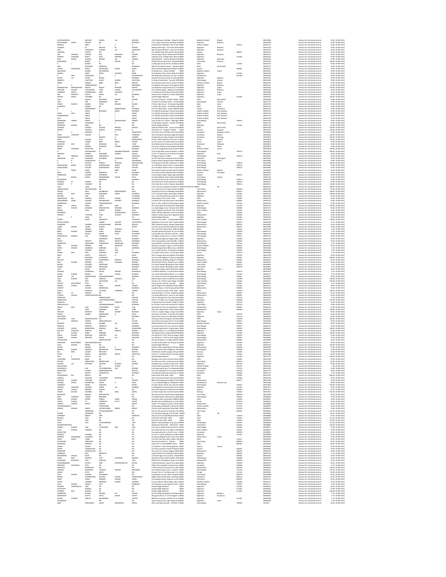| SATAYNARAYAN<br>SUKHVINDER<br>RAMESH                                                                                                                                                                                                                                                                                                                                                                                                                                   | Churla                     | MELANA<br>PADAM<br>BABU              | SOHAN                                | LAL                            | MELANA<br>BUSINESS                          | 11/21 Mahayeer Mohalla Bhogal GalNDIA                                                                                                                                                                                                                                                                                                    | Madhya Pradesh                                     | <b>Bhooal</b><br><b>Bhihean</b> |                            | 00033089                                     | Amount for Unclaimed and Un                                                                                                 | 75.00 10-SEP-2011                                                                                                                                                                                                                                                                                                                                                                                                                                                                                                                                                                                       |
|------------------------------------------------------------------------------------------------------------------------------------------------------------------------------------------------------------------------------------------------------------------------------------------------------------------------------------------------------------------------------------------------------------------------------------------------------------------------|----------------------------|--------------------------------------|--------------------------------------|--------------------------------|---------------------------------------------|------------------------------------------------------------------------------------------------------------------------------------------------------------------------------------------------------------------------------------------------------------------------------------------------------------------------------------------|----------------------------------------------------|---------------------------------|----------------------------|----------------------------------------------|-----------------------------------------------------------------------------------------------------------------------------|---------------------------------------------------------------------------------------------------------------------------------------------------------------------------------------------------------------------------------------------------------------------------------------------------------------------------------------------------------------------------------------------------------------------------------------------------------------------------------------------------------------------------------------------------------------------------------------------------------|
| THOMAS                                                                                                                                                                                                                                                                                                                                                                                                                                                                 |                            |                                      | MATHA                                | M                              | sexvice                                     | 22 A 2 Opp Community Hall Bapu NaylYDIA<br>6-39/10 Liami Residency Flat S-102 RNDIA<br>Maliwal Electricals 107 Indira MarketNDIA                                                                                                                                                                                                         | n<br>tajasthan<br>Andhra Pradesh<br>Rajasthar      | <b>Shihwara</b>                 | 500011                     | 00033092<br>00033112<br>00033128             | Amount for Unclaimed and University<br>Amount for Unclaimed and University<br>Amount for Unclaimed and University           | 75.00 10-SEP-2011<br>75.00 10-SEP-2011<br>75.00 10-SEP-2011                                                                                                                                                                                                                                                                                                                                                                                                                                                                                                                                             |
| AJAY<br><b>JITENDRA</b>                                                                                                                                                                                                                                                                                                                                                                                                                                                |                            | <b>SARASWAT</b><br><b>CHAPIA</b>     | SUNDER<br>NA                         | LAL                            | SARASWAT<br>NA.                             | Ajay Saraswat Bhilwara Spinners LtdINDIA<br>C/o Vallabh Polly Pack (p) Ltd. 901 girlNDIA                                                                                                                                                                                                                                                 | Rajasthan<br>Gujarat                               | <b>Shihwara</b>                 | 388121                     | 00033197<br>00033219                         | Amount for Unclaimed and Un<br>Amount for Unclaimed and Un                                                                  | 75.00 10-SEP-2011<br>75.00 10-SEP-2011                                                                                                                                                                                                                                                                                                                                                                                                                                                                                                                                                                  |
| <b>OM</b>                                                                                                                                                                                                                                                                                                                                                                                                                                                              | PRAKASH                    | SODAN                                | HER                                  | NABAYAN                        | SODANI                                      | Krishan Gopal Vishnu Gopal Sarkari DINDIA<br>Subhash Circle, College Road, BanswalNDIA<br>Shiipi Mohalla Talwara Banswara RajNDIA                                                                                                                                                                                                        | Raiasthan                                          | <b>Bhiheara</b>                 | 327001                     | 00033257                                     | Amount for Unclaimed and Un                                                                                                 | 75.00 10-SEP-2011                                                                                                                                                                                                                                                                                                                                                                                                                                                                                                                                                                                       |
| .<br>SHARAD<br>NEEL                                                                                                                                                                                                                                                                                                                                                                                                                                                    | CHANDRA<br>KAMAL           | BHATT<br>GANDH                       | GOPI<br>BASANT                       | <b>JAFFAE</b>                  | <b>BHATT</b><br>GANDH                       |                                                                                                                                                                                                                                                                                                                                          | Rajasthan<br>Rajasthan<br>Tamil Nadu               | Chennai                         |                            | 00033262<br>00033266                         | Amount for Unclaimed and Un<br>Amount for Unclaimed and Un                                                                  | 75.00 10-SEP-2011<br>75.00 10-SEP-2011                                                                                                                                                                                                                                                                                                                                                                                                                                                                                                                                                                  |
| <b>IMOHA</b>                                                                                                                                                                                                                                                                                                                                                                                                                                                           |                            | ANEE2<br>GHOSH                       | H<br>NA                              |                                | ALI<br>NA                                   | 22 Md Hussain Khan Lane RoyapettaNDIA<br>U-108,upper Ground Floor, ShakarpurNDIA                                                                                                                                                                                                                                                         |                                                    |                                 | 110092                     | 00033297<br>00033310                         | Amount for Unclaimed and Un<br>Amount for Unclaimed and Un                                                                  | 150.00 10-SEP-2011<br>75.00 10-SEP-2011<br>75.00 10-SEP-2011                                                                                                                                                                                                                                                                                                                                                                                                                                                                                                                                            |
| <b>ANIL</b><br>KHAUD                                                                                                                                                                                                                                                                                                                                                                                                                                                   | MOHUDDE                    | <b>WADHWA</b><br>MALIK               | HARDAYA<br>MOHUDDIN                  | POKER                          | <b>WADHWA</b><br>MALIK                      | 189 Church Mission Road Fatehpuri INDIA<br>Kerla Tea Stall Nagoriwad Shahpur AHNDIA<br>23 Ahilya Pura - Indore 452002 - INDIA                                                                                                                                                                                                            | Delhi<br>Guiara                                    | North Delhi                     | 380001                     | 00033317<br>00033321                         | Amount for Unclaimed and Un<br>Amount for Unclaimed and Un                                                                  | 25.00.10.999.2011<br>25.00.10.999.2011                                                                                                                                                                                                                                                                                                                                                                                                                                                                                                                                                                  |
| BALKISHAM<br>PANKAJ                                                                                                                                                                                                                                                                                                                                                                                                                                                    |                            | NAGAR<br>ningini<br>GARG<br>PRAGASAM | GOVERDHAM<br>PREM                    | <b>KISHAN</b>                  | DAS<br>.<br>Geboorte                        |                                                                                                                                                                                                                                                                                                                                          | Madhya Pradesh<br>tajasthar                        | Indon                           | 311001                     | 00033354<br>00033358                         | Amount for Unclaimed and Un<br>Amount for Unclaimed and Un                                                                  | 75.00 10-SEP-2011                                                                                                                                                                                                                                                                                                                                                                                                                                                                                                                                                                                       |
| .<br>RATAN                                                                                                                                                                                                                                                                                                                                                                                                                                                             | ARLE<br>LAL                | مسه                                  | NARLIJ                               |                                | PALANUAPPAN<br>BUSINESS                     | Prem Bhirwan Near Chihor Walo Ki HeNDIA<br>M/s Balkrishna Industries Ltd. (dy.m.)INDIA<br>Guwardi Po Swarup Ganj Via HamughINDIA                                                                                                                                                                                                         | Maharashtra<br>Rajasthan                           | <b>Shihwara</b>                 | 401506                     | 00033462<br>00033475                         | Amount for Unclaimed and Un<br>Amount for Unclaimed and Un                                                                  | 75.00 10-SEP-2011<br>75.00 10-SEP-2011                                                                                                                                                                                                                                                                                                                                                                                                                                                                                                                                                                  |
| NIBEDITA<br>PRENA                                                                                                                                                                                                                                                                                                                                                                                                                                                      |                            | CHATTERII<br>BANSAL                  | ALOKE<br>BABU                        | KUMAR<br><b>MAR</b>            | CHATTERJI<br>BANSAL                         | 12 Aswini Dutta Road Calcutta 7000INDIA                                                                                                                                                                                                                                                                                                  | West Bengal                                        | Kolkata                         |                            | 00033483<br>00033505                         | Amount for Unclaimed and Un                                                                                                 | 75.00 10-SEP-2011<br>75.00 10-SEP-2011                                                                                                                                                                                                                                                                                                                                                                                                                                                                                                                                                                  |
| BAMAWATA                                                                                                                                                                                                                                                                                                                                                                                                                                                               | BADHAK                     | HRIMMASRAD<br>MEHTA                  | <b>EACH</b>                          | <b>KRISHAR</b>                 | NARSIMHA<br>MÉHTA                           | Prem Bhawan Near Chittor Walo Ki HINDIA<br>C/o Bhilwara Processors Ltd EngineeriNDIA                                                                                                                                                                                                                                                     | Madhya Pradesi<br>Rajasthan<br>.<br>Najasthan      | Bhopal<br>Bhihwara<br>Jaipur    |                            | 00033532<br>0003354                          | Amount for Unclaimed and Un<br>Amount for Unclaimed and Un<br>Amount for Unclaimed and Un                                   | 75.00 10-SEP-2011<br>375.00 10-SEP-2011                                                                                                                                                                                                                                                                                                                                                                                                                                                                                                                                                                 |
| PRAVEEN<br>CHANDRA                                                                                                                                                                                                                                                                                                                                                                                                                                                     | KUMAR<br>KANTA             | CHOUDHARY<br>KHANDELWAL              | TARA<br>HARI                         | CHAND<br>SHANKAI               | CHOUDHAR                                    | Co Rajasthan Dyeg Chemical 41 A PietrDIA<br>112 A Shastri Nagar Bhilwara 31100INDIA<br>5-2 Gendi Lal Om Prakash Chand BharNDIA                                                                                                                                                                                                           | Rajasthan<br>Rajasthan                             | <b>Shihwara</b>                 |                            | 00033581<br>00033641                         | Amount for Unclaimed and Un<br>Amount for Unclaimed and Un                                                                  | 75.00 10-SEP-2011<br>75.00 10-SEP-2011                                                                                                                                                                                                                                                                                                                                                                                                                                                                                                                                                                  |
| OM                                                                                                                                                                                                                                                                                                                                                                                                                                                                     | <b>PRAKASE</b>             | GUPTA                                | GENDI                                | LAL                            | <b>BUSINESS</b>                             | Gendi Lal Om Prakash S-2 Kabir Marg/NDIA                                                                                                                                                                                                                                                                                                 | Rajasthan                                          | Jaipur<br>Jaipur                |                            | 00033650<br>00033653                         | Amount for Unclaimed and Un<br>Amount for Unclaimed and Un                                                                  | 75.00 10-SEP-2011                                                                                                                                                                                                                                                                                                                                                                                                                                                                                                                                                                                       |
| PRITPAL<br><b>ALKA</b>                                                                                                                                                                                                                                                                                                                                                                                                                                                 | SINGH                      | CHHABRA<br>DIWAN                     | NA.<br>DEVINDER                      | KUMAR                          | NA.<br><b>DIVAN</b>                         | Gandhi Nagar Bhilwara<br>INDIA<br>8-1 Feet Of Kellash N Delhi 110065 INDIA                                                                                                                                                                                                                                                               | Rajasthan<br>Delhi                                 | North Delhi                     | 311001                     | 00033683                                     | Amount for Unclaimed and Un                                                                                                 | 150.00 10-SEP-2011<br>75.00 10-SEP-2011                                                                                                                                                                                                                                                                                                                                                                                                                                                                                                                                                                 |
|                                                                                                                                                                                                                                                                                                                                                                                                                                                                        | KUMA                       | SEN<br>DANDA                         | HIRANMO<br>TAPAS                     | SEN<br>RAVJAN                  | <br>DANDA                                   | 31 Grand Trunk Road South HowrahlNDIA<br>2 Thakur Bari Sarari Po Nandan NagNDIA<br>2 Thakur Bari Sarari Po Nandan NagNDIA                                                                                                                                                                                                                | West Bengal<br>Bihar<br>Bihar                      | Howrah<br>Saran                 |                            | 00033713<br>00033720<br>00033721             | Amount for Unclaimed and University<br>Amount for Unclaimed and University<br>Amount for Unclaimed and University           | 75.00 10-SEP-2011<br>75.00 10-SEP-2011<br>75.00 10-SEP-2011                                                                                                                                                                                                                                                                                                                                                                                                                                                                                                                                             |
| SHARMIL                                                                                                                                                                                                                                                                                                                                                                                                                                                                |                            | DANDA<br>MAHENDRAN                   | NA                                   | <b>BAMASWAMY</b>               | NA<br><b>BUSINESS</b>                       | 6/1779 Palace Road Cochin 682002 INDIA                                                                                                                                                                                                                                                                                                   | Kerala                                             | Saran<br>Emakulam               |                            | 00033741                                     | Amount for Unclaimed and Un                                                                                                 | 75.00 10-SEP-2011                                                                                                                                                                                                                                                                                                                                                                                                                                                                                                                                                                                       |
| <b>JANKI</b>                                                                                                                                                                                                                                                                                                                                                                                                                                                           | peyr                       | ANEJA<br>ANEIA                       | BHAGMAI                              | ANEJA                          | <b>BUSINESS</b><br>ANEIA                    | 6-3-456/20 Dwarkapuri Colony PanjalNDIA                                                                                                                                                                                                                                                                                                  | Andhra Pradesh<br>Andhra Pradesh                   | East Godavar<br>East Godavan    |                            | 00033745<br>00033746                         | Amount for Unclaimed and Un<br>Amount for Unclaimed and Un                                                                  | 75.00 10-SEP-2011<br>75.00 10-SEP-2011                                                                                                                                                                                                                                                                                                                                                                                                                                                                                                                                                                  |
| DHARM<br>GITA                                                                                                                                                                                                                                                                                                                                                                                                                                                          |                            | ANÉJA<br>ANÉJA                       |                                      |                                | ANEIA<br>ANEIA<br>SANMA<br>DEY              | $\begin{array}{l} 6-4-95/210\text{ workapun Lottary Panipunum} \\ 6-3-456/20\text{ Dweakeapun Lotory Panipinunh} \\ 6-3-456/20\text{ Dweakeapun Lotory Panipinunh} \\ 6-3-456/20\text{ Dweakeapun Lotory Panipinunh} \\ 2,1/20\text{ Mehan Gunderin. No Delhi 1100INunh} \\ 8-1/20\text{ Mehan Galneim. No Delhi 1100INunh} \end{array}$ | Andhra Pradesh<br>Andhra Pradesh                   | East Godava<br>East Godava      |                            | 00033747<br>00033748                         | Amount for Unclaimed and University<br>Amount for Unclaimed and Un                                                          | 75.00 10-SEP-2011<br>75.00 10-SEP-2011                                                                                                                                                                                                                                                                                                                                                                                                                                                                                                                                                                  |
| NAGENDR<br>SANDEEP                                                                                                                                                                                                                                                                                                                                                                                                                                                     | VERMA                      | KRAPA<br>KUMARDE                     |                                      | NAGESHWAR                      |                                             |                                                                                                                                                                                                                                                                                                                                          | West Bengal<br>Delhi                               | North Delhi                     | 700013                     | 00033741<br>00033764                         | Amount for Unclaimed and Un<br>Amount for Unclaimed and Un                                                                  | 75.00 10-SEP-2011<br>75.00 10-SEP-2011                                                                                                                                                                                                                                                                                                                                                                                                                                                                                                                                                                  |
| RAVINDER<br>SUSHMA                                                                                                                                                                                                                                                                                                                                                                                                                                                     | KUMAI                      | <b>BAHL</b><br><b>JAISWAL</b>        | NA<br>GOVING                         | PRASAD                         | NA<br>SERVICE                               | Gandhi Nasar Bhilwara<br><b>INDIA</b><br>1663 Gali Madrsa Mir Jumla Lal KualNDIA                                                                                                                                                                                                                                                         | Rajasthan<br>Delhi                                 | North Delhi                     | 311001                     | 00033770<br>00033780                         | Amount for Unclaimed and Un<br>Amount for Unclaimed and Un                                                                  | 75.00 10-SEP-2011<br>150.00 10-SEP-2011                                                                                                                                                                                                                                                                                                                                                                                                                                                                                                                                                                 |
| DIMPLE                                                                                                                                                                                                                                                                                                                                                                                                                                                                 |                            | CHADHA<br>AROJIN                     | RAKESH                               | CHADHA                         | SABHAPATH                                   | 156 Sector 14 Gunsaon 122001<br>INDM                                                                                                                                                                                                                                                                                                     | Haryana                                            | Gurgaon<br>Bangalore Urba       |                            | 00033797<br>00033801                         | Amount for Unclaimed and Un                                                                                                 | 150.00 10-SEP-2011<br>75.00 10-SEP-2011                                                                                                                                                                                                                                                                                                                                                                                                                                                                                                                                                                 |
| DEEW<br>MAHALINGAPPA                                                                                                                                                                                                                                                                                                                                                                                                                                                   | CHANDRA                    | SEKHAR                               |                                      | kon                            | SHANDRA<br>CHANDRA<br>FARMER                | No 60 Sth Cross Sth Main N R ColonyINDIA<br>393 A & B Block Kuvempu Niegar MysINDIA<br>62 Basawakrupa Opp Vinayaka Park BINDIA                                                                                                                                                                                                           | ranyara<br>Kamataka<br>Kamataka                    | Mysore<br>Shimoga               |                            | 00033816                                     | Amount for Unclaimed and University<br>Amount for Unclaimed and University<br>Amount for Unclaimed and University           | 150.00 10-SEP-2011<br>150.00 10-SEP-2011                                                                                                                                                                                                                                                                                                                                                                                                                                                                                                                                                                |
| SANTI                                                                                                                                                                                                                                                                                                                                                                                                                                                                  |                            | HALDER                               | BASAPIA<br>LATE                      | ŚH                             | <b>BISHNUPADA</b>                           | At & Po Sakhi Gopal Dt Puri Orissa 75/NDIA                                                                                                                                                                                                                                                                                               | Orissa                                             | Cuttack                         |                            | 00033819<br>00033851                         | Amount for Unclaimed and Un                                                                                                 | 375.00 10-SEP-2011                                                                                                                                                                                                                                                                                                                                                                                                                                                                                                                                                                                      |
| AVANTIKA<br>SANTOSH                                                                                                                                                                                                                                                                                                                                                                                                                                                    | peyr                       | <b>TOMER</b><br><b>VIJAN</b>         | <b>BAM</b><br>BHUSHAN                | SINGH<br>in.                   | TOMER<br>VUAN                               | C/o R S Tomer S Q X Mcl Talcher ArealNDIA<br>Hind Medical Store Hanuman MensiolNDM                                                                                                                                                                                                                                                       | Orissa<br><b>Jharkhand</b>                         | Angul<br>Dhanbad                |                            | 00033854<br>00033862                         | Amount for Unclaimed and Un<br>Amount for Unclaimed and Un                                                                  | 75.00 10-SEP-2011<br>75.00 10-SEP-2011                                                                                                                                                                                                                                                                                                                                                                                                                                                                                                                                                                  |
| .<br>MANO<br>RAMA                                                                                                                                                                                                                                                                                                                                                                                                                                                      | CHANDRA                    | PRASAD                               | SHANKA<br>NA                         | KUMA                           | <b>CARWAY</b>                               | Co Home Collection New Market BarNDIA<br>C/o Sri Sai Engg & Electricals Station INDIA<br>13/119 Raja Bata Street Proddatur S 2NDIA                                                                                                                                                                                                       | <b>Sihar</b>                                       | Patna<br>Guntur                 |                            | 00033879<br>00033908                         | Amount for Unclaimed and Un                                                                                                 | 75.00 10-SEP-2011                                                                                                                                                                                                                                                                                                                                                                                                                                                                                                                                                                                       |
|                                                                                                                                                                                                                                                                                                                                                                                                                                                                        |                            |                                      |                                      | NAGABH                         | BUSINESS<br>FARMER                          |                                                                                                                                                                                                                                                                                                                                          | Andhra Pradesi<br>West Bengal                      |                                 | 700013                     | 00033918                                     | Amount for Unclaimed and Un<br>Amount for Unclaimed and Un                                                                  | 150.00 10-SEP-2011<br>300.00 10-SEP-2011                                                                                                                                                                                                                                                                                                                                                                                                                                                                                                                                                                |
| RANJENA<br>OM                                                                                                                                                                                                                                                                                                                                                                                                                                                          | <b>PRAKASE</b>             | SAXENA<br><b>JHANWAR</b>             | RAJENDRA<br>RAMGOPALII               | SAXENA                         | HOUSE<br><b>JHANWAR</b>                     | C/o Dr T N Saxena 21/215 Shanti NikiNDIA<br>Po Rajaji K Karera 311804<br><b>INDIA</b>                                                                                                                                                                                                                                                    | Rajasthan<br>West Bengal                           | Kota                            | 700013                     | 00033932<br>00033935                         | Amount for Unclaimed and Un<br>Amount for Unclaimed and Un                                                                  | 75.00 10-SEP-2011<br>75.00 10-SEP-2011                                                                                                                                                                                                                                                                                                                                                                                                                                                                                                                                                                  |
| BHAGWAN                                                                                                                                                                                                                                                                                                                                                                                                                                                                | LAL                        | KUMAWAT                              | KALURAM                              | KUMAWAT                        | SERVICE<br>RAVINDRAN<br>PROFESSIONA         | S/o Shri Kalu Ram Kumawat Purbio K/NDIA                                                                                                                                                                                                                                                                                                  | Raiasthan                                          | Chittory<br>.<br>Salam          |                            | 00033946                                     | Amount for Unclaimed and Un                                                                                                 | 75.00 10-SEP-2011                                                                                                                                                                                                                                                                                                                                                                                                                                                                                                                                                                                       |
| GURUSWAM                                                                                                                                                                                                                                                                                                                                                                                                                                                               | NAIDU                      | PADMAVATH<br>NGLIPTA<br>PATURU       | VENKAT<br><b>BAMASWAM</b>            | <b>BATNAM</b><br>NAIDU         | PATURU                                      | System New York Newsport Salem 636001NDIA<br>27 Ewaran Koll Street Tindivanam TalNDIA<br>14-1-92 Nehru Street E Floor Tingpati INDIA                                                                                                                                                                                                     | Tamil Nadu<br>West Bengal<br>West Bengal           |                                 | 700013<br>700013           | 00033982<br>00033982<br>00033985             | Amount for Unclaimed and Uni<br>Amount for Unclaimed and Uni<br>Amount for Unclaimed and Uni                                | 75.00 10-SEP-2011<br>150.00 10-SEP-2011<br>75.00 10-SEP-2011                                                                                                                                                                                                                                                                                                                                                                                                                                                                                                                                            |
| KANALAKARA                                                                                                                                                                                                                                                                                                                                                                                                                                                             | FEROZ                      | PATURU<br>KHAN                       | GURUSWAMY                            | NAIDU<br>BABA                  | PATURU<br>KHAN                              | 14-1-92 Nehru Street i Floor Tirupati INDIA<br>Pyaru Bhai Complex Korada Street NeINDIA                                                                                                                                                                                                                                                  | West Bengal<br>Andhra Pradesi                      | Nellone                         | 700013                     | 00033986<br>00033987                         | Amount for Unclaimed and Un<br>Amount for Unclaimed and Un                                                                  | 75.00 10-SEP-2011<br>75.00 10-SEP-2011                                                                                                                                                                                                                                                                                                                                                                                                                                                                                                                                                                  |
| BENI<br>EMBAJAN                                                                                                                                                                                                                                                                                                                                                                                                                                                        |                            | KUMAR                                | NIRANJAN                             | <b>UG</b>                      | <b>BUSINESS</b>                             | C/o Haryana Bartan Bhandar Ravi BazINDIA<br>5.murli Appts.udhaw Nagar Opp.shivjINDIA<br>No-9 Beri Bakkali Street Willore 6320INDIA                                                                                                                                                                                                       | Harvana                                            | Faridabac                       | 380013                     | 00034055                                     | Amount for Unclaimed and Un                                                                                                 | 75.00 10-SEP-2011                                                                                                                                                                                                                                                                                                                                                                                                                                                                                                                                                                                       |
|                                                                                                                                                                                                                                                                                                                                                                                                                                                                        | BHANL                      | GOVINE<br>MATHI                      | UDHAKAM<br>RAJENDERJIM               | HOUSE                          | RETIRED<br>WIFE                             |                                                                                                                                                                                                                                                                                                                                          | .<br>Gujarat<br>Tamil Nadu                         | Vellore                         |                            | 00034077<br>00034126                         | Amount for Unclaimed and Un<br>Amount for Unclaimed and Un                                                                  | 75.00 10-SEP-2011<br>75.00 10-SEP-2011                                                                                                                                                                                                                                                                                                                                                                                                                                                                                                                                                                  |
| RAJESHWAI<br>iaisingh                                                                                                                                                                                                                                                                                                                                                                                                                                                  |                            | PAWAR                                | NARSAIAH<br>NA                       |                                | BUSINESS<br>NA                              | C/o Maruthi & Sons Bus Stand Po NirrINDIA<br>245 North Point Street Apartment 40INDIA                                                                                                                                                                                                                                                    | West Bengal<br>West Benga                          |                                 | 700013<br>700013           | 00034190<br>0003501                          | Amount for Unclaimed and Un<br>Amount for Unclaimed and Un                                                                  | 75.00 10-SEP-2011<br>75.00 10-SEP-2011                                                                                                                                                                                                                                                                                                                                                                                                                                                                                                                                                                  |
| HAMENT<br>LALIT                                                                                                                                                                                                                                                                                                                                                                                                                                                        |                            | THAKKER<br><b>VORA</b>               | NA<br>NA<br>NA                       |                                | NA<br>NA<br>NA                              | A Disc Ben Store 1622 S Cypress RoadNDIA<br>3123 Lilly Ave Long Beach California SUNITED STATES OF AM NA<br>C/o.r.sethuraman, F.S., vijaya Santhi ApINDIA Tam                                                                                                                                                                            | West Bengal                                        | NA                              | 700013                     | 00035013<br>00035014                         | Amount for Unclaimed and Un<br>Amount for Unclaimed and Un                                                                  | 150.00 10-SEP-2011<br>150.00 10-SEP-2011                                                                                                                                                                                                                                                                                                                                                                                                                                                                                                                                                                |
| <b>SARISHANKAR</b><br>SANJAY                                                                                                                                                                                                                                                                                                                                                                                                                                           |                            | SETHYARA                             |                                      | RAMCHAN                        |                                             |                                                                                                                                                                                                                                                                                                                                          | Tamil Nadu<br>Maharashtra                          |                                 | 600004<br>400012           | 0003502<br>00035138                          | Amount for Unclaimed and Un                                                                                                 | 75.00 10-SEP-2011<br>150.00 10-SEP-2011                                                                                                                                                                                                                                                                                                                                                                                                                                                                                                                                                                 |
| NAGAR<br>RACHNA                                                                                                                                                                                                                                                                                                                                                                                                                                                        | MAL                        | RALIL<br>YADAV<br>MIAL               | DANARAM<br>TCJAIN                    | YADAV                          | RAUL<br>BUSINESS<br>STUDENTE                | 2/6 ganesh Smrti Dr.ambedkar Road INDIA<br>1-b-1, Chandar Sekhar Azad Nagar, BHNDIA<br>C/o T.c.jain 69,shanti Kunj Alwar (raj.)NDIA                                                                                                                                                                                                      | Rajasthan<br>Rajasthan                             |                                 | 311001<br>301001           | 00035140<br>00035238                         | Amount for Unclaimed and University<br>Amount for Unclaimed and University<br>Amount for Unclaimed and University           | 150.00 10-SEP-2011<br>75.00 10-SEP-2011                                                                                                                                                                                                                                                                                                                                                                                                                                                                                                                                                                 |
| ADEESHWAR<br>MOHAMMAD                                                                                                                                                                                                                                                                                                                                                                                                                                                  | RAI<br>HANI                | SINGHAL<br>LAKARIA                   | <b>ADITIA</b><br>MOHAMMAD            | KUMAR<br>ZAKARIA               | STUDENTE<br><b>BUSINESS</b>                 | 8-299,yojana Vihar, Delhi Delhi<br><b>INDIA</b>                                                                                                                                                                                                                                                                                          | Delhi<br>Maharashtra                               |                                 | 110092                     | 00035246<br>00035256                         | Amount for Unclaimed and Un                                                                                                 | 75.00 10-SEP-2011<br>75.00 10-SEP-2011                                                                                                                                                                                                                                                                                                                                                                                                                                                                                                                                                                  |
| TMSRINIVAS                                                                                                                                                                                                                                                                                                                                                                                                                                                             |                            | KUMAR                                | TMADANAGOPAL                         |                                | <b>BUSINESS</b>                             | C/o Dhara Oil And Soap Center, 98, zalNDIA<br>Door-no-18-1-128 M.f.road, hindupur INDIA                                                                                                                                                                                                                                                  | Andhra Pradest                                     |                                 | 400009<br>515201           | 00035263                                     | Amount for Unclaimed and Un<br>Amount for Unclaimed and Un                                                                  | 75.00 10-SEP-2011                                                                                                                                                                                                                                                                                                                                                                                                                                                                                                                                                                                       |
| SYEDA<br>BUAY<br>NEERAJ                                                                                                                                                                                                                                                                                                                                                                                                                                                | <b>SARTA</b><br>KUMAI      | iano<br><b>DOKANIA</b>               | SYED<br>RAMAWATAI                    | sair<br>DOKANLA                | ALI<br>BUSINESS                             | W/o Syed Abid Ali B-104,shastri NagalNDIA<br>1-a, Basak Bagan Lane Calcutta CalcutNDIA<br>Classic Capital Consultants, 259, SoutINDIA                                                                                                                                                                                                    | fajasthar<br>West Bengal<br>Uttar Pradesh          |                                 | 311001<br>700006<br>251001 | 00035274<br>0003537                          | Amount for Unclaimed and Un<br>Amount for Unclaimed and Un<br>Amount for Unclaimed and Un                                   | 150.00 10 SEP-2011<br>55.50 10-SEP-2011<br>75.00 10-SEP-2011                                                                                                                                                                                                                                                                                                                                                                                                                                                                                                                                            |
| RCSURANA                                                                                                                                                                                                                                                                                                                                                                                                                                                               |                            | GOEL                                 | SHRAM<br>LT.                         | NARAJN<br><b>SHYMSURANA</b>    | GOEL<br>SERVICE                             | 40/41, Bhilwara Bhawan, Community/NDIA                                                                                                                                                                                                                                                                                                   | Delhi                                              |                                 | 110065                     | 00035378<br>00035412                         | Amount for Unclaimed and Un                                                                                                 | 75.00 10-SEP-2011                                                                                                                                                                                                                                                                                                                                                                                                                                                                                                                                                                                       |
| YOGESH                                                                                                                                                                                                                                                                                                                                                                                                                                                                 |                            | VTAVKAR<br>SHAH                      | VUAY<br>NA.                          | TAVKAR                         | <b>BUSINESS</b><br>NA.                      | Popular Investment er floor, Bapat BulNDIA<br><b>Gandhi Nagar Bhibaara</b><br>INDIA                                                                                                                                                                                                                                                      | Maharashtra<br>Raiasthan                           |                                 | 405028<br>311001           | 00035415<br>00035420                         | Amount for Unclaimed and Un<br>Amount for Unclaimed and Un                                                                  | 75.00 10-SEP-2011<br>75.00 10-SEP-2011                                                                                                                                                                                                                                                                                                                                                                                                                                                                                                                                                                  |
| <b>LERICH</b>                                                                                                                                                                                                                                                                                                                                                                                                                                                          |                            | DUGH                                 | SHIGDUGH<br>SHRAM                    | LAKHAN                         | STUDENTE                                    | A-46, Sec-14, Noida Dist-ghaziabadINDIA<br>Manabarrie Tea Co.ltd. 28/1, ShakespINDIA<br>78/b, Narendra Niwas, Kampar NagariNDIA                                                                                                                                                                                                          | Uttar Pradesh<br>West Bengal<br>Maharashtra        |                                 | 201301<br>700017           | 00035457<br>00035458<br>00035464             | Amount for Unclaimed and Uni<br>Amount for Unclaimed and Uni<br>Amount for Unclaimed and Uni                                | 150.00 10-SEP-2011<br>0.75 10-SEP-2011<br>75.00 10-SEP-2011                                                                                                                                                                                                                                                                                                                                                                                                                                                                                                                                             |
| nwign<br>RPCHATURVED<br>RAJENDRA                                                                                                                                                                                                                                                                                                                                                                                                                                       |                            | PSHINDE                              | SHPANDUR                             | KSHND                          | STUDEN<br>CHATUR<br>SERVICE                 |                                                                                                                                                                                                                                                                                                                                          |                                                    |                                 | 400024                     |                                              |                                                                                                                             |                                                                                                                                                                                                                                                                                                                                                                                                                                                                                                                                                                                                         |
| LAXMI<br>SHEEL                                                                                                                                                                                                                                                                                                                                                                                                                                                         | DEVINAL                    | TEJANI<br>PRABIN                     | DEVRAJ<br>SURAI                      | PRAKASH                        | TEIANI                                      | C/o Kirti Kumar M.shah,neelkanth SadNDIA<br>3571,raja Park Shakur Basti, Delhi DelNDIA                                                                                                                                                                                                                                                   | Maharashtra<br>Delhi                               |                                 | 400077<br>110034           | 00035484<br>00035528                         | Amount for Unclaimed and Un<br>Amount for Unclaimed and Un                                                                  | 75.00 10-SEP-2011<br>6.00 10-SEP-2011                                                                                                                                                                                                                                                                                                                                                                                                                                                                                                                                                                   |
| <b>BIRIA</b><br>SONAL<br>SIDDH                                                                                                                                                                                                                                                                                                                                                                                                                                         | KUMAI                      | SHARMA                               | SARJU<br>CARTH                       | PRASAD<br>SHAH                 | SHARMA                                      | Vasudha Agartment block Cif.i St Floch DIA                                                                                                                                                                                                                                                                                               | West Benea                                         |                                 | 700059<br>700001<br>700014 | 00035531<br>00035546<br>00035551             | Amount for Unclaimed and Un                                                                                                 | 0.25.10/99.2011                                                                                                                                                                                                                                                                                                                                                                                                                                                                                                                                                                                         |
|                                                                                                                                                                                                                                                                                                                                                                                                                                                                        | SANKAI                     | KSHAH<br>SEN                         | LATEBNSEN<br>SAGARMA                 |                                | STUDENTE<br>SERVICE<br>BUSINESS<br>ENGINEER | 1. Jamartalla Lane, Calcutta Calcutta INDIA<br>C/o Rajeev Tandon & Co. I St Floor, FUNDIA                                                                                                                                                                                                                                                | West Benga<br>West Benga                           |                                 | 312604                     |                                              | Amount for Unclaimed and Un<br>Amount for Unclaimed and Un                                                                  | 75.00 10-SEP-2011<br>75.00 10-SEP-2011                                                                                                                                                                                                                                                                                                                                                                                                                                                                                                                                                                  |
| ANIL<br>UDAYA<br>RAMBATAN                                                                                                                                                                                                                                                                                                                                                                                                                                              |                            | <b>RSHETTY</b><br>SINGHANIA          | RAGHAI<br>LTRAMOTAR                  | NAGORI<br>MSHETTY<br>SINGHANIA | <b>BUSINESS</b>                             | M/s Gautalal Sagarmal Nagori Sadar INDIA<br>27th Linking Road,modi Villa Bidg. I SINDIA<br>Paras Market P.o.barakar Dt.burdwarlNDIA                                                                                                                                                                                                      | Rajasthan<br>Maharashtra<br>West Bengal            |                                 | 400050<br>713324           | 00035554<br>00035587<br>00035589             | Amount for Unclaimed and Un<br>Amount for Unclaimed and Un<br>Amount for Unclaimed and Un                                   | 75.00 10-SEP-2011<br>75.00 10-SEP-2011<br>0.75 10-SEP-2011                                                                                                                                                                                                                                                                                                                                                                                                                                                                                                                                              |
| HARI                                                                                                                                                                                                                                                                                                                                                                                                                                                                   | COVINI                     | PRASAD                               | SHRI                                 | MAHAVIR                        | PRASAD                                      | 307, paras Chambur, Opp.h S E MimayINDIA<br>Vasudha Appartment Block-cif, p.o.deINDIA                                                                                                                                                                                                                                                    | <b>Andhra Prades</b>                               |                                 | 500027                     | 00035602                                     | Amount for Unclaimed and Un                                                                                                 | 43.50 10-SEP-2011                                                                                                                                                                                                                                                                                                                                                                                                                                                                                                                                                                                       |
| GOPAL<br>NIU                                                                                                                                                                                                                                                                                                                                                                                                                                                           | KUMAR                      | <b>AGARWAL</b><br>CHOPRA             | GROHARI<br>RAKESH                    | U4<br>IAIN<br>IAIN             | AGARWAI                                     |                                                                                                                                                                                                                                                                                                                                          | West Beneal<br>.<br>West Bengal                    |                                 | 700059<br>700001           | 00035658<br>00035685                         | Amount for Unclaimed and Un<br>Amount for Unclaimed and Un                                                                  | 2.25 10-SEP-2011                                                                                                                                                                                                                                                                                                                                                                                                                                                                                                                                                                                        |
| KÉSHIN<br>Rénu                                                                                                                                                                                                                                                                                                                                                                                                                                                         | DEVI                       | JAIN<br>GUPTA                        | ŠHJITMAL<br>VKĆLIPTA                 |                                | BUSINESS<br>HOLD                            | Co.r.k.kankaria & Co. 33,brabourn RdNDIA<br>C/o.sk.kankaria & Co. 33,brabourn RdNDIA<br>W/o V.k.gupta (lecturer) Mohta CollepNDIA                                                                                                                                                                                                        | Orissa<br>Rajasthan                                |                                 | 766012<br>331023           | 00035686<br>00035708                         | Amount for Unclaimed and Un<br>Amount for Unclaimed and Un                                                                  | 0.75 10-SEP-2011<br>0.75 10-SEP-2011<br>75.00 10-SEP-2011                                                                                                                                                                                                                                                                                                                                                                                                                                                                                                                                               |
| RUP<br>KAILASH                                                                                                                                                                                                                                                                                                                                                                                                                                                         |                            | NARAYAN<br><b>MANTRY</b>             | CHITARIMAL<br>SHANKARLAL             | MANTRY                         | SERVICE<br><b>BUSINESS</b>                  | C/o Smt.radha Bagriya M-70,ana SagaNDIA                                                                                                                                                                                                                                                                                                  | Rajasthan<br>Maharashtra                           |                                 | 305001<br>400001           | 00035793<br>00035810                         | Amount for Unclaimed and Un                                                                                                 | 450.00 10-SEP-2011<br>43.50 10-SEP-2011                                                                                                                                                                                                                                                                                                                                                                                                                                                                                                                                                                 |
| AJAY<br><b>RAJESH</b>                                                                                                                                                                                                                                                                                                                                                                                                                                                  | KUMAR                      | MISHIM<br>KOTHAR                     | DAYA<br>TRKOTHARI                    | SHANKAR                        | MISHRA<br><b>BUSINESS</b>                   | 48-b,hanuman Building, 808,perin NaINDIA<br>162-b,friends Colony, Etawah (u.p.) EINDIA                                                                                                                                                                                                                                                   | Uttar Pradesh                                      |                                 | 205001<br>600029           | 00035825<br>00035866                         | .<br>Amount for Unclaimed and Un<br>Amount for Unclaimed and Un<br>Amount for Unclaimed and Un                              | 75.00 10-SEP-2011<br>0.75 10-SEP-2011                                                                                                                                                                                                                                                                                                                                                                                                                                                                                                                                                                   |
| RAJESH                                                                                                                                                                                                                                                                                                                                                                                                                                                                 |                            | KOTHAR                               | TRKOTHAR                             |                                | BUSINESS<br>SERVICE                         | Control Textiles 48, elephant Gate SNDIA<br>C/o Vined Textiles 48, elephant Gate SNDIA<br>1-20, tagger Nagar, Ajmer Road, heera INDIA<br>1-20, tagger Nagar, Ajmer Road, heera INDIA                                                                                                                                                     | Tamil Nadu<br>Tamil Nadu                           |                                 | 600079                     | 00035867                                     | Amount for Unclaimed and Un<br>Amount for Unclaimed and Un                                                                  | 0.75 10-SEP-2011<br>75.00 10-SEP-2011                                                                                                                                                                                                                                                                                                                                                                                                                                                                                                                                                                   |
| LALIT<br>SHYAMA                                                                                                                                                                                                                                                                                                                                                                                                                                                        |                            | DOSHI<br><b>AGARWALA</b>             | RLDOSH<br>GOPAL                      | PRASAD                         | AGAINWALE                                   | C/o Mehra Brothers, 2-b, tara Chand DNDIA                                                                                                                                                                                                                                                                                                | Rajasthan<br>West Bengal                           | Ajme                            | 700073                     | 00035884<br>00035916                         | Amount for Unclaimed and Un                                                                                                 | 0.75 10-SEP-2011                                                                                                                                                                                                                                                                                                                                                                                                                                                                                                                                                                                        |
| <b>ASHOK</b><br><b>JIWAN</b>                                                                                                                                                                                                                                                                                                                                                                                                                                           | KUMAR<br>LAL.              | BANKA<br><b>MAHESHWA</b>             | LATE<br>SHSLMAHES                    | SHYAM                          | SUNDER<br><b>BUSINESS</b>                   | 147, Girish Ghosh Road, Block-n,r.no.INDIA<br>C/o Sensex Co.krishna Kr.daga MartinINDIA                                                                                                                                                                                                                                                  | West Bengal<br>West Beneal                         |                                 | 711202<br>700001           | 00035917<br>00036012                         | Amount for Unclaimed and Un<br>Amount for Unclaimed and Un                                                                  | 0.75 10-SEP-2011<br>75.00 10-SEP-2011                                                                                                                                                                                                                                                                                                                                                                                                                                                                                                                                                                   |
| AIOY<br>TABA<br>ROCKET                                                                                                                                                                                                                                                                                                                                                                                                                                                 | KUMA                       |                                      | SHGOUR<br>SHCHAMAA                   | CHANDL                         | SEN                                         | Mahismardini Tala P.o.kalna Dist-buriNDIA<br>Chaman Lal, 12 Ram Jiwan Nagar, ChiNDIA<br>134,m.g.road, Calcutta Calcutta MDIA                                                                                                                                                                                                             | West Bengal<br>Uttar Prades                        |                                 | 713409<br>247001           | mmsen<br>003603                              | Amount for Unclaimed and Uni<br>Amount for Unclaimed and Uni<br>Amount for Unclaimed and Uni                                | 150.00 10-SEP-2011<br>150.00 10-SEP-2011<br>0.75 10-SEP-2011                                                                                                                                                                                                                                                                                                                                                                                                                                                                                                                                            |
| DINESH                                                                                                                                                                                                                                                                                                                                                                                                                                                                 | INVESTMEN<br>KUMAR         | SEN<br>DEVI<br>PLTD<br><b>JANGID</b> | NA<br>SHIAI                          | KISHAN                         | NA<br><b>JANGID</b>                         | Shastri Nagar, hami Mahadav Road, BINDIA                                                                                                                                                                                                                                                                                                 | West Bengal<br>Rajasthan                           |                                 | 700003<br>311001           | 00036043<br>00036117                         | Amount for Unclaimed and Un                                                                                                 | 75.00 10-SEP-2011                                                                                                                                                                                                                                                                                                                                                                                                                                                                                                                                                                                       |
| SAMPAT<br>KANTA                                                                                                                                                                                                                                                                                                                                                                                                                                                        |                            | DALMIA                               | RAMIOSHAN                            |                                | <b>BUSINESS</b>                             | 9 poddar House, 2 Nd Fanaswadi BonNDIA<br>C-7/111, yamuna Vihar, Delhi Delhi INDIA                                                                                                                                                                                                                                                       | Maharashtra                                        |                                 | 400002                     | 00036184                                     | Amount for Unclaimed and Un                                                                                                 | 75.00 10-SEP-2011                                                                                                                                                                                                                                                                                                                                                                                                                                                                                                                                                                                       |
|                                                                                                                                                                                                                                                                                                                                                                                                                                                                        |                            | KANJHLIA<br>BARODA<br>ANOSECURITIE:  | LATESHRI<br>NA<br>NA                 | VIRENDER                       | KUMAR                                       | Securities Dept., i St Floor, Jeejeebhoy(NDIA<br>C/o Anand Rathi & Co. Union Co Op InNDIA                                                                                                                                                                                                                                                | Delhi<br>Maharashtra<br>Maharashtra                |                                 | 110053<br>400023<br>400001 | 00036194<br>00036196<br>00036240             | Amount for Unclaimed and Un<br>Amount for Unclaimed and Un<br>Amount for Unclaimed and Un                                   | 118.50 10-SEP-2011<br>43.50 10-SEP-2011<br>43.50 10-SEP-2011                                                                                                                                                                                                                                                                                                                                                                                                                                                                                                                                            |
| BANK<br>PUSHAP<br>SKRANJAN<br>SSREEVATSA                                                                                                                                                                                                                                                                                                                                                                                                                               | CAPITAL                    |                                      |                                      |                                |                                             |                                                                                                                                                                                                                                                                                                                                          |                                                    |                                 | 134116                     | 00036263                                     |                                                                                                                             |                                                                                                                                                                                                                                                                                                                                                                                                                                                                                                                                                                                                         |
| VKGUPTA                                                                                                                                                                                                                                                                                                                                                                                                                                                                |                            |                                      | HARBHAGWAN<br>LATESUBRAMONIAM<br>VED | PARKASH                        | RANJAN<br>LAWYÉR<br>SERVICE                 | Flat No.303-b,ghs-60, Saru ApartmenINDIA<br>335/1,7 Th Main H.a.J.ii Stage, BangalNDIA<br>V.k.gupta (lecturer) Mohta College P.4NDIA                                                                                                                                                                                                     | Haryana<br>Kamataka<br>Rajasthan                   |                                 | 331023                     | 00036317<br>00036329                         | Amount for Unclaimed and Un<br>Amount for Unclaimed and Un<br>Amount for Unclaimed and Un                                   | 0.75 10-SEP-2011<br>225.00 10-SEP-2011<br>75.00 10-SEP-2011                                                                                                                                                                                                                                                                                                                                                                                                                                                                                                                                             |
| SBHAGAVATH<br><b>BIMLA</b>                                                                                                                                                                                                                                                                                                                                                                                                                                             | peyr                       | JAIN                                 | AVSANKARARAMAN<br>LTSHPRABHU         | DAYAL                          | <b>BUSINESS</b><br><b>JAIN</b>              | B.s.r.kumar Finance & Investments 20NDIA<br>401.oratik Ha Chs.a-19.vashodham. GNDIA                                                                                                                                                                                                                                                      | Tamil Nady<br>Maharashtri                          |                                 | 625010<br>400063           | 00036332<br>00036378                         | Amount for Unclaimed and Un<br>Amount for Unclaimed and Un                                                                  | 75.00 10-SEP-2011<br>25.00.10.999.2011                                                                                                                                                                                                                                                                                                                                                                                                                                                                                                                                                                  |
| ANIL<br>NEELAM<br>SHEELA                                                                                                                                                                                                                                                                                                                                                                                                                                               |                            | PORE                                 | SHANKAR                              | <b>BAO</b>                     | PORE                                        |                                                                                                                                                                                                                                                                                                                                          | Maharashtra                                        |                                 | 400005                     | 00036379                                     | Amount for Unclaimed and Un                                                                                                 | 150.00 10-SEP-2011                                                                                                                                                                                                                                                                                                                                                                                                                                                                                                                                                                                      |
|                                                                                                                                                                                                                                                                                                                                                                                                                                                                        |                            | MATHUE<br><b>DOGRA</b>               | VINOD<br>SHBKDOGRA                   | KUMAI                          | MATHUR<br>HOLD                              | 242, venus Apartments, Cuffe Parade, INDIA<br>5 Jha 21, Jawahar Nagar, Jaipur (raj) JINDIA<br>454, sector A Pocket-c D.d.a.flat, vasariNDIA                                                                                                                                                                                              | Rajasthan<br>Delhi                                 | Jaipu                           | 110070                     | 00036405<br>00036455                         | Amount for Unclaimed and Un<br>Amount for Unclaimed and Un                                                                  | 75.00 10-SEP-2011<br>43.50 10-SEP-2011                                                                                                                                                                                                                                                                                                                                                                                                                                                                                                                                                                  |
| <b>ASHUTOSH</b><br>SATYENDER                                                                                                                                                                                                                                                                                                                                                                                                                                           | <b>JAIN</b>                | ANDASSOCIATES                        | SRSOYAL<br>NA                        |                                | <b>BUSINESS</b><br>NA.                      | <b>Ram Kumar &amp; Sons Iron Merchent HaINDIA</b><br>Architects, interior Designers Ad-95a, pNDIA<br>No.10, amman Eswarar Koil St. B.colorNDIA                                                                                                                                                                                           | Rajasthan<br>Delhi                                 |                                 | 335513<br>110034           | 00036456<br>00036462                         | Amount for Unclaimed and Un<br>Amount for Unclaimed and Un<br>Amount for Unclaimed and Un                                   | 75.00 10-SEP-2011<br>750.00 10-SEP-2011                                                                                                                                                                                                                                                                                                                                                                                                                                                                                                                                                                 |
| PRAKASH                                                                                                                                                                                                                                                                                                                                                                                                                                                                | KRISHNA                    | KUMAR                                | <b>SPNACHIMUTHL</b><br>MOHAN         | U4                             | LAVYER                                      | 1084, khatiwala Tank Near Dayanand INDIA                                                                                                                                                                                                                                                                                                 | West Beneal<br>Madhya Prade                        |                                 | 700013<br>45200            | 00036485<br>00036504                         | Amount for Unclaimed and Un                                                                                                 | 75.00 10-SEP-2011<br>43.50 10 SEP-2011                                                                                                                                                                                                                                                                                                                                                                                                                                                                                                                                                                  |
| RASIKLAL<br>LAKSHMI                                                                                                                                                                                                                                                                                                                                                                                                                                                    | CHAND                      | THAKUR<br>NMEHTA<br>MANDHYAN         | NPMEHT/<br>MACHAV                    | DAS                            | THAKUR<br>BUSINESS<br>MANDHYAN              | C/o.photovisual 27a,circus Avenue CaINDM<br>7h-ajanta Apartments, 10,gurusaday INDIA                                                                                                                                                                                                                                                     | West Bengal<br>West Bengal                         |                                 | 70001<br>700019            | 00036523<br>00036543                         | Amount for Unclaimed and Un<br>Amount for Unclaimed and Un                                                                  | 75.00 10-SEP-2011<br>150.00 10-SEP-2011                                                                                                                                                                                                                                                                                                                                                                                                                                                                                                                                                                 |
| KAILASH<br>RAJ                                                                                                                                                                                                                                                                                                                                                                                                                                                         | CHANDRA                    | <b>TIHORUS</b>                       | SHRI                                 | <b>RAMLAL</b>                  | SERVICE                                     | Neelkanth Road, P.o.-pur Bhilwara BhINDIA<br>Jain Medical Store Hospital Road BhildNDIA                                                                                                                                                                                                                                                  | Rajasthan                                          |                                 | 311802                     | 00036626                                     | Amount for Unclaimed and Un                                                                                                 | 75.00 10-SEP-2011                                                                                                                                                                                                                                                                                                                                                                                                                                                                                                                                                                                       |
| PARAS                                                                                                                                                                                                                                                                                                                                                                                                                                                                  | KUMAR<br>KUMAR             | BABEL<br><b>MALPANI</b>              | MPBABEL<br>SHRATAN                   | U4                             | <b>BUSINESS</b><br>MALPANI                  | Rno.68,3rd FL,161/1 M.g.rd.,bangur INDIA                                                                                                                                                                                                                                                                                                 | Rajasthan<br>West Benea                            |                                 | 311001<br>700007           | 00036637<br>00036644                         | Amount for Unclaimed and Un<br>Amount for Unclaimed and Un                                                                  | 150.00 10-SEP-2011<br>75.00 10-SEP-2011                                                                                                                                                                                                                                                                                                                                                                                                                                                                                                                                                                 |
| PAWA<br>жню                                                                                                                                                                                                                                                                                                                                                                                                                                                            | <b>CUMA</b>                | MALPANI                              | .<br>RATAN<br>SHRGCHECHAN            | u                              | MALPAN                                      | Rosseyau Friedrich Military (1994)<br>1993: Ann Bhitary I. Danger, Joseph WDIA<br>1993: Strichna Milis Ltd., Beauser (rajNDIA<br>1993: C/o.the Krishna Milis Ltd., Beauser (rajNDIA                                                                                                                                                      | West Benga<br>Maharashtr                           |                                 | zonon                      | nnnssen<br>muss                              | Amount for Unclaimed and Uni<br>Amount for Unclaimed and Uni<br>Amount for Unclaimed and Uni                                | 75.00 10-SEP-2011<br>75.00 10-SEP-2011<br>75.00 10-SEP-2011                                                                                                                                                                                                                                                                                                                                                                                                                                                                                                                                             |
| NEWLAND<br><b>SLUIT</b>                                                                                                                                                                                                                                                                                                                                                                                                                                                | <b>INVESTMENT</b><br>KUMAR | ANDTRAD<br>MITRA                     | tNA<br>NA                            |                                | NA<br>NA                                    | Gandhi Nagar Bhilwara<br>INDIA                                                                                                                                                                                                                                                                                                           | Rajasthan<br>Rajasthan                             |                                 | 305901<br>311001           | 00036715<br>00036753                         | Amount for Unclaimed and Un                                                                                                 | 150.00 10-SEP-2011                                                                                                                                                                                                                                                                                                                                                                                                                                                                                                                                                                                      |
| SATISH<br>NIRMAL                                                                                                                                                                                                                                                                                                                                                                                                                                                       | KUMAR                      | GMARLI<br>GANGULI                    | GOVIND<br>JIBONDHON                  | GANGLILI                       | <b>BUSINESS</b><br>RETIRED                  | Kitchen Palace Opp:kabutar Khhana,dNDIA<br>89, m.m. peeder Road, Belghoria, CalcuNDIA                                                                                                                                                                                                                                                    | Maharashtra<br>West Bengal                         |                                 | 400028<br>700056           | 00036891<br>00037022                         | Amount for Unclaimed and Un<br>Amount for Unclaimed and Un                                                                  | 75.00 10-SEP-2011<br>75.00 10-SEP-2011                                                                                                                                                                                                                                                                                                                                                                                                                                                                                                                                                                  |
| RAJ<br>AMITA                                                                                                                                                                                                                                                                                                                                                                                                                                                           |                            | CHUGH<br>MEHTA                       |                                      |                                | SERVICE<br>ADVOCATI                         | 25/18, laxmi Garden Gurgaon [haryan/NDM<br>52-53,c< Ii Ii New Mandi, Sirsa (hary/NDM                                                                                                                                                                                                                                                     | Haryana<br>Haryana                                 |                                 | 122001                     | 00037075<br>00037088                         | <b>Imount for Unclaimed and Uni</b><br>Imount for Unclaimed and Un                                                          | 75.00 10-SEP-2011<br>43.50 10-SEP-2011                                                                                                                                                                                                                                                                                                                                                                                                                                                                                                                                                                  |
| AJAY<br>STANDARC                                                                                                                                                                                                                                                                                                                                                                                                                                                       | CHARTERED                  | GUPTA<br>BANK                        | NA<br>NA                             |                                | NA<br>NA                                    |                                                                                                                                                                                                                                                                                                                                          | Rajasthar                                          |                                 | 311001<br>110001           | 00037357<br>00037384                         | Amount for Unclaimed and Un<br>Amount for Unclaimed and Un                                                                  | 118.50 10-SEP-2011<br>75.00 10-SEP-2011                                                                                                                                                                                                                                                                                                                                                                                                                                                                                                                                                                 |
| MYTHILL<br>CHUNNI                                                                                                                                                                                                                                                                                                                                                                                                                                                      | LAL                        | SRINIVASAN<br>MOHNOT                 | RSRINIVASAN<br>KISTOOR               | CHANDI                         | HOLD<br>RETIRED                             | Flat No.6,ram Flats, 14,duraisamy RoJNDIA<br>Kawedia Vass, Po.sadri.dist-pali (rai) 1NDIA                                                                                                                                                                                                                                                | <b>Tamil Nadu</b><br>Rajasthan                     |                                 | 600017<br>306702           | 00037425<br>00037430                         | Amount for Unclaimed and Un<br>Amount for Unclaimed and Un                                                                  | 87.00 10-SEP-2011<br>75.00 10-SEP-2011                                                                                                                                                                                                                                                                                                                                                                                                                                                                                                                                                                  |
| KALUCHAND<br>BISWANATI                                                                                                                                                                                                                                                                                                                                                                                                                                                 |                            | suit                                 | iù.<br>TOOLBMONA                     | CHAND                          | RETIRED                                     | Prathyl Sales Corporation 16-6-15 nutNDIA                                                                                                                                                                                                                                                                                                | Andhra Pradest                                     |                                 | 515201<br>712124           | 00037462<br>00037485                         | Amount for Unclaimed and Un                                                                                                 | 7.50 10-SEP-2011<br>75.00 10-SEP-2011                                                                                                                                                                                                                                                                                                                                                                                                                                                                                                                                                                   |
| KRAVINDRA                                                                                                                                                                                                                                                                                                                                                                                                                                                              |                            | KUMAR<br>MÉHTA                       | KRAMAKRISHANJ                        | sun                            | SERVICE<br>BUSINESS                         | 4, mohajan-patty-lane P.o.-bhadreswalNDIA<br>C/o.r.part Hasarathi III Cross,satya NaINDIA<br>C/o.devendra Mehta & Associates C.aINDIA                                                                                                                                                                                                    | West Bengal<br>Kamataka<br>Kamataka                |                                 | 583103                     | 00037513                                     | <b>Imount for Unclaimed and Un</b><br>Amount for Unclaimed and Un<br>Amount for Unclaimed and Un                            | 75.00 10-SEP-2011                                                                                                                                                                                                                                                                                                                                                                                                                                                                                                                                                                                       |
| AMIT<br><b>SUKHSAMPAT</b>                                                                                                                                                                                                                                                                                                                                                                                                                                              | RAJ                        | MEHTA                                | SHNKMEHTA<br>NA                      |                                | NA                                          | 8-66,anand Vihar Delhi Delhi<br>INDIA                                                                                                                                                                                                                                                                                                    | Delhi                                              |                                 | 560002<br>110092           | 00037521<br>00037532                         | Amount for Unclaimed and Un                                                                                                 | 0.75 10-SEP-2011<br>280.50 10-SEP-2011                                                                                                                                                                                                                                                                                                                                                                                                                                                                                                                                                                  |
| KAMALA<br>HEMANT                                                                                                                                                                                                                                                                                                                                                                                                                                                       | KUMAI                      | KHAITAN<br>VNAZARE                   | LTSHKAMAL<br>VNAZARE                 | KHAITAN                        | SERVICE                                     | W/o.lt.sh.kamal Khaitan A4/13.paschINDIA                                                                                                                                                                                                                                                                                                 | Delhi<br>Maharashtra                               |                                 | 110063<br>400077           | 00037596<br>00037646                         | Amount for Unclaimed and Un<br>Amount for Unclaimed and Un                                                                  | 12.00.10.99.2011<br>25.00.10.9EP.2011                                                                                                                                                                                                                                                                                                                                                                                                                                                                                                                                                                   |
| SHOBHA                                                                                                                                                                                                                                                                                                                                                                                                                                                                 | ASHOR                      | MEHROTH<br>MITRA                     | ASHOK                                |                                | HOLD<br>MITRA<br>SHARMA                     | <b>Block No.4, bhagyodoya Bldg. Nr. nathINDIA</b><br>F.no.11, takshila Bldg.no.2 Mahakali ONDIA<br>27, baker Road, Flat No.3b, Calcutta CINDIA                                                                                                                                                                                           | <b>Maharashtra</b>                                 | Mumbai City                     | 700023                     | 00037688                                     | Amount for Unclaimed and Un                                                                                                 | 43.50 10-SEP-2011                                                                                                                                                                                                                                                                                                                                                                                                                                                                                                                                                                                       |
| HAIMANT<br>JAGOISH                                                                                                                                                                                                                                                                                                                                                                                                                                                     | CHANDRA                    | SHARMA                               | SANTANU<br>LAXMI                     | LЫ,                            |                                             | C/o Bhagchand Luhariya Near Tar GhaNDIA                                                                                                                                                                                                                                                                                                  | West Bengal<br>Rajasthar                           |                                 | 311001                     | 00037930<br>00037931                         | Amount for Unclaimed and Un<br>Amount for Unclaimed and Ur                                                                  | 750.00 10-SEP-2011<br>75.00 10-SEP-2011                                                                                                                                                                                                                                                                                                                                                                                                                                                                                                                                                                 |
| JAYANT<br>VIKASH                                                                                                                                                                                                                                                                                                                                                                                                                                                       | <b>IADAVII</b><br>KUMAR    | MANIAR<br>SHARMA                     | IADAVII<br>SHRI                      | RAM                            | NA.<br>GOPAL                                | 8/a,anand Apartment Padmavati EstaINDIA<br>C/o Ram Gopal Sharma North EasternNDIA                                                                                                                                                                                                                                                        | Gujarat<br>Manipu                                  |                                 | 395003<br>795001           | 00037951<br>00037961                         | Amount for Unclaimed and Un<br>Amount for Unclaimed and Un                                                                  | 37.50 10-SEP-2011<br>375.00 10-SEP-2011                                                                                                                                                                                                                                                                                                                                                                                                                                                                                                                                                                 |
| RASHEEDA<br>HARI<br>ARUN                                                                                                                                                                                                                                                                                                                                                                                                                                               | GHANKAI                    | BEGUM<br>TIWARI<br>BIYANI            | MAKUDDOOS<br>RSTIWARI                |                                | NA<br>NA<br>BIYANI                          | 663 ranjammiyar Street Derivar NapalNDIA                                                                                                                                                                                                                                                                                                 | Tamil Nady                                         |                                 | 600039<br>200003           | 00037984<br>onnanzy                          | Amount for Unclaimed and Un                                                                                                 | 75.00 10-SEP-2011<br>5.00 10-SEP-2011                                                                                                                                                                                                                                                                                                                                                                                                                                                                                                                                                                   |
|                                                                                                                                                                                                                                                                                                                                                                                                                                                                        | 11344<br>KUMA              |                                      | <b>ABMA</b><br>CPRAMAN               | NANC<br><b>KUTTI</b>           | KURUP                                       | Co., and the same Perrya Negation<br>Associates Sales Corporation 2880, balNDIA<br>Munderi House Nellikode (p.o.) CalicuNDIA                                                                                                                                                                                                             | West Bengal<br>Delhi<br>Kerala                     |                                 | 11000<br>673016            | nn tens:<br>00038041                         | Amount for Unclaimed and Uni<br>Amount for Unclaimed and Uni<br>Amount for Unclaimed and Uni                                | 75.00 10-SEP-2011<br>75.00 10-SEP-2011<br>75.00 10-SEP-2011                                                                                                                                                                                                                                                                                                                                                                                                                                                                                                                                             |
|                                                                                                                                                                                                                                                                                                                                                                                                                                                                        | VAMAN                      | BHAVE                                | VAMAN<br>VENKATESAN                  |                                | BHAVE<br>NA.                                | "kedar" 94, Sangam Society, Padmav/NDIA<br>Komalanagar,challapalli, Krishma (dt.)NDIA                                                                                                                                                                                                                                                    | Maharashtra<br>Andhra Pradesh                      |                                 | 411037<br>521126           | 00038096<br>00038097                         | Amount for Unclaimed and Un<br>Amount for Unclaimed and Un                                                                  | 75.00 10-SEP-2011<br>43.50 10-SEP-2011                                                                                                                                                                                                                                                                                                                                                                                                                                                                                                                                                                  |
| MOULI                                                                                                                                                                                                                                                                                                                                                                                                                                                                  |                            | BHAVE                                | LATESHVAMAN                          | <b>AMRU</b>                    | BHAVE                                       | Flat No.2 priti Apartment, Near Mali 1NDIA                                                                                                                                                                                                                                                                                               | Maharashtra                                        |                                 | 416416                     | 00038236                                     | Amount for Unclaimed and Un                                                                                                 | 75.00 10-SEP-2011                                                                                                                                                                                                                                                                                                                                                                                                                                                                                                                                                                                       |
|                                                                                                                                                                                                                                                                                                                                                                                                                                                                        | VAMAN                      | KADIRESAN<br>AKENKARE                | KTCHIDAMBARA<br>MA                   |                                | NA<br>NA                                    | The No.2, Jane No.20 Thambu Chettings<br>Cld No.324, new No.20 Thambu Chettings<br>Clo.meridian Shipping Co.Ilc Po Box 70MAN                                                                                                                                                                                                             | Tamil Nadu<br>NA                                   | NA                              | 600001                     | 00038463<br>00038465                         | Amount for Unclaimed and Un<br>Amount for Unclaimed and Un                                                                  | 112.50 10-SEP-2011<br>66.75 10-SEP-2011                                                                                                                                                                                                                                                                                                                                                                                                                                                                                                                                                                 |
|                                                                                                                                                                                                                                                                                                                                                                                                                                                                        |                            |                                      | SHRI<br>NA                           |                                | HPMÉHTA<br>NA                               | 602,nirmal Tower Barakhamba Road INDIA<br>8-322,lok Vihar Delhi Delhi MDIA                                                                                                                                                                                                                                                               | Delhi<br>Delhi                                     |                                 | 110019<br>110034           | 00038681<br>00038797                         | Amount for Unclaimed and Un<br>Amount for Unclaimed and Un                                                                  | 37.50 10-SEP-2011<br>112.50 10-SEP-2011                                                                                                                                                                                                                                                                                                                                                                                                                                                                                                                                                                 |
|                                                                                                                                                                                                                                                                                                                                                                                                                                                                        |                            | MEHTA<br>JAIN                        |                                      |                                | NA<br>JAIN<br>NA                            | 8-322,lok Vihar Delhi Delhi<br>INDIA                                                                                                                                                                                                                                                                                                     | Delhi<br>Chhattiseart                              |                                 | 110034<br>491001           | 00038798<br>00038826                         | Amount for Unclaimed and Un<br>Amount for Unclaimed and Un                                                                  | 112.50 10-SEP-2011<br>112.50 10-SEP-2011                                                                                                                                                                                                                                                                                                                                                                                                                                                                                                                                                                |
|                                                                                                                                                                                                                                                                                                                                                                                                                                                                        |                            | JAIN<br>JAIN                         | NA<br>LATESURENDRA                   |                                |                                             | Mig-52, Padmanabhpur Durg (c.g.) DUNDIA<br>66,pillaiyar Koll Street, Pattukottai INDIA<br>.<br>25 raja Sir Radha Kanta Deo Lane CINDIA                                                                                                                                                                                                   | Tamil Nadu<br>West Bengal<br>Uttar Pradesh         |                                 | 614001<br>700005           | 00038862<br>00038871                         | Amount for Unclaimed and Un<br>Amount for Unclaimed and Un                                                                  | 118.50 10-SEP-2011<br>75.00 10-SEP-2011                                                                                                                                                                                                                                                                                                                                                                                                                                                                                                                                                                 |
|                                                                                                                                                                                                                                                                                                                                                                                                                                                                        | KUMAN                      | JAIN                                 | LTJORAWA                             |                                |                                             |                                                                                                                                                                                                                                                                                                                                          |                                                    |                                 | 250001<br>560078           | 00038937                                     |                                                                                                                             |                                                                                                                                                                                                                                                                                                                                                                                                                                                                                                                                                                                                         |
|                                                                                                                                                                                                                                                                                                                                                                                                                                                                        | KUMAI                      | SHARMA                               |                                      |                                |                                             |                                                                                                                                                                                                                                                                                                                                          |                                                    |                                 |                            |                                              |                                                                                                                             |                                                                                                                                                                                                                                                                                                                                                                                                                                                                                                                                                                                                         |
|                                                                                                                                                                                                                                                                                                                                                                                                                                                                        |                            | SHARMA                               | NA<br>NA<br>NA                       |                                | IAIN<br>NA<br>NA<br>NA                      | Ksb Capital Services Ltd. Meerut 2500NDIA<br>C/o.a.g.janakinath,no.45,4th Cross BINDIA<br>C/o.shri S.c.sharma Bhilwara 311001 INDIA                                                                                                                                                                                                      | Kamataka<br>Rajasthan                              |                                 | 311001                     | 00038987<br>00038999                         | Amount for Unclaimed and Un<br>Amount for Unclaimed and Un<br>Amount for Unclaimed and Un                                   |                                                                                                                                                                                                                                                                                                                                                                                                                                                                                                                                                                                                         |
|                                                                                                                                                                                                                                                                                                                                                                                                                                                                        | GANGARAM<br>SINGH          | KULKARNI<br>CHANI                    | NA<br>NA                             |                                | NA<br>NA                                    | Gurukrupa Bldg.block No.a-104 Than(NDIA<br>K-6-d Sfs Flats New Delhi 110017 NevNDIA                                                                                                                                                                                                                                                      | Maharashtra<br>Delhi                               | Thane                           | 110017                     | 00039000<br>00039040                         | Amount for Unclaimed and Un<br>Amount for Unclaimed and Un                                                                  |                                                                                                                                                                                                                                                                                                                                                                                                                                                                                                                                                                                                         |
|                                                                                                                                                                                                                                                                                                                                                                                                                                                                        |                            | SREEDHAF                             |                                      |                                |                                             | No-Game and No.21 Chennai<br>New No.43,old No.21 Chennai<br>INDIA                                                                                                                                                                                                                                                                        | <b>Tamil Nadu</b>                                  |                                 | 600034                     | 00039055                                     | Amount for Unclaimed and Un                                                                                                 |                                                                                                                                                                                                                                                                                                                                                                                                                                                                                                                                                                                                         |
|                                                                                                                                                                                                                                                                                                                                                                                                                                                                        |                            | MANDAL<br>HJOSHI                     | NA<br>NA<br>NA                       |                                | NA<br>NA<br>NA                              | House No-11 Patria 800001 Patria NDIA<br>C/o.dhawal P. Joshi Anand (gujarat) ANDIA                                                                                                                                                                                                                                                       | Bihar<br>Gujarat                                   | Anand                           | 800001                     | 00039066<br>00039090                         | Amount for Unclaimed and Un<br>Amount for Unclaimed and Ur                                                                  |                                                                                                                                                                                                                                                                                                                                                                                                                                                                                                                                                                                                         |
|                                                                                                                                                                                                                                                                                                                                                                                                                                                                        |                            | CHANGULANI<br>APIMPALWAR             | NA<br>NA                             |                                | $\frac{NA}{NA}$                             | lind Floor,ramratan Chamber Baroda INDIA<br>35, income Tax Colony, Nagpur 44002NDIA                                                                                                                                                                                                                                                      | Gujarat<br>Maharashtra                             |                                 | 390001<br>440022           | 00039091<br>00039126                         | Amount for Unclaimed and Un<br>Amount for Unclaimed and Un                                                                  |                                                                                                                                                                                                                                                                                                                                                                                                                                                                                                                                                                                                         |
|                                                                                                                                                                                                                                                                                                                                                                                                                                                                        |                            | pevi                                 | BAHADUR                              |                                | RAI                                         | 23 rd Nimbra Pali (rajasthan) 306 40 NDIA                                                                                                                                                                                                                                                                                                | <b>Raiasthan</b>                                   |                                 | 305401                     | 00039153                                     | Amount for Unclaimed and Un                                                                                                 |                                                                                                                                                                                                                                                                                                                                                                                                                                                                                                                                                                                                         |
|                                                                                                                                                                                                                                                                                                                                                                                                                                                                        | SIHULAI<br>RAM             | DESAI<br>BAJORIA                     | NA<br>LATE                           | ADURAN                         | NA<br>BAJORLA                               | 4, shantinagar Co-op.society NadiadNDIA<br>6, pathuria Ghat Street Kolkata KolkINDIA                                                                                                                                                                                                                                                     |                                                    |                                 | 387001<br>200006           |                                              |                                                                                                                             |                                                                                                                                                                                                                                                                                                                                                                                                                                                                                                                                                                                                         |
|                                                                                                                                                                                                                                                                                                                                                                                                                                                                        | BHUSHAN                    | JAIN<br>NAYAR                        | SHADILAL<br>SHRI                     | <b>GVISHWANATHA</b>            | JAIN<br>NAYAR                               | Rattan Kunj, 7, bungalows Road, VersolNDIA<br>11/84 Mansarovar, Kaveri Patu Jaipur/NDIA                                                                                                                                                                                                                                                  | Gujarat<br>West Bengal<br>Maharashtra<br>Rajasthan |                                 | 400061<br>302020           | 00039394<br>00039394<br>00039418<br>00039472 | Amount for Unclaimed and Uni<br>Amount for Unclaimed and Uni<br>Amount for Unclaimed and Uni<br>Amount for Unclaimed and Un |                                                                                                                                                                                                                                                                                                                                                                                                                                                                                                                                                                                                         |
|                                                                                                                                                                                                                                                                                                                                                                                                                                                                        | securimes                  | PLTD<br>ROORIGVES                    | NA<br>NA                             |                                | NA<br>NA                                    | 338, ist Floor, prabhat Complex K.g.roaNDIA<br>F-302.millinium Park sector-25. NerulNDIA                                                                                                                                                                                                                                                 | Kamataka<br>Maharashtra                            |                                 | 560009<br>400706           | 00039587<br>00039635                         | Amount for Unclaimed and Un<br>Amount for Unclaimed and Un                                                                  |                                                                                                                                                                                                                                                                                                                                                                                                                                                                                                                                                                                                         |
|                                                                                                                                                                                                                                                                                                                                                                                                                                                                        |                            |                                      |                                      | PRASAD                         |                                             |                                                                                                                                                                                                                                                                                                                                          |                                                    |                                 |                            | 00039651<br>00039687                         |                                                                                                                             |                                                                                                                                                                                                                                                                                                                                                                                                                                                                                                                                                                                                         |
|                                                                                                                                                                                                                                                                                                                                                                                                                                                                        | KUMAI                      | BHOWMIK<br>NATH                      | LTSHAKTI<br>HANS<br>MLSURAN          |                                | BHDWMB<br>RAI<br>NA                         | 31/7, danesh Shaik Lane, P.o.danesh SNDIA<br>Prayeen Tea Co. Tea Merchants, P.o.r/NDIA                                                                                                                                                                                                                                                   | West Bengal<br>Punjab<br>Tamil Nadu                |                                 | 711109<br>151103           | 00039681                                     | Amount for Unclaimed and Ur<br>Amount for Unclaimed and Ur<br>Amount for Unclaimed and Un                                   |                                                                                                                                                                                                                                                                                                                                                                                                                                                                                                                                                                                                         |
|                                                                                                                                                                                                                                                                                                                                                                                                                                                                        |                            | SURANA<br>KHANDELWA<br>SINGH         | GOVIND<br>PRADEEP                    | <b>ISHOP</b><br>KUMAR          | KHANDELWA<br>SINGH                          | 3, vadamalai Ist Lane, Near Tirupali SINDIA<br>Rajbari Road, Katras Bazar, Dhanbad (INDIA<br>C/o.pradeep Kumar Singh,qtr.no.29-aINDIA                                                                                                                                                                                                    | <b>Jharkhand</b><br>Jharkhand                      |                                 | 600079<br>828114<br>828207 | 00039703<br>00039713                         | Amount for Unclaimed and Ur<br>Amount for Unclaimed and Un                                                                  |                                                                                                                                                                                                                                                                                                                                                                                                                                                                                                                                                                                                         |
|                                                                                                                                                                                                                                                                                                                                                                                                                                                                        | KUMAR                      | SHARMA<br><b>BINANI</b>              | <b>RAINDER</b><br>LATE               | KUMAF                          | SHARMA<br>MCBINAN                           | D-2 esic Nikuni, Nehru Nazar, Opp: MNDIA<br>C/o.handloom Lungi Agency Pvt.ltd. SNDIA                                                                                                                                                                                                                                                     | Madhya Pradesi<br>West Bengal                      |                                 | 452008<br>200002           | 00039717<br>00039771                         | Amount for Unclaimed and Un<br>Amount for Unclaimed and Un                                                                  |                                                                                                                                                                                                                                                                                                                                                                                                                                                                                                                                                                                                         |
|                                                                                                                                                                                                                                                                                                                                                                                                                                                                        | CHAMPAKLAI                 | <b>VIRA</b><br>SAXÉNA                |                                      |                                |                                             | Gandhi Nagar Bhil<br>INDM<br>INDN                                                                                                                                                                                                                                                                                                        | Rajasthan                                          |                                 | 311001<br>311001           | 00039811                                     | <b>Imount for Unclaimed and Un</b>                                                                                          |                                                                                                                                                                                                                                                                                                                                                                                                                                                                                                                                                                                                         |
|                                                                                                                                                                                                                                                                                                                                                                                                                                                                        | MAL                        | <b>BESWAL</b><br>NUMAL               | NA<br>NA<br>NA<br>MOHAN              | LAL                            | NA<br>NA<br>NUMAL                           | Gandhi Nagar Bhilwara<br>Gandhi Nagar Bhilwara<br>INDIA<br>Post & Village Shakargarh Distt.bhihw/NDIA                                                                                                                                                                                                                                    | Rajasthan<br>Rajasthan                             | <b>Shihwara</b>                 | 311001                     | 00039841<br>00040038<br>00040044             | Amount for Unclaimed and Un<br>Amount for Unclaimed and Un<br>Amount for Unclaimed and Un                                   | 75.00 10-SEP-2011<br>43.50 10-SEP-2011<br>75.00 10-SEP-2011<br>75.00 10-SEP-2011<br>12.00 10-SEP-2011<br>43.50 10-SEP-2011<br>87.00 10-SEP-2011<br>75.00 10-SEP-2011<br>75.00 10-SEP-2011<br>24.00 10-SEP-2011<br>6.75 10-SEP-2011<br>12.00 10-SEP-2011<br>43.50 10-SEP-2011<br>75.00 10-SEP-2011<br>59.25 10-SEP-2011<br>0.75 10-SEP-2011<br>118.50 10-SEP-2011<br>112.50 10-SEP-2011<br>87.00 10-SEP-2011<br>43.50 10-SEP-2011<br>43.50 10-SEP-2011<br>43.50 10-SEP-2011<br>37.50 10-SEP-2011<br>6.00 10-SEP-2011<br>43.50 10-SEP-2011<br>75.00 10-SEP-2011<br>234.00 10-SEP-2011<br>3.75 10-SEP-2011 |
| UDAYA<br><b>URMEA</b><br>DCHANDRA<br>URMEA<br>ANAND<br>SURINDER<br>RANJAN<br>RUCHE<br>ASHA<br>OG IRLING<br>SLINESH<br>ALOK<br>KSSAVITHRI<br>PRAMEA<br>KRISHNA<br>SARIIT<br>KALPAGAM<br>SHRIDHAR<br>RAJESH<br>VEENA<br>PRASHANT<br>SHARMILA<br>BHUPENDR<br>BRUYENUM<br>ATMA<br>DEVENDRA<br>VPADMMABAHN<br>PRECIOUS<br>RUDOLDH<br>KRSHNA<br>JAGAN<br>DILIP<br>INDINA<br>ANITA<br><b>ASTHA</b><br>VUAY<br>MAHESH<br>SHATAKSHI<br>POOMAN<br>SHRINTWAS<br>MANSAGAR<br>SHYAM | SUNDER                     | <b>GUPTA</b><br>JAKETIA              | VIDYA<br>KESHARIMAL                  | SAGAR                          | <b>GUPTA</b><br>JAKETU                      | M/s.gupta Stores, P.o.mukundgarh, DINDIA<br>Bhilwara Processors Limited P.b.no.16NDIA                                                                                                                                                                                                                                                    | .<br>Rajasthan<br>Rajasthan                        | <b>Jhunjhun</b>                 | 311001                     | 00040045<br>00040048<br>20040049             | Amount for Unclaimed and Un<br>Amount for Unclaimed and Un                                                                  | 3.75 10-SEP-2011<br>3.75 10-SEP-2011                                                                                                                                                                                                                                                                                                                                                                                                                                                                                                                                                                    |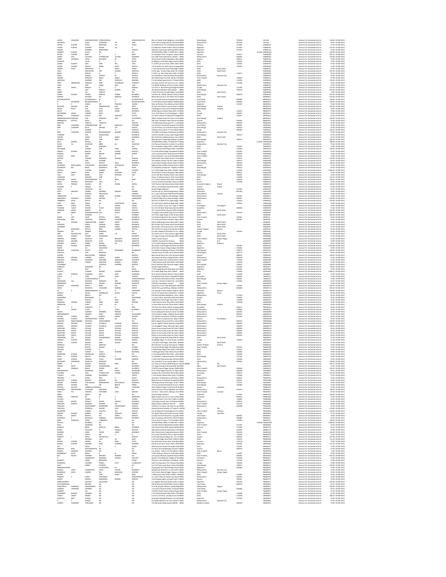| JADAS                                                                                                                                                                                                                                                                                                                                                                                                                                                                                 | CHANDRA                  | MUKHOPADE                            | YAY LTNILKHANTHA<br>.<br>Banwari |                           | MUKHOPADHYAY<br>JAIN<br>KOHU             | 89.m.m.feeder Road, Beleharia, CalculNDIA                                                                                                                                                                                                                                                                                                                                                                     | West Beneal<br>Maharashtra<br>Haryana             |                            | 700056<br>401102<br>121002 | 24116A                                                      | Amount for Unclaimed and Uni                                                                                                                                                                                    | 150.00 10-SEP-2011                                                                                                                                                                                                                                                                                                                                                                                                                                                                                                                                                                                                                                                                                  |
|---------------------------------------------------------------------------------------------------------------------------------------------------------------------------------------------------------------------------------------------------------------------------------------------------------------------------------------------------------------------------------------------------------------------------------------------------------------------------------------|--------------------------|--------------------------------------|----------------------------------|---------------------------|------------------------------------------|---------------------------------------------------------------------------------------------------------------------------------------------------------------------------------------------------------------------------------------------------------------------------------------------------------------------------------------------------------------------------------------------------------------|---------------------------------------------------|----------------------------|----------------------------|-------------------------------------------------------------|-----------------------------------------------------------------------------------------------------------------------------------------------------------------------------------------------------------------|-----------------------------------------------------------------------------------------------------------------------------------------------------------------------------------------------------------------------------------------------------------------------------------------------------------------------------------------------------------------------------------------------------------------------------------------------------------------------------------------------------------------------------------------------------------------------------------------------------------------------------------------------------------------------------------------------------|
| NATHMAL<br>ASHOK<br>ASHOK                                                                                                                                                                                                                                                                                                                                                                                                                                                             | KUMAR                    | CIAIN<br>KOHLI<br>SOMANI             | BATAN                            | ua<br>Ua                  |                                          | Kaveri Sharti Nagar,flat No 104 BuildiNDIA<br>H.no.856,sector-19, Faridabad,flaayaiNDIA<br>C/o Bhilwara Textile Traders Patch ArrNDIA                                                                                                                                                                                                                                                                         | tajasthan                                         |                            | 311001                     | 24233A<br>A0000013<br>A0000105                              | Amount for Unclaimed and University<br>Amount for Unclaimed and University<br>Amount for Unclaimed and University                                                                                               | 48.50 10:56P-2011<br>37.50 10:56P-2011<br>237.00 10:56P-2011                                                                                                                                                                                                                                                                                                                                                                                                                                                                                                                                                                                                                                        |
| ANAND<br>AMARIT<br>AFTAB                                                                                                                                                                                                                                                                                                                                                                                                                                                              | KUMAR<br>AHMAD           | SHARMA<br>DATTA<br><b>BHAT</b>       | MISHARMA<br>NA                   |                           | SERVICE<br>NA.<br>BHAT                   | Rajasthan Spinning & Weaving Mills UNDIA<br>26 INDUSTRIAL AREA, P O BOX NO 17INDIA                                                                                                                                                                                                                                                                                                                            | Rajasthan<br>Rajasthan                            |                            | 311021<br>122017           | A0000110<br>311001 A00002011<br>A0000208                    | Amount for Unclaimed and Un<br>Amount for Unclaimed and Uni<br>Amount for Unclaimed and Uni                                                                                                                     | 75.00 10-SEP-2011<br>450.00 10-SEP-2011<br>441.75 10-SEP-2011                                                                                                                                                                                                                                                                                                                                                                                                                                                                                                                                                                                                                                       |
| ARIAN<br>AMRIT                                                                                                                                                                                                                                                                                                                                                                                                                                                                        | DAS<br>GOVINDI           | CGULAN<br>PATEL                      | CHHABLORS<br>GOVINDJI            | GULANI                    | BUSINESS<br>PATEL                        |                                                                                                                                                                                                                                                                                                                                                                                                               | Haryana<br>Maharashti<br>Gujarat                  |                            | 400050<br>390011           | A0000230<br>A0000252                                        | Amount for Unclaimed and University<br>Amount for Unclaimed and Un                                                                                                                                              | 225.00 10-SEP-2011<br>75.00 10-SEP-2011                                                                                                                                                                                                                                                                                                                                                                                                                                                                                                                                                                                                                                                             |
| AVINASH<br>ASHOK                                                                                                                                                                                                                                                                                                                                                                                                                                                                      |                          | KALIR                                |                                  |                           | SETHI                                    | 20 Inuolainen Wiley, Purauon Antoinen<br>19 India – Alexandri Santon, Haryana Nichola<br>19 Santawali Society Marylalayer Baroshibik<br>19 Santawali Society Marylalayer Baroshibik<br>19 Santawali Society Marylalayer Baroshibik<br>19 Sant                                                                                                                                                                 | Delhi<br>Delhi                                    |                            | 110041                     | A0000289                                                    | Amount for Unclaimed and Un<br>Amount for Unclaimed and Un                                                                                                                                                      | 75.00 10-SEP-2011<br>75.00 10-SEP-2011                                                                                                                                                                                                                                                                                                                                                                                                                                                                                                                                                                                                                                                              |
| ASHOR                                                                                                                                                                                                                                                                                                                                                                                                                                                                                 | KUMAR<br>KUMAR           | JAIN<br>MEHTA                        | PREM                             | PA<br>NATH                | JAIN<br>MEHTA                            | V & Po Nahar Pur Distt Yamuna NasalNDIA                                                                                                                                                                                                                                                                                                                                                                       | Haryana                                           |                            | 110053<br>135001           | A0000336<br>A0000349                                        | Amount for Unclaimed and Uni                                                                                                                                                                                    | 75.00 10-SEP-2011                                                                                                                                                                                                                                                                                                                                                                                                                                                                                                                                                                                                                                                                                   |
| ANOCE<br>ANJU                                                                                                                                                                                                                                                                                                                                                                                                                                                                         | KALIR                    | <b>NANHOTRA</b><br>MALHOTRA          | <b>OM</b>                        | JAGET<br>KUMAR            | SINGH<br><b>SERVICES</b><br>.<br>Nitula  | C-135 Nanak Pura South Moti Bash NNDIA<br>D-150 Alay Encleve New Delhi-18 DINDIA                                                                                                                                                                                                                                                                                                                              | Delhi<br>Delhi                                    | North Delh<br>North Delhi  |                            | A0000357<br>A0000386<br>A0000395                            | Amount for Unclaimed and Un<br>Amount for Unclaimed and Un                                                                                                                                                      | 75.00 10-SEP-2011<br>955 50 10-5E0-2011                                                                                                                                                                                                                                                                                                                                                                                                                                                                                                                                                                                                                                                             |
| ARUN<br>ASHA<br>ANAND                                                                                                                                                                                                                                                                                                                                                                                                                                                                 |                          | NIKULA<br>NANALI<br>PRAKASH          | ARVIND<br>NAKU                   | M<br>SINGH                | NAVALE<br>SERVICE                        | C-139,m.i.g. Flat, Saket New Delhi 11INDIA<br>52 Indradhanu H M Patel Road ShivajiNDIA<br>M/s Nakli Singh Tea Stall Old Bus StarNDIA                                                                                                                                                                                                                                                                          | Delhi<br>Maharashtra                              | Mumbai City                | 110017                     | A0000401<br>A0000412                                        | Amount for Unclaimed and Un<br>Amount for Unclaimed and Un<br>Amount for Unclaimed and Un                                                                                                                       | 43.50 10-SEP-2011<br>75.00 10-SEP-2011<br>75.00 10-SEP-2011                                                                                                                                                                                                                                                                                                                                                                                                                                                                                                                                                                                                                                         |
| ARCHANA                                                                                                                                                                                                                                                                                                                                                                                                                                                                               |                          | SHARMA                               | OM                               | PRAKASH                   | SHARMA                                   | F-6, mitradeep Apartments I P Extensi/NDIA                                                                                                                                                                                                                                                                                                                                                                    | <b>Uttar Prades</b><br>Delhi                      |                            | 249407<br>110092           | A0000434                                                    | Amount for Unclaimed and Un                                                                                                                                                                                     | 150.00 10-SEP-2011                                                                                                                                                                                                                                                                                                                                                                                                                                                                                                                                                                                                                                                                                  |
| MISS<br>ASHA                                                                                                                                                                                                                                                                                                                                                                                                                                                                          | ARADHANA                 | SARAOGI<br><b>JAIN</b>               | SHRI<br>SURAJ                    | VSSARADG<br>MAL.          | STUDENT<br><b>JAIN</b>                   | $\begin{array}{l} C\langle \mathbf{c} \vert \, \mathbf{b} \, \mathbf{b} \, \mathbf{a} \, \mathbf{c} \, \mathbf{b} \, \mathbf{b} \, \mathbf{c} \, \mathbf{b} \, \mathbf{b} \, \mathbf{c} \, \mathbf{b} \, \mathbf{b} \, \mathbf{c} \, \mathbf{b} \, \mathbf{c} \, \mathbf{b} \, \mathbf{b} \, \mathbf{c} \, \mathbf{b} \, \mathbf{c} \, \mathbf{b} \, \mathbf{b} \, \mathbf{c} \, \mathbf{c} \, \mathbf{b} \,$ | Delhi<br>Maharashtra                              | Mumbai City                | 110048                     | A0000467<br>A0000476                                        | Amount for Unclaimed and Uni<br>Amount for Unclaimed and Un                                                                                                                                                     | 75.00 10-SEP-2011<br>55.50 10-SEP-2011                                                                                                                                                                                                                                                                                                                                                                                                                                                                                                                                                                                                                                                              |
| MIS<br>ANJU                                                                                                                                                                                                                                                                                                                                                                                                                                                                           | AMA                      | BANSAL                               | PARFULL                          | KUMAF                     | BANSAL                                   |                                                                                                                                                                                                                                                                                                                                                                                                               | Punjab<br>West Bengal                             |                            | 151505<br>700013           | A0000484<br>A0000550                                        | Amount for Unclaimed and Un                                                                                                                                                                                     | 112.50 10-SEP-2011<br>225.00 10-SEP-2011                                                                                                                                                                                                                                                                                                                                                                                                                                                                                                                                                                                                                                                            |
| AMRI<br><b>ASHOK</b>                                                                                                                                                                                                                                                                                                                                                                                                                                                                  | KUMAR                    | jain<br>Lal<br>VERMA                 | SERVICE<br><b>RAMLAL</b>         | VERMA                     | JAIN<br>NA<br><b>BUSINESS</b>            | Jain Bhawan Baradari Muradabad — INDIA<br>F-360 Street No 23 Sadh Nagar Ii <sub>d</sub> palaINDIA<br>Post Box No. 49350, Nairobi, Kenya KINDIA                                                                                                                                                                                                                                                                | West Bengal                                       | North Delh                 | 700013                     | A0000601<br>A0002016                                        | Amount for Unclaimed and Un<br>Amount for Unclaimed and Un<br>Amount for Unclaimed and Un                                                                                                                       | 6.00 10-SEP-2011<br>375.00 10-SEP-2011                                                                                                                                                                                                                                                                                                                                                                                                                                                                                                                                                                                                                                                              |
| <b>BHARAT</b><br><b>BALAMURUGES</b>                                                                                                                                                                                                                                                                                                                                                                                                                                                   |                          | BHUSAN<br>KULANDAVELU                | $\mathbf{M}$                     | MAHESH                    | <b>BUSINESS</b><br>KULANDAVELO           | Bharat Bhusan & Co 107 Rohit House INDIA<br>No 1e Gandhi Avenue Ganzadeeswar/NDIA                                                                                                                                                                                                                                                                                                                             | Delhi<br>Tamil Nady                               | North Delh                 | 600084                     | B0000015<br>80000242                                        | Amount for Unclaimed and Uni<br>Amount for Unclaimed and Un                                                                                                                                                     | 375.00 10-SEP-2011<br>150.00.10/99-2011                                                                                                                                                                                                                                                                                                                                                                                                                                                                                                                                                                                                                                                             |
|                                                                                                                                                                                                                                                                                                                                                                                                                                                                                       | KALAMAN                  | BALAMURUGE                           | śN                               |                           | BALAMURUGES                              |                                                                                                                                                                                                                                                                                                                                                                                                               |                                                   |                            | sooon<br>32100             | B0000251<br>B0000256                                        |                                                                                                                                                                                                                 | 150.00 10-SEP-2011                                                                                                                                                                                                                                                                                                                                                                                                                                                                                                                                                                                                                                                                                  |
| вюнтки                                                                                                                                                                                                                                                                                                                                                                                                                                                                                | MOHAN                    | KAR                                  |                                  | RAKASH<br>KAR             | RETO                                     | At all annual Pressure Components (FICO)<br>Near Lal Nishan Press Mathura Gate BNDIA<br>10, Ram Hari Mistry Lane Ist Floor CalNDIA<br>10, Ram Hari Mistry Lane Ist Floor CalNDIA                                                                                                                                                                                                                              | Tamil Nadu<br>Rajasthan<br>West Bengal            | Collisità                  |                            | 80000276                                                    | Amount for Unclaimed and University<br>Amount for Unclaimed and University<br>Amount for Unclaimed and University                                                                                               | 75.00 10-SEP-2011<br>75.00 10-SEP-2011<br>162.00 10-SEP-2011                                                                                                                                                                                                                                                                                                                                                                                                                                                                                                                                                                                                                                        |
| <b>BISWA</b><br>BALIT                                                                                                                                                                                                                                                                                                                                                                                                                                                                 | NATH                     | suit<br>SINGH                        | LATE<br>DILIP                    | GDOR<br>SINGH             | MOHAN<br><b>BUSINESS</b>                 | 4 Mahajjane Pooty Lane Po BhadreswINDIA<br>J5/49a Riaguri Garden New Delhi 110NDIA                                                                                                                                                                                                                                                                                                                            | West Bengal<br>Delhi                              | Hooghly                    | 110027                     | 80000288<br>80000311                                        | Amount for Unclaimed and Un<br>Amount for Unclaimed and Un                                                                                                                                                      | 43.50 10-SEP-2011<br>75.00 10-SEP-2011                                                                                                                                                                                                                                                                                                                                                                                                                                                                                                                                                                                                                                                              |
| <b>BHUPINDER</b>                                                                                                                                                                                                                                                                                                                                                                                                                                                                      | singe<br><b>SWARDOR</b>  | CHIMNI                               | RETO<br>OM<br>HARIHAF            | PRAKASE                   | OFFIC                                    | H.no 3105 Sector 32-d Chandigarh 16NDIA                                                                                                                                                                                                                                                                                                                                                                       | Punjab                                            |                            | 160031<br>110052           | 80000315                                                    | Amount for Horlaimed and Ho                                                                                                                                                                                     | 75.00 10-SEP-2011                                                                                                                                                                                                                                                                                                                                                                                                                                                                                                                                                                                                                                                                                   |
| BISHAN<br>MRSBHAG<br>MRIABULAI                                                                                                                                                                                                                                                                                                                                                                                                                                                        | RATILAL                  | GUPTA<br>MER                         | NA                               |                           | GUPTA<br>HOUSEWIFE                       | 1110 - Joseph Brazile B-2198, shastni NagarNDIA<br>205/12 Kankaria Road Sed Floor Yol ParNDIA<br>205 Ankit Chambers Near Chanta PocNDIA<br>3 Putilbai Kapol Nivas, grd Fir S.v.roadNDIA<br>3 Putilbai Kapol Nivas, grd Fir S.v.roadNDIA                                                                                                                                                                       | PUlyev<br>Delhi<br>West Bengal                    | Kolkata                    | 395003                     | 80000316<br>80000345<br>80000361                            | Amount for Unclaimed and University<br>Amount for Unclaimed and Un                                                                                                                                              | 43.50 10-SEP-2011<br>162.00 10-SEP-2011<br>75.00 10-SEP-2011                                                                                                                                                                                                                                                                                                                                                                                                                                                                                                                                                                                                                                        |
| <b>BHAVNA</b><br>MIS                                                                                                                                                                                                                                                                                                                                                                                                                                                                  | CHANDRA                  | SHAH<br>JMÉHTA<br>KUMARKOT           | <b>IVMEHT</b><br>SRI             | NARAYAN                   | NA<br>SERVICE<br>KOTHAN                  | C/o Chandra Textiles 84 Godown StreINDIA                                                                                                                                                                                                                                                                                                                                                                      | Gujarat<br>Maharashtra<br><b>Tamil Nadu</b>       |                            | 400051<br>600001           | 80000395<br>00000001                                        | Amount for Unclaimed and Un<br>Amount for Unclaimed and Un<br>Amount for Unclaimed and Un                                                                                                                       | 12.00 10-SEP-2011<br>75.00 10-SEP-2011                                                                                                                                                                                                                                                                                                                                                                                                                                                                                                                                                                                                                                                              |
| MIS                                                                                                                                                                                                                                                                                                                                                                                                                                                                                   | CHANDRA                  | KALA<br>GEORGE                       | PRITAM                           | LAL                       | <b>HHOLD</b><br><b>IYAPPAN</b>           | CA-Sh Dritam Lal ti Gali No 9 house NNDIA<br>Chathely House Algor P O Via KallettuNDIA                                                                                                                                                                                                                                                                                                                        | West Bengal<br>Cerala                             |                            | 700013<br>680683           | 00000004<br>00000222                                        | Amount for Unclaimed and Un<br>Amount for Unclaimed and Un                                                                                                                                                      | 37.50 10-SEP-2011<br>118.50 10-SEP-2011                                                                                                                                                                                                                                                                                                                                                                                                                                                                                                                                                                                                                                                             |
| MIS                                                                                                                                                                                                                                                                                                                                                                                                                                                                                   | CHANDR                   | AGNAN                                | <b>HACWANDA</b>                  | AGNAN                     | <b>BUSINESS</b>                          |                                                                                                                                                                                                                                                                                                                                                                                                               | Maharashtra                                       | Mumbai City                |                            | 00000298                                                    | Amount for Unclaimed and Un                                                                                                                                                                                     | 75.00 10-SEP-2011                                                                                                                                                                                                                                                                                                                                                                                                                                                                                                                                                                                                                                                                                   |
| DHARAM<br>DIWAN                                                                                                                                                                                                                                                                                                                                                                                                                                                                       |                          | DAS<br>SINGH                         | HASMATMAL<br>SIAI                | SINGH                     | BUSINESS<br>BUSINESS                     | Crasswy House Plust P O Via Namibilitance<br>174/4863 Parri Nagar Ghatkopar (e) BNDIA<br>122/552 Shindhi Colony Sastri Nagar JNDIA<br>M/s Perfection SilkBaaree Hou. Karol INDIA                                                                                                                                                                                                                              | West Bengal<br>Delhi                              | North Dell                 | 700013                     | 0000000<br>00000011                                         | Amount for Unclaimed and Un<br>Amount for Unclaimed and Un                                                                                                                                                      | 37.50 10-SEP-2011<br>37.50 10-SEP-2011                                                                                                                                                                                                                                                                                                                                                                                                                                                                                                                                                                                                                                                              |
| DEVILAL<br>DILIP                                                                                                                                                                                                                                                                                                                                                                                                                                                                      | KUMAR                    | BAJAJ<br><b>BATILAL</b>              | SHRI<br>NA<br>ABDE               | RAM                       | DEV<br>NA<br>DAWOOD                      | Bajaj Bhawan Pratipnagar Beawar (raj/NDIA<br>26 INDUSTRIAL AREA, P.O.BOX NO 17INDIA                                                                                                                                                                                                                                                                                                                           | West Bengal                                       |                            | 700013                     | 00000101<br>311001 000002007                                | Amount for Unclaimed and Un<br>.<br>Amount for Unclaimed and Un<br>Amount for Unclaimed and Un                                                                                                                  | 130.50 10-SEP-2011<br>180.00 10-SEP-2011                                                                                                                                                                                                                                                                                                                                                                                                                                                                                                                                                                                                                                                            |
| DAUD<br>DIMPY                                                                                                                                                                                                                                                                                                                                                                                                                                                                         | ALI.                     | DAWOOD<br>aan                        | BUSINESS                         | ALI                       |                                          | C/o Peacock Industries Limited 1-FcallNDIA<br>62 O B Jawahar Nagar Delhi 110007 BNDIA                                                                                                                                                                                                                                                                                                                         | Rajasthan<br>Maharashtra<br>Delhi                 | Mumbai City                | 110007                     | 00000204<br>00000241                                        | Amount for Unclaimed and Un                                                                                                                                                                                     | 75.00 10-SEP-2011<br>75.00 10-SEP-2011                                                                                                                                                                                                                                                                                                                                                                                                                                                                                                                                                                                                                                                              |
| DAVINDER<br>DINESH                                                                                                                                                                                                                                                                                                                                                                                                                                                                    | KUMAR                    | KUMAI<br>BHATIA                      | shri<br>Lal                      | gian<br>Chand             | NA<br>CHAND<br>SERVICE                   | 387 Ehai Parmanad Nagar Delhi-1100NDIA<br>R-7/b-28 Old Raj Nagar Ghaziabad 20INDIA                                                                                                                                                                                                                                                                                                                            | Delhi<br>Uttar Pradesh                            |                            | 110009<br>201002           | 00000247<br>D0000256                                        | Amount for Unclaimed and Un<br>Amount for Unclaimed and Un                                                                                                                                                      | 150.00 10-SEP-2011<br>75.00 10-SEP-2011                                                                                                                                                                                                                                                                                                                                                                                                                                                                                                                                                                                                                                                             |
| DEBASIS<br>DAULAT                                                                                                                                                                                                                                                                                                                                                                                                                                                                     | RAM                      | NANDY<br>BALI                        | BIKASH<br>ŚH                     | KUMAR                     | NANDI                                    | 121/c,manoharpukur Road Second FilMDIA<br>8-151 Rampark Loni Distt Ghaziabad INDIA                                                                                                                                                                                                                                                                                                                            | West Bengal<br>Uttar Pradesh                      |                            | 700026<br>201102           | 00000288<br>D0000313                                        | Amount for Unclaimed and Un<br>Amount for Unclaimed and Un                                                                                                                                                      | 75.00 10-SEP-2011<br>75.00 10-SEP-2011                                                                                                                                                                                                                                                                                                                                                                                                                                                                                                                                                                                                                                                              |
| DEEPAK<br><b>DIE 10</b>                                                                                                                                                                                                                                                                                                                                                                                                                                                               |                          | TEWANI                               | SHAMDAS                          | TEWAN                     | SERVICE                                  | K/99-b Dda Flats Sheikh Sarai-ii TriverINDIA                                                                                                                                                                                                                                                                                                                                                                  | Delhi                                             |                            | 110017                     | 00000331                                                    | Amount for Unclaimed and Un                                                                                                                                                                                     | 118.50 10-SEP-2011                                                                                                                                                                                                                                                                                                                                                                                                                                                                                                                                                                                                                                                                                  |
| DIL»<br>DAMJI                                                                                                                                                                                                                                                                                                                                                                                                                                                                         |                          | IAIN<br>SHIVJI                       | JETHMAL<br>SHIVAJI               | <b>BAVJI</b>              | .<br>SERVICE<br>BUSINES:                 | Veer Bharat Society Flat No.7 Block NINDIA<br>2-jamnadass Haridas Chawl Station NINDIA<br>Negional Stores Office Gujarat Electri (NDIA                                                                                                                                                                                                                                                                        | West Bengal<br>Maharashtri                        |                            | 700013                     | 00000390<br>00000398                                        | Amount for Unclaimed and Uni<br>Amount for Unclaimed and Uni<br>Amount for Unclaimed and Uni                                                                                                                    | 48.50 10:56P-2011<br>118.50 10:56P-2011<br>37.50 10:56P-2011                                                                                                                                                                                                                                                                                                                                                                                                                                                                                                                                                                                                                                        |
| <b>DALSING</b><br>DASHRATH                                                                                                                                                                                                                                                                                                                                                                                                                                                            | BHAULA<br>RAJ            | CHAUDHAR<br><b>BHAR</b>              | BHULABHA<br>DASHRATH             | CHALIDHA                  | service<br><b>BHAR</b>                   | F/o (firaidhar.h/odasrath - Raidhar.36/NDIA                                                                                                                                                                                                                                                                                                                                                                   | Gujarat<br>West Bengal                            |                            | 396424<br>700013           | 00000431<br>D0000433                                        | Amount for Unclaimed and Un                                                                                                                                                                                     | 43.50 10-SEP-2011                                                                                                                                                                                                                                                                                                                                                                                                                                                                                                                                                                                                                                                                                   |
| DEEPAK<br>GEETA                                                                                                                                                                                                                                                                                                                                                                                                                                                                       | <b>AMRT</b>              | CHOPRA<br>PATEL                      | GOBIND<br>AMRIT                  | raj<br>Ram<br>GOVINDE     | CHOPRA<br><b>PATEL</b>                   | A-11 Neeti Bagh New Delhi 110049 DNDIA                                                                                                                                                                                                                                                                                                                                                                        | Delhi<br>Guiara                                   |                            | 110049<br>390011           | 00002001<br>00000209                                        | Amount for Unclaimed and Un<br>Amount for Unclaimed and Uni                                                                                                                                                     | 1184.25 10-SEP-2011<br>25.00.10.5E0.2011                                                                                                                                                                                                                                                                                                                                                                                                                                                                                                                                                                                                                                                            |
| GITA                                                                                                                                                                                                                                                                                                                                                                                                                                                                                  | bEVI                     | BAGRI<br>GROVER                      | LATE                             | <b>IARHAN</b>             | DAS                                      | A-11 Newton Bagin Perent District District District States (1991)<br>29 Saraswali Society Manjalpar Barof NDIA<br>42 Sir Hari Ram Goerika Street Calcust NDIA<br>6 Sever Trading Company 4744 Lasmi NDIA<br>5 F-57 Vishnu Garden New Delhi                                                                                                                                                                    | West Bengal<br>Delhi<br>Delhi                     |                            | 700007<br>110006           | G0000223<br>G0000232                                        | Amount for Unclaimed and University<br>Amount for Unclaimed and Uni                                                                                                                                             | 48.50 10-SEP-2011<br>112.50 10-SEP-2011<br>118.50 10-SEP-2011                                                                                                                                                                                                                                                                                                                                                                                                                                                                                                                                                                                                                                       |
| GULSHAN                                                                                                                                                                                                                                                                                                                                                                                                                                                                               | KALRA<br>MOHAN           | <b>GULSHANK</b><br>MOHANTY           | SH<br>LATE                       | AGYA                      | <b>RAM</b>                               |                                                                                                                                                                                                                                                                                                                                                                                                               | Orissa                                            |                            | 110011<br>753000           | G0000243<br>00000262                                        | Amount for Unclaimed and Un<br>Amount for Unclaimed and Un                                                                                                                                                      | 75.00 10-SEP-2013                                                                                                                                                                                                                                                                                                                                                                                                                                                                                                                                                                                                                                                                                   |
| GOUR<br>GOPAL                                                                                                                                                                                                                                                                                                                                                                                                                                                                         | PRASAD                   | SHUKLA                               | sm                               | PURAN                     | GOPAL                                    | 1105 Pachori Gali Ghiya Mandi MathiNDIA                                                                                                                                                                                                                                                                                                                                                                       | <b>Himachal Pradesh</b>                           | Mand                       |                            | 00000272                                                    | Amount for Unclaimed and Un                                                                                                                                                                                     | 150.00 10-SEP-2011                                                                                                                                                                                                                                                                                                                                                                                                                                                                                                                                                                                                                                                                                  |
| GITABEN<br>GEETA<br>com                                                                                                                                                                                                                                                                                                                                                                                                                                                               |                          | TRIVED<br>ANVEKAR                    | NA<br>NA                         |                           | NA<br>NA                                 | <b>220 K.v. Substation Gujrat Electricity INDIA</b><br>Gandhi Naear Bhilwara (INDIA                                                                                                                                                                                                                                                                                                                           | Gujarat<br><b>Raiastha</b>                        | Valsad                     | 311001                     | 00000368<br>00002001                                        | Amount for Unclaimed and Un<br>Amount for Unclaimed and Un                                                                                                                                                      | 75.00 10-SEP-2011<br>43.50 10-SEP-2011                                                                                                                                                                                                                                                                                                                                                                                                                                                                                                                                                                                                                                                              |
|                                                                                                                                                                                                                                                                                                                                                                                                                                                                                       | KRISHN                   | SIKARIA                              | TRLOCHA                          | PRASAD                    | SIGARIA                                  | Post Box No 52, Old Exchange Road, INDIA                                                                                                                                                                                                                                                                                                                                                                      | Tharkhand<br>Uttarakhand<br>Maharashtra           |                            | 845305                     | G0002006                                                    | Amount for Unclaimed and Un                                                                                                                                                                                     | 75.00 10-SEP-2011                                                                                                                                                                                                                                                                                                                                                                                                                                                                                                                                                                                                                                                                                   |
| HEM<br>HARSHKAN<br>HIMANSHU                                                                                                                                                                                                                                                                                                                                                                                                                                                           | GOVINDI                  | SANWAL<br>DHOKA<br><b>DAWDA</b>      | NARAK<br>GOVIND                  | CHAND                     | SANWAL<br>PROFESSION<br><b>JAMNADASS</b> | Dr.s.c.joshi Villa, lower Mail Road NealNDIA<br>Laomi Sadan Topkhana Ahmednagar (NDIA<br>D-45/410 Mig Colony Ghandi Nagar BNDIA                                                                                                                                                                                                                                                                               | Maharashtra                                       |                            | 414001<br>400051           | H0000214<br>H0000215<br>H0000224                            | Amount for Unclaimed and Un<br>Amount for Unclaimed and Un<br>Amount for Unclaimed and Un                                                                                                                       | 75.00 10-SEP-2011<br>75.00 10-SEP-2011<br>225.00 10-SEP-2011                                                                                                                                                                                                                                                                                                                                                                                                                                                                                                                                                                                                                                        |
| HARMESH                                                                                                                                                                                                                                                                                                                                                                                                                                                                               | KALIR<br>RAM             | MALHI<br><b>JAMAL</b>                | NA<br>SH                         | CHINTARAN                 | NA.<br><b>JAMAL</b>                      | .<br>W/o Sh G S Malhi G-53 Lajpat Nagar -INDIA<br>29-c Rbi Colony Shalimar Bagh Delhi JNDIA                                                                                                                                                                                                                                                                                                                   | Delhi<br>Delhi                                    |                            | 110024<br>110052           | H0000242<br>H0000269                                        | Amount for Unclaimed and Uni<br>Amount for Unclaimed and Un                                                                                                                                                     | 225.00.10/99.2011<br>25.00.10.5ER.2011                                                                                                                                                                                                                                                                                                                                                                                                                                                                                                                                                                                                                                                              |
| HARI<br><b>HAKIM</b>                                                                                                                                                                                                                                                                                                                                                                                                                                                                  | SINGH                    | THING                                |                                  | <b>AMAA</b>               | singe                                    | Lt.col H.s.thind, 112.g L Ses. Type "b" INDIA                                                                                                                                                                                                                                                                                                                                                                 | Chandigarh                                        | Chandigart                 |                            | H0000288                                                    | Amount for Unclaimed and Un                                                                                                                                                                                     | 75.00 10-SEP-2011                                                                                                                                                                                                                                                                                                                                                                                                                                                                                                                                                                                                                                                                                   |
| HAVABAI<br>HARDEEP                                                                                                                                                                                                                                                                                                                                                                                                                                                                    | SINGH                    | SIWANI<br>BAKSHI                     | rusu<br>ĸ                        | KASAM<br>BAKSHI           | HOUSE<br>SERVICE                         | No 122 5th Main Road Jaymahal ExteNDIA<br>29 J, Anand Parbat Opp.post Office NINDIA                                                                                                                                                                                                                                                                                                                           | Kamataka<br>Delhi                                 | North Delh                 | 56004                      | H0000293<br>H0000319                                        | Amount for Unclaimed and Un<br>Amount for Unclaimed and Un                                                                                                                                                      | 75.00 10-SEP-2011<br>225.00 10-SEP-2011                                                                                                                                                                                                                                                                                                                                                                                                                                                                                                                                                                                                                                                             |
| HAIL                                                                                                                                                                                                                                                                                                                                                                                                                                                                                  | <b>ABDUL</b>             | KADARHAINUSUF HAII<br>SHARMA         |                                  | YUSUF                     | <b>BUSINESS</b><br>SHARMA                | C/o Bargir Automobiles Opp Civil Hos/NDIA<br>1577 Hari Singh Nalwa St No 30 KarolNDIA                                                                                                                                                                                                                                                                                                                         | Maharashtra<br>Delhi                              | North Delh                 | 416416                     | H0000367<br>10000208                                        | Amount for Unclaimed and Un<br>Amount for Unclaimed and Uni                                                                                                                                                     | 150.00 10-SEP-2011<br>150.00 10-SEP-2011                                                                                                                                                                                                                                                                                                                                                                                                                                                                                                                                                                                                                                                            |
| <b>INDER</b><br><b>SMTINGER</b>                                                                                                                                                                                                                                                                                                                                                                                                                                                       | JEET<br>BÉN<br>MOHAN     | KALIR<br><b>UPADHYA</b><br>SINGHKATA | PRITPAL<br>PRAMOD<br>HARDIT      | SINGH                     | <b>BUSINESS</b>                          | C/o Pritgal Singh Brick Kicn Owner 70NDIA                                                                                                                                                                                                                                                                                                                                                                     | Uttar Prades                                      |                            | 243001<br>39500            | 10000212<br>10000238<br>10000001                            | Amount for Unclaimed and Uni                                                                                                                                                                                    | 43.50 10-SEP-2011                                                                                                                                                                                                                                                                                                                                                                                                                                                                                                                                                                                                                                                                                   |
| SMITHUM<br>JAG<br>JASWANT                                                                                                                                                                                                                                                                                                                                                                                                                                                             |                          | SINGH                                | SDIWAN                           | CHANDRA<br>SINGH<br>SINGH | BUSINESS<br>BUSINESS<br>BUSINESS         | Corresponding to the Complex, Opp-siNDIA<br>8/2/9 Safdarjang Enclave New-delhi-INDIA<br>M/s Perfect.slik & Saree House KarolisNDIA                                                                                                                                                                                                                                                                            | Uttan<br>Gujärat<br>Delhi<br>Delhi                | North Delh<br>North Delh   |                            | 10000005                                                    | Amount for Unclaimed and Uni<br>Amount for Unclaimed and Uni<br>Amount for Unclaimed and Uni                                                                                                                    | 43.50 10-SEP-2011<br>75.00 10-SEP-2011<br>37.50 10-SEP-2011                                                                                                                                                                                                                                                                                                                                                                                                                                                                                                                                                                                                                                         |
| JOGINDER                                                                                                                                                                                                                                                                                                                                                                                                                                                                              | BHAGWAM                  | SINGH<br>MITTAL                      | SDIWAN<br>RAM                    | SINGH<br>KUMAR            | <b>BUSINESS</b><br>MITTAL                | M/s Prefect. Silk & Saree Hou. Karol BNDIA<br>36 P M Sectt Co-op.gr Housing Soc.ItdNDIA                                                                                                                                                                                                                                                                                                                       | Delhi<br>Andhra Pradesh                           | North Delhi<br>Krishna     |                            | 10000009<br>10000102                                        | Amount for Unclaimed and Un<br>Amount for Unclaimed and Un                                                                                                                                                      | 37.50 10-SEP-2011<br>75.00 10-SEP-2011                                                                                                                                                                                                                                                                                                                                                                                                                                                                                                                                                                                                                                                              |
| JAGOISH                                                                                                                                                                                                                                                                                                                                                                                                                                                                               | LAL                      | SAREEN                               | <b>BUSINESS</b>                  | u                         | NA                                       | C/o Bam Labhassa Parshotam Lal G.t HNDIA                                                                                                                                                                                                                                                                                                                                                                      | Punjab                                            |                            | 143505                     | 10000318                                                    | Amount for Horlaimed and Ho                                                                                                                                                                                     | 43.50 10-SEP-2011                                                                                                                                                                                                                                                                                                                                                                                                                                                                                                                                                                                                                                                                                   |
| MRS<br>KAWAL                                                                                                                                                                                                                                                                                                                                                                                                                                                                          | KAUSHALAYA<br>KISHAN     | .<br>ANANO                           | KUNTI<br>SADANAP                 |                           | HWIFE<br>BUSINESS                        | Co Kanti Lal 6-1, Amar Colony LajastiNDIA<br>Co Sagar Suiting And Shirting 6/90, wiNDIA<br>33/34, Chowk Kanpur MDIA<br>118/563, Kasushal Puri Kanpur MDIA                                                                                                                                                                                                                                                     | .<br>Delhi                                        | North Delhi<br>North Delhi |                            | K0000005                                                    | Amount for Unclaimed and Uni<br>Amount for Unclaimed and Uni                                                                                                                                                    | 37.50 10-SEP-2011<br>37.50 10-SEP-2011                                                                                                                                                                                                                                                                                                                                                                                                                                                                                                                                                                                                                                                              |
| KRISHNA<br>KRISHNA                                                                                                                                                                                                                                                                                                                                                                                                                                                                    | NSMAN<br>BIHARI<br>MURAR | AWASTH<br>AWASTHI                    | VUAY<br>VUAY                     | BAHADUR<br>BAHADUR        | AWASTH<br>AWASTH                         |                                                                                                                                                                                                                                                                                                                                                                                                               | <b>Uttar Prades</b><br>Orissa                     | Kanpur Naga<br>Puri        |                            | KODDDDDE<br>K0000009                                        | Amount for Unclaimed and Un<br>Amount for Unclaimed and Un                                                                                                                                                      | 75.00 10-SEP-2011<br>75.00 10-SEP-2013                                                                                                                                                                                                                                                                                                                                                                                                                                                                                                                                                                                                                                                              |
| KRISHNA<br>KAMAL                                                                                                                                                                                                                                                                                                                                                                                                                                                                      | GOPAL<br>KUMAR           | KABRA<br>SABOO                       | BHURA<br>\$K\$4800               | LAL                       | AWASTH<br><b>BUSINESS</b>                | C/o R.s.kabra Rajendra Marg, BhilwardNDIA                                                                                                                                                                                                                                                                                                                                                                     | Rajasthan                                         | <b>Shihwara</b>            | 781001                     | K0000014<br>K0000105                                        | Amount for Unclaimed and Un<br>Amount for Unclaimed and Un                                                                                                                                                      | 59.25 10-SEP-2011<br>1125.00 10-SEP-2011                                                                                                                                                                                                                                                                                                                                                                                                                                                                                                                                                                                                                                                            |
| KEZAR<br>KRISHN.                                                                                                                                                                                                                                                                                                                                                                                                                                                                      | <b>CHANDR</b>            | ALI<br><b>GUPTA</b>                  | <b>SAIFUDDIN</b><br>LATE         | <b>BAMSARU</b>            | <b>AGARWAL</b>                           | .<br>M/s Saboo Textile Agencies Room NoINDIA<br>64 Dr Zakir Hussain Marg Udaipur RajINDIA                                                                                                                                                                                                                                                                                                                     | Raiasthan<br>West Bengal                          |                            | 313001<br>70007            | K0000205<br>K0000221                                        | Amount for Unclaimed and Un<br>Amount for Unclaimed and Un                                                                                                                                                      | 75.00 10-SEP-2011<br>225.00 10-SEP-2011                                                                                                                                                                                                                                                                                                                                                                                                                                                                                                                                                                                                                                                             |
| kantilai<br>Kumar                                                                                                                                                                                                                                                                                                                                                                                                                                                                     |                          | JAIN<br>MALLECHERI                   | BUSINESS<br>MRMANI               |                           | NA<br>SERVICE                            | ov or cases reassure weep output represent<br>C/o Radha Pustakalaya 8 Shyam CharlNDIA<br>Block No.64 Room No 1523 Ag QuartINDIA<br>Block No.64 Room No 1523 Ag QuartINDIA                                                                                                                                                                                                                                     | Chhattisgarh<br>Gujarat                           |                            | 493111<br>380016           | K0000275<br>K0000349                                        | Amount for Unclaimed and Un<br>Amount for Unclaimed and Un                                                                                                                                                      | $\begin{array}{c} 43.50\ 10\ 589\ 2011 \\ 118.50\ 10\ 589\ 2011 \end{array}$                                                                                                                                                                                                                                                                                                                                                                                                                                                                                                                                                                                                                        |
| KRISHAN<br>KESHAVA                                                                                                                                                                                                                                                                                                                                                                                                                                                                    | MOHAN<br>PRASAD          | CHOPRA<br><b>AGARWAL</b>             | SHANTI<br>MAHABI                 | SARUP<br><b>AGRAWAL</b>   | CHOPRA<br><b>BUSINESS</b>                | Jolly Board Ltd Kanjur Marg Bombay -INDIA                                                                                                                                                                                                                                                                                                                                                                     | Maharashtra<br>Uttar Pradesh                      |                            | 400078<br>273005           | K0000352<br>K0000380                                        | Amount for Unclaimed and Un                                                                                                                                                                                     | 75.00 10-SEP-2011<br>75.00 10-SEP-2011                                                                                                                                                                                                                                                                                                                                                                                                                                                                                                                                                                                                                                                              |
| KRISHNA                                                                                                                                                                                                                                                                                                                                                                                                                                                                               |                          | VARMA                                | MAHAVIR                          | PERSAD<br>SHARMA          | VARMA<br>sexvice                         | .<br>Agarwal Textiles Dom Stokist Geeta PINDIA<br>E 182 Naraina Viahr New Delhi 11002NDIA                                                                                                                                                                                                                                                                                                                     | Delhi                                             |                            | 110021<br>700013           | K0000431<br>K0000468                                        | .<br>Amount for Unclaimed and Un<br>Amount for Unclaimed and Un                                                                                                                                                 | 75.00 10-SEP-2011                                                                                                                                                                                                                                                                                                                                                                                                                                                                                                                                                                                                                                                                                   |
| KLSHARMA<br>KAMLESH<br>KUNTI                                                                                                                                                                                                                                                                                                                                                                                                                                                          |                          | BHANDAR                              | SUWALA<br>NA                     |                           | NA<br>HOLD                               | 8-310 Padmavti Apt. Narayan Nagar BNDIA                                                                                                                                                                                                                                                                                                                                                                       | West Bengal<br>Rajasthan<br>Rajasthan             |                            | 311001                     | K0000477                                                    | Amount for Unclaimed and Un<br>Amount for Unclaimed and Un                                                                                                                                                      | 150.00 10-SEP-2011<br>118.50 10-SEP-2011                                                                                                                                                                                                                                                                                                                                                                                                                                                                                                                                                                                                                                                            |
| KUSUM                                                                                                                                                                                                                                                                                                                                                                                                                                                                                 |                          | DEVI<br>CHOPRA                       | DEEPAK                           | CHOPRA                    | <b>BUSINESS</b>                          | A-11 Neeti Bagh New Dihi 110049 INDIA                                                                                                                                                                                                                                                                                                                                                                         | Delhi                                             |                            | 305001<br>110049           | K0000584<br>K0002002                                        | Amount for Unclaimed and Un<br>Amount for Unclaimed and Un                                                                                                                                                      | 12.00 10-SEP-2013<br>1184.25 10-SEP-2011                                                                                                                                                                                                                                                                                                                                                                                                                                                                                                                                                                                                                                                            |
| LAXMI<br>LESLIE                                                                                                                                                                                                                                                                                                                                                                                                                                                                       | NARYAN                   | AGARWAL<br>LEAN                      | RATI<br>JOSEPH                   | RAM<br>LEAN               | <b>AGA/tWAL</b><br>SERVICE               | M-22 Greater Kailash Market-i New DINDIA<br>84.farbella 59/9.charles Campbell RolNDIA                                                                                                                                                                                                                                                                                                                         | Delhi<br>Kamataka                                 |                            | 110048<br>560005           | 10000003<br>10000214                                        | Amount for Unclaimed and Un<br>Amount for Unclaimed and Un                                                                                                                                                      | 37.50 10-SEP-2011<br>75.00 10-SEP-2011                                                                                                                                                                                                                                                                                                                                                                                                                                                                                                                                                                                                                                                              |
| LILA<br>MANOHAI                                                                                                                                                                                                                                                                                                                                                                                                                                                                       | LAL                      | ihunjhuny<br>Mukhija                 | HARDAS                           | мı                        | <b>HUNGHRA</b><br><b>BUSINESS</b>        | C/o Birendra International 40/4, StranNDIA<br>Lane No.1 Flat No.23 Dda Flats ,madaNDIA                                                                                                                                                                                                                                                                                                                        | West Bengal<br>Delhi<br>Uttar Pradesh             |                            | 700001<br>110062           | L0000216<br>M00000                                          | Amount for Unclaimed and University<br>Amount for Unclaimed and University<br>Amount for Unclaimed and University                                                                                               | 75.00 10-SEP-2011<br>37.50 10-SEP-2011<br>75.00 10-SEP-2011                                                                                                                                                                                                                                                                                                                                                                                                                                                                                                                                                                                                                                         |
| MISMEENA<br>MUNISH                                                                                                                                                                                                                                                                                                                                                                                                                                                                    | CHANDRA                  | AWASTHI<br><b>GUPTA</b>              | KISHAN<br>BABU                   | MURAR<br>LAL              | AWASTHI<br><b>GUPTA</b>                  | 118/563, Kaushalpuri Kenpur MDIA<br>House No C-i/31 Tilak Marg New DellNDIA                                                                                                                                                                                                                                                                                                                                   | Delhi                                             | Kanpur Naga                | 110001                     | M0000010<br>M0000104                                        | Amount for Unclaimed and Un                                                                                                                                                                                     | 355.50 10-SEP-2011                                                                                                                                                                                                                                                                                                                                                                                                                                                                                                                                                                                                                                                                                  |
| MAYA                                                                                                                                                                                                                                                                                                                                                                                                                                                                                  | A                        | MUNDRA<br><b>NAMESHHEGADE</b>        | LAKSHAM<br>M                     | NARAIN                    | HWIFE<br>APPMUNA                         | 50,hill Park,a.g.bell Marg, Malabar HillNDIA<br>C/o Sahvadri Service Station Balarai UNDIA                                                                                                                                                                                                                                                                                                                    | Maharashtra<br>Kamataka                           | Myson                      | 400006                     | M0000113<br>M0000217                                        | Amount for Unclaimed and Un<br>Amount for Unclaimed and Uni                                                                                                                                                     | 355.50 10-SEP-2011<br>162.00 10-SEP-2011                                                                                                                                                                                                                                                                                                                                                                                                                                                                                                                                                                                                                                                            |
| MANGU<br>MANJU                                                                                                                                                                                                                                                                                                                                                                                                                                                                        |                          | GOYAL<br>MEHTA                       |                                  | GOYAL                     | HOUSE<br>NA                              |                                                                                                                                                                                                                                                                                                                                                                                                               | .<br>Najasthan<br>Maharashtri                     |                            | 411025                     | M0000253                                                    | Amount for Unclaimed and University<br>Amount for Unclaimed and Uni                                                                                                                                             | 43.50 10-SEP-2011<br>43.50 10-SEP-2011                                                                                                                                                                                                                                                                                                                                                                                                                                                                                                                                                                                                                                                              |
| MANORMA<br>MANJIT                                                                                                                                                                                                                                                                                                                                                                                                                                                                     |                          | MOHINDRA<br>NARULA                   |                                  | M<br>SANT                 | MOHINDI<br>RAM                           | C/o Dr H K Goyal Govt Hospital P.o. AINDIA<br>8-4/304, mahadkar Nesidency, 303/c, ANDIA<br>8-4/304, mahadkar Nesidency, 303/c, ANDIA<br>8-28/68 West Patel Nagar New Delhi 33NDIA                                                                                                                                                                                                                             | Punjab<br>Delhi                                   |                            | 146001<br>110008           | M0000332                                                    | Amount for Unclaimed and Un<br>Amount for Unclaimed and Un                                                                                                                                                      | 43.50 10-SEP-2011                                                                                                                                                                                                                                                                                                                                                                                                                                                                                                                                                                                                                                                                                   |
| MAHAVIR                                                                                                                                                                                                                                                                                                                                                                                                                                                                               | PRASAD                   | <b>AMBAV</b>                         | PARS                             | RAM                       | RETIRED                                  | E 182 Naraina Vihar New Delhi 11002NDIA                                                                                                                                                                                                                                                                                                                                                                       | Delhi                                             |                            | 110028                     | M0000341<br>M0000368                                        | Amount for Unclaimed and Un                                                                                                                                                                                     | 75.00 10-SEP-2013<br>75.00 10-SEP-2011                                                                                                                                                                                                                                                                                                                                                                                                                                                                                                                                                                                                                                                              |
| MANSOOR                                                                                                                                                                                                                                                                                                                                                                                                                                                                               |                          | SHAFI<br>UMADEV                      | LATE                             | M                         | <b>RAO</b>                               | 12 Harin Bari 2nd Lane Thana Mali CalNDIA<br>750 334 Cross Board to Monik Taxangeatta Dia                                                                                                                                                                                                                                                                                                                     | West Bengal<br>Kamataka                           | Kolkata                    | 560011                     | M0000391<br>M0000423                                        | Amount for Unclaimed and Un<br>Amount for Unclaimed and Un                                                                                                                                                      | 43.50 10-SEP-2011<br>43.50 10-SEP-2011                                                                                                                                                                                                                                                                                                                                                                                                                                                                                                                                                                                                                                                              |
| MUKTA                                                                                                                                                                                                                                                                                                                                                                                                                                                                                 | ZAHUI                    | <b>ELAHI</b><br>SHARMA<br>FRANCIS    | <b>DWARIKA</b>                   | -<br>ILLAHI<br>FRANCE     | <b>BUSINESS</b>                          | Prop National Furniture Works Opp NNDIA<br>No.15,baidyanath Hermes Center SecINDIA<br>14/14,sharkar Nagar, Wadala, BombiNDIA                                                                                                                                                                                                                                                                                  | Maharashtra                                       |                            | 400064<br>40070            | M0000423                                                    | Amount for Unclaimed and Un                                                                                                                                                                                     | 75.00 10-SEP-2011<br>43.50 10-SEP-2011                                                                                                                                                                                                                                                                                                                                                                                                                                                                                                                                                                                                                                                              |
| MISMARC<br>MILIND                                                                                                                                                                                                                                                                                                                                                                                                                                                                     | SURESH                   | ARAS                                 | JOHN<br>SURESH                   | GARAS                     | H<br>HOUSEWIFI<br>SERVICE                | C/o Prakem Investments 1249.deccarINDIA                                                                                                                                                                                                                                                                                                                                                                       | Maharashtra<br>Maharashtra<br>Maharashtra         |                            | 400031<br>411004           | M0000489<br>M0000510<br>M0000543                            | Amount for Unclaimed and Un<br>Amount for Unclaimed and Un<br>Amount for Unclaimed and Un                                                                                                                       | 75.00 10-SEP-2011<br>43.50 10-SEP-2011                                                                                                                                                                                                                                                                                                                                                                                                                                                                                                                                                                                                                                                              |
| MAHESH                                                                                                                                                                                                                                                                                                                                                                                                                                                                                | KUMAR                    | <b>SWARLALPATEL</b>                  | <b>ISWAR</b>                     | ue.                       | PATEL                                    | C/O Prakem Investments 1249, decoration<br>18 September 2021<br>18/11, appelo House, 2nd Floor, MumiNDIA<br>10 September 2021<br>19 September 2021<br>10 C/o Sh. jagdish Talwar Advocate High INDIA<br>Nutan Co-op Society Kapri Rd. Near CINDIA                                                                                                                                                              | .<br>Gujarat<br>Maharashtra                       | Ahmedahad                  |                            | M0000566                                                    | Amount for Unclaimed and Uni                                                                                                                                                                                    | 37.50 10-SEP-2011                                                                                                                                                                                                                                                                                                                                                                                                                                                                                                                                                                                                                                                                                   |
| MADHAV<br>MADAN                                                                                                                                                                                                                                                                                                                                                                                                                                                                       | <b>BAMCHAN</b><br>MOHAN  | <b>GOKHALE</b><br>.<br>TALWA8        | <b>RAMCHANDRA</b><br>CHUNILA     | TALWA                     | SERVICE                                  |                                                                                                                                                                                                                                                                                                                                                                                                               | Maharashtra                                       |                            | 400023<br>40000            | M000058<br>MODDSR                                           | Amount for Unclaimed and Uni<br>Amount for Unclaimed and Un                                                                                                                                                     | 150.00 10-SEP-2011<br>118.50 10-SEP-2011                                                                                                                                                                                                                                                                                                                                                                                                                                                                                                                                                                                                                                                            |
| MADAN<br>MADHURI                                                                                                                                                                                                                                                                                                                                                                                                                                                                      | MOHAN<br>GOPAL           | TALWAR<br>PATHAK                     | CHUNILAL<br>GOPAL                | TALWAN<br>PATHAK          | SERVICE<br>SERVICE                       |                                                                                                                                                                                                                                                                                                                                                                                                               | Maharashtra<br>Maharashtra                        |                            | 400003<br>400692           | M000059<br>M0000613                                         | Amount for Unclaimed and Un<br>Amount for Unclaimed and Un                                                                                                                                                      | 118.50 10-SEP-2011<br>43.50 10-SEP-2011                                                                                                                                                                                                                                                                                                                                                                                                                                                                                                                                                                                                                                                             |
| MADHURI<br>MADHURI                                                                                                                                                                                                                                                                                                                                                                                                                                                                    | GOPAL<br>GOPAL           | PATHAK<br>PATHAK                     | GOPAL<br>GOPAL                   | PATHAK<br>PATHAI          | SERVICE<br>SERVICE                       | Nutan Co-op Society Kapri Rd. Near DINDIA<br>Nutan Co-co Society Kapri Rd. Near DINDIA                                                                                                                                                                                                                                                                                                                        | Maharashtra<br>Maharashtra                        |                            | 400692<br>400692           | M0000614<br>M0000615                                        | Amount for Unclaimed and Un<br>Amount for Unclaimed and Uni                                                                                                                                                     | 43.50 10-SEP-2011<br>43.50 10-SEP-2011                                                                                                                                                                                                                                                                                                                                                                                                                                                                                                                                                                                                                                                              |
| <b>MADHURI</b><br><b>VARENDE</b>                                                                                                                                                                                                                                                                                                                                                                                                                                                      | GOPAL                    | PATHAK                               | <b>GOPAL</b>                     | PATHAK<br><b>MANC</b>     | SERVICE<br><b>BUSINESS</b>               | Nutan Co-co Society Kapri Rd. Near DINDIA                                                                                                                                                                                                                                                                                                                                                                     | Maharashtra                                       | North Delt                 | 400692                     | M0000616<br>vooronu                                         | Amount for Unclaimed and Uni                                                                                                                                                                                    | 43.50 10-SEP-2011                                                                                                                                                                                                                                                                                                                                                                                                                                                                                                                                                                                                                                                                                   |
| NARESH<br>NARESH<br>NAVIN                                                                                                                                                                                                                                                                                                                                                                                                                                                             | PAL<br>KUMAR             | ANANO<br>NANDA                       | SHSADAI<br>SHSADAI<br>HARI       | BAKAS                     | <b>NAND</b><br>ANAND                     | Nutan Co-op Society Kaper Rd. Near LINDIA<br>C/o Sagar Suiting & Shirting 6/80 W.HNDIA<br>19,dibagh Nagar, P.o.basti Guzan, JailNDIA<br>17/S,west Patel Nagar, New Delhi DelNDIA                                                                                                                                                                                                                              | Delhi<br>Punjab                                   |                            | 144002                     | nonono                                                      | Amount for Unclaimed and University<br>Amount for Unclaimed and University<br>Amount for Unclaimed and University                                                                                               | 37.50 10-SEP-2011<br>37.50 10-SEP-2011<br>37.50 10-SEP-2011                                                                                                                                                                                                                                                                                                                                                                                                                                                                                                                                                                                                                                         |
| NIRMALA                                                                                                                                                                                                                                                                                                                                                                                                                                                                               | KUMAR                    | <b>ANANO</b><br>MITTAL               | <b>JEMITTAL</b>                  | KISHAN                    | NA.                                      | 36 P M Sectt. Co-op.gr Housing Soc. ISINDIA                                                                                                                                                                                                                                                                                                                                                                   | Delhi<br>Andhra Pradesh                           | North Delh<br>Krishna      |                            | N0000003<br>N0000106                                        | Amount for Unclaimed and Un                                                                                                                                                                                     | 75.00 10-SEP-2011                                                                                                                                                                                                                                                                                                                                                                                                                                                                                                                                                                                                                                                                                   |
| NEELAM<br>NEELAM                                                                                                                                                                                                                                                                                                                                                                                                                                                                      |                          | BHATIA<br>CHOPRA                     | DINESH<br>b.                     |                           | KUMAR<br>CHOPRA                          | R-7/b-28 Old Rai Nagar Ghaziabad (udNDIA                                                                                                                                                                                                                                                                                                                                                                      | Uttar Pradesh<br>Delhi                            |                            | 201002<br>110023           | N0000208<br>N0000216                                        | Amount for Unclaimed and Un<br>Amount for Unclaimed and Uni                                                                                                                                                     | 75.00 10-SEP-2011<br>25.00.10.993.2011                                                                                                                                                                                                                                                                                                                                                                                                                                                                                                                                                                                                                                                              |
| <b>IAND</b>                                                                                                                                                                                                                                                                                                                                                                                                                                                                           |                          |                                      | <b>JUGAL</b><br>SERVICE          | <b>ISHON</b>              |                                          | F-2590 Netaji Nagar New Delhi 11003NDIA<br>V-2287 gali Pahar Wali Kallan DharanNDIA<br>E-132 Masjid Moth New Delhi 11004NDIA                                                                                                                                                                                                                                                                                  |                                                   |                            |                            |                                                             | .<br>Amount for Unclaimed and Un<br>Amount for Unclaimed and Un                                                                                                                                                 | 75.00 10-SEP-2011<br>75.00 10-SEP-2011                                                                                                                                                                                                                                                                                                                                                                                                                                                                                                                                                                                                                                                              |
| NITIN<br>NAND                                                                                                                                                                                                                                                                                                                                                                                                                                                                         | KUMAR<br>KUMAR           | MEHTA<br>SINGHAI                     | DHIRAIL<br>JUGAL                 | KISHOR                    | MEHTA<br>SINGHAL                         | C/o Mahabir Trading Company 103 CINDIA<br>V 2287 Gali Paharwali Kallan Dharam/NDIA                                                                                                                                                                                                                                                                                                                            | West Bengal<br>Delhi                              |                            | 721301<br>11000            | N0000272<br>N0000282                                        | Amount for Unclaimed and Un<br>Amount for Unclaimed and Un                                                                                                                                                      | 75.00 10-SEP-2011<br>75.00 10-SEP-2011                                                                                                                                                                                                                                                                                                                                                                                                                                                                                                                                                                                                                                                              |
| NEELKANT<br>NANK                                                                                                                                                                                                                                                                                                                                                                                                                                                                      | <b>JANARDAN</b>          | GANPULE<br>BHAGIA                    | <b>BUSINESS</b><br>SHEWAK        | <b>BAM</b>                | NA.<br><b>BHAGIA</b>                     | A/3,nankvihar Co.op.society Near Dr.(NDIA<br>C/o Aramco Po Box 11008 Dhahran 3SAUDI ARABIA                                                                                                                                                                                                                                                                                                                    | Maharashtra<br>NA.                                | NA                         | 400602                     | N0000446<br>N0002013                                        | Amount for Unclaimed and Un<br>Amount for Unclaimed and Un                                                                                                                                                      | 150.00 10-SEP-2011<br>991.75.10.993.2011                                                                                                                                                                                                                                                                                                                                                                                                                                                                                                                                                                                                                                                            |
| ONKAR                                                                                                                                                                                                                                                                                                                                                                                                                                                                                 | NATH<br>PRAKASH          | <b>ANAND</b><br>MALIK                | SHSADANAND<br>TOPAN              | DAS                       | <b>BUSINESS</b><br><b>RUSINESS</b>       | C/o Sagar Suiting & Shirting 6/90 WeINDIA                                                                                                                                                                                                                                                                                                                                                                     | Delhi<br>Uttar Pradesh                            | North Delh                 | 208003                     | 00000002<br>00000215                                        | Amount for Unclaimed and Un                                                                                                                                                                                     | 37.50 10-SEP-2011<br>355.50 10-SEP-2011                                                                                                                                                                                                                                                                                                                                                                                                                                                                                                                                                                                                                                                             |
| MISSPRAMIL                                                                                                                                                                                                                                                                                                                                                                                                                                                                            |                          | BHANDAR                              | SHER<br>LTSHRATTAN               | SINGH<br>CHAND            | BHANDAR<br>BUSINESS                      | 37/270 Acharya Nagar Kanpur 20800INDIA<br>67-a, Vithal Nagar Road No.12 Jupi SINDIA<br>Vandana No.21,9th Main Rd 4th BlocINDIA                                                                                                                                                                                                                                                                                | Maharashtra<br>Kamataka                           |                            | 400049                     | P0000009<br>P0000017                                        | Amount for Unclaimed and University<br>Amount for Unclaimed and University<br>Amount for Unclaimed and University                                                                                               | 59.25 10-SEP-2011<br>112.50 10-SEP-2011                                                                                                                                                                                                                                                                                                                                                                                                                                                                                                                                                                                                                                                             |
| PUKHRAJ<br>PUSHPA                                                                                                                                                                                                                                                                                                                                                                                                                                                                     | LATA                     | JAIN<br>SHARMA                       | SISHARMA                         |                           | HWIFE                                    | C-174 Greater Kailash New Delhi 110 INDIA                                                                                                                                                                                                                                                                                                                                                                     | Delhi                                             |                            | 560011<br>110048           | P0000021                                                    | Amount for Unclaimed and Uni                                                                                                                                                                                    | 37.50 10-SEP-2011                                                                                                                                                                                                                                                                                                                                                                                                                                                                                                                                                                                                                                                                                   |
|                                                                                                                                                                                                                                                                                                                                                                                                                                                                                       | KUMAR                    | DOSHI<br>BAWEIA                      | <b>ANIL</b><br>ROSHAN            | LAL                       | DOSHI<br>BAWEIA                          | 26 Amita J B Marg Near Sachivalaya BNDIA<br>Baba Electronics Subhash Chowk RataNDIA                                                                                                                                                                                                                                                                                                                           | Maharashtra<br>Raiasthan                          |                            | 400021<br>342001           | P0000245<br>P0000288                                        | Amount for Unclaimed and Uni<br>Amount for Unclaimed and Un                                                                                                                                                     | 75.00 10-SEP-2011<br>43.50 10-SEP-2011                                                                                                                                                                                                                                                                                                                                                                                                                                                                                                                                                                                                                                                              |
|                                                                                                                                                                                                                                                                                                                                                                                                                                                                                       | KUMAR                    | CHETLANGI<br>RAY                     | BANSHIDE                         | CHETLANGIA                | BUSINESS                                 | Chetlangia House Krishnagar (w.B.) 74NDIA<br>7/3 K.b.sarani(mail Road) Dum-dum ONDIA<br>10/2 Sadhana Nagar Society Kareli BalNDIA                                                                                                                                                                                                                                                                             | West Bengal<br>West Bengal                        |                            | 74110<br>700080            | P0000296<br>P0000308                                        | Amount for Unclaimed and Un                                                                                                                                                                                     | 75.00 10-SEP-2011<br>75.00 10-SEP-2011                                                                                                                                                                                                                                                                                                                                                                                                                                                                                                                                                                                                                                                              |
|                                                                                                                                                                                                                                                                                                                                                                                                                                                                                       |                          | <b>FULFAGER</b>                      | ßН<br>PRATIBIN                   | BENOY<br>BHAL             | KRIMY<br>CHANDRA<br>NA.                  | Shree Provision Stores Rajabazar AuralNDIA                                                                                                                                                                                                                                                                                                                                                                    | Gujarat<br>Maharashtra                            |                            | 431001                     | P0000319<br>P0000361                                        | Amount for Unclaimed and Un<br>Amount for Unclaimed and Un<br>Amount for Unclaimed and Un                                                                                                                       | 75.00 10-SEP-2011<br>118.50 10-SEP-2011                                                                                                                                                                                                                                                                                                                                                                                                                                                                                                                                                                                                                                                             |
|                                                                                                                                                                                                                                                                                                                                                                                                                                                                                       | KUMAR<br>KALYAN          |                                      | SHTHAKER<br><b>NA</b>            | DASS                      | SERVICE<br>NA.                           | C/o Sh.h.r. Karla 104/1, Ballupur Cho/NDIA<br>Gandhi Nasar Bhilwara<br>INDIA                                                                                                                                                                                                                                                                                                                                  | Uttar Pradesh<br>Rajasthan                        | Varanasi                   | 311001                     | P0000362<br>P0000378                                        | Amount for Unclaimed and Un<br>Amount for Unclaimed and Uni                                                                                                                                                     | 37.50 10-SEP-2011<br>150.00.10/99-2011                                                                                                                                                                                                                                                                                                                                                                                                                                                                                                                                                                                                                                                              |
|                                                                                                                                                                                                                                                                                                                                                                                                                                                                                       | PREMOHAND<br>PAL         | GROVER                               |                                  |                           | SRINIVASA                                | Salaji Drug House Ho A S Char St BanjiNDIA<br>3 Priya Enclave I P Ext Part II Delhi 11INDIA<br>1/10 Sagar Society Newt 10 Naheja HoNDIA                                                                                                                                                                                                                                                                       | Kamataka<br>Delhi<br>Maharashtra                  |                            | 560053<br>110092           | P0000390<br>P0000408                                        | Amount for Unclaimed and University<br>Amount for Unclaimed and University<br>Amount for Unclaimed and University                                                                                               | 75.00 10-SEP-2011<br>43.50 10-SEP-2011<br>55.50 10-SEP-2011                                                                                                                                                                                                                                                                                                                                                                                                                                                                                                                                                                                                                                         |
|                                                                                                                                                                                                                                                                                                                                                                                                                                                                                       | SRINIVAS                 | SINGH                                |                                  |                           |                                          |                                                                                                                                                                                                                                                                                                                                                                                                               |                                                   |                            |                            |                                                             |                                                                                                                                                                                                                 |                                                                                                                                                                                                                                                                                                                                                                                                                                                                                                                                                                                                                                                                                                     |
|                                                                                                                                                                                                                                                                                                                                                                                                                                                                                       | <b>ASHOK</b>             | EG<br>VOHRA<br>JADHAV                | ASHOK                            | <b>JADHAV</b>             | VOHRA                                    |                                                                                                                                                                                                                                                                                                                                                                                                               |                                                   |                            | 400016                     | P0000446                                                    |                                                                                                                                                                                                                 |                                                                                                                                                                                                                                                                                                                                                                                                                                                                                                                                                                                                                                                                                                     |
|                                                                                                                                                                                                                                                                                                                                                                                                                                                                                       | KUMAR                    | SHARMA<br>DOESHPANDE                 | MUMI<br>DHIRENDRA                | LAL<br>HDESHPANDE         | SHARMA<br>SERVICE                        | Railway Bazar Haldwani 263139<br>INDIA<br>4/104,m.h.b.colony, Sai Nivas Co-op. INDIA                                                                                                                                                                                                                                                                                                                          | <b>Uttar Pradesh</b><br>Maharashtra               |                            | 263139<br>400098           | P0000486<br>P0000495                                        | Amount for Unclaimed and Un<br>Amount for Unclaimed and Un                                                                                                                                                      |                                                                                                                                                                                                                                                                                                                                                                                                                                                                                                                                                                                                                                                                                                     |
|                                                                                                                                                                                                                                                                                                                                                                                                                                                                                       |                          | DAWSON                               | WAYNE                            | <b>JUDE</b>               | DAWSON                                   |                                                                                                                                                                                                                                                                                                                                                                                                               | NA.                                               | NA                         |                            | P0002005                                                    | Amount for Unclaimed and Uni                                                                                                                                                                                    |                                                                                                                                                                                                                                                                                                                                                                                                                                                                                                                                                                                                                                                                                                     |
|                                                                                                                                                                                                                                                                                                                                                                                                                                                                                       | <b>KLIMAR</b>            | KUMAR<br>NANDA                       | SHSATYA<br>VED                   | .<br>Prakash              | SERVICE<br>NANDA                         |                                                                                                                                                                                                                                                                                                                                                                                                               |                                                   | Varanasi<br>Jalandha       |                            | R0000004<br>R0000005                                        | Amount for Unclaimed and University<br>Amount for Unclaimed and Uni                                                                                                                                             |                                                                                                                                                                                                                                                                                                                                                                                                                                                                                                                                                                                                                                                                                                     |
|                                                                                                                                                                                                                                                                                                                                                                                                                                                                                       | SINGH                    | MOHTA<br>BAHNSALI                    | evi<br>Shrama                    | SINGH<br>BHANSALI         | MOHTA                                    | 471047 m.m.o.comy, san Iwan Co-op.18104<br>12 Martin General Hospital O T Dept Po QATAR<br>C/o Sh Rajendra Prasad Agarwal ComiNDIA<br>C/o Akash Deep Cloth Store Circular RNDIA<br>ISL-C/o M/s Arvind Enterprises, 23,godosiNDIA<br>ISL-32,ja                                                                                                                                                                 | ise<br>Uttar Pradesh<br>Punjab<br>Tamil Nadu      |                            | 600001<br>400081           | R0000012<br>R0000017                                        | Amount for Unclaimed and Un<br>Amount for Unclaimed and Un                                                                                                                                                      |                                                                                                                                                                                                                                                                                                                                                                                                                                                                                                                                                                                                                                                                                                     |
|                                                                                                                                                                                                                                                                                                                                                                                                                                                                                       | NARAYAN                  | SINHA<br>BHUBHAI                     | LTRBSINHA                        |                           | NA.                                      | C/o.dr (mrs) P.s.bais.c-ii-13 President INDIA<br>26 INDUSTRIAL AREA P.O.ROX NO 17/NDIA                                                                                                                                                                                                                                                                                                                        | Delhi<br>Rajasthan                                |                            | 110004                     | R0000115<br>311001-0000200-                                 | Amount for Unclaimed and Uni<br>Amount for Unclaimed and Un                                                                                                                                                     |                                                                                                                                                                                                                                                                                                                                                                                                                                                                                                                                                                                                                                                                                                     |
|                                                                                                                                                                                                                                                                                                                                                                                                                                                                                       |                          | <b>AGARWAL</b><br>BREIA              | NA<br>NA<br>SANTLAL              | bitEsA                    | NA<br>NA<br><b>BUSINESS</b>              | C/o Ram Kishore Raiendraprasad BaralNDIA                                                                                                                                                                                                                                                                                                                                                                      | Utter Pradesh<br>Haryana                          |                            | 251201<br>121004           | R0000204<br>80000222                                        | Amount for Unclaimed and Un                                                                                                                                                                                     |                                                                                                                                                                                                                                                                                                                                                                                                                                                                                                                                                                                                                                                                                                     |
|                                                                                                                                                                                                                                                                                                                                                                                                                                                                                       |                          | DUWURI<br>GARG                       | D<br>VINOD                       | MURALI<br>GARG            | SERVICE<br>BUSINESS                      |                                                                                                                                                                                                                                                                                                                                                                                                               | Delhi<br>Uttar Pradesi                            |                            | 110092<br>283203           | R0000273<br>R0000283                                        |                                                                                                                                                                                                                 |                                                                                                                                                                                                                                                                                                                                                                                                                                                                                                                                                                                                                                                                                                     |
|                                                                                                                                                                                                                                                                                                                                                                                                                                                                                       | J.                       | <b>GUPTA</b><br>PATEL                | SR1<br><b>HAYANTILAL</b>         |                           | N<br>SERVICE                             | المستخدمات المستخدمات المستخدمات<br>Hari Chand Amar Nath Juneja JagdishiNDIA<br>W/o Vinod Kumar Garg (adv) Bazaria INDIA<br>W/o Vinod Kumar Garg (adv) Bazaria INDIA<br>A-77,south Extension, Part-ii, New DelNDIA                                                                                                                                                                                            | Delhi                                             |                            | 110049<br>380050           | R0000293<br>R0000317                                        | Amount for Unclaimed and University<br>Amount for Unclaimed and University<br>Amount for Unclaimed and University<br>Amount for Unclaimed and Uni<br>Amount for Unclaimed and Uni                               |                                                                                                                                                                                                                                                                                                                                                                                                                                                                                                                                                                                                                                                                                                     |
|                                                                                                                                                                                                                                                                                                                                                                                                                                                                                       | <b>KUMAA</b>             | KRISHAN                              | LATE                             | \$H                       | SANT                                     | 8-133 Ghanshyam Nagar Soc. On CanINDIA<br>L-107 Kirti Nagar New Delhi 110015 BNDIA                                                                                                                                                                                                                                                                                                                            | Gujarat<br>Delhi                                  |                            | 110015                     | <b>RODDO338</b>                                             | Amount for Unclaimed and Un                                                                                                                                                                                     |                                                                                                                                                                                                                                                                                                                                                                                                                                                                                                                                                                                                                                                                                                     |
|                                                                                                                                                                                                                                                                                                                                                                                                                                                                                       | KUMAR                    | ARORA                                | sH<br><b>RAN</b>                 | wм<br>CHARAS              | DITTA                                    |                                                                                                                                                                                                                                                                                                                                                                                                               | Haryana                                           |                            | 13211<br>30100             | R0000341                                                    | Amount for Unclaimed and Un                                                                                                                                                                                     |                                                                                                                                                                                                                                                                                                                                                                                                                                                                                                                                                                                                                                                                                                     |
|                                                                                                                                                                                                                                                                                                                                                                                                                                                                                       | BHA                      | SHARIMA<br>MALIK<br>MOTIBHAIPATEL    | NA                               |                           | SHARMA<br>MALIK<br>NA.                   | <b>E-207 Kint High Trew Dent 200227 STANK</b><br>Kamal Kunj Indira Colony Alwar 3010INDIA<br>38 B Hanuman Road Connaught PlaceNDIA<br>Po Vavol, Dist Gandhinagar Gujarat-SINDIA                                                                                                                                                                                                                               | Rajasthan<br>Delhi<br>Gujarat                     |                            | 110001<br>382016           | R0000385<br>R0000414<br>R0000426                            | Amount for Unclaimed and Un<br>Amount for Unclaimed and Un<br>Amount for Unclaimed and Un                                                                                                                       |                                                                                                                                                                                                                                                                                                                                                                                                                                                                                                                                                                                                                                                                                                     |
|                                                                                                                                                                                                                                                                                                                                                                                                                                                                                       | NANDAN<br>NATH           | KHANNA<br>MALIK                      | NA                               |                           | NA<br>MALIK                              | C/o United India Ins Co Ltd Station RINDIA<br>T 50/5 Railway Colony Nr Subzi MandNDIA                                                                                                                                                                                                                                                                                                                         | Uttar Pradesh<br>Delhi                            | Bijnor                     | 110007                     | R0000440<br>R0000441                                        | Amount for Unclaimed and Un<br>Amount for Unclaimed and Un                                                                                                                                                      |                                                                                                                                                                                                                                                                                                                                                                                                                                                                                                                                                                                                                                                                                                     |
|                                                                                                                                                                                                                                                                                                                                                                                                                                                                                       | NALIN                    |                                      |                                  |                           |                                          |                                                                                                                                                                                                                                                                                                                                                                                                               |                                                   |                            | 282002<br>570006           | R0000444<br>R0000457                                        |                                                                                                                                                                                                                 |                                                                                                                                                                                                                                                                                                                                                                                                                                                                                                                                                                                                                                                                                                     |
|                                                                                                                                                                                                                                                                                                                                                                                                                                                                                       |                          | ---<br>Sharima<br>Prabhakar<br>SINGH | KRSHNA<br>GOVIND<br>ERUINDR      | MURARI<br>SWAMY           | LAL<br>DOCTOR<br>SINGH                   | 1 Says names Colory in Succession<br>2/12 panna Bhawan, wadeshi BimaniNDIA<br>Quarter No 8 Regional College Of EduNDIA<br>94 Sector-16a Faridabad Faridabad INDIA                                                                                                                                                                                                                                             | Uttar Pradesi<br>Kamataka<br>Haryana              |                            | 121202                     | R0000497                                                    | Amount for Unclaimed and Uni<br>Amount for Unclaimed and Uni<br>Amount for Unclaimed and Uni                                                                                                                    |                                                                                                                                                                                                                                                                                                                                                                                                                                                                                                                                                                                                                                                                                                     |
|                                                                                                                                                                                                                                                                                                                                                                                                                                                                                       |                          | SHARMA<br>ZAMIR                      | SHRAVI<br>STUDENT                | DUTT                      | <b>JOURNALIST</b><br>NA.                 | Staff Correspondent The Tribune CharlNDIA<br>C/o Prof Zamir, undu Book Center NealNDIA                                                                                                                                                                                                                                                                                                                        | Punjab<br>West Bengal                             |                            | 160020<br>700013           | R0000502<br>R0000541                                        | Amount for Unclaimed and Un<br>Amount for Unclaimed and Un                                                                                                                                                      |                                                                                                                                                                                                                                                                                                                                                                                                                                                                                                                                                                                                                                                                                                     |
|                                                                                                                                                                                                                                                                                                                                                                                                                                                                                       |                          |                                      | LATESHLADU                       | <b>LAL</b>                |                                          |                                                                                                                                                                                                                                                                                                                                                                                                               | Rajasthan<br>Maharashtra                          | Mumbai City                | 302004                     | R0000563                                                    | Amount for Unclaimed and Uni                                                                                                                                                                                    |                                                                                                                                                                                                                                                                                                                                                                                                                                                                                                                                                                                                                                                                                                     |
|                                                                                                                                                                                                                                                                                                                                                                                                                                                                                       | UKHA<br>NATH             | CHANDSETH<br>SAXÉNA                  | UKHA<br>RAJ                      | CHAND<br>BAHADUI<br>KASHI | -<br>BUSINESS<br>RETIRED                 |                                                                                                                                                                                                                                                                                                                                                                                                               | Uttar Prade                                       |                            |                            | R0000577<br>R0000638                                        | Amount for Unclaimed and Un<br>Amount for Unclaimed and Un                                                                                                                                                      |                                                                                                                                                                                                                                                                                                                                                                                                                                                                                                                                                                                                                                                                                                     |
| PRATIMA<br>PRAVESE<br>PRADIE<br>PRADIP<br>PHATAK<br>PRATIBINA<br>PREM<br>PREM<br>PREMA<br>PUSHPA<br>PUSHPA<br>PRAVEEN<br>PRALHAD<br>PRISCILLA<br><b><i>RAIENDRA</i></b><br>RAKESH<br>RATAN<br>RATANSHI<br>RAM<br>RATILAL<br>RAIL<br>RAMESH<br><b><i>RAWESH</i></b><br>RATNA<br>RAJRANI<br>RAJESH<br>RAMESH<br><b>RAM</b><br>RAJESH<br>RAJESH<br>RAMESH<br>RAKESH<br><b>RANBINDER</b><br>RAINEETI<br>RAJENDRA<br>RUHI<br><b>RRMAHESHWARI</b><br>RAIMAL<br>RAIÉNDRA<br>RSGOEL<br>RAMESH |                          | KAGZI                                | SHRI<br>SHSPKAGZI                |                           | RAM<br>INDUSTRIALIST                     | Cro Protr Zamir, Into Dongari Road SNDIA<br>Alangal Das Markot H.m.t.ent.kashi NNDIA<br>Mangal Das Markot H.m.t.ent.kashi NNDIA<br>223,c-block Govind Nagar, Karpur (u.MDIA<br>22, Laomi Vilas, 87, napean Sea Road, INDIA<br>72, Laomi Vilas                                                                                                                                                                 | Delhi<br>Maharashtra                              |                            | 110092<br>400006           | R0000649<br>R0000659                                        | Amount for Unclaimed and Un<br>Amount for Unclaimed and Un                                                                                                                                                      | 43.50 10-SEP-2011<br>37.50 10-SEP-2011<br>375.00.10/99-2011<br>37566 40567-2011<br>37.50 10-SEP-2011<br>75.00 10-SEP-2011<br>75.00 10-SEP-2011<br>118.50 10-SEP-2011<br>1981.00 10-SEP-2011<br>75.00 10-SEP-2011<br>43.50 10-SEP-2011<br>75.00 10-SEP-2011<br>162.00 10-SEP-2011<br>75.00 10-SEP-2011<br>225.00 10-SEP-2011<br>112.50 10-SEP-2011<br>75.00 10-SEP-2011<br>112.50 10-SEP-2011<br>75.00 10-SEP-2011<br>37.50 10-SEP-2011<br>6.00 10-SEP-2011<br>75.00 10-SEP-2011<br>355.50 10-SEP-2011<br>75.00 10-SEP-2011<br>75.00 10-SEP-2011<br>75.00 10-SEP-2011<br>118.50 10-SEP-2011<br>75.00 10-SEP-2011<br>75.00 10-SEP-2011<br>75.00 10-SEP-2011<br>75.00 10-SEP-2011<br>75.00 10-SEP-2011 |
|                                                                                                                                                                                                                                                                                                                                                                                                                                                                                       |                          | NDESAI<br>KALWAR                     | NARENDRA<br>GLKALWAR             | KUMAR                     | SERVICE                                  | 13, amardeep Apatt. p.b. patel Park ColNDIA                                                                                                                                                                                                                                                                                                                                                                   | Gujarat<br>falasthan                              |                            | 390007<br>305404           | R0000757<br>R0002011                                        | Amount for Unclaimed and Un<br>Amount for Unclaimed and Un                                                                                                                                                      |                                                                                                                                                                                                                                                                                                                                                                                                                                                                                                                                                                                                                                                                                                     |
|                                                                                                                                                                                                                                                                                                                                                                                                                                                                                       | <b>ARAYAN</b>            | MISHRA<br>DASAGAM                    | ŃA<br>NA                         |                           | NA<br>NA                                 | .<br>C/o Jagdish Swaroop Kalwar,indira CcINDIA<br>Old No.44,(new No.87) Mint Street,(idNDIA<br>Ist Floor, popular Market, Gandhi BagINDIA                                                                                                                                                                                                                                                                     | Tamil Nady                                        | Nagpi                      | 600079                     | \$0000004<br>sonononza                                      | Amount for Unclaimed and Un<br>Amount for Unclaimed and Un                                                                                                                                                      | 75.00 10-SEP-2011<br>150.00 10-SEP-2011<br>59.25 10-SEP-2011<br>300.00 10-SEP-2011                                                                                                                                                                                                                                                                                                                                                                                                                                                                                                                                                                                                                  |
|                                                                                                                                                                                                                                                                                                                                                                                                                                                                                       | CHANDRA                  | SHARMA<br>LAL                        |                                  |                           |                                          |                                                                                                                                                                                                                                                                                                                                                                                                               | Maharashtra<br>Tamil Nadu<br><b>Uttar Pradesi</b> | Kanpur Naga                | 60008                      |                                                             |                                                                                                                                                                                                                 | 59.25 10-SEP-2011<br>37.50 10-SEP-2011                                                                                                                                                                                                                                                                                                                                                                                                                                                                                                                                                                                                                                                              |
| RAJEEV<br>RAMSWARDOP<br>SATCHIDANANO<br>SHAKUNTLA<br>SUBODH<br>SUNDER<br>SURENDER<br>SURUIT<br>SANTOSH                                                                                                                                                                                                                                                                                                                                                                                | KUMAR<br>SINGH<br>pevi   | SHARMA<br><b>ARORA</b><br>GODHA      | NA<br>NA<br>NA<br>NA<br>NA       |                           | NA<br>NA<br>NA<br>NA<br>NA<br>NA         | 11,sarvana Perumal Street, PurshawalNDIA<br>122/552 Sindhi Colony Shastri Nagar INDIA<br>C-174 Greaterkailash New Delhi 1100NDIA<br>C-2/122, 3rd floor, Janakpuri,new DeINDIA<br>Duduwala Building Bhilwara -311 003NDIA                                                                                                                                                                                      | Delhi<br>Delhi<br>Raiasthan                       |                            | 110048<br>110058<br>311001 | S0000020<br>S0000025<br>\$0000027<br>\$0000034<br>\$0000059 | Amount for Unclaimed and University<br>Amount for Unclaimed and University<br>Amount for Unclaimed and University<br>Amount for Unclaimed and Un<br>Amount for Unclaimed and Uni<br>Amount for Unclaimed and Un | 37.50 10-SEP-2011<br>168.75 10-SEP-2011<br>75.00 10-SEP-2011                                                                                                                                                                                                                                                                                                                                                                                                                                                                                                                                                                                                                                        |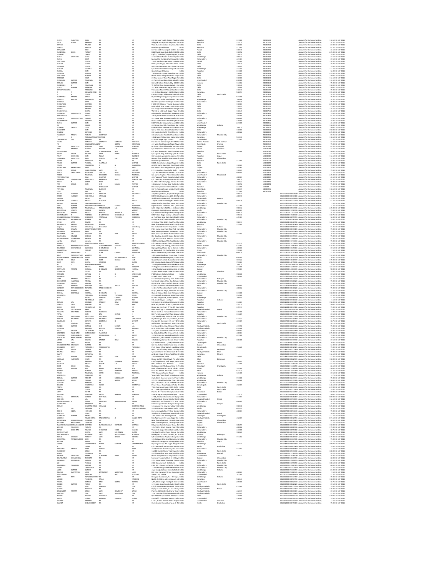| SHIVE                                                                                                                                                                                                                                                                                                                                                | NARAYAN                              | BAJAJ                                  | NA                             |                          | NA                                 | C/o Bhilwara Textile Traders Patch ArrNDIA                                                                                                                                                                                                    | Raiastha                                                    |                            | 311001                     | \$0000139                         | Amount for Unclaimed and Un                                                                                                                                                                                                    | 118.50 10-SEP-2011                                                                                                                                                                                                                   |
|------------------------------------------------------------------------------------------------------------------------------------------------------------------------------------------------------------------------------------------------------------------------------------------------------------------------------------------------------|--------------------------------------|----------------------------------------|--------------------------------|--------------------------|------------------------------------|-----------------------------------------------------------------------------------------------------------------------------------------------------------------------------------------------------------------------------------------------|-------------------------------------------------------------|----------------------------|----------------------------|-----------------------------------|--------------------------------------------------------------------------------------------------------------------------------------------------------------------------------------------------------------------------------|--------------------------------------------------------------------------------------------------------------------------------------------------------------------------------------------------------------------------------------|
| anya<br>SATA<br>SATISH<br>SARITA                                                                                                                                                                                                                                                                                                                     | NAND                                 | -<br>ANAND                             | NA<br>NA<br>NA                 |                          | NA<br>NA<br>NA                     |                                                                                                                                                                                                                                               | .<br>Najasthan<br>Delhi                                     |                            | 333021<br>110006<br>311001 | S0000142<br>S0000214              | Amount for Unuxerned and Un<br>Amount for Unclaimed and Un<br>Amount for Unclaimed and Un                                                                                                                                      | 118.50 10-SEP-2011<br>87.00 10-SEP-2011<br>43.50 10-SEP-2011                                                                                                                                                                         |
| SATWANT                                                                                                                                                                                                                                                                                                                                              |                                      | BAWELA<br>BEDI                         |                                |                          | NA<br>NA                           | 617 Sec 11 B Chandigarh 160011 ChalNDIA                                                                                                                                                                                                       | Rajastha<br>Punjab                                          |                            | 160011                     | \$0000236<br>\$0000243            | Amount for Unclaimed and Un<br>Amount for Unclaimed and Un                                                                                                                                                                     | 43.50 10-SEP-2011                                                                                                                                                                                                                    |
| SURENDRA<br>SUPREET                                                                                                                                                                                                                                                                                                                                  | BHAN                                 | PANDEY<br>CHRAI                        |                                |                          |                                    | 8-11 Shakti Nagar Extn Delhi 110052 INDIA                                                                                                                                                                                                     | Delhi<br>Delhi                                              |                            | 110052<br>110024           | \$0000253<br>\$0000261            | Amount for Unclaimed and Un<br>Amount for Unclaimed and Un                                                                                                                                                                     | 225.00 10-SEP-2011<br>75.00 10-SEP-2011                                                                                                                                                                                              |
| SUNIL<br>SUNIL                                                                                                                                                                                                                                                                                                                                       | CHANDRA                              | GUMA<br>DOIT                           |                                |                          |                                    |                                                                                                                                                                                                                                               | West Beng<br>Maharasht                                      |                            | 700020<br>421304           | s0000283<br>s0000302              | Amount for Unclaimed and Un<br>Amount for Unclaimed and Un                                                                                                                                                                     | 37.50 10-SEP-2011<br>37.50 10-SEP-2011                                                                                                                                                                                               |
| SANTOS!<br>SUNITA                                                                                                                                                                                                                                                                                                                                    |                                      | GUPTA<br>GUPTA                         | NA NA NA NA NA                 |                          | NA<br>NA<br>NA<br>NA<br>NA         |                                                                                                                                                                                                                                               | Punjab                                                      |                            | 14200<br>11001             | \$0000345<br>\$0000348            | Amount for Unclaimed and Un<br>Amount for Unclaimed and Un                                                                                                                                                                     | 118.50 10-SEP-2011<br>75.00 10-SEP-2011                                                                                                                                                                                              |
| SHAGUN                                                                                                                                                                                                                                                                                                                                               |                                      | <b>GUPTA</b>                           | NA                             |                          | NA                                 | A-77,south Extension, Part-ii New DelINDIA                                                                                                                                                                                                    | Delhi                                                       |                            | 110049                     | \$0000359                         | Amount for Unclaimed and Un                                                                                                                                                                                                    | 75.00 10-SEP-2011<br>112.50.10.5FR.2011                                                                                                                                                                                              |
| SUNITA<br><b>SUDHA</b>                                                                                                                                                                                                                                                                                                                               |                                      | GOENKA<br><b>JAIN</b>                  | NA<br>NA                       |                          | NA<br>NA                           | C/o Umesh Goerka Neamatpur P O SINDIA<br>Gandhi Nasar Bhilwara<br>INDIA                                                                                                                                                                       | West Benea<br><b>Raiastha</b>                               |                            | 713355<br>31100            | \$0000361<br>\$0000373            | Amount for Unclaimed and Un<br>Amount for Unclaimed and Un                                                                                                                                                                     | 12.00 10-SEP-2011                                                                                                                                                                                                                    |
| SUSHMA                                                                                                                                                                                                                                                                                                                                               |                                      | <br>KUMARI                             | NA<br>NA<br>NA                 |                          | NA<br>NA<br>NA<br>NA               | T-50 Room 2-3 Lower Anand Parbat NNDIA                                                                                                                                                                                                        |                                                             |                            | 110005<br>11004            | 5000039                           | Amount for Unclaimed and Un                                                                                                                                                                                                    | 225.00 10-SEP-2011                                                                                                                                                                                                                   |
| SANTOSH<br>SARABJIT<br>SHINAVAN                                                                                                                                                                                                                                                                                                                      | KUMAR                                | kumari<br>Kaur<br>AGARWA               | NA                             |                          |                                    | House No.93 Village Sultanpur Majra INDIA<br>23 New Market West Patel Nagar NetNDIA<br>41 Parmeshwari Dass Estate Model HINDIA                                                                                                                | Delhi<br>Delhi<br><b>Uttar Pradesh</b>                      |                            | 110001<br>226001           | 50000403<br>50000408<br>\$0000436 | <b>Amount for Unclaimed and Un</b><br>Amount for Unclaimed and Un<br>Amount for Unclaimed and Un                                                                                                                               | 150.00 10-SEP-2011<br>112.50 10-SEP-2011<br>112.50 10-SEP-2011                                                                                                                                                                       |
| SANJAY<br>SURENDER                                                                                                                                                                                                                                                                                                                                   | KUMAR                                | jain<br>Mahajan                        | NA<br>NA                       |                          |                                    | C/o Lal Brothers Ambala City -134002NDIA<br>W-26,first Floor, Greater Kailash-i NevNDIA                                                                                                                                                       | Haryana<br>Delhi                                            |                            | 134002<br>110048           | \$0000468<br>\$0000493            | .<br>Amount for Unclaimed and Un<br>Amount for Unclaimed and Un                                                                                                                                                                | 75.00 10-SEP-2011<br>150.00 10-SEP-2011                                                                                                                                                                                              |
| <b>ANIL</b>                                                                                                                                                                                                                                                                                                                                          | KUMA                                 | <b>PASIFICHA</b>                       |                                |                          | NA<br>NA<br>NA<br>NA<br>NA         | 387 Bhai Parmanand Nagar Delhi 110NDIA                                                                                                                                                                                                        | Delhi                                                       |                            | 11000                      | \$000049                          | Amount for Unclaimed and Un                                                                                                                                                                                                    | 150.00 10-SEP-2011                                                                                                                                                                                                                   |
| SATYAN                                                                                                                                                                                                                                                                                                                                               |                                      | MOOLAM<br><b>BIXXAMO</b>               | NA<br>NA<br>NA                 |                          |                                    | 9-e Jiasarai Near I I T Hauz Khas New INDIA<br>161 Chilipet Bangalore 560053 BangalNDIA                                                                                                                                                       | Delhi<br>Kamataka                                           |                            | 110016<br>560051           | \$0000549<br>\$0000615            | Amount for Unclaimed and Un<br>Amount for Unclaimed and Un                                                                                                                                                                     | 75.00 10-SEP-2011<br>355.50 10-SEP-2011                                                                                                                                                                                              |
| SURENDRA                                                                                                                                                                                                                                                                                                                                             | PRASAD                               | <b>GUPTA</b><br>SINGH                  | $_{\rm NA}^{\rm NA}$           |                          | NA<br>NA                           | C-404,rishi Apts. Alaknanda New DelHNDIA<br>Dy Chief Engineer (e/m)cmpdi GondwNDIA                                                                                                                                                            | Delhi<br>Bihar                                              | North Delhi                | 834008                     | \$0000616<br>\$0000628            | Amount for Unclaimed and Un<br>Amount for Unclaimed and Un                                                                                                                                                                     | 118.50 10-SEP-2011<br>75.00 10-SEP-2011                                                                                                                                                                                              |
| SANKAR<br><b>HRIRAM</b>                                                                                                                                                                                                                                                                                                                              | <b>BANJAN</b>                        | <b>BANNERJEE</b>                       | NA                             |                          | NA                                 | 133 unner Circular Road Norfol Calculation                                                                                                                                                                                                    | West Benea                                                  |                            | 700006<br>sono?            | \$0000649<br>sopopese             | Amount for Unclaimed and Un                                                                                                                                                                                                    | 1185010-92-2011                                                                                                                                                                                                                      |
| <b>HEINTWA</b><br>SUBHADRA                                                                                                                                                                                                                                                                                                                           |                                      | SANÉ<br>SHARMA<br>SHARMA               | NA<br>NA<br>NA                 |                          | NA<br>NA<br>NA<br>NA<br>NA         | 12/6 Best Quarters Chatkopar East BolNDIA<br>F-33 D E S U Colony Tripolia GurmandNDIA<br>D 50 Ashok Vihar Phase I Delhi 11005NDIA                                                                                                             | Maharashtri<br>Delhi                                        |                            | 11000                      | innnos<br>\$0000701               | Amount for Unclaimed and University<br>Amount for Unclaimed and University<br>Amount for Unclaimed and University                                                                                                              | 75.00 10-SEP-2011<br>225.00 10-SEP-2011<br>12.00 10-SEP-2011                                                                                                                                                                         |
| SAVITA                                                                                                                                                                                                                                                                                                                                               |                                      | TREHAN                                 |                                |                          |                                    | 634 Sangirashan Street Pahar Gang NINDIA                                                                                                                                                                                                      | Delhi<br>Delhi                                              |                            | 11005<br>110055            | \$0000731                         | Amount for Unclaimed and Un                                                                                                                                                                                                    | 118.50 10-SEP-2011                                                                                                                                                                                                                   |
| SHAKUNTALA<br>SHANKAR                                                                                                                                                                                                                                                                                                                                | VISHWANTH                            | <b>GUPTA</b><br>GADRE                  | NA NA NA NA NA                 |                          |                                    | Wz-930 (d-144) Sodh Nagar Palam CoNDIA                                                                                                                                                                                                        | Delhi<br>Maharashtra                                        |                            | 110045<br>400081           | \$0000753<br>\$0000820            | Amount for Unclaimed and Un<br>Amount for Unclaimed and Un                                                                                                                                                                     | 43.50 10-SEP-2011<br>75.00 10-SEP-2011                                                                                                                                                                                               |
| MISSUDESH<br>SUDHEER                                                                                                                                                                                                                                                                                                                                 | PURUSHOTTAM                          | BAGGA<br>PARKAF                        |                                |                          | NA NA<br>NA NA<br>NA NA            | W2-530 (B-494) Som Rugar Param Control<br>225 (B),model Town Jalandhar PurajabiNDIA<br>285 (B),model Town Jalandhar PurajabiNDIA<br>501,somal Near Sansward English SchWDIA<br>812,somal Near Shada Bazar Bhuj 37000NDIA<br>K-15/69 Sudia Bul | Punjab<br>Maharashtra                                       |                            | 144001<br>400602           | 50000826<br>50000910              | .<br>Amount for Unclaimed and Un<br>Amount for Unclaimed and Un                                                                                                                                                                | 43.50 10-SEP-2011<br>75.00 10-SEP-2011                                                                                                                                                                                               |
| SHAMBHULA<br>SUNIL                                                                                                                                                                                                                                                                                                                                   | KUMAI                                | PNANDA<br><b>JAIN</b>                  |                                |                          |                                    |                                                                                                                                                                                                                                               | Gujarat<br>Uttar Pradesi                                    |                            | 370001<br>221001           | 50000995<br>\$0001056             | Amount for Unclaimed and Un<br>Amount for Unclaimed and Un                                                                                                                                                                     | 75.00 10-SEP-2011<br>43.50 10-SEP-2011                                                                                                                                                                                               |
| \$K<br>SUBHSH                                                                                                                                                                                                                                                                                                                                        | CHAND                                | KAYAN<br>doEL                          | NA                             |                          |                                    | 40, Strand Road 4th Floor Room No. 1NDIA<br>6 Fwifwi Close Post Box No 20784 KitINDIA                                                                                                                                                         | West Bengal<br>West Bengal                                  | Kolkata                    | 700013                     | \$0001103<br>\$0002007            | Amount for Unclaimed and Un<br>Amount for Unclaimed and Un                                                                                                                                                                     | 150.00 10-SEP-2011<br>150.00.10/99-2011                                                                                                                                                                                              |
| <b>SULCHETA</b>                                                                                                                                                                                                                                                                                                                                      |                                      | <b>JAIN</b><br>SANKHLA                 | NA<br>NA                       |                          | NA<br>NA                           | C/o M H J & Sons Katra Choban Chan(NDIA                                                                                                                                                                                                       |                                                             |                            | 11000                      | \$0002018<br>50002039             | Amount for Unclaimed and Un                                                                                                                                                                                                    | 750.00 10-SEP-2011                                                                                                                                                                                                                   |
| TWILIGHT                                                                                                                                                                                                                                                                                                                                             | PRINTS                               | PVTLTD                                 | NA<br>COMPAN<br>ASERVICE       |                          | NA<br>NA<br>NA                     | Co Suresh Gentle 51 West Minister DNDIA<br>336-a Kalbadevi Road 3rd Floor BombNDIA<br>198/2 Maruthi Extension Malur KolariNDIA                                                                                                                | Maharashtra<br>Maharashtra<br>Kamataka                      | Mumbai City                | 10002                      | T0000004<br>T0000201              | Amount for Unclaimed and Un<br>Amount for Unclaimed and Un<br>Amount for Unclaimed and Un                                                                                                                                      | 225.00 10-SEP-2011<br>59.25 10-SEP-2011<br>118.50 10-SEP-2011                                                                                                                                                                        |
| TRIBHUWAN                                                                                                                                                                                                                                                                                                                                            | DAS                                  | AMARAN<br>SHARMA                       | NA                             |                          | NA                                 |                                                                                                                                                                                                                                               | Uttar Pradesh                                               |                            | 563130<br>282002           | T0000237                          | Amount for Unclaimed and Un                                                                                                                                                                                                    | 112.50 10-SEP-2011                                                                                                                                                                                                                   |
| THARA<br><b>TG</b>                                                                                                                                                                                                                                                                                                                                   |                                      | KAMATH<br>BALASUBI                     | SADASHIV                       | SRINIVAS<br><b>GOPAL</b> | KAMOTH<br>KRISHNAM                 | Antar Maria Calendari (2002)<br>1924 - André Nagar Agus 282002<br>1924 - India Rosal Camesh Agus 283002<br>1926 - India Rosal Kasturba Nagar Adyar<br>1926 - India Kasturba Nagar Adyar<br>1926 - India Cames Calendari (2003)<br>1926 - I    | Andhra Pradest<br>Tamil Nadu                                | East Godayar<br>Channa     |                            | T0000267<br>10000269              | .<br>Amount for Unclaimed and Un<br>Amount for Unclaimed and Un                                                                                                                                                                | 37.50 10-SEP-2011<br>75.00 10 SEP-2011                                                                                                                                                                                               |
| TARA                                                                                                                                                                                                                                                                                                                                                 | <b>CHANTE AI</b>                     | KORADI                                 | TARA                           | SHANTILA                 | KORADH                             |                                                                                                                                                                                                                                               | Sujara                                                      | Junagadh                   |                            | ropoozas                          | Amount for Unclaimed and Un                                                                                                                                                                                                    | 43.50 10-SEP-2011                                                                                                                                                                                                                    |
| VED<br>VIDHYAD                                                                                                                                                                                                                                                                                                                                       | PRAKASH                              | NANDA<br>JOSHI                         | MOHAN<br>LTSHHAI               | LAL<br>BAX               | NANDA                              |                                                                                                                                                                                                                                               | Punjab<br>Rajasthan                                         | Jalandha                   | 302006                     | V000000                           | Amount for Unclaimed and Un<br>Amount for Unclaimed and Un                                                                                                                                                                     | 37.50 10-SEP-2011<br>150.00 10-SEP-2011                                                                                                                                                                                              |
| VIDYA<br>VUAY                                                                                                                                                                                                                                                                                                                                        | SAGAR<br>CHANDRA                     | ANAND<br><b>JAIN</b>                   | SADA<br>NUAIN                  | NAND                     | <b>BUSINESS</b><br><b>BUSINESS</b> | C/o Sagar Suiting & Shirting 6/90 W. eNDIA<br>C/o Sandeep Agencies G.i.a.ashok MaINDIA                                                                                                                                                        | Delhi<br>Rajasthan                                          | North Delhi<br>Jaipur      |                            | V0000007<br><b>V0000008</b>       | Amount for Unclaimed and Un<br>Amount for Unclaimed and Un                                                                                                                                                                     | 37.50 10-SEP-2011<br>112.50 10-SEP-2011                                                                                                                                                                                              |
| VIMLABEN                                                                                                                                                                                                                                                                                                                                             | SHANTILAL                            | SHAH                                   | SHANTI                         | <b>LAL</b>               | KACHRA                             | Ground Floor Sambhar Apartment ShINDIA                                                                                                                                                                                                        | Guiarat                                                     | Ahmedabad                  | 31100                      | V0000011                          | Amount for Unclaimed and Un                                                                                                                                                                                                    | 37.50 10-SEP-2011                                                                                                                                                                                                                    |
| VIMLA<br>VINOD<br>VINOE                                                                                                                                                                                                                                                                                                                              | KUMAR                                | .<br>BHANSALI<br>NARULA<br>MALHOTIV    | <br>SLNARULA                   | N                        | NA<br>SERVICE<br>MALHOTRA          | Gandhi Nagar Bhilwara<br>B-112, Amar Colony, Lajpat Nagar-ii NNDIA<br>A13/14 Malka Ganj Main Road DoublNDIA                                                                                                                                   | Rajasthar<br>Delhi<br>Delhi                                 | North Delhi                | 110007                     | v0000012<br>v0000293<br>v0000307  | Amount for Unclaimed and University<br>Amount for Unclaimed and University<br>Amount for Unclaimed and University                                                                                                              | 75.00 10-SEP-2011<br>87.00 10-SEP-2011<br>75.00 10-SEP-2011                                                                                                                                                                          |
| VITHALBHA<br>VIDYA                                                                                                                                                                                                                                                                                                                                   | PRABHUBHAI                           | PATEL                                  |                                |                          | PATEL                              | 684 Nawa Falia Katargam Surat (guj.)NDIA<br>E -7,i.n.a.colony, New Delhi Delhi - INDIA                                                                                                                                                        | Gujarat                                                     |                            | 395064                     | V0000327                          | Amount for Unclaimed and Un                                                                                                                                                                                                    | 75.00 10-SEP-2011<br>75.00 10-SEP-2011                                                                                                                                                                                               |
| VINOD                                                                                                                                                                                                                                                                                                                                                | SAGAR<br>CHELLARAM                   | KULSHRESTHA<br>SUGHAND                 | LATE<br>CHELLA                 | \$H<br><b>BAM</b>        | LOCHAN<br>SUGHAND                  | 10/2 Shri Ramakrishna Society Ltd RolNDIA                                                                                                                                                                                                     | Delhi<br>Maharashtra                                        |                            | 110023<br>400045           | V0000341<br>V0000372              | Amount for Unclaimed and Un<br>Amount for Unclaimed and Un                                                                                                                                                                     | 37510/99-2011                                                                                                                                                                                                                        |
| VIBHA<br>VICTORI                                                                                                                                                                                                                                                                                                                                     |                                      | AGARWAI<br>DIAS                        | DEVENDRA<br>IGNATIUS           | KUMA                     | AGARWA                             | " Co Ajanta Trophies Pvt Itd Chauraha INDIA<br>403, "prashant" Rushi Complex, holy CINDIA<br>C/o Tata Varty Mounrao Door No. 22-INDIA<br>M A 12, v H B Colony Opp. Diksha BhoINDIA<br>M A 12, v H B Colony Opp. Diksha BhoINDIA               | Uttar Prades<br>Maharashtra                                 | Morariahan                 | 400103                     | v0000411<br>v0000450              | .<br>Amount for Unclaimed and Un<br>Amount for Unclaimed and Un                                                                                                                                                                | 225.00 10-SEP-2011<br>43.50 10-SEP-2011                                                                                                                                                                                              |
| VEGESNA<br><b>VIVEK</b>                                                                                                                                                                                                                                                                                                                              | LAKSHMANA                            | MURTYRAJU<br>SATHE                     | KRISHNAM<br>RETD               | RAIU                     | AGRICULTURE                        |                                                                                                                                                                                                                                               | West Bengal<br>Maharashtra                                  |                            | 700013<br>440022           | V0000464<br>V0000476              | Amount for Unclaimed and Un<br>Amount for Unclaimed and Un                                                                                                                                                                     | 43.50 10-SEP-2011<br>75.00 10-SEP-2011                                                                                                                                                                                               |
| VIR<br>VISHARMA                                                                                                                                                                                                                                                                                                                                      | SAGAI                                | <b>JAIN</b>                            | SHRI<br>MISHARM                | SKIAIN                   | RETIRED<br>SERVICE                 | 118, babubali Enclave Near KarkardoolNDIA                                                                                                                                                                                                     | Delhi<br>falasthan                                          |                            | 110092<br>311001           | V0000492<br>V0026A                | Amount for Unclaimed and Un<br>Amount for Unclaimed and Un                                                                                                                                                                     | 75.00 10-SEP-2011<br>37.50 10-SEP-2011                                                                                                                                                                                               |
| YATHIRAI                                                                                                                                                                                                                                                                                                                                             |                                      | <b>AGARWAL</b>                         | <b>BUSINESS</b>                |                          | .<br>NA                            | Eldy Monten Linewick Ltd Post Box No 3NDIA<br>C/o Ya Training Private Limited North INDIA                                                                                                                                                     | Tamil Nady                                                  |                            | 50003                      | 10000201                          | Amount for Unclaimed and Un                                                                                                                                                                                                    | 11850 105FP-2011                                                                                                                                                                                                                     |
| YOG<br>BILKIS                                                                                                                                                                                                                                                                                                                                        | HANNAN<br>HANNAN                     | RAJ<br>KACHWALA                        | NA<br>HANNA                    |                          | KACHWALA                           | Core in militage Shihwara<br>259, Old Agra Road, 8/3/9 Rahat AptiNDIA<br>8-3/9, Rahat Apartment, 259, Old AgrNDIA                                                                                                                             | Rajasthan<br>Maharashtra<br>Maharashtra                     |                            | 311001<br>400070<br>400070 | 10000224                          | Amount for Unclaimed and Un<br>C12010200-00007838-0Amount for Unclaimed and Un<br>C12010200-00017301-0Amount for Unclaimed and Un                                                                                              | 37.50 10-SEP-2011<br>56.25 10-SEP-2011<br>56.25 10-SEP-2011                                                                                                                                                                          |
| SAMIN<br>Sanjeev                                                                                                                                                                                                                                                                                                                                     |                                      | KACHWALA<br>Kumar                      | HANNAN<br>NA                   |                          | NA                                 | Jindal Steel & Power Ltd. Raigarh ChINDIA                                                                                                                                                                                                     | Chhattisgarh                                                | Raigarh                    |                            |                                   | C12010600-00103826-0Amount for Unclaimed and Un                                                                                                                                                                                | 375.00 10-SEP-2011                                                                                                                                                                                                                   |
| KISHORI<br>ARVING                                                                                                                                                                                                                                                                                                                                    | JETHALAL<br>KUMAR                    | MEHTA<br>PAWANAGARWALNA                | JETHALAI                       |                          | <b>MEHTA</b><br>NA.                | 159/26 Tamakuwala Bidg B S Road DJNDIA<br>Rajani Gandha, 2nd Floor Room No7, INDIA                                                                                                                                                            | Maharashtra<br>Maharashtra                                  | Mumbai City                | 400028                     |                                   | C12010600-00211247-04nount for Unriained and Un<br>C12010600-00224123-04mmmt for Unclaimed and Un                                                                                                                              | 52.50 10-SEP-2011<br>750 10-559-2011                                                                                                                                                                                                 |
| AMIT<br>MANO                                                                                                                                                                                                                                                                                                                                         | KUMAR                                | PAWANAGGA                              | <b>IPAWAN</b>                  | KUMA<br>LAL              | AGGARWA                            | tajani Gandha 2nd Floor, R.no.7, KelidNDIA<br>6/71 B Bijoy Garh Flat No- 4 Nr GandiNDL                                                                                                                                                        | Maharashtı<br>West Bengal                                   |                            | 421201                     |                                   | C12010600-00224235-0Amount for Unclaimed and Un                                                                                                                                                                                | 3.75 10-SEP-2011                                                                                                                                                                                                                     |
| <b>KOMPANA</b>                                                                                                                                                                                                                                                                                                                                       | KUMAR<br>JOSEPH                      | AGARWALLA<br>GEORGE                    | PARMESHWA<br>OUSEPH            |                          | AGARWALLA<br>VARKEY                | Companal, Kanjirathanam, Manjoor, INDIA                                                                                                                                                                                                       | Cerala                                                      |                            | 700032<br>686603           |                                   | C12010600-00513914-0Amount for Unclaimed and Un<br>C12010600-01350971-0Amount for Unclaimed and Un                                                                                                                             | 225.00 10-SEP-2011<br>75.00 10-SEP-2011                                                                                                                                                                                              |
| HARSHAD<br>CHETANABEN                                                                                                                                                                                                                                                                                                                                | HEMRAI                               | MEHTA<br>RABADIA                       | HEMRAJ<br><b>BHUPATBHA</b>     | ARJUNLAI<br>KHODABHAI    | MEHTA<br><b>BHIMAN</b>             | C/1 Ashirwad Building Acharya Marg (NDIA<br>B 98 Trikam Nagar Socitey Lh Road SINDIA<br>At Post Wani Near State Bank Road VINDIA                                                                                                              | Maharashtra<br>Gujarat                                      |                            | 400071<br>395010           |                                   | C12010600-01751132-0Amount for Unclaimed and Un<br>C12010600-01926031-0Amount for Unclaimed and Un                                                                                                                             | 14.25 10-SEP-2011<br>150.75 10-SEP-2011                                                                                                                                                                                              |
| CHANDRAKUM<br>SHWARDAS                                                                                                                                                                                                                                                                                                                               | <b>PARASMAL</b><br>BALARAMAJ<br>LATA | CHORDIYA<br>BORKAR<br>TIWARI           | PARASMAL                       | PREMIUM                  | CHORDIYA                           |                                                                                                                                                                                                                                               | Maharashtra<br>Maharashtri<br>West Bengai                   | Mumbai City                | 445304                     |                                   | C12010601-00095557-04mount for Unriaimed and Un                                                                                                                                                                                | 12.00.10/99.2011                                                                                                                                                                                                                     |
| .<br>MEH<br><b>BHAGWATI</b>                                                                                                                                                                                                                                                                                                                          | PRASAD                               | REENGUSM                               | MADAN                          |                          | NA<br>NA<br>LAL                    | For Fast Wall From Justice Wareha WardNDIA<br>38 Keshav Vihar G M S Road P.o. MajiNDIA<br>Near Shanta Press Modi Road JhunjhINDIA                                                                                                             | Rajasthan                                                   |                            | 700013<br>333001           |                                   | C12010601-00135244-0Amount for Unclaimed and Unit<br>C12010601-00135244-0Amount for Unclaimed and Unit<br>C12010604-00046951-0Amount for Unclaimed and Unit                                                                    | 75.00 10-SEP-2011<br>112.50 10-SEP-2011<br>7.50 10-SEP-2011                                                                                                                                                                          |
| Jogesh<br>MOTILAL                                                                                                                                                                                                                                                                                                                                    | Chandra<br><b>OSWAL</b>              | Chaudhury<br><b>SECURITIESUMITEINA</b> | <b>Brundabar</b>               |                          | Chaudhury<br>NA                    | 931-mahanadivihar Po- Navabazar . ONDIA<br>Palm Spring, 2nd Floor Next To D-maINDIA                                                                                                                                                           | Orissa<br>Maharashtra                                       | Cuttack<br>Mumbai City     |                            |                                   | C12010800-00066616-0Amount for Unclaimed and Un<br>C12010900-00011183-0Amount for Unclaimed and Un                                                                                                                             | 71.25 10-SEP-2011<br>75.00 10-SEP-2011                                                                                                                                                                                               |
| CHANDRA                                                                                                                                                                                                                                                                                                                                              | <b>MOHANLAL</b>                      | SHAH                                   | NA                             |                          | NA                                 |                                                                                                                                                                                                                                               | Maharashtra                                                 | Mumbai City                |                            |                                   | C12010900-00202362-0Amount for Unclaimed and Un                                                                                                                                                                                | 75.00 10-SEP-2011                                                                                                                                                                                                                    |
| .<br>BHANWER<br>HARSHADI                                                                                                                                                                                                                                                                                                                             | LAL<br>Alivinin                      | .<br>MALVIYA<br>SHENAI                 | SHRI<br>NA                     | NER                      | SINGH<br>NA                        | Palm Spring, Znd Floor Next To D-miniXDIA<br>Near Navrang Cinema 4, Anniapuma SINDIA<br>Near Guru Kripa Niwas Kumharo Ka MNDIA<br>Om Banglaw, Samarih Nagar, BarnagaINDIA<br>13/9 Nahruwasahat - Mahura Qujarat INDIA<br>C-307 Kamla Nagar M  | Rajasthan<br>Maharashtra                                    | Mumbai City                | 342003                     |                                   | C12010900-00330849-0Amount for Unclaimed and Unit<br>C12010900-00330849-0Amount for Unclaimed and Unit<br>C12010900-00330535-0Amount for Unclaimed and Unit<br>C12010900-01174616-0Amount for Unclaimed and Unit               | 6.75 10-SEP-2011<br>75.00 10-SEP-2011                                                                                                                                                                                                |
| HASUMATIB                                                                                                                                                                                                                                                                                                                                            | DALPATRAY                            | TRIVED<br>katudia                      |                                |                          | NA                                 |                                                                                                                                                                                                                                               | Gujarat<br>Maharashtra                                      | Ahmedabad<br>Mumbai City   |                            |                                   |                                                                                                                                                                                                                                | 51.00 10-SEP-2011<br>75.00 10-SEP-2011                                                                                                                                                                                               |
| PRADIP<br>VENKATA                                                                                                                                                                                                                                                                                                                                    | INVOXI UJUY3 MAIMANA                 | BHATTACHARIYA                          | RAMA<br>GOPALAKRSHNA           | NATH<br>MURTHY           | <b>BHATTACHARIYA</b><br>KOVI       | C/o Parthana Homeo Clinic, Po-BarpeNDIA                                                                                                                                                                                                       | Assam<br>Andhra Pradesh                                     |                            | 781315<br>523002           |                                   | C12010900-01477829-0Amount for Unclaimed and Un<br>C12010900-01498197-0Amount for Unclaimed and Un                                                                                                                             | 19.50 10-SEP-2011<br>825.00 10-SEP-2011                                                                                                                                                                                              |
| RAIANISH<br><b>SWAGATIK</b>                                                                                                                                                                                                                                                                                                                          | CHATURBHAI                           | <b>SUHAGIY</b><br>MISHIN               | CHATURBHA<br>SARBESWAR         |                          | <b>SUHAGIYA</b><br>MISHRA          | Field Officer, Soil Testing , Laboratory/NDIA<br>Bajrangi Chawl Room No-12 Ganesh RNDIA                                                                                                                                                       | Maharashtra                                                 |                            | annos<br>759100            |                                   | C12010900-03149166-0Amount for Unclaimed and Un                                                                                                                                                                                | 37.50 10-SEP-2011                                                                                                                                                                                                                    |
| <b>UJJWAL</b>                                                                                                                                                                                                                                                                                                                                        | SAMADARIA<br>PURUSHOTTAM             |                                        | VUAY<br>NA                     | CHAND                    | SAMDARIA                           | At Baghuabol P.O. Takher Dist AnguNDIA<br>No.37 Veerappan St, Sowcarpet CherNDIA<br>1403, vasant Aradhana Tower, Opp PaINDIA                                                                                                                  | Orissa<br>Tamil Nadu                                        |                            | 600079                     |                                   | C12010900-03201941-0Amount for Unclaimed and Unit<br>C12010900-03201941-0Amount for Unclaimed and Unit<br>C12010900-03570289-0Amount for Unclaimed and Unit                                                                    | 7.50 10-SEP-2011<br>37.50 10-SEP-2011<br>112.50 10-SEP-2011                                                                                                                                                                          |
| DILIP<br>PADHANABHAN                                                                                                                                                                                                                                                                                                                                 | JANARDHANAN                          | WAGAN<br>PILLAI                        | AYYAPPAN                       | PADHANASHAN              | NA<br>NAIR                         | Athukkattu House Mangaram, PandalINDIA                                                                                                                                                                                                        | Maharashtra<br>Kerala                                       | Mumbai City                | 689501                     |                                   | C12010900-03815732-0Amount for Unclaimed and Un                                                                                                                                                                                | 6.00 10-SEP-2011                                                                                                                                                                                                                     |
| SUNITA<br>PUIA                                                                                                                                                                                                                                                                                                                                       | DEVI<br><b>BANI</b>                  | <b>JAIN</b><br><b>GUPTA</b>            | AMIT<br>SITARAM                | KUMAR                    | <b>JAIN</b><br><b>GUPTA</b>        | Gulab Chand Santosh Kumar Sethi BijiNDIA<br>D O Sitaram Gupta Assam Riffel BazarINDIA                                                                                                                                                         | Assam<br>Manipu                                             |                            | 781122<br>79300            |                                   | C12010900-03840915-0Amount for Unclaimed and Un<br>C12010900-04075811-0Amount for Unclaimed and Un                                                                                                                             | 375.00 10-SEP-2011<br>296.25 10-SEP-2011                                                                                                                                                                                             |
|                                                                                                                                                                                                                                                                                                                                                      |                                      | SSRILAT<br>MEHTA                       | PARAS                          |                          | NA<br>KATARIYA                     | 20 Juan Lupu Kasim kalendaru<br>10-155 poleramma Gudi Street KanakNDIA<br>17 Nagori Garden Bhilwara Bhilwara INDIA<br>158-ambedkarnagar,ambikaniketa AUNDIA                                                                                   | West Bengal                                                 |                            | 700013<br>31100            |                                   | C12010900-04164821-0Amount for Unclaimed and Unit<br>C12010900-04164821-0Amount for Unclaimed and Unit<br>C12010900-04384673-0Amount for Unclaimed and Unit                                                                    | 75.00 10-SEP-2011                                                                                                                                                                                                                    |
| SONAL<br>MATHURA                                                                                                                                                                                                                                                                                                                                     | PRASAD                               | JAISWA                                 | BHAGWAN                        | <b>BADRIPRASAS</b>       | <b>JAISWAL</b>                     |                                                                                                                                                                                                                                               | Rajasthan<br>Gujarat                                        |                            | 39500                      |                                   |                                                                                                                                                                                                                                | 187.50 10-SEP-2011<br>90.00 10-SEP-2011                                                                                                                                                                                              |
| SURINDER<br>SANGITA                                                                                                                                                                                                                                                                                                                                  |                                      | GOYAL<br>SANYAL                        | NA                             |                          | NA<br>MUKHERJEE                    | 50 guru Nanak Nagar Tower Enclave INDIA<br>P-18 Satgram Kolkata Kolkata<br>INDIA                                                                                                                                                              | Punjab<br>West Bengal                                       | Jalandha                   | 700051                     |                                   | C12010900-04516612-0Amount for Unclaimed and Un<br>C12010900-04541546-0Amount for Unclaimed and Un                                                                                                                             | 15.00 10-SEP-2011<br>37.50 10-SEP-2011                                                                                                                                                                                               |
| AMARJEET<br>ALKA<br>BHOGIRAM                                                                                                                                                                                                                                                                                                                         | PRAKASH<br>HAJARILAL                 | GANDHI                                 |                                | k                        | GANDHI                             | 87-gark Road Dehra Dun<br>INDIA                                                                                                                                                                                                               | Uttar Pradesh<br>Maharashtri                                | Colhapur<br>Mumbai City    | 248001                     |                                   | C12010910-00020540-0Amount for Unclaimed and Un                                                                                                                                                                                | 14.25 10-SEP-2011                                                                                                                                                                                                                    |
| SHARADA                                                                                                                                                                                                                                                                                                                                              | CHOKA                                | MEHTA<br>MEENA<br>KAMBLE               | NA<br>NA<br>NA                 |                          | NA<br>NA<br>NA                     | 17 Shahaji Ganj Shivaji Park KolhajNDIA<br>Sar Signal, Satara Office Riy, Railway SNDIA<br>Rh/11-40 B, Kshetra Mahuli, Satara, RNDIA                                                                                                          | Maharashti<br>Maharashti<br>Maharashtra                     | Mumbai City                |                            |                                   | C12010919-00025396 GAmount for Unclaimed and Unit<br>C12010919-00071536 GAmount for Unclaimed and Unit<br>C12010919-00128417-GAmount for Unclaimed and Uni                                                                     | 262.50 10-SEP-2011<br>75.00 10-SEP-2011<br>37.50 10-SEP-2011                                                                                                                                                                         |
| AZHAR<br>GIRDHAR                                                                                                                                                                                                                                                                                                                                     | KAREEM<br>RANCHHODBHA                | SIDDIQUI<br>TARSARIA                   | LATE<br>RANCHHODBHAI           | ABDUL                    | SAMAD<br>NA                        | FI/101- First Floor Ashok Market MurINDIA<br>11-6th fir Matushbee Pat, P.no-56-53NDIA                                                                                                                                                         | <b>Sihar</b><br>Maharashtra                                 |                            | 800004<br>400062           |                                   | C12010924-00046457-0Amount for Unclaimed and Un<br>C12011200-00046821-0Amount for Unclaimed and Un                                                                                                                             | 75.00 10-SEP-2011<br>75.00 10-SEP-2011                                                                                                                                                                                               |
| PREMILA                                                                                                                                                                                                                                                                                                                                              | KISHOR<br>DHINALAL                   | SHAH                                   | NA                             |                          | NA                                 |                                                                                                                                                                                                                                               | Maharashtra                                                 | Mumbai City                | 161001                     |                                   | C12011200-00139057-0Amount for Unclaimed and Un                                                                                                                                                                                | 37.50 10-SEP-2011                                                                                                                                                                                                                    |
| PANKAJ<br>CHALALIYA                                                                                                                                                                                                                                                                                                                                  |                                      | .<br>KAKAMA<br>PARULBEN                | .<br>Dhirailal<br>Dhirubha     | TAPLIBHA                 | KAKAIYA<br>GOHIL<br>MALOO          | 1-401 Francisco Patriar (* 1910)<br>1727 - Maharir Nagar, Dharukar WalNbia, Orskide Kalavad Gate Markaprakinthia<br>1810 - Carlindra Rouse, Motta Varia (* 135. fabrigar Ave., Meir Vip Road, † 1911)<br>1825 - Joseph Rouse, March (*        | Gujarat<br>Gujarat                                          |                            | 19410                      |                                   | C12011300-00151561-0Amount for Unclaimed and Unit<br>C12011300-00151561-0Amount for Unclaimed and Unit<br>C12011300-00307148-0Amount for Unclaimed and Unit<br>C12011300-00408805-0Amount for Unclaimed and Unit               | 150.00 10-SEP-2011<br>37.50 10-SEP-2011                                                                                                                                                                                              |
| KIRTI                                                                                                                                                                                                                                                                                                                                                |                                      | SETHIA<br>RBHAND.                      | SHIKHAR<br>LATE                | CHAND<br>MOHAN           | RAJ                                |                                                                                                                                                                                                                                               | West Bengal<br>tajasthan                                    | Jodhpur                    | 70005                      |                                   |                                                                                                                                                                                                                                | 131.25 10-SEP-2011<br>1.50 10-SEP-2011                                                                                                                                                                                               |
| MANGE<br>SARITA                                                                                                                                                                                                                                                                                                                                      | LAL<br>pevi                          | <b>BISHNOI</b><br>MIMANI               | RANJEET                        | RAM<br>KASHI             | <b>BISHNOI</b><br>RAM              | S/o Ranjeet Ram Bishnoi Khetaron Ki INDIA<br>H.no.364.sec No.3 W No.27.near DavINDIA                                                                                                                                                          | Rajasthan<br>falasthan                                      |                            | 334803<br>335513           |                                   | C12012101-00367880-0Amount for Unclaimed and Un<br>C12012114-00001240-0Amount for Unclaimed and Un                                                                                                                             | 750.00 10-SEP-2011<br>150.00 10-SEP-2011                                                                                                                                                                                             |
| KASHI<br>MÉENA                                                                                                                                                                                                                                                                                                                                       | <b>BAM</b><br>LALITKUMAI             | MEMANIHU                               | SH<br>NA                       |                          | NA                                 | the No. 354 Sec 3 W No. 27 Hamiltonia                                                                                                                                                                                                         | <b>Rajasthan</b><br>machal Pra                              |                            | 335513                     |                                   | C12012114-00034901-0Amount for Unclaimed and Un                                                                                                                                                                                | 25.00.10.5ER.2011<br>75.00 10-SEP-2011                                                                                                                                                                                               |
| VAISHAU                                                                                                                                                                                                                                                                                                                                              | MAHADEV                              | SHAH<br>BORADE                         | MAHADEV                        |                          | NA                                 | Main Road Opp To Jain Mandir KottulNDIA<br>House No 19 At Haliwali Kirawali PostNDIA<br>R/o Po. Fatehnager Teh Mavil UdaipulNDIA                                                                                                              | Maharashtra                                                 |                            | 41020                      |                                   | C12013100-00103424-0Amount for Unclaimed and Unit<br>C12013100-00103424-0Amount for Unclaimed and Unit<br>C12013100-00525453-0Amount for Unclaimed and Unit                                                                    | 3.00 10-SEP-2011<br>37.50 10-SEP-2011                                                                                                                                                                                                |
| <b>VIPUL</b><br>SURESH                                                                                                                                                                                                                                                                                                                               | VALCHAND                             | JAIN<br>MEHTAHUI                       | DA<br>VALCHAND                 | CHAND                    | NA                                 | 24/3, Parekh Bidg. Sadashiv Lane MuNDIA                                                                                                                                                                                                       | tajasthan<br>Maharashtra                                    | Mumbai City                | 313205                     |                                   | C12013700-00011759-0Amount for Unclaimed and Un                                                                                                                                                                                | 150.00 10-SEP-2011                                                                                                                                                                                                                   |
| NITESH<br>HASMUKH                                                                                                                                                                                                                                                                                                                                    | BALARAM                              | CHAUDHARI<br>SETHIYA                   | <b>BALARAM</b><br>GENMALI      | <b>UNDRYA</b>            | CHAUDHARI<br><b>SETHTYA</b>        | .<br>98, Mansi Apt, R.no.303, 3rd Floor, TRNDIA<br>Flat No 305 Bhavana C H S Ltd T D Vij/NDIA                                                                                                                                                 | Maharashtra<br>Maharashtra                                  |                            | 421032<br>401105           |                                   | C12013200/00110089/04mount for Unriaimed and Un<br>C12013200.00268930.04mount for Unclaimed and Un                                                                                                                             | 37.50 10-SEP-2011<br>18.75 10-SEP-2011                                                                                                                                                                                               |
| vuar                                                                                                                                                                                                                                                                                                                                                 | LAKSHM                               | .<br>ARORA                             | .<br>NA                        |                          | NA.                                | A-2/48 First Floor Sector-5 Rohini DelINDIA                                                                                                                                                                                                   | Delhi                                                       | North Delhi                |                            |                                   | C12014100-00015242-0Amount for Unclaimed and Un                                                                                                                                                                                | 18.75 10-SEP-2011                                                                                                                                                                                                                    |
| sunes<br><b>SUSHMA</b>                                                                                                                                                                                                                                                                                                                               | KUMAR                                | BANSAL<br>SHARIMA                      | BALDEV                         | SHANT<br>KISHOR          | LAL<br>SHARMA                      | S.k. Bansal & Co. Opp. Shivpuri TalkielNDIA<br>D - 2, Esik Nikunj, Nehru Nagar, IndolNDIA                                                                                                                                                     | Madhya Pradesi<br>Madhya Pradesi                            |                            | 473551<br>452008           |                                   | C12017000-00006521-0Amount for Unclaimed and Un<br>C12017000-00042222-0Amount for Unclaimed and Un                                                                                                                             | 75.00 10-SEP-2011<br>75.00 10-SEP-2011                                                                                                                                                                                               |
| VUAY<br>LAXMIBA                                                                                                                                                                                                                                                                                                                                      | SHINGH<br><b>FULCHAND</b>            | LALIKHONA<br><b>JAINSOLANKY</b>        | LAUI<br><b>FULCHAND</b>        |                          | NA<br>NA                           | 14- Ajanta Apartment-'a' Murar RoadINDIA<br>M. Abdulla Chawl No 2, Room No 8, HNDIA                                                                                                                                                           | Maharashtra<br>Maharashtra                                  |                            | 400080<br>400083           |                                   | C12017500-00003564-0Amount for Unclaimed and Un<br>C12017500-00102445-0Amount for Unclaimed and Un                                                                                                                             | 75.00 10-SEP-2011<br>675.00 10-SEP-2011                                                                                                                                                                                              |
| VINODINI<br><b><i>HARAYAN</i></b>                                                                                                                                                                                                                                                                                                                    | NARHARIBHA<br>BAACHANDI              | BAROT<br>ranas                         | NARHARIBHA                     | ċ                        | BAROT                              | 14 Sai Kruna Sor Murbari Boari Kalvatti DA                                                                                                                                                                                                    | Maharashtra                                                 | Mumbai City                | 421301                     |                                   | C12017500-00162294-0Amount for Unclaimed and Un                                                                                                                                                                                | 75.00 10-SEP-2011                                                                                                                                                                                                                    |
| -<br>Mba<br>Geeta                                                                                                                                                                                                                                                                                                                                    |                                      | DEWAS                                  | NA<br>GAMNA                    | <b>BAN</b>               | NA<br>DEWASI                       | 24, Jan Archive Johnson Holland Ampericance<br>Room No. 4, Shri Ganesh Krupa ChawlNDIA<br>189, Rebariyo Ka Bas Shrisela Dhani TINDIA<br>C/o V.dharma Rao 11/258/1 ShivanasNDIA                                                                | Maharashtra<br>Rajasthan<br>Chhattisgarh                    |                            | 305701                     |                                   | C12017500-00164156-0Amount for Unclaimed and Unit<br>C12017500-00164156-0Amount for Unclaimed and Unit<br>C12017500-00331512-0Amount for Unclaimed and Uni                                                                     | 75.00 10-SEP-2011<br>37.50 10-SEP-2011<br>6.00 10-SEP-2011                                                                                                                                                                           |
|                                                                                                                                                                                                                                                                                                                                                      | CHANDRABHAGA MANSUKH                 | Karwa<br>BUTANI                        | NA<br>NA                       |                          | NA.<br>NA                          | C/o C.m. Butani Station Road Near AHNDIA                                                                                                                                                                                                      | Gujarat                                                     | Raipur<br>Ahmedabad        |                            |                                   | C12018000-00064306-0Amount for Unclaimed and Un                                                                                                                                                                                | 12.00 10-SEP-2011                                                                                                                                                                                                                    |
| CHANDRA<br><b>RAIMAL</b>                                                                                                                                                                                                                                                                                                                             | KANT<br>SINGH                        | PANIGRAHI<br>LATHER                    | TANKESHWER<br>NA               |                          | PANIGRAH<br>NA                     | Post- Aasna Vil-dongaghat, JagdalpurNDIA<br>H No C 42 Dif Colony Sector 14 GurgaNDIA                                                                                                                                                          | Chhattisgarh<br>Harvana                                     | Faridabad                  | 494221                     |                                   | C12018600-00012927-0Amount for Unclaimed and Un<br>C12018600-00217089-04mmmf for Unriaimed and Un                                                                                                                              | 75.00 10-SEP-2011<br>75.00 10-SEP-2011                                                                                                                                                                                               |
| MURALI<br>GATTY                                                                                                                                                                                                                                                                                                                                      |                                      | SHARMA<br>SANIFFYZ                     |                                |                          |                                    | .<br>S/o Late Dharm Deo Sharma VIII & PolNDI.<br>Ambisadi House Ambira Boad Rost KriNDI.                                                                                                                                                      | .<br>Madhya Pra<br>Kamataba                                 |                            |                            |                                   | C12018600-00303993-0Amount for Unclair<br>C12018600-00307550-0Amount for Unclair                                                                                                                                               | 75.00 10-SEP-2011<br>112.50 10-SEP-2011                                                                                                                                                                                              |
| VUAY<br>GHULAM                                                                                                                                                                                                                                                                                                                                       | HAMDAN                               | DHINGRA<br>KHAN                        | LATE<br>NA                     | SHR                      | KUNJ<br>NA                         | 139, Savita Vihar, Delhi (NDV)<br>House No 567 Milan Chowk Po: LalbaNDV                                                                                                                                                                       | Delhi<br>Bihar                                              | Darbhanga                  | 11009                      |                                   | C12018800-00001691-0Amount for Unclaimed and Un<br>C12018901-00022975-0Amount for Unclaimed and Un                                                                                                                             | 112.50 10-SEP-2011<br>150.00 10-SEP-2011                                                                                                                                                                                             |
| LATA<br>GAUTAM                                                                                                                                                                                                                                                                                                                                       |                                      | SHARMA<br>MEHTA                        | sow<br>MISHRI                  | SHANKAR<br><b>UG</b>     | SHARMA<br><b>MEHTA</b>             | C-22/14.gali No-9, Sadh Nagar, PalamNDIA<br>H No. 77 Detch Area Rhibusca<br>INDM                                                                                                                                                              | Delhi<br>Raiastha                                           |                            | 110045<br>311001           |                                   | C12019101-00147304-0Amount for Unclaimed and Un<br>C12019101-01436024-0Amount for Unclaimed and Un                                                                                                                             | 37.50 10-SEP-2011<br>187.50 10-SEP-2011                                                                                                                                                                                              |
| RAM<br>ANJAN                                                                                                                                                                                                                                                                                                                                         | SINGH<br>KUMA                        | KAILA                                  | NA <sup></sup><br><b>BIDHI</b> | <b>BH KAN</b>            | <b>NA</b>                          | Dulhapura Shir Modhupur Sikar 91 TaWDIA                                                                                                                                                                                                       | Chandieart                                                  | Chandisart                 |                            |                                   | C12019101-01447258-04mmmf for Unriained and Un                                                                                                                                                                                 | 22.50 10-SEP-2011<br>150.00 10-SEP-2011                                                                                                                                                                                              |
| RAKES-                                                                                                                                                                                                                                                                                                                                               |                                      | SEN<br>KUMAR                           | SHEO<br>SATISH                 | NARAYAN                  | SEN<br>PRASAD                      | Loan Office Lane W / No - 6 Dhubri INDIA<br>Road No- 8 Block No-108/2 Qr.no-4 /NDIA                                                                                                                                                           | šihar                                                       |                            | 783301<br>831013<br>123401 |                                   | C12019101-01528638-0Amount for Unclaimed and Unit<br>C12019101-01528638-0Amount for Unclaimed and Unit<br>C12019101-01559794-0Amount for Unclaimed and Unit                                                                    | 33.75 10-SEP-2011<br>37.50 10-SEP-2011                                                                                                                                                                                               |
| viney<br>PREMLATA                                                                                                                                                                                                                                                                                                                                    |                                      | AGARWAI<br>CHORORIA                    | NA                             | KUMAF                    | AGARWA<br>NA                       | 7096 Baluwara Rewari Rewari<br>Shanti Villa'(2nd Floor), 52,deshbandINDIA                                                                                                                                                                     | Haryana<br>West Bengal                                      | Kolkata                    |                            |                                   | C12019103-00005466-0Amount for Unclaimed and Un                                                                                                                                                                                | 3.75 10-SEP-2011                                                                                                                                                                                                                     |
| MANOJ<br>AMARJEET                                                                                                                                                                                                                                                                                                                                    | KUMAR<br>SINGH                       | MISHRA<br>PAHWA                        | SR<br>SR                       | SIDDHANAT<br>NANAK       | MISHRA<br>SINGH                    | 21/1, Girish Banerjee Lane 2nd Floor, INDIA<br>375 P A S Road South City, Floor - 11 INDIA                                                                                                                                                    | West Bengal<br>West Bengal                                  |                            | 711101<br>700058           |                                   | C12019105-00241549-04nount for Unriained and Un<br>C12019103-00313902-0Amount for Unclaimed and Un                                                                                                                             | 25.00.10/99.2011<br>250.00.10.5ER.2011                                                                                                                                                                                               |
| YOGESH                                                                                                                                                                                                                                                                                                                                               |                                      | KARADIA                                |                                |                          | NA.<br>KHATWAN                     | 873 - Ad nasa Josen Ley, noor - 11 mars<br>8/11, Uttarayan Chs Ltd Mahakali CavINDIA<br>Power House Road, Telghani Naka, RINDIA<br>7857, Roshanara Road, Delhi Delhi - INDIA                                                                  | Maharashtı                                                  | Mumbai City                | 492001                     |                                   | C12020000-00060448-0Amount for Unclaimed and Un                                                                                                                                                                                | 43.50 10-SEP-2011                                                                                                                                                                                                                    |
| BHARTI<br>VEENA                                                                                                                                                                                                                                                                                                                                      |                                      | KHATWAN<br>5000                        | ASHO<br>NA                     |                          |                                    |                                                                                                                                                                                                                                               | Chhattisgart<br>Delhi                                       | North Delhi                |                            |                                   | C12020000-00112675-0Amount for Unclaimed and United 20020600-00034344-0Amount for Unclaimed and Uni                                                                                                                            | 346.50 10-SEP-2011<br>237.00 10-SEP-2011                                                                                                                                                                                             |
| ASHISH<br>AMIT                                                                                                                                                                                                                                                                                                                                       |                                      | <b>GUPTA</b><br><b>JOHAR</b>           | NA<br>NA                       |                          | NA<br>NA                           | 8-12 Pink Appts Block- B Near White INDIA<br>Plot No. 8-17 Sector 4 Kosy Sweets CINDIA                                                                                                                                                        | Delhi<br>Jharkhand                                          | North Delhi<br>Bokaro      |                            |                                   | C12020600-00127397-0Amount for Unclaimed and Un<br>C12020600-00213693-0Amount for Unclaimed and Un                                                                                                                             | 75.00 10-SEP-2011<br>150.00 10-SEP-2011                                                                                                                                                                                              |
| VIKRANT<br>PANKA                                                                                                                                                                                                                                                                                                                                     | <b>MITHALAI</b>                      | AGRAWA<br>GANDHI                       | SATYA<br>MITHALAL<br>NA        | NANAIN                   | <b>AGRAWAL</b><br>NA<br>NA         | 5 Saket Nagar Lachipur Gorakhpur INDIA                                                                                                                                                                                                        | Uttar Pradesh<br>Maharashtra<br>Maharashtra<br>Himachal Pra |                            | 273015<br>$11100-$         |                                   | C12020600-00568091-0Amount for Unclaimed and Un<br>C12020600-00028287-0Amount for Unclaimed and Un                                                                                                                             | 150.00 10-SEP-2011<br>enn no 10-SEP-2011                                                                                                                                                                                             |
| ABDURRA                                                                                                                                                                                                                                                                                                                                              |                                      | AAZMI                                  | ABULQA!                        | NAJMILHASAN              | AAZMI                              | 3 Janes Hager Cathper Goranipur<br>12-13 , Verkateshwara House, Opp.pINDIA<br>Sadhana Ghati Chhota Shimla ShimiaNDIA<br>Room No-7,2nd Floor 230-232 A.i.r. RNDIA                                                                              | Maharashtra                                                 | Shimla                     | 400003                     |                                   | C12022600-00028287-0Amount for Unclaimed and Unit<br>C12022900-00194815-0Amount for Unclaimed and Unit<br>C12023000-00546993-0Amount for Unclaimed and Uni                                                                     | 00000 10-SEP-2011<br>112.50 10-SEP-2011<br>18.75 10-SEP-2011                                                                                                                                                                         |
| <b>SUCHARITA</b><br>MINATI                                                                                                                                                                                                                                                                                                                           |                                      | MOHANTY<br><b>BHATTACHARYA</b>         | NA<br>SWAPAN                   |                          | NA.<br>BHATTACHARYA                | 8 Nehumagar Gosani Nuagaon GanjaWDIA<br>124, agapur P.o. New Barrackpur KoliNDIA                                                                                                                                                              | Orissa<br>West Bengal                                       | Ganjam                     | 700131                     |                                   | C12023000-00868661-0Amount for Unclaimed and Un<br>C12023500-00068864-0Amount for Unclaimed and Un                                                                                                                             | 15.00 10-SEP-2011<br>525.00 10-SEP-2011                                                                                                                                                                                              |
|                                                                                                                                                                                                                                                                                                                                                      | 1AI                                  | PRAKASH                                |                                | ×                        | PURUSHOTHAMAN                      | 32/1119 Deepti Palarivattom Kochi INDIA                                                                                                                                                                                                       | Kerala                                                      |                            | 682025                     |                                   | C12023900.0003542.04mount for Unriaimed and Un                                                                                                                                                                                 | 118.50 10-SEP-2011                                                                                                                                                                                                                   |
| .<br>MOHD<br>ANKUS?                                                                                                                                                                                                                                                                                                                                  | <b>IQBAL</b>                         | HASHAM<br>GARS<br>ARORA                |                                |                          |                                    |                                                                                                                                                                                                                                               | Maharashtra<br>Himachal Pra                                 | Mand                       | 10000                      |                                   |                                                                                                                                                                                                                                | 75.00 10-SEP-2011<br>18.00 10-SEP-2011                                                                                                                                                                                               |
| <b>SUBHASE</b>                                                                                                                                                                                                                                                                                                                                       | KUMA                                 | MANDHANYA                              | na<br>Ramnarayan               |                          | NA<br>MANDHANYA                    | 1974 - Maria Maria Maria Maria Maria (1976)<br>65, memorinaka Rd, Ath Floor Warijan NDIA<br>1602 Sector - 7 C. Chandigarh Ut. - INDIA<br>Shiv Apartment 253 Usha Nagar Ext. INDIA                                                             | Chandigart<br>Madhya Prac                                   | Chandigart                 | 45200                      |                                   | C120247000 00054248-0Amount for Unclaimed and United 200247000 00054248-0Amount for Unclaimed and United 200255000 00372231-0Amount for Unclaimed and United 200255000 00372231-0Amount for Unclaimed and United 200252000 000 | 112.50 10-SEP-2011<br>871.50 10-SEP-2011                                                                                                                                                                                             |
|                                                                                                                                                                                                                                                                                                                                                      | KISHORKUMAR<br><b>RAJESHBHA</b>      | DHINOIA<br>DHINOIA                     | NA<br>NA                       |                          | NA<br>NA                           | Near Chamadiva Kuya. Dhoraii GuiarNDIA<br>Near Chamadiya Kuya. Dhoraii GuiarNDIA                                                                                                                                                              | Gujarat<br>Guiane                                           | Ahmedabas<br>Ahmedabad     |                            |                                   | C12026700-00025887-0Amount for Unclaimed and Un<br>C12026700-00025891-0Amount for Unclaimed and Un                                                                                                                             | 28.50 10-SEP-2011<br>27.75 10-SEP-2011                                                                                                                                                                                               |
|                                                                                                                                                                                                                                                                                                                                                      | IN IN AS MARY AT                     | GUARAN                                 | <b>DURGASHANKAR</b>            | HARRAM                   | SHARMA                             | 8.5 panech Society, Rainor Board - Rabbitta                                                                                                                                                                                                   | Guiara                                                      |                            | 388255                     |                                   | C12026800-00111097-0Amount for Unclaimed and Un                                                                                                                                                                                | 150.00 10-SEP-2011                                                                                                                                                                                                                   |
|                                                                                                                                                                                                                                                                                                                                                      | FINSTOCK<br>SHESHRAD                 | <b>PVTLTD</b><br>MAPARI<br>GUPTA       |                                | ЕКОЛ                     | MAPARI                             | a-Sigmum Johney, napur nomi, Lammon<br>176, Valdya Wadi, Ground Floor, ThaiNDIA<br>Vanketesh Nagar Behind Gaikwad KurNDIA<br>24a, Ray Street 1st Floor, Block-c. KoliNDIA                                                                     | Maharashtra                                                 |                            | 100002<br>44300            |                                   | C12027000-0000571-0Amount for Unclaimed and Unit<br>C12027000-0000571-0Amount for Unclaimed and Unit<br>C12027000-000931042-0Amount for Unclaimed and Unit                                                                     | 375.00 10-SEP-2011<br>18.75 10-SEP-2011<br>150.00 10-SEP-2011                                                                                                                                                                        |
|                                                                                                                                                                                                                                                                                                                                                      |                                      | ROYSAFA                                | SHESHRAD<br>LATE<br>LATE       | SOHANLAL<br>BATAKRISHNA  | <b>GUPTA</b><br>ROYSAFAI           | Daulatour P.o. Pailan Via-Joka, P.s. BINDIA                                                                                                                                                                                                   | Maharashtra<br>West Bengal<br>Manipur                       | <b>Bishnupur</b>           | 700020                     |                                   | C12027800-00020728-0Amount for Unclaimed and Un                                                                                                                                                                                | 75.00 10-SEP-2011                                                                                                                                                                                                                    |
|                                                                                                                                                                                                                                                                                                                                                      | CHARAN                               | <b>BAKSHIT</b><br>SHAH                 | LATE<br>NA                     | <b>DLORS</b>             | KISHORE<br>NÄ                      | 5/1 Karali Charan Roychowdhury RoalNDIA<br>103. Railaxmi Chs. Royal Complex, BolNDIA                                                                                                                                                          | West Bengal<br>Maharashtra                                  | Mumbai City                | 711202                     |                                   | C12027800-00026911-0Amount for Unclaimed and Un<br>C12028900.00464974.04mmmf for Unriained and Un                                                                                                                              | 375.00 10-SEP-2011<br>75.00 10-SEP-2011                                                                                                                                                                                              |
|                                                                                                                                                                                                                                                                                                                                                      |                                      | <b>BANDI</b>                           |                                |                          |                                    | Lohar Gali Pratapgarh Pratapgarh RajNDIA                                                                                                                                                                                                      | tajasthan                                                   | laipur                     |                            |                                   | C12028900-00556172-0Amount for Unclaimed and Un                                                                                                                                                                                | 123.75 10-SEP-2011                                                                                                                                                                                                                   |
|                                                                                                                                                                                                                                                                                                                                                      | PARESHKUMAR                          | CHAKRAS<br>LATHA                       | NIKOD<br>NA                    | CHANDI                   | CHAKRABORT                         | Ge, Bengdubi Qtr. No.c5/j/4 BengdubINDIA<br>C/o K.narasaiah, No.e49 Vssc HousingINDIA                                                                                                                                                         | West Bengal<br>Cerala                                       | Emakularr                  | 734424                     |                                   | C12028900-00591659-0Amount for Unclaimed and Un<br>C12029800-00081565-0Amount for Unclaimed and Un                                                                                                                             | 300.00 10-SEP-2011<br>75.00 10-SEP-2011                                                                                                                                                                                              |
|                                                                                                                                                                                                                                                                                                                                                      |                                      | PATIL                                  | AMRUT<br>NA                    |                          | PATIL<br>NA                        | A2-23 Mahesh Paradise D.p. Rd.aundNDIA<br>10/112 Double Stoney Tilak Nagar NetNDIA                                                                                                                                                            | Maharashtra<br>Delhi                                        | North Delhi                | 411007                     |                                   | C12029900-00005486-0Amount for Unclaimed and Un<br>C12029900-00911411-0Amount for Unclaimed and Un                                                                                                                             | 7.50 10-SEP-2011<br>300.00 10-SEP-2011                                                                                                                                                                                               |
|                                                                                                                                                                                                                                                                                                                                                      | AMRUT                                |                                        | NA                             |                          | NA                                 | 53/7/3 Barbihari Bose Road 29 ShibolNDIA                                                                                                                                                                                                      | West Beneal                                                 | Howrah                     |                            |                                   | C12029900-01178433-0Amount for Unclaimed and Un                                                                                                                                                                                | 59.25 10-SEP-2013                                                                                                                                                                                                                    |
|                                                                                                                                                                                                                                                                                                                                                      |                                      | SINGH<br>DHANUKA                       |                                | NATH                     | MISRA<br>NA<br>NA<br>NA            | House No 4/410 Vikas Nagar Dist LuiNDIA<br>Samparan Society Block M 10 GaytriNDIA<br>2151 Sarda Sadan Vijaynagar Colony INDIA                                                                                                                 | Uttar Pradesh<br>Gujarat<br>Maharashtra                     | Ahmedabas                  | 226023                     |                                   | C12029900-02036978-0Amount for Unclaimed and Unit<br>C12029900-02056978-0Amount for Unclaimed and Unit<br>C12029900-02647599-0Amount for Unclaimed and Unit                                                                    | 75.00 10-SEP-2011                                                                                                                                                                                                                    |
|                                                                                                                                                                                                                                                                                                                                                      | CHANDRA                              | MISRA<br>THAKKAR                       |                                |                          |                                    | 2088 Bahadur Garh Delhi Delhi<br>INDIA                                                                                                                                                                                                        | Delhi                                                       | Mumbai City<br>North Delhi |                            |                                   | C12029900-03759098-0Amount for Unclaimed and Un                                                                                                                                                                                | 60.00 10-SEP-2011<br>100.50 10-SEP-2011                                                                                                                                                                                              |
|                                                                                                                                                                                                                                                                                                                                                      | <b>BAMANLAL</b>                      | KARWA                                  | nn<br>SUREI<br>NA<br>NA        |                          |                                    | E 85 N C L Colony Pashan Rd Pashan INDIA                                                                                                                                                                                                      | Maharashtra<br>Maharashtra                                  | Mumbai City<br>Mumbai City |                            |                                   | C12029900-03780700-0Amount for Unclaimed and Un                                                                                                                                                                                | 60.00 10-SEP-2011                                                                                                                                                                                                                    |
|                                                                                                                                                                                                                                                                                                                                                      | TUKARAM                              | NARAIN<br>KAMBLE                       | NA<br>NA                       |                          | NA<br>NA                           |                                                                                                                                                                                                                                               |                                                             |                            |                            |                                   |                                                                                                                                                                                                                                |                                                                                                                                                                                                                                      |
|                                                                                                                                                                                                                                                                                                                                                      | <b>KLIMAR</b>                        | CHANDRAN                               | NA                             |                          | <b>NA</b>                          | 15 Kunwar Baugh Chedda Road DomBNDIA                                                                                                                                                                                                          |                                                             | Kolkata                    |                            |                                   | C12029900-05137951-0Amount for Unclaimed and Un                                                                                                                                                                                |                                                                                                                                                                                                                                      |
|                                                                                                                                                                                                                                                                                                                                                      | DATTATRAY                            | SUREKA<br>LADE                         | NA<br>DATTATRAY                | <b>NAROTAM</b><br>BPCL   | NA<br>LADE                         |                                                                                                                                                                                                                                               | .<br>West Bengal<br>Maharashtri                             |                            | sonos:<br>201301           |                                   | C12029900-05161457-0Amount for Unclaimed and Un<br>C12029900-05186940-0Amount for Unclaimed and Un                                                                                                                             |                                                                                                                                                                                                                                      |
|                                                                                                                                                                                                                                                                                                                                                      | RANI                                 | TRIPATH<br>ROYCHOV                     |                                |                          | HOUSING<br>NA.                     | 2.1 Normal annual Calcutta KolkataNDIA<br>R 3.1 Normal Calcutta KolkataNDIA<br>R N 3.1 Ny Haruman W Soc Hanuman INDIA<br>Birnagar, Khandapara, P.o - Birnagar, RNDIA<br>Birnagar, Khandapara, P.o - Birnagar, RNDIA                           | <b>Uttar Prades</b><br>West Bengal                          | Kolkata                    |                            |                                   | CLAUGYMUND OS LEOVAN OVERTOURE for Unclaimed and University OD 0009447-0Amount for Unclaimed and University Op<br>C12030000-00009447-0Amount for Unclaimed and University O                                                    |                                                                                                                                                                                                                                      |
|                                                                                                                                                                                                                                                                                                                                                      | KUMAR                                | <b>NAGPAUL</b><br>BANSAL<br>PATNI      | RALLA<br>RAM<br>NA.            | <b>GOPAL</b>             | NAGPAU<br><b>BANSAL</b><br>NA.     | No.37, 3rd Main, Ashwini Layout, InteNDIA                                                                                                                                                                                                     | Kamataka<br>Uttar Pradesh                                   | North Delhi                | 560047<br>209601           |                                   | C12030300-00057790-0Amount for Unclaimed and Un<br>C12030400-00002545-0Amount for Unclaimed and Un<br>C12030900-00022126-0Amount for Unclaimed and Un                                                                          |                                                                                                                                                                                                                                      |
|                                                                                                                                                                                                                                                                                                                                                      |                                      | iAIN                                   | AKHILESI                       |                          | <b>JAN</b>                         | .<br>1/57, Mohl-sangat Fatehgarh Dist. FaINDIA<br>12 Himgiri Appartments Outer Ning RINDIA<br>ta INDIA                                                                                                                                        | Madhya Pradesi                                              |                            | 473001                     |                                   |                                                                                                                                                                                                                                |                                                                                                                                                                                                                                      |
| <b>IAGOISH</b><br>KUSUMBEN<br>RAJESHR<br>NARENDR<br>ZODIAC<br>DIPAK<br>PURSHOTTAM<br>MADHUSUDAN<br>NIMAI<br>KASHMIN<br>RAJESH<br><b>ASHOK</b><br>DHANRA<br>SUKHDEEP<br>PINKY<br>DEVESH<br>DILIPKUM<br>NIRMALA<br>1AL<br>GAJENDRA<br>SWATI<br>ALOK<br>NILESP<br>VIVEKANANI<br>DIPTI<br><b>ASHOK</b><br>VISHAL<br>RAKESH<br>SHEL<br>SUDHA<br>BRAJENDRJ | PRATAI                               | AWASTHI<br>SINGH                       | NA<br>LATE                     | <b>RAMROOT</b>           | NA<br>SINGH                        | Clo,dr.vinendra Jain Hatt Road Guna INDIA<br>Rly Qt.no.-rbii-303/1, C.r.w.s.colony,rNDIA<br>Plot No. 02/156 E-8 Gulmohar ColonyNDIA                                                                                                           | Madhya Pradesh<br>Madhya Pradesh                            | <b>Bhopa</b>               | 462039                     |                                   | C12031600-00017231-0Amount for Unclaimed and Unit<br>C12031600-00017231-0Amount for Unclaimed and Unit<br>C12031600-00017250-0Amount for Unclaimed and Unit                                                                    | 37.50 10-SEP-2011<br>81.00 10-SEP-2011<br>7.50 10-SEP-2011<br>37.50 10-SEP-2011<br>75.00 10-SEP-2013<br>150.00 10-SEP-2011<br>18.75 10-SEP-2011<br>37.50 10-SEP-2011<br>75.00 10-SEP-2011<br>375.00 10-SEP-2011<br>37.50 10-SEP-2011 |
| GOVIND<br>RADHA<br>MAYA                                                                                                                                                                                                                                                                                                                              |                                      | OZA<br>MADAN<br>NIGAM                  | LATE<br>SSMADAN<br>KRISHNA     | MANGEAL<br><b>SWARLS</b> | <b>OZA</b><br>NA<br>NIGAM          | 12-a, Parth Sarthi Enclave Bag MugalitNDIA<br>Gp - 104 Maurya Enclave Pitampura DNDIA<br>448/48(a), Thakurganj Nagaria LuckniNDIA<br>L 1/91, B Priya Darshni Yozna Sitapur INDIA                                                              | Madhya Pradesh<br>Delhi<br>Uttar Pradesh                    |                            | 462043<br>110088<br>226003 |                                   | C12031600-00215669-0Amount for Unclaimed and Un<br>C12032000-00004021-0Amount for Unclaimed and Un<br>C12032700-00029411-0Amount for Unclaimed and Un                                                                          | 37.50 10-SEP-2011<br>450.00 10-SEP-2011<br>75.00 10-SEP-2011                                                                                                                                                                         |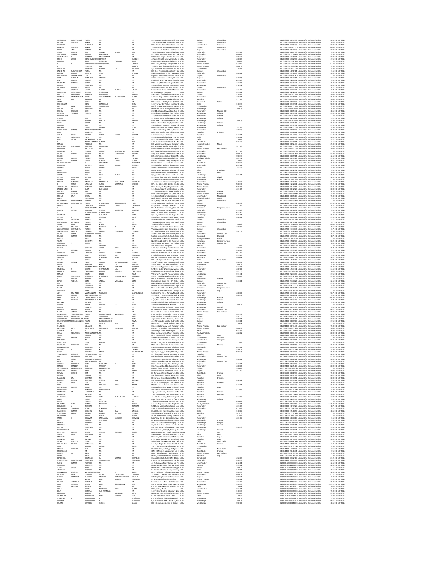| GIRISHBHA<br>RAJESH<br>VASUDEV                        | <b>HARITVANDAS</b><br><b>STARAM</b>                             | PATEL<br>KAKAR<br>DANGW                                                                            | NA                                     |                         | NA                                                   | 41. Prabhu Krupa Soc. Ranjo AhmedalNDIA                                                                                                                                                                                                                                                                                              | Guiarat<br>.<br>Gujarat<br>Uttar Pradesh                                    | Ahmedaha<br>Ahmedabad<br>Lucknow<br>Lucknow |                            | C12033200-00051599-0Amount for Unclaimed and Un                                                                                                                                                                                                                                                           | 150.00 10-SEP-2011                                                                                        |
|-------------------------------------------------------|-----------------------------------------------------------------|----------------------------------------------------------------------------------------------------|----------------------------------------|-------------------------|------------------------------------------------------|--------------------------------------------------------------------------------------------------------------------------------------------------------------------------------------------------------------------------------------------------------------------------------------------------------------------------------------|-----------------------------------------------------------------------------|---------------------------------------------|----------------------------|-----------------------------------------------------------------------------------------------------------------------------------------------------------------------------------------------------------------------------------------------------------------------------------------------------------|-----------------------------------------------------------------------------------------------------------|
| PARKASH                                               | SITARAM                                                         | KAKAR                                                                                              | NA<br>NA<br>NA                         |                         | NA<br>NA<br>NA                                       | 10-a Nidhivan Apts Brijwasi Estate B/INDM<br>5 Sriniwas Apt Opp Red Rose RestauraNDIA                                                                                                                                                                                                                                                | Gujarat                                                                     | Ahmedaba                                    |                            | C12033200-00054631-0Amount for Unclaimed and Un<br>C12033200-00054631-0Amount for Unclaimed and Un<br>C12033200-00307220-0Amount for Unclaimed and Un                                                                                                                                                     | 139.50 10:5EP-2011<br>300.00 10:5EP-2011<br>300.00 10:5EP-2011<br>150.00 10-SEP-2011                      |
| PARUL<br>SAMIR<br>SANJULATA                           | ANIL<br>NIKUNJ<br>SURESH                                        | KUMAR<br>DEY<br><b>JAISWAL</b>                                                                     | NA<br>NIKUNJ<br><b>BAMKISHOR</b>       | BIHARI                  | NA<br>DEY                                            | Vishnu Sakharam Pawshe Chawl SantINDIA                                                                                                                                                                                                                                                                                               | Gujarat<br>Maharashtra<br>Maharashtra                                       | Ahmedabad                                   | 421306                     | C12033200-00511845-0Amount for Unclaimed and Un<br>C12033200-00881796-0Amount for Unclaimed and Un<br>C12033200-01125064-0Amount for Unclaimed and Un                                                                                                                                                     | 75.00 10-SEP-2011<br>375.00 10-SEP-2011                                                                   |
| CHETANABEN<br>MOHD                                    | <br>IAVED                                                       | BARADU                                                                                             | MVINDRABH                              |                         | NA<br>NA<br>QURESH                                   | 81/2225 Kannamwar Nagar No 2 VikiNDIA<br>8 98 Trikam Nagar 1 Lambe HarumarNDIA<br>4 Tandel Street X Lane Mariam Bai BuNDIA                                                                                                                                                                                                           | .<br>Gujarat<br>Maharashtra                                                 |                                             | 400083<br>395010<br>40009  |                                                                                                                                                                                                                                                                                                           | 300.00 10-SEP-2011<br>217.50 10-SEP-2011                                                                  |
| GOUTAM                                                |                                                                 | saha<br>VPRASA                                                                                     | JAGADISH<br>WAGESWAI                   | CHANDR                  | SAHA<br>CHAKKA                                       | 400/1 A Prince Anowar Shah Road KdNDIA<br>D No 35/3/69 (22f) C R P Quatress OrINDIA                                                                                                                                                                                                                                                  | West Bengal<br>Andhra Prade                                                 |                                             | 700045                     | C12033200-01135811-0Amount for Unclaimed and Unit<br>C12033200-01135811-0Amount for Unclaimed and Unit<br>C12033200-02102519-0Amount for Unclaimed and Unit<br>C12033200-03158781-0Amount for Unclaimed and Unit                                                                                          | 37.50 10-SEP-2011<br>262.50 10-SEP-2011                                                                   |
| MATADIN                                               |                                                                 | GALISHA<br>AGARWA                                                                                  | ABBU<br>MANNA                          | LAL.                    | PARACAL<br>NATHANI                                   | 21-54-36 Ram Chandraiah Colony WeNDIA<br>Sin Munna Lal Nathani Want No. 9 SINDIA                                                                                                                                                                                                                                                     | Andhra Pradesh<br>Uttar Pradesh                                             |                                             | 523002<br>500015<br>274406 | C12033200-03545438-0Amount for Unclaimed and Un<br>C12033200-03957221-0Amount for Unclaimed and Un                                                                                                                                                                                                        | 375.00 10-SEP-2011<br>75.00 10-SEP-2011                                                                   |
| LALIBHA<br>AAMOO                                      | NARAYANBHA                                                      | PATEL<br>DHOPLE                                                                                    | NA.<br>ANANT                           |                         | <b>NA</b><br>DHOPLE                                  | 8/h Deep Provision Stores 8/h S T StalNDM<br>C-10 Gurupushymrut Chs Vidyalaya MNDIA                                                                                                                                                                                                                                                  | Suianat<br>.<br>Maharashtra                                                 | Ahmedaha                                    | 400081                     | C12033200-04090784-0Amount for Unclaimed and Un                                                                                                                                                                                                                                                           | 150.10-99-2011<br>750.00 10-SEP-2011                                                                      |
| PALLAVIBER<br>KINT                                    | ANANT<br>JANAKIGUMAR<br><b>SARIBHA</b>                          | OZA<br>RANPARIYA                                                                                   | NA<br>HARIBHA                          |                         | NA<br>NA                                             | .<br>Raghuvir Ternament Huriyana Plot NINDIA<br>348 Shantiniketan Residency Nr AalapNDIA                                                                                                                                                                                                                                             | Gujarat<br>Gujarat                                                          |                                             | 360005                     | C12033200-04110816-0Amount for Unclaimed and Unit<br>C12033200-04110816-0Amount for Unclaimed and Unit<br>C12033200-04989160-0Amount for Unclaimed and Unit                                                                                                                                               | 1.50 10-SEP-2011<br>37.50 10-SEP-2011                                                                     |
| LALIT<br>PRASHANT                                     | MOHAN<br>SHANKAR                                                | KHOSLA<br>SHEWALE                                                                                  | NA                                     |                         | NA                                                   | E 35 Sec 9 New Vijay Nagar GhaziabalNDIA                                                                                                                                                                                                                                                                                             | <b>Uttar Pradesh</b><br>Maharashtra                                         |                                             | 201009<br>422008           | C12033200-05207651-0Amount for Unclaimed and Un<br>C12033200-05316342-0Amount for Unclaimed and Un                                                                                                                                                                                                        | 75.00 10-SEP-2011<br>15.00 10-SEP-2011                                                                    |
| <b>BISHNU</b><br>VIDHAREN                             | GANDALAI                                                        | <b>AGARWAI</b><br>MODE                                                                             | NA<br>NA<br>NA.                        |                         | NA<br>NA                                             | N 53-s-e/4/18/6 Uttern Nagar Nr SharNDIA<br>100 Bireshwar Banerjee St Hind MotolNDIA<br>Aminvas Tarpoj At And Post Gozaria INDIA                                                                                                                                                                                                     | Mentos<br>West Bengal<br>Gujarat                                            |                                             | 712232                     | C12033200-05788857-0Amount for Unclaimed and Un<br>C12033200-06353192-0Amount for Unclaimed and Un                                                                                                                                                                                                        | 750.00 10-SEP-2011<br>24.75 10-SEP-2011                                                                   |
| SAGAR<br>HARENDRA                                     | jagdish<br>Shashikan'                                           | LITWAL<br>GUSANI                                                                                   | <b>JAGDISH</b><br>SHASHIKAN            | <b>BABULAL</b>          | ian<br>NA<br>UTWAL<br>NA                             | Sarafa Bazaar Mahavir Path Manmad INDIA<br>61 Digvijay Plot Jamnagar - INDIA                                                                                                                                                                                                                                                         | Maharashtra<br>Gujarat                                                      |                                             | 42310<br>361001            | C12033300-00202672-0Amount for Unclaimed and Un<br>C12033300-00232644-0Amount for Unclaimed and Un                                                                                                                                                                                                        | 6.75 10-SEP-2011<br>75.00 10-SEP-2011                                                                     |
| KANTILAL<br>RAMESH                                    | <b>BHALABHAI</b><br>LAXMINARAYAN                                | PARMAR<br><b>GUPTA</b>                                                                             | <b>BHALABHAI</b><br>LAXMINARAYAN       | <b>RAMKISHORS</b>       | PARMAI<br><b>GUPTA</b>                               | State Bank Of India Bhai Pratap CircleINDIA<br>110 Naik Bldg 1 St Floor Lohar Aali SINDIA                                                                                                                                                                                                                                            | Gujarat<br>Maharashtra                                                      |                                             | 370201<br>400601           | C12033300-00247101-0Amount for Unclaimed and Un<br>C12033500-00225962-0Amount for Unclaimed and Un                                                                                                                                                                                                        | 150.00 10-SEP-2011<br>75.00 10-SEP-2011                                                                   |
| KHW.<br><b>ITLAL</b>                                  | <b>BAJ</b>                                                      | SHARMA                                                                                             | NA                                     |                         | NA                                                   | 41 43 1st Floor New Market Sikaria CINDIA                                                                                                                                                                                                                                                                                            | Raiasthan                                                                   |                                             | 332301                     | C12033500-00395854-0Amount for Unclaimed and Un                                                                                                                                                                                                                                                           | 150.00 10-SEP-2011                                                                                        |
| pev                                                   | PYAN                                                            | SINGH<br>BERA<br>JAISWAL                                                                           | NA<br>JHARDESUR<br>CHANDRAMA           |                         | NA<br>BERA<br>PRASAD                                 | VII Gorabal Po Bs City Local Qr 1252 INDIA<br>103 Fatehpur Beri Village Fatehpur BeNDIA<br>103 Fatehpur Beri Village Fatehpur BeNDIA<br>1047/226 Ramapura Varanasi VaranasiNDIA                                                                                                                                                      | :<br>Jharkhand<br>Uttar Pradesh                                             |                                             | 110074<br>221001           | C12033500-00807539-0Amount for Unclaimed and Unit<br>C12033500-00807539-0Amount for Unclaimed and Unit<br>C12033505-00131934-0Amount for Unclaimed and Unit                                                                                                                                               | 75.00 10-SEP-2011<br>90.00 10-SEP-2011<br>75.00 10-SEP-2011                                               |
| MADAN<br>PANKAJ                                       | LAL<br>PASHVIR                                                  | <b>BHADADA</b><br>SHAH                                                                             | NA<br>NA                               |                         | NA<br>NA                                             | House No. 80ka4 Bhabiya Ka MohallaNDIA<br>212/14, Sitaram Bhuvan Opp. Sion HdNDIA                                                                                                                                                                                                                                                    | West Bengal<br>Maharashtra                                                  | Mumbai City                                 | 700013                     | C12034100-00002001-0Amount for Unclaimed and Un<br>C12034100-00005342-0Amount for Unclaimed and Un                                                                                                                                                                                                        | 114.00 10-SEP-2011<br>118.50 10-SEP-2011                                                                  |
| PHYMAX<br>ramaswaap<br>Shashi                         | TRADERS                                                         | PVTLTD                                                                                             | NA<br>NA<br>NA                         |                         | NA                                                   | 24 brabouren Road 2nd Floor Kolkat/NDIA                                                                                                                                                                                                                                                                                              | West Bengal                                                                 | Kolkata<br>Chenna<br>Kolkata                |                            | C12034100-0033552-04mount for Unclaimed and Un                                                                                                                                                                                                                                                            | 43.50 10-SEP-2011<br>1.50 10-SEP-2011<br>11.25 10-SEP-2011                                                |
| NARENDRA                                              |                                                                 | <b>JAJN</b><br>SIROHIA<br>SARAF                                                                    | BABULA                                 |                         | NA<br>NA<br>SINDHA<br>NA                             | 2011<br>2013, Kamatchiamman Koll Street, BhiNDIA<br>21 Bysack Street - Kolkata West BengiNDIA<br>21 Bysack Street - Kolkata West BengiNDIA<br>3, Rameshwar Malia 1sy Byelane GanJNDIA                                                                                                                                                | Tamil Nadu<br>West Bengal<br>West Bengal<br>West Bengal                     |                                             | 700073                     | C12034400-00297691-0Amount for Unclaimed and United States (212034400-00297691-0Amount for Unclaimed and United States (212034500-00262452-0Amount for Unclaimed and United States (212034500-00262452-0Amount for Unclaimed a                                                                            | 75.00 10-SEP-2011<br>375.00 10-SEP-2011                                                                   |
| BINIT<br>GOUTAM                                       |                                                                 | DAS                                                                                                | NA<br>NA                               |                         | NA                                                   | 1/a. Gobinda Paul Lane. Kolkata WbINDIA                                                                                                                                                                                                                                                                                              | West Bengal                                                                 | Kolkata                                     |                            | C12034500-00517152-0Amount for Unclaimed and Un                                                                                                                                                                                                                                                           | 37.50 10-SEP-2011                                                                                         |
| KRISHNA<br>SYSTEMATO                                  | SHARES                                                          | duna<br><b>ANDSTOCKS</b>                                                                           | APURBA<br>NA                           |                         | GUHA<br><b>NA</b>                                    | Devpally Ichapur, Po- Ichapur NawabyNDIA<br>J K Somani Building, Ii Floor, British HINDIA                                                                                                                                                                                                                                            | West Bengal<br>Maharashtra                                                  |                                             | 743144<br>400023           | C12034500-00631229-0Amount for Unclaimed and Un<br>C12034600.0000029.04mount for Unclaimed and Un                                                                                                                                                                                                         | 15.00 10-SEP-2011<br>25.00.10.9EP.2011                                                                    |
| JUJAS                                                 | SINGH<br>SECURITIES                                             | UPADHYAY<br>CHABRA<br>PLTD                                                                         | AMRI                                   | SINGH                   | NA<br>CHABRA<br>NA                                   | 4-34, Jain Temple, Opp. Subhas NagaINDIA                                                                                                                                                                                                                                                                                             | Rajasthan<br>Delhi                                                          |                                             | 311001<br>110001           | C12034600-00120861-0Amount for Unclaimed and Unit<br>C12034600-00120861-0Amount for Unclaimed and Unit<br>C12034600-00144815-0Amount for Unclaimed and Unit                                                                                                                                               | 75.00 10-SEP-2011<br>474.00 10-SEP-2011<br>750.00 10-SEP-2011                                             |
| PUG<br>PUG                                            | <b>STOCK</b>                                                    | BROKERSPVTLTD NA<br>ASRINIVASARAJA ALAGAR                                                          | NA                                     |                         | NA<br><b>RAJA</b>                                    | 803 - 804 Arunachal Building 19 BaralNDIA                                                                                                                                                                                                                                                                                            | Delhi<br>Tamil Nadu                                                         |                                             | 110001<br>626117           | C12034700-00003111-0Amount for Unclaimed and Un<br>C12035000-00426904-0Amount for Unclaimed and Un                                                                                                                                                                                                        | 375.75 10-SEP-2011<br>43.50 10-SEP-2011                                                                   |
| MANJU<br>GOPALBHA                                     |                                                                 | PODDAR<br>PATTANI                                                                                  | NA<br><b>NARANISHA</b>                 |                         | <b>NA</b><br>NA                                      | .<br>180 - B - Vivekananda Street, T.p MilNDIA<br>Kali Mandir Road Burdwan CompouniNDIA                                                                                                                                                                                                                                              | Himachal Pradesh<br>Gujarat                                                 | Mandi                                       | 361347                     | C12035000-00852436-0Amount for Unclaimed and Un                                                                                                                                                                                                                                                           | 225.00 10-SEP-2011<br>75.00 10-SEP-2011                                                                   |
| REDDIVAR<br><b>VISHAKHA</b>                           |                                                                 | SPOORTH<br>GADGOLI                                                                                 | NA<br>VASANT                           | RANGANATH               | NA<br>BUCHAKÉ                                        | An Honor Hotel service Composition<br>Pro 152 Sharthi Nilostan Colony MahNDIA<br>6/2 Shree Vivekanand Soc GurumandINDIA                                                                                                                                                                                                              | Andhra Pradest<br>Maharashtra                                               | East Godava                                 | 421201                     | C12035100-00312236-0Amount for Unclaimed and Unit<br>C12035200-00312236-0Amount for Unclaimed and Unit<br>C12035200-00381779-0Amount for Unclaimed and Unit                                                                                                                                               | 750.00 10-SEP-2011<br>7.50 10-SEP-2011                                                                    |
| MOHD<br>KHADER                                        | IMRAN                                                           | ANSARI<br>SYED                                                                                     | MOHD<br>NA                             | KARMUDDIN               | ANSARI<br>NA.                                        | Shop No 4 Ground Fir Murlidhar Tem/NDIA<br>8 2 44/b Teachers Colony Beside MeeNDIA                                                                                                                                                                                                                                                   | Maharashtra<br>West Bengal                                                  |                                             | 400016<br>700013           | C12036000-00389266-0Amount for Unclaimed and Un<br>C12036000-00609984-0Amount for Unclaimed and Un                                                                                                                                                                                                        | 795.00 10-SEP-2011<br>112.50 10-SEP-2011                                                                  |
| RAJESH<br><b>SHARA</b>                                | KUMAR<br>KUMA                                                   | PANDEY<br><b>GUPTA</b>                                                                             | SURVA                                  | MANI<br>KLIMAR          | PANDEY<br>GUPTA<br>RETHNAM                           | 199 Manakahri Gram Manakahri TehrNDIA                                                                                                                                                                                                                                                                                                | Madhya Pradesh                                                              |                                             | 485111<br>110092<br>600024 | C12036000-00595587-0Amount for Unclaimed and Un                                                                                                                                                                                                                                                           | 37.50 10-SEP-2011                                                                                         |
| <b>TIAYAR</b><br>KAMLESH                              |                                                                 | GATTAN                                                                                             | SURESH<br>SRINIVASAN<br>ASHOK          | KUMAF                   | GATTANI                                              | Plot No 85 Flat No 43 F/FTriloire AdiNDIA<br>No 7/51 Sivan Koll South Street PowerNDIA<br>505 Gali Churi Wali Mendu Gate HatiNDIA                                                                                                                                                                                                    | .<br>Tamil Nadu<br><b>Uttar Pradesi</b>                                     |                                             | 204101                     | C12036000-01080739-0Amount for Unclaimed and Unit<br>C12036000-01080739-0Amount for Unclaimed and Unit<br>C12036000-01325247-0Amount for Unclaimed and Unit                                                                                                                                               | 26.25 10-SEP-2011<br>15.00 10-SEP-2011<br>75.00 10-SEP-2011                                               |
| AMARIT<br>PAPPU                                       |                                                                 | SINGH<br>SINGH                                                                                     | ANCHAL<br>NA                           |                         | SINGH<br>NA                                          | Village Darsopur Post Thragarh Teh PJNDIA<br>Rani Chandra Vati Kothi Adampur BhINDIA                                                                                                                                                                                                                                                 | Punjab<br><b>Bihar</b>                                                      | Bhagalpu                                    | 143534                     | C12038000-00055847-0Amount for Unclaimed and Un<br>C12038400-00032931-0Amount for Unclaimed and Un                                                                                                                                                                                                        | 75.00 10-SEP-2011<br>75.00 10-SEP-2011                                                                    |
| <b>BRAJESHWAR</b><br>JHARNA<br>SATISH                 |                                                                 | SAHAY<br>PAL<br>GOVILA                                                                             | <b>NA</b><br>GOUR<br>NA                | BARAN                   | NA                                                   | 8-140 Police Colony Anisahad Patria RNDIA                                                                                                                                                                                                                                                                                            | <b>Sihan</b>                                                                | Patna                                       | 722101                     | C12038400-00044907-0Amount for Unclaimed and Un                                                                                                                                                                                                                                                           | 120.00.10/99-2011<br>75.00 10-SEP-2011                                                                    |
| KUMAR                                                 | <b>CHANDR</b><br>RISHI<br>DAMOOH                                | ŖАJ                                                                                                | NA                                     |                         | PAL<br>NA<br>NA<br>MESHRAM                           | u-vorum bunung membalikan WelNDIA<br>401 Shees Shyam Complex Samad RolNDIA<br>74a, Karunamoyee Appartment KaruriNDIA<br>At-mahajanwadi Post-wanadongri Ta-INDIA<br>At-mahajanwadi Post-wanadongri Ta-INDIA                                                                                                                           | umum<br>Uttar Pradesh<br>West Bengal<br>Mehmodsto                           | Aligarh<br>Kolkata                          |                            | C12038400-00097814-0Amount for Unclaimed and United States (21038400-00097814-0Amount for Unclaimed and United States (21038400-01000706-0Amount for Unclaimed and United States (20138400-010203555-0Amount for Unclaimed and                                                                            | 87.00 10-SEP-2011<br>82.50 10-SEP-2011                                                                    |
| MILIND<br>ALUGUPALLI                                  | SATYA<br>VENKATA                                                | MESHRAM<br>LAKSHMI<br><b>BAMANA</b>                                                                | DAMODHA<br>SURYA<br><b>HANUMAREDOY</b> | ATAMARAM<br>NARAYANA    | MURTHY                                               | H No-8-4-548/3, Plot No-104 Ema GarNDIA                                                                                                                                                                                                                                                                                              | Maharashtra<br>Andhra Pradesh<br>Andhra Pradesh                             |                                             | 440024<br>500018<br>508206 | C12038400-01232071-0Amount for Unclaimed and Un<br>C12039100-00047052-0Amount for Unclaimed and Un                                                                                                                                                                                                        | 59.25 10-SEP-2011<br>56.25 10-SEP-2011                                                                    |
| LAHERCHAND<br>KAILASH                                 | <b>CIMAR</b>                                                    | GALA                                                                                               | DUNGARSH                               |                         | NA<br>NA                                             | rı no-ə 4-2-say, 2, 2101 No-ave armı Gamericinin Hitle, Hitle, 2011, Pooja Nagar, 5-a, Cabin Cross Rohiblik, 217<br>101, Pooja Nagar, 5-a, Cabin Cross Rohiblik, 217 Govinlappa Naize, 5-a, Cabin Cross Rohiblik,<br>177 Govinlappa                                                                                                  | Maharashtra<br>.<br>Tamil Nadu                                              |                                             | 401105                     | C12039500-00012528-0Amount for Unclaimed and Un                                                                                                                                                                                                                                                           | 150.00 10-SEP-2011<br>118.50 10-SEP-2011                                                                  |
| MAHESH<br>MOHAN                                       | JÉSARAM<br>LALIT                                                | .<br>Gambhir<br><b>GUPTA</b>                                                                       | NA<br>NA                               |                         | NA<br>NA<br>NA                                       |                                                                                                                                                                                                                                                                                                                                      | Andhra Pradesi<br>Uttar Pradesh                                             | Chennai<br>Krishna<br>Moradabad             |                            | C12039700-00001972-0Amount for Unclaimed and Unit<br>C12039700-00001972-0Amount for Unclaimed and Unit<br>C12041500-000053088-0Amount for Unclaimed and Unit                                                                                                                                              | 75.00 10-SEP-2011<br>75.00 10-SEP-2011                                                                    |
| BEENU<br>RAISHRIBEN                                   | <b>BAMSHANKAF</b>                                               | MEHROTRA<br><b>AMRAV</b>                                                                           | NA<br>NA                               |                         | NA<br>NA                                             | Moh. Ganesh Mandi Chowk MoradaBNDIA                                                                                                                                                                                                                                                                                                  | <b>Himachal Pradesh</b><br>Gujarat                                          | Mandi<br>Ahmedabad                          |                            | C12041800-00008053-0Amount for Unclaimed and Un<br>C12042000-00053567-0Amount for Unclaimed and Un                                                                                                                                                                                                        | 7.50 10-SEP-2011<br>37.50 10-SEP-2011                                                                     |
| PIYUSHKUMAR<br>ARPITA                                 | CHANDUBHAI                                                      | PATEL<br><b>CHORAN</b>                                                                             | CHANDUBHA                              | GORDHANDAS<br>KUMAR     | PATEL<br>CHORARI                                     | A-73, Hariji Park Soc., Part A.b.c, vastifNDIA<br>16, Jay Appt, Opp. Madhuvan- CompilNDIA<br>493/3/b, G. T. Road (s) Howrah MDIA                                                                                                                                                                                                     | Guiaran<br>West Bengal                                                      |                                             | 382350<br>711102           | C12042200/00004992/Mensure for Unclaimed and Un<br>C12043200-00030565-0Amount for Unclaimed and Un                                                                                                                                                                                                        | 187.50 10-SEP-2011<br>74.25 10-SEP-2011                                                                   |
| PRAVIN                                                | SHIVAJ                                                          | BHAGAVATSÉI<br>BHOSALE                                                                             | NA<br>SHIVAI                           | DHASARAC                | NA<br>BHOSALE                                        | No - 1, 2nd Cross Swimming Pool ExtrNDIA<br>Sr No 47/26, Auraneshwar Nagar, TavNDIA                                                                                                                                                                                                                                                  | Kamataka<br>Maharashtra                                                     | Bangalore Urbar                             | 411005                     | C12044500-00078700-0Amount for Unclaimed and Un<br>C12044700-00090834-0Amount for Unclaimed and Un                                                                                                                                                                                                        | 43.50 10-SEP-2011<br>75.00 10-SEP-2011                                                                    |
| CHIRANJIB                                             |                                                                 | NAMASIVAYAM<br>MITRA                                                                               | SUBRAMANIAN<br><b>SUICUMAR</b>         |                         | NA<br>MITRA                                          | No 4 8 5, Melur Road, Sivagangai NDIA<br>C/o Maya Chakraborty Gol Bagan PatiNDIA                                                                                                                                                                                                                                                     | <b>Tamil Nadu</b><br>West Bengal                                            |                                             | 623560<br>736101           | C12044700-00340078-0Amount for Unclaimed and Un<br>C12044700-00539281-0Amount for Unclaimed and Un                                                                                                                                                                                                        | 1.50 10-SEP-2011<br>75.00 10-SEP-2011                                                                     |
| SATISH<br><b>DHAVA</b>                                | AVENDRA                                                         | <b>BAHETI</b>                                                                                      | KANTILAL                               |                         | <b>BAHETI</b>                                        | 438, Bhatto Ka Rasta, Tripolia Bazar, JINDIA                                                                                                                                                                                                                                                                                         | Raiastha                                                                    |                                             | 302001                     | C12044700-00527361-0Amount for Unclaimed and Un                                                                                                                                                                                                                                                           | 37.50 10-SEP-2011                                                                                         |
| <b>KALPANABEN</b><br>SHREE                            | AYENDRA<br><b>RAM</b>                                           | SHAKYA                                                                                             | NA<br>NA<br>KUBER                      |                         | NA<br>NA<br>SINGH                                    | Mau, anusto ka hassa, myössä uusa, amerok<br>Vrundavan Society Street 3 Nr Rupali INDIA<br>Tv-3 3brd Af Chandigarh MDIA                                                                                                                                                                                                              | Punjab                                                                      |                                             | 160003                     | C12044700-00740753-0Amount for Unclaimed and Unit<br>C12044700-00740753-0Amount for Unclaimed and Unit<br>C12044700-00871301-0Amount for Unclaimed and Unit                                                                                                                                               | 3.75 10-SEP-2011<br>3.75 10-SEP-2011<br>60.00 10-SEP-2011                                                 |
| NAMITA<br>JAYENDRABHAI                                | MAHESH<br>CHATRABHUL                                            | MIA<br>PARKH                                                                                       | MAHESH<br>NA                           | ×                       | <b>JAIN</b><br>NA                                    | 301, Paras Apartment, Pratna Samaj INDIA<br>Vrundavan, street No,3 Gokul Near RuNDIA                                                                                                                                                                                                                                                 | Maharashtra<br>Gujarat                                                      | Ahmedabad                                   | 400052                     | C12044700-01262508-0Amount for Unclaimed and Un<br>C12044700-01434043-0Amount for Unclaimed and Un                                                                                                                                                                                                        | 448.50 10-SEP-2011<br>3.75 10-SEP-2011                                                                    |
| <b>JAYESHKUMAR</b><br>MOHD<br>RAJESP                  | <b>VRAILAL</b><br>AAMIR<br>KUMAA                                | LAKHAN<br>HAKÉÉMU<br>THAKUR                                                                        | VRAILAL                                | KANJIBHA                | LAKHAN                                               | 57, Yogeshwe Park, V-1, Pune Village INDIA<br>3 Kap: Kaneri Near Azad Maidan, BhinNDIA<br>Sadhna Suman, C/o S. K. Singh, ShanaNDIA                                                                                                                                                                                                   | Guianat<br>Sigmin<br>Maharashtri<br>Jharkhand                               | Mumbai City<br>Dhanbad                      | 394211                     | C12044700-01488864-04mount for Unclaimed and Un                                                                                                                                                                                                                                                           | 25.00.10.993.2011<br>18.75 10-SEP-2011<br>18.75 10-SEP-2011                                               |
| PANKAJ                                                |                                                                 | MEHTA                                                                                              | NA<br>NA                               |                         | NA<br>NA<br>NA<br>NA                                 | Civil Hospital, - - Khachraud Madhya RNDIA<br>No 10 Syno22 Jaishree 8th Main Han(NDIA                                                                                                                                                                                                                                                | Madhya Pra                                                                  | <b>Bhopal</b>                               |                            | C12044700-01908845-0Amount for Unclaimed and Unit<br>C12044700-01908845-0Amount for Unclaimed and Unit<br>C12044700-02354546-0Amount for Unclaimed and Unit<br>C12044700-02565970-0Amount for Unclaimed and Unit                                                                                          | 37.50 10-SEP-2011<br>56.25 10-SEP-2011                                                                    |
| VINAY<br>PRASHANT                                     | v                                                               | GOPINATH<br>DESAI                                                                                  | NA                                     |                         | NA                                                   | Sno 16 Gondhale Nagar Pune HodapsINDIA                                                                                                                                                                                                                                                                                               | Kamataka<br>Maharashtra                                                     | Bangalore Urban<br>Mumbai City              |                            | C12044700-03668897-0Amount for Unclaimed and Un                                                                                                                                                                                                                                                           | 6.00 10-SEP-2011                                                                                          |
| KARAMBEER<br>VANSHAJ                                  | PRAVER                                                          | SINGHAL                                                                                            | <b>ISHWAN</b><br>VINCO                 | KUMAR                   | SINGH<br>SINGHA                                      | V P O Wazirabad Gurgaon NDIA<br>1108 Raj Manor Bldg Mamlatdarwadi NDIA                                                                                                                                                                                                                                                               | Haryana<br>Maharashtra                                                      |                                             | 122001<br>400064<br>some   | C12044700-03905524-0Amount for Unclaimed and Un<br>C12044700-03919915-0Amount for Unclaimed and Un                                                                                                                                                                                                        | 22.50 10-SEP-2011<br>225.75 10-SEP-2011                                                                   |
| SANGEETA                                              | VUAY                                                            | KUMAR<br>CHAVAN                                                                                    | UTTAM                                  | SARJERAZ                | JADHAV<br>AGA/EWAL                                   | 1200 higher lang members wearhouse<br>74/1 Ramaiyengar Road V V Puram BNDIA<br>8-29/202 Plaza Vihar Chs Lt Santi ParlNDIA<br>Post-belda Dist-midnapur Midnapur INDIA                                                                                                                                                                 | Kamataka<br>Maharashtra<br>West Bengal                                      |                                             | 40110                      | C12044700-03933503-0Amount for Unclaimed and Unit<br>C12044700-03933503-0Amount for Unclaimed and Unit<br>C12044700-04162482-0Amount for Unclaimed and Unit                                                                                                                                               | 5.25 10-SEP-2011<br>3.00 10-SEP-2011<br>1.50 10-SEP-2011                                                  |
| CHANDRABAL<br>SRINIVAS<br>HARIT                       |                                                                 | DEVI<br>KESANA<br>HONIS                                                                            | BASANTA<br>SURENDRA<br>NA              | щ<br>BABU               | KESANA                                               | No 253 Rajarajeswari Nagar Bang 2ndNDIA                                                                                                                                                                                                                                                                                              | Kamataka<br>Delhi                                                           | North Delhi                                 | 721424<br>560098           | C12044700-04803122-0Amount for Unclaimed and Un<br>C12044700-04815290-0Amount for Unclaimed and Un                                                                                                                                                                                                        | 86.25 10-SEP-2011<br>87.75 10-SEP-2011                                                                    |
| MADDY<br>DIVYA                                        | SHALINI                                                         | REDDY<br>KAMDAI                                                                                    | MADDY                                  | SATYANA/MAYANA          | REDDY<br>KAMDA                                       | H No 472 Vpo Pehladpur Banger DeliNDIA<br>16/11/741/d89 Dsnr MoosarambaghINDIA<br>3 Surti Bagan Lane Near Moonlight CINDIA                                                                                                                                                                                                           | Andhra Pradesh<br>West Bengal                                               |                                             | 500036                     | C12044700-04818010-0Amount for Unclaimed and Un                                                                                                                                                                                                                                                           | 10.50 10-SEP-2011<br>75.00 10-SEP-2011                                                                    |
| ANANYA<br>PRADNYA                                     |                                                                 | BHATTACHA<br>SHIMPI                                                                                | KANTI<br>NIRMAI<br><b>SHANTARA</b>     | CHANDIV<br>LALA         | BANERJES<br>SHIMPI                                   | .<br>201 Sankalp Appartment Near SamarINDIA<br>Ss/4/216 Sector 2 Vashi Navi MumbalNDIA                                                                                                                                                                                                                                               | Gujarat<br>Maharashtra                                                      |                                             | 700073<br>361005<br>400706 | C12044700-04849987-0Amount for Unclaimed and Unit<br>C12044700-04849987-0Amount for Unclaimed and Unit<br>C12044700-04902299-0Amount for Unclaimed and Unit                                                                                                                                               | 75.00 10-SEP-2011<br>34.50 10-SEP-2011                                                                    |
| PREMLAL<br>MANASI                                     | RATILAL                                                         | CHAUDHARI<br>KHAN                                                                                  | RATILAL<br>BINOD                       | MANGLU                  | CHAUDHAR<br>RAUT                                     | Rajashree Nagar Po Umalla Tal JhagadNDIA<br>Vill Parul Po Haur P S Panskura MidnaNDIA                                                                                                                                                                                                                                                | Gujarat<br>West Bengal                                                      |                                             | 393120<br>721131           | C12044700-05205913-0Amount for Unclaimed and Un<br>C12044700-05264619-0Amount for Unclaimed and Un                                                                                                                                                                                                        | 10.50 10-SEP-2011<br>37.50 10-SEP-2011                                                                    |
| FARUK                                                 | YUNUSBHA<br>DENESH                                              | HAMINANI                                                                                           | <b>YUNUSBHA</b><br>NA<br>VADILAL       | MOHMEDBHA               | HAMIRANI<br>NA<br>SONI                               | 514-b-2 Sisuvihar Road Sisuvihar BhaINDIA                                                                                                                                                                                                                                                                                            | Guiarat                                                                     |                                             | 364001                     | C12044700-05338281-0Amount for Unclaimed and Un                                                                                                                                                                                                                                                           | 675.00 10-SEP-2011                                                                                        |
|                                                       |                                                                 |                                                                                                    |                                        | MAGANLA                 |                                                      |                                                                                                                                                                                                                                                                                                                                      |                                                                             |                                             |                            |                                                                                                                                                                                                                                                                                                           |                                                                                                           |
| .<br>Dipak                                            |                                                                 |                                                                                                    |                                        |                         |                                                      |                                                                                                                                                                                                                                                                                                                                      |                                                                             |                                             | 363001                     |                                                                                                                                                                                                                                                                                                           |                                                                                                           |
| RAI<br>RAVISH                                         |                                                                 | KUMAR<br>SONI<br>MÉNON<br>GURURANI                                                                 | NA                                     |                         | NA<br>NA                                             | No 2/134 Perumal Koll Street MathurNDIA<br>Kadia Society Street No 1 B/h Amba DNDIA<br>A-11 Sai Vihar Complex Belavali BadiaNDIA<br>Hno 58 Strt Dugalakhola Town Dugal/NDIA                                                                                                                                                          | Sugaran<br>Tarril Nadu<br>Gujarat<br>Maharashtra<br>Uttarakhand             | Mumbai City<br>Almora                       |                            | C12044700-05412221-0Amount for Unclaimed and Unit<br>C12044700-05412221-0Amount for Unclaimed and Unit<br>C12044700-05559048-0Amount for Unclaimed and Uni<br>C12044700-05677370-0Amount for Unclaimed and Un                                                                                             | 22.50 10:5EP-2011<br>22.50 10:5EP-2011<br>397.50 10:5EP-2011<br>75.00 10-SEP-2011                         |
| DAVID<br><b>ANAMIKA</b>                               | MAHADEC                                                         | RAHANGDALE<br>ARYA                                                                                 | NA<br>NA<br>NA                         |                         | NA<br>NA                                             | Vijay Enclave 9th Main No 57/37 7th INDIA                                                                                                                                                                                                                                                                                            | Kamataka<br>Rajasthan                                                       | <b>Bangalore Urban</b><br>Jaipur            |                            | C12044700-05836261-0Amount for Unclaimed and Un<br>C12044700-05928971-0Amount for Unclaimed and Un                                                                                                                                                                                                        | 37.50 10-SEP-2011<br>1.50 10-SEP-2011                                                                     |
| <b>AICON</b>                                          | GLOBAT                                                          |                                                                                                    |                                        |                         |                                                      |                                                                                                                                                                                                                                                                                                                                      | Maharashtri<br>Maharashtri                                                  |                                             | 400016                     |                                                                                                                                                                                                                                                                                                           | 96.75 10-SEP-2011<br>75.00 10-SEP-2011                                                                    |
| BMA<br>BMA<br>JAMUNA                                  | WEALTH<br>WEALTH                                                | WANGANKAR MAHADEO<br>SERVICESLIMITED NA<br>CREATOISPVTLTD NA<br>CREATOISPVTLTD NA<br><b>BISWAS</b> | NA                                     |                         | WA<br>NA<br>NA<br>NA<br>NA                           | <b>Vigny Encirculus University Conservation State State State State State State State State State State State State State State State State State State State State State State State State State State State State State State </b><br>386/27, Nilachal Birati Kolkata West INDIA                                                   | West Bengal<br>West Bengal<br>West Bengal                                   | Kolkata<br>Kolkata<br>Kolkata               |                            | C12044700-06117366-0Amount for Unclaimed and United States (21044700-06117366-0Amount for Unclaimed and United States (21045700-000203116-0Amount for Unclaimed and United States (21046300-00023115-0Amount for Unclaimed and<br>C12046300-00193896-0Amount for Unclaimed and Un                         | 1608.00 10-SEP-2011<br>216.75 10-SEP-2011<br>7.50 10-SEP-2011                                             |
| ATANU<br>NIUM                                         |                                                                 | MAITY<br>MANNA                                                                                     | <b>ASWINI</b><br>NA                    | xx                      | MAITY<br><b>NA</b>                                   | 39b gobinda Bose Lane Kolkata INDIA<br>oo-santoshour Ps-bauria HowrahlNDM                                                                                                                                                                                                                                                            | West Bengal<br>West Bengal                                                  | Howrah                                      | 700025                     | C12046300-00575781-0Amount for Unclaimed and Un<br>C12046300-00644593-0Amount for Unclaimed and Un                                                                                                                                                                                                        | 112.50 10-SEP-2011<br>75.00 10-SEP-2011                                                                   |
| <b>BRAJES!</b>                                        | PRASAD<br>AHMED                                                 | SINHA<br>MANSUR                                                                                    | NA<br>NA                               |                         |                                                      |                                                                                                                                                                                                                                                                                                                                      | Maharasl<br>Andhra Prades                                                   | .<br>Mumbai City<br>East God                |                            |                                                                                                                                                                                                                                                                                                           | 66.75 10-SEP-2011                                                                                         |
| NAHID<br>CHIMANLAL<br>MANJULABEN                      | TRIBHOVANDAS<br>CHIMANLAL                                       | PATE<br>PATEL                                                                                      | TRIBHOVANDAS<br>CHMANLAL               |                         | NA<br>NA<br>PATEL<br>PATEL                           | -<br>Gf 1 Raghukul Appt 41 Karve Nagar WNDIA<br>Flat 104 Golden Homes Mch 9-3-229/NDIA<br>Patel Building, At&post&ta- Unjha, DiNDIA<br>Patel Building, At&post&ta- Unjha, DiINDIA                                                                                                                                                    | Gujarat<br>Gujarat                                                          |                                             | 384170<br>384170           | C12047200-00126885-0Amount for Unclaimed and Unit<br>C12047200-00126885-0Amount for Unclaimed and Unit<br>C12047200-00111227-0Amount for Unclaimed and Unit<br>C12047800-00052330-0Amount for Unclaimed and Un                                                                                            | 150.00 10-SEP-2011<br>262.50 10-SEP-2011<br>150.00 10-SEP-2011                                            |
| JAGRUTIBEN                                            | <b>INJENDRAKUMAR PATEL</b><br>RAIFNDRAKLIMAR DURCASHANKER RAVAL |                                                                                                    | <b>BAJENDRAKUMAR</b><br>DURGASHANKER   |                         | PATEL<br>RAVAL                                       | Jogidas Vithals Pole, Raopura, VadodINDIA<br>43, Mitramandal Society, Dudhrej RoJNDIA                                                                                                                                                                                                                                                | .<br>Gujarat<br>Gujarat                                                     |                                             | 390001<br>363001           | C12048400-00025334-0Amount for Unclaimed and Un<br>C12048400.00081569.04mount for Unclaimed and Un                                                                                                                                                                                                        | 150.00.10/99-2011<br>37.50 10-SEP-2011                                                                    |
| MITRA                                                 |                                                                 | ha.N<br>YÉLLANK                                                                                    | DHALLA                                 | <b>BAN</b>              | <b>BALI</b>                                          | H No-25, C-2 C-Block, Pocket-2, Janah DIA                                                                                                                                                                                                                                                                                            | Delhi                                                                       | East Godava                                 | 110058                     | C12049100-00239631-0Amount for Unclaimed and Un                                                                                                                                                                                                                                                           | 112.50 10-SEP-2011                                                                                        |
| SHANKER<br>BHASKARA<br>SUDHEEP                        | <b>BAO</b>                                                      | TADIKOND.                                                                                          | NA<br>TADII<br>NA                      | SREERAMA                | NA<br>MURTHY                                         | C/o.k.e.s.& Company Kothi Rampsor JNDIA<br>Plot No 125 Road No 3 Doctors ColonINDIA<br>Awverselfti Karani Meenangadi NDM                                                                                                                                                                                                             | Andhra Pradesh<br>Andhra Pradesh<br>Kerala                                  |                                             | 500035<br>673591           | C12051400-00073443-0Amount for Unclaimed and Un<br>C12054500-00052185-0Amount for Unclaimed and Un<br>C12056700-00124681-0Amount for Unclaimed and Un                                                                                                                                                     | 75.00 10-SEP-2011<br>150.00 10-SEP-2011<br>126.00 10-SEP-2011                                             |
| RAGA<br>VINCO                                         | securimes                                                       | <b>ANDFINANCE</b><br>KUMAR                                                                         | VTCNA<br>NA                            |                         | NA<br>NA<br><b>NA</b>                                | Raga Complex Behind Amrit Complex INDIA<br>H No-106 Moholla-chhoti Pahari GulzINDIA                                                                                                                                                                                                                                                  | Madhya Pradesh<br><b>Sihan</b>                                              | Patria                                      | 482002                     | C12056900-00003415-0Amount for Unclaimed and Un<br>C12059400-00001101-0Amount for Unclaimed and Un                                                                                                                                                                                                        | 300.00 10-SEP-2011<br>25.00.10.5E0.2011                                                                   |
| UDAI<br>MANSOOR                                       | PRATAI                                                          |                                                                                                    | NA<br>NA                               |                         |                                                      |                                                                                                                                                                                                                                                                                                                                      | .<br>Uttar Pradesh<br>Uttar Pradesh                                         | Lucknow<br>Azamgari                         |                            |                                                                                                                                                                                                                                                                                                           |                                                                                                           |
| NAROTTAN<br>PHALIMAR<br>DHAMAYANTHI                   | BHARATHI                                                        | Kuwa<br>SINGH<br>ALI<br>DASS<br>PAI<br>GANESAN                                                     | HAROO<br>NA                            |                         | NA<br>NA<br>MALL<br>NA<br>GANESAN                    | Shree Niwas House No 5 10/49 2 C HINDIA<br>105 Shafi Manzil Paharpur Azamgarh INDIA<br>D - 53/14 - A , Piot N. 09 Luxa Road VINDIA<br>W/o. P Janardhana Pai Merchant Car INDIA<br>2/149 Kangayampalayam Palladam (INDIA                                                                                                              | <b>Uttar Pradesh</b><br>Kamataka<br><b>Tamil Nadu</b>                       | Mysone                                      | 221001<br>641401           | C12061400-00005071-0Amount for Unclaimed and Unit<br>C12061400-00031562-0Amount for Unclaimed and Unit<br>C12061400-00031562-0Amount for Unclaimed and Unit<br>C12062900-00008898-0Amount for Unclaimed and Un<br>C12063000-00006665-0Amount for Unclaimed and Un                                         | 12.00 10-SEP-2011<br>206.25 10-SEP-2011<br>37.50 10-SEP-2011<br>75.00 10-SEP-2011<br>225.00 10-SEP-2011   |
| VAISHAU                                               | ċ                                                               | PANCHAL                                                                                            |                                        | $\mathbf{r}$            | CHOISE                                               |                                                                                                                                                                                                                                                                                                                                      | <b>Guiarat</b>                                                              |                                             | 380015                     | C12064100-00133208-04mount for Unclaimed and Un                                                                                                                                                                                                                                                           | 375.00.10/99-2011                                                                                         |
| SINGH                                                 |                                                                 | PATODIA                                                                                            |                                        |                         |                                                      | A/803, Shagun Castle Satellite AhmelNDIA<br>C/o Gopal Singh, 8-2-293/82/b/42.gaINDIA<br>4th floor, Baid House 1-tara Nagar AjiNDIA                                                                                                                                                                                                   |                                                                             | Mumbai City                                 |                            | C12065100-00037020-0Amount for Unclaim                                                                                                                                                                                                                                                                    | 375.00 10-SEP-2011                                                                                        |
| ANIL<br>JRK<br>RAVI                                   | CHOTHMAI<br>STOCK<br>VELU                                       | <b>SROKINGPR</b><br>MARATHADATH NA                                                                 | ATÉLNA                                 |                         | GNAN<br>NA<br>NA<br>NA<br>NA                         | 8-903,vallencia, Hiranandani Garden, INDIA<br>1, Old Court House Comer Tobacco HINDIA<br>A-7/301 kaloak Estate, S.m.road.antolNDIA                                                                                                                                                                                                   | Maharashtra<br>West Bengal<br>Maharashtra                                   | Mumbai City                                 | 700001                     | C12066900-00001472-0Amount for Unclaimed and Un<br>C12067800-00000362-0Amount for Unclaimed and Un<br>C13013800-00006264-0Amount for Unclaimed and Un                                                                                                                                                     | 43.50 10-SEP-2011<br>150.00 10-SEP-2011<br>375.00 10-SEP-2011                                             |
| JAGDISH<br>MADHU                                      | DHIRAILAL<br>PRADEEP                                            | PATEL<br><b>OZA</b>                                                                                | DHIRAILAI<br>PRADEEP                   |                         | PATE<br>OZA                                          | Prerna Sindhi Society Road Gandhier/INDIA<br>C/o. Pradeep Oza B-12. Rustomiee ReINDIA                                                                                                                                                                                                                                                | .<br>Gujarat<br>Maharashtra                                                 |                                             | 362001<br>400058           | C13014400-00563818-0Amount for Unclaimed and Un<br>C13015400.00225406.04mount for Unclaimed and Un                                                                                                                                                                                                        | 37.50 10-SEP-2011<br>300.00 10-SEP-2011                                                                   |
| SATISHKUM<br>HEENABEN                                 | PRAISEUD                                                        | arinawa<br>SHAH                                                                                    | <b>BARHIDAYA</b><br>CHRAG              |                         | NA<br>NA<br>NSHAH                                    |                                                                                                                                                                                                                                                                                                                                      | Gujara                                                                      |                                             | sonn:<br>391240            | C13016700-00100973-0Amount for Unclaimed and Un                                                                                                                                                                                                                                                           | 37.50 10-SEP-2011<br>150.00 10-SEP-2011                                                                   |
| NIRMAL<br>MADHU<br>NARAYAN                            | CHAND<br>LAL                                                    | iain<br><b>MALOO</b><br>SHARMA                                                                     | NA<br>NA<br>NA                         |                         | NA<br>NA<br><b>NA</b>                                | Matru Chhaya Maravir Colony B/h. NeWDIA<br>9 Shantinath Soc. Nava Bazar Karjan VNDIA<br>85 Thirupallai Street Sowcarpet . CherNDIA<br>3 prakash Colony Gayatri Nagar AjmelNDIA                                                                                                                                                       | Gujarat<br>Tamil Nadu<br>Bihar                                              | Gaya<br><b>Bishanon</b>                     |                            | C13016700-00346537-0Amount for Unclaimed and Un<br>C13017600-00008510-0Amount for Unclaimed and Un<br>C13017600-00057710-0Amount for Unclaimed and Un<br>C13017600-00117091-0Amount for Unclaimed and Un                                                                                                  | 75.00 10-SEP-2011<br>158.25 10-SEP-2011<br>150.00 10-SEP-2011                                             |
| <b>JAGOISH</b>                                        | PRASAD<br>bevi                                                  | SHARMA<br>DAD                                                                                      | SHSALIG                                | <b>BAM</b>              | <b>SHARMA</b>                                        | .<br>Devnarayan House Bajrang Marg StrINDIA<br>C/o Sandeep Kumar Sharma Nahar RdNDIA                                                                                                                                                                                                                                                 | Rajasthar<br>Rajasthar                                                      | <b>Riviliana</b>                            | 322201                     | C13017600-00131564-0Amount for Unclaimed and Un                                                                                                                                                                                                                                                           | 75.00 10-SEP-2011<br>6.00 10-SEP-2011                                                                     |
| <b>SUSHILA</b>                                        | KUMAI                                                           |                                                                                                    | NA<br>PRAVEEN                          | KUMAI                   | NA<br>MA<br>ARORA<br>NA                              | L-291 R.k.colony Opp. Love Garden INDIA                                                                                                                                                                                                                                                                                              | .<br>Najasthar                                                              | Jaipur                                      | 311001                     |                                                                                                                                                                                                                                                                                                           | 75.00 10-SEP-2011<br>75.00 10-SEP-2013                                                                    |
| DIPTI<br>MAHÉNDRA<br>RAMESHWAR<br><b>RAMESHWAR</b>    | LAL                                                             | ARORA<br>GARG<br>SUKHWAI<br>VASHNAVE                                                               | SHBAGTAWAR<br>NA                       |                         | NA                                                   | W/o Sh.praveen Kumar Arora Govt.buNDIA<br>C/orajasthan Spinning & Weavin MillsNDIA<br>A-72,sanjay Colony Nr.sanjay Colony INDIA<br>4-g-24, new Housing Board Shastri Na/NDIA                                                                                                                                                         | Rajasthan<br>Rajasthan<br>Rajasthan<br>Rajasthan                            | <b>Bhihwara</b>                             | 311001                     | C13017600-00131394-UNROUND TO UNCLUDE 2010<br>C13017600-00170933-0Amount for Unclaimed and Un<br>C13017600-00207329-0Amount for Unclaimed and Un<br>C13017600-00234089-0Amount for Unclaimed and Un<br>C13017600-00375758-0Amount for Unclaimed and Un<br>C13017600-00479052-0Amount for Unclaimed and Un | 75.00 10-SEP-2011<br>18.75 10-SEP-2011                                                                    |
| SADHANA<br>SHAKUNTALA                                 |                                                                 | KOTHARI                                                                                            | <b>NA</b>                              | ----------              | NA                                                   | 136d, Commercial Area Dohad Road INDIA                                                                                                                                                                                                                                                                                               | Raiasthan                                                                   | Banswar                                     | 324007                     | C13017600-00522667-0Amount for Unclaimed and Un                                                                                                                                                                                                                                                           | 150.00.10/99-2011<br>237.00 10-SEP-2011                                                                   |
| REETA<br>LIPIKA                                       |                                                                 | LADKANI<br>MITRA<br>mu<br>GHOSH                                                                    |                                        |                         | LADKAN<br>NA<br>NA                                   |                                                                                                                                                                                                                                                                                                                                      | najasınan<br>Rajasthan<br>West Berga<br>Chhattisgarh                        | Kolkata                                     | 490006                     |                                                                                                                                                                                                                                                                                                           | 15.00 10-56P-2011<br>75.00 10-56P-2011<br>37.50 10-56P-2011                                               |
| MUKUND<br>DHARMESH                                    | HAR                                                             | PANDYA<br>THAKKAJ                                                                                  | LATE<br>NA<br>SKGHOSH<br>NATHULAL      | t,                      | PADYA<br>THAKKAR                                     | 1994, Commercial Peta Lomba<br>145 , Ashoka Colony , Ballabh Nagar<br>189, Russian Complex, Sector-7, BhilaNDIA<br>189, Russian Complex, Sector-7, BhilaNDIA<br>101 Nav Regency Navraties Bag 9 3 StNDIA<br>5 21 Neha Majithia Park Aachol RoadINDIA                                                                                 | Madhya Pradesh<br>Maharashtra                                               |                                             | 452001<br>401209           | C13017600-009319250-0Amount for Unclaimed and Unit<br>C13017600-00939250-0Amount for Unclaimed and Unit<br>C13019300-00479814-0Amount for Unclaimed and Unit<br>C13019300-00804500-0Amount for Unclaimed and Un<br>C13019300-01073926-0Amount for Unclaimed and Un                                        | 1275.00 10-SEP-2011<br>18.75 10-SEP-2011                                                                  |
| KRISHNARAJ                                            | TUKARAM                                                         | <b>JOSHI</b>                                                                                       | TUKARAM                                | <b>BAN</b>              | NA                                                   |                                                                                                                                                                                                                                                                                                                                      | Maharashtra                                                                 |                                             | 411043                     | C13019300-01248331-0Amount for Unclaimed and Un                                                                                                                                                                                                                                                           | 5.25.10/99.2011                                                                                           |
| NARENDER                                              | KUMAR<br>BHARAT                                                 | SINGHAL<br>IADHAV                                                                                  | TULSI<br>BHARAT                        | BALWAN'                 |                                                      |                                                                                                                                                                                                                                                                                                                                      | .<br>Delhi<br>Rajasthan                                                     |                                             | 110007<br>302012           |                                                                                                                                                                                                                                                                                                           | 118.50 10-SEP-2011<br>37.50 10-SEP-2011<br>7.50 10-SEP-2011                                               |
| CHAITANYA<br>SAMIR<br>AMIT                            | Ġ                                                               | MALLIK<br>CHAWAN<br><b>RAMUX</b>                                                                   | MATIA<br>GANGABAN<br>SHANTILAL         | SAHADE                  | SINGHAL<br>JADHAV<br>MALLIK<br>CHAWAN<br><b>JAIN</b> | $5\times 1$ remain response verse comparations of the MNDIA<br>$67/20$ Doctors Flats Hindu Rao HospitNDIA<br>$7/20$ Doctors Flats Hindu Rao HospitNDIA<br>South Western Command Counter histOIDA<br>Like View Flat G 2 Nagmodem NavelINDIA<br>Li<br>8b Venkier Street Kondithope . ChenriNDIA                                        | Orissa<br>Maharashtra<br><b>Tamil Nadu</b>                                  | Cherna                                      | 762001<br>403107           | C13019300-01540899-0Amount for Unclaimed and Unit<br>C13019300-01540899-0Amount for Unclaimed and Unit<br>C13019300-01775765-0Amount for Unclaimed and Unit<br>C13019300-01965731-0Amount for Unclaimed and Unit<br>C13020800-00111355-0Amount for Unclaimed and Un                                       | 1.50 10-SEP-2011<br>1.50 10-SEP-2011                                                                      |
| PRABAL<br>SANDHYA                                     |                                                                 | <b>BANERJEE</b><br>BASU                                                                            | NA<br>NA                               |                         | NA<br>NA                                             | Vill + P.o. Goborarah Dt- Hopehiy . HdNDIA<br>23/13, Fakr Chand Ghosh Lane Dt- HdNDM                                                                                                                                                                                                                                                 | West Bengal<br>West Ber                                                     | Hooghly<br>Howrain                          |                            | C13020800-00269451-0Amount for Unclaimed and Un<br>C13020800-00280754-04mount for Unclaimed and Un                                                                                                                                                                                                        | 43.50 10-SEP-2011<br>591.75 10-SEP-2011                                                                   |
| CHITRA<br>PURUSHOTTAM                                 |                                                                 | AGRAWAL                                                                                            | NA                                     |                         |                                                      |                                                                                                                                                                                                                                                                                                                                      | West Benga                                                                  |                                             | 700013                     |                                                                                                                                                                                                                                                                                                           | 375.00 10-SEP-2011<br>150.00 10-SEP-2011                                                                  |
| BHUPESH<br>SAROJ<br>SANGEETA                          | KUMAI<br>DEVI                                                   | JHA<br>GUPTA<br><b>FULFAGAR</b><br><b>JAJN</b>                                                     | <b>RAMESH</b><br>NA<br><b>NA</b>       | CHANDR                  | INA<br>NA<br>GUPTA<br>NA                             | Co Sunil Kumar, Ashtha Balsan Care INDIA<br>Shree Ganesh, 10 C/2/1, PadmapukusNDIA<br>Madhu Sudan Garh, Road, SuthaliyaSUDAN<br>Seeta Sadan .2 Nd Floor Road No - 6 INDIA                                                                                                                                                            | West Bengal<br>NA<br>Sihar                                                  | Howrah<br>NA<br>Patna                       |                            | C13023400-00337279-0Amount for Unclaimed and Unit<br>C13023400-00337279-0Amount for Unclaimed and Unit<br>C13023400-00175358-0Amount for Unclaimed and Unit<br>C13023400-00322096-0Amount for Unclaimed and Un<br>C13028600-00030202-0Amount for Unclaimed and Un                                         | 75.00 10-SEP-2011<br>150.00 10-SEP-2011<br>375.00 10-SEP-2011                                             |
| <b>BHANWAR</b>                                        | DAS<br>NARAYAN                                                  | SWAMI                                                                                              | <b>NA</b>                              |                         | NA<br>NA                                             |                                                                                                                                                                                                                                                                                                                                      | Rajasthan<br>Rajasthan                                                      |                                             |                            | C13028600.00071047.04mount for Unclaimed and Un                                                                                                                                                                                                                                                           | 750.00 10-SEP-2011                                                                                        |
| SATYA<br>KANAGARA<br>AJAY                             | PALANI                                                          | GALIR<br>KANAGARAJ<br>KUMAR                                                                        | NA                                     |                         |                                                      |                                                                                                                                                                                                                                                                                                                                      | Delhi<br>Tamil Nadu<br><b>Uttar Pradesi</b>                                 | Jaipur<br>Jaipur<br>North Delhi<br>Chennai  | 250001                     | C13041400-00806268-0Amount for Unclaimed and Un                                                                                                                                                                                                                                                           | 37.50 10-SEP-2011<br>2.25 10-SEP-2011<br>75.00 10-SEP-2011                                                |
| SATISH<br>MIRUNALINI                                  | CHANDRA                                                         | JHA<br>M                                                                                           | NA<br>NAWAL<br>NA<br>NA                |                         | INA<br>NA<br>SINGH<br>NA<br>NA                       | Seeta sauari "Zara Franz muut mu – o muuno<br>1975 Qurtar No H 25 Kishangaan MadanganNDIA<br>1975 Qurtar No H 25 Kishangaan MajamDIA<br>1973 Dan Floor Keshavyuram DelehmDIA<br>158 Anjal Nagar Srd Street Ward 5 VilhUDIA<br>21 SS Shradhapu<br>No 79 B Mithapur Village Nr Agenwal INDIA<br>O No 20 N No 41 Mariamman Koil St/NDIA | Delhi<br><b>Tamil Nadu</b>                                                  | North Delhi<br>Chernai                      |                            | C13041400-02556227-0Amount for Unclaimed and Un<br>C13041400-03923118-0Amount for Unclaimed and Un<br>C13041400-04209533-0Amount for Unclaimed and Un<br>C13041400-05648234-0Amount for Unclaimed and Un                                                                                                  | 7.50 10-SEP-2011<br>7.50 10-SEP-2011                                                                      |
| IMRAN                                                 | ALI                                                             | SYED<br>SETIA                                                                                      | NA                                     |                         | NA                                                   | No 9 9 36 Oilla Ward 19 Nizamabad ANDIA                                                                                                                                                                                                                                                                                              | Andhra Pradest                                                              | East Godayar                                |                            | C13041400-05920521-0Amount for Unclaimed and Un                                                                                                                                                                                                                                                           | 15.00 10-SEP-2011                                                                                         |
|                                                       | NARAYA                                                          | n im<br>HANDAN<br>AGRAWAL                                                                          | NARAY                                  |                         |                                                      | t<br>.<br>.<br>Chandak Estate Fafadih St No 1 RaipuNDIA<br>.<br>Plot No 10 Hindustan Colony WardhalNDM                                                                                                                                                                                                                               |                                                                             |                                             | 492005<br>440015           |                                                                                                                                                                                                                                                                                                           |                                                                                                           |
| DEEPIKA<br>DEVENDRA<br>SHAKUNTALA<br>SUNIL<br>SUBHASH | KUMAR                                                           | <b>BASTOGI</b><br>CHANDER                                                                          | NA<br>NA                               |                         | INA<br>NA<br>CHANDAK<br>AGIRAWAL<br>NA<br>NA         | 45 Mahadevan Tola Fatehpur Up Fat/NDIA<br>House No 329 A First Floor Lig HousinNDIA                                                                                                                                                                                                                                                  | Praisthan<br>Chhattisgach<br>Maharashtra<br><b>Uttar Pradesh</b><br>Haryana |                                             | 212601<br>133302           | C16010100-00326475-0Amount for Unclaimed and Unit<br>C16010100-00326475-0Amount for Unclaimed and Unit<br>C16010100-00304215-0Amount for Unclaimed and Unit<br>IN300011-10197575-10 Amount for Unclaimed and Un<br>IN300011-10210760-10 Amount for Unclaimed and Un                                       | 12.00 10-SEP-2011<br>401.25 10-SEP-2011<br>450.00 10-SEP-2011<br>112.50 10-SEP-2011<br>232.50 10-SEP-2011 |
| ZORA                                                  | SINGH                                                           | KLAR                                                                                               | NA                                     |                         | NA                                                   | House No-157 Sector 35a ChandisarINDIA                                                                                                                                                                                                                                                                                               |                                                                             |                                             | 160022                     | IN300011-10426193-10 Amount for Unclaimed and Un                                                                                                                                                                                                                                                          | 51.75 10-SEP-2011                                                                                         |
| <i><b>ARCHANA</b></i><br>CHANNAC                      | LAKSHM                                                          | NASTOGI<br>VENKATA                                                                                 |                                        | TECKCHAND               | NA<br>SATYA                                          |                                                                                                                                                                                                                                                                                                                                      | Punjab<br>Delhi<br>Andhra Pradesh<br>Maharashtra                            |                                             | 110091<br>500035           | IN100011-10420150-104th.com no sussemine and Un<br>IN100011-10636602-10Amount for Unclaimed and Un<br>IN100020-10581853-10Amount for Unclaimed and Un                                                                                                                                                     | 118.50 10-SEP-2011<br>112.50 10-SEP-2011<br>591.75 10-SEP-2011                                            |
| MONESH<br>SHUKLA<br>840%                              | INDRU<br>UMAKANT                                                | DADLANI<br>GAJANAN<br><b>VISHAL</b>                                                                | INDRU<br>GAJANAP<br>DEVI               | BHAVANISHANKE<br>BUSHAD | DADLAN<br>SHUKLA<br><b>AGA/tWAL</b>                  | 12008 Nov 127 Securi 338 Cramage INDIA<br>11 No 1-2/3 S B H Colony Mohan NagaNDIA<br>27 Everest 12 Pedder Road Mumbai INDIA<br>C 8 Shilp Bunglows Near Rameshwar 5NDM<br>21-1-206/a Rikabgunj Hyderabad INDIA                                                                                                                        | Gujarat<br>Andhra Pradesh                                                   |                                             | 400026<br>390021<br>500002 | IN300020-10674012-10 Amount for Unclaimed and Un<br>IN300020-10713739-10 Amount for Unclaimed and Un<br>IN300020-10720035-10 Amount for Unclaimed and Un                                                                                                                                                  | 6.00 10-SEP-2011<br>375.00 10-SEP-2011                                                                    |
| RAJESH<br>HARI                                        | AATUBHA<br>SHANKAR                                              | PARMAR<br><b>GUPTA</b>                                                                             | NA<br>LATE                             | GOVARDHAN               | NA<br>DAS                                            | Seven Arts Shop No 11 Sethi Palace AINDIA                                                                                                                                                                                                                                                                                            | Maharashtra<br>West Bengal                                                  |                                             | 401202<br>700033           | IN300020-11515649-11 Amount for Unclaimed and Un<br>IN300020-11609248-11 Amount for Unclaimed and Un                                                                                                                                                                                                      | 75.00 10-SEP-2011<br>1007.25 10-SEP-2011                                                                  |
| con                                                   |                                                                 | .<br>SIKARM                                                                                        | NA<br>NARENORA                         | KUMAR                   | NA<br>GUPTA                                          |                                                                                                                                                                                                                                                                                                                                      | behi<br><b>Uttar Pradesh</b>                                                |                                             | 110048<br>201301           |                                                                                                                                                                                                                                                                                                           | 130.50 10-SEP-2011                                                                                        |
| USHA<br>DILIP<br>RENIKINDI                            |                                                                 | GUPTA<br>DETWANI<br>KARTHIKA                                                                       | SUKHRAMDA:                             | <b>NAGENDRA</b>         | NA<br>NATH                                           | See Dr Umang Gupta 95/12 Swiss PariNDIA<br>C/o Dr Umang Gupta 95/12 Swiss PariNDIA<br>C/o Mr. Dinesh Kumar Kedia First FloriNDIA<br>112 Ff Kohat Endiave Pitampura New INDIA<br>House No. 8-4-380 Ganeshnagar KarisNDIA<br>INDIA                                                                                                     | Delhi<br>Andhra Pradesh                                                     |                                             | 110034<br>505001           | #100020-11651332-11Amount for Unclaimed and University 200020-11651332-11Amount for Unclaimed and University 200203-3034-30Amount for Unclaimed and University 2010203-30153316-30Amount for Unclaimed and University 201020-<br>IN300079-10074069-10Amount for Unclaimed and Un                          | 12.00 10-SEP-2011<br>75.00 10-SEP-2011<br>45.00 10-SEP-2011                                               |
| SATYENDER<br>SUBHASH<br>MAHES                         |                                                                 | KUMARIAIN<br><b>WADHWANA</b><br><b>WADHWANA</b>                                                    | <b>BAM</b>                             | SHARAN                  | <b>JAIN</b><br>Wad-<br>Law7Wi<br>Wadhee              | E - 1032 Saraswati Vihar Delhi<br>C/o. Wadhwana 24 Park Street Park ONDIA<br>C/o. Wadhwana Park Centre, 24, ParkNDIA<br>H B - 26 Sait Lake Sector - Ii Kolkata INDIA                                                                                                                                                                 | Delhi<br>West Beneal<br>West Bengal                                         |                                             | 110034<br>700016<br>700016 | IN300079-10244382-10 Amount for Unclaimed and Un<br>IN300095-10064493-10 Amount for Unclaimed and Un<br>N300095-10071425-10Amount for Unclaimed and U                                                                                                                                                     | 225.00 10-SEP-2011<br>133.50 10-SEP-2011<br>66.75 10-SEP-2011<br>118.50 10-SEP-2011                       |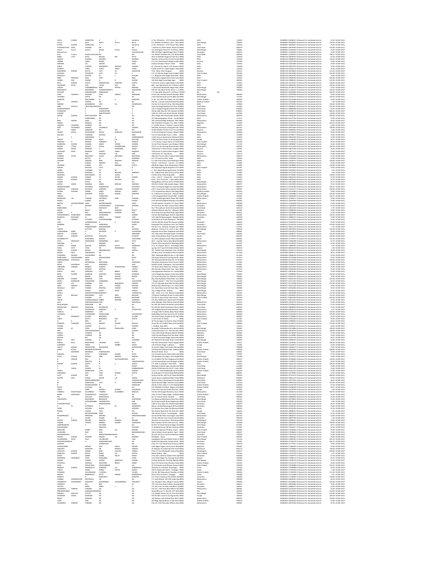| Amiya<br>SUSHI<br>PURLSHOTTAM<br>Kamal<br>Renukam<br><b>First</b>                                                                                                                                  | KUMAR                           | <b>GANDOTRA</b><br>Barat<br>GANDOTRA               | Nikhil                                 |                            | Gandotri<br>.<br>Gandotra          | H. No. 350 Sector - 4 R K Puram New INDIA                                                                                                                                                                                                                                                  | Delhi                                                         | 110022<br>700025<br>110022 | IN300095-10206537-10 Amount for Unclaimed and Un                                                                                                                                                                                                                                                  | 37.50 10-SEP-2011                                                                                     |
|----------------------------------------------------------------------------------------------------------------------------------------------------------------------------------------------------|---------------------------------|----------------------------------------------------|----------------------------------------|----------------------------|------------------------------------|--------------------------------------------------------------------------------------------------------------------------------------------------------------------------------------------------------------------------------------------------------------------------------------------|---------------------------------------------------------------|----------------------------|---------------------------------------------------------------------------------------------------------------------------------------------------------------------------------------------------------------------------------------------------------------------------------------------------|-------------------------------------------------------------------------------------------------------|
|                                                                                                                                                                                                    | KUMAI<br>DASS                   | TAPARIA                                            | NA                                     |                            | NA                                 | 8 C, Mahesh Chowthury Lane CalcufNDIA<br>H. No. 350 Sector - 4 R.K Puram New INDIA<br>1 (old No 21), Basin Water Works StreNDIA                                                                                                                                                            | West Bengal<br>Delhi<br>Tamil Nadu                            | 600079                     | IN300095-10426825-10Amount for Unclaimed and Unit<br>IN300095-10426825-10Amount for Unclaimed and Unit<br>IN300095-10649507-10Amount for Unclaimed and Unit                                                                                                                                       | 118.50 10-SEP-2011<br>75.00 10-SEP-2011<br>375.00 10-SEP-2011                                         |
|                                                                                                                                                                                                    | Kumar                           | Kothari                                            | Rikhab                                 | Chand                      | Kothari<br>Veerabhadraiat          | C/o Switchgear House 37, 3rd Floor, BNDIA<br>489, 5th Main Jagadishnagar New ThiNDIA                                                                                                                                                                                                       | West Bengal<br>Kamataka                                       | 700001<br>560075           | IN300095-11294434-11 Amount for Unclaimed and Un<br>IN300095-11394285-11 Amount for Unclaimed and Un                                                                                                                                                                                              | 75.00 10-SEP-2011<br>75.00 10-SEP-2011                                                                |
| :<br>PREM<br>RAKESH                                                                                                                                                                                | Futures<br>LATA                 | AndSto<br>SETHI                                    | cNA                                    | вA                         | NA.<br>SETHI<br>KHANNA             | A 6. Nelson Chambers No 115, NelsonNDIA<br>Wz/I-47 Mahabir Nagar Ext Gali No 11NDIA<br>Road No 32 House No 19 East PunjabiNDIA                                                                                                                                                             | <b>Tamil Nadu</b>                                             | 600029<br>110018<br>110026 | IN300095-11436529-11-Amount for Unclaimed and Un                                                                                                                                                                                                                                                  | 768.75 10-SEP-2011                                                                                    |
|                                                                                                                                                                                                    |                                 |                                                    | BALDEV<br>DWARK<br>DHARA               |                            |                                    |                                                                                                                                                                                                                                                                                            | Haryana                                                       | 121001                     | =1000118-10058591-10Amount for Unclaimed and Unit<br>N300118-10058591-10Amount for Unclaimed and Unit<br>N300118-10080923-10Amount for Unclaimed and Unit<br>N300118-10245484-10Amount for Unclaimed and Unit                                                                                     | 37.50 10:5EP-2011<br>118.50 10:5EP-2011<br>75.00 10:5EP-2011<br>75.00 10:5EP-2011                     |
| HARBIR<br>KRISHAN<br>SARLA                                                                                                                                                                         |                                 | SINGH<br>LAL<br>CHOPRA                             | VISHAM<br>MOHINDER                     | MOHAN                      | SINGH<br>DASS<br>CHOPRA            | G 2/201 Charmwood Village SurajkutNDIA<br>Krishan & Shakun Phase I Delhi MDIA<br>87 Zamnud Pur Opp N 170 Greater KINDIA                                                                                                                                                                    | Delhi                                                         | 11005<br>110048            | IN300118-10397305-10 Amount for Unclaimed and Un                                                                                                                                                                                                                                                  | 75.00 10-SEP-2011                                                                                     |
| SUPREET<br><b>NARENDRA</b>                                                                                                                                                                         | KUMAR                           | CHRAI<br><b>GUPTA</b>                              | surum<br>LATE                          | SINGH<br>ŠH                | CHRAI<br>GAIADHAR                  | lig-82 lind Floor Lajpat Nagar & New1NDIA<br>H 45 Palam Vihar Gurgaon MDIA                                                                                                                                                                                                                 | Delhi<br>Harvan                                               | 110024<br>122017           | IN300118-10464114-10 Amount for Unclaimed and Un<br>IN300118-10476824-10 Amount for Unclaimed and Un                                                                                                                                                                                              | 75.00 10 SEP-2011<br>112.50 10-SEP-2011                                                               |
| <b>GIGHMA</b><br>MANJULA                                                                                                                                                                           |                                 | <b><i>ROYARTH</i></b><br>NAYYAR                    | LATE                                   | ŚH                         | NAYYAR                             | K.D -52 Old Kavi Nagar Uttar Pradesh INDIA                                                                                                                                                                                                                                                 | <b>Uttar Prades</b>                                           | 201002<br>11002            | IN300118-10476824-104Hmount for Unclaimed and Unit<br>IN300118-10614606-104Hmount for Unclaimed and Unit<br>IN300118-10916293-104mount for Unclaimed and Unit                                                                                                                                     | 225.00 10-SEP-2011<br>75.00 10-SEP-2011<br>225.00 10-SEP-2011                                         |
| BAINI<br>SWAMI                                                                                                                                                                                     | PARSHAD<br>DAS                  | GOEL<br>SWAMI                                      | $_{\rm{CHT}}^{\rm{M}}$                 | $\circ$                    | RAM<br>SWAMI                       | :<br>Bhagwan Dass Nagar New Delhi INDIA<br>5 Navsena Appartments West EnclaINDIA<br>169 Sarla Bagh Dayal Bagh Agra NDIA                                                                                                                                                                    | Delhi<br>Delhi<br><b>Uttar Pradesh</b>                        | 110034<br>282005           | IN300118-10989932-10 Amount for Unclaimed and Un                                                                                                                                                                                                                                                  | 237.00 10-SEP-2011                                                                                    |
| <b>BAVI</b><br>YOGINDER                                                                                                                                                                            | KUMAR<br>NATH                   | <b>GUPTA</b><br>JAIN                               | <b>MMESHWAI</b><br>SALAN               | PARSHAD<br>nas             | <b>GUPTA</b><br><b>JAIN</b>        | E-29 Amar Colony Lajpat Nagar-iv NetNDIA<br>865, Veer Apartments Sec-13 Rohini INDIA                                                                                                                                                                                                       | Delhi<br>Delhi                                                | 110024<br>110085           | IN300118-11073322-11Amount for Unclaimed and Un<br>IN300126-10093402-10 Amount for Unclaimed and Un                                                                                                                                                                                               | 150.00 10-SEP-2011<br>118.50 10-SEP-2011                                                              |
| SANJAY                                                                                                                                                                                             |                                 | <b>CIMARKER</b><br>MUKHERJEE                       | HARI                                   | KIRTAN                     | <b>AFRIMAI</b><br>MUKHERJE         | ass, veer Apartments and as maintained<br>T. New Road Desbandhu Nagar Near INDIA<br>Piot No 150, Block No Br Sector- 1, SJNDIA<br>P. O. Box 2025 Muscat Pc 112 Ruwi COMAN                                                                                                                  | West Bengi                                                    | topost<br>700064           | IN300126-10778123-10 Amount for Unclaimed and Unit<br>IN300126-10778123-10 Amount for Unclaimed and Unit<br>IN300142-10344084-10 Amount for Unclaimed and Unit                                                                                                                                    | 37.50 10-SEP-2011                                                                                     |
| BIŚWANATH<br>KOTHARI<br>ASHA                                                                                                                                                                       | SUBHASH                         | HARISHKUMAR<br>PAGARIA                             | <b>JNANENDRA</b><br>PRABHAKAR<br>VUAY  | SINGHUI                    | NA<br>BHANDARI                     | 8-154 Juhu Harshal Samarth Ramdas INDIA                                                                                                                                                                                                                                                    | West Bengal<br>NA<br>Maharashtra                              | 400049                     | IN300142-10595938-10 Amount for Unclaimed and Un                                                                                                                                                                                                                                                  | 118.50 10-SEP-2011<br>562.50 10-SEP-2011<br>75.00 10-SEP-2011                                         |
| JAYSHREE<br>GABOON                                                                                                                                                                                 |                                 | <b>GUPTA</b><br>MACHINDER                          | NA<br>G.                               | ĸ                          | NA.<br>NARAYAN                     | 3 Hari Das Banerjee Lane Po Bally DistNDIA<br>H No. 10.1.682 S.M.C.River, No.10/20004                                                                                                                                                                                                      | West Bengal<br>Andhra Pradesh                                 | 711201<br>sonor            | IN300159-10150137-10 Amount for Unclaimed and Un<br>IN300159-10225048-104mmmf for Unriained and Un                                                                                                                                                                                                | 118.50 10-SEP-2011<br>75.00 10-SEP-2011                                                               |
| <b>GOBIND</b>                                                                                                                                                                                      | FINANCE                         | .<br>IMITED<br>IHAMBHANI                           | LATE                                   | ŚH                         | NA<br>DWARKADA!                    | Plot No. 1 Servey Industrial Area RaulNDIA<br>Flat No. 1 Servey Industrial Area RaulNDIA<br>Stock Exchange Building First Floor 68NDIA                                                                                                                                                     | Madhya Pradesi                                                | 453332                     | IN300159-10292086-10Amount for Unclaimed and Unit<br>IN300159-10292086-10Amount for Unclaimed and Unit<br>IN300159-10792963-10Amount for Unclaimed and Unit                                                                                                                                       | 75.00 10-SEP-2011<br>7.50 10-SEP-2011<br>150.00 10-SEP-2011                                           |
| <b>BMA</b><br>DHANASEKA/kAN                                                                                                                                                                        | WEALTH                          | <b>CREATORSLIM</b>                                 | :DNA<br>KANDASAMY                      |                            | NA.                                |                                                                                                                                                                                                                                                                                            | Delhi<br>Tamil Nadu<br><b>Tamil Nadu</b>                      | 641005<br>636003           | IN300175-10083698-10 Amount for Unclaimed and Un                                                                                                                                                                                                                                                  | 55.50 10-SEP-2011                                                                                     |
| POONGODI<br>KUMANI                                                                                                                                                                                 |                                 |                                                    | LOGANATHAN<br>KARUPPASAM               |                            |                                    | 124 A Thanga Sengoden Street AmmaNDIA<br>Old No 386, New No 720 Uzhavan NaINDIA<br>5/60 A4. 12th Cross Street Sharthi N/NDIA                                                                                                                                                               | <b>Tamil Nadu</b><br><b>Tamil Nadu</b>                        | 638052<br>627002           | IN300175-10208714-10 Amount for Unclaimed and Un<br>IN300175-10366434-104mmmf for Unriained and Un                                                                                                                                                                                                | 682.50 10-SEP-2011<br>150.00.10/99-2011                                                               |
| ASHOR                                                                                                                                                                                              | KUMAR                           | <b>BHATTACHARYA</b>                                | NA<br>NA                               |                            | NA<br>NA                           |                                                                                                                                                                                                                                                                                            | Maharashtra<br>Delhi<br>Maharashtra                           | 400076<br>111111           |                                                                                                                                                                                                                                                                                                   | 225.00 10-SEP-2011<br>75.00 10-SEP-2011                                                               |
| BINA<br>MANJU                                                                                                                                                                                      | <b>DINESE</b>                   | SHAH<br>MANGAL                                     | NA<br>NA                               |                            | NA<br>NA                           | 5/60 A4, 22th Cross Street Statement NaviOIA<br>Glen Height-202 Hiranandari Gardent/DIA<br>29, Needarajappaiyer Street - PondiciNDIA<br>205, Ashiraad Bidg. Khetwadi, 10th LINDIA<br>302, Shubham Complex 11-a, New FaNDIA                                                                 | Rajasthan                                                     | 400004<br>313004           | =100183-10058108-10Amount for Unclaimed and Unit<br>N300183-10058108-10Amount for Unclaimed and Unit<br>N300183-10147764-10Amount for Unclaimed and Unit<br>N300183-10315437-10Amount for Unclaimed and Unit                                                                                      | 43.50 10-SEP-2011<br>262.50 10-SEP-2011                                                               |
| <b>JAGOISH</b><br>KIRT                                                                                                                                                                             | CHANDRA<br>CHUNNILAL            | JHURANI<br>GANDHI                                  | NA<br>CHUNNEAL                         |                            | NA<br>GANDHI                       | C-1/1396. Sector- C Pocket-1 Vasant INDIA                                                                                                                                                                                                                                                  | Delhi<br>Maharashtra                                          | 110070<br>401101           | IN300183-10382204-10 Amount for Unclaimed and Un<br>IN300183-10631560-10 Amount for Unclaimed and Un                                                                                                                                                                                              | 12.00 10-SEP-2011<br>150.00.10/99/2011                                                                |
| DR<br>ASHISH                                                                                                                                                                                       | KIRAN<br>GOPAL                  | AGRAWA<br>DEODHEKA                                 | <b>DR</b><br><b>GOPA</b>               | cus<br>NARAYA              | <b>RAI</b><br>DEODHEKA             | 405/406, Davshrusti, B-wing 60 Feet INDIA<br>Drishti Medical Centre H.no-771,sectdNDIA                                                                                                                                                                                                     | Harvana<br>Maharashtra                                        | 121002<br>sonos            | IN300183-10685481-10 Amount for Unclaimed and Un                                                                                                                                                                                                                                                  | 6.00.10/99-2011                                                                                       |
| KAILASH                                                                                                                                                                                            | ś                               | CHANDRA<br>HARIHARAN                               | covwe                                  |                            | RAM<br>SUBRAMANI                   | 21 Shrish Makarand Society S Bapat RNDIA<br>H 6 D A Flats Model Town 1 Delhi NDIA<br>A 204 Yamuna Apartments AlaknandaNDIA                                                                                                                                                                 | Delhi<br>Delhi                                                | 110001<br>110019           | IN300183-10736339-10 Amount for Unclaimed and Unit<br>IN300183-10766577-10 Amount for Unclaimed and Unit<br>IN300183-10766677-10 Amount for Unclaimed and Unit                                                                                                                                    | 54.00 10-SEP-2011<br>75.00 10-SEP-2011<br>75.00 10-SEP-2011                                           |
| SANJAY<br>PRAKASH                                                                                                                                                                                  |                                 | MALHAN<br>MENON                                    | MUNI<br>PARAKKAT                       | LAL                        | MALHAN<br>MENON                    | 1498 lind Floor Sector 43 B ChandigatNDIA                                                                                                                                                                                                                                                  | Punjab<br>Uttar Pradest                                       | 160022<br>201304           | IN300183-11569782-11 Amount for Unclaimed and Un<br>IN300183-11746145-11 Amount for Unclaimed and Un                                                                                                                                                                                              | 18.75 10-SEP-2011<br>43.50 10 SEP-2011                                                                |
| <b>RAJENDRA</b><br>RAJESH                                                                                                                                                                          | KUMAR                           | SURANA<br>GOSAVI                                   | <b>AMAR</b><br><b>VITHAL</b>           | CHAND<br><b>CHARASHING</b> | SURANA<br>GOSAVI                   | C 711 Jalvayu Towers Sector 47 NoidaNDIA<br>16 2nd Floor Kolpukur Lane Shibpur HNDIA                                                                                                                                                                                                       | West Beneal<br>Maharash                                       | 711102<br>40022            | IN300183-11894887-11 Amount for Unclaimed and Un                                                                                                                                                                                                                                                  | 43.50 10-SEP-2011<br>118.50 10-SEP-2011                                                               |
| HARDIP<br>KULWANT                                                                                                                                                                                  | VITHAL<br>SINGH<br>KALIR        | MANHAS<br>MANHAS                                   | HARDIE                                 | SHANGARA<br>SINGH          | SINGH<br>MANHAS                    | N 8 Sci Co Op Housing Board Society INDIA<br>1918 Sector 4 Urban Estate Gurgaon INDIA<br>1918 Sector 4 Urban Estate Gurgaon INDIA                                                                                                                                                          | Haryana<br>Haryana                                            | 12200<br>12200             | IN300183-12153450-12 Amount for Unclaimed and University IN300183-1257354-12 Amount for Unclaimed and University IN300183-12877504-12 Amount for Unclaimed and University                                                                                                                         | 75.00 10-SEP-2011<br>75.00 10-SEP-2011                                                                |
| VIPAN<br>CONRAD                                                                                                                                                                                    | PETER                           | JAIN<br>MACHADO                                    | <b>JWAHAR</b><br>JULIUS                | LAL<br>ANTHONY             | <b>JAIN</b><br>MACHADO             | 1353 Sector-25 Panchkula<br>INDIA<br>408 John Francis Villa S G Barve MargINDIA                                                                                                                                                                                                            | Haryana<br>Maharashtra                                        | 134112<br>400070           | IN300183-13057548-13 Amount for Unclaimed and Un<br>IN300183-13163200-13 Amount for Unclaimed and Un                                                                                                                                                                                              | 75.00 10-SEP-2011<br>37.50 10-SEP-2011                                                                |
| NAVEEN                                                                                                                                                                                             |                                 | MITTAL                                             |                                        |                            | AGARWAL<br>SINGHAL                 | 8.2.174 Yamuna Vihar, Delhi<br>INDIA                                                                                                                                                                                                                                                       | Delhi                                                         | 110053                     | IN300183-13326936-13 Amount for Unclaimed and Un                                                                                                                                                                                                                                                  | 75.00 10-SEP-2011                                                                                     |
| KISHORE                                                                                                                                                                                            |                                 | KUMA                                               | RAM<br>RAMESH                          | PRAKASE<br>WAL<br>PERKASH  | LAL<br>GUPTA                       | 02 174 Tanishi Vita<br>1 Gail Colony Nico Area MakhupuriNDIA<br>1 Mac - 233 Pocket - 7 Sector - 23, NNDIA<br>693 Bhola Nagar, Kotla Mubarakpur DNDIA                                                                                                                                       | Rajastha<br>Delhi<br>Delhi                                    | 30500:<br>11008            | IN300183-13420575-13Amount for Unclaimed and Unit<br>IN300183-13420575-13Amount for Unclaimed and Unit<br>IN300206-10355813-10Amount for Unclaimed and Unit                                                                                                                                       | 150.00 10-SEP-2011<br>75.00 10-SEP-2011<br>150.00 10-SEP-2011                                         |
| <b>VUENDER</b><br>SANJAY                                                                                                                                                                           |                                 | KUMAR<br><b>RASTOGI</b>                            | VED<br>LATE                            |                            |                                    | M/s Rajasthan Spg & Wvg Mills Ltd A INDIA<br>E - 502. Mayurdhwai Apartments, PloINDIA                                                                                                                                                                                                      | <b>Uttar Pradesh</b>                                          | 110003<br>201301           | IN300206-10423284-10 Amount for Unclaimed and Un                                                                                                                                                                                                                                                  | 75.00 10-SEP-2011<br>7.50 10-SEP-2011                                                                 |
| <b>JASBIR</b><br>MUKESH                                                                                                                                                                            |                                 | CHHABRA<br>NAINWAL                                 | \$H                                    | M<br>MOHAN                 | NAINWAL                            | 66 - A Block Near Mcd Primary SchoolNDIA                                                                                                                                                                                                                                                   | Delhi<br>Delhi                                                | 110092<br>110005           | IN300206-10502845-10 Amount for Unclaimed and Un<br>IN300206-10757953-10 Amount for Unclaimed and Un                                                                                                                                                                                              | 150.10592011                                                                                          |
| MADHAN<br>GAGAN                                                                                                                                                                                    | <b>KLIMAR</b>                   | BHATNAGA <mark>J</mark><br>KUMAR                   |                                        | SUSHIL<br>SATISH           | KUMAR                              | ou - A sous avenue mod Primary Scribthilli<br>H No - 1/6177 - A Street No - 2 East RINDIA<br>H No - 6177 Street No - 2 East RohtasINDIA<br>Mangaldeep 2nd Floor 56 R K ChatterNDIA<br>Mangaldeep 2nd Floor 56 R K ChatterNDIA                                                              | Delhi<br>Delhi                                                | 110092<br>110032           | IN300205-10759353-LUARINGHT for Unclaimed and UNI<br>IN300205-10759361-10 Amount for Unclaimed and Uni<br>IN300205-10759361-10 Amount for Unclaimed and Uni<br>IN300205-10925443-10 Amount for Unclaimed and Uni<br>IN300214-10011800-10 A                                                        | 150.00 10:56P-2011<br>37.50 10:56P-2011<br>37.50 10:56P-2011<br>42.75 10:56P-2011                     |
| SATISH<br>JHUMA                                                                                                                                                                                    | KUMAR                           | KUMAR<br>DATTA                                     |                                        | MULAKI                     | RAJ                                |                                                                                                                                                                                                                                                                                            | Delhi<br>West Bengal                                          | 11003<br>70004             |                                                                                                                                                                                                                                                                                                   |                                                                                                       |
| SAPNA<br><b>HEMANTICUMAR</b>                                                                                                                                                                       | JAIESH                          | NARSIAN<br>GOTHWA                                  | JAIESH<br><b>JAINARAYAN</b>            | MOHAN                      | NARSIAN<br>GOTHWAI                 | 303/145 Chetan Villa Garodia Nagar (INDIA<br>.<br>Plant 14 Pirojsha Nagar M S GeometriNDIA<br>B 36 7 Governent Colony Bandra EastNDIA                                                                                                                                                      | Maharashtra<br>Maharashtra                                    | 400077<br>400075           | IN300214-10233096-10 Amount for Unclaimed and Un<br>IN300214-10730785-10 Amount for Unclaimed and Un                                                                                                                                                                                              | 37.50 10-SEP-2011<br>149.25.10/99.2011                                                                |
| SANGEETA<br>SHYAM                                                                                                                                                                                  | SANDESH<br><b>ROSHOR</b>        | DHUWALI<br>VERMA                                   | SANDESH<br>ditua                       | TUKARAM<br>PRASAD<br>KUMAR | DHUWALI<br>VERMA<br>KANODIA        |                                                                                                                                                                                                                                                                                            | Maharashtra<br>Madhya Prade                                   | 40005<br>462016            | IN300214-11322371-11 Amount for Unclaimed and Un                                                                                                                                                                                                                                                  | 150.00 10-SEP-2011                                                                                    |
| ANKIT<br>VIMALA                                                                                                                                                                                    |                                 | KANODIA                                            | ALOKE<br>VENKATESH                     |                            |                                    | A 11 Priyadarshini Nilyam Tilak NagarNDIA<br>31 1 Mohrumal Lohia Lane Howrah VNDIA<br>3 19 Ferozguda Near R And D Bhfi SaNDIA                                                                                                                                                              | West Bengal<br>Andhra Pradesi                                 | 71110<br>50000             | = 0.02214-11419999-11Amount for Unclaimed and Unit<br>= 0.0214-11419999-11Amount for Unclaimed and Unit<br>= 0.0214-11653880-11Amount for Unclaimed and Unit                                                                                                                                      | 75.00 10-SEP-2011<br>225.00 10-SEP-2011<br>135.75 10-SEP-2011                                         |
| MANOHAR<br>RAJEEV                                                                                                                                                                                  | LAL                             | <b>PUNJABI</b><br>KUMAR                            | LACHMAN<br>GULAB                       | DASS                       | PUNJABI<br>CHAND                   | FI 402 Pundal Agot Resi3 Phase 160 NNDIA<br>H No 48 Ashok Rajpath Bankipur DistINDIA<br>9 A 002 Aashish Complex C S C Road INDIA                                                                                                                                                           | Maharashtra<br><b>Sihan</b>                                   | 411001<br>800001           | IN300214-12783311-12 Amount for Unclaimed and Un<br>IN100214-13020184-134mmmt for Unriained and Un                                                                                                                                                                                                | 75.00 10-SEP-2011<br>75.00 10 SEP-2011                                                                |
| MAYUR<br>RAVI                                                                                                                                                                                      | <b>NAVINCHANDR</b>              | SHAH<br>DHAGG                                      | NAVINOHANDRA<br>VISHWASARAD            | VENKATRAC                  | <b>SHAH</b><br>DHAGGE              | 25 First Floor Shri Ram Colony RanichtNDIA                                                                                                                                                                                                                                                 | Maharashtra                                                   | 400068<br>590001           | IN300214-13443658-13 Amount for Unclaimed and Un                                                                                                                                                                                                                                                  | 27.00 10-SEP-2011<br>37.50 10-SEP-2011                                                                |
| RAMKUMA<br>NIKHE,                                                                                                                                                                                  |                                 | .<br>BHATT                                         | DHANUSH<br>OM                          | KODI<br>PRAKASH            | n<br>BHATT                         | No 7 Thiruvalluvar Street ChinnandirriNDIA<br>29 Bhatt Niketan Vakil Cly - Bhilwara INDIA                                                                                                                                                                                                  | Kamataka<br>Tamil Nadu<br>Rajasthan                           | 60011<br>31100             | IN300234-13644838-13Amount for Unclaimed and Unit<br>IN300234-13644838-13Amount for Unclaimed and Unit<br>IN300234-14039036-14Amount for Unclaimed and Unit                                                                                                                                       | 3.75 10-SEP-2011<br>75.00 10-SEP-2011                                                                 |
| AVNISH<br>PANDHARINATH                                                                                                                                                                             | NIVRATIRAO                      | <b>BAO</b><br>GUIME                                | RADHAKRISHNA<br>NIVRATIRAO             | SITARAM                    | <b>BAD</b><br>GURME                | No 4 Krishna Krupa Main Road Lingar/NDIA<br>Flat No 206 Nabhangan Gard En AparINDIA                                                                                                                                                                                                        | Kamataka<br>Maharashtra                                       | 580031<br>431605           | IN300214-14444689-14 Amount for Unclaimed and Un<br>IN300214-14824791-14 Amount for Unclaimed and Un                                                                                                                                                                                              | 37.50 10-SEP-2011<br>118.50 10-SEP-2011                                                               |
| <b>BHARATH</b>                                                                                                                                                                                     | BHUSHAN<br>CHANDY               | ×.<br><b>ITTYERAY</b>                              | SOMA<br>UTHUPARAMBI                    | SHEKAR                     | <b>JADE</b>                        |                                                                                                                                                                                                                                                                                            | Kamataka                                                      | 560028                     | IN300214-14889137-14 Amount for Unclaimed and Un                                                                                                                                                                                                                                                  | 75.00 10-SEP-2011                                                                                     |
| ANIL<br>VINU                                                                                                                                                                                       |                                 | KADDI                                              | .<br>JAMPANNA                          |                            | <b>CANC</b><br>ITTYERAH<br>KONDAYI | SS/1 Apk Rd Basinoinigudi BangalosINDIA<br>Sd 50 Block Sd South Pitampura: DelINDIA<br>Fiat No 304 9th Street 9th Avenue ApINDIA<br>Honeywell Tech Solutions Lib P Ltd 11NDIA                                                                                                              | Delhi<br>Kamataka<br>Kamataka                                 | 110034<br>560043           | IN300234-15319139-15 Amount for Unclaimed and Unit<br>IN300234-15519139-15 Amount for Unclaimed and Unit<br>IN300234-155837263-15 Amount for Unclaimed and Unit                                                                                                                                   | 75.00 10-SEP-2011<br>75.00 10-SEP-2011<br>375.00 10-SEP-2011                                          |
| SHRIRAM                                                                                                                                                                                            |                                 | KANDASWAMY                                         | GUNASEKARAN                            |                            | KADDI<br>NA.                       | Flat No-a-72, Niranjan Complex Sai CINDIA<br>Medscan Terminal Co Ltd P O Box INDIA                                                                                                                                                                                                         | Maharashtra                                                   | 560076<br>411021           | IN300214-16031114-16Amount for Unclaimed and Un                                                                                                                                                                                                                                                   | 2.25 10-SEP-2011                                                                                      |
| IOSEPH<br>CHINNAMMA                                                                                                                                                                                | MANI                            | <b>KUTTYVS</b>                                     | MICHAEL<br>MATHEW                      |                            | SAVIOUR<br><b>ALEXANDER</b>        | Kaniirkal House Near Telephone Ferhinitis                                                                                                                                                                                                                                                  | West Bengal<br>Kerala                                         | 700013<br>688001           | IN300239-10037835-10 Amount for Unclaimed and Un<br>IN300239-10512813-10 Amount for Unclaimed and Un                                                                                                                                                                                              | 375.00 10-SEP-2011<br>75.00 10-SEP-2011                                                               |
| SENTHIL<br>SHYAM                                                                                                                                                                                   | KUMAR<br>SUNDEF                 | GOPALAN                                            | <b>INS IAN</b>                         |                            | KRISHNAN<br>ELEDATH                | Antipote in the Shevapet Salem TamiNDIA<br>Ardra Thesarakkavu Road TripunithurINDIA<br>32 \ 816 Vadakara House PalarivattorINDIA<br>Nb 2 - Jawahar Colony New Balaji NapNDIA<br>Nb 2 - Jawahar Colony New Balaji NapNDIA                                                                   | Tamil Nadu<br>Kerala<br>Kerala<br>Maharashtra                 | swm:<br>68230              | <b>PRIORISE CONSULTER CONTROL CONTROL</b><br>INSTIGUES 19-10598327-10 Amount for Unclaimed and Un<br>IN300239-10598329-10 Amount for Unclaimed and Un<br>IN300239-11755437-11 Amount for Unclaimed and Un<br>IN300239-12485698-12 Amount for Un                                                   | 525.00 10-SEP-2011<br>150.00 10-SEP-2011                                                              |
| GEORGEKUTT<br>PATIL                                                                                                                                                                                | PRASHAN                         | KUNCHERIA<br>VIKRAMRAO                             | AUSEPH<br>VIKRAMRAO                    | tHU                        | KUNCHERIA<br>PATIL                 |                                                                                                                                                                                                                                                                                            |                                                               | 68202<br>431005            |                                                                                                                                                                                                                                                                                                   | 112.50 10-SEP-2011<br>51.75 10-SEP-2011                                                               |
| PRAVEEN<br>VARSHA                                                                                                                                                                                  | <b>AMAR</b>                     | KANTAK                                             | PREMAN<br>NAMDEV                       | DATTA                      | NA.<br>VERNEKAR                    | Praveen Nivas Karachal Po MeenangalNDIA<br>.<br>H.no. G-1 Aquem Alto E.r. Anchorage INDIA<br>Lipi Sqn B 57 Asp Af Af Station Makar/NDIA                                                                                                                                                    | Kerala<br>Maharashtra                                         | 673591<br>403601           | IN300239-13109976-13 Amount for Unclaimed and Un<br>IN300239-13684095-13 Amount for Unclaimed and Un                                                                                                                                                                                              | 37.50 10-SEP-2011<br>2.25 10-SEP-2011                                                                 |
| <b>SUNIL</b><br>AMMA                                                                                                                                                                               | DUTT<br><b>KUMAR</b>            | TYAGI<br>anash                                     | sm<br>ABANIBHUSAI                      | RAMANANC                   | TKAGI<br>GHOSH                     |                                                                                                                                                                                                                                                                                            | Guiarat<br>.<br>Next Bengal                                   | 390014<br>743413           | IN300239-30044240-30 Amount for Unclaimed and Un                                                                                                                                                                                                                                                  | 1.50 10-SEP-2011                                                                                      |
| BIHANI<br>DUDHEDIA                                                                                                                                                                                 | DILIP<br>MONALI                 | <b>JAMANADA</b><br>VUAYKUMA                        | NA                                     |                            | NA<br>NA                           | - VII - Nahati Post- Badartala Dist-24 INDIA<br>207 Bizy Land 776 Sadashiv Peth KuniNDIA<br>26/5, Gertanjali Bidg Flat No.11, ShiwNDIA                                                                                                                                                     | Maharashtra<br>Maharashtra                                    | 411030<br>411030           | IN300283-10162713-10 Amount for Unclaimed and Unit<br>IN300283-10162713-10 Amount for Unclaimed and Unit<br>IN300280-10068316-10 Amount for Unclaimed and Unit                                                                                                                                    | 75.00 10-SEP-2011<br>26.25 10-SEP-2011<br>37.50 10-SEP-2011                                           |
| RAMCHAND<br>HARKISHANDAS                                                                                                                                                                           | KISHANCHAND<br><b>VITHALDAS</b> | BAJAJ<br>MODI                                      | KISHANCHAND                            |                            | BAJAJ<br>NA.                       | 416 Super Dhannaj Co-op Hsg Soc Nr.INDIA<br>397 Shankarsheth Rd Shop No. 31 PolNDIA<br>Chamadia Distributors Kumar Corner INDIA                                                                                                                                                            | Maharashtra<br>Maharashtra                                    | 411017<br>411037           | IN300280-10110348-10 Amount for Unclaimed and Un<br>IN300280-10127628-10 Amount for Unclaimed and Un                                                                                                                                                                                              | 73.50 10-SEP-2011<br>750.00 10-SEP-2011                                                               |
| <b>VINITA</b><br>DIPAK                                                                                                                                                                             | MADANI AI                       | RCHAMADIA<br>KALE                                  | <b>RAIKUMAR</b><br>MADANLAI            |                            | CHAMADIA<br>KALE                   |                                                                                                                                                                                                                                                                                            | Maharashtra<br>Maharashtra                                    | 411001<br>42360            | IN300280-10186556-10 Amount for Unclaimed and Un                                                                                                                                                                                                                                                  | 75.00 10 SEP-2011<br>75.00 10-SEP-2011                                                                |
| VIRENDRA<br>AJEETLAL                                                                                                                                                                               | SUBDOM                          | PRABHU<br>DEVIDAS                                  | SUBODH<br>DEVIDAS                      | GHANASHAM                  | PRABHU<br>Chapsi                   | Cramisus connection some come incore<br>Candhi Chowk, Kopargaon, Dist-ahmiNDIA<br>M/s Devides Chapsi Cloth Lane Latur INDIA<br>M/s Devides Chapsi Cloth Lane Latur INDIA                                                                                                                   | Maharashtra<br>Maharashtra                                    | 416002<br>413512           | IN300280-10306293-10 Amount for Unclaimed and University 00280-1036293-10 Amount for Unclaimed and University 00280-10 Amount for Unclaimed and University 00280-10 Amount for Unclaimed and University 00280-10 Amount for Un                                                                    | 75.00 10-SEP-2011<br>75.00 10-SEP-2011                                                                |
| KANTA<br><b>BIPIN</b>                                                                                                                                                                              | DEVI<br>KUMAR                   | AGRAWA<br>KEJRIWAL                                 | LATE<br>SANTOSH                        | EINOD<br>KUMAR             | KUMAR<br><b>KEIRIWAL</b>           | Care-jagdamba Industries P.o.-rairang/NDIA<br>4.b.b.d.bag(east),stephan-house RoomNDIA                                                                                                                                                                                                     | Orissa<br>West Bengal                                         | 757043<br>700001           | IN300327-10076785-10 Amount for Unclaimed and Un<br>IN300327-10088466-10 Amount for Unclaimed and Un                                                                                                                                                                                              | 75.00 10-SEP-2011<br>724.50 10-SEP-2011                                                               |
| MANJU<br>KRISHAP                                                                                                                                                                                   |                                 | BIHANI<br>KÉJRIWAL<br>CHAUDHAR                     | <b>BAM</b><br>---<br>LATE<br>JHABARMAL | KISHAN<br>MANNE            | BIHANI                             | C/o Escel Industries 11a. Maharshi DeNDIA                                                                                                                                                                                                                                                  | West Bengal                                                   | 700007                     | IN300327-10144731-10 Amount for Unclaimed and Un                                                                                                                                                                                                                                                  | 75.00 10-SEP-2011                                                                                     |
| MURLI<br>KANTI                                                                                                                                                                                     | KUMAR<br>MANOHA<br>LAL          | SHARMA                                             | <b>JHAB</b><br>LATE                    | BHAGIRATH                  | LAL<br>CHAUDHARY<br>PRASAD         | Sta, Raja Raj Ballav Street Near KumitNDIA<br>" Ganges Garden " 106, Kiran ChandriNDIA<br>27a, Dr. Rajendra Road Near NorthersNDIA                                                                                                                                                         | West Bengal<br>West Bengal<br>West Bengal                     | 71110<br>700020            | IN300327-10164726-10 Amount for Unclaimed and Unit<br>IN300327-10164726-10 Amount for Unclaimed and Unit<br>IN300327-10174598-10 Amount for Unclaimed and Unit                                                                                                                                    | 225.00 10-SEP-2011<br>55.50 10-SEP-2011<br>375.00 10-SEP-2011                                         |
| DEBA<br>MANJULA                                                                                                                                                                                    | PROSAD<br>DEVI                  | SARKAR<br>THARAD                                   | LATE<br>KRISHNA                        | TARANI<br>KUMAR            | MOHAN<br>THARAD                    | Ghatak Para, Manirampur, P.o.-barradNDIA<br>5/1, Kashi Bose Lane 2nd Floor Opp. KNDIA                                                                                                                                                                                                      | West Bengal<br>West Bengal                                    | 743101<br>700006           | IN300327-10241526-10 Amount for Unclaimed and Un<br>IN300327-10242684-10 Amount for Unclaimed and Un                                                                                                                                                                                              | 75.00 10-SEP-2011<br>43.50 10-SEP-2011                                                                |
| REENA                                                                                                                                                                                              |                                 | KUNDU<br>SADASHIV                                  | SANAT<br><b>ISADASHIV</b>              | KANTI                      | KUNDU                              | 971, Namil Holen Laine Zini Trioto Opp. NYGINA<br>103, Anita Ch.s. Ltd., Behind NeelyNDIA<br>103, Anita Ch.s. Ltd., Behind NeelyNDIA<br>77d/harish Chatterjee Street P.o-bhor/NDIA<br>671 New Millennium Apartments PioINDIA<br>671 New Mille                                              | West Benita                                                   | 700073                     | IN300327-10500536-10 Amount for Unclaimed and Un                                                                                                                                                                                                                                                  | 37.50 10-SEP-2011                                                                                     |
| SHAILA<br>ARUN                                                                                                                                                                                     | BHUSAN                          | MUKHERJEE                                          | LATE<br>SH                             | <b>NOL</b><br>BHARA!       | THINGALAYA<br>BHUSAN               |                                                                                                                                                                                                                                                                                            | Maharashtri<br>West Bergai<br>Uttar Pradesi                   | 42150:<br>70002<br>201010  | =1000351-10050998-LDAmount for Unclaimed and United RS200351-10050998-LDAmount for Unclaimed and United RS200351-20018655-20Amount for Unclaimed and United RS200351-500031093-50Amount for Unclaimed and United RS20031052-50                                                                    | 112.50 10-SEP-2011<br>112.50 10-SEP-2011                                                              |
| ALKA<br>TRILOK<br><b>JAIN</b>                                                                                                                                                                      |                                 | KHANNA<br>CHANDAO<br>VINCOMOHANLALIAIN             | L SHBRU                                | KISHOR                     | BHUSHAN<br>AGAINNAL<br>MOHANLAI    | Near Ahilyabai Vihar Behind Janata BINDIA                                                                                                                                                                                                                                                  | Maharashtra                                                   | 110075<br>425412           | IN300360-10203732-10 Amount for Unclaimed and Un                                                                                                                                                                                                                                                  | 225.00 10-SEP-2011<br>37.50 10-SEP-2011<br>75.00 10-SEP-2011                                          |
| RAJALAKSHMI<br>BANGALORE                                                                                                                                                                           | SRINIVAS                        | MANOHAN<br>MANOHAN                                 | NA<br>DEVARAJAN                        |                            | NA<br>NA                           | No 100, 6th Street Secretariat Colony(NDIA<br>No 100 6th Street Secretariat Colony INDIA                                                                                                                                                                                                   | <b>Tamil Nadu</b><br><b>Tamil Nadu</b>                        | 600010<br>600010           | IN300360-20195854-20 Amount for Unclaimed and Un<br>IN300360-20608493-20 Amount for Unclaimed and Un                                                                                                                                                                                              | 37.50 10 SEP-2011<br>37.50 10 SEP-2011                                                                |
| PARLIL<br>PAMELA                                                                                                                                                                                   |                                 | <b>UPADHYAYA</b><br>RODERICKS                      | KAMLESH                                |                            | UPADHYAYA                          | 297 Vedgadi Samuel Street Mumbai INDIA<br>13 Virgo Ville 31 Shirley Rajan Road BINDIA<br>Habib Bldg 2nd Floor Room No 33 2nINDIA                                                                                                                                                           | Maharashtr                                                    | 100003<br>400051           | IN100360-20004514-20 Amount for Unclaimed and University 00380-20104514-20 Amount for Unclaimed and University 00380-21455518-21 Amount for Unclaimed and University 00380-21455964-21 Amount for Unclaimed and University                                                                        | 6.75 10-SEP-2011<br>118.50 10-SEP-2011<br>375.00 10-SEP-2011                                          |
| VASTIMAL<br>ALY.                                                                                                                                                                                   | REHEMOO                         | CHOWDHARY<br><b>ALLANA</b>                         | LATE<br>OOKHCHAND<br>REHEMOO           |                            | CHOWDHAR<br>ALLANA                 | The Great Eastern Royale Co Oo Hse SNDIA                                                                                                                                                                                                                                                   | Maharashtra<br>Maharashtra<br>Maharashtra                     | 400004<br>400003           | IN300360-21700883-21 Amount for Unclaimed and Un                                                                                                                                                                                                                                                  | 37.50 10-SEP-2011                                                                                     |
| SAROI                                                                                                                                                                                              |                                 | <b>GUPTA</b><br>tébl                               | BHAGWAT<br>MT                          | DAS<br>M                   | <b>GUPTA</b>                       | D 126 Sector 50 Noida<br>49 Triveni Appt A 6 Paschim Vihar NetNDIA                                                                                                                                                                                                                         | Uttar Pradesi                                                 | 201301<br>110063           | IN300360-21961204-214mmmt for Unriained and Un<br>IN300360-21988205-21 Amount for Unclaimed and Un                                                                                                                                                                                                | 75.00 10 SEP-2011<br>43.50 10-SEP-2011                                                                |
| PRAMOS                                                                                                                                                                                             | <b>CHANDRA</b>                  | SHUKLA                                             | RADHAY                                 | SHYAN                      | <b>SHUKLA</b>                      | use No 227 Faithful Ganj Cantt KarlNDIA                                                                                                                                                                                                                                                    | Uttar Pradesh                                                 | 20800-                     |                                                                                                                                                                                                                                                                                                   | 174.00 10-SEP-2011                                                                                    |
| PUNAM<br>SAUMIL                                                                                                                                                                                    | M                               | CHOPRA<br>VORA                                     | MAHESI                                 | PRABI                      | CHOPRA<br>VORA                     |                                                                                                                                                                                                                                                                                            | Delhi<br>West Bengal                                          | 110014<br>700003           | =100360-22166212-22Amount for Unclaimed and Un<br>=100360-224456212-22Amount for Unclaimed and Un<br>=100360-22445622-22Amount for Unclaimed and Un<br>=100360-22619086-22Amount for Unclaimed and Un                                                                                             | 22.50 10-SEP-2011<br>130.50 10-SEP-2011                                                               |
| SMT<br>MANJU                                                                                                                                                                                       |                                 | <b>SANTOSHSDUGGAS</b><br>CHORDIA                   | NA                                     |                            | DUGGAL<br>NA                       | A-202 dhanshree C.h.s. Plot No.146.s(NDIA<br>H No 2326 Chodia Bhawan Behind Of NDIA                                                                                                                                                                                                        | Maharashtra<br>Rajasthan                                      | 410210<br>302003           | IN300386-10018705-10 Amount for Unclaimed and Un<br>IN300394-10118969-10 Amount for Unclaimed and Un<br>INTOTENA-10118985-10 Amount for Unriaimed and Un                                                                                                                                          | 150.00 10-SEP-2011<br>37.50 10-SEP-2011                                                               |
| SURESH<br>DEEPA                                                                                                                                                                                    |                                 | CHORDIA<br><mark>iaj</mark><br>Imarima             | NA                                     |                            | NA.                                | 2326 Chordia Bhawan B/o Obc Bank INDIA                                                                                                                                                                                                                                                     | Raiasthan<br>tajastha<br>Afest Be                             | 302003<br>0200             |                                                                                                                                                                                                                                                                                                   | 75.00 10-SEP-2011                                                                                     |
| BIMLA<br>RANGA                                                                                                                                                                                     | DEVI<br>RAJU                    | <b>MANTHENA</b>                                    | LAKSHM                                 | PATHI                      | na<br>Kśharma<br>Raiu              | 2.00 Chinas student by Oct. Cans, INDIA<br>4.18 Ext Saraswati Nagar Gatore RoadNDIA<br>207 Maharshi Devendra Road CalcuttNDIA<br>Plot-205 Harichandra Towers SajjapurNDIA                                                                                                                  | Andhra Prade                                                  | 53421                      | IN300394-10143134-10 Amount for Unclaimed and Unit<br>IN300394-10540133-10 Amount for Unclaimed and Unit<br>IN300394-11019582-11 Amount for Unclaimed and Unit                                                                                                                                    | 56.25 10-SEP-2011<br>12.00 10-SEP-2011<br>150.00 10-SEP-2011                                          |
| GURPREET<br>SANJIT                                                                                                                                                                                 | KUMAR                           | SINGH<br><b>MOHAPATRA</b>                          | RAIKISHORE                             | HARBIR                     | SINGH<br>MOHAPATRA                 | 116-d Kitchlu Nagar Ludhiana<br>INDIA<br>At-cement Nagar Post-bardol Dist-barNDIA                                                                                                                                                                                                          | Punjab<br>Orissa                                              | 141001<br>768038           | IN300394-11223672-11 Amount for Unclaimed and Un<br>IN300394-11826617-11 Amount for Unclaimed and Un                                                                                                                                                                                              | 75.00 10-SEP-2011<br>75.00 10-SEP-2011                                                                |
| KARVY                                                                                                                                                                                              | <b>STOCK</b>                    | BROKINGLTDFOM/NA<br>KRISHNAN<br>GEDEF              |                                        |                            | NA.<br>N<br>SETH                   | 529 Road No-4 Banjara Hills HyderabINDIA<br>38 South Street, Karur (NDIA)<br>Cin Surandra Kumar Sethi Andhra BadNDIA                                                                                                                                                                       | Andhra Pradesh<br>Tamil Nadu                                  | 500034<br>s39001<br>753007 | IN300394-11832204-11Amount for Unclaimed and Un<br>IN300394-12180475-12 Amount for Unclain<br>IN300394-12994117-12 Amount for Unclain                                                                                                                                                             | 648.00 10-SEP-2011<br>73.50 10-SEP-2011<br>37.50 10-SEP-2011                                          |
| KAIAL                                                                                                                                                                                              | KUMAR                           | MODAK                                              | RAM                                    | PROSAD<br>SATYAN           | MODAK<br>RAD                       | VIII Apurbapur Po Singur Dist HooghINDIA<br>12-13-668/4 Plot No 9 Nagarjuna NajNDIA                                                                                                                                                                                                        | West Bengal                                                   | 712409                     | IN300394-13154472-13 Amount for Unclaimed and Un<br>IN300394-13198483-13 Amount for Unclaimed and Un                                                                                                                                                                                              | 75.00 10-SEP-2011<br>118.50 10-SEP-2011                                                               |
|                                                                                                                                                                                                    | SRIHAR                          | <b>RAO</b><br>MALATHI                              |                                        |                            | VISWANADHAM                        | C/o B Viswanadham Asst Manager In/INDIA                                                                                                                                                                                                                                                    | Andhra Prade<br>Andhra Pradesh                                | 50001<br>533201            | IN300394-13200970-13 Amount for Unclaimed and Un                                                                                                                                                                                                                                                  | 43.50 10-SEP-2011                                                                                     |
| RAKESH                                                                                                                                                                                             | KUMAR                           | <b>GUPTA</b><br><b>BAVI</b>                        |                                        | ċ                          | <b>GUPTA</b><br>ROYER              | C-3- A/81 A lanaknuri New Delhi<br>INDIA<br>in Kudiverruppu JavankonamiNDIA                                                                                                                                                                                                                | Delhi<br><b>Tamil Nadu</b>                                    | 110052<br>612802           | IN300394-13263730-13 Amount for Unclaimed and Un<br>IN300394-13912536-13 Amount for Unclaimed and Un                                                                                                                                                                                              | 118.50 10-SEP-2013<br>75.00 10 SEP-2011                                                               |
| JANNU                                                                                                                                                                                              | YADHI.                          | KUMAA<br>PRABHUDAS                                 | LATE                                   |                            | <b>GIRBAN</b><br>SAMUEL<br>GUPTA   | Old No-3/184 New No-554 P T Usha SNDIA                                                                                                                                                                                                                                                     | Tamil Nadu                                                    | 604407<br>506370           | IN300394-14057493-14Amount for Unclaimed and Unit<br>IN300394-14057493-14Amount for Unclaimed and Unit<br>IN300394-14161215-14Amount for Unclaimed and Unit                                                                                                                                       | 75.00 10-SEP-2011<br>75.00 10-SEP-2011<br>31.50 10-SEP-2011                                           |
| SUBHADRA<br>suurr                                                                                                                                                                                  | KUMAR                           | DEVI<br>KAR                                        | VUAY<br>LATE                           | KUMAI                      |                                    | H-no-2 -9 -1169 Waddepally (v) HanaINDIA<br>At Subhalaya K P Sarkar Road MithapINDIA<br>Ananya Flat No-402 54 N S Road NatNDIA                                                                                                                                                             | Andhra Pradei<br>Bihar<br>West Bengal                         | 800001<br>700103           | IN300394-14757672-14 Amount for Unclaimed and Un                                                                                                                                                                                                                                                  | 300.00 10-SEP-2011                                                                                    |
| SAVITRI                                                                                                                                                                                            | peyr                            | SUNDA<br><b>NAMASUBRAM</b>                         | <b>JTWAN</b>                           | LAL.                       | SUNDA<br>VISWANATHAN               | .<br>Sunda House Joraphatak Road DhanBNDIA<br>88 East Colony Lakshmipuram KovilpJNDIA                                                                                                                                                                                                      | <b>Jharkhand</b><br><b>Tamil Nadu</b>                         | 826001<br>628502           | IN300394-14851123-14 Amount for Unclaimed and Un<br>IN100304-14937556-14 Amount for Unclaimed and Un                                                                                                                                                                                              | 37.50 10-SEP-2011<br>30.75 10 SEP-2011                                                                |
|                                                                                                                                                                                                    |                                 | MANICKAM                                           | LATE                                   |                            | <b>KANNAPPAN</b><br>KANNAIAH       | au Can Coory Catalumparam Rompinson<br>30/16 Ganesh Nagar Teachers Colom/NDIA<br>32-703/bk/b-5 B-block Banjara KirariNDIA<br>32-703/bk/b-5 B-block Banjara KirariNDIA                                                                                                                      | <b>Tamil Nadu</b>                                             | 641104<br>52400            | =1003394-14993140-144 Amount for Unclaimed and University PA300394-14993140-144 Amount for Unclaimed and University PA300394-15230728-15 Amount for Unclaimed and University PA300394-15506494-15 Amount for Unclaimed and Uni                                                                    | 112.50 10-SEP-2011                                                                                    |
| .<br>RAHAT<br>VINAY                                                                                                                                                                                |                                 | DHANALAKSHI<br>SULTANA<br>GARG                     | UPDESH                                 | KUMAR                      | NA<br>AGGARWAI                     | H No 3513 Calcutta Street Ward No 3NDIA                                                                                                                                                                                                                                                    | Andhra Pradesh<br>Andhra Pradesh<br>Punjab                    | 500034<br>151001           | IN300394-15629769-15 Amount for Unclaimed and Un                                                                                                                                                                                                                                                  | 37.50 10-SEP-2011<br>18.75 10-SEP-2011<br>1.50 10-SEP-2011                                            |
| TAMBOLI<br><b>BADRI</b>                                                                                                                                                                            | MUSHTAQUE<br>NARAYANA           | GULABBHAI<br>GUDIKANDULA                           | TAMBOLI<br>THUKKAIAH                   | GULABBHA                   | MJUMB<br>NA.                       | Flat No 104 Swagat Residency Guru ONDIA<br>H No.13-167/2 Banc Name: Asifahad INDIA                                                                                                                                                                                                         | Maharashtra<br>Andhra Pradesh                                 | 411038<br>504293           | IN300394-15826410-15 Amount for Unclaimed and Un<br>IN300394-15913429-15 Amount for Unclaimed and Un                                                                                                                                                                                              | 130.50 10-SEP-2011<br>37.50 10-SEP-2011                                                               |
| NA<br>SABYASACHI                                                                                                                                                                                   |                                 | VELLACHI<br>MUKHERJEE<br>SUNDARAMBA                | <b>EARAYANAN</b>                       |                            | NA:<br>NA<br>MUKHERJEE             | No 22 Lemaire Street Karaikal<br>Co Biswarup Mukherjee Chasa Para RNDIA<br>No 35 Karunanidhi Road Saligramam INDIA<br>No 35 Karunanidhi Road Saligramam INDIA                                                                                                                              | Tamil Nadu<br>West Bengal<br>Tamil Nadu                       | smen:<br>74110             | IN300394-16085836-16Amount for Unclaimed and Unit<br>IN300394-16085836-16Amount for Unclaimed and Unit<br>IN300394-16279842-16Amount for Unclaimed and Unit                                                                                                                                       | 75.00 10-SEP-2011<br>75.00 10-SEP-2011<br>4.50 10-SEP-2011                                            |
| PURUSHOTTAMA                                                                                                                                                                                       |                                 |                                                    | VEEZHINATHA<br>VIGNESHWARA             |                            | <b>IYER</b><br><b>ADIGA</b>        | 5 8th A Cross Near Om Shakthi KallalaNDIA                                                                                                                                                                                                                                                  | Kamataka                                                      | 600093<br>560079           | IN300394-16614196-16 Amount for Unclaimed and Un                                                                                                                                                                                                                                                  | 18.75 10-SEP-2011                                                                                     |
| TAHIR                                                                                                                                                                                              |                                 | KOTRESHA<br><b>HUSSAIN</b>                         | <b>NURLE</b>                           | M                          | <b>SHEKRAPPA</b><br>HUSSAIN        | Mecon Limited Basavangudi 89 SouthINDIA<br>C/o Alankar Store Near Sbi Namrup PINDIA                                                                                                                                                                                                        | Kamataka<br>Assam                                             | 560004<br>786623           | IN300394-16766764-16 Amount for Unclaimed and Un<br>IN300394-16795205-16 Amount for Unclaimed and Un                                                                                                                                                                                              | 75.00 10-SEP-2011<br>37.50 10-SEP-2011                                                                |
| RAJESH                                                                                                                                                                                             |                                 | 0.0344<br>NGHYA<br>MATHESYN                        | YASH<br>MARI                           |                            | PAL<br>MUTHU                       |                                                                                                                                                                                                                                                                                            | Punjab<br>Tamil Nadu                                          | i sona<br>63220            |                                                                                                                                                                                                                                                                                                   | 7.50 10-SEP-2011<br>37.50 10-SEP-2011                                                                 |
| RUDRAS<br><b>BASAD</b>                                                                                                                                                                             |                                 | PRADHAN<br>SALAM                                   | DHRUBA<br>YAQUB                        |                            | PRADHAND                           | Cy Ambria Road Amb Teh Amb Dist INDIA<br>104 Unjanai Colony Truchengode - INDIA<br>104 Unjanai Colony Truchengode - INDIA<br>10 No 148 4th Cross Hussain GardenNDIA<br>H G No 148 4th Cross Hussain GardenNDIA                                                                             | Maharashtra<br>Kamataka                                       | 403726                     | =1000394-16846037-16Amount los Unclaimed and Unit<br>N300394-16846037-16Amount for Unclaimed and Unit<br>N300394-16847656-16Amount for Unclaimed and Unit<br>N300394-16848552-16Amount for Unclaimed and Unit                                                                                     | 15.00 10-SEP-2011<br>7.50 10-SEP-2011                                                                 |
| SANJAY                                                                                                                                                                                             | KUMAR                           | MISHRA                                             | KISHORI                                | ALI<br>SHARAN              | MISHRA                             | Ward No-14 Jmg Colony BishrampurINDIA<br>Rina Vandana 4/6/352 Salt Lake City, KNDIA                                                                                                                                                                                                        | Chhattisgart                                                  | 585103<br>497226           | IN300394-16909655-16 Amount for Unclaimed and Un                                                                                                                                                                                                                                                  | 75.00 10-SEP-2011                                                                                     |
| SUMAN<br><b>GOWRISANKAR</b>                                                                                                                                                                        |                                 | TODANI                                             | NIRMAI<br>SELVARA                      | KUMAF                      | AGARWALA<br>NA                     | No 937 1st Street Kamarai Nazar 26 RNDIA                                                                                                                                                                                                                                                   | West Bengal<br>Tarril Nadu                                    | 700048<br>612001           | IN300394-16956006-16 Amount for Unclaimed and Un<br>IN300394-16967617-16Amount for Unclaimed and Un                                                                                                                                                                                               | 750.00 10-SEP-2011<br>18.75 10-SEP-2011                                                               |
| SHVAKUMAR<br>MADHURI<br>JAYASHREE                                                                                                                                                                  |                                 | DUBEY<br>AIAY                                      | WNAYO<br>RAM<br>AIAY                   | LAL                        | POQJARY<br>MISHRA<br>RANGABH       | Ss Kolkeball House Old Bus Stand KurlNDIA<br>38 Milkeson (Anaer on: Could Thans)<br>H-S-6-d Dr Rajendra Pd Road Thans) - INDIA<br>146-a Willalar Street Lakshmi - Apt F-3NDIA                                                                                                              | Kamataka<br>Uttar Pradesi<br>Tamil Nadu                       | 57620<br>28400             | IN300394-17016157-17Amount for Unclaimed and Unit<br>IN300394-17016157-17Amount for Unclaimed and Unit<br>IN300394-17016964-17Amount for Unclaimed and Unit                                                                                                                                       | 37.50 10-SEP-2011<br>75.00 10-SEP-2011<br>75.00 10-SEP-2011                                           |
| RAVINDRANATH                                                                                                                                                                                       |                                 |                                                    | RAMACHANDE                             | <b>WDA</b>                 | NA.                                | No 126 2nd Cross South Anikethana #NDIA                                                                                                                                                                                                                                                    | Kamataka                                                      | 60003<br>570023            | IN300394-17052439-17Amount for Unclaimed and Un                                                                                                                                                                                                                                                   | 75.00 10-SEP-2011                                                                                     |
| LOWM                                                                                                                                                                                               | KUMAR<br>NATH                   | SHARMA<br>PALE                                     | KISHAN<br>LALITBEHARI                  | LAL.                       | SHARMA<br>PAUL                     | Khatibaba Jhansi<br>Sarengpara 2nd Lane Rather Sarak ChiNDIA<br>Goldsmith Kalikamba Temole Street INDIA                                                                                                                                                                                    | Uttar Pradesi<br>West Beneal                                  | 284001<br>712136           | IN300394-17083262-17 Amount for Unclaimed and Un<br>IN300394-17085995-17 Amount for Unclaimed and Un                                                                                                                                                                                              | 75.00 10-SEP-2011<br>187.50 10-SEP-2011                                                               |
|                                                                                                                                                                                                    |                                 |                                                    | <b>CHANKARACHARI</b><br>VENKATAMH      |                            | NA.                                | Severagements Care Harris Server 1903<br>1994 No 13-7-132 Dand Road Yermanij RNDIA<br>3/64 Nagar Nigam Colony Amer RoadNDIA                                                                                                                                                                | Kamataka<br>Kamataka                                          | 573201<br>58413            | =100394-17158729-17 Amount for Unclaimed and Un<br>=100394-17158729-17 Amount for Unclaimed and Un<br>=100394-17180209-17 Amount for Unclaimed and Un<br>=100394-17180209-17 Amount for Unclaimed and Un                                                                                          | 356.25 10-SEP-2011                                                                                    |
|                                                                                                                                                                                                    |                                 | ANSAR<br>NARAYAN                                   | HAII<br>SRI                            | JOKHU<br>RAIDEO            | NA<br>ANSARI<br>PANDEY             | At Adampur Po Katarmala Dist VaishalNDIA                                                                                                                                                                                                                                                   | Rajasthan<br>Jharkhand                                        | 30200<br>844114            | IN300394-17194846-17 Amount for Unclaimed and Un                                                                                                                                                                                                                                                  | 75.00 10-SEP-2011<br>75.00 10-SEP-2011<br>150.00 10-SEP-2011                                          |
|                                                                                                                                                                                                    | KUMAR<br>KUMAR                  | VERMA<br><b>GUPTA</b>                              | RAM<br>NAND                            | KAILASH<br>$\overline{a}$  | VERMA<br><b>GUPTA</b>              | H No C/7 Secl Dhelwadih Colony KatgMDIA<br>Badua Godam Mau<br>INDIA                                                                                                                                                                                                                        | Chhattisgart<br>Uttar Pradesh                                 | 495677<br>275101           | IN300394-17325954-17 Amount for Unclaimed and Un<br>IN300394-17352129-17 Amount for Unclaimed and Un                                                                                                                                                                                              | 150.00 10-SEP-2011<br>3.75 10-SEP-2011                                                                |
|                                                                                                                                                                                                    |                                 |                                                    |                                        | DALIT                      | SINGH<br>SINGH<br>PATEL<br>KUMAR   | H No 203-c Abhinay Golden Palm America<br>I Nagar Soc Hira                                                                                                                                                                                                                                 | Camataka                                                      | senner<br>39500            |                                                                                                                                                                                                                                                                                                   | 37.50 10-SEP-2011<br>18.75 10-SEP-2011<br>37.50 10-SEP-2011                                           |
|                                                                                                                                                                                                    |                                 | SAMBI<br>PATEL<br>KUMAR                            | SAMBI<br>JIVRAJBHAI<br>SHYAM           | NARAYAN                    |                                    | A 22 Vithal Nagar Soc Hiranag VarachINDIA<br>Id Ideal Apartment 152 Raja Rajendra/NDIA                                                                                                                                                                                                     | Kamataka<br>Gujarat<br>West Bengal                            | 700010                     | IN300394-17438779-17Amount for Unclaimed and Unit<br>IN300394-17438779-17Amount for Unclaimed and Unit<br>IN300394-17496512-17Amount for Unclaimed and Unit                                                                                                                                       |                                                                                                       |
|                                                                                                                                                                                                    |                                 | <b>SWAPNA</b>                                      | MASTHAN<br>UMSAHANKAR                  | REDDY                      | AMMI<br>LAL                        | No 9-47a Panta Street Atmakur NelloINDIA<br>M-73 Chandra Jyoti Bhawan Sanjay GINDIA                                                                                                                                                                                                        | Andhra Pradesh<br>Uttar Pradesh                               | 524322<br>226028           | IN300394-17521419-17 Amount for Unclaimed and Un<br>IN300394-17556068-17 Amount for Unclaimed and Un                                                                                                                                                                                              | 15.00 10-SEP-2011<br>101.25 10-SEP-2011                                                               |
|                                                                                                                                                                                                    |                                 | SRIVASTAVA                                         |                                        |                            |                                    |                                                                                                                                                                                                                                                                                            | Orissa                                                        |                            | IN300394-17566088-17 Amount for Unclaimed and Un                                                                                                                                                                                                                                                  | 22.50 10-SEP-2011                                                                                     |
|                                                                                                                                                                                                    | KUMAR                           | AGRAWALLA                                          | SHANKAR                                | $\overline{a}$<br>KANTA    | AGRAWALLA                          |                                                                                                                                                                                                                                                                                            |                                                               | 757043                     |                                                                                                                                                                                                                                                                                                   |                                                                                                       |
|                                                                                                                                                                                                    |                                 | GOGO!<br>VALLIBAMAN<br>BORBARLIAH                  | PURNA<br>TULSIDAS<br>NITYA             | NAND/                      | GOGOI<br>TOLANI                    |                                                                                                                                                                                                                                                                                            | Assam<br>Andhra Pradesl                                       | 785685<br>500003<br>785685 |                                                                                                                                                                                                                                                                                                   |                                                                                                       |
| SOUMENDRA<br>KODHANDARA<br>.<br>SHAMSUDDIN<br>SANTOSH<br>AKHILESH<br>KAMLESH<br>sasha<br>Rayindra<br>SANJAY<br>POLEPALLI<br>ASHA<br>RAMESH<br><b>TARUN</b><br>POONAM<br>MEENA<br>RAMESH<br>AJABBAI | SHAKIRHUSEIN                    | MOTIWALA                                           | MANJAPPA<br>NA                         |                            | BORBORUAH<br>DAKAPPA<br>NA         | ne-2 a Chairmir ayou maramayo aminyo amini<br>Wali Po Chaidmah Nazira . Sivasagar . INDIA<br>Will Po Chaidmah Nazira . Sivasagar . INDIA<br>Fila No 304 Tahasaiman Chambers .<br>InDIA<br>Kazira Girls His School . Sivasagar INDIA<br>Co Tr<br>1-1, Saify Manzil, 104-106, Saida MarINDIA | Assam<br>Kamataka<br>Maharashtra                              | 560058<br>400009           | =1200394-17703336-17 <i>Pmount</i> for Unclaimed and Unit<br>N300394-17703336-17 <i>Pmount</i> for Unclaimed and Unit<br>N300394-17740358-17 <i>Pmount</i> for Unclaimed and Unit<br>N300394-177529408-17 <i>Pmount</i> for Unclaimed and Unit<br>IN300409-10003631-10Amount for Unclaimed and Un | 1.50 10-SEP-2011<br>112.50 10-SEP-2011<br>3.75 10-SEP-2011<br>150.00 10-SEP-2011<br>43.50 10-SEP-2011 |
| DHARMESH<br><b>UMADEVI</b>                                                                                                                                                                         | GOVINDBHAI                      | PRAIAPATI<br>MV                                    | GOVINDBH<br><b>BAD</b>                 | CHHAGANBHAI                | PRAJAPATI<br>кċ                    | A/3, Divyajyot Flats, Alkapuri Society, INDIA<br>759 33a Cross Road Iv Block Jayanag/INDIA                                                                                                                                                                                                 | Gujarat<br>Kamataba                                           | 395004<br>560011           | IN300425-10124895-10 Amount for Unclaimed and Un<br>IN300441-10044086-10Amount for Unclaimed and Un                                                                                                                                                                                               | 225.00 10-SEP-2013<br>75.00 10-SEP-2011                                                               |
| LALITHA                                                                                                                                                                                            |                                 | MINE                                               | wiki£                                  |                            |                                    |                                                                                                                                                                                                                                                                                            | Kamataka                                                      | 560013                     |                                                                                                                                                                                                                                                                                                   | 75.00 10-SEP-2011                                                                                     |
| SHUBHADA<br>KRISHNAKUMAR                                                                                                                                                                           | SHIPAD                          | PURANIE<br>GANGADH.                                |                                        |                            | NA<br>NA                           | For any Look Hotel Watch Engineering<br>File 131, 13th Floor Best Officers OrteNDIA<br>Anard Bhuvan P.o. Box No. 107 StatisNDIA                                                                                                                                                            | Maharashtra<br>Goa                                            | 40000<br>403601            | IN300441-10684472-10Amount for Unclaimed and Unit<br>IN300450-10124256-10Amount for Unclaimed and Unit<br>IN300450-10124256-10Amount for Unclaimed and Unit                                                                                                                                       | 75.00 10-SEP-2011<br>118.50 10-SEP-2011                                                               |
| <b>RANGOLI</b><br><b>RAVINDER</b><br><b>INDRU</b><br><br>ASHA                                                                                                                                      | ENCLAVE<br>SINGH                | PVTLTD<br>кнокная<br><b>GIDWANI</b><br><b>JAIN</b> | NA<br>NA<br>NA                         |                            | NA<br>NA<br>NA<br>NA               | C/o, Rangoli Sarees Ltd. 97, Park StreetNDIA<br>Flat No 867, Escel Co Op Hig Society INDIA<br>303 Neelam 14th B Road Khar West NNDIA<br>Hill Ridge Springs Block 12 Flat 303 GINDIA<br>File 131 13th Floor Rest Officers Conclutors                                                        | West Bengal<br>Punjab<br>Maharashtra<br><b>Andhra Pradest</b> | 700016<br>160047<br>400052 | IN300450-10287518-10 Amount for Unclaimed and Un<br>IN300450-10316446-10 Amount for Unclaimed and Un<br>IN300450-10436505-10 Amount for Unclaimed and Un<br>IN300450-10546434-10 Amount for Unclaimed and Un                                                                                      | 675.00 10-SEP-2011<br>187.50 10-SEP-2011<br>150.00 10-SEP-2011                                        |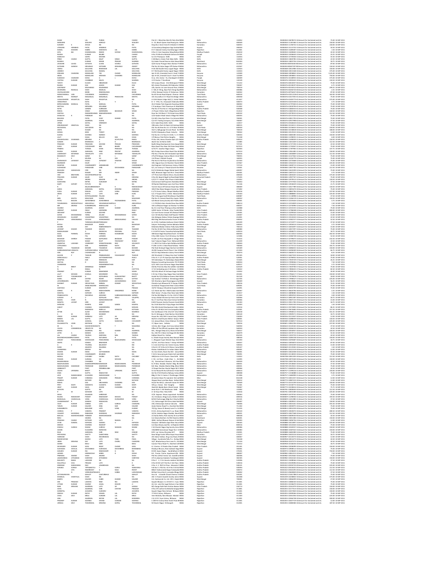| MARIOR<br>SUNDER                                                                                                                                                                                                                                                                                                                                                                                                                                                                  |                            | LAL<br>WALDER<br>AHUJA                               | PURAN<br>HAROLD<br>NA<br>HIRABHAI     |                             | CHAND<br>WALDER<br>NA               | Flat 22 C Block Bw Dda Sfs Flats ShalifNDM<br>- 23, Beach Queen Azad Road,juhu INDIA<br>hop No 2 And 3 Sree N 5 Market E 4INDIA                                                                                                                                                                                                                                                                                                       | Delhi<br>Maharashtra<br>Kamataka<br>Gujarat                   | 110052<br>00049<br>560053                       | IN300450-10678572-10 Amount for Unclaimed and Un<br>IN300450-11131584-11 Amount for Unclaimed and Unit<br>IN300450-11131584-11 Amount for Unclaimed and Unit<br>IN300450-13113732-13 Amount for Unclaimed and Unit                                                      | 75.00 10 SEP-2011<br>1300 10-SFP-2011<br>150.00 10-SEP-2011<br>43.50 10-SEP-2011                                                                                                                                                                                                                                                                                                                                                                                                                                                                                                                                                                                                                                                                                                                                                                                                                                                                    |
|-----------------------------------------------------------------------------------------------------------------------------------------------------------------------------------------------------------------------------------------------------------------------------------------------------------------------------------------------------------------------------------------------------------------------------------------------------------------------------------|----------------------------|------------------------------------------------------|---------------------------------------|-----------------------------|-------------------------------------|---------------------------------------------------------------------------------------------------------------------------------------------------------------------------------------------------------------------------------------------------------------------------------------------------------------------------------------------------------------------------------------------------------------------------------------|---------------------------------------------------------------|-------------------------------------------------|-------------------------------------------------------------------------------------------------------------------------------------------------------------------------------------------------------------------------------------------------------------------------|-----------------------------------------------------------------------------------------------------------------------------------------------------------------------------------------------------------------------------------------------------------------------------------------------------------------------------------------------------------------------------------------------------------------------------------------------------------------------------------------------------------------------------------------------------------------------------------------------------------------------------------------------------------------------------------------------------------------------------------------------------------------------------------------------------------------------------------------------------------------------------------------------------------------------------------------------------|
| ITENDRA<br>KAMAL                                                                                                                                                                                                                                                                                                                                                                                                                                                                  | HIRABHA<br>KISHORE         | PATEL<br>KABRA                                       | KANHAIYA                              | LAL                         | PATEL<br>KABRA                      | 14 Saundariya Banglows Opp SantkaldNDM<br>D-17 Adarash Colony Kumbhanagar ONDIA                                                                                                                                                                                                                                                                                                                                                       | Rajasthan                                                     | 390020<br>312001                                | IN300450-13289287-13 Amount for Unclaimed and Un                                                                                                                                                                                                                        | 1.50 10-SEP-2011                                                                                                                                                                                                                                                                                                                                                                                                                                                                                                                                                                                                                                                                                                                                                                                                                                                                                                                                    |
| GITA<br>RAJESH                                                                                                                                                                                                                                                                                                                                                                                                                                                                    | BAI                        | KHANDELWAL<br>KUMAR                                  | RADHE<br>BALBIR                       | SHYAM                       | KHANDELWAL<br>CHAND                 | H No-11 Veer Savarakar Mare RatlamINDIA<br>H No 70 Mirchia Mohalla Samana DisINDIA                                                                                                                                                                                                                                                                                                                                                    | Madhya Pradesi<br>Punjab                                      | 456010<br>147101                                | IN300450-13400602-13 Amount for Unclaimed and Un<br>IN300450-13506643-13 Amount for Unclaimed and Un                                                                                                                                                                    | 43.50 10-SEP-2011<br>23.25 10 SEP-2011                                                                                                                                                                                                                                                                                                                                                                                                                                                                                                                                                                                                                                                                                                                                                                                                                                                                                                              |
| KAMLESI<br>PREM                                                                                                                                                                                                                                                                                                                                                                                                                                                                   | CHAND                      | iahni<br>Supta                                       | MOHA)<br>DALIP                        | SINGE                       | SAHNI<br>GUPTA                      | Su-115 Pitampura Delhi<br>C-38 Block-c Green Park Main Delhi INDV                                                                                                                                                                                                                                                                                                                                                                     |                                                               | 10034<br>10016                                  | 0000152-13739436-1384mount los Unclaimed and Unit<br>000450-13739436-1384mount for Unclaimed and Unit<br>000450-13820785-1384mount for Unclaimed and Unit<br>000450-03352255-8084mount for Unclaimed and Unit                                                           | 55.50 10-SEP-2011<br>22.50 10-SEP-2011                                                                                                                                                                                                                                                                                                                                                                                                                                                                                                                                                                                                                                                                                                                                                                                                                                                                                                              |
| RAINISH                                                                                                                                                                                                                                                                                                                                                                                                                                                                           |                            | KUMAR<br>SATHAYE                                     | KEDAR<br>ULHAS                        | PRASAD                      | SHARMA<br>SATHAYE                   | S/o Kedar Prasad Sharma Asha NiwasINDIA<br>A/24 Kumar Prangan Near Alankar PdNDIA                                                                                                                                                                                                                                                                                                                                                     | Jharkhand<br>Maharashtra                                      | 842004<br>411052                                |                                                                                                                                                                                                                                                                         | 18.75 10-SEP-2011<br>87.00 10-SEP-2011                                                                                                                                                                                                                                                                                                                                                                                                                                                                                                                                                                                                                                                                                                                                                                                                                                                                                                              |
| JAYASHI<br>KATDARE                                                                                                                                                                                                                                                                                                                                                                                                                                                                | ULHAS<br>GANESH            | KRISHNAJ                                             | KATDARI                               | VISHNU<br>KRISHNAJI         | ANANT                               | Plot No 36 Vatan Naear Off Chakan RINDIA                                                                                                                                                                                                                                                                                                                                                                                              | Maharashtra                                                   | 410507                                          | IN300450-80447207-80 Amount for Unclaimed and Un                                                                                                                                                                                                                        | 118.50 10-SEP-2011                                                                                                                                                                                                                                                                                                                                                                                                                                                                                                                                                                                                                                                                                                                                                                                                                                                                                                                                  |
| VEENA<br>UMMED                                                                                                                                                                                                                                                                                                                                                                                                                                                                    |                            | GOLCHHA<br>GOLCHHA                                   | BHANWAR<br>RAIMAL                     | <b>LAL</b>                  | GOLOHHA<br>GOLOHHA                  | H-26 Old Double Story Lajpat Nagar - INDIA<br>D-7 Old Double Storey Lajpat Nagar-HNDIA                                                                                                                                                                                                                                                                                                                                                | Delhi<br>Delhi                                                | 110024<br>110024                                | IN300468-10012984-10Amount for Unclaimed and Un<br>IN100468-10015348-104mmmt for Unclaimed and Un                                                                                                                                                                       | 150.00 10-SEP-2011<br>375.00 10-SEP-2011                                                                                                                                                                                                                                                                                                                                                                                                                                                                                                                                                                                                                                                                                                                                                                                                                                                                                                            |
| .<br>KRISHAZ                                                                                                                                                                                                                                                                                                                                                                                                                                                                      | CHANDRA                    | MANGLAN<br>MANGLANI                                  | TÉK<br>KRISHAN                        | CHAND<br>CHANDIU            | <b>MANCUAN</b><br>MANGLANI          | D-7 Uni Douzee Scorey Legar: Negar-HIVDIA<br>Apt. 8-101, Emeraled Court-1 Essel ToWDIA<br>Apt. 8-101, Emerald Court-1 Essel TowNDIA<br>H.no. 232, Sector - 9c, Chandigach ChINDIA                                                                                                                                                                                                                                                     | Haryan                                                        | 122009<br>122005                                | IN300468-10058842-10Amount for Unclaimed and Unit<br>IN300468-10058842-10Amount for Unclaimed and Unit<br>IN300476-10058851-10Amount for Unclaimed and Unit                                                                                                             | 1125.00 10-SEP-2011                                                                                                                                                                                                                                                                                                                                                                                                                                                                                                                                                                                                                                                                                                                                                                                                                                                                                                                                 |
| arun<br>Subhash                                                                                                                                                                                                                                                                                                                                                                                                                                                                   | CHANDER                    | KOHLI                                                | NALIN                                 |                             | KOHU                                | <b>INDIA</b>                                                                                                                                                                                                                                                                                                                                                                                                                          | Haryana<br>Punjab                                             | 160009                                          |                                                                                                                                                                                                                                                                         | 750.00 10-SEP-2011<br>375.00 10-SEP-2011                                                                                                                                                                                                                                                                                                                                                                                                                                                                                                                                                                                                                                                                                                                                                                                                                                                                                                            |
| CHETNA<br>TAPATI                                                                                                                                                                                                                                                                                                                                                                                                                                                                  | KUMARI                     | CHHISSAR<br>KULSHI                                   | SIBSANKAR                             |                             | SHARMA<br>KULSI                     | 1173 Sector 7 Panchkula<br>Vill Cumpo Kharar Dist Michapore PINDIA<br>M/s Ashok Phoolwala 205 Itabindra SINDIA                                                                                                                                                                                                                                                                                                                        | Haryana<br>West Bene                                          | 134109<br>721223                                | IN300476-10505442-10 Amount for Unclaimed and Un<br>IN300476-40010057-40 Amount for Unclaimed and Un<br>IN300476-40138197-40 Amount for Unclaimed and Un                                                                                                                | 118.50 10-SEP-2011<br>75.00 10 SEP-2011                                                                                                                                                                                                                                                                                                                                                                                                                                                                                                                                                                                                                                                                                                                                                                                                                                                                                                             |
| RAJESH<br>SANTIMO                                                                                                                                                                                                                                                                                                                                                                                                                                                                 | KUMAR                      | DAS<br>MUKHERJE                                      | <b>ASHOK</b><br>MUKHENEE              | KUMAR                       | DAS<br>NA                           | 22b, Garcha 1st Lane Ground Floor, BINDIA                                                                                                                                                                                                                                                                                                                                                                                             | West Benit<br>West Bengi                                      | 700007<br>00015                                 | IN300476-40150312-40 Amount for Unclaimed and Ur                                                                                                                                                                                                                        | 6.75 10-SEP-2013<br>299.25 10-SEP-2011                                                                                                                                                                                                                                                                                                                                                                                                                                                                                                                                                                                                                                                                                                                                                                                                                                                                                                              |
| DEVENDRA<br>VUAYALAKSE                                                                                                                                                                                                                                                                                                                                                                                                                                                            | RASICLA                    | SHAH<br>BOOB                                         | rasiklal<br>Ramanujda:                |                             | SHAH<br>soos                        | C- 504, B- Wing, Alpa Park Chirag NagNDIA<br>S-916, Manipal Centre 47 Dickenson INDIA                                                                                                                                                                                                                                                                                                                                                 | Maharashtra<br>Kamataka                                       | 400086<br>560042                                | IN300476-402-246724-40 Amount for Unclaimed and United States 40246724-40 Amount for Unclaimed and United                                                                                                                                                               | 2.25 10-SEP-2011<br>87.00 10-SEP-2011                                                                                                                                                                                                                                                                                                                                                                                                                                                                                                                                                                                                                                                                                                                                                                                                                                                                                                               |
| NORATANMALL                                                                                                                                                                                                                                                                                                                                                                                                                                                                       | JAIN                       | CHOURARIA                                            | SAGARMALL                             |                             | CHOURARV                            | No 40 Ormes Road Kilpauk Chennai INDIA                                                                                                                                                                                                                                                                                                                                                                                                | <b>Tamil Nadu</b>                                             | 600010                                          | IN300476-41011218-41 Amount for Unclaimed and Un                                                                                                                                                                                                                        | 162.00 10-SEP-2011                                                                                                                                                                                                                                                                                                                                                                                                                                                                                                                                                                                                                                                                                                                                                                                                                                                                                                                                  |
| MEHTA<br><b>JUGALKISHORE</b>                                                                                                                                                                                                                                                                                                                                                                                                                                                      | INDRAIN<br><b>MUGATLAL</b> | MAGANLAL<br>SHAH                                     | <b>MAGANLAL</b><br>MUGATLAL           | PRANJIVAN                   | MEHTA<br>NA                         | 101 Anuradha A S V Road Irla Bridge ANDIA                                                                                                                                                                                                                                                                                                                                                                                             | Maharashtra<br>Maharashtra                                    | 400058<br>411027                                | IN300476-41017055-41 Amount for Unclaimed and Un<br>IN300476-41405773-41 Amount for Unclaimed and Un                                                                                                                                                                    | 75.00 10-SEP-2011<br>375.00 10-SEP-2011                                                                                                                                                                                                                                                                                                                                                                                                                                                                                                                                                                                                                                                                                                                                                                                                                                                                                                             |
| <b>VENKATIVAV</b><br>RIDINGHAND                                                                                                                                                                                                                                                                                                                                                                                                                                                   |                            | OOTA<br>MATEL                                        | .<br>Manisai                          |                             | .<br>PATEL                          | $\begin{array}{l} \textbf{A 1104 Water's Edge 18/1/1, Vshal NNDM}\\ \textbf{8 - 3 - 976 / 41, Viswaiserti ShalivahatNDIA}\\ \textbf{26 A} \textit{Pauli} \textit{far Park Opposite DwarkaguNNDM}\\ \textbf{C 9 Jankipuri Teiri Peneriyon K1 MudINDM}\\ \end{array}$                                                                                                                                                                   | Andhra Prades<br>Sujarat                                      | 00073<br>884002                                 | IN300476-414035733-412-Amount for Unclaimed and Unit<br>IN300476-41635358-412-Amount for Unclaimed and Unit<br>IN300476-41297604-412-mount for Unclaimed and Unit                                                                                                       |                                                                                                                                                                                                                                                                                                                                                                                                                                                                                                                                                                                                                                                                                                                                                                                                                                                                                                                                                     |
| MOTILAL                                                                                                                                                                                                                                                                                                                                                                                                                                                                           |                            | MENARU                                               | KESURAM                               |                             | MENARU                              |                                                                                                                                                                                                                                                                                                                                                                                                                                       | Rajasthan                                                     | 313002                                          |                                                                                                                                                                                                                                                                         | 3.75 10-SEP-2011<br>75.00 10-SEP-2011<br>75.00 10-SEP-2011                                                                                                                                                                                                                                                                                                                                                                                                                                                                                                                                                                                                                                                                                                                                                                                                                                                                                          |
| NITIN<br>REKHA                                                                                                                                                                                                                                                                                                                                                                                                                                                                    |                            | SAREEN<br>SINGH                                      | SURINDER<br>AMRENDRA                  | BAHADUR                     | PAL<br>SINGH                        | Plot No 37 Flat No G 1 HimagiridelightNDIA<br>J K Power Chittor Garh Village Barnan/NDIA                                                                                                                                                                                                                                                                                                                                              | Andhra Pradesh<br>Rajasthan                                   | 500008<br>312612                                | IN300476-41860353-41 Amount for Unclaimed and Un<br>IN300476-41865594-41 Amount for Unclaimed and Un                                                                                                                                                                    | 75.00 10-SEP-2011<br>118.50 10-SEP-2011                                                                                                                                                                                                                                                                                                                                                                                                                                                                                                                                                                                                                                                                                                                                                                                                                                                                                                             |
| SANTHA                                                                                                                                                                                                                                                                                                                                                                                                                                                                            |                            | <b>NAMAXIUS</b>                                      | <b>BAMAKRISHNAN</b>                   |                             | NA                                  | Door No.132 Block E. 2th Street Annath DIA                                                                                                                                                                                                                                                                                                                                                                                            | <b>Tamil Nadu</b>                                             | 600102                                          | IN300476-42078332-42 Amount for Unclaimed and Un                                                                                                                                                                                                                        | 112.50 10-SEP-2011                                                                                                                                                                                                                                                                                                                                                                                                                                                                                                                                                                                                                                                                                                                                                                                                                                                                                                                                  |
| -<br>SHAILESH<br>RHAVIKA                                                                                                                                                                                                                                                                                                                                                                                                                                                          |                            | PARDIKAR<br>PATEL                                    | NA<br>VUAY                            | CLIMAF                      | NA<br>PATEL                         | 2/10 Kadam Wadi Vakola Village Rd 9NDIA<br>C/o M/s View Dye Chem 11a ArmeniaNDIA<br>C/o M/s View Dye Chem 11a ArmeniaNDIA                                                                                                                                                                                                                                                                                                             | Maharashti<br>West Benga                                      | 00055<br>700001                                 |                                                                                                                                                                                                                                                                         | 75.00 10-SEP-2011<br>75.00 10-SEP-2011                                                                                                                                                                                                                                                                                                                                                                                                                                                                                                                                                                                                                                                                                                                                                                                                                                                                                                              |
| SHASH<br><b>UPMA</b>                                                                                                                                                                                                                                                                                                                                                                                                                                                              |                            | AGARWA<br>GOYAL                                      | SUSHIL<br>VIRENDER                    |                             | AGARWAL<br>GOYAL                    | C/o N K Trading Company 14/a MahatNDIA<br>E/21 Salort New Delhi Delhi MDIA                                                                                                                                                                                                                                                                                                                                                            | West Benga                                                    | 70000<br>110017                                 | R300476-42515534-42 Amount for Unclaimed and University R300476-42515534-42 Amount for Unclaimed and University R300476-42521792-42 Amount for Unclaimed and University R300476-43550634-43 Amount for Unclaimed and Universit                                          | 37.50 10-SEP-2011<br>75.00 10-SEP-2011                                                                                                                                                                                                                                                                                                                                                                                                                                                                                                                                                                                                                                                                                                                                                                                                                                                                                                              |
| KRISHNAKANT<br>MUFADOAL                                                                                                                                                                                                                                                                                                                                                                                                                                                           | HIMATLAL                   | SHAH<br><b>SAIFUDOIN</b>                             | NA<br>NA                              |                             | NA                                  | 198-nehru Park Uti Bank Ltd VastrapuNDIA<br>Old, No.46 New No.111 4 Th Main Britchia                                                                                                                                                                                                                                                                                                                                                  | Gujarat<br><b>Tamil Nadu</b>                                  | 380015<br>600020                                | IN300484-10126311-10 Amount for Unclaimed and Un<br>IN300484-10136653-10 Amount for Unclaimed and Un                                                                                                                                                                    | 75.00 10-SEP-2011<br>150.00 10-SEP-2011                                                                                                                                                                                                                                                                                                                                                                                                                                                                                                                                                                                                                                                                                                                                                                                                                                                                                                             |
| ANITA<br>SEEMA                                                                                                                                                                                                                                                                                                                                                                                                                                                                    |                            | <b>DUGAR</b><br><b>BOSE</b>                          | NA<br>TONOY                           |                             | NA<br>NA<br>sose                    |                                                                                                                                                                                                                                                                                                                                                                                                                                       | West Bengal<br>West Bengal                                    | 700019<br>700042                                | IN300484-10158818-10 Amount for Unclaimed and Un                                                                                                                                                                                                                        | 168.00 10-SEP-2011<br>12.00 10-SEP-2011                                                                                                                                                                                                                                                                                                                                                                                                                                                                                                                                                                                                                                                                                                                                                                                                                                                                                                             |
| SUDHA                                                                                                                                                                                                                                                                                                                                                                                                                                                                             |                            | GOENKA                                               | NARESH<br>BALLAV                      |                             | GOENKA<br>DAGA                      | 34/1-k, Ballygunge Circular Road KolNDIA<br>91/39 H Bosepulur Road, Calcutta - INDIA<br>Fiat No De 1 St Floor 8 2 618 / 1 / 5 RNDIA<br>179 Bansur Park Rishra Hooghly - INDIA                                                                                                                                                                                                                                                         | Andhra Prade                                                  | 500034<br>712248                                | IN300484-10519323-10 Amount for Unclaimed and Unit<br>IN300484-10519323-10 Amount for Unclaimed and Unit<br>IN300484-11298355-11 Amount for Unclaimed and Unit                                                                                                          | 150.00 10-SEP-2011<br>6.00 10-SEP-2011                                                                                                                                                                                                                                                                                                                                                                                                                                                                                                                                                                                                                                                                                                                                                                                                                                                                                                              |
| LALIT<br>ADAVIKOLANU                                                                                                                                                                                                                                                                                                                                                                                                                                                              | SIVARAMA                   | DAGA<br>KIDSHNA                                      |                                       | DAS<br>ACHYUTHA             | RAMA                                | Fit No 104, Hema Chandra Apts 2/2 GNDIA                                                                                                                                                                                                                                                                                                                                                                                               | <b>Nest Bengal</b><br>Andhra Pradesh                          | 500013                                          | IN300484-11490029-11-Amount for Unclaimed and Un                                                                                                                                                                                                                        | 118.50 10-SEP-2011                                                                                                                                                                                                                                                                                                                                                                                                                                                                                                                                                                                                                                                                                                                                                                                                                                                                                                                                  |
| SUMAN<br>PRAKASH                                                                                                                                                                                                                                                                                                                                                                                                                                                                  | KUMAR                      | BHARGAVA<br>PRADHAN                                  | GOVING                                | PRASAD                      | BHARGAVA<br>PRADHAN                 | A6/23 Sec 16 Rohini Delhi<br>INDM<br>Bodhi Mare Development Area Ganet/NDM                                                                                                                                                                                                                                                                                                                                                            | Delhi<br>West Beneal                                          | 110085<br>737101                                | IN300484-11651649-11 Amount for Unclaimed and Un<br>IN300484-11727194-11 Amount for Unclaimed and Un                                                                                                                                                                    | 112.50 10-SEP-2011<br>22.50 10.5EP-2011                                                                                                                                                                                                                                                                                                                                                                                                                                                                                                                                                                                                                                                                                                                                                                                                                                                                                                             |
| SUNI                                                                                                                                                                                                                                                                                                                                                                                                                                                                              | <b>KUMA</b>                | CHOUDHAR                                             |                                       | <b>HAR</b>                  | CHOUDHAI                            |                                                                                                                                                                                                                                                                                                                                                                                                                                       | harkhand                                                      | 827013                                          | IN300484-11743047-11 Amount for Unclaimed and Ur                                                                                                                                                                                                                        | 75.00 10-SEP-2011                                                                                                                                                                                                                                                                                                                                                                                                                                                                                                                                                                                                                                                                                                                                                                                                                                                                                                                                   |
| PRABHA<br>RAJESH                                                                                                                                                                                                                                                                                                                                                                                                                                                                  | <b>KUMA</b>                | TONGIA<br>AGRAWAI                                    | BRU<br>GYAN<br>RAM                    | PRAKASH<br>PRATAP           | TONGIA<br>AGA/EWAI                  | Main Road Chas Near Old State DespriNDIA<br>4/73/75 Jawahar Nagar Jaipur MDIA<br>M/s Pratap Stores Main Road Chas BdNDIA                                                                                                                                                                                                                                                                                                              | Rajasthan<br>Jharkhand                                        | 302004<br>827013                                | IN300484-11787965-11 Amount for Unclaimed and Un<br>IN300484-11961485-11 Amount for Unclaimed and Un                                                                                                                                                                    | 147.75 10-SEP-2011<br>150.00 10-SEP-2011                                                                                                                                                                                                                                                                                                                                                                                                                                                                                                                                                                                                                                                                                                                                                                                                                                                                                                            |
| LAXMIKAN<br>BHAGWATI                                                                                                                                                                                                                                                                                                                                                                                                                                                              | MITARAM<br>DEVI            | TAKHALATE<br>SARAF                                   | LATE                                  | MITARAM                     | TAKHALATE<br>SARAF                  | Plot No 2 Flat No 203 Venkatesh AptrNDIA<br>275/276 Bangur Avenue Block A 2nd INDIA                                                                                                                                                                                                                                                                                                                                                   | Maharashtra<br>West Bengal                                    | 440016<br>700055                                | IN300484-12004809-12 Amount for Unclaimed and Un<br>IN300484-12127462-12 Amount for Unclaimed and Un                                                                                                                                                                    | 112.50 10-SEP-2011<br>75.00 10-SEP-2011                                                                                                                                                                                                                                                                                                                                                                                                                                                                                                                                                                                                                                                                                                                                                                                                                                                                                                             |
|                                                                                                                                                                                                                                                                                                                                                                                                                                                                                   |                            | MUJRAL                                               | ŚH                                    | DES                         | RAI                                 | 114 Phase 1 Mohali Punjab<br>INDIA                                                                                                                                                                                                                                                                                                                                                                                                    | Puniab                                                        | 160055                                          | IN300484-12226779-12 Amount for Unclaimed and Un                                                                                                                                                                                                                        | 75.00 10 SEP-2011                                                                                                                                                                                                                                                                                                                                                                                                                                                                                                                                                                                                                                                                                                                                                                                                                                                                                                                                   |
| <b>DHAMANI</b>                                                                                                                                                                                                                                                                                                                                                                                                                                                                    | JAYWAN!                    | DGALE<br>KALIR<br>CHAKNABORTY                        | <b>JAYWANT</b>                        | <b>INAYA</b>                | OGALE<br>SINGH<br>CHAXIKABORTY      | Plot No 8 2 Nd Floor Aryakrishna ChsiNDIA<br>100, Vigyan Kunj 11t Roorkee RoorkeNDIA<br>Asst Engineer Civil Gammon Colony AINDIA                                                                                                                                                                                                                                                                                                      | runjao<br>Maharashtra<br>West Bengal                          | 421503<br>247667<br>737134                      | IN300484-12473668-12Amount for Unclaimed and Unit<br>IN300484-12473668-12Amount for Unclaimed and Unit<br>IN300484-12600713-12Amount for Unclaimed and Unit                                                                                                             | 75.00 10-SEP-2011<br>225.00 10-SEP-2011<br>15.00 10-SEP-2011                                                                                                                                                                                                                                                                                                                                                                                                                                                                                                                                                                                                                                                                                                                                                                                                                                                                                        |
| SWAPAN<br>SUDHAKAF                                                                                                                                                                                                                                                                                                                                                                                                                                                                | KUMAR                      | PARASHARI                                            | HARABE<br>SHRI                        | DEVSHARAN                   | PARASHARI                           | D/1, loc Colony G T Road A/cantt HarrNDIA                                                                                                                                                                                                                                                                                                                                                                                             | Haryana                                                       | 133001                                          | IN300484-12607782-12 Amount for Unclaimed and Un                                                                                                                                                                                                                        | 112.50 10-SEP-2011                                                                                                                                                                                                                                                                                                                                                                                                                                                                                                                                                                                                                                                                                                                                                                                                                                                                                                                                  |
| BHAVANI<br>PRAKASH                                                                                                                                                                                                                                                                                                                                                                                                                                                                | SADASIVAN                  | <b>TYER</b><br>NAGAR                                 | NA<br>MR                              | INDER                       | NA<br>SINGH                         | 8 2/12 Mahindra Nanar Malad (east) INDIA                                                                                                                                                                                                                                                                                                                                                                                              | Maharashtra<br>Madhya Pradesh                                 | 400093<br>455001                                | IN300484-12623599-12 Amount for Unclaimed and Un<br>IN300484-12697215-12 Amount for Unclaimed and Un                                                                                                                                                                    | 75.00 10-SEP-2011<br>3.75 10-SEP-2011                                                                                                                                                                                                                                                                                                                                                                                                                                                                                                                                                                                                                                                                                                                                                                                                                                                                                                               |
| VED<br>PRAVEEN                                                                                                                                                                                                                                                                                                                                                                                                                                                                    | <b>BROTHERS</b>            | SECURITIES<br>GAUR                                   | tna<br>Vijan                          |                             | NA<br>KRISHNA                       | $\begin{array}{l} \texttt{B-714} \texttt{~matrix} \texttt{Figure} \texttt{P} \texttt{matrix} \texttt{1} \texttt{1} \texttt{1} \texttt{1} \texttt{1} \texttt{1} \texttt{1} \texttt{1} \texttt{1} \texttt{1} \texttt{1} \texttt{1} \texttt{1} \texttt{1} \texttt{1} \texttt{1} \texttt{1} \texttt{1} \texttt{1} \texttt{1} \texttt{1} \texttt{1} \texttt{1} \texttt{1} \texttt{1} \texttt{1} \texttt{1} \texttt{1} \texttt{1} \texttt{$ | Maharashtra<br>Himachal Pradesl                               | 400020<br>173205                                |                                                                                                                                                                                                                                                                         | 375.00 10-SEP-2011<br>75.00 10-SEP-2011                                                                                                                                                                                                                                                                                                                                                                                                                                                                                                                                                                                                                                                                                                                                                                                                                                                                                                             |
| SATISH                                                                                                                                                                                                                                                                                                                                                                                                                                                                            | <b>CUMA</b>                |                                                      |                                       | LAL                         |                                     |                                                                                                                                                                                                                                                                                                                                                                                                                                       |                                                               | 110052                                          | =1000484-12835025-12Amount for Unclaimed and Unit<br>R100484-12835025-12Amount for Unclaimed and Unit<br>R100484-12907767-12Amount for Unclaimed and Unit<br>R100484-13757926-13Amount for Unclaimed and Unit                                                           |                                                                                                                                                                                                                                                                                                                                                                                                                                                                                                                                                                                                                                                                                                                                                                                                                                                                                                                                                     |
| SUDESHN<br>DAIFY                                                                                                                                                                                                                                                                                                                                                                                                                                                                  | EXPORT                     | ARORA<br>MITRA<br>PVTLTD                             | KISHORI<br>SUKUMA!<br>NA              |                             | ARORA<br>MITRA<br>NA                | 39 Ramlal Mukherjee Lane 2nd Floor INDIA                                                                                                                                                                                                                                                                                                                                                                                              | Delhi<br>West Bengal<br>West Bengal                           | 700054<br>711106                                | IN300484-13918429-13 Amount for Unclaimed and Un                                                                                                                                                                                                                        | 118.50 10-SEP-2011<br>37.50 10-SEP-2011<br>21.75 10-SEP-2011                                                                                                                                                                                                                                                                                                                                                                                                                                                                                                                                                                                                                                                                                                                                                                                                                                                                                        |
|                                                                                                                                                                                                                                                                                                                                                                                                                                                                                   |                            | BALASUBR                                             |                                       |                             | <b>BAMASWAM</b>                     | Forrent House Off Ashram Road Navr/NDM                                                                                                                                                                                                                                                                                                                                                                                                | <b>Guiarat</b>                                                | 380005                                          | IN300513-10417789-10 Amount for Unclaimed and Un                                                                                                                                                                                                                        | 1185010-92-2011                                                                                                                                                                                                                                                                                                                                                                                                                                                                                                                                                                                                                                                                                                                                                                                                                                                                                                                                     |
| SAROS<br>.<br>SUNII                                                                                                                                                                                                                                                                                                                                                                                                                                                               | <b>CIMA</b>                | AGRAWAL<br>DIWAN                                     | <b>GOPAL</b>                          | KRISHNA<br><b>SURA</b>      | AGRAWAL<br>PRAKASH                  | 183/3 Rani Bazar Bargaon Gonda Up INDIA                                                                                                                                                                                                                                                                                                                                                                                               | <b>Uttar Pradesh</b><br>Madhya Prade                          | 271002<br>462016                                | IN300513-10691674-10 Amount for Unclaimed and Un                                                                                                                                                                                                                        | 75.00 10 SEP-2011<br>237.00 10-SEP-2011                                                                                                                                                                                                                                                                                                                                                                                                                                                                                                                                                                                                                                                                                                                                                                                                                                                                                                             |
| ARUN                                                                                                                                                                                                                                                                                                                                                                                                                                                                              | KUMA                       | <b>GUPTA</b><br>NITHYALAKSHM                         | LATE<br>LATE<br>PALAN                 | SHRI                        | KUNJ                                | 1877 Aren Golony Bhopal Madhya INDIA<br>C/o J P Gupta 533-y-1 West ManorariNDIA<br>Plot S Marugan Kudil Brindhavan NagNDIA                                                                                                                                                                                                                                                                                                            | Madhya Pradesi<br><b>Famil Nadu</b>                           | 476444<br>600087                                | IN300533-10865786-10Amount for Unclaimed and Unit<br>IN300533-10865805-10Amount for Unclaimed and Unit<br>IN300533-10888805-10Amount for Unclaimed and Unit                                                                                                             | 225.00 10-SEP-2011<br>37.50 10-SEP-2011                                                                                                                                                                                                                                                                                                                                                                                                                                                                                                                                                                                                                                                                                                                                                                                                                                                                                                             |
| MIS                                                                                                                                                                                                                                                                                                                                                                                                                                                                               | KAVITA                     | MALEWAR                                              | SUHAS                                 |                             | MALEWAR                             | Plot No 21 Cement Road War Sujata INDIA                                                                                                                                                                                                                                                                                                                                                                                               | Maharashtra                                                   | 440022                                          | IN300513-11266119-11 Amount for Unclaimed and Un                                                                                                                                                                                                                        | 118.50 10-SEP-2011                                                                                                                                                                                                                                                                                                                                                                                                                                                                                                                                                                                                                                                                                                                                                                                                                                                                                                                                  |
| PATE<br><b>YOGANAP</b>                                                                                                                                                                                                                                                                                                                                                                                                                                                            | BHAVIN<br>DEEKSHITHULU     | ASHWINBHA<br><b>ARAVAPALLI</b>                       | <b>ASHWINBHA</b><br>VIKHANASACHARYULU | POONAMBHA                   | PATEL<br>ARAVAPALL                  | 4/b Bharat Samaj Society 8/4 PrabhulNDIA<br>1 2 270/56/a Hero Honda Show RoonNDIA                                                                                                                                                                                                                                                                                                                                                     | .<br>Gujarat<br>Andhra Pradesh                                | 390001<br>508213                                | IN300513-12225626-12 Amount for Unclaimed and Un<br>IN300513-12253839-12 Amount for Unclaimed and Un                                                                                                                                                                    | 3.75 10-SEP-2011<br>1.50 10-SEP-2011                                                                                                                                                                                                                                                                                                                                                                                                                                                                                                                                                                                                                                                                                                                                                                                                                                                                                                                |
| MR<br>GAURA                                                                                                                                                                                                                                                                                                                                                                                                                                                                       |                            | <b>CIMARIO</b><br>AGARWAL                            | -<br>RAMGULAM                         | KUMAJ                       | <b>KURIL</b>                        | 12 270/56/4 1980 10004 2006<br>104 Jai Bhavani Nagar Jai Shankar Ya INDIA<br>Bu 211 2nd Floor Pitampura New DelINDIA<br>A/695 Sector 19 Noida Uttar PradesHNDIA                                                                                                                                                                                                                                                                       | Maharashtra                                                   | 0003                                            | 8000513-12578996-12 Amount for Unclaimed and Unit<br>IN300513-12578996-12 Amount for Unclaimed and Unit<br>IN300513-12533155-12 Amount for Unclaimed and Unit                                                                                                           | 7.50 10-SEP-2011                                                                                                                                                                                                                                                                                                                                                                                                                                                                                                                                                                                                                                                                                                                                                                                                                                                                                                                                    |
| VIKRAN'                                                                                                                                                                                                                                                                                                                                                                                                                                                                           | KUMAI                      | NGLE                                                 | ASHOK<br>UMÉNDRA                      |                             | AGA/IWAL<br>INGLE                   |                                                                                                                                                                                                                                                                                                                                                                                                                                       | Delhi<br>Uttar Pradesh                                        | 110088<br>201301                                |                                                                                                                                                                                                                                                                         | 75.00 10-SEP-2011<br>300.00 10-SEP-2011                                                                                                                                                                                                                                                                                                                                                                                                                                                                                                                                                                                                                                                                                                                                                                                                                                                                                                             |
| ARCHANT<br>SAYED                                                                                                                                                                                                                                                                                                                                                                                                                                                                  | MOHAMMAD                   | KUMAR<br><b>TARIQ</b>                                | GOVIND<br>ASLAM                       | MOHAMMEAD                   | RAM<br>SAYED                        | C/o Sunil Kumar Jaiswal VIII DhakauliINDIA<br>C/o S M Ghufran Nadvi Staff Quater NNDIA                                                                                                                                                                                                                                                                                                                                                | <b>Uttar Pradesh</b><br><b>Uttar Pradesh</b>                  | 225001<br>226007                                | IN300513-13299344-13 Amount for Unclaimed and Un<br>IN300513-13362324-13 Amount for Unclaimed and Un                                                                                                                                                                    | 15.00 10-SEP-2011<br>15.00 10-SEP-2011                                                                                                                                                                                                                                                                                                                                                                                                                                                                                                                                                                                                                                                                                                                                                                                                                                                                                                              |
| DESHMUKI<br><b>RAMESH</b>                                                                                                                                                                                                                                                                                                                                                                                                                                                         | KULDEEP<br>ENKOBARAO       | VASANTRAC                                            | VASANTRAD<br>VENKOBARAD               | <b>SHNIVASARAC</b>          | NA.                                 | A/p Dahigaon Bolava Taluka KopansarNDIA                                                                                                                                                                                                                                                                                                                                                                                               | Maharashtra<br><b>Indhra Prades</b>                           | 414001                                          | IN300513-13510243-13 Amount for Unclaimed and Un                                                                                                                                                                                                                        | 22.50 10.5EP-2011                                                                                                                                                                                                                                                                                                                                                                                                                                                                                                                                                                                                                                                                                                                                                                                                                                                                                                                                   |
|                                                                                                                                                                                                                                                                                                                                                                                                                                                                                   |                            | .<br>Thirlinan                                       |                                       |                             | :<br>Auligi<br>BHAWSAR              | -<br>The Mig 396 Remachandra Puram HyNDIA<br>Lb 15 Nh I Seethalai Sathanar Street RNDIA<br>Satyam Technology Centere Bahadur/NDIA                                                                                                                                                                                                                                                                                                     | <b>Tarril Nadu</b>                                            | 500032<br>503209<br>500043                      | 8000513-13582157-13 Amount for Unclaimed and Unit<br>IN300513-13582157-13 Amount for Unclaimed and Unit<br>IN300513-13722977-13 Amount for Unclaimed and Unit                                                                                                           | 52.50 10-SEP-2011<br>37.50 10-SEP-2011<br>3.75 10-SEP-2011                                                                                                                                                                                                                                                                                                                                                                                                                                                                                                                                                                                                                                                                                                                                                                                                                                                                                          |
| RITESH<br>SOURIK                                                                                                                                                                                                                                                                                                                                                                                                                                                                  |                            | <b>BHAWSAR</b><br>DEY                                | ASHOK<br>RABINDRANATH                 |                             | DEY                                 | Debendra Bhaban Station Pally SubudNDIA                                                                                                                                                                                                                                                                                                                                                                                               | Andhra Prades<br>West Bengal                                  | 700144                                          | IN300513-14034497-14 Amount for Unclaimed and Un                                                                                                                                                                                                                        | 15.00 10-SEP-2011                                                                                                                                                                                                                                                                                                                                                                                                                                                                                                                                                                                                                                                                                                                                                                                                                                                                                                                                   |
| JAYDEEP<br><b>RAMALINGAN</b>                                                                                                                                                                                                                                                                                                                                                                                                                                                      | KISHOR                     | THAKKER                                              | <b>KISHOR</b><br>ANANCHA              | KAKUBHA<br>PERUMAL          | THAKKER<br>PILLAI                   | Flat No 43 6th Floor Mulund Balraies NDM<br>E 3 414f E3 Sector Township KailasapINDIA                                                                                                                                                                                                                                                                                                                                                 | Maharashtra<br>Tamil Nadu                                     | 400080<br>620014                                | IN300513-14057397-14 Amount for Unclaimed and Un<br>IN300513-14068375-14 Amount for Unclaimed and Un                                                                                                                                                                    | 75.00 10-SEP-2011<br>18.75.10.99.2011                                                                                                                                                                                                                                                                                                                                                                                                                                                                                                                                                                                                                                                                                                                                                                                                                                                                                                               |
| SEJAL<br>INDER                                                                                                                                                                                                                                                                                                                                                                                                                                                                    | pagenta                    | DOSHI<br>PAL                                         | habitan<br>AYMAN                      | CLINUBIHAS                  | DOSH<br>DASS                        | 308 Katari Bagh Naval Base Kochi KerNDIA<br>H No 2381 Sector 7/a H B Colony FariNDIA                                                                                                                                                                                                                                                                                                                                                  | Kerala<br>Haryana                                             | $s200 -$                                        | M300513-14114032-14 Amount for Unclaimed and United States (1990513-14114032-14 Amount for Unclaimed and United States (1990513-14799675-14 Amount for Unclaimed and United States (1990513-15 Amount for Unclaimed and United                                          | 262.50 10-SEP-2011<br>52.50 10-SEP-2011                                                                                                                                                                                                                                                                                                                                                                                                                                                                                                                                                                                                                                                                                                                                                                                                                                                                                                             |
| BHASKAR                                                                                                                                                                                                                                                                                                                                                                                                                                                                           | SHRISH                     | PAWA                                                 | GOPALRAC                              | HASKA                       | PAWAI                               | N 4/95 1st Floor Nayapalli Irc Village INDIA<br>Sant Tukaram Nagar Pune  MaharashiNDIA                                                                                                                                                                                                                                                                                                                                                | Orissa<br>Maharashtra                                         | 082004<br>121006<br>751015<br>411039            |                                                                                                                                                                                                                                                                         | 232.50 10-SEP-2011<br>22.50 10-SEP-2011                                                                                                                                                                                                                                                                                                                                                                                                                                                                                                                                                                                                                                                                                                                                                                                                                                                                                                             |
| <b>ASHITOSH</b><br>ANANTHA                                                                                                                                                                                                                                                                                                                                                                                                                                                        | LAKSHM                     | WAGH<br>VASIREDOY                                    | DEIF<br>VENKATESWARA                  | <b>YESHWANT</b><br>RAD      | WAGE<br>GOLAKOTI                    | 2 1 283 D Sai Vishnu Apts Nallakunta NDIA                                                                                                                                                                                                                                                                                                                                                                                             | Andhra Pradesh                                                | 500044                                          | IN300513-15037745-15 Amount for Unclaimed and Un                                                                                                                                                                                                                        | 75.00 10-SEP-2011                                                                                                                                                                                                                                                                                                                                                                                                                                                                                                                                                                                                                                                                                                                                                                                                                                                                                                                                   |
| <b>UTPALENDL</b><br><b>MEAN</b>                                                                                                                                                                                                                                                                                                                                                                                                                                                   | TASADOUR                   | <b>DEB</b><br>BOHAR                                  | NARENDRA<br>TASADDUN                  | NATH<br>HUSAIN              | <b>DEB</b><br>BOHAN                 | FI 206 113 N S C Bose Road Kolkata VNDIA<br>Plot No6 Dindaval Nasar Burhari ColdNDIA                                                                                                                                                                                                                                                                                                                                                  | West Beneal<br>Maharashtri                                    | 700040<br>425409                                | IN300513-15775712-15 Amount for Unclaimed and Un<br>IN300513-16086452-16Amount for Unclaimed and Un                                                                                                                                                                     | 192.75 10-SEP-2011<br>150.00 10-SEP-2011                                                                                                                                                                                                                                                                                                                                                                                                                                                                                                                                                                                                                                                                                                                                                                                                                                                                                                            |
| <b>GIRRAN</b>                                                                                                                                                                                                                                                                                                                                                                                                                                                                     | VENKATA                    | SURYARAD                                             | VENKATRAO                             |                             | <b>BACHERLA</b>                     | Pat Noo Unlarge Hege Ministr Council<br>2b 002 Swapna Poorti Phase 1 Sec 26NDIA<br>507/31 Raja Debendra Colony PremisNDIA<br>202 Shivshakti V S Marg Virar East TalNDIA                                                                                                                                                                                                                                                               | Maharashtr                                                    | 411044                                          | 8100513-16804269-16Amount for Unclaimed and Unit<br>IN300513-16804269-16Amount for Unclaimed and Unit<br>IN300513-16604572-16Amount for Unclaimed and Unit                                                                                                              | 66.75 10-SEP-2011                                                                                                                                                                                                                                                                                                                                                                                                                                                                                                                                                                                                                                                                                                                                                                                                                                                                                                                                   |
| ASIS<br>SACHIN                                                                                                                                                                                                                                                                                                                                                                                                                                                                    | ROY                        | CHOWDHURY<br>Thakur                                  | PRABHANAND                            | YASHAWAN <sup>*</sup>       | ROY<br>THAKUR                       |                                                                                                                                                                                                                                                                                                                                                                                                                                       | West Bengal<br>Maharashtra                                    | 700074<br>101305                                |                                                                                                                                                                                                                                                                         | 8.25 10-SEP-2011<br>18.00 10-SEP-2011                                                                                                                                                                                                                                                                                                                                                                                                                                                                                                                                                                                                                                                                                                                                                                                                                                                                                                               |
| SRINIVASULU<br>SWAPNA                                                                                                                                                                                                                                                                                                                                                                                                                                                             |                            | <b>INALA</b><br>KAR                                  | SATYANA/BAYANA<br>NIRANJAN            |                             | <b>INALA</b>                        | D No 31 3 1/1 Ffs Apurupa Apts MaruNDIA                                                                                                                                                                                                                                                                                                                                                                                               | Andhra Pradesi                                                | 520001<br>721645                                | IN300513-16796952-16 Amount for Unclaimed and Un                                                                                                                                                                                                                        | 75.00 10-SEP-2011<br>26.25 10 SEP-2011                                                                                                                                                                                                                                                                                                                                                                                                                                                                                                                                                                                                                                                                                                                                                                                                                                                                                                              |
| GEETHA<br>CHANDRA                                                                                                                                                                                                                                                                                                                                                                                                                                                                 |                            |                                                      | RAGHAVAN<br><b>CADAMBAN</b>           |                             | KAR<br>NA<br>NA                     |                                                                                                                                                                                                                                                                                                                                                                                                                                       | West Bengal<br>Tamil Nadu<br><b>Tarril Nady</b>               | 600034<br>620013                                | IN300513-17059729-17Amount for Unclaimed and Un<br>IN300513-17090046-17Amount for Unclaimed and Un                                                                                                                                                                      | 7.50 10-SEP-2011<br>3.75 10-SEP-2011                                                                                                                                                                                                                                                                                                                                                                                                                                                                                                                                                                                                                                                                                                                                                                                                                                                                                                                |
|                                                                                                                                                                                                                                                                                                                                                                                                                                                                                   | TDURE                      | GIRIMINALI<br>NRAJU                                  | NARBERT                               |                             | e<br>Chittyya                       | VIII Gobindapur Po Gobindapur BajtpINDIA<br>Nidyana Consulting Associates 7th FIANDIA<br>4/13 16th Cross Kumaran Nagar NeadNDIA<br>Old No P13/13a New No 4/3001 ValaNDIA<br>Old No P13/13a New No 4/3001 ValaNDIA                                                                                                                                                                                                                     | Tamil Nadu<br>Andhra Prade                                    | 623525                                          |                                                                                                                                                                                                                                                                         | 75.00 10-SEP-2011<br>82.50 10-SEP-2011                                                                                                                                                                                                                                                                                                                                                                                                                                                                                                                                                                                                                                                                                                                                                                                                                                                                                                              |
| PRADEEP                                                                                                                                                                                                                                                                                                                                                                                                                                                                           |                            | KUMAR                                                | MAHENDER                              |                             | SINGH                               | 17 22 Simhadripuram H B Colony VisINDM<br>29/119/a Block 29 Vishwas Nagar NetNDIA                                                                                                                                                                                                                                                                                                                                                     | Delhi                                                         | 530022<br>110032                                | IN300513-17909136-17 Amount for Unclaimed and Un                                                                                                                                                                                                                        | 45.00 10-SEP-2011                                                                                                                                                                                                                                                                                                                                                                                                                                                                                                                                                                                                                                                                                                                                                                                                                                                                                                                                   |
| LALIT<br><b>BHATT</b>                                                                                                                                                                                                                                                                                                                                                                                                                                                             | MOHAN<br>YOGINKUM          | KHOSLA                                               | MOHINDER<br><b>GOPALBHAI</b>          | PAL<br>GUNVANTRAY           | KHOSLA<br><b>BHATT</b>              | E 35 Sec 9 New Vijay Nagar Near KateNDIA<br>Hostel No 9/10 Reliance Greens Moti INDIA                                                                                                                                                                                                                                                                                                                                                 | <b>Uttar Pradesh</b><br><b>Guiarat</b>                        | 201001<br>361140                                | IN300513-17966417-17 Amount for Unclaimed and Un<br>IN300513-17979878-17 Amount for Unclaimed and Un                                                                                                                                                                    | 150.00 10-SEP-2011<br>18.00 10 SEP-2011                                                                                                                                                                                                                                                                                                                                                                                                                                                                                                                                                                                                                                                                                                                                                                                                                                                                                                             |
| KAMI<br>JAYSE                                                                                                                                                                                                                                                                                                                                                                                                                                                                     |                            | -<br>SAYYED<br>SRIVASTAVA                            | --<br>400R<br><sup>DHABMESH</sup>     | :<br>Aurasul<br>Aichandehai | SAYYED<br>SHAH                      | Alp Vambori Tal Rahuri. AhmednagariNDIA<br>501 Shantanu Apart Navrangpura Op(NDIA<br>Chandra Jyoti Bhawan M 73 Sarjay GINDIA                                                                                                                                                                                                                                                                                                          | asyaran<br>Maharashtra<br>Sujarat                             | 113705<br>180009                                | 19300513-17998327-17Amount for Unclaimed and Unit<br>19300513-17998327-17Amount for Unclaimed and Unit<br>19300513-18138864-18Amount for Unclaimed and Unit                                                                                                             | 225.00 10-SEP-2011<br>56.25 10-SEP-2011<br>74.25 10-SEP-2011                                                                                                                                                                                                                                                                                                                                                                                                                                                                                                                                                                                                                                                                                                                                                                                                                                                                                        |
| <b>THOBHO</b>                                                                                                                                                                                                                                                                                                                                                                                                                                                                     | KUMAI                      |                                                      | NIRMAL                                | KUMAR                       | SRIVASTAVA                          |                                                                                                                                                                                                                                                                                                                                                                                                                                       | <b>Uttar Pradesi</b>                                          | 226016                                          |                                                                                                                                                                                                                                                                         |                                                                                                                                                                                                                                                                                                                                                                                                                                                                                                                                                                                                                                                                                                                                                                                                                                                                                                                                                     |
| SANTOSH                                                                                                                                                                                                                                                                                                                                                                                                                                                                           |                            | ANGELRACKIN<br>KUMAR                                 | MARIASUSA<br>DASHRATH                 |                             | NA<br>PRASAD                        | 4a Kallarai Thoppustreet Near CanaraiNDIA<br>19/76 Trilokpuri Dharshila Hospital DINDIA                                                                                                                                                                                                                                                                                                                                               | <b>Tamil Nadu</b><br>Delhi                                    | 609001<br>110091                                | IN300513-18362312-18 Amount for Unclaimed and Un<br>IN300513-18450709-18 Amount for Unclaimed and Un                                                                                                                                                                    | 75.00 10-SEP-2011<br>75.00 10-SEP-2011                                                                                                                                                                                                                                                                                                                                                                                                                                                                                                                                                                                                                                                                                                                                                                                                                                                                                                              |
| SARIKA                                                                                                                                                                                                                                                                                                                                                                                                                                                                            |                            | MANE                                                 | <b>BAMOHANDRA</b>                     | DINKARRAD                   | MANE<br>CAPOOL                      | C/1 Shanti Apt No 1 Mathuradas ExterNDIA                                                                                                                                                                                                                                                                                                                                                                                              | Maharashtra                                                   | 400067                                          | IN300513-18620796-18 Amount for Unclaimed and Un                                                                                                                                                                                                                        | 2.25 10-SEP-2011                                                                                                                                                                                                                                                                                                                                                                                                                                                                                                                                                                                                                                                                                                                                                                                                                                                                                                                                    |
| -<br>SHEETAL<br>PRAFHA                                                                                                                                                                                                                                                                                                                                                                                                                                                            |                            | ------<br>Kapoor<br>Nacheria                         | SURESH<br>ADDANKI                     | <b>GERRAHI</b>              | <b>ARMA</b>                         | 94/5 Sector 1 Pushp Vihar Near Sake#NDIA<br>Flat No 002 Bldg No 2 Sr No 155/1/7 INDIA                                                                                                                                                                                                                                                                                                                                                 | .<br>Maharashtra                                              | 110017<br>411044                                | =1000513-18898082-18Amount for Unclaimed and United States (19898082-18Amount for Unclaimed and United States (19898082-18Amount for Unclaimed and United States (1989813-18Amount for Unclaimed and United States (1989813-19                                          | 1.50 10-SEP-2011<br>3.00 10-SEP-2011                                                                                                                                                                                                                                                                                                                                                                                                                                                                                                                                                                                                                                                                                                                                                                                                                                                                                                                |
| SUNESH<br>RAGHU                                                                                                                                                                                                                                                                                                                                                                                                                                                                   | CHAR                       |                                                      | GOPALAN<br>NARASHIN                   | WELLI                       | VALAPPE<br>NA                       | Unisys Global Services Sjri Park Lewel INDIA<br>No 17 2nd Floor Near Govt School SidNDIA                                                                                                                                                                                                                                                                                                                                              | Kamataka<br>Kamataka                                          | 560056<br>560066                                |                                                                                                                                                                                                                                                                         | 18.75 10-SEP-2011<br>15.00 10-SEP-2011                                                                                                                                                                                                                                                                                                                                                                                                                                                                                                                                                                                                                                                                                                                                                                                                                                                                                                              |
| MAMTA<br>SHIWAN                                                                                                                                                                                                                                                                                                                                                                                                                                                                   | JAYAN'                     | HIRE<br>NAGPA                                        | <b>JAYANT</b><br><b>BAM</b>           | SARAN                       | HRE<br>NAGPAL                       | B 403 Poonam Asmita Poonam GardeNDIA                                                                                                                                                                                                                                                                                                                                                                                                  | Maharashtra                                                   | 401303<br>133003                                | IN300513-19011783-19 Amount for Unclaimed and Un<br>IN300513-19261530-19 Amount for Unclaimed and Un                                                                                                                                                                    | 18.75 10-SEP-2011<br>1.50 10-SEP-2011                                                                                                                                                                                                                                                                                                                                                                                                                                                                                                                                                                                                                                                                                                                                                                                                                                                                                                               |
| SAIKAT                                                                                                                                                                                                                                                                                                                                                                                                                                                                            |                            | CHANDA                                               | SAMARENDRA                            |                             | MOHAN<br><b>KOTAIAH</b>             | No 1518 Ward No 9 Vijay Nagar AmbINDIA<br>Plot 406 Alcatel Development India I INDIA<br>Plot 406 Alcatel Deve<br>nt India UINDIA                                                                                                                                                                                                                                                                                                      | Haryana<br>Haryana                                            | 122016                                          | IN300513-19575892-19 Amount for Unclaimed and Un                                                                                                                                                                                                                        | 86.25 10 SEP-2011                                                                                                                                                                                                                                                                                                                                                                                                                                                                                                                                                                                                                                                                                                                                                                                                                                                                                                                                   |
| AFTAB                                                                                                                                                                                                                                                                                                                                                                                                                                                                             |                            | MMADEV                                               | NERELLA                               | VENKATA                     | MAHROO                              | D No 25 18 60/a 2nd Line SampathnaNDIA                                                                                                                                                                                                                                                                                                                                                                                                | <b>Indhra</b> Prade<br>Uttar Pradesh                          | 522001                                          | 8100513-19674682-19Amount for Unclaimed and Unit<br>IN300513-19674682-19Amount for Unclaimed and Unit<br>IN300513-19948312-19Amount for Unclaimed and Unit                                                                                                              | 157.50 10-SEP-2011                                                                                                                                                                                                                                                                                                                                                                                                                                                                                                                                                                                                                                                                                                                                                                                                                                                                                                                                  |
| VINCO                                                                                                                                                                                                                                                                                                                                                                                                                                                                             | KUMAI                      | ALAM<br>INFAN<br>SHRIMALI                            | MOHAMMAD<br>MUNEER<br>LATE            | 1AI                         | NA<br>KRISHNA                       | Om Sai Bhawan H No 101/147 101/11NDIA<br>No 21 Gilesuppur Taluk Raichur DistritVDIA<br>Messo No Anhinan Taluk Raichur DistritVDIA<br>House No. 442/183 A Jamail Gani / NINDIA                                                                                                                                                                                                                                                         | Kamataka<br><b>Uttar Pradesh</b>                              | 226018<br>584140<br>226003                      | IN300556-10112647-10 Amount for Unclaimed and Un                                                                                                                                                                                                                        | 341.25 10-SEP-2011<br>18.75 10-SEP-2011<br>12.00 10-SEP-2011                                                                                                                                                                                                                                                                                                                                                                                                                                                                                                                                                                                                                                                                                                                                                                                                                                                                                        |
| 84800                                                                                                                                                                                                                                                                                                                                                                                                                                                                             | LAL                        | <b>GUPTA</b>                                         | LATE                                  | SHRI                        | RAM                                 | 66/321-a Kachhiyana Mohal Kanpur INDIA<br>C/o Jaiswal Music Vision Mahavir ChdNDIA                                                                                                                                                                                                                                                                                                                                                    | Uttar Pradesh                                                 | 208001                                          | IN300556-10288359-10 Amount for Unclaimed and Uni<br>IN300589-10186917-10 Amount for Unclaimed and Un                                                                                                                                                                   | 118.50 10-SEP-2011                                                                                                                                                                                                                                                                                                                                                                                                                                                                                                                                                                                                                                                                                                                                                                                                                                                                                                                                  |
| ARCHINA<br>PALAMO                                                                                                                                                                                                                                                                                                                                                                                                                                                                 | JOHN                       | <b>AISWAL</b><br>MATHEW                              | SATYA                                 | NABAYAN                     | сноирнях                            | 17, Ripon Lane, Kolkata<br>INDIA                                                                                                                                                                                                                                                                                                                                                                                                      | <b>Iharkhand</b><br>West Beng                                 | 827013                                          | IN300601-10062196-10Amount for Unclaimed and Un                                                                                                                                                                                                                         | 225.00 10-SEP-2011<br>237.00 10-SEP-2011                                                                                                                                                                                                                                                                                                                                                                                                                                                                                                                                                                                                                                                                                                                                                                                                                                                                                                            |
| VUAYA                                                                                                                                                                                                                                                                                                                                                                                                                                                                             | COM                        | KASHIVISH<br>CREDITLTD                               | NA                                    |                             | NAGANNA<br>NA                       | 1413/a, Bak I Stage, 2nd Cross AshokaNDIA<br>Office Of The Official Liquidator High INDIA                                                                                                                                                                                                                                                                                                                                             | Kamataka<br>Kamataka                                          | 560050<br>560034                                | IN300610-10120165-10 Amount for Unclaimed and Un<br>IN300610-10266153-10 Amount for Unclaimed and Un                                                                                                                                                                    | 37.50 10-SEP-2011<br>43.50 10-SEP-2011                                                                                                                                                                                                                                                                                                                                                                                                                                                                                                                                                                                                                                                                                                                                                                                                                                                                                                              |
| REENA                                                                                                                                                                                                                                                                                                                                                                                                                                                                             |                            | <b>AGARWAL</b>                                       | RAJ                                   | KUMAR                       | <b>AGARWAL</b>                      | 601, Mangal Deep 6/1a, Moira StreetNDIA<br>No. 258 7th C Main 3rd Stage 4th BloINDIA                                                                                                                                                                                                                                                                                                                                                  | West Bengal                                                   | 700017                                          | IN300610-10550957-10 Amount for Unclaimed and Un                                                                                                                                                                                                                        | 118.50 10-SEP-2011                                                                                                                                                                                                                                                                                                                                                                                                                                                                                                                                                                                                                                                                                                                                                                                                                                                                                                                                  |
| JATIN<br>LAL                                                                                                                                                                                                                                                                                                                                                                                                                                                                      | CHAND                      | MANEK<br>TALREJA                                     | ASHOK<br>DARYANA                      | MAL.                        | MANEK<br>TALREJA                    | Kalibari Binod Pur Katihar<br>INDIA                                                                                                                                                                                                                                                                                                                                                                                                   | Kamataka<br><b>Jhankhand</b>                                  | 560079<br>854105                                | IN300610-10570712-10 Amount for Unclaimed and Un<br>IN300610-11033733-11 Amount for Unclaimed and Un                                                                                                                                                                    | 55.50 10-SEP-2011<br>4350.105922011                                                                                                                                                                                                                                                                                                                                                                                                                                                                                                                                                                                                                                                                                                                                                                                                                                                                                                                 |
| SANJA                                                                                                                                                                                                                                                                                                                                                                                                                                                                             | NATION                     | ATEL<br>HEDOLKAJ                                     | NATUBHA<br>PANDURA                    | MOHLENDR                    | PATEL<br>SHEDOLKAR                  | 6/ Shakti Krupa Society Near Borsad INDIA<br>1., Bhagwati Super Market Opp. HotelNDIA<br>25/767, 3rd Floor Sector 7 Antop Hill INDIA                                                                                                                                                                                                                                                                                                  | )<br>Jaharashtra                                              | 188540<br>131203                                | IN300636-10284158-10Amount for Unclaimed and Unit<br>IN300636-10284158-10Amount for Unclaimed and Unit<br>IN300644-10293870-10Amount for Unclaimed and Unit                                                                                                             | 150.00 10-SEP-2011<br>18.75 10-SEP-2011<br>87.00 10-SEP-2011                                                                                                                                                                                                                                                                                                                                                                                                                                                                                                                                                                                                                                                                                                                                                                                                                                                                                        |
| DEEPA                                                                                                                                                                                                                                                                                                                                                                                                                                                                             |                            | HANDA                                                | BRUENDER                              |                             | LAL                                 |                                                                                                                                                                                                                                                                                                                                                                                                                                       | Maharashtra                                                   | 40003                                           |                                                                                                                                                                                                                                                                         | 15.00 10-SEP-2011                                                                                                                                                                                                                                                                                                                                                                                                                                                                                                                                                                                                                                                                                                                                                                                                                                                                                                                                   |
| NUNE                                                                                                                                                                                                                                                                                                                                                                                                                                                                              | ĸ                          | THUKRAL<br>ANANTH                                    | <b>BALWANT</b><br><b>BAJANNA</b>      |                             | RAI<br>NA                           | S 1 Unit 2nd Floor Anr Centre Survey INDIA<br>H No 8-1-97 Q No A/12 Dharur CampINDIA                                                                                                                                                                                                                                                                                                                                                  | Andhra Pradesh<br>Andhra Pradesh                              | 500034<br>505327                                | IN300644-10355039-10 Amount for Unclaimed and Un<br>IN300669-10119265-10 Amount for Unclaimed and Un                                                                                                                                                                    | 1.50 10-SEP-2011                                                                                                                                                                                                                                                                                                                                                                                                                                                                                                                                                                                                                                                                                                                                                                                                                                                                                                                                    |
| CHANDRIKA<br>KIŠMAN<br>KALYAN                                                                                                                                                                                                                                                                                                                                                                                                                                                     | KUMA                       | DINESH<br>CEDIA                                      | NA<br>SATYANARAI<br>*********         |                             | <b>NA</b>                           | Khatar Valahhrias & Co Indian (Sohe (NDIA<br>32, Erra Street, Room No 810 CalcutiN<br>F-22/4. Karunamovee Estate Salt LakeN                                                                                                                                                                                                                                                                                                           | Maharashtra<br>West Bengal<br>West Bengal                     | 400001                                          | IN300685-10121519-10 Amount for Unriaimed and Un<br>IN300693-10022038-10 Amount for Unclair<br>IN300693-10118033-10 Amount for Unclair                                                                                                                                  | 12.00.10.993.2011<br>55.50 10-SEP-2011<br>75.00 10-SEP-2011                                                                                                                                                                                                                                                                                                                                                                                                                                                                                                                                                                                                                                                                                                                                                                                                                                                                                         |
|                                                                                                                                                                                                                                                                                                                                                                                                                                                                                   |                            |                                                      | SHOBH                                 | NATH                        | CHOUBEY                             |                                                                                                                                                                                                                                                                                                                                                                                                                                       |                                                               |                                                 |                                                                                                                                                                                                                                                                         |                                                                                                                                                                                                                                                                                                                                                                                                                                                                                                                                                                                                                                                                                                                                                                                                                                                                                                                                                     |
| MANJU<br>P <i>RINAN</i><br><b>BHAGWANDAS</b>                                                                                                                                                                                                                                                                                                                                                                                                                                      | KUMAI                      | CHOUBEY<br>SUIRANA<br>CHHABRIA                       | sc<br>NA                              | MOHAZ                       | LAL<br>NA                           | 308/sector II R K Puram New Delhi   INDM<br>C -92 , 1st floor , Vivek Vihar - 1 , DelNDM<br>23, Karamchand Mansion, 5th FloodNDIA                                                                                                                                                                                                                                                                                                     | Delhi<br>Delhi<br>Maharashtra                                 | 110022<br>110095<br>400020                      | IN300708-10041203-10 Amount for Unclaimed and Un<br>IN300708-10075340-10 Amount for Unclaimed and Un<br>IN300749-10045705-10 Amount for Unclaimed and Un                                                                                                                | 112.50 10-SEP-2011<br>150.00 10-SEP-2011<br>43.50 10-SEP-2011                                                                                                                                                                                                                                                                                                                                                                                                                                                                                                                                                                                                                                                                                                                                                                                                                                                                                       |
|                                                                                                                                                                                                                                                                                                                                                                                                                                                                                   |                            | DAMODARI                                             | <b>SOAMODA</b>                        | <b>BAMCHANDRA</b>           | PEDNEKAF                            | 5/9 New Wadala Market Bldg, BhaNDIA<br>5.9. New Wadala Market Bldg, BhairaNDIA                                                                                                                                                                                                                                                                                                                                                        | Maharashtra                                                   | 400031                                          | IN300749-10518663-104mmm for Unriained and Un                                                                                                                                                                                                                           | 37.50 10 SEP-2011                                                                                                                                                                                                                                                                                                                                                                                                                                                                                                                                                                                                                                                                                                                                                                                                                                                                                                                                   |
|                                                                                                                                                                                                                                                                                                                                                                                                                                                                                   | DAMODAR                    | PEDNEKAR<br>$\lambda$                                | DAMODAL<br>REMBALLA                   | MMCHANDRA                   | PEDNEKAR<br>ANT                     |                                                                                                                                                                                                                                                                                                                                                                                                                                       | Maharashtra<br>Maharashtr                                     | 400031<br>40006                                 | IN300749-10519421-10 Amount for Unclaimed and Un                                                                                                                                                                                                                        | 75.00 10 SEP-2011<br>43.50 10-SEP-2011                                                                                                                                                                                                                                                                                                                                                                                                                                                                                                                                                                                                                                                                                                                                                                                                                                                                                                              |
|                                                                                                                                                                                                                                                                                                                                                                                                                                                                                   | UPENDRA                    | BHATT<br>GUPTA                                       | RAMAVTAS                              | UPENDRA                     | <b>BHATT</b><br><b>GUPTA</b>        | 12 Gopal Darshan Daulat Nagar Rd 9 INDIA<br>Sri Sai Niwas Rh No X/8 Sector 9 Cbd INDIA<br>Qtr No 573/1 Khokhra Railway Colony/NDIA                                                                                                                                                                                                                                                                                                    | Maharashtra<br>Gujarat                                        | 400614<br>380008                                | IN300757-105494335-10Amount for Unclaimed and Unit<br>IN300757-10469335-10Amount for Unclaimed and Unit<br>IN300757-11399216-11Amount for Unclaimed and Unit                                                                                                            | 150.00 10-SEP-2011<br>75.00 10-SEP-2011                                                                                                                                                                                                                                                                                                                                                                                                                                                                                                                                                                                                                                                                                                                                                                                                                                                                                                             |
|                                                                                                                                                                                                                                                                                                                                                                                                                                                                                   |                            | KULKARNI<br>CHRANIA                                  | NANDKUMAF<br>HANLIMAN                 | PRASAD                      | KULKARNI<br>CHIRANIA                | Bidg 21 Flat 11 Sector V Pratiknagar ONDIA                                                                                                                                                                                                                                                                                                                                                                                            | Maharashtra<br><b>Bihar</b>                                   | 411006<br>816108                                | IN300757-11684999-11 Amount for Unclaimed and Un<br>IN300773-10031357-10 Amount for Unclaimed and Un                                                                                                                                                                    | 3.75 10-SEP-2011<br>12.00 10 SEP-2011                                                                                                                                                                                                                                                                                                                                                                                                                                                                                                                                                                                                                                                                                                                                                                                                                                                                                                               |
|                                                                                                                                                                                                                                                                                                                                                                                                                                                                                   | NANDKUMAR                  |                                                      | rs                                    |                             | RATHOD                              | -<br>At-kashim Bazar Po-rajmahal Dist-sahNDIA<br>36,gopi Bose Lane Baw Bazar KolkataNDIA                                                                                                                                                                                                                                                                                                                                              | West Beneal                                                   | 700012                                          | IN300773-10087223-10 Amount for Unclaimed and Un                                                                                                                                                                                                                        | 12.00 10 SEP-2011                                                                                                                                                                                                                                                                                                                                                                                                                                                                                                                                                                                                                                                                                                                                                                                                                                                                                                                                   |
|                                                                                                                                                                                                                                                                                                                                                                                                                                                                                   | KUMAR                      | <b>BATHOD</b>                                        |                                       | CHANDE.                     |                                     | House No-403/1, Lokenath Sarani M.INDIA<br>Vill+p.o-Astara Dist-Hooghly MDIA<br>36a/h/8, Biplabi Barin Ghosh Sarani MDIA                                                                                                                                                                                                                                                                                                              | West Bengi                                                    | 700049<br>700049<br>712401                      | IN300773-10153159-10Amount for Unclaimed and Unit<br>IN300773-10158772-10Amount for Unclaimed and Unit<br>IN300773-10158772-10Amount for Unclaimed and Unit                                                                                                             | 150.00 10-SEP-2011                                                                                                                                                                                                                                                                                                                                                                                                                                                                                                                                                                                                                                                                                                                                                                                                                                                                                                                                  |
|                                                                                                                                                                                                                                                                                                                                                                                                                                                                                   |                            | DAS                                                  | SRICHARAN                             |                             |                                     |                                                                                                                                                                                                                                                                                                                                                                                                                                       |                                                               |                                                 |                                                                                                                                                                                                                                                                         |                                                                                                                                                                                                                                                                                                                                                                                                                                                                                                                                                                                                                                                                                                                                                                                                                                                                                                                                                     |
|                                                                                                                                                                                                                                                                                                                                                                                                                                                                                   | MAITI<br>KUMAR             | SAMANTA<br>SAHA                                      | SUSANTA<br>ASHIM                      | KUMAR<br>CHANDRA            | DAS<br>MAITI<br>SAHA                |                                                                                                                                                                                                                                                                                                                                                                                                                                       | West Benga<br>West Benga                                      | 700063                                          |                                                                                                                                                                                                                                                                         |                                                                                                                                                                                                                                                                                                                                                                                                                                                                                                                                                                                                                                                                                                                                                                                                                                                                                                                                                     |
|                                                                                                                                                                                                                                                                                                                                                                                                                                                                                   | $\overline{M}$             | <b>GUPTA</b><br>GOSSAIN                              | NA<br>LATE                            |                             | NA                                  | Amar Kutir C 192 Madhuyan Delhi INDIA<br>A-42 Hauz Khas New Delhi<br>INDIA                                                                                                                                                                                                                                                                                                                                                            | Delhi<br>Delhi                                                | 110092<br>110016                                | IN300781-10000650-10 Amount for Unclaimed and Un<br>IN300781-10055589-10 Amount for Unclaimed and Un                                                                                                                                                                    |                                                                                                                                                                                                                                                                                                                                                                                                                                                                                                                                                                                                                                                                                                                                                                                                                                                                                                                                                     |
|                                                                                                                                                                                                                                                                                                                                                                                                                                                                                   | BAMAKAN                    | GAJANAN                                              | SHRIDHAR<br>BAMAKANT                  |                             | <b>NA</b>                           | 37/b Gajanan Niwas Jayprakash NajNDIA                                                                                                                                                                                                                                                                                                                                                                                                 | Maharashtra                                                   | 400063                                          | IN100829-10329262-10 Amount for Unriaimed and Un                                                                                                                                                                                                                        |                                                                                                                                                                                                                                                                                                                                                                                                                                                                                                                                                                                                                                                                                                                                                                                                                                                                                                                                                     |
|                                                                                                                                                                                                                                                                                                                                                                                                                                                                                   | CHANDULAI                  |                                                      | CHANDULA                              | KÉSHAV<br>DUNGARSH          |                                     |                                                                                                                                                                                                                                                                                                                                                                                                                                       | Maharashtra<br>Maharashtra                                    | $\begin{array}{r} 400016 \\ 401101 \end{array}$ |                                                                                                                                                                                                                                                                         |                                                                                                                                                                                                                                                                                                                                                                                                                                                                                                                                                                                                                                                                                                                                                                                                                                                                                                                                                     |
|                                                                                                                                                                                                                                                                                                                                                                                                                                                                                   | KUMAR                      | DRUNK<br>PANDIT<br>GANDHI<br>VARMA                   | <b>EANGLOAS</b><br>LATE               | SURESH                      | PANDIT<br>VORA<br>GANDHI<br>CHANDRA | 11/2 September 2022<br>10, Vrindavan, Mogul Lane, Mahim MNDIA<br>8/104 Parshvragar Bldg No 4 DevchalNDIA<br>111, Nehrunagar Old Linna Jakat NakiNDIA<br>230, Chittaranjan Avenue Calcutta INDIA                                                                                                                                                                                                                                       | Gujarat<br>West Bengal                                        | 395007<br>700006                                | IN300829-11298356-11Amount for Unclaimed and Unit<br>IN300829-11298356-11Amount for Unclaimed and Unit<br>IN300845-10009921-10Amount for Unclaimed and Unit<br>IN300853-10025261-10 Amount for Unclaimed and Un                                                         |                                                                                                                                                                                                                                                                                                                                                                                                                                                                                                                                                                                                                                                                                                                                                                                                                                                                                                                                                     |
|                                                                                                                                                                                                                                                                                                                                                                                                                                                                                   | KUMAR                      | HALDER<br>BHAUMIN                                    | DISA<br>LATE                          | KAR<br><b>SUNIL</b>         | HALDER<br>KUMAR                     | Andul Station Road P.o. Jhorehat NealNDIA<br>79/1/g, Haran Ch Banerji Lane P.o. KolNDIA                                                                                                                                                                                                                                                                                                                                               | West Bengal                                                   | 711302<br>712235                                | IN300853-10030975-10 Amount for Unclaimed and Un<br>IN300853-10052239-10 Amount for Unclaimed and Un                                                                                                                                                                    |                                                                                                                                                                                                                                                                                                                                                                                                                                                                                                                                                                                                                                                                                                                                                                                                                                                                                                                                                     |
|                                                                                                                                                                                                                                                                                                                                                                                                                                                                                   | HODIDAS                    | AMAMA<br>WIBHADI                                     | PRADEEP<br>KHODIDAS                   | SHIVRAN                     | VARAIYA<br>RABHADI                  |                                                                                                                                                                                                                                                                                                                                                                                                                                       |                                                               | 00103<br>00031                                  |                                                                                                                                                                                                                                                                         |                                                                                                                                                                                                                                                                                                                                                                                                                                                                                                                                                                                                                                                                                                                                                                                                                                                                                                                                                     |
|                                                                                                                                                                                                                                                                                                                                                                                                                                                                                   | MAHES                      |                                                      | MAHESHKUN                             |                             | NA                                  |                                                                                                                                                                                                                                                                                                                                                                                                                                       | West Bengal<br>Maharashtra<br>Maharashtra                     | 380028                                          |                                                                                                                                                                                                                                                                         |                                                                                                                                                                                                                                                                                                                                                                                                                                                                                                                                                                                                                                                                                                                                                                                                                                                                                                                                                     |
|                                                                                                                                                                                                                                                                                                                                                                                                                                                                                   | CHAND                      | PARMAR<br>SIKARIA<br>KOTHARI                         | LATE                                  | RAIMAL                      | NA                                  | 1974), Griraj Apartment S.v.p. Road, INDIA<br>32/16, Sahakar Nagar Wadala, MumbNDIA<br>21 Kamla Nehru Park Society Nr.munINDIA<br>C/o Sikaria Brothers 15/760 ShastrinaINDIA<br>3838 . Kothari Bhawan Naivon Ki Galil NDIA                                                                                                                                                                                                            | Gujarat<br>Jharkhand<br>Rajasthan                             | 826001<br>302003                                | =1006370-10020072-10Amount for Unclaimed and Unit<br>R100870-10020072-10Amount for Unclaimed and Unit<br>R100870-10027568-10Amount for Unclaimed and Unit<br>R100870-30009550-30Amount for Unclaimed and Unit<br>IN300888-13696756-13 Amount for Unclaimed and Un       |                                                                                                                                                                                                                                                                                                                                                                                                                                                                                                                                                                                                                                                                                                                                                                                                                                                                                                                                                     |
|                                                                                                                                                                                                                                                                                                                                                                                                                                                                                   | <b>ISAMAIL</b>             | KAPADIA<br>SHARMA                                    | <b>ISAMAJI</b><br><b>BAJDEEP</b>      | $\cup$                      | KAPADIA<br>SHARMA                   | .<br>Charpool Abhilasha Appt Near HouseINDIA<br>C/o Rana Niwas.road No. 1d RaiendralNDIA                                                                                                                                                                                                                                                                                                                                              | Gujarat                                                       | 396445<br>800016                                | INTOORSE, 1401 9897, 14 Amount for Unclaimed and Un<br>IN100888-14522626-14 Amount for Unclaimed and Un                                                                                                                                                                 |                                                                                                                                                                                                                                                                                                                                                                                                                                                                                                                                                                                                                                                                                                                                                                                                                                                                                                                                                     |
|                                                                                                                                                                                                                                                                                                                                                                                                                                                                                   | SURESH                     | NIKAM                                                | SURESH                                |                             | .<br>NIKAM                          | 244 Shrenik Nagar Hsg Society AmruINDIA                                                                                                                                                                                                                                                                                                                                                                                               | Maharashtra                                                   | 400081                                          |                                                                                                                                                                                                                                                                         |                                                                                                                                                                                                                                                                                                                                                                                                                                                                                                                                                                                                                                                                                                                                                                                                                                                                                                                                                     |
|                                                                                                                                                                                                                                                                                                                                                                                                                                                                                   |                            | KULKARN<br>AGRAWAI                                   | NARAYAN<br>SHRI                       | RAM                         | NA<br>KINKAR                        | 158/4898 Kannamwar Nagar No 1 VilhiDIA<br>8-95 Lig Colony Khandwa M P NDIA                                                                                                                                                                                                                                                                                                                                                            | Maharashtra<br>Madhya Prade                                   | 400083<br>450001                                | IN300888-14540357-1474mount for Unclaimed and Unit<br>IN300888-14540357-1474mount for Unclaimed and Unit<br>IN300888-14583280-1474mount for Unclaimed and Unit                                                                                                          |                                                                                                                                                                                                                                                                                                                                                                                                                                                                                                                                                                                                                                                                                                                                                                                                                                                                                                                                                     |
|                                                                                                                                                                                                                                                                                                                                                                                                                                                                                   |                            | SHETTY<br>SHAH                                       | SHANTHIRAL<br><b>DWARKADAS</b>        |                             | SHETTY<br>NA.                       | Near Range Forest Office Kopul HouseNDIA                                                                                                                                                                                                                                                                                                                                                                                              | Kamataka<br>Maharashtra                                       | 574227<br>400067                                | IN300896-10425216-10 Amount for Unclaimed and Un<br>IN300007-10110573-10 Amount for Unclaimed and Un                                                                                                                                                                    |                                                                                                                                                                                                                                                                                                                                                                                                                                                                                                                                                                                                                                                                                                                                                                                                                                                                                                                                                     |
|                                                                                                                                                                                                                                                                                                                                                                                                                                                                                   |                            | GHOSH                                                | LATE                                  | TARA                        | PADA                                | .<br>201 Gokul Vatikar, M.g.cross Road, NINDIA<br>Village - Aurobinda Pally P.o.- DuttapINDIA                                                                                                                                                                                                                                                                                                                                         | .<br>West Benga                                               | 743248                                          | IN300958-10014273-10Amount for Unclaimed and Un                                                                                                                                                                                                                         |                                                                                                                                                                                                                                                                                                                                                                                                                                                                                                                                                                                                                                                                                                                                                                                                                                                                                                                                                     |
|                                                                                                                                                                                                                                                                                                                                                                                                                                                                                   | KRISHNA                    | DEY<br>BASU                                          | LATE<br>SISIN                         | CHARL                       | CHANDRA                             | 34/7, Bhattacharya Para Lane P.s. ShilNDIA                                                                                                                                                                                                                                                                                                                                                                                            | West Benga                                                    | 711104<br>743412                                | IN300958-10107373-10 Amount for Unclaimed and Un                                                                                                                                                                                                                        |                                                                                                                                                                                                                                                                                                                                                                                                                                                                                                                                                                                                                                                                                                                                                                                                                                                                                                                                                     |
|                                                                                                                                                                                                                                                                                                                                                                                                                                                                                   | KUMA<br>SHIVLAL            | GOEL<br>DEVSHIBHA                                    | ROOF<br>SUKHADIA                      | CHAND<br>DEVSHIBHA          | BASU<br>GOEL<br>BHIMABHA            | Caumar Pukur Road P.o. Basirhat ColliNDIA<br>G-5 Sector- 22 Noida Uttar Pradesh INDIA<br>Khodiyar Bhusan, New Subhash NagaINDIA                                                                                                                                                                                                                                                                                                       | West Bengal<br>Uttar Pradesi<br>Gujarat                       | 201301<br>360001                                | IN300958-10148236-10 Amount for Unclaimed and Un<br>IN300966-10506099-10 Amount for Unclaimed and Un<br>IN300974-10908512-10 Amount for Unclaimed and Un                                                                                                                |                                                                                                                                                                                                                                                                                                                                                                                                                                                                                                                                                                                                                                                                                                                                                                                                                                                                                                                                                     |
|                                                                                                                                                                                                                                                                                                                                                                                                                                                                                   | KUMAR                      | RAI                                                  | RAMASHARY                             |                             | RAI                                 | 8-539, Sapna Nagar, Gandhidham-krNDIA                                                                                                                                                                                                                                                                                                                                                                                                 | Gujarat                                                       | 370201                                          | IN300974-11038649-11Amount for Unclaimed and Un                                                                                                                                                                                                                         |                                                                                                                                                                                                                                                                                                                                                                                                                                                                                                                                                                                                                                                                                                                                                                                                                                                                                                                                                     |
|                                                                                                                                                                                                                                                                                                                                                                                                                                                                                   |                            | HIRENDOSH                                            | HIREN<br>ANANO                        | $\circ$                     | DOSH                                | 8-2. Pumam Parina Apartment Blb. INDIA                                                                                                                                                                                                                                                                                                                                                                                                | Guiarat                                                       | 380007<br>18201                                 | IN300982-10061013-10 Amount for Unclaimed and Un                                                                                                                                                                                                                        |                                                                                                                                                                                                                                                                                                                                                                                                                                                                                                                                                                                                                                                                                                                                                                                                                                                                                                                                                     |
|                                                                                                                                                                                                                                                                                                                                                                                                                                                                                   | ANAND<br>JETHABHA          | .<br>Sajiyani                                        |                                       |                             | SHAH<br>HARIYAN                     |                                                                                                                                                                                                                                                                                                                                                                                                                                       |                                                               |                                                 |                                                                                                                                                                                                                                                                         |                                                                                                                                                                                                                                                                                                                                                                                                                                                                                                                                                                                                                                                                                                                                                                                                                                                                                                                                                     |
| MADHUSUDAN<br>MADHUSUDAN<br>AMBADATT<br>Vijaya<br>Sima<br>JAYA<br>PRADIE<br>JIGNESH<br>REIOW<br>PRITI<br>ARUP<br>GAYATRI<br>DESA<br>RAJANI<br>BHIKHALAI<br>CHANDRAKAN<br>VUAY<br>TARUN<br><b>SUBHABRATA</b><br>.<br>VARSHA<br>VASANT<br>BAKULA<br>INDU<br>PRAKASH<br>AYUB<br>DINESH<br>GNOHI<br>ASHOK<br>RAJA<br>PRITHVIRAL<br>HARSHAD<br><b>RADHESHYAN</b><br>JIBAN<br>ASHIM<br>DEVENDER<br>SUKHADIA<br>SANJEEV<br>JAINIKA<br>.<br>PRERANA<br>IAGOISHE<br>RAKUDITY<br>KALLEPALLI | <b>BAMA</b><br>SIVA        | LAKSHMI<br>PRASAD                                    | NA<br>LATE                            |                             | NA                                  | Plot No.1259/1 Sector 3/a Gandhina/NDIA<br>473-2,rabariwa Kadadra Ta.dahegam INDIA<br>D No.2 1 / 2 Sri Ananta Lakshmi NilyINDIA<br>D No 50 83 5/27 Flat No 3 3rd Floor ANDIA                                                                                                                                                                                                                                                          | Gujarat<br>Gujarat<br>Andhra Pradesh<br>Andhra Pradesh        | 382305<br>382305<br>533006<br>530016            | 19300982-10525562-10Amount for Unclaimed and Unit<br>19300982-10535662-10Amount for Unclaimed and Unit<br>19300982-10544163-10Amount for Unclaimed and Unit<br>IN301022-20339096-20 Amount for Unclaimed and Un                                                         |                                                                                                                                                                                                                                                                                                                                                                                                                                                                                                                                                                                                                                                                                                                                                                                                                                                                                                                                                     |
|                                                                                                                                                                                                                                                                                                                                                                                                                                                                                   | NARASIMHA<br><b>DURGA</b>  | <b>BAO</b><br><b>TIPPABHOTLA</b>                     | <b>JANARDHAN</b>                      | SURVA                       | K<br>NA<br>NARAYANA                 | H No 6 2 99/3 Ist Floor Advocate C/NDIA<br>Falt No S 1 Plot No 64 H No 3 64 KaHNDIA                                                                                                                                                                                                                                                                                                                                                   | Andhra Pradesh<br>Andhra Pradesh                              | 506101<br>500094                                | IN301022-20350733-20 Amount for Unclaimed and Un<br>IN301022-20416022-20 Amount for Unclaimed and Un                                                                                                                                                                    |                                                                                                                                                                                                                                                                                                                                                                                                                                                                                                                                                                                                                                                                                                                                                                                                                                                                                                                                                     |
|                                                                                                                                                                                                                                                                                                                                                                                                                                                                                   | SITA<br>                   |                                                      |                                       |                             |                                     |                                                                                                                                                                                                                                                                                                                                                                                                                                       |                                                               |                                                 |                                                                                                                                                                                                                                                                         |                                                                                                                                                                                                                                                                                                                                                                                                                                                                                                                                                                                                                                                                                                                                                                                                                                                                                                                                                     |
|                                                                                                                                                                                                                                                                                                                                                                                                                                                                                   |                            | NAMIREDDY<br>VKRISHNAP<br>GEHLOT                     | CHATU                                 | NAGI<br>SUBBA               | REDOY<br>LAKSHMAIAN<br>GEHLOT       |                                                                                                                                                                                                                                                                                                                                                                                                                                       | Andhra Pradesh<br>Andhra Pradesh<br>Andhra Pradesi            | 500072<br>518002<br>504201                      |                                                                                                                                                                                                                                                                         |                                                                                                                                                                                                                                                                                                                                                                                                                                                                                                                                                                                                                                                                                                                                                                                                                                                                                                                                                     |
|                                                                                                                                                                                                                                                                                                                                                                                                                                                                                   | SHANTILAL                  | SHAH<br>HALDER                                       | NA<br>SUBIR                           | KUMAI                       | HALDER                              | Film State Magar KokanaliyiNDIA<br>Brilliant Securities K.j.complex BragyaNDIA<br>Hno 16 - 4 Gandhi Chowk Chennur AINDIA<br>202 - G Towers Swastik Society JamnaINDIA<br>C/o. Kanknanrah Co. Ltd. 29/1, StepheNDIA                                                                                                                                                                                                                    | Gujarat<br>West Bengal                                        | 361008<br>700001                                | W101022-20545295-209 Amount for Unclaimed and Unit<br>N101022-20545295-209 Amount for Unclaimed and Unit<br>N101022-20545840-209 Amount for Unclaimed and Unit<br>N101029-10238832-10 Amount for Unclaimed and Unit<br>IN301055-10066499-10Amount for Unclaimed and Un  |                                                                                                                                                                                                                                                                                                                                                                                                                                                                                                                                                                                                                                                                                                                                                                                                                                                                                                                                                     |
| SREERAM<br>KANAKA<br>SATYAN<br>SHAMLAI<br>KABITA<br><b>OM</b>                                                                                                                                                                                                                                                                                                                                                                                                                     | PRAKASE                    | LADDHA                                               | <b>BAM</b>                            | <b>RAI</b>                  | LADDHA                              | Gavatri Bhawan 1-o-19-20 R.C. Vyas (NDIA                                                                                                                                                                                                                                                                                                                                                                                              | Raiasthan                                                     | 311001                                          | IN301055-10086530-10Amount for Unclaimed and Un                                                                                                                                                                                                                         |                                                                                                                                                                                                                                                                                                                                                                                                                                                                                                                                                                                                                                                                                                                                                                                                                                                                                                                                                     |
| UTTAM<br><b>RAM</b>                                                                                                                                                                                                                                                                                                                                                                                                                                                               | <b>KUMAR</b><br>OUSHAM     | SHARA<br>GARWA                                       | <b>JUGAL</b>                          | KISHOF                      | SANGA                               | A3, S/o Late Shri Jugal Kishore Ji SaratNDM                                                                                                                                                                                                                                                                                                                                                                                           | taiacthan<br><b>Uttar Prades</b>                              | 311001                                          | IN301055-10106670-10 Amount for Unclaimed and Un                                                                                                                                                                                                                        |                                                                                                                                                                                                                                                                                                                                                                                                                                                                                                                                                                                                                                                                                                                                                                                                                                                                                                                                                     |
|                                                                                                                                                                                                                                                                                                                                                                                                                                                                                   |                            |                                                      | LATE                                  | CHETAN                      | PRAKASH                             |                                                                                                                                                                                                                                                                                                                                                                                                                                       |                                                               | 244713<br>311801                                |                                                                                                                                                                                                                                                                         | 75.00 10-SEP-2011<br>75.75 10-SEP-2011<br>112.50 10-SEP-2011<br>225.00 10-SEP-2011<br>75.00 10 SEP-2011<br>198.50 10:56P-2011<br>37.50 10:56P-2011<br>150.00 10:56P-2011<br>355.50 10-SEP-2011<br>75.00 10-SEP-2011<br>75.00 10 SEP-2011<br>280.50 10-SEP-2011<br>43.50 10-SEP-2011<br>150.00 10-SEP-2011<br>12.00 10-SEP-2011<br>225.00.10/99-2011<br>75.00 10 SEP-2011<br>150.00 10 SEP-2011<br>150.00 10-SEP-2011<br>75.00 10-SEP-2011<br>18.75 10-SEP-2011<br>12.00 10 SEP-2011<br>43.50 10 SEP-2011<br>43.50 10-SEP-2011<br>18.75 10-SEP-2011<br>150.00 10-SEP-2011<br>75.00 10-SEP-2011<br>750.00 10-SEP-2011<br>7.50 10-SEP-2011<br>75.00 10-SEP-2011<br>150.00 10-SEP-2011<br>37.50 10-SEP-2011<br>75.00 10-SEP-2011<br>225.00 10-SEP-2011<br>112.50 10-SEP-2011<br>112.50 10-SEP-2011<br>37.50 10-SEP-2011<br>75.00 10-SEP-2011<br>375.00 10-SEP-2011<br>27.00 10-SEP-2011<br>75.00 10 SEP-2011<br>75.00 10 SEP-2011<br>150.00 10-SEP-2011 |
| asha<br>Shreepal<br>DINESH<br>CHAU<br>ANIL                                                                                                                                                                                                                                                                                                                                                                                                                                        | KUMAR<br>pevr              | AGARWA<br>AGARWAI<br>ACHARYA<br>RATHI<br><b>BRLA</b> | SHRI<br>SUKHDEV<br>SOHAN<br>SUNDER    | LAL<br>LAL<br>LAL           | ACHARYA<br>RATHI<br><b>BIRLA</b>    | My Ganga Nath Ram Krishan Bazaza INDIA<br>H No 270 Lathon Ka Mohalla GangapiNDIA<br>Gayatri Nagar Near Ashram BhilwaraINDIA<br>77 B B K Colony Bhilwara<br>INDIA<br>Veer Mohalla, Ram Bhawan Mandal INDIA<br>2 Q 12 R C Vyas Colorry Bhilwara - INDIA<br>C 189 R K Colory Near Chotti Pulia BHNDIA                                                                                                                                    | Rajasthan<br>Rajasthan<br>Rajasthan<br>Rajasthan<br>Rajasthan | 311001<br>311001<br>311403                      | IN303055-101615979-10 Amount for Unclaimed and Unit<br>IN303055-10161979-10 Amount for Unclaimed and Unit<br>IN303055-10357820-10 Amount for Unclaimed and Unit<br>IN301055-10309266-10 Amount for Unclaimed and Un<br>IN301055-10341056-10 Amount for Unclaimed and Un | 150.00 10-SEP-2011<br>150.00 10-SEP-2011<br>75.00 10-SEP-2011<br>225.00 10-SEP-2011                                                                                                                                                                                                                                                                                                                                                                                                                                                                                                                                                                                                                                                                                                                                                                                                                                                                 |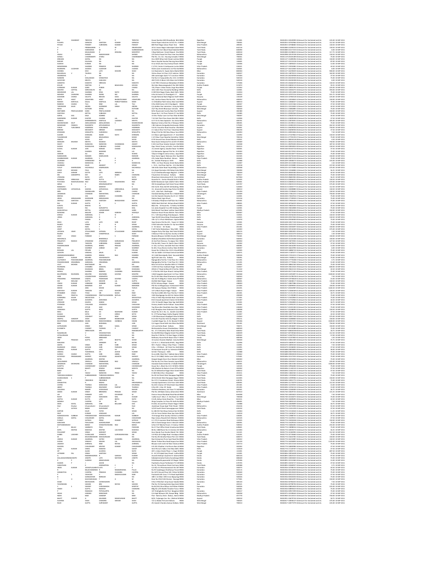| BAL<br>PUSHP/<br>PIYUSH                          | SWARDOP                | TRIPATH<br>SARAOGI<br>PANDEY  | SANTOSH<br>SURENDRA                  | KUMAJ<br>KUMAJ             | TRIPATH<br>SANADGI<br>PANDEY           | House Number 820 Dhandholai BhilwNDIA<br>Chient Paper Industries Ltd 9/1 R.n. MNDIA<br>800 Paper Industries Ltd 9/1 R.n. MNDIA<br>20 Sri Vesavi Nagar Ialaun Road Orai - INDIA<br>20 Sri Vesavi Nagar Udamalpet UdamiNDIA               | Raischar<br>West Bengal<br>Uttar Prades      | 311001<br>700001<br>285001   | IN301055-10520999-10 Amount for Unclaimed and Un<br>IN303055-10762986-10 Amount for Unclaimed and Unit<br>IN303055-10762986-10 Amount for Unclaimed and Unit<br>IN303055-10762682-10 Amount for Unclaimed and Unit                                 | 225.00 10-SEP-2011<br>112.50 10-SEP-2011<br>118.50 10-SEP-2011<br>118.50 10-SEP-2011 |
|--------------------------------------------------|------------------------|-------------------------------|--------------------------------------|----------------------------|----------------------------------------|-----------------------------------------------------------------------------------------------------------------------------------------------------------------------------------------------------------------------------------------|----------------------------------------------|------------------------------|----------------------------------------------------------------------------------------------------------------------------------------------------------------------------------------------------------------------------------------------------|--------------------------------------------------------------------------------------|
|                                                  | ś                      | PRABAGAINA<br>HARIHARAN       | M                                    |                            | ARUMUGAM<br>SUBRAMANIAN                | 32 Old No 53/1 Beach Road KalakshetNDIA                                                                                                                                                                                                 | <b>Tamil Nadu</b><br><b>Tamil Nadu</b>       | 642126<br>600090             | IN301080-22217233-22 Amount for Unclaimed and Un                                                                                                                                                                                                   | 6.00 10-SEP-2011                                                                     |
| ANJALI                                           |                        | MUGUNDAN<br>SHINDE            | NANDKUMAI                            | KRISHNA                    | MOORTHY<br>SHINDE                      | 3 Itaja Rathinam Street Kilpauk CheriNDIA<br>274 Dutta Prasad 3rd Floor Veer SavaINDIA                                                                                                                                                  | <b>Tamil Nadu</b><br>Maharashtr              | 600010<br>400028             | IN301080-22238022-22 Amount for Unclaimed and Un<br>IN301098-10519158-10 Amount for Unclaimed and Un                                                                                                                                               | 117.75 10-SEP-2011<br>118.50 10-SEP-2011                                             |
| SONALI<br>KRISHA                                 |                        | CHAKRABARTI                   | ATANU<br>NA                          |                            | CHAKRABART<br>NA                       |                                                                                                                                                                                                                                         | West Benga<br>Punjab                         | 700041<br>143001             |                                                                                                                                                                                                                                                    | 75.00 10-SEP-2011<br>150.00 10-SEP-2011                                              |
| RANVIR<br>SUDESH                                 |                        | KALISHAL<br>KUMAR             | NA<br>NA                             |                            | NA                                     | 214 Mount Frankr and Transfer Complex SINDIA<br>Hen 1009 Shhan Gali Chowk LachmadNDIA<br>Ramir Kaushal Kaushal Nursing HomeNDIA<br>H.no.414/5,near Arya Samaj Chowk LINDIA<br>H.no.414/5,near Arya Samaj Chowk LINDIA                   | Punjab                                       | 144601<br>143006             | =1001119-20105189-20<br>R301119-20105189-20<br>R4001119-20105189-20<br>R4001127-15289296-15<br>R400127-15515218-15<br>R400127-15515218-15<br>R400127-15893625-15<br>R400127-15893625-15<br>R400127-15893625-15<br>R400127-15893625-15<br>R400127-1 | 87.00 10-SEP-2011<br>12.00 10-SEP-2011                                               |
| MANORAMA                                         |                        | SHARMA                        | PRAMOD                               | KUMAR                      | NA<br>SHARMA                           | C 1/151, Sector G Jankipuram LucknolNDIA                                                                                                                                                                                                | Punjab<br><b>Uttar Pradesh</b>               | 226021                       | IN301127-15933082-15 Amount for Unclaimed and Un                                                                                                                                                                                                   | 43.50 10-SEP-2011                                                                    |
| <b>RAJENDRA</b><br>SHOBHA                        | LILADHAF               | <b>AIODIA</b><br>pevi         | LILADHAR<br>LATE                     | KISHON                     | <b>JAJODIA</b><br>SHAH                 | Shree Liomi Investments 1st Filor KokNDIA<br>C/o Raviendra Kr. Gupta Gems MarketNDIA                                                                                                                                                    | Maharashtra<br><b>Rikan</b>                  | 444601<br>sonone             | IN301127-16212664-16 Amount for Unclaimed and Un<br>IN301127-16259659-16Amount for Unclaimed and Un                                                                                                                                                | 6.00 10-SEP-2013<br>900.00 10-SEP-2013                                               |
| BHAJANLA                                         |                        | ALREJA                        | NA                                   |                            |                                        | rishnu Nivas 1st Floor 21/2 Lakshmi INDIA                                                                                                                                                                                               | Kamataka                                     | 56007<br>57500               | IN301135-13875013-13Amount for Unclaimed and Unit<br>IN301135-13875013-13Amount for Unclaimed and Unit<br>IN301135-26250938-26Amount for Unclaimed and Unit                                                                                        | 162.00 10-SEP-2011<br>37.50 10-SEP-2011<br>75.00 10-SEP-2011                         |
| ANURADHA<br>NANDINI<br>GAYATHRI                  |                        | -<br>SHALAWADI<br>MEHTA       | VENKATESH<br>SHAILESH                |                            | NA<br>NA                               | .<br>206 Laxminagar Apts P V S Junction XINDIA<br>Flat No G 2 Swayambhu No 1151 11UNDIA<br>2817/1/01 D Block 12th Main 2nd St/NDIA                                                                                                      | Kamataka<br>Kamataka<br>Kamataka             | 560104<br>560010             | IN301135-26426508-26Amount for Unclaimed and Un                                                                                                                                                                                                    | 6.00 10-SEP-2011                                                                     |
| <b>SANDHYA</b><br>KOLUR                          |                        | KAMATH<br>SWETHA              | SRINIVAS                             | BASAVANA                   | KAMATH<br>GOUDA                        |                                                                                                                                                                                                                                         | Kamataka<br><b>Andhra Prades</b>             | 575006<br>515872             | IN301135-26466349-26 Amount for Unclaimed and Un<br>IN301135-26826114-26 Amount for Unclaimed and Un                                                                                                                                               | 118.50 10-SEP-2013<br>59.25 10 SEP-2011                                              |
| LIBINDER                                         | <b>KLIMA</b>           | GARG                          | <b>LIMAN</b>                         |                            | CHAND                                  | 6 18 799/1 Shreeniyas Matadakani NNOIA<br>Wo Kolur Basayanagowda D No 180 ONDIA<br>720, Phase-i Urban Estate, Dugri RoadNDIA                                                                                                            | Punjab                                       | 141002                       |                                                                                                                                                                                                                                                    | 225.00 10-SEP-201                                                                    |
| MASTER<br>MOHNDER                                | CAPITAL<br>LAL         | SERVICESLTD<br>SHARMA         | NA<br>DINA                           | NATH                       | NA<br>SHARMA                           | 1012 10th Floor Arunachal Building 1INDIA<br>H 309 Rishi Nagar Shakur Basti Delhi INDIA                                                                                                                                                 | Delhi<br>Delhi                               | 11000<br>11003               | IN301143-10055196-10Amount for Unclaimed and Unit<br>IN301143-10055196-10Amount for Unclaimed and Unit<br>IN301143-10353275-10Amount for Unclaimed and Unit                                                                                        | 393.00 10-SEP-2011<br>75.00 10-SEP-2011                                              |
| MAHESH<br>KASHMIR                                | CHANDRA<br>CHAND       | SHARMA<br>SALOTA              | INDRA<br>BISHAN                      | RAJ<br>DASS                | SHARMA<br>SALOTA                       | H No 56 Sector 21 Chandigarh U T INDIA<br>Punjab National Bank Regional Staff ONDIA                                                                                                                                                     | Punjab<br>Haryana                            | 160022<br>134109             | IN301143-10707216-10 Amount for Unclaimed and Un<br>IN301143-10783518-10 Amount for Unclaimed and Un                                                                                                                                               | 591.75 10-SEP-2011<br>225.00 10-SEP-2011                                             |
| SMITA                                            | HASIT<br>KANTILAL      | JOSHIPURA                     | HASIT                                | BHARATKUMAR<br>MISOTTAMOAS | <b>JOSHIPURA</b>                       | 501. Harihar Niwas Plot No 420. 15thNDM                                                                                                                                                                                                 | Maharashtra                                  | 400052<br>sennu              | IN301151-12034843-12 Amount for Unclaimed and Un                                                                                                                                                                                                   | 150.00 10-SEP-2011                                                                   |
| HAKESH<br>RAMESH<br>TARVINDER                    |                        | DALAL<br>TULI<br>ARORA        | KANTILAL<br>RAM<br>GURINDER          |                            | MODI<br>TULI<br>ARORA                  | 501, Hanner Niwes Pies von Heiz, Jacobia<br>11 Vithalbhai Patel Colony Near SardiNDIA<br>H No 3028 Sector 44 D Chandigarh - INDIA                                                                                                       | Gujarat<br>Punjab                            | 6004                         | insurations-accuses-accumulation for Unclaimed and Unit<br>IN301151-12060027-12Amount for Unclaimed and Unit<br>IN301151-12221566-12Amount for Unclaimed and Unit                                                                                  | 75.00 10-SEP-2011<br>37.50 10-SEP-2011<br>43.50 10-SEP-2011                          |
| NEHA                                             | KALIR                  | KOTHARI                       | DIPAK                                | SINGH                      | KOTHARI                                | C/o Golden Star Industries 1 Suraj ApJNDIA<br>23/7 Ray Street Bhaunipur Calcutta INDIA                                                                                                                                                  | Maharashtr<br>West Bengal                    | 400602<br>700020             | IN301151-13082885-13 Amount for Unclaimed and Un                                                                                                                                                                                                   | 75.00 10-SEP-2011                                                                    |
| SMITABEN<br>SANTOSH                              | PRAFULKUMAR            | DARII<br>MITTAL               | PRAFULKUMAR<br>SUBHASH               |                            | NA<br><b>MITTAL</b>                    | 8/16 Shramrank Society Near Nay NilNDIA<br>House No. 2, 1st floor Docket (/? SectMDIA                                                                                                                                                   | Gujarat<br>Delhi                             | 382480<br>110085             | IN301151-20214077-20 Amount for Unclaimed and Un<br>IN301151-20283364-20 Amount for Unclaimed and Un                                                                                                                                               | 150.00 10-SEP-2011<br>75.00 10-SEP-2011                                              |
| GOPAL<br>NARÉNDRA                                | DAS<br>KUMAR           | DIGA<br>KHATER                | GOBIND<br>CHUNNI                     |                            | LAL<br>KHATER                          | The Shiv Thakur Lime 1st Floor Near BANDIA<br>T 33 563 Third Floor Kevin Mot Mkt 0NDIA<br>G 57 01 01 New Saptishri Soc SectorNDIA<br>Bijeshvar Colony Sheri No 2 Palanpur INDIA                                                         | West Benga<br>Delhi                          | 700007<br>110006             | IN301151-20283364-20 Amount for Unclaimed and Unit<br>IN301151-20626376-20 Amount for Unclaimed and Unit<br>IN301151-22839538-22 Amount for Unclaimed and Un                                                                                       | 43.50 10-SEP-2011<br>37.50 10-SEP-2011                                               |
| VARSHA                                           | DILIP                  | DHIRENMEHT/<br>AMULAKHDAS     | KANTILAL<br>AMULAKHDA                | <b>UIAMSH</b>              | MEHTA                                  |                                                                                                                                                                                                                                         | Maharashtra                                  | 40070                        | IN301151-22870491-22 Amount for Unclaimed and Un<br>IN301151-24190521-24 Amount for Unclaimed and Un                                                                                                                                               | 105.00 10-SEP-2011<br>75.00 10-SEP-2011                                              |
| MAHESHWAI<br>MANOHAR                             | FRANCIS                | NAZARETH                      | APOUNAROUS                           |                            | MAHESHWA<br>NAZARETH                   | 186 Valencia Gorieudda Kankanady IINDIA                                                                                                                                                                                                 | Gujarat<br>Kamataka                          | 38500<br>575002              | IN301151-24385230-24 Amount for Unclaimed and Un                                                                                                                                                                                                   | 262.50 10-SEP-2011                                                                   |
| FARUK<br><b>BIKRAM</b>                           | YEINE/GRHAD            | HAMINAN<br>MOHANTY            | <b>YUNUSBHA</b><br><b>SHRAM</b>      | CHANDER                    | HAMIRAN<br>MOHANT                      | 514 B 2 Sisuvihar Road Sisuvihar BhatNDIA<br>A 1 Goltul Vihar First Floor Tokarkhad NDM                                                                                                                                                 | Guiarat<br>Guiarat                           | 364001<br>396230             | IN301151-26629026-26 Amount for Unclaimed and Un<br>IN301151-26696936-26Amount for Unclaimed and Un                                                                                                                                                | 750.00 10-SEP-2011<br>375010-99-2011                                                 |
| SPANDAN                                          |                        | SENGUPTI                      | SUKHENDU                             | NATH                       | SENGUPTA                               | ng E Flat No 504 New Mayur SocietNDIA                                                                                                                                                                                                   | Maharashtr                                   | sonos <sup>4</sup><br>110092 | IN301151-26901846-26Amount for Unclaimed and Unit<br>IN301151-26901846-26Amount for Unclaimed and Unit<br>IN301151-27167862-27Amount for Unclaimed and Unit                                                                                        | 7.50 10-SEP-2011                                                                     |
| SUDHIR<br>YUGANDHAR<br>ANKITA                    |                        | DHINGRA<br>MASKI<br>5000      | INDER<br>BASALIARAJU<br>AIAY         |                            | DHINGRA<br>MASKI<br>soop               | A 2 Moon Light Appartment I. P. ExtriNDIA<br>C 2/3 New Town Rajarhat Animikha HNDIA<br>D 50 Ground Floor Anand Niketan NelNDIA                                                                                                          | Delhi<br>West Bengal<br>Delhi                | 700156<br>110021             | IN301151-28034518-28 Amount for Unclaimed and Un                                                                                                                                                                                                   | 118.50 10-SEP-2011<br>75.00 10-SEP-2011<br>4.50 10-SEP-2011                          |
| MANJARI<br><b>SWATI</b>                          | MUKESH                 | MEHTA<br>NARAYAN              | MUKESH<br>NARAYAN                    | SIVARAMAN                  | MEHTA<br>ANANT                         | New Haven Enterprise Pvt Ltd 49 H PJNDIA<br>E 433 2nd Floor Greater Kailash 2 DelINDIA                                                                                                                                                  | Maharashtra<br>Delhi                         | 400069<br>110048             | IN301151-28101216-28 Amount for Unclaimed and Un<br>IN301151-28295404-28 Amount for Unclaimed and Un                                                                                                                                               | 750.00 10-SEP-2011<br>187.50 10-SEP-2011                                             |
| GALGE                                            |                        | NAWALKHA                      | SUBHASH                              | CHAND                      | NAWALKHA                               | Opp. Petrol Pump, Lal Kothi, Tonk RoJNDIA                                                                                                                                                                                               | Rajasthar                                    | 302015                       |                                                                                                                                                                                                                                                    | 118.50 10-SEP-2011                                                                   |
| SUSHIL<br>INDU                                   | KUMAI                  | jain<br>Khanda                | MANAK<br>BAJRANG                     | CHAND                      | JAIN<br>LAL                            | J.k.cement Agency Jawahar Bazar TorINDIA<br>C/o Ramawtar Agarwal Plot No. 33 AJNDIA                                                                                                                                                     | Rajasthan<br>Rajasthan                       | 30400<br>320002              |                                                                                                                                                                                                                                                    | 37.50 10-SEP-2011<br>75.00 10-SEP-2011                                               |
| ANWAR<br><b>NAIMUDDIN</b>                        |                        | ALI<br><b>RANDER</b>          | ABDUL<br>MAINUDDIN                   |                            | WAHD<br>RANDER                         | Taliyon Ki Bagichi Janta Colony JaipulNDIA<br>Near Home Signal Makrana Dist. NagNDIA                                                                                                                                                    | Rajasthan<br>Raiasthan                       | 302003<br>341505             | IN301160-30216977-30 Amount for Unclaimed and Un<br>IN301160-30276234-30 Amount for Unclaimed and Un                                                                                                                                               | 75.00 10-SEP-2011<br>150.00 10-SEP-2011                                              |
| DHAMMENDER                                       | KUMAR                  | AGARWA<br>GEROMANY            |                                      |                            | <b>AGARWAY</b>                         | 476, Sadar Bazar Ranikhet Almora<br>INDIA                                                                                                                                                                                               | Uttar Pradest                                | 263645<br>110088             | IN301186-20072154-20 Amount for Unclaimed and Un                                                                                                                                                                                                   | 75.00 10-SEP-2011                                                                    |
| :<br>Aurabe<br>Aishau                            |                        | Circulus<br>MANDCHA           | DR                                   |                            | n<br>MANOCHA                           | 170, Joseph Marie Hermony, 201314<br>1883, Vaishali Pitampura, Delhi<br>1999, Jat Floor Kharian Street RoshalNDIA<br>1-55 A, 2nd Floor Gali No - 22 A NevNDIA                                                                           | Delhi<br>Delhi<br>Delhi                      | 1000                         | IN301209-10048473-10Amount for Unclaimed and Unit<br>IN301209-10145473-10Amount for Unclaimed and Unit<br>IN301209-10115400-10Amount for Unclaimed and Unit                                                                                        | 225.00 10-SEP-2011<br>1.50 10-SEP-2011<br>237.00 10-SEP-2011                         |
| RAINDER<br>YUSUF                                 | KAMRUDDIN              | KALIR<br>KACHWALA             | AMARIT<br>KAMRUDDE                   |                            | SINGH<br>KACHWALA                      | 105 Sofia Zuber Road Taiweb Blde 1st INDIA                                                                                                                                                                                              | Maharashtra                                  | 110018<br>400008             | IN301225-10175484-10 Amount for Unclaimed and Un                                                                                                                                                                                                   | 375.00 10-SEP-2011                                                                   |
| GOUR<br>SANTI                                    | MOHAN<br>SEKHAR        | PALE<br>DATTA                 | NA<br>LATE                           | ABINASE                    | NA<br><b>CH</b>                        | C/o Gopal Karmakar 303 Netaji ColonINDIA                                                                                                                                                                                                | West Bengal<br>West Benea                    | 700090<br>700059             | IN301250-13546884-13 Amount for Unclaimed and Un<br>IN101250-28365582-28 Amount for Unriained and Un                                                                                                                                               | 56.25 10-SEP-2011<br>43.50 10-SEP-2011                                               |
| .<br>JITENDRA                                    | SAMARPITA              | DEY<br>NATH                   | LT<br>LATE                           | <b>MAN</b>                 | CHANDRA<br>NATH                        | Ca 2/3 Deshbandhunagar Baguiati CaWDIA<br>9 Syed Arrir Ali Avenue Kolkata<br>Dhanshree International B 10 City CeWDIA                                                                                                                   | West Bengi<br>Jharkhand                      | 700017<br>827004             | 8101250-28483266-28 Amount for Unclaimed and University R301250-28483266-28 Amount for Unclaimed and University R301250-28681965-28 Amount for Unclaimed and University R301313-20046201-20 Amount for Unclaimed and Universit                     | 75.00 10-SEP-2011<br>56.25 10-SEP-2011                                               |
| SANGAM<br>PUVVADA                                | SRINIVASA<br>MADHUSUD. | REDD!                         | PUTTA<br>PUVVAD                      | NAGESWARI                  | REDDY<br>RAD                           | Dhamhree International B 10 City Cellvux<br>Gorantia Po Guntur Mandal District INDIA<br>B/203 Nandanam Apts 5/8/42 Fathe INDIA                                                                                                          | Andhra Pradesh<br>Andhra Pradesh             | 52203<br>50000               |                                                                                                                                                                                                                                                    | 118.50 10-SEP-2011<br>474.00 10-SEP-2011                                             |
| GIRIA                                            |                        | <b>RAO</b>                    | KRISHNAMURTH                         |                            | NA                                     | 392 Errataipillaiyar Koil Street ParamJNDIA                                                                                                                                                                                             | <b>Tamil Nadu</b>                            | 623707                       | IN301313-20635210-20 Amount for Unclaimed and Un                                                                                                                                                                                                   | 375.00 10-SEP-2011                                                                   |
| <b>RAMADEV</b><br>CHETNABEN                      | JAYSUKHLAL             | GADHIA                        | MAHESH<br><b>JAYSUKHLAI</b>          | GIRDHARLAL                 | GADHIA                                 | Old 15/16 New 20/193 Sdl Building INDIA                                                                                                                                                                                                 | Andhra Pradest<br>Guiarat                    | 524003<br>380013             | IN301313-21003777-21 Amount for Unclaimed and Un<br>IN301321-10400880-10 Amount for Unclaimed and Un                                                                                                                                               | 112.50 10-SEP-2011<br>118.50 10-SEP-2011                                             |
|                                                  |                        | SWARALIAI<br>CHANDAI          | NAKHATMAL                            | SURESH                     | CHAND<br>CHAND                         | 13, Amamath Society Opp Police Christian<br>A-21, Alok Park Modinagar (INDIA<br>Chandak Building Street No 1 FafadihINDIA<br>C/o Shri Ganesh Chandra Jha Ch 12 FINDIA                                                                   | Uttar Pradesh                                | 20120<br>492009              | IN301330-17230640-17Amount for Unclaimed and Unit<br>IN301330-17230640-17Amount for Unclaimed and Unit<br>IN301330-175412316-17Amount for Unclaimed and Unit                                                                                       | 118.50 10-SEP-2011                                                                   |
| JAINARAIN<br>MÉÉNA<br>ARUN                       | ANNASAHEB              | JНA<br>GHODGIRE               | GANESH<br>ANNASAHEB                  | CHANDRA                    | JHA<br>NA                              | Station Road, Ugar Khurd<br>INDIA                                                                                                                                                                                                       | Chhattisgarh<br>Delhi<br>Kamataka            | 110003<br>591316             | IN301330-17739959-17 Amount for Unclaimed and Un                                                                                                                                                                                                   | 750.00 10-SEP-2011<br>75.00 10-SEP-2011<br>75.00 10-SEP-2011                         |
| DEEPALI<br><b>RAJ</b>                            | SANTOSH<br>KUMAR       | GADIYA<br><b>GUPTA</b>        | SANTOSH                              | BHAGCHAND                  | GADIYA<br><b>GUPTA</b>                 | S B Gadiya Telephone Staff Otrs No 3 INDIA<br>58/65 Neel Wali Gali Birhana Road KINDIA                                                                                                                                                  | Maharashtra<br>Uttar Pradesh                 | 445001<br>208001             | IN301330-17905326-174mmm for Unriained and Un<br>IN301330-18766459-18 Amount for Unclaimed and Un                                                                                                                                                  | 75.00 10 SEP-2011<br>37.50 10 SEP-2011                                               |
| <b>SUNITA</b>                                    |                        | <b>BHATIA</b>                 |                                      |                            | <b>BHATU</b>                           | Block No 10 House No 71 Nehru NatNDIA                                                                                                                                                                                                   | Delhi                                        | 110065                       | IN301330-19605350-19 Amount for Unclaimed and Ur                                                                                                                                                                                                   | 43.50 10 SEP-2011                                                                    |
| BALDEV<br>SHAKUNTALA                             |                        | raj<br>mittal                 | -><br>GURUDITTA<br>LAXMICHAND        |                            | MAL<br>GARG                            | C/o Janta Hospital H.no 495 KotakpusNDIA<br>Dahi Mandi Topi Bazar Lashkar GwalirNDIA                                                                                                                                                    | Punjab<br>Madhya Pradesi                     | 142001<br>474001             | IN301330-19632808-19 Amount for Unclaimed and Un<br>IN301330-20004246-20 Amount for Unclaimed and Un                                                                                                                                               | 75.00 10-SEP-2011<br>150.00 10-SEP-2011                                              |
| RIZWANA<br>DHRUV                                 | KUMAI                  | BAGUM<br>AGRAWA               | <b>AZHAR</b>                         | KAREEM                     | sippigu                                | Shalimar House Pirvais Market PatnaINDIA<br>D 1 / 120 Satya Marg Chanakyapuri, INDIA                                                                                                                                                    | <b>Bihar</b><br>Delhi                        | 800007<br>110021             | IN301330-20174540-20 Amount for Unclaimed and Un<br>IN301330-20256246-20 Amount for Unclaimed and Un                                                                                                                                               | 37.50 10-SEP-2011<br>118.50 10-SEP-2011                                              |
| <b>URME</b>                                      |                        | AGRAWA<br>PANDA               | $\sim$                               |                            | <b>AGRAWAL</b>                         |                                                                                                                                                                                                                                         | Delhi                                        | 110021<br>110021             | IN301330-20537463-20 Amount for Unclaimed and Un                                                                                                                                                                                                   | 118.50 10-SEP-2011                                                                   |
| .<br>SNEH                                        |                        |                               | LATE                                 | SHRI                       | PANDA<br>ROOP                          | Type Sb120 Satya Marg ChanakyapusNDIA<br>146-A/9, Ii Floor Mahalaxmi ApartmINDIA<br>Vipul Greens Flat No.101 , Tower-12 3NDIA<br>A 304 Guimohar Garden Co-Op SocietNDIA                                                                 | Delhi<br>Haryani                             | 2200                         | IN301356-20358300-20 Amount for Unclaimed and Unit<br>IN301356-20358300-20 Amount for Unclaimed and Unit<br>IN301436-10221534-10 Amount for Unclaimed and Unit                                                                                     | 75.00 10-SEP-2011<br>75.00 10-SEP-2011<br>75.00 10-SEP-2011                          |
| RAJEEV<br>KANTI                                  |                        | SINGH<br>RANI                 |                                      |                            | SINGH<br><b>AGARWAL</b>                | A - 55 Sector - 30 Noida<br>INDIA                                                                                                                                                                                                       | Haryana<br><b>Uttar Pradesh</b>              | 122001<br>201301             | IN301436-10433697-10 Amount for Unclaimed and Un                                                                                                                                                                                                   | 150.00 10-SEP-2011                                                                   |
| ANUP<br><b>JAYSWAL</b>                           | <b>JIGAR</b>           | GOYAL<br><b>ATULICUMAR</b>    | <b>JAYSWAL</b>                       | ATULKUMAF                  | GOYAL<br>AMBUPRASAD                    | F 447 Kotla Mubarakpur New Delhi INDIA                                                                                                                                                                                                  | Delhi<br>Guianat                             | 110003<br>383215             | IN301436-10516340-10 Amount for Unclaimed and Un<br>IN301469-10081855-10 Amount for Unclaimed and Un                                                                                                                                               | 375.00 10-SEP-2011<br>1.50 10-SEP-2011                                               |
| <b>RAJESH</b><br>VUAY                            | SINGH                  | .<br>Parmar                   | CHAMPAKLA                            | ć                          | .<br>Parmar                            | Sangam Party Plot Opp. Geb Talod DiINDIA<br>3 Mansuri Park Co Op Hou Society LtdNDIA<br>Mundra Bhawan 3rd Mile Sevoke RoalNDIA                                                                                                          | <b>Gujarat</b><br>West Benga                 | 380013<br>734401             |                                                                                                                                                                                                                                                    | $\begin{array}{c} 1.50\ 10\ 589\ 2011 \\ 150.00\ 10\ 589\ 2011 \end{array}$          |
| MOHANLA                                          |                        |                               |                                      |                            | na<br>Prajapat                         | Aradhana Novelties 50/56 MamulpetINDIA<br>At And Post Khanusa, Ta-vijapur Dist INDIA                                                                                                                                                    | Kamataka                                     | 56005                        | R303485-10101370-10/ennum los unuamientos de la Universitativa de la Universitativa de la Universitativa de la<br>R303485-10101370-10/ennum for Unclaimed and Universitativa (18101549-14124108-14-Amount for Unclaimed and Univ                   | 150.00 10-SEP-2011<br>127.50 10-SEP-2011                                             |
| PRAJAPATI<br>DINESH                              | <b>BAKES</b>           | ATMARAN<br>TANDON             | ATMARAM<br>SURENDRA                  | KARSANDAS<br><b>KLIMAR</b> | TANDON                                 | Flat No 603, Tower 14, North Close S/NDIA                                                                                                                                                                                               | Gujarat<br>Haryana                           | 382850<br>122002             | IN301549-15879452-15 Amount for Unclaimed and Un                                                                                                                                                                                                   | 37.50 10-SEP-2011                                                                    |
| PAWANKUMA<br>kavi                                |                        | AGARWA<br>SHARRAI             | beeno<br>JAIRAM                      | PRASAD<br>DAS              | AGARWAL<br>SHARRA                      | A-102, 1st Floor, Sannidhi Park Hari 0NDIA<br>Rc 401, Purva Riviera Varthur Main RdNDIA                                                                                                                                                 | Maharashtra<br>Kamataka                      | 400081<br>560037             | IN301549-16616200-16Amount for Unclaimed and Un<br>IN301549-16622994-16Amount for Unclaimed and Un                                                                                                                                                 | 12.00 10-SEP-2011<br>6.00 10-SEP-2013                                                |
| ROSHAN<br>GAYATRI                                | LAL                    | PIPLANI                       |                                      |                            | PIPLANI<br>KUMAR<br>DAMERA             | No. 402, Parent Weekly ART March 1990<br>2011 Sai Siddhi 11th Road Central Ave(NDIA<br>2011 Sai Siddhi 11th Road Central Ave(NDIA<br>2011 660 Marredpally West SecunderNDIA                                                             | Delhi<br>Maharashtra                         | 110005<br>400071             | IN301549-16886710-16Amount for Unclaimed and Unit<br>IN301549-16886710-16Amount for Unclaimed and Unit<br>IN301549-17331415-17Amount for Unclaimed and Unit                                                                                        | 75.00 10-SEP-2011<br>75.00 10-SEP-2011<br>75.00 10-SEP-2011                          |
| UMAMAH<br>SAMPAT                                 | <b>INO</b><br>KUMAR    | SINGHAL<br>DAMÉRA<br>MISHRA   | ARUN<br>RANGA<br>VISHWANATH          | RAO                        | MISHRA                                 | Ag79 Salt Lake City Kolkata<br><b>INDIA</b>                                                                                                                                                                                             | Andhra Pradesi<br>West Bengal                | 500026<br>700091             | IN301549-17400412-17-Amount for Unclaimed and Un                                                                                                                                                                                                   | 75.00 10-SEP-2011                                                                    |
| LALITADEVI<br>PAWANKUMAR                         | PAWANKUMAF<br>ONKARMAL | AGARWA<br>AGRAWAL             | PAWANKUMAR<br>ONKARMAL               |                            | NA.<br><b>AGRAWAL</b>                  | .<br>Rajnigandha Flat No 7 2nd Floor N C INDIA<br>Rajnigandha Flat No 7 2nd Floor N C INDIA                                                                                                                                             | Maharashtra<br>Maharashtra                   | 421201<br>421201             | IN301549-17775038-17 Amount for Unclaimed and Un<br>IN301549-17775046-17 Amount for Unclaimed and Un                                                                                                                                               | 3.75 10-SEP-2011<br>15.00 10-SEP-2011                                                |
| ALIT                                             | MOHAN                  | <b>BHATNAGE</b>               | NA                                   |                            |                                        |                                                                                                                                                                                                                                         | Punjab                                       | 14300                        |                                                                                                                                                                                                                                                    | 75.00 10-SEP-201                                                                     |
| RAVINDRA<br>PRAMILA                              |                        | CHHABRA<br>DHANUKA            | <b>JAIDAYAL</b><br><b>BIMAL</b>      | KUMAJ                      | CHHABRA<br>DHANUKA                     | Bria Val Ltd Ocm Woollen Mills G T RINDIA<br>17/39 lind Floor Subhash Nagar NewNDIA<br>493/b G T Road (s) Block B K Flat No 2NDIA                                                                                                       | Delhi<br>West Bengal                         | 11002<br>711102              |                                                                                                                                                                                                                                                    | 600.00 10-SEP-2011<br>43.50 10-SEP-2011                                              |
| MANJU<br>BHUPENDRA                               | <b>BAVINDRA</b>        | SHARMA<br>MHATRE              | RAMESH<br>RAVINDRA                   | CHANDRA<br>COVIND          | <b>BHARDWAI</b><br>MHATRE              | F 4 Plot No 305 Oyan Khand I IndirapINDIA<br>118/d Sangeeta Apartment 1st Floor (NDIA                                                                                                                                                   | <b>Uttar Pradesh</b><br>Maharashtra          | 201010<br>400068             | IN301549-30171165-30 Amount for Unclaimed and Un<br>IN301549-31091897-31 Amount for Unclaimed and Un                                                                                                                                               | 75.00 10-SEP-2011<br>1500.00 10-SEP-2011                                             |
| HARI<br><b>BASANNA</b>                           | PACHASKA               | LOGANATH                      | KANNAPPA                             |                            | LOGANATHAN                             | No 25 6th Main Road Shamanna LaydNDIA                                                                                                                                                                                                   | Kamataka                                     | 560043<br>annen              | IN301549-31478578-31 Amount for Unclaimed and Un                                                                                                                                                                                                   | 7.50 10-SEP-2013                                                                     |
|                                                  | VEELAN                 | VAIDYA<br>GUPTA               | PADMAKAR<br>KISHORI<br>DARBARI       | GOVINE<br>LAL              | VAIDYA<br>GUPTA<br>VARMANI             | 10 23 Communications and Contract Contract Contract Contract Contract Contract Contract Contract Contract Contract Contract Contract Contract Contract Contract Contract Contract Contract Contract Contract Contract Contract          | Maharashtri<br>Uttar Prades                  | 20800                        | IN301549-311976818-3174mount for Unclaimed and Unit<br>IN301549-311976818-3174mount for Unclaimed and Unit<br>IN301557-10638217-10Amount for Unclaimed and Unit                                                                                    | 15.00 10:56P-2011<br>118.50 10:56P-2011<br>75.00 10:56P-2011                         |
| VINCO<br><b>ASHOK</b>                            | KUMAR<br>KUMAR         | VARMANI<br>BANERJEE           | AIIT                                 | щ<br>KUMAR                 | BANERJEE                               |                                                                                                                                                                                                                                         | <b>Uttar Pradesh</b><br>Uttar Pradesh        | 208003<br>221005             | IN301557-20099955-20 Amount for Unclaimed and Un                                                                                                                                                                                                   | 150.00 10-SEP-2011                                                                   |
| MOHD<br>SANTOSH                                  | KUMAR                  | ANIS<br>TANDON                | MOHD<br>LATE                         | KISHON                     | YUNUS<br><b>LAL</b>                    | Plot No-14 Bhagwarqur Vivekanand ONDIA<br>183 Oyaspur Bisalpur Dist Pilibhit MDIA                                                                                                                                                       | Uttar Pradesh<br>Uttar Pradesh               | 263201<br>208013             | IN301557-20342987-20 Amount for Unclaimed and Un<br>IN301557-21066569-21 Amount for Unclaimed and Un                                                                                                                                               | 1426.50 10-SEP-2011<br>118.50 10-SEP-2011                                            |
| <b>PITAMBE</b>                                   | SINGH<br>PRAFFUL       | iyagi<br>Jhandras             | SRI<br>PRAFFULO                      |                            | RAM<br>SHAH                            | $137-8$ block Shyam Nagar Kanpur<br>1971 - INDA File No-2/801 8th Floor Plot No-7 NNDIA<br>1972 Ablashganga Soc 8/7<br>1970 Alashganga Soc 8/7h Air Station INDIA<br>1970 Alashganga Soc 8/7h Air Station INDIA<br>1975 Arawali Apartme | Uttar Pradesh<br>Gujarat                     | 201001<br>390005             | =101357-21151191-214 Minouri for Unclaimed and Unit<br>R301557-21151191-21 Amount for Unclaimed and Unit<br>R301557-21190380-21 Amount for Unclaimed and Unit<br>R301557-21542863-21 Amount for Unclaimed and Unit                                 | 18.75 10-SEP-2011<br>75.00 10-SEP-2011                                               |
| <b>SURENDR</b>                                   | KESAR<br>KUMAR         | SRIVASTAVA<br>ACHAIXYA        | S<br>ADIKANDA                        |                            | SRIVASTAVA<br>ACHARYA                  |                                                                                                                                                                                                                                         | Uttar Pradesh<br>Uttar Pradesh               | 27100                        |                                                                                                                                                                                                                                                    | 75.00 10-SEP-2011<br>34.50 10-SEP-2011                                               |
| SANJAY<br><b>JITENDER</b>                        |                        | DAHTKA                        | KARAN                                |                            | SINGH                                  | 115/22 Gandhi Nagar Near Hgc KathINDIA                                                                                                                                                                                                  | Haryana                                      | 20130<br>131001              | IN301557-21963803-21 Amount for Unclaimed and Un                                                                                                                                                                                                   | 18.75 10-SEP-2011                                                                    |
| POONAM<br>MOHD                                   |                        | CHAUHAN<br>AYYUB              | JAGDEESH<br>HAZI                     |                            | CHAUHAN<br>SIXANDAR                    | .<br>Primary Health Centre Palhani  Azam¢NDIA<br>Top Khana Bari Road Bala Ganj Opp- VNDIA                                                                                                                                               | Uttar Pradesh<br>Uttar Pradesh               | 276001<br>226003             | IN301557-21993191-21 Amount for Unclaimed and Un<br>IN101557-22245182-22 Amount for Unclaimed and Un                                                                                                                                               | 37.50 10-SEP-2011<br>75.00 10 SEP-2011                                               |
| VANDANA                                          |                        | <b>GUPTA</b>                  | RAIN                                 | RAJENDER                   | GUPTA<br>KUMAR<br>SETHI                | 1-6 Maria Lauri Hussa anno Camp Opper Income<br>196/2 Bunglow Area Ordianance FactolNDIA<br>1972 If Partap Nagar Andha Mughal DNDIA                                                                                                     | <b>Uttar Pradesi</b><br><b>Uttar Pradesi</b> | 248001<br>25100              | 8101557-22248092-22 Amount for Unclaimed and Unit<br>18301557-22248092-22 Amount for Unclaimed and Unit<br>18301590-10037916-10 Amount for Unclaimed and Unit                                                                                      | 13.50 10-SEP-2011<br>37.50 10-SEP-2011<br>43.50 10-SEP-2011                          |
| indu<br>Shashi                                   |                        | BALA<br>SETHI                 | SH<br>SH                             | GIRISH                     |                                        |                                                                                                                                                                                                                                         | Delh                                         | 11000                        | IN301590-10047140-10 Amount for Unclaimed and Un                                                                                                                                                                                                   | 375.00 10-SEP-2011                                                                   |
| RAVINDER<br><b>DIMPAL</b>                        | SANDEEP                | VASHISHT<br>JOSHI             | <b>SH</b><br>SANDEEP                 | RAM<br><b>BAMKISHOR</b>    | SINGH<br><b>JOSHI</b>                  | J-139 Dharampura Najafgarh New DelNDIA<br><b>8.14 301 Priyanka Intercity Magob 5 INDIA</b><br>3-vallabh Nazar Soc. B. Nr. Baroda PreNDIA                                                                                                | Delhi<br>Gujarat                             | 110043<br>394211             | IN301604-10280860-104mmm for Unriained and Un                                                                                                                                                                                                      | 150.00 10-SEP-2011                                                                   |
| BHUPATBHAI                                       |                        | KIKANI<br>AIN                 | <b>ВАNCHHODBHA</b><br><b>BUDHMAL</b> | <b>HARIBHAI</b>            | KKANI<br>JAIN                          |                                                                                                                                                                                                                                         | Guiarat<br><b>Jharkhand</b>                  | sesone<br>825301             | IN301604-10357237-10 Amount for Unclaimed and Un                                                                                                                                                                                                   | 1500.00 10-SEP-2013<br>750.00 10-SEP-201                                             |
| SATRUGHAM<br>ELIZABETH                           |                        | SINGE                         | RAM<br>THÒMAS                        | SAKA                       | SINGH<br>CHANDY                        | Co Sugan Chand Sethi Jain Main RoalWDIA<br>1/2 Lord Sinha Road Kolkata INDIA<br>Muthukulathu House Chembakkavu TNDIA                                                                                                                    | West Bengal<br>Kerala                        | 70007<br>680020              |                                                                                                                                                                                                                                                    | 150.00 10-SEP-2011<br>75.00 10-SEP-2011                                              |
|                                                  |                        | <b>CHAND!</b><br>SRINIVASAN   | VPS                                  |                            | RAMAMURTHY                             | No. 37 A Velachery Main Road VelacINDIA<br>No 36/298 Mani Megalai Street PerivINDIA                                                                                                                                                     | <b>Tamil Nadu</b>                            | 600032                       | IN301637-40604258-40 Amount for Unclaimed and Un                                                                                                                                                                                                   | 18.75 10-SEP-2011                                                                    |
| NAGARAJAN<br>AYYALURAJAN                         |                        |                               | VISWANATHAN<br>VARADARAJALU          |                            | NA<br>NA                               | New No 2 Old No F 23 Ram Nasar 2n/NDIA                                                                                                                                                                                                  | <b>Tamil Nadu</b><br><b>Tamil Nadu</b>       | 600039<br>600042             | IN301637-40720566-40 Amount for Unclaimed and Un<br>IN301637-41067932-41Amount for Unclaimed and Un                                                                                                                                                | 112.50 10-SEP-2011<br>57.00 10-SEP-2011                                              |
| HEMY<br>OM                                       |                        | PETER<br>GUPTA                | <b><i><i>ABRAHAM</i></i></b><br>LATE | <b>BHATTU</b>              | NA<br>SHAW<br>BATRA                    | Nellissey House North Bazar Oliur P.4NDIA<br>10 Justice Chandra Madhab Calcutta INDIA<br>C/o Sh. K. L. Manchanda B-503, NagaINDIA                                                                                                       | .<br>West Benga                              | cento                        | =1000537-41247802-41Amount for Unclaimed and Un<br>=1016537-41247802-41Amount for Unclaimed and Un<br>=101653-10061369-10Amount for Unclaimed and Un<br>=101670-10009197-10Amount for Unclaimed and Un                                             | 1.50 10-SEP-2011<br>75.75 10-SEP-2011<br>37.50 10-SEP-2011                           |
| RANJANA<br><b>AMITA</b>                          |                        | SINGH                         | VIRINDER<br>SHRI                     | SUBE                       | SINGH                                  | 90 F, Pocket -i Mayur Vihar Phase - I BNDIA                                                                                                                                                                                             | Delhi                                        | 110096<br>110091             | IN301670-10093530-10Amount for Unclaimed and Un                                                                                                                                                                                                    | 7.50 10-SEP-2011                                                                     |
| RAJENDER<br>HAMANT                               | SINGH<br>KUMAR         | GOSAIN<br><b>GUPTA</b>        | SHRI<br>LATE                         | PARVEEN<br>ŚH              | SINGH<br>PN                            | H No - 178 Block - 18 Trilok Puri DelhiNDIA                                                                                                                                                                                             | Delhi<br>Delhi                               | 110091<br>110092             | IN301670-10106002-10 Amount for Unclaimed and Un<br>IN101688-200018892-20 Amount for Unriaimed and Un                                                                                                                                              | 37.50 10-SEP-2011<br>36.00 10-SEP-2011                                               |
|                                                  |                        | <b>TOSHN</b><br>SUPTA         | ŚH                                   | SHOP                       | KUMAR<br>RAM                           | 35 Kamayani Kunj 69 Lp. Extension NINDIA<br>Sd-162 Pitampura - Delhi<br>Ho.no.608, Ward No-7 Aalkala KairanNDIA                                                                                                                         |                                              |                              | IN301688-20037058-20 Amount for Unclair<br>IN301688-20055818-20 Amount for Unclair                                                                                                                                                                 | 75.00 10-SEP-2011                                                                    |
| KATAPADI                                         | PREMANANO              | SHENO                         | KATAPADI                             | <b>ANANTH</b>              | SHENOY                                 | No.17-19-1388/1 Britto Lane Folhir MNDIA<br>Deepak Bangle Store Churi Market KalNDIA                                                                                                                                                    | Kamataka                                     | 575001                       | IN301696-10127435-10 Amount for Unclaimed and Un<br>IN301696-10253940-10 Amount for Unclaimed and Un                                                                                                                                               | 75.00 10-SEP-2011<br>75.00 10-SEP-2011                                               |
| NMW<br><b>JWALANAND</b>                          |                        | AGARWA<br>VEMULA              | DEEPAK<br>PRABHAKAE                  | RAD                        | <b>AGA/IWA)</b><br>VEMULA              | Plot No 46. First Floor Samata LayoutINDIA                                                                                                                                                                                              | <b>Bihar</b><br>Maharashtra                  | 800003<br>440011             | IN301696-10543457-10 Amount for Unclaimed and Un                                                                                                                                                                                                   | 225.00 10-SEP-2011                                                                   |
| <b>JAINARAIN</b><br><b>SUDIPTA</b>               | DEVENDRA               | CHANDAR<br>OKOWDHIER          | NAKHATMAL<br><b>SUKUMAR</b>          |                            | CHANDAS<br>CHOWDHUR                    | Chandak Estate Street No 1 Fafadih RINDIA<br>House No 1, Block No 4 O C M Mills ONDIA                                                                                                                                                   | Chhattisgart<br>Puniab                       | 492001<br>143105             | IN301696-10614182-10 Amount for Unclaimed and Un<br>IN301696-10946482-10 Amount for Unclaimed and Un                                                                                                                                               | 1500.00 10-SEP-2013<br>75.00 10-SEP-2011                                             |
| SHIVAN                                           |                        | aven                          | DINESH                               | KUMAF                      | MOHTA                                  |                                                                                                                                                                                                                                         | Rajasthan<br>Tamil Nadu                      | 302002                       | insuzione – useren ez-zuvernoam for unclaimed and Unit<br>IN301696-11140132-11Amount for Unclaimed and Unit<br>IN301696-11362135-11Amount for Unclaimed and Unit                                                                                   | 37.50 10-SEP-2011                                                                    |
| BABU<br>AJAY                                     |                        | YADAV                         | RAMIAH<br>NARAYAN                    | PREM                       | NA<br>YADAV                            |                                                                                                                                                                                                                                         | <b>Uttar Pradesi</b>                         | 600012<br>201011             |                                                                                                                                                                                                                                                    | 37.50 10-SEP-2011<br>7.50 10-SEP-2011                                                |
| THIRUNAVUKARASU<br><b>KANAVANAN</b>              |                        | SUBRAMANIAN                   | THIRUNAVUKARASU<br>SUBRAMANIAN       |                            | NA<br>NA<br>NA                         | No 28 3rd Street West Nanjappa NagiNDIA<br>.<br>28 3rd Street West Nanjappa Nagar SINDIA<br>No 17/1 C Soodamani Street DharmaNDIA                                                                                                       | <b>Tamil Nadu</b><br>Tamil Nadu              | 641005<br>641005             | IN301696-11933040-11 Amount for Unclaimed and Un<br>IN301696-11999906-11 Amount for Unclaimed and Un                                                                                                                                               | 75.00 10-SEP-2011<br>150.00 10-SEP-2011                                              |
| <b>ASHA</b><br>.<br>SANGEETHA                    |                        | FREDERICK                     | FREDERICK<br><b>MOHA</b>             |                            | KRISHNARAU                             | Concept Apartments 11th Floor 10th INDIA                                                                                                                                                                                                | Tamil Nadu<br>Tamil Nadu                     | 636701<br>600093             | IN301696-12001775-12 Amount for Unclaimed and Un                                                                                                                                                                                                   | 75.00 10 SEP-2011<br>112.50 10-SEP-2011                                              |
| CHITRA                                           |                        |                               | MANOHA                               | LAL<br>PARTAI              | KHURANA<br>THAREJA                     | بين المستقيلة LED Ploce 10th INDIA<br>No 435 A Sector 29 Tehsil Dadri GaustNDIA<br>H No 435 A Sec 29 Noida<br>NDIA<br>Chellama Berid                                                                                                    | Uttar Pradesh<br>Uttar Pradesh               | 201301                       | =101696-12173079-12 Amount for Unclaimed and University 8301696-12173079-12 Amount for Unclaimed and University<br>=101696-12235925-12 Amount for Unclaimed and University 8301696-12255925-12 Amount for Unclaimed and Univ                       | 15.00 10-SEP-2011<br>15.00 10-SEP-2011                                               |
| ABHEY<br>VASUDHA                                 |                        | THAREIA<br>RAIKAR             | <b>RAVINDER</b><br>VIVEKANAD         |                            | RAKAR                                  | Chellama Residency 3rd Floor T2 16thNDIA                                                                                                                                                                                                | Kamataka                                     | 201301<br>560041             | IN301696-12260483-12 Amount for Unclaimed and Un                                                                                                                                                                                                   | 36.75 10-SEP-2011                                                                    |
| AMOD<br>JAY                                      | KUMAR                  | SINGH<br>PARMAR               | <b>BIRENDRA</b><br>LATE              | PRASAD<br><b>DAYARAM</b>   | SINGH<br>w                             | Plot No. 68 Biada Colony (lohanchal) INDIA<br>Parmar House Morabadi Road RanchilNDIA                                                                                                                                                    | Jharkhand<br>Rihar                           | 827013<br>834008             | IN301740-10029725-10 Amount for Unclaimed and Un<br>IN301740-10045823-10 Amount for Unclaimed and Un                                                                                                                                               | 131.25 10-SEP-2011<br>7.50 10-SEP-2011                                               |
| ROHIT<br>ADITYA                                  | KUMAI                  | DUGAR<br>DUTTA                | <b>IANUMAN</b><br>LATE               | MAL<br>BIDYA               | DUGAR<br>NATH                          | Farmar House Horacade Kaal Farminghov<br>C11/8, Aditya Home Road No. 7 ExterNDIA<br>Ahuja Complex 1st Floor Pili Kothi Rol/NDIA                                                                                                         | West Bengal                                  | mous<br>83101                | IN301740-1044675-10Amount for Unclaimed and Unit<br>IN301740-1044675-10Amount for Unclaimed and Unit<br>IN301758-10409495-10Amount for Unclaimed and Unit                                                                                          | 75.00 10-SEP-2011<br>43.50 10-SEP-2011<br>7.50 10-SEP-2011                           |
| MANISH<br>DEEN                                   | DAYAL                  | CHOPRA<br>AGRAWA              | Sh<br>SHRI                           | BALLABH                    | Chopra<br>DAS                          | 8-1202, Ground Floor Shastri Nagar DINDIA                                                                                                                                                                                               | Madhya Pradesh<br>Delhi                      | 486001<br>110088             | IN301766-10049899-10Amount for Unclaimed and Un                                                                                                                                                                                                    | 18.75 10-SEP-2011                                                                    |
| Disit                                            | Divakar                | Ishvarashasti                 | Ishvarashastr                        |                            | Dixit                                  | Jiweshwar Krupa Appt Tilak Chowk SINDIA                                                                                                                                                                                                 | Maharashtra                                  | 416416                       | IN301774-10274993-10 Amount for Unclaimed and Un                                                                                                                                                                                                   | 55.50 10-SEP-2011                                                                    |
| KARTAR<br>DILIP                                  | SATHYA                 | <b>BAMA</b><br>KALIR<br>KUMAR | GURUSAMY<br>FATEH                    |                            | NA                                     |                                                                                                                                                                                                                                         | <b>Tamil Nadu</b><br>.<br>Delhi              | 626102<br>110064<br>110010   | IN301774-11431239-11-Amount for Unclaimed and Un                                                                                                                                                                                                   | 37.50 10-SEP-2011<br>11.25 10-SEP-2011<br>18.75 10-SEP-2011                          |
| <b>NAMA</b>                                      |                        | PARAMAS                       | NAMASIVAYA                           | KONAJ                      | SINGH<br>LAL<br>CHAUDHARI<br>CHAUDHARI | 2008<br>2008 - Andre Maria Samuel (2008 - 2008 - 2010 - 2010 - 2010 - 2010 - 2010 - 2010 - 2010 - 2010 - 2010 - 2010 - 2010 - 2010 - 2010 - 2010 - 2010 - 2010 - 2010 - 2010 - 2010 - 2010 - 2010 - 2010 - 2010 - 2010 - 2010 - 2       | <b>Uttar Pradesi</b>                         | 226001                       | R303774-11510464-11 <i>4mount</i> for Unclaimed and Unit<br>R303774-11510464-11 <i>4mount</i> for Unclaimed and Unit<br>R303774-11658167-11 <i>4mount</i> for Unclaimed and Unit<br>R303774-11588735-11 <i>Amount</i> for Unclaimed and Unit       |                                                                                      |
| SARALA                                           | SUBBIAH<br>GOPAL       | CHAUDHARI                     | GOPAL                                |                            |                                        | A 1 273 A Linwrance Road KeshayouralNDIA                                                                                                                                                                                                | Maharashtra                                  | 422105                       | IN301774-13402658-13 Amount for Unclaimed and Un                                                                                                                                                                                                   | 37.50 10-SEP-2011                                                                    |
| PUNEET<br>KANCHAN                                |                        | SATEEIA<br>PAHLAJANI          | PREM<br>ASHOKKUMA/                   | KUMAR                      | SATEEIA<br>PAHLAJANI                   | .<br>203 A Chand Ganga Gorai 1 Borivali VINDIA<br>Q No F/47 Raksha Puram III Colony SINDIA                                                                                                                                              | Delhi<br>Maharashtra                         | 110035<br>400091             | IN301774-13429554-13 Amount for Unclaimed and Un                                                                                                                                                                                                   | 150.00 10-SEP-2011<br>75.00 10-SEP-2011                                              |
| SEETHARAM                                        | BALAJI<br>DEEPAK       | BANDI<br><b>SAMBATH</b>       | VENKATESHWAR<br>PAUL<br>DEEPAK       | <b>MO</b>                  | BANDE<br>PANDIAN                       |                                                                                                                                                                                                                                         | Andhra Pradesh<br><b>Tamil Nadu</b>          | 500032<br>628601             | IN101774-13684281-13 Amount for Unclaimed and Un                                                                                                                                                                                                   | 255.00 10-SEP-2011                                                                   |
| KAPIL<br>PHULDEEP                                |                        | MAKHUA<br>SINGE               | MANJEET                              | LALCHAND                   | MAXHUA<br>SINGH                        | No. 57 Post Office Street SrivalismtartNDIA<br>Bk No. 1488 Room No. 4 A Section 30 INDIA<br>Guru Nanak Pura Doraha Mandi Teh INDIA                                                                                                      | Maharashtra<br>Punjab                        | 42100<br>141421              | IN301774-13898036-13Amount for Unclaimed and Unit<br>IN301774-13898036-13Amount for Unclaimed and Unit<br>IN301774-14059373-14Amount for Unclaimed and Unit                                                                                        | 75.00 10-SEP-2011<br>75.00 10-SEP-2011<br>112.50 10-SEP-2011                         |
| SUBBA                                            | LAKSHMI                | SUSEELAAKI                    | VENKATA                              | SURYANARAYANA              | AKI                                    | 3-4-90/a-20 College Road AmalapuralNDIA                                                                                                                                                                                                 | Andhra Pradesh                               | 533201                       | IN301774-14710660-14 Amount for Unclaimed and Un                                                                                                                                                                                                   | 75.00 10-SEP-2011                                                                    |
| UMESH                                            | KUMAR                  | BHUVANESWA<br><b>AGARWAL</b>  | MAHALINGAM<br>SATISH                 | CHANDRA                    | NA.<br>AGARWAL                         | Flat No Af1 Brindha Palace Plot 122 DNDIA<br>Rayi Enterprises Picnic Spot Road NealNDIA                                                                                                                                                 | Tamil Nadu<br>Uttar Pradesh                  | 600073<br>226022             | IN301774-15024781-15Amount for Unclaimed and Un<br>IN301774-16215987-16 Amount for Unclaimed and Un                                                                                                                                                | 150.00 10-SEP-2011<br>118.50 10-SEP-2011                                             |
| SUDHA                                            |                        | na<br>Sindang                 | EIGHAN                               | RATAN                      | ANCHALIYA                              | Ravi Enterprises Picnic Spot RDBL Imperiori<br>Bharat Timber Bina Road Anpara SondNDIA<br>Bhuwan Joshi Doshi Ge Near ChamunaNDIA<br>H N 201 Dhabhai Ji Ka Khuma Ram GaNDIA                                                              | <b>Uttar Pradesi</b><br><b>Uttar Pradesh</b> | 231220<br>244713             | IN301774-16304893-16Amount for Unclaimed and Unit<br>IN301774-16304893-16Amount for Unclaimed and Unit<br>IN301774-16840984-16Amount for Unclaimed and Unit                                                                                        | 1125.00 10-SEP-2011                                                                  |
| JAGDISH<br>NAVEEN                                |                        | AHIRWAL<br>CHAUDHARY          | RAM<br>ARVIND                        | KUMAF                      | AHIRMAL<br>CHAUDHARI                   |                                                                                                                                                                                                                                         | Rajasthan                                    | 302002                       |                                                                                                                                                                                                                                                    | 75.00 10-SEP-2011<br>37.50 10-SEP-2011                                               |
| <b>SUNIL</b>                                     | KUMAR                  | SINHA<br>ALIAN                | KANDHJI<br><b>AJUDHIA</b>            |                            | SAHAY<br>NATH                          | 58 A Pkt A/11 Kalka Ji Ext New Delhi INDIA<br>407-c Urban Estate Phase -1, Dugri RdNDIA                                                                                                                                                 | Delhi<br>Punjab                              | 110019<br>141001             | IN301774-17120767-17 Amount for Unclaimed and Un<br>IN301846-10005751-10Amount for Unclaimed and Un                                                                                                                                                | 37.50 10-SEP-2011<br>487.50 10-SEP-2011                                              |
| <b>JATINDER</b>                                  | PAL                    | SINGH<br>111149               | SANTOSH                              |                            | SINGH                                  | B - 10 /579 lobal Gani Chowk, LudhiaINDIA                                                                                                                                                                                               | Puniab                                       | 141001                       | IN301846-10054628-10 Amount for Unclaimed and Un                                                                                                                                                                                                   | 75.00 10-SEP-2011                                                                    |
| -<br>Kaliadaci                                   |                        | OSEPH<br>SUMESH               | LATE<br>ARAMUKHAN                    | GANESH<br>MATHEW           | KUMAR<br>JOSEPH                        | Aranesh Bishop's Quarters N. KalamatNDIA<br>Kalladacheriankal Kozina KurawilangadNDIA<br>Kirhakkeputhiyaparambil A R Nagar ONDIA                                                                                                        | Kerala<br>Kerala<br>Kerala                   | 683104<br>676306             | IN301895-10025253-10Amount for Unclaimed and Unit<br>IN301895-10025533-10Amount for Unclaimed and Unit<br>IN301895-10045820-10Amount for Unclaimed and Unit                                                                                        | 97.50 10-SEP-2011<br>75.00 10-SEP-2011<br>15.00 10-SEP-2011                          |
| DAISON                                           |                        |                               | <b>JACOB</b>                         |                            | NA<br>NA                               | Payikkattu House Parikkalam P O UlikNDIA                                                                                                                                                                                                | Kerala                                       | 670705                       | IN301895-10250727-10 Amount for Unclaimed and Un                                                                                                                                                                                                   | 37.50 10-SEP-2011                                                                    |
| SAINATHAN<br>ARUN                                | KUMAI                  | <b>JAYANTILALMEHTALATE</b>    | <b>KANNAPPAN</b>                     | c                          |                                        | No 10, Thiruvalluvar Street 2nd Lane, INDIA<br>C/o M/s A K Pharmaceuticals No 1871NDIA                                                                                                                                                  | <b>Tamil Nadu</b><br>Kamataka                | 600088<br>560075             | IN301895-10360957-10 Amount for Unclaimed and Un<br>IN301926-10708135-10 Amount for Unclaimed and Un                                                                                                                                               | 3.75 10-SEP-2011<br>43.50 10-SEP-2011                                                |
| .<br>SANGEETHA                                   |                        | BALACHANDRAN<br>CHOPRA        | PRAKAS                               | <b>BAAASTES</b>            | PILLAI<br>CHOPIU                       |                                                                                                                                                                                                                                         | Kamataka<br>Kamataka                         | 563115                       |                                                                                                                                                                                                                                                    | 75.00 10-SEP-2011<br>75.00 10-SEP-2011                                               |
|                                                  |                        | YASHODA<br>GANGADHAR          |                                      | <b>MADHUSUDA</b>           | NAK<br>NA                              | No 95 Sowbhappa Chaithamya ParamiNDIA<br>No 95 Sowbhappa Chaithamya ParamiNDIA<br>Prashanthi 6th Cross T P K Road SaptiNDIA<br>188-1 1st Main 10th Cross Bapujinag/NDIA                                                                 | Kamataka<br>Kamataka                         | 572103                       | 1930/1926-30314959-30/kmouri for Unclaimed and Unit<br>1930/1926-30314959-30/kmouri for Unclaimed and Unit<br>1930/1926-30519420-30/kmouri for Unclaimed and Unit<br>1930/1926-30545054-30/kmouri for Unclaimed and Unit                           | 37.50 10-SEP-2011<br>75.00 10-SEP-2011                                               |
|                                                  |                        | MJAYADEVAIAE                  | <b>BORAIAH</b>                       | н                          | M                                      | Door No 255/2 6th Division DavangelNDIA                                                                                                                                                                                                 | Kamataka                                     | 560026<br>577001             | IN301926-30654397-30 Amount for Unclaimed and Un                                                                                                                                                                                                   | 150.00 10-SEP-2011                                                                   |
| SHAIR<br>YOGENDAR                                |                        | MOHILDOIN<br>SADANI           | SAYEEDUDDIN<br><b>Bátt</b>           | RATAN                      | NA<br>SADANI                           | H No 5-992/26/1 Siraj House YadullatNDIA                                                                                                                                                                                                | Kamataka<br>Goa                              | 585104<br>403521             | IN301926-30784435-30 Amount for Unclaimed and Un<br>IN301926-30798794-30 Amount for Unclaimed and Un                                                                                                                                               | 7.50 10-SEP-2011<br>75.00 10-SEP-2011                                                |
|                                                  |                        | SWAMT                         | CHDANAND                             |                            | MURTHY<br>CHANDRA                      | 1110 - 1122 Animag Estate Opp Hotel INDIA<br>No 83/104 Shiva Nilaya 3rd B Main RINDIA<br>Bidg No 1/14 Models Paradise Tonca INDIA<br>107 Challaghatta Hal Post Bangalore INDIA                                                          | Kamataka                                     | 560026<br>403001             | IN101926-30801834-30Amount for Unclaimed and Unit<br>IN101926-30803834-30Amount for Unclaimed and Unit<br>IN101926-30893623-30Amount for Unclaimed and Unit                                                                                        | 225.00 10-SEP-2011<br>75.00 10-SEP-2011<br>75.00 10-SEP-2011                         |
|                                                  |                        |                               |                                      |                            |                                        |                                                                                                                                                                                                                                         |                                              |                              |                                                                                                                                                                                                                                                    |                                                                                      |
|                                                  |                        | GUPTA<br>RAMAIAH              | MAHESH<br>POTHALAPPA                 |                            | NA                                     |                                                                                                                                                                                                                                         | Goa<br>Kamataka                              | 560017                       |                                                                                                                                                                                                                                                    |                                                                                      |
|                                                  |                        | HARIANI<br><b>BAM</b>         | MANOHAR<br>SANDEEP                   |                            | NA<br><b>BAM</b>                       | C/o Kajal Rijhwani 202, Roopal Bldg. 2NDIA                                                                                                                                                                                              | Maharashtra<br>Madhya Pradesh                | 400058<br>457770             | IN301975-10100644-10 Amount for Unclaimed and Un<br>IN301983-10110315-10 Amount for Unclaimed and Un                                                                                                                                               |                                                                                      |
| ANADI<br>NISHA<br>NIDH<br>BHATT<br><b>GIGHAR</b> | SUDHI                  | .<br>Оказн                    | GAIANAN<br>CHANDRA                   | MAGESHWAF<br>SEKHAR        | BHATT<br>SHAH                          |                                                                                                                                                                                                                                         | Guiara<br>West Bengal                        | 390010<br>zooozs             | IN301991-10679734-10 Amount for Unclaimed and Un<br>IN302017-10058127-10 Amount for Unclaimed and Ur                                                                                                                                               | 37.50 10-SEP-2011<br>750.00 10-SEP-2011<br>18.75 10-SEP-2011<br>375.00 10-SEP-2011   |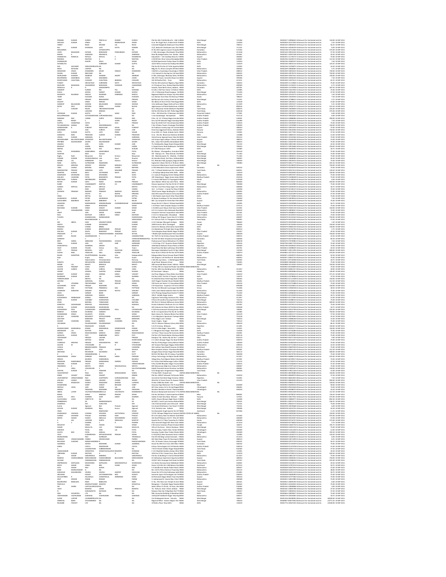| RAJ                                                                                                                                                                     | KUMAR<br>KUMAR<br>KUMAI             | KUNDU<br>SINGH<br><b>DHANUK</b>        | PRAFULLA<br>JH<br>MOHAN<br>LATE                | KUMAR<br><b>BAMESHWA</b><br>LAL<br>SATYA | KUNDU<br>SINGH<br>BAJAJ<br>NARAIN      | Plot No 304, Prafulla Bina Po - Hilli CoNDIA<br>Hze no sov, Francis and Forming London<br>Hze Re-19,gali No-5, R-block Extra VINDIA<br>C/ovineet Bajaj/huf) Jabakusum HousiNDIA<br>31/2, Baikunth Chatterjee Lane, Flat INDIA                            | West Bengal<br>Delhi<br>West Bengal<br>West Bengal |    | 721306<br>110059<br>700012<br>711101 | IN302017-10096645-10Amount for Unclaimed and Un<br>IN302050-10127450-10Amount for Unclaimed and Unit<br>IN302050-10127450-10Amount for Unclaimed and Unit<br>IN302105-10032633-10Amount for Unclaimed and Unit                         | 150.00 10-SEP-2011<br>225 10-SEP-2011<br>225 10-SEP-2011<br>56.25 10-SEP-2011<br>6.00 10-SEP-2011                                                                                       |
|-------------------------------------------------------------------------------------------------------------------------------------------------------------------------|-------------------------------------|----------------------------------------|------------------------------------------------|------------------------------------------|----------------------------------------|----------------------------------------------------------------------------------------------------------------------------------------------------------------------------------------------------------------------------------------------------------|----------------------------------------------------|----|--------------------------------------|----------------------------------------------------------------------------------------------------------------------------------------------------------------------------------------------------------------------------------------|-----------------------------------------------------------------------------------------------------------------------------------------------------------------------------------------|
| NEELAMMA<br>VIVEK                                                                                                                                                       | BHAGWAN                             | KATKAR                                 | JAYADEVAPPA<br>BHAGWAN                         | PANDURANO                                | NA.<br>KATKAR                          | Dr No 444 Linganna Layout Vinayaka INDIA<br>C-406, Atmanagar, Kharalwadi, PimpINDIA                                                                                                                                                                      | Kamataka<br>Maharashtra                            |    | 572202<br>411018                     | IN302148-10712464-10 Amount for Unclaimed and Un<br>IN302164-10055244-10 Amount for Unclaimed and Un                                                                                                                                   | 375.00 10-SEP-2011<br>37.50 10-SEP-2011                                                                                                                                                 |
| RADHA<br>DHAMÉCI<br>RADHIKA                                                                                                                                             | NANDLAI                             | AGRAWA<br><b>RATILAL</b><br>RASTOG     | KISHANLAL<br>RATILAL                           |                                          | AGRAWA<br>DHAMECHA                     | Near Riv Bridge Kudwa Line Gondia INDIA                                                                                                                                                                                                                  | Maharashtra                                        |    | 441601<br>364002<br>244002           | IN302201-10267538-10 Amount for Unclaimed and Un                                                                                                                                                                                       | 43.50 10-SEP-2011<br>75.00 10-SEP-2011<br>112.50 10-SEP-2011                                                                                                                            |
| DHARAMVIR<br>SHYAMLATA                                                                                                                                                  |                                     | KHATRI                                 | DALEL                                          |                                          | SINGH<br>GUPTA                         | Nalyantid C - 145 Sandeep Nivas B / HNDIA<br>A 39/40 Dev Vihar Colony MoradabadNDIA<br>63 Mall Apartments Probyn Road TimINDIA<br>10/23 Nehru Enclave East Kalkaji NewNDIA                                                                               | Delhi<br>Delhi                                     |    | 11005                                |                                                                                                                                                                                                                                        | 1.50 10-SEP-2011<br>119.25 10-SEP-2011                                                                                                                                                  |
| SXG<br><b>INDIA</b>                                                                                                                                                     | ADVISORY<br><b>INFOLINE</b>         | SERVICESPRIVATELNA<br>LIMITED          | SURINDER                                       | KUMAI                                    | NA                                     | Plot No 85 Flat No 43 Trilok ApartmenNDIA                                                                                                                                                                                                                | Delhi<br>Maharashtra                               |    | 110011<br>110092<br>400063           | IN302236-12293875-12 Amount for Unclaimed and Un<br>IN302269-10000005-10Amount for Unclaimed and Un                                                                                                                                    | 16.50 10-SEP-2011<br>37510/99-2011                                                                                                                                                      |
| MANOHAI                                                                                                                                                                 | SINGH<br><b>KIMAR</b>               | KHAMESRA<br>BEECHAM                    | NA<br>KESAR                                    | SINGHA                                   | NA<br>KHAMSERA                         | Bidg No 75, Nirlon Complex Off West/NDIA<br>118/535-a, Kaushalpuri Kaushalpuri KNDIA                                                                                                                                                                     | Uttar Pradesh                                      |    | 208012<br>40002                      | IN102269-10043422-104mmmt for Unclaimed and Un                                                                                                                                                                                         | 750.00 10-SEP-2011                                                                                                                                                                      |
| <b>HUNI</b><br>MURLIDHAI                                                                                                                                                | WAMAN                               | AKERKAR                                | WAMAN                                          | ANAN'T                                   | NA<br>AKERKAR                          | -14, Everard Co Op Hig Soc Ltd EastelNDIA<br>D 106, Ushanagar, Bhandup West, MiNDIA<br>105, M D Tower, Varachha Road, SuraNDIA                                                                                                                           | Maharashtra<br>Maharashtra                         |    | 40007                                | 8/002269-10079274-10Amount for Unclaimed and Unit<br>IN302269-10079274-10Amount for Unclaimed and Unit<br>IN302269-10367341-10Amount for Unclaimed and Unit                                                                            | 750.00 10-SEP-2011<br>150.00 10-SEP-2011<br>7.50 10-SEP-2011                                                                                                                            |
| BHUPENDRA<br>ROOPCHAND<br>PUNEET                                                                                                                                        | DAMIEHA<br><b>CHAUTMAL</b>          | <b>JIVANI</b><br>CHHAJED<br>SRIVASTAVA | DAMJIBHA<br>CHAUTMAL<br>SURENDRA               | BHMKAJ<br>NATH                           | <b>JIVANI</b><br>CHHAIED<br>SRIVASTAVA | 342 28 Rastha Peth, Pune<br>INDIA                                                                                                                                                                                                                        | Gujarat<br>Maharashtra                             |    | 39500<br>411011<br>560032            | IN302269-11027612-11 Amount for Unclaimed and Un<br>IN302269-11113846-11 Amount for Unclaimed and Un                                                                                                                                   | 62.25 10-SEP-2011<br>75.00 10 SEP-2011                                                                                                                                                  |
| MUKUND<br>MANJULA                                                                                                                                                       | BHAGWAN                             | <b>JAHAGIRDAS</b>                      | BHAGWAN<br>CANADARED.                          | SHANKAR                                  | <b>JAHAGIRDAR</b>                      | Flat No.303 Lakemont Regency Opp.0NDIA<br>12, B Sanjivan Socy, Shahaji Raje MariNDIA<br>Swastik, State Bank Colony, Badami, INDIA                                                                                                                        | Kamataka<br>Maharashtra                            |    | 400061                               | IN302269-11216422-11 Amount for Unclaimed and Un                                                                                                                                                                                       | 6.75 10-SEP-2013                                                                                                                                                                        |
| SANDEER                                                                                                                                                                 |                                     | KUMA                                   | RАJ                                            | PAL<br>KUMAJ                             | DAWAR                                  |                                                                                                                                                                                                                                                          | Kamataka                                           |    | 58720<br>110085<br>713204            | IN302269-11474448-11 Amount for Unclaimed and Un<br>IN302269-11621943-11 Amount for Unclaimed and Un<br>IN302269-12056301-12 Amount for Unclaimed and Un                                                                               | 187.50 10-SEP-2011<br>75.00 10-SEP-2011<br>37.50 10-SEP-2011                                                                                                                            |
| SUKLA<br>NAVNATH                                                                                                                                                        | RAJARAM                             | GHOSH<br>INGOLE                        | SANDIS<br>RAJARAM                              | SHRIRANG                                 | GHOSH<br>INGOLE                        | G-1/62, il Nd floor Sector 15 Rohini DNDIA<br>131, S N Banerjee Road Durgapur WeNDIA<br>Bagewadi Malshiras Solapur A/p Aklu(NDIA                                                                                                                         | West Bengal<br>Maharashtra                         |    | 413101<br>786623                     | IN302269-12523273-12 Amount for Unclaimed and Un                                                                                                                                                                                       | 1.50 10-SEP-2011<br>7.50 10-SEP-2011                                                                                                                                                    |
| TAHIR<br>VINAY                                                                                                                                                          |                                     | HUSSAIN<br>PRASAD                      | <b>NURLE</b><br>BRAHAMDEV                      |                                          | HUSSAIN<br>PRASAD                      | C/o Alankar Store Near Sbi Namrup PINDIA<br>Rof Barrack A/w Colory Street No 43 INDIA                                                                                                                                                                    | Assam<br>West Bengal                               |    | 713331                               | IN302269-12633933-12 Amount for Unclaimed and Un<br>IN102269-12788621-12 Amount for Unriaimed and Un                                                                                                                                   | 3.75.10.99.2011                                                                                                                                                                         |
| DALIEET                                                                                                                                                                 | BALASAHE                            | SINGH<br>SHEDGE                        | NIRVAR<br>BALASAHEB                            | DAGADL                                   | SINGH<br>SHEDGE                        | Nyi Milinda Aye County Street No 93 Nobel<br>12/a Jaibhavani Nagar Kothnud Pune INDIA<br>Jagatnanyan Lai Road Kadamkuan JaiNDIA                                                                                                                          | Maharashtra                                        |    | 110018<br>411025                     | insu <i>useus - La neus La - La A</i> mourin for Unclaimed and Unit<br>IN302269-12810421-12 Amourin for Unclaimed and Unit<br>IN302269-12925327-12 Amourit for Unclaimed and Unit<br>IN302269-12926737-12 Amourit for Unclaimed and Un | 15.00 10-SEP-2011<br>5.25 10-SEP-2011<br>331.50 10-SEP-2011                                                                                                                             |
| .<br>RATNI                                                                                                                                                              | DEVI<br>SUNDAR                      | BOTHRA<br>RAJAN                        | PREM<br>TIRUVENKATACHAR                        | CHAND                                    | BUCHA<br>NA<br>NA                      | No 2 Athiyaman Street Muthamil NajNDIA                                                                                                                                                                                                                   | <b>Sihar</b><br><b>Tamil Nadu</b>                  |    | 800016<br>600075                     | IN302269-13029820-13 Amount for Unclaimed and Un<br>IN302269-13204357-13 Amount for Unclaimed and Un                                                                                                                                   | 225.00 10-SEP-2011                                                                                                                                                                      |
| <b>HITENDAR</b>                                                                                                                                                         | KUMAR                               | LAKSHM<br><b>GUPTA</b>                 | RAMIAH<br>šн                                   | <b>JAISHI</b>                            | RAM                                    | Old No DS4 New No D25 Thillai NagalNDIA<br>H No - 294 Ward No- 8 Hamirour HimNDIA                                                                                                                                                                        | <b>Tamil Nadu</b><br><b>Himachal Pradest</b>       |    | 620018<br>177001                     | IN302316-10074676-104mount for Unriaimed and Un                                                                                                                                                                                        | 375.00 10-SEP-2011<br>60010/99-2011                                                                                                                                                     |
| BOLLAPRAGADI<br>RAMANA                                                                                                                                                  | <b>BAO</b>                          | SATYAN                                 | <b>GEYANAR</b><br>SURYA                        | PRAKAS                                   | NA<br>RAO                              | l Line Saradanagar Narsipatnam NDIA<br>D No -32 -22 -9 Netaji Nagar Area BosNDIA                                                                                                                                                                         | Andhra Pradesh<br>Andhra Pradesh                   |    | 531116<br>530001                     | IN302324-10032626-10Amount for Unclaimed and Un<br>IN302324-10088084-10Amount for Unclaimed and Un                                                                                                                                     | 6.00 10-SEP-2011<br>300.00 10-SEP-2011                                                                                                                                                  |
| LINGA<br>KUPPILI                                                                                                                                                        | REDDY<br><b>CHAMPAK</b>             | L<br>VATHI                             |                                                | VEERA<br>SIVA                            | REDOY<br>PRASAD                        | Dno 14/759 Maruthi Nagar KamalapuNDIA<br>Door No 50-83-5/27 Amruthaenclawe/NDIA<br>F No 4 Palace Towers Vizainaear PalatNDIA                                                                                                                             | Andhra Pradesh<br>Andhra Pradest                   |    | 51628<br>530016                      | IN302324-10353314-10 Amount for Unclaimed and Un<br>IN302324-10353314-10 Amount for Unclaimed and Un<br>IN302324-11010968-11Amount for Unclaimed and Un                                                                                | 7.50 10-SEP-2011<br>75.00 10-SEP-2011                                                                                                                                                   |
| YÉLLAMANCHILI<br><b>ROHZDINAM</b><br><b>JANENDER</b>                                                                                                                    | GANGA                               | VENI<br>PURDHIT<br>JAIN                | RAVINDRANADH<br><b>BAGHUVAR</b><br>SURESH      | DAYAL<br>CHAND                           | NA.<br>PURDHIT<br>JAIN                 | F No 4 Palace Towers Vizaingar Palaitbille<br>45 Pathhuir Society Opp S B I Ind Brattilla<br>Kiran Kunj Aggaewal Colony, BahadurjNDIA<br>H.no-138:a Bc-Block East Shalimar BaNDIA<br>Vishal Kumar Agarwal Awas Vikas MatNDIA<br>Vishal Kumar             | Andhra Pradesh<br>Guiarat                          |    | 530003<br>38002-<br>12450            | IN302332-10031623-10Amount for Unclaimed and Un<br>IN302365-10016496-10Amount for Unclaimed and Un                                                                                                                                     | 150.00 10-SEP-2011<br>75.00 10-SEP-2011<br>250.00.10.5ER-2011                                                                                                                           |
| iunii                                                                                                                                                                   | KUMAR                               | <b>GUPTA</b>                           | LATE                                           | .<br>PRÉM                                | .<br>SAGAR                             |                                                                                                                                                                                                                                                          | Haryana                                            |    | 133001                               |                                                                                                                                                                                                                                        | 37.50 10-SEP-2011                                                                                                                                                                       |
| SANDHYA<br>VISHAL                                                                                                                                                       | rani<br>Kumar                       | PRADHAN<br>AGRAWAI                     | SUDHIR                                         | KUMAI                                    | PRADHAN<br>AGRAWAI                     |                                                                                                                                                                                                                                                          | Delhi<br>Uttar Pradesh                             |    | 110088<br>202412                     | IN302365-10277305-10Amount for Unclaimed and Unit<br>IN302365-10277305-10Amount for Unclaimed and Unit<br>IN302365-10682535-10Amount for Unclaimed and Unit                                                                            | 15.00 10-SEP-2011<br>75.00 10-SEP-2011                                                                                                                                                  |
| NILKAMALBEN<br>PRITIBEN                                                                                                                                                 | BALVANTKUMAR UPADHYAY<br>NALINKUMAR | ZAVERI                                 | BALVANTKUMAR<br><b>NALINKUMAR</b>              |                                          | UPADHYAY<br>ZAVERI                     | A-8 Unique Appt Jodhpur 4 Rasta SateNDIA<br>8/4. Aakar Flat Satellite Ahmedabad INDIA                                                                                                                                                                    | Gujarat<br>.<br>West Bergal                        |    | 380015<br>380015                     | IN302461-10230358-10 Amount for Unclaimed and Un<br>IN302461-10264793-10Amount for Unclaimed and Un<br>IN302496-10001382-10Amount for Unclaimed and Un                                                                                 | 15.00 10-SEP-2011<br>75.00 10 SEP-2011                                                                                                                                                  |
| ANJANA<br><b>RISMAIN</b>                                                                                                                                                |                                     | <b>JAIN</b><br>HAZRA                   | <b>SUNIL</b><br><b>BIMAL</b>                   | KUMAF                                    | <b>JAIN</b><br><b>HAZRA</b>            | 75, Deshbandhu Nagar Road UttarpariNDIA                                                                                                                                                                                                                  | West Bengi                                         |    | 712233<br>0002                       |                                                                                                                                                                                                                                        | 43.50 10-SEP-2011<br>150.00 10-SEP-2011                                                                                                                                                 |
| MEENA<br>PATEL                                                                                                                                                          | KHIMI                               | WASAN<br>GANESHER                      | WO<br>GANESHIN                                 | <b>BAJESH</b>                            | WASAN<br>PATEL                         | 1. Gesunder Haud Kidderpore KollNDIA<br>20. Gopal Doctor Road Kidderpore KollNDIA<br>20. Malvan, Dhrangadhra, SurendrantNDIA                                                                                                                             | Delhi<br>Gujarat                                   |    | 110085<br>363310                     | IN302535-10014666-10Amount for Unclaimed and Unit<br>IN302535-10014666-10Amount for Unclaimed and Unit<br>IN302566-10018392-10Amount for Unclaimed and Unit                                                                            | 18.75 10-SEP-2011<br>75.00 10-SEP-2011                                                                                                                                                  |
| <b>SWAPAN</b><br>Raghu                                                                                                                                                  | Nath                                | MAJI<br><b>Bhowmick</b>                | Santosh<br>Atul                                | Krishna                                  | Maji<br><b>Bhowmick</b>                | Vill - Alampur, Po - New Kolorah, DistINDIA<br>Vill - Mashila (west), Po - Mashila , PsINDIA                                                                                                                                                             | West Bengal<br>West Bengal                         |    | 711302<br>711302                     | IN302654-10003004-10Amount for Unclaimed and Un<br>IN302654-10003012-10Amount for Unclaimed and Un                                                                                                                                     | 75.00 10-SEP-2011<br>75.00 10-SEP-2011                                                                                                                                                  |
| PAWAN<br><b>MANI</b>                                                                                                                                                    | KUMAR                               | <b>HUNHUNW</b><br>KARMAKAR             | Late                                           | Gouri                                    | Shanker                                | 40. Burtolla Street, 3rd Floor, Kolkata INDIA                                                                                                                                                                                                            | West Beneal                                        |    | 700007                               | IN302654-10008383-10Amount for Unclaimed and Un                                                                                                                                                                                        | 43.50 10-SEP-2011                                                                                                                                                                       |
| MALOI                                                                                                                                                                   | LAL<br>GOPAL<br>KRISHNA             | <b>GITRADHAR</b><br>JADHAV             | Late<br>NAGENDRA<br>KRISHNA                    | MANAKL                                   | Mohan<br>SUTRADHAN<br>JADHAV           | 40, annum Jowe, Journal, Association<br>8-2, Rabindra Pally (yangra), BaguiatiNDIA<br>Saptarishi C Block Flat No 4-78 Boral INDIA<br>Instrument Maintnance South KuwaitKUWAT                                                                             | West Benga<br>West Benga<br>NA                     | NA | 700059<br>700084                     | IN302654-10010913-10Amount for Unclaimed and Un<br>IN302654-10010913-10Amount for Unclaimed and Un<br>IN302679-30011773-30Amount for Unclaimed and Un<br>IN302679-30138559-30Amount for Unclaimed and Un                               | 75.00 10:5EP-2011<br>355.50 10:5EP-2011<br>750.00 10:5EP-2011                                                                                                                           |
| TARA<br>RAMAWATAE                                                                                                                                                       | CHAND<br>PRASAD                     | <b>BAPHNA</b><br>AGRAWAL               | HARAK<br>LATE                                  | CHAND<br>MAHABIR                         | <b>BAPHNA</b><br>PRASAD                | A 706 Meenakshi Classic Apartment NNDIA<br>415 T H Road Washerman Pet ChensNDIA                                                                                                                                                                          | Kamataka<br><b>Tamil Nadu</b>                      |    | 560102<br>600021                     | IN302679-30250359-30 Amount for Unclaimed and Un<br>IN302679-30327413-30 Amount for Unclaimed and Un                                                                                                                                   | 75.00 10-SEP-2011<br>118.50 10-SEP-2011                                                                                                                                                 |
| <b>SWAPAN</b><br>DAMYANT                                                                                                                                                | KUMAR                               | LIGAB                                  | SATYENDRA<br>.<br>DEVENDRA<br>RHAGRATH         | NATH                                     | <b>BASU</b>                            | L 35 Kalkaji Kalkaji New Delhi Delhi INDIA                                                                                                                                                                                                               | Delhi<br>Maharashtri                               |    | 110019                               | IN302679-30503902-30 Amount for Unclaimed and Un                                                                                                                                                                                       | 150.00 10-SEP-2011                                                                                                                                                                      |
| CAILASH<br>MEETHALE                                                                                                                                                     | DEVENDRA<br><b>PURAYE</b>           | SHAH<br>PATEL                          | MOIDEEN                                        | PRASAD                                   | SHAH<br>PATEL                          | Carl Lawkash Shopping Centre DettapatNDIA<br>103 Brajeshwari Nagar Annex IndoneNDIA<br>5 V House Mill Road P O Payangadi RINDIA<br>Janis Market Bihari Sao Lane Pania - INDIA<br>Janis Market Bihari Sao Lane Pania - INDIA                              | Madhya Pradesh<br>Kerala                           |    | 152016<br>670351                     | 8102679-30337057-3024mount for Unclaimed and United R102679-30337057-3024mount for Unclaimed and United R102679-310280328-314mount for Unclaimed and United R102679-31148550-3124mount for Unclaimed and United R102679-313343         | 75.00 10-SEP-2011<br>75.00 10-SEP-2011                                                                                                                                                  |
| RATAN<br>SUBIR                                                                                                                                                          | KUMAR                               | ABOOBA<br>SAHU<br>CHAKBABARTY          | NAND<br>KARTICK                                | KISHORS<br>CH.                           | HAII<br>PRASAD<br>CHAKRABARTY          | Shivam Apartment Flat No D3 3b K P INDIA                                                                                                                                                                                                                 | <b>Sihar</b><br>West Bengal                        |    | 80000+<br>700008                     | IN302679-31634989-31 Amount for Unclaimed and Un                                                                                                                                                                                       | 6.00 10-SEP-2011<br>450.00 10-SEP-2011<br>75.00 10-SEP-2011                                                                                                                             |
| sunes<br>ANITA                                                                                                                                                          | KIRTILAI                            | MEHTA<br><b>BANI</b>                   | KIRITLAL<br>MFHAR                              |                                          | MEHTA<br>CHAND                         | Flat No 5 2nd Floor Roop Sagar 132 VINDIA<br>16 C 2c Pocket 2 Janak Puri New DINDIA                                                                                                                                                                      | Maharashtra<br>Delhi                               |    | 400006<br>110058                     | IN302679-31639103-31 Amount for Unclaimed and Un<br>IN302679-32158147-32 Amount for Unclaimed and Un                                                                                                                                   | 18.75 10-SEP-2011<br>75.00 10 SEP-2011                                                                                                                                                  |
| ASHWIN                                                                                                                                                                  | PRAKASI                             | BANSOC                                 | PRAKASI                                        | MADHAY                                   | BANSOD                                 | 2012 21 POLAR 228108 Politike Politike Microsoft<br>203/d Sumer Nagar Building No 3 S VINDIA<br>2022 Rashmi Apts Harsh Vihar Pitam(NDIA                                                                                                                  | Maharashtra                                        |    | 100092                               | 8100579-32423289-32 Amount for Unclaimed and Unit<br>IN302679-32423289-32 Amount for Unclaimed and Unit<br>IN302679-32423269-32 Amount for Unclaimed and Unit                                                                          | 75.00 10-SEP-2011                                                                                                                                                                       |
| VIKAS<br>SAUBHAGYA                                                                                                                                                      | KUMAR                               | JYOTHI<br>MITTAL<br>PATRA              | 옚<br>GAURANGA                                  | RADHA<br>BHUSHAN                         | KRISHNA<br>MITTAL<br>PATRA             | At Shyam Sundarpur Po Via Amarda RNDIA                                                                                                                                                                                                                   | Andhra Pradesh<br>Delhi<br>Orissa                  |    | 50000<br>11003<br>756030             | IN302679-32878916-32 Amount for Unclaimed and Un                                                                                                                                                                                       | 37.50 10-SEP-2011<br>75.00 10-SEP-2011<br>7.50 10-SEP-2011                                                                                                                              |
| <b>AJAVALIBEN</b><br>ASHWANI                                                                                                                                            | BABUBHAI                            | BALAR<br>MARKANDAN                     | BABUBHAI<br>KOMARLINGAM                        | CHANDRASEKHAF                            | BALAR<br>MARKANDAN                     | 803 Jay Complex Nr Shree Ram PetroNDIA<br>House No 62 X I Block C Dilshad GardINDIA                                                                                                                                                                      | Gujarat<br>néhi                                    |    | 395005<br>11009                      | IN102629-33013620-334mmmt for Unclaimed and Un<br>IN102629-33204998-33 Amount for Unclaimed and Un                                                                                                                                     | 75.00 10 SEP-2011<br>18.75 10-SEP-2011                                                                                                                                                  |
| SATYAM                                                                                                                                                                  |                                     | SINGH                                  | BHAGWAN                                        |                                          | SINGH                                  | C 10 Phase I Gail Complex Vijaipur GuINDIA                                                                                                                                                                                                               | Madhya Pradesi                                     |    | 473112                               | IN302679-33235746-33 Amount for Unclaimed and Un                                                                                                                                                                                       | 75.00 10-SEP-2011                                                                                                                                                                       |
| RACHANA                                                                                                                                                                 | KUMAR<br>SHAHABL                    | SINGH<br>SHAH                          | SANJAY<br>MAHMOOC                              | KUMAI                                    | SINGH<br>SHAH                          | C 21/834 Laxmi Niwas Chet Ganj VaraNDIA<br>G O 1/v Customs Orts Adenwala RoadNDIA                                                                                                                                                                        | Uttar Pradesh<br>Maharashtra                       |    | 22100<br>400011                      | IN302679-33365134-33 Amount for Unclaimed and Un<br>IN302679-33858267-33 Amount for Unclaimed and Un                                                                                                                                   | 150.00 10-SEP-2011<br>75.00 10-SEP-2011                                                                                                                                                 |
| ANKIT<br>ROLI                                                                                                                                                           |                                     | <b>JAIN</b><br>MATHUR                  | VINCO<br>SURESH                                | KUMAI<br>SINGH                           | <b>JAIN</b><br>MATHUR                  | Computer Sciences Corporation India INDIA<br>C-115 G-1 Ramprastha Ghaziabad INDIA                                                                                                                                                                        | <b>Uttar Pradesh</b><br><b>Uttar Pradesh</b>       |    | 201301<br>201011                     | IN302679-34068625-34 Amount for Unclaimed and Un<br>IN302679-34103453-34 Amount for Unclaimed and Un                                                                                                                                   | 75.00 10-SEP-2011<br>75.00 10-SEP-2011                                                                                                                                                  |
| PUSHPA                                                                                                                                                                  |                                     | KHANDELWAL<br>BHUVANÉSWI<br>HADI       | INDRAKUMAR                                     |                                          | KHANDELWA<br><br>SARAVANAN             | B Wing 102 Shagun Tower Gen A K V/NDIA                                                                                                                                                                                                                   | Maharashtra<br>Tamil Nadu                          |    | 400093<br>60009                      | IN302679-34134162-34 Amount for Unclaimed and Un                                                                                                                                                                                       | 750.00 10-SEP-2011                                                                                                                                                                      |
| MD<br>SWETA                                                                                                                                                             | <b>ABDUI</b>                        | KUMARI                                 | .<br>HASANOTLIDI<br>DAYANAND                   |                                          | KUMAR                                  | Command Plats 15 Thangavela StreetVDIA<br>A 151 Duliajan Dibrugarh Duliajan - INDIA<br>1099 B Sector 38 B Chandigarh - INDIA                                                                                                                             | Punjab                                             |    | 160031                               | 0002679-34252505-34 Amount for Unclaimed and Unit<br>02679-34252505-34 Amount for Unclaimed and Unit<br>02679-34593948-34 Amount for Unclaimed and Unit                                                                                | 57.00 10-SEP-2011<br>1.50 10-SEP-2011<br>150.00 10-SEP-2011                                                                                                                             |
| PRAKASH<br>RAKESH                                                                                                                                                       |                                     | CHAND<br>KUMAR                         | <b>BIRBAL</b><br><b>BINDESHWAF</b>             | PRASAD                                   | SINGH<br>SINGH                         | Centre For Railway Information System/DIA<br>C/o Bindeshwar Pd Singh Near Durga INDIA                                                                                                                                                                    | Delhi<br><b>Sibar</b>                              |    | 110021<br>800014                     | IN302679-34982144-34 Amount for Unclaimed and Un<br>IN302679-35764736-35 Amount for Unclaimed and Un                                                                                                                                   | 150.00 10-SEP-2011<br>3.75 10-SEP-2011                                                                                                                                                  |
| KAILASH<br>.<br>Mashant                                                                                                                                                 | KUMAR                               | GAJYA<br>SETHIA                        | BHAGWAT<br><b>BAKASHCHA</b>                    | PRASAD<br>IASKARA                        | GATKA<br>SETHIA<br>IAGANN              | Turist Banglow Road Gandhi Nagar NeNDIA                                                                                                                                                                                                                  | Uttar Pradesh                                      |    | 210427                               | IN102629-35962937-35 Amount for Unclaimed and Un                                                                                                                                                                                       | 43.50 10-SEP-2013                                                                                                                                                                       |
| NANDISH                                                                                                                                                                 | RAJAN                               |                                        |                                                |                                          | CHIKKAVEERANAKI                        | Turns tamppow mode camerii Telega KerikibiA<br>18 - 70/fili Aptt Gordhamwad Telega KarikibiA<br>18 - 70/fili Sri Sai Krishna Hornes Nara(NDIA<br>No 330 Sth Main Vilayakava Housing INDIA<br>Pathoomannii House Mekozhoor Po RNDIA                       | .<br>Sujarat<br>Andhra Prade                       |    | 380028<br>500015                     | M102679-361309315-36 Amount for Unclaimed and United States (1993)<br>M102679-36302419-36 Amount for Unclaimed and United States (1993)<br>M102679-36302419-36 Amount for Unclaimed and United States (1993)                           | 50.00 10-SEP-2011<br>22.50 10-SEP-2011                                                                                                                                                  |
| <b>BINY</b><br>VIMAL                                                                                                                                                    | SARAH<br>KUMAR                      | <b>JAIN</b>                            | PAZHOON<br>LATE                                | CHACKC<br>SHRI                           | ABRAHAM<br>GORDHAN                     | 1-8-10 Opp. P N T Quarters Shastri NINDIA                                                                                                                                                                                                                | Kamataka<br>Kerala<br>Rajasthan                    |    | 560040<br>689678<br>302016           | IN302700-20047729-20 Amount for Unclaimed and Un                                                                                                                                                                                       | 82.50 10-SEP-2011<br>7.50 10-SEP-2011<br>75.00 10-SEP-2011                                                                                                                              |
| SHAKUNTAL<br>VUAY                                                                                                                                                       | KUMAR                               | AGARWA<br>TOLANI                       | UMESH<br><b>Vidua</b>                          | Das                                      | <b>BAIRATHI</b><br>Tolani              | 1646 Bairati Bahwan Chaura Rasta JailNDIA<br>Naval Nivas Nai Basti Lakhimour KherlNDIA                                                                                                                                                                   | falasthan<br>Uttar Pradesh                         |    | 302003<br>26270                      | IN302700-20249022-20 Amount for Unclaimed and Un<br>IN302814-10498629-10Amount for Unclaimed and Un                                                                                                                                    | 75.00 10 SEP-2011<br>43.50 10-SEP-2011                                                                                                                                                  |
| ron                                                                                                                                                                     | PRASAD                              | MONDA                                  | LATE                                           | NILRATAR                                 | MONDAL                                 | Rammagar Kalatalahat South 24 Pgs WNDIA<br>Door No 8-2-293/k-26 Plot No 26 PhaNDIA                                                                                                                                                                       | West Bengal                                        |    | 743504                               | IN302847-10011299-10Amount for Unclaimed and Unit<br>IN302863-10011299-10Amount for Unclaimed and Unit<br>IN302863-10272414-10Amount for Unclaimed and Unit                                                                            | 800.00 10-SEP-2011                                                                                                                                                                      |
| SUDHA<br>RAJAN                                                                                                                                                          | rani<br>Karappan                    | YENDLURI<br>KALAPPURA                  | ANII<br>Karaddar                               | KUMAJ                                    | YENDLUR<br>Kalappurakka                | Kalappurakkal House Karuvan Road PINDIA                                                                                                                                                                                                                  | Andhra Pradesi<br>Kerala                           |    | 500073<br>680026                     |                                                                                                                                                                                                                                        | 474.00 10-SEP-2011<br>43.50 10-SEP-2011                                                                                                                                                 |
| Rajiv<br>NAMITA                                                                                                                                                         |                                     | Gupta<br>Sabarin<br>MOHAPATRA          | Nahar<br>Verkatachalan<br>MANORANJAN           | Chand                                    | Gupta<br>Ramarai<br><b>MOHAPATRA</b>   | 501 Kalpana 11th Rd Khar W MumbaNDIA<br>C48/28, Lig Colony 5, MahalingapulNDIA<br>At-jail Road Balasore Orissa 11NDIA                                                                                                                                    | Maharashtra<br>Tamil Nadu<br>Orissa                |    | 400052<br>642002<br>75600            | IN302871-20655725-20 Amount for Unclaimed and Un<br>IN302871-20710048-20 Amount for Unclaimed and Un<br>IN302898-10004660-10Amount for Unclaimed and Un                                                                                | 75.00 10-SEP-2011<br>18.75 10-SEP-2011<br>75.00 10 SEP-2011                                                                                                                             |
| MANIK                                                                                                                                                                   | LAL                                 | BAHETI                                 | BANSILAI                                       |                                          | BAHETI                                 |                                                                                                                                                                                                                                                          | West Benga                                         |    | 70000                                |                                                                                                                                                                                                                                        | 150.00 10-SEP-2011                                                                                                                                                                      |
| ALWYN<br>SACHIN                                                                                                                                                         | PRADEE                              | LEWIS<br>JOSHI                         | <b>JOSEPH</b><br>SURESH                        | TRIMBA                                   | LEWIS<br>JOSHI                         | Program was assured to the Milliam State<br>P O Box 250 C/o Arpal Gulf Dubai UMUNITED<br>Flat No. 606 Uma Building Sector 662NDIA                                                                                                                        | NA.<br>Maharashtra                                 | NA | 41103                                | =1002888-10114043-10Amount for Unclaimed and Un<br>IN302898-10114043-10Amount for Unclaimed and Un<br>IN302902-40481357-40Amount for Unclaimed and Un<br>IN302902-40481357-40Amount for Unclaimed and Un                               | 75.00 10-SEP-2011<br>30.00 10-SEP-2011                                                                                                                                                  |
| HAART<br><b>BHINEET</b>                                                                                                                                                 | KUMAF                               | SISODIA<br>SINGH                       | CHAITEN<br>VIKRAM                              | KUMAR<br>SINGH                           | SISODIA<br>VASHIST                     | 87 Panchwati Udaipur<br>INDIA<br>2nd Floor Magnum Plaza Eldeco GreetNDIA                                                                                                                                                                                 | Rajasthan<br><b>Uttar Pradesh</b>                  |    | 313001<br>226010                     | IN302902-40940986-40 Amount for Unclaimed and Un<br>IN302902-41034614-41Amount for Unclaimed and Un                                                                                                                                    | 126.00 10-SEP-2011<br>371.25 10-SEP-2011                                                                                                                                                |
| <b>RAJENDER</b><br>ARESHKU                                                                                                                                              | KUMAR                               | GALIR<br>MÉHTA<br>AGRAWA               | LAL                                            | CHAND                                    | SHARMA<br>na<br>Agrawal                | Flat No A-303 Plot No 27 Gavatri ApINDIA                                                                                                                                                                                                                 | Delhi<br>.<br>Gujarat<br>Madhya Prades             |    | 110075<br>19544                      | IN302902-41078005-41Amount for Unclaimed and Un                                                                                                                                                                                        | 37.50 10-SEP-2013                                                                                                                                                                       |
| LAL                                                                                                                                                                     | <b>JITENDRA</b>                     | PRATAPSIN                              | <b>DURGA</b><br>SHIV                           | PRASAD<br>PRATAP                         | SINGH                                  | Paul No Prata Paul No 27 Sayant Piperion<br>34/3 Pragati Chamber Murai Mohalla/NDIA<br>318 Varta Lok Sector 4 C Vasumfhara/NDIA                                                                                                                          | Uttar Pradesh                                      |    | 45200<br>201010                      | IN302902-41111028-41Amount for Unclaimed and Unit<br>IN302902-41111028-41Amount for Unclaimed and Unit<br>IN302902-41153816-41Amount for Unclaimed and Unit                                                                            | 150.00 10-SEP-2011<br>112.50 10-SEP-2011<br>75.00 10-SEP-2011                                                                                                                           |
| SACHINDRA<br>DEBASIS                                                                                                                                                    | NATH<br>DAS                         | PRASAD<br>PATTNAIS                     | <b><i>RAJENDRA</i></b><br>PRARANSU             | DAS                                      | PRASAD<br>PATTNAI                      | S N Prasad Sub - Inspector Cisf Unit LitNDIA<br>Plot No 514 Bhoisahi Laxmisagar NealNDIA                                                                                                                                                                 | Kerala<br>Orissa                                   |    | 695008<br>751006                     | IN302902-41433852-41 Amount for Unclaimed and Un<br>IN302902-41906358-41 Amount for Unclaimed and Un                                                                                                                                   | 150.00 10-SEP-2011<br>28.50 10-SEP-2011                                                                                                                                                 |
| CHANDAN<br>USHA<br>ROSHITA                                                                                                                                              | NARAYAN                             | SAWANT<br>.<br>SARKAR<br>AGRAWA        | NARAYAN<br>nair<br>Man                         | NATHU                                    | SAWANT<br>.<br>SARKAR<br>AGRAWAL       | 2163 Laxmi Mahal Sadashiy Peth Pun(NDIA                                                                                                                                                                                                                  | Maharashtra<br>West Bengal<br>Madhya Prade         |    | 411030<br>712203<br>452001           | IN302902-41944506-41 Amount for Unclaimed and Un                                                                                                                                                                                       | 75.00 10-SEP-2011<br>75.00 10-SEP-2011<br>18.75 10-SEP-2011                                                                                                                             |
| SUDHANSHIL                                                                                                                                                              | PRABHAKAI                           | GANGA<br>CHOUBE!                       | PRABHAKAR<br>SHIWADHAR                         |                                          |                                        | 2020 Entring Danga Road Arshik P SINDIA<br>105/3 Vallabh Nagar Indore INDIA<br>Cognizant Technology Solutions Piot INDIA<br>H No-b-20 Sundhia Housing Estate PolNDIA<br>H No-b-20 Sundhia Housing Estate PolNDIA                                         | Maharashtri                                        |    |                                      | m302902-42268200-42Amount for Unclaimed and United 8002902-42268200-42Amount for Unclaimed and United 8002902-42172387-42Amount for Unclaimed and United 8002902-42172387-42Amount for Unclaimed and United 8002902-42172387-4         | 15.00 10-SEP-2011<br>75.00 10-SEP-2011                                                                                                                                                  |
| ARUN<br>GYAN                                                                                                                                                            | KUMAR                               | <b>BAPHNA</b>                          | TARACHAND                                      |                                          | NA<br>CHOUBEY<br><b>BAPHNA</b>         | 301 Plot C1 Nishant Millenium SectorNDIA                                                                                                                                                                                                                 | <b>Nest Bengal</b><br>Maharashtra                  |    | 411057<br>743125<br>400703           | IN302902-42444537-42 Amount for Unclaimed and Un                                                                                                                                                                                       | 300.00 10-SEP-2011                                                                                                                                                                      |
| KAMLESH<br><b>SENTHIL</b>                                                                                                                                               | HASSANAND<br>KUMAR                  | MAKHUA<br>MURUGESAN                    | HASSANAND<br>MURUGESAN                         |                                          | MAXHUA                                 | Krusha Videotech Chothram Chs 1st FINDIA<br>403 Verkata Sai Nivas 28/80 Sri Bam INDIA                                                                                                                                                                    | Maharashtra<br>Andhra Pradest                      |    | 42100<br>500031                      | IN302902-42476214-42 Amount for Unclaimed and Un<br>IN302902-42724246-42 Amount for Unclaimed and Un                                                                                                                                   | 75.00 10-SEP-2011<br>18.75 10-SEP-2011                                                                                                                                                  |
| <b>LIDHANGSL</b>                                                                                                                                                        | PALIL<br>KUMAR                      | CHOWDHUR                               | SAMARENDR<br>SOMDEV                            | PAUL                                     | CHOWDHUR                               | E 10/6 Karunamoyee Housing Estate SNDIA<br>M 20 G S Apartments Plot No 38 SeeNDIA<br>Bank Colony Do Naharia Bhotia ParaeNDIA                                                                                                                             | West Bengal                                        |    | 700093                               | 8/02902-42215799-422 Amount for Unclaimed and Unit<br>IN302902-42215799-422 Amount for Unclaimed and Unit<br>IN302902-43003197-43 Amount for Unclaimed and Unit                                                                        | 225.00 10-SEP-2011                                                                                                                                                                      |
| RAMESH<br>KHEMKARAN<br>KAILASH                                                                                                                                          | SINGH<br>CHANDRA                    | KHURANA<br>KALAKOTI<br>MOHANTY         | DIWAN<br><b>GOPALCHARAS</b>                    |                                          | KHURANA<br>SINGH<br>MOHANTY            | C 1o1 Bijaylaxmi Apartment TankaparNDIA                                                                                                                                                                                                                  | Delhi<br>Uttar Pradesh<br>Orissa                   |    | 110085<br>263135<br>751018           | IN302902-43079465-43 Amount for Unclaimed and Un                                                                                                                                                                                       | 750.00 10-SEP-2011<br>37.50 10-SEP-2011<br>25.50 10-SEP-2011                                                                                                                            |
| GOUTAM<br><b>KISHOR</b>                                                                                                                                                 | CHANDRA                             | BARDHAN<br>SAMAL                       | PROVAT<br>NARESH                               | KUMAF<br>CHANDRA                         | BARDHAN<br><b>SAMAL</b>                | 8 Pan Bagan Lane Kolkata INDIA<br>Huluri Singha Angul INDIA<br>101/11 Western Railway Colony MatrixDiA                                                                                                                                                   | West Bengal<br>Orissa                              |    | 700014<br>759122                     | INTO 2002-03083166-434mmmt for Unclaimed and Un<br>INTO 2002-03022500-43 Amount for Unclaimed and Un                                                                                                                                   | 15.00 10-SEP-2011<br>75.00.10.5FP-2011                                                                                                                                                  |
| VELUMAN                                                                                                                                                                 |                                     | <b>PALANISM</b>                        | PALANISWAN<br>KUNJAN                           |                                          |                                        |                                                                                                                                                                                                                                                          | Maharashtra                                        |    | innn+<br>31100                       | IN302902-43365733-43 Amount for Unclaimed and Un                                                                                                                                                                                       | 86.25 10-SEP-2013                                                                                                                                                                       |
| RAJESHKUMA<br>MOHNDER                                                                                                                                                   | MANHARLA<br>LAL                     | rachavan<br>Danak<br>NAYYAR            | MANHARLA<br>GYAN                               | SOMES-<br>CHAND                          | DANAK<br>NAYYAR                        | S 41 R K Colony Bhilwara<br>B 22 D E Moti Bagh I New Delhi<br>INDM<br>C 1 Bhagwan Dass Nagar New Delhi INDIA                                                                                                                                             | Rajasthan<br>Delhi<br>Delhi                        |    | 110023<br>110026                     | IN302902-43536507-43 Amount for Unclaimed and Un<br>IN302902-43591217-43 Amount for Unclaimed and Un<br>IN302902-43756489-43 Amount for Unclaimed and Un                                                                               | 150.00 10-SEP-2011<br>150.00 10-SEP-2011<br>75.00 10-SEP-2011                                                                                                                           |
| SURESH<br>AKSHAYA                                                                                                                                                       | SINGH<br>KUMAR                      | <b>BAGHUWANSH</b><br>PATI              | GANESH<br><b>BABINDRA</b>                      | SINGH<br>NATH                            | RAGHUWANSH<br>PATI                     | 1st Floor 7 Race Course Rd CommerceNDIA<br>Flat No C/33 Shantiniketan WestwoolNDIA                                                                                                                                                                       | Madhya Pradesh<br><b>Tamil Nadu</b>                |    | 452001<br>600116                     | IN302902-44091695-44Amount for Unclaimed and Un<br>IN302902-44236960-44 Amount for Unclaimed and Un                                                                                                                                    | 75.00 10-SEP-2011<br>25.00.10/99.2011                                                                                                                                                   |
| <b>ITTY AN ANI</b><br><br>MOHE                                                                                                                                          |                                     | PRASAD<br>IMTIYAZ                      | LAKHAN<br>MOHD                                 |                                          |                                        | Fish No Cyde and Historic Web North Taylor<br>Standard My Station Ry Qrt No T 1/INDIA<br>Plot No 43 Raj Nagar Colony Behind RNDIA<br>Plot No 43 Raj Nagar Colony Behind RNDIA                                                                            | <b>Indhra Pradest</b>                              |    | 83321                                | IN302902-44471736-447mount for Unclaimed and Unit<br>IN302902-44471736-447mount for Unclaimed and Unit<br>IN302902-44521637-44 <i>Amount</i> for Unclaimed and Unit                                                                    | 3.00 10-SEP-2011<br>75.00 10-SEP-2011<br>75.00 10-SEP-2011                                                                                                                              |
| VUNNAVA                                                                                                                                                                 | KRISHN                              | PRASAD                                 | <b>HANUMANTH</b>                               | <b>RAO</b>                               |                                        |                                                                                                                                                                                                                                                          | Andhra Pradesh                                     |    | 500039                               |                                                                                                                                                                                                                                        |                                                                                                                                                                                         |
| SACHIN<br><b>UJJWAL</b><br>SHACHI                                                                                                                                       | M                                   | VYAVAHARE<br>BRAMHCHARIYA<br>MEHTA     | M<br>PRAKASH<br>ATUL                           | KUMAF                                    | VYAVAHARE<br>CHANDRA<br><b>SHUKLA</b>  | 267 Sulaxmi Ramnagar Nagpur MahalNDIA<br>303 Lashkari Ganj Bandh Sasaram DisINDIA                                                                                                                                                                        | Maharashtra<br><b>Jharkhand</b><br>Madhya Pradesh  |    | 440010<br>821115<br>45000            | IN302902-45711506-45 Amount for Unclaimed and Un<br>IN302902-45897020-45 Amount for Unclaimed and Un<br>IN302902-45907192-45 Amount for Unclaimed and Un                                                                               | 22.50 10-SEP-2011<br>75.00 10-SEP-2011<br>112.50 10-SEP-2011                                                                                                                            |
|                                                                                                                                                                         |                                     |                                        | GAIAN                                          |                                          | SHET<br>DUTT                           | Main Hospital Campus Khandwa MadNDIA<br>Amogha Nivas Eshwar Nagar RannebdNDIA<br>NO 941 9th Block 4th Fir Jalvayu TowtNDIA                                                                                                                               | Kamataka<br>Kemataka                               |    | 581115<br>Econom                     | N302902-46271247-46 Amount for Unclai<br>N302902-46470763-46 Amount for Unclai                                                                                                                                                         | 300.00 10-SEP-2011                                                                                                                                                                      |
|                                                                                                                                                                         | SING                                | PARIHAR                                | PRAHLAD<br>SHANKARLAI                          | SINGH                                    | PARIHAR<br>BHURIYA                     | rıfosys Technology Ltd Rajive Gandhi INDIA<br>Village Mou Post Bilpank Ratlam MadNDIA                                                                                                                                                                    | Maharashtra<br>Madhya Pradesi                      |    | 41105                                | IN302902-46686110-46Amount for Unclaimed and Un<br>IN302902-46749917-46Amount for Unclaimed and Un                                                                                                                                     | 225.00 10-SEP-2011<br>75.00 10-SEP-2011                                                                                                                                                 |
| DINESH<br>NIRANJAN<br>PRAVEEN                                                                                                                                           | NARESHBHAI<br>KUMAR                 | PRASAD<br>THOTA                        | NARESHBHAI<br>THOTA                            | <b>HARDEV</b>                            | PRASAD<br>VENKATARAJAM                 | <b>8.2 Collins Path Bidhannagar Collins RNDIA</b>                                                                                                                                                                                                        | West Bengal<br><b>Andhra Pradesh</b>               |    | 45700<br>713212<br>500015            | IN302902-47195072-47 Amount for Unclaimed and Un<br>IN302902-47246640-47 Amount for Unclaimed and Un                                                                                                                                   | 22.50 10-SEP-2011<br>37.50 10-SEP-2011                                                                                                                                                  |
| IMANSHU                                                                                                                                                                 | ma                                  | MEHTA<br>vasupey                       | KIRAN                                          | MAHASUKHLAI                              | MEHTA<br>KALATHIPARAMB                 | H No 23/383 Bhoodevi Nagar TirumalNDIA<br>605 Mansarovar Bldg Vora Colony M INDIA<br>se Chrestian<br>Kalathi Paramhil Hrv                                                                                                                                | Maharashtra<br>Maharashtr                          |    | 400063<br>sonos:                     | IN102902-47397144-47 Amount for Unclaimed and Un                                                                                                                                                                                       | 75.00 10 SEP-2011<br>150.00 10-SEP-2011                                                                                                                                                 |
| SENTHI                                                                                                                                                                  | KUMAR                               |                                        | PANDIAN                                        |                                          |                                        |                                                                                                                                                                                                                                                          | <b>Famil Nadu</b>                                  |    | 600026                               | 8101902-478915267-47Amount for Unclaimed and Unit<br>IN302902-47695267-47Amount for Unclaimed and Unit<br>IN302902-48439680-48Amount for Unclaimed and Unit                                                                            | 15.00 10-SEP-2011<br>150.00 10-SEP-2011                                                                                                                                                 |
| AUAYANTHH<br>KIRAN                                                                                                                                                      | VASANT                              | RAJA<br>DEBAJE                         | RAJA<br>VASANT                                 | RANGASAMM                                | NAIDU<br>DEBAJE                        | UNITED ARAB<br>Plot No 1490/2 Valiwade Tal Karveer INDIA                                                                                                                                                                                                 | Maharashtra                                        | NA | 416010                               | IN302902-48460970-48 Amount for Unclaimed and Un                                                                                                                                                                                       | 37.50 10-SEP-2011<br>75010592011                                                                                                                                                        |
| VUAPURAPUR<br>KAILASH<br>CHALID                                                                                                                                         | VENKATARAM<br>CHAND                 | <b>NAO</b><br>SINGHI                   | <b>VUAPYRAPLI</b><br>LICHAMI<br><b>MAQSOOD</b> | SURYANARAYANA<br>CHAND<br>imar           | RAD<br>COVID-<br>LUKMAN                | .<br>3/c/d Zink Park Moti Magri Scheme UNDIA<br>Ward No 12 Gram Parasi Po Anpara NNDIA<br><b>UNITED ARAB FM</b>                                                                                                                                          | Rajasthan<br><b>Littler Drashed</b><br>i Na        |    | 313001<br>231225                     | IN302902-48461835-48 Amount for Unclaimed and Un<br>IN302902-48640650-48 Amount for Unclaimed and Un                                                                                                                                   | 900.00.10/99-2011<br>150.00.10.5FR.2011                                                                                                                                                 |
| KHAGENG<br>DEEPALI                                                                                                                                                      | MAOSOOC                             | SHAIKE<br>HART                         | SHASHI<br>SHIAM                                | BHUSAN                                   | HARIT                                  | Po Box 2288 Abu Dhabi Use<br><b>Hanuman Ngr Moharram Toli Ps SadaINDIA</b><br>Hill View Colony Cd 1x 54 Jspl RaigaritNDIA                                                                                                                                | Bihar<br>Chhattisga                                | NA | 834001                               | #102902-49065125-49Amount for Unclaimed and Unit<br>#102902-49065125-49Amount for Unclaimed and Unit<br>#102902-49369456-49Amount for Unclaimed and Unit                                                                               | 90.00 10-SEP-2011                                                                                                                                                                       |
| MANOJ                                                                                                                                                                   | VIKAS                               | <b>JAIN</b><br>PRADHAN                 | <b><i>RAJENDRA</i></b>                         | щ<br>PRASAD                              | <b>JAIN</b><br>PRADHAN                 | Wardens Residence Hostel F National NDIA                                                                                                                                                                                                                 | Chhattisgart                                       |    | 496001<br>492010                     | IN302902-49398075-49 Amount for Unclaimed and Un                                                                                                                                                                                       | 75.00 10-SEP-2011<br>43.50 10-SEP-2011                                                                                                                                                  |
| ABDU<br>REENA                                                                                                                                                           | LATHI                               | VALIYAKAT<br>SINHA                     | ABDULLA<br>RAMDEO                              | VALIYAKATE<br>PRASAD                     | MAMBARATH<br>SINHA                     | Museum Readymade Garments Tr PoUNITED ARAB EMIRATE NA<br>Flat No.203 Block C Aschiosad FortarNDIA                                                                                                                                                        | <b>Bihan</b>                                       | NA | 80000                                | IN302902-49441028-49 Amount for Unclaimed and Un<br>IN302902-49798767-49 Amount for Unclaimed and Un                                                                                                                                   | 112.50 10-SEP-2011<br>118.50 10-SEP-2011                                                                                                                                                |
| <b>LINITA</b><br><b>ULOCHANA</b>                                                                                                                                        | LEASE                               | SHARMA<br>FINPVTLTD                    | SHER<br>NA                                     | SINGH                                    | <b>SHARMA</b>                          | Valdon Ki Gali Halu Bazar Bhiwani - INDIA<br>54/55, Shyam Bhawan Bagh Diwar FaNDIA<br>Ad 340/1, Sushil Jyoti Awenue RabindINDIA                                                                                                                          |                                                    |    | 127021<br>127021<br>700101           | N302943-10017922-10Amount for Unclaimed and Un<br>IN302943-10017922-10Amount for Unclaimed and Unit<br>IN302943-10082077-10Amount for Unclaimed and Unit                                                                               | 375.00 10-SEP-2011<br>892.50 10-SEP-2011<br>892.50 10-SEP-2011                                                                                                                          |
| PRABRENDL<br>SHARMILA                                                                                                                                                   |                                     | DE<br>DEY                              | NARENDRANATH<br>SUKALYAN                       |                                          | DE<br>DEY                              | 118, Panchanantala Lane Chinsurah INDIA                                                                                                                                                                                                                  | West Bengal<br>West Bengal                         |    | 712101                               | IN302951-20042372-20Amount for Unclaimed and Un                                                                                                                                                                                        | 75.00 10-SEP-2011                                                                                                                                                                       |
| Sunita<br>SACHIN                                                                                                                                                        | KUMAR                               | Agarwal<br><b>AGARWAI</b>              | <b>Bed</b>                                     | Prakash<br>Kumar                         | Agarwal                                | C/o Anand Distributors Taxi Stand PulNDIA<br>15 G. Nimtola Lane Kolkata<br>INDIA                                                                                                                                                                         | West Bengal<br>West Benita                         |    | 723101<br>700006                     | IN302978-10019668-10Amount for Unclaimed and Un<br>IN302978-10253755-10 Amount for Unclaimed and Un                                                                                                                                    | 6.00 10-SEP-2011<br>43.50 10-SEP-2011                                                                                                                                                   |
| VIKAS<br>Natara                                                                                                                                                         | <b>VISHMA®</b>                      | <b>LONDH</b>                           | Bijay<br>RAMASHISH<br>VISHWAS                  | DATTATRAY                                | Agarwal<br>SINGH<br>LONDHE             | - So Ramashish Singh Quarter No 1074NDIA<br>12739 - Whisper Ridge Drive Freeland UNITE<br>12739 - Whisper Ridge Drive Freeland UNITE<br>102 Shariff Mansion Self Hr. No. 49 SNDIA<br>102 Shariff Mansion Self Hr. No. 49 SNDIA<br>s and UNITED STATES OF | harkhand                                           | NA | 827001                               | PROGRAM-DESIGN 200-100 MINOR TO UNIVERSITY AND RELEASE IN THE UNIVERSITY OF THE UNIVERSITY OF THE UNIVERSITY OF THE UNIVERSITY OF THE UNIVERSITY OF THE UNIVERSITY OF THE UNIVERSITY OF THE UNIVERSITY OF THE UNIVERSITY OF TH         | 11.25 10-SEP-2011<br>150.00 10-SEP-2011                                                                                                                                                 |
| <b>SURES</b><br>MOHD                                                                                                                                                    | SHIVRAM<br>HASAN                    | PHALKE<br>Shaikh                       | SHIVRAN<br>ABDULLA                             | HARI<br>MOHAI                            | PHALKE<br>SHAIKH                       |                                                                                                                                                                                                                                                          | Maharashtra                                        |    | 41500<br>400005                      |                                                                                                                                                                                                                                        | 975.00 10-SEP-2011<br>15.00 10-SEP-2012                                                                                                                                                 |
|                                                                                                                                                                         | ADI<br>ċ                            | LAKSHM<br>KHARDE                       | <b>KUPPA</b>                                   | SRINIVASA                                | MURTHY<br>KHARDE                       | Quarter No D 17 Ntpc Township Po CINDIA                                                                                                                                                                                                                  | Kerala<br>Maharashtra                              |    | 690506<br>411014                     | IN303028-50716747-50 Amount for Unclaimed and Un<br>IN303028-50776834-50 Amount for Unclaimed and Un                                                                                                                                   | 375.00 10-SEP-2011<br>3.75 10-SEP-2011                                                                                                                                                  |
| MALKIYAT<br>iadai                                                                                                                                                       |                                     | SINGH<br>MAJILLYA                      | SOHAN<br>LLA                                   | TARANG                                   | SINGH<br>MAJILLYA                      | .<br>45/a Somnath Nagar B/h Silver Oak VINDIA<br>E 96 Ionnor Solutions Phase & IndustrINDIA                                                                                                                                                              | Puniab<br><b>West Bengal</b>                       |    | 16007<br>713102                      | IN303028-51065724-51Amount for Unclaimed and Un                                                                                                                                                                                        | 195.75 10-SEP-2011<br>75.00 10-SEP-2011                                                                                                                                                 |
| DWUESH<br>SAVITA                                                                                                                                                        | téx                                 | PATEL<br>PATEL                         | HARI<br>HARILAI                                | LAL                                      | PATEL<br>PATEL                         | M/s Sarvoday Traders New Timber MINDIA<br>Sarvoday Traders New Timber MarketNDIA                                                                                                                                                                         | Chhattisgarh<br>Chhattisgarh                       |    | 492001<br>492001                     | m303028-51091533-51Amount for Unclaimed and Unit<br>IN303028-51091533-51Amount for Unclaimed and Unit<br>IN303028-51261246-51Amount for Unclaimed and Unit                                                                             | 12.00 10-SEP-2011<br>193.50 10-SEP-2011                                                                                                                                                 |
| VUAY<br><b>MUNESWARA</b>                                                                                                                                                |                                     | KUMARSINGH                             | MITHLWSHWAR                                    | PRASAD                                   | SINGH<br>TIRUMALLA                     | H 155(/26/1) New Saraswati Sector MNDIA                                                                                                                                                                                                                  | Delhi<br>Maharashtra                               |    | 110085<br>411014                     | IN303028-51634672-51 Amount for Unclaimed and Un<br>IN103028-51636545-514mmmt for Unriained and Un                                                                                                                                     | 118.50 10-SEP-2011<br>6.00 10-SEP-2013                                                                                                                                                  |
| NANESH                                                                                                                                                                  | <b>VINODOHANDRA</b>                 | <b>BAO</b><br>PARKH<br><b>BAMAC</b>    | GURRAIAE<br>VINODCHAND                         |                                          | PARISH<br><b>RAMACHANI</b>             | Flat-201 82-bldg Lunkad Colonade - 1INDIA<br>601 Neel Deep Tower Nr Navrang SchiNDIA                                                                                                                                                                     | Guiarat                                            |    | 380013<br>60010                      | IN303028-51871499-51 Amount for Unclaimed and Un<br>IN303028-52072729-52 Amount for Unclaimed and Un                                                                                                                                   | 8.25.10/99.2011                                                                                                                                                                         |
| BHUVANA<br><b>AGARWAL</b>                                                                                                                                               | SUNDARI                             | ASHISH<br>CHITLA                       | <b>RAJENDR</b>                                 | KUMAI                                    |                                        | 255 / 8 Poincer Colony Annanagar WINDIA<br>House No 499 21st Cross 16th Main SNDIA<br>Infosys Technologies Ltd 210 ManikodNDIA                                                                                                                           | <b>Tamil Nadu</b><br>Kamataka<br>Andhra Prad       |    | 56010                                | IN303028-52135929-52 Amount for Unclaimed and Un<br>IN303028-52147018-52 Amount for Unclaimed and Un                                                                                                                                   | 56.25 10-SEP-2011<br>75.00 10-SEP-2011<br>15.00 10-SEP-2011                                                                                                                             |
| KIRAN                                                                                                                                                                   |                                     | LOGANATHAN                             | DAMODHAE<br>SUBRAMANIAN                        |                                          | AGARWAL<br>CHITLA<br>NA.               | 7 M G R Street Vallalar Nagar RanipedNDIA                                                                                                                                                                                                                | Tamil Nadu                                         |    | 500019<br>632402                     | IN303028-52291714-52 Amount for Unclaimed and Un                                                                                                                                                                                       | 37.50 10-SEP-2011                                                                                                                                                                       |
| UMASHANKAR                                                                                                                                                              | KUMAR                               | VENKATESH<br><b>NASTOGI</b>            | <b>VENKATACHALAPATHRAMIYER</b>                 |                                          | KONDIAN<br>RASTOGI                     | C 131 Mayfield Gardens (today Villa) INDIA<br>1033 Sec D Pkt I Vasant Kuni New DriNDIA                                                                                                                                                                   | Haryana<br>Delhi                                   |    | 122001<br>110070                     | IN303028-52392215-52 Amount for Unclaimed and Un<br>IN303028-52703613-52 Amount for Unclaimed and Un                                                                                                                                   | 43.50 10-SEP-2011<br>418.50 10-SEP-2011                                                                                                                                                 |
|                                                                                                                                                                         | ASGAR                               | SAREINMALA<br><b>MIRCHANT</b>          | <b>ICRARAL</b>                                 | <b>BLECHAND</b>                          | <b>CARLIN'WALL</b>                     | Fiat No. 16 Building H 2 Anmal ResidentDIA<br>01 Sidheshwar Apartment Opp KamaiNDIA<br>32/267 Sithi Vinayagar Koll Street SadNDIA                                                                                                                        | Maharashtra                                        |    | 411027<br>181054                     | m303028-522851167-52Amount for Unclaimed and Unit<br>IN303028-522851167-52Amount for Unclaimed and Unit<br>IN303028-533684265-53Amount for Unclaimed and Unit                                                                          | 75.00 10-SEP-2011<br>750.00 10-SEP-2011<br>225.00 10-SEP-2011                                                                                                                           |
|                                                                                                                                                                         |                                     | PARAMASIVAN                            | PARAMASIVAN                                    |                                          |                                        |                                                                                                                                                                                                                                                          | nnanarasınır<br>Gujarat<br>Tamil Nadu              |    | 627357                               |                                                                                                                                                                                                                                        |                                                                                                                                                                                         |
|                                                                                                                                                                         | GOPALDAS<br>SAGAR                   | <b>MUNDHADA</b><br>SINGH<br><b>NAO</b> | <b>GOPALDAS</b><br>bitu<br>ASHOK               | MADANGOPALII<br>VIHARI                   | MUNDHADA<br>SINGH<br><b>RAO</b>        | C/o Geetai Nursing Home Maltekadi #NDIA<br>Sector 12/d Otr No 1180 Bokaro SteelNDIA<br>5 A Nandkumar Nanda Patkar Road VINDIA                                                                                                                            | Maharashtra<br><b>Jharkhand</b><br>Maharashtra     |    | 444601<br>827012<br>400057           | IN303028-53415814-53 Amount for Unclaimed and Un<br>IN303028-53787410-53 Amount for Unclaimed and Un<br>IN303028-54047450-54 Amount for Unclaimed and Un                                                                               | 43.50 10-SEP-2011<br>18.75 10-SEP-2011<br>15.00 10-SEP-2011                                                                                                                             |
|                                                                                                                                                                         |                                     |                                        | NA<br>VIŠHNU                                   |                                          | NA<br>KANAVAJE                         | <b>Bm 110 Po Petro Chemical Township INDIA</b><br>House No 147/a A/p Sakharapa JadhaWDIA                                                                                                                                                                 | Maharashtr<br>Maharashtr                           |    | 402125<br>415801                     | IN303028-54263570-54 Amount for Unclaimed and Un<br>IN303028-54321133-54 Amount for Unclaimed and Un                                                                                                                                   | 48.00 10-SEP-2011<br>18.75 10-SEP-2011                                                                                                                                                  |
|                                                                                                                                                                         | <b>ASHOK</b><br>MANO ICI IMAR       |                                        |                                                | GANPAT                                   | KODATI                                 |                                                                                                                                                                                                                                                          | Andhra Pradesi                                     |    | 50003                                |                                                                                                                                                                                                                                        |                                                                                                                                                                                         |
|                                                                                                                                                                         |                                     |                                        | SATYANARAY                                     | RAO                                      |                                        |                                                                                                                                                                                                                                                          |                                                    |    |                                      |                                                                                                                                                                                                                                        |                                                                                                                                                                                         |
|                                                                                                                                                                         | DINKAR                              | KODATI<br>KÉLAWALA<br>PARAB            | CHAMPAKLAL<br>DINKAR                           |                                          | MODI<br>PARAB                          | Semantic Space Technologies Ltd P NINDIA<br>52 Neminath Nagar Model Town RoalNDIA<br>3, Jankiprasad Dr. Govind Rao, Palvi RINDIA                                                                                                                         | Gujarat<br>Maharashtra                             |    | 395010<br>400058                     | IN303028-54660090-54 Amount for Unclaimed and Un<br>IN303028-54757582-54 Amount for Unclaimed and Un<br>IN303052-10031989-10Amount for Unclaimed and Un                                                                                |                                                                                                                                                                                         |
|                                                                                                                                                                         | <b>BABALDAS</b>                     | <b>BAMI</b><br>MAHESHTHAKER            | BABALDAS<br>MAHESH                             |                                          | RAMI<br>MUGATLAL                       | .<br>M. No. 739, Near Jain Temple At And INDIA<br>Mangalam- 1 Rushabh Nagar NazarbaNDIA                                                                                                                                                                  | Ğujarat<br>Gujarat                                 |    | 382421<br>363642                     | IN303052-10049190-10Amount for Unclaimed and Un<br>IN303052-10163942-10 Amount for Unclaimed and Un                                                                                                                                    |                                                                                                                                                                                         |
|                                                                                                                                                                         | SHRD                                | CAPITALSERVICESPNA                     |                                                |                                          |                                        | Office 27-20-40, I St Floor, MusNDIA                                                                                                                                                                                                                     | <b>Indhra Prades</b>                               |    | 520002                               |                                                                                                                                                                                                                                        |                                                                                                                                                                                         |
| USHA<br>NDA                                                                                                                                                             | <b>SECURITIES</b>                   | BHARTIA<br>KARUNANITHI<br>LTD          | LAXMI<br><b>NATESAN</b><br>NA                  | PRAKASH                                  | BHARTIA<br>NA<br>NA                    | 70, Pathuria Ghat Street, Kolkata INDIA<br>Natesan Iliam No 9 Mig Block No7 PlaNDIA<br>906, Arunachal Building 19 BarakhamINDIA                                                                                                                          | West Bengal<br>Tamil Nadu<br>Delhi                 |    | 70000<br>60003<br>110001             | IN303185-10000868-10Amount for Unclaimed and Unit<br>IN303181-10005868-10Amount for Unclaimed and Unit<br>IN303181-100059788-10Amount for Unclaimed and Unit<br>IN303663-10005857-10 Amount for Unclaimed and Un                       | 75.00 10-SEP-2011<br>75.00 10-SEP-2013<br>75.00 10-SEP-2011<br>6.00 10-SEP-2013<br>75.00 10-SEP-2011<br>3.00 10-SEP-2011<br>37.50 10-SEP-2011<br>37.50 10-SEP-2011<br>75.00 10-SEP-2011 |
| <b>VIRENDRA</b><br>MARKH<br>SELVAM<br>OMPRAKASH<br>BIDYA<br><b>GITA</b><br>with<br>Dake<br>Kanavaje<br>ARCHANA<br>KALAVATIBER<br>DILIP<br><b>BALKRISHNA</b><br>PRAFULLA |                                     |                                        |                                                |                                          |                                        |                                                                                                                                                                                                                                                          |                                                    |    |                                      |                                                                                                                                                                                                                                        |                                                                                                                                                                                         |